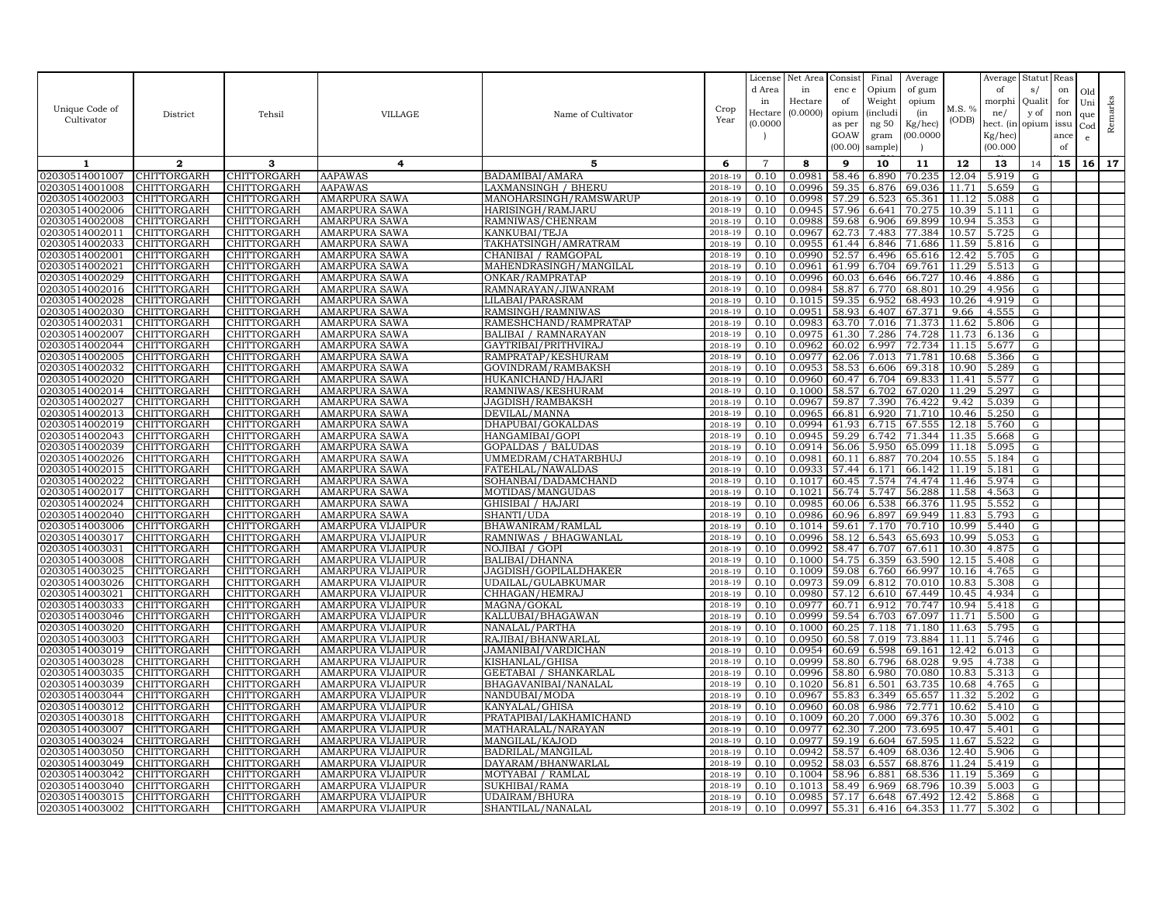|                                  |                                   |                                   |                                              |                                     |                    | License        | Net Area         | Consist        | Final          | Average          |                | Average        | Statut         | Reas |     |         |
|----------------------------------|-----------------------------------|-----------------------------------|----------------------------------------------|-------------------------------------|--------------------|----------------|------------------|----------------|----------------|------------------|----------------|----------------|----------------|------|-----|---------|
|                                  |                                   |                                   |                                              |                                     |                    | d Area         | in               | enc e          | Opium          | of gum           |                | of             | s/             | on   | Old |         |
|                                  |                                   |                                   |                                              |                                     |                    | in             | Hectare          | of             | Weight         | opium            |                | morphi         | Qualit         | for  | Uni |         |
| Unique Code of                   | District                          | Tehsil                            | <b>VILLAGE</b>                               | Name of Cultivator                  | Crop               | Hectar         | (0.0000)         | opium          | (includ:       | (in              | M.S. %         | ne/            | y of           | non  | que |         |
| Cultivator                       |                                   |                                   |                                              |                                     | Year               | (0.0000)       |                  | as per         | ng 50          | Kg/hec)          | (ODB)          | hect. (in      | opium issu     |      | Cod | Remarks |
|                                  |                                   |                                   |                                              |                                     |                    |                |                  | GOAW           | gram           | 00.0000          |                | Kg/hec)        |                | ance | e   |         |
|                                  |                                   |                                   |                                              |                                     |                    |                |                  | (00.00)        | sample)        |                  |                | (00.000)       |                | of   |     |         |
| 1                                | $\mathbf{2}$                      | 3                                 | 4                                            | 5                                   | 6                  | $\overline{7}$ | 8                | 9              | 10             | 11               | 12             | 13             | 14             | 15   | 16  | 17      |
| 02030514001007                   | CHITTORGARH                       | CHITTORGARH                       | <b>AAPAWAS</b>                               | BADAMIBAI/AMARA                     | 2018-19            | 0.10           | 0.0981           | 58.46          | 6.890          | 70.235           | 12.04          | 5.919          | G              |      |     |         |
| 02030514001008                   | CHITTORGARH                       | CHITTORGARH                       | AAPAWAS                                      | LAXMANSINGH / BHERU                 | 2018-19            | 0.10           | 0.0996           | 59.35          | 6.876          | 69.036           | 11.71          | 5.659          | G              |      |     |         |
| 02030514002003                   | CHITTORGARH                       | CHITTORGARH                       | AMARPURA SAWA                                | MANOHARSINGH/RAMSWARUP              | 2018-19            | 0.10           | 0.0998           | 57.29          | 6.523          | 65.361           | 11.12          | 5.088          | G              |      |     |         |
| 02030514002006                   | CHITTORGARH                       | CHITTORGARH                       | AMARPURA SAWA                                | HARISINGH/RAMJARU                   | 2018-19            | 0.10           | 0.0945           | 57.96          | 6.641          | 70.275           | 10.39          | 5.111          | G              |      |     |         |
| 02030514002008                   | CHITTORGARH                       | CHITTORGARH                       | <b>AMARPURA SAWA</b>                         | RAMNIWAS/CHENRAM                    | 2018-19            | 0.10           | 0.0988           | 59.68          | 6.906          | 69.899           | 10.94          | 5.353          | G              |      |     |         |
| 02030514002011                   | CHITTORGARH                       | CHITTORGARH                       | <b>AMARPURA SAWA</b>                         | KANKUBAI/TEJA                       | 2018-19            | 0.10           | 0.0967           | 62.73          | 7.483          | 77.384           | 10.57          | 5.725          | G              |      |     |         |
| 02030514002033                   | CHITTORGARH                       | CHITTORGARH                       | AMARPURA SAWA                                | TAKHATSINGH/AMRATRAM                | 2018-19            | 0.10           | 0.0955           | 61.44          | 6.846          | 71.686           | 11.59          | 5.816          | G              |      |     |         |
| 02030514002001                   | CHITTORGARH                       | CHITTORGARH                       | AMARPURA SAWA                                | CHANIBAI / RAMGOPAL                 | 2018-19            | 0.10           | 0.0990           | 52.57          | 6.496          | 65.616           | 12.42          | 5.705          | G              |      |     |         |
| 02030514002021                   | CHITTORGARH                       | CHITTORGARH                       | AMARPURA SAWA                                | MAHENDRASINGH/MANGILAL              | 2018-19            | 0.10           | 0.0961           | 61.99          | 6.704          | 69.761           | 11.29          | 5.513          | G              |      |     |         |
| 02030514002029                   | CHITTORGARH                       | CHITTORGARH                       | AMARPURA SAWA                                | ONKAR/RAMPRATAF                     | 2018-19            | 0.10           | 0.0996           | 60.03          | 6.646          | 66.727           | 10.46          | 4.886          | G              |      |     |         |
| 02030514002016                   | CHITTORGARH                       | CHITTORGARH                       | AMARPURA SAWA                                | RAMNARAYAN/JIWANRAM                 | 2018-19            | 0.10           | 0.0984           | 58.87          | 6.770          | 68.801           | 10.29          | 4.956          | G              |      |     |         |
| 02030514002028                   | CHITTORGARH                       | CHITTORGARH                       | <b>AMARPURA SAWA</b>                         | LILABAI/PARASRAM                    | 2018-19            | 0.10           | 0.1015           | 59.35          | 6.952          | 68.493           | 10.26          | 4.919          | G              |      |     |         |
| 02030514002030                   | CHITTORGARH                       | CHITTORGARH                       | AMARPURA SAWA                                | RAMSINGH/RAMNIWAS                   | 2018-19            | 0.10           | 0.0951           | 58.93          | 6.407          | 67.371           | 9.66           | 4.555          | G              |      |     |         |
| 02030514002031                   | CHITTORGARH                       | CHITTORGARH                       | <b>AMARPURA SAWA</b>                         | RAMESHCHAND/RAMPRATAP               | 2018-19            | 0.10           | 0.0983           | 63.70          | 7.016          | 71.373           | 11.62          | 5.806          | G              |      |     |         |
| 02030514002007                   | CHITTORGARH                       | CHITTORGARH                       | AMARPURA SAWA                                | BALIBAI / RAMNARAYAN                | 2018-19            | 0.10           | 0.0975           | 61.30          | 7.286          | 74.728           | 11.73          | 6.136          | G              |      |     |         |
| 02030514002044                   | CHITTORGARH                       | CHITTORGARH                       | AMARPURA SAWA                                | GAYTRIBAI/PRITHVIRAJ                | 2018-19            | 0.10           | 0.0962           | 60.02          | 6.997          | 72.734           | 11.15          | 5.677          | G              |      |     |         |
| 02030514002005                   | CHITTORGARH                       | CHITTORGARH                       | AMARPURA SAWA                                | RAMPRATAP/KESHURAM                  | 2018-19            | 0.10           | 0.0977           | 62.06          | 7.013          | 71.781           | 10.68          | 5.366          | G              |      |     |         |
| 02030514002032                   | CHITTORGARH                       | CHITTORGARH                       | AMARPURA SAWA                                | GOVINDRAM/RAMBAKSH                  | 2018-19            | 0.10           | 0.0953           | 58.53          | 6.606          | 69.318           | 10.90          | 5.289          | G              |      |     |         |
| 02030514002020                   | CHITTORGARH                       | CHITTORGARH                       | <b>AMARPURA SAWA</b>                         | HUKANICHAND / HAJARI                | 2018-19            | 0.10           | 0.0960           | 60.47          | 6.704          | 69.833           | 11.41          | 5.577          | G              |      |     |         |
| 02030514002014                   | CHITTORGARH                       | CHITTORGARH                       | AMARPURA SAWA                                | RAMNIWAS/KESHURAM                   | 2018-19            | 0.10           | 0.1000<br>0.0967 | 58.57          | 6.702          | 67.020           | 11.29          | 5.297<br>5.039 | G              |      |     |         |
| 02030514002027<br>02030514002013 | CHITTORGARH<br>CHITTORGARH        | CHITTORGARH<br>CHITTORGARH        | <b>AMARPURA SAWA</b><br><b>AMARPURA SAWA</b> | JAGDISH/RAMBAKSH<br>DEVILAL/MANNA   | 2018-19<br>2018-19 | 0.10<br>0.10   | 0.0965           | 59.87<br>66.81 | 7.390<br>6.920 | 76.422<br>71.710 | 9.42<br>10.46  | 5.250          | ${\rm G}$<br>G |      |     |         |
| 02030514002019                   | CHITTORGARH                       | CHITTORGARH                       | <b>AMARPURA SAWA</b>                         | DHAPUBAI/GOKALDAS                   | 2018-19            | 0.10           | 0.0994           | 61.93          | 6.715          | 67.555           | 12.18          | 5.760          | G              |      |     |         |
| 02030514002043                   | CHITTORGARH                       | CHITTORGARH                       | AMARPURA SAWA                                | HANGAMIBAI/GOPI                     | 2018-19            | 0.10           | 0.0945           | 59.29          | 6.742          | 71.344           | 11.35          | 5.668          | G              |      |     |         |
| 02030514002039                   | CHITTORGARH                       | CHITTORGARH                       | AMARPURA SAWA                                | GOPALDAS / BALUDAS                  | 2018-19            | 0.10           | 0.0914           | 56.06          | 5.950          | 65.099           | 11.18          | 5.095          | $\mathbf G$    |      |     |         |
| 02030514002026                   | CHITTORGARH                       | <b>CHITTORGARH</b>                | AMARPURA SAWA                                | UMMEDRAM/CHATARBHUJ                 | 2018-19            | 0.10           | 0.0981           | 60.11          | 6.887          | 70.204           | 10.55          | 5.184          | G              |      |     |         |
| 02030514002015                   | CHITTORGARH                       | CHITTORGARH                       | AMARPURA SAWA                                | FATEHLAL/NAWALDAS                   | 2018-19            | 0.10           | 0.0933           | 57.44          | 6.171          | 66.142           | 11.19          | 5.181          | G              |      |     |         |
| 02030514002022                   | CHITTORGARH                       | CHITTORGARH                       | AMARPURA SAWA                                | SOHANBAI/DADAMCHAND                 | 2018-19            | 0.10           | 0.1017           | 60.45          | 7.574          | 74.474           | 11.46          | 5.974          | G              |      |     |         |
| 02030514002017                   | CHITTORGARH                       | CHITTORGARH                       | AMARPURA SAWA                                | MOTIDAS/MANGUDAS                    | 2018-19            | 0.10           | 0.1021           | 56.74          | 5.747          | 56.288           | 11.58          | 4.563          | G              |      |     |         |
| 02030514002024                   | CHITTORGARH                       | CHITTORGARH                       | AMARPURA SAWA                                | GHISIBAI / HAJARI                   | 2018-19            | 0.10           | 0.0985           | 60.06          | 6.538          | 66.376           | 11.95          | 5.552          | G              |      |     |         |
| 02030514002040                   | CHITTORGARH                       | CHITTORGARH                       | AMARPURA SAWA                                | SHANTI/UDA                          | 2018-19            | 0.10           | 0.0986           | 60.96          | 6.897          | 69.949           | 11.83          | 5.793          | G              |      |     |         |
| 02030514003006                   | CHITTORGARH                       | CHITTORGARH                       | AMARPURA VIJAIPUR                            | BHAWANIRAM/RAMLAL                   | 2018-19            | 0.10           | 0.1014           | 59.61          | 7.170          | 70.710           | 10.99          | 5.440          | G              |      |     |         |
| 02030514003017                   | CHITTORGARH                       | CHITTORGARH                       | AMARPURA VIJAIPUR                            | RAMNIWAS / BHAGWANLAL               | 2018-19            | 0.10           | 0.0996           | 58.12          | 6.543          | 65.693           | 10.99          | 5.053          | G              |      |     |         |
| 02030514003031                   | CHITTORGARH                       | CHITTORGARH                       | AMARPURA VIJAIPUR                            | NOJIBAI / GOPI                      | 2018-19            | 0.10           | 0.0992           | 58.47          | 6.707          | 67.611           | 10.30          | 4.875          | G              |      |     |         |
| 02030514003008                   | CHITTORGARH                       | CHITTORGARH                       | AMARPURA VIJAIPUR                            | BALIBAI/DHANNA                      | 2018-19            | 0.10           | 0.1000           | 54.75          | 6.359          | 63.590           | 12.15          | 5.408          | G              |      |     |         |
| 02030514003025                   | CHITTORGARH                       | CHITTORGARH                       | AMARPURA VIJAIPUR                            | JAGDISH/GOPILALDHAKER               | 2018-19            | 0.10           | 0.1009           | 59.08          | 6.760          | 66.997           | 10.16          | 4.765          | G              |      |     |         |
| 02030514003026                   | CHITTORGARH                       | CHITTORGARH                       | AMARPURA VIJAIPUR                            | UDAILAL/GULABKUMAR                  | 2018-19            | 0.10           | 0.0973           | 59.09          | 6.812          | 70.010           | 10.83          | 5.308          | G              |      |     |         |
| 02030514003021                   | CHITTORGARH                       | CHITTORGARH                       | AMARPURA VIJAIPUR                            | CHHAGAN/HEMRAJ                      | 2018-19            | 0.10           | 0.0980           | 57.12          | 6.610          | 67.449           | 10.45          | 4.934          | G              |      |     |         |
| 02030514003033                   | CHITTORGARH                       | CHITTORGARH                       | AMARPURA VIJAIPUR                            | MAGNA/GOKAL                         | 2018-19            | 0.10           | 0.0977           | 60.71          | 6.912          | 70.747           | 10.94          | 5.418          | G              |      |     |         |
| 02030514003046                   | CHITTORGARH                       | CHITTORGARH                       | AMARPURA VIJAIPUR                            | KALLUBAI/BHAGAWAN                   | 2018-19            | 0.10           | 0.0999           | 59.54          | 6.703          | 67.097           | 11.71          | 5.500          | G              |      |     |         |
| 02030514003020                   | CHITTORGARH                       | CHITTORGARH                       | AMARPURA VIJAIPUR                            | NANALAL/PARTHA                      | 2018-19            | 0.10           | 0.1000           | 60.25          | 7.118          | 71.180           | 11.63          | 5.795          | G              |      |     |         |
| 02030514003003                   | CHITTORGARH                       | CHITTORGARH                       | AMARPURA VIJAIPUR                            | RAJIBAI/BHANWARLAL                  | 2018-19            | 0.10           | 0.0950           | 60.58          | 7.019          | 73.884           | 11.11          | 5.746          | G              |      |     |         |
| 02030514003019                   | CHITTORGARH                       | CHITTORGARH                       | AMARPURA VIJAIPUR                            | JAMANIBAI/VARDICHAN                 | 2018-19            | 0.10           | 0.0954           | 60.69          | 6.598          | 69.161           | 12.42          | 6.013          | G              |      |     |         |
| 02030514003028                   | CHITTORGARH                       | CHITTORGARH                       | AMARPURA VIJAIPUR                            | KISHANLAL/GHISA                     | 2018-19            | 0.10           | 0.0999           | 58.80          | 6.796          | 68.028           | 9.95           | 4.738          | G              |      |     |         |
| 02030514003035                   | CHITTORGARH                       | CHITTORGARH                       | AMARPURA VIJAIPUR                            | GEETABAI / SHANKARLAL               | 2018-19            | 0.10           | 0.0996           | 58.80          | 6.980          | 70.080           | 10.83          | 5.313          | G              |      |     |         |
| 02030514003039                   | CHITTORGARH                       | CHITTORGARH                       | AMARPURA VIJAIPUR                            | BHAGAVANIBAI/NANALAL                | 2018-19            | 0.10           | 0.1020           | 56.81          | 6.501          | 63.735           | 10.68          | 4.765          | G              |      |     |         |
| 02030514003044                   | CHITTORGARH                       | CHITTORGARH                       | AMARPURA VIJAIPUR                            | NANDUBAI/MODA                       | 2018-19            | 0.10           | 0.0967           | 55.83          | 6.349          | 65.657           | 11.32          | 5.202          | G              |      |     |         |
| 02030514003012                   | <b>CHITTORGARH</b>                | CHITTORGARH                       | AMARPURA VIJAIPUR                            | KANYALAL/GHISA                      | 2018-19            | 0.10           | 0.0960           | 60.08          | 6.986          | 72.771           | 10.62          | 5.410          | G              |      |     |         |
| 02030514003018                   | CHITTORGARH                       | CHITTORGARH                       | AMARPURA VIJAIPUR                            | PRATAPIBAI/LAKHAMICHAND             | 2018-19            | 0.10           | 0.1009           | 60.20          | 7.000          | 69.376           | 10.30          | 5.002          | G              |      |     |         |
| 02030514003007                   | CHITTORGARH                       | CHITTORGARH                       | AMARPURA VIJAIPUR                            | MATHARALAL/NARAYAN                  | 2018-19            | 0.10           | 0.0977           | 62.30          | 7.200          | 73.695<br>67.595 | 10.47          | 5.401          | G              |      |     |         |
| 02030514003024<br>02030514003050 | CHITTORGARH<br><b>CHITTORGARH</b> | CHITTORGARH<br><b>CHITTORGARH</b> | AMARPURA VIJAIPUR<br>AMARPURA VIJAIPUR       | MANGILAL/KAJOD<br>BADRILAL/MANGILAL | 2018-19<br>2018-19 | 0.10<br>0.10   | 0.0977<br>0.0942 | 59.19<br>58.57 | 6.604<br>6.409 | 68.036           | 11.67<br>12.40 | 5.522<br>5.906 | G<br>G         |      |     |         |
| 02030514003049                   | CHITTORGARH                       | CHITTORGARH                       | AMARPURA VIJAIPUR                            | DAYARAM/BHANWARLAL                  | 2018-19            | 0.10           | 0.0952           | 58.03          | 6.557          | 68.876           | 11.24          | 5.419          | G              |      |     |         |
| 02030514003042                   | CHITTORGARH                       | CHITTORGARH                       | AMARPURA VIJAIPUR                            | MOTYABAI / RAMLAL                   | 2018-19            | 0.10           | 0.1004           | 58.96          | 6.88           | 68.536           | 11.19          | 5.369          | $\mathbf G$    |      |     |         |
| 02030514003040                   | CHITTORGARH                       | CHITTORGARH                       | AMARPURA VIJAIPUR                            | SUKHIBAI/RAMA                       | 2018-19            | 0.10           | 0.1013           | 58.49          | 6.969          | 68.796           | 10.39          | 5.003          | G              |      |     |         |
| 02030514003015                   | CHITTORGARH                       | CHITTORGARH                       | <b>AMARPURA VIJAIPUR</b>                     | UDAIRAM/BHURA                       | 2018-19            | 0.10           | 0.0985           | 57.17          | 6.648          | 67.492           | 12.42          | 5.868          | G              |      |     |         |
| 02030514003002                   | CHITTORGARH                       | CHITTORGARH                       | <b>AMARPURA VIJAIPUR</b>                     | SHANTILAL/NANALAL                   | 2018-19            | 0.10           | $0.0997$ 55.31   |                | 6.416          | 64.353 11.77     |                | 5.302          | G              |      |     |         |
|                                  |                                   |                                   |                                              |                                     |                    |                |                  |                |                |                  |                |                |                |      |     |         |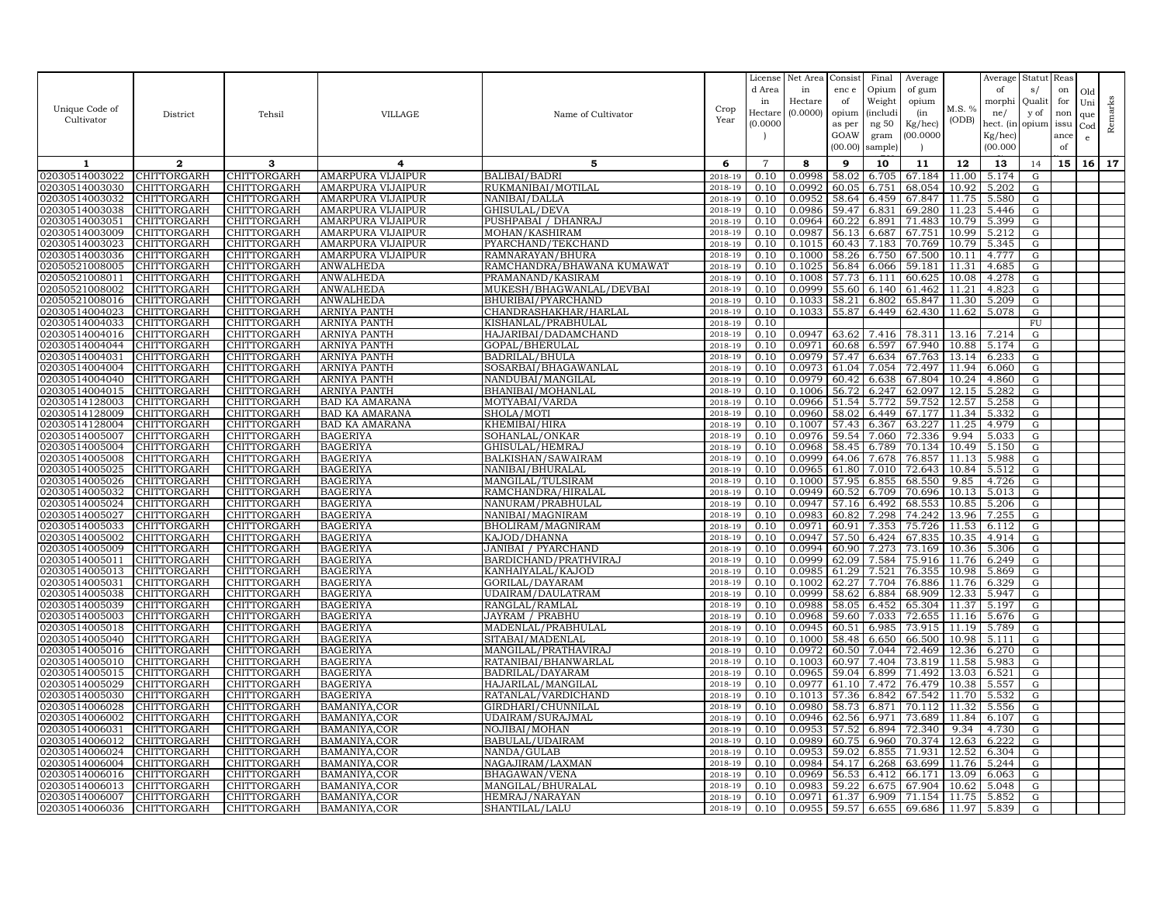| Unique Code of<br>Cultivator     | District                          | Tehsil                     | VILLAGE                                       | Name of Cultivator                   | Crop<br>Year       | License<br>d Area<br>in<br>Hectare | Net Area<br>in<br>Hectare<br>(0.0000) | Consist<br>enc e<br>of<br>opium | Final<br>Opium<br>Weight<br><i>(includi</i> | Average<br>of gum<br>opium<br>(in | M.S. %<br>(ODB) | Average<br>of<br>morphi<br>ne/      | Statut<br>s/<br>Quali<br>y of | Reas<br>on<br>for<br>non | Old<br>Uni<br>que   | Remarks |
|----------------------------------|-----------------------------------|----------------------------|-----------------------------------------------|--------------------------------------|--------------------|------------------------------------|---------------------------------------|---------------------------------|---------------------------------------------|-----------------------------------|-----------------|-------------------------------------|-------------------------------|--------------------------|---------------------|---------|
|                                  |                                   |                            |                                               |                                      |                    | (0.0000)                           |                                       | as per<br>GOAW<br>(00.00)       | ng 50<br>gram<br>sample)                    | Kg/hec)<br>00.000C                |                 | hect. (in<br>$Kg/$ hec)<br>(00.000) | opium                         | issu<br>ance<br>of       | Cod<br>$\mathbf{e}$ |         |
| 1                                | $\mathbf{2}$                      | 3                          | 4                                             | 5                                    | 6                  | $\overline{7}$                     | 8                                     | 9                               | 10                                          | 11                                | 12              | 13                                  | 14                            | 15                       | 16 <sup>1</sup>     | 17      |
| 02030514003022                   | CHITTORGARH                       | CHITTORGARH                | <b>AMARPURA VIJAIPUR</b>                      | <b>BALIBAI/BADRI</b>                 | 2018-19            | 0.10                               | 0.0998                                | 58.02                           | 6.705                                       | 67.184                            | 11.00           | 5.174                               | ${\rm G}$                     |                          |                     |         |
| 02030514003030                   | CHITTORGARH                       | CHITTORGARH                | <b>AMARPURA VIJAIPUR</b>                      | RUKMANIBAI/MOTILAL                   | 2018-19            | 0.10                               | 0.0992                                | 60.05                           | 6.751                                       | 68.054                            | 10.92           | 5.202                               | ${\rm G}$                     |                          |                     |         |
| 02030514003032                   | CHITTORGARH                       | CHITTORGARH                | <b>AMARPURA VIJAIPUR</b>                      | NANIBAI/DALLA                        | 2018-19            | 0.10                               | 0.0952                                | 58.64                           | 6.459                                       | 67.847                            | 11.75           | 5.580                               | G                             |                          |                     |         |
| 02030514003038                   | CHITTORGARH                       | CHITTORGARH                | AMARPURA VIJAIPUR                             | GHISULAL/DEVA                        | 2018-19            | 0.10                               | 0.0986                                | 59.47                           | 6.831                                       | 69.280                            | 11.23           | 5.446                               | ${\rm G}$                     |                          |                     |         |
| 02030514003051                   | CHITTORGARH                       | CHITTORGARH                | AMARPURA VIJAIPUR                             | PUSHPABAI / DHANRAJ                  | 2018-19            | 0.10                               | 0.0964                                | 60.22                           | 6.891                                       | 71.483                            | 10.79           | 5.399                               | G                             |                          |                     |         |
| 02030514003009<br>02030514003023 | CHITTORGARH<br><b>CHITTORGARH</b> | CHITTORGARH<br>CHITTORGARH | <b>AMARPURA VIJAIPUR</b><br>AMARPURA VIJAIPUR | MOHAN/KASHIRAM<br>PYARCHAND/TEKCHAND | 2018-19<br>2018-19 | 0.10<br>0.10                       | 0.0987<br>0.1015                      | 56.13<br>60.43                  | 6.687<br>7.183                              | 67.751<br>70.769                  | 10.99<br>10.79  | 5.212<br>5.345                      | ${\rm G}$<br>G                |                          |                     |         |
| 02030514003036                   | CHITTORGARH                       | CHITTORGARH                | AMARPURA VIJAIPUR                             | RAMNARAYAN/BHURA                     | 2018-19            | 0.10                               | 0.1000                                | 58.26                           | 6.750                                       | 67.500                            | 10.11           | 4.777                               | G                             |                          |                     |         |
| 02050521008005                   | CHITTORGARH                       | <b>CHITTORGARH</b>         | <b>ANWALHEDA</b>                              | RAMCHANDRA/BHAWANA KUMAWAT           | 2018-19            | 0.10                               | 0.1025                                | 56.84                           | 6.066                                       | 59.181                            | 11.31           | 4.685                               | G                             |                          |                     |         |
| 02050521008011                   | CHITTORGARH                       | CHITTORGARH                | ANWALHEDA                                     | PRAMANAND/KASIRAM                    | 2018-19            | 0.10                               | 0.1008                                | 57.73                           | 6.111                                       | 60.625                            | 10.08           | 4.278                               | ${\rm G}$                     |                          |                     |         |
| 02050521008002                   | <b>CHITTORGARH</b>                | <b>CHITTORGARH</b>         | ANWALHEDA                                     | MUKESH/BHAGWANLAL/DEVBAI             | 2018-19            | 0.10                               | 0.0999                                | 55.60                           | 6.140                                       | 61.462                            | 11.21           | 4.823                               | G                             |                          |                     |         |
| 02050521008016                   | CHITTORGARH                       | CHITTORGARH                | ANWALHEDA                                     | BHURIBAI/PYARCHAND                   | 2018-19            | 0.10                               | 0.1033                                | 58.21                           | 6.802                                       | 65.847                            | 11.30           | 5.209                               | ${\rm G}$                     |                          |                     |         |
| 02030514004023                   | CHITTORGARH                       | CHITTORGARH                | ARNIYA PANTH                                  | CHANDRASHAKHAR/HARLAL                | 2018-19            | 0.10                               | 0.1033                                | 55.87                           | 6.449                                       | 62.430                            | 11.62           | 5.078                               | ${\rm G}$                     |                          |                     |         |
| 02030514004033                   | CHITTORGARH                       | CHITTORGARH                | <b>ARNIYA PANTH</b>                           | KISHANLAL/PRABHULAL                  | 2018-19            | 0.10                               |                                       |                                 |                                             |                                   |                 |                                     | FU                            |                          |                     |         |
| 02030514004016                   | CHITTORGARH                       | CHITTORGARH                | ARNIYA PANTH                                  | HAJARIBAI/DADAMCHAND                 | 2018-19            | 0.10                               | 0.0947                                | 63.62                           | 7.416                                       | 78.311                            | 13.16           | 7.214                               | G                             |                          |                     |         |
| 02030514004044                   | CHITTORGARH                       | CHITTORGARH                | <b>ARNIYA PANTH</b>                           | GOPAL/BHERULAL                       | 2018-19            | 0.10                               | 0.0971                                | 60.68                           | 6.597                                       | 67.940                            | 10.88           | 5.174                               | G                             |                          |                     |         |
| 02030514004031                   | CHITTORGARH                       | CHITTORGARH                | ARNIYA PANTH                                  | <b>BADRILAL/BHULA</b>                | 2018-19            | 0.10                               | 0.0979                                | 57.47                           | 6.634                                       | 67.763                            | 13.14           | 6.233                               | G                             |                          |                     |         |
| 02030514004004                   | <b>CHITTORGARH</b>                | <b>CHITTORGARH</b>         | <b>ARNIYA PANTH</b>                           | SOSARBAI/BHAGAWANLAL                 | 2018-19            | 0.10                               | 0.0973                                | 61.04                           | 7.054                                       | 72.497                            | 11.94           | 6.060                               | G                             |                          |                     |         |
| 02030514004040                   | CHITTORGARH                       | CHITTORGARH                | <b>ARNIYA PANTH</b>                           | NANDUBAI/MANGILAL                    | 2018-19            | 0.10                               | 0.0979                                | 60.42                           | 6.638                                       | 67.804                            | 10.24           | 4.860                               | ${\rm G}$                     |                          |                     |         |
| 02030514004015                   | CHITTORGARH                       | CHITTORGARH                | ARNIYA PANTH                                  | <b>BHANIBAI/MOHANLAL</b>             | 2018-19            | 0.10                               | 0.1006                                | 56.72                           | 6.247                                       | 62.097                            | 12.15           | 5.282                               | G                             |                          |                     |         |
| 02030514128003                   | CHITTORGARH                       | CHITTORGARH                | <b>BAD KA AMARANA</b>                         | MOTYABAI/VARDA                       | 2018-19            | 0.10                               | 0.0966                                | 51.54                           | 5.772                                       | 59.752                            | 12.57           | 5.258                               | $\mathbf G$                   |                          |                     |         |
| 02030514128009                   | CHITTORGARH                       | CHITTORGARH                | <b>BAD KA AMARANA</b>                         | SHOLA/MOTI                           | 2018-19            | 0.10                               | 0.0960                                | 58.02                           | 6.449                                       | 67.177                            | 11.34           | 5.332                               | G                             |                          |                     |         |
| 02030514128004<br>02030514005007 | CHITTORGARH<br>CHITTORGARH        | CHITTORGARH<br>CHITTORGARH | BAD KA AMARANA<br><b>BAGERIYA</b>             | KHEMIBAI/HIRA<br>SOHANLAL/ONKAR      | 2018-19<br>2018-19 | 0.10<br>0.10                       | 0.1007<br>0.0976                      | 57.43<br>59.54                  | 6.367<br>7.060                              | 63.227<br>72.336                  | 11.25<br>9.94   | 4.979<br>5.033                      | G<br>${\rm G}$                |                          |                     |         |
| 02030514005004                   | CHITTORGARH                       | CHITTORGARH                | <b>BAGERIYA</b>                               | GHISULAL/HEMRAJ                      | 2018-19            | 0.10                               | 0.0968                                | 58.45                           | 6.789                                       | 70.134                            | 10.49           | 5.150                               | ${\rm G}$                     |                          |                     |         |
| 02030514005008                   | CHITTORGARH                       | CHITTORGARH                | <b>BAGERIYA</b>                               | BALKISHAN/SAWAIRAM                   | 2018-19            | 0.10                               | 0.0999                                | 64.06                           | 7.678                                       | 76.857                            | 11.13           | 5.988                               | ${\rm G}$                     |                          |                     |         |
| 02030514005025                   | CHITTORGARH                       | CHITTORGARH                | <b>BAGERIYA</b>                               | NANIBAI/BHURALAL                     | 2018-19            | 0.10                               | 0.0965                                | 61.80                           | 7.010                                       | 72.643                            | 10.84           | 5.512                               | G                             |                          |                     |         |
| 02030514005026                   | CHITTORGARH                       | CHITTORGARH                | <b>BAGERIYA</b>                               | MANGILAL/TULSIRAM                    | 2018-19            | 0.10                               | 0.1000                                | 57.95                           | 6.855                                       | 68.550                            | 9.85            | 4.726                               | ${\rm G}$                     |                          |                     |         |
| 02030514005032                   | <b>CHITTORGARH</b>                | <b>CHITTORGARH</b>         | <b>BAGERIYA</b>                               | RAMCHANDRA/HIRALAL                   | 2018-19            | 0.10                               | 0.0949                                | 60.52                           | 6.709                                       | 70.696                            | 10.13           | 5.013                               | G                             |                          |                     |         |
| 02030514005024                   | CHITTORGARH                       | CHITTORGARH                | <b>BAGERIYA</b>                               | NANURAM/PRABHULAL                    | 2018-19            | 0.10                               | 0.0947                                | 57.16                           | 6.492                                       | 68.553                            | 10.85           | 5.206                               | ${\rm G}$                     |                          |                     |         |
| 02030514005027                   | <b>CHITTORGARH</b>                | CHITTORGARH                | <b>BAGERIYA</b>                               | NANIBAI/MAGNIRAM                     | 2018-19            | 0.10                               | 0.0983                                | 60.82                           | 7.298                                       | 74.242                            | 13.96           | 7.255                               | ${\rm G}$                     |                          |                     |         |
| 02030514005033                   | CHITTORGARH                       | CHITTORGARH                | <b>BAGERIYA</b>                               | BHOLIRAM/MAGNIRAM                    | 2018-19            | 0.10                               | 0.0971                                | 60.91                           | 7.353                                       | 75.726                            | 11.53           | 6.112                               | G                             |                          |                     |         |
| 02030514005002                   | <b>CHITTORGARH</b>                | CHITTORGARH                | <b>BAGERIYA</b>                               | KAJOD/DHANNA                         | 2018-19            | 0.10                               | 0.0947                                | 57.50                           | 6.424                                       | 67.835                            | 10.35           | 4.914                               | G                             |                          |                     |         |
| 02030514005009                   | CHITTORGARH                       | CHITTORGARH                | <b>BAGERIYA</b>                               | JANIBAI / PYARCHAND                  | 2018-19            | 0.10                               | 0.0994                                | 60.90                           | 7.273                                       | 73.169                            | 10.36           | 5.306                               | G                             |                          |                     |         |
| 02030514005011                   | CHITTORGARH                       | <b>CHITTORGARH</b>         | <b>BAGERIYA</b>                               | BARDICHAND/PRATHVIRAJ                | 2018-19            | 0.10                               | 0.0999                                | 62.09                           | 7.584                                       | 75.916                            | 11.76           | 6.249                               | G                             |                          |                     |         |
| 02030514005013                   | <b>CHITTORGARH</b>                | CHITTORGARH                | <b>BAGERIYA</b>                               | KANHAIYALAL/KAJOD                    | 2018-19            | 0.10                               | 0.0985                                | 61.29                           | 7.521                                       | 76.355                            | 10.98           | 5.869                               | G                             |                          |                     |         |
| 02030514005031                   | CHITTORGARH                       | CHITTORGARH                | <b>BAGERIYA</b>                               | GORILAL/DAYARAM                      | 2018-19            | 0.10                               | 0.1002                                | 62.27                           | 7.704                                       | 76.886                            | 11.76           | 6.329                               | ${\rm G}$                     |                          |                     |         |
| 02030514005038<br>02030514005039 | CHITTORGARH<br>CHITTORGARH        | CHITTORGARH<br>CHITTORGARH | <b>BAGERIYA</b><br><b>BAGERIYA</b>            | UDAIRAM/DAULATRAM<br>RANGLAL/RAMLAL  | 2018-19            | 0.10<br>0.10                       | 0.0999<br>0.0988                      | 58.62<br>58.05                  | 6.884<br>6.452                              | 68.909<br>65.304                  | 12.33<br>11.37  | 5.947<br>5.197                      | G                             |                          |                     |         |
| 02030514005003                   | <b>CHITTORGARH</b>                | CHITTORGARH                | <b>BAGERIYA</b>                               | <b>JAYRAM / PRABHU</b>               | 2018-19<br>2018-19 | 0.10                               | 0.0968                                | 59.60                           | 7.033                                       | 72.655                            | 11.16           | 5.676                               | G<br>G                        |                          |                     |         |
| 02030514005018                   | CHITTORGARH                       | CHITTORGARH                | <b>BAGERIYA</b>                               | MADENLAL/PRABHULAL                   | 2018-19            | 0.10                               | 0.0945                                | 60.51                           | 6.985                                       | 73.915                            | 11.19           | 5.789                               | ${\rm G}$                     |                          |                     |         |
| 02030514005040                   | CHITTORGARH                       | CHITTORGARH                | <b>BAGERIYA</b>                               | SITABAI/MADENLAL                     | 2018-19            | 0.10                               | 0.1000                                | 58.48                           | 6.650                                       | 66.500                            | 10.98           | 5.111                               | ${\rm G}$                     |                          |                     |         |
| 02030514005016                   | CHITTORGARH                       | CHITTORGARH                | <b>BAGERIYA</b>                               | MANGILAL/PRATHAVIRAJ                 | 2018-19            | 0.10                               | 0.0972                                | 60.50                           | 7.044                                       | 72.469                            | 12.36           | 6.270                               | ${\rm G}$                     |                          |                     |         |
| 02030514005010                   | CHITTORGARH                       | CHITTORGARH                | <b>BAGERIYA</b>                               | RATANIBAI/BHANWARLAL                 | 2018-19            | 0.10                               | 0.1003                                | 60.97                           | 7.404                                       | 73.819                            | 11.58           | 5.983                               | ${\rm G}$                     |                          |                     |         |
| 02030514005015                   | CHITTORGARH                       | CHITTORGARH                | <b>BAGERIYA</b>                               | BADRILAL/DAYARAM                     | 2018-19            | 0.10                               | 0.0965                                | 59.04                           | 6.899                                       | 71.492                            | 13.03           | 6.521                               | G                             |                          |                     |         |
| 02030514005029                   | CHITTORGARH                       | CHITTORGARH                | <b>BAGERIYA</b>                               | HAJARILAL/MANGILAI                   | 2018-19            | 0.10                               | 0.0977                                | 61.10                           | 7.472                                       | 76.479                            | 10.38           | 5.557                               | ${\rm G}$                     |                          |                     |         |
| 02030514005030                   | <b>CHITTORGARH</b>                | CHITTORGARH                | <b>BAGERIYA</b>                               | RATANLAL/VARDICHAND                  | 2018-19            | 0.10                               | 0.1013                                | 57.36                           | 6.842                                       | 67.542                            | 11.70           | 5.532                               | G                             |                          |                     |         |
| 02030514006028                   | CHITTORGARH                       | CHITTORGARH                | BAMANIYA, COR                                 | GIRDHARI/CHUNNILAL                   | 2018-19            | 0.10                               | 0.0980                                | 58.73                           | 6.871                                       | 70.112                            | 11.32           | 5.556                               | G                             |                          |                     |         |
| 02030514006002                   | CHITTORGARH                       | CHITTORGARH                | BAMANIYA, COR                                 | UDAIRAM/SURAJMAL                     | 2018-19            | 0.10                               | 0.0946                                | 62.56                           | 6.971                                       | 73.689                            | 11.84           | 6.107                               | G                             |                          |                     |         |
| 02030514006031                   | CHITTORGARH                       | CHITTORGARH                | BAMANIYA, COR                                 | NOJIBAI/MOHAN                        | 2018-19            | 0.10                               | 0.0953                                | 57.52                           | 6.894                                       | 72.340                            | 9.34            | 4.730                               | G                             |                          |                     |         |
| 02030514006012                   | CHITTORGARH                       | CHITTORGARH                | BAMANIYA, COR                                 | BABULAL/UDAIRAM                      | 2018-19            | 0.10                               | 0.0989                                | 60.75                           | 6.960                                       | 70.374                            | 12.63           | 6.222                               | G                             |                          |                     |         |
| 02030514006024<br>02030514006004 | CHITTORGARH<br>CHITTORGARH        | CHITTORGARH<br>CHITTORGARH | BAMANIYA, COR<br>BAMANIYA, COR                | NANDA/GULAB<br>NAGAJIRAM/LAXMAN      | 2018-19<br>2018-19 | 0.10<br>0.10                       | 0.0953<br>0.0984                      | 59.02<br>54.17                  | 6.855<br>6.268                              | 71.931<br>63.699                  | 12.52<br>11.76  | 6.304<br>5.244                      | G<br>G                        |                          |                     |         |
| 02030514006016                   | CHITTORGARH                       | CHITTORGARH                | BAMANIYA, COR                                 | BHAGAWAN/VENA                        | 2018-19            | 0.10                               | 0.0969                                | 56.53                           | 6.412                                       | 66.171                            | 13.09           | 6.063                               | G                             |                          |                     |         |
| 02030514006013                   | CHITTORGARH                       | CHITTORGARH                | BAMANIYA, COR                                 | MANGILAL/BHURALAL                    | 2018-19            | 0.10                               | 0.0983                                | 59.22                           | 6.675                                       | 67.904                            | 10.62           | 5.048                               | G                             |                          |                     |         |
| 02030514006007                   | <b>CHITTORGARH</b>                | CHITTORGARH                | BAMANIYA, COR                                 | HEMRAJ/NARAYAN                       | 2018-19            | 0.10                               | 0.0971                                | 61.37                           | 6.909                                       | 71.154                            | 11.75           | 5.852                               | G                             |                          |                     |         |
| 02030514006036                   | <b>CHITTORGARH</b>                | CHITTORGARH                | BAMANIYA, COR                                 | SHANTILAL/LALU                       | 2018-19            | 0.10                               | 0.0955                                | 59.57                           | 6.655                                       | 69.686 11.97                      |                 | 5.839                               | G                             |                          |                     |         |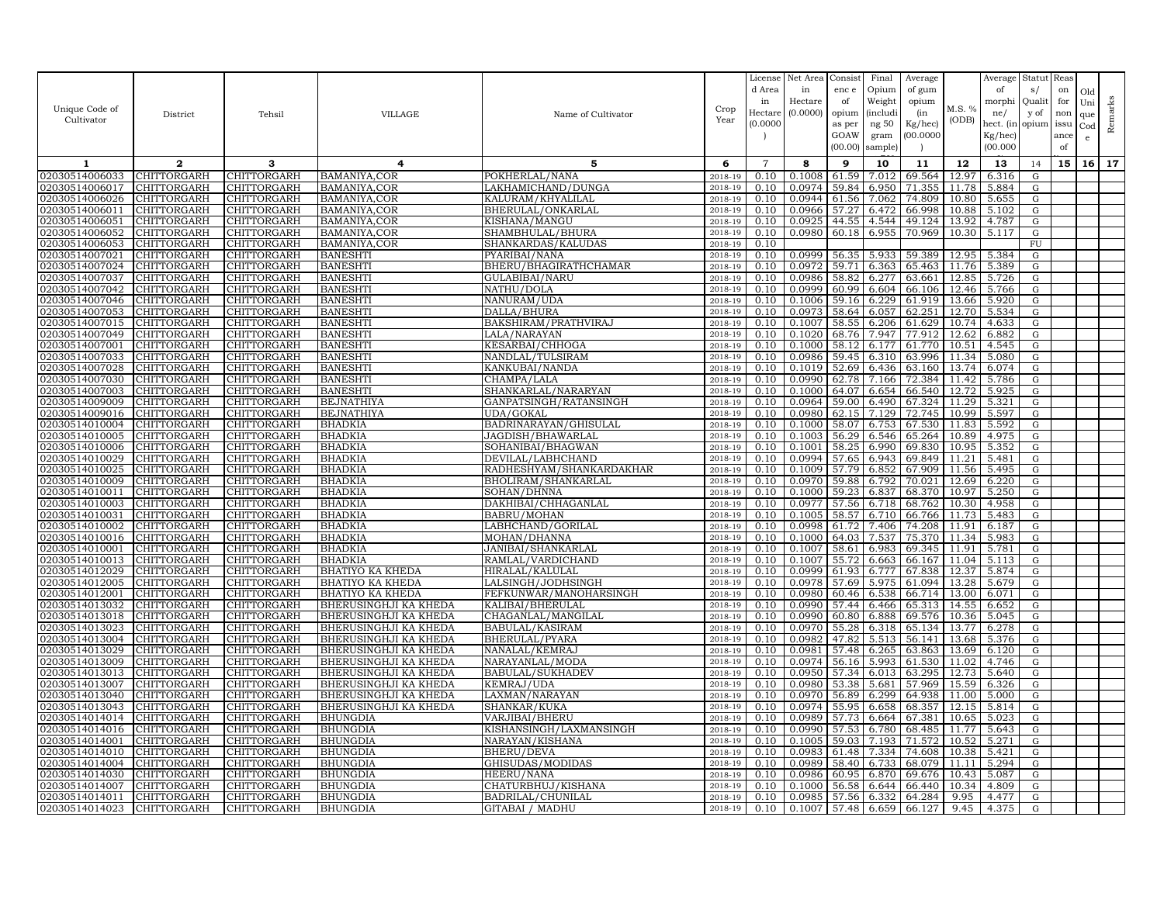| Unique Code of<br>Cultivator     | District                   | Tehsil                            | VILLAGE                                               | Name of Cultivator                 | Crop<br>Year       | License<br>d Area<br>in<br>Hectare<br>(0.0000) | Net Area<br>in<br>Hectare<br>(0.0000) | Consist<br>enc e<br>of<br>opium<br>as per<br>GOAW<br>(00.00) | Final<br>Opium<br>Weight<br><i>(includi</i> )<br>ng 50<br>gram<br>sample) | Average<br>of gum<br>opium<br>(in<br>Kg/hec)<br>00.000C | M.S. %<br>(ODB) | Average<br>of<br>morphi<br>ne/<br>hect. (in<br>Kg/hec)<br>(00.000) | Statut<br>s/<br>Qualit<br>y of<br>opium | Reas<br>on<br>for<br>non<br>issu<br>ance<br>of | Old<br>Uni<br>que<br>Cod<br>$\epsilon$ | Remarks |
|----------------------------------|----------------------------|-----------------------------------|-------------------------------------------------------|------------------------------------|--------------------|------------------------------------------------|---------------------------------------|--------------------------------------------------------------|---------------------------------------------------------------------------|---------------------------------------------------------|-----------------|--------------------------------------------------------------------|-----------------------------------------|------------------------------------------------|----------------------------------------|---------|
| 1                                | $\overline{2}$             | 3                                 | 4                                                     | 5                                  | 6                  | $\overline{7}$                                 | 8                                     | 9                                                            | 10                                                                        | 11                                                      | 12              | 13                                                                 | 14                                      | 15                                             | 16                                     | 17      |
| 02030514006033                   | CHITTORGARH                | CHITTORGARH                       | BAMANIYA.COR                                          | POKHERLAL/NANA                     | 2018-19            | 0.10                                           | 0.1008                                | 61.59                                                        | 7.012                                                                     | 69.564                                                  | 12.97           | 6.316                                                              | G                                       |                                                |                                        |         |
| 02030514006017                   | CHITTORGARH                | CHITTORGARH                       | BAMANIYA, COR                                         | LAKHAMICHAND/DUNGA                 | 2018-19            | 0.10                                           | 0.0974                                | 59.84                                                        | 6.950                                                                     | 71.355                                                  | 11.78           | 5.884                                                              | G                                       |                                                |                                        |         |
| 02030514006026                   | CHITTORGARH                | CHITTORGARH                       | BAMANIYA, COR                                         | KALURAM/KHYALILAL                  | $2018 - 1$         | 0.10                                           | 0.0944                                | 61.56                                                        | 7.062                                                                     | 74.809                                                  | 10.80           | 5.655                                                              | ${\rm G}$                               |                                                |                                        |         |
| 02030514006011                   | <b>CHITTORGARH</b>         | CHITTORGARH                       | BAMANIYA, COR                                         | BHERULAL/ONKARLAL                  | 2018-19            | 0.10                                           | 0.0966                                | 57.27                                                        | 6.472                                                                     | 66.998                                                  | 10.88           | 5.102                                                              | G                                       |                                                |                                        |         |
| 02030514006051                   | <b>CHITTORGARH</b>         | CHITTORGARH                       | BAMANIYA, COR                                         | KISHANA/MANGU                      | 2018-19            | 0.10                                           | 0.0925                                | 44.55                                                        | 4.544                                                                     | 49.124                                                  | 13.92           | 4.787                                                              | G                                       |                                                |                                        |         |
| 02030514006052                   | CHITTORGARH                | CHITTORGARH                       | BAMANIYA, COR                                         | SHAMBHULAL/BHURA                   | 2018-19            | 0.10                                           | 0.0980                                | 60.18                                                        | 6.955                                                                     | 70.969                                                  | 10.30           | 5.117                                                              | ${\rm G}$                               |                                                |                                        |         |
| 02030514006053                   | <b>CHITTORGARH</b>         | CHITTORGARH                       | BAMANIYA, COR                                         | SHANKARDAS/KALUDAS                 | 2018-19            | 0.10                                           |                                       |                                                              |                                                                           |                                                         |                 |                                                                    | $\overline{FU}$                         |                                                |                                        |         |
| 02030514007021                   | <b>CHITTORGARH</b>         | CHITTORGARH                       | <b>BANESHTI</b>                                       | PYARIBAI/NANA                      | 2018-19            | 0.10                                           | 0.0999                                | 56.35                                                        | 5.933                                                                     | 59.389                                                  | 12.95           | 5.384                                                              | G                                       |                                                |                                        |         |
| 02030514007024                   | CHITTORGARH                | CHITTORGARH                       | <b>BANESHTI</b>                                       | BHERU/BHAGIRATHCHAMAR              | 2018-19            | 0.10                                           | 0.0972                                | 59.71                                                        | 6.363                                                                     | 65.463                                                  | 11.76           | 5.389                                                              | G                                       |                                                |                                        |         |
| 02030514007037                   | CHITTORGARH                | CHITTORGARH                       | <b>BANESHTI</b>                                       | GULABIBAI/NARU                     | 2018-19            | 0.10                                           | 0.0986                                | 58.82                                                        | 6.277                                                                     | 63.661                                                  | 12.85           | 5.726                                                              | G                                       |                                                |                                        |         |
| 02030514007042                   | <b>CHITTORGARH</b>         | <b>CHITTORGARH</b>                | <b>BANESHTI</b>                                       | NATHU/DOLA                         | 2018-19            | 0.10                                           | 0.0999                                | 60.99                                                        | 6.604                                                                     | 66.106                                                  | 12.46           | 5.766                                                              | ${\rm G}$                               |                                                |                                        |         |
| 02030514007046                   | CHITTORGARH                | CHITTORGARH                       | <b>BANESHTI</b>                                       | NANURAM/UDA                        | 2018-19            | 0.10                                           | 0.1006                                | 59.16                                                        | 6.229                                                                     | 61.919                                                  | 13.66           | 5.920                                                              | G                                       |                                                |                                        |         |
| 02030514007053                   | <b>CHITTORGARH</b>         | CHITTORGARH                       | <b>BANESHTI</b>                                       | DALLA/BHURA                        | 2018-19            | 0.10                                           | 0.0973                                | 58.64                                                        | 6.057                                                                     | 62.251                                                  | 12.70           | 5.534                                                              | G                                       |                                                |                                        |         |
| 02030514007015                   | CHITTORGARH                | CHITTORGARH                       | <b>BANESHTI</b>                                       | BAKSHIRAM/PRATHVIRAJ               | 2018-19<br>2018-19 | 0.10<br>0.10                                   | 0.1007                                | 58.55<br>68.76                                               | 6.206                                                                     | 61.629                                                  | 10.74           | 4.633                                                              | ${\rm G}$                               |                                                |                                        |         |
| 02030514007049<br>02030514007001 | <b>CHITTORGARH</b>         | CHITTORGARH                       | <b>BANESHTI</b>                                       | LALA/NARAYAN                       |                    |                                                | 0.1020                                |                                                              | 7.947                                                                     | 77.912<br>61.770                                        | 12.62           | 6.882                                                              | G                                       |                                                |                                        |         |
| 02030514007033                   | CHITTORGARH                | CHITTORGARH                       | <b>BANESHTI</b>                                       | KESARBAI/CHHOGA                    | 2018-19<br>2018-19 | 0.10                                           | 0.1000<br>0.0986                      | 58.12                                                        | 6.177                                                                     |                                                         | 10.51<br>11.34  | 4.545                                                              | G                                       |                                                |                                        |         |
| 02030514007028                   | CHITTORGARH<br>CHITTORGARH | CHITTORGARH<br><b>CHITTORGARH</b> | <b>BANESHTI</b><br><b>BANESHTI</b>                    | NANDLAL/TULSIRAM<br>KANKUBAI/NANDA | 2018-19            | 0.10<br>0.10                                   | 0.1019                                | 59.45<br>52.69                                               | 6.310<br>6.436                                                            | 63.996<br>63.160                                        | 13.74           | 5.080<br>6.074                                                     | G<br>${\rm G}$                          |                                                |                                        |         |
| 02030514007030                   | CHITTORGARH                | CHITTORGARH                       | <b>BANESHTI</b>                                       | CHAMPA/LALA                        | 2018-19            | 0.10                                           | 0.0990                                | 62.78                                                        | 7.166                                                                     | 72.384                                                  | 11.42           | 5.786                                                              | G                                       |                                                |                                        |         |
| 02030514007003                   | CHITTORGARH                | CHITTORGARH                       | <b>BANESHT</b>                                        | SHANKARLAL/NARARYAN                | 2018-19            | 0.10                                           | 0.1000                                | 64.07                                                        | 6.654                                                                     | 66.540                                                  | 12.72           | 5.925                                                              | G                                       |                                                |                                        |         |
| 02030514009009                   | CHITTORGARH                | CHITTORGARH                       | <b>BEJNATHIYA</b>                                     | GANPATSINGH/RATANSINGH             | 2018-19            | 0.10                                           | 0.0964                                | 59.00                                                        | 6.490                                                                     | 67.324                                                  | 11.29           | 5.321                                                              | ${\rm G}$                               |                                                |                                        |         |
| 02030514009016                   | <b>CHITTORGARH</b>         | CHITTORGARH                       | <b>BEJNATHIYA</b>                                     | UDA/GOKAL                          | 2018-19            | 0.10                                           | 0.0980                                | 62.15                                                        | 7.129                                                                     | 72.745                                                  | 10.99           | 5.597                                                              | G                                       |                                                |                                        |         |
| 02030514010004                   | CHITTORGARH                | CHITTORGARH                       | <b>BHADKIA</b>                                        | BADRINARAYAN/GHISULAL              | $2018 - 19$        | 0.10                                           | 0.1000                                | 58.07                                                        | 6.753                                                                     | 67.530                                                  | 11.83           | 5.592                                                              | G                                       |                                                |                                        |         |
| 02030514010005                   | <b>CHITTORGARH</b>         | CHITTORGARH                       | <b>BHADKIA</b>                                        | JAGDISH/BHAWARLAL                  | 2018-19            | 0.10                                           | 0.1003                                | 56.29                                                        | 6.546                                                                     | 65.264                                                  | 10.89           | 4.975                                                              | G                                       |                                                |                                        |         |
| 02030514010006                   | CHITTORGARH                | CHITTORGARH                       | <b>BHADKIA</b>                                        | SOHANIBAI/BHAGWAN                  | 2018-19            | 0.10                                           | 0.1001                                | 58.25                                                        | 6.990                                                                     | 69.830                                                  | 10.95           | 5.352                                                              | ${\rm G}$                               |                                                |                                        |         |
| 02030514010029                   | CHITTORGARH                | CHITTORGARH                       | <b>BHADKIA</b>                                        | DEVILAL/LABHCHAND                  | 2018-19            | 0.10                                           | 0.0994                                | 57.65                                                        | 6.943                                                                     | 69.849                                                  | 11.21           | 5.481                                                              | G                                       |                                                |                                        |         |
| 02030514010025                   | <b>CHITTORGARH</b>         | CHITTORGARH                       | <b>BHADKIA</b>                                        | RADHESHYAM/SHANKARDAKHAR           | 2018-19            | 0.10                                           | 0.1009                                | 57.79                                                        | 6.852                                                                     | 67.909                                                  | 11.56           | 5.495                                                              | G                                       |                                                |                                        |         |
| 02030514010009                   | CHITTORGARH                | CHITTORGARH                       | <b>BHADKIA</b>                                        | BHOLIRAM/SHANKARLAL                | 2018-19            | 0.10                                           | 0.0970                                | 59.88                                                        | 6.792                                                                     | 70.021                                                  | 12.69           | 6.220                                                              | G                                       |                                                |                                        |         |
| 02030514010011                   | CHITTORGARH                | CHITTORGARH                       | <b>BHADKIA</b>                                        | SOHAN/DHNNA                        | 2018-19            | 0.10                                           | 0.1000                                | 59.23                                                        | 6.837                                                                     | 68.370                                                  | 10.97           | 5.250                                                              | G                                       |                                                |                                        |         |
| 02030514010003                   | CHITTORGARH                | CHITTORGARH                       | <b>BHADKIA</b>                                        | DAKHIBAI/CHHAGANLAL                | 2018-19            | 0.10                                           | 0.0977                                | 57.56                                                        | 6.718                                                                     | 68.762                                                  | 10.30           | 4.958                                                              | ${\rm G}$                               |                                                |                                        |         |
| 02030514010031                   | CHITTORGARH                | CHITTORGARH                       | <b>BHADKIA</b>                                        | <b>BABRU/MOHAN</b>                 | 2018-19            | 0.10                                           | 0.1005                                | 58.57                                                        | 6.710                                                                     | 66.766                                                  | 11.73           | 5.483                                                              | G                                       |                                                |                                        |         |
| 02030514010002                   | CHITTORGARH                | CHITTORGARH                       | <b>BHADKIA</b>                                        | LABHCHAND/GORILAL                  | 2018-19            | 0.10                                           | 0.0998                                | 61.72                                                        | 7.406                                                                     | 74.208                                                  | 11.91           | 6.187                                                              | ${\bf G}$                               |                                                |                                        |         |
| 02030514010016                   | <b>CHITTORGARH</b>         | CHITTORGARH                       | <b>BHADKIA</b>                                        | MOHAN/DHANNA                       | 2018-19            | 0.10                                           | 0.1000                                | 64.03                                                        | 7.537                                                                     | 75.370                                                  | 11.34           | 5.983                                                              | G                                       |                                                |                                        |         |
| 02030514010001                   | CHITTORGARH                | CHITTORGARH                       | <b>BHADKIA</b>                                        | JANIBAI/SHANKARLAL                 | 2018-19            | 0.10                                           | 0.1007                                | 58.61                                                        | 6.983                                                                     | 69.345                                                  | 11.91           | 5.781                                                              | G                                       |                                                |                                        |         |
| 02030514010013                   | <b>CHITTORGARH</b>         | CHITTORGARH                       | <b>BHADKIA</b>                                        | RAMLAL/VARDICHAND                  | 2018-19            | 0.10                                           | 0.1007                                | 55.72                                                        | 6.663                                                                     | 66.167                                                  | 11.04           | 5.113                                                              | G                                       |                                                |                                        |         |
| 02030514012029                   | CHITTORGARH                | CHITTORGARH                       | BHATIYO KA KHEDA                                      | HIRALAL/KALULAL                    | 2018-19            | 0.10                                           | 0.0999                                | 61.93                                                        | 6.777                                                                     | 67.838                                                  | 12.37           | 5.874                                                              | ${\rm G}$                               |                                                |                                        |         |
| 02030514012005                   | CHITTORGARH                | CHITTORGARH                       | <b>BHATIYO KA KHEDA</b>                               | LALSINGH/JODHSINGH                 | 2018-19            | 0.10                                           | 0.0978                                | 57.69                                                        | 5.975                                                                     | 61.094                                                  | 13.28           | 5.679                                                              | G                                       |                                                |                                        |         |
| 02030514012001                   | CHITTORGARH                | CHITTORGARH                       | BHATIYO KA KHEDA                                      | FEFKUNWAR/MANOHARSINGH             | 2018-19            | 0.10                                           | 0.0980                                | 60.46                                                        | 6.538                                                                     | 66.714                                                  | 13.00           | 6.071                                                              | G                                       |                                                |                                        |         |
| 02030514013032                   | CHITTORGARH                | CHITTORGARH                       | BHERUSINGHJI KA KHEDA                                 | KALIBAI/BHERULAI                   | 2018-19            | 0.10                                           | 0.0990                                | 57.44                                                        | 6.466                                                                     | 65.313                                                  | 14.55           | 6.652                                                              | $\mathbf G$                             |                                                |                                        |         |
| 02030514013018                   | <b>CHITTORGARH</b>         | CHITTORGARH                       | BHERUSINGHJI KA KHEDA                                 | CHAGANLAL/MANGILAL                 | 2018-19            | 0.10                                           | 0.0990                                | 60.80                                                        | 6.888                                                                     | 69.576                                                  | 10.36           | 5.045                                                              | G                                       |                                                |                                        |         |
| 02030514013023                   | CHITTORGARH                | CHITTORGARH                       | BHERUSINGHJI KA KHEDA                                 | <b>BABULAL/KASIRAM</b>             | 2018-19            | 0.10                                           | 0.0970                                | 55.28                                                        | 6.318                                                                     | 65.134                                                  | 13.77           | 6.278                                                              | G                                       |                                                |                                        |         |
| 02030514013004                   | <b>CHITTORGARH</b>         | CHITTORGARH                       | BHERUSINGHJI KA KHEDA                                 | BHERULAL/PYARA                     | 2018-19            | 0.10                                           | 0.0982                                | 47.82                                                        | 5.513                                                                     | 56.141                                                  | 13.68           | 5.376                                                              | ${\rm G}$                               |                                                |                                        |         |
| 02030514013029                   | CHITTORGARH                | CHITTORGARH                       | BHERUSINGHJI KA KHEDA                                 | NANALAL/KEMRAJ                     | 2018-19            | 0.10                                           | 0.0981                                | 57.48                                                        | 6.265                                                                     | 63.863                                                  | 13.69           | 6.120                                                              | G                                       |                                                |                                        |         |
| 02030514013009<br>02030514013013 | CHITTORGARH                | CHITTORGARH                       | BHERUSINGHJI KA KHEDA                                 | NARAYANLAL/MODA                    | 2018-19            | 0.10<br>0.10                                   | 0.0974<br>0.0950                      | 56.16                                                        | 5.993<br>6.013                                                            | 61.530<br>63.295                                        | 11.02<br>12.73  | 4.746<br>5.640                                                     | G                                       |                                                |                                        |         |
|                                  | CHITTORGARH                | CHITTORGARH                       | BHERUSINGHJI KA KHEDA                                 | BABULAL/SUKHADEV                   | 2018-19<br>2018-19 |                                                | 0.0980                                | 57.34<br>53.38                                               |                                                                           | 57.969                                                  | 15.59           | 6.326                                                              | G                                       |                                                |                                        |         |
| 02030514013007<br>02030514013040 | CHITTORGARH<br>CHITTORGARH | CHITTORGARH<br>CHITTORGARH        | BHERUSINGHJI KA KHEDA                                 | KEMRAJ/UDA<br>LAXMAN/NARAYAN       |                    | 0.10<br>0.10                                   | 0.0970                                | 56.89                                                        | 5.681<br>6.299                                                            | 64.938                                                  | 11.00           | 5.000                                                              | G<br>G                                  |                                                |                                        |         |
| 02030514013043                   | CHITTORGARH                | CHITTORGARH                       | BHERUSINGHJI KA KHEDA<br><b>BHERUSINGHJI KA KHEDA</b> | SHANKAR/KUKA                       | 2018-19<br>2018-19 | 0.10                                           | 0.0974                                | 55.95                                                        | 6.658                                                                     | 68.357                                                  | 12.15           | 5.814                                                              | ${\rm G}$                               |                                                |                                        |         |
| 02030514014014                   | CHITTORGARH                | CHITTORGARH                       | <b>BHUNGDIA</b>                                       | VARJIBAI/BHERU                     | 2018-19            | 0.10                                           | 0.0989                                | 57.73                                                        | 6.664                                                                     | 67.381                                                  | 10.65           | 5.023                                                              | G                                       |                                                |                                        |         |
| 02030514014016                   | CHITTORGARH                | CHITTORGARH                       | <b>BHUNGDIA</b>                                       | KISHANSINGH/LAXMANSINGH            | 2018-19            | 0.10                                           | 0.0990                                | 57.53                                                        | 6.780                                                                     | 68.485                                                  | 11.77           | 5.643                                                              | $\overline{G}$                          |                                                |                                        |         |
| 02030514014001                   | CHITTORGARH                | CHITTORGARH                       | <b>BHUNGDIA</b>                                       | NARAYAN/KISHANA                    | 2018-19            | 0.10                                           | 0.1005                                | 59.03                                                        | 7.193                                                                     | 71.572                                                  | 10.52           | 5.271                                                              | G                                       |                                                |                                        |         |
| 02030514014010                   | CHITTORGARH                | CHITTORGARH                       | <b>BHUNGDIA</b>                                       | <b>BHERU/DEVA</b>                  | 2018-19            | 0.10                                           | 0.0983                                | 61.48                                                        | 7.334                                                                     | 74.608                                                  | 10.38           | 5.421                                                              | G                                       |                                                |                                        |         |
| 02030514014004                   | CHITTORGARH                | CHITTORGARH                       | <b>BHUNGDIA</b>                                       | GHISUDAS/MODIDAS                   | 2018-19            | 0.10                                           | 0.0989                                |                                                              | 58.40 6.733                                                               | 68.079                                                  |                 | 11.11 5.294                                                        | G                                       |                                                |                                        |         |
| 02030514014030                   | CHITTORGARH                | CHITTORGARH                       | <b>BHUNGDIA</b>                                       | HEERU/NANA                         | 2018-19            | 0.10                                           | 0.0986                                | 60.95                                                        | 6.870                                                                     | 69.676                                                  | 10.43           | 5.087                                                              | G                                       |                                                |                                        |         |
| 02030514014007                   | CHITTORGARH                | CHITTORGARH                       | <b>BHUNGDIA</b>                                       | CHATURBHUJ/KISHANA                 | 2018-19            | 0.10                                           | 0.1000                                | 56.58                                                        | 6.644                                                                     | 66.440                                                  | 10.34           | 4.809                                                              | G                                       |                                                |                                        |         |
| 02030514014011                   | <b>CHITTORGARH</b>         | CHITTORGARH                       | <b>BHUNGDIA</b>                                       | <b>BADRILAL/CHUNILAL</b>           | 2018-19            | 0.10                                           | 0.0985                                | 57.56                                                        | 6.332                                                                     | 64.284                                                  | 9.95            | 4.477                                                              | G                                       |                                                |                                        |         |
| 02030514014023                   | <b>CHITTORGARH</b>         | CHITTORGARH                       | <b>BHUNGDIA</b>                                       | GITABAI / MADHU                    | 2018-19            | 0.10                                           | 0.1007                                |                                                              | 57.48 6.659                                                               | 66.127                                                  | 9.45            | 4.375                                                              | G                                       |                                                |                                        |         |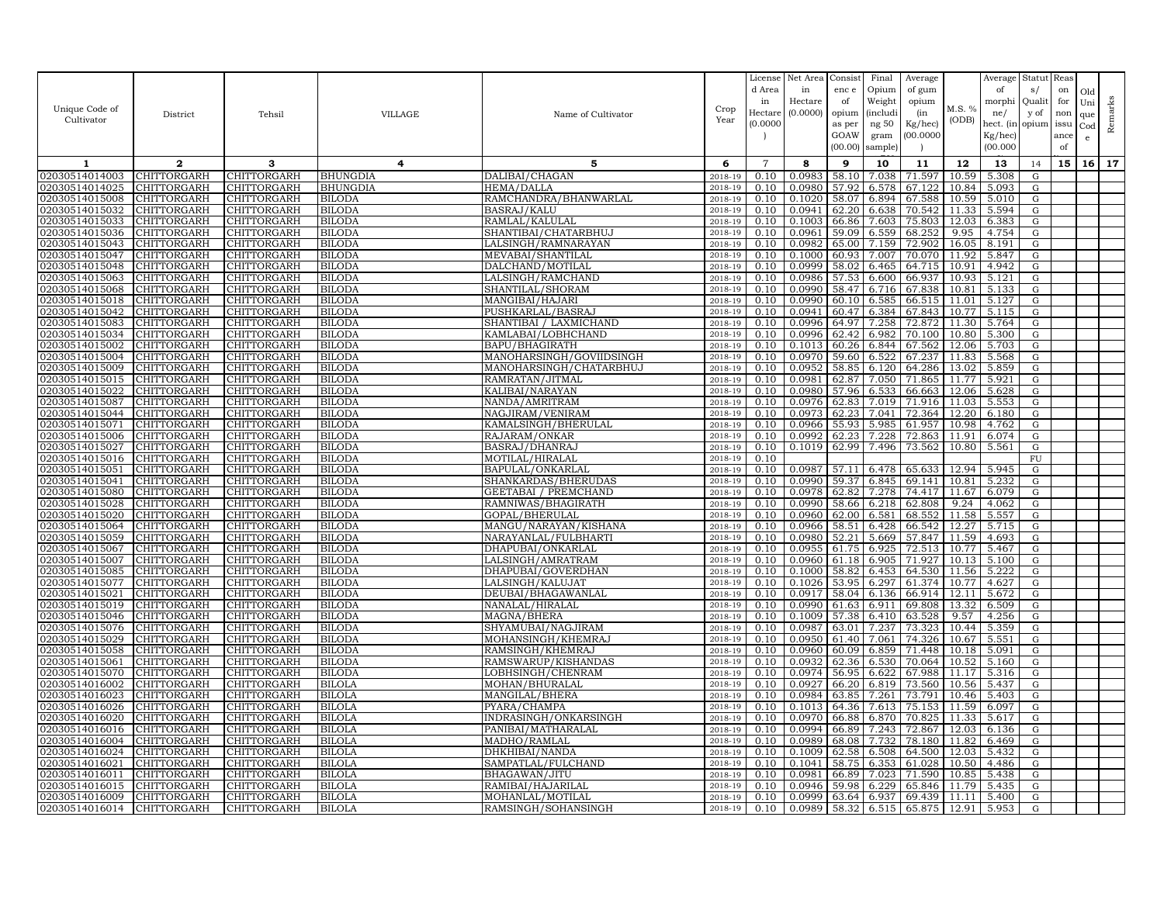| Unique Code of<br>Cultivator     | District                   | Tehsil                     | VILLAGE                        | Name of Cultivator                          | Crop<br>Year          | License<br>d Area<br>in<br>Hectare<br>(0.0000) | Net Area<br>in<br>Hectare<br>(0.0000) | Consist<br>enc e<br>of<br>opium<br>as per<br>GOAW<br>(00.00) | Final<br>Opium<br>Weight<br><i>(includi</i><br>ng 50<br>gram<br>sample) | Average<br>of gum<br>opium<br>(in<br>Kg/hec)<br>(00.0000) | M.S. %<br>(ODB) | Average<br>of<br>morphi<br>ne/<br>hect. (in<br>Kg/hec)<br>(00.000) | Statut<br>s/<br>Qualit<br>y of<br>opium | Reas<br>on<br>for<br>non<br>issu<br>ance<br>of | Old<br>Uni<br>que<br>Cod<br>e | Remarks |
|----------------------------------|----------------------------|----------------------------|--------------------------------|---------------------------------------------|-----------------------|------------------------------------------------|---------------------------------------|--------------------------------------------------------------|-------------------------------------------------------------------------|-----------------------------------------------------------|-----------------|--------------------------------------------------------------------|-----------------------------------------|------------------------------------------------|-------------------------------|---------|
| $\mathbf{1}$                     | $\mathbf{2}$               | 3                          | 4                              | 5                                           | 6                     | $\overline{7}$                                 | 8                                     | 9                                                            | 10                                                                      | 11                                                        | 12              | 13                                                                 | 14                                      | 15                                             | 16                            | 17      |
| 02030514014003                   | CHITTORGARH                | <b>HITTORGARH</b>          | <b>BHUNGDIA</b>                | DALIBAI/CHAGAN                              | 2018-19               | 0.10                                           | 0.0983                                | 58.10                                                        | 7.038                                                                   | 71.597                                                    | 10.59           | 5.308                                                              | G                                       |                                                |                               |         |
| 02030514014025                   | CHITTORGARH                | CHITTORGARH                | BHUNGDIA                       | <b>HEMA/DALLA</b>                           | 2018-19               | 0.10                                           | 0.0980                                | 57.92                                                        | 6.578                                                                   | 67.122                                                    | 10.84           | 5.093                                                              | G                                       |                                                |                               |         |
| 02030514015008                   | CHITTORGARH                | CHITTORGARH                | <b>BILODA</b>                  | RAMCHANDRA/BHANWARLAL                       | 2018-1                | 0.10                                           | 0.1020                                | 58.07                                                        | 6.894                                                                   | 67.588                                                    | 10.59           | 5.010                                                              | ${\rm G}$                               |                                                |                               |         |
| 02030514015032                   | CHITTORGARH                | CHITTORGARH                | <b>BILODA</b>                  | <b>BASRAJ/KALU</b>                          | 2018-19               | 0.10                                           | 0.0941                                | 62.20                                                        | 6.638                                                                   | 70.542                                                    | 11.33           | 5.594                                                              | G                                       |                                                |                               |         |
| 02030514015033                   | CHITTORGARH                | CHITTORGARH                | <b>BILODA</b>                  | RAMLAL/KALULAL                              | 2018-19               | 0.10                                           | 0.1003                                | 66.86                                                        | 7.603                                                                   | 75.803                                                    | 12.03           | 6.383                                                              | G                                       |                                                |                               |         |
| 02030514015036                   | CHITTORGARH                | CHITTORGARH                | <b>BILODA</b>                  | SHANTIBAI/CHATARBHUJ                        | 2018-19               | 0.10                                           | 0.0961                                | 59.09                                                        | 6.559                                                                   | 68.252                                                    | 9.95            | 4.754                                                              | ${\rm G}$                               |                                                |                               |         |
| 02030514015043                   | CHITTORGARH                | CHITTORGARH                | BILODA                         | LALSINGH/RAMNARAYAN                         | 2018-19               | 0.10                                           | 0.0982                                | 65.00                                                        | 7.159                                                                   | 72.902                                                    | 16.05           | 8.191                                                              | ${\rm G}$                               |                                                |                               |         |
| 02030514015047                   | CHITTORGARH                | CHITTORGARH                | <b>BILODA</b>                  | MEVABAI/SHANTILAL                           | 2018-19               | 0.10                                           | 0.1000                                | 60.93                                                        | 7.007                                                                   | 70.070                                                    | 11.92           | 5.847                                                              | G                                       |                                                |                               |         |
| 02030514015048<br>02030514015063 | CHITTORGARH<br>CHITTORGARH | CHITTORGARH<br>CHITTORGARH | BILODA<br>BILODA               | DALCHAND/MOTILAI<br>LALSINGH/RAMCHAND       | 2018-19<br>$2018 - 1$ | 0.10<br>0.10                                   | 0.0999<br>0.0986                      | 58.02<br>57.53                                               | 6.465<br>6.600                                                          | 64.715<br>66.937                                          | 10.91<br>10.93  | 4.942<br>5.121                                                     | G<br>G                                  |                                                |                               |         |
| 02030514015068                   | CHITTORGARH                | CHITTORGARH                | <b>BILODA</b>                  | SHANTILAL/SHORAM                            | 2018-19               | 0.10                                           | 0.0990                                | 58.47                                                        | 6.716                                                                   | 67.838                                                    | 10.81           | 5.133                                                              | G                                       |                                                |                               |         |
| 02030514015018                   | CHITTORGARH                | CHITTORGARH                | <b>BILODA</b>                  | MANGIBAI/HAJARI                             | 2018-19               | 0.10                                           | 0.0990                                | 60.10                                                        | 6.585                                                                   | 66.515                                                    | 11.01           | 5.127                                                              | G                                       |                                                |                               |         |
| 02030514015042                   | CHITTORGARH                | CHITTORGARH                | <b>BILODA</b>                  | PUSHKARLAL/BASRA.                           | 2018-19               | 0.10                                           | 0.0941                                | 60.47                                                        | 6.384                                                                   | 67.843                                                    | 10.77           | 5.115                                                              | G                                       |                                                |                               |         |
| 02030514015083                   | CHITTORGARH                | CHITTORGARH                | <b>BILODA</b>                  | SHANTIBAI / LAXMICHAND                      | 2018-19               | 0.10                                           | 0.0996                                | 64.97                                                        | 7.258                                                                   | 72.872                                                    | 11.30           | 5.764                                                              | ${\rm G}$                               |                                                |                               |         |
| 02030514015034                   | CHITTORGARH                | CHITTORGARH                | <b>BILODA</b>                  | KAMLABAI/LOBHCHAND                          | 2018-19               | 0.10                                           | 0.0996                                | 62.42                                                        | 6.982                                                                   | 70.100                                                    | 10.80           | 5.300                                                              | G                                       |                                                |                               |         |
| 02030514015002                   | CHITTORGARH                | CHITTORGARH                | BILODA                         | BAPU/BHAGIRATH                              | 2018-19               | 0.10                                           | 0.1013                                | 60.26                                                        | 6.844                                                                   | 67.562                                                    | 12.06           | 5.703                                                              | G                                       |                                                |                               |         |
| 02030514015004                   | CHITTORGARH                | CHITTORGARH                | BILODA                         | MANOHARSINGH/GOVIIDSINGH                    | 2018-19               | 0.10                                           | 0.0970                                | 59.60                                                        | 6.522                                                                   | 67.237                                                    | 11.83           | 5.568                                                              | G                                       |                                                |                               |         |
| 02030514015009                   | CHITTORGARH                | CHITTORGARH                | BILODA                         | MANOHARSINGH/CHATARBHUJ                     | 2018-19               | 0.10                                           | 0.0952                                | 58.85                                                        | 6.120                                                                   | 64.286                                                    | 13.02           | 5.859                                                              | ${\rm G}$                               |                                                |                               |         |
| 02030514015015                   | CHITTORGARH                | CHITTORGARH                | <b>BILODA</b>                  | RAMRATAN/JITMAL                             | 2018-19               | 0.10                                           | 0.0981                                | 62.87                                                        | 7.050                                                                   | 71.865                                                    | 11.77           | 5.921                                                              | G                                       |                                                |                               |         |
| 02030514015022                   | CHITTORGARH                | CHITTORGARH                | <b>BILODA</b>                  | KALIBAI/NARAYAN                             | 2018-19               | 0.10                                           | 0.0980                                | 57.96                                                        | 6.533                                                                   | 66.663                                                    | 12.06           | 5.628                                                              | G                                       |                                                |                               |         |
| 02030514015087                   | CHITTORGARH                | CHITTORGARH                | <b>BILODA</b>                  | NANDA/AMRITRAM                              | 2018-19               | 0.10                                           | 0.0976                                | 62.83                                                        | 7.019                                                                   | 71.916                                                    | 11.03           | 5.553                                                              | ${\rm G}$                               |                                                |                               |         |
| 02030514015044                   | CHITTORGARH                | CHITTORGARH                | <b>BILODA</b>                  | NAGJIRAM/VENIRAM                            | 2018-19               | 0.10                                           | 0.0973                                | 62.23                                                        | 7.041                                                                   | 72.364                                                    | 12.20           | 6.180                                                              | G                                       |                                                |                               |         |
| 02030514015071<br>02030514015006 | CHITTORGARH<br>CHITTORGARH | CHITTORGARH<br>CHITTORGARH | <b>BILODA</b><br>BILODA        | KAMALSINGH/BHERULAL<br>RAJARAM/ONKAR        | 2018-19<br>2018-19    | 0.10<br>0.10                                   | 0.0966<br>0.0992                      | 55.93<br>62.23                                               | 5.985<br>7.228                                                          | 61.957<br>72.863                                          | 10.98<br>11.91  | 4.762<br>6.074                                                     | G<br>G                                  |                                                |                               |         |
| 02030514015027                   | CHITTORGARH                | CHITTORGARH                | BILODA                         | BASRAJ/DHANRAJ                              | 2018-19               | 0.10                                           | 0.1019                                | 62.99                                                        | 7.496                                                                   | 73.562                                                    | 10.80           | 5.561                                                              | ${\rm G}$                               |                                                |                               |         |
| 02030514015016                   | <b>CHITTORGARH</b>         | CHITTORGARH                | <b>BILODA</b>                  | MOTILAL/HIRALAL                             | 2018-19               | 0.10                                           |                                       |                                                              |                                                                         |                                                           |                 |                                                                    | ${\rm FU}$                              |                                                |                               |         |
| 02030514015051                   | CHITTORGARH                | CHITTORGARH                | BILODA                         | BAPULAL/ONKARLAI                            | 2018-19               | 0.10                                           | 0.0987                                | 57.11                                                        | 6.478                                                                   | 65.633                                                    | 12.94           | 5.945                                                              | G                                       |                                                |                               |         |
| 02030514015041                   | CHITTORGARH                | CHITTORGARH                | BILODA                         | SHANKARDAS/BHERUDAS                         | 2018-19               | 0.10                                           | 0.0990                                | 59.37                                                        | 6.845                                                                   | 69.141                                                    | 10.81           | 5.232                                                              | ${\rm G}$                               |                                                |                               |         |
| 02030514015080                   | CHITTORGARH                | CHITTORGARH                | BILODA                         | GEETABAI / PREMCHAND                        | 2018-19               | 0.10                                           | 0.0978                                | 62.82                                                        | 7.278                                                                   | 74.417                                                    | 11.67           | 6.079                                                              | G                                       |                                                |                               |         |
| 02030514015028                   | CHITTORGARH                | CHITTORGARH                | <b>BILODA</b>                  | RAMNIWAS/BHAGIRATH                          | 2018-19               | 0.10                                           | 0.0990                                | 58.66                                                        | 6.218                                                                   | 62.808                                                    | 9.24            | 4.062                                                              | ${\rm G}$                               |                                                |                               |         |
| 02030514015020                   | CHITTORGARH                | CHITTORGARH                | BILODA                         | GOPAL/BHERULAL                              | 2018-19               | 0.10                                           | 0.0960                                | 62.00                                                        | 6.581                                                                   | 68.552                                                    | 11.58           | 5.557                                                              | G                                       |                                                |                               |         |
| 02030514015064                   | CHITTORGARH                | CHITTORGARH                | BILODA                         | MANGU/NARAYAN/KISHANA                       | 2018-19               | 0.10                                           | 0.0966                                | 58.51                                                        | 6.428                                                                   | 66.542                                                    | 12.27           | 5.715                                                              | ${\bf G}$                               |                                                |                               |         |
| 02030514015059                   | CHITTORGARH                | CHITTORGARH                | <b>BILODA</b>                  | NARAYANLAL/FULBHARTI                        | 2018-19               | 0.10                                           | 0.0980                                | 52.21                                                        | 5.669                                                                   | 57.847                                                    | 11.59           | 4.693                                                              | G                                       |                                                |                               |         |
| 02030514015067                   | CHITTORGARH                | CHITTORGARH                | <b>BILODA</b>                  | DHAPUBAI/ONKARLAL                           | 2018-19               | 0.10                                           | 0.0955                                | 61.75                                                        | 6.925                                                                   | 72.513                                                    | 10.77           | 5.467                                                              | G                                       |                                                |                               |         |
| 02030514015007                   | CHITTORGARH                | CHITTORGARH                | <b>BILODA</b>                  | LALSINGH/AMRATRAM                           | 2018-19               | 0.10                                           | 0.0960                                | 61.18                                                        | 6.905                                                                   | 71.927                                                    | 10.13           | 5.100                                                              | G                                       |                                                |                               |         |
| 02030514015085                   | CHITTORGARH                | CHITTORGARH                | <b>BILODA</b>                  | DHAPUBAI/GOVERDHAN                          | 2018-19               | 0.10                                           | 0.1000                                | 58.82                                                        | 6.453                                                                   | 64.530                                                    | 11.56           | 5.222                                                              | ${\rm G}$                               |                                                |                               |         |
| 02030514015077<br>0203051401502  | CHITTORGARH                | CHITTORGARH                | <b>BILODA</b><br>BILODA        | LALSINGH/KALUJAT                            | 2018-19<br>2018-19    | 0.10<br>0.10                                   | 0.1026<br>0.0917                      | 53.95<br>58.04                                               | 6.297                                                                   | 61.374<br>66.914                                          | 10.77<br>12.11  | 4.627<br>5.672                                                     | G                                       |                                                |                               |         |
| 02030514015019                   | CHITTORGARH<br>CHITTORGARH | CHITTORGARH<br>CHITTORGARH | <b>BILODA</b>                  | DEUBAI/BHAGAWANLAI<br>NANALAL/HIRALAI       | $2018 - 1$            | 0.10                                           | 0.0990                                | 61.63                                                        | 6.136<br>6.911                                                          | 69.808                                                    | 13.32           | 6.509                                                              | G<br>$\mathbf G$                        |                                                |                               |         |
| 02030514015046                   | CHITTORGARH                | CHITTORGARH                | <b>BILODA</b>                  | MAGNA/BHERA                                 | 2018-19               | 0.10                                           | 0.1009                                | 57.38                                                        | 6.410                                                                   | 63.528                                                    | 9.57            | 4.256                                                              | G                                       |                                                |                               |         |
| 02030514015076                   | CHITTORGARH                | CHITTORGARH                | <b>BILODA</b>                  | SHYAMUBAI/NAGJIRAM                          | 2018-19               | 0.10                                           | 0.0987                                | 63.01                                                        | 7.237                                                                   | 73.323                                                    | 10.44           | 5.359                                                              | G                                       |                                                |                               |         |
| 02030514015029                   | CHITTORGARH                | CHITTORGARH                | BILODA                         | MOHANSINGH/KHEMRAJ                          | 2018-19               | 0.10                                           | 0.0950                                | 61.40                                                        | 7.061                                                                   | 74.326                                                    | 10.67           | 5.551                                                              | G                                       |                                                |                               |         |
| 02030514015058                   | CHITTORGARH                | CHITTORGARH                | BILODA                         | RAMSINGH/KHEMRAJ                            | 2018-19               | 0.10                                           | 0.0960                                | 60.09                                                        | 6.859                                                                   | 71.448                                                    | 10.18           | 5.091                                                              | G                                       |                                                |                               |         |
| 02030514015061                   | CHITTORGARH                | CHITTORGARH                | BILODA                         | RAMSWARUP/KISHANDAS                         | 2018-19               | 0.10                                           | 0.0932                                | 62.36                                                        | 6.530                                                                   | 70.064                                                    | 10.52           | 5.160                                                              | G                                       |                                                |                               |         |
| 02030514015070                   | CHITTORGARH                | CHITTORGARH                | BILODA                         | LOBHSINGH/CHENRAM                           | 2018-19               | 0.10                                           | 0.0974                                | 56.95                                                        | 6.622                                                                   | 67.988                                                    | 11.17           | 5.316                                                              | G                                       |                                                |                               |         |
| 02030514016002                   | CHITTORGARH                | CHITTORGARH                | BILOLA                         | MOHAN/BHURALAL                              | $2018 - 1$            | 0.10                                           | 0.0927                                | 66.20                                                        | 6.819                                                                   | 73.560                                                    | 10.56           | 5.437                                                              | G                                       |                                                |                               |         |
| 02030514016023                   | CHITTORGARH                | CHITTORGARH                | BILOLA                         | MANGILAL/BHERA                              | 2018-19               | 0.10                                           | 0.0984                                | 63.85                                                        | 7.261                                                                   | 73.791                                                    | 10.46           | 5.403                                                              | G                                       |                                                |                               |         |
| 02030514016026                   | CHITTORGARH                | CHITTORGARH                | <b>BILOLA</b>                  | PYARA/CHAMPA                                | 2018-19               | 0.10                                           | 0.1013                                | 64.36                                                        | 7.613                                                                   | 75.153                                                    | 11.59           | 6.097                                                              | G                                       |                                                |                               |         |
| 02030514016020<br>02030514016016 | CHITTORGARH<br>CHITTORGARH | CHITTORGARH<br>CHITTORGARH | <b>BILOLA</b><br><b>BILOLA</b> | INDRASINGH/ONKARSINGH<br>PANIBAI/MATHARALAL | 2018-19<br>2018-19    | 0.10<br>0.10                                   | 0.0970<br>0.0994                      | 66.88<br>66.89                                               | 6.870<br>7.243                                                          | 70.825<br>72.867                                          | 11.33<br>12.03  | 5.617<br>6.136                                                     | G<br>$\overline{G}$                     |                                                |                               |         |
| 02030514016004                   | CHITTORGARH                | CHITTORGARH                | <b>BILOLA</b>                  | MADHO/RAMLAL                                | 2018-19               | 0.10                                           | 0.0989                                | 68.08                                                        | 7.732                                                                   | 78.180                                                    | 11.82           | 6.469                                                              | G                                       |                                                |                               |         |
| 02030514016024                   | CHITTORGARH                | CHITTORGARH                | BILOLA                         | DHKHIBAI/NANDA                              | 2018-19               | 0.10                                           | 0.1009                                | 62.58                                                        | 6.508                                                                   | 64.500                                                    | 12.03           | 5.432                                                              | G                                       |                                                |                               |         |
| 02030514016021                   | CHITTORGARH                | CHITTORGARH                | <b>BILOLA</b>                  | SAMPATLAL/FULCHAND                          | 2018-19               | 0.10                                           | 0.1041                                | 58.75                                                        | 6.353                                                                   | 61.028                                                    | 10.50           | 4.486                                                              | G                                       |                                                |                               |         |
| 02030514016011                   | CHITTORGARH                | CHITTORGARH                | BILOLA                         | BHAGAWAN/JITU                               | 2018-19               | 0.10                                           | 0.098                                 | 66.89                                                        | 7.023                                                                   | 71.590                                                    | 10.85           | 5.438                                                              | G                                       |                                                |                               |         |
| 02030514016015                   | CHITTORGARH                | CHITTORGARH                | BILOLA                         | RAMIBAI/HAJARILAL                           | 2018-19               | 0.10                                           | 0.0946                                | 59.98                                                        | 6.229                                                                   | 65.846                                                    | 11.79           | 5.435                                                              | G                                       |                                                |                               |         |
| 02030514016009                   | CHITTORGARH                | CHITTORGARH                | <b>BILOLA</b>                  | MOHANLAL/MOTILAI                            | 2018-19               | 0.10                                           | 0.0999                                | 63.64                                                        | 6.937                                                                   | 69.439                                                    | 11.11           | 5.400                                                              | G                                       |                                                |                               |         |
| 02030514016014                   | CHITTORGARH                | CHITTORGARH                | <b>BILOLA</b>                  | RAMSINGH/SOHANSINGH                         | 2018-19               | 0.10                                           | 0.0989                                | 58.32                                                        | 6.515                                                                   | 65.875                                                    | 12.91           | 5.953                                                              | G                                       |                                                |                               |         |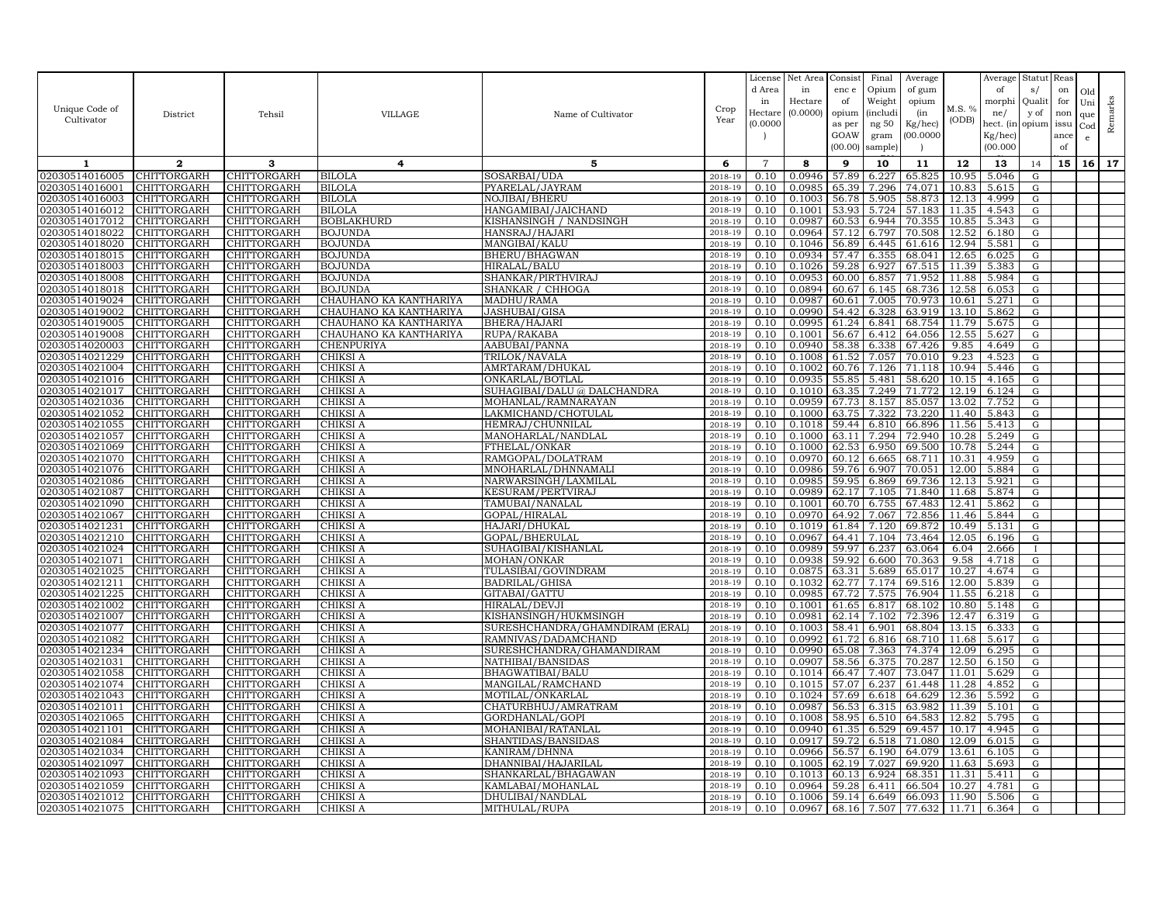|                                  |                            |                            |                             |                                        |                    | License        | Net Area            | Consist        | Final              | Average          |                | Average        | Statut         | Reas       |           |         |
|----------------------------------|----------------------------|----------------------------|-----------------------------|----------------------------------------|--------------------|----------------|---------------------|----------------|--------------------|------------------|----------------|----------------|----------------|------------|-----------|---------|
|                                  |                            |                            |                             |                                        |                    | d Area         | in                  | enc e          | Opium              | of gum           |                | of             | s/             | on         | Old       |         |
| Unique Code of                   |                            |                            |                             |                                        | Crop               | in<br>Hectar   | Hectare<br>(0.0000) | of<br>opium    | Weight<br>(includi | opium<br>(in     | M.S. %         | morphi<br>ne/  | Qualit<br>y of | for<br>non | Uni       | Remarks |
| Cultivator                       | District                   | Tehsil                     | VILLAGE                     | Name of Cultivator                     | Year               | (0.0000)       |                     | as per         | ng 50              | Kg/hec)          | (ODB)          | hect. (in      | opium issu     |            | que       |         |
|                                  |                            |                            |                             |                                        |                    |                |                     | GOAW           | gram               | 00.0000          |                | Kg/hec)        |                | ance       | Cod<br>e. |         |
|                                  |                            |                            |                             |                                        |                    |                |                     | (00.00)        | sample)            |                  |                | (00.000)       |                | of         |           |         |
| 1                                | $\mathbf{2}$               | 3                          | 4                           | 5                                      | 6                  | $\overline{7}$ | 8                   | 9              | 10                 | 11               | 12             | 13             | 14             | 15         | 16        | 17      |
| 02030514016005                   | CHITTORGARH                | <b>HITTORGARH</b>          | <b>BILOLA</b>               | SOSARBAI/UDA                           | 2018-19            | 0.10           | 0.0946              | 57.89          | 6.227              | 65.825           | 10.95          | 5.046          | G              |            |           |         |
| 02030514016001                   | CHITTORGARH                | CHITTORGARH                | <b>BILOLA</b>               | PYARELAL/JAYRAM                        | 2018-19            | 0.10           | 0.0985              | 65.39          | 7.296              | 74.071           | 10.83          | 5.615          | G              |            |           |         |
| 02030514016003                   | CHITTORGARH                | CHITTORGARH                | <b>BILOLA</b>               | NOJIBAI/BHERU                          | 2018-19            | 0.10           | 0.1003              | 56.78          | 5.905              | 58.873           | 12.13          | 4.999          | ${\rm G}$      |            |           |         |
| 02030514016012                   | CHITTORGARH                | CHITTORGARH                | <b>BILOLA</b>               | HANGAMIBAI/JAICHAND                    | 2018-19            | 0.10           | 0.1001              | 53.93          | 5.724              | 57.183           | 11.35          | 4.543          | G              |            |           |         |
| 02030514017012                   | CHITTORGARH                | CHITTORGARH                | <b>BOBLAKHURD</b>           | KISHANSINGH / NANDSINGH                | 2018-19            | 0.10           | 0.0987              | 60.53          | 6.944              | 70.355           | 10.85          | 5.343          | G              |            |           |         |
| 02030514018022                   | CHITTORGARH                | CHITTORGARH                | <b>BOJUNDA</b>              | HANSRAJ/HAJARI                         | 2018-19            | 0.10           | 0.0964              | 57.12          | 6.797              | 70.508           | 12.52          | 6.180          | G              |            |           |         |
| 02030514018020                   | CHITTORGARH                | CHITTORGARH                | <b>BOJUNDA</b>              | MANGIBAI/KALU                          | 2018-19            | 0.10           | 0.1046              | 56.89          | 6.445              | 61.616           | 12.94          | 5.581          | G              |            |           |         |
| 02030514018015                   | CHITTORGARH                | CHITTORGARH                | <b>BOJUNDA</b>              | BHERU/BHAGWAN                          | 2018-19            | 0.10           | 0.0934              | 57.47          | 6.355              | 68.041           | 12.65          | 6.025          | G              |            |           |         |
| 02030514018003                   | CHITTORGARH                | CHITTORGARH                | <b>BOJUNDA</b>              | HIRALAL/BALU                           | 2018-19            | 0.10           | 0.1026              | 59.28          | 6.927              | 67.515           | 11.39          | 5.383          | G              |            |           |         |
| 02030514018008                   | CHITTORGARH                | CHITTORGARH                | <b>BOJUNDA</b>              | SHANKAR/PIRTHVIRAJ                     | 2018-19            | 0.10           | 0.0953              | 60.00          | 6.857              | 71.952           | 11.88          | 5.984          | G              |            |           |         |
| 02030514018018                   | CHITTORGARH                | CHITTORGARH                | <b>BOJUNDA</b>              | SHANKAR / CHHOGA                       | 2018-19            | 0.10           | 0.0894              | 60.67          | 6.145              | 68.736           | 12.58          | 6.053          | G              |            |           |         |
| 02030514019024                   | CHITTORGARH                | CHITTORGARH                | CHAUHANO KA KANTHARIYA      | MADHU/RAMA                             | 2018-19            | 0.10           | 0.0987              | 60.61          | 7.005              | 70.973           | 10.61          | 5.271          | G              |            |           |         |
| 02030514019002                   | CHITTORGARH                | CHITTORGARH                | CHAUHANO KA KANTHARIYA      | JASHUBAI/GIS/                          | 2018-19            | 0.10           | 0.0990              | 54.42          | 6.328              | 63.919           | 13.10          | 5.862          | G              |            |           |         |
| 02030514019005                   | CHITTORGARH                | CHITTORGARH                | CHAUHANO KA KANTHARIYA      | BHERA/HAJARI                           | 2018-19            | 0.10           | 0.0995              | 61.24          | 6.841              | 68.754           | 11.79          | 5.675          | ${\rm G}$      |            |           |         |
| 02030514019008                   | CHITTORGARH                | CHITTORGARH                | CHAUHANO KA KANTHARIYA      | RUPA/RAKABA                            | 2018-19            | 0.10           | 0.1001              | 56.67          | 6.412              | 64.056           | 12.55          | 5.627          | G              |            |           |         |
| 02030514020003                   | CHITTORGARH                | CHITTORGARH                | CHENPURIYA                  | AABUBAI/PANNA                          | 2018-19            | 0.10           | 0.0940              | 58.38          | 6.338              | 67.426           | 9.85           | 4.649          | G              |            |           |         |
| 02030514021229                   | CHITTORGARH                | CHITTORGARH                | CHIKSI A                    | TRILOK/NAVALA                          | 2018-19            | 0.10           | 0.1008              | 61.52          | 7.057              | 70.010           | 9.23           | 4.523          | G              |            |           |         |
| 02030514021004                   | CHITTORGARH                | CHITTORGARH                | CHIKSI A                    | AMRTARAM/DHUKAL                        | 2018-19            | 0.10           | 0.1002              | 60.76          | 7.126              | 71.118           | 10.94          | 5.446          | G              |            |           |         |
| 02030514021016                   | CHITTORGARH                | CHITTORGARH                | CHIKSI A                    | ONKARLAL/BOTLAL                        | 2018-19            | 0.10           | 0.0935              | 55.85          | 5.481              | 58.620           | 10.15          | 4.165          | G              |            |           |         |
| 02030514021017                   | CHITTORGARH                | CHITTORGARH                | CHIKSI A                    | SUHAGIBAI/DALU @ DALCHANDRA            | 2018-19            | 0.10           | 0.1010              | 63.35          | 7.249              | 71.772           | 12.19          | 6.124          | G              |            |           |         |
| 02030514021036                   | CHITTORGARH                | CHITTORGARH                | CHIKSI A                    | MOHANLAL/RAMNARAYAN                    | 2018-19            | 0.10           | 0.0959              | 67.73          | 8.157              | 85.057           | 13.02          | 7.752          | G              |            |           |         |
| 02030514021052<br>02030514021055 | CHITTORGARH                | CHITTORGARH<br>CHITTORGARH | CHIKSI A                    | LAKMICHAND/CHOTULAL                    | 2018-19            | 0.10           | 0.1000<br>0.1018    | 63.75          | 7.322              | 73.220<br>66.896 | 11.40<br>11.56 | 5.843<br>5.413 | G              |            |           |         |
| 02030514021057                   | CHITTORGARH<br>CHITTORGARH | CHITTORGARH                | CHIKSI A<br>CHIKSI A        | HEMRAJ/CHUNNILAL<br>MANOHARLAL/NANDLAL | 2018-19<br>2018-19 | 0.10<br>0.10   | 0.1000              | 59.44<br>63.11 | 6.810<br>7.294     | 72.940           | 10.28          | 5.249          | G<br>G         |            |           |         |
| 02030514021069                   | CHITTORGARH                | CHITTORGARH                | CHIKSI A                    | FTHELAL/ONKAR                          | 2018-19            | 0.10           | 0.1000              | 62.53          | 6.950              | 69.500           | 10.78          | 5.244          | G              |            |           |         |
| 02030514021070                   | CHITTORGARH                | CHITTORGARH                | CHIKSI A                    | RAMGOPAL/DOLATRAM                      | 2018-19            | 0.10           | 0.0970              | 60.12          | 6.665              | 68.711           | 10.31          | 4.959          | G              |            |           |         |
| 02030514021076                   | CHITTORGARH                | CHITTORGARH                | CHIKSI A                    | MNOHARLAL/DHNNAMAL                     | 2018-19            | 0.10           | 0.0986              | 59.76          | 6.907              | 70.051           | 12.00          | 5.884          | G              |            |           |         |
| 02030514021086                   | CHITTORGARH                | CHITTORGARH                | CHIKSI A                    | NARWARSINGH/LAXMILAL                   | 2018-19            | 0.10           | 0.0985              | 59.95          | 6.869              | 69.736           | 12.13          | 5.921          | G              |            |           |         |
| 02030514021087                   | CHITTORGARH                | CHITTORGARH                | CHIKSI A                    | KESURAM/PERTVIRAJ                      | 2018-19            | 0.10           | 0.0989              | 62.17          | 7.105              | 71.840           | 11.68          | 5.874          | G              |            |           |         |
| 02030514021090                   | CHITTORGARH                | CHITTORGARH                | CHIKSI A                    | TAMUBAI/NANALAL                        | 2018-19            | 0.10           | 0.1001              | 60.70          | 6.755              | 67.483           | 12.41          | 5.862          | G              |            |           |         |
| 02030514021067                   | CHITTORGARH                | CHITTORGARH                | CHIKSI A                    | GOPAL/HIRALAL                          | 2018-19            | 0.10           | 0.0970              | 64.92          | 7.067              | 72.856           | 11.46          | 5.844          | G              |            |           |         |
| 02030514021231                   | CHITTORGARH                | CHITTORGARH                | CHIKSI A                    | HAJARI/DHUKAL                          | 2018-19            | 0.10           | 0.1019              | 61.84          | 7.120              | 69.872           | 10.49          | 5.131          | G              |            |           |         |
| 02030514021210                   | CHITTORGARH                | CHITTORGARH                | CHIKSI A                    | GOPAL/BHERULAL                         | 2018-19            | 0.10           | 0.0967              | 64.41          | 7.104              | 73.464           | 12.05          | 6.196          | G              |            |           |         |
| 02030514021024                   | CHITTORGARH                | CHITTORGARH                | CHIKSI A                    | SUHAGIBAI/KISHANLAL                    | 2018-19            | 0.10           | 0.0989              | 59.97          | 6.237              | 63.064           | 6.04           | 2.666          |                |            |           |         |
| 02030514021071                   | CHITTORGARH                | CHITTORGARH                | CHIKSI A                    | MOHAN/ONKAR                            | 2018-19            | 0.10           | 0.0938              | 59.92          | 6.600              | 70.363           | 9.58           | 4.718          | G              |            |           |         |
| 02030514021025                   | CHITTORGARH                | CHITTORGARH                | CHIKSI A                    | TULASIBAI/GOVINDRAM                    | 2018-19            | 0.10           | 0.0875              | 63.31          | 5.689              | 65.017           | 10.27          | 4.674          | G              |            |           |         |
| 02030514021211                   | CHITTORGARH                | CHITTORGARH                | CHIKSI A                    | BADRILAL/GHISA                         | 2018-19            | 0.10           | 0.1032              | 62.77          | 7.174              | 69.516           | 12.00          | 5.839          | G              |            |           |         |
| 02030514021225                   | CHITTORGARH                | CHITTORGARH                | CHIKSI A                    | GITABAI/GATTU                          | 2018-19            | 0.10           | 0.0985              | 67.72          | 7.575              | 76.904           | 11.55          | 6.218          | G              |            |           |         |
| 02030514021002                   | CHITTORGARH                | CHITTORGARH                | CHIKSI A                    | HIRALAL/DEVJI                          | 2018-19            | 0.10           | 0.1001              | 61.65          | 6.817              | 68.102           | 10.80          | 5.148          | G              |            |           |         |
| 02030514021007                   | CHITTORGARH                | CHITTORGARH                | CHIKSI A                    | KISHANSINGH/HUKMSINGH                  | 2018-19            | 0.10           | 0.0981              | 62.14          | 7.102              | 72.396           | 12.47          | 6.319          | G              |            |           |         |
| 02030514021077                   | CHITTORGARH                | CHITTORGARH                | CHIKSI A                    | SURESHCHANDRA/GHAMNDIRAM (ERAL)        | 2018-19            | 0.10           | 0.1003              | 58.41          | 6.901              | 68.804           | 13.15          | 6.333          | G              |            |           |         |
| 02030514021082                   | CHITTORGARH                | CHITTORGARH                | CHIKSI A                    | RAMNIVAS/DADAMCHAND                    | 2018-19            | 0.10           | 0.0992              | 61.72          | 6.816              | 68.710           | 11.68          | 5.617          | G              |            |           |         |
| 02030514021234                   | CHITTORGARH                | CHITTORGARH                | CHIKSI A                    | SURESHCHANDRA/GHAMANDIRAM              | 2018-19            | 0.10           | 0.0990              | 65.08          | 7.363              | 74.374           | 12.09          | 6.295          | G              |            |           |         |
| 02030514021031                   | CHITTORGARH                | CHITTORGARH                | CHIKSI A                    | NATHIBAI/BANSIDAS                      | 2018-19            | 0.10           | 0.0907              | 58.56          | 6.375              | 70.287           | 12.50          | 6.150          | G              |            |           |         |
| 02030514021058                   | CHITTORGARH                | CHITTORGARH                | CHIKSI A                    | BHAGWATIBAI/BALU                       | 2018-19            | 0.10           | 0.1014              | 66.47          | 7.407              | 73.047           | 11.01          | 5.629          | G              |            |           |         |
| 02030514021074                   | CHITTORGARH                | CHITTORGARH                | CHIKSI A                    | MANGILAL/RAMCHAND                      | 2018-19            | 0.10           | 0.1015              | 57.07          | 6.237              | 61.448           | 11.28          | 4.852          | G              |            |           |         |
| 02030514021043                   | CHITTORGARH                | CHITTORGARH                | CHIKSI A                    | MOTILAL/ONKARLAL                       | 2018-19            | 0.10           | 0.1024              | 57.69          | 6.618              | 64.629           | 12.36          | 5.592          | G              |            |           |         |
| 02030514021011<br>02030514021065 | CHITTORGARH<br>CHITTORGARH | CHITTORGARH<br>CHITTORGARH | <b>CHIKSI A</b><br>CHIKSI A | CHATURBHUJ/AMRATRAM<br>GORDHANLAL/GOPI | 2018-19<br>2018-19 | 0.10<br>0.10   | 0.0987<br>0.1008    | 56.53<br>58.95 | 6.315<br>6.510     | 63.982<br>64.583 | 11.39<br>12.82 | 5.101<br>5.795 | G<br>G         |            |           |         |
| 02030514021101                   | CHITTORGARH                | CHITTORGARH                | <b>CHIKSI A</b>             | MOHANIBAI/RATANLAI                     | 2018-19            | 0.10           | 0.0940              | 61.35          | 6.529              | 69.457           | 10.17          | 4.945          | G              |            |           |         |
| 02030514021084                   | CHITTORGARH                | CHITTORGARH                | CHIKSI A                    | SHANTIDAS/BANSIDAS                     | 2018-19            | 0.10           | 0.0917              | 59.72          | 6.518              | 71.080           | 12.09          | 6.015          | G              |            |           |         |
| 02030514021034                   | CHITTORGARH                | CHITTORGARH                | CHIKSI A                    | KANIRAM/DHNNA                          | 2018-19            | 0.10           | 0.0966              | 56.57          | 6.190              | 64.079           | 13.61          | 6.105          | G              |            |           |         |
| 02030514021097                   | CHITTORGARH                | CHITTORGARH                | CHIKSI A                    | DHANNIBAI/HAJARILAL                    | 2018-19            | 0.10           | 0.1005              | 62.19          | 7.027              | 69.920           | 11.63          | 5.693          | G              |            |           |         |
| 02030514021093                   | CHITTORGARH                | CHITTORGARH                | CHIKSI A                    | SHANKARLAL/BHAGAWAN                    | 2018-19            | 0.10           | 0.1013              | 60.13          | 6.924              | 68.351           | 11.31          | 5.411          | G              |            |           |         |
| 02030514021059                   | CHITTORGARH                | CHITTORGARH                | CHIKSI A                    | KAMLABAI/MOHANLAL                      | 2018-19            | 0.10           | 0.0964              | 59.28          | 6.411              | 66.504           | 10.27          | 4.781          | G              |            |           |         |
| 02030514021012                   | CHITTORGARH                | CHITTORGARH                | CHIKSI A                    | DHULIBAI/NANDLAL                       | 2018-19            | 0.10           | 0.1006              | 59.14          | 6.649              | 66.093           | 11.90          | 5.506          | G              |            |           |         |
| 02030514021075                   | CHITTORGARH                | CHITTORGARH                | CHIKSI A                    | MITHULAL/RUPA                          | 2018-19            | 0.10           | 0.0967              | 68.16          | 7.507              | 77.632           | 11.71          | 6.364          | G              |            |           |         |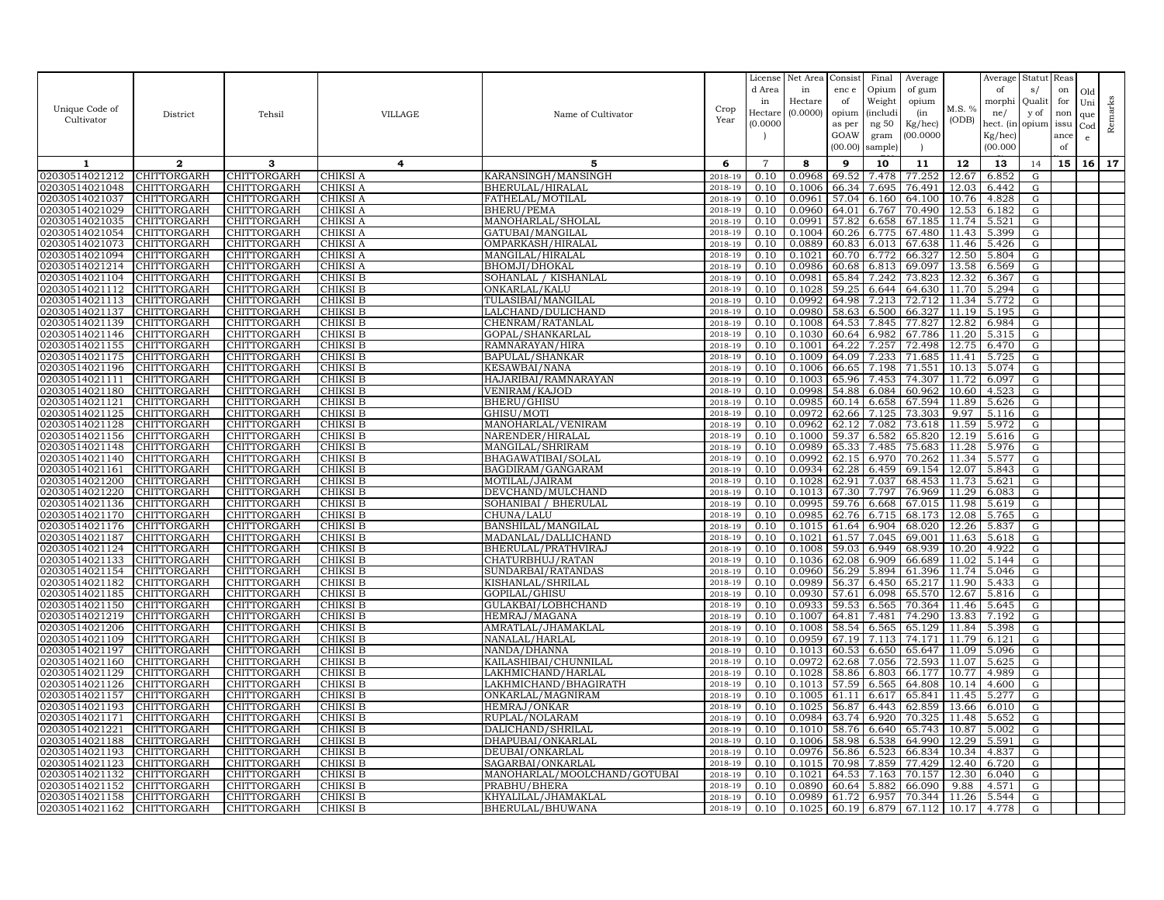| Unique Code of<br>Cultivator     | District                          | Tehsil                     | VILLAGE              | Name of Cultivator                    | Crop<br>Year       | License<br>d Area<br>in<br>Hectare<br>(0.0000) | Net Area<br>in<br>Hectare<br>(0.0000) | Consist<br>enc e<br>of<br>opium<br>as per | Final<br>Opium<br>Weight<br><i>(includi</i><br>ng 50 | Average<br>of gum<br>opium<br>(in<br>Kg/hec) | M.S. %<br>(ODB) | Average<br>of<br>morphi<br>ne/<br>hect. (in | Statut<br>s/<br>Quali<br>y of<br>opium | Reas<br>on<br>for<br>non<br>issu | Old<br>Uni<br>que<br>Cod | Remarks |
|----------------------------------|-----------------------------------|----------------------------|----------------------|---------------------------------------|--------------------|------------------------------------------------|---------------------------------------|-------------------------------------------|------------------------------------------------------|----------------------------------------------|-----------------|---------------------------------------------|----------------------------------------|----------------------------------|--------------------------|---------|
|                                  |                                   |                            |                      |                                       |                    |                                                |                                       | GOAW<br>(00.00)                           | gram<br>sample)                                      | 00.000C                                      |                 | $Kg/$ hec)<br>(00.000)                      |                                        | ance<br>of                       | $\mathbf{e}$             |         |
| 1                                | $\mathbf{2}$                      | 3                          | 4                    | 5                                     | 6                  | $\overline{7}$                                 | 8                                     | 9                                         | 10                                                   | 11                                           | 12              | 13                                          | 14                                     | 15                               | 16 <sup>1</sup>          | 17      |
| 02030514021212                   | <b>CHITTORGARH</b>                | CHITTORGARH                | CHIKSI A             | KARANSINGH/MANSINGH                   | 2018-19            | 0.10                                           | 0.0968                                | 69.52                                     | 7.478                                                | 77.252                                       | 12.67           | 6.852                                       | ${\rm G}$                              |                                  |                          |         |
| 02030514021048                   | CHITTORGARH                       | <b>CHITTORGARH</b>         | CHIKSI A             | BHERULAL/HIRALAL                      | 2018-19            | 0.10                                           | 0.1006                                | 66.34                                     | 7.695                                                | 76.491                                       | 12.03           | 6.442                                       | ${\rm G}$                              |                                  |                          |         |
| 02030514021037                   | CHITTORGARH                       | CHITTORGARH                | CHIKSI A             | FATHELAL/MOTILAL                      | 2018-19            | 0.10                                           | 0.0961                                | 57.04                                     | 6.160                                                | 64.100                                       | 10.76           | 4.828                                       | G                                      |                                  |                          |         |
| 02030514021029<br>02030514021035 | CHITTORGARH                       | CHITTORGARH                | CHIKSI A             | <b>BHERU/PEMA</b>                     | 2018-19<br>2018-19 | 0.10<br>0.10                                   | 0.0960<br>0.0991                      | 64.01<br>57.82                            | 6.767                                                | 70.490<br>67.185                             | 12.53<br>11.74  | 6.182                                       | ${\rm G}$<br>G                         |                                  |                          |         |
| 02030514021054                   | CHITTORGARH<br>CHITTORGARH        | CHITTORGARH<br>CHITTORGARH | CHIKSI A<br>CHIKSI A | MANOHARLAL/SHOLAL<br>GATUBAI/MANGILAL | 2018-19            | 0.10                                           | 0.1004                                | 60.26                                     | 6.658<br>6.775                                       | 67.480                                       | 11.43           | 5.521<br>5.399                              | ${\rm G}$                              |                                  |                          |         |
| 02030514021073                   | <b>CHITTORGARH</b>                | CHITTORGARH                | CHIKSI A             | OMPARKASH/HIRALAL                     | 2018-19            | 0.10                                           | 0.0889                                | 60.83                                     | 6.013                                                | 67.638                                       | 11.46           | 5.426                                       | G                                      |                                  |                          |         |
| 02030514021094                   | CHITTORGARH                       | CHITTORGARH                | CHIKSI A             | MANGILAL/HIRALAL                      | 2018-19            | 0.10                                           | 0.1021                                | 60.70                                     | 6.772                                                | 66.327                                       | 12.50           | 5.804                                       | G                                      |                                  |                          |         |
| 02030514021214                   | CHITTORGARH                       | CHITTORGARH                | CHIKSI A             | <b>BHOMJI/DHOKAL</b>                  | 2018-19            | 0.10                                           | 0.0986                                | 60.68                                     | 6.813                                                | 69.097                                       | 13.58           | 6.569                                       | G                                      |                                  |                          |         |
| 02030514021104                   | CHITTORGARH                       | CHITTORGARH                | CHIKSI B             | SOHANLAL / KISHANLAL                  | 2018-19            | 0.10                                           | 0.0981                                | 65.84                                     | 7.242                                                | 73.823                                       | 12.32           | 6.367                                       | ${\rm G}$                              |                                  |                          |         |
| 02030514021112                   | <b>CHITTORGARH</b>                | <b>CHITTORGARH</b>         | CHIKSI B             | ONKARLAL/KALU                         | 2018-19            | 0.10                                           | 0.1028                                | 59.25                                     | 6.644                                                | 64.630                                       | 11.70           | 5.294                                       | G                                      |                                  |                          |         |
| 02030514021113                   | CHITTORGARH                       | CHITTORGARH                | CHIKSI B             | TULASIBAI/MANGILAL                    | 2018-19            | 0.10                                           | 0.0992                                | 64.98                                     | 7.213                                                | 72.712                                       | 11.34           | 5.772                                       | ${\rm G}$                              |                                  |                          |         |
| 02030514021137                   | <b>CHITTORGARH</b>                | CHITTORGARH                | CHIKSI B             | LALCHAND/DULICHAND                    | 2018-19            | 0.10                                           | 0.0980                                | 58.63                                     | 6.500                                                | 66.327                                       | 11.19           | 5.195                                       | ${\rm G}$                              |                                  |                          |         |
| 02030514021139                   | CHITTORGARH                       | CHITTORGARH                | CHIKSI B             | CHENRAM/RATANLAL                      | 2018-19            | 0.10                                           | 0.1008                                | 64.53                                     | 7.845                                                | 77.827                                       | 12.82           | 6.984                                       | G                                      |                                  |                          |         |
| 02030514021146                   | CHITTORGARH                       | CHITTORGARH                | CHIKSI B             | GOPAL/SHANKARLAL                      | 2018-19            | 0.10                                           | 0.1030                                | 60.64                                     | 6.982                                                | 67.786                                       | 11.20           | 5.315                                       | G                                      |                                  |                          |         |
| 02030514021155                   | CHITTORGARH                       | CHITTORGARH                | CHIKSI B             | RAMNARAYAN/HIRA                       | 2018-19            | 0.10                                           | 0.1001                                | 64.22                                     | 7.257                                                | 72.498                                       | 12.75           | 6.470                                       | G                                      |                                  |                          |         |
| 02030514021175                   | CHITTORGARH                       | CHITTORGARH                | CHIKSI B             | <b>BAPULAL/SHANKAR</b>                | $2018 - 1$         | 0.10                                           | 0.1009                                | 64.09                                     | 7.233                                                | 71.685                                       | 11.41           | 5.725                                       | ${\rm G}$                              |                                  |                          |         |
| 02030514021196                   | <b>CHITTORGARH</b>                | CHITTORGARH                | CHIKSI B             | <b>KESAWBAI/NANA</b>                  | 2018-19            | 0.10                                           | 0.1006                                | 66.65                                     | 7.198                                                | 71.551                                       | 10.13           | 5.074                                       | G                                      |                                  |                          |         |
| 02030514021111                   | CHITTORGARH                       | CHITTORGARH                | CHIKSI B             | HAJARIBAI/RAMNARAYAN                  | 2018-19            | 0.10                                           | 0.1003                                | 65.96                                     | 7.453                                                | 74.307                                       | 11.72           | 6.097                                       | ${\rm G}$                              |                                  |                          |         |
| 02030514021180                   | CHITTORGARH                       | CHITTORGARH                | CHIKSI B             | <b>VENIRAM/KAJOD</b>                  | 2018-19            | 0.10                                           | 0.0998                                | 54.88                                     | 6.084                                                | 60.962                                       | 10.60           | 4.523                                       | G                                      |                                  |                          |         |
| 02030514021121<br>02030514021125 | CHITTORGARH<br><b>CHITTORGARH</b> | CHITTORGARH<br>CHITTORGARH | CHIKSI B<br>CHIKSI B | <b>BHERU/GHISU</b><br>GHISU/MOTI      | 2018-19<br>2018-19 | 0.10<br>0.10                                   | 0.0985<br>0.0972                      | 60.14<br>62.66                            | 6.658<br>7.125                                       | 67.594<br>73.303                             | 11.89<br>9.97   | 5.626<br>5.116                              | $\mathbf G$<br>G                       |                                  |                          |         |
| 02030514021128                   | CHITTORGARH                       | CHITTORGARH                | CHIKSI B             | MANOHARLAL/VENIRAM                    | 2018-19            | 0.10                                           | 0.0962                                | 62.12                                     | 7.082                                                | 73.618                                       | 11.59           | 5.972                                       | G                                      |                                  |                          |         |
| 02030514021156                   | CHITTORGARH                       | CHITTORGARH                | CHIKSI B             | NARENDER/HIRALAL                      | 2018-19            | 0.10                                           | 0.1000                                | 59.37                                     | 6.582                                                | 65.820                                       | 12.19           | 5.616                                       | G                                      |                                  |                          |         |
| )2030514021148                   | CHITTORGARH                       | CHITTORGARH                | CHIKSI B             | MANGILAL/SHRIRAM                      | 2018-19            | 0.10                                           | 0.0989                                | 65.33                                     | 7.485                                                | 75.683                                       | 11.28           | 5.976                                       | ${\rm G}$                              |                                  |                          |         |
| 02030514021140                   | CHITTORGARH                       | CHITTORGARH                | CHIKSI B             | BHAGAWATIBAI/SOLAL                    | 2018-19            | 0.10                                           | 0.0992                                | 62.15                                     | 6.970                                                | 70.262                                       | 11.34           | 5.577                                       | G                                      |                                  |                          |         |
| 02030514021161                   | CHITTORGARH                       | CHITTORGARH                | CHIKSI B             | BAGDIRAM/GANGARAM                     | 2018-19            | 0.10                                           | 0.0934                                | 62.28                                     | 6.459                                                | 69.154                                       | 12.07           | 5.843                                       | G                                      |                                  |                          |         |
| 02030514021200                   | CHITTORGARH                       | CHITTORGARH                | CHIKSI B             | MOTILAL/JAIRAM                        | 2018-19            | 0.10                                           | 0.1028                                | 62.91                                     | 7.037                                                | 68.453                                       | 11.73           | 5.621                                       | ${\rm G}$                              |                                  |                          |         |
| 02030514021220                   | <b>CHITTORGARH</b>                | CHITTORGARH                | CHIKSI B             | DEVCHAND/MULCHAND                     | 2018-19            | 0.10                                           | 0.1013                                | 67.30                                     | 7.797                                                | 76.969                                       | 11.29           | 6.083                                       | G                                      |                                  |                          |         |
| 02030514021136                   | CHITTORGARH                       | CHITTORGARH                | CHIKSI B             | SOHANIBAI / BHERULAL                  | 2018-19            | 0.10                                           | 0.0995                                | 59.76                                     | 6.668                                                | 67.015                                       | 11.98           | 5.619                                       | ${\rm G}$                              |                                  |                          |         |
| 02030514021170                   | <b>CHITTORGARH</b>                | CHITTORGARH                | CHIKSI B             | CHUNA/LALU                            | 2018-19            | 0.10                                           | 0.0985                                | 62.76                                     | 6.715                                                | 68.173                                       | 12.08           | 5.765                                       | ${\rm G}$                              |                                  |                          |         |
| 02030514021176                   | CHITTORGARH                       | CHITTORGARH                | CHIKSI B             | BANSHILAL/MANGILAL                    | 2018-19            | 0.10                                           | 0.1015                                | 61.64                                     | 6.904                                                | 68.020                                       | 12.26           | 5.837                                       | G                                      |                                  |                          |         |
| 02030514021187                   | <b>CHITTORGARH</b>                | CHITTORGARH                | CHIKSI B             | MADANLAL/DALLICHAND                   | 2018-19            | 0.10                                           | 0.1021                                | 61.57                                     | 7.045                                                | 69.001                                       | 11.63           | 5.618                                       | G                                      |                                  |                          |         |
| 02030514021124                   | <b>CHITTORGARH</b>                | CHITTORGARH                | CHIKSI B             | BHERULAL/PRATHVIRAJ                   | 2018-19            | 0.10                                           | 0.1008                                | 59.03                                     | 6.949                                                | 68.939                                       | 10.20           | 4.922                                       | G                                      |                                  |                          |         |
| 02030514021133                   | CHITTORGARH                       | CHITTORGARH                | CHIKSI B             | CHATURBHUJ/RATAN                      | 2018-19            | 0.10                                           | 0.1036                                | 62.08                                     | 6.909                                                | 66.689                                       | 11.02           | 5.144                                       | G                                      |                                  |                          |         |
| 02030514021154                   | <b>CHITTORGARH</b>                | CHITTORGARH                | CHIKSI B             | SUNDARBAI/RATANDAS                    | 2018-19            | 0.10<br>0.10                                   | 0.0960                                | 56.29                                     | 5.894                                                | 61.396                                       | 11.74           | 5.046                                       | G                                      |                                  |                          |         |
| 02030514021182<br>02030514021185 | CHITTORGARH<br>CHITTORGARH        | CHITTORGARH<br>CHITTORGARH | CHIKSI B<br>CHIKSI B | KISHANLAL/SHRILAL<br>GOPILAL/GHISU    | 2018-19<br>2018-19 | 0.10                                           | 0.0989<br>0.0930                      | 56.37<br>57.61                            | 6.450<br>6.098                                       | 65.217<br>65.570                             | 11.90<br>12.67  | 5.433<br>5.816                              | ${\rm G}$<br>G                         |                                  |                          |         |
| 02030514021150                   | CHITTORGARH                       | CHITTORGARH                | CHIKSI B             | GULAKBAI/LOBHCHAND                    | 2018-19            | 0.10                                           | 0.0933                                | 59.53                                     | 6.565                                                | 70.364                                       | 11.46           | 5.645                                       | G                                      |                                  |                          |         |
| 02030514021219                   | <b>CHITTORGARH</b>                | CHITTORGARH                | CHIKSI B             | HEMRAJ/MAGANA                         | 2018-19            | 0.10                                           | 0.1007                                | 64.81                                     | 7.481                                                | 74.290                                       | 13.83           | 7.192                                       | G                                      |                                  |                          |         |
| 02030514021206                   | CHITTORGARH                       | CHITTORGARH                | CHIKSI B             | AMRATLAL/JHAMAKLAL                    | 2018-19            | 0.10                                           | 0.1008                                | 58.54                                     | 6.565                                                | 65.129                                       | 11.84           | 5.398                                       | ${\rm G}$                              |                                  |                          |         |
| 02030514021109                   | CHITTORGARH                       | CHITTORGARH                | CHIKSI B             | NANALAL/HARLAL                        | 2018-19            | 0.10                                           | 0.0959                                |                                           | 67.19 7.113                                          | 74.171                                       | 11.79           | 6.121                                       | ${\rm G}$                              |                                  |                          |         |
| 02030514021197                   | CHITTORGARH                       | CHITTORGARH                | CHIKSI B             | NANDA/DHANNA                          | 2018-19            | 0.10                                           | 0.1013                                | 60.53                                     | 6.650                                                | 65.647                                       | 11.09           | 5.096                                       | ${\rm G}$                              |                                  |                          |         |
| 02030514021160                   | CHITTORGARH                       | CHITTORGARH                | CHIKSI B             | KAILASHIBAI/CHUNNILAL                 | 2018-19            | 0.10                                           | 0.0972                                | 62.68                                     | 7.056                                                | 72.593                                       | 11.07           | 5.625                                       | G                                      |                                  |                          |         |
| 02030514021129                   | CHITTORGARH                       | CHITTORGARH                | CHIKSI B             | LAKHMICHAND/HARLAL                    | 2018-19            | 0.10                                           | 0.1028                                | 58.86                                     | 6.803                                                | 66.177                                       | 10.77           | 4.989                                       | G                                      |                                  |                          |         |
| 02030514021126                   | CHITTORGARH                       | CHITTORGARH                | CHIKSI B             | LAKHMICHAND/BHAGIRATH                 | 2018-19            | 0.10                                           | 0.1013                                | 57.59                                     | 6.565                                                | 64.808                                       | 10.14           | 4.600                                       | ${\rm G}$                              |                                  |                          |         |
| 02030514021157                   | <b>CHITTORGARH</b>                | CHITTORGARH                | CHIKSI B             | ONKARLAL/MAGNIRAM                     | 2018-19            | 0.10                                           | 0.1005                                | 61.11                                     | 6.617                                                | 65.841                                       | 11.45           | 5.277                                       | G                                      |                                  |                          |         |
| 02030514021193                   | CHITTORGARH                       | CHITTORGARH                | CHIKSI B             | HEMRAJ/ONKAR                          | 2018-19            | 0.10                                           | 0.1025                                | 56.87                                     | 6.443                                                | 62.859                                       | 13.66           | 6.010                                       | G                                      |                                  |                          |         |
| 02030514021171                   | CHITTORGARH                       | CHITTORGARH                | CHIKSI B             | RUPLAL/NOLARAM                        | 2018-19            | 0.10                                           | 0.0984                                | 63.74                                     | 6.920                                                | 70.325                                       | 11.48           | 5.652                                       | G                                      |                                  |                          |         |
| 02030514021221                   | CHITTORGARH                       | CHITTORGARH                | CHIKSI B             | DALICHAND/SHRILAI                     | 2018-19            | 0.10                                           | 0.1010                                | 58.76                                     | 6.640                                                | 65.743                                       | 10.87           | 5.002                                       | G                                      |                                  |                          |         |
| 02030514021188<br>02030514021193 | CHITTORGARH<br>CHITTORGARH        | CHITTORGARH<br>CHITTORGARH | CHIKSI B<br>CHIKSI B | DHAPUBAI/ONKARLAL<br>DEUBAI/ONKARLAL  | 2018-19<br>2018-19 | 0.10<br>0.10                                   | 0.1006<br>0.0976                      | 58.98<br>56.86                            | 6.538<br>6.523                                       | 64.990<br>66.834                             | 12.29<br>10.34  | 5.591<br>4.837                              | G<br>G                                 |                                  |                          |         |
| 02030514021123                   | CHITTORGARH                       | CHITTORGARH                | CHIKSI B             | SAGARBAI/ONKARLAI                     | 2018-19            | 0.10                                           | 0.1015                                | 70.98                                     | 7.859                                                | 77.429                                       | 12.40           | 6.720                                       | G                                      |                                  |                          |         |
| 02030514021132                   | CHITTORGARH                       | <b>CHITTORGARH</b>         | CHIKSI B             | MANOHARLAL/MOOLCHAND/GOTUBAI          | 2018-19            | 0.10                                           | 0.1021                                | 64.53                                     | 7.163                                                | 70.157                                       | 12.30           | 6.040                                       | G                                      |                                  |                          |         |
| 02030514021152                   | CHITTORGARH                       | CHITTORGARH                | CHIKSI B             | PRABHU/BHERA                          | 2018-19            | 0.10                                           | 0.0890                                | 60.64                                     | 5.882                                                | 66.090                                       | 9.88            | 4.571                                       | G                                      |                                  |                          |         |
| 02030514021158                   | <b>CHITTORGARH</b>                | CHITTORGARH                | CHIKSI B             | KHYALILAL/JHAMAKLAL                   | 2018-19            | 0.10                                           | 0.0989                                | 61.72                                     | 6.957                                                | 70.344                                       | 11.26           | 5.544                                       | G                                      |                                  |                          |         |
| 02030514021162                   | <b>CHITTORGARH</b>                | CHITTORGARH                | CHIKSI B             | BHERULAL/BHUWANA                      | 2018-19            | 0.10                                           | 0.1025                                |                                           | 60.19 6.879                                          | 67.112                                       | 10.17           | 4.778                                       | G                                      |                                  |                          |         |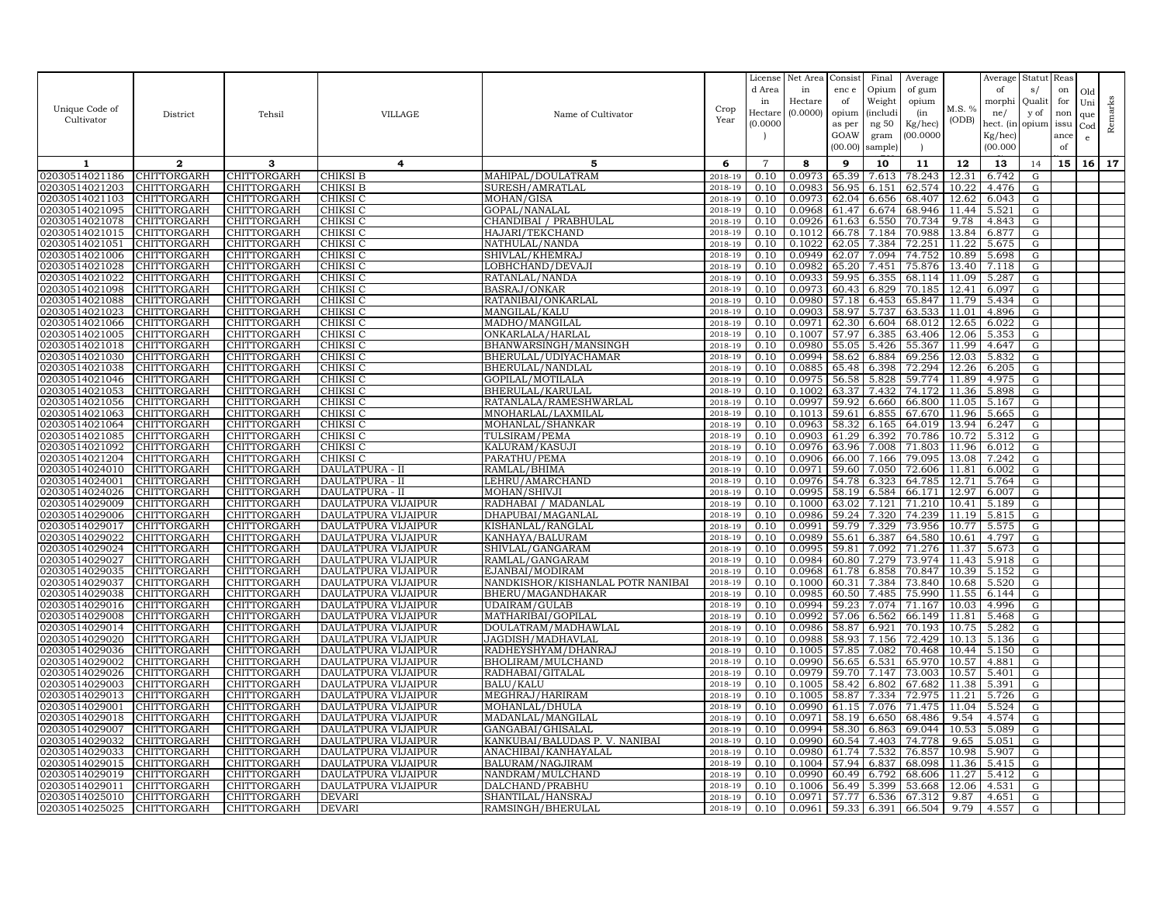|                                  |                                   |                            |                                            |                                           |                    | License            | Net Area         | Consist        | Final          | Average            |                | Average              | Statut      | Reas |                   |         |
|----------------------------------|-----------------------------------|----------------------------|--------------------------------------------|-------------------------------------------|--------------------|--------------------|------------------|----------------|----------------|--------------------|----------------|----------------------|-------------|------|-------------------|---------|
|                                  |                                   |                            |                                            |                                           |                    | d Area             | in               | enc e          | Opium          | of gum             |                | of                   | s/          | on   | Old               |         |
| Unique Code of                   |                                   |                            |                                            |                                           | Crop               | in                 | Hectare          | of             | Weight         | opium              | M.S. %         | morphi               | Qualit      | for  | Uni               | Remarks |
| Cultivator                       | District                          | Tehsil                     | <b>VILLAGE</b>                             | Name of Cultivator                        | Year               | Hectar<br>(0.0000) | (0.0000)         | opium          | (includi       | (in                | (ODB)          | ne/                  | y of        | non  | que               |         |
|                                  |                                   |                            |                                            |                                           |                    |                    |                  | as per<br>GOAW | ng 50<br>gram  | Kg/hec)<br>00.0000 |                | hect. (in<br>Kg/hec) | opium issu  | ance | $_{\rm Cod}$<br>e |         |
|                                  |                                   |                            |                                            |                                           |                    |                    |                  | (00.00)        | sample)        |                    |                | (00.000)             |             | of   |                   |         |
| -1                               | $\overline{2}$                    | 3                          | 4                                          | 5                                         | 6                  | $\overline{7}$     | 8                | 9              | 10             | 11                 | 12             | 13                   |             | 15   | 16                | 17      |
| 02030514021186                   | CHITTORGARH                       | CHITTORGARH                | CHIKSI B                                   | MAHIPAL/DOULATRAM                         | $2018 - 19$        | 0.10               | 0.0973           | 65.39          | 7.613          | 78.243             | 12.31          | 6.742                | 14<br>G     |      |                   |         |
| 02030514021203                   | <b>CHITTORGARH</b>                | <b>CHITTORGARH</b>         | CHIKSI B                                   | SURESH/AMRATLAL                           | 2018-19            | 0.10               | 0.0983           | 56.95          | 6.151          | 62.574             | 10.22          | 4.476                | G           |      |                   |         |
| 02030514021103                   | CHITTORGARH                       | CHITTORGARH                | CHIKSI C                                   | MOHAN/GISA                                | 2018-19            | 0.10               | 0.0973           | 62.04          | 6.656          | 68.407             | 12.62          | 6.043                | G           |      |                   |         |
| 02030514021095                   | CHITTORGARH                       | CHITTORGARH                | CHIKSI C                                   | GOPAL/NANALAL                             | 2018-19            | 0.10               | 0.0968           | 61.47          | 6.674          | 68.946             | 11.44          | 5.521                | G           |      |                   |         |
| 02030514021078                   | CHITTORGARH                       | CHITTORGARH                | CHIKSI C                                   | CHANDIBAI / PRABHULAL                     | 2018-19            | 0.10               | 0.0926           | 61.63          | 6.550          | 70.734             | 9.78           | 4.843                | G           |      |                   |         |
| 02030514021015                   | CHITTORGARH                       | CHITTORGARH                | CHIKSI C                                   | HAJARI/TEKCHAND                           | 2018-19            | 0.10               | 0.1012           | 66.78          | 7.184          | 70.988             | 13.84          | 6.877                | G           |      |                   |         |
| 02030514021051                   | <b>CHITTORGARH</b>                | CHITTORGARH                | CHIKSI C                                   | NATHULAL/NANDA                            | 2018-19            | 0.10               | 0.1022           | 62.05          | 7.384          | 72.251             | 11.22          | 5.675                | G           |      |                   |         |
| 02030514021006                   | CHITTORGARH                       | CHITTORGARH                | CHIKSI C                                   | SHIVLAL/KHEMRAJ                           | 2018-19            | 0.10               | 0.0949           | 62.07          | 7.094          | 74.752             | 10.89          | 5.698                | G           |      |                   |         |
| 02030514021028                   | CHITTORGARH                       | CHITTORGARH                | CHIKSI C                                   | LOBHCHAND/DEVAJI                          | 2018-19            | 0.10               | 0.0982           | 65.20          | 7.451          | 75.876             | 13.40          | 7.118                | G           |      |                   |         |
| 02030514021022                   | CHITTORGARH                       | CHITTORGARH                | CHIKSI C                                   | RATANLAL/NANDA                            | 2018-19            | 0.10               | 0.0933           | 59.95          | 6.355          | 68.114             | 11.09          | 5.287                | G           |      |                   |         |
| 02030514021098<br>02030514021088 | <b>CHITTORGARH</b><br>CHITTORGARH | CHITTORGARH<br>CHITTORGARH | CHIKSI C<br>CHIKSI C                       | <b>BASRAJ/ONKAR</b><br>RATANIBAI/ONKARLAL | 2018-19<br>2018-19 | 0.10<br>0.10       | 0.0973<br>0.0980 | 60.43<br>57.18 | 6.829<br>6.453 | 70.185<br>65.847   | 12.41<br>11.79 | 6.097<br>5.434       | G<br>G      |      |                   |         |
| 02030514021023                   | CHITTORGARH                       | CHITTORGARH                | CHIKSI C                                   | MANGILAL/KALU                             | 2018-19            | 0.10               | 0.0903           | 58.97          | 5.737          | 63.533             | 11.01          | 4.896                | G           |      |                   |         |
| 02030514021066                   | CHITTORGARH                       | CHITTORGARH                | CHIKSI C                                   | MADHO/MANGILAL                            | 2018-19            | 0.10               | 0.0971           | 62.30          | 6.604          | 68.012             | 12.65          | 6.022                | G           |      |                   |         |
| 02030514021005                   | CHITTORGARH                       | CHITTORGARH                | CHIKSI C                                   | ONKARLALA/HARLAL                          | 2018-19            | 0.10               | 0.1007           | 57.97          | 6.385          | 63.406             | 12.06          | 5.353                | G           |      |                   |         |
| 02030514021018                   | CHITTORGARH                       | CHITTORGARH                | CHIKSI C                                   | BHANWARSINGH/MANSINGH                     | 2018-19            | 0.10               | 0.0980           | 55.05          | 5.426          | 55.367             | 11.99          | 4.647                | G           |      |                   |         |
| 02030514021030                   | CHITTORGARH                       | CHITTORGARH                | CHIKSI C                                   | BHERULAL/UDIYACHAMAR                      | 2018-19            | 0.10               | 0.0994           | 58.62          | 6.884          | 69.256             | 12.03          | 5.832                | G           |      |                   |         |
| 02030514021038                   | CHITTORGARH                       | CHITTORGARH                | CHIKSI C                                   | BHERULAL/NANDLAL                          | 2018-19            | 0.10               | 0.0885           | 65.48          | 6.398          | 72.294             | 12.26          | 6.205                | G           |      |                   |         |
| 02030514021046                   | CHITTORGARH                       | CHITTORGARH                | CHIKSI C                                   | GOPILAL/MOTILALA                          | 2018-19            | 0.10               | 0.0975           | 56.58          | 5.828          | 59.774             | 11.89          | 4.975                | G           |      |                   |         |
| 02030514021053                   | CHITTORGARH                       | CHITTORGARH                | CHIKSI C                                   | BHERULAL/KARULAI                          | 2018-19            | 0.10               | 0.1002           | 63.37          | 7.432          | 74.172             | 11.36          | 5.898                | G           |      |                   |         |
| 02030514021056                   | CHITTORGARH                       | CHITTORGARH                | CHIKSI C                                   | RATANLALA/RAMESHWARLAL                    | 2018-19            | 0.10               | 0.0997           | 59.92          | 6.660          | 66.800             | 11.05          | 5.167                | ${\rm G}$   |      |                   |         |
| 02030514021063<br>02030514021064 | CHITTORGARH<br>CHITTORGARH        | CHITTORGARH<br>CHITTORGARH | CHIKSI C<br>CHIKSI C                       | MNOHARLAL/LAXMILAL<br>MOHANLAL/SHANKAR    | 2018-19<br>2018-19 | 0.10<br>0.10       | 0.1013<br>0.0963 | 59.61<br>58.32 | 6.855<br>6.165 | 67.670<br>64.019   | 11.96<br>13.94 | 5.665<br>6.247       | G           |      |                   |         |
| 02030514021085                   | CHITTORGARH                       | CHITTORGARH                | CHIKSI C                                   | TULSIRAM/PEMA                             | 2018-19            | 0.10               | 0.0903           | 61.29          | 6.392          | 70.786             | 10.72          | 5.312                | G<br>G      |      |                   |         |
| 02030514021092                   | CHITTORGARH                       | CHITTORGARH                | CHIKSI C                                   | KALURAM/KASUJI                            | 2018-19            | 0.10               | 0.0976           | 63.96          | 7.008          | 71.803             | 11.96          | 6.012                | G           |      |                   |         |
| 02030514021204                   | CHITTORGARH                       | CHITTORGARH                | CHIKSI C                                   | PARATHU/PEMA                              | 2018-19            | 0.10               | 0.0906           | 66.00          | 7.166          | 79.095             | 13.08          | 7.242                | G           |      |                   |         |
| 02030514024010                   | CHITTORGARH                       | CHITTORGARH                | DAULATPURA - II                            | RAMLAL/BHIMA                              | 2018-19            | 0.10               | 0.0971           | 59.60          | 7.050          | 72.606             | 11.81          | 6.002                | G           |      |                   |         |
| 02030514024001                   | CHITTORGARH                       | CHITTORGARH                | DAULATPURA - II                            | LEHRU/AMARCHAND                           | 2018-19            | 0.10               | 0.0976           | 54.78          | 6.323          | 64.785             | 12.71          | 5.764                | G           |      |                   |         |
| 02030514024026                   | CHITTORGARH                       | CHITTORGARH                | DAULATPURA - II                            | MOHAN/SHIVJI                              | 2018-19            | 0.10               | 0.0995           | 58.19          | 6.584          | 66.171             | 12.97          | 6.007                | G           |      |                   |         |
| 02030514029009                   | CHITTORGARH                       | CHITTORGARH                | DAULATPURA VIJAIPUR                        | RADHABAI / MADANLAL                       | 2018-19            | 0.10               | 0.1000           | 63.02          | 7.121          | 71.210             | 10.41          | 5.189                | G           |      |                   |         |
| 02030514029006                   | CHITTORGARH                       | CHITTORGARH                | DAULATPURA VIJAIPUR                        | DHAPUBAI/MAGANLAL                         | 2018-19            | 0.10               | 0.0986           | 59.24          | 7.320          | 74.239             | 11.19          | 5.815                | G           |      |                   |         |
| 02030514029017                   | CHITTORGARH                       | CHITTORGARH                | DAULATPURA VIJAIPUR                        | KISHANLAL/RANGLAI                         | 2018-19            | 0.10               | 0.0991           | 59.79          | 7.329          | 73.956             | 10.77          | 5.575                | G           |      |                   |         |
| 02030514029022                   | <b>CHITTORGARH</b>                | CHITTORGARH                | DAULATPURA VIJAIPUR                        | KANHAYA/BALURAM                           | 2018-19            | 0.10               | 0.0989           | 55.61          | 6.387          | 64.580             | 10.61          | 4.797                | G           |      |                   |         |
| 02030514029024<br>02030514029027 | CHITTORGARH<br>CHITTORGARH        | CHITTORGARH<br>CHITTORGARH | DAULATPURA VIJAIPUR<br>DAULATPURA VIJAIPUR | SHIVLAL/GANGARAM<br>RAMLAL/GANGARAM       | 2018-19<br>2018-19 | 0.10<br>0.10       | 0.0995<br>0.0984 | 59.81<br>60.80 | 7.092<br>7.279 | 71.276<br>73.974   | 11.37<br>11.43 | 5.673<br>5.918       | G<br>G      |      |                   |         |
| 02030514029035                   | CHITTORGARH                       | CHITTORGARH                | DAULATPURA VIJAIPUR                        | EJANBAI/MODIRAM                           | 2018-19            | 0.10               | 0.0968           | 61.78          | 6.858          | 70.847             | 10.39          | 5.152                | G           |      |                   |         |
| 02030514029037                   | CHITTORGARH                       | CHITTORGARH                | DAULATPURA VIJAIPUR                        | NANDKISHOR/KISHANLAL POTR NANIBAI         | 2018-19            | 0.10               | 0.1000           | 60.31          | 7.384          | 73.840             | 10.68          | 5.520                | G           |      |                   |         |
| 02030514029038                   | CHITTORGARH                       | CHITTORGARH                | DAULATPURA VIJAIPUR                        | BHERU/MAGANDHAKAR                         | 2018-19            | 0.10               | 0.098            | 60.50          | 7.485          | 75.990             | 11.55          | 6.144                | G           |      |                   |         |
| 02030514029016                   | CHITTORGARH                       | CHITTORGARH                | DAULATPURA VIJAIPUR                        | <b>UDAIRAM/GULAB</b>                      | 2018-19            | 0.10               | 0.0994           | 59.23          | 7.074          | 71.167             | 10.03          | 4.996                | G           |      |                   |         |
| 02030514029008                   | CHITTORGARH                       | CHITTORGARH                | DAULATPURA VIJAIPUR                        | MATHARIBAI/GOPILAL                        | 2018-19            | 0.10               | 0.0992           | 57.06          | 6.562          | 66.149             | 11.81          | 5.468                | G           |      |                   |         |
| 02030514029014                   | CHITTORGARH                       | CHITTORGARH                | DAULATPURA VIJAIPUR                        | DOULATRAM/MADHAWLAL                       | 2018-19            | 0.10               | 0.0986           | 58.87          | 6.921          | 70.193             | 10.75          | 5.282                | G           |      |                   |         |
| 02030514029020                   | CHITTORGARH                       | CHITTORGARH                | DAULATPURA VIJAIPUR                        | JAGDISH/MADHAVLAL                         | 2018-19            | 0.10               | 0.0988           | 58.93          | 7.156          | 72.429             | 10.13          | 5.136                | G           |      |                   |         |
| 02030514029036                   | CHITTORGARH                       | CHITTORGARH                | DAULATPURA VIJAIPUR                        | RADHEYSHYAM/DHANRAJ                       | 2018-19            | 0.10               | 0.1005           | 57.85          | 7.082          | 70.468             | 10.44          | 5.150                | G           |      |                   |         |
| 02030514029002                   | CHITTORGARH                       | CHITTORGARH                | DAULATPURA VIJAIPUR                        | BHOLIRAM/MULCHAND                         | 2018-19            | 0.10               | 0.0990           | 56.65          | 6.531          | 65.970             | 10.57          | 4.881                | G           |      |                   |         |
| 02030514029026<br>02030514029003 | CHITTORGARH<br>CHITTORGARH        | CHITTORGARH<br>CHITTORGARH | DAULATPURA VIJAIPUR<br>DAULATPURA VIJAIPUR | RADHABAI/GITALAL<br><b>BALU/KALU</b>      | 2018-19<br>2018-19 | 0.10<br>0.10       | 0.0979<br>0.1005 | 59.70<br>58.42 | 7.147<br>6.802 | 73.003<br>67.682   | 10.57<br>11.38 | 5.401<br>5.391       | G<br>G      |      |                   |         |
| 02030514029013                   | CHITTORGARH                       | CHITTORGARH                | DAULATPURA VIJAIPUR                        | MEGHRAJ/HARIRAM                           | 2018-19            | 0.10               | 0.1005           | 58.87          | 7.334          | 72.975             | 11.21          | 5.726                | G           |      |                   |         |
| 02030514029001                   | CHITTORGARH                       | CHITTORGARH                | <b>DAULATPURA VIJAIPUR</b>                 | MOHANLAL/DHULA                            | 2018-19            | 0.10               | 0.0990           | 61.15          | 7.076          | 71.475             | 11.04          | 5.524                | G           |      |                   |         |
| 02030514029018                   | CHITTORGARH                       | CHITTORGARH                | DAULATPURA VIJAIPUR                        | MADANLAL/MANGILAL                         | 2018-19            | 0.10               | 0.0971           | 58.19          | 6.650          | 68.486             | 9.54           | 4.574                | G           |      |                   |         |
| 02030514029007                   | CHITTORGARH                       | CHITTORGARH                | DAULATPURA VIJAIPUR                        | GANGABAI/GHISALAI                         | 2018-19            | 0.10               | 0.0994           | 58.30          | 6.863          | 69.044             | 10.53          | 5.089                | G           |      |                   |         |
| 02030514029032                   | CHITTORGARH                       | CHITTORGARH                | DAULATPURA VIJAIPUR                        | KANKUBAI/BALUDAS P.V. NANIBAI             | 2018-19            | 0.10               | 0.0990           | 60.54          | 7.403          | 74.778             | 9.65           | 5.051                | G           |      |                   |         |
| 02030514029033                   | <b>CHITTORGARH</b>                | <b>CHITTORGARH</b>         | DAULATPURA VIJAIPUR                        | ANACHIBAI/KANHAYALAL                      | 2018-19            | 0.10               | 0.0980           | 61.74          | 7.532          | 76.857             | 10.98          | 5.907                | G           |      |                   |         |
| 02030514029015                   | CHITTORGARH                       | CHITTORGARH                | DAULATPURA VIJAIPUR                        | <b>BALURAM/NAGJIRAM</b>                   | 2018-19            | 0.10               | 0.1004           | 57.94          | 6.837          | 68.098             | 11.36          | 5.415                | G           |      |                   |         |
| 02030514029019                   | CHITTORGARH                       | CHITTORGARH                | DAULATPURA VIJAIPUR                        | NANDRAM/MULCHAND                          | 2018-19            | 0.10               | 0.0990           | 60.49          | 6.792          | 68.606             | 11.27          | 5.412                | $\mathbf G$ |      |                   |         |
| 02030514029011                   | CHITTORGARH                       | CHITTORGARH                | DAULATPURA VIJAIPUR                        | DALCHAND/PRABHU                           | 2018-19            | 0.10               | 0.1006           | 56.49          | 5.399          | 53.668             | 12.06          | 4.531                | G           |      |                   |         |
| 02030514025010                   | <b>CHITTORGARH</b>                | CHITTORGARH                | DEVARI                                     | SHANTILAL/HANSRA.                         | 2018-19            | 0.10<br>0.10       | 0.0971<br>0.0961 | 57.77          | 6.536          | 67.312             | 9.87<br>9.79   | 4.651<br>4.557       | G           |      |                   |         |
| 02030514025025                   | <b>CHITTORGARH</b>                | <b>CHITTORGARH</b>         | <b>DEVARI</b>                              | RAMSINGH/BHERULAL                         | 2018-19            |                    |                  | 59.33          | 6.391          | 66.504             |                |                      | G           |      |                   |         |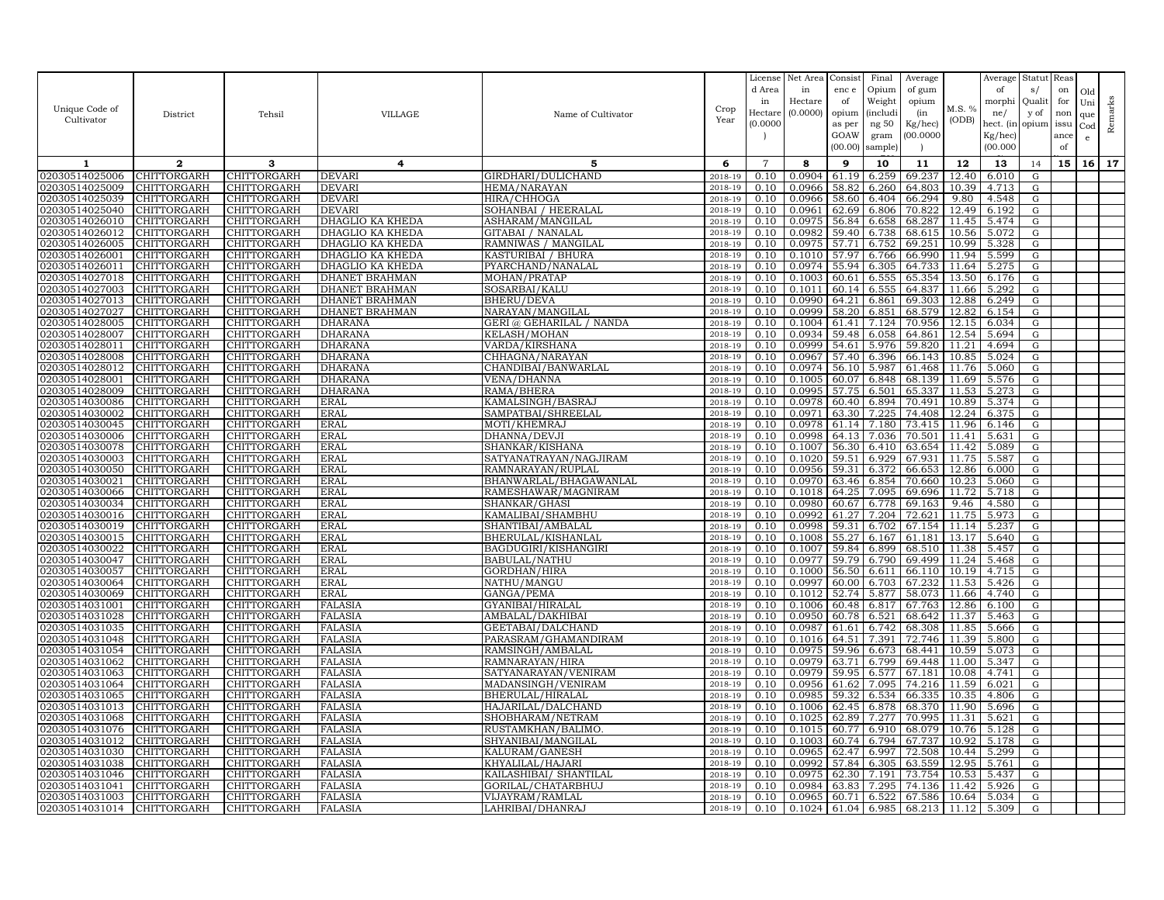| Unique Code of<br>Cultivator     | District                          | Tehsil                     | VILLAGE                              | Name of Cultivator                           | Crop<br>Year       | License<br>d Area<br>in<br>Hectar<br>(0.0000) | Net Area<br>in<br>Hectare<br>(0.0000) | Consist<br>enc e<br>of<br>opium | Final<br>Opium<br>Weight<br><i>(includi</i> ) | Average<br>of gum<br>opium<br>(in | M.S. %<br>(ODB) | Average<br>of<br>morphi<br>ne/  | Statut<br>s/<br>Qualit<br>y of | Reas<br>on<br>for<br>non | Old<br>Uni<br>que | Remarks |
|----------------------------------|-----------------------------------|----------------------------|--------------------------------------|----------------------------------------------|--------------------|-----------------------------------------------|---------------------------------------|---------------------------------|-----------------------------------------------|-----------------------------------|-----------------|---------------------------------|--------------------------------|--------------------------|-------------------|---------|
|                                  |                                   |                            |                                      |                                              |                    |                                               |                                       | as per<br>GOAW<br>(00.00)       | ng 50<br>gram<br>sample)                      | Kg/hec)<br>(00.0000)              |                 | hect. (in<br>Kg/hec<br>(00.000) | opium issu                     | ance<br>of               | Cod<br>e.         |         |
| $\mathbf{1}$                     | $\mathbf{2}$                      | 3                          | 4                                    | 5                                            | 6                  | $\overline{7}$                                | 8                                     | 9                               | 10                                            | 11                                | 12              | 13                              | 14                             | 15                       | 16                | 17      |
| 02030514025006                   | CHITTORGARH                       | CHITTORGARH                | <b>DEVARI</b>                        | GIRDHARI/DULICHAND                           | 2018-19            | 0.10                                          | 0.0904                                | 61.19                           | 6.259                                         | 69.237                            | 12.40           | 6.010                           | G                              |                          |                   |         |
| 02030514025009                   | CHITTORGARH                       | CHITTORGARH                | DEVARI                               | HEMA/NARAYAN                                 | 2018-19            | 0.10                                          | 0.0966                                | 58.82                           | 6.260                                         | 64.803                            | 10.39           | 4.713                           | G                              |                          |                   |         |
| 02030514025039                   | CHITTORGARH                       | CHITTORGARH                | DEVARI                               | HIRA/CHHOGA                                  | $2018 - 1$         | 0.10                                          | 0.0966                                | 58.60                           | 6.404                                         | 66.294                            | 9.80            | 4.548                           | G                              |                          |                   |         |
| 02030514025040                   | <b>CHITTORGARH</b>                | CHITTORGARH                | <b>DEVARI</b>                        | SOHANBAI / HEERALAL                          | 2018-19            | 0.10                                          | 0.0961                                | 62.69                           | 6.806                                         | 70.822                            | 12.49           | 6.192                           | G                              |                          |                   |         |
| 02030514026010<br>02030514026012 | CHITTORGARH<br><b>CHITTORGARH</b> | CHITTORGARH<br>CHITTORGARH | DHAGLIO KA KHEDA<br>DHAGLIO KA KHEDA | ASHARAM/MANGILAL<br><b>GITABAI / NANALAL</b> | 2018-19<br>2018-19 | 0.10<br>0.10                                  | 0.0975<br>0.0982                      | 56.84<br>59.40                  | 6.658<br>6.738                                | 68.287<br>68.615                  | 11.45<br>10.56  | 5.474<br>5.072                  | G<br>G                         |                          |                   |         |
| 02030514026005                   | CHITTORGARH                       | CHITTORGARH                | DHAGLIO KA KHEDA                     | RAMNIWAS / MANGILAL                          | 2018-19            | 0.10                                          | 0.0975                                | 57.71                           | 6.752                                         | 69.251                            | 10.99           | 5.328                           | G                              |                          |                   |         |
| 02030514026001                   | CHITTORGARH                       | CHITTORGARH                | DHAGLIO KA KHEDA                     | KASTURIBAI / BHURA                           | 2018-19            | 0.10                                          | 0.1010                                | 57.97                           | 6.766                                         | 66.990                            | 11.94           | 5.599                           | G                              |                          |                   |         |
| 02030514026011                   | CHITTORGARH                       | CHITTORGARH                | DHAGLIO KA KHEDA                     | PYARCHAND/NANALAL                            | 2018-19            | 0.10                                          | 0.0974                                | 55.94                           | 6.305                                         | 64.733                            | 11.64           | 5.275                           | G                              |                          |                   |         |
| 02030514027018                   | CHITTORGARH                       | CHITTORGARH                | DHANET BRAHMAN                       | MOHAN/PRATAP                                 | 2018-19            | 0.10                                          | 0.1003                                | 60.61                           | 6.555                                         | 65.354                            | 13.50           | 6.176                           | G                              |                          |                   |         |
| 02030514027003                   | <b>CHITTORGARH</b>                | CHITTORGARH                | DHANET BRAHMAN                       | SOSARBAI/KALU                                | 2018-19            | 0.10                                          | 0.1011                                | 60.14                           | 6.555                                         | 64.837                            | 11.66           | 5.292                           | G                              |                          |                   |         |
| 02030514027013                   | CHITTORGARH                       | CHITTORGARH                | DHANET BRAHMAN                       | BHERU/DEVA                                   | 2018-19            | 0.10                                          | 0.0990                                | 64.21                           | 6.861                                         | 69.303                            | 12.88           | 6.249                           | G                              |                          |                   |         |
| 02030514027027                   | CHITTORGARH                       | CHITTORGARH                | DHANET BRAHMAN                       | NARAYAN/MANGILAL                             | 2018-19            | 0.10                                          | 0.0999                                | 58.20                           | 6.851                                         | 68.579                            | 12.82           | 6.154                           | G                              |                          |                   |         |
| 02030514028005                   | CHITTORGARH                       | CHITTORGARH                | <b>DHARANA</b>                       | GERI @ GEHARILAL / NANDA                     | 2018-19            | 0.10                                          | 0.1004                                | 61.41                           | 7.124                                         | 70.956                            | 12.15           | 6.034                           | ${\rm G}$                      |                          |                   |         |
| 02030514028007                   | CHITTORGARH                       | CHITTORGARH                | <b>DHARANA</b>                       | <b>KELASH/MOHAN</b>                          | 2018-19            | 0.10                                          | 0.0934                                | 59.48                           | 6.058                                         | 64.861                            | 12.54           | 5.694                           | G                              |                          |                   |         |
| 02030514028011                   | CHITTORGARH                       | CHITTORGARH                | <b>DHARANA</b>                       | VARDA/KIRSHANA                               | 2018-19            | 0.10                                          | 0.0999                                | 54.61                           | 5.976                                         | 59.820                            | 11.21           | 4.694                           | G                              |                          |                   |         |
| 02030514028008                   | CHITTORGARH                       | CHITTORGARH                | DHARANA                              | CHHAGNA/NARAYAN                              | 2018-19            | 0.10                                          | 0.0967                                | 57.40                           | 6.396                                         | 66.143                            | 10.85           | 5.024                           | G                              |                          |                   |         |
| 02030514028012                   | CHITTORGARH                       | CHITTORGARH                | DHARANA                              | CHANDIBAI/BANWARLAL                          | 2018-19            | 0.10                                          | 0.0974                                | 56.10                           | 5.987                                         | 61.468                            | 11.76           | 5.060                           | G                              |                          |                   |         |
| 02030514028001                   | <b>CHITTORGARH</b>                | CHITTORGARH                | DHARANA                              | <b>VENA/DHANNA</b>                           | 2018-19            | 0.10                                          | 0.1005                                | 60.07                           | 6.848                                         | 68.139                            | 11.69           | 5.576                           | G                              |                          |                   |         |
| 02030514028009                   | CHITTORGARH                       | CHITTORGARH                | DHARANA                              | RAMA/BHERA                                   | 2018-19            | 0.10                                          | 0.0995                                | 57.75                           | 6.501                                         | 65.337                            | 11.53           | 5.273                           | G                              |                          |                   |         |
| 02030514030086<br>02030514030002 | CHITTORGARH<br>CHITTORGARH        | CHITTORGARH<br>CHITTORGARH | <b>ERAL</b><br><b>ERAL</b>           | KAMALSINGH/BASRAJ<br>SAMPATBAI/SHREELAL      | 2018-19<br>2018-19 | 0.10<br>0.10                                  | 0.0978<br>0.0971                      | 60.40<br>63.30                  | 6.894<br>7.225                                | 70.491<br>74.408                  | 10.89<br>12.24  | 5.374<br>6.375                  | G<br>G                         |                          |                   |         |
| 02030514030045                   | CHITTORGARH                       | CHITTORGARH                | <b>ERAL</b>                          | MOTI/KHEMRAJ                                 | 2018-19            | 0.10                                          | 0.0978                                | 61.14                           | 7.180                                         | 73.415                            | 11.96           | 6.146                           | G                              |                          |                   |         |
| 02030514030006                   | CHITTORGARH                       | CHITTORGARH                | <b>ERAL</b>                          | DHANNA/DEVJI                                 | 2018-19            | 0.10                                          | 0.0998                                | 64.13                           | 7.036                                         | 70.501                            | 11.41           | 5.631                           | G                              |                          |                   |         |
| 02030514030078                   | CHITTORGARH                       | CHITTORGARH                | <b>ERAL</b>                          | SHANKAR/KISHANA                              | 2018-19            | 0.10                                          | 0.1007                                | 56.30                           | 6.410                                         | 63.654                            | 11.42           | 5.089                           | G                              |                          |                   |         |
| 02030514030003                   | <b>CHITTORGARH</b>                | CHITTORGARH                | <b>ERAL</b>                          | SATYANATRAYAN/NAGJIRAM                       | 2018-19            | 0.10                                          | 0.1020                                | 59.51                           | 6.929                                         | 67.931                            | 11.75           | 5.587                           | G                              |                          |                   |         |
| 02030514030050                   | CHITTORGARH                       | CHITTORGARH                | <b>ERAL</b>                          | RAMNARAYAN/RUPLAI                            | 2018-19            | 0.10                                          | 0.0956                                | 59.31                           | 6.372                                         | 66.653                            | 12.86           | 6.000                           | G                              |                          |                   |         |
| 02030514030021                   | CHITTORGARH                       | CHITTORGARH                | <b>ERAL</b>                          | BHANWARLAL/BHAGAWANLAL                       | 2018-19            | 0.10                                          | 0.0970                                | 63.46                           | 6.854                                         | 70.660                            | 10.23           | 5.060                           | G                              |                          |                   |         |
| 02030514030066                   | CHITTORGARH                       | <b>CHITTORGARH</b>         | ERAL                                 | RAMESHAWAR/MAGNIRAM                          | 2018-19            | 0.10                                          | 0.1018                                | 64.25                           | 7.095                                         | 69.696                            | 11.72           | 5.718                           | G                              |                          |                   |         |
| 02030514030034                   | CHITTORGARH                       | CHITTORGARH                | ERAL                                 | SHANKAR/GHASI                                | 2018-19            | 0.10                                          | 0.0980                                | 60.67                           | 6.778                                         | 69.163                            | 9.46            | 4.580                           | G                              |                          |                   |         |
| 02030514030016                   | CHITTORGARH                       | CHITTORGARH                | ERAL                                 | KAMALIBAI/SHAMBHU                            | 2018-19            | 0.10                                          | 0.0992                                | 61.27                           | 7.204                                         | 72.621                            | 11.75           | 5.973                           | G                              |                          |                   |         |
| 02030514030019                   | CHITTORGARH                       | CHITTORGARH                | <b>ERAL</b>                          | SHANTIBAI/AMBALAL                            | 2018-19            | 0.10                                          | 0.0998                                | 59.31                           | 6.702                                         | 67.154                            | 11.14           | 5.237                           | $\mathbf G$                    |                          |                   |         |
| 02030514030015                   | <b>CHITTORGARH</b>                | CHITTORGARH                | <b>ERAL</b>                          | BHERULAL/KISHANLAL                           | 2018-19            | 0.10                                          | 0.1008                                | 55.27                           | 6.167                                         | 61.181                            | 13.17           | 5.640                           | G                              |                          |                   |         |
| 02030514030022                   | CHITTORGARH                       | CHITTORGARH                | <b>ERAL</b>                          | BAGDUGIRI/KISHANGIRI                         | 2018-19            | 0.10                                          | 0.1007                                | 59.84                           | 6.899                                         | 68.510                            | 11.38           | 5.457                           | G                              |                          |                   |         |
| 02030514030047                   | <b>CHITTORGARH</b><br>CHITTORGARH | CHITTORGARH<br>CHITTORGARH | <b>ERAL</b><br>ERAL                  | <b>BABULAL/NATHU</b><br>GORDHAN/HIRA         | 2018-19            | 0.10                                          | 0.0977<br>0.1000                      | 59.79<br>56.50                  | 6.790                                         | 69.499<br>66.110                  | 11.24           | 5.468<br>4.715                  | G                              |                          |                   |         |
| 02030514030057<br>02030514030064 |                                   |                            |                                      |                                              | 2018-19<br>2018-19 | 0.10<br>0.10                                  | 0.0997                                | 60.00                           | 6.611<br>6.703                                |                                   | 10.19           |                                 | G<br>G                         |                          |                   |         |
| 02030514030069                   | CHITTORGARH<br>CHITTORGARH        | CHITTORGARH<br>CHITTORGARH | <b>ERAL</b><br>ERAL                  | NATHU/MANGU<br>GANGA/PEMA                    | 2018-19            | 0.10                                          | 0.1012                                | 52.74                           | 5.877                                         | 67.232<br>58.073                  | 11.53<br>11.66  | 5.426<br>4.740                  | G                              |                          |                   |         |
| 02030514031001                   | CHITTORGARH                       | CHITTORGARH                | <b>FALASIA</b>                       | GYANIBAI/HIRALAL                             | 2018-19            | 0.10                                          | 0.1006                                | 60.48                           | 6.817                                         | 67.763                            | 12.86           | 6.100                           | G                              |                          |                   |         |
| 02030514031028                   | CHITTORGARH                       | CHITTORGARH                | FALASIA                              | AMBALAL/DAKHIBAI                             | 2018-19            | 0.10                                          | 0.0950                                | 60.78                           | 6.521                                         | 68.642                            | 11.37           | 5.463                           | G                              |                          |                   |         |
| 02030514031035                   | CHITTORGARH                       | CHITTORGARH                | FALASIA                              | GEETABAI/DALCHAND                            | 2018-19            | 0.10                                          | 0.0987                                | 61.61                           | 6.742                                         | 68.308                            | 11.85           | 5.666                           | G                              |                          |                   |         |
| 02030514031048                   | CHITTORGARH                       | CHITTORGARH                | <b>FALASIA</b>                       | PARASRAM/GHAMANDIRAM                         | 2018-19            | 0.10                                          | 0.1016                                | 64.51                           | 7.391                                         | 72.746                            | 11.39           | 5.800                           | G                              |                          |                   |         |
| 02030514031054                   | CHITTORGARH                       | CHITTORGARH                | FALASIA                              | RAMSINGH/AMBALAL                             | 2018-19            | 0.10                                          | 0.0975                                | 59.96                           | 6.673                                         | 68.441                            | 10.59           | 5.073                           | G                              |                          |                   |         |
| 02030514031062                   | CHITTORGARH                       | CHITTORGARH                | <b>FALASIA</b>                       | RAMNARAYAN/HIRA                              | 2018-19            | 0.10                                          | 0.0979                                | 63.71 6.799                     |                                               | 69.448                            | 11.00           | 5.347                           | G                              |                          |                   |         |
| 02030514031063                   | CHITTORGARH                       | CHITTORGARH                | FALASIA                              | SATYANARAYAN/VENIRAM                         | 2018-19            | 0.10                                          | 0.0979                                | 59.95                           | 6.577                                         | 67.181                            | 10.08           | 4.741                           | G                              |                          |                   |         |
| 02030514031064                   | <b>CHITTORGARH</b>                | CHITTORGARH                | FALASIA                              | MADANSINGH/VENIRAM                           | 2018-19            | 0.10                                          | 0.0956                                | 61.62                           | 7.095                                         | 74.216                            | 11.59           | 6.021                           | G                              |                          |                   |         |
| 02030514031065                   | CHITTORGARH                       | CHITTORGARH                | FALASIA                              | BHERULAL/HIRALAI                             | 2018-19            | 0.10                                          | 0.0985                                | 59.32                           | 6.534                                         | 66.335                            | 10.35           | 4.806                           | G                              |                          |                   |         |
| 02030514031013                   | <b>CHITTORGARH</b>                | CHITTORGARH                | FALASIA                              | HAJARILAL/DALCHAND                           | 2018-19            | 0.10                                          | 0.1006                                | 62.45                           | 6.878                                         | 68.370                            | 11.90           | 5.696                           | G                              |                          |                   |         |
| 02030514031068                   | CHITTORGARH                       | CHITTORGARH                | FALASIA                              | SHOBHARAM/NETRAM                             | 2018-19            | 0.10                                          | 0.1025                                | 62.89                           | 7.277                                         | 70.995                            | 11.31           | 5.621                           | G                              |                          |                   |         |
| 02030514031076<br>02030514031012 | CHITTORGARH<br>CHITTORGARH        | CHITTORGARH<br>CHITTORGARH | FALASIA<br>FALASIA                   | RUSTAMKHAN/BALIMO<br>SHYANIBAI/MANGILAL      | 2018-19<br>2018-19 | 0.10<br>0.10                                  | 0.1015<br>0.1003                      | 60.77<br>60.74                  | 6.910<br>6.794                                | 68.079<br>67.737                  | 10.76<br>10.92  | 5.128<br>5.178                  | G<br>G                         |                          |                   |         |
| 02030514031030                   | CHITTORGARH                       | <b>CHITTORGARH</b>         | FALASIA                              | KALURAM/GANESH                               | 2018-19            | 0.10                                          | 0.0965                                | 62.47                           | 6.997                                         | 72.508                            | 10.44           | 5.299                           | G                              |                          |                   |         |
| 02030514031038                   | CHITTORGARH                       | CHITTORGARH                | <b>FALASIA</b>                       | KHYALILAL/HAJARI                             | 2018-19            | 0.10                                          | 0.0992                                | 57.84                           | 6.305                                         | 63.559                            | 12.95           | 5.761                           | G                              |                          |                   |         |
| 02030514031046                   | CHITTORGARH                       | CHITTORGARH                | <b>FALASIA</b>                       | KAILASHIBAI / SHANTILAL                      | 2018-19            | 0.10                                          | 0.0975                                | 62.30                           | 7.191                                         | 73.754                            | 10.53           | 5.437                           | G                              |                          |                   |         |
| 02030514031041                   | <b>CHITTORGARH</b>                | CHITTORGARH                | FALASIA                              | GORILAL/CHATARBHUJ                           | 2018-19            | 0.10                                          | 0.0984                                | 63.83                           | 7.295                                         | 74.136                            | 11.42           | 5.926                           | G                              |                          |                   |         |
| 02030514031003                   | <b>CHITTORGARH</b>                | CHITTORGARH                | <b>FALASIA</b>                       | VIJAYRAM / RAMLAL                            | 2018-19            | 0.10                                          | 0.0965                                | 60.71                           | 6.522                                         | 67.586                            | 10.64           | 5.034                           | G                              |                          |                   |         |
| 02030514031014                   | <b>CHITTORGARH</b>                | CHITTORGARH                | <b>FALASIA</b>                       | LAHRIBAI/DHANRAJ                             | 2018-19            | 0.10                                          | 0.1024 61.04                          |                                 | 6.985                                         | 68.213                            | 11.12           | 5.309                           | G                              |                          |                   |         |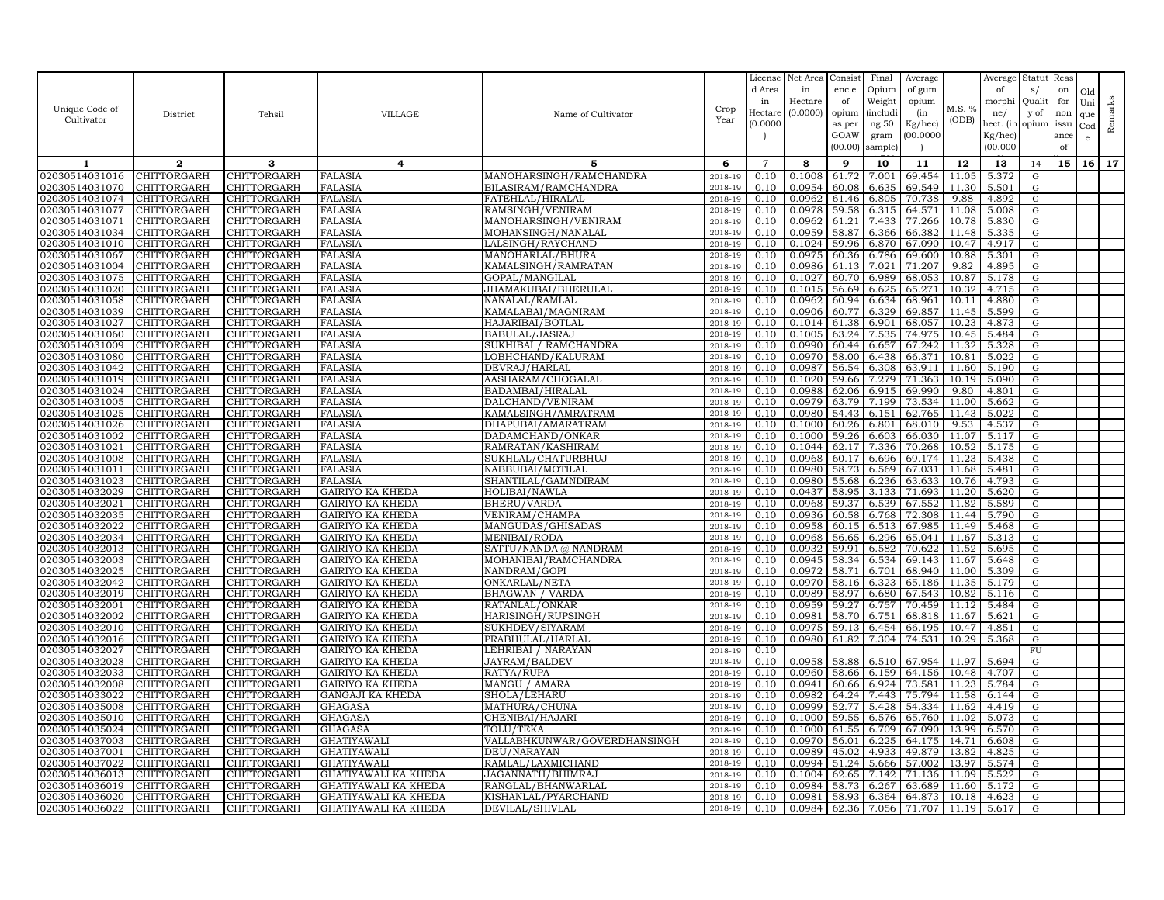| Unique Code of<br>Cultivator     | District                          | Tehsil                     | VILLAGE                                            | Name of Cultivator                    | Crop<br>Year       | License<br>d Area<br>in<br>Hectare<br>(0.0000) | Net Area<br>in<br>Hectare<br>(0.0000) | Consist<br>enc e<br>of<br>opium<br>as per<br>GOAW<br>(00.00) | Final<br>Opium<br>Weight<br><i>(includi</i><br>ng 50<br>gram<br>sample) | Average<br>of gum<br>opium<br>(in<br>Kg/hec)<br>00.0000 | M.S. %<br>(ODB) | Average<br>of<br>morphi<br>ne/<br>hect. (in<br>Kg/hec)<br>(00.000) | Statut<br>s/<br>Qualit<br>y of<br>opium | Reas<br>on<br>for<br>non<br>issu<br>ance<br>of | Old<br>Uni<br>que<br>Cod<br>e | Remarks |
|----------------------------------|-----------------------------------|----------------------------|----------------------------------------------------|---------------------------------------|--------------------|------------------------------------------------|---------------------------------------|--------------------------------------------------------------|-------------------------------------------------------------------------|---------------------------------------------------------|-----------------|--------------------------------------------------------------------|-----------------------------------------|------------------------------------------------|-------------------------------|---------|
| 1                                | $\mathbf{2}$                      | 3                          | 4                                                  | 5                                     | 6                  | $\overline{7}$                                 | 8                                     | 9                                                            | 10                                                                      | 11                                                      | 12              | 13                                                                 | 14                                      | 15                                             | 16                            | 17      |
| 02030514031016                   | <b>CHITTORGARH</b>                | CHITTORGARH                | <b>FALASIA</b>                                     | MANOHARSINGH/RAMCHANDRA               | 2018-19            | 0.10                                           | 0.1008                                | 61.72                                                        | 7.001                                                                   | 69.454                                                  | 11.05           | 5.372                                                              | ${\rm G}$                               |                                                |                               |         |
| 02030514031070                   | CHITTORGARH                       | CHITTORGARH                | <b>FALASIA</b>                                     | BILASIRAM/RAMCHANDRA                  | 2018-19            | 0.10                                           | 0.0954                                | 60.08                                                        | 6.635                                                                   | 69.549                                                  | 11.30           | 5.501                                                              | G                                       |                                                |                               |         |
| 02030514031074                   | CHITTORGARH                       | CHITTORGARH                | <b>FALASIA</b>                                     | FATEHLAL/HIRALAL                      | $2018 - 1$         | 0.10                                           | 0.0962                                | 61.46                                                        | 6.805                                                                   | 70.738                                                  | 9.88            | 4.892                                                              | G                                       |                                                |                               |         |
| 02030514031077                   | <b>CHITTORGARH</b>                | <b>CHITTORGARH</b>         | <b>FALASIA</b>                                     | RAMSINGH/VENIRAM                      | 2018-19            | 0.10                                           | 0.0978                                | 59.58                                                        | 6.315                                                                   | 64.571                                                  | 11.08           | 5.008                                                              | G                                       |                                                |                               |         |
| 02030514031071                   | CHITTORGARH                       | CHITTORGARH                | FALASIA                                            | MANOHARSINGH/VENIRAM                  | 2018-19            | 0.10                                           | 0.0962                                | 61.21                                                        | 7.433                                                                   | 77.266                                                  | 10.78           | 5.830                                                              | ${\rm G}$                               |                                                |                               |         |
| 02030514031034                   | <b>CHITTORGARH</b>                | CHITTORGARH                | <b>FALASIA</b>                                     | MOHANSINGH/NANALAL                    | 2018-19            | 0.10                                           | 0.0959                                | 58.87                                                        | 6.366                                                                   | 66.382                                                  | 11.48           | 5.335                                                              | ${\rm G}$                               |                                                |                               |         |
| 02030514031010                   | CHITTORGARH                       | CHITTORGARH                | <b>FALASIA</b>                                     | LALSINGH/RAYCHAND                     | 2018-19            | 0.10                                           | 0.1024                                | 59.96                                                        | 6.870                                                                   | 67.090                                                  | 10.47           | 4.917                                                              | $\mathbf G$                             |                                                |                               |         |
| 02030514031067                   | CHITTORGARH                       | CHITTORGARH                | <b>FALASIA</b>                                     | MANOHARLAL/BHURA                      | 2018-19            | 0.10                                           | 0.0975                                | 60.36                                                        | 6.786                                                                   | 69.600                                                  | 10.88           | 5.301                                                              | G                                       |                                                |                               |         |
| 02030514031004                   | CHITTORGARH                       | CHITTORGARH                | <b>FALASIA</b>                                     | KAMALSINGH/RAMRATAN                   | 2018-19            | 0.10                                           | 0.0986                                | 61.13                                                        | 7.021                                                                   | 71.207                                                  | 9.82            | 4.895                                                              | G                                       |                                                |                               |         |
| 02030514031075<br>02030514031020 | CHITTORGARH<br>CHITTORGARH        | CHITTORGARH<br>CHITTORGARH | <b>FALASIA</b><br><b>FALASIA</b>                   | GOPAL/MANGILAL<br>JHAMAKUBAI/BHERULAL | 2018-19<br>2018-19 | 0.10<br>0.10                                   | 0.1027<br>0.1015                      | 60.70<br>56.69                                               | 6.989                                                                   | 68.053<br>65.271                                        | 10.87<br>10.32  | 5.178<br>4.715                                                     | G                                       |                                                |                               |         |
| 02030514031058                   | CHITTORGARH                       | CHITTORGARH                | <b>FALASIA</b>                                     | NANALAL/RAMLAL                        | 2018-19            | 0.10                                           | 0.0962                                | 60.94                                                        | 6.625<br>6.634                                                          | 68.961                                                  | 10.11           | 4.880                                                              | G<br>G                                  |                                                |                               |         |
| 02030514031039                   | CHITTORGARH                       | CHITTORGARH                | FALASIA                                            | KAMALABAI/MAGNIRAM                    | 2018-19            | 0.10                                           | 0.0906                                | 60.77                                                        | 6.329                                                                   | 69.857                                                  | 11.45           | 5.599                                                              | G                                       |                                                |                               |         |
| 02030514031027                   | CHITTORGARH                       | CHITTORGARH                | <b>FALASIA</b>                                     | HAJARIBAI/BOTLAL                      | 2018-19            | 0.10                                           | 0.1014                                | 61.38                                                        | 6.901                                                                   | 68.057                                                  | 10.23           | 4.873                                                              | G                                       |                                                |                               |         |
| 02030514031060                   | CHITTORGARH                       | CHITTORGARH                | <b>FALASIA</b>                                     | BABULAL/JASRAJ                        | 2018-19            | 0.10                                           | 0.1005                                | 63.24                                                        | 7.535                                                                   | 74.975                                                  | 10.45           | 5.484                                                              | G                                       |                                                |                               |         |
| 02030514031009                   | CHITTORGARH                       | CHITTORGARH                | <b>FALASIA</b>                                     | SUKHIBAI / RAMCHANDRA                 | 2018-19            | 0.10                                           | 0.0990                                | 60.44                                                        | 6.657                                                                   | 67.242                                                  | 11.32           | 5.328                                                              | G                                       |                                                |                               |         |
| 02030514031080                   | <b>CHITTORGARH</b>                | <b>CHITTORGARH</b>         | <b>FALASIA</b>                                     | LOBHCHAND/KALURAM                     | 2018-19            | 0.10                                           | 0.0970                                | 58.00                                                        | 6.438                                                                   | 66.371                                                  | 10.81           | 5.022                                                              | G                                       |                                                |                               |         |
| 02030514031042                   | CHITTORGARH                       | CHITTORGARH                | <b>FALASIA</b>                                     | DEVRAJ/HARLAL                         | 2018-19            | 0.10                                           | 0.0987                                | 56.54                                                        | 6.308                                                                   | 63.911                                                  | 11.60           | 5.190                                                              | G                                       |                                                |                               |         |
| 02030514031019                   | <b>CHITTORGARH</b>                | CHITTORGARH                | <b>FALASIA</b>                                     | AASHARAM/CHOGALAL                     | 2018-19            | 0.10                                           | 0.1020                                | 59.66                                                        | 7.279                                                                   | 71.363                                                  | 10.19           | 5.090                                                              | G                                       |                                                |                               |         |
| 02030514031024                   | CHITTORGARH                       | CHITTORGARH                | <b>FALASIA</b>                                     | BADAMBAI/HIRALAL                      | 2018-19            | 0.10                                           | 0.0988                                | 62.06                                                        | 6.915                                                                   | 69.990                                                  | 9.80            | 4.801                                                              | G                                       |                                                |                               |         |
| 02030514031005                   | <b>CHITTORGARH</b>                | CHITTORGARH                | <b>FALASIA</b>                                     | DALCHAND/VENIRAM                      | 2018-19            | 0.10                                           | 0.0979                                |                                                              | 63.79 7.199                                                             | 73.534                                                  | 11.00           | 5.662                                                              | G                                       |                                                |                               |         |
| 02030514031025                   | CHITTORGARH                       | CHITTORGARH                | <b>FALASIA</b>                                     | KAMALSINGH/AMRATRAM                   | 2018-19            | 0.10                                           | 0.0980                                | 54.43                                                        | 6.151                                                                   | 62.765                                                  | 11.43           | 5.022                                                              | ${\rm G}$                               |                                                |                               |         |
| 02030514031026                   | CHITTORGARH                       | CHITTORGARH                | <b>FALASIA</b>                                     | DHAPUBAI/AMARATRAM                    | 2018-19            | 0.10                                           | 0.1000                                | 60.26                                                        | 6.801                                                                   | 68.010                                                  | 9.53            | 4.537                                                              | G                                       |                                                |                               |         |
| 02030514031002                   | CHITTORGARH                       | CHITTORGARH                | FALASIA                                            | DADAMCHAND/ONKAR                      | 2018-19            | 0.10                                           | 0.1000                                | 59.26                                                        | 6.603                                                                   | 66.030                                                  | 11.07           | 5.117                                                              | G                                       |                                                |                               |         |
| 02030514031021                   | CHITTORGARH                       | CHITTORGARH                | FALASIA                                            | RAMRATAN/KASHIRAM                     | 2018-19            | 0.10                                           | 0.1044                                | 62.17                                                        | 7.336                                                                   | 70.268                                                  | 10.52           | 5.175                                                              | ${\rm G}$                               |                                                |                               |         |
| 02030514031008                   | <b>CHITTORGARH</b>                | <b>CHITTORGARH</b>         | <b>FALASIA</b>                                     | SUKHLAL/CHATURBHUJ                    | 2018-19            | 0.10                                           | 0.0968                                | 60.17                                                        | 6.696                                                                   | 69.174                                                  | 11.23           | 5.438                                                              | G                                       |                                                |                               |         |
| 02030514031011                   | CHITTORGARH                       | CHITTORGARH                | <b>FALASIA</b>                                     | NABBUBAI/MOTILAL                      | 2018-19            | 0.10                                           | 0.0980<br>0.0980                      | 58.73                                                        | 6.569                                                                   | 67.031                                                  | 11.68<br>10.76  | 5.481<br>4.793                                                     | G                                       |                                                |                               |         |
| 02030514031023<br>02030514032029 | CHITTORGARH<br>CHITTORGARH        | CHITTORGARH<br>CHITTORGARH | FALASIA<br>GAIRIYO KA KHEDA                        | SHANTILAL/GAMNDIRAM<br>HOLIBAI/NAWLA  | 2018-19<br>2018-19 | 0.10<br>0.10                                   | 0.0437                                | 55.68<br>58.95                                               | 6.236<br>3.133                                                          | 63.633<br>71.693                                        | 11.20           | 5.620                                                              | G<br>${\rm G}$                          |                                                |                               |         |
| 02030514032021                   | CHITTORGARH                       | CHITTORGARH                | GAIRIYO KA KHEDA                                   | <b>BHERU/VARDA</b>                    | 2018-19            | 0.10                                           | 0.0968                                | 59.37                                                        | 6.539                                                                   | 67.552                                                  | 11.82           | 5.589                                                              | G                                       |                                                |                               |         |
| 02030514032035                   | CHITTORGARH                       | CHITTORGARH                | GAIRIYO KA KHEDA                                   | VENIRAM/CHAMPA                        | 2018-19            | 0.10                                           | 0.0936                                | 60.58                                                        | 6.768                                                                   | 72.308                                                  | 11.44           | 5.790                                                              | G                                       |                                                |                               |         |
| 02030514032022                   | CHITTORGARH                       | CHITTORGARH                | GAIRIYO KA KHEDA                                   | MANGUDAS/GHISADAS                     | 2018-19            | 0.10                                           | 0.0958                                | 60.15                                                        | 6.513                                                                   | 67.985                                                  | 11.49           | 5.468                                                              | G                                       |                                                |                               |         |
| 02030514032034                   | CHITTORGARH                       | CHITTORGARH                | <b>GAIRIYO KA KHEDA</b>                            | MENIBAI/RODA                          | 2018-19            | 0.10                                           | 0.0968                                | 56.65                                                        | 6.296                                                                   | 65.041                                                  | 11.67           | 5.313                                                              | G                                       |                                                |                               |         |
| 02030514032013                   | CHITTORGARH                       | CHITTORGARH                | <b>GAIRIYO KA KHEDA</b>                            | SATTU/NANDA @ NANDRAM                 | 2018-19            | 0.10                                           | 0.0932                                | 59.91                                                        | 6.582                                                                   | 70.622                                                  | 11.52           | 5.695                                                              | G                                       |                                                |                               |         |
| 02030514032003                   | CHITTORGARH                       | CHITTORGARH                | GAIRIYO KA KHEDA                                   | MOHANIBAI/RAMCHANDRA                  | 2018-19            | 0.10                                           | 0.0945                                | 58.34                                                        | 6.534                                                                   | 69.143                                                  | 11.67           | 5.648                                                              | G                                       |                                                |                               |         |
| 02030514032025                   | CHITTORGARH                       | CHITTORGARH                | <b>GAIRIYO KA KHEDA</b>                            | NANDRAM/GOPI                          | 2018-19            | 0.10                                           | 0.0972                                | 58.71                                                        | 6.701                                                                   | 68.940                                                  | 11.00           | 5.309                                                              | ${\rm G}$                               |                                                |                               |         |
| 02030514032042                   | <b>CHITTORGARH</b>                | CHITTORGARH                | <b>GAIRIYO KA KHEDA</b>                            | ONKARLAL/NETA                         | 2018-19            | 0.10                                           | 0.0970                                | 58.16                                                        | 6.323                                                                   | 65.186                                                  | 11.35           | 5.179                                                              | G                                       |                                                |                               |         |
| 02030514032019                   | CHITTORGARH                       | CHITTORGARH                | GAIRIYO KA KHEDA                                   | <b>BHAGWAN / VARDA</b>                | 2018-19            | 0.10                                           | 0.0989                                | 58.97                                                        | 6.680                                                                   | 67.543                                                  | 10.82           | 5.116                                                              | G                                       |                                                |                               |         |
| 02030514032001                   | CHITTORGARH                       | CHITTORGARH                | <b>GAIRIYO KA KHEDA</b>                            | RATANLAL/ONKAR                        | 2018-19            | 0.10                                           | 0.0959                                | 59.27                                                        | 6.757                                                                   | 70.459                                                  | 11.12           | 5.484                                                              | G                                       |                                                |                               |         |
| 02030514032002                   | CHITTORGARH                       | CHITTORGARH                | GAIRIYO KA KHEDA                                   | HARISINGH/RUPSINGH                    | 2018-19            | 0.10                                           | 0.0981                                | 58.70                                                        | 6.751                                                                   | 68.818                                                  | 11.67           | 5.621                                                              | ${\rm G}$                               |                                                |                               |         |
| 02030514032010                   | CHITTORGARH                       | CHITTORGARH                | <b>GAIRIYO KA KHEDA</b>                            | SUKHDEV/SIYARAM                       | 2018-19            | 0.10                                           | 0.0975                                | 59.13                                                        | 6.454                                                                   | 66.195                                                  | 10.47           | 4.851                                                              | ${\rm G}$                               |                                                |                               |         |
| 02030514032016                   | CHITTORGARH                       | CHITTORGARH                | GAIRIYO KA KHEDA                                   | PRABHULAL/HARLAI                      | 2018-19            | 0.10                                           | 0.0980                                | 61.82                                                        | 7.304                                                                   | 74.531                                                  | 10.29           | 5.368                                                              | G                                       |                                                |                               |         |
| 02030514032027<br>02030514032028 | CHITTORGARH<br><b>CHITTORGARH</b> | CHITTORGARH<br>CHITTORGARH | <b>GAIRIYO KA KHEDA</b><br><b>GAIRIYO KA KHEDA</b> | LEHRIBAI / NARAYAN<br>JAYRAM/BALDEV   | 2018-19<br>2018-19 | 0.10<br>0.10                                   | 0.0958                                | 58.88                                                        | 6.510                                                                   | 67.954                                                  |                 | 11.97 5.694                                                        | ${\rm FU}$<br>G                         |                                                |                               |         |
| 02030514032033                   | CHITTORGARH                       | CHITTORGARH                | GAIRIYO KA KHEDA                                   | RATYA/RUPA                            | 2018-19            | 0.10                                           | 0.0960                                | 58.66                                                        | 6.159                                                                   | 64.156                                                  | 10.48           | 4.707                                                              | G                                       |                                                |                               |         |
| 02030514032008                   | CHITTORGARH                       | CHITTORGARH                | <b>GAIRIYO KA KHEDA</b>                            | MANGU / AMARA                         | 2018-19            | 0.10                                           | 0.0941                                | 60.66                                                        | 6.924                                                                   | 73.581                                                  | 11.23           | 5.784                                                              | G                                       |                                                |                               |         |
| 02030514033022                   | CHITTORGARH                       | CHITTORGARH                | <b>GANGAJI KA KHEDA</b>                            | SHOLA/LEHARU                          | 2018-19            | 0.10                                           | 0.0982                                | 64.24                                                        | 7.443                                                                   | 75.794                                                  | 11.58           | 6.144                                                              | ${\rm G}$                               |                                                |                               |         |
| 02030514035008                   | <b>CHITTORGARH</b>                | CHITTORGARH                | GHAGASA                                            | MATHURA/CHUNA                         | 2018-19            | 0.10                                           | 0.0999                                |                                                              | 52.77 5.428                                                             | 54.334                                                  | 11.62           | 4.419                                                              | G                                       |                                                |                               |         |
| 02030514035010                   | CHITTORGARH                       | CHITTORGARH                | GHAGASA                                            | CHENIBAI/HAJARI                       | 2018-19            | 0.10                                           | 0.1000                                | 59.55                                                        | 6.576                                                                   | 65.760                                                  | 11.02           | 5.073                                                              | G                                       |                                                |                               |         |
| 02030514035024                   | CHITTORGARH                       | CHITTORGARH                | <b>GHAGASA</b>                                     | TOLU/TEKA                             | 2018-19            | 0.10                                           | 0.1000                                | 61.55                                                        | 6.709                                                                   | 67.090                                                  | 13.99           | 6.570                                                              | ${\rm G}$                               |                                                |                               |         |
| 02030514037003                   | CHITTORGARH                       | CHITTORGARH                | GHATIYAWALI                                        | VALLABHKUNWAR/GOVERDHANSINGH          | 2018-19            | 0.10                                           | 0.0970                                | 56.01                                                        | 6.225                                                                   | 64.175                                                  | 14.71           | 6.608                                                              | ${\rm G}$                               |                                                |                               |         |
| 02030514037001                   | CHITTORGARH                       | CHITTORGARH                | GHATIYAWALI                                        | DEU/NARAYAN                           | 2018-19            | 0.10                                           | 0.0989                                | 45.02                                                        | 4.933                                                                   | 49.879                                                  | 13.82           | 4.825                                                              | G                                       |                                                |                               |         |
| 02030514037022                   | CHITTORGARH                       | CHITTORGARH                | GHATIYAWAL                                         | RAMLAL/LAXMICHAND                     | 2018-19            | 0.10                                           | 0.0994                                | 51.24                                                        | 5.666                                                                   | 57.002                                                  | 13.97           | 5.574                                                              | G                                       |                                                |                               |         |
| 02030514036013                   | CHITTORGARH                       | CHITTORGARH                | GHATIYAWALI KA KHEDA                               | JAGANNATH/BHIMRAJ                     | 2018-19            | 0.10                                           | 0.1004                                | 62.65                                                        | 7.142                                                                   | 71.136                                                  | 11.09           | 5.522                                                              | G                                       |                                                |                               |         |
| 02030514036019                   | CHITTORGARH                       | CHITTORGARH                | GHATIYAWALI KA KHEDA                               | RANGLAL/BHANWARLAL                    | 2018-19            | 0.10                                           | 0.0984                                | 58.73                                                        | 6.267                                                                   | 63.689                                                  | 11.60           | 5.172                                                              | G                                       |                                                |                               |         |
| 02030514036020                   | <b>CHITTORGARH</b>                | CHITTORGARH                | GHATIYAWALI KA KHEDA                               | KISHANLAL/PYARCHAND                   | 2018-19            | 0.10                                           | 0.0981                                | 58.93                                                        | 6.364                                                                   | 64.873                                                  | 10.18           | 4.623                                                              | $\mathbf G$                             |                                                |                               |         |
| 02030514036022                   | <b>CHITTORGARH</b>                | <b>CHITTORGARH</b>         | GHATIYAWALI KA KHEDA                               | DEVILAL/SHIVLAL                       | 2018-19            | 0.10                                           | 0.0984                                | 62.36                                                        | 7.056                                                                   | 71.707                                                  | 11.19           | 5.617                                                              | G                                       |                                                |                               |         |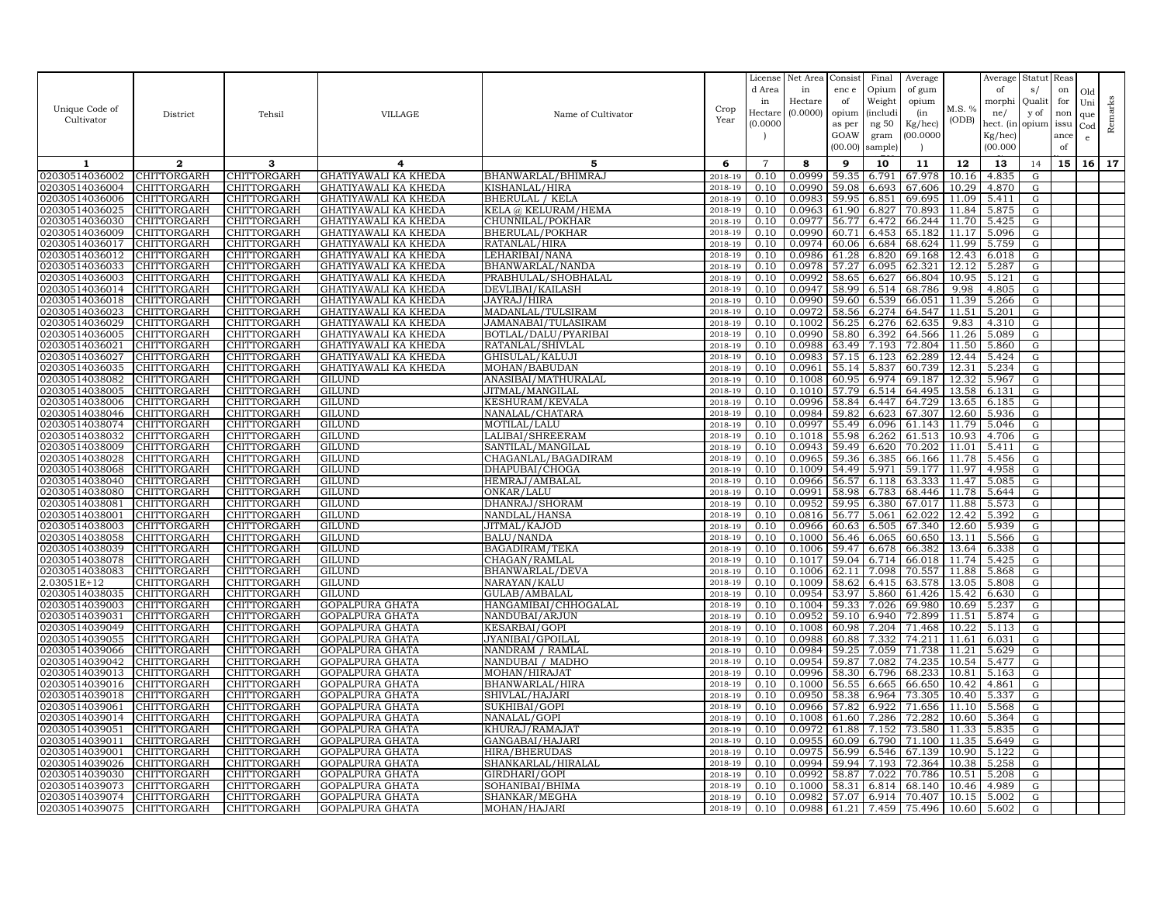| Unique Code of<br>Cultivator     | District                          | Tehsil                     | VILLAGE                                      | Name of Cultivator                | Crop<br>Year       | License<br>d Area<br>in<br>Hectare<br>(0.0000) | Net Area<br>in<br>Hectare<br>(0.0000) | Consist<br>enc e<br>of<br>opium<br>as per<br>GOAW<br>(00.00) | Final<br>Opium<br>Weight<br><i>(includi</i><br>ng 50<br>gram<br>sample) | Average<br>of gum<br>opium<br>(in<br>Kg/hec)<br>00.000C | M.S. %<br>(ODB) | Average<br>of<br>morphi<br>ne/<br>hect. (in<br>$Kg/$ hec)<br>(00.000) | Statut<br>s/<br>Quali<br>y of<br>opium | Reas<br>on<br>for<br>non<br>issu<br>ance<br>of | Old<br>Uni<br>que<br>Cod<br>$\mathbf{e}$ | Remarks |
|----------------------------------|-----------------------------------|----------------------------|----------------------------------------------|-----------------------------------|--------------------|------------------------------------------------|---------------------------------------|--------------------------------------------------------------|-------------------------------------------------------------------------|---------------------------------------------------------|-----------------|-----------------------------------------------------------------------|----------------------------------------|------------------------------------------------|------------------------------------------|---------|
| 1                                | $\mathbf{2}$                      | 3                          | 4                                            | 5                                 | 6                  | $\overline{7}$                                 | 8                                     | 9                                                            | 10                                                                      | 11                                                      | 12              | 13                                                                    | 14                                     | 15                                             | 16 <sup>1</sup>                          | 17      |
| 02030514036002                   | CHITTORGARH                       | CHITTORGARH                | GHATIYAWALI KA KHEDA                         | BHANWARLAL/BHIMRAJ                | 2018-19            | 0.10                                           | 0.0999                                | 59.35                                                        | 6.791                                                                   | 67.978                                                  | 10.16           | 4.835                                                                 | ${\rm G}$                              |                                                |                                          |         |
| 02030514036004                   | CHITTORGARH                       | CHITTORGARH                | GHATIYAWALI KA KHEDA                         | KISHANLAL/HIRA                    | 2018-19            | 0.10                                           | 0.0990                                | 59.08                                                        | 6.693                                                                   | 67.606                                                  | 10.29           | 4.870                                                                 | ${\rm G}$                              |                                                |                                          |         |
| 02030514036006                   | CHITTORGARH                       | CHITTORGARH                | GHATIYAWALI KA KHEDA                         | <b>BHERULAL / KELA</b>            | 2018-19            | 0.10                                           | 0.098;                                | 59.95                                                        | 6.851                                                                   | 69.695                                                  | 11.09           | 5.411                                                                 | G                                      |                                                |                                          |         |
| 02030514036025                   | CHITTORGARH                       | CHITTORGARH                | GHATIYAWALI KA KHEDA                         | KELA @ KELURAM/HEMA               | 2018-19            | 0.10                                           | 0.0963                                | 61.90                                                        | 6.827                                                                   | 70.893                                                  | 11.84           | 5.875                                                                 | ${\rm G}$                              |                                                |                                          |         |
| 02030514036030                   | CHITTORGARH                       | CHITTORGARH                | GHATIYAWALI KA KHEDA                         | CHUNNILAL/POKHAR                  | 2018-19            | 0.10                                           | 0.0977                                | 56.77                                                        | 6.472                                                                   | 66.244                                                  | 11.70           | 5.425                                                                 | G                                      |                                                |                                          |         |
| 02030514036009                   | CHITTORGARH                       | CHITTORGARH                | GHATIYAWALI KA KHEDA                         | <b>BHERULAL/POKHAR</b>            | 2018-19            | 0.10                                           | 0.0990                                | 60.71                                                        | 6.453                                                                   | 65.182                                                  | 11.17           | 5.096                                                                 | ${\rm G}$                              |                                                |                                          |         |
| 02030514036017                   | <b>CHITTORGARH</b>                | CHITTORGARH                | GHATIYAWALI KA KHEDA                         | RATANLAL/HIRA                     | 2018-19            | 0.10                                           | 0.0974                                | 60.06                                                        | 6.684                                                                   | 68.624                                                  | 11.99           | 5.759                                                                 | G                                      |                                                |                                          |         |
| 02030514036012                   | CHITTORGARH                       | CHITTORGARH                | GHATIYAWALI KA KHEDA                         | LEHARIBAI/NANA                    | 2018-19            | 0.10                                           | 0.0986                                | 61.28                                                        | 6.820                                                                   | 69.168                                                  | 12.43           | 6.018                                                                 | G                                      |                                                |                                          |         |
| 02030514036033                   | <b>CHITTORGARH</b>                | <b>CHITTORGARH</b>         | GHATIYAWALI KA KHEDA                         | BHANWARLAL/NANDA                  | 2018-19            | 0.10                                           | 0.0978                                | 57.27                                                        | 6.095                                                                   | 62.321                                                  | 12.12           | 5.287                                                                 | G                                      |                                                |                                          |         |
| 02030514036003                   | CHITTORGARH                       | CHITTORGARH                | GHATIYAWALI KA KHEDA                         | PRABHULAL/SHOBHALAL               | 2018-19            | 0.10                                           | 0.0992                                | 58.65<br>58.99                                               | 6.627                                                                   | 66.804                                                  | 10.95<br>9.98   | 5.121                                                                 | ${\rm G}$                              |                                                |                                          |         |
| 02030514036014<br>02030514036018 | <b>CHITTORGARH</b><br>CHITTORGARH | <b>CHITTORGARH</b>         | GHATIYAWALI KA KHEDA                         | DEVLIBAI/KAILASH                  | 2018-19            | 0.10<br>0.10                                   | 0.0947<br>0.0990                      | 59.60                                                        | 6.514<br>6.539                                                          | 68.786<br>66.051                                        | 11.39           | 4.805<br>5.266                                                        | G<br>${\rm G}$                         |                                                |                                          |         |
| 02030514036023                   | CHITTORGARH                       | CHITTORGARH<br>CHITTORGARH | GHATIYAWALI KA KHEDA<br>GHATIYAWALI KA KHEDA | JAYRAJ/HIRA<br>MADANLAL/TULSIRAM  | 2018-19<br>2018-19 | 0.10                                           | 0.0972                                | 58.56                                                        | 6.274                                                                   | 64.547                                                  | 11.51           | 5.201                                                                 | ${\rm G}$                              |                                                |                                          |         |
| 02030514036029                   | CHITTORGARH                       | CHITTORGARH                | GHATIYAWALI KA KHEDA                         | JAMANABAI/TULASIRAM               | 2018-19            | 0.10                                           | 0.1002                                | 56.25                                                        | 6.276                                                                   | 62.635                                                  | 9.83            | 4.310                                                                 | G                                      |                                                |                                          |         |
| 02030514036005                   | CHITTORGARH                       | CHITTORGARH                | GHATIYAWALI KA KHEDA                         | BOTLAL/DALU/PYARIBAI              | 2018-19            | 0.10                                           | 0.0990                                | 58.80                                                        | 6.392                                                                   | 64.566                                                  | 11.26           | 5.089                                                                 | G                                      |                                                |                                          |         |
| 02030514036021                   | CHITTORGARH                       | CHITTORGARH                | GHATIYAWALI KA KHEDA                         | RATANLAL/SHIVLAL                  | 2018-19            | 0.10                                           | 0.0988                                | 63.49                                                        | 7.193                                                                   | 72.804                                                  | 11.50           | 5.860                                                                 | G                                      |                                                |                                          |         |
| 02030514036027                   | CHITTORGARH                       | CHITTORGARH                | GHATIYAWALI KA KHEDA                         | GHISULAL/KALUJI                   | 2018-19            | 0.10                                           | 0.0983                                | 57.15                                                        | 6.123                                                                   | 62.289                                                  | 12.44           | 5.424                                                                 | ${\rm G}$                              |                                                |                                          |         |
| 02030514036035                   | <b>CHITTORGARH</b>                | CHITTORGARH                | GHATIYAWALI KA KHEDA                         | MOHAN/BABUDAN                     | 2018-19            | 0.10                                           | 0.0961                                | 55.14                                                        | 5.837                                                                   | 60.739                                                  | 12.31           | 5.234                                                                 | G                                      |                                                |                                          |         |
| 02030514038082                   | CHITTORGARH                       | CHITTORGARH                | GILUND                                       | ANASIBAI/MATHURALAL               | 2018-19            | 0.10                                           | 0.1008                                | 60.95                                                        | 6.974                                                                   | 69.187                                                  | 12.32           | 5.967                                                                 | ${\rm G}$                              |                                                |                                          |         |
| 02030514038005                   | CHITTORGARH                       | CHITTORGARH                | GILUND                                       | JITMAL/MANGILAL                   | 2018-19            | 0.10                                           | 0.1010                                | 57.79                                                        | 6.514                                                                   | 64.495                                                  | 13.58           | 6.131                                                                 | G                                      |                                                |                                          |         |
| 02030514038006                   | CHITTORGARH                       | CHITTORGARH                | GILUND                                       | KESHURAM/KEVALA                   | 2018-19            | 0.10                                           | 0.0996                                | 58.84                                                        | 6.447                                                                   | 64.729                                                  | 13.65           | 6.185                                                                 | $\mathbf G$                            |                                                |                                          |         |
| 02030514038046                   | CHITTORGARH                       | CHITTORGARH                | GILUND                                       | NANALAL/CHATARA                   | 2018-19            | 0.10                                           | 0.0984                                | 59.82                                                        | 6.623                                                                   | 67.307                                                  | 12.60           | 5.936                                                                 | G                                      |                                                |                                          |         |
| 02030514038074                   | CHITTORGARH                       | CHITTORGARH                | GILUND                                       | MOTILAL/LALU                      | 2018-19            | 0.10                                           | 0.0997                                | 55.49                                                        | 6.096                                                                   | 61.143                                                  | 11.79           | 5.046                                                                 | G                                      |                                                |                                          |         |
| 02030514038032                   | CHITTORGARH                       | CHITTORGARH                | GILUND                                       | LALIBAI/SHREERAM                  | 2018-19            | 0.10                                           | 0.1018                                | 55.98                                                        | 6.262                                                                   | 61.513                                                  | 10.93           | 4.706                                                                 | G                                      |                                                |                                          |         |
| 02030514038009                   | CHITTORGARH                       | CHITTORGARH                | GILUND                                       | SANTILAL/MANGILAI                 | 2018-19            | 0.10                                           | 0.0943                                | 59.49                                                        | 6.620                                                                   | 70.202                                                  | 11.01           | 5.411                                                                 | G                                      |                                                |                                          |         |
| 02030514038028                   | CHITTORGARH                       | CHITTORGARH                | GILUND                                       | CHAGANLAL/BAGADIRAM               | 2018-19            | 0.10                                           | 0.0965                                | 59.36                                                        | 6.385                                                                   | 66.166                                                  | 11.78           | 5.456                                                                 | ${\rm G}$                              |                                                |                                          |         |
| 02030514038068                   | CHITTORGARH                       | CHITTORGARH                | GILUND                                       | DHAPUBAI/CHOGA                    | 2018-19            | 0.10                                           | 0.1009                                | 54.49                                                        | 5.971                                                                   | 59.177                                                  | 11.97           | 4.958                                                                 | G                                      |                                                |                                          |         |
| 02030514038040                   | CHITTORGARH                       | CHITTORGARH                | GILUND                                       | HEMRAJ/AMBALAL                    | 2018-19            | 0.10                                           | 0.0966                                | 56.57                                                        | 6.118                                                                   | 63.333                                                  | 11.47           | 5.085                                                                 | ${\rm G}$                              |                                                |                                          |         |
| 02030514038080                   | <b>CHITTORGARH</b>                | CHITTORGARH                | GILUND                                       | ONKAR/LALU                        | 2018-19            | 0.10                                           | 0.0991                                | 58.98                                                        | 6.783                                                                   | 68.446                                                  | 11.78           | 5.644                                                                 | G                                      |                                                |                                          |         |
| 02030514038081                   | CHITTORGARH                       | CHITTORGARH                | GILUND                                       | DHANRAJ/SHORAM                    | 2018-19            | 0.10                                           | 0.0952                                | 59.95                                                        | 6.380                                                                   | 67.017                                                  | 11.88           | 5.573                                                                 | ${\rm G}$                              |                                                |                                          |         |
| 02030514038001                   | CHITTORGARH<br>CHITTORGARH        | CHITTORGARH<br>CHITTORGARH | GILUND                                       | NANDLAL/HANSA                     | 2018-19            | 0.10                                           | 0.0816                                | 56.77<br>60.63                                               | 5.061                                                                   | 62.022                                                  | 12.42<br>12.60  | 5.392<br>5.939                                                        | ${\rm G}$                              |                                                |                                          |         |
| 02030514038003<br>02030514038058 | CHITTORGARH                       | CHITTORGARH                | GILUND<br><b>GILUND</b>                      | JITMAL/KAJOD<br><b>BALU/NANDA</b> | 2018-19<br>2018-19 | 0.10<br>0.10                                   | 0.0966<br>0.1000                      | 56.46                                                        | 6.505<br>6.065                                                          | 67.340<br>60.650                                        | 13.11           | 5.566                                                                 | G<br>G                                 |                                                |                                          |         |
| 02030514038039                   | CHITTORGARH                       | CHITTORGARH                | GILUND                                       | <b>BAGADIRAM/TEKA</b>             | 2018-19            | 0.10                                           | 0.1006                                | 59.47                                                        | 6.678                                                                   | 66.382                                                  | 13.64           | 6.338                                                                 | G                                      |                                                |                                          |         |
| 02030514038078                   | CHITTORGARH                       | CHITTORGARH                | <b>GILUND</b>                                | CHAGAN/RAMLAL                     | 2018-19            | 0.10                                           | 0.1017                                | 59.04                                                        | 6.714                                                                   | 66.018                                                  | 11.74           | 5.425                                                                 | G                                      |                                                |                                          |         |
| 02030514038083                   | <b>CHITTORGARH</b>                | CHITTORGARH                | GILUND                                       | BHANWARLAL/DEVA                   | 2018-19            | 0.10                                           | 0.1006                                | 62.11                                                        | 7.098                                                                   | 70.557                                                  | 11.88           | 5.868                                                                 | G                                      |                                                |                                          |         |
| .03051E+12                       | CHITTORGARH                       | CHITTORGARH                | GILUND                                       | NARAYAN/KALU                      | 2018-19            | 0.10                                           | 0.1009                                | 58.62                                                        | 6.415                                                                   | 63.578                                                  | 13.05           | 5.808                                                                 | ${\rm G}$                              |                                                |                                          |         |
| 02030514038035                   | <b>CHITTORGARH</b>                | CHITTORGARH                | GILUND                                       | GULAB/AMBALAL                     | 2018-19            | 0.10                                           | 0.0954                                | 53.97                                                        | 5.860                                                                   | 61.426                                                  | 15.42           | 6.630                                                                 | G                                      |                                                |                                          |         |
| 02030514039003                   | CHITTORGARH                       | CHITTORGARH                | GOPALPURA GHATA                              | HANGAMIBAI/CHHOGALAL              | 2018-19            | 0.10                                           | 0.1004                                | 59.33                                                        | 7.026                                                                   | 69.980                                                  | 10.69           | 5.237                                                                 | G                                      |                                                |                                          |         |
| 02030514039031                   | <b>CHITTORGARH</b>                | CHITTORGARH                | GOPALPURA GHATA                              | NANDUBAI/ARJUN                    | 2018-19            | 0.10                                           | 0.0952                                | 59.10                                                        | 6.940                                                                   | 72.899                                                  | 11.51           | 5.874                                                                 | G                                      |                                                |                                          |         |
| 02030514039049                   | CHITTORGARH                       | CHITTORGARH                | GOPALPURA GHATA                              | <b>KESARBAI/GOPI</b>              | 2018-19            | 0.10                                           | 0.1008                                | 60.98                                                        | 7.204                                                                   | 71.468                                                  | 10.22           | 5.113                                                                 | ${\rm G}$                              |                                                |                                          |         |
| 02030514039055                   | CHITTORGARH                       | CHITTORGARH                | GOPALPURA GHATA                              | JYANIBAI/GPOILAL                  | 2018-19            | 0.10                                           | 0.0988                                | 60.88                                                        | 7.332                                                                   | 74.211                                                  | 11.61           | 6.031                                                                 | ${\rm G}$                              |                                                |                                          |         |
| 02030514039066                   | CHITTORGARH                       | CHITTORGARH                | GOPALPURA GHATA                              | NANDRAM / RAMLAL                  | 2018-19            | 0.10                                           | 0.0984                                | 59.25                                                        | 7.059                                                                   | 71.738                                                  | 11.21           | 5.629                                                                 | ${\rm G}$                              |                                                |                                          |         |
| 02030514039042                   | CHITTORGARH                       | CHITTORGARH                | GOPALPURA GHATA                              | NANDUBAI / MADHO                  | 2018-19            | 0.10                                           | 0.0954                                | 59.87                                                        | 7.082                                                                   | 74.235                                                  | 10.54           | 5.477                                                                 | ${\rm G}$                              |                                                |                                          |         |
| 02030514039013                   | CHITTORGARH                       | CHITTORGARH                | GOPALPURA GHATA                              | MOHAN/HIRAJAT                     | 2018-19            | 0.10                                           | 0.0996                                | 58.30                                                        | 6.796                                                                   | 68.233                                                  | 10.81           | 5.163                                                                 | G                                      |                                                |                                          |         |
| 02030514039016                   | CHITTORGARH                       | CHITTORGARH                | GOPALPURA GHATA                              | BHANWARLAL/HIRA                   | 2018-19            | 0.10                                           | 0.1000                                | 56.55                                                        | 6.665                                                                   | 66.650                                                  | 10.42           | 4.861                                                                 | ${\rm G}$                              |                                                |                                          |         |
| 02030514039018                   | <b>CHITTORGARH</b>                | CHITTORGARH                | GOPALPURA GHATA                              | SHIVLAL/HAJARI                    | 2018-19            | 0.10                                           | 0.0950                                | 58.38                                                        | 6.964                                                                   | 73.305                                                  | 10.40           | 5.337                                                                 | G                                      |                                                |                                          |         |
| 02030514039061                   | CHITTORGARH                       | CHITTORGARH                | GOPALPURA GHATA                              | SUKHIBAI/GOPI                     | 2018-19            | 0.10                                           | 0.0966                                | 57.82                                                        | 6.922                                                                   | 71.656                                                  | 11.10           | 5.568                                                                 | G                                      |                                                |                                          |         |
| 02030514039014                   | CHITTORGARH                       | CHITTORGARH                | GOPALPURA GHATA                              | NANALAL/GOPI                      | 2018-19            | 0.10                                           | 0.1008                                |                                                              | 61.60 7.286                                                             | 72.282                                                  | 10.60           | 5.364                                                                 | G                                      |                                                |                                          |         |
| 02030514039051<br>02030514039011 | CHITTORGARH<br>CHITTORGARH        | CHITTORGARH<br>CHITTORGARH | <b>GOPALPURA GHATA</b><br>GOPALPURA GHATA    | KHURAJ/RAMAJAT<br>GANGABAI/HAJARI | 2018-19<br>2018-19 | 0.10<br>0.10                                   | 0.0972<br>0.0955                      | 61.88<br>60.09                                               | 7.152<br>6.790                                                          | 73.580<br>71.100                                        | 11.33<br>11.35  | 5.835<br>5.649                                                        | G<br>G                                 |                                                |                                          |         |
| 02030514039001                   | CHITTORGARH                       | CHITTORGARH                | GOPALPURA GHATA                              | HIRA/BHERUDAS                     | 2018-19            | 0.10                                           | 0.0975                                | 56.99                                                        | 6.546                                                                   | 67.139                                                  | 10.90           | 5.122                                                                 | G                                      |                                                |                                          |         |
| 02030514039026                   | CHITTORGARH                       | CHITTORGARH                | GOPALPURA GHATA                              | SHANKARLAL/HIRALAL                | 2018-19            | 0.10                                           | 0.0994                                | 59.94                                                        | 7.193                                                                   | 72.364                                                  | 10.38           | 5.258                                                                 | G                                      |                                                |                                          |         |
| 02030514039030                   | CHITTORGARH                       | <b>CHITTORGARH</b>         | GOPALPURA GHATA                              | GIRDHARI/GOPI                     | 2018-19            | 0.10                                           | 0.0992                                | 58.87                                                        | 7.022                                                                   | 70.786                                                  | 10.51           | 5.208                                                                 | G                                      |                                                |                                          |         |
| 02030514039073                   | CHITTORGARH                       | CHITTORGARH                | GOPALPURA GHATA                              | SOHANIBAI/BHIMA                   | 2018-19            | 0.10                                           | 0.1000                                | 58.31                                                        | 6.814                                                                   | 68.140                                                  | 10.46           | 4.989                                                                 | G                                      |                                                |                                          |         |
| 02030514039074                   | <b>CHITTORGARH</b>                | <b>CHITTORGARH</b>         | GOPALPURA GHATA                              | SHANKAR/MEGHA                     | 2018-19            | 0.10                                           | 0.0982                                | 57.07                                                        | 6.914                                                                   | 70.407                                                  | 10.15           | 5.002                                                                 | G                                      |                                                |                                          |         |
| 02030514039075                   | <b>CHITTORGARH</b>                | CHITTORGARH                | <b>GOPALPURA GHATA</b>                       | MOHAN/HAJARI                      | 2018-19            | 0.10                                           | 0.0988                                | 61.21                                                        | 7.459                                                                   | 75.496                                                  | 10.60           | 5.602                                                                 | G                                      |                                                |                                          |         |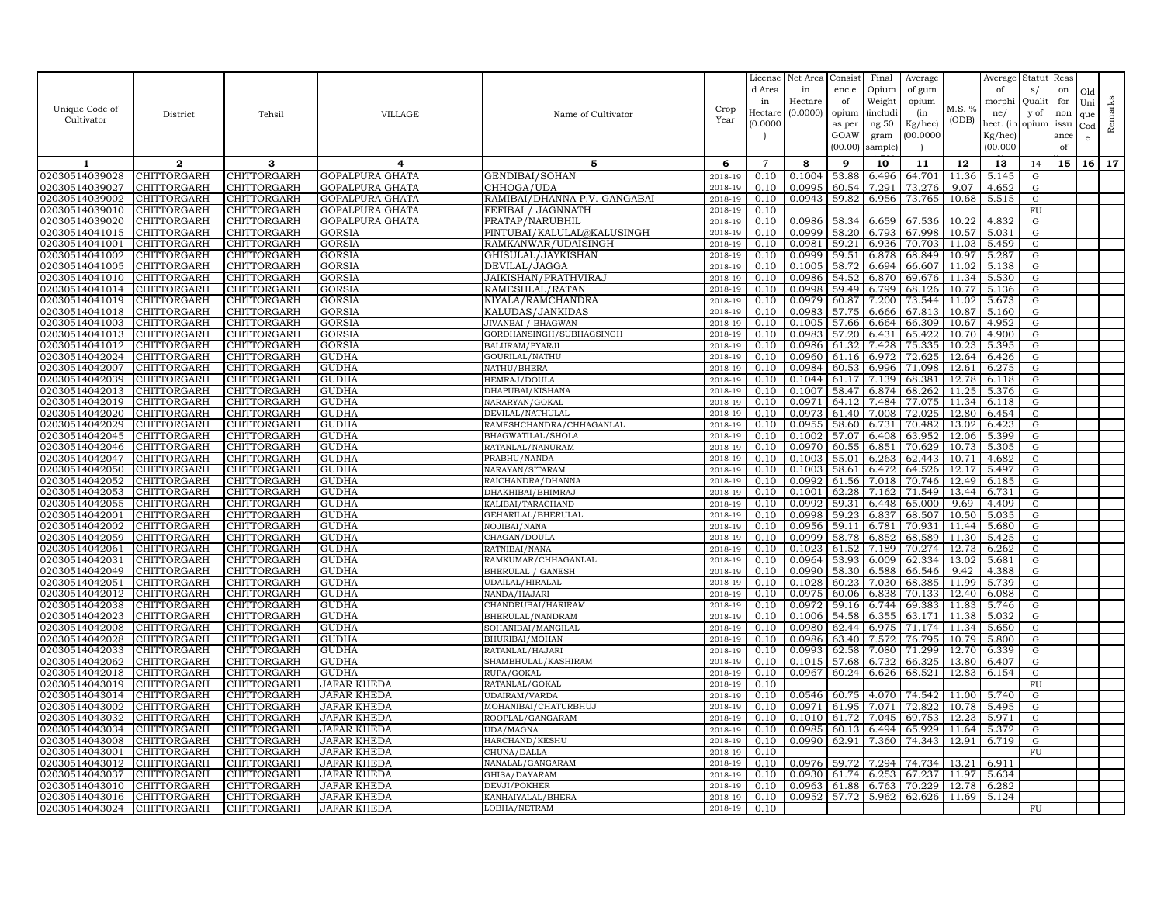| Unique Code of<br>Cultivator     | District                   | Tehsil                            | VILLAGE                           | Name of Cultivator                   | Crop<br>Year       | License<br>d Area<br>in<br>Hectare<br>(0.0000) | Net Area<br>in<br>Hectare<br>(0.0000) | Consist<br>enc e<br>of<br>opium<br>as per<br>GOAW<br>(00.00) | Final<br>Opium<br>Weight<br><i>(includi</i><br>ng 50<br>gram<br>sample) | Average<br>of gum<br>opium<br>(in<br>Kg/hec)<br>00.000C | M.S. %<br>(ODB) | Average<br>of<br>morphi<br>ne/<br>hect. (in<br>$Kg/$ hec)<br>(00.000) | Statut<br>s/<br>Quali<br>y of<br>opium | Reas<br>on<br>for<br>non<br>issu<br>ance<br>of | Old<br>Uni<br>que<br>Cod<br>e | Remarks |
|----------------------------------|----------------------------|-----------------------------------|-----------------------------------|--------------------------------------|--------------------|------------------------------------------------|---------------------------------------|--------------------------------------------------------------|-------------------------------------------------------------------------|---------------------------------------------------------|-----------------|-----------------------------------------------------------------------|----------------------------------------|------------------------------------------------|-------------------------------|---------|
| 1                                | $\mathbf{2}$               | 3                                 | 4                                 | 5                                    | 6                  | $\overline{7}$                                 | 8                                     | 9                                                            | 10                                                                      | 11                                                      | 12              | 13                                                                    | 14                                     | 15                                             | 16                            | 17      |
| 02030514039028                   | CHITTORGARH                | CHITTORGARH                       | GOPALPURA GHATA                   | GENDIBAI/SOHAN                       | 2018-19            | 0.10                                           | 0.1004                                | 53.88                                                        | 6.496                                                                   | 64.701                                                  | 11.36           | 5.145                                                                 | ${\rm G}$                              |                                                |                               |         |
| 02030514039027                   | CHITTORGARH                | <b>CHITTORGARH</b>                | GOPALPURA GHATA                   | CHHOGA/UDA                           | 2018-19            | 0.10                                           | 0.0995                                | 60.54                                                        | 7.291                                                                   | 73.276                                                  | 9.07            | 4.652                                                                 | ${\rm G}$                              |                                                |                               |         |
| 02030514039002                   | CHITTORGARH                | CHITTORGARH                       | GOPALPURA GHATA                   | RAMIBAI/DHANNA P.V. GANGABAI         | $2018 - 1$         | 0.10                                           | 0.0943                                | 59.8                                                         | 6.956                                                                   | 73.765                                                  | 10.68           | 5.515                                                                 | $\mathbf G$                            |                                                |                               |         |
| 02030514039010                   | <b>CHITTORGARH</b>         | CHITTORGARH                       | GOPALPURA GHATA                   | FEFIBAI / JAGNNATH                   | 2018-19            | 0.10                                           |                                       |                                                              |                                                                         |                                                         |                 |                                                                       | FU                                     |                                                |                               |         |
| 02030514039020                   | CHITTORGARH                | CHITTORGARH                       | GOPALPURA GHATA                   | PRATAP/NARUBHIL                      | 2018-19            | 0.10                                           | 0.0986                                | 58.34                                                        | 6.659                                                                   | 67.536                                                  | 10.22           | 4.832                                                                 | G                                      |                                                |                               |         |
| 02030514041015                   | CHITTORGARH                | CHITTORGARH                       | <b>GORSIA</b>                     | PINTUBAI/KALULAL@KALUSINGH           | 2018-19            | 0.10                                           | 0.0999                                | 58.20                                                        | 6.793                                                                   | 67.998                                                  | 10.57           | 5.031                                                                 | ${\rm G}$                              |                                                |                               |         |
| 02030514041001                   | <b>CHITTORGARH</b>         | CHITTORGARH                       | <b>GORSIA</b>                     | RAMKANWAR/UDAISINGH                  | 2018-19            | 0.10                                           | 0.0981                                | 59.21                                                        | 6.936                                                                   | 70.703                                                  | 11.03           | 5.459                                                                 | G                                      |                                                |                               |         |
| 02030514041002                   | CHITTORGARH                | CHITTORGARH                       | GORSIA                            | GHISULAL/JAYKISHAN                   | 2018-19            | 0.10                                           | 0.0999                                | 59.51                                                        | 6.878                                                                   | 68.849                                                  | 10.97           | 5.287                                                                 | G                                      |                                                |                               |         |
| 02030514041005                   | CHITTORGARH                | CHITTORGARH                       | GORSIA                            | DEVILAL/JAGGA                        | 2018-19            | 0.10                                           | 0.1005                                | 58.72                                                        | 6.694                                                                   | 66.607                                                  | 11.02           | 5.138                                                                 | G                                      |                                                |                               |         |
| 02030514041010                   | CHITTORGARH                | CHITTORGARH                       | GORSIA                            | JAIKISHAN/PRATHVIRAJ                 | 2018-19            | 0.10                                           | 0.0986                                | 54.52                                                        | 6.870                                                                   | 69.676                                                  | 11.34           | 5.530                                                                 | G                                      |                                                |                               |         |
| 02030514041014<br>02030514041019 | CHITTORGARH<br>CHITTORGARH | CHITTORGARH<br>CHITTORGARH        | GORSIA<br><b>GORSIA</b>           | RAMESHLAL/RATAN<br>NIYALA/RAMCHANDRA | 2018-19<br>2018-19 | 0.10<br>0.10                                   | 0.0998<br>0.0979                      | 59.49<br>60.87                                               | 6.799<br>7.200                                                          | 68.126<br>73.544                                        | 10.77<br>11.02  | 5.136<br>5.673                                                        | G<br>${\rm G}$                         |                                                |                               |         |
| 02030514041018                   | <b>CHITTORGARH</b>         | CHITTORGARH                       | GORSIA                            | KALUDAS/JANKIDAS                     | 2018-19            | 0.10                                           | 0.0983                                | 57.75                                                        | 6.666                                                                   | 67.813                                                  | 10.87           | 5.160                                                                 | G                                      |                                                |                               |         |
| 02030514041003                   | CHITTORGARH                | CHITTORGARH                       | <b>GORSIA</b>                     | JIVANBAI / BHAGWAN                   | 2018-19            | 0.10                                           | 0.1005                                | 57.66                                                        | 6.664                                                                   | 66.309                                                  | 10.67           | 4.952                                                                 | G                                      |                                                |                               |         |
| 02030514041013                   | CHITTORGARH                | CHITTORGARH                       | GORSIA                            | GORDHANSINGH/SUBHAGSINGH             | 2018-19            | 0.10                                           | 0.0983                                | 57.20                                                        | 6.431                                                                   | 65.422                                                  | 10.70           | 4.900                                                                 | ${\rm G}$                              |                                                |                               |         |
| 02030514041012                   | CHITTORGARH                | CHITTORGARH                       | GORSIA                            | BALURAM/PYARJI                       | 2018-19            | 0.10                                           | 0.0986                                | 61.32                                                        | 7.428                                                                   | 75.335                                                  | 10.23           | 5.395                                                                 | G                                      |                                                |                               |         |
| 02030514042024                   | CHITTORGARH                | CHITTORGARH                       | GUDHA                             | GOURILAL/NATHU                       | 2018-19            | 0.10                                           | 0.0960                                | 61.16                                                        | 6.972                                                                   | 72.625                                                  | 12.64           | 6.426                                                                 | G                                      |                                                |                               |         |
| 02030514042007                   | CHITTORGARH                | CHITTORGARH                       | GUDHA                             | NATHU/BHERA                          | 2018-19            | 0.10                                           | 0.0984                                | 60.53                                                        | 6.996                                                                   | 71.098                                                  | 12.61           | 6.275                                                                 | ${\rm G}$                              |                                                |                               |         |
| 02030514042039                   | CHITTORGARH                | CHITTORGARH                       | <b>GUDHA</b>                      | HEMRAJ/DOULA                         | 2018-19            | 0.10                                           | 0.1044                                | 61.17                                                        | 7.139                                                                   | 68.381                                                  | 12.78           | 6.118                                                                 | ${\rm G}$                              |                                                |                               |         |
| 02030514042013                   | CHITTORGARH                | CHITTORGARH                       | GUDHA                             | DHAPUBAI/KISHANA                     | 2018-19            | 0.10                                           | 0.1007                                | 58.47                                                        | 6.874                                                                   | 68.262                                                  | 11.25           | 5.376                                                                 | G                                      |                                                |                               |         |
| 02030514042019                   | CHITTORGARH                | CHITTORGARH                       | GUDHA                             | NARARYAN/GOKAL                       | 2018-19            | 0.10                                           | 0.0971                                | 64.12                                                        | 7.484                                                                   | 77.075                                                  | 11.34           | 6.118                                                                 | ${\bf G}$                              |                                                |                               |         |
| 02030514042020                   | <b>CHITTORGARH</b>         | CHITTORGARH                       | <b>GUDHA</b>                      | DEVILAL/NATHULAL                     | 2018-19            | 0.10                                           | 0.0973                                | 61.40                                                        | 7.008                                                                   | 72.025                                                  | 12.80           | 6.454                                                                 | G                                      |                                                |                               |         |
| 02030514042029                   | CHITTORGARH                | CHITTORGARH                       | <b>GUDHA</b>                      | RAMESHCHANDRA/CHHAGANLAL             | 2018-19            | 0.10                                           | 0.0955                                | 58.60                                                        | 6.731                                                                   | 70.482                                                  | 13.02           | 6.423                                                                 | ${\rm G}$                              |                                                |                               |         |
| 02030514042045                   | CHITTORGARH                | <b>CHITTORGARH</b>                | GUDHA                             | BHAGWATILAL/SHOLA                    | 2018-19            | 0.10                                           | 0.1002                                | 57.07                                                        | 6.408                                                                   | 63.952                                                  | 12.06           | 5.399                                                                 | G                                      |                                                |                               |         |
| 02030514042046                   | CHITTORGARH                | CHITTORGARH                       | GUDHA                             | RATANLAL/NANURAM                     | 2018-19            | 0.10                                           | 0.0970                                | 60.55                                                        | 6.851                                                                   | 70.629                                                  | 10.73           | 5.305                                                                 | ${\rm G}$                              |                                                |                               |         |
| 02030514042047                   | CHITTORGARH                | CHITTORGARH                       | GUDHA                             | PRABHU/NANDA                         | 2018-19            | 0.10                                           | 0.1003                                | 55.01                                                        | 6.263                                                                   | 62.443                                                  | 10.71           | 4.682                                                                 | G                                      |                                                |                               |         |
| 02030514042050                   | CHITTORGARH                | CHITTORGARH                       | GUDHA                             | NARAYAN/SITARAM                      | 2018-19            | 0.10                                           | 0.1003                                | 58.61                                                        | 6.472                                                                   | 64.526                                                  | 12.17           | 5.497                                                                 | G                                      |                                                |                               |         |
| 02030514042052                   | CHITTORGARH                | CHITTORGARH                       | <b>GUDHA</b>                      | RAICHANDRA/DHANNA                    | 2018-19            | 0.10                                           | 0.0992                                | 61.56                                                        | 7.018                                                                   | 70.746                                                  | 12.49           | 6.185                                                                 | G                                      |                                                |                               |         |
| 02030514042053                   | CHITTORGARH                | CHITTORGARH                       | <b>GUDHA</b>                      | DHAKHIBAI/BHIMRAJ                    | 2018-19            | 0.10                                           | 0.1001                                | 62.28                                                        | 7.162                                                                   | 71.549                                                  | 13.44           | 6.731                                                                 | G                                      |                                                |                               |         |
| 02030514042055                   | CHITTORGARH                | CHITTORGARH                       | <b>GUDHA</b>                      | KALIBAI/TARACHAND                    | 2018-19            | 0.10                                           | 0.0992                                | 59.31                                                        | 6.448                                                                   | 65.000                                                  | 9.69            | 4.409                                                                 | G                                      |                                                |                               |         |
| 02030514042001<br>02030514042002 | CHITTORGARH<br>CHITTORGARH | <b>CHITTORGARH</b><br>CHITTORGARH | GUDHA<br><b>GUDHA</b>             | GEHARILAL/BHERULAL                   | 2018-19<br>2018-19 | 0.10<br>0.10                                   | 0.0998<br>0.0956                      | 59.23<br>59.11                                               | 6.837<br>6.781                                                          | 68.507<br>70.931                                        | 10.50<br>11.44  | 5.035<br>5.680                                                        | G<br>${\rm G}$                         |                                                |                               |         |
| 02030514042059                   | <b>CHITTORGARH</b>         | CHITTORGARH                       | <b>GUDHA</b>                      | NOJIBAI/NANA<br>CHAGAN/DOULA         | 2018-19            | 0.10                                           | 0.0999                                | 58.78                                                        | 6.852                                                                   | 68.589                                                  | 11.30           | 5.425                                                                 | G                                      |                                                |                               |         |
| 02030514042061                   | CHITTORGARH                | CHITTORGARH                       | GUDHA                             | RATNIBAI/NANA                        | 2018-19            | 0.10                                           | 0.1023                                | 61.52                                                        | 7.189                                                                   | 70.274                                                  | 12.73           | 6.262                                                                 | G                                      |                                                |                               |         |
| 02030514042031                   | CHITTORGARH                | CHITTORGARH                       | <b>GUDHA</b>                      | RAMKUMAR/CHHAGANLAL                  | 2018-19            | 0.10                                           | 0.0964                                | 53.93                                                        | 6.009                                                                   | 62.334                                                  | 13.02           | 5.681                                                                 | ${\rm G}$                              |                                                |                               |         |
| 02030514042049                   | CHITTORGARH                | CHITTORGARH                       | GUDHA                             | <b>BHERULAL / GANESH</b>             | 2018-19            | 0.10                                           | 0.0990                                | 58.30                                                        | 6.588                                                                   | 66.546                                                  | 9.42            | 4.388                                                                 | ${\rm G}$                              |                                                |                               |         |
| 02030514042051                   | CHITTORGARH                | CHITTORGARH                       | GUDHA                             | UDAILAL/HIRALAL                      | 2018-19            | 0.10                                           | 0.1028                                | 60.23                                                        | 7.030                                                                   | 68.385                                                  | 11.99           | 5.739                                                                 | G                                      |                                                |                               |         |
| 02030514042012                   | CHITTORGARH                | CHITTORGARH                       | GUDHA                             | NANDA/HAJARI                         | 2018-19            | 0.10                                           | 0.0975                                | 60.06                                                        | 6.838                                                                   | 70.133                                                  | 12.40           | 6.088                                                                 | G                                      |                                                |                               |         |
| 02030514042038                   | CHITTORGARH                | CHITTORGARH                       | <b>GUDHA</b>                      | CHANDRUBAI/HARIRAM                   | 2018-19            | 0.10                                           | 0.0972                                | 59.16                                                        | 6.744                                                                   | 69.383                                                  | 11.83           | 5.746                                                                 | ${\rm G}$                              |                                                |                               |         |
| 02030514042023                   | <b>CHITTORGARH</b>         | <b>CHITTORGARH</b>                | <b>GUDHA</b>                      | BHERULAL/NANDRAM                     | 2018-19            | 0.10                                           | 0.1006                                | 54.58                                                        | 6.355                                                                   | 63.171                                                  | 11.38           | 5.032                                                                 | G                                      |                                                |                               |         |
| 02030514042008                   | CHITTORGARH                | CHITTORGARH                       | <b>GUDHA</b>                      | SOHANIBAI/MANGILAL                   | 2018-19            | 0.10                                           | 0.0980                                | 62.44                                                        | 6.975                                                                   | 71.174                                                  | 11.34           | 5.650                                                                 | G                                      |                                                |                               |         |
| 02030514042028                   | CHITTORGARH                | CHITTORGARH                       | GUDHA                             | BHURIBAI/MOHAN                       | 2018-19            | 0.10                                           | 0.0986                                | 63.40                                                        | 7.572                                                                   | 76.795                                                  | 10.79           | 5.800                                                                 | G                                      |                                                |                               |         |
| 02030514042033                   | CHITTORGARH                | CHITTORGARH                       | <b>GUDHA</b>                      | RATANLAL/HAJARI                      | 2018-19            | 0.10                                           | 0.0993                                | 62.58                                                        | 7.080                                                                   | 71.299                                                  | 12.70           | 6.339                                                                 | $\mathbf G$                            |                                                |                               |         |
| 02030514042062                   | CHITTORGARH                | CHITTORGARH                       | GUDHA                             | SHAMBHULAL/KASHIRAM                  | 2018-19            | 0.10                                           | 0.1015                                | 57.68                                                        | 6.732                                                                   | 66.325                                                  | 13.80           | 6.407                                                                 | G                                      |                                                |                               |         |
| 02030514042018                   | CHITTORGARH                | CHITTORGARH                       | GUDHA                             | RUPA/GOKAL                           | 2018-19            | 0.10                                           | 0.0967                                | 60.24                                                        | 6.626                                                                   | 68.521                                                  | 12.83           | 6.154                                                                 | G                                      |                                                |                               |         |
| 02030514043019                   | CHITTORGARH                | CHITTORGARH                       | JAFAR KHEDA                       | RATANLAL/GOKAL                       | 2018-19            | 0.10                                           |                                       |                                                              |                                                                         |                                                         |                 |                                                                       | <b>FU</b>                              |                                                |                               |         |
| 02030514043014                   | CHITTORGARH                | CHITTORGARH                       | JAFAR KHEDA                       | UDAIRAM/VARDA                        | 2018-19            | 0.10                                           | 0.0546                                | 60.75                                                        | 4.070                                                                   | 74.542                                                  | 11.00           | 5.740                                                                 | ${\rm G}$                              |                                                |                               |         |
| 02030514043002                   | CHITTORGARH                | CHITTORGARH                       | JAFAR KHEDA                       | MOHANIBAI/CHATURBHUJ                 | 2018-19            | 0.10                                           | 0.0971<br>0.1010                      | 61.95<br>61.72                                               | 7.071<br>7.045                                                          | 72.822<br>69.753                                        | 10.78<br>12.23  | 5.495<br>5.971                                                        | G                                      |                                                |                               |         |
| 02030514043032<br>02030514043034 | CHITTORGARH<br>CHITTORGARH | CHITTORGARH<br>CHITTORGARH        | JAFAR KHEDA<br><b>JAFAR KHEDA</b> | ROOPLAL/GANGARAM<br>UDA/MAGNA        | 2018-19<br>2018-19 | 0.10<br>0.10                                   | 0.0985                                | 60.13                                                        | 6.494                                                                   | 65.929                                                  | 11.64           | 5.372                                                                 | G<br>${\rm G}$                         |                                                |                               |         |
| 02030514043008                   | CHITTORGARH                | CHITTORGARH                       | JAFAR KHEDA                       | HARCHAND/KESHU                       | 2018-19            | 0.10                                           | 0.0990                                | 62.91                                                        | 7.360                                                                   | 74.343                                                  | 12.91           | 6.719                                                                 | G                                      |                                                |                               |         |
| 02030514043001                   | CHITTORGARH                | <b>CHITTORGARH</b>                | <b>JAFAR KHEDA</b>                | CHUNA/DALLA                          | 2018-19            | 0.10                                           |                                       |                                                              |                                                                         |                                                         |                 |                                                                       | ${\rm FU}$                             |                                                |                               |         |
| 02030514043012                   | CHITTORGARH                | CHITTORGARH                       | JAFAR KHEDA                       | NANALAL/GANGARAM                     | 2018-19            | 0.10                                           | 0.0976                                | 59.72                                                        | 7.294                                                                   | 74.734                                                  | 13.21           | 6.911                                                                 |                                        |                                                |                               |         |
| 02030514043037                   | CHITTORGARH                | CHITTORGARH                       | JAFAR KHEDA                       | GHISA/DAYARAM                        | 2018-19            | 0.10                                           | 0.0930                                | 61.74                                                        | 6.253                                                                   | 67.237                                                  | 11.97           | 5.634                                                                 |                                        |                                                |                               |         |
| 02030514043010                   | <b>CHITTORGARH</b>         | CHITTORGARH                       | JAFAR KHEDA                       | <b>DEVJI/POKHER</b>                  | 2018-19            | 0.10                                           | 0.0963                                | 61.88                                                        | 6.763                                                                   | 70.229                                                  | 12.78           | 6.282                                                                 |                                        |                                                |                               |         |
| 02030514043016                   | <b>CHITTORGARH</b>         | CHITTORGARH                       | JAFAR KHEDA                       | KANHAIYALAL/BHERA                    | 2018-19            | 0.10                                           | 0.0952                                | 57.72                                                        | 5.962                                                                   | 62.626                                                  | 11.69           | 5.124                                                                 |                                        |                                                |                               |         |
| 02030514043024                   | <b>CHITTORGARH</b>         | <b>CHITTORGARH</b>                | <b>JAFAR KHEDA</b>                | LOBHA/NETRAM                         | 2018-19            | 0.10                                           |                                       |                                                              |                                                                         |                                                         |                 |                                                                       | FU                                     |                                                |                               |         |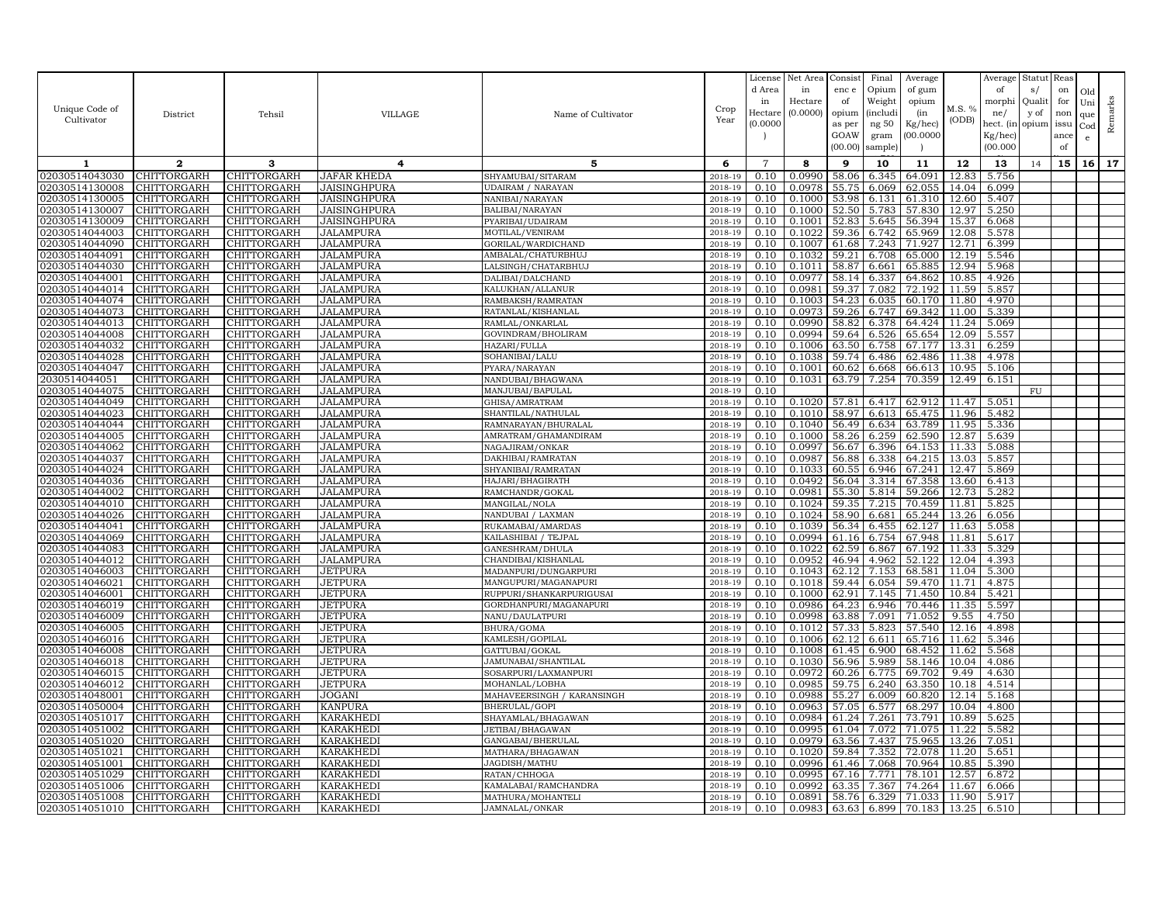| Unique Code of<br>Cultivator     | District                                 | Tehsil                            | VILLAGE                  | Name of Cultivator                          | Crop<br>Year          | License<br>d Area<br>in<br>Hectare<br>(0.0000) | Net Area<br>in<br>Hectare<br>(0.0000) | Consist<br>enc e<br>of<br>opium<br>as per<br>GOAW<br>(00.00) | Final<br>Opium<br>Weight<br><i>(includi</i><br>ng 50<br>gram<br>sample) | Average<br>of gum<br>opium<br>(in<br>Kg/hec)<br>00.000C | M.S. %<br>(ODB) | Average<br>of<br>morphi<br>ne/<br>hect. (in<br>Kg/hec)<br>(00.000) | Statut<br>s/<br>Quali<br>y of<br>opium | Reas<br>on<br>for<br>non<br>issu<br>ance<br>of | Old<br>Uni<br>que<br>Cod<br>$\mathbf{e}$ | Remarks |
|----------------------------------|------------------------------------------|-----------------------------------|--------------------------|---------------------------------------------|-----------------------|------------------------------------------------|---------------------------------------|--------------------------------------------------------------|-------------------------------------------------------------------------|---------------------------------------------------------|-----------------|--------------------------------------------------------------------|----------------------------------------|------------------------------------------------|------------------------------------------|---------|
| 1                                | $\mathbf{2}$                             | 3                                 | 4                        | 5                                           | 6                     | $\overline{7}$                                 | 8                                     | 9                                                            | 10                                                                      | 11                                                      | 12              | 13                                                                 | 14                                     | 15                                             | 16 <sup>1</sup>                          | 17      |
| 02030514043030                   | CHITTORGARH                              | CHITTORGARH                       | JAFAR KHEDA              | SHYAMUBAI/SITARAM                           | 2018-19               | 0.10                                           | 0.0990                                | 58.06                                                        | 6.345                                                                   | 64.091                                                  | 12.83           | 5.756                                                              |                                        |                                                |                                          |         |
| 02030514130008                   | CHITTORGARH                              | CHITTORGARH                       | JAISINGHPURA             | <b>UDAIRAM / NARAYAN</b>                    | 2018-19               | 0.10                                           | 0.0978                                | 55.75                                                        | 6.069                                                                   | 62.055                                                  | 14.04           | 6.099                                                              |                                        |                                                |                                          |         |
| 02030514130005                   | CHITTORGARH                              | CHITTORGARH                       | JAISINGHPURA             | NANIBAI/NARAYAN                             | 2018-19               | 0.10                                           | 0.1000                                | 53.98                                                        | 6.131                                                                   | 61.310                                                  | 12.60           | 5.407                                                              |                                        |                                                |                                          |         |
| 02030514130007                   | CHITTORGARH                              | CHITTORGARH                       | JAISINGHPURA             | BALIBAI/NARAYAN                             | 2018-19               | 0.10                                           | 0.1000                                | 52.50                                                        | 5.783                                                                   | 57.830                                                  | 12.97           | 5.250                                                              |                                        |                                                |                                          |         |
| 02030514130009                   | CHITTORGARH                              | CHITTORGARH                       | JAISINGHPURA             | PYARIBAI/UDAIRAM                            | 2018-19               | 0.10                                           | 0.1001                                | 52.83                                                        | 5.645                                                                   | 56.394                                                  | 15.37           | 6.068                                                              |                                        |                                                |                                          |         |
| 02030514044003                   | CHITTORGARH                              | CHITTORGARH                       | JALAMPURA                | MOTILAL/VENIRAM                             | 2018-19               | 0.10                                           | 0.1022                                | 59.36                                                        | 6.742                                                                   | 65.969                                                  | 12.08           | 5.578                                                              |                                        |                                                |                                          |         |
| 02030514044090                   | CHITTORGARH                              | CHITTORGARH                       | JALAMPURA                | GORILAL/WARDICHAND                          | 2018-19               | 0.10                                           | 0.1007                                | 61.68                                                        | 7.243                                                                   | 71.927                                                  | 12.71           | 6.399                                                              |                                        |                                                |                                          |         |
| 02030514044091                   | CHITTORGARH                              | CHITTORGARH                       | JALAMPURA                | AMBALAL/CHATURBHUJ                          | 2018-19               | 0.10                                           | 0.1032                                | 59.21                                                        | 6.708                                                                   | 65.000                                                  | 12.19           | 5.546                                                              |                                        |                                                |                                          |         |
| 02030514044030                   | CHITTORGARH                              | <b>CHITTORGARH</b>                | JALAMPURA                | LALSINGH/CHATARBHUJ                         | 2018-19               | 0.10                                           | 0.1011                                | 58.87                                                        | 6.661                                                                   | 65.885                                                  | 12.94           | 5.968                                                              |                                        |                                                |                                          |         |
| 02030514044001                   | CHITTORGARH                              | CHITTORGARH                       | JALAMPURA                | DALIBAI/DALCHAND                            | 2018-19               | 0.10                                           | 0.0977                                | 58.14<br>59.37                                               | 6.337                                                                   | 64.862                                                  | 10.85           | 4.926                                                              |                                        |                                                |                                          |         |
| 02030514044014<br>02030514044074 | <b>CHITTORGARH</b><br>CHITTORGARH        | <b>CHITTORGARH</b><br>CHITTORGARH | JALAMPURA<br>JALAMPURA   | KALUKHAN/ALLANUR<br>RAMBAKSH/RAMRATAN       | 2018-19<br>2018-19    | 0.10<br>0.10                                   | 0.0981<br>0.1003                      | 54.23                                                        | 7.082<br>6.035                                                          | 72.192<br>60.170                                        | 11.59<br>11.80  | 5.857<br>4.970                                                     |                                        |                                                |                                          |         |
| 02030514044073                   | CHITTORGARH                              | CHITTORGARH                       | JALAMPURA                | RATANLAL/KISHANLAL                          | 2018-19               | 0.10                                           | 0.0973                                | 59.26                                                        | 6.747                                                                   | 69.342                                                  | 11.00           | 5.339                                                              |                                        |                                                |                                          |         |
| 02030514044013                   | CHITTORGARH                              | CHITTORGARH                       | JALAMPURA                | RAMLAL/ONKARLAL                             | 2018-19               | 0.10                                           | 0.0990                                | 58.82                                                        | 6.378                                                                   | 64.424                                                  | 11.24           | 5.069                                                              |                                        |                                                |                                          |         |
| 02030514044008                   | CHITTORGARH                              | <b>CHITTORGARH</b>                | <b>JALAMPURA</b>         | GOVINDRAM/BHOLIRAM                          | 2018-19               | 0.10                                           | 0.0994                                | 59.64                                                        | 6.526                                                                   | 65.654                                                  | 12.09           | 5.557                                                              |                                        |                                                |                                          |         |
| 02030514044032                   | CHITTORGARH                              | CHITTORGARH                       | <b>JALAMPURA</b>         | HAZARI/FULLA                                | 2018-19               | 0.10                                           | 0.1006                                | 63.50                                                        | 6.758                                                                   | 67.177                                                  | 13.31           | 6.259                                                              |                                        |                                                |                                          |         |
| 02030514044028                   | CHITTORGARH                              | CHITTORGARH                       | <b>JALAMPURA</b>         | SOHANIBAI/LALU                              | $2018 - 1$            | 0.10                                           | 0.1038                                | 59.74                                                        | 6.486                                                                   | 62.486                                                  | 11.38           | 4.978                                                              |                                        |                                                |                                          |         |
| 02030514044047                   | <b>CHITTORGARH</b>                       | CHITTORGARH                       | JALAMPURA                | PYARA/NARAYAN                               | 2018-19               | 0.10                                           | 0.1001                                | 60.62                                                        | 6.668                                                                   | 66.613                                                  | 10.95           | 5.106                                                              |                                        |                                                |                                          |         |
| 2030514044051                    | CHITTORGARH                              | CHITTORGARH                       | <b>JALAMPURA</b>         | NANDUBAI/BHAGWANA                           | 2018-19               | 0.10                                           | 0.1031                                | 63.79                                                        | 7.254                                                                   | 70.359                                                  | 12.49           | 6.151                                                              |                                        |                                                |                                          |         |
| 02030514044075                   | CHITTORGARH                              | CHITTORGARH                       | JALAMPURA                | MANJUBAI/BAPULAL                            | 2018-19               | 0.10                                           |                                       |                                                              |                                                                         |                                                         |                 |                                                                    | FU                                     |                                                |                                          |         |
| 02030514044049                   | CHITTORGARH                              | CHITTORGARH                       | <b>JALAMPURA</b>         | GHISA/AMRATRAM                              | 2018-19               | 0.10                                           | 0.1020                                | 57.81                                                        | 6.417                                                                   | 62.912                                                  | 11.47           | 5.051                                                              |                                        |                                                |                                          |         |
| 02030514044023                   | CHITTORGARH                              | CHITTORGARH                       | JALAMPURA                | SHANTILAL/NATHULAL                          | 2018-19               | 0.10                                           | 0.1010                                |                                                              | 58.97 6.613                                                             | 65.475                                                  | 11.96           | 5.482                                                              |                                        |                                                |                                          |         |
| 02030514044044                   | CHITTORGARH                              | CHITTORGARH                       | JALAMPURA                | RAMNARAYAN/BHURALAL                         | 2018-19               | 0.10                                           | 0.1040                                | 56.49                                                        | 6.634                                                                   | 63.789                                                  | 11.95           | 5.336                                                              |                                        |                                                |                                          |         |
| 02030514044005                   | CHITTORGARH                              | CHITTORGARH                       | JALAMPURA                | AMRATRAM/GHAMANDIRAM                        | 2018-19               | 0.10                                           | 0.1000                                | 58.26                                                        | 6.259                                                                   | 62.590                                                  | 12.87           | 5.639                                                              |                                        |                                                |                                          |         |
| 02030514044062                   | CHITTORGARH                              | <b>CHITTORGARH</b>                | JALAMPURA                | NAGAJIRAM / ONKAR                           | 2018-19               | 0.10                                           | 0.0997                                | 56.67                                                        | 6.396                                                                   | 64.153                                                  | 11.33           | 5.088                                                              |                                        |                                                |                                          |         |
| 02030514044037                   | CHITTORGARH                              | CHITTORGARH                       | JALAMPURA                | DAKHIBAI/RAMRATAN                           | 2018-19               | 0.10                                           | 0.0987                                | 56.88                                                        | 6.338                                                                   | 64.215                                                  | 13.03           | 5.857                                                              |                                        |                                                |                                          |         |
| 02030514044024                   | CHITTORGARH                              | CHITTORGARH                       | JALAMPURA                | SHYANIBAI/RAMRATAN                          | 2018-19               | 0.10                                           | 0.1033                                | 60.55                                                        | 6.946                                                                   | 67.241                                                  | 12.47           | 5.869                                                              |                                        |                                                |                                          |         |
| 02030514044036                   | CHITTORGARH                              | CHITTORGARH                       | <b>JALAMPURA</b>         | HAJARI/BHAGIRATH                            | 2018-19               | 0.10                                           | 0.0492                                | 56.04                                                        | 3.314                                                                   | 67.358                                                  | 13.60           | 6.413                                                              |                                        |                                                |                                          |         |
| 02030514044002<br>02030514044010 | <b>CHITTORGARH</b><br><b>CHITTORGARH</b> | CHITTORGARH                       | JALAMPURA                | RAMCHANDR/GOKAL                             | 2018-19<br>2018-19    | 0.10<br>0.10                                   | 0.0981<br>0.1024                      | 55.30<br>59.35                                               | 5.814<br>7.215                                                          | 59.266<br>70.459                                        | 12.73<br>11.81  | 5.282<br>5.825                                                     |                                        |                                                |                                          |         |
| 02030514044026                   | CHITTORGARH                              | CHITTORGARH<br>CHITTORGARH        | JALAMPURA<br>JALAMPURA   | MANGILAL/NOLA<br>NANDUBAI / LAXMAN          | 2018-19               | 0.10                                           | 0.1024                                | 58.90                                                        | 6.681                                                                   | 65.244                                                  | 13.26           | 6.056                                                              |                                        |                                                |                                          |         |
| 02030514044041                   | CHITTORGARH                              | CHITTORGARH                       | JALAMPURA                | RUKAMABAI/AMARDAS                           | 2018-19               | 0.10                                           | 0.1039                                | 56.34                                                        | 6.455                                                                   | 62.127                                                  | 11.63           | 5.058                                                              |                                        |                                                |                                          |         |
| 02030514044069                   | CHITTORGARH                              | CHITTORGARH                       | JALAMPURA                | KAILASHIBAI / TEJPAL                        | 2018-19               | 0.10                                           | 0.0994                                | 61.16                                                        | 6.754                                                                   | 67.948                                                  | 11.81           | 5.617                                                              |                                        |                                                |                                          |         |
| 02030514044083                   | CHITTORGARH                              | CHITTORGARH                       | <b>JALAMPURA</b>         | GANESHRAM/DHULA                             | 2018-19               | 0.10                                           | 0.1022                                | 62.59                                                        | 6.867                                                                   | 67.192                                                  | 11.33           | 5.329                                                              |                                        |                                                |                                          |         |
| 02030514044012                   | CHITTORGARH                              | CHITTORGARH                       | <b>JALAMPURA</b>         | CHANDIBAI/KISHANLAI                         | 2018-19               | 0.10                                           | 0.0952                                | 46.94                                                        | 4.962                                                                   | 52.122                                                  | 12.04           | 4.393                                                              |                                        |                                                |                                          |         |
| 02030514046003                   | CHITTORGARH                              | CHITTORGARH                       | JETPURA                  | MADANPURI/DUNGARPURI                        | 2018-19               | 0.10                                           | 0.1043                                | 62.12                                                        | 7.153                                                                   | 68.581                                                  | 11.04           | 5.300                                                              |                                        |                                                |                                          |         |
| 02030514046021                   | CHITTORGARH                              | CHITTORGARH                       | JETPURA                  | MANGUPURI/MAGANAPURI                        | 2018-19               | 0.10                                           | 0.1018                                | 59.44                                                        | 6.054                                                                   | 59.470                                                  | 11.71           | 4.875                                                              |                                        |                                                |                                          |         |
| 02030514046001                   | CHITTORGARH                              | CHITTORGARH                       | JETPURA                  | RUPPURI/SHANKARPURIGUSA                     | 2018-19               | 0.10                                           | 0.1000                                | 62.91                                                        | 7.145                                                                   | 71.450                                                  | 10.84           | 5.421                                                              |                                        |                                                |                                          |         |
| 02030514046019                   | CHITTORGARH                              | CHITTORGARH                       | <b>JETPURA</b>           | GORDHANPURI/MAGANAPURI                      | 2018-19               | 0.10                                           | 0.0986                                | 64.23                                                        | 6.946                                                                   | 70.446                                                  | 11.35           | 5.597                                                              |                                        |                                                |                                          |         |
| 02030514046009                   | <b>CHITTORGARH</b>                       | CHITTORGARH                       | JETPURA                  | NANU/DAULATPURI                             | 2018-19               | 0.10                                           | 0.0998                                | 63.88                                                        | 7.091                                                                   | 71.052                                                  | 9.55            | 4.750                                                              |                                        |                                                |                                          |         |
| 02030514046005                   | CHITTORGARH                              | CHITTORGARH                       | JETPURA                  | BHURA/GOMA                                  | 2018-19               | 0.10                                           | 0.1012                                | 57.33                                                        | 5.823                                                                   | 57.540                                                  | 12.16           | 4.898                                                              |                                        |                                                |                                          |         |
| 02030514046016                   | CHITTORGARH                              | CHITTORGARH                       | JETPURA                  | KAMLESH/GOPILAL                             | 2018-19               | 0.10                                           | 0.1006                                | 62.12                                                        | 6.611                                                                   | 65.716                                                  | 11.62           | 5.346                                                              |                                        |                                                |                                          |         |
| 02030514046008                   | CHITTORGARH                              | CHITTORGARH                       | JETPURA                  | GATTUBAI/GOKAL                              | 2018-19               | 0.10                                           | 0.1008                                | 61.45                                                        | 6.900                                                                   | 68.452                                                  | 11.62           | 5.568                                                              |                                        |                                                |                                          |         |
| 02030514046018                   | CHITTORGARH                              | CHITTORGARH                       | JETPURA                  | JAMUNABAI/SHANTILAL                         | 2018-19               | 0.10                                           | 0.1030                                | 56.96                                                        | 5.989                                                                   | 58.146                                                  | 10.04           | 4.086                                                              |                                        |                                                |                                          |         |
| 02030514046015                   | CHITTORGARH                              | CHITTORGARH                       | JETPURA                  | SOSARPURI/LAXMANPURI<br>MOHANLAL/LOBHA      | 2018-19<br>$2018 - 1$ | 0.10                                           | 0.0972                                | 60.26<br>59.75                                               | 6.775                                                                   | 69.702                                                  | 9.49<br>10.18   | 4.630<br>4.514                                                     |                                        |                                                |                                          |         |
| 02030514046012<br>02030514048001 | CHITTORGARH<br><b>CHITTORGARH</b>        | CHITTORGARH                       | <b>JETPURA</b>           |                                             |                       | 0.10<br>0.10                                   | 0.0985<br>0.0988                      | 55.27                                                        | 6.240                                                                   | 63.350                                                  | 12.14           | 5.168                                                              |                                        |                                                |                                          |         |
| 02030514050004                   | CHITTORGARH                              | CHITTORGARH<br>CHITTORGARH        | JOGANI<br><b>KANPURA</b> | MAHAVEERSINGH / KARANSINGH<br>BHERULAL/GOPI | 2018-19<br>2018-19    | 0.10                                           | 0.0963                                | 57.05                                                        | 6.009<br>6.577                                                          | 60.820<br>68.297                                        | 10.04           | 4.800                                                              |                                        |                                                |                                          |         |
| 02030514051017                   | CHITTORGARH                              | CHITTORGARH                       | KARAKHEDI                | SHAYAMLAL/BHAGAWAN                          | 2018-19               | 0.10                                           | 0.0984                                | 61.24                                                        | 7.261                                                                   | 73.791                                                  | 10.89           | 5.625                                                              |                                        |                                                |                                          |         |
| 02030514051002                   | CHITTORGARH                              | CHITTORGARH                       | <b>KARAKHEDI</b>         | <b>JETIBAI/BHAGAWAN</b>                     | 2018-19               | 0.10                                           | 0.0995                                | 61.04                                                        | 7.072                                                                   | 71.075                                                  | 11.22           | 5.582                                                              |                                        |                                                |                                          |         |
| 02030514051020                   | CHITTORGARH                              | CHITTORGARH                       | KARAKHEDI                | GANGABAI/BHERULAL                           | 2018-19               | 0.10                                           | 0.0979                                | 63.56                                                        | 7.437                                                                   | 75.965                                                  | 13.26           | 7.051                                                              |                                        |                                                |                                          |         |
| 02030514051021                   | CHITTORGARH                              | CHITTORGARH                       | <b>KARAKHEDI</b>         | MATHARA/BHAGAWAN                            | 2018-19               | 0.10                                           | 0.1020                                | 59.84                                                        | 7.352                                                                   | 72.078                                                  | 11.20           | 5.651                                                              |                                        |                                                |                                          |         |
| 02030514051001                   | CHITTORGARH                              | CHITTORGARH                       | <b>KARAKHEDI</b>         | JAGDISH/MATHU                               | 2018-19               | 0.10                                           | 0.0996                                | 61.46                                                        | 7.068                                                                   | 70.964                                                  | 10.85           | 5.390                                                              |                                        |                                                |                                          |         |
| 02030514051029                   | CHITTORGARH                              | CHITTORGARH                       | <b>KARAKHEDI</b>         | RATAN/CHHOGA                                | 2018-19               | 0.10                                           | 0.0995                                | 67.16                                                        | 7.771                                                                   | 78.101                                                  | 12.57           | 6.872                                                              |                                        |                                                |                                          |         |
| 02030514051006                   | CHITTORGARH                              | CHITTORGARH                       | <b>KARAKHEDI</b>         | KAMALABAI/RAMCHANDRA                        | 2018-19               | 0.10                                           | 0.0992                                | 63.35                                                        | 7.367                                                                   | 74.264                                                  | 11.67           | 6.066                                                              |                                        |                                                |                                          |         |
| 02030514051008                   | <b>CHITTORGARH</b>                       | CHITTORGARH                       | <b>KARAKHEDI</b>         | MATHURA/MOHANTELI                           | 2018-19               | 0.10                                           | 0.0891                                | 58.76                                                        | 6.329                                                                   | 71.033                                                  | 11.90           | 5.917                                                              |                                        |                                                |                                          |         |
| 02030514051010                   | <b>CHITTORGARH</b>                       | CHITTORGARH                       | <b>KARAKHEDI</b>         | JAMNALAL/ONKAR                              | 2018-19               | 0.10                                           | 0.0983                                | 63.63                                                        | 6.899                                                                   | 70.183                                                  | 13.25           | 6.510                                                              |                                        |                                                |                                          |         |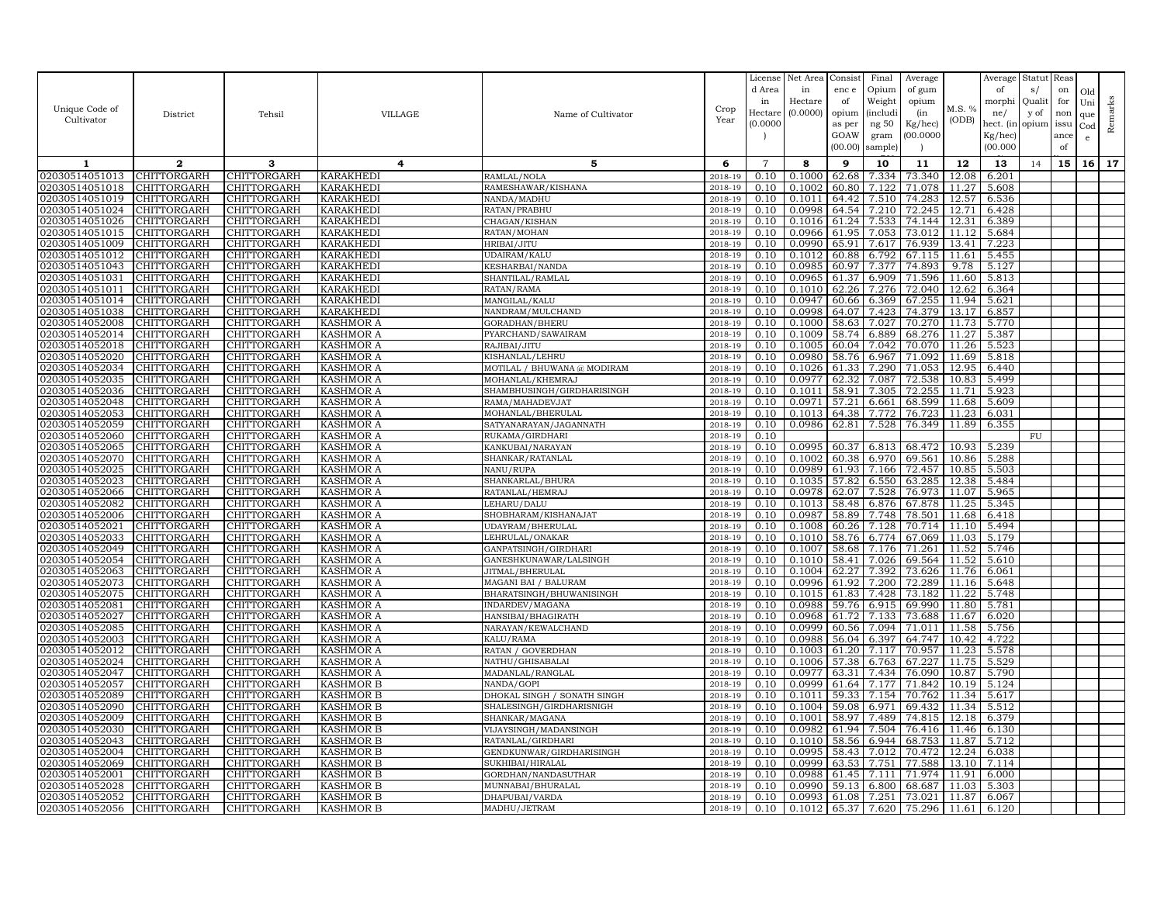| Unique Code of<br>Cultivator     | District                          | Tehsil                            | VILLAGE                              | Name of Cultivator                      | Crop<br>Year       | License<br>d Area<br>in<br>Hectare<br>(0.0000) | Net Area<br>in<br>Hectare<br>(0.0000) | Consist<br>enc e<br>of<br>opium<br>as per<br>GOAW<br>(00.00) | Final<br>Opium<br>Weight<br><i>(includi</i><br>ng 50<br>gram<br>sample) | Average<br>of gum<br>opium<br>(in<br>Kg/hec)<br>00.000C | M.S. %<br>(ODB) | Average<br>of<br>morphi<br>ne/<br>hect. (in<br>$Kg/$ hec)<br>(00.000) | Statut<br>s/<br>Quali<br>y of<br>opium | Reas<br>on<br>for<br>non<br>issu<br>ance<br>of | Old<br>Uni<br>que<br>Cod<br>$\mathbf{e}$ | Remarks |
|----------------------------------|-----------------------------------|-----------------------------------|--------------------------------------|-----------------------------------------|--------------------|------------------------------------------------|---------------------------------------|--------------------------------------------------------------|-------------------------------------------------------------------------|---------------------------------------------------------|-----------------|-----------------------------------------------------------------------|----------------------------------------|------------------------------------------------|------------------------------------------|---------|
| 1                                | $\mathbf{2}$                      | 3                                 | 4                                    | 5                                       | 6                  | $\overline{7}$                                 | 8                                     | 9                                                            | 10                                                                      | 11                                                      | 12              | 13                                                                    | 14                                     | 15                                             | 16                                       | 17      |
| 02030514051013                   | <b>CHITTORGARH</b>                | CHITTORGARH                       | <b>KARAKHEDI</b>                     | RAMLAL/NOLA                             | 2018-19            | 0.10                                           | 0.1000                                | 62.68                                                        | 7.334                                                                   | 73.340                                                  | 12.08           | 6.201                                                                 |                                        |                                                |                                          |         |
| 02030514051018                   | CHITTORGARH                       | CHITTORGARH                       | KARAKHEDI                            | RAMESHAWAR/KISHANA                      | 2018-19            | 0.10                                           | 0.1002                                | 60.80                                                        | 7.122                                                                   | 71.078                                                  | 11.27           | 5.608                                                                 |                                        |                                                |                                          |         |
| 02030514051019                   | CHITTORGARH                       | CHITTORGARH                       | KARAKHEDI                            | NANDA/MADHU                             | 2018-19            | 0.10                                           | 0.1011                                | 64.42                                                        | 7.510                                                                   | 74.283                                                  | 12.57           | 6.536                                                                 |                                        |                                                |                                          |         |
| 02030514051024                   | <b>CHITTORGARH</b>                | CHITTORGARH                       | <b>KARAKHEDI</b>                     | RATAN/PRABHU                            | 2018-19            | 0.10                                           | 0.0998                                | 64.54                                                        | 7.210                                                                   | 72.245                                                  | 12.71           | 6.428                                                                 |                                        |                                                |                                          |         |
| 02030514051026                   | CHITTORGARH                       | CHITTORGARH                       | <b>KARAKHEDI</b>                     | CHAGAN/KISHAN                           | 2018-19            | 0.10                                           | 0.1016                                | 61.24                                                        | 7.533                                                                   | 74.144                                                  | 12.31           | 6.389                                                                 |                                        |                                                |                                          |         |
| 02030514051015                   | CHITTORGARH                       | CHITTORGARH                       | <b>KARAKHEDI</b>                     | RATAN/MOHAN                             | 2018-19            | 0.10                                           | 0.0966                                | 61.95                                                        | 7.053                                                                   | 73.012                                                  | 11.12           | 5.684                                                                 |                                        |                                                |                                          |         |
| 02030514051009<br>02030514051012 | <b>CHITTORGARH</b><br>CHITTORGARH | CHITTORGARH                       | KARAKHEDI                            | HRIBAI/JITU                             | 2018-19            | 0.10<br>0.10                                   | 0.0990<br>0.1012                      | 65.91<br>60.88                                               | 7.617<br>6.792                                                          | 76.939<br>67.115                                        | 13.41<br>11.61  | 7.223                                                                 |                                        |                                                |                                          |         |
| 02030514051043                   | CHITTORGARH                       | CHITTORGARH<br>CHITTORGARH        | KARAKHEDI<br><b>KARAKHEDI</b>        | UDAIRAM/KALU<br>KESHARBAI/NANDA         | 2018-19<br>2018-19 | 0.10                                           | 0.0985                                | 60.97                                                        | 7.377                                                                   | 74.893                                                  | 9.78            | 5.455<br>5.127                                                        |                                        |                                                |                                          |         |
| 02030514051031                   | CHITTORGARH                       | CHITTORGARH                       | KARAKHEDI                            | SHANTILAL/RAMLAI                        | 2018-19            | 0.10                                           | 0.0965                                | 61.37                                                        | 6.909                                                                   | 71.596                                                  | 11.60           | 5.813                                                                 |                                        |                                                |                                          |         |
| 02030514051011                   | <b>CHITTORGARH</b>                | CHITTORGARH                       | <b>KARAKHEDI</b>                     | RATAN/RAMA                              | 2018-19            | 0.10                                           | 0.1010                                | 62.26                                                        | 7.276                                                                   | 72.040                                                  | 12.62           | 6.364                                                                 |                                        |                                                |                                          |         |
| 02030514051014                   | CHITTORGARH                       | CHITTORGARH                       | <b>KARAKHEDI</b>                     | MANGILAL/KALU                           | 2018-19            | 0.10                                           | 0.0947                                | 60.66                                                        | 6.369                                                                   | 67.255                                                  | 11.94           | 5.621                                                                 |                                        |                                                |                                          |         |
| 02030514051038                   | <b>CHITTORGARH</b>                | <b>CHITTORGARH</b>                | <b>KARAKHEDI</b>                     | NANDRAM/MULCHAND                        | 2018-19            | 0.10                                           | 0.0998                                | 64.07                                                        | 7.423                                                                   | 74.379                                                  | 13.17           | 6.857                                                                 |                                        |                                                |                                          |         |
| 02030514052008                   | CHITTORGARH                       | CHITTORGARH                       | <b>KASHMOR A</b>                     | GORADHAN/BHERU                          | 2018-19            | 0.10                                           | 0.1000                                | 58.63                                                        | 7.027                                                                   | 70.270                                                  | 11.73           | 5.770                                                                 |                                        |                                                |                                          |         |
| 02030514052014                   | CHITTORGARH                       | CHITTORGARH                       | <b>KASHMOR A</b>                     | PYARCHAND/SAWAIRAM                      | 2018-19            | 0.10                                           | 0.1009                                | 58.74                                                        | 6.889                                                                   | 68.276                                                  | 11.27           | 5.387                                                                 |                                        |                                                |                                          |         |
| 02030514052018                   | CHITTORGARH                       | CHITTORGARH                       | <b>KASHMOR A</b>                     | RAJIBAI/JITU                            | 2018-19            | 0.10                                           | 0.1005                                | 60.04                                                        | 7.042                                                                   | 70.070                                                  | 11.26           | 5.523                                                                 |                                        |                                                |                                          |         |
| 02030514052020                   | CHITTORGARH                       | CHITTORGARH                       | <b>KASHMOR A</b>                     | KISHANLAL/LEHRU                         | 2018-19            | 0.10                                           | 0.0980                                | 58.76                                                        | 6.967                                                                   | 71.092                                                  | 11.69           | 5.818                                                                 |                                        |                                                |                                          |         |
| 02030514052034                   | CHITTORGARH                       | CHITTORGARH                       | <b>KASHMOR A</b>                     | MOTILAL / BHUWANA @ MODIRAM             | 2018-19            | 0.10                                           | 0.1026                                | 61.33                                                        | 7.290                                                                   | 71.053                                                  | 12.95           | 6.440                                                                 |                                        |                                                |                                          |         |
| 02030514052035                   | CHITTORGARH                       | CHITTORGARH                       | <b>KASHMOR A</b>                     | MOHANLAL/KHEMRAJ                        | 2018-19            | 0.10                                           | 0.0977                                | 62.32                                                        | 7.087                                                                   | 72.538                                                  | 10.83           | 5.499                                                                 |                                        |                                                |                                          |         |
| 02030514052036                   | CHITTORGARH                       | CHITTORGARH                       | KASHMOR A                            | SHAMBHUSINGH/GIRDHARISINGH              | 2018-19            | 0.10                                           | 0.1011                                | 58.91                                                        | 7.305                                                                   | 72.255                                                  | 11.71           | 5.923                                                                 |                                        |                                                |                                          |         |
| 02030514052048                   | CHITTORGARH                       | CHITTORGARH                       | <b>KASHMOR A</b>                     | RAMA/MAHADEVJAT                         | 2018-19            | 0.10                                           | 0.0971                                | 57.21                                                        | 6.661                                                                   | 68.599                                                  | 11.68           | 5.609                                                                 |                                        |                                                |                                          |         |
| 02030514052053                   | <b>CHITTORGARH</b>                | CHITTORGARH                       | <b>KASHMOR A</b>                     | MOHANLAL/BHERULAL                       | 2018-19            | 0.10                                           | 0.1013                                | 64.38                                                        | 7.772                                                                   | 76.723                                                  | 11.23           | 6.031                                                                 |                                        |                                                |                                          |         |
| 02030514052059                   | CHITTORGARH                       | CHITTORGARH                       | <b>KASHMOR A</b>                     | SATYANARAYAN/JAGANNATH                  | 2018-19            | 0.10                                           | 0.0986                                | 62.81                                                        | 7.528                                                                   | 76.349                                                  | 11.89           | 6.355                                                                 |                                        |                                                |                                          |         |
| 02030514052060                   | CHITTORGARH                       | CHITTORGARH                       | <b>KASHMOR A</b>                     | RUKAMA/GIRDHARI                         | 2018-19            | 0.10                                           | 0.0995                                | 60.37                                                        |                                                                         | 68.472                                                  | 10.93           | 5.239                                                                 | FU                                     |                                                |                                          |         |
| 02030514052065<br>02030514052070 | CHITTORGARH<br>CHITTORGARH        | CHITTORGARH<br>CHITTORGARH        | <b>KASHMOR A</b><br><b>KASHMOR A</b> | KANKUBAI/NARAYAN<br>SHANKAR/RATANLAL    | 2018-19<br>2018-19 | 0.10<br>0.10                                   | 0.1002                                | 60.38                                                        | 6.813<br>6.970                                                          | 69.561                                                  | 10.86           | 5.288                                                                 |                                        |                                                |                                          |         |
| 02030514052025                   | CHITTORGARH                       | CHITTORGARH                       | <b>KASHMOR A</b>                     | NANU/RUPA                               | 2018-19            | 0.10                                           | 0.0989                                | 61.93                                                        | 7.166                                                                   | 72.457                                                  | 10.85           | 5.503                                                                 |                                        |                                                |                                          |         |
| 02030514052023                   | CHITTORGARH                       | CHITTORGARH                       | <b>KASHMOR A</b>                     | SHANKARLAL/BHURA                        | 2018-19            | 0.10                                           | 0.1035                                | 57.82                                                        | 6.550                                                                   | 63.285                                                  | 12.38           | 5.484                                                                 |                                        |                                                |                                          |         |
| 02030514052066                   | CHITTORGARH                       | CHITTORGARH                       | <b>KASHMOR A</b>                     | RATANLAL/HEMRAJ                         | 2018-19            | 0.10                                           | 0.0978                                | 62.07                                                        | 7.528                                                                   | 76.973                                                  | 11.07           | 5.965                                                                 |                                        |                                                |                                          |         |
| 02030514052082                   | CHITTORGARH                       | CHITTORGARH                       | <b>KASHMOR A</b>                     | LEHARU/DALU                             | 2018-19            | 0.10                                           | 0.1013                                | 58.48                                                        | 6.876                                                                   | 67.878                                                  | 11.25           | 5.345                                                                 |                                        |                                                |                                          |         |
| 02030514052006                   | CHITTORGARH                       | <b>CHITTORGARH</b>                | <b>KASHMOR A</b>                     | SHOBHARAM/KISHANAJAT                    | 2018-19            | 0.10                                           | 0.0987                                | 58.89                                                        | 7.748                                                                   | 78.501                                                  | 11.68           | 6.418                                                                 |                                        |                                                |                                          |         |
| 02030514052021                   | CHITTORGARH                       | CHITTORGARH                       | <b>KASHMOR A</b>                     | UDAYRAM/BHERULAI                        | 2018-19            | 0.10                                           | 0.1008                                | 60.26                                                        | 7.128                                                                   | 70.714                                                  | 11.10           | 5.494                                                                 |                                        |                                                |                                          |         |
| 02030514052033                   | <b>CHITTORGARH</b>                | CHITTORGARH                       | <b>KASHMOR A</b>                     | LEHRULAL/ONAKAR                         | 2018-19            | 0.10                                           | 0.1010                                | 58.76                                                        | 6.774                                                                   | 67.069                                                  | 11.03           | 5.179                                                                 |                                        |                                                |                                          |         |
| 02030514052049                   | CHITTORGARH                       | CHITTORGARH                       | <b>KASHMOR A</b>                     | GANPATSINGH/GIRDHARI                    | 2018-19            | 0.10                                           | 0.1007                                | 58.68                                                        | 7.176                                                                   | 71.261                                                  | 11.52           | 5.746                                                                 |                                        |                                                |                                          |         |
| 02030514052054                   | CHITTORGARH                       | CHITTORGARH                       | KASHMOR A                            | GANESHKUNAWAR/LALSINGH                  | 2018-19            | 0.10                                           | 0.1010                                | 58.41                                                        | 7.026                                                                   | 69.564                                                  | 11.52           | 5.610                                                                 |                                        |                                                |                                          |         |
| 02030514052063                   | CHITTORGARH                       | CHITTORGARH                       | <b>KASHMOR A</b>                     | JITMAL/BHERULAL                         | 2018-19            | 0.10                                           | 0.1004                                | 62.27                                                        | 7.392                                                                   | 73.626                                                  | 11.76           | 6.061                                                                 |                                        |                                                |                                          |         |
| 02030514052073                   | <b>CHITTORGARH</b>                | CHITTORGARH                       | <b>KASHMOR A</b>                     | MAGANI BAI / BALURAM                    | 2018-19            | 0.10                                           | 0.0996                                | 61.92                                                        | 7.200                                                                   | 72.289                                                  | 11.16           | 5.648                                                                 |                                        |                                                |                                          |         |
| 02030514052075                   | CHITTORGARH                       | CHITTORGARH                       | <b>KASHMOR A</b>                     | BHARATSINGH/BHUWANISINGH                | 2018-19            | 0.10                                           | 0.1015                                | 61.83                                                        | 7.428                                                                   | 73.182                                                  | 11.22           | 5.748                                                                 |                                        |                                                |                                          |         |
| 02030514052081<br>02030514052027 | CHITTORGARH<br><b>CHITTORGARH</b> | CHITTORGARH<br><b>CHITTORGARH</b> | <b>KASHMOR A</b><br><b>KASHMOR A</b> | INDARDEV/MAGANA<br>HANSIBAI/BHAGIRATH   | 2018-19<br>2018-19 | 0.10<br>0.10                                   | 0.0988<br>0.0968                      | 59.76<br>61.72                                               | 6.915<br>7.133                                                          | 69.990<br>73.688                                        | 11.80<br>11.67  | 5.781<br>6.020                                                        |                                        |                                                |                                          |         |
| 02030514052085                   | CHITTORGARH                       | CHITTORGARH                       | <b>KASHMOR A</b>                     | NARAYAN/KEWALCHAND                      | 2018-19            | 0.10                                           | 0.0999                                | 60.56                                                        | 7.094                                                                   | 71.011                                                  | 11.58           | 5.756                                                                 |                                        |                                                |                                          |         |
| 02030514052003                   | CHITTORGARH                       | CHITTORGARH                       | <b>KASHMOR A</b>                     | KALU/RAMA                               | 2018-19            | 0.10                                           | 0.0988                                |                                                              | 56.04 6.397                                                             | 64.747                                                  | 10.42           | 4.722                                                                 |                                        |                                                |                                          |         |
| 02030514052012                   | CHITTORGARH                       | CHITTORGARH                       | <b>KASHMOR A</b>                     | RATAN / GOVERDHAN                       | 2018-19            | 0.10                                           | 0.1003                                | 61.20                                                        | 7.117                                                                   | 70.957                                                  | 11.23           | 5.578                                                                 |                                        |                                                |                                          |         |
| 02030514052024                   | CHITTORGARH                       | CHITTORGARH                       | <b>KASHMOR A</b>                     | NATHU/GHISABALAI                        | 2018-19            | 0.10                                           | 0.1006                                | 57.38                                                        | 6.763                                                                   | 67.227                                                  | 11.75           | 5.529                                                                 |                                        |                                                |                                          |         |
| 02030514052047                   | CHITTORGARH                       | CHITTORGARH                       | <b>KASHMOR A</b>                     | MADANLAL/RANGLAL                        | 2018-19            | 0.10                                           | 0.0977                                | 63.31                                                        | 7.434                                                                   | 76.090                                                  | 10.87           | 5.790                                                                 |                                        |                                                |                                          |         |
| 02030514052057                   | CHITTORGARH                       | CHITTORGARH                       | <b>KASHMOR B</b>                     | NANDA/GOPI                              | 2018-19            | 0.10                                           | 0.0999                                | 61.64                                                        | 7.177                                                                   | 71.842                                                  |                 | 10.19 5.124                                                           |                                        |                                                |                                          |         |
| 02030514052089                   | CHITTORGARH                       | CHITTORGARH                       | <b>KASHMOR B</b>                     | DHOKAL SINGH / SONATH SINGH             | 2018-19            | 0.10                                           | 0.1011                                | 59.33                                                        | 7.154                                                                   | 70.762                                                  | 11.34           | 5.617                                                                 |                                        |                                                |                                          |         |
| 02030514052090                   | <b>CHITTORGARH</b>                | CHITTORGARH                       | <b>KASHMOR B</b>                     | SHALESINGH/GIRDHARISNIGH                | 2018-19            | 0.10                                           | 0.1004                                | 59.08                                                        | 6.971                                                                   | 69.432                                                  | 11.34           | 5.512                                                                 |                                        |                                                |                                          |         |
| 02030514052009                   | CHITTORGARH                       | CHITTORGARH                       | <b>KASHMOR B</b>                     | SHANKAR/MAGANA                          | 2018-19            | 0.10                                           | 0.1001                                | 58.97                                                        | 7.489                                                                   | 74.815                                                  | 12.18           | 6.379                                                                 |                                        |                                                |                                          |         |
| 02030514052030                   | CHITTORGARH                       | CHITTORGARH                       | <b>KASHMOR B</b>                     | VIJAYSINGH/MADANSINGH                   | 2018-19            | 0.10                                           | 0.0982                                | 61.94                                                        | 7.504                                                                   | 76.416                                                  | 11.46           | 6.130                                                                 |                                        |                                                |                                          |         |
| 02030514052043                   | CHITTORGARH                       | CHITTORGARH                       | <b>KASHMOR B</b>                     | RATANLAL/GIRDHARI                       | 2018-19            | 0.10                                           | 0.1010                                | 58.56                                                        | 6.944                                                                   | 68.753                                                  | 11.87           | 5.712                                                                 |                                        |                                                |                                          |         |
| 02030514052004                   | CHITTORGARH                       | <b>CHITTORGARH</b>                | <b>KASHMOR B</b>                     | GENDKUNWAR/GIRDHARISINGH                | 2018-19            | 0.10                                           | 0.0995                                | 58.43                                                        | 7.012                                                                   | 70.472                                                  | 12.24           | 6.038                                                                 |                                        |                                                |                                          |         |
| 02030514052069<br>02030514052001 | CHITTORGARH<br>CHITTORGARH        | CHITTORGARH<br>CHITTORGARH        | <b>KASHMOR B</b><br><b>KASHMOR B</b> | SUKHIBAI/HIRALAL<br>GORDHAN/NANDASUTHAR | 2018-19<br>2018-19 | 0.10<br>0.10                                   | 0.0999<br>0.0988                      | 63.53<br>61.45                                               | 7.751<br>7.111                                                          | 77.588<br>71.974                                        | 13.10<br>11.91  | 7.114<br>6.000                                                        |                                        |                                                |                                          |         |
| 02030514052028                   | CHITTORGARH                       | CHITTORGARH                       | <b>KASHMOR B</b>                     | MUNNABAI/BHURALAL                       | 2018-19            | 0.10                                           | 0.0990                                | 59.13                                                        | 6.800                                                                   | 68.687                                                  | 11.03           | 5.303                                                                 |                                        |                                                |                                          |         |
| 02030514052052                   | CHITTORGARH                       | CHITTORGARH                       | <b>KASHMOR B</b>                     | DHAPUBAI/VARDA                          | 2018-19            | 0.10                                           | 0.0993                                | 61.08                                                        | 7.251                                                                   | 73.021                                                  | 11.87           | 6.067                                                                 |                                        |                                                |                                          |         |
| 02030514052056                   | <b>CHITTORGARH</b>                | <b>CHITTORGARH</b>                | <b>KASHMOR B</b>                     | MADHU/JETRAM                            | 2018-19            | 0.10                                           | 0.1012                                |                                                              |                                                                         | 65.37 7.620 75.296                                      | 11.61           | 6.120                                                                 |                                        |                                                |                                          |         |
|                                  |                                   |                                   |                                      |                                         |                    |                                                |                                       |                                                              |                                                                         |                                                         |                 |                                                                       |                                        |                                                |                                          |         |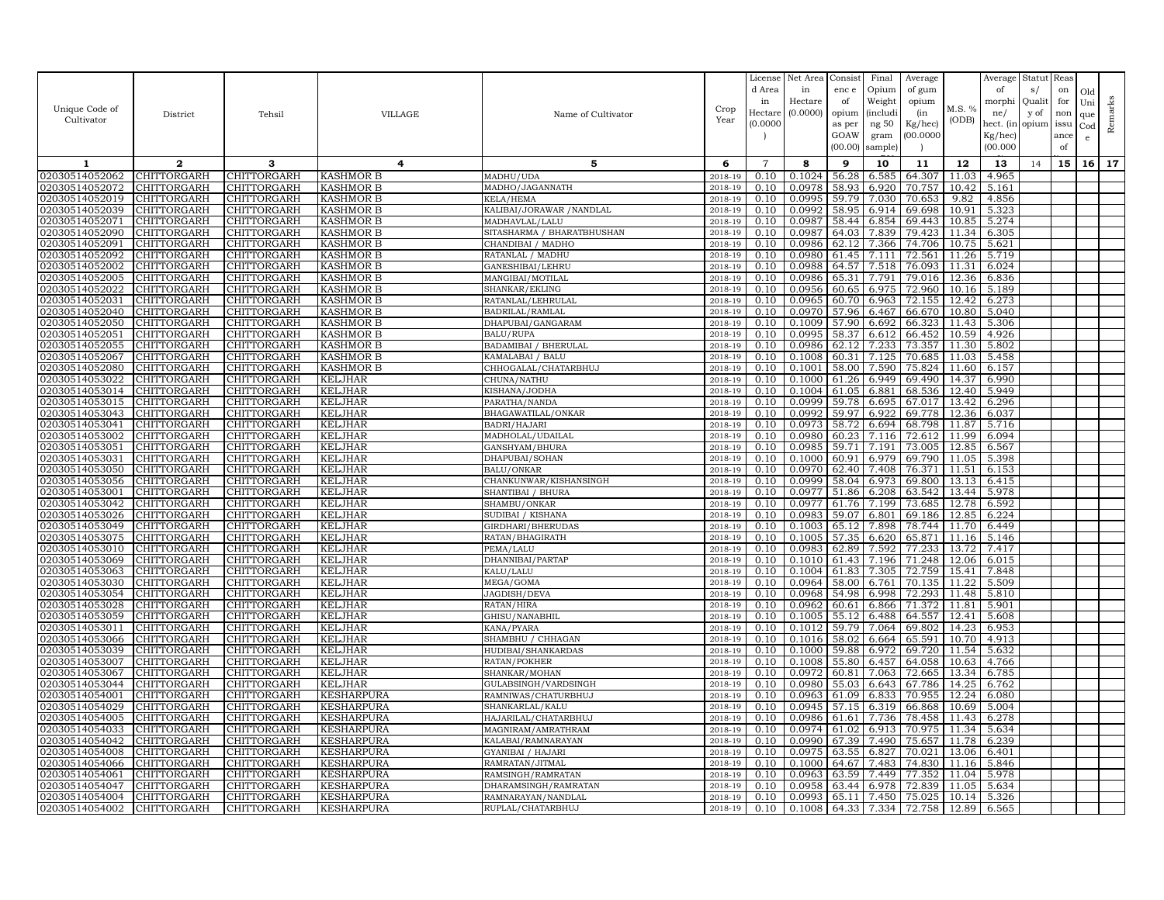| Unique Code of                   |                                          |                                   |                                        |                                         | Crop               | License<br>d Area<br>in<br>Hectare | Net Area<br>in<br>Hectare<br>(0.0000) | Consist<br>enc e<br>of<br>opium | Final<br>Opium<br>Weight<br><i>(includi</i> | Average<br>of gum<br>opium<br>(in | M.S. %         | Average<br>of<br>morphi<br>ne/   | Statut<br>s/<br>Quali<br>y of | Reas<br>on<br>for<br>non | Old<br>Uni                 |         |
|----------------------------------|------------------------------------------|-----------------------------------|----------------------------------------|-----------------------------------------|--------------------|------------------------------------|---------------------------------------|---------------------------------|---------------------------------------------|-----------------------------------|----------------|----------------------------------|-------------------------------|--------------------------|----------------------------|---------|
| Cultivator                       | District                                 | Tehsil                            | VILLAGE                                | Name of Cultivator                      | Year               | (0.0000)                           |                                       | as per<br>GOAW<br>(00.00)       | ng 50<br>gram<br>sample)                    | Kg/hec)<br>00.000C                | (ODB)          | hect. (in<br>Kg/hec)<br>(00.000) | opium                         | issu<br>ance<br>of       | que<br>Cod<br>$\mathbf{e}$ | Remarks |
| 1                                | $\mathbf{2}$                             | 3                                 | 4                                      | 5                                       | 6                  | $\overline{7}$                     | 8                                     | 9                               | 10                                          | 11                                | 12             | 13                               | 14                            | 15                       | 16 <sup>1</sup>            | 17      |
| 02030514052062                   | CHITTORGARH                              | CHITTORGARH                       | <b>KASHMOR B</b>                       | MADHU/UDA                               | 2018-19            | 0.10                               | 0.1024                                | 56.28                           | 6.585                                       | 64.307                            | 11.03          | 4.965                            |                               |                          |                            |         |
| 02030514052072                   | CHITTORGARH                              | CHITTORGARH                       | <b>KASHMOR B</b>                       | MADHO/JAGANNATH                         | 2018-19            | 0.10                               | 0.0978                                | 58.93                           | 6.920                                       | 70.757                            | 10.42          | 5.161                            |                               |                          |                            |         |
| 02030514052019                   | CHITTORGARH                              | CHITTORGARH                       | <b>KASHMOR B</b>                       | KELA/HEMA                               | 2018-19            | 0.10                               | 0.0995                                | 59.79                           | 7.030                                       | 70.653                            | 9.82           | 4.856                            |                               |                          |                            |         |
| 02030514052039                   | CHITTORGARH                              | CHITTORGARH                       | <b>KASHMOR B</b>                       | KALIBAI/JORAWAR / NANDLAL               | 2018-19            | 0.10                               | 0.0992                                | 58.95                           | 6.914                                       | 69.698                            | 10.91          | 5.323                            |                               |                          |                            |         |
| 02030514052071                   | CHITTORGARH                              | CHITTORGARH                       | <b>KASHMOR B</b>                       | MADHAVLAL/LALU                          | 2018-19            | 0.10                               | 0.0987                                | 58.44                           | 6.854                                       | 69.443                            | 10.85          | 5.274                            |                               |                          |                            |         |
| 02030514052090                   | CHITTORGARH                              | CHITTORGARH                       | <b>KASHMOR B</b>                       | SITASHARMA / BHARATBHUSHAN              | 2018-19            | 0.10                               | 0.0987<br>0.0986                      | 64.03<br>62.12                  | 7.839<br>7.366                              | 79.423                            | 11.34          | 6.305                            |                               |                          |                            |         |
| 02030514052091<br>02030514052092 | CHITTORGARH<br>CHITTORGARH               | CHITTORGARH<br>CHITTORGARH        | <b>KASHMOR B</b><br><b>KASHMOR B</b>   | CHANDIBAI / MADHO<br>RATANLAL / MADHU   | 2018-19<br>2018-19 | 0.10<br>0.10                       | 0.0980                                | 61.45                           | 7.111                                       | 74.706<br>72.561                  | 10.75<br>11.26 | 5.621<br>5.719                   |                               |                          |                            |         |
| 02030514052002                   | CHITTORGARH                              | <b>CHITTORGARH</b>                | <b>KASHMOR B</b>                       | GANESHIBAI/LEHRU                        | 2018-19            | 0.10                               | 0.0988                                | 64.57                           | 7.518                                       | 76.093                            | 11.31          | 6.024                            |                               |                          |                            |         |
| 02030514052005                   | CHITTORGARH                              | CHITTORGARH                       | <b>KASHMOR B</b>                       | MANGIBAI/MOTILAL                        | 2018-19            | 0.10                               | 0.0986                                | 65.31                           | 7.791                                       | 79.016                            | 12.36          | 6.836                            |                               |                          |                            |         |
| 02030514052022                   | <b>CHITTORGARH</b>                       | <b>CHITTORGARH</b>                | <b>KASHMOR B</b>                       | SHANKAR/EKLING                          | 2018-19            | 0.10                               | 0.0956                                | 60.65                           | 6.975                                       | 72.960                            | 10.16          | 5.189                            |                               |                          |                            |         |
| 02030514052031                   | CHITTORGARH                              | CHITTORGARH                       | <b>KASHMOR B</b>                       | RATANLAL/LEHRULAL                       | 2018-19            | 0.10                               | 0.0965                                | 60.70                           | 6.963                                       | 72.155                            | 12.42          | 6.273                            |                               |                          |                            |         |
| 02030514052040                   | CHITTORGARH                              | CHITTORGARH                       | <b>KASHMOR B</b>                       | BADRILAL/RAMLAL                         | 2018-19            | 0.10                               | 0.0970                                | 57.96                           | 6.467                                       | 66.670                            | 10.80          | 5.040                            |                               |                          |                            |         |
| 02030514052050                   | CHITTORGARH                              | CHITTORGARH                       | <b>KASHMOR B</b>                       | DHAPUBAI/GANGARAM                       | 2018-19            | 0.10                               | 0.1009                                | 57.90                           | 6.692                                       | 66.323                            | 11.43          | 5.306                            |                               |                          |                            |         |
| 02030514052051                   | CHITTORGARH                              | CHITTORGARH                       | <b>KASHMOR B</b>                       | <b>BALU/RUPA</b>                        | 2018-19            | 0.10                               | 0.0995                                | 58.37                           | 6.612                                       | 66.452                            | 10.59          | 4.926                            |                               |                          |                            |         |
| 02030514052055                   | CHITTORGARH                              | CHITTORGARH                       | <b>KASHMOR B</b>                       | <b>BADAMIBAI / BHERULAL</b>             | 2018-19            | 0.10                               | 0.0986                                | 62.12                           | 7.233                                       | 73.357                            | 11.30          | 5.802                            |                               |                          |                            |         |
| 02030514052067                   | CHITTORGARH                              | CHITTORGARH                       | <b>KASHMOR B</b>                       | KAMALABAI / BALU                        | $2018 - 1$         | 0.10                               | 0.1008                                | 60.31                           | 7.125                                       | 70.685                            | 11.03          | 5.458                            |                               |                          |                            |         |
| 02030514052080                   | <b>CHITTORGARH</b>                       | CHITTORGARH                       | <b>KASHMOR B</b>                       | CHHOGALAL/CHATARBHUJ                    | 2018-19            | 0.10                               | 0.1001                                | 58.00                           | 7.590                                       | 75.824                            | 11.60          | 6.157                            |                               |                          |                            |         |
| 02030514053022                   | CHITTORGARH                              | CHITTORGARH                       | <b>KELJHAR</b>                         | CHUNA/NATHU                             | 2018-19            | 0.10                               | 0.1000                                | 61.26                           | 6.949                                       | 69.490                            | 14.37          | 6.990                            |                               |                          |                            |         |
| 02030514053014<br>02030514053015 | CHITTORGARH<br>CHITTORGARH               | CHITTORGARH<br>CHITTORGARH        | <b>KELJHAR</b><br><b>KELJHAR</b>       | KISHANA/JODHA                           | 2018-19<br>2018-19 | 0.10<br>0.10                       | 0.1004<br>0.0999                      | 61.05<br>59.78                  | 6.881<br>6.695                              | 68.536<br>67.017                  | 12.40<br>13.42 | 5.949<br>6.296                   |                               |                          |                            |         |
| 02030514053043                   | CHITTORGARH                              | CHITTORGARH                       | <b>KELJHAR</b>                         | PARATHA/NANDA<br>BHAGAWATILAL/ONKAR     | 2018-19            | 0.10                               | 0.0992                                | 59.97                           | 6.922                                       | 69.778                            | 12.36          | 6.037                            |                               |                          |                            |         |
| 02030514053041                   | CHITTORGARH                              | CHITTORGARH                       | <b>KELJHAR</b>                         | BADRI/HAJARI                            | 2018-19            | 0.10                               | 0.0973                                | 58.72                           | 6.694                                       | 68.798                            | 11.87          | 5.716                            |                               |                          |                            |         |
| 02030514053002                   | CHITTORGARH                              | CHITTORGARH                       | <b>KELJHAR</b>                         | MADHOLAL/UDAILAL                        | 2018-19            | 0.10                               | 0.0980                                | 60.23                           | 7.116                                       | 72.612                            | 11.99          | 6.094                            |                               |                          |                            |         |
| 02030514053051                   | CHITTORGARH                              | CHITTORGARH                       | <b>KELJHAR</b>                         | GANSHYAM/BHURA                          | 2018-19            | 0.10                               | 0.0985                                | 59.71                           | 7.191                                       | 73.005                            | 12.85          | 6.567                            |                               |                          |                            |         |
| 02030514053031                   | CHITTORGARH                              | CHITTORGARH                       | <b>KELJHAR</b>                         | DHAPUBAI/SOHAN                          | 2018-19            | 0.10                               | 0.1000                                | 60.91                           | 6.979                                       | 69.790                            | 11.05          | 5.398                            |                               |                          |                            |         |
| 02030514053050                   | CHITTORGARH                              | CHITTORGARH                       | <b>KELJHAR</b>                         | <b>BALU/ONKAR</b>                       | 2018-19            | 0.10                               | 0.0970                                | 62.40                           | 7.408                                       | 76.371                            | 11.51          | 6.153                            |                               |                          |                            |         |
| 02030514053056                   | CHITTORGARH                              | CHITTORGARH                       | <b>KELJHAR</b>                         | CHANKUNWAR/KISHANSINGH                  | 2018-19            | 0.10                               | 0.0999                                | 58.04                           | 6.973                                       | 69.800                            | 13.13          | 6.415                            |                               |                          |                            |         |
| 02030514053001                   | <b>CHITTORGARH</b>                       | <b>CHITTORGARH</b>                | <b>KELJHAR</b>                         | SHANTIBAI / BHURA                       | 2018-19            | 0.10                               | 0.0977                                | 51.86                           | 6.208                                       | 63.542                            | 13.44          | 5.978                            |                               |                          |                            |         |
| 02030514053042                   | <b>CHITTORGARH</b>                       | CHITTORGARH                       | <b>KELJHAR</b>                         | SHAMBU/ONKAR                            | 2018-19            | 0.10                               | 0.0977                                | 61.76                           | 7.199                                       | 73.685                            | 12.78          | 6.592                            |                               |                          |                            |         |
| 02030514053026                   | <b>CHITTORGARH</b>                       | <b>CHITTORGARH</b>                | <b>KELJHAR</b>                         | SUDIBAI / KISHANA                       | 2018-19            | 0.10                               | 0.0983                                | 59.07                           | 6.801                                       | 69.186                            | 12.85          | 6.224                            |                               |                          |                            |         |
| 02030514053049                   | CHITTORGARH                              | CHITTORGARH                       | <b>KELJHAR</b>                         | GIRDHARI/BHERUDAS                       | 2018-19            | 0.10                               | 0.1003                                | 65.12                           | 7.898                                       | 78.744                            | 11.70          | 6.449                            |                               |                          |                            |         |
| 02030514053075<br>02030514053010 | CHITTORGARH<br>CHITTORGARH               | CHITTORGARH<br>CHITTORGARH        | <b>KELJHAR</b>                         | RATAN/BHAGIRATH<br>PEMA/LALU            | 2018-19<br>2018-19 | 0.10<br>0.10                       | 0.1005<br>0.0983                      | 57.35<br>62.89                  | 6.620<br>7.592                              | 65.871<br>77.233                  | 11.16<br>13.72 | 5.146<br>7.417                   |                               |                          |                            |         |
| 02030514053069                   | CHITTORGARH                              | CHITTORGARH                       | <b>KELJHAR</b><br><b>KELJHAR</b>       | DHANNIBAI/PARTAP                        | 2018-19            | 0.10                               | 0.1010                                | 61.43                           | 7.196                                       | 71.248                            | 12.06          | 6.015                            |                               |                          |                            |         |
| 02030514053063                   | CHITTORGARH                              | CHITTORGARH                       | <b>KELJHAR</b>                         | KALU/LALU                               | 2018-19            | 0.10                               | 0.1004                                | 61.83                           | 7.305                                       | 72.759                            | 15.41          | 7.848                            |                               |                          |                            |         |
| 02030514053030                   | CHITTORGARH                              | CHITTORGARH                       | <b>KELJHAR</b>                         | MEGA/GOMA                               | 2018-19            | 0.10                               | 0.0964                                | 58.00                           | 6.761                                       | 70.135                            | 11.22          | 5.509                            |                               |                          |                            |         |
| 02030514053054                   | CHITTORGARH                              | CHITTORGARH                       | <b>KELJHAR</b>                         | JAGDISH/DEVA                            | 2018-19            | 0.10                               | 0.0968                                | 54.98                           | 6.998                                       | 72.293                            | 11.48          | 5.810                            |                               |                          |                            |         |
| 02030514053028                   | CHITTORGARH                              | CHITTORGARH                       | <b>KELJHAR</b>                         | RATAN/HIRA                              | 2018-19            | 0.10                               | 0.0962                                | 60.61                           | 6.866                                       | 71.372                            | 11.81          | 5.901                            |                               |                          |                            |         |
| 02030514053059                   | <b>CHITTORGARH</b>                       | CHITTORGARH                       | <b>KELJHAR</b>                         | GHISU/NANABHIL                          | 2018-19            | 0.10                               | 0.1005                                | 55.12                           | 6.488                                       | 64.557                            | 12.41          | 5.608                            |                               |                          |                            |         |
| 02030514053011                   | CHITTORGARH                              | CHITTORGARH                       | <b>KELJHAR</b>                         | KANA/PYARA                              | 2018-19            | 0.10                               | 0.1012                                | 59.79                           | 7.064                                       | 69.802                            | 14.23          | 6.953                            |                               |                          |                            |         |
| 02030514053066                   | CHITTORGARH                              | CHITTORGARH                       | <b>KELJHAR</b>                         | SHAMBHU / CHHAGAN                       | 2018-19            | 0.10                               | 0.1016                                | 58.02                           | 6.664                                       | 65.591                            | 10.70          | 4.913                            |                               |                          |                            |         |
| 02030514053039                   | CHITTORGARH                              | CHITTORGARH                       | <b>KELJHAR</b>                         | HUDIBAI/SHANKARDAS                      | 2018-19            | 0.10                               | 0.1000                                | 59.88                           | 6.972                                       | 69.720                            | 11.54          | 5.632                            |                               |                          |                            |         |
| 02030514053007                   | CHITTORGARH                              | CHITTORGARH                       | <b>KELJHAR</b>                         | RATAN/POKHER                            | 2018-19            | 0.10                               | 0.1008                                | 55.80                           | 6.457                                       | 64.058                            | 10.63          | 4.766                            |                               |                          |                            |         |
| 02030514053067<br>02030514053044 | CHITTORGARH<br>CHITTORGARH               | CHITTORGARH<br>CHITTORGARH        | <b>KELJHAR</b><br><b>KELJHAR</b>       | SHANKAR/MOHAN<br>GULABSINGH/VARDSINGH   | 2018-19<br>2018-1  | 0.10<br>0.10                       | 0.0972<br>0.0980                      | 60.81<br>55.03                  | 7.063<br>6.643                              | 72.665<br>67.786                  | 13.34<br>14.25 | 6.785<br>6.762                   |                               |                          |                            |         |
| 02030514054001                   | <b>CHITTORGARH</b>                       | CHITTORGARH                       | <b>KESHARPURA</b>                      | RAMNIWAS/CHATURBHUJ                     | 2018-19            | 0.10                               | 0.0963                                | 61.09                           | 6.833                                       | 70.955                            | 12.24          | 6.080                            |                               |                          |                            |         |
| 02030514054029                   | CHITTORGARH                              | CHITTORGARH                       | <b>KESHARPURA</b>                      | SHANKARLAL/KALU                         | 2018-19            | 0.10                               | 0.0945                                | 57.15                           | 6.319                                       | 66.868                            | 10.69          | 5.004                            |                               |                          |                            |         |
| 02030514054005                   | CHITTORGARH                              | CHITTORGARH                       | <b>KESHARPURA</b>                      | HAJARILAL/CHATARBHUJ                    | 2018-19            | 0.10                               | 0.0986                                | 61.61                           | 7.736                                       | 78.458                            | 11.43          | 6.278                            |                               |                          |                            |         |
| 02030514054033                   | CHITTORGARH                              | CHITTORGARH                       | <b>KESHARPURA</b>                      | MAGNIRAM/AMRATHRAM                      | 2018-19            | 0.10                               | 0.0974                                | 61.02                           | 6.913                                       | 70.975                            | 11.34          | 5.634                            |                               |                          |                            |         |
| 02030514054042                   | CHITTORGARH                              | CHITTORGARH                       | <b>KESHARPURA</b>                      | KALABAI/RAMNARAYAN                      | 2018-19            | 0.10                               | 0.0990                                | 67.39                           | 7.490                                       | 75.657                            | 11.78          | 6.239                            |                               |                          |                            |         |
| 02030514054008                   | CHITTORGARH                              | CHITTORGARH                       | <b>KESHARPURA</b>                      | <b>GYANIBAI / HAJARI</b>                | 2018-19            | 0.10                               | 0.0975                                | 63.55                           | 6.827                                       | 70.021                            | 13.06          | 6.401                            |                               |                          |                            |         |
| 02030514054066                   | CHITTORGARH                              | CHITTORGARH                       | <b>KESHARPURA</b>                      | RAMRATAN/JITMAI                         | 2018-19            | 0.10                               | 0.1000                                | 64.67                           | 7.483                                       | 74.830                            | 11.16          | 5.846                            |                               |                          |                            |         |
| 02030514054061                   | CHITTORGARH                              | CHITTORGARH                       | <b>KESHARPURA</b>                      | RAMSINGH/RAMRATAN                       | 2018-19            | 0.10                               | 0.0963                                | 63.59                           | 7.449                                       | 77.352                            | 11.04          | 5.978                            |                               |                          |                            |         |
| 02030514054047                   | CHITTORGARH                              | CHITTORGARH                       | <b>KESHARPURA</b>                      | DHARAMSINGH/RAMRATAN                    | 2018-19            | 0.10                               | 0.0958                                | 63.44                           | 6.978                                       | 72.839                            | 11.05          | 5.634                            |                               |                          |                            |         |
| 02030514054004<br>02030514054002 | <b>CHITTORGARH</b><br><b>CHITTORGARH</b> | <b>CHITTORGARH</b><br>CHITTORGARH | <b>KESHARPURA</b><br><b>KESHARPURA</b> | RAMNARAYAN/NANDLAL<br>RUPLAL/CHATARBHUJ | 2018-19<br>2018-19 | 0.10<br>0.10                       | 0.0993<br>0.1008                      | 65.11                           | 7.450<br>64.33 7.334                        | 75.025<br>72.758                  | 10.14<br>12.89 | 5.326<br>6.565                   |                               |                          |                            |         |
|                                  |                                          |                                   |                                        |                                         |                    |                                    |                                       |                                 |                                             |                                   |                |                                  |                               |                          |                            |         |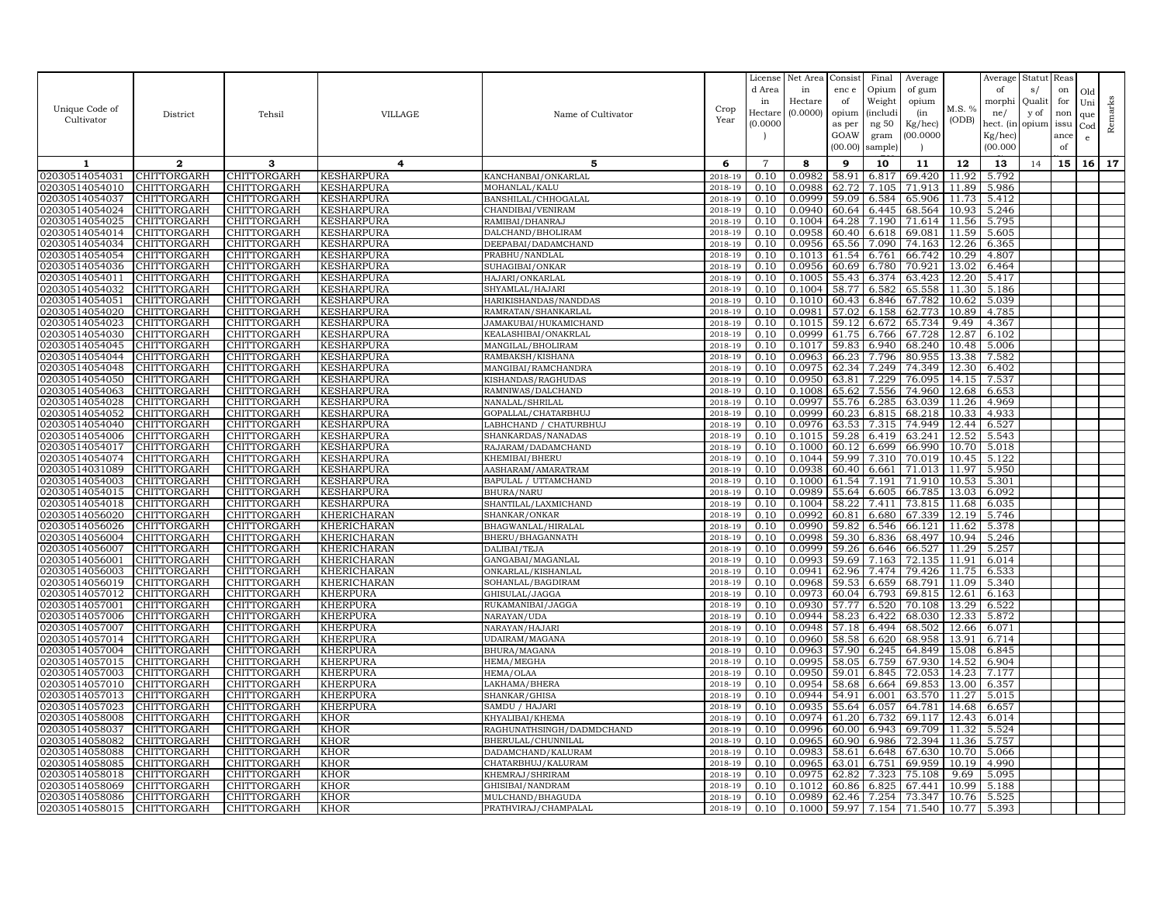| Unique Code of<br>Cultivator     | District                          | Tehsil                            | VILLAGE                                | Name of Cultivator                       | Crop<br>Year       | License<br>d Area<br>in<br>Hectare<br>(0.0000) | Net Area<br>in<br>Hectare<br>(0.0000) | Consist<br>enc e<br>of<br>opium<br>as per<br>GOAW<br>(00.00) | Final<br>Opium<br>Weight<br><i>(includi</i><br>ng 50<br>gram<br>sample) | Average<br>of gum<br>opium<br>(in<br>Kg/hec)<br>00.000C | M.S. %<br>(ODB) | Average<br>of<br>morphi<br>ne/<br>hect. (in<br>$Kg/$ hec)<br>(00.000) | Statut<br>s/<br>Quali<br>y of<br>opium | Reas<br>on<br>for<br>non<br>issu<br>ance<br>of | Old<br>Uni<br>que<br>Cod<br>$\mathbf{e}$ | Remarks |
|----------------------------------|-----------------------------------|-----------------------------------|----------------------------------------|------------------------------------------|--------------------|------------------------------------------------|---------------------------------------|--------------------------------------------------------------|-------------------------------------------------------------------------|---------------------------------------------------------|-----------------|-----------------------------------------------------------------------|----------------------------------------|------------------------------------------------|------------------------------------------|---------|
| 1                                | $\mathbf{2}$                      | 3                                 | 4                                      | 5                                        | 6                  | $\overline{7}$                                 | 8                                     | 9                                                            | 10                                                                      | 11                                                      | 12              | 13                                                                    | 14                                     | 15                                             | 16                                       | 17      |
| 02030514054031                   | CHITTORGARH                       | CHITTORGARH                       | <b>KESHARPURA</b>                      | KANCHANBAI/ONKARLAL                      | 2018-19            | 0.10                                           | 0.0982                                | 58.91                                                        | 6.817                                                                   | 69.420                                                  | 11.92           | 5.792                                                                 |                                        |                                                |                                          |         |
| 02030514054010                   | CHITTORGARH                       | CHITTORGARH                       | <b>KESHARPURA</b>                      | MOHANLAL/KALU                            | 2018-19            | 0.10                                           | 0.0988                                | 62.72                                                        | 7.105                                                                   | 71.913                                                  | 11.89           | 5.986                                                                 |                                        |                                                |                                          |         |
| 02030514054037                   | CHITTORGARH                       | CHITTORGARH                       | <b>KESHARPURA</b>                      | BANSHILAL/CHHOGALAL                      | 2018-19            | 0.10                                           | 0.0999                                | 59.09                                                        | 6.584                                                                   | 65.906                                                  | 11.73           | 5.412                                                                 |                                        |                                                |                                          |         |
| 02030514054024                   | CHITTORGARH                       | CHITTORGARH                       | <b>KESHARPURA</b>                      | CHANDIBAI/VENIRAM                        | 2018-19            | 0.10                                           | 0.0940                                | 60.64                                                        | 6.445                                                                   | 68.564                                                  | 10.93           | 5.246                                                                 |                                        |                                                |                                          |         |
| 02030514054025                   | CHITTORGARH                       | CHITTORGARH                       | <b>KESHARPURA</b>                      | RAMIBAI/DHANRAJ                          | 2018-19            | 0.10                                           | 0.1004                                | 64.28                                                        | 7.190                                                                   | 71.614                                                  | 11.56           | 5.795                                                                 |                                        |                                                |                                          |         |
| 02030514054014                   | CHITTORGARH                       | CHITTORGARH                       | <b>KESHARPURA</b>                      | DALCHAND/BHOLIRAM                        | 2018-19            | 0.10                                           | 0.0958                                | 60.40                                                        | 6.618                                                                   | 69.081                                                  | 11.59           | 5.605                                                                 |                                        |                                                |                                          |         |
| 02030514054034                   | <b>CHITTORGARH</b>                | CHITTORGARH                       | <b>KESHARPURA</b>                      | DEEPABAI/DADAMCHAND                      | 2018-19            | 0.10                                           | 0.0956                                | 65.56                                                        | 7.090                                                                   | 74.163                                                  | 12.26           | 6.365                                                                 |                                        |                                                |                                          |         |
| 02030514054054                   | CHITTORGARH                       | CHITTORGARH                       | <b>KESHARPURA</b>                      | PRABHU/NANDLAL                           | 2018-19            | 0.10                                           | 0.1013                                | 61.54                                                        | 6.761                                                                   | 66.742                                                  | 10.29           | 4.807                                                                 |                                        |                                                |                                          |         |
| 02030514054036<br>02030514054011 | CHITTORGARH<br>CHITTORGARH        | CHITTORGARH                       | <b>KESHARPURA</b><br><b>KESHARPURA</b> | SUHAGIBAI/ONKAR<br>HAJARI/ONKARLAL       | 2018-19<br>2018-19 | 0.10<br>0.10                                   | 0.0956<br>0.1005                      | 60.69<br>55.43                                               | 6.780<br>6.374                                                          | 70.921<br>63.423                                        | 13.02<br>12.20  | 6.464<br>5.417                                                        |                                        |                                                |                                          |         |
| 02030514054032                   | <b>CHITTORGARH</b>                | CHITTORGARH<br>CHITTORGARH        | <b>KESHARPURA</b>                      | SHYAMLAL/HAJARI                          | 2018-19            | 0.10                                           | 0.1004                                | 58.77                                                        | 6.582                                                                   | 65.558                                                  | 11.30           | 5.186                                                                 |                                        |                                                |                                          |         |
| 02030514054051                   | CHITTORGARH                       | CHITTORGARH                       | <b>KESHARPURA</b>                      | HARIKISHANDAS/NANDDAS                    | 2018-19            | 0.10                                           | 0.1010                                | 60.43                                                        | 6.846                                                                   | 67.782                                                  | 10.62           | 5.039                                                                 |                                        |                                                |                                          |         |
| 02030514054020                   | <b>CHITTORGARH</b>                | <b>CHITTORGARH</b>                | <b>KESHARPURA</b>                      | RAMRATAN/SHANKARLAL                      | 2018-19            | 0.10                                           | 0.0981                                | 57.02                                                        | 6.158                                                                   | 62.773                                                  | 10.89           | 4.785                                                                 |                                        |                                                |                                          |         |
| 02030514054023                   | CHITTORGARH                       | CHITTORGARH                       | <b>KESHARPURA</b>                      | JAMAKUBAI/HUKAMICHAND                    | 2018-19            | 0.10                                           | 0.1015                                | 59.12                                                        | 6.672                                                                   | 65.734                                                  | 9.49            | 4.367                                                                 |                                        |                                                |                                          |         |
| 02030514054030                   | CHITTORGARH                       | CHITTORGARH                       | <b>KESHARPURA</b>                      | KEALASHIBAI/ONAKRLAL                     | 2018-19            | 0.10                                           | 0.0999                                | 61.75                                                        | 6.766                                                                   | 67.728                                                  | 12.87           | 6.102                                                                 |                                        |                                                |                                          |         |
| 02030514054045                   | CHITTORGARH                       | CHITTORGARH                       | <b>KESHARPURA</b>                      | MANGILAL/BHOLIRAM                        | 2018-19            | 0.10                                           | 0.1017                                | 59.83                                                        | 6.940                                                                   | 68.240                                                  | 10.48           | 5.006                                                                 |                                        |                                                |                                          |         |
| 02030514054044                   | CHITTORGARH                       | CHITTORGARH                       | <b>KESHARPURA</b>                      | RAMBAKSH/KISHANA                         | 2018-19            | 0.10                                           | 0.0963                                | 66.23                                                        | 7.796                                                                   | 80.955                                                  | 13.38           | 7.582                                                                 |                                        |                                                |                                          |         |
| 02030514054048                   | CHITTORGARH                       | CHITTORGARH                       | <b>KESHARPURA</b>                      | MANGIBAI/RAMCHANDRA                      | 2018-19            | 0.10                                           | 0.0975                                | 62.34                                                        | 7.249                                                                   | 74.349                                                  | 12.30           | 6.402                                                                 |                                        |                                                |                                          |         |
| 02030514054050                   | CHITTORGARH                       | CHITTORGARH                       | <b>KESHARPURA</b>                      | KISHANDAS/RAGHUDAS                       | 2018-19            | 0.10                                           | 0.0950                                | 63.81                                                        | 7.229                                                                   | 76.095                                                  | 14.15           | 7.537                                                                 |                                        |                                                |                                          |         |
| 02030514054063                   | CHITTORGARH                       | CHITTORGARH                       | KESHARPURA                             | RAMNIWAS/DALCHAND                        | 2018-19            | 0.10                                           | 0.1008                                | 65.62                                                        | 7.556                                                                   | 74.960                                                  | 12.68           | 6.653                                                                 |                                        |                                                |                                          |         |
| 02030514054028                   | CHITTORGARH                       | CHITTORGARH                       | <b>KESHARPURA</b>                      | NANALAL/SHRILAL                          | 2018-19            | 0.10                                           | 0.0997                                | 55.76                                                        | 6.285                                                                   | 63.039                                                  | 11.26           | 4.969                                                                 |                                        |                                                |                                          |         |
| 02030514054052                   | <b>CHITTORGARH</b>                | CHITTORGARH                       | <b>KESHARPURA</b>                      | GOPALLAL/CHATARBHUJ                      | 2018-19            | 0.10                                           | 0.0999                                | 60.23                                                        | 6.815                                                                   | 68.218                                                  | 10.33           | 4.933                                                                 |                                        |                                                |                                          |         |
| 02030514054040                   | CHITTORGARH                       | CHITTORGARH                       | <b>KESHARPURA</b>                      | LABHCHAND / CHATURBHUJ                   | 2018-19            | 0.10                                           | 0.0976                                | 63.53                                                        | 7.315                                                                   | 74.949                                                  | 12.44           | 6.527                                                                 |                                        |                                                |                                          |         |
| 02030514054006                   | CHITTORGARH                       | CHITTORGARH                       | <b>KESHARPURA</b>                      | SHANKARDAS/NANADAS                       | 2018-19            | 0.10                                           | 0.1015                                | 59.28                                                        | 6.419                                                                   | 63.241                                                  | 12.52           | 5.543                                                                 |                                        |                                                |                                          |         |
| 02030514054017                   | CHITTORGARH                       | CHITTORGARH                       | <b>KESHARPURA</b>                      | RAJARAM/DADAMCHAND                       | 2018-19            | 0.10                                           | 0.1000                                | 60.12                                                        | 6.699                                                                   | 66.990                                                  | 10.70           | 5.018                                                                 |                                        |                                                |                                          |         |
| 02030514054074                   | CHITTORGARH                       | CHITTORGARH                       | <b>KESHARPURA</b>                      | KHEMIBAI/BHERU                           | 2018-19            | 0.10                                           | 0.1044                                | 59.99                                                        | 7.310                                                                   | 70.019                                                  | 10.45           | 5.122                                                                 |                                        |                                                |                                          |         |
| 02030514031089                   | CHITTORGARH                       | CHITTORGARH                       | <b>KESHARPURA</b>                      | AASHARAM/AMARATRAM                       | 2018-19            | 0.10                                           | 0.0938                                | 60.40                                                        | 6.661                                                                   | 71.013                                                  | 11.97           | 5.950                                                                 |                                        |                                                |                                          |         |
| 02030514054003                   | CHITTORGARH                       | CHITTORGARH                       | <b>KESHARPURA</b>                      | BAPULAL / UTTAMCHAND                     | 2018-19            | 0.10                                           | 0.1000                                | 61.54                                                        | 7.191                                                                   | 71.910                                                  | 10.53           | 5.301                                                                 |                                        |                                                |                                          |         |
| 02030514054015                   | CHITTORGARH                       | CHITTORGARH                       | <b>KESHARPURA</b>                      | BHURA/NARU                               | 2018-19            | 0.10                                           | 0.0989                                | 55.64                                                        | 6.605                                                                   | 66.785                                                  | 13.03           | 6.092                                                                 |                                        |                                                |                                          |         |
| 02030514054018                   | CHITTORGARH                       | CHITTORGARH                       | <b>KESHARPURA</b>                      | SHANTILAL/LAXMICHAND                     | 2018-19            | 0.10                                           | 0.1004                                | 58.22                                                        | 7.411                                                                   | 73.815                                                  | 11.68           | 6.035                                                                 |                                        |                                                |                                          |         |
| 02030514056020                   | CHITTORGARH                       | <b>CHITTORGARH</b>                | KHERICHARAN                            | SHANKAR/ONKAR                            | 2018-19            | 0.10                                           | 0.0992                                | 60.81                                                        | 6.680                                                                   | 67.339                                                  | 12.19           | 5.746                                                                 |                                        |                                                |                                          |         |
| 02030514056026<br>02030514056004 | CHITTORGARH<br><b>CHITTORGARH</b> | CHITTORGARH<br>CHITTORGARH        | KHERICHARAN<br><b>KHERICHARAN</b>      | BHAGWANLAL/HIRALAL<br>BHERU/BHAGANNATH   | 2018-19<br>2018-19 | 0.10<br>0.10                                   | 0.0990<br>0.0998                      | 59.82<br>59.30                                               | 6.546<br>6.836                                                          | 66.121<br>68.497                                        | 11.62<br>10.94  | 5.378<br>5.246                                                        |                                        |                                                |                                          |         |
| 02030514056007                   | CHITTORGARH                       | CHITTORGARH                       | <b>KHERICHARAN</b>                     | DALIBAI/TEJA                             | 2018-19            | 0.10                                           | 0.0999                                | 59.26                                                        | 6.646                                                                   | 66.527                                                  | 11.29           | 5.257                                                                 |                                        |                                                |                                          |         |
| 02030514056001                   | CHITTORGARH                       | CHITTORGARH                       | KHERICHARAN                            | GANGABAI/MAGANLAL                        | 2018-19            | 0.10                                           | 0.0993                                | 59.69                                                        | 7.163                                                                   | 72.135                                                  | 11.91           | 6.014                                                                 |                                        |                                                |                                          |         |
| 02030514056003                   | CHITTORGARH                       | CHITTORGARH                       | KHERICHARAN                            | ONKARLAL/KISHANLAL                       | 2018-19            | 0.10                                           | 0.0941                                | 62.96                                                        | 7.474                                                                   | 79.426                                                  | 11.75           | 6.533                                                                 |                                        |                                                |                                          |         |
| 02030514056019                   | CHITTORGARH                       | CHITTORGARH                       | KHERICHARAN                            | SOHANLAL/BAGDIRAM                        | 2018-19            | 0.10                                           | 0.0968                                | 59.53                                                        | 6.659                                                                   | 68.791                                                  | 11.09           | 5.340                                                                 |                                        |                                                |                                          |         |
| 02030514057012                   | CHITTORGARH                       | CHITTORGARH                       | KHERPURA                               | GHISULAL/JAGGA                           | 2018-19            | 0.10                                           | 0.0973                                | 60.04                                                        | 6.793                                                                   | 69.815                                                  | 12.61           | 6.163                                                                 |                                        |                                                |                                          |         |
| 02030514057001                   | CHITTORGARH                       | CHITTORGARH                       | <b>KHERPURA</b>                        | RUKAMANIBAI/JAGGA                        | 2018-19            | 0.10                                           | 0.0930                                | 57.77                                                        | 6.520                                                                   | 70.108                                                  | 13.29           | 6.522                                                                 |                                        |                                                |                                          |         |
| 02030514057006                   | <b>CHITTORGARH</b>                | <b>CHITTORGARH</b>                | <b>KHERPURA</b>                        | NARAYAN/UDA                              | 2018-19            | 0.10                                           | 0.0944                                | 58.23                                                        | 6.422                                                                   | 68.030                                                  | 12.33           | 5.872                                                                 |                                        |                                                |                                          |         |
| 02030514057007                   | CHITTORGARH                       | CHITTORGARH                       | <b>KHERPURA</b>                        | NARAYAN/HAJARI                           | 2018-19            | 0.10                                           | 0.0948                                | 57.18                                                        | 6.494                                                                   | 68.502                                                  | 12.66           | 6.071                                                                 |                                        |                                                |                                          |         |
| 02030514057014                   | CHITTORGARH                       | CHITTORGARH                       | <b>KHERPURA</b>                        | UDAIRAM/MAGAN                            | 2018-19            | 0.10                                           | 0.0960                                | 58.58                                                        | 6.620                                                                   | 68.958                                                  | 13.91           | 6.714                                                                 |                                        |                                                |                                          |         |
| 02030514057004                   | CHITTORGARH                       | CHITTORGARH                       | <b>KHERPURA</b>                        | BHURA/MAGANA                             | 2018-19            | 0.10                                           | 0.0963                                | 57.90                                                        | 6.245                                                                   | 64.849                                                  | 15.08           | 6.845                                                                 |                                        |                                                |                                          |         |
| 02030514057015                   | CHITTORGARH                       | CHITTORGARH                       | <b>KHERPURA</b>                        | HEMA/MEGHA                               | 2018-19            | 0.10                                           | 0.0995                                | 58.05                                                        | 6.759                                                                   | 67.930                                                  | 14.52           | 6.904                                                                 |                                        |                                                |                                          |         |
| 02030514057003                   | CHITTORGARH                       | CHITTORGARH                       | KHERPURA                               | HEMA/OLAA                                | 2018-19            | 0.10                                           | 0.0950                                | 59.01                                                        | 6.845                                                                   | 72.053                                                  | 14.23           | 7.177                                                                 |                                        |                                                |                                          |         |
| 02030514057010                   | CHITTORGARH                       | CHITTORGARH                       | <b>KHERPURA</b>                        | LAKHAMA/BHERA                            | 2018-19            | 0.10                                           | 0.0954                                | 58.68                                                        | 6.664                                                                   | 69.853                                                  | 13.00           | 6.357                                                                 |                                        |                                                |                                          |         |
| 02030514057013                   | CHITTORGARH                       | CHITTORGARH                       | KHERPURA                               | SHANKAR/GHISA                            | 2018-19            | 0.10                                           | 0.0944                                | 54.91                                                        | 6.001                                                                   | 63.570                                                  | 11.27           | 5.015                                                                 |                                        |                                                |                                          |         |
| 02030514057023                   | CHITTORGARH                       | CHITTORGARH                       | KHERPURA                               | SAMDU / HAJARI                           | 2018-19            | 0.10                                           | 0.0935                                | 55.64                                                        | 6.057                                                                   | 64.781                                                  | 14.68           | 6.657                                                                 |                                        |                                                |                                          |         |
| 02030514058008                   | CHITTORGARH                       | CHITTORGARH                       | KHOR                                   | KHYALIBAI/KHEMA                          | 2018-19            | 0.10                                           | 0.0974                                | 61.20                                                        | 6.732                                                                   | 69.117                                                  | 12.43           | 6.014                                                                 |                                        |                                                |                                          |         |
| 02030514058037                   | CHITTORGARH                       | CHITTORGARH                       | <b>KHOR</b>                            | RAGHUNATHSINGH/DADMDCHAND                | 2018-19            | 0.10                                           | 0.0996                                | 60.00                                                        | 6.943                                                                   | 69.709                                                  | 11.32           | 5.524                                                                 |                                        |                                                |                                          |         |
| 02030514058082                   | CHITTORGARH                       | CHITTORGARH                       | <b>KHOR</b>                            | BHERULAL/CHUNNILAL                       | 2018-19<br>2018-19 | 0.10<br>0.10                                   | 0.0965<br>0.0983                      | 60.90                                                        | 6.986<br>6.648                                                          | 72.394                                                  | 11.36<br>10.70  | 5.757                                                                 |                                        |                                                |                                          |         |
| 02030514058088<br>02030514058085 | CHITTORGARH<br>CHITTORGARH        | <b>CHITTORGARH</b><br>CHITTORGARH | <b>KHOR</b><br><b>KHOR</b>             | DADAMCHAND/KALURAM<br>CHATARBHUJ/KALURAM | 2018-19            | 0.10                                           | 0.0965                                | 58.61<br>63.01                                               | 6.751                                                                   | 67.630<br>69.959                                        | 10.19           | 5.066<br>4.990                                                        |                                        |                                                |                                          |         |
| 02030514058018                   | CHITTORGARH                       | CHITTORGARH                       | <b>KHOR</b>                            | KHEMRAJ/SHRIRAM                          | 2018-19            | 0.10                                           | 0.0975                                | 62.82                                                        | 7.323                                                                   | 75.108                                                  | 9.69            | 5.095                                                                 |                                        |                                                |                                          |         |
| 02030514058069                   | <b>CHITTORGARH</b>                | CHITTORGARH                       | KHOR                                   | GHISIBAI/NANDRAM                         | 2018-19            | 0.10                                           | 0.1012                                | 60.86                                                        | 6.825                                                                   | 67.441                                                  | 10.99           | 5.188                                                                 |                                        |                                                |                                          |         |
| 02030514058086                   | <b>CHITTORGARH</b>                | CHITTORGARH                       | KHOR                                   | MULCHAND/BHAGUDA                         | 2018-19            | 0.10                                           | 0.0989                                | 62.46                                                        | 7.254                                                                   | 73.347                                                  | 10.76           | 5.525                                                                 |                                        |                                                |                                          |         |
| 02030514058015                   | <b>CHITTORGARH</b>                | <b>CHITTORGARH</b>                | <b>KHOR</b>                            | PRATHVIRAJ/CHAMPALAL                     | 2018-19            | 0.10                                           | 0.1000                                |                                                              |                                                                         | 59.97 7.154 71.540                                      | 10.77           | 5.393                                                                 |                                        |                                                |                                          |         |
|                                  |                                   |                                   |                                        |                                          |                    |                                                |                                       |                                                              |                                                                         |                                                         |                 |                                                                       |                                        |                                                |                                          |         |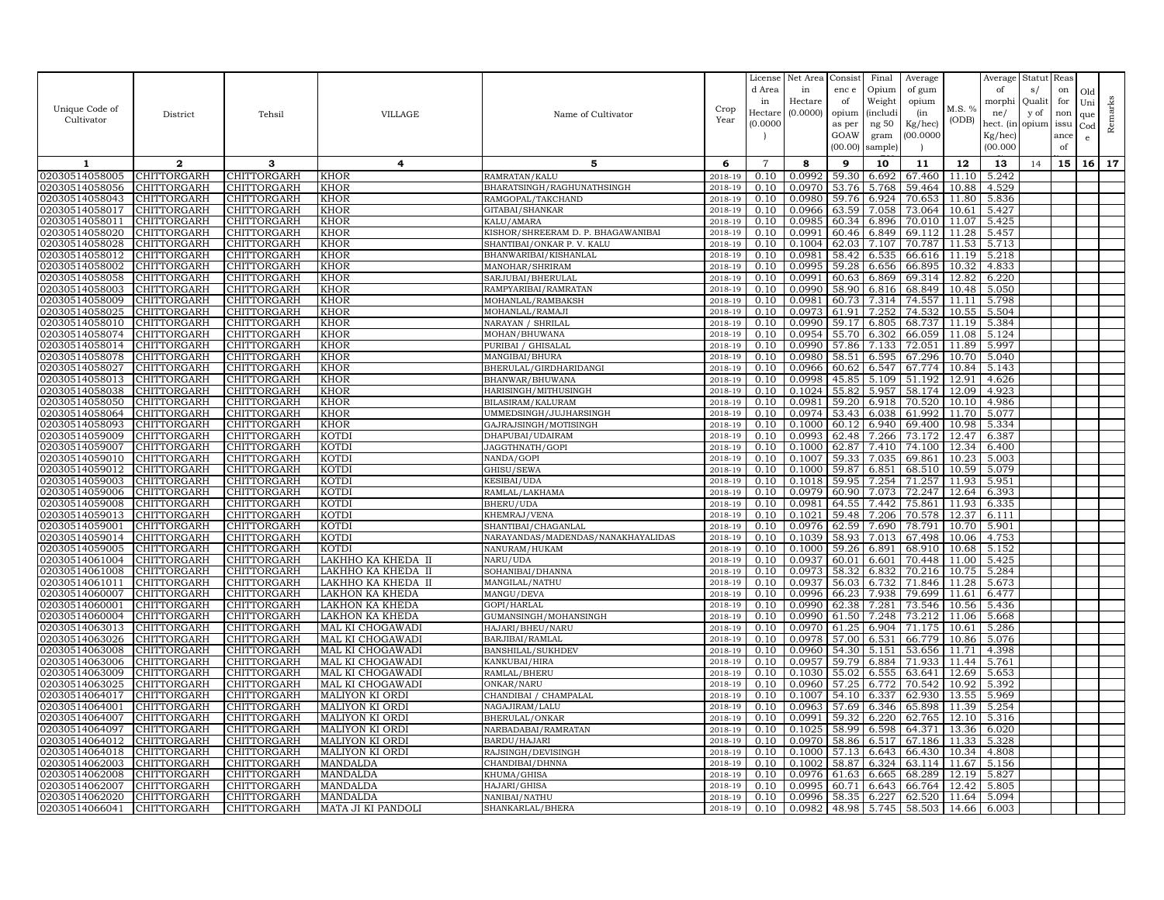|                                  |                            |                                   |                                      |                                           |                    | License        | Net Area         | Consist        | Final          | Average          |                | Average        | Statut Reas |      |              |         |
|----------------------------------|----------------------------|-----------------------------------|--------------------------------------|-------------------------------------------|--------------------|----------------|------------------|----------------|----------------|------------------|----------------|----------------|-------------|------|--------------|---------|
|                                  |                            |                                   |                                      |                                           |                    | d Area         | in               | enc e          | Opium          | of gum           |                | of             | s/          | on   | Old          |         |
|                                  |                            |                                   |                                      |                                           |                    | in             | Hectare          | of             | Weight         | opium            |                | morphi         | Qualit      | for  | Uni          |         |
| Unique Code of                   | District                   | Tehsil                            | VILLAGE                              | Name of Cultivator                        | Crop               | Hectar         | (0.0000)         | opium          | (includi       | (in              | M.S. %         | ne/            | y of        | non  | que          |         |
| Cultivator                       |                            |                                   |                                      |                                           | Year               | (0.0000)       |                  | as per         | ng 50          | Kg/hec)          | (ODB)          | hect. (in      | opium issu  |      | $_{\rm Cod}$ | Remarks |
|                                  |                            |                                   |                                      |                                           |                    |                |                  | GOAW           | gram           | 00.0000          |                | Kg/hec)        |             | ance | e            |         |
|                                  |                            |                                   |                                      |                                           |                    |                |                  | (00.00)        | sample)        |                  |                | (00.000)       |             | of   |              |         |
| 1                                | $\mathbf{2}$               | 3                                 | 4                                    | 5                                         | 6                  | $\overline{7}$ | 8                | 9              | 10             | 11               | 12             | 13             | 14          | 15   | 16           | 17      |
| 02030514058005                   | CHITTORGARH                | CHITTORGARH                       | <b>KHOR</b>                          | RAMRATAN/KALU                             | 2018-19            | 0.10           | 0.0992           | 59.30          | 6.692          | 67.460           | 11.10          | 5.242          |             |      |              |         |
| 02030514058056                   | CHITTORGARH                | CHITTORGARH                       | <b>KHOR</b>                          | BHARATSINGH/RAGHUNATHSINGH                | 2018-19            | 0.10           | 0.0970           | 53.76          | 5.768          | 59.464           | 10.88          | 4.529          |             |      |              |         |
| 02030514058043                   | CHITTORGARH                | CHITTORGARH                       | <b>KHOR</b>                          | RAMGOPAL/TAKCHAND                         | 2018-19            | 0.10           | 0.0980           | 59.76          | 6.924          | 70.653           | 11.80          | 5.836          |             |      |              |         |
| 02030514058017                   | CHITTORGARH                | CHITTORGARH                       | <b>KHOR</b>                          | GITABAI/SHANKAR                           | 2018-19            | 0.10           | 0.0966           | 63.59          | 7.058          | 73.064           | 10.61          | 5.427          |             |      |              |         |
| 02030514058011                   | CHITTORGARH                | CHITTORGARH                       | KHOR                                 | KALU/AMARA                                | 2018-19            | 0.10           | 0.0985           | 60.34          | 6.896          | 70.010           | 11.07          | 5.425          |             |      |              |         |
| 02030514058020                   | CHITTORGARH                | CHITTORGARH                       | <b>KHOR</b>                          | KISHOR/SHREERAM D. P. BHAGAWANIBAI        | 2018-19            | 0.10           | 0.0991           | 60.46          | 6.849          | 69.112           | 11.28          | 5.457          |             |      |              |         |
| 02030514058028                   | CHITTORGARH                | CHITTORGARH                       | <b>KHOR</b>                          | SHANTIBAI/ONKAR P.V. KALU                 | 2018-19            | 0.10           | 0.1004           | 62.03          | 7.107          | 70.787           | 11.53          | 5.713          |             |      |              |         |
| 02030514058012                   | CHITTORGARH                | <b>CHITTORGARH</b>                | <b>KHOR</b>                          | BHANWARIBAI/KISHANLAL                     | 2018-19            | 0.10           | 0.0981           | 58.42          | 6.535          | 66.616           | 11.19          | 5.218          |             |      |              |         |
| 02030514058002                   | CHITTORGARH                | CHITTORGARH                       | <b>KHOR</b>                          | MANOHAR/SHRIRAM                           | 2018-19            | 0.10           | 0.0995           | 59.28          | 6.656          | 66.895           | 10.32          | 4.833          |             |      |              |         |
| 02030514058058                   | CHITTORGARH                | CHITTORGARH                       | <b>KHOR</b>                          | SARJUBAI/BHERULAL                         | 2018-19            | 0.10           | 0.0991           | 60.63          | 6.869          | 69.314           | 12.82          | 6.220          |             |      |              |         |
| 02030514058003                   | CHITTORGARH                | CHITTORGARH                       | <b>KHOR</b>                          | RAMPYARIBAI/RAMRATAN                      | 2018-19            | 0.10           | 0.0990           | 58.90          | 6.816          | 68.849           | 10.48          | 5.050          |             |      |              |         |
| 02030514058009                   | CHITTORGARH                | CHITTORGARH                       | <b>KHOR</b>                          | MOHANLAL/RAMBAKSH                         | 2018-19            | 0.10           | 0.0981           | 60.73          | 7.314          | 74.557           | 11.11          | 5.798          |             |      |              |         |
| 02030514058025                   | CHITTORGARH                | CHITTORGARH                       | <b>KHOR</b>                          | MOHANLAL/RAMAJI                           | 2018-19            | 0.10           | 0.0973           | 61.91          | 7.252          | 74.532           | 10.55          | 5.504          |             |      |              |         |
| 02030514058010                   | CHITTORGARH                | CHITTORGARH                       | <b>KHOR</b>                          | NARAYAN / SHRILAL                         | 2018-19            | 0.10           | 0.0990           | 59.17          | 6.805          | 68.737           | 11.19          | 5.384          |             |      |              |         |
| 02030514058074                   | <b>CHITTORGARH</b>         | <b>CHITTORGARH</b>                | <b>KHOR</b>                          | MOHAN/BHUWANA                             | 2018-19            | 0.10           | 0.0954           | 55.70          | 6.302          | 66.059           | 11.08          | 5.124          |             |      |              |         |
| 02030514058014                   | CHITTORGARH                | CHITTORGARH                       | KHOR                                 | PURIBAI / GHISALAI                        | 2018-19            | 0.10           | 0.0990           | 57.86          | 7.133          | 72.051           | 11.89          | 5.997          |             |      |              |         |
| 02030514058078                   | CHITTORGARH                | CHITTORGARH                       | <b>KHOR</b>                          | MANGIBAI/BHURA                            | 2018-19            | 0.10           | 0.0980           | 58.51          | 6.595          | 67.296           | 10.70          | 5.040          |             |      |              |         |
| 02030514058027                   | CHITTORGARH                | CHITTORGARH                       | KHOR                                 | BHERULAL/GIRDHARIDANGI                    | 2018-19            | 0.10           | 0.0966           | 60.62          | 6.547          | 67.774           | 10.84          | 5.143          |             |      |              |         |
| 02030514058013                   | CHITTORGARH                | <b>CHITTORGARH</b>                | <b>KHOR</b>                          | BHANWAR/BHUWANA                           | 2018-19            | 0.10           | 0.0998<br>0.1024 | 45.85<br>55.82 | 5.109<br>5.957 | 51.192<br>58.174 | 12.91<br>12.09 | 4.626<br>4.923 |             |      |              |         |
| 02030514058038<br>02030514058050 | CHITTORGARH<br>CHITTORGARH | CHITTORGARH<br>CHITTORGARH        | <b>KHOR</b><br><b>KHOR</b>           | HARISINGH/MITHUSINGH<br>BILASIRAM/KALURAM | 2018-19<br>2018-19 | 0.10<br>0.10   | 0.0981           | 59.20          | 6.918          | 70.520           | 10.10          | 4.986          |             |      |              |         |
| 02030514058064                   | CHITTORGARH                | CHITTORGARH                       | <b>KHOR</b>                          | UMMEDSINGH/JUJHARSINGH                    | 2018-19            | 0.10           | 0.0974           | 53.43          | 6.038          | 61.992           | 11.70          | 5.077          |             |      |              |         |
| 02030514058093                   | CHITTORGARH                | CHITTORGARH                       | <b>KHOR</b>                          | GAJRAJSINGH/MOTISINGH                     | 2018-19            | 0.10           | 0.1000           | 60.12          | 6.940          | 69.400           | 10.98          | 5.334          |             |      |              |         |
| 02030514059009                   | CHITTORGARH                | CHITTORGARH                       | <b>KOTDI</b>                         | DHAPUBAI/UDAIRAM                          | 2018-19            | 0.10           | 0.0993           | 62.48          | 7.266          | 73.172           | 12.47          | 6.387          |             |      |              |         |
| 02030514059007                   | CHITTORGARH                | <b>CHITTORGARH</b>                | <b>KOTDI</b>                         | JAGGTHNATH/GOPI                           | 2018-19            | 0.10           | 0.1000           | 62.87          | 7.410          | 74.100           | 12.34          | 6.400          |             |      |              |         |
| 02030514059010                   | CHITTORGARH                | CHITTORGARH                       | KOTDI                                | NANDA/GOPI                                | 2018-19            | 0.10           | 0.1007           | 59.33          | 7.035          | 69.861           | 10.23          | 5.003          |             |      |              |         |
| 02030514059012                   | CHITTORGARH                | CHITTORGARH                       | KOTDI                                | GHISU/SEWA                                | 2018-19            | 0.10           | 0.1000           | 59.87          | 6.851          | 68.510           | 10.59          | 5.079          |             |      |              |         |
| 02030514059003                   | CHITTORGARH                | CHITTORGARH                       | <b>KOTDI</b>                         | KESIBAI/UDA                               | 2018-19            | 0.10           | 0.1018           | 59.95          | 7.254          | 71.257           | 11.93          | 5.951          |             |      |              |         |
| 02030514059006                   | CHITTORGARH                | CHITTORGARH                       | KOTDI                                | RAMLAL/LAKHAMA                            | 2018-19            | 0.10           | 0.0979           | 60.90          | 7.073          | 72.247           | 12.64          | 6.393          |             |      |              |         |
| 02030514059008                   | CHITTORGARH                | CHITTORGARH                       | KOTDI                                | BHERU/UDA                                 | 2018-19            | 0.10           | 0.0981           | 64.55          | 7.442          | 75.861           | 11.93          | 6.335          |             |      |              |         |
| 02030514059013                   | CHITTORGARH                | CHITTORGARH                       | <b>KOTDI</b>                         | KHEMRAJ/VENA                              | 2018-19            | 0.10           | 0.1021           | 59.48          | 7.206          | 70.578           | 12.37          | 6.111          |             |      |              |         |
| 02030514059001                   | CHITTORGARH                | CHITTORGARH                       | KOTDI                                | SHANTIBAI/CHAGANLAL                       | 2018-19            | 0.10           | 0.0976           | 62.59          | 7.690          | 78.791           | 10.70          | 5.901          |             |      |              |         |
| 02030514059014                   | CHITTORGARH                | CHITTORGARH                       | <b>KOTDI</b>                         | NARAYANDAS/MADENDAS/NANAKHAYALIDAS        | 2018-19            | 0.10           | 0.1039           | 58.93          | 7.013          | 67.498           | 10.06          | 4.753          |             |      |              |         |
| 02030514059005                   | CHITTORGARH                | CHITTORGARH                       | <b>KOTDI</b>                         | NANURAM/HUKAM                             | 2018-19            | 0.10           | 0.1000           | 59.26          | 6.891          | 68.910           | 10.68          | 5.152          |             |      |              |         |
| 02030514061004                   | CHITTORGARH                | CHITTORGARH                       | LAKHHO KA KHEDA II                   | NARU/UDA                                  | 2018-19            | 0.10           | 0.0937           | 60.01          | 6.601          | 70.448           | 11.00          | 5.425          |             |      |              |         |
| 02030514061008                   | CHITTORGARH                | CHITTORGARH                       | LAKHHO KA KHEDA II                   | SOHANIBAI/DHANNA                          | 2018-19            | 0.10           | 0.0973           | 58.32          | 6.832          | 70.216           | 10.75          | 5.284          |             |      |              |         |
| 02030514061011                   | CHITTORGARH                | CHITTORGARH                       | LAKHHO KA KHEDA II                   | MANGILAL/NATHU                            | 2018-19            | 0.10           | 0.0937           | 56.03          | 6.732          | 71.846           | 11.28          | 5.673          |             |      |              |         |
| 02030514060007                   | CHITTORGARH                | CHITTORGARH                       | LAKHON KA KHEDA                      | MANGU/DEVA                                | 2018-19            | 0.10           | 0.0996           | 66.23          | 7.938          | 79.699           | 11.61          | 6.477          |             |      |              |         |
| 02030514060001                   | CHITTORGARH                | CHITTORGARH                       | LAKHON KA KHEDA                      | GOPI/HARLAL                               | 2018-19            | 0.10           | 0.0990           | 62.38          | 7.281          | 73.546           | 10.56          | 5.436          |             |      |              |         |
| 02030514060004                   | CHITTORGARH                | CHITTORGARH                       | <b>LAKHON KA KHEDA</b>               | GUMANSINGH/MOHANSINGH                     | 2018-19            | 0.10           | 0.0990           | 61.50          | 7.248          | 73.212           | 11.06          | 5.668          |             |      |              |         |
| 02030514063013                   | CHITTORGARH                | CHITTORGARH                       | MAL KI CHOGAWADI                     | HAJARI/BHEU/NARU<br>BARJIBAI/RAMLAL       | 2018-19<br>2018-19 | 0.10           | 0.0970<br>0.0978 | 61.25          | 6.904          | 71.175           | 10.61          | 5.286          |             |      |              |         |
| 02030514063026                   | CHITTORGARH                | CHITTORGARH                       | MAL KI CHOGAWADI                     |                                           |                    | 0.10           | 0.0960           | 57.00          | 6.531          | 66.779<br>53.656 | 10.86          | 5.076          |             |      |              |         |
| 02030514063008<br>02030514063006 | CHITTORGARH<br>CHITTORGARH | CHITTORGARH<br><b>CHITTORGARH</b> | MAL KI CHOGAWADI<br>MAL KI CHOGAWADI | BANSHILAL/SUKHDEV<br>KANKUBAI/HIRA        | 2018-19<br>2018-19 | 0.10<br>0.10   | 0.0957           | 54.30<br>59.79 | 5.151<br>6.884 | 71.933           | 11.71<br>11.44 | 4.398<br>5.761 |             |      |              |         |
| 02030514063009                   | CHITTORGARH                | CHITTORGARH                       | MAL KI CHOGAWADI                     | RAMLAL/BHERU                              | 2018-19            | 0.10           | 0.1030           | 55.02          | 6.555          | 63.641           | 12.69          | 5.653          |             |      |              |         |
| 02030514063025                   | CHITTORGARH                | CHITTORGARH                       | MAL KI CHOGAWAD                      | ONKAR/NARU                                | 2018-19            | 0.10           | 0.0960           | 57.25          | 6.772          | 70.542           | 10.92          | 5.392          |             |      |              |         |
| 02030514064017                   | CHITTORGARH                | CHITTORGARH                       | MALIYON KI ORDI                      | CHANDIBAI / CHAMPALAL                     | 2018-19            | 0.10           | 0.1007           | 54.10          | 6.337          | 62.930           | 13.55          | 5.969          |             |      |              |         |
| 02030514064001                   | <b>CHITTORGARH</b>         | CHITTORGARH                       | <b>MALIYON KI ORDI</b>               | NAGAJIRAM/LALU                            | 2018-19            | 0.10           | 0.0963           | 57.69          | 6.346          | 65.898           | 11.39          | 5.254          |             |      |              |         |
| 02030514064007                   | CHITTORGARH                | CHITTORGARH                       | <b>MALIYON KI ORDI</b>               | BHERULAL/ONKAR                            | 2018-19            | 0.10           | 0.0991           | 59.32          | 6.220          | 62.765           | 12.10          | 5.316          |             |      |              |         |
| 02030514064097                   | CHITTORGARH                | CHITTORGARH                       | <b>MALIYON KI ORDI</b>               | NARBADABAI/RAMRATAN                       | 2018-19            | 0.10           | 0.1025           | 58.99          | 6.598          | 64.371           | 13.36          | 6.020          |             |      |              |         |
| 02030514064012                   | CHITTORGARH                | CHITTORGARH                       | <b>MALIYON KI ORDI</b>               | BARDU/HAJARI                              | 2018-19            | 0.10           | 0.0970           | 58.86          | 6.517          | 67.186           | 11.33          | 5.328          |             |      |              |         |
| 02030514064018                   | CHITTORGARH                | CHITTORGARH                       | MALIYON KI ORDI                      | RAJSINGH/DEVISINGH                        | 2018-19            | 0.10           | 0.1000           | 57.13          | 6.643          | 66.430           | 10.34          | 4.808          |             |      |              |         |
| 02030514062003                   | CHITTORGARH                | CHITTORGARH                       | MANDALDA                             | CHANDIBAI/DHNNA                           | 2018-19            | 0.10           | 0.1002           | 58.87          | 6.324          | 63.114           | 11.67          | 5.156          |             |      |              |         |
| 02030514062008                   | CHITTORGARH                | CHITTORGARH                       | MANDALDA                             | KHUMA/GHISA                               | 2018-19            | 0.10           | 0.0976           | 61.63          | 6.665          | 68.289           | 12.19          | 5.827          |             |      |              |         |
| 02030514062007                   | CHITTORGARH                | CHITTORGARH                       | <b>MANDALDA</b>                      | HAJARI/GHISA                              | 2018-19            | 0.10           | 0.0995           | 60.71          | 6.643          | 66.764           | 12.42          | 5.805          |             |      |              |         |
| 02030514062020                   | CHITTORGARH                | CHITTORGARH                       | <b>MANDALDA</b>                      | NANIBAI/NATHU                             | 2018-19            | 0.10           | 0.0996           | 58.35          | 6.227          | 62.520           | 11.64          | 5.094          |             |      |              |         |
| 02030514066041                   | CHITTORGARH                | CHITTORGARH                       | MATA JI KI PANDOLI                   | SHANKARLAL/BHERA                          | 2018-19            | 0.10           | 0.0982           | 48.98          | 5.745          |                  | 58.503 14.66   | 6.003          |             |      |              |         |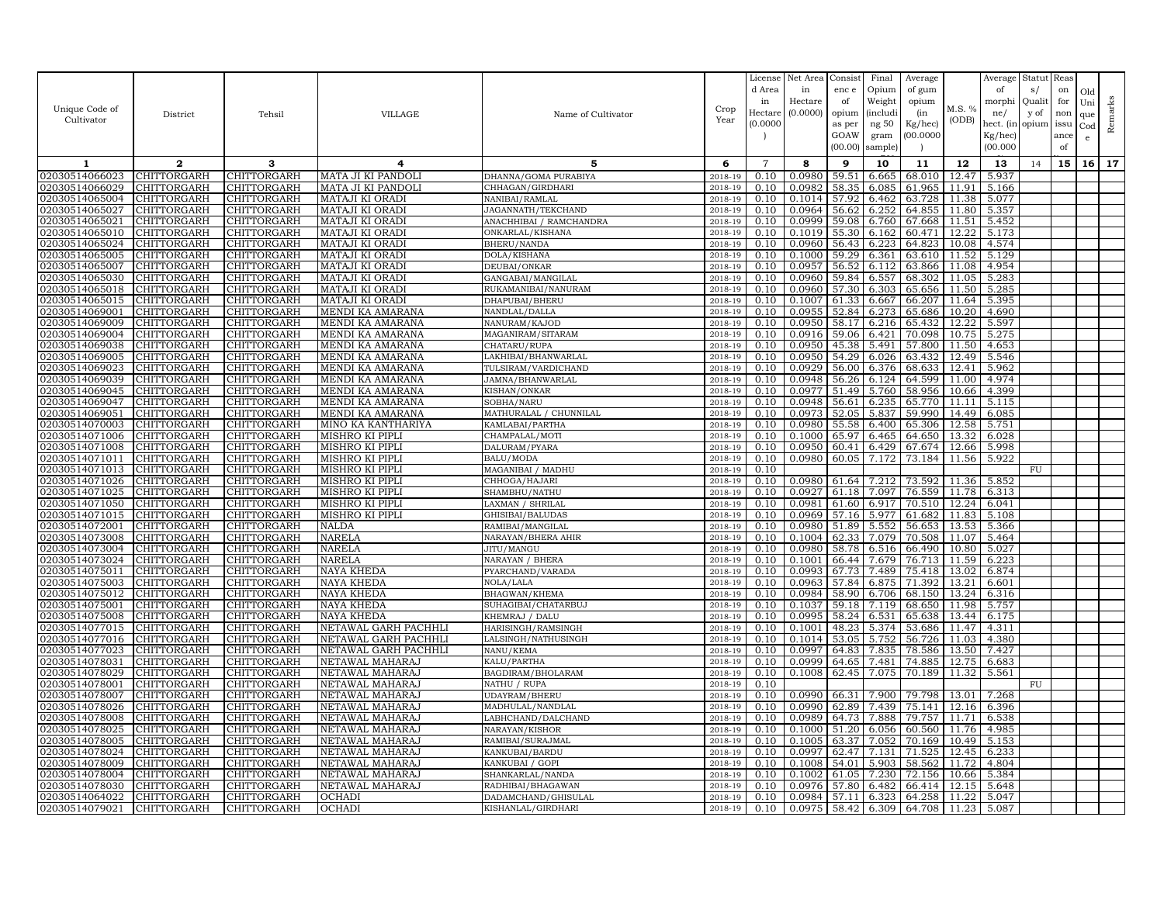| Unique Code of<br>Cultivator     | District                   | Tehsil                            | VILLAGE                            | Name of Cultivator                    | Crop<br>Year       | License<br>d Area<br>in<br>Hectare<br>(0.0000) | Net Area<br>in<br>Hectare<br>(0.0000) | Consist<br>enc e<br>of<br>opium<br>as per<br>GOAW<br>(00.00) | Final<br>Opium<br>Weight<br><i>(includi</i><br>ng 50<br>gram<br>sample) | Average<br>of gum<br>opium<br>(in<br>Kg/hec)<br>00.000C | M.S. %<br>(ODB) | Average<br>of<br>morphi<br>ne/<br>hect. (in<br>$Kg/$ hec)<br>(00.000) | Statut<br>s/<br>Quali<br>y of<br>opium | Reas<br>on<br>for<br>non<br>issu<br>ance<br>of | Old<br>Uni<br>que<br>Cod<br>e | Remarks |
|----------------------------------|----------------------------|-----------------------------------|------------------------------------|---------------------------------------|--------------------|------------------------------------------------|---------------------------------------|--------------------------------------------------------------|-------------------------------------------------------------------------|---------------------------------------------------------|-----------------|-----------------------------------------------------------------------|----------------------------------------|------------------------------------------------|-------------------------------|---------|
| 1                                | $\mathbf{2}$               | 3                                 | 4                                  | 5.                                    | 6                  | $\overline{7}$                                 | 8                                     | 9                                                            | 10                                                                      | 11                                                      | 12              | 13                                                                    | 14                                     | 15                                             | 16                            | 17      |
| 02030514066023                   | CHITTORGARH                | <b>CHITTORGARH</b>                | MATA JI KI PANDOLI                 | DHANNA/GOMA PURABIYA                  | 2018-19            | 0.10                                           | 0.0980                                | 59.51                                                        | 6.665                                                                   | 68.010                                                  | 12.47           | 5.937                                                                 |                                        |                                                |                               |         |
| 02030514066029                   | CHITTORGARH                | CHITTORGARH                       | MATA JI KI PANDOLI                 | CHHAGAN/GIRDHARI                      | 2018-19            | 0.10                                           | 0.0982                                | 58.35                                                        | 6.085                                                                   | 61.965                                                  | 11.91           | 5.166                                                                 |                                        |                                                |                               |         |
| 02030514065004                   | CHITTORGARH                | CHITTORGARH                       | MATAJI KI ORADI                    | NANIBAI/RAMLAL                        | 2018-19            | 0.10                                           | 0.1014                                | 57.92                                                        | 6.462                                                                   | 63.728                                                  | 11.38           | 5.077                                                                 |                                        |                                                |                               |         |
| 02030514065027                   | CHITTORGARH                | CHITTORGARH                       | MATAJI KI ORADI                    | JAGANNATH/TEKCHAND                    | 2018-19            | 0.10                                           | 0.0964                                | 56.62                                                        | 6.252                                                                   | 64.855                                                  | 11.80           | 5.357                                                                 |                                        |                                                |                               |         |
| 02030514065021                   | CHITTORGARH                | CHITTORGARH                       | MATAJI KI ORADI                    | ANACHHIBAI / RAMCHANDRA               | 2018-19            | 0.10                                           | 0.0999                                | 59.08                                                        | 6.760                                                                   | 67.668                                                  | 11.51           | 5.452                                                                 |                                        |                                                |                               |         |
| 02030514065010                   | CHITTORGARH                | CHITTORGARH                       | MATAJI KI ORADI                    | ONKARLAL/KISHANA                      | 2018-19            | 0.10                                           | 0.1019                                | 55.30                                                        | 6.162                                                                   | 60.471                                                  | 12.22           | 5.173                                                                 |                                        |                                                |                               |         |
| 02030514065024<br>02030514065005 | CHITTORGARH<br>CHITTORGARH | CHITTORGARH<br>CHITTORGARH        | MATAJI KI ORADI<br>MATAJI KI ORADI | <b>BHERU/NANDA</b><br>DOLA/KISHANA    | 2018-19<br>2018-19 | 0.10<br>0.10                                   | 0.0960<br>0.1000                      | 56.43<br>59.29                                               | 6.223<br>6.361                                                          | 64.823<br>63.610                                        | 10.08<br>11.52  | 4.574<br>5.129                                                        |                                        |                                                |                               |         |
| 02030514065007                   | CHITTORGARH                | CHITTORGARH                       | MATAJI KI ORADI                    | DEUBAI/ONKAR                          | 2018-19            | 0.10                                           | 0.0957                                | 56.52                                                        | 6.112                                                                   | 63.866                                                  | 11.08           | 4.954                                                                 |                                        |                                                |                               |         |
| 02030514065030                   | CHITTORGARH                | CHITTORGARH                       | MATAJI KI ORADI                    | GANGABAI/MANGILAL                     | 2018-19            | 0.10                                           | 0.0960                                | 59.84                                                        | 6.557                                                                   | 68.302                                                  | 11.05           | 5.283                                                                 |                                        |                                                |                               |         |
| 02030514065018                   | <b>CHITTORGARH</b>         | CHITTORGARH                       | MATAJI KI ORADI                    | RUKAMANIBAI/NANURAM                   | 2018-19            | 0.10                                           | 0.0960                                | 57.30                                                        | 6.303                                                                   | 65.656                                                  | 11.50           | 5.285                                                                 |                                        |                                                |                               |         |
| 02030514065015                   | CHITTORGARH                | CHITTORGARH                       | MATAJI KI ORADI                    | DHAPUBAI/BHERU                        | 2018-19            | 0.10                                           | 0.1007                                | 61.33                                                        | 6.667                                                                   | 66.207                                                  | 11.64           | 5.395                                                                 |                                        |                                                |                               |         |
| 02030514069001                   | CHITTORGARH                | CHITTORGARH                       | MENDI KA AMARANA                   | NANDLAL/DALLA                         | 2018-19            | 0.10                                           | 0.0955                                | 52.84                                                        | 6.273                                                                   | 65.686                                                  | 10.20           | 4.690                                                                 |                                        |                                                |                               |         |
| 02030514069009                   | CHITTORGARH                | CHITTORGARH                       | MENDI KA AMARANA                   | NANURAM/KAJOD                         | 2018-19            | 0.10                                           | 0.0950                                | 58.17                                                        | 6.216                                                                   | 65.432                                                  | 12.22           | 5.597                                                                 |                                        |                                                |                               |         |
| 02030514069004                   | CHITTORGARH                | CHITTORGARH                       | MENDI KA AMARANA                   | MAGANIRAM/SITARAM                     | 2018-19            | 0.10                                           | 0.0916                                | 59.06                                                        | 6.421                                                                   | 70.098                                                  | 10.75           | 5.275                                                                 |                                        |                                                |                               |         |
| 02030514069038                   | CHITTORGARH                | CHITTORGARH                       | MENDI KA AMARANA                   | CHATARU/RUPA                          | 2018-19            | 0.10                                           | 0.0950                                | 45.38                                                        | 5.491                                                                   | 57.800                                                  | 11.50           | 4.653                                                                 |                                        |                                                |                               |         |
| 02030514069005                   | CHITTORGARH                | CHITTORGARH                       | MENDI KA AMARANA                   | LAKHIBAI/BHANWARLAL                   | 2018-19            | 0.10                                           | 0.0950                                | 54.29                                                        | 6.026                                                                   | 63.432                                                  | 12.49           | 5.546                                                                 |                                        |                                                |                               |         |
| 02030514069023                   | CHITTORGARH                | CHITTORGARH                       | MENDI KA AMARANA                   | TULSIRAM/VARDICHAND                   | 2018-19            | 0.10                                           | 0.0929                                | 56.00                                                        | 6.376                                                                   | 68.633                                                  | 12.41           | 5.962                                                                 |                                        |                                                |                               |         |
| 02030514069039                   | CHITTORGARH                | CHITTORGARH                       | MENDI KA AMARANA                   | JAMNA/BHANWARLAL                      | 2018-19            | 0.10                                           | 0.0948                                | 56.26                                                        | 6.124                                                                   | 64.599                                                  | 11.00           | 4.974                                                                 |                                        |                                                |                               |         |
| 02030514069045                   | CHITTORGARH                | CHITTORGARH                       | MENDI KA AMARANA                   | KISHAN/ONKAR                          | 2018-19            | 0.10                                           | 0.0977                                | 51.49                                                        | 5.760                                                                   | 58.956                                                  | 10.66           | 4.399                                                                 |                                        |                                                |                               |         |
| 02030514069047                   | CHITTORGARH                | CHITTORGARH                       | MENDI KA AMARANA                   | SOBHA/NARU                            | 2018-19            | 0.10                                           | 0.0948                                | 56.61                                                        | 6.235                                                                   | 65.770                                                  | 11.11           | 5.115                                                                 |                                        |                                                |                               |         |
| 02030514069051                   | CHITTORGARH                | CHITTORGARH                       | MENDI KA AMARANA                   | MATHURALAL / CHUNNILAL                | 2018-19            | 0.10                                           | 0.0973                                | 52.05                                                        | 5.837                                                                   | 59.990                                                  | 14.49           | 6.085                                                                 |                                        |                                                |                               |         |
| 02030514070003                   | CHITTORGARH                | CHITTORGARH                       | MINO KA KANTHARIYA                 | KAMLABAI/PARTHA                       | 2018-19            | 0.10                                           | 0.0980                                | 55.58                                                        | 6.400                                                                   | 65.306                                                  | 12.58           | 5.751                                                                 |                                        |                                                |                               |         |
| 02030514071006<br>02030514071008 | CHITTORGARH<br>CHITTORGARH | <b>CHITTORGARH</b><br>CHITTORGARH | MISHRO KI PIPLI<br>MISHRO KI PIPLI | CHAMPALAL/MOTI                        | 2018-19            | 0.10<br>0.10                                   | 0.1000<br>0.0950                      | 65.97<br>60.41                                               | 6.465<br>6.429                                                          | 64.650<br>67.674                                        | 13.32<br>12.66  | 6.028<br>5.998                                                        |                                        |                                                |                               |         |
| 02030514071011                   | <b>CHITTORGARH</b>         | CHITTORGARH                       | MISHRO KI PIPLI                    | DALURAM/PYARA<br><b>BALU/MODA</b>     | 2018-19<br>2018-19 | 0.10                                           | 0.0980                                | 60.05                                                        | 7.172                                                                   | 73.184                                                  | 11.56           | 5.922                                                                 |                                        |                                                |                               |         |
| 02030514071013                   | CHITTORGARH                | CHITTORGARH                       | MISHRO KI PIPLI                    | MAGANIBAI / MADHU                     | 2018-19            | 0.10                                           |                                       |                                                              |                                                                         |                                                         |                 |                                                                       | FU                                     |                                                |                               |         |
| 02030514071026                   | CHITTORGARH                | CHITTORGARH                       | <b>MISHRO KI PIPLI</b>             | CHHOGA/HAJARI                         | 2018-19            | 0.10                                           | 0.0980                                |                                                              | 61.64 7.212                                                             | 73.592                                                  | 11.36           | 5.852                                                                 |                                        |                                                |                               |         |
| 02030514071025                   | CHITTORGARH                | CHITTORGARH                       | MISHRO KI PIPLI                    | SHAMBHU/NATHU                         | 2018-19            | 0.10                                           | 0.0927                                | 61.18                                                        | 7.097                                                                   | 76.559                                                  | 11.78           | 6.313                                                                 |                                        |                                                |                               |         |
| 02030514071050                   | CHITTORGARH                | CHITTORGARH                       | MISHRO KI PIPLI                    | LAXMAN / SHRILAL                      | 2018-19            | 0.10                                           | 0.0981                                | 61.60                                                        | 6.917                                                                   | 70.510                                                  | 12.24           | 6.041                                                                 |                                        |                                                |                               |         |
| 02030514071015                   | CHITTORGARH                | CHITTORGARH                       | <b>MISHRO KI PIPLI</b>             | GHISIBAI/BALUDAS                      | 2018-19            | 0.10                                           | 0.0969                                | 57.16                                                        | 5.977                                                                   | 61.682                                                  | 11.83           | 5.108                                                                 |                                        |                                                |                               |         |
| 02030514072001                   | CHITTORGARH                | CHITTORGARH                       | <b>NALDA</b>                       | RAMIBAI/MANGILAI                      | 2018-19            | 0.10                                           | 0.0980                                | 51.89                                                        | 5.552                                                                   | 56.653                                                  | 13.53           | 5.366                                                                 |                                        |                                                |                               |         |
| 02030514073008                   | CHITTORGARH                | CHITTORGARH                       | NARELA                             | NARAYAN/BHERA AHIR                    | 2018-19            | 0.10                                           | 0.1004                                | 62.33                                                        | 7.079                                                                   | 70.508                                                  | 11.07           | 5.464                                                                 |                                        |                                                |                               |         |
| 02030514073004                   | CHITTORGARH                | CHITTORGARH                       | NARELA                             | JITU/MANGU                            | 2018-19            | 0.10                                           | 0.0980                                | 58.78                                                        | 6.516                                                                   | 66.490                                                  | 10.80           | 5.027                                                                 |                                        |                                                |                               |         |
| 02030514073024                   | CHITTORGARH                | CHITTORGARH                       | NARELA                             | NARAYAN / BHERA                       | 2018-19            | 0.10                                           | 0.1001                                | 66.44                                                        | 7.679                                                                   | 76.713                                                  | 11.59           | 6.223                                                                 |                                        |                                                |                               |         |
| 02030514075011                   | CHITTORGARH                | CHITTORGARH                       | NAYA KHEDA                         | PYARCHAND/VARADA                      | 2018-19            | 0.10                                           | 0.0993                                | 67.73                                                        | 7.489                                                                   | 75.418                                                  | 13.02           | 6.874                                                                 |                                        |                                                |                               |         |
| 02030514075003                   | CHITTORGARH                | CHITTORGARH                       | NAYA KHEDA                         | NOLA/LALA                             | 2018-19            | 0.10                                           | 0.0963                                | 57.84                                                        | 6.875                                                                   | 71.392                                                  | 13.21           | 6.601                                                                 |                                        |                                                |                               |         |
| 02030514075012                   | CHITTORGARH                | CHITTORGARH                       | NAYA KHEDA                         | BHAGWAN/KHEMA                         | 2018-19            | 0.10                                           | 0.0984                                | 58.90                                                        | 6.706                                                                   | 68.150                                                  | 13.24           | 6.316                                                                 |                                        |                                                |                               |         |
| 02030514075001<br>02030514075008 | CHITTORGARH<br>CHITTORGARH | CHITTORGARH<br>CHITTORGARH        | NAYA KHEDA<br>NAYA KHEDA           | SUHAGIBAI/CHATARBUJ<br>KHEMRAJ / DALU | 2018-19<br>2018-19 | 0.10<br>0.10                                   | 0.1037<br>0.0995                      | 59.18<br>58.24                                               | 7.119<br>6.531                                                          | 68.650<br>65.638                                        | 11.98<br>13.44  | 5.757<br>6.175                                                        |                                        |                                                |                               |         |
| 02030514077015                   | CHITTORGARH                | CHITTORGARH                       | NETAWAL GARH PACHHLI               | HARISINGH/RAMSINGH                    | 2018-19            | 0.10                                           | 0.1001                                | 48.23                                                        | 5.374                                                                   | 53.686                                                  | 11.47           | 4.311                                                                 |                                        |                                                |                               |         |
| 02030514077016                   | CHITTORGARH                | CHITTORGARH                       | NETAWAL GARH PACHHLI               | LALSINGH/NATHUSINGH                   | 2018-19            | 0.10                                           | 0.1014                                | 53.05                                                        | 5.752                                                                   | 56.726                                                  | 11.03           | 4.380                                                                 |                                        |                                                |                               |         |
| 02030514077023                   | CHITTORGARH                | CHITTORGARH                       | NETAWAL GARH PACHHLI               | NANU/KEMA                             | 2018-19            | 0.10                                           | 0.0997                                | 64.83                                                        | 7.835                                                                   | 78.586                                                  | 13.50           | 7.427                                                                 |                                        |                                                |                               |         |
| 02030514078031                   | <b>CHITTORGARH</b>         | CHITTORGARH                       | NETAWAL MAHARAJ                    | KALU/PARTHA                           | 2018-19            | 0.10                                           | 0.0999                                | 64.65                                                        | 7.481                                                                   | 74.885                                                  | 12.75           | 6.683                                                                 |                                        |                                                |                               |         |
| 02030514078029                   | CHITTORGARH                | <b>CHITTORGARH</b>                | NETAWAL MAHARAJ                    | BAGDIRAM/BHOLARAM                     | 2018-19            | 0.10                                           | 0.1008                                | 62.45                                                        | 7.075                                                                   | 70.189                                                  | 11.32           | 5.561                                                                 |                                        |                                                |                               |         |
| 02030514078001                   | CHITTORGARH                | <b>CHITTORGARH</b>                | NETAWAL MAHARAJ                    | NATHU / RUPA                          | 2018-19            | 0.10                                           |                                       |                                                              |                                                                         |                                                         |                 |                                                                       | FU                                     |                                                |                               |         |
| 02030514078007                   | CHITTORGARH                | CHITTORGARH                       | NETAWAL MAHARAJ                    | UDAYRAM/BHERL                         | 2018-19            | 0.10                                           | 0.0990                                | 66.31                                                        | 7.900                                                                   | 79.798                                                  | 13.01           | 7.268                                                                 |                                        |                                                |                               |         |
| 02030514078026                   | <b>CHITTORGARH</b>         | CHITTORGARH                       | NETAWAL MAHARAJ                    | MADHULAL/NANDLAL                      | 2018-19            | 0.10                                           | 0.0990                                | 62.89                                                        | 7.439                                                                   | 75.141                                                  | 12.16           | 6.396                                                                 |                                        |                                                |                               |         |
| 02030514078008                   | CHITTORGARH                | CHITTORGARH                       | NETAWAL MAHARAJ                    | LABHCHAND/DALCHAND                    | 2018-19            | 0.10                                           | 0.0989                                | 64.73                                                        | 7.888                                                                   | 79.757                                                  | 11.71           | 6.538                                                                 |                                        |                                                |                               |         |
| 02030514078025                   | CHITTORGARH                | CHITTORGARH                       | NETAWAL MAHARAJ                    | NARAYAN/KISHOR                        | 2018-19            | 0.10                                           | 0.1000                                | 51.20                                                        | 6.056                                                                   | 60.560                                                  | 11.76           | 4.985                                                                 |                                        |                                                |                               |         |
| 02030514078005                   | CHITTORGARH                | CHITTORGARH                       | NETAWAL MAHARAJ                    | RAMIBAI/SURAJMAL                      | 2018-19            | 0.10                                           | 0.1005                                | 63.37                                                        | 7.052                                                                   | 70.169                                                  | 10.49           | 5.153                                                                 |                                        |                                                |                               |         |
| 02030514078024                   | CHITTORGARH                | CHITTORGARH                       | NETAWAL MAHARAJ                    | KANKUBAI/BARDU                        | 2018-19            | 0.10                                           | 0.0997<br>0.1008                      | 62.47<br>54.01                                               | 7.131<br>5.903                                                          | 71.525                                                  | 12.45           | 6.233                                                                 |                                        |                                                |                               |         |
| 02030514078009<br>02030514078004 | CHITTORGARH<br>CHITTORGARH | CHITTORGARH<br>CHITTORGARH        | NETAWAL MAHARAJ<br>NETAWAL MAHARAJ | KANKUBAI / GOPI<br>SHANKARLAL/NANDA   | 2018-19<br>2018-19 | 0.10<br>0.10                                   | 0.1002                                | 61.05                                                        | 7.230                                                                   | 58.562<br>72.156                                        | 11.72<br>10.66  | 4.804<br>5.384                                                        |                                        |                                                |                               |         |
| 02030514078030                   | CHITTORGARH                | CHITTORGARH                       | NETAWAL MAHARAJ                    | RADHIBAI/BHAGAWAN                     | 2018-19            | 0.10                                           | 0.0976                                | 57.80                                                        | 6.482                                                                   | 66.414                                                  | 12.15           | 5.648                                                                 |                                        |                                                |                               |         |
| 02030514064022                   | CHITTORGARH                | CHITTORGARH                       | OCHADI                             | DADAMCHAND/GHISULAL                   | 2018-19            | 0.10                                           | 0.0984                                | 57.11                                                        | 6.323                                                                   | 64.258                                                  | 11.22           | 5.047                                                                 |                                        |                                                |                               |         |
| 02030514079021                   | <b>CHITTORGARH</b>         | <b>CHITTORGARH</b>                | OCHADI                             | KISHANLAL/GIRDHARI                    | 2018-19            | 0.10                                           | 0.0975                                | 58.42                                                        | 6.309                                                                   | 64.708                                                  | 11.23           | 5.087                                                                 |                                        |                                                |                               |         |
|                                  |                            |                                   |                                    |                                       |                    |                                                |                                       |                                                              |                                                                         |                                                         |                 |                                                                       |                                        |                                                |                               |         |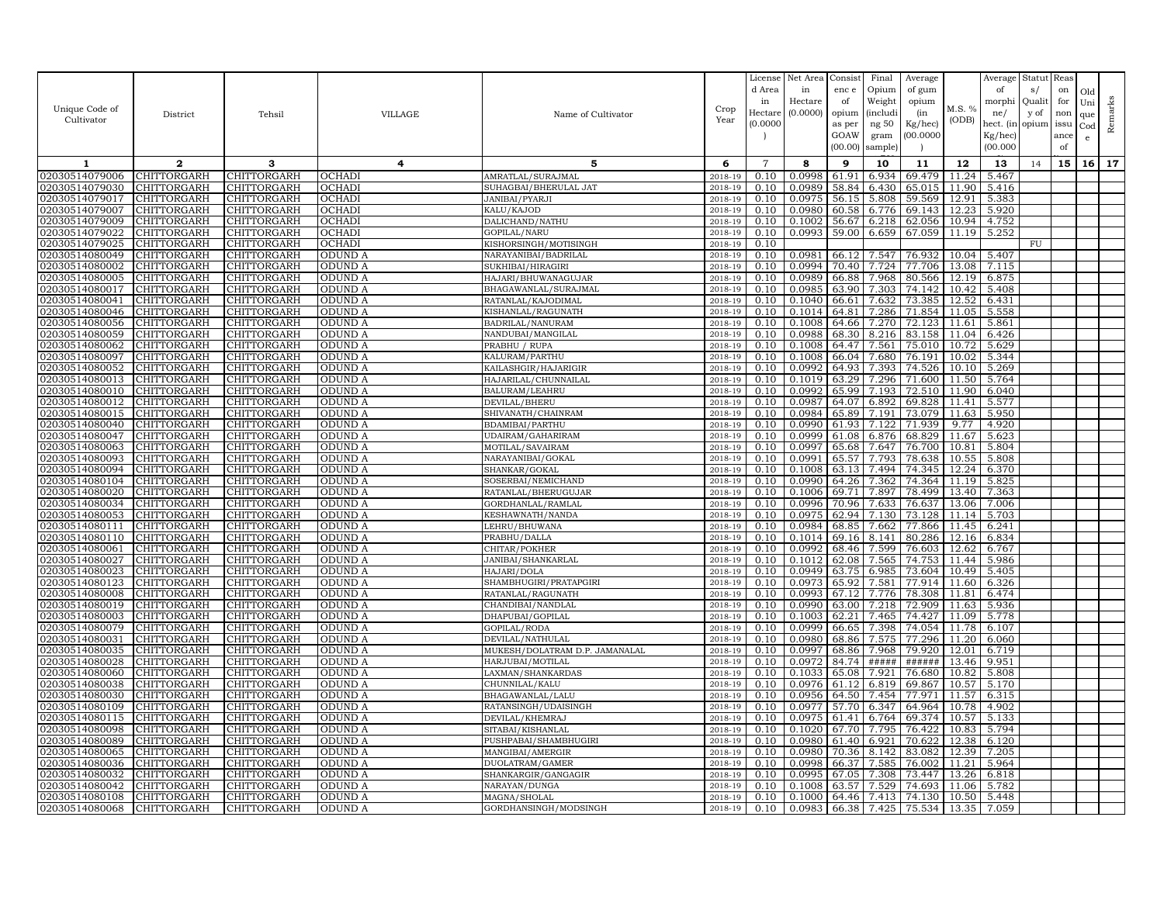|                                  |                            |                            |                    |                                                    |                    | License        | Net Area            | Consist        | Final              | Average          |                | Average          | Statut Reas    |            |                   |         |
|----------------------------------|----------------------------|----------------------------|--------------------|----------------------------------------------------|--------------------|----------------|---------------------|----------------|--------------------|------------------|----------------|------------------|----------------|------------|-------------------|---------|
|                                  |                            |                            |                    |                                                    |                    | d Area         | in                  | enc e          | Opium              | of gum           |                | of               | s/             | on         | Old               |         |
| Unique Code of                   |                            |                            |                    |                                                    | Crop               | in<br>Hectar   | Hectare<br>(0.0000) | of<br>opium    | Weight<br>(includi | opium<br>(in     | M.S. %         | morphi           | Qualit<br>y of | for<br>non | Uni               | Remarks |
| Cultivator                       | District                   | Tehsil                     | <b>VILLAGE</b>     | Name of Cultivator                                 | Year               | (0.0000)       |                     | as per         | ng 50              | Kg/hec)          | (ODB)          | ne/<br>hect. (in | opium issu     |            | que               |         |
|                                  |                            |                            |                    |                                                    |                    |                |                     | GOAW           | gram               | 00.0000          |                | Kg/hec)          |                | ance       | $_{\rm Cod}$<br>e |         |
|                                  |                            |                            |                    |                                                    |                    |                |                     | (00.00)        | sample)            |                  |                | (00.000)         |                | of         |                   |         |
| 1                                | $\mathbf{2}$               | 3                          | 4                  | 5                                                  | 6                  | $\overline{7}$ | 8                   | 9              | 10                 | 11               | 12             | 13               | 14             | 15         | 16                | 17      |
| 02030514079006                   | CHITTORGARH                | CHITTORGARH                | OCHADI             | AMRATLAL/SURAJMAL                                  | 2018-19            | 0.10           | 0.0998              | 61.91          | 6.934              | 69.479           | 11.24          | 5.467            |                |            |                   |         |
| 02030514079030                   | <b>CHITTORGARH</b>         | <b>CHITTORGARH</b>         | OCHADI             | SUHAGBAI/BHERULAL JAT                              | 2018-19            | 0.10           | 0.0989              | 58.84          | 6.430              | 65.015           | 11.90          | 5.416            |                |            |                   |         |
| 02030514079017                   | CHITTORGARH                | CHITTORGARH                | OCHADI             | JANIBAI/PYARJI                                     | 2018-19            | 0.10           | 0.0975              | 56.15          | 5.808              | 59.569           | 12.91          | 5.383            |                |            |                   |         |
| 02030514079007                   | CHITTORGARH                | CHITTORGARH                | OCHADI             | KALU/KAJOD                                         | 2018-19            | 0.10           | 0.0980              | 60.58          | 6.776              | 69.143           | 12.23          | 5.920            |                |            |                   |         |
| 02030514079009                   | CHITTORGARH                | CHITTORGARH                | OCHADI             | DALICHAND/NATHU                                    | 2018-19            | 0.10           | 0.1002              | 56.67          | 6.218              | 62.056           | 10.94          | 4.752            |                |            |                   |         |
| 02030514079022                   | CHITTORGARH                | CHITTORGARH                | OCHADI             | GOPILAL/NARU                                       | 2018-19            | 0.10           | 0.0993              | 59.00          | 6.659              | 67.059           | 11.19          | 5.252            |                |            |                   |         |
| 02030514079025                   | CHITTORGARH                | CHITTORGARH                | OCHADI             | KISHORSINGH/MOTISINGH                              | 2018-19            | 0.10           |                     |                |                    |                  |                |                  | <b>FU</b>      |            |                   |         |
| 02030514080049                   | CHITTORGARH                | CHITTORGARH                | ODUND A            | NARAYANIBAI/BADRILAL                               | 2018-19            | 0.10           | 0.0981              | 66.12          | 7.547              | 76.932           | 10.04          | 5.407            |                |            |                   |         |
| 02030514080002                   | CHITTORGARH                | CHITTORGARH                | ODUND A            | SUKHIBAI/HIRAGIRI                                  | 2018-19            | 0.10           | 0.0994              | 70.40          | 7.724              | 77.706           | 13.08          | 7.115            |                |            |                   |         |
| 02030514080005                   | CHITTORGARH                | CHITTORGARH                | ODUND A            | HAJARI/BHUWANAGUJAR                                | 2018-19            | 0.10           | 0.0989              | 66.88          | 7.968              | 80.566           | 12.19          | 6.875            |                |            |                   |         |
| 02030514080017                   | <b>CHITTORGARH</b>         | CHITTORGARH                | ODUND A            | BHAGAWANLAL/SURAJMAL                               | 2018-19            | 0.10           | 0.0985              | 63.90          | 7.303              | 74.142           | 10.42          | 5.408            |                |            |                   |         |
| 02030514080041                   | CHITTORGARH                | CHITTORGARH                | ODUND A            | RATANLAL/KAJODIMAL                                 | 2018-19            | 0.10           | 0.1040              | 66.61          | 7.632              | 73.385           | 12.52          | 6.431            |                |            |                   |         |
| 02030514080046<br>02030514080056 | CHITTORGARH<br>CHITTORGARH | CHITTORGARH<br>CHITTORGARH | ODUND A<br>ODUND A | KISHANLAL/RAGUNATH<br>BADRILAL/NANURAM             | 2018-19<br>2018-19 | 0.10<br>0.10   | 0.1014<br>0.1008    | 64.81<br>64.66 | 7.286<br>7.270     | 71.854<br>72.123 | 11.05<br>11.61 | 5.558<br>5.861   |                |            |                   |         |
| 02030514080059                   | <b>CHITTORGARH</b>         | <b>CHITTORGARH</b>         | ODUND A            | NANDUBAI/MANGILAL                                  | 2018-19            | 0.10           | 0.0988              | 68.30          | 8.216              | 83.158           | 11.04          | 6.426            |                |            |                   |         |
| 02030514080062                   | CHITTORGARH                | CHITTORGARH                | ODUND A            | PRABHU / RUPA                                      | 2018-19            | 0.10           | 0.1008              | 64.47          | 7.561              | 75.010           | 10.72          | 5.629            |                |            |                   |         |
| 02030514080097                   | CHITTORGARH                | CHITTORGARH                | ODUND A            | KALURAM/PARTHU                                     | $2018 - 1$         | 0.10           | 0.1008              | 66.04          | 7.680              | 76.191           | 10.02          | 5.344            |                |            |                   |         |
| 02030514080052                   | CHITTORGARH                | CHITTORGARH                | ODUND A            | KAILASHGIR/HAJARIGIR                               | 2018-19            | 0.10           | 0.0992              | 64.93          | 7.393              | 74.526           | 10.10          | 5.269            |                |            |                   |         |
| 02030514080013                   | CHITTORGARH                | CHITTORGARH                | ODUND A            | HAJARILAL/CHUNNAILAL                               | 2018-19            | 0.10           | 0.1019              | 63.29          | 7.296              | 71.600           | 11.50          | 5.764            |                |            |                   |         |
| 02030514080010                   | CHITTORGARH                | CHITTORGARH                | ODUND A            | BALURAM/LEAHRU                                     | 2018-19            | 0.10           | 0.0992              | 65.99          | 7.193              | 72.510           | 11.90          | 6.040            |                |            |                   |         |
| 02030514080012                   | CHITTORGARH                | CHITTORGARH                | ODUND A            | DEVILAL/BHERU                                      | 2018-19            | 0.10           | 0.0987              | 64.07          | 6.892              | 69.828           | 11.41          | 5.577            |                |            |                   |         |
| 02030514080015                   | CHITTORGARH                | CHITTORGARH                | ODUND A            | SHIVANATH / CHAINRAM                               | 2018-19            | 0.10           | 0.0984              | 65.89          | 7.191              | 73.079           | 11.63          | 5.950            |                |            |                   |         |
| 02030514080040                   | CHITTORGARH                | CHITTORGARH                | ODUND A            | BDAMIBAI/PARTHU                                    | 2018-19            | 0.10           | 0.0990              | 61.93          | 7.122              | 71.939           | 9.77           | 4.920            |                |            |                   |         |
| 02030514080047                   | CHITTORGARH                | CHITTORGARH                | ODUND A            | UDAIRAM/GAHARIRAM                                  | 2018-19            | 0.10           | 0.0999              | 61.08          | 6.876              | 68.829           | 11.67          | 5.623            |                |            |                   |         |
| 02030514080063                   | CHITTORGARH                | CHITTORGARH                | ODUND A            | MOTILAL/SAVAIRAM                                   | 2018-19            | 0.10           | 0.0997              | 65.68          | 7.647              | 76.700           | 10.81          | 5.804            |                |            |                   |         |
| 02030514080093                   | CHITTORGARH                | CHITTORGARH                | ODUND A            | NARAYANIBAI/GOKAL                                  | 2018-19            | 0.10           | 0.0991              | 65.57          | 7.793              | 78.638           | 10.55          | 5.808            |                |            |                   |         |
| 02030514080094                   | CHITTORGARH                | CHITTORGARH                | ODUND A            | SHANKAR/GOKAL                                      | 2018-19            | 0.10           | 0.1008              | 63.13          | 7.494              | 74.345           | 12.24          | 6.370            |                |            |                   |         |
| 02030514080104                   | CHITTORGARH                | CHITTORGARH                | ODUND A            | SOSERBAI/NEMICHAND                                 | 2018-19            | 0.10           | 0.0990              | 64.26          | 7.362              | 74.364           | 11.19          | 5.825            |                |            |                   |         |
| 02030514080020                   | CHITTORGARH                | CHITTORGARH                | ODUND A            | RATANLAL/BHERUGUJAR                                | 2018-19            | 0.10           | 0.1006              | 69.71          | 7.897              | 78.499           | 13.40          | 7.363            |                |            |                   |         |
| 02030514080034<br>02030514080053 | CHITTORGARH<br>CHITTORGARH | CHITTORGARH<br>CHITTORGARH | ODUND A<br>ODUND A | GORDHANLAL/RAMLAL<br>KESHAWNATH/NANDA              | 2018-19<br>2018-19 | 0.10<br>0.10   | 0.0996<br>0.0975    | 70.96<br>62.94 | 7.633<br>7.130     | 76.637<br>73.128 | 13.06<br>11.14 | 7.006<br>5.703   |                |            |                   |         |
| 02030514080111                   | CHITTORGARH                | CHITTORGARH                | ODUND A            | LEHRU/BHUWANA                                      | 2018-19            | 0.10           | 0.0984              | 68.85          | 7.662              | 77.866           | 11.45          | 6.241            |                |            |                   |         |
| 02030514080110                   | CHITTORGARH                | CHITTORGARH                | ODUND A            | PRABHU/DALLA                                       | 2018-19            | 0.10           | 0.1014              | 69.16          | 8.141              | 80.286           | 12.16          | 6.834            |                |            |                   |         |
| 02030514080061                   | CHITTORGARH                | CHITTORGARH                | ODUND A            | CHITAR/POKHER                                      | 2018-19            | 0.10           | 0.0992              | 68.46          | 7.599              | 76.603           | 12.62          | 6.767            |                |            |                   |         |
| 02030514080027                   | CHITTORGARH                | CHITTORGARH                | ODUND A            | JANIBAI/SHANKARLAL                                 | 2018-19            | 0.10           | 0.1012              | 62.08          | 7.565              | 74.753           | 11.44          | 5.986            |                |            |                   |         |
| 02030514080023                   | CHITTORGARH                | CHITTORGARH                | <b>ODUND A</b>     | HAJARI/DOLA                                        | 2018-19            | 0.10           | 0.0949              | 63.75          | 6.985              | 73.604           | 10.49          | 5.405            |                |            |                   |         |
| 02030514080123                   | CHITTORGARH                | CHITTORGARH                | ODUND A            | SHAMBHUGIRI/PRATAPGIRI                             | 2018-19            | 0.10           | 0.0973              | 65.92          | 7.581              | 77.914           | 11.60          | 6.326            |                |            |                   |         |
| 02030514080008                   | CHITTORGARH                | CHITTORGARH                | ODUND A            | RATANLAL/RAGUNATH                                  | 2018-19            | 0.10           | 0.0993              | 67.12          | 7.776              | 78.308           | 11.81          | 6.474            |                |            |                   |         |
| 02030514080019                   | CHITTORGARH                | CHITTORGARH                | ODUND A            | CHANDIBAI/NANDLAL                                  | 2018-19            | 0.10           | 0.0990              | 63.00          | 7.218              | 72.909           | 11.63          | 5.936            |                |            |                   |         |
| 02030514080003                   | CHITTORGARH                | CHITTORGARH                | ODUND A            | DHAPUBAI/GOPILAL                                   | 2018-19            | 0.10           | 0.1003              | 62.21          | 7.465              | 74.427           | 11.09          | 5.778            |                |            |                   |         |
| 02030514080079                   | CHITTORGARH                | CHITTORGARH                | ODUND A            | GOPILAL/RODA                                       | 2018-19            | 0.10           | 0.0999              | 66.65          | 7.398              | 74.054           | 11.78          | 6.107            |                |            |                   |         |
| 02030514080031                   | CHITTORGARH                | CHITTORGARH                | ODUND A            | DEVILAL/NATHULAL                                   | 2018-19            | 0.10           | 0.0980              | 68.86          | 7.575              | 77.296           | 11.20          | 6.060            |                |            |                   |         |
| 02030514080035                   | CHITTORGARH                | CHITTORGARH                | ODUND A            | MUKESH/DOLATRAM D.P. JAMANALAL<br>HARJUBAI/MOTILAL | 2018-19<br>2018-19 | 0.10<br>0.10   | 0.0997<br>0.0972    | 68.86<br>84.74 | 7.968<br>#####     | 79.920<br>###### | 12.01          | 6.719<br>9.951   |                |            |                   |         |
| 02030514080028<br>02030514080060 | CHITTORGARH<br>CHITTORGARH | CHITTORGARH<br>CHITTORGARH | ODUND A<br>ODUND A | LAXMAN/SHANKARDAS                                  | 2018-19            | 0.10           | 0.1033              | 65.08          | 7.921              | 76.680           | 13.46<br>10.82 | 5.808            |                |            |                   |         |
| 02030514080038                   | CHITTORGARH                | CHITTORGARH                | ODUND A            | CHUNNILAL/KALU                                     | $2018 - 1$         | 0.10           | 0.0976              | 61.12          | 6.819              | 69.867           | 10.57          | 5.170            |                |            |                   |         |
| 02030514080030                   | CHITTORGARH                | CHITTORGARH                | ODUND A            | BHAGAWANLAL/LALU                                   | 2018-19            | 0.10           | 0.0956              | 64.50          | 7.454              | 77.971           | 11.57          | 6.315            |                |            |                   |         |
| 02030514080109                   | <b>CHITTORGARH</b>         | <b>CHITTORGARH</b>         | <b>ODUND A</b>     | RATANSINGH/UDAISINGH                               | 2018-19            | 0.10           | 0.0977              | 57.70          | 6.347              | 64.964           | 10.78          | 4.902            |                |            |                   |         |
| 02030514080115                   | CHITTORGARH                | CHITTORGARH                | ODUND A            | DEVILAL/KHEMRAJ                                    | 2018-19            | 0.10           | 0.0975              | 61.41          | 6.764              | 69.374           | 10.57          | 5.133            |                |            |                   |         |
| 02030514080098                   | CHITTORGARH                | CHITTORGARH                | <b>ODUND A</b>     | SITABAI/KISHANLAI                                  | 2018-19            | 0.10           | 0.1020              | 67.70          | 7.795              | 76.422           | 10.83          | 5.794            |                |            |                   |         |
| 02030514080089                   | CHITTORGARH                | CHITTORGARH                | ODUND A            | PUSHPABAI/SHAMBHUGIRI                              | 2018-19            | 0.10           | 0.0980              | 61.40          | 6.921              | 70.622           | 12.38          | 6.120            |                |            |                   |         |
| 02030514080065                   | CHITTORGARH                | CHITTORGARH                | ODUND A            | MANGIBAI/AMERGIR                                   | 2018-19            | 0.10           | 0.0980              | 70.36          | 8.142              | 83.082           | 12.39          | 7.205            |                |            |                   |         |
| 02030514080036                   | CHITTORGARH                | CHITTORGARH                | ODUND A            | DUOLATRAM/GAMER                                    | 2018-19            | 0.10           | 0.0998              | 66.37          | 7.585              | 76.002           | 11.21          | 5.964            |                |            |                   |         |
| 02030514080032                   | CHITTORGARH                | <b>CHITTORGARH</b>         | ODUND A            | SHANKARGIR/GANGAGIR                                | 2018-19            | 0.10           | 0.0995              | 67.05          | 7.308              | 73.447           | 13.26          | 6.818            |                |            |                   |         |
| 02030514080042                   | CHITTORGARH                | CHITTORGARH                | ODUND A            | NARAYAN/DUNGA                                      | 2018-19            | 0.10           | 0.1008              | 63.57          | 7.529              | 74.693           | 11.06          | 5.782            |                |            |                   |         |
| 02030514080108                   | <b>CHITTORGARH</b>         | CHITTORGARH                | <b>ODUND A</b>     | MAGNA/SHOLAL                                       | 2018-19            | 0.10           | 0.1000              | 64.46          | 7.413              | 74.130           | 10.50          | 5.448            |                |            |                   |         |
| 02030514080068                   | <b>CHITTORGARH</b>         | CHITTORGARH                | <b>ODUND A</b>     | GORDHANSINGH/MODSINGH                              | 2018-19            | 0.10           | 0.0983              |                | 66.38 7.425        | 75.534           | 13.35          | 7.059            |                |            |                   |         |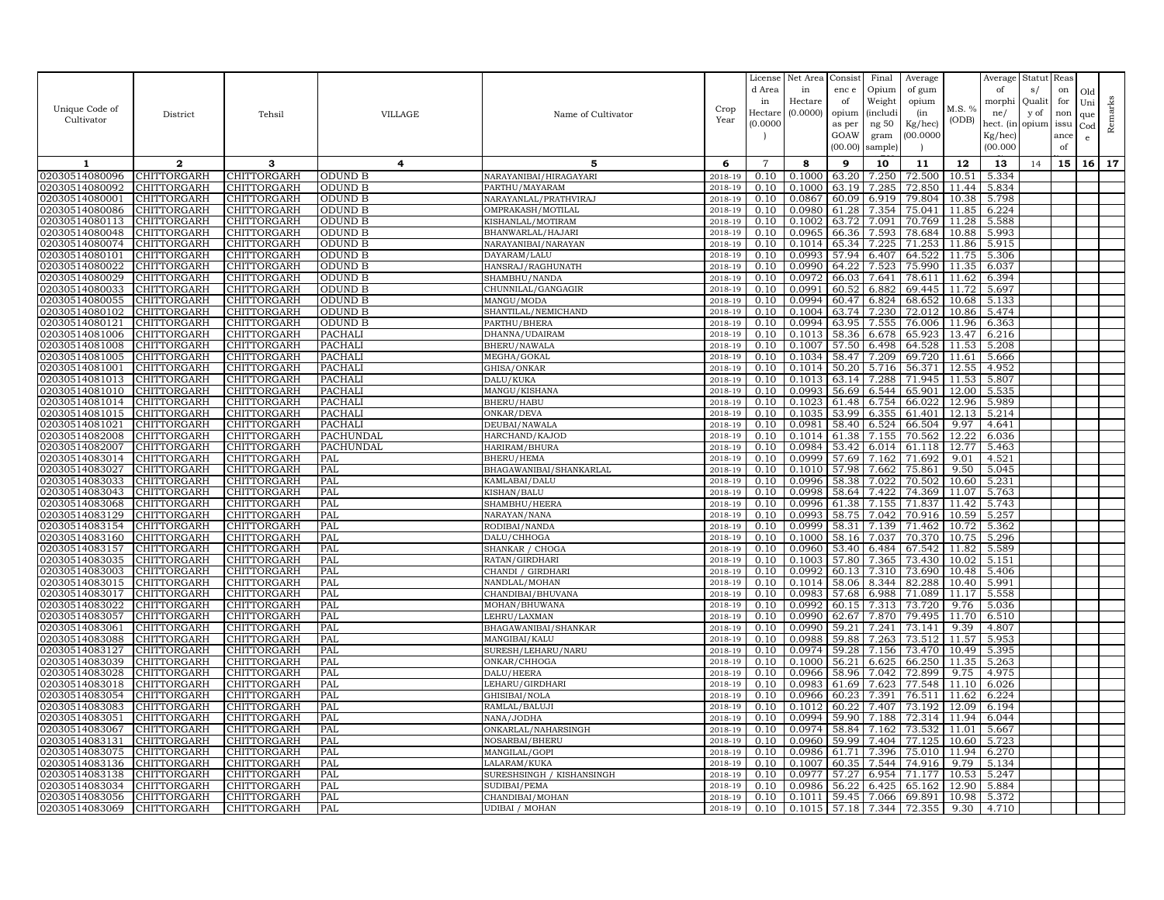|                                  |                                   |                            |                    |                                   |                    | License<br>d Area | Net Area<br>in   | Consist<br>enc e | Final<br>Opium | Average<br>of gum |                | Average<br>of  | Statut Reas<br>s/ | on   | Old |         |
|----------------------------------|-----------------------------------|----------------------------|--------------------|-----------------------------------|--------------------|-------------------|------------------|------------------|----------------|-------------------|----------------|----------------|-------------------|------|-----|---------|
|                                  |                                   |                            |                    |                                   |                    | in                | Hectare          | of               | Weight         | opium             |                | morphi         | Qualit            | for  | Uni |         |
| Unique Code of                   | District                          | Tehsil                     | <b>VILLAGE</b>     | Name of Cultivator                | Crop               | Hectar            | (0.0000)         | opium            | (includi       | (in               | M.S. %         | ne/            | y of              | non  | que | Remarks |
| Cultivator                       |                                   |                            |                    |                                   | Year               | (0.0000)          |                  | as per           | ng 50          | Kg/hec)           | (ODB)          | hect. (in      | opium issu        |      | Cod |         |
|                                  |                                   |                            |                    |                                   |                    |                   |                  | GOAW             | gram           | 00.0000           |                | Kg/hec)        |                   | ance | e   |         |
|                                  |                                   |                            |                    |                                   |                    |                   |                  | (00.00)          | sample)        |                   |                | (00.000)       |                   | of   |     |         |
| -1                               | $\mathbf{2}$                      | 3                          | $\overline{4}$     | 5                                 | 6                  | $\overline{7}$    | 8                | 9                | 10             | 11                | 12             | 13             | 14                | 15   | 16  | 17      |
| 02030514080096                   | CHITTORGARH                       | CHITTORGARH                | ODUND B            | NARAYANIBAI/HIRAGAYARI            | 2018-19            | 0.10              | 0.1000           | 63.20            | 7.250          | 72.500            | 10.51          | 5.334          |                   |      |     |         |
| 02030514080092                   | CHITTORGARH                       | CHITTORGARH                | ODUND B            | PARTHU/MAYARAM                    | 2018-19            | 0.10              | 0.1000           | 63.19            | 7.285          | 72.850            | 11.44          | 5.834          |                   |      |     |         |
| 02030514080001                   | CHITTORGARH                       | CHITTORGARH                | ODUND B            | NARAYANLAL/PRATHVIRAJ             | 2018-19            | 0.10              | 0.0867           | 60.09            | 6.919          | 79.804            | 10.38          | 5.798          |                   |      |     |         |
| 02030514080086                   | CHITTORGARH                       | CHITTORGARH                | ODUND B            | OMPRAKASH/MOTILAL                 | 2018-19            | 0.10              | 0.0980           | 61.28            | 7.354          | 75.041            | 11.85          | 6.224          |                   |      |     |         |
| 02030514080113                   | CHITTORGARH                       | CHITTORGARH                | ODUND B            | KISHANLAL/MOTIRAM                 | 2018-19            | 0.10              | 0.1002           | 63.72            | 7.091          | 70.769            | 11.28          | 5.588          |                   |      |     |         |
| 02030514080048                   | CHITTORGARH                       | CHITTORGARH                | ODUND B            | BHANWARLAL/HAJARI                 | 2018-19            | 0.10              | 0.0965           | 66.36            | 7.593          | 78.684            | 10.88          | 5.993          |                   |      |     |         |
| 02030514080074<br>02030514080101 | CHITTORGARH<br>CHITTORGARH        | CHITTORGARH                | ODUND B            | NARAYANIBAI/NARAYAN               | 2018-19            | 0.10              | 0.1014<br>0.0993 | 65.34<br>57.94   | 7.225<br>6.407 | 71.253            | 11.86<br>11.75 | 5.915          |                   |      |     |         |
| 02030514080022                   | CHITTORGARH                       | CHITTORGARH<br>CHITTORGARH | ODUND B<br>ODUND B | DAYARAM/LALU<br>HANSRAJ/RAGHUNATH | 2018-19<br>2018-19 | 0.10<br>0.10      | 0.0990           | 64.22            | 7.523          | 64.522<br>75.990  | 11.35          | 5.306<br>6.037 |                   |      |     |         |
| 02030514080029                   | CHITTORGARH                       | CHITTORGARH                | ODUND B            | SHAMBHU/NANDA                     | 2018-19            | 0.10              | 0.0972           | 66.03            | 7.641          | 78.611            | 11.62          | 6.394          |                   |      |     |         |
| 02030514080033                   | <b>CHITTORGARH</b>                | CHITTORGARH                | ODUND B            | CHUNNILAL/GANGAGIR                | 2018-19            | 0.10              | 0.0991           | 60.52            | 6.882          | 69.445            | 11.72          | 5.697          |                   |      |     |         |
| 02030514080055                   | CHITTORGARH                       | CHITTORGARH                | ODUND B            | MANGU/MODA                        | 2018-19            | 0.10              | 0.0994           | 60.47            | 6.824          | 68.652            | 10.68          | 5.133          |                   |      |     |         |
| 02030514080102                   | CHITTORGARH                       | CHITTORGARH                | <b>ODUND B</b>     | SHANTILAL/NEMICHAND               | 2018-19            | 0.10              | 0.1004           | 63.74            | 7.230          | 72.012            | 10.86          | 5.474          |                   |      |     |         |
| 02030514080121                   | CHITTORGARH                       | CHITTORGARH                | ODUND B            | PARTHU/BHERA                      | 2018-19            | 0.10              | 0.0994           | 63.95            | 7.555          | 76.006            | 11.96          | 6.363          |                   |      |     |         |
| 02030514081006                   | CHITTORGARH                       | CHITTORGARH                | PACHALI            | DHANNA/UDAIRAM                    | 2018-19            | 0.10              | 0.1013           | 58.36            | 6.678          | 65.923            | 13.47          | 6.216          |                   |      |     |         |
| 02030514081008                   | CHITTORGARH                       | CHITTORGARH                | PACHALI            | BHERU/NAWALA                      | 2018-19            | 0.10              | 0.1007           | 57.50            | 6.498          | 64.528            | 11.53          | 5.208          |                   |      |     |         |
| 02030514081005                   | CHITTORGARH                       | CHITTORGARH                | PACHALI            | MEGHA/GOKAL                       | 2018-19            | 0.10              | 0.1034           | 58.47            | 7.209          | 69.720            | 11.61          | 5.666          |                   |      |     |         |
| 02030514081001                   | CHITTORGARH                       | CHITTORGARH                | PACHALI            | GHISA/ONKAR                       | 2018-19            | 0.10              | 0.1014           | 50.20            | 5.716          | 56.371            | 12.55          | 4.952          |                   |      |     |         |
| 02030514081013                   | CHITTORGARH                       | CHITTORGARH                | PACHALI            | DALU/KUKA                         | 2018-19            | 0.10              | 0.1013           | 63.14            | 7.288          | 71.945            | 11.53          | 5.807          |                   |      |     |         |
| 02030514081010                   | CHITTORGARH                       | CHITTORGARH                | <b>PACHALI</b>     | MANGU/KISHANA                     | 2018-19            | 0.10              | 0.0993           | 56.69            | 6.544          | 65.901            | 12.00          | 5.535          |                   |      |     |         |
| 02030514081014<br>02030514081015 | CHITTORGARH<br><b>CHITTORGARH</b> | CHITTORGARH<br>CHITTORGARH | PACHALI<br>PACHALI | BHERU/HABU<br>ONKAR/DEVA          | 2018-19<br>2018-19 | 0.10<br>0.10      | 0.1023<br>0.1035 | 61.48<br>53.99   | 6.754<br>6.355 | 66.022<br>61.401  | 12.96<br>12.13 | 5.989<br>5.214 |                   |      |     |         |
| 02030514081021                   | CHITTORGARH                       | CHITTORGARH                | PACHALI            | DEUBAI/NAWALA                     | 2018-19            | 0.10              | 0.0981           | 58.40            | 6.524          | 66.504            | 9.97           | 4.641          |                   |      |     |         |
| 02030514082008                   | CHITTORGARH                       | CHITTORGARH                | PACHUNDAL          | HARCHAND/KAJOD                    | 2018-19            | 0.10              | 0.1014           | 61.38            | 7.155          | 70.562            | 12.22          | 6.036          |                   |      |     |         |
| 02030514082007                   | CHITTORGARH                       | CHITTORGARH                | PACHUNDAL          | HARIRAM/BHURA                     | 2018-19            | 0.10              | 0.0984           | 53.42            | 6.014          | 61.118            | 12.77          | 5.463          |                   |      |     |         |
| 02030514083014                   | CHITTORGARH                       | CHITTORGARH                | PAL                | <b>BHERU/HEMA</b>                 | 2018-19            | 0.10              | 0.0999           | 57.69            | 7.162          | 71.692            | 9.01           | 4.521          |                   |      |     |         |
| 02030514083027                   | CHITTORGARH                       | CHITTORGARH                | PAL                | BHAGAWANIBAI/SHANKARLAL           | 2018-19            | 0.10              | 0.1010           | 57.98            | 7.662          | 75.861            | 9.50           | 5.045          |                   |      |     |         |
| 02030514083033                   | CHITTORGARH                       | CHITTORGARH                | PAL                | KAMLABAI/DALU                     | 2018-19            | 0.10              | 0.0996           | 58.38            | 7.022          | 70.502            | 10.60          | 5.231          |                   |      |     |         |
| 02030514083043                   | CHITTORGARH                       | CHITTORGARH                | PAL                | KISHAN/BALU                       | 2018-19            | 0.10              | 0.0998           | 58.64            | 7.422          | 74.369            | 11.07          | 5.763          |                   |      |     |         |
| 02030514083068                   | CHITTORGARH                       | CHITTORGARH                | PAL                | SHAMBHU/HEERA                     | 2018-19            | 0.10              | 0.0996           | 61.38            | 7.155          | 71.837            | 11.42          | 5.743          |                   |      |     |         |
| 02030514083129                   | CHITTORGARH                       | CHITTORGARH                | PAL                | NARAYAN/NANA                      | 2018-19            | 0.10              | 0.0993           | 58.75            | 7.042          | 70.916            | 10.59          | 5.257          |                   |      |     |         |
| 02030514083154                   | CHITTORGARH                       | CHITTORGARH                | PAL                | RODIBAI/NANDA                     | 2018-19            | 0.10              | 0.0999           | 58.31            | 7.139          | 71.462            | 10.72          | 5.362          |                   |      |     |         |
| 02030514083160<br>02030514083157 | CHITTORGARH<br>CHITTORGARH        | CHITTORGARH<br>CHITTORGARH | PAL<br>PAL         | DALU/CHHOGA<br>SHANKAR / CHOGA    | 2018-19<br>2018-19 | 0.10<br>0.10      | 0.1000<br>0.0960 | 58.16<br>53.40   | 7.037<br>6.484 | 70.370<br>67.542  | 10.75<br>11.82 | 5.296<br>5.589 |                   |      |     |         |
| 02030514083035                   | CHITTORGARH                       | CHITTORGARH                | PAL                | RATAN/GIRDHARI                    | 2018-19            | 0.10              | 0.1003           | 57.80            | 7.365          | 73.430            | 10.02          | 5.151          |                   |      |     |         |
| 02030514083003                   | CHITTORGARH                       | CHITTORGARH                | PAL                | CHANDI / GIRDHARI                 | 2018-19            | 0.10              | 0.0992           | 60.13            | 7.310          | 73.690            | 10.48          | 5.406          |                   |      |     |         |
| 02030514083015                   | CHITTORGARH                       | CHITTORGARH                | PAL                | NANDLAL/MOHAN                     | 2018-19            | 0.10              | 0.1014           | 58.06            | 8.344          | 82.288            | 10.40          | 5.991          |                   |      |     |         |
| 02030514083017                   | CHITTORGARH                       | CHITTORGARH                | PAL                | CHANDIBAI/BHUVANA                 | 2018-19            | 0.10              | 0.0983           | 57.68            | 6.988          | 71.089            | 11.17          | 5.558          |                   |      |     |         |
| 02030514083022                   | CHITTORGARH                       | <b>CHITTORGARH</b>         | PAL                | MOHAN/BHUWANA                     | 2018-19            | 0.10              | 0.0992           | 60.15            | 7.313          | 73.720            | 9.76           | 5.036          |                   |      |     |         |
| 02030514083057                   | CHITTORGARH                       | CHITTORGARH                | PAL                | LEHRU/LAXMAN                      | 2018-19            | 0.10              | 0.0990           | 62.67            | 7.870          | 79.495            | 11.70          | 6.510          |                   |      |     |         |
| 02030514083061                   | CHITTORGARH                       | CHITTORGARH                | PAL                | BHAGAWANIBAI/SHANKAR              | 2018-19            | 0.10              | 0.0990           | 59.21            | 7.241          | 73.141            | 9.39           | 4.807          |                   |      |     |         |
| 02030514083088                   | CHITTORGARH                       | CHITTORGARH                | PAL                | MANGIBAI/KALU                     | 2018-19            | 0.10              | 0.0988           | 59.88            | 7.263          | 73.512            | 11.57          | 5.953          |                   |      |     |         |
| 02030514083127                   | CHITTORGARH                       | CHITTORGARH                | <b>PAL</b>         | SURESH/LEHARU/NARU                | 2018-19            | 0.10              | 0.0974           | 59.28            | 7.156          | 73.470            | 10.49          | 5.395          |                   |      |     |         |
| 02030514083039<br>02030514083028 | CHITTORGARH<br>CHITTORGARH        | CHITTORGARH<br>CHITTORGARH | PAL<br>PAL         | ONKAR/CHHOGA<br>DALU/HEERA        | 2018-19<br>2018-19 | 0.10<br>0.10      | 0.1000<br>0.0966 | 56.21<br>58.96   | 6.625<br>7.042 | 66.250<br>72.899  | 11.35<br>9.75  | 5.263<br>4.975 |                   |      |     |         |
| 02030514083018                   | CHITTORGARH                       | CHITTORGARH                | PAL                | LEHARU/GIRDHARI                   | 2018-19            | 0.10              | 0.0983           | 61.69            | 7.623          | 77.548            | 11.10          | 6.026          |                   |      |     |         |
| 02030514083054                   | CHITTORGARH                       | CHITTORGARH                | <b>PAL</b>         | GHISIBAI/NOLA                     | 2018-19            | 0.10              | 0.0966           | 60.23            | 7.391          | 76.511            | 11.62          | 6.224          |                   |      |     |         |
| 02030514083083                   | <b>CHITTORGARH</b>                | CHITTORGARH                | PAL                | RAMLAL/BALUJI                     | 2018-19            | 0.10              | 0.1012           | 60.22            | 7.407          | 73.192            | 12.09          | 6.194          |                   |      |     |         |
| 02030514083051                   | CHITTORGARH                       | CHITTORGARH                | PAL                | NANA/JODHA                        | 2018-19            | 0.10              | 0.0994           | 59.90            | 7.188          | 72.314            | 11.94          | 6.044          |                   |      |     |         |
| 02030514083067                   | CHITTORGARH                       | CHITTORGARH                | PAL                | ONKARLAL/NAHARSINGH               | 2018-19            | 0.10              | 0.0974           | 58.84            | 7.162          | 73.532            | 11.01          | 5.667          |                   |      |     |         |
| 02030514083131                   | CHITTORGARH                       | CHITTORGARH                | PAL                | NOSARBAI/BHERU                    | 2018-19            | 0.10              | 0.0960           | 59.99            | 7.404          | 77.125            | 10.60          | 5.723          |                   |      |     |         |
| 02030514083075                   | CHITTORGARH                       | CHITTORGARH                | PAL                | MANGILAL/GOPI                     | 2018-19            | 0.10              | 0.0986           | 61.71            | 7.396          | 75.010            | 11.94          | 6.270          |                   |      |     |         |
| 02030514083136                   | CHITTORGARH                       | CHITTORGARH                | PAL                | LALARAM/KUKA                      | 2018-19            | 0.10              | 0.1007           | 60.35            | 7.544          | 74.916            | 9.79           | 5.134          |                   |      |     |         |
| 02030514083138                   | CHITTORGARH                       | CHITTORGARH                | PAL                | SURESHSINGH / KISHANSINGH         | 2018-19            | 0.10              | 0.0977           | 57.27            | 6.954          | 71.177            | 10.53          | 5.247          |                   |      |     |         |
| 02030514083034                   | CHITTORGARH                       | CHITTORGARH                | PAL                | SUDIBAI/PEMA                      | 2018-19            | 0.10              | 0.0986           | 56.22            | 6.425          | 65.162            | 12.90          | 5.884          |                   |      |     |         |
| 02030514083056                   | CHITTORGARH                       | CHITTORGARH                | PAL<br>PAL         | CHANDIBAI/MOHAN                   | 2018-19            | 0.10              | 0.1011<br>0.1015 | 59.45            | 7.066          | 69.891            | 10.98          | 5.372          |                   |      |     |         |
| 02030514083069 CHITTORGARH       |                                   | <b>CHITTORGARH</b>         |                    | <b>UDIBAI / MOHAN</b>             | 2018-19            | 0.10              |                  | 57.18            | 7.344          | 72.355            | 9.30           | 4.710          |                   |      |     |         |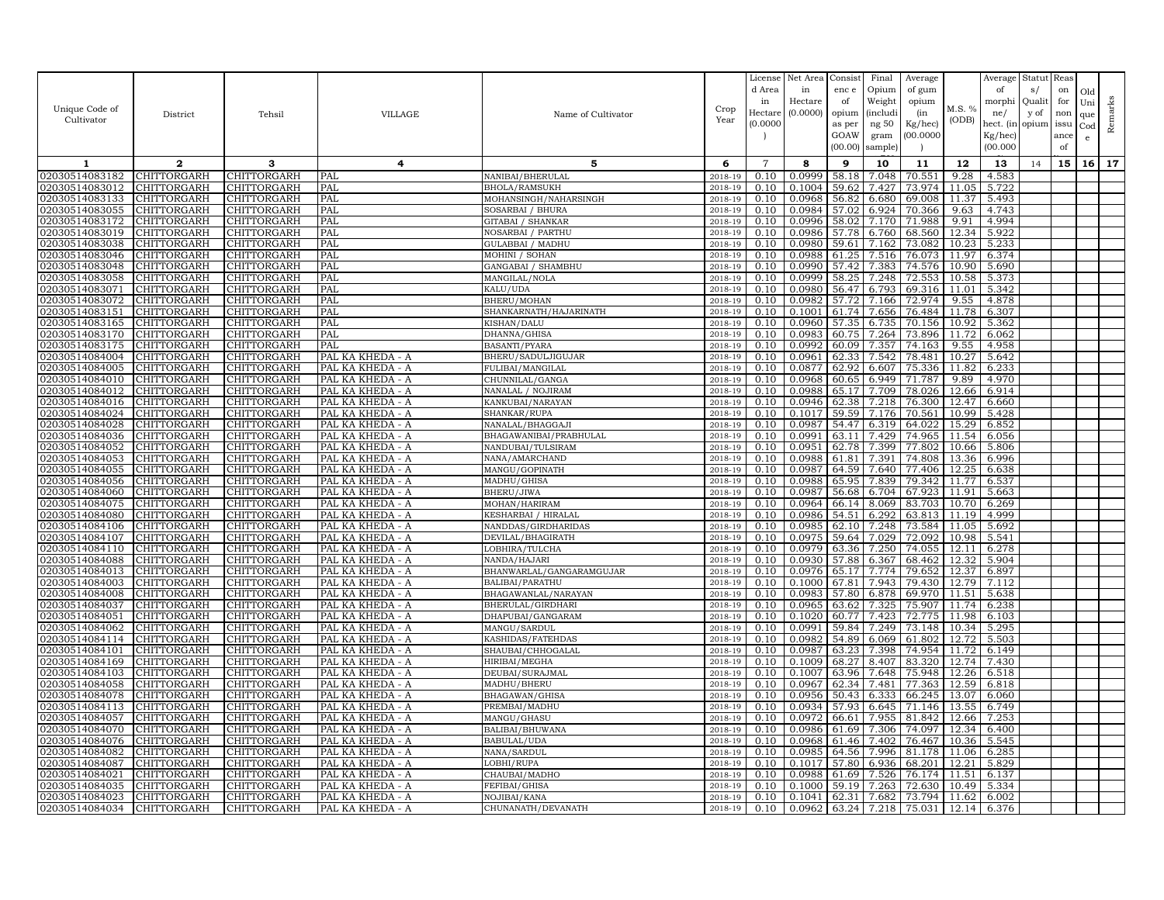|                                  |                            |                            |                                      |                                        |                    | License<br>d Area<br>in | Net Area<br>in<br>Hectare | Consist<br>enc e<br>of | Final<br>Opium<br>Weight | Average<br>of gum<br>opium |                | Average<br>of<br>morphi | Statut Reas<br>s/<br>Qualit | on<br>for | Old        |         |
|----------------------------------|----------------------------|----------------------------|--------------------------------------|----------------------------------------|--------------------|-------------------------|---------------------------|------------------------|--------------------------|----------------------------|----------------|-------------------------|-----------------------------|-----------|------------|---------|
| Unique Code of<br>Cultivator     | District                   | Tehsil                     | <b>VILLAGE</b>                       | Name of Cultivator                     | Crop<br>Year       | Hectar                  | (0.0000)                  | opium                  | (includi                 | (in                        | M.S. %         | ne/                     | y of                        | non       | Uni<br>que | Remarks |
|                                  |                            |                            |                                      |                                        |                    | (0.0000)                |                           | as per<br>GOAW         | ng 50<br>gram            | Kg/hec)<br>00.0000         | (ODB)          | hect. (in<br>Kg/hec)    | opium issu                  | ance      | Cod<br>e   |         |
|                                  |                            |                            |                                      |                                        |                    |                         |                           | (00.00)                | sample)                  |                            |                | (00.000)                |                             | of        |            |         |
| -1                               | $\mathbf{2}$               | 3                          | 4                                    | 5                                      | 6                  | $\overline{7}$          | 8                         | 9                      | 10                       | 11                         | 12             | 13                      | 14                          | 15        | 16         | 17      |
| 02030514083182                   | CHITTORGARH                | CHITTORGARH                | PAL                                  | NANIBAI/BHERULAL                       | 2018-19            | 0.10                    | 0.0999                    | 58.18                  | 7.048                    | 70.551                     | 9.28           | 4.583                   |                             |           |            |         |
| 02030514083012                   | CHITTORGARH                | CHITTORGARH                | PAL                                  | <b>BHOLA/RAMSUKH</b>                   | 2018-19            | 0.10                    | 0.1004                    | 59.62                  | 7.427                    | 73.974                     | 11.05          | 5.722                   |                             |           |            |         |
| 02030514083133                   | CHITTORGARH                | CHITTORGARH                | PAL                                  | MOHANSINGH/NAHARSINGH                  | $2018 - 1$         | 0.10                    | 0.0968                    | 56.82                  | 6.680                    | 69.008                     | 11.37          | 5.493                   |                             |           |            |         |
| 02030514083055                   | CHITTORGARH                | CHITTORGARH                | PAL                                  | SOSARBAI / BHURA                       | 2018-19            | 0.10                    | 0.0984                    | 57.02                  | 6.924                    | 70.366                     | 9.63           | 4.743                   |                             |           |            |         |
| 02030514083172<br>02030514083019 | CHITTORGARH<br>CHITTORGARH | CHITTORGARH<br>CHITTORGARH | PAL<br>PAL                           | GITABAI / SHANKAR<br>NOSARBAI / PARTHU | 2018-19<br>2018-19 | 0.10<br>0.10            | 0.0996<br>0.0986          | 58.02<br>57.78         | 7.170<br>6.760           | 71.988<br>68.560           | 9.91<br>12.34  | 4.994<br>5.922          |                             |           |            |         |
| 02030514083038                   | CHITTORGARH                | CHITTORGARH                | PAL                                  | GULABBAI / MADHU                       | 2018-19            | 0.10                    | 0.0980                    | 59.61                  | 7.162                    | 73.082                     | 10.23          | 5.233                   |                             |           |            |         |
| 02030514083046                   | CHITTORGARH                | CHITTORGARH                | PAL                                  | MOHINI / SOHAN                         | 2018-19            | 0.10                    | 0.0988                    | 61.25                  | 7.516                    | 76.073                     | 11.97          | 6.374                   |                             |           |            |         |
| 02030514083048                   | CHITTORGARH                | CHITTORGARH                | PAL                                  | GANGABAI / SHAMBHU                     | 2018-19            | 0.10                    | 0.0990                    | 57.42                  | 7.383                    | 74.576                     | 10.90          | 5.690                   |                             |           |            |         |
| 02030514083058                   | CHITTORGARH                | CHITTORGARH                | PAL                                  | MANGILAL/NOLA                          | 2018-19            | 0.10                    | 0.0999                    | 58.25                  | 7.248                    | 72.553                     | 10.58          | 5.373                   |                             |           |            |         |
| 02030514083071                   | <b>CHITTORGARH</b>         | CHITTORGARH                | PAL                                  | KALU/UDA                               | 2018-19            | 0.10                    | 0.0980                    | 56.47                  | 6.793                    | 69.316                     | 11.01          | 5.342                   |                             |           |            |         |
| 02030514083072                   | CHITTORGARH                | CHITTORGARH                | PAL                                  | BHERU/MOHAN                            | 2018-19            | 0.10                    | 0.0982                    | 57.72                  | 7.166                    | 72.974                     | 9.55           | 4.878                   |                             |           |            |         |
| 02030514083151                   | <b>CHITTORGARH</b>         | CHITTORGARH                | PAL                                  | SHANKARNATH / HAJARINATH               | 2018-19            | 0.10                    | 0.1001                    | 61.74                  | 7.656                    | 76.484                     | 11.78          | 6.307                   |                             |           |            |         |
| 02030514083165                   | CHITTORGARH                | CHITTORGARH                | PAL                                  | KISHAN/DALU                            | 2018-19            | 0.10                    | 0.0960                    | 57.35                  | 6.735                    | 70.156                     | 10.92          | 5.362                   |                             |           |            |         |
| 02030514083170                   | CHITTORGARH                | CHITTORGARH                | PAL                                  | DHANNA/GHISA                           | 2018-19            | 0.10                    | 0.0983                    | 60.75                  | 7.264                    | 73.896                     | 11.72          | 6.062                   |                             |           |            |         |
| 02030514083175<br>02030514084004 | CHITTORGARH                | CHITTORGARH                | PAL                                  | <b>BASANTI/PYARA</b>                   | 2018-19<br>2018-19 | 0.10<br>0.10            | 0.0992<br>0.0961          | 60.09                  | 7.357                    | 74.163                     | 9.55           | 4.958                   |                             |           |            |         |
| 02030514084005                   | CHITTORGARH<br>CHITTORGARH | CHITTORGARH<br>CHITTORGARH | PAL KA KHEDA - A<br>PAL KA KHEDA - A | BHERU/SADULJIGUJAR<br>FULIBAI/MANGILAL | 2018-19            | 0.10                    | 0.0877                    | 62.33<br>62.92         | 7.542<br>6.607           | 78.481<br>75.336           | 10.27<br>11.82 | 5.642<br>6.233          |                             |           |            |         |
| 02030514084010                   | CHITTORGARH                | CHITTORGARH                | PAL KA KHEDA - A                     | CHUNNILAL/GANGA                        | 2018-19            | 0.10                    | 0.0968                    | 60.65                  | 6.949                    | 71.787                     | 9.89           | 4.970                   |                             |           |            |         |
| 02030514084012                   | CHITTORGARH                | CHITTORGARH                | PAL KA KHEDA - A                     | NANALAL / NOJIRAM                      | 2018-19            | 0.10                    | 0.0988                    | 65.17                  | 7.709                    | 78.026                     | 12.66          | 6.914                   |                             |           |            |         |
| 02030514084016                   | CHITTORGARH                | CHITTORGARH                | PAL KA KHEDA - A                     | KANKUBAI/NARAYAN                       | 2018-19            | 0.10                    | 0.0946                    | 62.38                  | 7.218                    | 76.300                     | 12.47          | 6.660                   |                             |           |            |         |
| 02030514084024                   | CHITTORGARH                | CHITTORGARH                | PAL KA KHEDA - A                     | SHANKAR/RUPA                           | 2018-19            | 0.10                    | 0.1017                    | 59.59                  | 7.176                    | 70.561                     | 10.99          | 5.428                   |                             |           |            |         |
| 02030514084028                   | CHITTORGARH                | CHITTORGARH                | PAL KA KHEDA - A                     | NANALAL/BHAGGAJI                       | 2018-19            | 0.10                    | 0.0987                    | 54.47                  | 6.319                    | 64.022                     | 15.29          | 6.852                   |                             |           |            |         |
| 02030514084036                   | CHITTORGARH                | CHITTORGARH                | PAL KA KHEDA - A                     | BHAGAWANIBAI/PRABHULAL                 | 2018-19            | 0.10                    | 0.0991                    | 63.11                  | 7.429                    | 74.965                     | 11.54          | 6.056                   |                             |           |            |         |
| 02030514084052                   | CHITTORGARH                | CHITTORGARH                | PAL KA KHEDA - A                     | NANDUBAI/TULSIRAM                      | 2018-19            | 0.10                    | 0.0951                    | 62.78                  | 7.399                    | 77.802                     | 10.66          | 5.806                   |                             |           |            |         |
| 02030514084053                   | <b>CHITTORGARH</b>         | CHITTORGARH                | PAL KA KHEDA - A                     | NANA/AMARCHAND                         | 2018-19            | 0.10                    | 0.0988                    | 61.81                  | 7.391                    | 74.808                     | 13.36          | 6.996                   |                             |           |            |         |
| 02030514084055                   | CHITTORGARH                | CHITTORGARH                | PAL KA KHEDA - A                     | MANGU/GOPINATH                         | 2018-19            | 0.10                    | 0.0987                    | 64.59                  | 7.640                    | 77.406                     | 12.25          | 6.638                   |                             |           |            |         |
| 02030514084056                   | <b>CHITTORGARH</b>         | CHITTORGARH                | PAL KA KHEDA - A                     | MADHU/GHISA                            | 2018-19            | 0.10                    | 0.0988                    | 65.95                  | 7.839                    | 79.342                     | 11.77          | 6.537                   |                             |           |            |         |
| 02030514084060<br>02030514084075 | CHITTORGARH<br>CHITTORGARH | CHITTORGARH<br>CHITTORGARH | PAL KA KHEDA - A<br>PAL KA KHEDA - A | BHERU/JIWA<br>MOHAN/HARIRAM            | 2018-19<br>2018-19 | 0.10<br>0.10            | 0.0987<br>0.0964          | 56.68<br>66.14         | 6.704<br>8.069           | 67.923<br>83.703           | 11.91<br>10.70 | 5.663<br>6.269          |                             |           |            |         |
| 02030514084080                   | CHITTORGARH                | CHITTORGARH                | PAL KA KHEDA - A                     | KESHARBAI / HIRALAL                    | 2018-19            | 0.10                    | 0.0986                    | 54.51                  | 6.292                    | 63.813                     | 11.19          | 4.999                   |                             |           |            |         |
| 02030514084106                   | CHITTORGARH                | CHITTORGARH                | PAL KA KHEDA - A                     | NANDDAS/GIRDHARIDAS                    | 2018-19            | 0.10                    | 0.0985                    | 62.10                  | 7.248                    | 73.584                     | 11.05          | 5.692                   |                             |           |            |         |
| 02030514084107                   | CHITTORGARH                | CHITTORGARH                | PAL KA KHEDA - A                     | DEVILAL/BHAGIRATH                      | 2018-19            | 0.10                    | 0.0975                    | 59.64                  | 7.029                    | 72.092                     | 10.98          | 5.541                   |                             |           |            |         |
| 02030514084110                   | CHITTORGARH                | CHITTORGARH                | PAL KA KHEDA - A                     | LOBHIRA/TULCHA                         | 2018-19            | 0.10                    | 0.0979                    | 63.36                  | 7.250                    | 74.055                     | 12.11          | 6.278                   |                             |           |            |         |
| 02030514084088                   | CHITTORGARH                | CHITTORGARH                | PAL KA KHEDA - A                     | NANDA/HAJARI                           | 2018-19            | 0.10                    | 0.0930                    | 57.88                  | 6.367                    | 68.462                     | 12.32          | 5.904                   |                             |           |            |         |
| 02030514084013                   | CHITTORGARH                | CHITTORGARH                | PAL KA KHEDA - A                     | BHANWARLAL/GANGARAMGUJAR               | 2018-19            | 0.10                    | 0.0976                    | 65.17                  | 7.774                    | 79.652                     | 12.37          | 6.897                   |                             |           |            |         |
| 02030514084003                   | CHITTORGARH                | CHITTORGARH                | PAL KA KHEDA - A                     | BALIBAI/PARATHU                        | 2018-19            | 0.10                    | 0.1000                    | 67.81                  | 7.943                    | 79.430                     | 12.79          | 7.112                   |                             |           |            |         |
| 02030514084008                   | CHITTORGARH                | CHITTORGARH                | PAL KA KHEDA - A                     | BHAGAWANLAL/NARAYAN                    | 2018-19            | 0.10                    | 0.0983                    | 57.80                  | 6.878                    | 69.970                     | 11.51          | 5.638                   |                             |           |            |         |
| 02030514084037                   | <b>CHITTORGARH</b>         | CHITTORGARH                | PAL KA KHEDA - A                     | BHERULAL/GIRDHARI                      | 2018-19            | 0.10                    | 0.0965                    | 63.62                  | 7.325                    | 75.907                     | 11.74          | 6.238                   |                             |           |            |         |
| 02030514084051<br>02030514084062 | CHITTORGARH<br>CHITTORGARH | CHITTORGARH<br>CHITTORGARH | PAL KA KHEDA - A<br>PAL KA KHEDA - A | DHAPUBAI/GANGARAM<br>MANGU/SARDUL      | 2018-19<br>2018-19 | 0.10<br>0.10            | 0.1020<br>0.0991          | 60.77<br>59.84         | 7.423<br>7.249           | 72.775<br>73.148           | 11.98<br>10.34 | 6.103<br>5.295          |                             |           |            |         |
| 02030514084114                   | CHITTORGARH                | CHITTORGARH                | PAL KA KHEDA - A                     | KASHIDAS/FATEHDAS                      | 2018-19            | 0.10                    | 0.0982                    | 54.89                  | 6.069                    | 61.802                     | 12.72          | 5.503                   |                             |           |            |         |
| 02030514084101                   | CHITTORGARH                | CHITTORGARH                | PAL KA KHEDA - A                     | SHAUBAI/CHHOGALAL                      | 2018-19            | 0.10                    | 0.0987                    | 63.23                  | 7.398                    | 74.954                     | 11.72          | 6.149                   |                             |           |            |         |
| 02030514084169                   | <b>CHITTORGARH</b>         | CHITTORGARH                | PAL KA KHEDA - A                     | HIRIBAI/MEGHA                          | 2018-19            | 0.10                    | 0.1009                    | 68.27                  | 8.407                    | 83.320                     | 12.74          | 7.430                   |                             |           |            |         |
| 02030514084103                   | CHITTORGARH                | CHITTORGARH                | PAL KA KHEDA - A                     | DEUBAI/SURAJMAL                        | 2018-19            | 0.10                    | 0.1007                    | 63.96                  | 7.648                    | 75.948                     | 12.26          | 6.518                   |                             |           |            |         |
| 02030514084058                   | CHITTORGARH                | CHITTORGARH                | PAL KA KHEDA - A                     | MADHU/BHERU                            | 2018-19            | 0.10                    | 0.0967                    | 62.34                  | 7.481                    | 77.363                     | 12.59          | 6.818                   |                             |           |            |         |
| 02030514084078                   | CHITTORGARH                | CHITTORGARH                | PAL KA KHEDA - A                     | BHAGAWAN/GHISA                         | 2018-19            | 0.10                    | 0.0956                    | 50.43                  | 6.333                    | 66.245                     | 13.07          | 6.060                   |                             |           |            |         |
| 02030514084113                   | <b>CHITTORGARH</b>         | CHITTORGARH                | PAL KA KHEDA - A                     | PREMBAI/MADHU                          | 2018-19            | 0.10                    | 0.0934                    | 57.93                  | 6.645                    | 71.146                     | 13.55          | 6.749                   |                             |           |            |         |
| 02030514084057                   | CHITTORGARH                | CHITTORGARH                | PAL KA KHEDA - A                     | MANGU/GHASU                            | 2018-19            | 0.10                    | 0.0972                    | 66.61                  | 7.955                    | 81.842                     | 12.66          | 7.253                   |                             |           |            |         |
| 02030514084070                   | CHITTORGARH                | CHITTORGARH                | PAL KA KHEDA - A                     | BALIBAI/BHUWANA                        | 2018-19            | 0.10                    | 0.0986                    | 61.69                  | 7.306                    | 74.097                     | 12.34          | 6.400                   |                             |           |            |         |
| 02030514084076<br>02030514084082 | CHITTORGARH                | CHITTORGARH                | PAL KA KHEDA - A                     | BABULAL/UDA<br>NANA/SARDUL             | 2018-19<br>2018-19 | 0.10<br>0.10            | 0.0968<br>0.0985          | 61.46                  | 7.402<br>7.996           | 76.467<br>81.178           | 10.36          | 5.545                   |                             |           |            |         |
| 02030514084087                   | CHITTORGARH<br>CHITTORGARH | CHITTORGARH<br>CHITTORGARH | PAL KA KHEDA - A<br>PAL KA KHEDA - A | LOBHI/RUPA                             | 2018-19            | 0.10                    | 0.1017                    | 64.56<br>57.80         | 6.936                    | 68.201                     | 11.06<br>12.21 | 6.285<br>5.829          |                             |           |            |         |
| 02030514084021                   | CHITTORGARH                | CHITTORGARH                | PAL KA KHEDA - A                     | CHAUBAI/MADHO                          | 2018-19            | 0.10                    | 0.0988                    | 61.69                  | 7.526                    | 76.174                     | 11.51          | 6.137                   |                             |           |            |         |
| 02030514084035                   | CHITTORGARH                | CHITTORGARH                | PAL KA KHEDA - A                     | FEFIBAI/GHISA                          | 2018-19            | 0.10                    | 0.1000                    | 59.19                  | 7.263                    | 72.630                     | 10.49          | 5.334                   |                             |           |            |         |
| 02030514084023                   | CHITTORGARH                | CHITTORGARH                | PAL KA KHEDA - A                     | NOJIBAI/KANA                           | 2018-19            | 0.10                    | 0.1041                    | 62.31                  | 7.682                    | 73.794                     | 11.62          | 6.002                   |                             |           |            |         |
| 02030514084034                   | <b>CHITTORGARH</b>         | <b>CHITTORGARH</b>         | PAL KA KHEDA - A                     | CHUNANATH/DEVANATH                     | 2018-19            | 0.10                    | 0.0962                    | 63.24                  | 7.218                    | 75.031                     | 12.14          | 6.376                   |                             |           |            |         |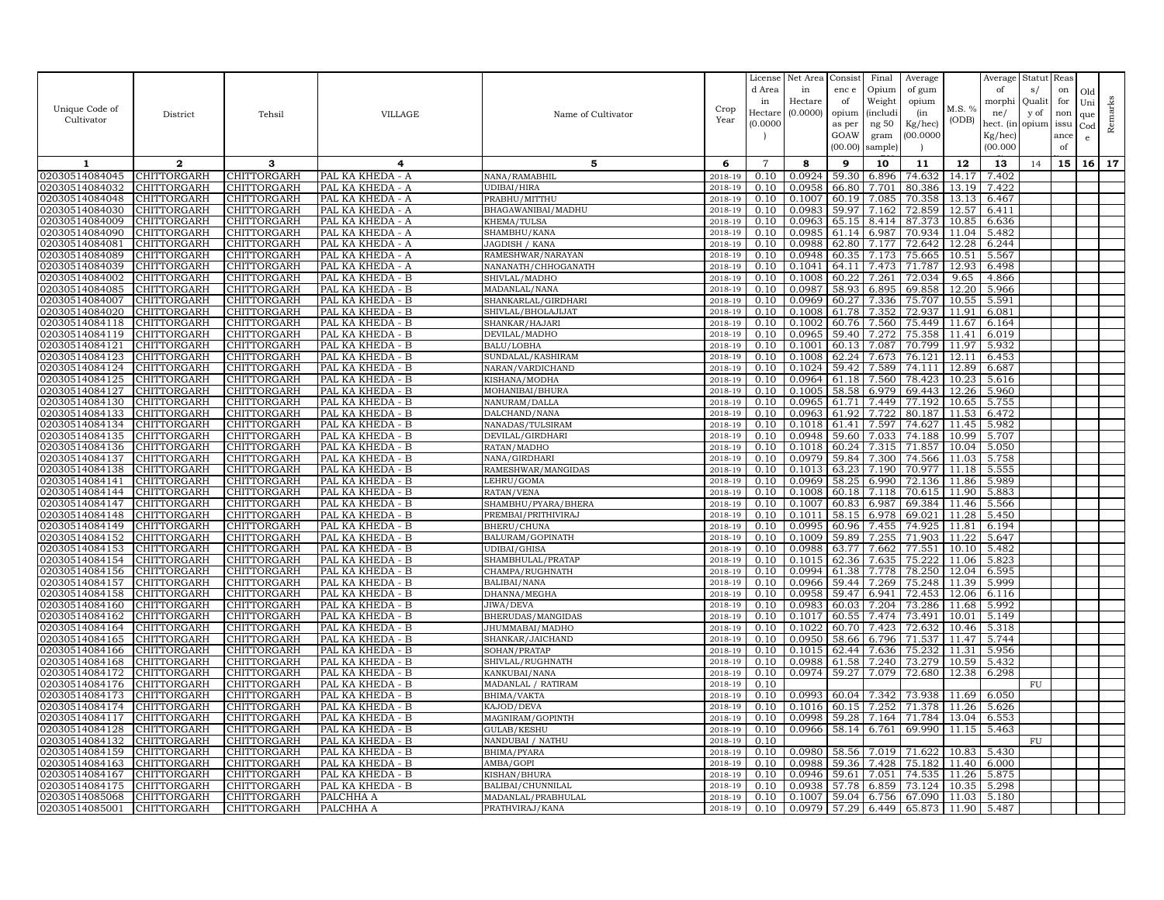| Unique Code of<br>Cultivator     | District                          | Tehsil                     | VILLAGE                              | Name of Cultivator                  | Crop<br>Year       | License<br>d Area<br>in<br>Hectare<br>(0.0000) | Net Area<br>in<br>Hectare<br>(0.0000) | Consist<br>enc e<br>of<br>opium<br>as per<br>GOAW<br>(00.00) | Final<br>Opium<br>Weight<br><i>(includi</i><br>ng 50<br>gram<br>sample) | Average<br>of gum<br>opium<br>(in<br>Kg/hec)<br>00.000C | M.S. %<br>(ODB) | Average<br>of<br>morphi<br>ne/<br>hect. (in<br>$Kg/$ hec)<br>(00.000) | Statut<br>s/<br>Quali<br>y of<br>opium | Reas<br>on<br>for<br>non<br>issu<br>ance<br>of | Old<br>Uni<br>que<br>Cod<br>e | Remarks |
|----------------------------------|-----------------------------------|----------------------------|--------------------------------------|-------------------------------------|--------------------|------------------------------------------------|---------------------------------------|--------------------------------------------------------------|-------------------------------------------------------------------------|---------------------------------------------------------|-----------------|-----------------------------------------------------------------------|----------------------------------------|------------------------------------------------|-------------------------------|---------|
| 1                                | $\mathbf{2}$                      | 3                          | 4                                    | 5                                   | 6                  | $\overline{7}$                                 | 8                                     | 9                                                            | 10                                                                      | 11                                                      | 12              | 13                                                                    | 14                                     | 15                                             | 16                            | 17      |
| 02030514084045                   | CHITTORGARH                       | <b>CHITTORGARH</b>         | PAL KA KHEDA - A                     | NANA/RAMABHIL                       | 2018-19            | 0.10                                           | 0.0924                                | 59.30                                                        | 6.896                                                                   | 74.632                                                  | 14.17           | 7.402                                                                 |                                        |                                                |                               |         |
| 02030514084032                   | CHITTORGARH                       | CHITTORGARH                | PAL KA KHEDA - A                     | UDIBAI/HIRA                         | 2018-19            | 0.10                                           | 0.0958                                | 66.80                                                        | 7.701                                                                   | 80.386                                                  | 13.19           | 7.422                                                                 |                                        |                                                |                               |         |
| 02030514084048                   | CHITTORGARH                       | CHITTORGARH                | PAL KA KHEDA - A                     | PRABHU/MITTHU                       | 2018-19            | 0.10                                           | 0.1007                                | 60.19                                                        | 7.085                                                                   | 70.358                                                  | 13.13           | 6.467                                                                 |                                        |                                                |                               |         |
| 02030514084030                   | <b>CHITTORGARH</b>                | CHITTORGARH                | PAL KA KHEDA - A                     | BHAGAWANIBAI/MADHU                  | 2018-19            | 0.10                                           | 0.0983                                | 59.97                                                        | 7.162                                                                   | 72.859                                                  | 12.57           | 6.411                                                                 |                                        |                                                |                               |         |
| 02030514084009                   | CHITTORGARH                       | CHITTORGARH                | PAL KA KHEDA - A                     | KHEMA/TULSA                         | 2018-19            | 0.10                                           | 0.0963                                | 65.15                                                        | 8.414                                                                   | 87.373                                                  | 10.85           | 6.636                                                                 |                                        |                                                |                               |         |
| 02030514084090                   | CHITTORGARH                       | CHITTORGARH                | PAL KA KHEDA - A                     | SHAMBHU/KANA                        | 2018-19            | 0.10                                           | 0.0985                                | 61.14                                                        | 6.987                                                                   | 70.934                                                  | 11.04           | 5.482                                                                 |                                        |                                                |                               |         |
| 02030514084081                   | CHITTORGARH                       | CHITTORGARH                | PAL KA KHEDA - A                     | JAGDISH / KANA                      | 2018-19            | 0.10                                           | 0.0988                                | 62.80                                                        | 7.177                                                                   | 72.642                                                  | 12.28           | 6.244                                                                 |                                        |                                                |                               |         |
| 02030514084089                   | CHITTORGARH                       | CHITTORGARH                | PAL KA KHEDA - A                     | RAMESHWAR/NARAYAN                   | 2018-19            | 0.10                                           | 0.0948                                | 60.35                                                        | 7.173                                                                   | 75.665                                                  | 10.51           | 5.567                                                                 |                                        |                                                |                               |         |
| 02030514084039                   | CHITTORGARH                       | CHITTORGARH                | PAL KA KHEDA - A                     | NANANATH/CHHOGANATH                 | 2018-19            | 0.10                                           | 0.1041                                | 64.11                                                        | 7.473                                                                   | 71.787                                                  | 12.93           | 6.498                                                                 |                                        |                                                |                               |         |
| 02030514084002                   | CHITTORGARH                       | CHITTORGARH                | PAL KA KHEDA - B                     | SHIVLAL/MADHO                       | 2018-19            | 0.10                                           | 0.1008                                | 60.22                                                        | 7.261                                                                   | 72.034                                                  | 9.65            | 4.866                                                                 |                                        |                                                |                               |         |
| 02030514084085                   | <b>CHITTORGARH</b>                | CHITTORGARH                | PAL KA KHEDA - B                     | MADANLAL/NANA                       | 2018-19            | 0.10                                           | 0.0987                                | 58.93                                                        | 6.895                                                                   | 69.858                                                  | 12.20           | 5.966                                                                 |                                        |                                                |                               |         |
| 02030514084007                   | CHITTORGARH                       | CHITTORGARH                | PAL KA KHEDA - B                     | SHANKARLAL/GIRDHARI                 | 2018-19            | 0.10                                           | 0.0969                                | 60.27                                                        | 7.336                                                                   | 75.707                                                  | 10.55           | 5.591                                                                 |                                        |                                                |                               |         |
| 02030514084020                   | CHITTORGARH                       | CHITTORGARH                | PAL KA KHEDA - B                     | SHIVLAL/BHOLAJIJAT                  | 2018-19            | 0.10                                           | 0.1008                                | 61.78                                                        | 7.352                                                                   | 72.937                                                  | 11.91           | 6.081                                                                 |                                        |                                                |                               |         |
| 02030514084118                   | CHITTORGARH                       | CHITTORGARH                | PAL KA KHEDA - B                     | SHANKAR/HAJARI                      | 2018-19            | 0.10                                           | 0.1002                                | 60.76                                                        | 7.560                                                                   | 75.449                                                  | 11.67           | 6.164                                                                 |                                        |                                                |                               |         |
| 02030514084119                   | CHITTORGARH                       | CHITTORGARH                | PAL KA KHEDA - B                     | DEVILAL/MADHO                       | 2018-19            | 0.10                                           | 0.0965                                | 59.40                                                        | 7.272                                                                   | 75.358                                                  | 11.41           | 6.019                                                                 |                                        |                                                |                               |         |
| 02030514084121                   | CHITTORGARH                       | CHITTORGARH                | PAL KA KHEDA - B                     | <b>BALU/LOBHA</b>                   | 2018-19            | 0.10                                           | 0.1001                                | 60.13                                                        | 7.087                                                                   | 70.799                                                  | 11.97           | 5.932                                                                 |                                        |                                                |                               |         |
| 02030514084123                   | CHITTORGARH                       | CHITTORGARH                | PAL KA KHEDA - B                     | SUNDALAL/KASHIRAM                   | 2018-19            | 0.10                                           | 0.1008                                | 62.24                                                        | 7.673                                                                   | 76.121                                                  | 12.11           | 6.453                                                                 |                                        |                                                |                               |         |
| 02030514084124<br>02030514084125 | CHITTORGARH<br><b>CHITTORGARH</b> | CHITTORGARH                | PAL KA KHEDA - B                     | NARAN/VARDICHAND                    | 2018-19            | 0.10                                           | 0.1024<br>0.0964                      | 59.42                                                        | 7.589                                                                   | 74.111                                                  | 12.89           | 6.687                                                                 |                                        |                                                |                               |         |
| 02030514084127                   | CHITTORGARH                       | CHITTORGARH<br>CHITTORGARH | PAL KA KHEDA - B<br>PAL KA KHEDA - B | KISHANA/MODHA                       | 2018-19<br>2018-19 | 0.10<br>0.10                                   | 0.1005                                | 61.18<br>58.58                                               | 7.560<br>6.979                                                          | 78.423<br>69.443                                        | 10.23<br>12.26  | 5.616<br>5.960                                                        |                                        |                                                |                               |         |
| 02030514084130                   | CHITTORGARH                       | CHITTORGARH                | PAL KA KHEDA - B                     | MOHANIBAI/BHURA<br>NANURAM/DALLA    | 2018-19            | 0.10                                           | 0.0965                                | 61.71                                                        | 7.449                                                                   | 77.192                                                  | 10.65           | 5.755                                                                 |                                        |                                                |                               |         |
| 02030514084133                   | <b>CHITTORGARH</b>                | CHITTORGARH                | PAL KA KHEDA - B                     | DALCHAND/NANA                       | 2018-19            | 0.10                                           | 0.0963                                | 61.92                                                        | 7.722                                                                   | 80.187                                                  | 11.53           | 6.472                                                                 |                                        |                                                |                               |         |
| 02030514084134                   | CHITTORGARH                       | CHITTORGARH                | PAL KA KHEDA - B                     | NANADAS/TULSIRAM                    | 2018-19            | 0.10                                           | 0.1018                                | 61.41                                                        | 7.597                                                                   | 74.627                                                  | 11.45           | 5.982                                                                 |                                        |                                                |                               |         |
| 02030514084135                   | <b>CHITTORGARH</b>                | <b>CHITTORGARH</b>         | PAL KA KHEDA - B                     | DEVILAL/GIRDHARI                    | 2018-19            | 0.10                                           | 0.0948                                | 59.60                                                        | 7.033                                                                   | 74.188                                                  | 10.99           | 5.707                                                                 |                                        |                                                |                               |         |
| 02030514084136                   | CHITTORGARH                       | CHITTORGARH                | PAL KA KHEDA - B                     | RATAN/MADHO                         | 2018-19            | 0.10                                           | 0.1018                                | 60.24                                                        | 7.315                                                                   | 71.857                                                  | 10.04           | 5.050                                                                 |                                        |                                                |                               |         |
| 02030514084137                   | <b>CHITTORGARH</b>                | CHITTORGARH                | PAL KA KHEDA - B                     | NANA/GIRDHARI                       | 2018-19            | 0.10                                           | 0.0979                                | 59.84                                                        | 7.300                                                                   | 74.566                                                  | 11.03           | 5.758                                                                 |                                        |                                                |                               |         |
| 02030514084138                   | CHITTORGARH                       | CHITTORGARH                | PAL KA KHEDA - B                     | RAMESHWAR/MANGIDAS                  | 2018-19            | 0.10                                           | 0.1013                                | 63.23                                                        | 7.190                                                                   | 70.977                                                  | 11.18           | 5.555                                                                 |                                        |                                                |                               |         |
| 02030514084141                   | CHITTORGARH                       | CHITTORGARH                | PAL KA KHEDA - B                     | LEHRU/GOMA                          | 2018-19            | 0.10                                           | 0.0969                                | 58.25                                                        | 6.990                                                                   | 72.136                                                  | 11.86           | 5.989                                                                 |                                        |                                                |                               |         |
| 02030514084144                   | CHITTORGARH                       | CHITTORGARH                | PAL KA KHEDA - B                     | RATAN/VENA                          | 2018-19            | 0.10                                           | 0.1008                                | 60.18                                                        | 7.118                                                                   | 70.615                                                  | 11.90           | 5.883                                                                 |                                        |                                                |                               |         |
| 02030514084147                   | CHITTORGARH                       | CHITTORGARH                | PAL KA KHEDA - B                     | SHAMBHU/PYARA/BHERA                 | 2018-19            | 0.10                                           | 0.1007                                | 60.83                                                        | 6.987                                                                   | 69.384                                                  | 11.46           | 5.566                                                                 |                                        |                                                |                               |         |
| 02030514084148                   | CHITTORGARH                       | CHITTORGARH                | PAL KA KHEDA - B                     | PREMBAI/PRITHIVIRAJ                 | 2018-19            | 0.10                                           | 0.1011                                | 58.15                                                        | 6.978                                                                   | 69.021                                                  | 11.28           | 5.450                                                                 |                                        |                                                |                               |         |
| 02030514084149                   | CHITTORGARH                       | CHITTORGARH                | PAL KA KHEDA - B                     | BHERU/CHUNA                         | 2018-19            | 0.10                                           | 0.0995                                | 60.96                                                        | 7.455                                                                   | 74.925                                                  | 11.81           | 6.194                                                                 |                                        |                                                |                               |         |
| 02030514084152                   | CHITTORGARH                       | CHITTORGARH                | PAL KA KHEDA - B                     | BALURAM/GOPINATH                    | 2018-19            | 0.10                                           | 0.1009                                | 59.89                                                        | 7.255                                                                   | 71.903                                                  | 11.22           | 5.647                                                                 |                                        |                                                |                               |         |
| 02030514084153                   | CHITTORGARH                       | CHITTORGARH                | PAL KA KHEDA - B                     | UDIBAI/GHISA                        | 2018-19            | 0.10                                           | 0.0988                                | 63.77                                                        | 7.662                                                                   | 77.551                                                  | 10.10           | 5.482                                                                 |                                        |                                                |                               |         |
| 02030514084154                   | <b>CHITTORGARH</b>                | CHITTORGARH                | PAL KA KHEDA - B                     | SHAMBHULAL/PRATAP                   | 2018-19            | 0.10                                           | 0.1015                                | 62.36                                                        | 7.635                                                                   | 75.222                                                  | 11.06           | 5.823                                                                 |                                        |                                                |                               |         |
| 02030514084156                   | CHITTORGARH                       | CHITTORGARH                | PAL KA KHEDA - B                     | CHAMPA/RUGHNATH                     | 2018-19            | 0.10                                           | 0.0994                                | 61.38                                                        | 7.778                                                                   | 78.250                                                  | 12.04           | 6.595                                                                 |                                        |                                                |                               |         |
| 02030514084157                   | CHITTORGARH                       | CHITTORGARH                | PAL KA KHEDA - B                     | BALIBAI/NANA                        | 2018-19            | 0.10                                           | 0.0966                                |                                                              | 59.44 7.269                                                             | 75.248                                                  | 11.39           | 5.999                                                                 |                                        |                                                |                               |         |
| 02030514084158                   | CHITTORGARH                       | CHITTORGARH                | PAL KA KHEDA - B                     | DHANNA/MEGHA                        | 2018-19            | 0.10                                           | 0.0958                                | 59.47                                                        | 6.941                                                                   | 72.453                                                  | 12.06           | 6.116                                                                 |                                        |                                                |                               |         |
| 02030514084160                   | CHITTORGARH                       | CHITTORGARH                | PAL KA KHEDA - B                     | JIWA/DEVA                           | 2018-19            | 0.10                                           | 0.0983                                | 60.03                                                        | 7.204                                                                   | 73.286                                                  | 11.68           | 5.992                                                                 |                                        |                                                |                               |         |
| 02030514084162<br>02030514084164 | CHITTORGARH                       | CHITTORGARH                | PAL KA KHEDA - B                     | BHERUDAS/MANGIDAS                   | 2018-19            | 0.10                                           | 0.1017                                | 60.55                                                        | 7.474                                                                   | 73.491                                                  | 10.01<br>10.46  | 5.149                                                                 |                                        |                                                |                               |         |
| 02030514084165                   | <b>CHITTORGARH</b><br>CHITTORGARH | CHITTORGARH<br>CHITTORGARH | PAL KA KHEDA - B<br>PAL KA KHEDA - B | JHUMMABAI/MADHO<br>SHANKAR/JAICHAND | 2018-19<br>2018-19 | 0.10<br>0.10                                   | 0.1022<br>0.0950                      | 60.70<br>58.66                                               | 7.423<br>6.796                                                          | 72.632<br>71.537                                        | 11.47           | 5.318<br>5.744                                                        |                                        |                                                |                               |         |
| 02030514084166                   | CHITTORGARH                       | CHITTORGARH                | PAL KA KHEDA - B                     | SOHAN/PRATAP                        | 2018-19            | 0.10                                           | 0.1015                                | 62.44                                                        | 7.636                                                                   | 75.232                                                  | 11.31           | 5.956                                                                 |                                        |                                                |                               |         |
| 02030514084168                   | <b>CHITTORGARH</b>                | CHITTORGARH                | PAL KA KHEDA - B                     | SHIVLAL/RUGHNATH                    | 2018-19            | 0.10                                           | 0.0988                                | 61.58                                                        | 7.240                                                                   | 73.279                                                  | 10.59           | 5.432                                                                 |                                        |                                                |                               |         |
| 02030514084172                   | CHITTORGARH                       | CHITTORGARH                | PAL KA KHEDA - B                     | KANKUBAI/NANA                       | 2018-19            | 0.10                                           | 0.0974                                | 59.27                                                        | 7.079                                                                   | 72.680                                                  | 12.38           | 6.298                                                                 |                                        |                                                |                               |         |
| 02030514084176                   | CHITTORGARH                       | <b>CHITTORGARH</b>         | PAL KA KHEDA - B                     | MADANLAL / RATIRAM                  | 2018-19            | 0.10                                           |                                       |                                                              |                                                                         |                                                         |                 |                                                                       | FU                                     |                                                |                               |         |
| 02030514084173                   | CHITTORGARH                       | CHITTORGARH                | PAL KA KHEDA - B                     | BHIMA/VAKTA                         | 2018-19            | 0.10                                           | 0.0993                                | 60.04                                                        | 7.342                                                                   | 73.938                                                  | 11.69           | 6.050                                                                 |                                        |                                                |                               |         |
| 02030514084174                   | <b>CHITTORGARH</b>                | CHITTORGARH                | PAL KA KHEDA - B                     | KAJOD/DEVA                          | 2018-19            | 0.10                                           | 0.1016                                | 60.15                                                        | 7.252                                                                   | 71.378                                                  | 11.26           | 5.626                                                                 |                                        |                                                |                               |         |
| 02030514084117                   | CHITTORGARH                       | CHITTORGARH                | PAL KA KHEDA - B                     | MAGNIRAM/GOPINTH                    | 2018-19            | 0.10                                           | 0.0998                                | 59.28                                                        | 7.164                                                                   | 71.784                                                  | 13.04           | 6.553                                                                 |                                        |                                                |                               |         |
| 02030514084128                   | CHITTORGARH                       | CHITTORGARH                | PAL KA KHEDA - B                     | <b>GULAB/KESHU</b>                  | 2018-19            | 0.10                                           | 0.0966                                | 58.14                                                        | 6.761                                                                   | 69.990                                                  | 11.15           | 5.463                                                                 |                                        |                                                |                               |         |
| 02030514084132                   | CHITTORGARH                       | <b>CHITTORGARH</b>         | PAL KA KHEDA - B                     | NANDUBAI / NATHU                    | 2018-19            | 0.10                                           |                                       |                                                              |                                                                         |                                                         |                 |                                                                       | FU                                     |                                                |                               |         |
| 02030514084159                   | CHITTORGARH                       | CHITTORGARH                | PAL KA KHEDA - B                     | BHIMA/PYARA                         | 2018-19            | 0.10                                           | 0.0980                                | 58.56                                                        | 7.019                                                                   | 71.622                                                  | 10.83           | 5.430                                                                 |                                        |                                                |                               |         |
| 02030514084163                   | CHITTORGARH                       | CHITTORGARH                | PAL KA KHEDA - B                     | AMBA/GOPI                           | 2018-19            | 0.10                                           | 0.0988                                | 59.36                                                        | 7.428                                                                   | 75.182                                                  | 11.40           | 6.000                                                                 |                                        |                                                |                               |         |
| 02030514084167                   | CHITTORGARH                       | CHITTORGARH                | PAL KA KHEDA - B                     | KISHAN/BHURA                        | 2018-19            | 0.10                                           | 0.0946                                | 59.61                                                        | 7.051                                                                   | 74.535                                                  | 11.26           | 5.875                                                                 |                                        |                                                |                               |         |
| 02030514084175                   | CHITTORGARH                       | CHITTORGARH                | PAL KA KHEDA - B                     | BALIBAI/CHUNNILAL                   | 2018-19            | 0.10                                           | 0.0938                                | 57.78                                                        | 6.859                                                                   | 73.124                                                  | 10.35           | 5.298                                                                 |                                        |                                                |                               |         |
| 02030514085068                   | CHITTORGARH                       | CHITTORGARH                | PALCHHA A                            | MADANLAL/PRABHULAL                  | 2018-19            | 0.10                                           | 0.1007                                | 59.04                                                        | 6.756                                                                   | 67.090                                                  | 11.03           | 5.180                                                                 |                                        |                                                |                               |         |
| 02030514085001                   | <b>CHITTORGARH</b>                | <b>CHITTORGARH</b>         | PALCHHA A                            | PRATHVIRAJ/KANA                     | 2018-19            | 0.10                                           | 0.0979                                | 57.29                                                        | 6.449                                                                   | 65.873                                                  | 11.90           | 5.487                                                                 |                                        |                                                |                               |         |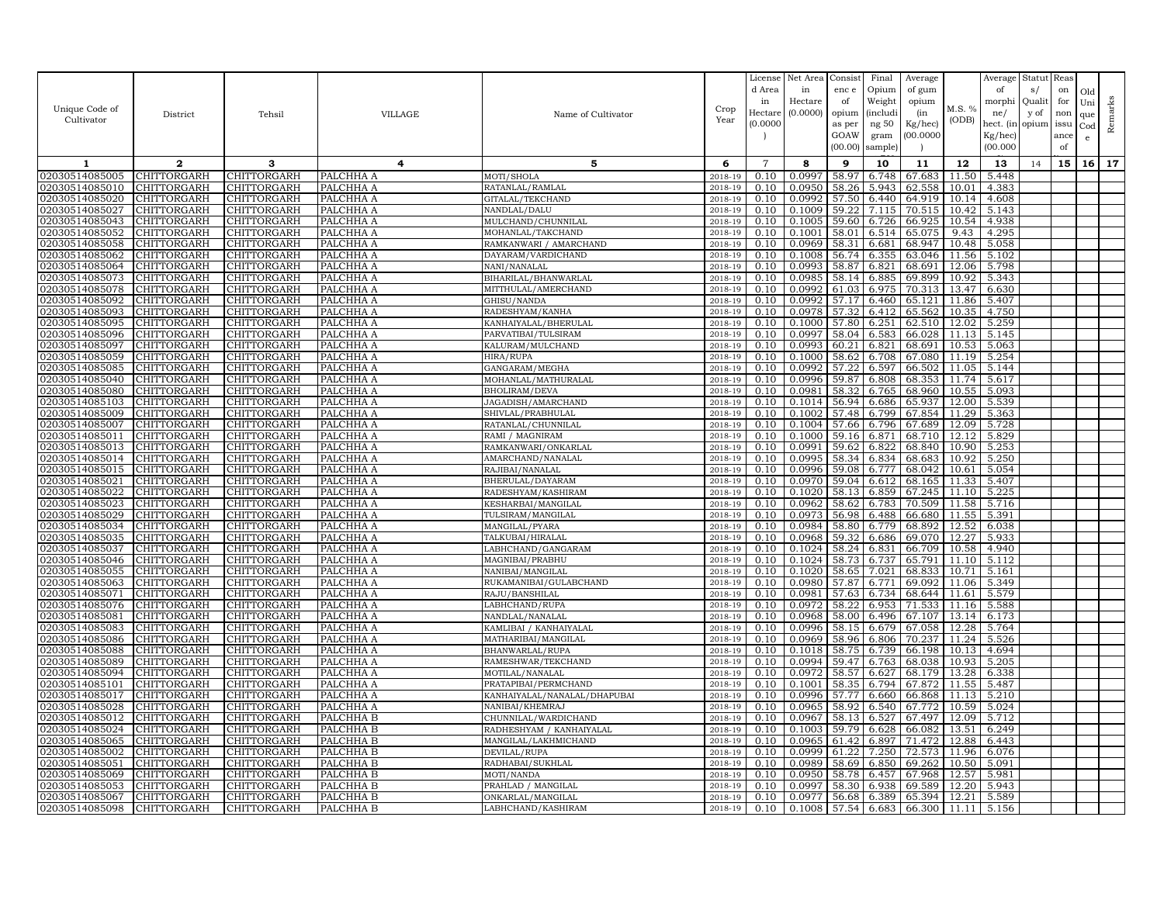| Unique Code of<br>Cultivator     | District                          | Tehsil                            | VILLAGE                | Name of Cultivator                           | Crop<br>Year       | License<br>d Area<br>in<br>Hectare<br>(0.0000) | Net Area<br>in<br>Hectare<br>(0.0000) | Consist<br>enc e<br>of<br>opium<br>as per<br>GOAW<br>(00.00) | Final<br>Opium<br>Weight<br><i>(includi</i><br>ng 50<br>gram<br>sample) | Average<br>of gum<br>opium<br>(in<br>Kg/hec)<br>00.000C | M.S. %<br>(ODB) | Average<br>of<br>morphi<br>ne/<br>hect. (in<br>$Kg/$ hec)<br>(00.000) | Statut<br>s/<br>Quali<br>y of<br>opium | Reas<br>on<br>for<br>non<br>issu<br>ance<br>of | Old<br>Uni<br>que<br>Cod<br>$\mathbf{e}$ | Remarks |
|----------------------------------|-----------------------------------|-----------------------------------|------------------------|----------------------------------------------|--------------------|------------------------------------------------|---------------------------------------|--------------------------------------------------------------|-------------------------------------------------------------------------|---------------------------------------------------------|-----------------|-----------------------------------------------------------------------|----------------------------------------|------------------------------------------------|------------------------------------------|---------|
| 1                                | $\mathbf{2}$                      | 3                                 | 4                      | 5                                            | 6                  | $\overline{7}$                                 | 8                                     | 9                                                            | 10                                                                      | 11                                                      | 12              | 13                                                                    | 14                                     | 15                                             | 16 <sup>1</sup>                          | 17      |
| 02030514085005                   | CHITTORGARH                       | CHITTORGARH                       | PALCHHA A              | MOTI/SHOLA                                   | 2018-19            | 0.10                                           | 0.0997                                | 58.97                                                        | 6.748                                                                   | 67.683                                                  | 11.50           | 5.448                                                                 |                                        |                                                |                                          |         |
| 02030514085010                   | CHITTORGARH                       | <b>CHITTORGARH</b>                | PALCHHA A              | RATANLAL/RAMLAL                              | 2018-19            | 0.10                                           | 0.0950                                | 58.26                                                        | 5.943                                                                   | 62.558                                                  | 10.01           | 4.383                                                                 |                                        |                                                |                                          |         |
| 02030514085020                   | CHITTORGARH                       | CHITTORGARH                       | PALCHHA A              | GITALAL/TEKCHAND                             | 2018-19            | 0.10                                           | 0.0992                                | 57.50                                                        | 6.440                                                                   | 64.919                                                  | 10.14           | 4.608                                                                 |                                        |                                                |                                          |         |
| 02030514085027                   | CHITTORGARH                       | CHITTORGARH                       | PALCHHA A              | NANDLAL/DALU                                 | 2018-19            | 0.10                                           | 0.1009                                | 59.22                                                        | 7.115                                                                   | 70.515                                                  | 10.42           | 5.143                                                                 |                                        |                                                |                                          |         |
| 02030514085043                   | CHITTORGARH                       | CHITTORGARH                       | PALCHHA A              | MULCHAND/CHUNNILAL                           | 2018-19            | 0.10                                           | 0.1005                                | 59.60                                                        | 6.726                                                                   | 66.925                                                  | 10.54           | 4.938                                                                 |                                        |                                                |                                          |         |
| 02030514085052                   | CHITTORGARH                       | CHITTORGARH                       | PALCHHA A              | MOHANLAL/TAKCHAND                            | 2018-19            | 0.10                                           | 0.1001                                | 58.01                                                        | 6.514                                                                   | 65.075                                                  | 9.43            | 4.295                                                                 |                                        |                                                |                                          |         |
| 02030514085058<br>02030514085062 | <b>CHITTORGARH</b><br>CHITTORGARH | CHITTORGARH<br>CHITTORGARH        | PALCHHA A<br>PALCHHA A | RAMKANWARI / AMARCHAND<br>DAYARAM/VARDICHAND | 2018-19<br>2018-19 | 0.10<br>0.10                                   | 0.0969<br>0.1008                      | 58.31<br>56.74                                               | 6.681<br>6.355                                                          | 68.947<br>63.046                                        | 10.48<br>11.56  | 5.058<br>5.102                                                        |                                        |                                                |                                          |         |
| 02030514085064                   | CHITTORGARH                       | CHITTORGARH                       | PALCHHA A              | NANI/NANALAL                                 | 2018-19            | 0.10                                           | 0.0993                                | 58.87                                                        | 6.821                                                                   | 68.691                                                  | 12.06           | 5.798                                                                 |                                        |                                                |                                          |         |
| 02030514085073                   | CHITTORGARH                       | CHITTORGARH                       | PALCHHA A              | BIHARILAL/BHANWARLAL                         | 2018-19            | 0.10                                           | 0.0985                                | 58.14                                                        | 6.885                                                                   | 69.899                                                  | 10.92           | 5.343                                                                 |                                        |                                                |                                          |         |
| 02030514085078                   | CHITTORGARH                       | CHITTORGARH                       | PALCHHA A              | MITTHULAL/AMERCHAND                          | 2018-19            | 0.10                                           | 0.0992                                | 61.03                                                        | 6.975                                                                   | 70.313                                                  | 13.47           | 6.630                                                                 |                                        |                                                |                                          |         |
| 02030514085092                   | CHITTORGARH                       | CHITTORGARH                       | PALCHHA A              | GHISU/NANDA                                  | 2018-19            | 0.10                                           | 0.0992                                | 57.17                                                        | 6.460                                                                   | 65.121                                                  | 11.86           | 5.407                                                                 |                                        |                                                |                                          |         |
| 02030514085093                   | <b>CHITTORGARH</b>                | <b>CHITTORGARH</b>                | PALCHHA A              | RADESHYAM/KANHA                              | 2018-19            | 0.10                                           | 0.0978                                | 57.32                                                        | 6.412                                                                   | 65.562                                                  | 10.35           | 4.750                                                                 |                                        |                                                |                                          |         |
| 02030514085095                   | CHITTORGARH                       | CHITTORGARH                       | PALCHHA A              | KANHAIYALAL/BHERULAL                         | 2018-19            | 0.10                                           | 0.1000                                | 57.80                                                        | 6.251                                                                   | 62.510                                                  | 12.02           | 5.259                                                                 |                                        |                                                |                                          |         |
| 02030514085096                   | CHITTORGARH                       | CHITTORGARH                       | PALCHHA A              | PARVATIBAI/TULSIRAM                          | 2018-19            | 0.10                                           | 0.0997                                | 58.04                                                        | 6.583                                                                   | 66.028                                                  | 11.13           | 5.145                                                                 |                                        |                                                |                                          |         |
| 02030514085097                   | CHITTORGARH                       | CHITTORGARH                       | PALCHHA A              | KALURAM / MULCHAND                           | 2018-19            | 0.10                                           | 0.0993                                | 60.21                                                        | 6.821                                                                   | 68.691                                                  | 10.53           | 5.063                                                                 |                                        |                                                |                                          |         |
| 02030514085059                   | CHITTORGARH                       | CHITTORGARH                       | PALCHHA A              | HIRA/RUPA                                    | 2018-19            | 0.10                                           | 0.1000                                | 58.62                                                        | 6.708                                                                   | 67.080                                                  | 11.19           | 5.254                                                                 |                                        |                                                |                                          |         |
| 02030514085085                   | CHITTORGARH                       | CHITTORGARH                       | PALCHHA A              | GANGARAM/MEGHA                               | 2018-19            | 0.10                                           | 0.0992                                | 57.22                                                        | 6.597                                                                   | 66.502                                                  | 11.05           | 5.144                                                                 |                                        |                                                |                                          |         |
| 02030514085040                   | CHITTORGARH                       | CHITTORGARH                       | PALCHHA A              | MOHANLAL/MATHURALAL                          | 2018-19            | 0.10                                           | 0.0996                                | 59.87                                                        | 6.808                                                                   | 68.353                                                  | 11.74           | 5.617                                                                 |                                        |                                                |                                          |         |
| 02030514085080                   | CHITTORGARH                       | CHITTORGARH                       | PALCHHA A              | <b>BHOLIRAM/DEVA</b>                         | 2018-19            | 0.10                                           | 0.0981                                | 58.32                                                        | 6.765                                                                   | 68.960                                                  | 10.55           | 5.093                                                                 |                                        |                                                |                                          |         |
| 02030514085103                   | CHITTORGARH                       | CHITTORGARH                       | PALCHHA A              | JAGADISH/AMARCHAND                           | 2018-19            | 0.10                                           | 0.1014                                | 56.94                                                        | 6.686                                                                   | 65.937                                                  | 12.00           | 5.539                                                                 |                                        |                                                |                                          |         |
| 02030514085009                   | <b>CHITTORGARH</b>                | <b>CHITTORGARH</b>                | PALCHHA A              | SHIVLAL/PRABHULAL                            | 2018-19<br>2018-19 | 0.10<br>0.10                                   | 0.1002                                | 57.48                                                        | 6.799                                                                   | 67.854                                                  | 11.29<br>12.09  | 5.363                                                                 |                                        |                                                |                                          |         |
| 02030514085007<br>02030514085011 | CHITTORGARH<br>CHITTORGARH        | CHITTORGARH<br><b>CHITTORGARH</b> | PALCHHA A<br>PALCHHA A | RATANLAL/CHUNNILAL<br>RAMI / MAGNIRAM        | 2018-19            | 0.10                                           | 0.1004<br>0.1000                      | 57.66<br>59.16                                               | 6.796<br>6.871                                                          | 67.689<br>68.710                                        | 12.12           | 5.728<br>5.829                                                        |                                        |                                                |                                          |         |
| 02030514085013                   | CHITTORGARH                       | CHITTORGARH                       | PALCHHA A              | RAMKANWARI/ONKARLAL                          | 2018-19            | 0.10                                           | 0.0991                                | 59.62                                                        | 6.822                                                                   | 68.840                                                  | 10.90           | 5.253                                                                 |                                        |                                                |                                          |         |
| 02030514085014                   | CHITTORGARH                       | CHITTORGARH                       | PALCHHA A              | AMARCHAND/NANALAL                            | 2018-19            | 0.10                                           | 0.0995                                | 58.34                                                        | 6.834                                                                   | 68.683                                                  | 10.92           | 5.250                                                                 |                                        |                                                |                                          |         |
| 02030514085015                   | CHITTORGARH                       | CHITTORGARH                       | PALCHHA A              | RAJIBAI/NANALAL                              | 2018-19            | 0.10                                           | 0.0996                                | 59.08                                                        | 6.777                                                                   | 68.042                                                  | 10.61           | 5.054                                                                 |                                        |                                                |                                          |         |
| 02030514085021                   | CHITTORGARH                       | CHITTORGARH                       | PALCHHA A              | BHERULAL/DAYARAM                             | 2018-19            | 0.10                                           | 0.0970                                | 59.04                                                        | 6.612                                                                   | 68.165                                                  | 11.33           | 5.407                                                                 |                                        |                                                |                                          |         |
| 02030514085022                   | CHITTORGARH                       | CHITTORGARH                       | PALCHHA A              | RADESHYAM/KASHIRAM                           | 2018-19            | 0.10                                           | 0.1020                                | 58.13                                                        | 6.859                                                                   | 67.245                                                  |                 | 11.10 5.225                                                           |                                        |                                                |                                          |         |
| 02030514085023                   | CHITTORGARH                       | CHITTORGARH                       | PALCHHA A              | KESHARBAI/MANGILAL                           | 2018-19            | 0.10                                           | 0.0962                                | 58.62                                                        | 6.783                                                                   | 70.509                                                  | 11.58           | 5.716                                                                 |                                        |                                                |                                          |         |
| 02030514085029                   | CHITTORGARH                       | <b>CHITTORGARH</b>                | PALCHHA A              | TULSIRAM/MANGILAL                            | 2018-19            | 0.10                                           | 0.0973                                | 56.98                                                        | 6.488                                                                   | 66.680                                                  | 11.55           | 5.391                                                                 |                                        |                                                |                                          |         |
| 02030514085034                   | CHITTORGARH                       | CHITTORGARH                       | PALCHHA A              | MANGILAL/PYARA                               | 2018-19            | 0.10                                           | 0.0984                                | 58.80                                                        | 6.779                                                                   | 68.892                                                  | 12.52           | 6.038                                                                 |                                        |                                                |                                          |         |
| 02030514085035                   | <b>CHITTORGARH</b>                | CHITTORGARH                       | PALCHHA A              | TALKUBAI/HIRALAL                             | 2018-19            | 0.10                                           | 0.0968                                | 59.32                                                        | 6.686                                                                   | 69.070                                                  | 12.27           | 5.933                                                                 |                                        |                                                |                                          |         |
| 02030514085037                   | CHITTORGARH                       | CHITTORGARH                       | PALCHHA A              | LABHCHAND/GANGARAM                           | 2018-19            | 0.10                                           | 0.1024                                | 58.24                                                        | 6.831                                                                   | 66.709                                                  | 10.58           | 4.940                                                                 |                                        |                                                |                                          |         |
| 02030514085046                   | CHITTORGARH                       | CHITTORGARH                       | PALCHHA A              | MAGNIBAI/PRABHU                              | 2018-19            | 0.10                                           | 0.1024                                | 58.73                                                        | 6.737                                                                   | 65.791                                                  | 11.10           | 5.112                                                                 |                                        |                                                |                                          |         |
| 02030514085055                   | CHITTORGARH                       | CHITTORGARH                       | PALCHHA A              | NANIBAI/MANGILAL                             | 2018-19            | 0.10                                           | 0.1020                                | 58.65                                                        | 7.021                                                                   | 68.833                                                  | 10.71           | 5.161                                                                 |                                        |                                                |                                          |         |
| 02030514085063<br>02030514085071 | CHITTORGARH<br>CHITTORGARH        | CHITTORGARH<br>CHITTORGARH        | PALCHHA A<br>PALCHHA A | RUKAMANIBAI/GULABCHAND<br>RAJU/BANSHILAL     | 2018-19<br>2018-19 | 0.10<br>0.10                                   | 0.0980<br>0.0981                      | 57.87<br>57.63                                               | 6.771<br>6.734                                                          | 69.092<br>68.644                                        | 11.06<br>11.61  | 5.349<br>5.579                                                        |                                        |                                                |                                          |         |
| 02030514085076                   | CHITTORGARH                       | CHITTORGARH                       | PALCHHA A              | LABHCHAND/RUPA                               | 2018-19            | 0.10                                           | 0.0972                                | 58.22                                                        | 6.953                                                                   | 71.533                                                  | 11.16           | 5.588                                                                 |                                        |                                                |                                          |         |
| 02030514085081                   | <b>CHITTORGARH</b>                | <b>CHITTORGARH</b>                | PALCHHA A              | NANDLAL/NANALAL                              | 2018-19            | 0.10                                           | 0.0968                                | 58.00                                                        | 6.496                                                                   | 67.107                                                  | 13.14           | 6.173                                                                 |                                        |                                                |                                          |         |
| 02030514085083                   | CHITTORGARH                       | CHITTORGARH                       | PALCHHA A              | KAMLIBAI / KANHAIYALAL                       | 2018-19            | 0.10                                           | 0.0996                                | 58.15                                                        | 6.679                                                                   | 67.058                                                  | 12.28           | 5.764                                                                 |                                        |                                                |                                          |         |
| 02030514085086                   | CHITTORGARH                       | CHITTORGARH                       | PALCHHA A              | MATHARIBAI/MANGILAL                          | 2018-19            | 0.10                                           | 0.0969                                | 58.96                                                        | 6.806                                                                   | 70.237                                                  | 11.24           | 5.526                                                                 |                                        |                                                |                                          |         |
| 02030514085088                   | CHITTORGARH                       | CHITTORGARH                       | PALCHHA A              | BHANWARLAL/RUPA                              | 2018-19            | 0.10                                           | 0.1018                                | 58.75                                                        | 6.739                                                                   | 66.198                                                  | 10.13           | 4.694                                                                 |                                        |                                                |                                          |         |
| 02030514085089                   | CHITTORGARH                       | CHITTORGARH                       | PALCHHA A              | RAMESHWAR/TEKCHAND                           | 2018-19            | 0.10                                           | 0.0994                                | 59.47                                                        | 6.763                                                                   | 68.038                                                  | 10.93           | 5.205                                                                 |                                        |                                                |                                          |         |
| 02030514085094                   | CHITTORGARH                       | CHITTORGARH                       | PALCHHA A              | MOTILAL/NANALAL                              | 2018-19            | 0.10                                           | 0.0972                                | 58.57                                                        | 6.627                                                                   | 68.179                                                  | 13.28           | 6.338                                                                 |                                        |                                                |                                          |         |
| 02030514085101                   | CHITTORGARH                       | CHITTORGARH                       | PALCHHA A              | PRATAPIBAI/PERMCHAND                         | 2018-19            | 0.10                                           | 0.1001                                | 58.35                                                        | 6.794                                                                   | 67.872                                                  | 11.55           | 5.487                                                                 |                                        |                                                |                                          |         |
| 02030514085017                   | CHITTORGARH                       | CHITTORGARH                       | PALCHHA A              | KANHAIYALAL/NANALAL/DHAPUBAI                 | 2018-19            | 0.10                                           | 0.0996                                | 57.77                                                        | 6.660                                                                   | 66.868                                                  | 11.13           | 5.210                                                                 |                                        |                                                |                                          |         |
| 02030514085028                   | CHITTORGARH                       | CHITTORGARH                       | PALCHHA A              | NANIBAI/KHEMRAJ                              | 2018-19            | 0.10                                           | 0.0965                                | 58.92                                                        | 6.540                                                                   | 67.772                                                  | 10.59           | 5.024                                                                 |                                        |                                                |                                          |         |
| 02030514085012                   | CHITTORGARH                       | CHITTORGARH                       | PALCHHA B              | CHUNNILAL/WARDICHAND                         | 2018-19            | 0.10                                           | 0.0967                                | 58.13                                                        | 6.527                                                                   | 67.497                                                  | 12.09           | 5.712                                                                 |                                        |                                                |                                          |         |
| 02030514085024                   | CHITTORGARH                       | CHITTORGARH                       | PALCHHA B              | RADHESHYAM / KANHAIYALAL                     | 2018-19            | 0.10                                           | 0.1003                                | 59.79                                                        | 6.628                                                                   | 66.082                                                  | 13.51           | 6.249                                                                 |                                        |                                                |                                          |         |
| 02030514085065<br>02030514085002 | <b>CHITTORGARH</b><br>CHITTORGARH | CHITTORGARH<br><b>CHITTORGARH</b> | PALCHHA B<br>PALCHHA B | MANGILAL/LAKHMICHAND<br>DEVILAL/RUPA         | 2018-19<br>2018-19 | 0.10<br>0.10                                   | 0.0965<br>0.0999                      | 61.42<br>61.22                                               | 6.897<br>7.250                                                          | 71.472<br>72.573                                        | 12.88<br>11.96  | 6.443<br>6.076                                                        |                                        |                                                |                                          |         |
| 02030514085051                   | CHITTORGARH                       | CHITTORGARH                       | PALCHHA B              | RADHABAI/SUKHLAL                             | 2018-19            | 0.10                                           | 0.0989                                | 58.69                                                        | 6.850                                                                   | 69.262                                                  | 10.50           | 5.091                                                                 |                                        |                                                |                                          |         |
| 02030514085069                   | CHITTORGARH                       | CHITTORGARH                       | PALCHHA B              | MOTI/NANDA                                   | 2018-19            | 0.10                                           | 0.0950                                | 58.78                                                        | 6.457                                                                   | 67.968                                                  | 12.57           | 5.981                                                                 |                                        |                                                |                                          |         |
| 02030514085053                   | <b>CHITTORGARH</b>                | CHITTORGARH                       | PALCHHA B              | PRAHLAD / MANGILAL                           | 2018-19            | 0.10                                           | 0.0997                                | 58.30                                                        | 6.938                                                                   | 69.589                                                  | 12.20           | 5.943                                                                 |                                        |                                                |                                          |         |
| 02030514085067                   | <b>CHITTORGARH</b>                | CHITTORGARH                       | PALCHHA B              | ONKARLAL/MANGILAL                            | 2018-19            | 0.10                                           | 0.0977                                | 56.68                                                        | 6.389                                                                   | 65.394                                                  | 12.21           | 5.589                                                                 |                                        |                                                |                                          |         |
| 02030514085098                   | <b>CHITTORGARH</b>                | <b>CHITTORGARH</b>                | PALCHHA B              | LABHCHAND/KASHIRAM                           | 2018-19            | 0.10                                           | 0.1008                                |                                                              |                                                                         | 57.54 6.683 66.300                                      |                 | $11.11$ 5.156                                                         |                                        |                                                |                                          |         |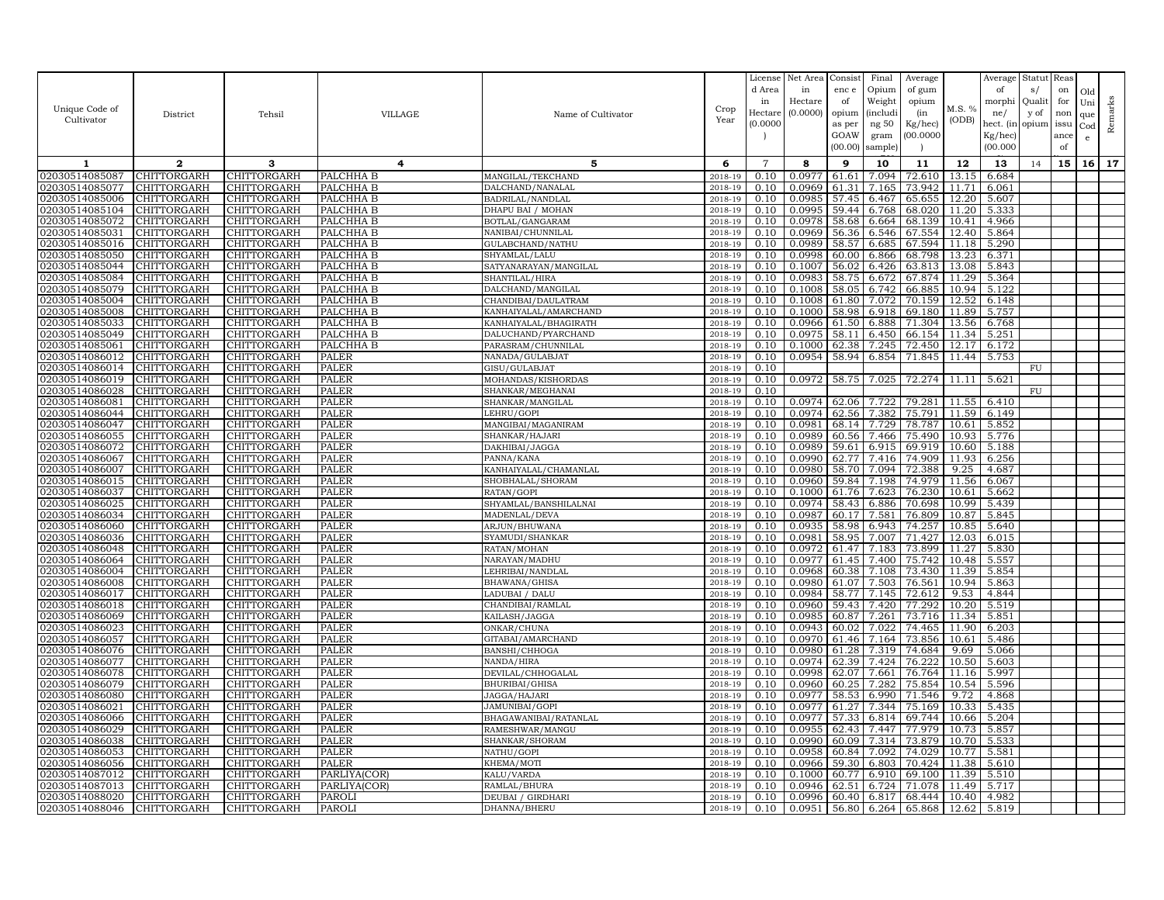| Unique Code of<br>Cultivator     | District                          | Tehsil                            | VILLAGE                | Name of Cultivator                  | Crop<br>Year       | License<br>d Area<br>in<br>Hectare<br>(0.0000) | Net Area<br>in<br>Hectare<br>(0.0000) | Consist<br>enc e<br>of<br>opium<br>as per<br>GOAW<br>(00.00) | Final<br>Opium<br>Weight<br><i>(includi</i><br>ng 50<br>gram<br>sample) | Average<br>of gum<br>opium<br>(in<br>Kg/hec)<br>00.000C | M.S. %<br>(ODB) | Average<br>of<br>morphi<br>ne/<br>hect. (in<br>Kg/hec)<br>(00.000) | Statut<br>s/<br>Quali<br>y of<br>opium | Reas<br>on<br>for<br>non<br>issu<br>ance<br>of | Old<br>Uni<br>que<br>Cod<br>$\mathbf{e}$ | Remarks |
|----------------------------------|-----------------------------------|-----------------------------------|------------------------|-------------------------------------|--------------------|------------------------------------------------|---------------------------------------|--------------------------------------------------------------|-------------------------------------------------------------------------|---------------------------------------------------------|-----------------|--------------------------------------------------------------------|----------------------------------------|------------------------------------------------|------------------------------------------|---------|
| 1                                | $\mathbf{2}$                      | 3                                 | 4                      | 5                                   | 6                  | $\overline{7}$                                 | 8                                     | 9                                                            | 10                                                                      | 11                                                      | 12              | 13                                                                 | 14                                     | 15                                             | 16 <sup>1</sup>                          | 17      |
| 02030514085087                   | CHITTORGARH                       | CHITTORGARH                       | PALCHHA B              | MANGILAL/TEKCHAND                   | 2018-19            | 0.10                                           | 0.0977                                | 61.61                                                        | 7.094                                                                   | 72.610                                                  | 13.15           | 6.684                                                              |                                        |                                                |                                          |         |
| 02030514085077                   | CHITTORGARH                       | CHITTORGARH                       | PALCHHA B              | DALCHAND/NANALAL                    | 2018-19            | 0.10                                           | 0.0969                                | 61.31                                                        | 7.165                                                                   | 73.942                                                  | 11.71           | 6.061                                                              |                                        |                                                |                                          |         |
| 02030514085006                   | CHITTORGARH                       | CHITTORGARH                       | PALCHHA B              | BADRILAL/NANDLAL                    | 2018-19            | 0.10                                           | 0.0985                                | 57.45                                                        | 6.467                                                                   | 65.655                                                  | 12.20           | 5.607                                                              |                                        |                                                |                                          |         |
| 02030514085104                   | CHITTORGARH                       | CHITTORGARH                       | PALCHHA B              | DHAPU BAI / MOHAN                   | 2018-19            | 0.10                                           | 0.0995                                | 59.44                                                        | 6.768                                                                   | 68.020                                                  | 11.20           | 5.333                                                              |                                        |                                                |                                          |         |
| 02030514085072                   | CHITTORGARH                       | CHITTORGARH                       | PALCHHA B              | BOTLAL/GANGARAM                     | 2018-19            | 0.10                                           | 0.0978                                | 58.68                                                        | 6.664                                                                   | 68.139                                                  | 10.41           | 4.966                                                              |                                        |                                                |                                          |         |
| 02030514085031                   | CHITTORGARH                       | CHITTORGARH                       | PALCHHA B              | NANIBAI/CHUNNILAL                   | 2018-19            | 0.10                                           | 0.0969                                | 56.36                                                        | 6.546                                                                   | 67.554                                                  | 12.40           | 5.864                                                              |                                        |                                                |                                          |         |
| 02030514085016                   | <b>CHITTORGARH</b>                | CHITTORGARH                       | PALCHHA B              | GULABCHAND/NATHU                    | 2018-19            | 0.10                                           | 0.0989                                | 58.57                                                        | 6.685                                                                   | 67.594                                                  | 11.18           | 5.290                                                              |                                        |                                                |                                          |         |
| 02030514085050                   | CHITTORGARH                       | CHITTORGARH                       | PALCHHA B              | SHYAMLAL/LALU                       | 2018-19            | 0.10                                           | 0.0998                                | 60.00                                                        | 6.866                                                                   | 68.798                                                  | 13.23           | 6.371                                                              |                                        |                                                |                                          |         |
| 02030514085044                   | CHITTORGARH                       | <b>CHITTORGARH</b>                | PALCHHA B              | SATYANARAYAN/MANGILAL               | 2018-19            | 0.10                                           | 0.1007                                | 56.02                                                        | 6.426                                                                   | 63.813                                                  | 13.08           | 5.843                                                              |                                        |                                                |                                          |         |
| 02030514085084<br>02030514085079 | CHITTORGARH<br><b>CHITTORGARH</b> | CHITTORGARH<br><b>CHITTORGARH</b> | PALCHHA B<br>PALCHHA B | SHANTILAL/HIRA<br>DALCHAND/MANGILAL | 2018-19<br>2018-19 | 0.10<br>0.10                                   | 0.0983<br>0.1008                      | 58.75<br>58.05                                               | 6.672<br>6.742                                                          | 67.874<br>66.885                                        | 11.29<br>10.94  | 5.364<br>5.122                                                     |                                        |                                                |                                          |         |
| 02030514085004                   | CHITTORGARH                       | CHITTORGARH                       | PALCHHA B              | CHANDIBAI/DAULATRAM                 | 2018-19            | 0.10                                           | 0.1008                                | 61.80                                                        | 7.072                                                                   | 70.159                                                  | 12.52           | 6.148                                                              |                                        |                                                |                                          |         |
| 02030514085008                   | CHITTORGARH                       | CHITTORGARH                       | PALCHHA B              | KANHAIYALAL/AMARCHAND               | 2018-19            | 0.10                                           | 0.1000                                | 58.98                                                        | 6.918                                                                   | 69.180                                                  | 11.89           | 5.757                                                              |                                        |                                                |                                          |         |
| 02030514085033                   | CHITTORGARH                       | CHITTORGARH                       | PALCHHA B              | KANHAIYALAL/BHAGIRATH               | 2018-19            | 0.10                                           | 0.0966                                | 61.50                                                        | 6.888                                                                   | 71.304                                                  | 13.56           | 6.768                                                              |                                        |                                                |                                          |         |
| 02030514085049                   | CHITTORGARH                       | CHITTORGARH                       | PALCHHA B              | DALUCHAND/PYARCHAND                 | 2018-19            | 0.10                                           | 0.0975                                | 58.11                                                        | 6.450                                                                   | 66.154                                                  | 11.34           | 5.251                                                              |                                        |                                                |                                          |         |
| 02030514085061                   | CHITTORGARH                       | CHITTORGARH                       | PALCHHA B              | PARASRAM/CHUNNILAL                  | 2018-19            | 0.10                                           | 0.1000                                | 62.38                                                        | 7.245                                                                   | 72.450                                                  | 12.17           | 6.172                                                              |                                        |                                                |                                          |         |
| 02030514086012                   | <b>CHITTORGARH</b>                | CHITTORGARH                       | <b>PALER</b>           | NANADA/GULABJAT                     | $2018 - 1$         | 0.10                                           | 0.0954                                | 58.94                                                        | 6.854                                                                   | 71.845                                                  | 11.44           | 5.753                                                              |                                        |                                                |                                          |         |
| 02030514086014                   | <b>CHITTORGARH</b>                | CHITTORGARH                       | PALER                  | GISU/GULABJAT                       | 2018-19            | 0.10                                           |                                       |                                                              |                                                                         |                                                         |                 |                                                                    | FU                                     |                                                |                                          |         |
| 02030514086019                   | CHITTORGARH                       | CHITTORGARH                       | <b>PALER</b>           | MOHANDAS/KISHORDAS                  | 2018-19            | 0.10                                           | 0.0972                                | 58.75                                                        | 7.025                                                                   | 72.274                                                  | 11.11           | 5.621                                                              |                                        |                                                |                                          |         |
| 02030514086028                   | CHITTORGARH                       | CHITTORGARH                       | PALER                  | SHANKAR/MEGHANAI                    | 2018-19            | 0.10                                           |                                       |                                                              |                                                                         |                                                         |                 |                                                                    | FU                                     |                                                |                                          |         |
| 02030514086081                   | CHITTORGARH                       | CHITTORGARH                       | PALER                  | SHANKAR/MANGILAL                    | 2018-19            | 0.10                                           | 0.0974                                | 62.06                                                        | 7.722                                                                   | 79.281                                                  | 11.55           | 6.410                                                              |                                        |                                                |                                          |         |
| 02030514086044                   | CHITTORGARH                       | CHITTORGARH                       | PALER                  | LEHRU/GOPI                          | 2018-19            | 0.10                                           | 0.0974                                | 62.56                                                        | 7.382                                                                   | 75.791                                                  | 11.59           | 6.149                                                              |                                        |                                                |                                          |         |
| 02030514086047                   | CHITTORGARH                       | CHITTORGARH                       | <b>PALER</b>           | MANGIBAI/MAGANIRAM                  | 2018-19            | 0.10                                           | 0.0981                                | 68.14                                                        | 7.729                                                                   | 78.787                                                  | 10.61           | 5.852                                                              |                                        |                                                |                                          |         |
| 02030514086055                   | CHITTORGARH                       | CHITTORGARH                       | PALER                  | SHANKAR/HAJARI                      | 2018-19            | 0.10                                           | 0.0989                                | 60.56                                                        | 7.466                                                                   | 75.490                                                  | 10.93           | 5.776                                                              |                                        |                                                |                                          |         |
| 02030514086072<br>02030514086067 | CHITTORGARH<br>CHITTORGARH        | CHITTORGARH                       | PALER                  | DAKHIBAI/JAGGA                      | 2018-19            | 0.10<br>0.10                                   | 0.0989<br>0.0990                      | 59.61                                                        | 6.915<br>7.416                                                          | 69.919                                                  | 10.60           | 5.188                                                              |                                        |                                                |                                          |         |
| 02030514086007                   | CHITTORGARH                       | CHITTORGARH<br>CHITTORGARH        | PALER<br><b>PALER</b>  | PANNA/KANA<br>KANHAIYALAL/CHAMANLAL | 2018-19<br>2018-19 | 0.10                                           | 0.0980                                | 62.77<br>58.70                                               | 7.094                                                                   | 74.909<br>72.388                                        | 11.93<br>9.25   | 6.256<br>4.687                                                     |                                        |                                                |                                          |         |
| 02030514086015                   | CHITTORGARH                       | CHITTORGARH                       | PALER                  | SHOBHALAL/SHORAM                    | 2018-19            | 0.10                                           | 0.0960                                | 59.84                                                        | 7.198                                                                   | 74.979                                                  | 11.56           | 6.067                                                              |                                        |                                                |                                          |         |
| 02030514086037                   | <b>CHITTORGARH</b>                | <b>CHITTORGARH</b>                | PALER                  | RATAN/GOPI                          | 2018-19            | 0.10                                           | 0.1000                                | 61.76                                                        | 7.623                                                                   | 76.230                                                  | 10.61           | 5.662                                                              |                                        |                                                |                                          |         |
| 02030514086025                   | CHITTORGARH                       | CHITTORGARH                       | PALER                  | SHYAMLAL/BANSHILALNAI               | 2018-19            | 0.10                                           | 0.0974                                | 58.43                                                        | 6.886                                                                   | 70.698                                                  | 10.99           | 5.439                                                              |                                        |                                                |                                          |         |
| 02030514086034                   | <b>CHITTORGARH</b>                | <b>CHITTORGARH</b>                | <b>PALER</b>           | MADENLAL/DEVA                       | 2018-19            | 0.10                                           | 0.0987                                | 60.17                                                        | 7.581                                                                   | 76.809                                                  | 10.87           | 5.845                                                              |                                        |                                                |                                          |         |
| 02030514086060                   | CHITTORGARH                       | CHITTORGARH                       | PALER                  | ARJUN/BHUWANA                       | 2018-19            | 0.10                                           | 0.0935                                | 58.98                                                        | 6.943                                                                   | 74.257                                                  | 10.85           | 5.640                                                              |                                        |                                                |                                          |         |
| 02030514086036                   | CHITTORGARH                       | CHITTORGARH                       | <b>PALER</b>           | SYAMUDI/SHANKAR                     | 2018-19            | 0.10                                           | 0.0981                                | 58.95                                                        | 7.007                                                                   | 71.427                                                  | 12.03           | 6.015                                                              |                                        |                                                |                                          |         |
| 02030514086048                   | CHITTORGARH                       | CHITTORGARH                       | PALER                  | RATAN/MOHAN                         | 2018-19            | 0.10                                           | 0.0972                                | 61.47                                                        | 7.183                                                                   | 73.899                                                  | 11.27           | 5.830                                                              |                                        |                                                |                                          |         |
| 02030514086064                   | CHITTORGARH                       | CHITTORGARH                       | <b>PALER</b>           | NARAYAN/MADHU                       | 2018-19            | 0.10                                           | 0.0977                                | 61.45                                                        | 7.400                                                                   | 75.742                                                  | 10.48           | 5.557                                                              |                                        |                                                |                                          |         |
| 02030514086004                   | <b>CHITTORGARH</b>                | CHITTORGARH                       | <b>PALER</b>           | LEHRIBAI/NANDLAL                    | 2018-19            | 0.10                                           | 0.0968                                | 60.38                                                        | 7.108                                                                   | 73.430                                                  | 11.39           | 5.854                                                              |                                        |                                                |                                          |         |
| 02030514086008                   | CHITTORGARH                       | CHITTORGARH                       | PALER                  | BHAWANA/GHISA                       | 2018-19            | 0.10                                           | 0.0980                                | 61.07                                                        | 7.503                                                                   | 76.561                                                  | 10.94           | 5.863                                                              |                                        |                                                |                                          |         |
| 02030514086017                   | CHITTORGARH                       | CHITTORGARH                       | <b>PALER</b>           | LADUBAI / DALU                      | 2018-19            | 0.10                                           | 0.0984                                | 58.77                                                        | 7.145                                                                   | 72.612                                                  | 9.53<br>10.20   | 4.844                                                              |                                        |                                                |                                          |         |
| 02030514086018<br>02030514086069 | CHITTORGARH<br><b>CHITTORGARH</b> | CHITTORGARH<br>CHITTORGARH        | PALER<br>PALER         | CHANDIBAI/RAMLAL<br>KAILASH/JAGGA   | 2018-19<br>2018-19 | 0.10<br>0.10                                   | 0.0960<br>0.0985                      | 59.43<br>60.87                                               | 7.420<br>7.261                                                          | 77.292<br>73.716                                        | 11.34           | 5.519<br>5.851                                                     |                                        |                                                |                                          |         |
| 02030514086023                   | CHITTORGARH                       | CHITTORGARH                       | PALER                  | ONKAR/CHUNA                         | 2018-19            | 0.10                                           | 0.0943                                | 60.02                                                        | 7.022                                                                   | 74.465                                                  | 11.90           | 6.203                                                              |                                        |                                                |                                          |         |
| 02030514086057                   | CHITTORGARH                       | CHITTORGARH                       | <b>PALER</b>           | GITABAI/AMARCHAND                   | 2018-19            | 0.10                                           | 0.0970                                | 61.46                                                        | 7.164                                                                   | 73.856                                                  | 10.61           | 5.486                                                              |                                        |                                                |                                          |         |
| 02030514086076                   | CHITTORGARH                       | CHITTORGARH                       | PALER                  | BANSHI/CHHOGA                       | 2018-19            | 0.10                                           | 0.0980                                | 61.28                                                        | 7.319                                                                   | 74.684                                                  | 9.69            | 5.066                                                              |                                        |                                                |                                          |         |
| 02030514086077                   | CHITTORGARH                       | CHITTORGARH                       | PALER                  | NANDA/HIRA                          | 2018-19            | 0.10                                           | 0.0974                                | 62.39                                                        | 7.424                                                                   | 76.222                                                  | 10.50           | 5.603                                                              |                                        |                                                |                                          |         |
| 02030514086078                   | CHITTORGARH                       | CHITTORGARH                       | PALER                  | DEVILAL/CHHOGALAL                   | 2018-19            | 0.10                                           | 0.0998                                | 62.07                                                        | 7.661                                                                   | 76.764                                                  | 11.16           | 5.997                                                              |                                        |                                                |                                          |         |
| 02030514086079                   | CHITTORGARH                       | CHITTORGARH                       | <b>PALER</b>           | BHURIBAI/GHISA                      | 2018-19            | 0.10                                           | 0.0960                                | 60.25                                                        | 7.282                                                                   | 75.854                                                  | 10.54           | 5.596                                                              |                                        |                                                |                                          |         |
| 02030514086080                   | <b>CHITTORGARH</b>                | CHITTORGARH                       | PALER                  | JAGGA/HAJARI                        | 2018-19            | 0.10                                           | 0.0977                                | 58.53                                                        | 6.990                                                                   | 71.546                                                  | 9.72            | 4.868                                                              |                                        |                                                |                                          |         |
| 02030514086021                   | CHITTORGARH                       | CHITTORGARH                       | <b>PALER</b>           | JAMUNIBAI/GOPI                      | 2018-19            | 0.10                                           | 0.0977                                | 61.27                                                        | 7.344                                                                   | 75.169                                                  | 10.33           | 5.435                                                              |                                        |                                                |                                          |         |
| 02030514086066                   | CHITTORGARH                       | CHITTORGARH                       | <b>PALER</b>           | BHAGAWANIBAI/RATANLAL               | 2018-19            | 0.10                                           | 0.0977                                | 57.33                                                        | 6.814                                                                   | 69.744                                                  | 10.66           | 5.204                                                              |                                        |                                                |                                          |         |
| 02030514086029                   | CHITTORGARH                       | CHITTORGARH                       | PALER                  | RAMESHWAR/MANGU                     | 2018-19            | 0.10                                           | 0.0955                                | 62.43                                                        | 7.447                                                                   | 77.979                                                  | 10.73           | 5.857                                                              |                                        |                                                |                                          |         |
| 02030514086038                   | CHITTORGARH                       | CHITTORGARH                       | PALER                  | SHANKAR/SHORAM                      | 2018-19            | 0.10                                           | 0.0990                                | 60.09                                                        | 7.314                                                                   | 73.879                                                  |                 | 10.70 5.533                                                        |                                        |                                                |                                          |         |
| 02030514086053<br>02030514086056 | CHITTORGARH<br>CHITTORGARH        | CHITTORGARH<br>CHITTORGARH        | PALER<br><b>PALER</b>  | NATHU/GOPI<br>KHEMA/MOTI            | 2018-19<br>2018-19 | 0.10<br>0.10                                   | 0.0958<br>0.0966                      | 60.84                                                        | 7.092<br>59.30 6.803                                                    | 74.029<br>70.424                                        | 10.77           | 5.581<br>11.38 5.610                                               |                                        |                                                |                                          |         |
| 02030514087012                   | CHITTORGARH                       | CHITTORGARH                       | PARLIYA(COR)           | KALU/VARDA                          | 2018-19            | 0.10                                           | 0.1000                                | 60.77                                                        | 6.910                                                                   | 69.100                                                  | 11.39           | 5.510                                                              |                                        |                                                |                                          |         |
| 02030514087013                   | CHITTORGARH                       | CHITTORGARH                       | PARLIYA(COR)           | RAMLAL/BHURA                        | 2018-19            | 0.10                                           | 0.0946                                | 62.51                                                        | 6.724                                                                   | 71.078                                                  | 11.49           | 5.717                                                              |                                        |                                                |                                          |         |
| 02030514088020                   | <b>CHITTORGARH</b>                | <b>CHITTORGARH</b>                | PAROLI                 | DEUBAI / GIRDHARI                   | 2018-19            | 0.10                                           | 0.0996                                |                                                              | 60.40 6.817                                                             | 68.444                                                  | 10.40           | 4.982                                                              |                                        |                                                |                                          |         |
| 02030514088046                   | <b>CHITTORGARH</b>                | CHITTORGARH                       | <b>PAROLI</b>          | DHANNA/BHERU                        | 2018-19            | 0.10                                           | 0.0951                                |                                                              | 56.80 6.264                                                             | 65.868                                                  | 12.62           | 5.819                                                              |                                        |                                                |                                          |         |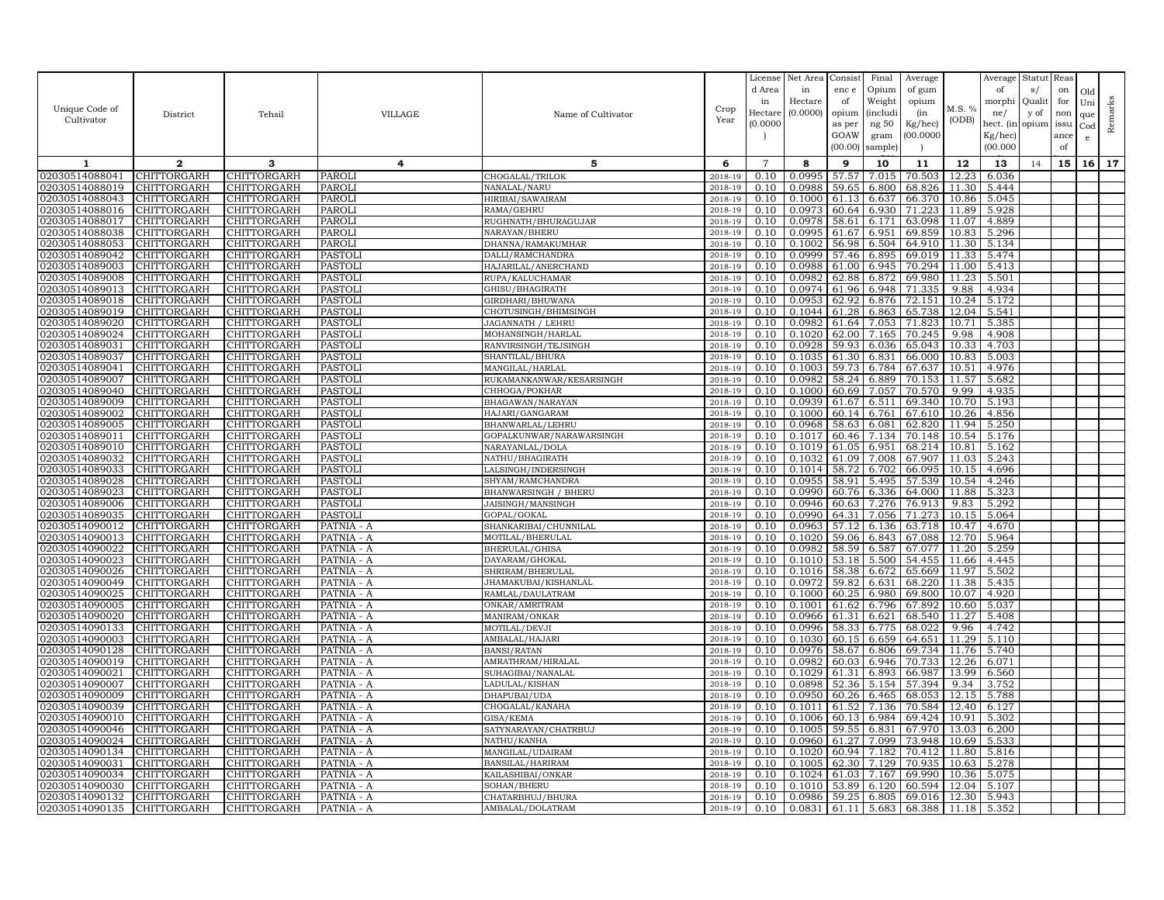|                                  |                            |                            |                                  |                                           |                    | License        | Net Area         | Consist        | Final          | Average          |                | Average        | Statut Reas |      |     |         |
|----------------------------------|----------------------------|----------------------------|----------------------------------|-------------------------------------------|--------------------|----------------|------------------|----------------|----------------|------------------|----------------|----------------|-------------|------|-----|---------|
|                                  |                            |                            |                                  |                                           |                    | d Area         | in               | enc e          | Opium          | of gum           |                | of             | s/          | on   | Old |         |
|                                  |                            |                            |                                  |                                           |                    | in             | Hectare          | of             | Weight         | opium            |                | morphi         | Qualit      | for  | Uni |         |
| Unique Code of                   | District                   | Tehsil                     | <b>VILLAGE</b>                   | Name of Cultivator                        | Crop               | Hectar         | (0.0000)         | opium          | (includi       | (in              | M.S. %         | ne/            | y of        | non  | que |         |
| Cultivator                       |                            |                            |                                  |                                           | Year               | (0.0000)       |                  | as per         | ng 50          | Kg/hec)          | (ODB)          | hect. (in      | opium issu  |      | Cod | Remarks |
|                                  |                            |                            |                                  |                                           |                    |                |                  | GOAW           | gram           | 00.0000          |                | Kg/hec)        |             | ance | e   |         |
|                                  |                            |                            |                                  |                                           |                    |                |                  | (00.00)        | sample)        |                  |                | (00.000)       |             | of   |     |         |
| 1                                | $\mathbf{2}$               | 3                          | 4                                | 5                                         | 6                  | $\overline{7}$ | 8                | 9              | 10             | 11               | 12             | 13             | 14          | 15   | 16  | 17      |
| 02030514088041                   | CHITTORGARH                | CHITTORGARH                | <b>PAROLI</b>                    | CHOGALAL/TRILOK                           | 2018-19            | 0.10           | 0.0995           | 57.57          | 7.015          | 70.503           | 12.23          | 6.036          |             |      |     |         |
| 02030514088019                   | CHITTORGARH                | CHITTORGARH                | <b>PAROL</b>                     | NANALAL/NARU                              | 2018-19            | 0.10           | 0.0988           | 59.65          | 6.800          | 68.826           | 11.30          | 5.444          |             |      |     |         |
| 02030514088043                   | CHITTORGARH                | CHITTORGARH                | <b>PAROL</b>                     | HIRIBAI/SAWAIRAM                          | 2018-19            | 0.10           | 0.1000           | 61.13          | 6.637          | 66.370           | 10.86          | 5.045          |             |      |     |         |
| 02030514088016                   | CHITTORGARH                | CHITTORGARH                | <b>PAROLI</b>                    | RAMA/GEHRU                                | 2018-19            | 0.10           | 0.0973           | 60.64          | 6.930          | 71.223           | 11.89          | 5.928          |             |      |     |         |
| 02030514088017                   | CHITTORGARH                | CHITTORGARH                | <b>PAROLI</b>                    | RUGHNATH/BHURAGUJAR                       | 2018-19            | 0.10           | 0.0978           | 58.61          | 6.171          | 63.098           | 11.07          | 4.889          |             |      |     |         |
| 02030514088038                   | CHITTORGARH                | CHITTORGARH                | <b>PAROLI</b>                    | NARAYAN/BHERU                             | 2018-19            | 0.10           | 0.0995           | 61.67          | 6.951          | 69.859           | 10.83          | 5.296          |             |      |     |         |
| 02030514088053                   | CHITTORGARH                | CHITTORGARH                | PAROLI                           | DHANNA/RAMAKUMHAR                         | 2018-19            | 0.10           | 0.1002           | 56.98          | 6.504          | 64.910           | 11.30          | 5.134          |             |      |     |         |
| 02030514089042                   | CHITTORGARH                | CHITTORGARH                | <b>PASTOLI</b>                   | DALLI/RAMCHANDRA                          | 2018-19            | 0.10           | 0.0999           | 57.46          | 6.895          | 69.019           | 11.33          | 5.474          |             |      |     |         |
| 02030514089003                   | CHITTORGARH                | CHITTORGARH                | PASTOL                           | HAJARILAL/ANERCHAND                       | 2018-19            | 0.10           | 0.0988           | 61.00          | 6.945          | 70.294           | 11.00          | 5.413          |             |      |     |         |
| 02030514089008                   | CHITTORGARH                | CHITTORGARH                | <b>PASTOLI</b>                   | RUPA/KALUCHAMAR                           | 2018-19            | 0.10           | 0.0982           | 62.88          | 6.872          | 69.980           | 11.23          | 5.501          |             |      |     |         |
| 02030514089013                   | CHITTORGARH                | CHITTORGARH                | <b>PASTOLI</b>                   | GHISU/BHAGIRATH                           | 2018-19            | 0.10           | 0.0974           | 61.96          | 6.948          | 71.335           | 9.88           | 4.934          |             |      |     |         |
| 02030514089018                   | CHITTORGARH                | CHITTORGARH                | <b>PASTOLI</b>                   | GIRDHARI/BHUWANA                          | 2018-19            | 0.10           | 0.0953<br>0.1044 | 62.92<br>61.28 | 6.876          | 72.151           | 10.24          | 5.172          |             |      |     |         |
| 02030514089019<br>02030514089020 | CHITTORGARH<br>CHITTORGARH | CHITTORGARH<br>CHITTORGARH | <b>PASTOLI</b><br><b>PASTOLI</b> | CHOTUSINGH/BHIMSINGH<br>JAGANNATH / LEHRU | 2018-19<br>2018-19 | 0.10<br>0.10   | 0.0982           | 61.64          | 6.863<br>7.053 | 65.738<br>71.823 | 12.04<br>10.71 | 5.541<br>5.385 |             |      |     |         |
| 02030514089024                   | CHITTORGARH                | CHITTORGARH                | <b>PASTOLI</b>                   | MOHANSINGH/HARLAL                         | 2018-19            | 0.10           | 0.1020           | 62.00          | 7.165          | 70.245           | 9.98           | 4.908          |             |      |     |         |
| 02030514089031                   | CHITTORGARH                | CHITTORGARH                | <b>PASTOLI</b>                   | RANVIRSINGH/TEJSINGH                      | 2018-19            | 0.10           | 0.0928           | 59.93          | 6.036          | 65.043           | 10.33          | 4.703          |             |      |     |         |
| 02030514089037                   | CHITTORGARH                | CHITTORGARH                | <b>PASTOLI</b>                   | SHANTILAL/BHURA                           | 2018-19            | 0.10           | 0.1035           | 61.30          | 6.831          | 66.000           | 10.83          | 5.003          |             |      |     |         |
| 02030514089041                   | CHITTORGARH                | CHITTORGARH                | <b>PASTOL</b>                    | MANGILAL/HARLAL                           | 2018-19            | 0.10           | 0.1003           | 59.73          | 6.784          | 67.637           | 10.51          | 4.976          |             |      |     |         |
| 02030514089007                   | CHITTORGARH                | CHITTORGARH                | <b>PASTOLI</b>                   | RUKAMANKANWAR/KESARSINGH                  | 2018-19            | 0.10           | 0.0982           | 58.24          | 6.889          | 70.153           | 11.57          | 5.682          |             |      |     |         |
| 02030514089040                   | CHITTORGARH                | CHITTORGARH                | <b>PASTOL</b>                    | CHHOGA/POKHAR                             | 2018-19            | 0.10           | 0.1000           | 60.69          | 7.057          | 70.570           | 9.99           | 4.935          |             |      |     |         |
| 02030514089009                   | CHITTORGARH                | CHITTORGARH                | <b>PASTOLI</b>                   | BHAGAWAN/NARAYAN                          | 2018-19            | 0.10           | 0.0939           | 61.67          | 6.511          | 69.340           | 10.70          | 5.193          |             |      |     |         |
| 02030514089002                   | CHITTORGARH                | CHITTORGARH                | <b>PASTOLI</b>                   | HAJARI/GANGARAM                           | 2018-19            | 0.10           | 0.1000           | 60.14          | 6.761          | 67.610           | 10.26          | 4.856          |             |      |     |         |
| 02030514089005                   | CHITTORGARH                | CHITTORGARH                | <b>PASTOLI</b>                   | BHANWARLAL/LEHRU                          | 2018-19            | 0.10           | 0.0968           | 58.63          | 6.081          | 62.820           | 11.94          | 5.250          |             |      |     |         |
| 02030514089011                   | CHITTORGARH                | CHITTORGARH                | <b>PASTOLI</b>                   | GOPALKUNWAR/NARAWARSINGH                  | 2018-19            | 0.10           | 0.1017           | 60.46          | 7.134          | 70.148           | 10.54          | 5.176          |             |      |     |         |
| 02030514089010                   | CHITTORGARH                | CHITTORGARH                | <b>PASTOLI</b>                   | NARAYANLAL/DOLA                           | 2018-19            | 0.10           | 0.1019           | 61.05          | 6.951          | 68.214           | 10.81          | 5.162          |             |      |     |         |
| 02030514089032                   | CHITTORGARH                | CHITTORGARH                | <b>PASTOLI</b>                   | NATHU/BHAGIRATH                           | 2018-19            | 0.10           | 0.1032           | 61.09          | 7.008          | 67.907           | 11.03          | 5.243          |             |      |     |         |
| 02030514089033                   | CHITTORGARH                | CHITTORGARH                | <b>PASTOLI</b>                   | LALSINGH/INDERSINGH                       | 2018-19            | 0.10           | 0.1014           | 58.72          | 6.702          | 66.095           | 10.15          | 4.696          |             |      |     |         |
| 02030514089028                   | CHITTORGARH                | CHITTORGARH                | <b>PASTOLI</b>                   | SHYAM/RAMCHANDRA                          | 2018-19            | 0.10           | 0.0955           | 58.91          | 5.495          | 57.539           | 10.54          | 4.246          |             |      |     |         |
| 02030514089023                   | CHITTORGARH                | CHITTORGARH                | <b>PASTOLI</b>                   | BHANWARSINGH / BHERU                      | 2018-19            | 0.10           | 0.0990           | 60.76          | 6.336          | 64.000           | 11.88          | 5.323          |             |      |     |         |
| 02030514089006                   | CHITTORGARH                | <b>CHITTORGARH</b>         | <b>PASTOLI</b>                   | JAISINGH/MANSINGH                         | 2018-19            | 0.10           | 0.0946           | 60.63          | 7.276          | 76.913           | 9.83           | 5.292          |             |      |     |         |
| 02030514089035<br>02030514090012 | CHITTORGARH<br>CHITTORGARH | CHITTORGARH<br>CHITTORGARH | <b>PASTOLI</b><br>PATNIA - A     | GOPAL/GOKAL<br>SHANKARIBAI/CHUNNILAL      | 2018-19<br>2018-19 | 0.10<br>0.10   | 0.0990<br>0.0963 | 64.31<br>57.12 | 7.056<br>6.136 | 71.273<br>63.718 | 10.15<br>10.47 | 5.064<br>4.670 |             |      |     |         |
| 02030514090013                   | CHITTORGARH                | CHITTORGARH                | PATNIA - A                       | MOTILAL/BHERULAL                          | 2018-19            | 0.10           | 0.1020           | 59.06          | 6.843          | 67.088           | 12.70          | 5.964          |             |      |     |         |
| 02030514090022                   | CHITTORGARH                | CHITTORGARH                | PATNIA - A                       | BHERULAL/GHISA                            | 2018-19            | 0.10           | 0.0982           | 58.59          | 6.587          | 67.077           | 11.20          | 5.259          |             |      |     |         |
| 02030514090023                   | CHITTORGARH                | CHITTORGARH                | PATNIA - A                       | DAYARAM/GHOKAL                            | 2018-19            | 0.10           | 0.1010           | 53.18          | 5.500          | 54.455           | 11.66          | 4.445          |             |      |     |         |
| 02030514090026                   | CHITTORGARH                | CHITTORGARH                | PATNIA - A                       | SHRIRAM/BHERULAL                          | 2018-19            | 0.10           | 0.1016           | 58.38          | 6.672          | 65.669           | 11.97          | 5.502          |             |      |     |         |
| 02030514090049                   | CHITTORGARH                | CHITTORGARH                | PATNIA - A                       | JHAMAKUBAI/KISHANLAL                      | 2018-19            | 0.10           | 0.0972           | 59.82          | 6.631          | 68.220           | 11.38          | 5.435          |             |      |     |         |
| 02030514090025                   | CHITTORGARH                | CHITTORGARH                | PATNIA - A                       | RAMLAL/DAULATRAM                          | 2018-19            | 0.10           | 0.1000           | 60.25          | 6.980          | 69.800           | 10.07          | 4.920          |             |      |     |         |
| 02030514090005                   | CHITTORGARH                | CHITTORGARH                | PATNIA - A                       | ONKAR/AMRITRAM                            | 2018-19            | 0.10           | 0.1001           | 61.62          | 6.796          | 67.892           | 10.60          | 5.037          |             |      |     |         |
| 02030514090020                   | CHITTORGARH                | CHITTORGARH                | PATNIA - A                       | MANIRAM/ONKAR                             | 2018-19            | 0.10           | 0.0966           | 61.31          | 6.621          | 68.540           | 11.27          | 5.408          |             |      |     |         |
| 02030514090133                   | CHITTORGARH                | CHITTORGARH                | PATNIA - A                       | MOTILAL/DEVJI                             | 2018-19            | 0.10           | 0.0996           | 58.33          | 6.775          | 68.022           | 9.96           | 4.742          |             |      |     |         |
| 02030514090003                   | CHITTORGARH                | CHITTORGARH                | PATNIA - A                       | AMBALAL/HAJARI                            | 2018-19            | 0.10           | 0.1030           | 60.15          | 6.659          | 64.651           | 11.29          | 5.110          |             |      |     |         |
| 02030514090128                   | CHITTORGARH                | CHITTORGARH                | PATNIA - A                       | BANSI/RATAN                               | 2018-19            | 0.10           | 0.0976           | 58.67          | 6.806          | 69.734           | 11.76          | 5.740          |             |      |     |         |
| 02030514090019                   | CHITTORGARH                | CHITTORGARH                | PATNIA - A                       | AMRATHRAM/HIRALAL                         | 2018-19            | 0.10           | 0.0982           | 60.03          | 6.946          | 70.733           | 12.26          | 6.071          |             |      |     |         |
| 02030514090021                   | CHITTORGARH                | CHITTORGARH                | PATNIA - A                       | SUHAGIBAI/NANALAL                         | 2018-19            | 0.10           | 0.1029           | 61.31          | 6.893          | 66.987           | 13.99          | 6.560          |             |      |     |         |
| 02030514090007                   | CHITTORGARH                | CHITTORGARH                | PATNIA - A                       | LADULAL/KISHAN                            | 2018-19            | 0.10           | 0.0898           | 52.36          | 5.154          | 57.394           | 9.34           | 3.752          |             |      |     |         |
| 02030514090009                   | CHITTORGARH                | CHITTORGARH                | PATNIA - A                       | DHAPUBAI/UDA                              | 2018-19            | 0.10           | 0.0950           | 60.26          | 6.465          | 68.053           | 12.15          | 5.788          |             |      |     |         |
| 02030514090039<br>02030514090010 | CHITTORGARH<br>CHITTORGARH | CHITTORGARH<br>CHITTORGARH | PATNIA - A<br>PATNIA - A         | CHOGALAL/KANAHA<br>GISA/KEMA              | 2018-19<br>2018-19 | 0.10<br>0.10   | 0.1011<br>0.1006 | 61.52<br>60.13 | 7.136<br>6.984 | 70.584<br>69.424 | 12.40<br>10.91 | 6.127<br>5.302 |             |      |     |         |
| 02030514090046                   | CHITTORGARH                | CHITTORGARH                | PATNIA - A                       | SATYNARAYAN/CHATRBUJ                      | 2018-19            | 0.10           | 0.1005           | 59.55          | 6.831          | 67.970           | 13.03          | 6.200          |             |      |     |         |
| 02030514090024                   | CHITTORGARH                | CHITTORGARH                | PATNIA - A                       | NATHU/KANHA                               | 2018-19            | 0.10           | 0.0960           | 61.27          | 7.099          | 73.948           | 10.69          | 5.533          |             |      |     |         |
| 02030514090134                   | CHITTORGARH                | <b>CHITTORGARH</b>         | PATNIA - A                       | MANGILAL/UDAIRAM                          | 2018-19            | 0.10           | 0.1020           | 60.94          | 7.182          | 70.412           | 11.80          | 5.816          |             |      |     |         |
| 02030514090031                   | CHITTORGARH                | CHITTORGARH                | PATNIA - A                       | BANSILAL/HARIRAM                          | 2018-19            | 0.10           | 0.1005           | 62.30          | 7.129          | 70.935           | 10.63          | 5.278          |             |      |     |         |
| 02030514090034                   | CHITTORGARH                | CHITTORGARH                | PATNIA - A                       | KAILASHIBAI/ONKAR                         | 2018-19            | 0.10           | 0.1024           | 61.03          | 7.167          | 69.990           | 10.36          | 5.075          |             |      |     |         |
| 02030514090030                   | CHITTORGARH                | CHITTORGARH                | PATNIA - A                       | SOHAN/BHERU                               | 2018-19            | 0.10           | 0.1010           | 53.89          | 6.120          | 60.594           | 12.04          | 5.107          |             |      |     |         |
| 02030514090132                   | CHITTORGARH                | CHITTORGARH                | PATNIA - A                       | CHATARBHUJ/BHURA                          | 2018-19            | 0.10           | 0.0986           | 59.25          | 6.805          | 69.016           | 12.30          | 5.943          |             |      |     |         |
| 02030514090135                   | CHITTORGARH                | CHITTORGARH                | PATNIA - A                       | AMBALAL/DOLATRAM                          | 2018-19            | 0.10           | 0.0831           | 61.11          | 5.683          | 68.388           | 11.18          | 5.352          |             |      |     |         |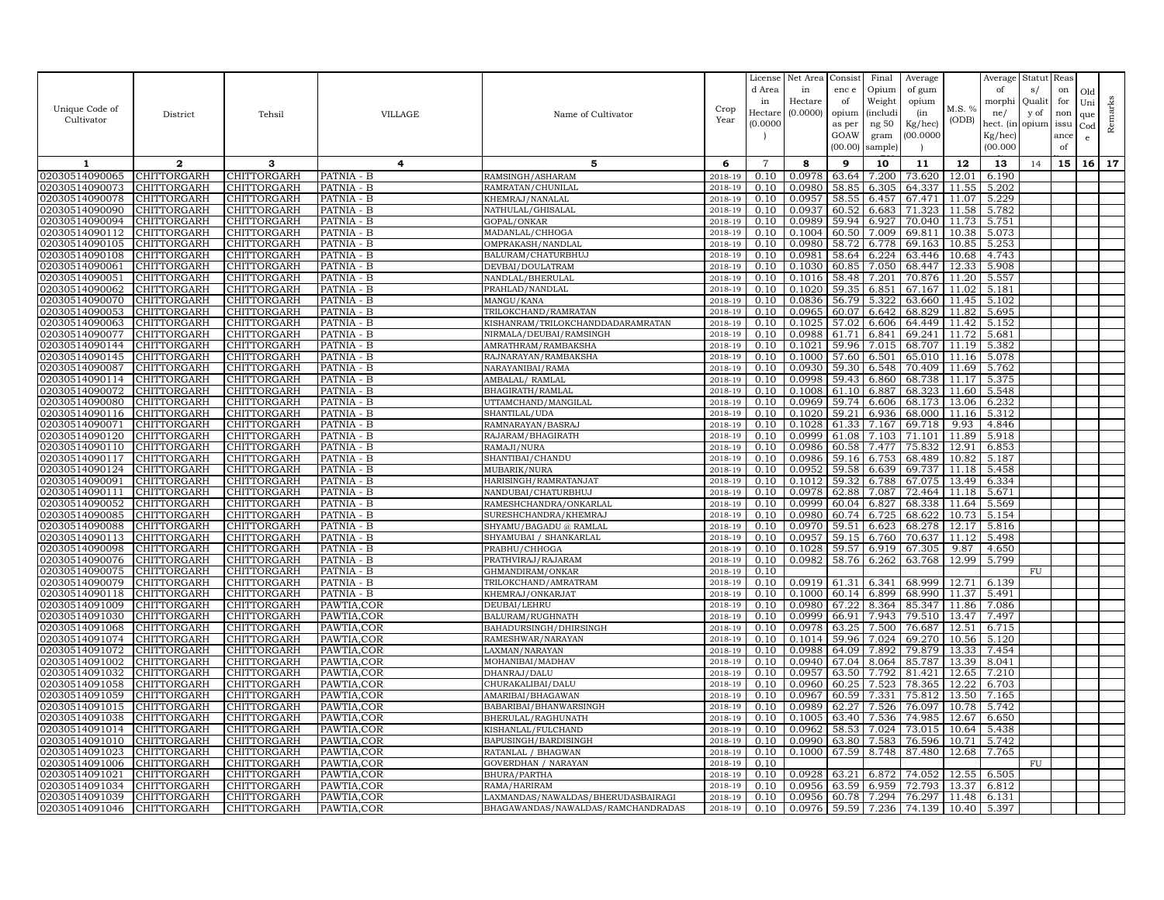|                                  |                                   |                                   |                            |                                               |                    | License<br>d Area | Net Area<br>in      | Consist<br>enc e | Final<br>Opium            | Average<br>of gum |                | Average<br>of  | Statut<br>s/  | Reas<br>on | Old             |         |
|----------------------------------|-----------------------------------|-----------------------------------|----------------------------|-----------------------------------------------|--------------------|-------------------|---------------------|------------------|---------------------------|-------------------|----------------|----------------|---------------|------------|-----------------|---------|
| Unique Code of                   | District                          | Tehsil                            | VILLAGE                    | Name of Cultivator                            | Crop               | in<br>Hectare     | Hectare<br>(0.0000) | of<br>opium      | Weight<br><i>(includi</i> | opium<br>(in      | M.S. %         | morphi<br>ne/  | Quali<br>y of | for<br>non | Uni<br>que      | Remarks |
| Cultivator                       |                                   |                                   |                            |                                               | Year               | (0.0000)          |                     | as per           | ng 50                     | Kg/hec)           | (ODB)          | hect. (in      | opium         | issu       | Cod             |         |
|                                  |                                   |                                   |                            |                                               |                    |                   |                     | GOAW             | gram                      | 00.000C           |                | Kg/hec)        |               | ance       | $\mathbf{e}$    |         |
|                                  |                                   |                                   |                            |                                               |                    |                   |                     | (00.00)          | sample)                   |                   |                | (00.000)       |               | of         |                 |         |
| 1                                | $\mathbf{2}$                      | 3                                 | 4                          | 5                                             | 6                  | $\overline{7}$    | 8                   | 9                | 10                        | 11                | 12             | 13             | 14            | 15         | 16 <sup>1</sup> | 17      |
| 02030514090065                   | CHITTORGARH                       | CHITTORGARH                       | PATNIA - B                 | RAMSINGH/ASHARAM                              | 2018-19            | 0.10              | 0.0978              | 63.64            | 7.200                     | 73.620            | 12.01          | 6.190          |               |            |                 |         |
| 02030514090073<br>02030514090078 | CHITTORGARH<br>CHITTORGARH        | <b>CHITTORGARH</b><br>CHITTORGARH | PATNIA - B<br>PATNIA - B   | RAMRATAN/CHUNILAL<br>KHEMRAJ/NANALAL          | 2018-19<br>2018-19 | 0.10<br>0.10      | 0.0980<br>0.0957    | 58.85<br>58.5    | 6.305<br>6.457            | 64.337<br>67.471  | 11.55<br>11.07 | 5.202<br>5.229 |               |            |                 |         |
| 02030514090090                   | CHITTORGARH                       | CHITTORGARH                       | PATNIA - B                 | NATHULAL/GHISALAL                             | 2018-19            | 0.10              | 0.0937              | 60.52            | 6.683                     | 71.323            | 11.58          | 5.782          |               |            |                 |         |
| 02030514090094                   | CHITTORGARH                       | CHITTORGARH                       | PATNIA - B                 | GOPAL/ONKAR                                   | 2018-19            | 0.10              | 0.0989              | 59.94            | 6.927                     | 70.040            | 11.73          | 5.751          |               |            |                 |         |
| 02030514090112                   | CHITTORGARH                       | CHITTORGARH                       | PATNIA - B                 | MADANLAL/CHHOGA                               | 2018-19            | 0.10              | 0.1004              | 60.50            | 7.009                     | 69.811            | 10.38          | 5.073          |               |            |                 |         |
| 02030514090105                   | <b>CHITTORGARH</b>                | CHITTORGARH                       | PATNIA - B                 | OMPRAKASH/NANDLAL                             | 2018-19            | 0.10              | 0.0980              | 58.72            | 6.778                     | 69.163            | 10.85          | 5.253          |               |            |                 |         |
| 02030514090108                   | CHITTORGARH                       | CHITTORGARH                       | PATNIA - B                 | BALURAM/CHATURBHUJ                            | 2018-19            | 0.10              | 0.0981              | 58.64            | 6.224                     | 63.446            | 10.68          | 4.743          |               |            |                 |         |
| 02030514090061                   | CHITTORGARH                       | <b>CHITTORGARH</b>                | PATNIA - B                 | DEVBAI/DOULATRAM                              | 2018-19            | 0.10              | 0.1030              | 60.85            | 7.050                     | 68.447            | 12.33          | 5.908          |               |            |                 |         |
| 02030514090051<br>02030514090062 | CHITTORGARH<br><b>CHITTORGARH</b> | CHITTORGARH<br><b>CHITTORGARH</b> | PATNIA - B<br>PATNIA - B   | NANDLAL/BHERULAL<br>PRAHLAD/NANDLAL           | 2018-19<br>2018-19 | 0.10<br>0.10      | 0.1016<br>0.1020    | 58.48<br>59.35   | 7.201<br>6.851            | 70.876<br>67.167  | 11.20<br>11.02 | 5.557<br>5.181 |               |            |                 |         |
| 02030514090070                   | CHITTORGARH                       | CHITTORGARH                       | PATNIA - B                 | MANGU/KANA                                    | 2018-19            | 0.10              | 0.0836              | 56.79            | 5.322                     | 63.660            | 11.45          | 5.102          |               |            |                 |         |
| 02030514090053                   | CHITTORGARH                       | CHITTORGARH                       | PATNIA - B                 | TRILOKCHAND/RAMRATAN                          | 2018-19            | 0.10              | 0.0965              | 60.07            | 6.642                     | 68.829            | 11.82          | 5.695          |               |            |                 |         |
| 02030514090063                   | CHITTORGARH                       | CHITTORGARH                       | PATNIA - B                 | KISHANRAM/TRILOKCHANDDADARAMRATAN             | 2018-19            | 0.10              | 0.1025              | 57.02            | 6.606                     | 64.449            | 11.42          | 5.152          |               |            |                 |         |
| 02030514090077                   | CHITTORGARH                       | CHITTORGARH                       | PATNIA - B                 | NIRMALA/DEUBAI/RAMSINGH                       | 2018-19            | 0.10              | 0.0988              | 61.71            | 6.841                     | 69.241            | 11.72          | 5.681          |               |            |                 |         |
| 02030514090144                   | CHITTORGARH                       | CHITTORGARH                       | PATNIA - B                 | AMRATHRAM/RAMBAKSHA                           | 2018-19            | 0.10              | 0.1021              | 59.96            | 7.015                     | 68.707            | 11.19          | 5.382          |               |            |                 |         |
| 02030514090145                   | CHITTORGARH                       | CHITTORGARH                       | PATNIA - B                 | RAJNARAYAN/RAMBAKSHA                          | $2018 - 1$         | 0.10              | 0.1000              | 57.60            | 6.501                     | 65.010            | 11.16          | 5.078          |               |            |                 |         |
| 02030514090087                   | <b>CHITTORGARH</b>                | CHITTORGARH                       | PATNIA - B                 | NARAYANIBAI/RAMA                              | 2018-19            | 0.10              | 0.0930              | 59.30            | 6.548                     | 70.409            | 11.69          | 5.762          |               |            |                 |         |
| 02030514090114<br>02030514090072 | CHITTORGARH                       | CHITTORGARH                       | PATNIA - B                 | AMBALAL/ RAMLAL                               | 2018-19            | 0.10<br>0.10      | 0.0998<br>0.1008    | 59.43<br>61.10   | 6.860<br>6.887            | 68.738<br>68.323  | 11.17<br>11.60 | 5.375<br>5.548 |               |            |                 |         |
| 02030514090080                   | CHITTORGARH<br>CHITTORGARH        | CHITTORGARH<br>CHITTORGARH        | PATNIA - B<br>PATNIA - B   | BHAGIRATH/RAMLAI<br>UTTAMCHAND/MANGILAL       | 2018-19<br>2018-19 | 0.10              | 0.0969              | 59.74            | 6.606                     | 68.173            | 13.06          | 6.232          |               |            |                 |         |
| 02030514090116                   | CHITTORGARH                       | CHITTORGARH                       | PATNIA - B                 | SHANTILAL/UDA                                 | 2018-19            | 0.10              | 0.1020              | 59.21            | 6.936                     | 68.000            | 11.16          | 5.312          |               |            |                 |         |
| 02030514090071                   | CHITTORGARH                       | CHITTORGARH                       | PATNIA - B                 | RAMNARAYAN/BASRAJ                             | 2018-19            | 0.10              | 0.1028              | 61.33            | 7.167                     | 69.718            | 9.93           | 4.846          |               |            |                 |         |
| 02030514090120                   | CHITTORGARH                       | CHITTORGARH                       | $\overline{PATNIA}$ - $B$  | RAJARAM/BHAGIRATH                             | 2018-19            | 0.10              | 0.0999              | 61.08            | 7.103                     | 71.101            | 11.89          | 5.918          |               |            |                 |         |
| 02030514090110                   | CHITTORGARH                       | <b>CHITTORGARH</b>                | PATNIA - B                 | RAMAJI/NURA                                   | 2018-19            | 0.10              | 0.0986              | 60.58            | 7.477                     | 75.832            | 12.91          | 6.853          |               |            |                 |         |
| 02030514090117                   | CHITTORGARH                       | CHITTORGARH                       | PATNIA - B                 | SHANTIBAI/CHANDU                              | 2018-19            | 0.10              | 0.0986              | 59.16            | 6.753                     | 68.489            | 10.82          | 5.187          |               |            |                 |         |
| 02030514090124                   | CHITTORGARH                       | CHITTORGARH                       | PATNIA - B                 | MUBARIK/NURA                                  | 2018-19            | 0.10              | 0.0952              | 59.58            | 6.639                     | 69.737            | 11.18          | 5.458          |               |            |                 |         |
| 02030514090091                   | CHITTORGARH<br><b>CHITTORGARH</b> | CHITTORGARH<br><b>CHITTORGARH</b> | PATNIA - B                 | HARISINGH/RAMRATANJAT                         | 2018-19            | 0.10<br>0.10      | 0.1012              | 59.32<br>62.88   | 6.788<br>7.087            | 67.075<br>72.464  | 13.49<br>11.18 | 6.334          |               |            |                 |         |
| 02030514090111<br>02030514090052 | CHITTORGARH                       | CHITTORGARH                       | PATNIA - B<br>PATNIA - B   | NANDUBAI/CHATURBHUJ<br>RAMESHCHANDRA/ONKARLAL | 2018-19<br>2018-19 | 0.10              | 0.0978<br>0.0999    | 60.04            | 6.827                     | 68.338            | 11.64          | 5.671<br>5.569 |               |            |                 |         |
| 02030514090085                   | <b>CHITTORGARH</b>                | CHITTORGARH                       | PATNIA - B                 | SURESHCHANDRA/KHEMRAJ                         | 2018-19            | 0.10              | 0.0980              | 60.74            | 6.725                     | 68.622            | 10.73          | 5.154          |               |            |                 |         |
| 02030514090088                   | CHITTORGARH                       | CHITTORGARH                       | PATNIA - B                 | SHYAMU/BAGADU @ RAMLAI                        | 2018-19            | 0.10              | 0.0970              | 59.5             | 6.623                     | 68.278            | 12.17          | 5.816          |               |            |                 |         |
| 02030514090113                   | <b>CHITTORGARH</b>                | CHITTORGARH                       | PATNIA - B                 | SHYAMUBAI / SHANKARLAL                        | 2018-19            | 0.10              | 0.0957              | 59.15            | 6.760                     | 70.637            | 11.12          | 5.498          |               |            |                 |         |
| 02030514090098                   | CHITTORGARH                       | CHITTORGARH                       | PATNIA - B                 | PRABHU/CHHOGA                                 | 2018-19            | 0.10              | 0.1028              | 59.57            | 6.919                     | 67.305            | 9.87           | 4.650          |               |            |                 |         |
| 02030514090076                   | CHITTORGARH                       | CHITTORGARH                       | PATNIA - B                 | PRATHVIRAJ/RAJARAM                            | 2018-19            | 0.10              | 0.0982              | 58.76            | 6.262                     | 63.768            | 12.99          | 5.799          |               |            |                 |         |
| 02030514090075                   | <b>CHITTORGARH</b>                | CHITTORGARH                       | PATNIA - B                 | GHMANDIRAM/ONKAR                              | 2018-19            | 0.10              |                     |                  |                           |                   |                |                | FU            |            |                 |         |
| 02030514090079<br>02030514090118 | CHITTORGARH<br>CHITTORGARH        | CHITTORGARH<br>CHITTORGARH        | PATNIA - B<br>PATNIA - B   | TRILOKCHAND/AMRATRAM<br>KHEMRAJ/ONKARJAT      | 2018-19<br>2018-19 | 0.10<br>0.10      | 0.0919<br>0.1000    | 61.31<br>60.14   | 6.341<br>6.899            | 68.999<br>68.990  | 12.71<br>11.37 | 6.139<br>5.491 |               |            |                 |         |
| 02030514091009                   | CHITTORGARH                       | CHITTORGARH                       | PAWTIA, COR                | DEUBAI/LEHRU                                  | 2018-19            | 0.10              | 0.0980              | 67.22            | 8.364                     | 85.347            | 11.86          | 7.086          |               |            |                 |         |
| 02030514091030                   | <b>CHITTORGARH</b>                | CHITTORGARH                       | PAWTIA, COR                | BALURAM/RUGHNATH                              | 2018-19            | 0.10              | 0.0999              | 66.91            | 7.943                     | 79.510            | 13.47          | 7.497          |               |            |                 |         |
| 02030514091068                   | CHITTORGARH                       | CHITTORGARH                       | PAWTIA, COR                | BAHADURSINGH/DHIRSINGH                        | 2018-19            | 0.10              | 0.0978              | 63.25            | 7.500                     | 76.687            | 12.51          | 6.715          |               |            |                 |         |
| 02030514091074                   | CHITTORGARH                       | CHITTORGARH                       | PAWTIA, COR                | RAMESHWAR/NARAYAN                             | 2018-19            | 0.10              | 0.1014              | 59.96            | 7.024                     | 69.270            | 10.56          | 5.120          |               |            |                 |         |
| 02030514091072                   | CHITTORGARH                       | CHITTORGARH                       | PAWTIA, COR                | LAXMAN/NARAYAN                                | 2018-19            | 0.10              | 0.0988              | 64.09            | 7.892                     | 79.879            | 13.33          | 7.454          |               |            |                 |         |
| 02030514091002                   | CHITTORGARH                       | CHITTORGARH                       | PAWTIA, COR                | MOHANIBAI/MADHAV                              | 2018-19            | 0.10              | 0.0940              | 67.04            | 8.064                     | 85.787            | 13.39          | 8.041          |               |            |                 |         |
| 02030514091032<br>02030514091058 | CHITTORGARH<br>CHITTORGARH        | CHITTORGARH                       | PAWTIA, COR<br>PAWTIA, COR | DHANRAJ/DALU<br>CHURAKALIBAI/DALU             | 2018-19<br>2018-1  | 0.10<br>0.10      | 0.0957<br>0.0960    | 63.50<br>60.25   | 7.792<br>7.523            | 81.421<br>78.365  | 12.65<br>12.22 | 7.210<br>6.703 |               |            |                 |         |
| 02030514091059                   | <b>CHITTORGARH</b>                | CHITTORGARH<br>CHITTORGARH        | PAWTIA, COR                | AMARIBAI/BHAGAWAN                             | 2018-19            | 0.10              | 0.0967              | 60.59            | 7.331                     | 75.812            | 13.50          | 7.165          |               |            |                 |         |
| 02030514091015                   | CHITTORGARH                       | CHITTORGARH                       | PAWTIA, COR                | BABARIBAI/BHANWARSINGH                        | 2018-19            | 0.10              | 0.0989              | 62.27            | 7.526                     | 76.097            | 10.78          | 5.742          |               |            |                 |         |
| 02030514091038                   | CHITTORGARH                       | CHITTORGARH                       | PAWTIA, COR                | BHERULAL/RAGHUNATH                            | 2018-19            | 0.10              | 0.1005              |                  | 63.40 7.536               | 74.985            | 12.67          | 6.650          |               |            |                 |         |
| 02030514091014                   | CHITTORGARH                       | CHITTORGARH                       | PAWTIA, COR                | KISHANLAL/FULCHAND                            | 2018-19            | 0.10              | 0.0962              | 58.53            | 7.024                     | 73.015            | 10.64          | 5.438          |               |            |                 |         |
| 02030514091010                   | <b>CHITTORGARH</b>                | CHITTORGARH                       | PAWTIA, COR                | BAPUSINGH/BARDISINGH                          | 2018-19            | 0.10              | 0.0990              | 63.80            | 7.583                     | 76.596            | 10.71          | 5.742          |               |            |                 |         |
| 02030514091023                   | CHITTORGARH                       | CHITTORGARH                       | PAWTIA, COR                | RATANLAL / BHAGWAN                            | 2018-19            | 0.10              | 0.1000              | 67.59            | 8.748                     | 87.480            | 12.68          | 7.765          |               |            |                 |         |
| 02030514091006<br>02030514091021 | CHITTORGARH<br>CHITTORGARH        | CHITTORGARH                       | PAWTIA, COR                | <b>GOVERDHAN / NARAYAN</b>                    | 2018-19            | 0.10              | 0.0928              | 63.21            | 6.872                     | 74.052            | 12.55          |                | FU            |            |                 |         |
| 02030514091034                   | CHITTORGARH                       | CHITTORGARH<br>CHITTORGARH        | PAWTIA, COR<br>PAWTIA, COR | BHURA/PARTHA<br>RAMA/HARIRAM                  | 2018-19<br>2018-19 | 0.10<br>0.10      | 0.0956              | 63.59            | 6.959                     | 72.793            | 13.37          | 6.505<br>6.812 |               |            |                 |         |
| 02030514091039                   | <b>CHITTORGARH</b>                | CHITTORGARH                       | PAWTIA, COR                | LAXMANDAS/NAWALDAS/BHERUDASBAIRAGI            | 2018-19            | 0.10              | 0.0956              | 60.78            | 7.294                     | 76.297            | 11.48          | 6.131          |               |            |                 |         |
| 02030514091046                   | <b>CHITTORGARH</b>                | CHITTORGARH                       | PAWTIA, COR                | BHAGAWANDAS/NAWALDAS/RAMCHANDRADAS            | 2018-19            | 0.10              | 0.0976              |                  | 59.59 7.236               | 74.139            | 10.40          | 5.397          |               |            |                 |         |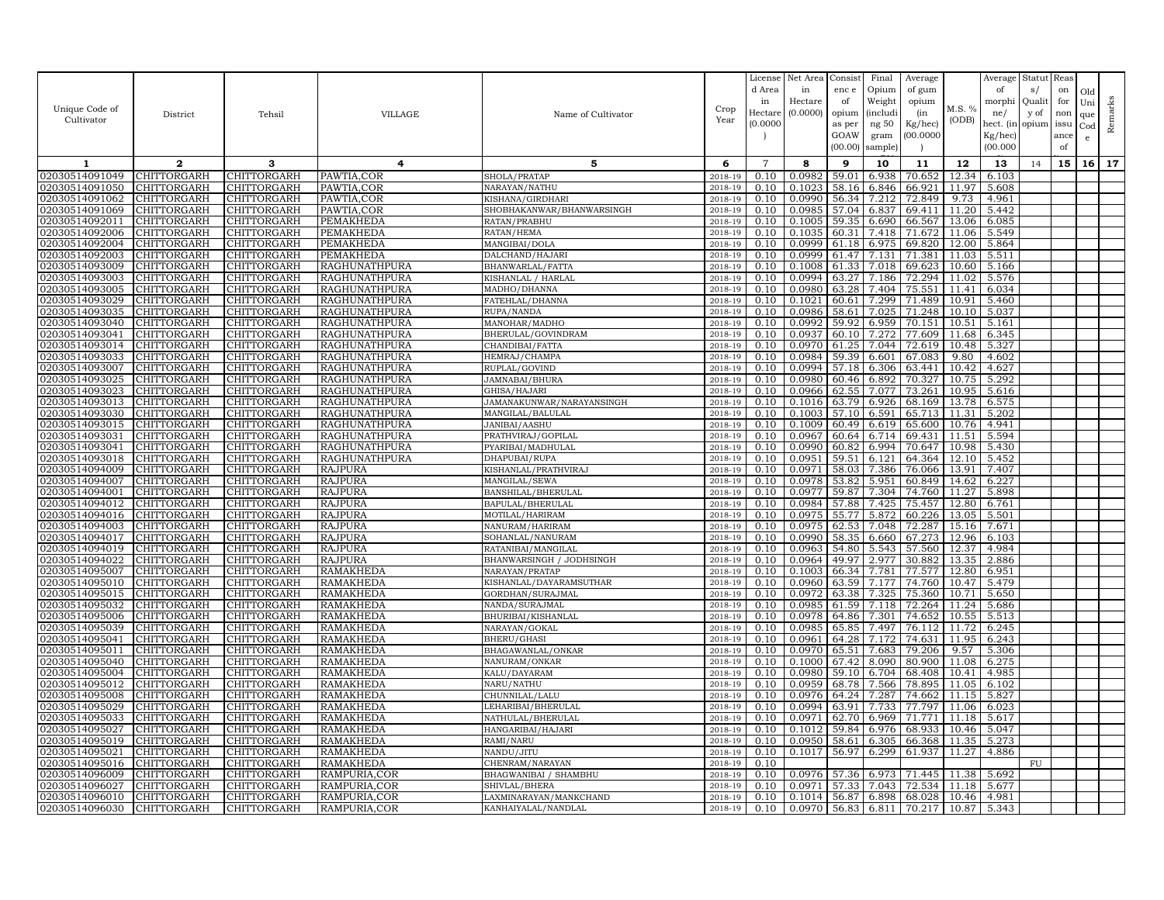| Unique Code of<br>Cultivator     | District                          | Tehsil                     | VILLAGE                              | Name of Cultivator                    | Crop<br>Year       | License<br>d Area<br>in<br>Hectare<br>(0.0000) | Net Area<br>in<br>Hectare<br>(0.0000) | Consist<br>enc e<br>of<br>opium<br>as per<br>GOAW<br>(00.00) | Final<br>Opium<br>Weight<br><i>(includi</i><br>ng 50<br>gram<br>sample) | Average<br>of gum<br>opium<br>(in<br>Kg/hec)<br>00.000C | M.S. %<br>(ODB) | Average<br>of<br>morphi<br>ne/<br>hect. (in<br>Kg/hec)<br>(00.000) | Statut<br>s/<br>Quali<br>y of<br>opium | Reas<br>on<br>for<br>non<br>issu<br>ance<br>of | Old<br>Uni<br>que<br>$_{\rm Cod}$<br>e | Remarks |
|----------------------------------|-----------------------------------|----------------------------|--------------------------------------|---------------------------------------|--------------------|------------------------------------------------|---------------------------------------|--------------------------------------------------------------|-------------------------------------------------------------------------|---------------------------------------------------------|-----------------|--------------------------------------------------------------------|----------------------------------------|------------------------------------------------|----------------------------------------|---------|
| 1                                | $\mathbf{2}$                      | 3                          | 4                                    | 5                                     | 6                  | $\overline{7}$                                 | 8                                     | 9                                                            | 10                                                                      | 11                                                      | 12              | 13                                                                 | 14                                     | 15                                             | 16                                     | 17      |
| 02030514091049                   | CHITTORGARH                       | <b>CHITTORGARH</b>         | PAWTIA, COR                          | SHOLA/PRATAP                          | 2018-19            | 0.10                                           | 0.0982                                | 59.01                                                        | 6.938                                                                   | 70.652                                                  | 12.34           | 6.103                                                              |                                        |                                                |                                        |         |
| 02030514091050                   | CHITTORGARH                       | CHITTORGARH                | PAWTIA.COR                           | NARAYAN/NATHU                         | 2018-19            | 0.10                                           | 0.1023                                | 58.16                                                        | 6.846                                                                   | 66.921                                                  | 11.97           | 5.608                                                              |                                        |                                                |                                        |         |
| 02030514091062                   | CHITTORGARH                       | CHITTORGARH                | PAWTIA, COR                          | KISHANA/GIRDHARI                      | $2018 - 1$         | 0.10                                           | 0.0990                                | 56.34                                                        | 7.212                                                                   | 72.849                                                  | 9.73            | 4.961                                                              |                                        |                                                |                                        |         |
| 02030514091069                   | <b>CHITTORGARH</b>                | CHITTORGARH                | PAWTIA, COR                          | SHOBHAKANWAR/BHANWARSINGH             | 2018-19            | 0.10                                           | 0.0985                                | 57.04                                                        | 6.837                                                                   | 69.411                                                  | 11.20           | 5.442                                                              |                                        |                                                |                                        |         |
| 02030514092011                   | CHITTORGARH                       | CHITTORGARH                | PEMAKHEDA                            | RATAN/PRABHU                          | 2018-19            | 0.10                                           | 0.1005                                | 59.35                                                        | 6.690                                                                   | 66.567                                                  | 13.06           | 6.085                                                              |                                        |                                                |                                        |         |
| 02030514092006                   | CHITTORGARH                       | CHITTORGARH                | PEMAKHEDA                            | RATAN/HEMA                            | 2018-19            | 0.10                                           | 0.1035                                | 60.31                                                        | 7.418                                                                   | 71.672                                                  | 11.06           | 5.549                                                              |                                        |                                                |                                        |         |
| 02030514092004                   | CHITTORGARH                       | CHITTORGARH                | PEMAKHEDA                            | MANGIBAI/DOLA                         | 2018-19            | 0.10                                           | 0.0999                                | 61.18                                                        | 6.975                                                                   | 69.820                                                  | 12.00           | 5.864                                                              |                                        |                                                |                                        |         |
| 02030514092003                   | CHITTORGARH                       | CHITTORGARH                | PEMAKHEDA                            | DALCHAND/HAJARI                       | 2018-19            | 0.10                                           | 0.0999                                | 61.47                                                        | 7.131                                                                   | 71.381                                                  | 11.03           | 5.511                                                              |                                        |                                                |                                        |         |
| 02030514093009<br>02030514093003 | CHITTORGARH<br>CHITTORGARH        | CHITTORGARH                | RAGHUNATHPURA                        | BHANWARLAL/FATTA                      | 2018-19            | 0.10                                           | 0.1008<br>0.0994                      | 61.33                                                        | 7.018                                                                   | 69.623<br>72.294                                        | 10.60<br>11.02  | 5.166                                                              |                                        |                                                |                                        |         |
| 02030514093005                   | <b>CHITTORGARH</b>                | CHITTORGARH<br>CHITTORGARH | RAGHUNATHPURA<br>RAGHUNATHPURA       | KISHANLAL / HARLAL<br>MADHO/DHANNA    | 2018-19<br>2018-19 | 0.10<br>0.10                                   | 0.0980                                | 63.27<br>63.28                                               | 7.186<br>7.404                                                          | 75.551                                                  | 11.41           | 5.576<br>6.034                                                     |                                        |                                                |                                        |         |
| 02030514093029                   | CHITTORGARH                       | CHITTORGARH                | <b>RAGHUNATHPURA</b>                 | FATEHLAL/DHANNA                       | 2018-19            | 0.10                                           | 0.1021                                | 60.61                                                        | 7.299                                                                   | 71.489                                                  | 10.91           | 5.460                                                              |                                        |                                                |                                        |         |
| 02030514093035                   | CHITTORGARH                       | CHITTORGARH                | <b>RAGHUNATHPURA</b>                 | RUPA/NANDA                            | 2018-19            | 0.10                                           | 0.0986                                | 58.61                                                        | 7.025                                                                   | 71.248                                                  | 10.10           | 5.037                                                              |                                        |                                                |                                        |         |
| 02030514093040                   | CHITTORGARH                       | CHITTORGARH                | RAGHUNATHPURA                        | MANOHAR/MADHO                         | 2018-19            | 0.10                                           | 0.0992                                | 59.92                                                        | 6.959                                                                   | 70.151                                                  | 10.51           | 5.161                                                              |                                        |                                                |                                        |         |
| 02030514093041                   | CHITTORGARH                       | CHITTORGARH                | RAGHUNATHPURA                        | BHERULAL/GOVINDRAM                    | 2018-19            | 0.10                                           | 0.0937                                | 60.10                                                        | 7.272                                                                   | 77.609                                                  | 11.68           | 6.345                                                              |                                        |                                                |                                        |         |
| 02030514093014                   | CHITTORGARH                       | CHITTORGARH                | RAGHUNATHPURA                        | CHANDIBAI/FATTA                       | 2018-19            | 0.10                                           | 0.0970                                | 61.25                                                        | 7.044                                                                   | 72.619                                                  | 10.48           | 5.327                                                              |                                        |                                                |                                        |         |
| 02030514093033                   | CHITTORGARH                       | CHITTORGARH                | RAGHUNATHPURA                        | HEMRAJ/CHAMPA                         | 2018-19            | 0.10                                           | 0.0984                                | 59.39                                                        | 6.601                                                                   | 67.083                                                  | 9.80            | 4.602                                                              |                                        |                                                |                                        |         |
| 02030514093007                   | CHITTORGARH                       | CHITTORGARH                | RAGHUNATHPURA                        | RUPLAL/GOVIND                         | 2018-19            | 0.10                                           | 0.0994                                | 57.18                                                        | 6.306                                                                   | 63.441                                                  | 10.42           | 4.627                                                              |                                        |                                                |                                        |         |
| 02030514093025                   | <b>CHITTORGARH</b>                | CHITTORGARH                | RAGHUNATHPURA                        | JAMNABAI/BHURA                        | 2018-19            | 0.10                                           | 0.0980                                | 60.46                                                        | 6.892                                                                   | 70.327                                                  | 10.75           | 5.292                                                              |                                        |                                                |                                        |         |
| 02030514093023                   | CHITTORGARH                       | CHITTORGARH                | RAGHUNATHPURA                        | GHISA/HAJARI                          | 2018-19            | 0.10                                           | 0.0966                                | 62.55                                                        | 7.077                                                                   | 73.261                                                  | 10.95           | 5.616                                                              |                                        |                                                |                                        |         |
| 02030514093013                   | CHITTORGARH                       | CHITTORGARH                | RAGHUNATHPURA                        | JAMANAKUNWAR/NARAYANSINGH             | 2018-19            | 0.10                                           | 0.1016                                | 63.79                                                        | 6.926                                                                   | 68.169                                                  | 13.78           | 6.575                                                              |                                        |                                                |                                        |         |
| 02030514093030                   | <b>CHITTORGARH</b>                | CHITTORGARH                | <b>RAGHUNATHPURA</b>                 | MANGILAL/BALULAL                      | 2018-19            | 0.10                                           | 0.1003                                | 57.10                                                        | 6.591                                                                   | 65.713                                                  | 11.31           | 5.202                                                              |                                        |                                                |                                        |         |
| 02030514093015                   | CHITTORGARH                       | CHITTORGARH                | RAGHUNATHPURA                        | JANIBAI/AASHU                         | 2018-19            | 0.10                                           | 0.1009                                | 60.49                                                        | 6.619                                                                   | 65.600                                                  | 10.76           | 4.941                                                              |                                        |                                                |                                        |         |
| 02030514093031                   | <b>CHITTORGARH</b>                | <b>CHITTORGARH</b>         | RAGHUNATHPURA                        | PRATHVIRAJ/GOPILAL                    | 2018-19            | 0.10                                           | 0.0967                                | 60.64                                                        | 6.714                                                                   | 69.431                                                  | 11.51           | 5.594                                                              |                                        |                                                |                                        |         |
| 02030514093041                   | CHITTORGARH                       | CHITTORGARH                | RAGHUNATHPURA                        | PYARIBAI/MADHULAL                     | 2018-19            | 0.10                                           | 0.0990                                | 60.82                                                        | 6.994                                                                   | 70.647                                                  | 10.98           | 5.430                                                              |                                        |                                                |                                        |         |
| 02030514093018                   | <b>CHITTORGARH</b>                | CHITTORGARH                | <b>RAGHUNATHPURA</b>                 | DHAPUBAI/RUPA                         | 2018-19            | 0.10                                           | 0.0951                                | 59.51                                                        | 6.121                                                                   | 64.364                                                  | 12.10           | 5.452                                                              |                                        |                                                |                                        |         |
| 02030514094009<br>02030514094007 | CHITTORGARH<br>CHITTORGARH        | CHITTORGARH<br>CHITTORGARH | <b>RAJPURA</b><br><b>RAJPURA</b>     | KISHANLAL/PRATHVIRAJ<br>MANGILAL/SEWA | 2018-19<br>2018-19 | 0.10<br>0.10                                   | 0.0971<br>0.0978                      | 58.03<br>53.82                                               | 7.386<br>5.951                                                          | 76.066<br>60.849                                        | 13.91<br>14.62  | 7.407<br>6.227                                                     |                                        |                                                |                                        |         |
| 02030514094001                   | CHITTORGARH                       | CHITTORGARH                | <b>RAJPURA</b>                       | BANSHILAL/BHERULAL                    | 2018-19            | 0.10                                           | 0.0977                                | 59.87                                                        | 7.304                                                                   | 74.760                                                  | 11.27           | 5.898                                                              |                                        |                                                |                                        |         |
| 02030514094012                   | CHITTORGARH                       | CHITTORGARH                | <b>RAJPURA</b>                       | BAPULAL/BHERULAL                      | 2018-19            | 0.10                                           | 0.0984                                | 57.88                                                        | 7.425                                                                   | 75.457                                                  | 12.80           | 6.761                                                              |                                        |                                                |                                        |         |
| 02030514094016                   | CHITTORGARH                       | CHITTORGARH                | <b>RAJPURA</b>                       | MOTILAL/HARIRAM                       | 2018-19            | 0.10                                           | 0.0975                                | 55.77                                                        | 5.872                                                                   | 60.226                                                  | 13.05           | 5.501                                                              |                                        |                                                |                                        |         |
| 02030514094003                   | CHITTORGARH                       | CHITTORGARH                | <b>RAJPURA</b>                       | NANURAM/HARIRAM                       | 2018-19            | 0.10                                           | 0.0975                                | 62.53                                                        | 7.048                                                                   | 72.287                                                  | 15.16           | 7.671                                                              |                                        |                                                |                                        |         |
| 02030514094017                   | <b>CHITTORGARH</b>                | CHITTORGARH                | <b>RAJPURA</b>                       | SOHANLAL/NANURAM                      | 2018-19            | 0.10                                           | 0.0990                                | 58.35                                                        | 6.660                                                                   | 67.273                                                  | 12.96           | 6.103                                                              |                                        |                                                |                                        |         |
| 02030514094019                   | CHITTORGARH                       | CHITTORGARH                | <b>RAJPURA</b>                       | RATANIBAI/MANGILAL                    | 2018-19            | 0.10                                           | 0.0963                                | 54.80                                                        | 5.543                                                                   | 57.560                                                  | 12.37           | 4.984                                                              |                                        |                                                |                                        |         |
| 02030514094022                   | <b>CHITTORGARH</b>                | CHITTORGARH                | <b>RAJPURA</b>                       | BHANWARSINGH / JODHSINGH              | 2018-19            | 0.10                                           | 0.0964                                | 49.97                                                        | 2.977                                                                   | 30.882                                                  | 13.35           | 2.886                                                              |                                        |                                                |                                        |         |
| 02030514095007                   | CHITTORGARH                       | CHITTORGARH                | RAMAKHEDA                            | NARAYAN/PRATAP                        | 2018-19            | 0.10                                           | 0.1003                                | 66.34                                                        | 7.781                                                                   | 77.577                                                  | 12.80           | 6.951                                                              |                                        |                                                |                                        |         |
| 02030514095010                   | CHITTORGARH                       | CHITTORGARH                | <b>RAMAKHEDA</b>                     | KISHANLAL/DAYARAMSUTHAR               | 2018-19            | 0.10                                           | 0.0960                                | 63.59                                                        | 7.177                                                                   | 74.760                                                  | 10.47           | 5.479                                                              |                                        |                                                |                                        |         |
| 02030514095015                   | CHITTORGARH                       | CHITTORGARH                | RAMAKHEDA                            | GORDHAN/SURAJMAL                      | 2018-19            | 0.10                                           | 0.0972                                | 63.38                                                        | 7.325                                                                   | 75.360                                                  | 10.71           | 5.650                                                              |                                        |                                                |                                        |         |
| 02030514095032                   | CHITTORGARH                       | CHITTORGARH                | RAMAKHEDA                            | NANDA/SURAJMAL                        | 2018-19            | 0.10                                           | 0.0985                                | 61.59                                                        | 7.118                                                                   | 72.264                                                  | 11.24           | 5.686                                                              |                                        |                                                |                                        |         |
| 02030514095006                   | CHITTORGARH                       | CHITTORGARH                | RAMAKHEDA                            | BHURIBAI/KISHANLAL                    | 2018-19            | 0.10                                           | 0.0978                                | 64.86                                                        | 7.301                                                                   | 74.652                                                  | 10.55           | 5.513                                                              |                                        |                                                |                                        |         |
| 02030514095039                   | CHITTORGARH                       | CHITTORGARH                | <b>RAMAKHEDA</b>                     | NARAYAN/GOKAL                         | 2018-19            | 0.10                                           | 0.0985                                | 65.85                                                        | 7.497                                                                   | 76.112                                                  | 11.72           | 6.245                                                              |                                        |                                                |                                        |         |
| 02030514095041                   | CHITTORGARH                       | CHITTORGARH                | RAMAKHEDA                            | <b>BHERU/GHASI</b>                    | 2018-19<br>2018-19 | 0.10<br>0.10                                   | 0.0961<br>0.0970                      | 64.28                                                        | 7.172                                                                   | 74.631                                                  | 11.95<br>9.57   | 6.243                                                              |                                        |                                                |                                        |         |
| 02030514095011<br>02030514095040 | CHITTORGARH<br><b>CHITTORGARH</b> | CHITTORGARH<br>CHITTORGARH | <b>RAMAKHEDA</b><br><b>RAMAKHEDA</b> | BHAGAWANLAL/ONKAR<br>NANURAM/ONKAR    | 2018-19            | 0.10                                           | 0.1000                                | 65.51<br>67.42                                               | 7.683<br>8.090                                                          | 79.206<br>80.900                                        | 11.08           | 5.306<br>6.275                                                     |                                        |                                                |                                        |         |
| 02030514095004                   | CHITTORGARH                       | <b>CHITTORGARH</b>         | <b>RAMAKHEDA</b>                     | KALU/DAYARAM                          | 2018-19            | 0.10                                           | 0.0980                                | 59.10                                                        | 6.704                                                                   | 68.408                                                  | 10.41           | 4.985                                                              |                                        |                                                |                                        |         |
| 02030514095012                   | CHITTORGARH                       | <b>CHITTORGARH</b>         | <b>RAMAKHEDA</b>                     | NARU/NATHU                            | 2018-19            | 0.10                                           | 0.0959                                | 68.78                                                        | 7.566                                                                   | 78.895                                                  | 11.05           | 6.102                                                              |                                        |                                                |                                        |         |
| 02030514095008                   | CHITTORGARH                       | CHITTORGARH                | <b>RAMAKHEDA</b>                     | CHUNNILAL/LALU                        | 2018-19            | 0.10                                           | 0.0976                                | 64.24                                                        | 7.287                                                                   | 74.662                                                  | 11.15           | 5.827                                                              |                                        |                                                |                                        |         |
| 02030514095029                   | <b>CHITTORGARH</b>                | CHITTORGARH                | <b>RAMAKHEDA</b>                     | LEHARIBAI/BHERULAL                    | 2018-19            | 0.10                                           | 0.0994                                | 63.91                                                        | 7.733                                                                   | 77.797                                                  | 11.06           | 6.023                                                              |                                        |                                                |                                        |         |
| 02030514095033                   | CHITTORGARH                       | CHITTORGARH                | RAMAKHEDA                            | NATHULAL/BHERULAL                     | 2018-19            | 0.10                                           | 0.0971                                | 62.70                                                        | 6.969                                                                   | 71.771                                                  | 11.18           | 5.617                                                              |                                        |                                                |                                        |         |
| 02030514095027                   | CHITTORGARH                       | CHITTORGARH                | <b>RAMAKHEDA</b>                     | HANGARIBAI/HAJARI                     | 2018-19            | 0.10                                           | 0.1012                                | 59.84                                                        | 6.976                                                                   | 68.933                                                  | 10.46           | 5.047                                                              |                                        |                                                |                                        |         |
| 02030514095019                   | CHITTORGARH                       | CHITTORGARH                | RAMAKHEDA                            | RAMI/NARU                             | 2018-19            | 0.10                                           | 0.0950                                | 58.61                                                        | 6.305                                                                   | 66.368                                                  | 11.35           | 5.273                                                              |                                        |                                                |                                        |         |
| 02030514095021                   | CHITTORGARH                       | CHITTORGARH                | RAMAKHEDA                            | NANDU/JITU                            | 2018-19            | 0.10                                           | 0.1017                                | 56.97                                                        | 6.299                                                                   | 61.937                                                  | 11.27           | 4.886                                                              |                                        |                                                |                                        |         |
| 02030514095016                   | CHITTORGARH                       | CHITTORGARH                | RAMAKHEDA                            | CHENRAM/NARAYAN                       | 2018-19            | 0.10                                           |                                       |                                                              |                                                                         |                                                         |                 |                                                                    | FU.                                    |                                                |                                        |         |
| 02030514096009                   | CHITTORGARH                       | CHITTORGARH                | RAMPURIA, COR                        | BHAGWANIBAI / SHAMBHU                 | 2018-19            | 0.10                                           | 0.0976                                | 57.36                                                        | 6.973                                                                   | 71.445                                                  | 11.38           | 5.692                                                              |                                        |                                                |                                        |         |
| 02030514096027                   | CHITTORGARH                       | CHITTORGARH                | RAMPURIA, COR                        | SHIVLAL/BHERA                         | 2018-19            | 0.10                                           | 0.0971                                | 57.33                                                        | 7.043                                                                   | 72.534                                                  | 11.18           | 5.677                                                              |                                        |                                                |                                        |         |
| 02030514096010                   | <b>CHITTORGARH</b>                | CHITTORGARH                | RAMPURIA, COR                        | LAXMINARAYAN/MANKCHAND                | 2018-19            | 0.10                                           | 0.1014                                | 56.87                                                        | 6.898                                                                   | 68.028                                                  | 10.46           | 4.981                                                              |                                        |                                                |                                        |         |
| 02030514096030 CHITTORGARH       |                                   | <b>CHITTORGARH</b>         | RAMPURIA, COR                        | KANHAIYALAL/NANDLAL                   | 2018-19            | 0.10                                           | 0.0970                                | 56.83                                                        | 6.811                                                                   | 70.217                                                  | 10.87           | 5.343                                                              |                                        |                                                |                                        |         |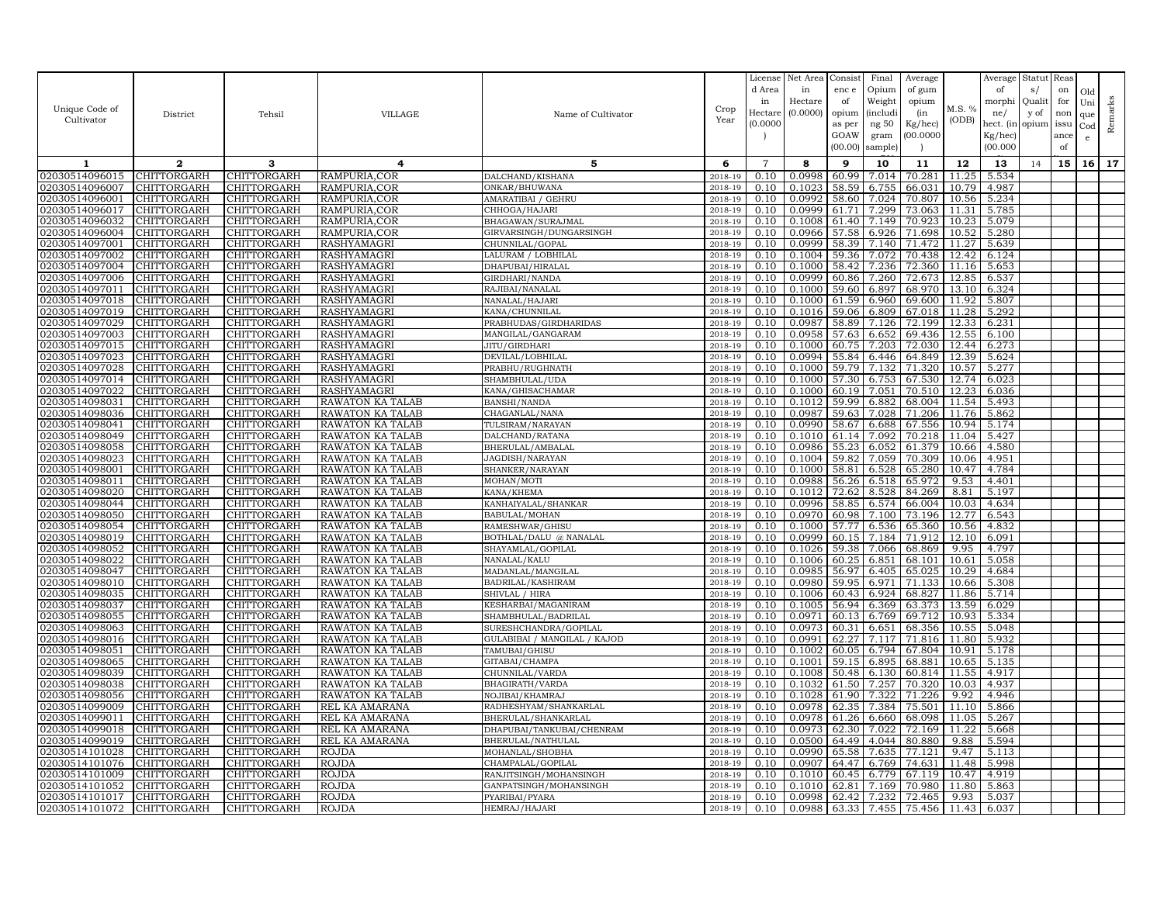| Unique Code of<br>Cultivator     | District                   | Tehsil                     | <b>VILLAGE</b>                       | Name of Cultivator                | Crop<br>Year       | License<br>d Area<br>in<br>Hectare<br>(0.0000) | Net Area<br>in<br>Hectare<br>(0.0000) | Consist<br>enc e<br>of<br>opium<br>as per<br>GOAW<br>(00.00) | Final<br>Opium<br>Weight<br><i>(includi</i><br>ng $50\,$<br>gram<br>sample) | Average<br>of gum<br>opium<br>(in<br>Kg/hec)<br>(00.0000) | M.S. %<br>(ODB) | Average<br>of<br>morphi<br>ne/<br>hect. (in<br>$Kg/$ hec)<br>(00.000) | Statut<br>s/<br>Quali<br>y of<br>opium | Reas<br>on<br>for<br>non<br>issu<br>ance<br>of | Old<br>Uni<br>que<br>Cod<br>e | Remarks |
|----------------------------------|----------------------------|----------------------------|--------------------------------------|-----------------------------------|--------------------|------------------------------------------------|---------------------------------------|--------------------------------------------------------------|-----------------------------------------------------------------------------|-----------------------------------------------------------|-----------------|-----------------------------------------------------------------------|----------------------------------------|------------------------------------------------|-------------------------------|---------|
| 1                                | $\mathbf{2}$               | 3                          | 4                                    | 5                                 | 6                  | $\overline{7}$                                 | 8                                     | 9                                                            | 10                                                                          | 11                                                        | 12              | 13                                                                    | 14                                     | 15                                             | 16 <sup>1</sup>               | 17      |
| 02030514096015                   | CHITTORGARH                | CHITTORGARH                | RAMPURIA,COR                         | DALCHAND/KISHANA                  | 2018-19            | 0.10                                           | 0.0998                                | 60.99                                                        | 7.014                                                                       | 70.281                                                    | 11.25           | 5.534                                                                 |                                        |                                                |                               |         |
| 02030514096007                   | CHITTORGARH                | CHITTORGARH                | RAMPURIA.COR                         | ONKAR/BHUWANA                     | 2018-19            | 0.10                                           | 0.1023                                | 58.59                                                        | 6.755                                                                       | 66.031                                                    | 10.79           | 4.987                                                                 |                                        |                                                |                               |         |
| 02030514096001                   | CHITTORGARH                | CHITTORGARH                | RAMPURIA,COR                         | AMARATIBAI / GEHRU                | 2018-19            | 0.10                                           | 0.0992                                | 58.60                                                        | 7.024                                                                       | 70.807                                                    | 10.56           | 5.234                                                                 |                                        |                                                |                               |         |
| 02030514096017                   | CHITTORGARH                | CHITTORGARH                | RAMPURIA,COR                         | CHHOGA/HAJARI                     | 2018-19            | 0.10                                           | 0.0999                                | 61.71                                                        | 7.299                                                                       | 73.063                                                    | 11.31           | 5.785                                                                 |                                        |                                                |                               |         |
| 02030514096032                   | CHITTORGARH                | CHITTORGARH                | RAMPURIA, COR                        | BHAGAWAN/SURAJMAL                 | 2018-19            | 0.10                                           | 0.1008                                | 61.40                                                        | 7.149                                                                       | 70.923                                                    | 10.23           | 5.079                                                                 |                                        |                                                |                               |         |
| 02030514096004                   | CHITTORGARH                | CHITTORGARH                | RAMPURIA, COR                        | GIRVARSINGH/DUNGARSINGH           | 2018-19            | 0.10                                           | 0.0966                                | 57.58                                                        | 6.926                                                                       | 71.698                                                    | 10.52           | 5.280                                                                 |                                        |                                                |                               |         |
| 02030514097001                   | CHITTORGARH                | CHITTORGARH                | RASHYAMAGRI                          | CHUNNILAL/GOPAL                   | 2018-19            | 0.10                                           | 0.0999                                | 58.39                                                        | 7.140                                                                       | 71.472                                                    | 11.27           | 5.639                                                                 |                                        |                                                |                               |         |
| 02030514097002                   | CHITTORGARH                | CHITTORGARH                | RASHYAMAGRI                          | ALURAM / LOBHILAL                 | 2018-19            | 0.10                                           | 0.1004                                | 59.36                                                        | 7.072                                                                       | 70.438                                                    | 12.42           | 6.124                                                                 |                                        |                                                |                               |         |
| 02030514097004                   | CHITTORGARH                | CHITTORGARH                | RASHYAMAGRI                          | DHAPUBAI/HIRALAL                  | 2018-19            | 0.10<br>0.10                                   | 0.1000<br>0.0999                      | 58.42                                                        | 7.236                                                                       | 72.360<br>72.673                                          | 11.16<br>12.85  | 5.653                                                                 |                                        |                                                |                               |         |
| 02030514097006<br>02030514097011 | CHITTORGARH<br>CHITTORGARH | CHITTORGARH<br>CHITTORGARH | RASHYAMAGRI<br>RASHYAMAGRI           | GIRDHARI/NANDA<br>RAJIBAI/NANALAL | 2018-19<br>2018-19 | 0.10                                           | 0.1000                                | 60.86<br>59.60                                               | 7.260<br>6.897                                                              | 68.970                                                    | 13.10           | 6.537<br>6.324                                                        |                                        |                                                |                               |         |
| 02030514097018                   | CHITTORGARH                | CHITTORGARH                | RASHYAMAGRI                          | NANALAL/HAJARI                    | 2018-19            | 0.10                                           | 0.1000                                | 61.59                                                        | 6.960                                                                       | 69.600                                                    | 11.92           | 5.807                                                                 |                                        |                                                |                               |         |
| 02030514097019                   | CHITTORGARH                | <b>CHITTORGARH</b>         | RASHYAMAGRI                          | KANA/CHUNNILAL                    | 2018-19            | 0.10                                           | 0.1016                                | 59.06                                                        | 6.809                                                                       | 67.018                                                    | 11.28           | 5.292                                                                 |                                        |                                                |                               |         |
| 02030514097029                   | CHITTORGARH                | CHITTORGARH                | RASHYAMAGRI                          | PRABHUDAS/GIRDHARIDAS             | 2018-19            | 0.10                                           | 0.0987                                | 58.89                                                        | 7.126                                                                       | 72.199                                                    | 12.33           | 6.231                                                                 |                                        |                                                |                               |         |
| 02030514097003                   | CHITTORGARH                | CHITTORGARH                | <b>RASHYAMAGRI</b>                   | MANGILAL/GANGARAM                 | 2018-19            | 0.10                                           | 0.0958                                | 57.63                                                        | 6.652                                                                       | 69.436                                                    | 12.55           | 6.100                                                                 |                                        |                                                |                               |         |
| 02030514097015                   | CHITTORGARH                | CHITTORGARH                | RASHYAMAGRI                          | JITU / GIRDHARI                   | 2018-19            | 0.10                                           | 0.1000                                | 60.75                                                        | 7.203                                                                       | 72.030                                                    | 12.44           | 6.273                                                                 |                                        |                                                |                               |         |
| 02030514097023                   | CHITTORGARH                | CHITTORGARH                | RASHYAMAGRI                          | DEVILAL/LOBHILAL                  | 2018-19            | 0.10                                           | 0.0994                                | 55.84                                                        | 6.446                                                                       | 64.849                                                    | 12.39           | 5.624                                                                 |                                        |                                                |                               |         |
| 02030514097028                   | CHITTORGARH                | CHITTORGARH                | RASHYAMAGRI                          | PRABHU/RUGHNATH                   | 2018-19            | 0.10                                           | 0.1000                                | 59.79                                                        | 7.132                                                                       | 71.320                                                    | 10.57           | 5.277                                                                 |                                        |                                                |                               |         |
| 02030514097014                   | CHITTORGARH                | CHITTORGARH                | RASHYAMAGRI                          | SHAMBHULAL/UDA                    | 2018-19            | 0.10                                           | 0.1000                                | 57.30                                                        | 6.753                                                                       | 67.530                                                    | 12.74           | 6.023                                                                 |                                        |                                                |                               |         |
| 02030514097022                   | CHITTORGARH                | CHITTORGARH                | RASHYAMAGRI                          | KANA/GHISACHAMAR                  | 2018-19            | 0.10                                           | 0.1000                                | 60.19                                                        | 7.051                                                                       | 70.510                                                    | 12.23           | 6.036                                                                 |                                        |                                                |                               |         |
| 02030514098031                   | CHITTORGARH                | CHITTORGARH                | RAWATON KA TALAB                     | BANSHI/NANDA                      | 2018-19            | 0.10                                           | 0.1012                                | 59.99                                                        | 6.882                                                                       | 68.004                                                    | 11.54           | 5.493                                                                 |                                        |                                                |                               |         |
| 02030514098036                   | CHITTORGARH                | <b>CHITTORGARH</b>         | RAWATON KA TALAB                     | CHAGANLAL/NANA                    | 2018-19            | 0.10                                           | 0.0987                                | 59.63                                                        | 7.028                                                                       | 71.206                                                    | 11.76           | 5.862                                                                 |                                        |                                                |                               |         |
| 02030514098041                   | CHITTORGARH                | CHITTORGARH                | RAWATON KA TALAB                     | <b>TULSIRAM/NARAYAN</b>           | 2018-19            | 0.10                                           | 0.0990                                | 58.67                                                        | 6.688                                                                       | 67.556                                                    | 10.94           | 5.174                                                                 |                                        |                                                |                               |         |
| 02030514098049                   | CHITTORGARH                | <b>CHITTORGARH</b>         | RAWATON KA TALAB                     | DALCHAND/RATANA                   | 2018-19            | 0.10                                           | 0.1010                                | 61.14                                                        | 7.092                                                                       | 70.218                                                    | 11.04           | 5.427                                                                 |                                        |                                                |                               |         |
| 02030514098058                   | CHITTORGARH                | CHITTORGARH                | RAWATON KA TALAB                     | BHERULAL/AMBALAL                  | 2018-19            | 0.10                                           | 0.0986                                | 55.23                                                        | 6.052                                                                       | 61.379                                                    | 10.66           | 4.580                                                                 |                                        |                                                |                               |         |
| 02030514098023                   | CHITTORGARH                | CHITTORGARH                | RAWATON KA TALAB                     | JAGDISH/NARAYAN                   | 2018-19            | 0.10                                           | 0.1004                                | 59.82                                                        | 7.059                                                                       | 70.309                                                    | 10.06           | 4.951                                                                 |                                        |                                                |                               |         |
| 02030514098001<br>02030514098011 | CHITTORGARH<br>CHITTORGARH | CHITTORGARH<br>CHITTORGARH | RAWATON KA TALAB<br>RAWATON KA TALAB | SHANKER/NARAYAN<br>MOHAN/MOTI     | 2018-19<br>2018-19 | 0.10<br>0.10                                   | 0.1000<br>0.0988                      | 58.81<br>56.26                                               | 6.528<br>6.518                                                              | 65.280<br>65.972                                          | 10.47<br>9.53   | 4.784<br>4.401                                                        |                                        |                                                |                               |         |
| 02030514098020                   | CHITTORGARH                | CHITTORGARH                | RAWATON KA TALAB                     | <b>KANA/KHEMA</b>                 | 2018-19            | 0.10                                           | 0.1012                                | 72.62                                                        |                                                                             | 84.269                                                    | 8.81            | 5.197                                                                 |                                        |                                                |                               |         |
| 02030514098044                   | CHITTORGARH                | CHITTORGARH                | RAWATON KA TALAB                     | KANHAIYALAL/SHANKAR               | 2018-19            | 0.10                                           | 0.0996                                | 58.85                                                        | 8.528<br>6.574                                                              | 66.004                                                    | 10.03           | 4.634                                                                 |                                        |                                                |                               |         |
| 02030514098050                   | CHITTORGARH                | CHITTORGARH                | RAWATON KA TALAB                     | BABULAL/MOHAN                     | 2018-19            | 0.10                                           | 0.0970                                | 60.98                                                        | 7.100                                                                       | 73.196                                                    | 12.77           | 6.543                                                                 |                                        |                                                |                               |         |
| 02030514098054                   | CHITTORGARH                | CHITTORGARH                | RAWATON KA TALAB                     | RAMESHWAR/GHISU                   | 2018-19            | 0.10                                           | 0.1000                                | 57.77                                                        | 6.536                                                                       | 65.360                                                    | 10.56           | 4.832                                                                 |                                        |                                                |                               |         |
| 02030514098019                   | CHITTORGARH                | CHITTORGARH                | RAWATON KA TALAB                     | BOTHLAL/DALU @ NANALAL            | 2018-19            | 0.10                                           | 0.0999                                | 60.15                                                        | 7.184                                                                       | 71.912                                                    | 12.10           | 6.091                                                                 |                                        |                                                |                               |         |
| 02030514098052                   | CHITTORGARH                | CHITTORGARH                | RAWATON KA TALAB                     | SHAYAMLAL/GOPILAL                 | 2018-19            | 0.10                                           | 0.1026                                | 59.38                                                        | 7.066                                                                       | 68.869                                                    | 9.95            | 4.797                                                                 |                                        |                                                |                               |         |
| 02030514098022                   | CHITTORGARH                | CHITTORGARH                | RAWATON KA TALAB                     | NANALAL/KALU                      | 2018-19            | 0.10                                           | 0.1006                                | 60.25                                                        | 6.851                                                                       | 68.101                                                    | 10.61           | 5.058                                                                 |                                        |                                                |                               |         |
| 02030514098047                   | CHITTORGARH                | CHITTORGARH                | RAWATON KA TALAB                     | MADANLAL/MANGILAL                 | 2018-19            | 0.10                                           | 0.0985                                | 56.97                                                        | 6.405                                                                       | 65.025                                                    | 10.29           | 4.684                                                                 |                                        |                                                |                               |         |
| 02030514098010                   | CHITTORGARH                | CHITTORGARH                | RAWATON KA TALAB                     | BADRILAL/KASHIRAM                 | 2018-19            | 0.10                                           | 0.0980                                | 59.95                                                        | 6.971                                                                       | 71.133                                                    | 10.66           | 5.308                                                                 |                                        |                                                |                               |         |
| 02030514098035                   | CHITTORGARH                | CHITTORGARH                | RAWATON KA TALAB                     | SHIVLAL / HIRA                    | 2018-19            | 0.10                                           | 0.1006                                | 60.43                                                        | 6.924                                                                       | 68.827                                                    | 11.86           | 5.714                                                                 |                                        |                                                |                               |         |
| 02030514098037                   | CHITTORGARH                | CHITTORGARH                | RAWATON KA TALAB                     | KESHARBAI/MAGANIRAM               | 2018-19            | 0.10                                           | 0.1005                                | 56.94                                                        | 6.369                                                                       | 63.373                                                    | 13.59           | 6.029                                                                 |                                        |                                                |                               |         |
| 02030514098055                   | CHITTORGARH                | CHITTORGARH                | RAWATON KA TALAB                     | SHAMBHULAL/BADRILAL               | 2018-19            | 0.10                                           | 0.0971                                | 60.13                                                        | 6.769                                                                       | 69.712                                                    | 10.93           | 5.334                                                                 |                                        |                                                |                               |         |
| 02030514098063                   | CHITTORGARH                | CHITTORGARH                | RAWATON KA TALAB                     | SURESHCHANDRA/GOPILAL             | 2018-19            | 0.10                                           | 0.0973                                | 60.31                                                        | 6.651                                                                       | 68.356                                                    | 10.55           | 5.048                                                                 |                                        |                                                |                               |         |
| 02030514098016                   | CHITTORGARH                | CHITTORGARH                | RAWATON KA TALAB                     | GULABIBAI / MANGILAL / KAJOD      | 2018-19            | 0.10                                           | 0.0991                                | 62.27                                                        | 7.117                                                                       | 71.816                                                    | 11.80           | 5.932                                                                 |                                        |                                                |                               |         |
| 02030514098051<br>02030514098065 | CHITTORGARH<br>CHITTORGARH | CHITTORGARH<br>CHITTORGARH | RAWATON KA TALAB<br>RAWATON KA TALAB | TAMUBAI/GHISU                     | 2018-19<br>2018-19 | 0.10<br>0.10                                   | 0.1002<br>0.1001                      | 60.05<br>59.15                                               | 6.794<br>6.895                                                              | 67.804<br>68.881                                          | 10.91<br>10.65  | 5.178<br>5.135                                                        |                                        |                                                |                               |         |
| 02030514098039                   | CHITTORGARH                | CHITTORGARH                | RAWATON KA TALAB                     | GITABAI/CHAMPA<br>CHUNNILAL/VARDA | 2018-19            | 0.10                                           | 0.1008                                | 50.48                                                        | 6.130                                                                       | 60.814                                                    | 11.55           | 4.917                                                                 |                                        |                                                |                               |         |
| 02030514098038                   | CHITTORGARH                | CHITTORGARH                | <b>RAWATON KA TALAB</b>              | BHAGIRATH/VARDA                   | 2018-19            | 0.10                                           | 0.1032                                | 61.50                                                        | 7.257                                                                       | 70.320                                                    | 10.03           | 4.937                                                                 |                                        |                                                |                               |         |
| 02030514098056                   | CHITTORGARH                | CHITTORGARH                | RAWATON KA TALAB                     | NOJIBAI/KHAMRAJ                   | 2018-19            | 0.10                                           | 0.1028                                | 61.90                                                        | 7.322                                                                       | 71.226                                                    | 9.92            | 4.946                                                                 |                                        |                                                |                               |         |
| 02030514099009                   | CHITTORGARH                | CHITTORGARH                | REL KA AMARANA                       | RADHESHYAM/SHANKARLAL             | 2018-19            | 0.10                                           | 0.0978                                | 62.35                                                        | 7.384                                                                       | 75.501                                                    | 11.10           | 5.866                                                                 |                                        |                                                |                               |         |
| 02030514099011                   | CHITTORGARH                | CHITTORGARH                | REL KA AMARANA                       | BHERULAL/SHANKARLAL               | 2018-19            | 0.10                                           | 0.0978                                | 61.26                                                        | 6.660                                                                       | 68.098                                                    | 11.05           | 5.267                                                                 |                                        |                                                |                               |         |
| 02030514099018                   | CHITTORGARH                | CHITTORGARH                | <b>REL KA AMARANA</b>                | DHAPUBAI/TANKUBAI/CHENRAM         | 2018-19            | 0.10                                           | 0.0973                                | 62.30                                                        | 7.022                                                                       | 72.169                                                    | 11.22           | 5.668                                                                 |                                        |                                                |                               |         |
| 02030514099019                   | CHITTORGARH                | CHITTORGARH                | REL KA AMARANA                       | BHERULAL/NATHULAL                 | 2018-19            | 0.10                                           | 0.0500                                | 64.49                                                        | 4.044                                                                       | 80.880                                                    | 9.88            | 5.594                                                                 |                                        |                                                |                               |         |
| 02030514101028                   | CHITTORGARH                | CHITTORGARH                | ROJDA                                | MOHANLAL/SHOBHA                   | 2018-19            | 0.10                                           | 0.0990                                | 65.58                                                        | 7.635                                                                       | 77.121                                                    | 9.47            | 5.113                                                                 |                                        |                                                |                               |         |
| 02030514101076                   | CHITTORGARH                | CHITTORGARH                | <b>ROJDA</b>                         | CHAMPALAL/GOPILAI                 | 2018-19            | 0.10                                           | 0.0907                                | 64.47                                                        | 6.769                                                                       | 74.631                                                    | 11.48           | 5.998                                                                 |                                        |                                                |                               |         |
| 02030514101009                   | CHITTORGARH                | CHITTORGARH                | ROJDA                                | RANJITSINGH/MOHANSINGH            | 2018-19            | 0.10                                           | 0.1010                                | 60.45                                                        | 6.779                                                                       | 67.119                                                    | 10.47           | 4.919                                                                 |                                        |                                                |                               |         |
| 02030514101052                   | CHITTORGARH                | CHITTORGARH                | ROJDA                                | GANPATSINGH/MOHANSINGH            | 2018-19            | 0.10                                           | 0.1010                                | 62.81                                                        | 7.169                                                                       | 70.980                                                    | 11.80           | 5.863                                                                 |                                        |                                                |                               |         |
| 02030514101017                   | CHITTORGARH                | CHITTORGARH                | ROJDA                                | PYARIBAI/PYARA                    | 2018-19            | 0.10                                           | 0.0998                                | 62.42                                                        | 7.232                                                                       | 72.465                                                    | 9.93            | 5.037                                                                 |                                        |                                                |                               |         |
| 02030514101072                   | <b>CHITTORGARH</b>         | <b>CHITTORGARH</b>         | <b>ROJDA</b>                         | HEMRAJ/HAJARI                     | 2018-19            | 0.10                                           | 0.0988                                | 63.33                                                        | 7.455                                                                       | 75.456                                                    | 11.43           | 6.037                                                                 |                                        |                                                |                               |         |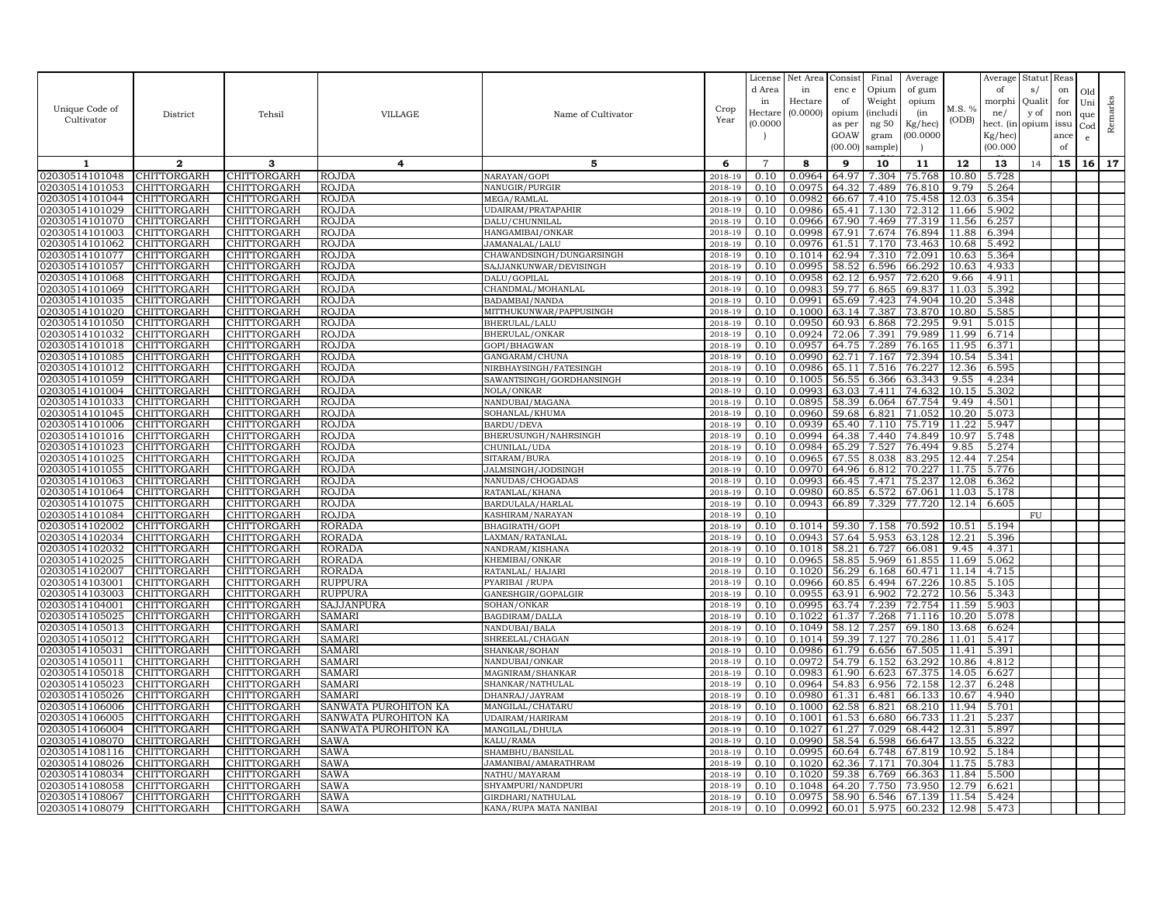|                                  |                            |                            |                                |                                    |                    | License        | Net Area         | Consist        | Final          | Average          |                | Average        | Statut Reas |      |     |         |
|----------------------------------|----------------------------|----------------------------|--------------------------------|------------------------------------|--------------------|----------------|------------------|----------------|----------------|------------------|----------------|----------------|-------------|------|-----|---------|
|                                  |                            |                            |                                |                                    |                    | d Area         | in               | enc e          | Opium          | of gum           |                | of             | s/          | on   | Old |         |
| Unique Code of                   |                            |                            |                                |                                    | Crop               | in             | Hectare          | of             | Weight         | opium            | M.S. %         | morphi         | Qualit      | for  | Uni | Remarks |
| Cultivator                       | District                   | Tehsil                     | <b>VILLAGE</b>                 | Name of Cultivator                 | Year               | Hectar         | (0.0000)         | opium          | (includi       | (in              | (ODB)          | ne/            | y of        | non  | que |         |
|                                  |                            |                            |                                |                                    |                    | (0.0000)       |                  | as per         | ng 50          | Kg/hec)          |                | hect. (in      | opium issu  |      | Cod |         |
|                                  |                            |                            |                                |                                    |                    |                |                  | GOAW           | gram           | 00.0000          |                | Kg/hec)        |             | ance | e   |         |
|                                  |                            |                            |                                |                                    |                    |                |                  | (00.00)        | sample)        |                  |                | (00.000)       |             | of   |     |         |
| 1                                | $\mathbf{2}$               | 3                          | 4                              | 5                                  | 6                  | $\overline{7}$ | 8                | 9              | 10             | 11               | 12             | 13             | 14          | 15   | 16  | 17      |
| 02030514101048                   | CHITTORGARH                | CHITTORGARH                | <b>ROJDA</b>                   | NARAYAN/GOPI                       | 2018-19            | 0.10           | 0.0964           | 64.97          | 7.304          | 75.768           | 10.80          | 5.728          |             |      |     |         |
| 02030514101053                   | CHITTORGARH                | CHITTORGARH                | <b>ROJDA</b>                   | NANUGIR/PURGIR                     | 2018-19            | 0.10           | 0.0975           | 64.32          | 7.489          | 76.810           | 9.79           | 5.264          |             |      |     |         |
| 02030514101044                   | CHITTORGARH                | CHITTORGARH                | <b>ROJDA</b>                   | MEGA/RAMLAL                        | 2018-19            | 0.10           | 0.0982           | 66.67          | 7.410          | 75.458           | 12.03          | 6.354          |             |      |     |         |
| 02030514101029                   | CHITTORGARH                | CHITTORGARH                | <b>ROJDA</b>                   | UDAIRAM/PRATAPAHIR                 | 2018-19            | 0.10           | 0.0986           | 65.41          | 7.130          | 72.312           | 11.66          | 5.902          |             |      |     |         |
| 02030514101070                   | CHITTORGARH                | CHITTORGARH                | <b>ROJDA</b>                   | DALU/CHUNNILAL                     | 2018-19            | 0.10           | 0.0966           | 67.90          | 7.469          | 77.319           | 11.56          | 6.257          |             |      |     |         |
| 02030514101003                   | CHITTORGARH                | CHITTORGARH                | <b>ROJDA</b>                   | HANGAMIBAI/ONKAR                   | 2018-19            | 0.10           | 0.0998           | 67.91          | 7.674          | 76.894           | 11.88          | 6.394          |             |      |     |         |
| 02030514101062                   | CHITTORGARH                | CHITTORGARH                | ROJDA                          | JAMANALAL/LALU                     | 2018-19            | 0.10           | 0.0976           | 61.51          | 7.170          | 73.463           | 10.68          | 5.492          |             |      |     |         |
| 02030514101077                   | CHITTORGARH                | CHITTORGARH                | <b>ROJDA</b>                   | CHAWANDSINGH/DUNGARSINGH           | 2018-19            | 0.10           | 0.1014           | 62.94          | 7.310          | 72.091           | 10.63          | 5.364          |             |      |     |         |
| 02030514101057<br>02030514101068 | CHITTORGARH                | CHITTORGARH                | <b>ROJDA</b><br><b>ROJDA</b>   | SAJJANKUNWAR/DEVISINGH             | 2018-19            | 0.10<br>0.10   | 0.0995<br>0.0958 | 58.52          | 6.596          | 66.292           | 10.63          | 4.933<br>4.911 |             |      |     |         |
| 02030514101069                   | CHITTORGARH<br>CHITTORGARH | CHITTORGARH<br>CHITTORGARH | <b>ROJDA</b>                   | DALU/GOPILAL<br>CHANDMAL/MOHANLAL  | 2018-19<br>2018-19 | 0.10           | 0.0983           | 62.12<br>59.77 | 6.957<br>6.865 | 72.620<br>69.837 | 9.66<br>11.03  | 5.392          |             |      |     |         |
| 02030514101035                   | CHITTORGARH                | CHITTORGARH                | <b>ROJDA</b>                   | BADAMBAI/NANDA                     | 2018-19            | 0.10           | 0.0991           | 65.69          | 7.423          | 74.904           | 10.20          | 5.348          |             |      |     |         |
| 02030514101020                   | CHITTORGARH                | CHITTORGARH                | <b>ROJDA</b>                   | MITTHUKUNWAR/PAPPUSINGH            | 2018-19            | 0.10           | 0.1000           | 63.14          | 7.387          | 73.870           | 10.80          | 5.585          |             |      |     |         |
| 02030514101050                   | CHITTORGARH                | CHITTORGARH                | <b>ROJDA</b>                   | BHERULAL/LALU                      | 2018-19            | 0.10           | 0.0950           | 60.93          | 6.868          | 72.295           | 9.91           | 5.015          |             |      |     |         |
| 02030514101032                   | CHITTORGARH                | CHITTORGARH                | <b>ROJDA</b>                   | BHERULAL/ONKAR                     | 2018-19            | 0.10           | 0.0924           | 72.06          | 7.391          | 79.989           | 11.99          | 6.714          |             |      |     |         |
| 02030514101018                   | CHITTORGARH                | CHITTORGARH                | <b>ROJDA</b>                   | GOPI/BHAGWAN                       | 2018-19            | 0.10           | 0.0957           | 64.75          | 7.289          | 76.165           | 11.95          | 6.371          |             |      |     |         |
| 02030514101085                   | CHITTORGARH                | CHITTORGARH                | <b>ROJDA</b>                   | GANGARAM/CHUNA                     | 2018-19            | 0.10           | 0.0990           | 62.71          | 7.167          | 72.394           | 10.54          | 5.341          |             |      |     |         |
| 02030514101012                   | CHITTORGARH                | CHITTORGARH                | <b>ROJDA</b>                   | NIRBHAYSINGH/FATESINGH             | 2018-19            | 0.10           | 0.0986           | 65.1           | 7.516          | 76.227           | 12.36          | 6.595          |             |      |     |         |
| 02030514101059                   | <b>CHITTORGARH</b>         | CHITTORGARH                | ROJDA                          | SAWANTSINGH/GORDHANSINGH           | 2018-19            | 0.10           | 0.1005           | 56.55          | 6.366          | 63.343           | 9.55           | 4.234          |             |      |     |         |
| 02030514101004                   | CHITTORGARH                | CHITTORGARH                | <b>ROJDA</b>                   | NOLA/ONKAR                         | 2018-19            | 0.10           | 0.0993           | 63.03          | 7.411          | 74.632           | 10.15          | 5.302          |             |      |     |         |
| 02030514101033                   | CHITTORGARH                | CHITTORGARH                | <b>ROJDA</b>                   | NANDUBAI/MAGANA                    | 2018-19            | 0.10           | 0.0895           | 58.39          | 6.064          | 67.754           | 9.49           | 4.501          |             |      |     |         |
| 02030514101045                   | CHITTORGARH                | CHITTORGARH                | <b>ROJDA</b>                   | SOHANLAL/KHUMA                     | 2018-19            | 0.10           | 0.0960           | 59.68          | 6.821          | 71.052           | 10.20          | 5.073          |             |      |     |         |
| 02030514101006                   | CHITTORGARH                | CHITTORGARH                | <b>ROJDA</b>                   | BARDU/DEVA                         | 2018-19            | 0.10           | 0.0939           | 65.40          | 7.110          | 75.719           | 11.22          | 5.947          |             |      |     |         |
| 02030514101016                   | CHITTORGARH                | CHITTORGARH                | <b>ROJDA</b>                   | BHERUSUNGH/NAHRSINGH               | 2018-19            | 0.10           | 0.0994           | 64.38          | 7.440          | 74.849           | 10.97          | 5.748          |             |      |     |         |
| 02030514101023                   | CHITTORGARH                | CHITTORGARH                | <b>ROJDA</b>                   | CHUNILAL/UDA                       | 2018-19            | 0.10           | 0.0984           | 65.29          | 7.527          | 76.494           | 9.85           | 5.274          |             |      |     |         |
| 02030514101025                   | CHITTORGARH                | CHITTORGARH                | <b>ROJDA</b>                   | SITARAM/BURA                       | 2018-19            | 0.10           | 0.0965           | 67.55          | 8.038          | 83.295           | 12.44          | 7.254          |             |      |     |         |
| 02030514101055                   | CHITTORGARH                | CHITTORGARH                | <b>ROJDA</b>                   | JALMSINGH/JODSINGH                 | 2018-19            | 0.10           | 0.0970           | 64.96          | 6.812          | 70.227           | 11.75          | 5.776          |             |      |     |         |
| 02030514101063                   | CHITTORGARH                | CHITTORGARH                | <b>ROJDA</b>                   | NANUDAS/CHOGADAS                   | 2018-19            | 0.10           | 0.0993           | 66.45          | 7.471          | 75.237           | 12.08          | 6.362          |             |      |     |         |
| 02030514101064                   | CHITTORGARH                | CHITTORGARH                | <b>ROJDA</b>                   | RATANLAL/KHANA                     | 2018-19            | 0.10           | 0.0980           | 60.85          | 6.572          | 67.061           | 11.03          | 5.178          |             |      |     |         |
| 02030514101075                   | CHITTORGARH                | <b>CHITTORGARH</b>         | ROJDA                          | BARDULALA/HARLAL                   | 2018-19            | 0.10           | 0.0943           | 66.89          | 7.329          | 77.720           | 12.14          | 6.605          |             |      |     |         |
| 02030514101084                   | CHITTORGARH                | CHITTORGARH                | <b>ROJDA</b>                   | KASHIRAM/NARAYAN                   | 2018-19            | 0.10           |                  |                |                |                  |                |                | FU          |      |     |         |
| 02030514102002                   | CHITTORGARH                | CHITTORGARH                | <b>RORADA</b>                  | BHAGIRATH/GOPI                     | 2018-19            | 0.10           | 0.1014           | 59.30          | 7.158          | 70.592           | 10.51          | 5.194          |             |      |     |         |
| 02030514102034<br>02030514102032 | CHITTORGARH<br>CHITTORGARH | CHITTORGARH<br>CHITTORGARH | <b>RORADA</b><br><b>RORADA</b> | LAXMAN/RATANLAL<br>NANDRAM/KISHANA | 2018-19<br>2018-19 | 0.10<br>0.10   | 0.0943<br>0.1018 | 57.64<br>58.21 | 5.953<br>6.727 | 63.128<br>66.081 | 12.21<br>9.45  | 5.396<br>4.371 |             |      |     |         |
| 02030514102025                   | CHITTORGARH                | CHITTORGARH                | <b>RORADA</b>                  | KHEMIBAI/ONKAR                     | 2018-19            | 0.10           | 0.0965           | 58.85          | 5.969          | 61.855           | 11.69          | 5.062          |             |      |     |         |
| 02030514102007                   | CHITTORGARH                | CHITTORGARH                | <b>RORADA</b>                  | RATANLAL/HAJARI                    | 2018-19            | 0.10           | 0.1020           | 56.29          | 6.168          | 60.471           | 11.14          | 4.715          |             |      |     |         |
| 02030514103001                   | CHITTORGARH                | CHITTORGARH                | <b>RUPPURA</b>                 | PYARIBAI / RUPA                    | 2018-19            | 0.10           | 0.0966           | 60.85          | 6.494          | 67.226           | 10.85          | 5.105          |             |      |     |         |
| 02030514103003                   | CHITTORGARH                | CHITTORGARH                | <b>RUPPURA</b>                 | GANESHGIR/GOPALGIR                 | 2018-19            | 0.10           | 0.0955           | 63.91          | 6.902          | 72.272           | 10.56          | 5.343          |             |      |     |         |
| 02030514104001                   | CHITTORGARH                | CHITTORGARH                | SAJJANPURA                     | SOHAN/ONKAR                        | 2018-19            | 0.10           | 0.0995           | 63.74          | 7.239          | 72.754           | 11.59          | 5.903          |             |      |     |         |
| 02030514105025                   | CHITTORGARH                | CHITTORGARH                | SAMARI                         | BAGDIRAM/DALLA                     | 2018-19            | 0.10           | 0.1022           | 61.37          | 7.268          | 71.116           | 10.20          | 5.078          |             |      |     |         |
| 02030514105013                   | CHITTORGARH                | CHITTORGARH                | SAMARI                         | NANDUBAI/BALA                      | 2018-19            | 0.10           | 0.1049           | 58.12          | 7.257          | 69.180           | 13.68          | 6.624          |             |      |     |         |
| 02030514105012                   | CHITTORGARH                | CHITTORGARH                | SAMARI                         | SHREELAL/CHAGAN                    | 2018-19            | 0.10           | 0.1014           | 59.39          | 7.127          | 70.286           | 11.01          | 5.417          |             |      |     |         |
| 02030514105031                   | CHITTORGARH                | CHITTORGARH                | SAMARI                         | SHANKAR/SOHAN                      | 2018-19            | 0.10           | 0.0986           | 61.79          | 6.656          | 67.505           | 11.41          | 5.391          |             |      |     |         |
| 02030514105011                   | CHITTORGARH                | CHITTORGARH                | <b>SAMARI</b>                  | NANDUBAI/ONKAR                     | 2018-19            | 0.10           | 0.0972           | 54.79          | 6.152          | 63.292           | 10.86          | 4.812          |             |      |     |         |
| 02030514105018                   | CHITTORGARH                | CHITTORGARH                | SAMARI                         | MAGNIRAM/SHANKAR                   | 2018-19            | 0.10           | 0.0983           | 61.90          | 6.623          | 67.375           | 14.05          | 6.627          |             |      |     |         |
| 02030514105023                   | CHITTORGARH                | CHITTORGARH                | SAMARI                         | SHANKAR/NATHULAL                   | 2018-19            | 0.10           | 0.0964           | 54.83          | 6.956          | 72.158           | 12.37          | 6.248          |             |      |     |         |
| 02030514105026                   | CHITTORGARH                | CHITTORGARH                | SAMARI                         | DHANRAJ/JAYRAM                     | 2018-19            | 0.10           | 0.0980           | 61.31          | 6.481          | 66.133           | 10.67          | 4.940          |             |      |     |         |
| 02030514106006                   | CHITTORGARH                | CHITTORGARH                | SANWATA PUROHITON KA           | MANGILAL/CHATARU                   | 2018-19            | 0.10           | 0.1000           | 62.58          | 6.821          | 68.210           | 11.94          | 5.701          |             |      |     |         |
| 02030514106005                   | CHITTORGARH                | CHITTORGARH                | SANWATA PUROHITON KA           | UDAIRAM/HARIRAM<br>MANGILAL/DHULA  | 2018-19<br>2018-19 | 0.10<br>0.10   | 0.1001           | 61.53          | 6.680          | 66.733           | 11.21          | 5.237          |             |      |     |         |
| 02030514106004<br>02030514108070 | CHITTORGARH<br>CHITTORGARH | CHITTORGARH<br>CHITTORGARH | SANWATA PUROHITON KA<br>SAWA   | KALU/RAMA                          | 2018-19            | 0.10           | 0.1027<br>0.0990 | 61.27<br>58.54 | 7.029<br>6.598 | 68.442<br>66.647 | 12.31<br>13.55 | 5.897<br>6.322 |             |      |     |         |
| 02030514108116                   | CHITTORGARH                | <b>CHITTORGARH</b>         | SAWA                           | SHAMBHU/BANSILAL                   | 2018-19            | 0.10           | 0.0995           | 60.64          | 6.748          | 67.819           | 10.92          | 5.184          |             |      |     |         |
| 02030514108026                   | CHITTORGARH                | CHITTORGARH                | SAWA                           | JAMANIBAI/AMARATHRAM               | 2018-19            | 0.10           | 0.1020           | 62.36          | 7.171          | 70.304           | 11.75          | 5.783          |             |      |     |         |
| 02030514108034                   | CHITTORGARH                | CHITTORGARH                | SAWA                           | NATHU/MAYARAM                      | 2018-19            | 0.10           | 0.1020           | 59.38          | 6.769          | 66.363           | 11.84          | 5.500          |             |      |     |         |
| 02030514108058                   | CHITTORGARH                | CHITTORGARH                | SAWA                           | SHYAMPURI/NANDPURI                 | 2018-19            | 0.10           | 0.1048           | 64.20          | 7.750          | 73.950           | 12.79          | 6.621          |             |      |     |         |
| 02030514108067                   | CHITTORGARH                | CHITTORGARH                | SAWA                           | GIRDHARI/NATHULAL                  | 2018-19            | 0.10           | 0.0975           | 58.90          | 6.546          | 67.139           | 11.54          | 5.424          |             |      |     |         |
| 02030514108079                   | CHITTORGARH                | CHITTORGARH                | <b>SAWA</b>                    | KANA/RUPA MATA NANIBAI             | 2018-19            | 0.10           | 0.0992           | 60.01          | 5.975          | 60.232           | 12.98          | 5.473          |             |      |     |         |
|                                  |                            |                            |                                |                                    |                    |                |                  |                |                |                  |                |                |             |      |     |         |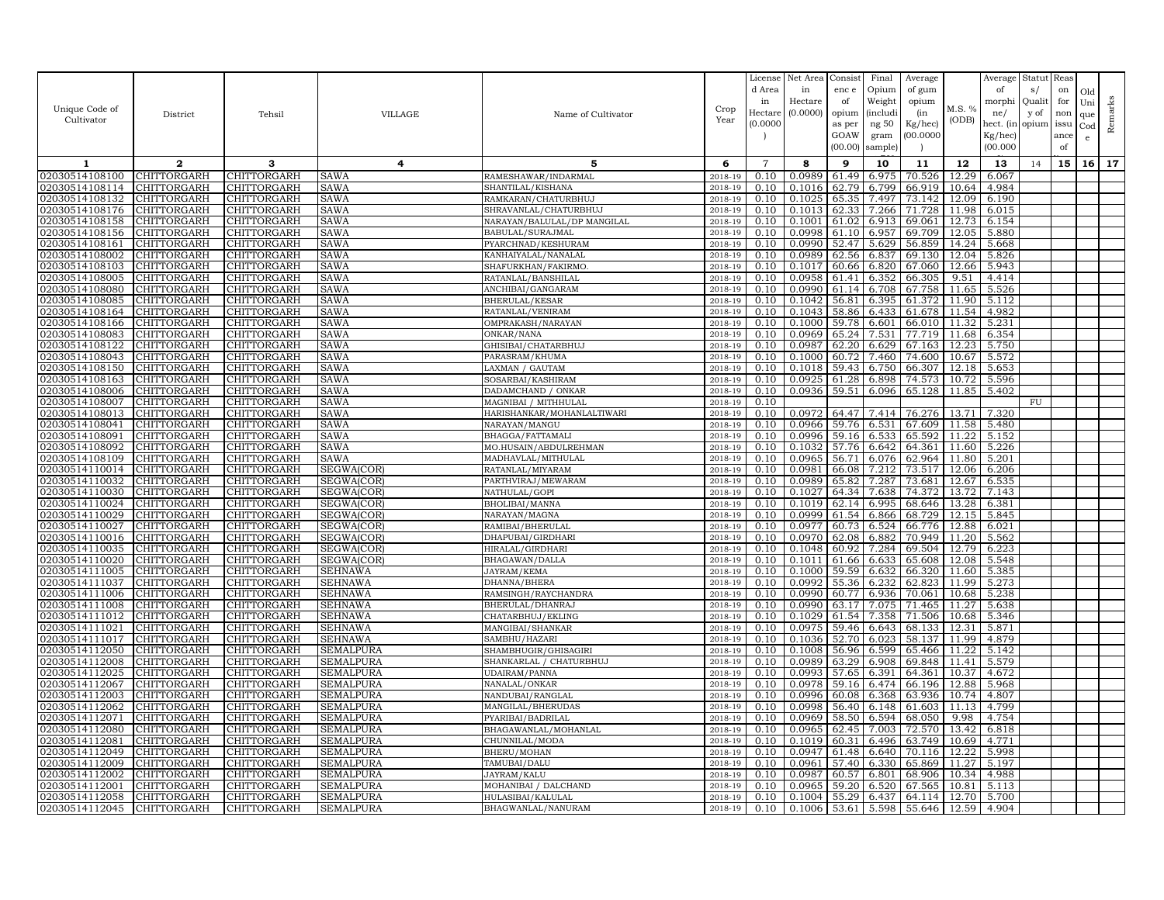| Unique Code of<br>Cultivator     | District                   | Tehsil                     | <b>VILLAGE</b>         | Name of Cultivator                          | Crop<br>Year       | License<br>d Area<br>in<br>Hectare<br>(0.000C) | Net Area<br>in<br>Hectare<br>(0.0000) | Consist<br>enc e<br>of<br>opium<br>as per<br>GOAW<br>(00.00) | Final<br>Opium<br>Weight<br><i>(includi</i><br>ng 50<br>gram<br>sample) | Average<br>of gum<br>opium<br>(in<br>Kg/hec)<br>(00.0000) | M.S. %<br>(ODB)    | Average<br>of<br>morphi<br>ne/<br>hect. (in<br>Kg/hec)<br>(00.000) | Statut<br>s/<br>Quali<br>y of<br>opium | Reas<br>on<br>for<br>non<br>issu<br>ance<br>of | Old<br>Uni<br>que<br>$_{\rm Cod}$<br>e | Remarks |
|----------------------------------|----------------------------|----------------------------|------------------------|---------------------------------------------|--------------------|------------------------------------------------|---------------------------------------|--------------------------------------------------------------|-------------------------------------------------------------------------|-----------------------------------------------------------|--------------------|--------------------------------------------------------------------|----------------------------------------|------------------------------------------------|----------------------------------------|---------|
| 1                                | $\mathbf{2}$               | 3                          | 4                      | 5                                           | 6                  | $\overline{7}$                                 | 8                                     | 9                                                            | 10                                                                      | 11                                                        | 12                 | 13                                                                 | 14                                     | 15                                             | 16                                     | 17      |
| 02030514108100                   | CHITTORGARH                | CHITTORGARH                | SAWA                   | RAMESHAWAR/INDARMAL                         | 2018-19            | 0.10                                           | 0.0989                                | 61.49                                                        | 6.975                                                                   | 70.526                                                    | 12.29              | 6.067                                                              |                                        |                                                |                                        |         |
| 02030514108114                   | CHITTORGARH                | CHITTORGARH                | SAWA                   | SHANTILAL/KISHANA                           | 2018-19            | 0.10                                           | 0.1016                                | 62.79                                                        | 6.799                                                                   | 66.919                                                    | 10.64              | 4.984                                                              |                                        |                                                |                                        |         |
| 02030514108132                   | CHITTORGARH                | CHITTORGARH                | SAWA                   | RAMKARAN/CHATURBHUJ                         | $2018 - 1$         | 0.10                                           | 0.1025                                | 65.35                                                        | 7.497                                                                   | 73.142                                                    | 12.09              | 6.190                                                              |                                        |                                                |                                        |         |
| 02030514108176                   | CHITTORGARH                | CHITTORGARH                | SAWA                   | SHRAVANLAL/CHATURBHUJ                       | 2018-19            | 0.10                                           | 0.1013                                | 62.33                                                        | 7.266                                                                   | 71.728                                                    | 11.98              | 6.015                                                              |                                        |                                                |                                        |         |
| 02030514108158                   | CHITTORGARH                | CHITTORGARH                | SAWA                   | NARAYAN/BALULAL/DP MANGILAL                 | 2018-19            | 0.10                                           | 0.1001                                | 61.02                                                        | 6.913                                                                   | 69.061                                                    | 12.73              | 6.154                                                              |                                        |                                                |                                        |         |
| 02030514108156                   | CHITTORGARH                | CHITTORGARH                | SAWA                   | BABULAL/SURAJMAL                            | 2018-19            | 0.10                                           | 0.0998                                | 61.10                                                        | 6.957                                                                   | 69.709                                                    | 12.05              | 5.880                                                              |                                        |                                                |                                        |         |
| 02030514108161                   | CHITTORGARH                | CHITTORGARH                | SAWA                   | PYARCHNAD/KESHURAM                          | 2018-19            | 0.10                                           | 0.0990                                | 52.47                                                        | 5.629                                                                   | 56.859                                                    | 14.24              | 5.668                                                              |                                        |                                                |                                        |         |
| 02030514108002                   | CHITTORGARH                | CHITTORGARH                | SAWA                   | KANHAIYALAL/NANALAL                         | 2018-19            | 0.10                                           | 0.0989                                | 62.56                                                        | 6.837                                                                   | 69.130                                                    | 12.04              | 5.826                                                              |                                        |                                                |                                        |         |
| 02030514108103                   | CHITTORGARH                | CHITTORGARH                | SAWA                   | SHAFURKHAN/FAKIRMO                          | 2018-19            | 0.10                                           | 0.1017                                | 60.66                                                        | 6.820                                                                   | 67.060                                                    | 12.66              | 5.943                                                              |                                        |                                                |                                        |         |
| 02030514108005                   | CHITTORGARH                | CHITTORGARH                | SAWA                   | RATANLAL/BANSHILAL                          | 2018-19            | 0.10                                           | 0.0958                                | 61.41                                                        | 6.352                                                                   | 66.305                                                    | 9.51               | 4.414                                                              |                                        |                                                |                                        |         |
| 02030514108080<br>02030514108085 | CHITTORGARH<br>CHITTORGARH | CHITTORGARH<br>CHITTORGARH | SAWA<br>SAWA           | ANCHIBAI/GANGARAM<br><b>BHERULAL/KESAR</b>  | 2018-19<br>2018-19 | 0.10<br>0.10                                   | 0.0990<br>0.1042                      | 61.14<br>56.81                                               | 6.708<br>6.395                                                          | 67.758<br>61.372                                          | 11.65<br>11.90     | 5.526<br>5.112                                                     |                                        |                                                |                                        |         |
| 02030514108164                   | CHITTORGARH                | CHITTORGARH                | SAWA                   | RATANLAL/VENIRAM                            | 2018-19            | 0.10                                           | 0.1043                                | 58.86                                                        | 6.433                                                                   | 61.678                                                    | $\overline{11.54}$ | 4.982                                                              |                                        |                                                |                                        |         |
| 02030514108166                   | CHITTORGARH                | CHITTORGARH                | SAWA                   | OMPRAKASH/NARAYAN                           | 2018-19            | 0.10                                           | 0.1000                                | 59.78                                                        | 6.601                                                                   | 66.010                                                    | 11.32              | 5.231                                                              |                                        |                                                |                                        |         |
| 02030514108083                   | CHITTORGARH                | CHITTORGARH                | SAWA                   | ONKAR/NANA                                  | 2018-19            | 0.10                                           | 0.0969                                | 65.24                                                        | 7.531                                                                   | 77.719                                                    | 11.68              | 6.354                                                              |                                        |                                                |                                        |         |
| 02030514108122                   | CHITTORGARH                | CHITTORGARH                | SAWA                   | GHISIBAI/CHATARBHUJ                         | 2018-19            | 0.10                                           | 0.0987                                | 62.20                                                        | 6.629                                                                   | 67.163                                                    | 12.23              | 5.750                                                              |                                        |                                                |                                        |         |
| 02030514108043                   | CHITTORGARH                | CHITTORGARH                | SAWA                   | PARASRAM/KHUMA                              | 2018-19            | 0.10                                           | 0.1000                                | 60.72                                                        | 7.460                                                                   | 74.600                                                    | 10.67              | 5.572                                                              |                                        |                                                |                                        |         |
| 02030514108150                   | CHITTORGARH                | CHITTORGARH                | SAWA                   | LAXMAN / GAUTAM                             | 2018-19            | 0.10                                           | 0.1018                                | 59.43                                                        | 6.750                                                                   | 66.307                                                    | 12.18              | 5.653                                                              |                                        |                                                |                                        |         |
| 02030514108163                   | CHITTORGARH                | CHITTORGARH                | SAWA                   | SOSARBAI/KASHIRAM                           | 2018-19            | 0.10                                           | 0.0925                                | 61.28                                                        | 6.898                                                                   | 74.573                                                    | 10.72              | 5.596                                                              |                                        |                                                |                                        |         |
| 02030514108006                   | CHITTORGARH                | CHITTORGARH                | SAWA                   | DADAMCHAND / ONKAR                          | 2018-19            | 0.10                                           | 0.0936                                | 59.51                                                        | 6.096                                                                   | 65.128                                                    | 11.85              | 5.402                                                              |                                        |                                                |                                        |         |
| 02030514108007                   | CHITTORGARH                | CHITTORGARH                | SAWA                   | MAGNIBAI / MITHHULAL                        | 2018-19            | 0.10                                           |                                       |                                                              |                                                                         |                                                           |                    |                                                                    | <b>FU</b>                              |                                                |                                        |         |
| 02030514108013                   | CHITTORGARH                | CHITTORGARH                | SAWA                   | HARISHANKAR/MOHANLALTIWARI                  | 2018-19            | 0.10                                           | 0.0972                                | 64.47                                                        | 7.414                                                                   | 76.276                                                    | 13.71              | 7.320                                                              |                                        |                                                |                                        |         |
| 02030514108041                   | CHITTORGARH                | CHITTORGARH                | SAWA                   | NARAYAN/MANGU                               | 2018-19            | 0.10                                           | 0.0966                                | 59.76                                                        | 6.531                                                                   | 67.609                                                    | 11.58              | 5.480                                                              |                                        |                                                |                                        |         |
| 02030514108091<br>02030514108092 | CHITTORGARH<br>CHITTORGARH | CHITTORGARH<br>CHITTORGARH | SAWA<br><b>SAWA</b>    | BHAGGA/FATTAMAL                             | 2018-19            | 0.10<br>0.10                                   | 0.0996<br>0.1032                      | 59.16<br>57.76                                               | 6.533<br>6.642                                                          | 65.592<br>64.361                                          | 11.22<br>11.60     | 5.152<br>5.226                                                     |                                        |                                                |                                        |         |
| 02030514108109                   | CHITTORGARH                | CHITTORGARH                | SAWA                   | MO.HUSAIN/ABDULREHMAN<br>MADHAVLAL/MITHULAL | 2018-19<br>2018-19 | 0.10                                           | 0.0965                                | 56.71                                                        | 6.076                                                                   | 62.964                                                    | 11.80              | 5.201                                                              |                                        |                                                |                                        |         |
| 02030514110014                   | CHITTORGARH                | CHITTORGARH                | SEGWA(COR)             | RATANLAL/MIYARAM                            | 2018-19            | 0.10                                           | 0.0981                                | 66.08                                                        | 7.212                                                                   | 73.517                                                    | 12.06              | 6.206                                                              |                                        |                                                |                                        |         |
| 02030514110032                   | CHITTORGARH                | CHITTORGARH                | SEGWA(COR)             | PARTHVIRAJ/MEWARAM                          | 2018-19            | 0.10                                           | 0.0989                                | 65.82                                                        | 7.287                                                                   | 73.681                                                    | 12.67              | 6.535                                                              |                                        |                                                |                                        |         |
| 02030514110030                   | CHITTORGARH                | CHITTORGARH                | SEGWA(COR)             | NATHULAL/GOPI                               | 2018-19            | 0.10                                           | 0.1027                                | 64.34                                                        | 7.638                                                                   | 74.372                                                    | 13.72              | 7.143                                                              |                                        |                                                |                                        |         |
| 02030514110024                   | CHITTORGARH                | CHITTORGARH                | SEGWA(COR)             | BHOLIBAI/MANNA                              | 2018-19            | 0.10                                           | 0.1019                                | 62.14                                                        | 6.995                                                                   | 68.646                                                    | 13.28              | 6.381                                                              |                                        |                                                |                                        |         |
| 02030514110029                   | CHITTORGARH                | CHITTORGARH                | SEGWA(COR)             | NARAYAN/MAGNA                               | 2018-19            | 0.10                                           | 0.0999                                | 61.54                                                        | 6.866                                                                   | 68.729                                                    | 12.15              | 5.845                                                              |                                        |                                                |                                        |         |
| 02030514110027                   | CHITTORGARH                | CHITTORGARH                | SEGWA(COR'             | RAMIBAI/BHERULAI                            | 2018-19            | 0.10                                           | 0.0977                                | 60.73                                                        | 6.524                                                                   | 66.776                                                    | 12.88              | 6.021                                                              |                                        |                                                |                                        |         |
| 02030514110016                   | CHITTORGARH                | CHITTORGARH                | SEGWA(COR)             | DHAPUBAI/GIRDHARI                           | 2018-19            | 0.10                                           | 0.0970                                | 62.08                                                        | 6.882                                                                   | 70.949                                                    | 11.20              | 5.562                                                              |                                        |                                                |                                        |         |
| 02030514110035                   | CHITTORGARH                | CHITTORGARH                | SEGWA(COR)             | HIRALAL/GIRDHARI                            | 2018-19            | 0.10                                           | 0.1048                                | 60.92                                                        | 7.284                                                                   | 69.504                                                    | 12.79              | 6.223                                                              |                                        |                                                |                                        |         |
| 02030514110020                   | CHITTORGARH                | CHITTORGARH                | SEGWA(COR)             | BHAGAWAN/DALLA                              | 2018-19            | 0.10                                           | 0.1011                                | 61.66                                                        | 6.633                                                                   | 65.608                                                    | 12.08              | 5.548                                                              |                                        |                                                |                                        |         |
| 02030514111005<br>02030514111037 | CHITTORGARH                | CHITTORGARH                | SEHNAWA<br>SEHNAWA     | JAYRAM/KEMA<br>DHANNA/BHERA                 | 2018-19<br>2018-19 | 0.10<br>0.10                                   | 0.1000<br>0.0992                      | 59.59<br>55.36                                               | 6.632                                                                   | 66.320                                                    | 11.60<br>11.99     | 5.385                                                              |                                        |                                                |                                        |         |
| 02030514111006                   | CHITTORGARH<br>CHITTORGARH | CHITTORGARH<br>CHITTORGARH | SEHNAWA                | RAMSINGH/RAYCHANDRA                         | 2018-19            | 0.10                                           | 0.0990                                | 60.77                                                        | 6.232<br>6.936                                                          | 62.823<br>70.061                                          | 10.68              | 5.273<br>5.238                                                     |                                        |                                                |                                        |         |
| 02030514111008                   | CHITTORGARH                | CHITTORGARH                | <b>SEHNAWA</b>         | BHERULAL/DHANRAJ                            | 2018-19            | 0.10                                           | 0.0990                                | 63.17                                                        | 7.075                                                                   | 71.465                                                    | 11.27              | 5.638                                                              |                                        |                                                |                                        |         |
| 02030514111012                   | CHITTORGARH                | CHITTORGARH                | SEHNAWA                | CHATARBHUJ/EKLING                           | 2018-19            | 0.10                                           | 0.1029                                | 61.54                                                        | 7.358                                                                   | 71.506                                                    | 10.68              | 5.346                                                              |                                        |                                                |                                        |         |
| 02030514111021                   | CHITTORGARH                | CHITTORGARH                | SEHNAWA                | MANGIBAI/SHANKAR                            | 2018-19            | 0.10                                           | 0.0975                                | 59.46                                                        | 6.643                                                                   | 68.133                                                    | 12.31              | 5.871                                                              |                                        |                                                |                                        |         |
| 02030514111017                   | CHITTORGARH                | CHITTORGARH                | SEHNAWA                | SAMBHU/HAZARI                               | 2018-19            | 0.10                                           | 0.1036                                | 52.70                                                        | 6.023                                                                   | 58.137                                                    | 11.99              | 4.879                                                              |                                        |                                                |                                        |         |
| 02030514112050                   | CHITTORGARH                | CHITTORGARH                | SEMALPURA              | SHAMBHUGIR/GHISAGIRI                        | 2018-19            | 0.10                                           | 0.1008                                | 56.96                                                        | 6.599                                                                   | 65.466                                                    | 11.22              | 5.142                                                              |                                        |                                                |                                        |         |
| 02030514112008                   | CHITTORGARH                | CHITTORGARH                | <b>SEMALPURA</b>       | SHANKARLAL / CHATURBHUJ                     | 2018-19            | 0.10                                           | 0.0989                                | 63.29                                                        | 6.908                                                                   | 69.848                                                    | 11.41              | 5.579                                                              |                                        |                                                |                                        |         |
| 02030514112025                   | CHITTORGARH                | CHITTORGARH                | SEMALPURA              | UDAIRAM/PANNA                               | 2018-19            | 0.10                                           | 0.0993                                | 57.65                                                        | 6.391                                                                   | 64.361                                                    | 10.37              | 4.672                                                              |                                        |                                                |                                        |         |
| 02030514112067                   | CHITTORGARH                | CHITTORGARH                | SEMALPURA              | NANALAL/ONKAR                               | 2018-19            | 0.10                                           | 0.0978                                | 59.16                                                        | 6.474                                                                   | 66.196                                                    | 12.88              | 5.968                                                              |                                        |                                                |                                        |         |
| 02030514112003<br>02030514112062 | CHITTORGARH<br>CHITTORGARH | CHITTORGARH<br>CHITTORGARH | SEMALPURA<br>SEMALPURA | NANDUBAI/RANGLAL<br>MANGILAL/BHERUDAS       | 2018-19<br>2018-19 | 0.10<br>0.10                                   | 0.0996<br>0.0998                      | 60.08<br>56.40                                               | 6.368<br>6.148                                                          | 63.936<br>61.603                                          | 10.74<br>11.13     | 4.807<br>4.799                                                     |                                        |                                                |                                        |         |
| 02030514112071                   | CHITTORGARH                | CHITTORGARH                | <b>SEMALPURA</b>       | PYARIBAI/BADRILAL                           | 2018-19            | 0.10                                           | 0.0969                                | 58.50                                                        | 6.594                                                                   | 68.050                                                    | 9.98               | 4.754                                                              |                                        |                                                |                                        |         |
| 02030514112080                   | CHITTORGARH                | CHITTORGARH                | SEMALPURA              | BHAGAWANLAL/MOHANLAL                        | 2018-19            | 0.10                                           | 0.0965                                | 62.45                                                        | 7.003                                                                   | 72.570                                                    | 13.42              | 6.818                                                              |                                        |                                                |                                        |         |
| 02030514112081                   | CHITTORGARH                | CHITTORGARH                | SEMALPURA              | CHUNNILAL/MODA                              | 2018-19            | 0.10                                           | 0.1019                                | 60.31                                                        | 6.496                                                                   | 63.749                                                    | 10.69              | 4.771                                                              |                                        |                                                |                                        |         |
| 02030514112049                   | CHITTORGARH                | CHITTORGARH                | SEMALPURA              | BHERU/MOHAN                                 | 2018-19            | 0.10                                           | 0.0947                                | 61.48                                                        | 6.640                                                                   | 70.116                                                    | 12.22              | 5.998                                                              |                                        |                                                |                                        |         |
| 02030514112009                   | CHITTORGARH                | CHITTORGARH                | SEMALPURA              | TAMUBAI/DALU                                | 2018-19            | 0.10                                           | 0.0961                                | 57.40                                                        | 6.330                                                                   | 65.869                                                    | 11.27              | 5.197                                                              |                                        |                                                |                                        |         |
| 02030514112002                   | CHITTORGARH                | CHITTORGARH                | SEMALPURA              | JAYRAM/KALU                                 | 2018-19            | 0.10                                           | 0.0987                                | 60.57                                                        | 6.801                                                                   | 68.906                                                    | 10.34              | 4.988                                                              |                                        |                                                |                                        |         |
| 02030514112001                   | CHITTORGARH                | CHITTORGARH                | SEMALPURA              | MOHANIBAI / DALCHAND                        | 2018-19            | 0.10                                           | 0.0965                                | 59.20                                                        | 6.520                                                                   | 67.565                                                    | 10.81              | 5.113                                                              |                                        |                                                |                                        |         |
| 02030514112058                   | CHITTORGARH                | CHITTORGARH                | SEMALPURA              | HULASIBAI/KALULAL                           | 2018-19            | 0.10                                           | 0.1004                                | 55.29                                                        | 6.437                                                                   | 64.114                                                    | 12.70              | 5.700                                                              |                                        |                                                |                                        |         |
| 02030514112045                   | CHITTORGARH                | CHITTORGARH                | <b>SEMALPURA</b>       | BHAGWANLAL/NANURAM                          | 2018-19            | 0.10                                           | 0.1006                                | 53.61                                                        | 5.598                                                                   | 55.646                                                    | 12.59              | 4.904                                                              |                                        |                                                |                                        |         |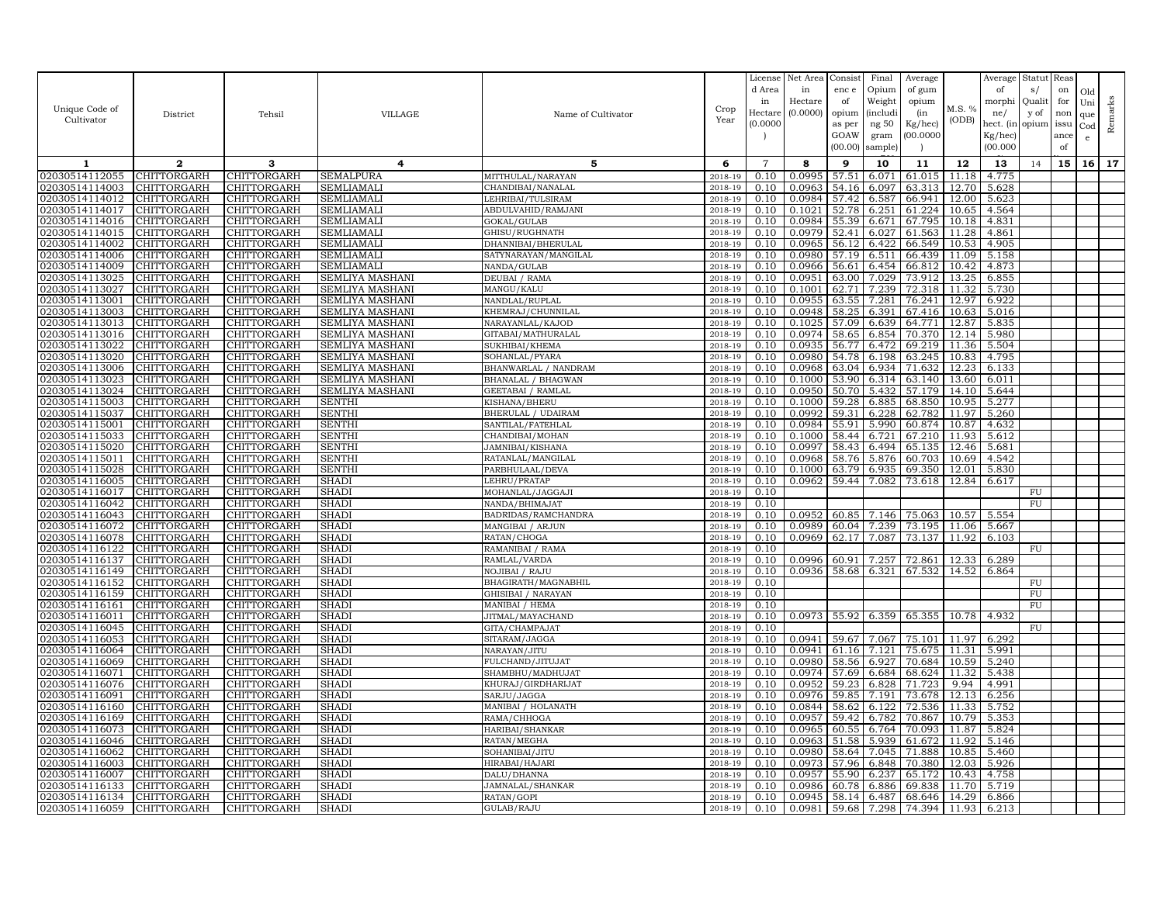| Unique Code of<br>Cultivator     | District                   | Tehsil                     | VILLAGE                                | Name of Cultivator                    | Crop<br>Year       | License<br>d Area<br>in<br>Hectare<br>(0.0000) | Net Area<br>in<br>Hectare<br>(0.0000) | Consist<br>enc e<br>of<br>opium<br>as per | Final<br>Opium<br>Weight<br><i>(includi</i><br>ng $50\,$ | Average<br>of gum<br>opium<br>(in<br>Kg/hec) | M.S. %<br>(ODB) | Average<br>of<br>morphi<br>ne/<br>hect. (in | Statut Reas<br>s/<br>Qualit<br>y of<br>opium | on<br>for<br>non<br>issu | Old<br>Uni<br>que<br>$_{\rm Cod}$ | Remarks |
|----------------------------------|----------------------------|----------------------------|----------------------------------------|---------------------------------------|--------------------|------------------------------------------------|---------------------------------------|-------------------------------------------|----------------------------------------------------------|----------------------------------------------|-----------------|---------------------------------------------|----------------------------------------------|--------------------------|-----------------------------------|---------|
|                                  |                            |                            |                                        |                                       |                    |                                                |                                       | GOAW<br>(00.00)                           | gram<br>sample)                                          | (00.0000)                                    |                 | Kg/hec)<br>(00.000)                         |                                              | ance<br>of               | e                                 |         |
| -1                               | $\mathbf{2}$               | 3                          | $\overline{4}$                         | 5                                     | 6                  | $\overline{7}$                                 | 8                                     | 9                                         | 10                                                       | 11                                           | 12              | 13                                          | 14                                           | 15                       | 16                                | 17      |
| 02030514112055                   | CHITTORGARH                | CHITTORGARH                | <b>SEMALPURA</b>                       | MITTHULAL/NARAYAN                     | 2018-19            | 0.10                                           | 0.0995                                | 57.51                                     | 6.071                                                    | 61.015                                       | 11.18           | 4.775                                       |                                              |                          |                                   |         |
| 02030514114003                   | CHITTORGARH                | CHITTORGARH                | <b>SEMLIAMAL</b>                       | CHANDIBAI/NANALAL                     | 2018-19            | 0.10                                           | 0.0963                                | 54.16                                     | 6.097                                                    | 63.313                                       | 12.70           | 5.628                                       |                                              |                          |                                   |         |
| 02030514114012                   | CHITTORGARH                | CHITTORGARH                | SEMLIAMALI                             | LEHRIBAI/TULSIRAM                     | $2018 - 1$         | 0.10                                           | 0.0984                                | 57.42                                     | 6.587                                                    | 66.941                                       | 12.00           | 5.623                                       |                                              |                          |                                   |         |
| 02030514114017                   | CHITTORGARH                | CHITTORGARH                | SEMLIAMALI                             | ABDULVAHID/RAMJANI                    | 2018-19            | 0.10                                           | 0.1021                                | 52.78                                     | 6.251                                                    | 61.224                                       | 10.65           | 4.564                                       |                                              |                          |                                   |         |
| 02030514114016                   | CHITTORGARH                | CHITTORGARH                | SEMLIAMALI                             | GOKAL/GULAB                           | 2018-19            | 0.10                                           | 0.0984                                | 55.39                                     | 6.671                                                    | 67.795                                       | 10.18           | 4.831                                       |                                              |                          |                                   |         |
| 02030514114015                   | CHITTORGARH<br>CHITTORGARH | CHITTORGARH<br>CHITTORGARH | <b>SEMLIAMALI</b><br><b>SEMLIAMALI</b> | GHISU/RUGHNATH<br>DHANNIBAI/BHERULAL  | 2018-19<br>2018-19 | 0.10<br>0.10                                   | 0.0979<br>0.0965                      | 52.41<br>56.12                            | 6.027<br>6.422                                           | 61.563<br>66.549                             | 11.28<br>10.53  | 4.861<br>4.905                              |                                              |                          |                                   |         |
| 02030514114002<br>02030514114006 | CHITTORGARH                | <b>CHITTORGARH</b>         | SEMLIAMALI                             | SATYNARAYAN/MANGILAL                  | 2018-19            | 0.10                                           | 0.0980                                | 57.19                                     | 6.511                                                    | 66.439                                       | 11.09           | 5.158                                       |                                              |                          |                                   |         |
| 02030514114009                   | CHITTORGARH                | CHITTORGARH                | <b>SEMLIAMALI</b>                      | NANDA/GULAB                           | 2018-19            | 0.10                                           | 0.0966                                | 56.61                                     | 6.454                                                    | 66.812                                       | 10.42           | 4.873                                       |                                              |                          |                                   |         |
| 02030514113025                   | CHITTORGARH                | CHITTORGARH                | SEMLIYA MASHANI                        | DEUBAI / RAMA                         | $2018 - 1$         | 0.10                                           | 0.0951                                | 63.00                                     | 7.029                                                    | 73.912                                       | 13.25           | 6.855                                       |                                              |                          |                                   |         |
| 02030514113027                   | CHITTORGARH                | CHITTORGARH                | <b>SEMLIYA MASHANI</b>                 | MANGU/KALU                            | 2018-19            | 0.10                                           | 0.1001                                | 62.71                                     | 7.239                                                    | 72.318                                       | 11.32           | 5.730                                       |                                              |                          |                                   |         |
| 02030514113001                   | CHITTORGARH                | CHITTORGARH                | SEMLIYA MASHANI                        | NANDLAL/RUPLAL                        | 2018-19            | 0.10                                           | 0.0955                                | 63.55                                     | 7.281                                                    | 76.241                                       | 12.97           | 6.922                                       |                                              |                          |                                   |         |
| 02030514113003                   | CHITTORGARH                | CHITTORGARH                | <b>SEMLIYA MASHANI</b>                 | KHEMRAJ/CHUNNILAL                     | 2018-19            | 0.10                                           | 0.0948                                | 58.25                                     | 6.391                                                    | 67.416                                       | 10.63           | 5.016                                       |                                              |                          |                                   |         |
| 02030514113013                   | CHITTORGARH                | CHITTORGARH                | SEMLIYA MASHANI                        | NARAYANLAL/KAJOD                      | 2018-19            | 0.10                                           | 0.1025                                | 57.09                                     | 6.639                                                    | 64.771                                       | 12.87           | 5.835                                       |                                              |                          |                                   |         |
| 02030514113016                   | CHITTORGARH                | CHITTORGARH                | SEMLIYA MASHANI                        | GITABAI/MATHURALAL                    | 2018-19            | 0.10                                           | 0.0974                                | 58.65                                     | 6.854                                                    | 70.370                                       | 12.14           | 5.980                                       |                                              |                          |                                   |         |
| 02030514113022                   | CHITTORGARH                | CHITTORGARH                | SEMLIYA MASHANI                        | SUKHIBAI/KHEMA                        | 2018-19            | 0.10                                           | 0.0935                                | 56.77                                     | 6.472                                                    | 69.219                                       | 11.36           | 5.504                                       |                                              |                          |                                   |         |
| 02030514113020                   | CHITTORGARH                | CHITTORGARH                | SEMLIYA MASHANI                        | SOHANLAL/PYARA                        | $2018 - 1$         | 0.10                                           | 0.0980                                | 54.78                                     | 6.198                                                    | 63.245                                       | 10.83           | 4.795                                       |                                              |                          |                                   |         |
| 02030514113006                   | CHITTORGARH                | CHITTORGARH                | SEMLIYA MASHANI                        | BHANWARLAL / NANDRAM                  | 2018-19            | 0.10                                           | 0.0968                                | 63.04                                     | 6.934                                                    | 71.632                                       | 12.23           | 6.133                                       |                                              |                          |                                   |         |
| 02030514113023                   | CHITTORGARH                | CHITTORGARH                | SEMLIYA MASHANI                        | BHANALAL / BHAGWAN                    | 2018-19            | 0.10                                           | 0.1000                                | 53.90                                     | 6.314                                                    | 63.140                                       | 13.60           | 6.011                                       |                                              |                          |                                   |         |
| 02030514113024                   | CHITTORGARH                | CHITTORGARH                | SEMLIYA MASHANI                        | <b>GEETABAI / RAMLAL</b>              | 2018-19            | 0.10                                           | 0.0950                                | 50.70                                     | 5.432                                                    | 57.179                                       | 14.10           | 5.644                                       |                                              |                          |                                   |         |
| 02030514115003                   | CHITTORGARH                | CHITTORGARH                | <b>SENTHI</b>                          | KISHANA/BHERU                         | 2018-19            | 0.10                                           | 0.1000                                | 59.28                                     | 6.885                                                    | 68.850                                       | 10.95           | 5.277                                       |                                              |                          |                                   |         |
| 02030514115037                   | CHITTORGARH                | CHITTORGARH                | <b>SENTHI</b>                          | BHERULAL / UDAIRAM                    | 2018-19            | 0.10                                           | 0.0992                                | 59.31                                     | 6.228                                                    | 62.782                                       | 11.97           | 5.260                                       |                                              |                          |                                   |         |
| 02030514115001                   | CHITTORGARH                | CHITTORGARH                | <b>SENTHI</b>                          | SANTILAL/FATEHLAL                     | 2018-19            | 0.10                                           | 0.0984                                | 55.91                                     | 5.990                                                    | 60.874                                       | 10.87           | 4.632                                       |                                              |                          |                                   |         |
| 02030514115033<br>02030514115020 | CHITTORGARH                | CHITTORGARH<br>CHITTORGARH | <b>SENTHI</b><br>SENTHI                | CHANDIBAI/MOHAN                       | 2018-19<br>2018-19 | 0.10<br>0.10                                   | 0.1000<br>0.0997                      | 58.43                                     | 58.44 6.721<br>6.494                                     | 67.210<br>65.135                             | 11.93<br>12.46  | 5.612<br>5.681                              |                                              |                          |                                   |         |
| 02030514115011                   | CHITTORGARH<br>CHITTORGARH | CHITTORGARH                | <b>SENTHI</b>                          | JAMNIBAI/KISHANA<br>RATANLAL/MANGILAL | 2018-19            | 0.10                                           | 0.0968                                | 58.76                                     | 5.876                                                    | 60.703                                       | 10.69           | 4.542                                       |                                              |                          |                                   |         |
| 02030514115028                   | CHITTORGARH                | CHITTORGARH                | SENTHI                                 | PARBHULAAL/DEVA                       | 2018-19            | 0.10                                           | 0.1000                                | 63.79                                     | 6.935                                                    | 69.350                                       | 12.01           | 5.830                                       |                                              |                          |                                   |         |
| 02030514116005                   | CHITTORGARH                | CHITTORGARH                | SHADI                                  | LEHRU/PRATAP                          | 2018-19            | 0.10                                           | 0.0962                                | 59.44                                     | 7.082                                                    | 73.618                                       | 12.84           | 6.617                                       |                                              |                          |                                   |         |
| 02030514116017                   | CHITTORGARH                | CHITTORGARH                | SHADI                                  | MOHANLAL/JAGGAJI                      | 2018-19            | 0.10                                           |                                       |                                           |                                                          |                                              |                 |                                             | ${\rm FU}$                                   |                          |                                   |         |
| 02030514116042                   | CHITTORGARH                | CHITTORGARH                | SHADI                                  | NANDA/BHIMAJAT                        | 2018-19            | 0.10                                           |                                       |                                           |                                                          |                                              |                 |                                             | FU                                           |                          |                                   |         |
| 02030514116043                   | CHITTORGARH                | CHITTORGARH                | SHADI                                  | BADRIDAS/RAMCHANDRA                   | 2018-19            | 0.10                                           | 0.0952                                | 60.85                                     | 7.146                                                    | 75.063                                       | 10.57           | 5.554                                       |                                              |                          |                                   |         |
| 02030514116072                   | CHITTORGARH                | CHITTORGARH                | <b>SHADI</b>                           | MANGIBAI / ARJUN                      | 2018-19            | 0.10                                           | 0.0989                                | 60.04                                     | 7.239                                                    | 73.195                                       | 11.06           | 5.667                                       |                                              |                          |                                   |         |
| 02030514116078                   | CHITTORGARH                | CHITTORGARH                | <b>SHADI</b>                           | RATAN/CHOGA                           | 2018-19            | 0.10                                           | 0.0969                                | 62.17                                     | 7.087                                                    | 73.137                                       | 11.92           | 6.103                                       |                                              |                          |                                   |         |
| 02030514116122                   | CHITTORGARH                | CHITTORGARH                | <b>SHADI</b>                           | RAMANIBAI / RAMA                      | 2018-19            | 0.10                                           |                                       |                                           |                                                          |                                              |                 |                                             | FU                                           |                          |                                   |         |
| 02030514116137                   | CHITTORGARH                | CHITTORGARH                | SHADI                                  | RAMLAL/VARDA                          | 2018-19            | 0.10                                           | 0.0996                                | 60.91                                     | 7.257                                                    | 72.861                                       | 12.33           | 6.289                                       |                                              |                          |                                   |         |
| 02030514116149                   | CHITTORGARH                | CHITTORGARH                | SHADI                                  | NOJIBAI / RAJU                        | 2018-19            | 0.10                                           | 0.0936                                | 58.68                                     | 6.321                                                    | 67.532                                       | 14.52           | 6.864                                       |                                              |                          |                                   |         |
| 02030514116152                   | CHITTORGARH                | CHITTORGARH                | SHADI                                  | BHAGIRATH/MAGNABHIL                   | 2018-19            | 0.10                                           |                                       |                                           |                                                          |                                              |                 |                                             | FU                                           |                          |                                   |         |
| 02030514116159                   | CHITTORGARH                | CHITTORGARH                | SHADI                                  | GHISIBAI / NARAYAN                    | 2018-19            | 0.10                                           |                                       |                                           |                                                          |                                              |                 |                                             | <b>FU</b>                                    |                          |                                   |         |
| 02030514116161<br>02030514116011 | CHITTORGARH<br>CHITTORGARH | CHITTORGARH<br>CHITTORGARH | SHADI<br><b>SHADI</b>                  | MANIBAI / HEMA<br>JITMAL/MAYACHAND    | 2018-19<br>2018-19 | 0.10<br>0.10                                   | 0.0973                                | 55.92                                     | 6.359                                                    | 65.355                                       |                 | 10.78 4.932                                 | FU                                           |                          |                                   |         |
| 02030514116045                   | CHITTORGARH                | CHITTORGARH                | <b>SHADI</b>                           | GITA/CHAMPAJAT                        | 2018-19            | 0.10                                           |                                       |                                           |                                                          |                                              |                 |                                             | FU                                           |                          |                                   |         |
| 02030514116053                   | CHITTORGARH                | CHITTORGARH                | <b>SHADI</b>                           | SITARAM/JAGGA                         | 2018-19            | 0.10                                           | 0.0941                                | 59.67                                     | 7.067                                                    | 75.101                                       | 11.97           | 6.292                                       |                                              |                          |                                   |         |
| 02030514116064                   | CHITTORGARH                | CHITTORGARH                | <b>SHADI</b>                           | NARAYAN/JITU                          | 2018-19            | 0.10                                           | 0.0941                                | 61.16                                     | 7.121                                                    | 75.675                                       | 11.31           | 5.991                                       |                                              |                          |                                   |         |
| 02030514116069                   | CHITTORGARH                | CHITTORGARH                | <b>SHADI</b>                           | FULCHAND/JITUJAT                      | 2018-19            | 0.10                                           | 0.0980                                |                                           | 58.56 6.927                                              | 70.684                                       | 10.59           | 5.240                                       |                                              |                          |                                   |         |
| 02030514116071                   | CHITTORGARH                | CHITTORGARH                | <b>SHADI</b>                           | SHAMBHU/MADHUJAT                      | 2018-19            | 0.10                                           | 0.0974                                | 57.69                                     | 6.684                                                    | 68.624                                       | 11.32           | 5.438                                       |                                              |                          |                                   |         |
| 02030514116076                   | CHITTORGARH                | CHITTORGARH                | SHADI                                  | KHURAJ/GIRDHARIJAT                    | 2018-19            | 0.10                                           | 0.0952                                | 59.23                                     | 6.828                                                    | 71.723                                       | 9.94            | 4.991                                       |                                              |                          |                                   |         |
| 02030514116091                   | CHITTORGARH                | CHITTORGARH                | SHADI                                  | SARJU/JAGGA                           | 2018-19            | 0.10                                           | 0.0976                                | 59.85                                     | 7.191                                                    | 73.678                                       | 12.13           | 6.256                                       |                                              |                          |                                   |         |
| 02030514116160                   | CHITTORGARH                | CHITTORGARH                | SHADI                                  | MANIBAI / HOLANATH                    | 2018-19            | 0.10                                           | 0.0844                                | 58.62                                     | 6.122                                                    | 72.536                                       | 11.33           | 5.752                                       |                                              |                          |                                   |         |
| 02030514116169                   | CHITTORGARH                | CHITTORGARH                | SHADI                                  | RAMA/CHHOGA                           | 2018-19            | 0.10                                           | 0.0957                                | 59.42                                     | 6.782                                                    | 70.867                                       | 10.79           | 5.353                                       |                                              |                          |                                   |         |
| 02030514116073                   | CHITTORGARH                | CHITTORGARH                | SHADI                                  | HARIBAI/SHANKAR                       | 2018-19            | 0.10                                           | 0.0965                                | 60.55                                     | 6.764                                                    | 70.093                                       | 11.87           | 5.824                                       |                                              |                          |                                   |         |
| 02030514116046                   | CHITTORGARH                | CHITTORGARH                | <b>SHADI</b>                           | RATAN/MEGHA                           | 2018-19            | 0.10                                           | 0.0963                                | 51.58                                     | 5.939                                                    | 61.672                                       | 11.92           | 5.146                                       |                                              |                          |                                   |         |
| 02030514116062                   | <b>CHITTORGARH</b>         | CHITTORGARH                | <b>SHADI</b>                           | SOHANIBAI/JITU                        | 2018-19            | 0.10                                           | 0.0980                                | 58.64                                     | 7.045                                                    | 71.888                                       | 10.85           | 5.460                                       |                                              |                          |                                   |         |
| 02030514116003                   | CHITTORGARH                | CHITTORGARH                | <b>SHADI</b>                           | HIRABAI/HAJARI                        | 2018-19            | 0.10                                           | 0.0973                                | 57.96                                     | 6.848                                                    | 70.380                                       | 12.03           | 5.926                                       |                                              |                          |                                   |         |
| 02030514116007                   | CHITTORGARH                | CHITTORGARH                | <b>SHADI</b>                           | DALU/DHANNA                           | 2018-19            | 0.10                                           | 0.0957                                | 55.90                                     | 6.237                                                    | 65.172                                       | 10.43           | 4.758                                       |                                              |                          |                                   |         |
| 02030514116133                   | CHITTORGARH                | CHITTORGARH                | SHADI                                  | JAMNALAL/SHANKAR                      | 2018-19<br>2018-19 | 0.10<br>0.10                                   | 0.0986<br>0.0945                      | 60.78                                     | 6.886                                                    | 69.838                                       | 11.70           | 5.719                                       |                                              |                          |                                   |         |
| 02030514116134<br>02030514116059 | CHITTORGARH<br>CHITTORGARH | CHITTORGARH<br>CHITTORGARH | SHADI<br><b>SHADI</b>                  | RATAN/GOPI<br>GULAB/RAJU              |                    | 0.10                                           | 0.0981                                | 58.14<br>59.68                            | 6.487<br>7.298                                           | 68.646<br>74.394                             | 14.29<br>11.93  | 6.866<br>6.213                              |                                              |                          |                                   |         |
|                                  |                            |                            |                                        |                                       | 2018-19            |                                                |                                       |                                           |                                                          |                                              |                 |                                             |                                              |                          |                                   |         |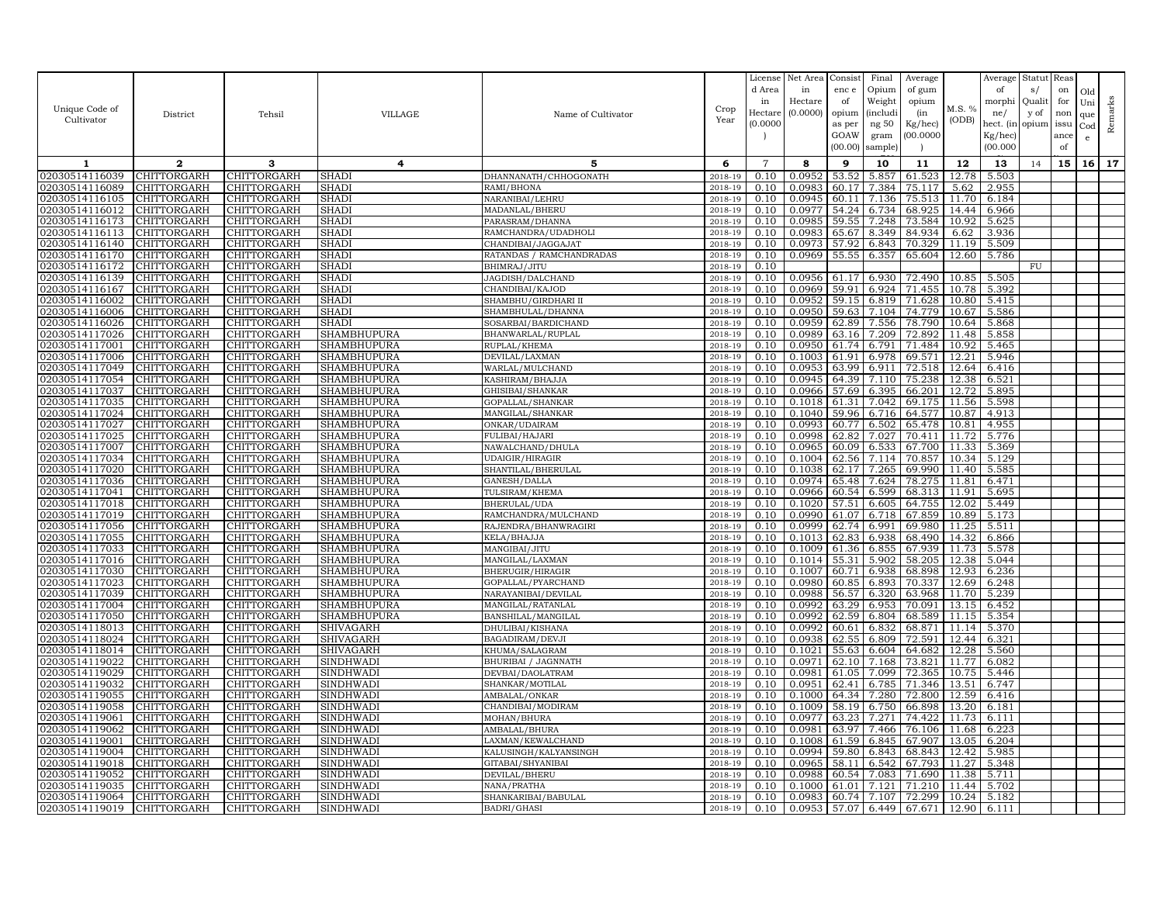| Unique Code of<br>Cultivator     | District                   | Tehsil                     | VILLAGE                       | Name of Cultivator                             | Crop<br>Year       | License<br>d Area<br>in<br>Hectare<br>(0.0000) | Net Area<br>in<br>Hectare<br>(0.0000) | Consist<br>enc e<br>of<br>opium<br>as per<br>GOAW<br>(00.00) | Final<br>Opium<br>Weight<br><i>(includi</i><br>ng $50\,$<br>gram<br>sample) | Average<br>of gum<br>opium<br>(in<br>Kg/hec)<br>(00.0000) | M.S. %<br>(ODB) | Average<br>of<br>morphi<br>ne/<br>hect. (in<br>Kg/hec)<br>(00.000) | Statut Reas<br>s/<br>Qualit<br>y of<br>opium | on<br>for<br>non<br>issu<br>ance<br>of | Old<br>Uni<br>que<br>Cod<br>e | Remarks |
|----------------------------------|----------------------------|----------------------------|-------------------------------|------------------------------------------------|--------------------|------------------------------------------------|---------------------------------------|--------------------------------------------------------------|-----------------------------------------------------------------------------|-----------------------------------------------------------|-----------------|--------------------------------------------------------------------|----------------------------------------------|----------------------------------------|-------------------------------|---------|
| 1                                | $\mathbf{2}$               | 3                          | 4                             | 5                                              | 6                  | $\overline{7}$                                 | 8                                     | 9                                                            | 10                                                                          | 11                                                        | 12              | 13                                                                 | 14                                           | 15                                     | 16                            | 17      |
| 02030514116039                   | CHITTORGARH                | CHITTORGARH                | <b>SHAD</b>                   | DHANNANATH/CHHOGONATH                          | 2018-19            | 0.10                                           | 0.0952                                | 53.52                                                        | 5.857                                                                       | 61.523                                                    | 12.78           | 5.503                                                              |                                              |                                        |                               |         |
| 02030514116089                   | CHITTORGARH                | CHITTORGARH                | SHADI                         | RAMI/BHONA                                     | 2018-19            | 0.10                                           | 0.0983                                | 60.17                                                        | 7.384                                                                       | 75.117                                                    | 5.62            | 2.955                                                              |                                              |                                        |                               |         |
| 02030514116105                   | CHITTORGARH                | CHITTORGARH                | SHADI                         | NARANIBAI/LEHRU                                | $2018 - 1$         | 0.10                                           | 0.0945                                | 60.1                                                         | 7.136                                                                       | 75.513                                                    | 11.70           | 6.184                                                              |                                              |                                        |                               |         |
| 02030514116012                   | CHITTORGARH                | CHITTORGARH                | SHADI                         | MADANLAL/BHERU                                 | 2018-19            | 0.10                                           | 0.0977                                | 54.24                                                        | 6.734                                                                       | 68.925                                                    | 14.44           | 6.966                                                              |                                              |                                        |                               |         |
| 02030514116173                   | CHITTORGARH                | CHITTORGARH                | SHADI                         | PARASRAM/DHANNA                                | 2018-19            | 0.10                                           | 0.0985                                | 59.55                                                        | 7.248                                                                       | 73.584                                                    | 10.92           | 5.625                                                              |                                              |                                        |                               |         |
| 02030514116113                   | CHITTORGARH                | CHITTORGARH                | SHADI                         | RAMCHANDRA/UDADHOLI                            | 2018-19            | 0.10                                           | 0.0983                                | 65.67                                                        | 8.349                                                                       | 84.934                                                    | 6.62            | 3.936                                                              |                                              |                                        |                               |         |
| 02030514116140<br>02030514116170 | CHITTORGARH<br>CHITTORGARH | CHITTORGARH<br>CHITTORGARH | SHADI<br>SHADI                | CHANDIBAI/JAGGAJAT<br>RATANDAS / RAMCHANDRADAS | 2018-19<br>2018-19 | 0.10<br>0.10                                   | 0.0973<br>0.0969                      | 57.92<br>55.55                                               | 6.843<br>6.357                                                              | 70.329<br>65.604                                          | 11.19<br>12.60  | 5.509<br>5.786                                                     |                                              |                                        |                               |         |
| 02030514116172                   | CHITTORGARH                | CHITTORGARH                | SHADI                         | BHIMRAJ/JITU                                   | 2018-19            | 0.10                                           |                                       |                                                              |                                                                             |                                                           |                 |                                                                    | FU                                           |                                        |                               |         |
| 02030514116139                   | <b>CHITTORGARH</b>         | CHITTORGARH                | SHADI                         | JAGDISH/DALCHAND                               | $2018 - 1$         | 0.10                                           | 0.0956                                | 61.1'                                                        | 6.930                                                                       | 72.490                                                    | 10.85           | 5.505                                                              |                                              |                                        |                               |         |
| 02030514116167                   | CHITTORGARH                | CHITTORGARH                | SHADI                         | CHANDIBAI/KAJOD                                | 2018-19            | 0.10                                           | 0.0969                                | 59.91                                                        | 6.924                                                                       | 71.455                                                    | 10.78           | 5.392                                                              |                                              |                                        |                               |         |
| 02030514116002                   | CHITTORGARH                | CHITTORGARH                | SHADI                         | SHAMBHU/GIRDHARI II                            | 2018-19            | 0.10                                           | 0.0952                                | 59.15                                                        | 6.819                                                                       | 71.628                                                    | 10.80           | 5.415                                                              |                                              |                                        |                               |         |
| 02030514116006                   | CHITTORGARH                | CHITTORGARH                | SHADI                         | SHAMBHULAL/DHANNA                              | 2018-19            | 0.10                                           | 0.0950                                | 59.63                                                        | 7.104                                                                       | 74.779                                                    | 10.67           | 5.586                                                              |                                              |                                        |                               |         |
| 02030514116026                   | CHITTORGARH                | CHITTORGARH                | <b>SHADI</b>                  | SOSARBAI/BARDICHAND                            | 2018-19            | 0.10                                           | 0.0959                                | 62.89                                                        | 7.556                                                                       | 78.790                                                    | 10.64           | 5.868                                                              |                                              |                                        |                               |         |
| 02030514117026                   | CHITTORGARH                | CHITTORGARH                | SHAMBHUPURA                   | BHANWARLAL/RUPLAL                              | 2018-19            | 0.10                                           | 0.0989                                | 63.16                                                        | 7.209                                                                       | 72.892                                                    | 11.48           | 5.858                                                              |                                              |                                        |                               |         |
| 02030514117001                   | CHITTORGARH                | CHITTORGARH                | SHAMBHUPURA                   | RUPLAL/KHEMA                                   | 2018-19            | 0.10                                           | 0.0950                                | 61.74                                                        | 6.791                                                                       | 71.484                                                    | 10.92           | 5.465                                                              |                                              |                                        |                               |         |
| 02030514117006                   | CHITTORGARH                | CHITTORGARH                | SHAMBHUPURA                   | DEVILAL/LAXMAN                                 | 2018-19            | 0.10                                           | 0.1003                                | 61.91                                                        | 6.978                                                                       | 69.571                                                    | 12.21           | 5.946                                                              |                                              |                                        |                               |         |
| 02030514117049                   | CHITTORGARH                | CHITTORGARH                | SHAMBHUPURA                   | WARLAL/MULCHAND                                | 2018-19            | 0.10                                           | 0.0953                                | 63.99                                                        | 6.911                                                                       | 72.518                                                    | 12.64           | 6.416                                                              |                                              |                                        |                               |         |
| 02030514117054                   | CHITTORGARH                | CHITTORGARH                | SHAMBHUPURA                   | KASHIRAM/BHAJJA                                | 2018-19            | 0.10                                           | 0.0945                                | 64.39                                                        | 7.110                                                                       | 75.238                                                    | 12.38           | 6.521                                                              |                                              |                                        |                               |         |
| 02030514117037                   | CHITTORGARH                | CHITTORGARH                | SHAMBHUPURA                   | GHISIBAI/SHANKAR                               | 2018-19            | 0.10                                           | 0.0966                                | 57.69                                                        | 6.395                                                                       | 66.201                                                    | 12.72           | 5.895                                                              |                                              |                                        |                               |         |
| 02030514117035                   | CHITTORGARH                | CHITTORGARH                | SHAMBHUPURA                   | GOPALLAL/SHANKAR                               | 2018-19            | 0.10                                           | 0.1018                                | 61.31                                                        | 7.042                                                                       | 69.175                                                    | 11.56           | 5.598                                                              |                                              |                                        |                               |         |
| 02030514117024                   | CHITTORGARH                | CHITTORGARH                | <b>SHAMBHUPURA</b>            | MANGILAL/SHANKAR                               | 2018-19            | 0.10                                           | 0.1040                                | 59.96                                                        | 6.716                                                                       | 64.577                                                    | 10.87           | 4.913                                                              |                                              |                                        |                               |         |
| 02030514117027                   | CHITTORGARH                | CHITTORGARH                | <b>SHAMBHUPURA</b>            | ONKAR/UDAIRAM                                  | 2018-19            | 0.10                                           | 0.0993                                | 60.77                                                        | 6.502                                                                       | 65.478                                                    | 10.81           | 4.955                                                              |                                              |                                        |                               |         |
| 02030514117025<br>02030514117007 | CHITTORGARH<br>CHITTORGARH | CHITTORGARH<br>CHITTORGARH | SHAMBHUPURA<br>SHAMBHUPURA    | FULIBAI/HAJARI<br>NAWALCHAND/DHULA             | 2018-19<br>2018-19 | 0.10<br>0.10                                   | 0.0998<br>0.0965                      | 62.82<br>60.09                                               | 7.027<br>6.533                                                              | 70.411<br>67.700                                          | 11.72<br>11.33  | 5.776<br>5.369                                                     |                                              |                                        |                               |         |
| 02030514117034                   | CHITTORGARH                | CHITTORGARH                | SHAMBHUPURA                   | UDAIGIR/HIRAGIR                                | 2018-19            | 0.10                                           | 0.1004                                | 62.56                                                        | 7.114                                                                       | 70.857                                                    | 10.34           | 5.129                                                              |                                              |                                        |                               |         |
| 02030514117020                   | CHITTORGARH                | CHITTORGARH                | SHAMBHUPURA                   | SHANTILAL/BHERULAL                             | 2018-19            | 0.10                                           | 0.1038                                | 62.17                                                        | 7.265                                                                       | 69.990                                                    | 11.40           | 5.585                                                              |                                              |                                        |                               |         |
| 02030514117036                   | CHITTORGARH                | CHITTORGARH                | SHAMBHUPURA                   | GANESH/DALLA                                   | 2018-19            | 0.10                                           | 0.0974                                |                                                              | 65.48 7.624                                                                 | 78.275                                                    | 11.81           | 6.471                                                              |                                              |                                        |                               |         |
| 02030514117041                   | CHITTORGARH                | CHITTORGARH                | SHAMBHUPURA                   | TULSIRAM/KHEMA                                 | 2018-19            | 0.10                                           | 0.0966                                | 60.54                                                        | 6.599                                                                       | 68.313                                                    | 11.91           | 5.695                                                              |                                              |                                        |                               |         |
| 02030514117018                   | CHITTORGARH                | <b>CHITTORGARH</b>         | SHAMBHUPURA                   | BHERULAL/UDA                                   | 2018-19            | 0.10                                           | 0.1020                                | 57.51                                                        | 6.605                                                                       | 64.755                                                    | 12.02           | 5.449                                                              |                                              |                                        |                               |         |
| 02030514117019                   | CHITTORGARH                | CHITTORGARH                | SHAMBHUPURA                   | RAMCHANDRA/MULCHAND                            | 2018-19            | 0.10                                           | 0.0990                                | 61.07                                                        | 6.718                                                                       | 67.859                                                    | 10.89           | 5.173                                                              |                                              |                                        |                               |         |
| 02030514117056                   | CHITTORGARH                | CHITTORGARH                | SHAMBHUPURA                   | RAJENDRA/BHANWRAGIRI                           | 2018-19            | 0.10                                           | 0.0999                                | 62.74                                                        | 6.991                                                                       | 69.980                                                    | 11.25           | 5.511                                                              |                                              |                                        |                               |         |
| 02030514117055                   | CHITTORGARH                | CHITTORGARH                | SHAMBHUPURA                   | KELA/BHAJJA                                    | 2018-19            | 0.10                                           | 0.1013                                | 62.83                                                        | 6.938                                                                       | 68.490                                                    | 14.32           | 6.866                                                              |                                              |                                        |                               |         |
| 02030514117033                   | CHITTORGARH                | CHITTORGARH                | SHAMBHUPURA                   | MANGIBAI/JITU                                  | 2018-19            | 0.10                                           | 0.1009                                | 61.36                                                        | 6.855                                                                       | 67.939                                                    | 11.73           | 5.578                                                              |                                              |                                        |                               |         |
| 02030514117016                   | CHITTORGARH                | CHITTORGARH                | SHAMBHUPURA                   | MANGILAL/LAXMAN                                | 2018-19            | 0.10                                           | 0.1014                                | 55.31                                                        | 5.902                                                                       | 58.205                                                    | 12.38           | 5.044                                                              |                                              |                                        |                               |         |
| 02030514117030                   | CHITTORGARH                | CHITTORGARH                | SHAMBHUPURA                   | BHERUGIR/HIRAGIR                               | 2018-19            | 0.10                                           | 0.1007                                |                                                              | 60.71 6.938                                                                 | 68.898                                                    | 12.93           | 6.236                                                              |                                              |                                        |                               |         |
| 02030514117023                   | CHITTORGARH                | CHITTORGARH                | SHAMBHUPURA                   | GOPALLAL/PYARCHAND                             | 2018-19            | 0.10                                           | 0.0980                                | 60.85                                                        | 6.893                                                                       | 70.337                                                    | 12.69           | 6.248                                                              |                                              |                                        |                               |         |
| 02030514117039                   | CHITTORGARH                | CHITTORGARH                | SHAMBHUPURA                   | NARAYANIBAI/DEVILAL                            | 2018-19            | 0.10                                           | 0.0988                                | 56.57                                                        | 6.320                                                                       | 63.968                                                    | 11.70           | 5.239                                                              |                                              |                                        |                               |         |
| 02030514117004<br>02030514117050 | CHITTORGARH<br>CHITTORGARH | CHITTORGARH<br>CHITTORGARH | SHAMBHUPURA<br>SHAMBHUPURA    | MANGILAL/RATANLAL<br>BANSHILAL/MANGILAL        | 2018-19<br>2018-19 | 0.10<br>0.10                                   | 0.0992<br>0.0992                      | 63.29<br>62.59                                               | 6.953<br>6.804                                                              | 70.091<br>68.589                                          | 13.15<br>11.15  | 6.452<br>5.354                                                     |                                              |                                        |                               |         |
| 02030514118013                   | CHITTORGARH                | CHITTORGARH                | SHIVAGARH                     | DHULIBAI/KISHANA                               | 2018-19            | 0.10                                           | 0.0992                                | 60.61                                                        | 6.832                                                                       | 68.871                                                    | 11.14           | 5.370                                                              |                                              |                                        |                               |         |
| 02030514118024                   | CHITTORGARH                | CHITTORGARH                | SHIVAGARH                     | BAGADIRAM/DEVJI                                | 2018-19            | 0.10                                           | 0.0938                                | 62.55                                                        | 6.809                                                                       | 72.591                                                    | 12.44           | 6.321                                                              |                                              |                                        |                               |         |
| 02030514118014                   | CHITTORGARH                | CHITTORGARH                | <b>SHIVAGARH</b>              | KHUMA/SALAGRAM                                 | 2018-19            | 0.10                                           | 0.1021                                | 55.63                                                        | 6.604                                                                       | 64.682                                                    | 12.28           | 5.560                                                              |                                              |                                        |                               |         |
| 02030514119022                   | CHITTORGARH                | CHITTORGARH                | <b>SINDHWADI</b>              | BHURIBAI / JAGNNATH                            | 2018-19            | 0.10                                           | 0.0971                                |                                                              | 62.10 7.168                                                                 | 73.821                                                    |                 | 11.77 6.082                                                        |                                              |                                        |                               |         |
| 02030514119029                   | CHITTORGARH                | CHITTORGARH                | SINDHWADI                     | DEVBAI/DAOLATRAM                               | 2018-19            | 0.10                                           | 0.0981                                | 61.05                                                        | 7.099                                                                       | 72.365                                                    | 10.75           | 5.446                                                              |                                              |                                        |                               |         |
| 02030514119032                   | CHITTORGARH                | CHITTORGARH                | <b>SINDHWADI</b>              | SHANKAR/MOTILAL                                | 2018-19            | 0.10                                           | 0.0951                                | 62.41                                                        | 6.785                                                                       | 71.346                                                    | 13.51           | 6.747                                                              |                                              |                                        |                               |         |
| 02030514119055                   | CHITTORGARH                | CHITTORGARH                | SINDHWADI                     | AMBALAL/ONKAR                                  | 2018-19            | 0.10                                           | 0.1000                                | 64.34                                                        | 7.280                                                                       | 72.800                                                    | 12.59           | 6.416                                                              |                                              |                                        |                               |         |
| 02030514119058                   | CHITTORGARH                | CHITTORGARH                | <b>SINDHWADI</b>              | CHANDIBAI/MODIRAM                              | 2018-19            | 0.10                                           | 0.1009                                | 58.19                                                        | 6.750                                                                       | 66.898                                                    | 13.20           | 6.181                                                              |                                              |                                        |                               |         |
| 02030514119061                   | CHITTORGARH                | CHITTORGARH                | <b>SINDHWADI</b>              | MOHAN/BHURA                                    | 2018-19            | 0.10                                           | 0.0977                                | 63.23                                                        | 7.271                                                                       | 74.422                                                    | 11.73           | 6.111                                                              |                                              |                                        |                               |         |
| 02030514119062                   | CHITTORGARH                | CHITTORGARH                | SINDHWADI                     | AMBALAL/BHURA                                  | 2018-19            | 0.10                                           | 0.0981                                | 63.97                                                        | 7.466                                                                       | 76.106                                                    | 11.68           | 6.223                                                              |                                              |                                        |                               |         |
| 02030514119001                   | CHITTORGARH                | CHITTORGARH                | SINDHWADI                     | LAXMAN/KEWALCHAND                              | 2018-19            | 0.10                                           | 0.1008                                | 61.59                                                        | 6.845                                                                       | 67.907                                                    | 13.05           | 6.204                                                              |                                              |                                        |                               |         |
| 02030514119004                   | <b>CHITTORGARH</b>         | <b>CHITTORGARH</b>         | SINDHWADI                     | KALUSINGH/KALYANSINGH                          | 2018-19            | 0.10                                           | 0.0994                                | 59.80                                                        | 6.843                                                                       | 68.843                                                    | 12.42           | 5.985                                                              |                                              |                                        |                               |         |
| 02030514119018                   | CHITTORGARH                | CHITTORGARH                | SINDHWADI                     | GITABAI/SHYANIBAI                              | 2018-19            | 0.10                                           | 0.0965                                | 58.11                                                        | 6.542                                                                       | 67.793                                                    | 11.27           | 5.348                                                              |                                              |                                        |                               |         |
| 02030514119052                   | CHITTORGARH                | CHITTORGARH                | SINDHWADI                     | DEVILAL/BHERU                                  | 2018-19            | 0.10                                           | 0.0988                                | 60.54                                                        | 7.083                                                                       | 71.690                                                    | 11.38           | 5.711                                                              |                                              |                                        |                               |         |
| 02030514119035<br>02030514119064 | CHITTORGARH<br>CHITTORGARH | CHITTORGARH<br>CHITTORGARH | SINDHWADI<br><b>SINDHWADI</b> | NANA/PRATHA<br>SHANKARIBAI/BABULAL             | 2018-19<br>2018-19 | 0.10<br>0.10                                   | 0.1000<br>0.0983                      | 61.01<br>60.74                                               | 7.121<br>7.107                                                              | 71.210<br>72.299                                          | 11.44<br>10.24  | 5.702<br>5.182                                                     |                                              |                                        |                               |         |
| 02030514119019                   | CHITTORGARH                | CHITTORGARH                | <b>SINDHWADI</b>              | <b>BADRI/GHASI</b>                             | 2018-19            | 0.10                                           | 0.0953                                | 57.07                                                        | 6.449                                                                       | 67.671                                                    | 12.90           | 6.111                                                              |                                              |                                        |                               |         |
|                                  |                            |                            |                               |                                                |                    |                                                |                                       |                                                              |                                                                             |                                                           |                 |                                                                    |                                              |                                        |                               |         |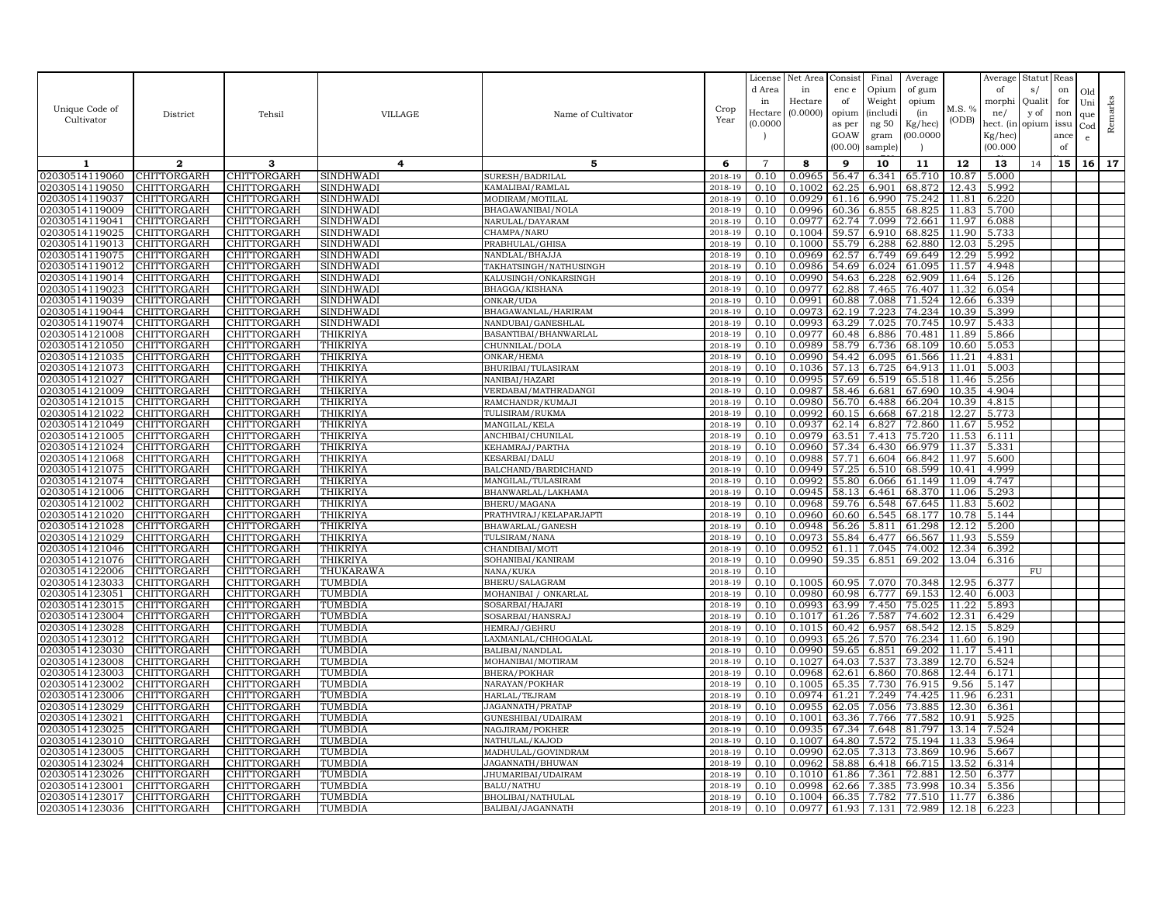|                                  |                                   |                            |                        |                                         |                    | License<br>d Area   | Net Area<br>in   | Consist<br>enc e | Final<br>Opium           | Average<br>of gum |                | Average<br>of    | Statut<br>s/  | Reas<br>on  | Old             |         |
|----------------------------------|-----------------------------------|----------------------------|------------------------|-----------------------------------------|--------------------|---------------------|------------------|------------------|--------------------------|-------------------|----------------|------------------|---------------|-------------|-----------------|---------|
| Unique Code of                   |                                   |                            |                        |                                         | Crop               | in                  | Hectare          | of               | Weight                   | opium             | M.S. %         | morphi           | Quali         | for         | Uni             | Remarks |
| Cultivator                       | District                          | Tehsil                     | <b>VILLAGE</b>         | Name of Cultivator                      | Year               | Hectare<br>(0.0000) | (0.0000)         | opium<br>as per  | <i>(includi</i><br>ng 50 | (in<br>Kg/hec)    | (ODB)          | ne/<br>hect. (in | y of<br>opium | non<br>issu | que             |         |
|                                  |                                   |                            |                        |                                         |                    |                     |                  | GOAW             | gram                     | 00.000C           |                | Kg/hec)          |               | ance        | Cod<br>e        |         |
|                                  |                                   |                            |                        |                                         |                    |                     |                  | (00.00)          | sample)                  |                   |                | (00.000)         |               | of          |                 |         |
| 1                                | $\mathbf{2}$                      | 3                          | 4                      | 5                                       | 6                  | $\overline{7}$      | 8                | 9                | 10                       | 11                | 12             | 13               | 14            | 15          | 16 <sup>1</sup> | 17      |
| 02030514119060                   | CHITTORGARH                       | CHITTORGARH                | SINDHWADI              | SURESH/BADRILAL                         | 2018-19            | 0.10                | 0.0965           | 56.47            | 6.341                    | 65.710            | 10.87          | 5.000            |               |             |                 |         |
| 02030514119050                   | CHITTORGARH                       | CHITTORGARH                | SINDHWADI              | KAMALIBAI/RAMLAL                        | 2018-19            | 0.10                | 0.1002           | 62.25            | 6.901                    | 68.872            | 12.43          | 5.992            |               |             |                 |         |
| 02030514119037                   | CHITTORGARH                       | CHITTORGARH                | SINDHWADI              | MODIRAM/MOTILAL                         | $2018 - 1$         | 0.10                | 0.0929           | 61.16            | 6.990                    | 75.242            | 11.81          | 6.220            |               |             |                 |         |
| 02030514119009                   | CHITTORGARH                       | CHITTORGARH                | SINDHWADI              | BHAGAWANIBAI/NOLA                       | 2018-19            | 0.10                | 0.0996           | 60.36            | 6.855                    | 68.825            | 11.83          | 5.700            |               |             |                 |         |
| 02030514119041                   | CHITTORGARH                       | CHITTORGARH                | SINDHWADI              | NARULAL/DAYARAM                         | 2018-19            | 0.10                | 0.0977           | 62.74            | 7.099                    | 72.661            | 11.97          | 6.088            |               |             |                 |         |
| 02030514119025<br>02030514119013 | CHITTORGARH<br>CHITTORGARH        | CHITTORGARH<br>CHITTORGARH | SINDHWADI<br>SINDHWADI | CHAMPA/NARU<br>PRABHULAL/GHISA          | 2018-19<br>2018-19 | 0.10<br>0.10        | 0.1004<br>0.1000 | 59.57<br>55.79   | 6.910<br>6.288           | 68.825<br>62.880  | 11.90<br>12.03 | 5.733<br>5.295   |               |             |                 |         |
| 02030514119075                   | CHITTORGARH                       | <b>CHITTORGARH</b>         | SINDHWADI              | NANDLAL/BHAJJA                          | 2018-19            | 0.10                | 0.0969           | 62.57            | 6.749                    | 69.649            | 12.29          | 5.992            |               |             |                 |         |
| 02030514119012                   | CHITTORGARH                       | CHITTORGARH                | SINDHWADI              | TAKHATSINGH/NATHUSINGH                  | 2018-19            | 0.10                | 0.0986           | 54.69            | 6.024                    | 61.095            | 11.57          | 4.948            |               |             |                 |         |
| 02030514119014                   | CHITTORGARH                       | CHITTORGARH                | SINDHWADI              | KALUSINGH/ONKARSINGH                    | 2018-19            | 0.10                | 0.0990           | 54.63            | 6.228                    | 62.909            | 11.64          | 5.126            |               |             |                 |         |
| 02030514119023                   | CHITTORGARH                       | CHITTORGARH                | <b>SINDHWADI</b>       | BHAGGA/KISHANA                          | 2018-19            | 0.10                | 0.0977           | 62.88            | 7.465                    | 76.407            | 11.32          | 6.054            |               |             |                 |         |
| 02030514119039                   | CHITTORGARH                       | CHITTORGARH                | SINDHWADI              | ONKAR/UDA                               | 2018-19            | 0.10                | 0.0991           | 60.88            | 7.088                    | 71.524            | 12.66          | 6.339            |               |             |                 |         |
| 02030514119044                   | CHITTORGARH                       | CHITTORGARH                | SINDHWADI              | BHAGAWANLAL/HARIRAM                     | 2018-19            | 0.10                | 0.0973           | 62.19            | 7.223                    | 74.234            | 10.39          | 5.399            |               |             |                 |         |
| 02030514119074                   | CHITTORGARH                       | CHITTORGARH                | SINDHWADI              | NANDUBAI/GANESHLAI                      | 2018-19            | 0.10                | 0.0993           | 63.29            | 7.025                    | 70.745            | 10.97          | 5.433            |               |             |                 |         |
| 02030514121008                   | CHITTORGARH                       | <b>CHITTORGARH</b>         | THIKRIYA               | BASANTIBAI/BHANWARLAL                   | 2018-19            | 0.10                | 0.0977           | 60.48            | 6.886                    | 70.481            | 11.89          | 5.866            |               |             |                 |         |
| 02030514121050                   | CHITTORGARH                       | CHITTORGARH                | THIKRIYA               | CHUNNILAL/DOLA                          | 2018-19            | 0.10                | 0.0989           | 58.79            | 6.736                    | 68.109            | 10.60          | 5.053            |               |             |                 |         |
| 02030514121035                   | CHITTORGARH                       | CHITTORGARH                | THIKRIYA               | ONKAR/HEMA                              | $2018 - 1$         | 0.10                | 0.0990           | 54.42            | 6.095                    | 61.566            | 11.21          | 4.831            |               |             |                 |         |
| 02030514121073                   | CHITTORGARH                       | CHITTORGARH                | THIKRIYA               | BHURIBAI/TULASIRAM                      | 2018-19            | 0.10                | 0.1036           | 57.13            | 6.725                    | 64.913            | 11.01          | 5.003            |               |             |                 |         |
| 02030514121027                   | CHITTORGARH                       | <b>CHITTORGARH</b>         | THIKRIYA               | NANIBAI/HAZARI                          | 2018-19            | 0.10<br>0.10        | 0.0995<br>0.0987 | 57.69            | 6.519                    | 65.518            | 11.46<br>10.35 | 5.256            |               |             |                 |         |
| 02030514121009<br>02030514121015 | CHITTORGARH<br>CHITTORGARH        | CHITTORGARH<br>CHITTORGARH | THIKRIYA<br>THIKRIYA   | VERDABAI/MATHRADANGI<br>RAMCHANDR/KUMAJ | 2018-19<br>2018-19 | 0.10                | 0.0980           | 58.46<br>56.70   | 6.681<br>6.488           | 67.690<br>66.204  | 10.39          | 4.904<br>4.815   |               |             |                 |         |
| 02030514121022                   | CHITTORGARH                       | CHITTORGARH                | THIKRIYA               | TULISIRAM/RUKMA                         | 2018-19            | 0.10                | 0.0992           | 60.15            | 6.668                    | 67.218            | 12.27          | 5.773            |               |             |                 |         |
| 02030514121049                   | CHITTORGARH                       | CHITTORGARH                | THIKRIYA               | MANGILAL/KELA                           | 2018-19            | 0.10                | 0.0937           | 62.14            | 6.827                    | 72.860            | 11.67          | 5.952            |               |             |                 |         |
| 02030514121005                   | CHITTORGARH                       | CHITTORGARH                | THIKRIYA               | ANCHIBAI/CHUNILAL                       | 2018-19            | 0.10                | 0.0979           | 63.51            | 7.413                    | 75.720            | 11.53          | 6.111            |               |             |                 |         |
| 02030514121024                   | CHITTORGARH                       | CHITTORGARH                | THIKRIYA               | KEHAMRAJ/PARTHA                         | 2018-19            | 0.10                | 0.0960           | 57.34            | 6.430                    | 66.979            | 11.37          | 5.331            |               |             |                 |         |
| 02030514121068                   | CHITTORGARH                       | CHITTORGARH                | THIKRIYA               | <b>KESARBAI/DALU</b>                    | 2018-19            | 0.10                | 0.0988           | 57.71            | 6.604                    | 66.842            | 11.97          | 5.600            |               |             |                 |         |
| 02030514121075                   | CHITTORGARH                       | CHITTORGARH                | THIKRIYA               | BALCHAND/BARDICHAND                     | 2018-19            | 0.10                | 0.0949           | 57.25            | 6.510                    | 68.599            | 10.41          | 4.999            |               |             |                 |         |
| 02030514121074                   | CHITTORGARH                       | CHITTORGARH                | THIKRIYA               | MANGILAL/TULASIRAM                      | 2018-19            | 0.10                | 0.0992           | 55.80            | 6.066                    | 61.149            | 11.09          | 4.747            |               |             |                 |         |
| 02030514121006                   | CHITTORGARH                       | CHITTORGARH                | THIKRIYA               | BHANWARLAL/LAKHAMA                      | 2018-19            | 0.10                | 0.0945           | 58.13            | 6.461                    | 68.370            | 11.06          | 5.293            |               |             |                 |         |
| 02030514121002                   | CHITTORGARH                       | CHITTORGARH                | THIKRIYA               | BHERU/MAGANA                            | 2018-19            | 0.10                | 0.0968           | 59.76            | 6.548                    | 67.645            | 11.83          | 5.602            |               |             |                 |         |
| 02030514121020                   | CHITTORGARH                       | CHITTORGARH                | THIKRIYA               | PRATHVIRAJ/KELAPARJAPTI                 | 2018-19            | 0.10                | 0.0960           | 60.60            | 6.545                    | 68.177            | 10.78          | 5.144            |               |             |                 |         |
| 02030514121028                   | CHITTORGARH                       | CHITTORGARH                | THIKRIYA               | BHAWARLAL/GANESH                        | 2018-19            | 0.10                | 0.0948           | 56.26            | 5.811                    | 61.298            | 12.12          | 5.200            |               |             |                 |         |
| 02030514121029                   | CHITTORGARH                       | CHITTORGARH                | THIKRIYA               | TULSIRAM/NANA                           | 2018-19            | 0.10                | 0.0973           | 55.84            | 6.477                    | 66.567            | 11.93          | 5.559            |               |             |                 |         |
| 02030514121046<br>02030514121076 | CHITTORGARH<br>CHITTORGARH        | CHITTORGARH                | THIKRIYA<br>THIKRIYA   | CHANDIBAI/MOTI<br>SOHANIBAI/KANIRAM     | 2018-19<br>2018-19 | 0.10<br>0.10        | 0.0952<br>0.0990 | 61.11<br>59.35   | 7.045<br>6.851           | 74.002<br>69.202  | 12.34<br>13.04 | 6.392<br>6.316   |               |             |                 |         |
| 02030514122006                   | CHITTORGARH                       | CHITTORGARH<br>CHITTORGARH | THUKARAWA              | NANA/KUKA                               | 2018-19            | 0.10                |                  |                  |                          |                   |                |                  | FU            |             |                 |         |
| 02030514123033                   | CHITTORGARH                       | CHITTORGARH                | TUMBDIA                | BHERU/SALAGRAM                          | 2018-19            | 0.10                | 0.1005           | 60.95            | 7.070                    | 70.348            | 12.95          | 6.377            |               |             |                 |         |
| 02030514123051                   | CHITTORGARH                       | CHITTORGARH                | TUMBDIA                | MOHANIBAI / ONKARLAL                    | 2018-19            | 0.10                | 0.0980           | 60.98            | 6.777                    | 69.153            | 12.40          | 6.003            |               |             |                 |         |
| 02030514123015                   | CHITTORGARH                       | CHITTORGARH                | TUMBDIA                | SOSARBAI/HAJARI                         | 2018-19            | 0.10                | 0.0993           | 63.99            | 7.450                    | 75.025            | 11.22          | 5.893            |               |             |                 |         |
| 02030514123004                   | CHITTORGARH                       | CHITTORGARH                | TUMBDIA                | SOSARBAI/HANSRAJ                        | 2018-19            | 0.10                | 0.1017           | 61.26            | 7.587                    | 74.602            | 12.31          | 6.429            |               |             |                 |         |
| 02030514123028                   | CHITTORGARH                       | CHITTORGARH                | TUMBDIA                | HEMRAJ/GEHRU                            | 2018-19            | 0.10                | 0.1015           | 60.42            | 6.957                    | 68.542            | 12.15          | 5.829            |               |             |                 |         |
| 02030514123012                   | CHITTORGARH                       | CHITTORGARH                | TUMBDIA                | LAXMANLAL/CHHOGALAL                     | 2018-19            | 0.10                | 0.0993           | 65.26            | 7.570                    | 76.234            | 11.60          | 6.190            |               |             |                 |         |
| 02030514123030                   | CHITTORGARH                       | CHITTORGARH                | TUMBDIA                | BALIBAI/NANDLAI                         | 2018-19            | 0.10                | 0.0990           | 59.65            | 6.851                    | 69.202            | 11.17          | 5.411            |               |             |                 |         |
| 02030514123008                   | CHITTORGARH                       | <b>CHITTORGARH</b>         | TUMBDIA                | MOHANIBAI/MOTIRAM                       | 2018-19            | 0.10                | 0.1027           | 64.03            | 7.537                    | 73.389            | 12.70          | 6.524            |               |             |                 |         |
| 02030514123003                   | CHITTORGARH                       | CHITTORGARH                | TUMBDIA                | BHERA/POKHAR                            | 2018-19            | 0.10                | 0.0968           | 62.61            | 6.860                    | 70.868            | 12.44          | 6.171            |               |             |                 |         |
| 02030514123002                   | CHITTORGARH                       | CHITTORGARH                | TUMBDIA                | NARAYAN/POKHAR                          | $2018 - 1$         | 0.10                | 0.1005           | 65.35            | 7.730                    | 76.915            | 9.56           | 5.147            |               |             |                 |         |
| 02030514123006<br>02030514123029 | CHITTORGARH<br><b>CHITTORGARH</b> | CHITTORGARH<br>CHITTORGARH | TUMBDIA<br>TUMBDIA     | HARLAL/TEJRAM<br>JAGANNATH/PRATAP       | 2018-19<br>2018-19 | 0.10<br>0.10        | 0.0974<br>0.0955 | 61.21<br>62.05   | 7.249<br>7.056           | 74.425<br>73.885  | 11.96<br>12.30 | 6.231<br>6.361   |               |             |                 |         |
| 02030514123021                   | CHITTORGARH                       | CHITTORGARH                | TUMBDIA                | GUNESHIBAI/UDAIRAM                      | 2018-19            | 0.10                | 0.1001           | 63.36            | 7.766                    | 77.582            | 10.91          | 5.925            |               |             |                 |         |
| 02030514123025                   | CHITTORGARH                       | CHITTORGARH                | TUMBDIA                | NAGJIRAM/POKHER                         | 2018-19            | 0.10                | 0.0935           | 67.34            | 7.648                    | 81.797            | 13.14          | 7.524            |               |             |                 |         |
| 02030514123010                   | CHITTORGARH                       | CHITTORGARH                | TUMBDIA                | NATHULAL/KAJOD                          | 2018-19            | 0.10                | 0.1007           | 64.80            | 7.572                    | 75.194            | 11.33          | 5.964            |               |             |                 |         |
| 02030514123005                   | CHITTORGARH                       | CHITTORGARH                | TUMBDIA                | MADHULAL/GOVINDRAM                      | 2018-19            | 0.10                | 0.0990           | 62.05            | 7.313                    | 73.869            | 10.96          | 5.667            |               |             |                 |         |
| 02030514123024                   | CHITTORGARH                       | CHITTORGARH                | TUMBDIA                | JAGANNATH/BHUWAN                        | 2018-19            | 0.10                | 0.0962           | 58.88            | 6.418                    | 66.715            | 13.52          | 6.314            |               |             |                 |         |
| 02030514123026                   | <b>CHITTORGARH</b>                | CHITTORGARH                | TUMBDIA                | <b>JHUMARIBAI/UDAIRAM</b>               | 2018-19            | 0.10                | 0.1010           | 61.86            | 7.361                    | 72.881            | 12.50          | 6.377            |               |             |                 |         |
| 02030514123001                   | CHITTORGARH                       | CHITTORGARH                | TUMBDIA                | BALU/NATHU                              | 2018-19            | 0.10                | 0.0998           | 62.66            | 7.385                    | 73.998            | 10.34          | 5.356            |               |             |                 |         |
| 02030514123017                   | CHITTORGARH                       | CHITTORGARH                | TUMBDIA                | BHOLIBAI/NATHULAL                       | 2018-19            | 0.10                | 0.1004           | 66.35            | 7.782                    | 77.510            | 11.77          | 6.386            |               |             |                 |         |
| 02030514123036                   | CHITTORGARH                       | CHITTORGARH                | TUMBDIA                | BALIBAI/JAGANNATH                       | 2018-19            | 0.10                | 0.0977           |                  | 61.93 7.131              | 72.989            | 12.18          | 6.223            |               |             |                 |         |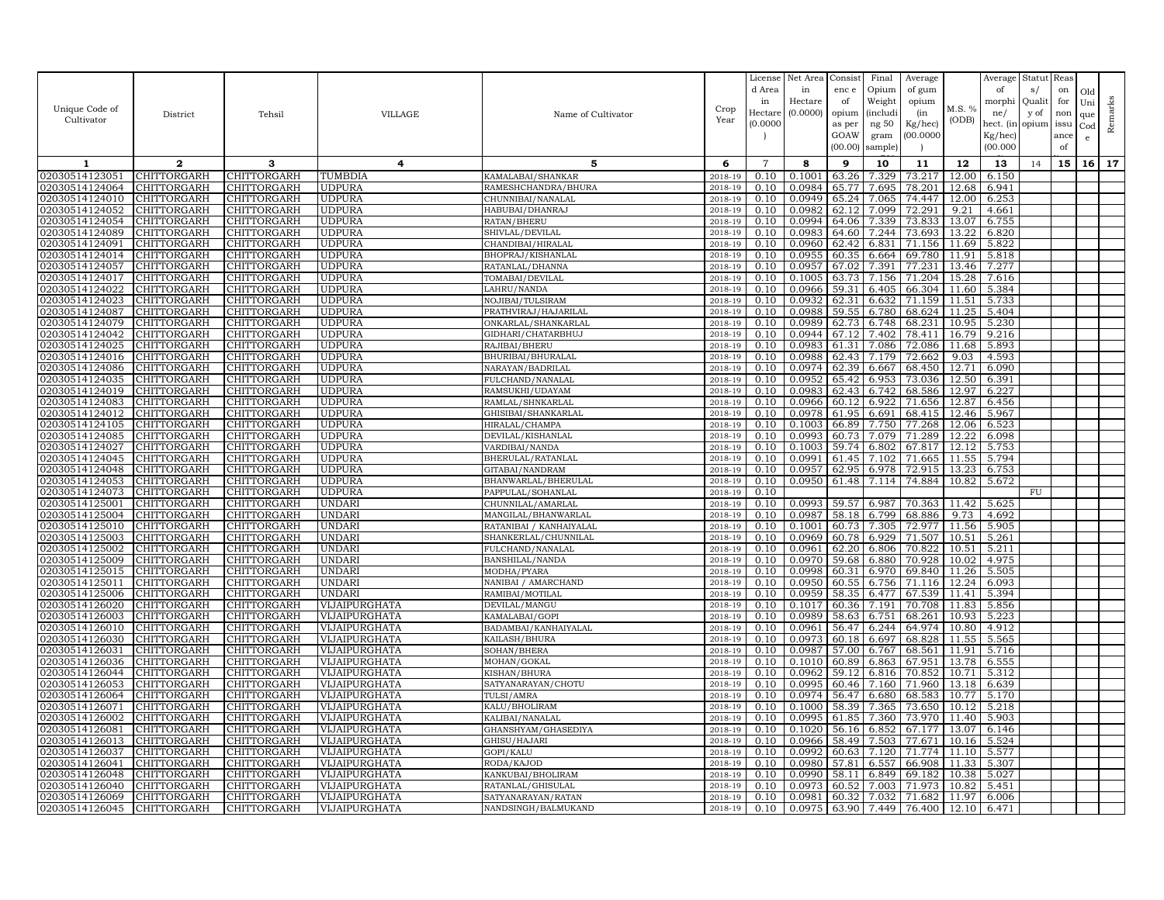|                                  |                            |                            |                                |                                          |                       | License<br>d Area | Net Area<br>in   | Consist<br>enc e | Final<br>Opium       | Average<br>of gum |                | Average<br>of       | Statut<br>s/ | Reas<br>on | Old             |         |
|----------------------------------|----------------------------|----------------------------|--------------------------------|------------------------------------------|-----------------------|-------------------|------------------|------------------|----------------------|-------------------|----------------|---------------------|--------------|------------|-----------------|---------|
|                                  |                            |                            |                                |                                          |                       | in                | Hectare          | of               | Weight               | opium             |                | morphi              | Quali        | for        | Uni             |         |
| Unique Code of                   | District                   | Tehsil                     | <b>VILLAGE</b>                 | Name of Cultivator                       | Crop                  | Hectare           | (0.0000)         | opium            | <i>(includi</i>      | (in               | M.S. %         | ne/                 | y of         | non        | que             | Remarks |
| Cultivator                       |                            |                            |                                |                                          | Year                  | (0.0000)          |                  | as per           | ng 50                | Kg/hec)           | (ODB)          | hect. (in           | opium        | issu       | Cod             |         |
|                                  |                            |                            |                                |                                          |                       |                   |                  | GOAW<br>(00.00)  | gram                 | 00.000C           |                | Kg/hec)<br>(00.000) |              | ance       | e               |         |
|                                  |                            |                            |                                |                                          |                       |                   |                  |                  | sample)              |                   |                |                     |              | of         |                 |         |
| 1                                | $\mathbf{2}$               | 3                          | 4                              | 5                                        | 6                     | $\overline{7}$    | 8                | 9                | 10                   | 11                | 12             | 13                  | 14           | 15         | 16 <sup>1</sup> | 17      |
| 02030514123051<br>02030514124064 | CHITTORGARH<br>CHITTORGARH | CHITTORGARH<br>CHITTORGARH | TUMBDIA<br>UDPURA              | KAMALABAI/SHANKAR<br>RAMESHCHANDRA/BHURA | 2018-19<br>2018-19    | 0.10<br>0.10      | 0.1001<br>0.0984 | 63.26<br>65.77   | 7.329<br>7.695       | 73.217<br>78.201  | 12.00<br>12.68 | 6.150<br>6.941      |              |            |                 |         |
| 02030514124010                   | CHITTORGARH                | CHITTORGARH                | UDPURA                         | CHUNNIBAI/NANALAL                        | $2018 - 1$            | 0.10              | 0.0949           | 65.24            | 7.065                | 74.447            | 12.00          | 6.253               |              |            |                 |         |
| 02030514124052                   | CHITTORGARH                | CHITTORGARH                | <b>UDPURA</b>                  | HABUBAI/DHANRAJ                          | 2018-19               | 0.10              | 0.0982           | 62.12            | 7.099                | 72.291            | 9.21           | 4.661               |              |            |                 |         |
| 02030514124054                   | CHITTORGARH                | CHITTORGARH                | UDPURA                         | RATAN/BHERU                              | 2018-19               | 0.10              | 0.0994           | 64.06            | 7.339                | 73.833            | 13.07          | 6.755               |              |            |                 |         |
| 02030514124089                   | CHITTORGARH                | CHITTORGARH                | UDPURA                         | SHIVLAL/DEVILAL                          | 2018-19               | 0.10              | 0.0983           | 64.60            | 7.244                | 73.693            | 13.22          | 6.820               |              |            |                 |         |
| 02030514124091                   | CHITTORGARH                | CHITTORGARH                | <b>UDPURA</b>                  | CHANDIBAI/HIRALAL                        | 2018-19               | 0.10              | 0.0960           | 62.42            | 6.831                | 71.156            | 11.69          | 5.822               |              |            |                 |         |
| 02030514124014                   | CHITTORGARH                | <b>CHITTORGARH</b>         | UDPURA                         | BHOPRAJ/KISHANLAL                        | 2018-19               | 0.10              | 0.0955           | 60.35            | 6.664                | 69.780            | 11.91          | 5.818               |              |            |                 |         |
| 02030514124057                   | CHITTORGARH                | CHITTORGARH                | UDPURA                         | RATANLAL/DHANNA                          | 2018-19               | 0.10              | 0.0957           | 67.02            | 7.391                | 77.231            | 13.46          | 7.277               |              |            |                 |         |
| 02030514124017                   | CHITTORGARH                | CHITTORGARH                | UDPURA                         | TOMABAI/DEVILAL                          | $2018 - 1$            | 0.10              | 0.1005           | 63.73            | 7.156                | 71.204            | 15.28          | 7.616               |              |            |                 |         |
| 02030514124022                   | CHITTORGARH                | CHITTORGARH                | <b>UDPURA</b>                  | LAHRU/NANDA                              | 2018-19               | 0.10<br>0.10      | 0.0966<br>0.0932 | 59.31            | 6.405                | 66.304            | 11.60<br>11.51 | 5.384               |              |            |                 |         |
| 02030514124023<br>02030514124087 | CHITTORGARH<br>CHITTORGARH | CHITTORGARH<br>CHITTORGARH | <b>UDPURA</b><br>UDPURA        | NOJIBAI/TULSIRAM<br>PRATHVIRAJ/HAJARILAL | 2018-19<br>2018-19    | 0.10              | 0.0988           | 62.31<br>59.55   | 6.632<br>6.780       | 71.159<br>68.624  | 11.25          | 5.733<br>5.404      |              |            |                 |         |
| 02030514124079                   | CHITTORGARH                | CHITTORGARH                | UDPURA                         | ONKARLAL/SHANKARLAI                      | 2018-19               | 0.10              | 0.0989           | 62.73            | 6.748                | 68.231            | 10.95          | 5.230               |              |            |                 |         |
| 02030514124042                   | CHITTORGARH                | <b>CHITTORGARH</b>         | JDPURA                         | GIDHARI/CHATARBHUJ                       | 2018-19               | 0.10              | 0.0944           | 67.12            | 7.402                | 78.411            | 16.79          | 9.216               |              |            |                 |         |
| 02030514124025                   | CHITTORGARH                | CHITTORGARH                | UDPURA                         | RAJIBAI/BHERU                            | 2018-19               | 0.10              | 0.0983           | 61.31            | 7.086                | 72.086            | 11.68          | 5.893               |              |            |                 |         |
| 02030514124016                   | CHITTORGARH                | CHITTORGARH                | UDPURA                         | BHURIBAI/BHURALAL                        | $2018 - 1$            | 0.10              | 0.0988           | 62.43            | 7.179                | 72.662            | 9.03           | 4.593               |              |            |                 |         |
| 02030514124086                   | CHITTORGARH                | CHITTORGARH                | UDPURA                         | NARAYAN/BADRILAL                         | 2018-19               | 0.10              | 0.0974           | 62.39            | 6.667                | 68.450            | 12.71          | 6.090               |              |            |                 |         |
| 02030514124035                   | CHITTORGARH                | <b>CHITTORGARH</b>         | <b>UDPURA</b>                  | FULCHAND/NANALAL                         | 2018-19               | 0.10              | 0.0952           | 65.42            | 6.953                | 73.036            | 12.50          | 6.391               |              |            |                 |         |
| 02030514124019                   | CHITTORGARH                | CHITTORGARH                | <b>UDPURA</b>                  | RAMSUKHI/UDAYAM                          | 2018-19               | 0.10              | 0.0983           | 62.43            | 6.742                | 68.586            | 12.97          | 6.227               |              |            |                 |         |
| 02030514124083                   | CHITTORGARH                | CHITTORGARH                | <b>UDPURA</b>                  | RAMLAL/SHNKARLAL                         | 2018-19               | 0.10              | 0.0966           | 60.12            | 6.922                | 71.656            | 12.87          | 6.456               |              |            |                 |         |
| 02030514124012                   | CHITTORGARH                | CHITTORGARH                | <b>UDPURA</b>                  | GHISIBAI/SHANKARLAL                      | 2018-19               | 0.10              | 0.0978           | 61.95            | 6.691                | 68.415            | 12.46          | 5.967               |              |            |                 |         |
| 02030514124105<br>02030514124085 | CHITTORGARH<br>CHITTORGARH | CHITTORGARH<br>CHITTORGARH | UDPURA<br><b>JDPURA</b>        | HIRALAL/CHAMPA                           | 2018-19<br>2018-19    | 0.10<br>0.10      | 0.1003<br>0.0993 | 66.89<br>60.73   | 7.750<br>7.079       | 77.268<br>71.289  | 12.06<br>12.22 | 6.523<br>6.098      |              |            |                 |         |
| 02030514124027                   | CHITTORGARH                | CHITTORGARH                | UDPURA                         | DEVILAL/KISHANLAL<br>VARDIBAI/NANDA      | 2018-19               | 0.10              | 0.1003           | 59.74            | 6.802                | 67.817            | 12.12          | 5.753               |              |            |                 |         |
| 02030514124045                   | CHITTORGARH                | CHITTORGARH                | UDPURA                         | BHERULAL/RATANLAL                        | 2018-19               | 0.10              | 0.0991           | 61.45            | 7.102                | 71.665            | 11.55          | 5.794               |              |            |                 |         |
| 02030514124048                   | CHITTORGARH                | CHITTORGARH                | UDPURA                         | GITABAI/NANDRAM                          | 2018-19               | 0.10              | 0.0957           | 62.95            | 6.978                | 72.915            | 13.23          | 6.753               |              |            |                 |         |
| 02030514124053                   | CHITTORGARH                | CHITTORGARH                | UDPURA                         | BHANWARLAL/BHERULAL                      | 2018-19               | 0.10              | 0.0950           | 61.48            | 7.114                | 74.884            | 10.82          | 5.672               |              |            |                 |         |
| 02030514124073                   | CHITTORGARH                | CHITTORGARH                | <b>UDPURA</b>                  | PAPPULAL/SOHANLAL                        | 2018-19               | 0.10              |                  |                  |                      |                   |                |                     | FU           |            |                 |         |
| 02030514125001                   | CHITTORGARH                | CHITTORGARH                | <b>UNDARI</b>                  | CHUNNILAL/AMARLAL                        | 2018-19               | 0.10              | 0.0993           | 59.57            | 6.987                | 70.363            | 11.42          | 5.625               |              |            |                 |         |
| 02030514125004                   | CHITTORGARH                | CHITTORGARH                | UNDARI                         | MANGILAL/BHANWARLAI                      | 2018-19               | 0.10              | 0.0987           | 58.18            | 6.799                | 68.886            | 9.73           | 4.692               |              |            |                 |         |
| 02030514125010                   | CHITTORGARH                | CHITTORGARH                | UNDARI                         | RATANIBAI / KANHAIYALAL                  | 2018-19               | 0.10              | 0.1001           | 60.73            | 7.305                | 72.977            | 11.56          | 5.905               |              |            |                 |         |
| 02030514125003                   | CHITTORGARH                | CHITTORGARH                | <b>UNDARI</b>                  | SHANKERLAL/CHUNNILAL                     | 2018-19               | 0.10              | 0.0969           | 60.78            | 6.929                | 71.507            | 10.51          | 5.261               |              |            |                 |         |
| 02030514125002                   | CHITTORGARH                | CHITTORGARH                | UNDARI                         | FULCHAND/NANALAL                         | 2018-19               | 0.10              | 0.0961           | 62.20            | 6.806                | 70.822            | 10.51          | 5.211               |              |            |                 |         |
| 02030514125009<br>02030514125015 | CHITTORGARH<br>CHITTORGARH | CHITTORGARH<br>CHITTORGARH | <b>UNDARI</b><br><b>UNDARI</b> | BANSHILAL/NANDA<br>MODHA/PYARA           | 2018-19<br>2018-19    | 0.10<br>0.10      | 0.0970<br>0.0998 | 59.68<br>60.31   | 6.880<br>6.970       | 70.928<br>69.840  | 10.02<br>11.26 | 4.975<br>5.505      |              |            |                 |         |
| 02030514125011                   | CHITTORGARH                | CHITTORGARH                | <b>UNDARI</b>                  | NANIBAI / AMARCHAND                      | 2018-19               | 0.10              | 0.0950           | 60.55            | 6.756                | 71.116            | 12.24          | 6.093               |              |            |                 |         |
| 02030514125006                   | CHITTORGARH                | CHITTORGARH                | UNDARI                         | RAMIBAI/MOTILAL                          | 2018-19               | 0.10              | 0.0959           | 58.35            | 6.477                | 67.539            | 11.41          | 5.394               |              |            |                 |         |
| 02030514126020                   | CHITTORGARH                | CHITTORGARH                | VIJAIPURGHATA                  | DEVILAL/MANGU                            | 2018-19               | 0.10              | 0.1017           | 60.36            | 7.191                | 70.708            | 11.83          | 5.856               |              |            |                 |         |
| 02030514126003                   | CHITTORGARH                | CHITTORGARH                | VIJAIPURGHATA                  | KAMALABAI/GOPI                           | 2018-19               | 0.10              | 0.0989           | 58.63            | 6.751                | 68.261            | 10.93          | 5.223               |              |            |                 |         |
| 02030514126010                   | CHITTORGARH                | CHITTORGARH                | VIJAIPURGHATA                  | BADAMBAI/KANHAIYALAL                     | 2018-19               | 0.10              | 0.0961           | 56.47            | 6.244                | 64.974            | 10.80          | 4.912               |              |            |                 |         |
| 02030514126030                   | CHITTORGARH                | CHITTORGARH                | VIJAIPURGHATA                  | KAILASH/BHURA                            | 2018-19               | 0.10              | 0.0973           | 60.18            | 6.697                | 68.828            | 11.55          | 5.565               |              |            |                 |         |
| 02030514126031                   | CHITTORGARH                | CHITTORGARH                | VIJAIPURGHATA                  | SOHAN/BHERA                              | 2018-19               | 0.10              | 0.0987           | 57.00            | 6.767                | 68.561            | 11.91          | 5.716               |              |            |                 |         |
| 02030514126036                   | CHITTORGARH                | <b>CHITTORGARH</b>         | VIJAIPURGHATA                  | MOHAN/GOKAL                              | 2018-19               | 0.10              | 0.1010           | 60.89            | 6.863                | 67.951            | 13.78          | 6.555               |              |            |                 |         |
| 02030514126044<br>02030514126053 | CHITTORGARH<br>CHITTORGARH | CHITTORGARH<br>CHITTORGARH | VIJAIPURGHATA<br>VIJAIPURGHATA | KISHAN/BHURA<br>SATYANARAYAN/CHOTU       | 2018-19<br>$2018 - 1$ | 0.10<br>0.10      | 0.0962<br>0.0995 | 59.12<br>60.46   | 6.816<br>7.160       | 70.852<br>71.960  | 10.71<br>13.18 | 5.312<br>6.639      |              |            |                 |         |
| 02030514126064                   | CHITTORGARH                | CHITTORGARH                | VIJAIPURGHATA                  | TULSI/AMRA                               | 2018-19               | 0.10              | 0.0974           | 56.47            | 6.680                | 68.583            | 10.77          | 5.170               |              |            |                 |         |
| 02030514126071                   | <b>CHITTORGARH</b>         | CHITTORGARH                | VIJAIPURGHATA                  | KALU/BHOLIRAM                            | 2018-19               | 0.10              | 0.1000           | 58.39            | 7.365                | 73.650            | 10.12          | 5.218               |              |            |                 |         |
| 02030514126002                   | CHITTORGARH                | CHITTORGARH                | VIJAIPURGHATA                  | KALIBAI/NANALAL                          | 2018-19               | 0.10              | 0.0995           | 61.85            | 7.360                | 73.970            | 11.40          | 5.903               |              |            |                 |         |
| 02030514126081                   | CHITTORGARH                | CHITTORGARH                | VIJAIPURGHATA                  | GHANSHYAM/GHASEDIYA                      | 2018-19               | 0.10              | 0.1020           | 56.16            | 6.852                | 67.177            | 13.07          | 6.146               |              |            |                 |         |
| 02030514126013                   | CHITTORGARH                | CHITTORGARH                | VIJAIPURGHATA                  | GHISU/HAJARI                             | 2018-19               | 0.10              | 0.0966           | 58.49            | 7.503                | 77.671            | 10.16          | 5.524               |              |            |                 |         |
| 02030514126037                   | CHITTORGARH                | CHITTORGARH                | VIJAIPURGHATA                  | GOPI/KALU                                | 2018-19               | 0.10              | 0.0992           | 60.63            | 7.120                | 71.774            | 11.10          | 5.577               |              |            |                 |         |
| 02030514126041                   | CHITTORGARH                | CHITTORGARH                | VIJAIPURGHATA                  | RODA/KAJOD                               | 2018-19               | 0.10              | 0.0980           | 57.81            | 6.557                | 66.908            | 11.33          | 5.307               |              |            |                 |         |
| 02030514126048                   | CHITTORGARH                | CHITTORGARH                | VIJAIPURGHATA                  | KANKUBAI/BHOLIRAM                        | 2018-19               | 0.10              | 0.0990           | 58.11            | 6.849                | 69.182            | 10.38          | 5.027               |              |            |                 |         |
| 02030514126040                   | CHITTORGARH                | CHITTORGARH                | VIJAIPURGHATA                  | RATANLAL/GHISULAL                        | 2018-19               | 0.10              | 0.0973           | 60.52            | 7.003                | 71.973            | 10.82          | 5.451               |              |            |                 |         |
| 02030514126069<br>02030514126045 | CHITTORGARH<br>CHITTORGARH | CHITTORGARH                | VIJAIPURGHATA<br>VIJAIPURGHATA | SATYANARAYAN/RATAN                       | 2018-19<br>2018-19    | 0.10<br>0.10      | 0.0981<br>0.0975 | 60.32            | 7.032<br>63.90 7.449 | 71.682<br>76.400  | 11.97<br>12.10 | 6.006<br>6.471      |              |            |                 |         |
|                                  |                            | CHITTORGARH                |                                | NANDSINGH/BALMUKAND                      |                       |                   |                  |                  |                      |                   |                |                     |              |            |                 |         |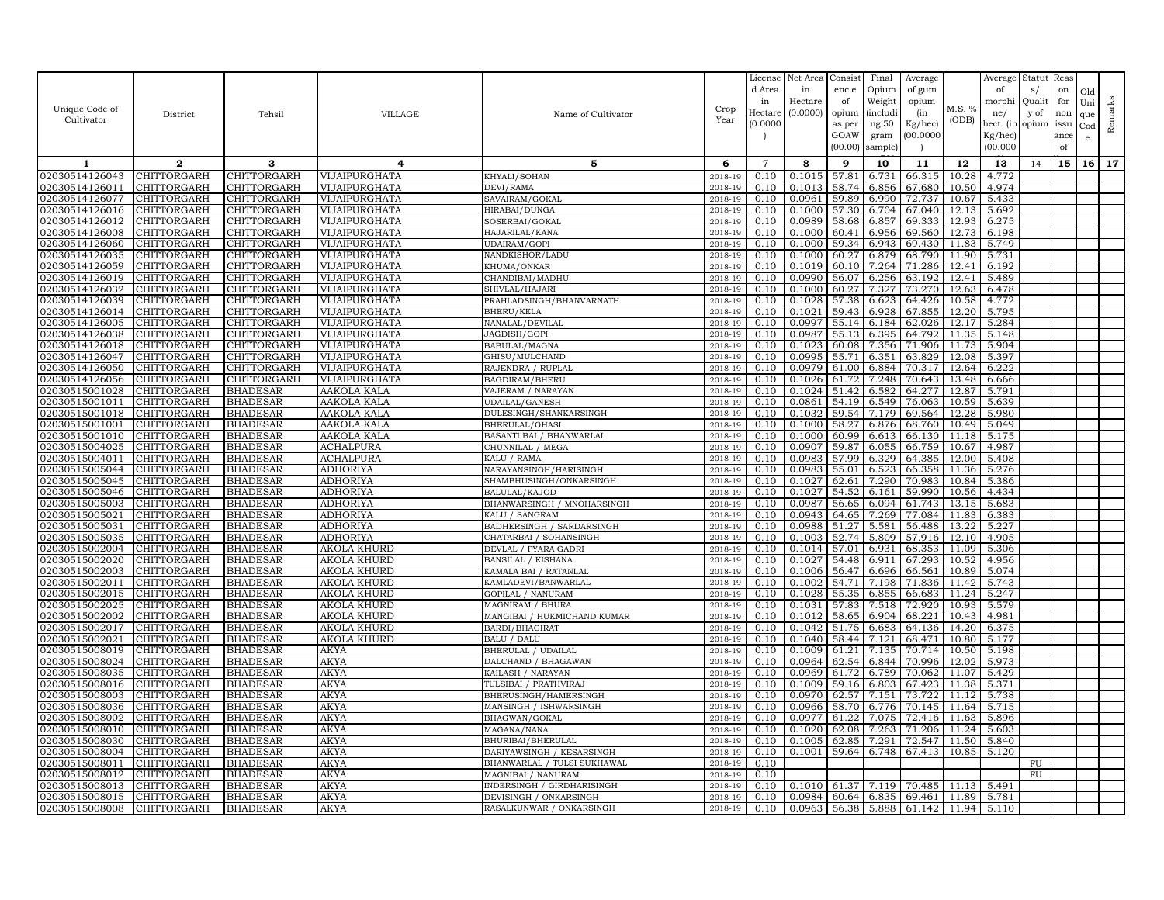|                                  |                            |                                    |                                   |                                                    |                    | License        | Net Area            | Consist        | Final              | Average          |                | Average        | Statut Reas    |            |                     |         |
|----------------------------------|----------------------------|------------------------------------|-----------------------------------|----------------------------------------------------|--------------------|----------------|---------------------|----------------|--------------------|------------------|----------------|----------------|----------------|------------|---------------------|---------|
|                                  |                            |                                    |                                   |                                                    |                    | d Area<br>in   | in                  | enc e          | Opium              | of gum           |                | of             | s/             | on         | Old                 |         |
| Unique Code of                   |                            |                                    | <b>VILLAGE</b>                    |                                                    | Crop               | Hectar         | Hectare<br>(0.0000) | of<br>opium    | Weight<br>(includ: | opium<br>(in     | M.S. %         | morphi<br>ne/  | Qualit<br>y of | for<br>non | Uni                 | Remarks |
| Cultivator                       | District                   | Tehsil                             |                                   | Name of Cultivator                                 | Year               | (0.0000)       |                     | as per         | ng 50              | Kg/hec)          | (ODB)          | hect. (in      | opium issu     |            | que<br>$_{\rm Cod}$ |         |
|                                  |                            |                                    |                                   |                                                    |                    |                |                     | GOAW           | gram               | 00.0000          |                | Kg/hec)        |                | ance       | e                   |         |
|                                  |                            |                                    |                                   |                                                    |                    |                |                     | (00.00)        | sample)            |                  |                | (00.000)       |                | of         |                     |         |
| 1                                | $\mathbf{2}$               | 3                                  | 4                                 | 5                                                  | 6                  | $\overline{7}$ | 8                   | 9              | 10                 | 11               | 12             | 13             | 14             | 15         | 16                  | 17      |
| 02030514126043                   | CHITTORGARH                | CHITTORGARH                        | VIJAIPURGHATA                     | KHYALI/SOHAN                                       | 2018-19            | 0.10           | 0.1015              | 57.81          | 6.731              | 66.315           | 10.28          | 4.772          |                |            |                     |         |
| 02030514126011                   | <b>CHITTORGARH</b>         | <b>CHITTORGARH</b>                 | VIJAIPURGHATA                     | DEVI/RAMA                                          | 2018-19            | 0.10           | 0.1013              | 58.74          | 6.856              | 67.680           | 10.50          | 4.974          |                |            |                     |         |
| 02030514126077                   | CHITTORGARH                | CHITTORGARH                        | VIJAIPURGHATA                     | SAVAIRAM/GOKAL                                     | 2018-19            | 0.10           | 0.0961              | 59.89          | 6.990              | 72.737           | 10.67          | 5.433          |                |            |                     |         |
| 02030514126016                   | CHITTORGARH                | CHITTORGARH                        | VIJAIPURGHATA                     | HIRABAI/DUNGA                                      | 2018-19            | 0.10           | 0.1000              | 57.30          | 6.704              | 67.040           | 12.13          | 5.692          |                |            |                     |         |
| 02030514126012                   | CHITTORGARH                | CHITTORGARH                        | VIJAIPURGHATA                     | SOSERBAI/GOKAL                                     | 2018-19            | 0.10           | 0.0989              | 58.68          | 6.857              | 69.333           | 12.93          | 6.275          |                |            |                     |         |
| 02030514126008                   | CHITTORGARH                | CHITTORGARH                        | VIJAIPURGHATA                     | HAJARILAL/KANA                                     | 2018-19            | 0.10           | 0.1000              | 60.41          | 6.956              | 69.560           | 12.73          | 6.198          |                |            |                     |         |
| 02030514126060                   | CHITTORGARH                | CHITTORGARH                        | VIJAIPURGHATA                     | UDAIRAM/GOPI                                       | 2018-19            | 0.10<br>0.10   | 0.1000              | 59.34          | 6.943              | 69.430           | 11.83          | 5.749          |                |            |                     |         |
| 02030514126035<br>02030514126059 | CHITTORGARH<br>CHITTORGARH | CHITTORGARH<br>CHITTORGARH         | VIJAIPURGHATA<br>VIJAIPURGHATA    | NANDKISHOR/LADU<br>KHUMA/ONKAR                     | 2018-19<br>2018-19 | 0.10           | 0.1000<br>0.1019    | 60.27<br>60.10 | 6.879<br>7.264     | 68.790<br>71.286 | 11.90<br>12.41 | 5.731<br>6.192 |                |            |                     |         |
| 02030514126019                   | CHITTORGARH                | CHITTORGARH                        | VIJAIPURGHATA                     | CHANDIBAI/MADHU                                    | 2018-19            | 0.10           | 0.0990              | 56.07          | 6.256              | 63.192           | 12.41          | 5.489          |                |            |                     |         |
| 02030514126032                   | <b>CHITTORGARH</b>         | CHITTORGARH                        | VIJAIPURGHATA                     | SHIVLAL/HAJARI                                     | 2018-19            | 0.10           | 0.1000              | 60.27          | 7.327              | 73.270           | 12.63          | 6.478          |                |            |                     |         |
| 02030514126039                   | CHITTORGARH                | CHITTORGARH                        | VIJAIPURGHATA                     | PRAHLADSINGH/BHANVARNATH                           | 2018-19            | 0.10           | 0.1028              | 57.38          | 6.623              | 64.426           | 10.58          | 4.772          |                |            |                     |         |
| 02030514126014                   | CHITTORGARH                | CHITTORGARH                        | VIJAIPURGHATA                     | <b>BHERU/KELA</b>                                  | 2018-19            | 0.10           | 0.1021              | 59.43          | 6.928              | 67.855           | 12.20          | 5.795          |                |            |                     |         |
| 02030514126005                   | CHITTORGARH                | CHITTORGARH                        | VIJAIPURGHATA                     | NANALAL/DEVILAL                                    | 2018-19            | 0.10           | 0.0997              | 55.14          | 6.184              | 62.026           | 12.17          | 5.284          |                |            |                     |         |
| 02030514126038                   | CHITTORGARH                | CHITTORGARH                        | VIJAIPURGHATA                     | JAGDISH/GOPI                                       | 2018-19            | 0.10           | 0.0987              | 55.13          | 6.395              | 64.792           | 11.35          | 5.148          |                |            |                     |         |
| 02030514126018                   | CHITTORGARH                | CHITTORGARH                        | VIJAIPURGHATA                     | BABULAL/MAGNA                                      | 2018-19            | 0.10           | 0.1023              | 60.08          | 7.356              | 71.906           | 11.73          | 5.904          |                |            |                     |         |
| 02030514126047                   | CHITTORGARH                | CHITTORGARH                        | VIJAIPURGHATA                     | GHISU/MULCHAND                                     | 2018-19            | 0.10           | 0.0995              | 55.71          | 6.351              | 63.829           | 12.08          | 5.397          |                |            |                     |         |
| 02030514126050                   | CHITTORGARH                | CHITTORGARH                        | VIJAIPURGHATA                     | RAJENDRA / RUPLAL                                  | 2018-19            | 0.10           | 0.0979              | 61.00          | 6.884              | 70.317           | 12.64          | 6.222          |                |            |                     |         |
| 02030514126056                   | CHITTORGARH                | <b>CHITTORGARH</b>                 | VIJAIPURGHATA                     | BAGDIRAM/BHERU                                     | 2018-19            | 0.10           | 0.1026              | 61.72          | 7.248              | 70.643           | 13.48          | 6.666          |                |            |                     |         |
| 02030515001028                   | CHITTORGARH                | <b>BHADESAR</b>                    | AAKOLA KALA                       | VAJERAM / NARAYAN                                  | 2018-19            | 0.10           | 0.1024              | 51.42          | 6.582              | 64.277           | 12.87          | 5.791          |                |            |                     |         |
| 02030515001011<br>02030515001018 | CHITTORGARH<br>CHITTORGARH | <b>BHADESAR</b><br><b>BHADESAR</b> | AAKOLA KALA<br>AAKOLA KALA        | UDAILAL/GANESH<br>DULESINGH/SHANKARSINGH           | 2018-19<br>2018-19 | 0.10<br>0.10   | 0.0861<br>0.1032    | 54.19<br>59.54 | 6.549<br>7.179     | 76.063<br>69.564 | 10.59<br>12.28 | 5.639<br>5.980 |                |            |                     |         |
| 02030515001001                   | CHITTORGARH                | <b>BHADESAR</b>                    | AAKOLA KALA                       | BHERULAL/GHASI                                     | 2018-19            | 0.10           | 0.1000              | 58.27          | 6.876              | 68.760           | 10.49          | 5.049          |                |            |                     |         |
| 02030515001010                   | CHITTORGARH                | <b>BHADESAR</b>                    | AAKOLA KALA                       | BASANTI BAI / BHANWARLAL                           | 2018-19            | 0.10           | 0.1000              | 60.99          | 6.613              | 66.130           | 11.18          | 5.175          |                |            |                     |         |
| 02030515004025                   | CHITTORGARH                | <b>BHADESAR</b>                    | ACHALPURA                         | CHUNNILAL / MEGA                                   | 2018-19            | 0.10           | 0.0907              | 59.87          | 6.055              | 66.759           | 10.67          | 4.987          |                |            |                     |         |
| 02030515004011                   | CHITTORGARH                | <b>BHADESAR</b>                    | ACHALPURA                         | KALU / RAMA                                        | 2018-19            | 0.10           | 0.0983              | 57.99          | 6.329              | 64.385           | 12.00          | 5.408          |                |            |                     |         |
| 02030515005044                   | CHITTORGARH                | <b>BHADESAR</b>                    | ADHORIYA                          | NARAYANSINGH/HARISINGH                             | 2018-19            | 0.10           | 0.0983              | 55.01          | 6.523              | 66.358           | 11.36          | 5.276          |                |            |                     |         |
| 02030515005045                   | CHITTORGARH                | <b>BHADESAR</b>                    | ADHORIYA                          | SHAMBHUSINGH/ONKARSINGH                            | 2018-19            | 0.10           | 0.1027              | 62.61          | 7.290              | 70.983           | 10.84          | 5.386          |                |            |                     |         |
| 02030515005046                   | <b>CHITTORGARH</b>         | <b>BHADESAR</b>                    | ADHORIYA                          | BALULAL/KAJOD                                      | 2018-19            | 0.10           | 0.1027              | 54.52          | 6.161              | 59.990           | 10.56          | 4.434          |                |            |                     |         |
| 02030515005003                   | <b>CHITTORGARH</b>         | <b>BHADESAR</b>                    | <b>ADHORIYA</b>                   | BHANWARSINGH / MNOHARSINGH                         | 2018-19            | 0.10           | 0.0987              | 56.65          | 6.094              | 61.743           | 13.15          | 5.683          |                |            |                     |         |
| 02030515005021                   | CHITTORGARH                | <b>BHADESAR</b>                    | ADHORIYA                          | KALU / SANGRAM                                     | 2018-19            | 0.10           | 0.0943              | 64.65          | 7.269              | 77.084           | 11.83          | 6.383          |                |            |                     |         |
| 02030515005031                   | CHITTORGARH                | <b>BHADESAR</b>                    | ADHORIYA                          | BADHERSINGH / SARDARSINGH                          | 2018-19            | 0.10           | 0.0988              | 51.27          | 5.581              | 56.488           | 13.22          | 5.227          |                |            |                     |         |
| 02030515005035                   | CHITTORGARH                | <b>BHADESAR</b>                    | ADHORIYA                          | CHATARBAI / SOHANSINGH                             | 2018-19            | 0.10           | 0.1003              | 52.74          | 5.809              | 57.916           | 12.10          | 4.905          |                |            |                     |         |
| 02030515002004                   | CHITTORGARH                | <b>BHADESAR</b>                    | AKOLA KHURD                       | DEVLAL / PYARA GADRI                               | 2018-19            | 0.10           | 0.1014              | 57.01          | 6.931              | 68.353           | 11.09          | 5.306          |                |            |                     |         |
| 02030515002020<br>02030515002003 | CHITTORGARH<br>CHITTORGARH | <b>BHADESAR</b><br><b>BHADESAR</b> | AKOLA KHURD<br><b>AKOLA KHURD</b> | <b>BANSILAL / KISHANA</b><br>KAMALA BAI / RATANLAL | 2018-19<br>2018-19 | 0.10<br>0.10   | 0.1027<br>0.1006    | 54.48<br>56.47 | 6.911<br>6.696     | 67.293<br>66.561 | 10.52<br>10.89 | 4.956<br>5.074 |                |            |                     |         |
| 02030515002011                   | CHITTORGARH                | <b>BHADESAR</b>                    | AKOLA KHURD                       | KAMLADEVI/BANWARLAL                                | 2018-19            | 0.10           | 0.1002              | 54.71          | 7.198              | 71.836           | 11.42          | 5.743          |                |            |                     |         |
| 02030515002015                   | CHITTORGARH                | <b>BHADESAR</b>                    | <b>AKOLA KHURD</b>                | <b>GOPILAL / NANURAM</b>                           | 2018-19            | 0.10           | 0.1028              | 55.35          | 6.855              | 66.683           | 11.24          | 5.247          |                |            |                     |         |
| 02030515002025                   | CHITTORGARH                | <b>BHADESAR</b>                    | AKOLA KHURD                       | MAGNIRAM / BHURA                                   | 2018-19            | 0.10           | 0.1031              | 57.83          | 7.518              | 72.920           | 10.93          | 5.579          |                |            |                     |         |
| 02030515002002                   | <b>CHITTORGARH</b>         | <b>BHADESAR</b>                    | AKOLA KHURD                       | MANGIBAI / HUKMICHAND KUMAR                        | 2018-19            | 0.10           | 0.1012              | 58.65          | 6.904              | 68.221           | 10.43          | 4.981          |                |            |                     |         |
| 02030515002017                   | CHITTORGARH                | <b>BHADESAR</b>                    | AKOLA KHURD                       | BARDI/BHAGIRAT                                     | 2018-19            | 0.10           | 0.1042              | 51.75          | 6.683              | 64.136           | 14.20          | 6.375          |                |            |                     |         |
| 02030515002021                   | CHITTORGARH                | <b>BHADESAR</b>                    | AKOLA KHURD                       | <b>BALU</b> / DALU                                 | 2018-19            | 0.10           | 0.1040              | 58.44          | 7.121              | 68.471           | 10.80          | 5.177          |                |            |                     |         |
| 02030515008019                   | CHITTORGARH                | <b>BHADESAR</b>                    | AKYA                              | BHERULAL / UDAILAL                                 | 2018-19            | 0.10           | 0.1009              | 61.21          | 7.135              | 70.714           | 10.50          | 5.198          |                |            |                     |         |
| 02030515008024                   | CHITTORGARH                | <b>BHADESAR</b>                    | AKYA                              | DALCHAND / BHAGAWAN                                | 2018-19            | 0.10           | 0.0964              | 62.54          | 6.844              | 70.996           | 12.02          | 5.973          |                |            |                     |         |
| 02030515008035                   | CHITTORGARH                | <b>BHADESAR</b>                    | AKYA                              | KAILASH / NARAYAN                                  | 2018-19            | 0.10           | 0.0969              | 61.72          | 6.789              | 70.062           | 11.07          | 5.429          |                |            |                     |         |
| 02030515008016                   | CHITTORGARH                | <b>BHADESAR</b>                    | AKYA                              | TULSIBAI / PRATHVIRAJ                              | 2018-19            | 0.10           | 0.1009              | 59.16          | 6.803              | 67.423           | 11.38          | 5.371          |                |            |                     |         |
| 02030515008003                   | CHITTORGARH                | <b>BHADESAR</b>                    | AKYA                              | BHERUSINGH/HAMERSINGH                              | 2018-19            | 0.10           | 0.0970              | 62.57          | 7.151              | 73.722           | 11.12          | 5.738          |                |            |                     |         |
| 02030515008036<br>02030515008002 | CHITTORGARH<br>CHITTORGARH | <b>BHADESAR</b><br><b>BHADESAR</b> | AKYA<br>AKYA                      | MANSINGH / ISHWARSINGH<br>BHAGWAN/GOKAL            | 2018-19<br>2018-19 | 0.10<br>0.10   | 0.0966<br>0.0977    | 58.70<br>61.22 | 6.776<br>7.075     | 70.145<br>72.416 | 11.64<br>11.63 | 5.715<br>5.896 |                |            |                     |         |
| 02030515008010                   | CHITTORGARH                | <b>BHADESAR</b>                    | <b>AKYA</b>                       | MAGANA/NANA                                        | 2018-19            | 0.10           | 0.1020              | 62.08          | 7.263              | 71.206           | 11.24          | 5.603          |                |            |                     |         |
| 02030515008030                   | CHITTORGARH                | <b>BHADESAR</b>                    | AKYA                              | BHURIBAI/BHERULAL                                  | 2018-19            | 0.10           | 0.1005              | 62.85          | 7.291              | 72.547           | 11.50          | 5.840          |                |            |                     |         |
| 02030515008004                   | CHITTORGARH                | <b>BHADESAR</b>                    | AKYA                              | DARIYAWSINGH / KESARSINGH                          | 2018-19            | 0.10           | 0.1001              | 59.64          | 6.748              | 67.413           | 10.85          | 5.120          |                |            |                     |         |
| 02030515008011                   | CHITTORGARH                | <b>BHADESAR</b>                    | <b>AKYA</b>                       | BHANWARLAL / TULSI SUKHAWAL                        | 2018-19            | 0.10           |                     |                |                    |                  |                |                | FU             |            |                     |         |
| 02030515008012                   | <b>CHITTORGARH</b>         | <b>BHADESAR</b>                    | AKYA                              | MAGNIBAI / NANURAM                                 | 2018-19            | 0.10           |                     |                |                    |                  |                |                | FU             |            |                     |         |
| 02030515008013                   | CHITTORGARH                | <b>BHADESAR</b>                    | AKYA                              | INDERSINGH / GIRDHARISINGH                         | 2018-19            | 0.10           | 0.1010              | 61.37          | 7.119              | 70.485           | 11.13          | 5.491          |                |            |                     |         |
| 02030515008015                   | <b>CHITTORGARH</b>         | <b>BHADESAR</b>                    | AKYA                              | DEVISINGH / ONKARSINGH                             | 2018-19            | 0.10           | 0.0984              | 60.64          | 6.835              | 69.461           | 11.89          | 5.781          |                |            |                     |         |
| 02030515008008                   | <b>CHITTORGARH</b>         | <b>BHADESAR</b>                    | <b>AKYA</b>                       | RASALKUNWAR / ONKARSINGH                           | 2018-19            | 0.10           | 0.0963              | 56.38          | 5.888              | 61.142 11.94     |                | 5.110          |                |            |                     |         |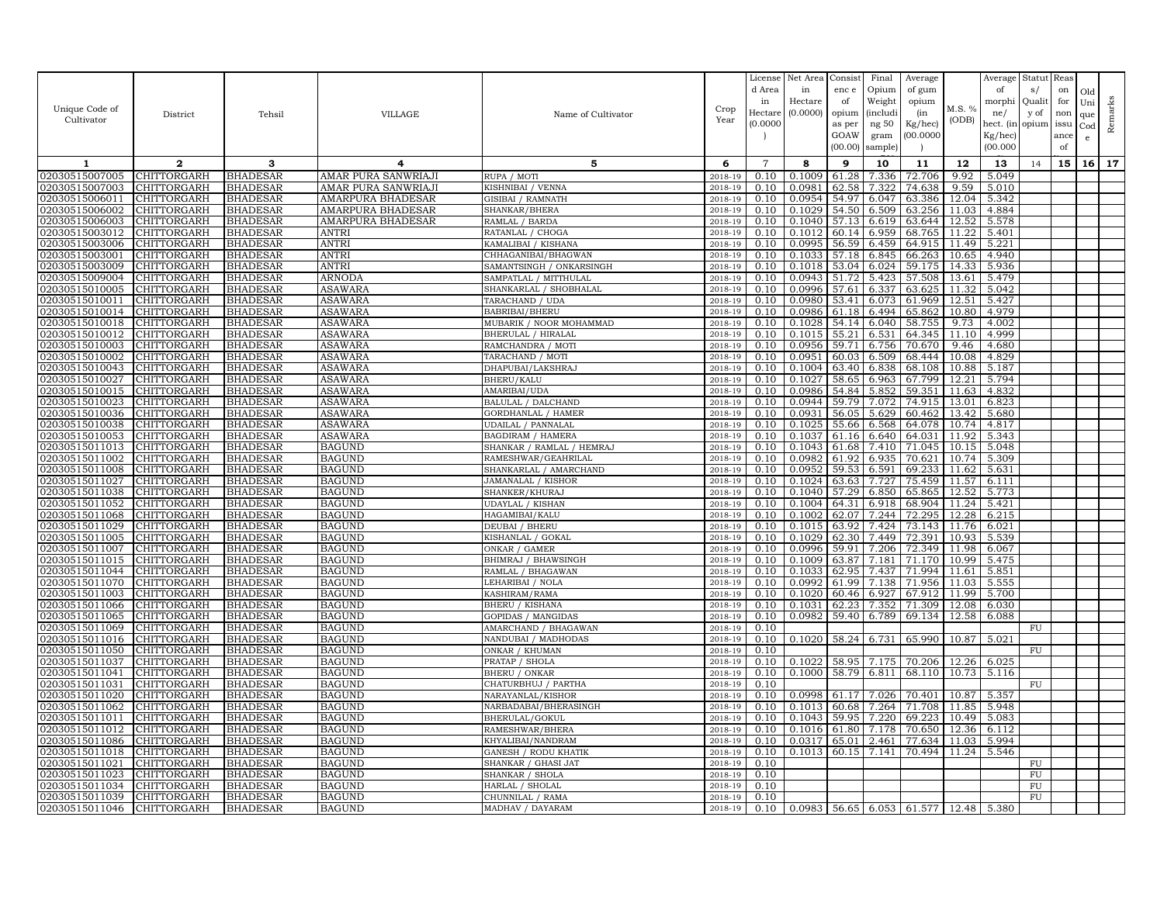|                                  |                            |                                    |                                |                                          |                    | License            | Net Area         | Consist        | Final           | Average                           |                | Average              | Statut Reas |      |              |         |
|----------------------------------|----------------------------|------------------------------------|--------------------------------|------------------------------------------|--------------------|--------------------|------------------|----------------|-----------------|-----------------------------------|----------------|----------------------|-------------|------|--------------|---------|
|                                  |                            |                                    |                                |                                          |                    | d Area             | in               | enc e          | Opium           | of gum                            |                | of                   | s/          | on   | Old          |         |
| Unique Code of                   |                            |                                    |                                |                                          | Crop               | in                 | Hectare          | of             | Weight          | opium                             | M.S. %         | morphi               | Qualit      | for  | Uni          | Remarks |
| Cultivator                       | District                   | Tehsil                             | <b>VILLAGE</b>                 | Name of Cultivator                       | Year               | Hectar<br>(0.0000) | (0.0000)         | opium          | <i>(includi</i> | (in                               | (ODB)          | ne/                  | y of        | non  | que          |         |
|                                  |                            |                                    |                                |                                          |                    |                    |                  | as per<br>GOAW | ng 50<br>gram   | Kg/hec)<br>00.0000                |                | hect. (in<br>Kg/hec) | opium issu  | ance | $_{\rm Cod}$ |         |
|                                  |                            |                                    |                                |                                          |                    |                    |                  | (00.00)        | sample)         |                                   |                | (00.000)             |             | of   | e            |         |
|                                  | $\mathbf{2}$               | 3                                  | 4                              | 5                                        | 6                  | $\overline{7}$     | 8                | 9              | 10              | 11                                | 12             | 13                   |             | 15   | 16           | 17      |
| 1<br>02030515007005              | CHITTORGARH                | <b>BHADESAR</b>                    | AMAR PURA SANWRIAJI            | RUPA / MOTI                              | 2018-19            | 0.10               | 0.1009           | 61.28          | 7.336           | 72.706                            | 9.92           | 5.049                | 14          |      |              |         |
| 02030515007003                   | <b>CHITTORGARH</b>         | <b>BHADESAR</b>                    | AMAR PURA SANWRIAJI            | KISHNIBAI / VENNA                        | 2018-19            | 0.10               | 0.0981           | 62.58          | 7.322           | 74.638                            | 9.59           | 5.010                |             |      |              |         |
| 02030515006011                   | CHITTORGARH                | <b>BHADESAR</b>                    | AMARPURA BHADESAR              | GISIBAI / RAMNATH                        | 2018-19            | 0.10               | 0.0954           | 54.97          | 6.047           | 63.386                            | 12.04          | 5.342                |             |      |              |         |
| 02030515006002                   | CHITTORGARH                | <b>BHADESAR</b>                    | <b>AMARPURA BHADESAR</b>       | SHANKAR/BHERA                            | 2018-19            | 0.10               | 0.1029           | 54.50          | 6.509           | 63.256                            | 11.03          | 4.884                |             |      |              |         |
| 02030515006003                   | CHITTORGARH                | <b>BHADESAR</b>                    | AMARPURA BHADESAR              | RAMLAL / BARDA                           | 2018-19            | 0.10               | 0.1040           | 57.13          | 6.619           | 63.644                            | 12.52          | 5.578                |             |      |              |         |
| 02030515003012                   | CHITTORGARH                | <b>BHADESAR</b>                    | <b>ANTRI</b>                   | RATANLAL / CHOGA                         | 2018-19            | 0.10               | 0.1012           | 60.14          | 6.959           | 68.765                            | 11.22          | 5.401                |             |      |              |         |
| 02030515003006                   | CHITTORGARH                | <b>BHADESAR</b>                    | ANTRI                          | KAMALIBAI / KISHANA                      | 2018-19            | 0.10               | 0.0995           | 56.59          | 6.459           | 64.915                            | 11.49          | 5.221                |             |      |              |         |
| 02030515003001                   | CHITTORGARH                | <b>BHADESAR</b>                    | <b>ANTRI</b>                   | CHHAGANIBAI/BHAGWAN                      | 2018-19            | 0.10               | 0.1033           | 57.18          | 6.845           | 66.263                            | 10.65          | 4.940                |             |      |              |         |
| 02030515003009                   | CHITTORGARH                | <b>BHADESAR</b>                    | ANTRI                          | SAMANTSINGH / ONKARSINGH                 | 2018-19            | 0.10               | 0.1018           | 53.04          | 6.024           | 59.175                            | 14.33          | 5.936                |             |      |              |         |
| 02030515009004                   | CHITTORGARH                | <b>BHADESAR</b>                    | ARNODA                         | SAMPATLAL / MITTHULAI                    | 2018-19            | 0.10               | 0.0943           | 51.72          | 5.423           | 57.508                            | 13.61          | 5.479                |             |      |              |         |
| 02030515010005                   | <b>CHITTORGARH</b>         | <b>BHADESAR</b>                    | ASAWARA                        | SHANKARLAL / SHOBHALAL                   | 2018-19            | 0.10               | 0.0996           | 57.61          | 6.337           | 63.625                            | 11.32          | 5.042                |             |      |              |         |
| 02030515010011                   | CHITTORGARH                | <b>BHADESAR</b>                    | ASAWARA                        | TARACHAND / UDA                          | 2018-19            | 0.10               | 0.0980           | 53.41          | 6.073           | 61.969                            | 12.51          | 5.427                |             |      |              |         |
| 02030515010014                   | CHITTORGARH                | <b>BHADESAR</b>                    | ASAWARA                        | BABRIBAI/BHERU                           | 2018-19            | 0.10               | 0.0986           | 61.18          | 6.494           | 65.862                            | 10.80          | 4.979                |             |      |              |         |
| 02030515010018                   | CHITTORGARH                | <b>BHADESAR</b>                    | ASAWARA                        | MUBARIK / NOOR MOHAMMAD                  | 2018-19            | 0.10               | 0.1028           | 54.14          | 6.040           | 58.755                            | 9.73           | 4.002                |             |      |              |         |
| 02030515010012                   | CHITTORGARH                | <b>BHADESAR</b>                    | ASAWARA                        | BHERULAL / HIRALAL                       | 2018-19            | 0.10               | 0.1015           | 55.21          | 6.531           | 64.345                            | 11.10          | 4.999                |             |      |              |         |
| 02030515010003<br>02030515010002 | CHITTORGARH<br>CHITTORGARH | <b>BHADESAR</b>                    | ASAWARA                        | RAMCHANDRA / MOTI                        | 2018-19<br>2018-19 | 0.10               | 0.0956           | 59.71<br>60.03 | 6.756           | 70.670                            | 9.46<br>10.08  | 4.680                |             |      |              |         |
| 02030515010043                   | CHITTORGARH                | <b>BHADESAR</b><br><b>BHADESAR</b> | <b>ASAWARA</b><br>ASAWARA      | TARACHAND / MOTI<br>DHAPUBAI/LAKSHRAJ    | 2018-19            | 0.10<br>0.10       | 0.0951<br>0.1004 | 63.40          | 6.509<br>6.838  | 68.444<br>68.108                  | 10.88          | 4.829<br>5.187       |             |      |              |         |
| 02030515010027                   | CHITTORGARH                | <b>BHADESAR</b>                    | ASAWARA                        | BHERU/KALU                               | 2018-19            | 0.10               | 0.1027           | 58.65          | 6.963           | 67.799                            | 12.21          | 5.794                |             |      |              |         |
| 02030515010015                   | CHITTORGARH                | <b>BHADESAR</b>                    | ASAWARA                        | AMARIBAI/UDA                             | 2018-19            | 0.10               | 0.0986           | 54.84          | 5.852           | 59.351                            | 11.63          | 4.832                |             |      |              |         |
| 02030515010023                   | CHITTORGARH                | <b>BHADESAR</b>                    | <b>ASAWARA</b>                 | BALULAL / DALCHAND                       | 2018-19            | 0.10               | 0.0944           | 59.79          | 7.072           | 74.915                            | 13.01          | 6.823                |             |      |              |         |
| 02030515010036                   | CHITTORGARH                | <b>BHADESAR</b>                    | <b>ASAWARA</b>                 | <b>GORDHANLAL / HAMER</b>                | 2018-19            | 0.10               | 0.0931           | 56.05          | 5.629           | 60.462                            | 13.42          | 5.680                |             |      |              |         |
| 02030515010038                   | CHITTORGARH                | <b>BHADESAR</b>                    | ASAWARA                        | UDAILAL / PANNALAL                       | 2018-19            | 0.10               | 0.1025           | 55.66          | 6.568           | 64.078                            | 10.74          | 4.817                |             |      |              |         |
| 02030515010053                   | CHITTORGARH                | <b>BHADESAR</b>                    | ASAWARA                        | <b>BAGDIRAM / HAMERA</b>                 | 2018-19            | 0.10               | 0.1037           | 61.16          | 6.640           | 64.031                            | 11.92          | 5.343                |             |      |              |         |
| 02030515011013                   | CHITTORGARH                | <b>BHADESAR</b>                    | <b>BAGUND</b>                  | SHANKAR / RAMLAL / HEMRAJ                | 2018-19            | 0.10               | 0.1043           | 61.68          | 7.410           | 71.045                            | 10.15          | 5.048                |             |      |              |         |
| 02030515011002                   | CHITTORGARH                | <b>BHADESAR</b>                    | <b>BAGUND</b>                  | RAMESHWAR/GEAHRILAL                      | 2018-19            | 0.10               | 0.0982           | 61.92          | 6.935           | 70.621                            | 10.74          | 5.309                |             |      |              |         |
| 02030515011008                   | CHITTORGARH                | <b>BHADESAR</b>                    | <b>BAGUND</b>                  | SHANKARLAL / AMARCHAND                   | 2018-19            | 0.10               | 0.0952           | 59.53          | 6.591           | 69.233                            | 11.62          | 5.631                |             |      |              |         |
| 02030515011027                   | CHITTORGARH                | <b>BHADESAR</b>                    | <b>BAGUND</b>                  | JAMANALAL / KISHOR                       | 2018-19            | 0.10               | 0.1024           | 63.63          | 7.727           | 75.459                            | 11.57          | 6.111                |             |      |              |         |
| 02030515011038                   | CHITTORGARH                | <b>BHADESAR</b>                    | <b>BAGUND</b>                  | SHANKER/KHURAJ                           | 2018-19            | 0.10               | 0.1040           | 57.29          | 6.850           | 65.865                            | 12.52          | 5.773                |             |      |              |         |
| 02030515011052                   | <b>CHITTORGARH</b>         | <b>BHADESAR</b>                    | <b>BAGUND</b>                  | <b>UDAYLAL / KISHAN</b>                  | 2018-19            | 0.10               | 0.1004           | 64.31          | 6.918           | 68.904                            | 11.24          | 5.421                |             |      |              |         |
| 02030515011068                   | CHITTORGARH                | <b>BHADESAR</b>                    | <b>BAGUND</b>                  | HAGAMIBAI/KALU                           | 2018-19            | 0.10               | 0.1002           | 62.07          | 7.244           | 72.295                            | 12.28          | 6.215                |             |      |              |         |
| 02030515011029                   | CHITTORGARH                | <b>BHADESAR</b>                    | <b>BAGUND</b>                  | <b>DEUBAI / BHERU</b>                    | 2018-19            | 0.10               | 0.1015           | 63.92          | 7.424           | 73.143                            | 11.76          | 6.021                |             |      |              |         |
| 02030515011005                   | CHITTORGARH                | <b>BHADESAR</b>                    | <b>BAGUND</b>                  | KISHANLAL / GOKAL                        | 2018-19            | 0.10               | 0.1029           | 62.30          | 7.449           | 72.391                            | 10.93          | 5.539                |             |      |              |         |
| 02030515011007                   | CHITTORGARH                | <b>BHADESAR</b>                    | <b>BAGUND</b>                  | ONKAR / GAMER                            | 2018-19            | 0.10               | 0.0996           | 59.91          | 7.206           | 72.349                            | 11.98          | 6.067                |             |      |              |         |
| 02030515011015<br>02030515011044 | CHITTORGARH<br>CHITTORGARH | <b>BHADESAR</b><br><b>BHADESAR</b> | <b>BAGUND</b><br><b>BAGUND</b> | BHIMRAJ / BHAWSINGH<br>RAMLAL / BHAGAWAN | 2018-19<br>2018-19 | 0.10<br>0.10       | 0.1009<br>0.1033 | 63.87<br>62.95 | 7.181<br>7.437  | 71.170<br>71.994                  | 10.99<br>11.61 | 5.475<br>5.851       |             |      |              |         |
| 02030515011070                   | CHITTORGARH                | <b>BHADESAR</b>                    | <b>BAGUND</b>                  | LEHARIBAI / NOLA                         | 2018-19            | 0.10               | 0.0992           | 61.99          | 7.138           | 71.956                            | 11.03          | 5.555                |             |      |              |         |
| 02030515011003                   | CHITTORGARH                | <b>BHADESAR</b>                    | <b>BAGUND</b>                  | KASHIRAM/RAMA                            | 2018-19            | 0.10               | 0.1020           | 60.46          | 6.927           | 67.912                            | 11.99          | 5.700                |             |      |              |         |
| 02030515011066                   | CHITTORGARH                | <b>BHADESAR</b>                    | <b>BAGUND</b>                  | BHERU / KISHANA                          | 2018-19            | 0.10               | 0.1031           | 62.23          | 7.352           | 71.309                            | 12.08          | 6.030                |             |      |              |         |
| 02030515011065                   | CHITTORGARH                | <b>BHADESAR</b>                    | <b>BAGUND</b>                  | GOPIDAS / MANGIDAS                       | 2018-19            | 0.10               | 0.0982           | 59.40          | 6.789           | 69.134                            | 12.58          | 6.088                |             |      |              |         |
| 02030515011069                   | CHITTORGARH                | <b>BHADESAR</b>                    | <b>BAGUND</b>                  | AMARCHAND / BHAGAWAN                     | 2018-19            | 0.10               |                  |                |                 |                                   |                |                      | FU          |      |              |         |
| 02030515011016                   | CHITTORGARH                | <b>BHADESAR</b>                    | <b>BAGUND</b>                  | NANDUBAI / MADHODAS                      | 2018-19            | 0.10               | 0.1020           | 58.24          | 6.731           | 65.990                            | 10.87          | 5.021                |             |      |              |         |
| 02030515011050                   | CHITTORGARH                | <b>BHADESAR</b>                    | <b>BAGUND</b>                  | ONKAR / KHUMAN                           | 2018-19            | 0.10               |                  |                |                 |                                   |                |                      | FU          |      |              |         |
| 02030515011037                   | CHITTORGARH                | <b>BHADESAR</b>                    | <b>BAGUND</b>                  | PRATAP / SHOLA                           | 2018-19            | 0.10               | 0.1022           | 58.95          | 7.175           | 70.206                            | 12.26          | 6.025                |             |      |              |         |
| 02030515011041                   | CHITTORGARH                | <b>BHADESAR</b>                    | <b>BAGUND</b>                  | <b>BHERU / ONKAR</b>                     | 2018-19            | 0.10               | 0.1000           | 58.79          | 6.811           | 68.110                            | 10.73          | 5.116                |             |      |              |         |
| 02030515011031                   | CHITTORGARH                | <b>BHADESAR</b>                    | <b>BAGUND</b>                  | CHATURBHUJ / PARTHA                      | 2018-19            | 0.10               |                  |                |                 |                                   |                |                      | ${\rm FU}$  |      |              |         |
| 02030515011020                   | <b>CHITTORGARH</b>         | <b>BHADESAR</b>                    | <b>BAGUND</b>                  | NARAYANLAL/KISHOR                        | 2018-19            | 0.10               | 0.0998           | 61.17          | 7.026           | 70.401                            | 10.87          | 5.357                |             |      |              |         |
| 02030515011062                   | CHITTORGARH                | <b>BHADESAR</b>                    | <b>BAGUND</b>                  | NARBADABAI/BHERASINGH                    | 2018-19            | 0.10               | 0.1013           | 60.68          | 7.264           | 71.708                            | 11.85          | 5.948                |             |      |              |         |
| 02030515011011<br>02030515011012 | CHITTORGARH<br>CHITTORGARH | <b>BHADESAR</b><br><b>BHADESAR</b> | <b>BAGUND</b><br><b>BAGUND</b> | BHERULAL/GOKUL<br>RAMESHWAR/BHERA        | 2018-19<br>2018-19 | 0.10<br>0.10       | 0.1043<br>0.1016 | 59.95<br>61.80 | 7.220<br>7.178  | 69.223<br>70.650                  | 10.49<br>12.36 | 5.083<br>6.112       |             |      |              |         |
| 02030515011086                   | CHITTORGARH                | <b>BHADESAR</b>                    | <b>BAGUND</b>                  | KHYALIBAI/NANDRAM                        | 2018-19            | 0.10               | 0.0317           | 65.01          | 2.461           | 77.634                            | 11.03          | 5.994                |             |      |              |         |
| 02030515011018                   | CHITTORGARH                | <b>BHADESAR</b>                    | <b>BAGUND</b>                  | GANESH / RODU KHATIK                     | 2018-19            | 0.10               | 0.1013           | 60.15          | 7.141           | 70.494                            | 11.24          | 5.546                |             |      |              |         |
| 02030515011021                   | CHITTORGARH                | <b>BHADESAR</b>                    | <b>BAGUND</b>                  | SHANKAR / GHASI JAT                      | 2018-19            | 0.10               |                  |                |                 |                                   |                |                      | FU          |      |              |         |
| 02030515011023                   | <b>CHITTORGARH</b>         | <b>BHADESAR</b>                    | <b>BAGUND</b>                  | SHANKAR / SHOLA                          | 2018-19            | 0.10               |                  |                |                 |                                   |                |                      | FU          |      |              |         |
| 02030515011034                   | CHITTORGARH                | <b>BHADESAR</b>                    | <b>BAGUND</b>                  | HARLAL / SHOLAL                          | 2018-19            | 0.10               |                  |                |                 |                                   |                |                      | <b>FU</b>   |      |              |         |
| 02030515011039                   | <b>CHITTORGARH</b>         | <b>BHADESAR</b>                    | <b>BAGUND</b>                  | CHUNNILAL / RAMA                         | 2018-19            | 0.10               |                  |                |                 |                                   |                |                      | FU          |      |              |         |
| 02030515011046                   | <b>CHITTORGARH</b>         | <b>BHADESAR</b>                    | <b>BAGUND</b>                  | MADHAV / DAYARAM                         | 2018-19            | 0.10               |                  |                |                 | $0.0983$ 56.65 6.053 61.577 12.48 |                | 5.380                |             |      |              |         |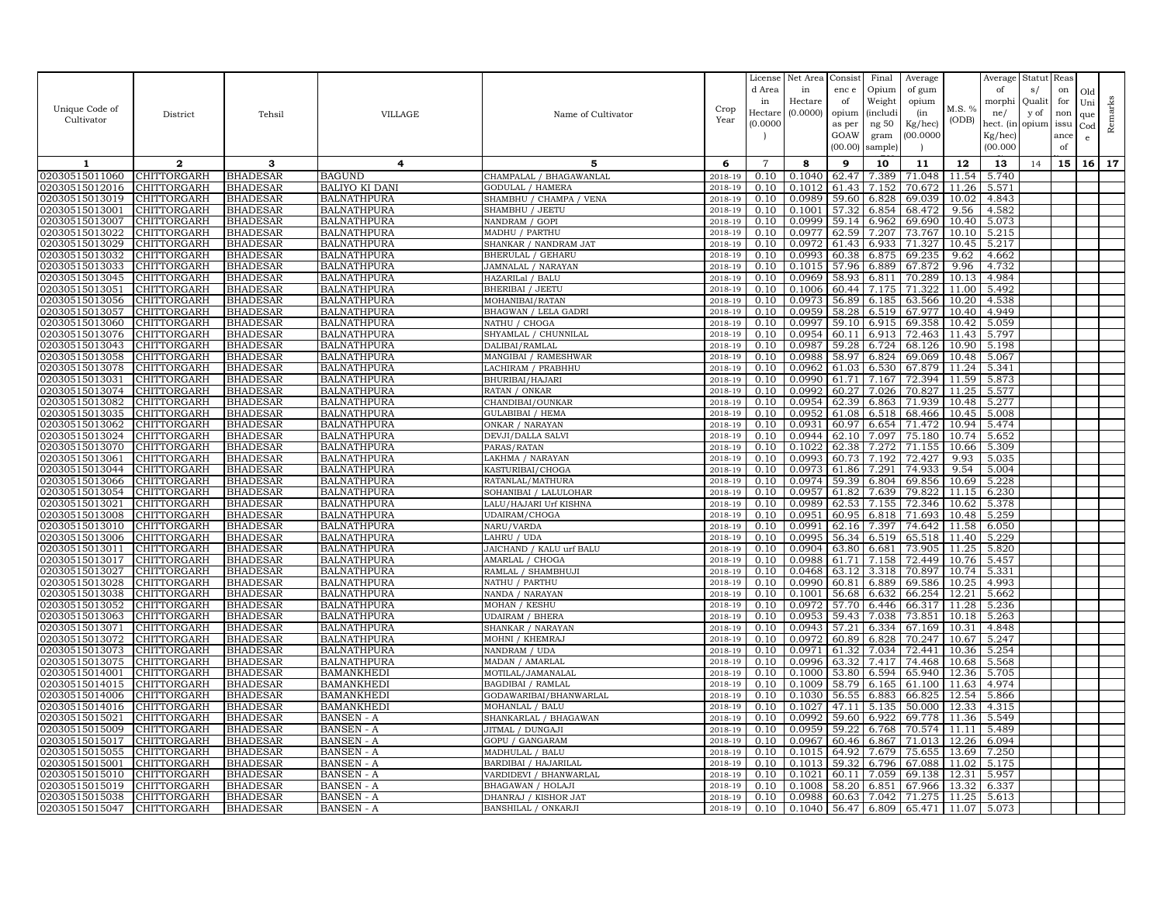| Unique Code of<br>Cultivator     | District                          | Tehsil                             | VILLAGE                                  | Name of Cultivator                                   | Crop<br>Year       | License<br>d Area<br>in<br>Hectare<br>(0.0000) | Net Area<br>in<br>Hectare<br>(0.0000) | Consist<br>enc e<br>of<br>opium<br>as per | Final<br>Opium<br>Weight<br><i>(includi</i><br>ng $50\,$ | Average<br>of gum<br>opium<br>(in<br>Kg/hec) | M.S. %<br>(ODB) | Average<br>of<br>morphi<br>ne/<br>hect. (in | Statut<br>s/<br>Quali<br>y of<br>opium | Reas<br>on<br>for<br>non<br>issu | Old<br>Uni<br>que<br>Cod | Remarks |
|----------------------------------|-----------------------------------|------------------------------------|------------------------------------------|------------------------------------------------------|--------------------|------------------------------------------------|---------------------------------------|-------------------------------------------|----------------------------------------------------------|----------------------------------------------|-----------------|---------------------------------------------|----------------------------------------|----------------------------------|--------------------------|---------|
|                                  |                                   |                                    |                                          |                                                      |                    |                                                |                                       | GOAW<br>(00.00)                           | gram<br>sample)                                          | 00.000C                                      |                 | Kg/hec)<br>(00.000)                         |                                        | ance<br>of                       | $\mathbf{e}$             |         |
| 1                                | $\mathbf{2}$                      | 3                                  | 4                                        | 5                                                    | 6                  | $\overline{7}$                                 | 8                                     | 9                                         | 10                                                       | 11                                           | 12              | 13                                          | 14                                     | 15                               | 16 <sup>1</sup>          | 17      |
| 02030515011060                   | CHITTORGARH                       | <b>BHADESAR</b>                    | <b>BAGUND</b>                            | CHAMPALAL / BHAGAWANLAL                              | 2018-19            | 0.10                                           | 0.1040                                | 62.47                                     | 7.389                                                    | 71.048                                       | 11.54           | 5.740                                       |                                        |                                  |                          |         |
| 02030515012016                   | CHITTORGARH                       | <b>BHADESAR</b>                    | <b>BALIYO KI DANI</b>                    | <b>GODULAL / HAMERA</b>                              | 2018-19            | 0.10                                           | 0.1012                                | 61.43                                     | 7.152                                                    | 70.672                                       | 11.26           | 5.571                                       |                                        |                                  |                          |         |
| 02030515013019<br>02030515013001 | CHITTORGARH                       | <b>BHADESAR</b>                    | <b>BALNATHPURA</b><br><b>BALNATHPURA</b> | SHAMBHU / CHAMPA ,<br><b>VENA</b><br>SHAMBHU / JEETU | 2018-19<br>2018-19 | 0.10<br>0.10                                   | 0.0989<br>0.1001                      | 59.60                                     | 6.828                                                    | 69.039                                       | 10.02           | 4.843                                       |                                        |                                  |                          |         |
| 02030515013007                   | CHITTORGARH<br>CHITTORGARH        | <b>BHADESAR</b><br><b>BHADESAR</b> | <b>BALNATHPURA</b>                       | NANDRAM / GOPI                                       | 2018-19            | 0.10                                           | 0.0999                                | 57.32<br>59.14                            | 6.854<br>6.962                                           | 68.472<br>69.690                             | 9.56<br>10.40   | 4.582<br>5.073                              |                                        |                                  |                          |         |
| 02030515013022                   | CHITTORGARH                       | <b>BHADESAR</b>                    | <b>BALNATHPURA</b>                       | MADHU / PARTHU                                       | 2018-19            | 0.10                                           | 0.0977                                | 62.59                                     | 7.207                                                    | 73.767                                       | 10.10           | 5.215                                       |                                        |                                  |                          |         |
| 02030515013029                   | CHITTORGARH                       | <b>BHADESAR</b>                    | <b>BALNATHPURA</b>                       | SHANKAR / NANDRAM JAT                                | 2018-19            | 0.10                                           | 0.0972                                | 61.43                                     | 6.933                                                    | 71.327                                       | 10.45           | 5.217                                       |                                        |                                  |                          |         |
| 02030515013032                   | CHITTORGARH                       | <b>BHADESAR</b>                    | <b>BALNATHPURA</b>                       | <b>BHERULAL / GEHARU</b>                             | 2018-19            | 0.10                                           | 0.0993                                | 60.38                                     | 6.875                                                    | 69.235                                       | 9.62            | 4.662                                       |                                        |                                  |                          |         |
| 02030515013033                   | CHITTORGARH                       | <b>BHADESAR</b>                    | <b>BALNATHPURA</b>                       | JAMNALAL / NARAYAN                                   | 2018-19            | 0.10                                           | 0.1015                                | 57.96                                     | 6.889                                                    | 67.872                                       | 9.96            | 4.732                                       |                                        |                                  |                          |         |
| 02030515013045                   | CHITTORGARH                       | <b>BHADESAR</b>                    | <b>BALNATHPURA</b>                       | HAZARILal / BALU                                     | 2018-19            | 0.10                                           | 0.0969                                | 58.93                                     | 6.811                                                    | 70.289                                       | 10.13           | 4.984                                       |                                        |                                  |                          |         |
| 02030515013051                   | <b>CHITTORGARH</b>                | <b>BHADESAR</b>                    | <b>BALNATHPURA</b>                       | <b>BHERIBAI / JEETU</b>                              | 2018-19            | 0.10                                           | 0.1006                                | 60.44                                     | 7.175                                                    | 71.322                                       | 11.00           | 5.492                                       |                                        |                                  |                          |         |
| 02030515013056                   | CHITTORGARH                       | <b>BHADESAR</b>                    | <b>BALNATHPURA</b>                       | MOHANIBAI/RATAN                                      | 2018-19            | 0.10                                           | 0.0973                                | 56.89                                     | 6.185                                                    | 63.566                                       | 10.20           | 4.538                                       |                                        |                                  |                          |         |
| 02030515013057                   | CHITTORGARH                       | <b>BHADESAR</b>                    | <b>BALNATHPURA</b>                       | BHAGWAN / LELA GADRI                                 | 2018-19            | 0.10                                           | 0.0959                                | 58.28                                     | 6.519                                                    | 67.977                                       | 10.40           | 4.949                                       |                                        |                                  |                          |         |
| 02030515013060                   | CHITTORGARH                       | <b>BHADESAR</b>                    | <b>BALNATHPURA</b>                       | NATHU / CHOGA                                        | 2018-19            | 0.10                                           | 0.0997                                | 59.10                                     | 6.915                                                    | 69.358                                       | 10.42           | 5.059                                       |                                        |                                  |                          |         |
| 02030515013076                   | CHITTORGARH                       | <b>BHADESAR</b>                    | <b>BALNATHPURA</b>                       | SHYAMLAL / CHUNNILAL                                 | 2018-19            | 0.10                                           | 0.0954                                | 60.11                                     | 6.913                                                    | 72.463                                       | 11.43           | 5.797                                       |                                        |                                  |                          |         |
| 02030515013043                   | CHITTORGARH                       | <b>BHADESAR</b>                    | <b>BALNATHPURA</b>                       | DALIBAI/RAMLAL                                       | 2018-19            | 0.10                                           | 0.0987                                | 59.28                                     | 6.724                                                    | 68.126                                       | 10.90           | 5.198                                       |                                        |                                  |                          |         |
| 02030515013058                   | CHITTORGARH                       | <b>BHADESAR</b>                    | <b>BALNATHPURA</b>                       | MANGIBAI / RAMESHWAR                                 | $2018 - 1$         | 0.10                                           | 0.0988                                | 58.97                                     | 6.824                                                    | 69.069                                       | 10.48           | 5.067                                       |                                        |                                  |                          |         |
| 02030515013078                   | <b>CHITTORGARH</b>                | <b>BHADESAR</b>                    | <b>BALNATHPURA</b>                       | LACHIRAM / PRABHHU                                   | 2018-19            | 0.10                                           | 0.0962                                | 61.03                                     | 6.530                                                    | 67.879                                       | 11.24           | 5.341                                       |                                        |                                  |                          |         |
| 02030515013031                   | CHITTORGARH                       | <b>BHADESAR</b>                    | <b>BALNATHPURA</b>                       | BHURIBAI/HAJARI                                      | 2018-19            | 0.10                                           | 0.0990                                | 61.71                                     | 7.167                                                    | 72.394                                       | 11.59           | 5.873                                       |                                        |                                  |                          |         |
| 02030515013074                   | CHITTORGARH                       | <b>BHADESAR</b>                    | <b>BALNATHPURA</b>                       | RATAN / ONKAR                                        | 2018-19            | 0.10                                           | 0.0992                                | 60.27                                     | 7.026                                                    | 70.827                                       | 11.25           | 5.577                                       |                                        |                                  |                          |         |
| 02030515013082<br>02030515013035 | CHITTORGARH                       | <b>BHADESAR</b>                    | <b>BALNATHPURA</b>                       | CHANDIBAI/OUNKAR                                     | 2018-19            | 0.10<br>0.10                                   | 0.0954<br>0.0952                      | 62.39<br>61.08                            | 6.863                                                    | 71.939                                       | 10.48           | 5.277                                       |                                        |                                  |                          |         |
| 02030515013062                   | CHITTORGARH<br>CHITTORGARH        | <b>BHADESAR</b><br><b>BHADESAR</b> | <b>BALNATHPURA</b><br><b>BALNATHPURA</b> | <b>GULABIBAI / HEMA</b><br>ONKAR / NARAYAN           | 2018-19<br>2018-19 | 0.10                                           | 0.0931                                | 60.97                                     | 6.518<br>6.654                                           | 68.466<br>71.472                             | 10.45<br>10.94  | 5.008<br>5.474                              |                                        |                                  |                          |         |
| 02030515013024                   | CHITTORGARH                       | <b>BHADESAR</b>                    | <b>BALNATHPURA</b>                       | DEVJI/DALLA SALVI                                    | 2018-19            | 0.10                                           | 0.0944                                | 62.10                                     | 7.097                                                    | 75.180                                       | 10.74           | 5.652                                       |                                        |                                  |                          |         |
| 02030515013070                   | CHITTORGARH                       | <b>BHADESAR</b>                    | BALNATHPURA                              | PARAS/RATAN                                          | 2018-19            | 0.10                                           | 0.1022                                | 62.38                                     | 7.272                                                    | 71.155                                       | 10.66           | 5.309                                       |                                        |                                  |                          |         |
| 02030515013061                   | CHITTORGARH                       | <b>BHADESAR</b>                    | <b>BALNATHPURA</b>                       | LAKHMA / NARAYAN                                     | 2018-19            | 0.10                                           | 0.0993                                | 60.73                                     | 7.192                                                    | 72.427                                       | 9.93            | 5.035                                       |                                        |                                  |                          |         |
| 02030515013044                   | CHITTORGARH                       | <b>BHADESAR</b>                    | <b>BALNATHPURA</b>                       | KASTURIBAI/CHOGA                                     | 2018-19            | 0.10                                           | 0.0973                                | 61.86                                     | 7.291                                                    | 74.933                                       | 9.54            | 5.004                                       |                                        |                                  |                          |         |
| 02030515013066                   | CHITTORGARH                       | <b>BHADESAR</b>                    | <b>BALNATHPURA</b>                       | RATANLAL/MATHURA                                     | 2018-19            | 0.10                                           | 0.0974                                | 59.39                                     | 6.804                                                    | 69.856                                       | 10.69           | 5.228                                       |                                        |                                  |                          |         |
| 02030515013054                   | <b>CHITTORGARH</b>                | <b>BHADESAR</b>                    | <b>BALNATHPURA</b>                       | SOHANIBAI / LALULOHAR                                | 2018-19            | 0.10                                           | 0.0957                                | 61.82                                     | 7.639                                                    | 79.822                                       | 11.15           | 6.230                                       |                                        |                                  |                          |         |
| 02030515013021                   | CHITTORGARH                       | <b>BHADESAR</b>                    | <b>BALNATHPURA</b>                       | LALU/HAJARI Urf KISHNA                               | 2018-19            | 0.10                                           | 0.0989                                | 62.53                                     | 7.155                                                    | 72.346                                       | 10.62           | 5.378                                       |                                        |                                  |                          |         |
| 02030515013008                   | CHITTORGARH                       | <b>BHADESAR</b>                    | <b>BALNATHPURA</b>                       | UDAIRAM/CHOGA                                        | 2018-19            | 0.10                                           | 0.0951                                | 60.95                                     | 6.818                                                    | 71.693                                       |                 | 10.48 5.259                                 |                                        |                                  |                          |         |
| 02030515013010                   | CHITTORGARH                       | <b>BHADESAR</b>                    | <b>BALNATHPURA</b>                       | NARU/VARDA                                           | 2018-19            | 0.10                                           | 0.0991                                | 62.16                                     | 7.397                                                    | 74.642                                       | 11.58           | 6.050                                       |                                        |                                  |                          |         |
| 02030515013006                   | CHITTORGARH                       | <b>BHADESAR</b>                    | <b>BALNATHPURA</b>                       | LAHRU / UDA                                          | 2018-19            | 0.10                                           | 0.0995                                | 56.34                                     | 6.519                                                    | 65.518                                       | 11.40           | 5.229                                       |                                        |                                  |                          |         |
| 02030515013011                   | CHITTORGARH                       | <b>BHADESAR</b>                    | <b>BALNATHPURA</b>                       | JAICHAND / KALU urf BALU                             | 2018-19            | 0.10                                           | 0.0904                                | 63.80                                     | 6.681                                                    | 73.905                                       | 11.25           | 5.820                                       |                                        |                                  |                          |         |
| 02030515013017                   | CHITTORGARH                       | <b>BHADESAR</b>                    | <b>BALNATHPURA</b>                       | AMARLAL / CHOGA                                      | 2018-19            | 0.10                                           | 0.0988                                | 61.71                                     | 7.158                                                    | 72.449                                       | 10.76           | 5.457                                       |                                        |                                  |                          |         |
| 02030515013027                   | <b>CHITTORGARH</b>                | <b>BHADESAR</b>                    | <b>BALNATHPURA</b>                       | RAMLAL / SHAMBHUJI                                   | 2018-19            | 0.10                                           | 0.0468                                | 63.12                                     | 3.318                                                    | 70.897                                       | 10.74           | 5.331                                       |                                        |                                  |                          |         |
| 02030515013028                   | CHITTORGARH                       | <b>BHADESAR</b>                    | <b>BALNATHPURA</b>                       | NATHU / PARTHU                                       | 2018-19            | 0.10                                           | 0.0990                                | 60.81                                     | 6.889                                                    | 69.586                                       | 10.25           | 4.993                                       |                                        |                                  |                          |         |
| 02030515013038                   | CHITTORGARH                       | <b>BHADESAR</b>                    | <b>BALNATHPURA</b>                       | NANDA / NARAYAN                                      | 2018-19            | 0.10                                           | 0.1001                                | 56.68                                     | 6.632                                                    | 66.254                                       | 12.21           | 5.662                                       |                                        |                                  |                          |         |
| 02030515013052<br>02030515013063 | CHITTORGARH<br><b>CHITTORGARH</b> | <b>BHADESAR</b><br><b>BHADESAR</b> | <b>BALNATHPURA</b><br><b>BALNATHPURA</b> | MOHAN / KESHU<br><b>UDAIRAM / BHERA</b>              | 2018-19<br>2018-19 | 0.10<br>0.10                                   | 0.0972<br>0.0953                      | 57.70<br>59.43                            | 6.446<br>7.038                                           | 66.317<br>73.851                             | 11.28<br>10.18  | 5.236<br>5.263                              |                                        |                                  |                          |         |
| 02030515013071                   | CHITTORGARH                       | <b>BHADESAR</b>                    | <b>BALNATHPURA</b>                       | SHANKAR / NARAYAN                                    | 2018-19            | 0.10                                           | 0.0943                                | 57.21                                     | 6.334                                                    | 67.169                                       | 10.31           | 4.848                                       |                                        |                                  |                          |         |
| 02030515013072                   | CHITTORGARH                       | <b>BHADESAR</b>                    | <b>BALNATHPURA</b>                       | MOHNI / KHEMRAJ                                      | 2018-19            | 0.10                                           | 0.0972                                | 60.89                                     | 6.828                                                    | 70.247                                       | 10.67           | 5.247                                       |                                        |                                  |                          |         |
| 02030515013073                   | CHITTORGARH                       | <b>BHADESAR</b>                    | <b>BALNATHPURA</b>                       | NANDRAM / UDA                                        | 2018-19            | 0.10                                           | 0.0971                                | 61.32                                     | 7.034                                                    | 72.441                                       | 10.36           | 5.254                                       |                                        |                                  |                          |         |
| 02030515013075                   | CHITTORGARH                       | <b>BHADESAR</b>                    | <b>BALNATHPURA</b>                       | MADAN / AMARLAL                                      | 2018-19            | 0.10                                           | 0.0996                                | 63.32                                     | 7.417                                                    | 74.468                                       | 10.68           | 5.568                                       |                                        |                                  |                          |         |
| 02030515014001                   | CHITTORGARH                       | <b>BHADESAR</b>                    | <b>BAMANKHEDI</b>                        | MOTILAL/JAMANALAL                                    | 2018-19            | 0.10                                           | 0.1000                                | 53.80                                     | 6.594                                                    | 65.940                                       | 12.36           | 5.705                                       |                                        |                                  |                          |         |
| 02030515014015                   | CHITTORGARH                       | <b>BHADESAR</b>                    | <b>BAMANKHEDI</b>                        | <b>BAGDIBAI / RAMLAL</b>                             | 2018-19            | 0.10                                           | 0.1009                                | 58.79                                     | 6.165                                                    | 61.100                                       | 11.63           | 4.974                                       |                                        |                                  |                          |         |
| 02030515014006                   | <b>CHITTORGARH</b>                | <b>BHADESAR</b>                    | <b>BAMANKHEDI</b>                        | GODAWARIBAI/BHANWARLAL                               | 2018-19            | 0.10                                           | 0.1030                                | 56.55                                     | 6.883                                                    | 66.825                                       | 12.54           | 5.866                                       |                                        |                                  |                          |         |
| 02030515014016                   | CHITTORGARH                       | <b>BHADESAR</b>                    | <b>BAMANKHEDI</b>                        | MOHANLAL / BALU                                      | 2018-19            | 0.10                                           | 0.1027                                | 47.11                                     | 5.135                                                    | 50.000                                       | 12.33           | 4.315                                       |                                        |                                  |                          |         |
| 02030515015021                   | CHITTORGARH                       | <b>BHADESAR</b>                    | <b>BANSEN</b> - A                        | SHANKARLAL / BHAGAWAN                                | 2018-19            | 0.10                                           | 0.0992                                |                                           | 59.60 6.922                                              | 69.778                                       | 11.36           | 5.549                                       |                                        |                                  |                          |         |
| 02030515015009                   | CHITTORGARH                       | <b>BHADESAR</b>                    | <b>BANSEN - A</b>                        | JITMAL / DUNGAJI                                     | 2018-19            | 0.10                                           | 0.0959                                | 59.22                                     | 6.768                                                    | 70.574                                       | 11.11           | 5.489                                       |                                        |                                  |                          |         |
| 02030515015017                   | CHITTORGARH                       | <b>BHADESAR</b>                    | <b>BANSEN</b> - A                        | GOPU / GANGARAM                                      | 2018-19            | 0.10                                           | 0.0967                                | 60.46                                     | 6.867                                                    | 71.013                                       | 12.26           | 6.094                                       |                                        |                                  |                          |         |
| 02030515015055                   | CHITTORGARH                       | <b>BHADESAR</b>                    | <b>BANSEN</b> - A                        | MADHULAL / BALU                                      | 2018-19            | 0.10                                           | 0.1015                                | 64.92                                     | 7.679                                                    | 75.655                                       | 13.69           | 7.250                                       |                                        |                                  |                          |         |
| 02030515015001                   | CHITTORGARH                       | <b>BHADESAR</b>                    | <b>BANSEN - A</b>                        | BARDIBAI / HAJARILAL                                 | 2018-19            | 0.10                                           | 0.1013                                | 59.32                                     | 6.796                                                    | 67.088                                       | 11.02           | 5.175                                       |                                        |                                  |                          |         |
| 02030515015010<br>02030515015019 | CHITTORGARH                       | <b>BHADESAR</b>                    | <b>BANSEN - A</b>                        | VARDIDEVI / BHANWARLAL<br>BHAGAWAN / HOLAJI          | 2018-19            | 0.10<br>0.10                                   | 0.1021<br>0.1008                      | 60.11                                     | 7.059                                                    | 69.138                                       | 12.31           | 5.957                                       |                                        |                                  |                          |         |
| 02030515015038                   | CHITTORGARH<br><b>CHITTORGARH</b> | <b>BHADESAR</b><br><b>BHADESAR</b> | <b>BANSEN</b> - A<br><b>BANSEN</b> - A   | DHANRAJ / KISHOR JAT                                 | 2018-19<br>2018-19 | 0.10                                           | 0.0988                                | 58.20<br>60.63                            | 6.851<br>7.042                                           | 67.966<br>71.275                             | 13.32<br>11.25  | 6.337<br>5.613                              |                                        |                                  |                          |         |
| 02030515015047                   | <b>CHITTORGARH</b>                | <b>BHADESAR</b>                    | <b>BANSEN - A</b>                        | BANSHILAL / ONKARJI                                  | 2018-19            | 0.10                                           | 0.1040                                |                                           |                                                          | 56.47 6.809 65.471                           | 11.07           | 5.073                                       |                                        |                                  |                          |         |
|                                  |                                   |                                    |                                          |                                                      |                    |                                                |                                       |                                           |                                                          |                                              |                 |                                             |                                        |                                  |                          |         |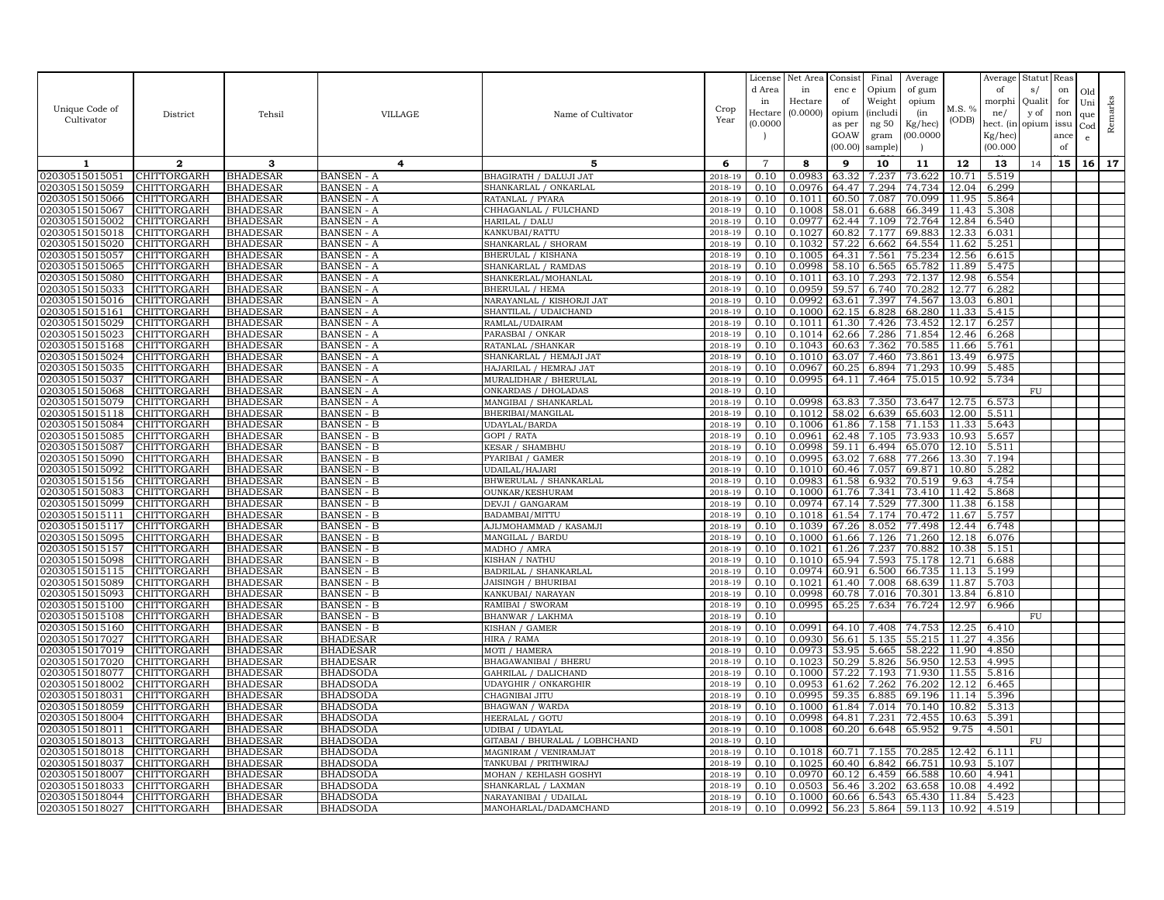|                                  |                                   |                                    |                                        |                                                    |                    | License        | Net Area         | Consist        | Final          | Average          |                | Average            | Statut Reas |      |              |         |
|----------------------------------|-----------------------------------|------------------------------------|----------------------------------------|----------------------------------------------------|--------------------|----------------|------------------|----------------|----------------|------------------|----------------|--------------------|-------------|------|--------------|---------|
|                                  |                                   |                                    |                                        |                                                    |                    | d Area         | in               | enc e          | Opium          | of gum           |                | of                 | s/          | on   | Old          |         |
| Unique Code of                   |                                   |                                    |                                        |                                                    |                    | in             | Hectare          | of             | Weight         | opium            | M.S. %         | morphi             | Qualit      | for  | Uni          |         |
| Cultivator                       | District                          | Tehsil                             | VILLAGE                                | Name of Cultivator                                 | Crop<br>Year       | Hectare        | (0.0000)         | opium          | (includi       | (in              | (ODB)          | ne/                | y of        | non  | que          | Remarks |
|                                  |                                   |                                    |                                        |                                                    |                    | (0.0000        |                  | as per         | ng $50\,$      | Kg/hec)          |                | hect. (in          | opium       | issu | $_{\rm Cod}$ |         |
|                                  |                                   |                                    |                                        |                                                    |                    |                |                  | GOAW           | gram           | (00.0000)        |                | Kg/hec)            |             | ance | $\mathbf{e}$ |         |
|                                  |                                   |                                    |                                        |                                                    |                    |                |                  | (00.00)        | sample         |                  |                | (00.000)           |             | of   |              |         |
| 1                                | $\mathbf{2}$                      | 3                                  | 4                                      | 5                                                  | 6                  | $\overline{7}$ | 8                | 9              | 10             | 11               | 12             | 13                 | 14          | 15   | 16           | 17      |
| 02030515015051                   | CHITTORGARH                       | <b>BHADESAR</b>                    | <b>BANSEN - A</b>                      | BHAGIRATH / DALUJI JAT                             | 2018-19            | 0.10           | 0.0983           | 63.32          | 7.237          | 73.622           | 10.71          | 5.519              |             |      |              |         |
| 02030515015059                   | CHITTORGARH                       | <b>BHADESAR</b>                    | <b>BANSEN - A</b>                      | SHANKARLAL / ONKARLAL                              | 2018-19            | 0.10           | 0.0976           | 64.47          | 7.294          | 74.734           | 12.04          | 6.299              |             |      |              |         |
| 02030515015066                   | CHITTORGARH                       | <b>BHADESAR</b>                    | <b>BANSEN - A</b>                      | RATANLAL / PYARA                                   | 2018-19            | 0.10           | 0.1011           | 60.50          | 7.087          | 70.099           | 11.95          | 5.864              |             |      |              |         |
| 02030515015067                   | CHITTORGARH                       | <b>BHADESAR</b>                    | <b>BANSEN</b> - A                      | CHHAGANLAL / FULCHAND                              | 2018-19            | 0.10           | 0.1008           | 58.01          | 6.688          | 66.349           | 11.43          | 5.308              |             |      |              |         |
| 02030515015002                   | CHITTORGARH                       | <b>BHADESAR</b>                    | <b>BANSEN</b> - A                      | HARILAL / DALU                                     | 2018-19            | 0.10           | 0.0977           | 62.44          | 7.109          | 72.764           | 12.84          | 6.540              |             |      |              |         |
| 02030515015018                   | CHITTORGARH                       | <b>BHADESAR</b>                    | <b>BANSEN - A</b>                      | KANKUBAI/RATTU                                     | 2018-19            | 0.10           | 0.1027           | 60.82          | 7.177          | 69.883           | 12.33          | 6.031              |             |      |              |         |
| 02030515015020                   | <b>CHITTORGARH</b>                | <b>BHADESAR</b>                    | <b>BANSEN</b> - A                      | SHANKARLAL / SHORAM                                | 2018-19            | 0.10           | 0.1032           | 57.22          | 6.662          | 64.554           | 11.62          | 5.251              |             |      |              |         |
| 02030515015057                   | CHITTORGARH                       | <b>BHADESAR</b>                    | <b>BANSEN</b> - A                      | BHERULAL / KISHANA                                 | 2018-19            | 0.10           | 0.1005           | 64.31          | 7.561          | 75.234           | 12.56          | 6.615              |             |      |              |         |
| 02030515015065                   | <b>CHITTORGARH</b>                | <b>BHADESAR</b>                    | <b>BANSEN - A</b>                      | SHANKARLAL / RAMDAS                                | 2018-19            | 0.10           | 0.0998           | 58.10          | 6.565          | 65.782           | 11.89          | 5.475              |             |      |              |         |
| 02030515015080                   | CHITTORGARH                       | <b>BHADESAR</b>                    | <b>BANSEN - A</b>                      | SHANKERLAL/MOHANLAL                                | 2018-19            | 0.10           | 0.1011           | 63.10          | 7.293          | 72.137           | 12.98          | 6.554              |             |      |              |         |
| 02030515015033<br>02030515015016 | <b>CHITTORGARH</b>                | <b>BHADESAR</b>                    | <b>BANSEN</b> - A                      | <b>BHERULAL / HEMA</b>                             | 2018-19            | 0.10<br>0.10   | 0.0959<br>0.0992 | 59.57<br>63.61 | 6.740<br>7.397 | 70.282<br>74.567 | 12.77<br>13.03 | 6.282              |             |      |              |         |
| 02030515015161                   | CHITTORGARH<br>CHITTORGARH        | <b>BHADESAR</b><br><b>BHADESAR</b> | <b>BANSEN</b> - A<br><b>BANSEN - A</b> | NARAYANLAL / KISHORJI JAT<br>SHANTILAL / UDAICHAND | 2018-19<br>2018-19 | 0.10           | 0.1000           | 62.15          | 6.828          | 68.280           | 11.33          | 6.801<br>5.415     |             |      |              |         |
| 02030515015029                   | CHITTORGARH                       | <b>BHADESAR</b>                    | <b>BANSEN</b> - A                      | RAMLAL/UDAIRAM                                     | 2018-19            | 0.10           | 0.1011           | 61.30          | 7.426          | 73.452           | 12.17          | 6.257              |             |      |              |         |
| 02030515015023                   | CHITTORGARH                       | <b>BHADESAR</b>                    | <b>BANSEN</b> - A                      | PARASBAI / ONKAR                                   | 2018-19            | 0.10           | 0.1014           | 62.66          | 7.286          | 71.854           | 12.46          | 6.268              |             |      |              |         |
| 02030515015168                   | CHITTORGARH                       | <b>BHADESAR</b>                    | <b>BANSEN</b> - A                      | RATANLAL / SHANKAR                                 | 2018-19            | 0.10           | 0.1043           | 60.63          | 7.362          | 70.585           | 11.66          | 5.761              |             |      |              |         |
| 02030515015024                   | CHITTORGARH                       | <b>BHADESAR</b>                    | <b>BANSEN - A</b>                      | SHANKARLAL / HEMAJI JAT                            | 2018-19            | 0.10           | 0.1010           | 63.07          | 7.460          | 73.861           | 13.49          | 6.975              |             |      |              |         |
| 02030515015035                   | <b>CHITTORGARH</b>                | <b>BHADESAR</b>                    | BANSEN - A                             | HAJARILAL / HEMRAJ JAT                             | 2018-19            | 0.10           | 0.0967           | 60.25          | 6.894          | 71.293           | 10.99          | 5.485              |             |      |              |         |
| 02030515015037                   | CHITTORGARH                       | <b>BHADESAR</b>                    | <b>BANSEN</b> - A                      | MURALIDHAR / BHERULAL                              | 2018-19            | 0.10           | 0.0995           | 64.11          | 7.464          | 75.015           | 10.92          | 5.734              |             |      |              |         |
| 02030515015068                   | <b>CHITTORGARH</b>                | <b>BHADESAR</b>                    | <b>BANSEN</b> - A                      | ONKARDAS / DHOLADAS                                | 2018-19            | 0.10           |                  |                |                |                  |                |                    | FU          |      |              |         |
| 02030515015079                   | CHITTORGARH                       | <b>BHADESAR</b>                    | <b>BANSEN - A</b>                      | MANGIBAI / SHANKARLAL                              | 2018-19            | 0.10           | 0.0998           | 63.83          | 7.350          | 73.647           | 12.75          | 6.573              |             |      |              |         |
| 02030515015118                   | <b>CHITTORGARH</b>                | <b>BHADESAR</b>                    | <b>BANSEN - B</b>                      | BHERIBAI/MANGILAL                                  | 2018-19            | 0.10           | 0.1012           | 58.02          | 6.639          | 65.603           | 12.00          | 5.511              |             |      |              |         |
| 02030515015084                   | CHITTORGARH                       | <b>BHADESAR</b>                    | <b>BANSEN - B</b>                      | UDAYLAL/BARDA                                      | 2018-19            | 0.10           | 0.1006           | 61.86          | 7.158          | 71.153           | 11.33          | 5.643              |             |      |              |         |
| 02030515015085                   | CHITTORGARH                       | <b>BHADESAR</b>                    | <b>BANSEN - B</b>                      | GOPI / RATA                                        | 2018-19            | 0.10           | 0.0961           | 62.48          | 7.105          | 73.933           | 10.93          | $5.65\overline{7}$ |             |      |              |         |
| 02030515015087                   | CHITTORGARH                       | <b>BHADESAR</b>                    | <b>BANSEN - B</b>                      | <b>KESAR / SHAMBHU</b>                             | 2018-19            | 0.10           | 0.0998           | 59.11          | 6.494          | 65.070           | 12.10          | 5.511              |             |      |              |         |
| 02030515015090                   | CHITTORGARH                       | <b>BHADESAR</b>                    | <b>BANSEN - B</b>                      | PYARIBAI / GAMER                                   | 2018-19            | 0.10           | 0.0995           | 63.02          | 7.688          | 77.266           | 13.30          | 7.194              |             |      |              |         |
| 02030515015092                   | CHITTORGARH                       | <b>BHADESAR</b>                    | <b>BANSEN - B</b>                      | UDAILAL/HAJARI                                     | 2018-19            | 0.10           | 0.1010           | 60.46          | 7.057          | 69.871           | 10.80          | 5.282              |             |      |              |         |
| 02030515015156                   | CHITTORGARH                       | <b>BHADESAR</b>                    | <b>BANSEN - B</b>                      | BHWERULAL / SHANKARLAL                             | 2018-19            | 0.10           | 0.0983           | 61.58          | 6.932          | 70.519           | 9.63           | 4.754              |             |      |              |         |
| 02030515015083<br>02030515015099 | <b>CHITTORGARH</b><br>CHITTORGARH | <b>BHADESAR</b><br><b>BHADESAR</b> | <b>BANSEN - B</b>                      | <b>OUNKAR/KESHURAM</b>                             | 2018-19<br>2018-19 | 0.10<br>0.10   | 0.1000<br>0.0974 | 61.76<br>67.14 | 7.341<br>7.529 | 73.410<br>77.300 | 11.42<br>11.38 | 5.868<br>6.158     |             |      |              |         |
| 02030515015111                   | CHITTORGARH                       | <b>BHADESAR</b>                    | <b>BANSEN</b> - B<br><b>BANSEN - B</b> | DEVJI / GANGARAM<br>BADAMBAI/MITTU                 | 2018-19            | 0.10           | 0.1018           | 61.54          | 7.174          | 70.472           | 11.67          | 5.757              |             |      |              |         |
| 02030515015117                   | CHITTORGARH                       | <b>BHADESAR</b>                    | <b>BANSEN - B</b>                      | AJIJMOHAMMAD / KASAMJI                             | 2018-19            | 0.10           | 0.1039           | 67.26          | 8.052          | 77.498           | 12.44          | 6.748              |             |      |              |         |
| 02030515015095                   | <b>CHITTORGARH</b>                | <b>BHADESAR</b>                    | <b>BANSEN - B</b>                      | MANGILAL / BARDU                                   | 2018-19            | 0.10           | 0.1000           | 61.66          | 7.126          | 71.260           | 12.18          | 6.076              |             |      |              |         |
| 02030515015157                   | <b>CHITTORGARH</b>                | <b>BHADESAR</b>                    | <b>BANSEN</b> - B                      | MADHO / AMRA                                       | 2018-19            | 0.10           | 0.1021           | 61.26          | 7.237          | 70.882           | 10.38          | 5.151              |             |      |              |         |
| 02030515015098                   | CHITTORGARH                       | <b>BHADESAR</b>                    | <b>BANSEN - B</b>                      | KISHAN / NATHU                                     | 2018-19            | 0.10           | 0.1010           | 65.94          | 7.593          | 75.178           | 12.71          | 6.688              |             |      |              |         |
| 02030515015115                   | <b>CHITTORGARH</b>                | <b>BHADESAR</b>                    | <b>BANSEN - B</b>                      | BADRILAL / SHANKARLAL                              | 2018-19            | 0.10           | 0.0974           | 60.91          | 6.500          | 66.735           | 11.13          | 5.199              |             |      |              |         |
| 02030515015089                   | CHITTORGARH                       | <b>BHADESAR</b>                    | <b>BANSEN - B</b>                      | JAISINGH / BHURIBAI                                | 2018-19            | 0.10           | 0.1021           | 61.40          | 7.008          | 68.639           | 11.87          | 5.703              |             |      |              |         |
| 02030515015093                   | CHITTORGARH                       | <b>BHADESAR</b>                    | <b>BANSEN - B</b>                      | KANKUBAI/ NARAYAN                                  | 2018-19            | 0.10           | 0.0998           | 60.78          | 7.016          | 70.301           | 13.84          | 6.810              |             |      |              |         |
| 02030515015100                   | CHITTORGARH                       | <b>BHADESAR</b>                    | <b>BANSEN - B</b>                      | RAMIBAI / SWORAM                                   | 2018-19            | 0.10           | 0.0995           | 65.25          | 7.634          | 76.724           | 12.97          | 6.966              |             |      |              |         |
| 02030515015108                   | <b>CHITTORGARH</b>                | <b>BHADESAR</b>                    | BANSEN - B                             | BHANWAR / LAKHMA                                   | 2018-19            | 0.10           |                  |                |                |                  |                |                    | FU          |      |              |         |
| 02030515015160                   | CHITTORGARH                       | <b>BHADESAR</b>                    | <b>BANSEN - B</b>                      | KISHAN / GAMER                                     | 2018-19            | 0.10           | 0.0991           | 64.10          | 7.408          | 74.753           | 12.25          | 6.410              |             |      |              |         |
| 02030515017027                   | CHITTORGARH                       | <b>BHADESAR</b>                    | <b>BHADESAR</b>                        | HIRA / RAMA                                        | 2018-19            | 0.10           | 0.0930           | 56.61          | 5.135          | 55.215           | 11.27          | 4.356              |             |      |              |         |
| 02030515017019                   | CHITTORGARH                       | <b>BHADESAR</b>                    | <b>BHADESAR</b>                        | MOTI / HAMERA                                      | 2018-19            | 0.10           | 0.0973           | 53.95          | 5.665          | 58.222           | 11.90          | 4.850              |             |      |              |         |
| 02030515017020                   | CHITTORGARH                       | <b>BHADESAR</b>                    | <b>BHADESAR</b>                        | BHAGAWANIBAI / BHERU                               | 2018-19            | 0.10           | 0.1023           | 50.29          | 5.826<br>7.193 | 56.950<br>71.930 | 12.53          | 4.995              |             |      |              |         |
| 02030515018077<br>02030515018002 | CHITTORGARH<br>CHITTORGARH        | <b>BHADESAR</b>                    | <b>BHADSODA</b>                        | GAHRILAL / DALICHAND<br>JDAYGHIR / ONKARGHIR       | 2018-19<br>2018-19 | 0.10<br>0.10   | 0.1000           | 57.22<br>61.62 | 7.262          | 76.202           | 11.55<br>12.12 | 5.816<br>6.465     |             |      |              |         |
| 02030515018031                   | <b>CHITTORGARH</b>                | <b>BHADESAR</b><br><b>BHADESAR</b> | <b>BHADSODA</b><br>BHADSODA            | CHAGNIBAI JITU                                     | 2018-19            | 0.10           | 0.0953<br>0.0995 | 59.35          | 6.885          | 69.196           | 11.14          | 5.396              |             |      |              |         |
| 02030515018059                   | CHITTORGARH                       | <b>BHADESAR</b>                    | <b>BHADSODA</b>                        | BHAGWAN / WARDA                                    | 2018-19            | 0.10           | 0.1000           | 61.84          | 7.014          | 70.140           | 10.82          | 5.313              |             |      |              |         |
| 02030515018004                   | CHITTORGARH                       | <b>BHADESAR</b>                    | <b>BHADSODA</b>                        | <b>HEERALAL / GOTU</b>                             | 2018-19            | 0.10           | 0.0998           | 64.81          | 7.231          | 72.455           | 10.63          | 5.391              |             |      |              |         |
| 02030515018011                   | CHITTORGARH                       | <b>BHADESAR</b>                    | <b>BHADSODA</b>                        | UDIBAI / UDAYLAL                                   | 2018-19            | 0.10           | 0.1008           | 60.20          | 6.648          | 65.952           | 9.75           | 4.501              |             |      |              |         |
| 02030515018013                   | <b>CHITTORGARH</b>                | <b>BHADESAR</b>                    | <b>BHADSODA</b>                        | GITABAI / BHURALAL / LOBHCHAND                     | 2018-19            | 0.10           |                  |                |                |                  |                |                    | FU          |      |              |         |
| 02030515018018                   | CHITTORGARH                       | <b>BHADESAR</b>                    | <b>BHADSODA</b>                        | MAGNIRAM / VENIRAMJAT                              | 2018-19            | 0.10           | 0.1018           | 60.71          | 7.155          | 70.285           | 12.42          | 6.111              |             |      |              |         |
| 02030515018037                   | CHITTORGARH                       | <b>BHADESAR</b>                    | <b>BHADSODA</b>                        | TANKUBAI / PRITHWIRAJ                              | 2018-19            | 0.10           | 0.1025           |                | 60.40 6.842    | 66.751           | 10.93          | 5.107              |             |      |              |         |
| 02030515018007                   | CHITTORGARH                       | <b>BHADESAR</b>                    | <b>BHADSODA</b>                        | MOHAN / KEHLASH GOSHYI                             | 2018-19            | 0.10           | 0.0970           | 60.12          | 6.459          | 66.588           | 10.60          | 4.941              |             |      |              |         |
| 02030515018033                   | CHITTORGARH                       | <b>BHADESAR</b>                    | <b>BHADSODA</b>                        | SHANKARLAL / LAXMAN                                | 2018-19            | 0.10           | 0.0503           | 56.46          | 3.202          | 63.658           | 10.08          | 4.492              |             |      |              |         |
| 02030515018044                   | <b>CHITTORGARH</b>                | <b>BHADESAR</b>                    | <b>BHADSODA</b>                        | NARAYANIBAI / UDAILAL                              | 2018-19            | 0.10           | 0.1000           | 60.66          | 6.543          | 65.430           | 11.84          | 5.423              |             |      |              |         |
| 02030515018027                   | <b>CHITTORGARH</b>                | <b>BHADESAR</b>                    | <b>BHADSODA</b>                        | MANOHARLAL/DADAMCHAND                              | 2018-19            | 0.10           | 0.0992           | 56.23          | 5.864          | 59.113           | 10.92          | 4.519              |             |      |              |         |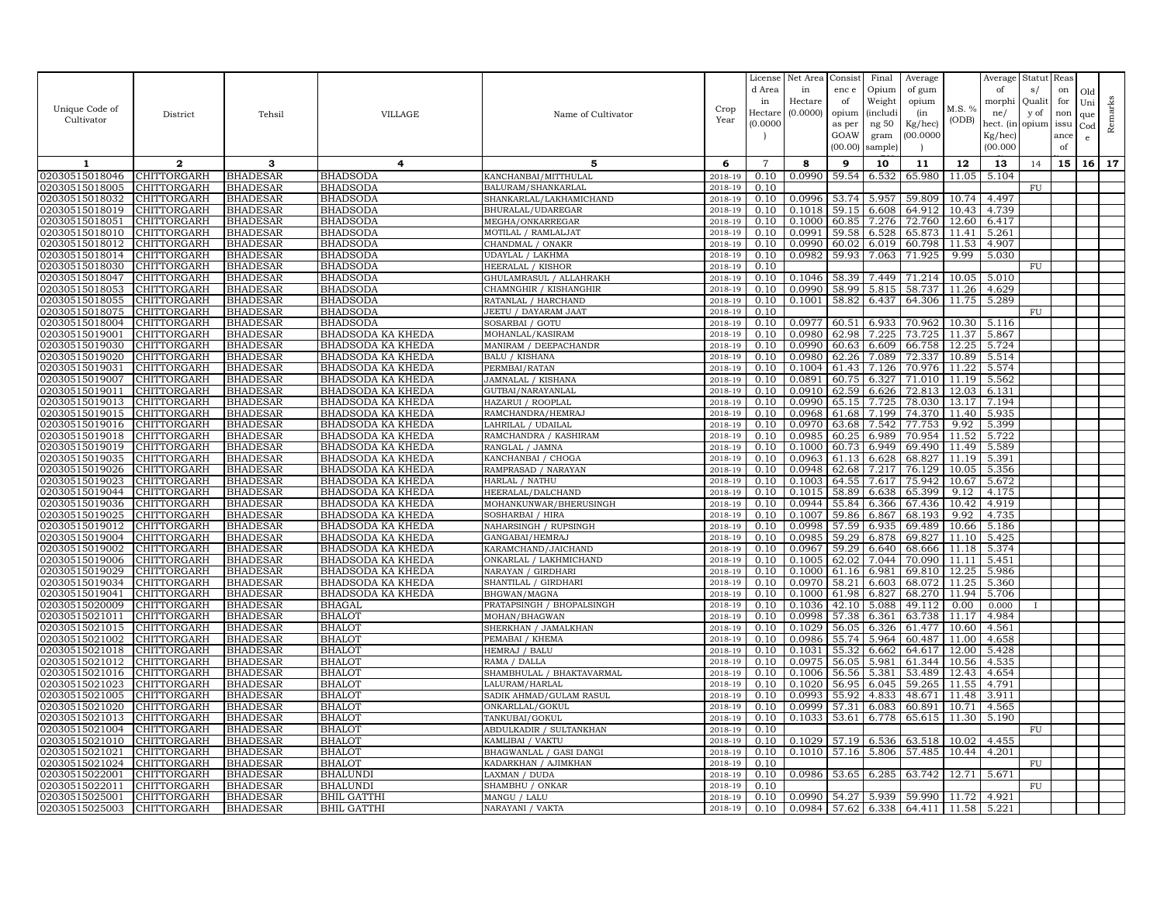|                                  |                                          |                                    |                                                      |                                               |                    | License           | Net Area         | Consist        | Final           | Average                                           |                | Average        | Statut       | Reas      |              |         |
|----------------------------------|------------------------------------------|------------------------------------|------------------------------------------------------|-----------------------------------------------|--------------------|-------------------|------------------|----------------|-----------------|---------------------------------------------------|----------------|----------------|--------------|-----------|--------------|---------|
|                                  |                                          |                                    |                                                      |                                               |                    | d Area<br>in      | in<br>Hectare    | enc e<br>of    | Opium<br>Weight | of gum                                            |                | of<br>morphi   | s/<br>Qualit | on<br>for | Old          |         |
| Unique Code of                   | District                                 | Tehsil                             | VILLAGE                                              | Name of Cultivator                            | Crop               | Hectare           | (0.0000)         | opium          | (includi        | opium<br>(in                                      | M.S. %         | ne/            | y of         | non       | Uni<br>que   | Remarks |
| Cultivator                       |                                          |                                    |                                                      |                                               | Year               | (0.0000           |                  | as per         | ng $50\,$       | $Kg/$ hec)                                        | (ODB)          | hect. (in      | opium        | issu      | $_{\rm Cod}$ |         |
|                                  |                                          |                                    |                                                      |                                               |                    |                   |                  | GOAW           | gram            | (00.0000)                                         |                | Kg/hec)        |              | ance      | $\mathbf{e}$ |         |
|                                  |                                          |                                    |                                                      |                                               |                    |                   |                  | (00.00)        | sample          |                                                   |                | (00.000)       |              | of        |              |         |
| 1                                | $\mathbf{2}$                             | 3                                  | 4                                                    | 5                                             | 6                  | $\overline{7}$    | 8                | 9              | 10              | 11                                                | 12             | 13             | 14           | 15        | 16 17        |         |
| 02030515018046                   | <b>CHITTORGARH</b>                       | <b>BHADESAR</b>                    | <b>BHADSODA</b>                                      | KANCHANBAI/MITTHULAL                          | 2018-19            | 0.10              | 0.0990           | 59.54          | 6.532           | 65.980                                            | 11.05          | 5.104          |              |           |              |         |
| 02030515018005                   | CHITTORGARH                              | <b>BHADESAR</b>                    | <b>BHADSODA</b>                                      | BALURAM/SHANKARLAL                            | 2018-19            | 0.10              |                  |                |                 |                                                   |                |                | FU           |           |              |         |
| 02030515018032                   | CHITTORGARH                              | <b>BHADESAR</b>                    | <b>BHADSODA</b>                                      | SHANKARLAL/LAKHAMICHAND                       | 2018-19            | 0.10              | 0.0996           | 53.74          | 5.957           | 59.809                                            | 10.74          | 4.497          |              |           |              |         |
| 02030515018019<br>02030515018051 | <b>CHITTORGARH</b><br><b>CHITTORGARH</b> | <b>BHADESAR</b><br><b>BHADESAR</b> | <b>BHADSODA</b><br><b>BHADSODA</b>                   | BHURALAL/UDAREGAR<br>MEGHA/ONKARREGAR         | 2018-19<br>2018-19 | 0.10<br>0.10      | 0.1018<br>0.1000 | 59.15<br>60.85 | 6.608<br>7.276  | 64.912<br>72.760                                  | 10.43<br>12.60 | 4.739<br>6.417 |              |           |              |         |
| 02030515018010                   | CHITTORGARH                              | <b>BHADESAR</b>                    | <b>BHADSODA</b>                                      | MOTILAL / RAMLALJAT                           | 2018-19            | 0.10              | 0.0991           | 59.58          | 6.528           | 65.873                                            | 11.41          | 5.261          |              |           |              |         |
| 02030515018012                   | <b>CHITTORGARH</b>                       | <b>BHADESAR</b>                    | <b>BHADSODA</b>                                      | CHANDMAL / ONAKR                              | 2018-19            | 0.10              | 0.0990           | 60.02          | 6.019           | 60.798                                            | 11.53          | 4.907          |              |           |              |         |
| 02030515018014                   | CHITTORGARH                              | <b>BHADESAR</b>                    | <b>BHADSODA</b>                                      | UDAYLAL / LAKHMA                              | 2018-19            | 0.10              | 0.0982           | 59.93          | 7.063           | 71.925                                            | 9.99           | 5.030          |              |           |              |         |
| 02030515018030                   | <b>CHITTORGARH</b>                       | <b>BHADESAR</b>                    | <b>BHADSODA</b>                                      | <b>HEERALAL / KISHOR</b>                      | 2018-19            | 0.10              |                  |                |                 |                                                   |                |                | FU           |           |              |         |
| 02030515018047                   | CHITTORGARH                              | <b>BHADESAR</b>                    | <b>BHADSODA</b>                                      | GHULAMRASUL / ALLAHRAKH                       | 2018-19            | 0.10              | 0.1046           | 58.39          | 7.449           | 71.214                                            | 10.05          | 5.010          |              |           |              |         |
| 02030515018053                   | <b>CHITTORGARH</b>                       | <b>BHADESAR</b>                    | <b>BHADSODA</b>                                      | CHAMNGHIR / KISHANGHIR                        | 2018-19            | 0.10              | 0.0990           | 58.99          | 5.815           | 58.737                                            | 11.26          | 4.629          |              |           |              |         |
| 02030515018055                   | CHITTORGARH                              | <b>BHADESAR</b>                    | <b>BHADSODA</b>                                      | RATANLAL / HARCHAND                           | 2018-19            | $0.\overline{10}$ | 0.1001           | 58.82          | 6.437           | 64.306                                            | 11.75          | 5.289          |              |           |              |         |
| 02030515018075                   | CHITTORGARH                              | <b>BHADESAR</b>                    | <b>BHADSODA</b>                                      | JEETU / DAYARAM JAAT                          | 2018-19            | 0.10<br>0.10      |                  |                |                 | 70.962                                            |                |                | FU           |           |              |         |
| 02030515018004<br>02030515019001 | CHITTORGARH<br>CHITTORGARH               | <b>BHADESAR</b><br><b>BHADESAR</b> | <b>BHADSODA</b><br>BHADSODA KA KHEDA                 | SOSARBAI / GOTU<br>MOHANLAL/KASIRAM           | 2018-19<br>2018-19 | 0.10              | 0.0977<br>0.0980 | 60.51<br>62.98 | 6.933<br>7.225  | 73.725                                            | 10.30<br>11.37 | 5.116<br>5.867 |              |           |              |         |
| 02030515019030                   | CHITTORGARH                              | <b>BHADESAR</b>                    | BHADSODA KA KHEDA                                    | MANIRAM / DEEPACHANDR                         | 2018-19            | 0.10              | 0.0990           | 60.63          | 6.609           | 66.758                                            | 12.25          | 5.724          |              |           |              |         |
| 02030515019020                   | CHITTORGARH                              | <b>BHADESAR</b>                    | BHADSODA KA KHEDA                                    | <b>BALU / KISHANA</b>                         | 2018-19            | 0.10              | 0.0980           | 62.26          | 7.089           | 72.337                                            | 10.89          | 5.514          |              |           |              |         |
| 02030515019031                   | <b>CHITTORGARH</b>                       | <b>BHADESAR</b>                    | <b>BHADSODA KA KHEDA</b>                             | PERMBAI/RATAN                                 | 2018-19            | 0.10              | 0.1004           | 61.43          | 7.126           | 70.976                                            | 11.22          | 5.574          |              |           |              |         |
| 02030515019007                   | CHITTORGARH                              | <b>BHADESAR</b>                    | <b>BHADSODA KA KHEDA</b>                             | JAMNALAL / KISHANA                            | 2018-19            | 0.10              | 0.0891           | 60.75          | 6.327           | 71.010                                            | 11.19          | 5.562          |              |           |              |         |
| 02030515019011                   | CHITTORGARH                              | <b>BHADESAR</b>                    | <b>BHADSODA KA KHEDA</b>                             | GUTBAI/NARAYANLAL                             | 2018-19            | 0.10              | 0.0910           | 62.59          | 6.626           | 72.813                                            | 12.03          | 6.131          |              |           |              |         |
| 02030515019013                   | CHITTORGARH                              | <b>BHADESAR</b>                    | BHADSODA KA KHEDA                                    | HAZARUI / ROOPLAL                             | 2018-19            | 0.10              | 0.0990           | 65.15          | 7.725           | 78.030                                            | 13.17          | 7.194          |              |           |              |         |
| 02030515019015                   | CHITTORGARH                              | <b>BHADESAR</b>                    | BHADSODA KA KHEDA                                    | RAMCHANDRA/HEMRAJ                             | 2018-19            | 0.10              | 0.0968           | 61.68          | 7.199           | 74.370                                            | 11.40          | 5.935          |              |           |              |         |
| 02030515019016                   | CHITTORGARH                              | <b>BHADESAR</b>                    | BHADSODA KA KHEDA                                    | LAHRILAL / UDAILAL                            | 2018-19            | 0.10              | 0.0970           | 63.68          | 7.542           | 77.753                                            | 9.92           | 5.399          |              |           |              |         |
| 02030515019018<br>02030515019019 | CHITTORGARH<br>CHITTORGARH               | <b>BHADESAR</b><br><b>BHADESAR</b> | BHADSODA KA KHEDA<br>BHADSODA KA KHEDA               | RAMCHANDRA / KASHIRAM<br>RANGLAL / JAMNA      | 2018-19<br>2018-19 | 0.10<br>0.10      | 0.0985<br>0.1000 | 60.25<br>60.73 | 6.989<br>6.949  | 70.954<br>69.490                                  | 11.52<br>11.49 | 5.722<br>5.589 |              |           |              |         |
| 02030515019035                   | CHITTORGARH                              | <b>BHADESAR</b>                    | BHADSODA KA KHEDA                                    | KANCHANBAI / CHOGA                            | 2018-19            | 0.10              | 0.0963           | 61.13          | 6.628           | 68.827                                            | 11.19          | 5.391          |              |           |              |         |
| 02030515019026                   | CHITTORGARH                              | <b>BHADESAR</b>                    | BHADSODA KA KHEDA                                    | RAMPRASAD / NARAYAN                           | 2018-19            | 0.10              | 0.0948           | 62.68          | 7.217           | 76.129                                            | 10.05          | 5.356          |              |           |              |         |
| 02030515019023                   | CHITTORGARH                              | <b>BHADESAR</b>                    | BHADSODA KA KHEDA                                    | HARLAL / NATHU                                | 2018-19            | 0.10              | 0.1003           | 64.55          | 7.617           | 75.942                                            | 10.67          | 5.672          |              |           |              |         |
| 02030515019044                   | <b>CHITTORGARH</b>                       | <b>BHADESAR</b>                    | BHADSODA KA KHEDA                                    | HEERALAL/DALCHAND                             | 2018-19            | 0.10              | 0.1015           | 58.89          | 6.638           | 65.399                                            | 9.12           | 4.175          |              |           |              |         |
| 02030515019036                   | CHITTORGARH                              | <b>BHADESAR</b>                    | BHADSODA KA KHEDA                                    | MOHANKUNWAR/BHERUSINGH                        | 2018-19            | 0.10              | 0.0944           | 55.84          | 6.366           | 67.436                                            | 10.42          | 4.919          |              |           |              |         |
| 02030515019025                   | <b>CHITTORGARH</b>                       | <b>BHADESAR</b>                    | BHADSODA KA KHEDA                                    | SOSHARBAI / HIRA                              | 2018-19            | 0.10              | 0.1007           | 59.86          | 6.867           | 68.193                                            | 9.92           | 4.735          |              |           |              |         |
| 02030515019012                   | CHITTORGARH                              | <b>BHADESAR</b>                    | BHADSODA KA KHEDA                                    | NAHARSINGH / RUPSINGH                         | 2018-19            | 0.10              | 0.0998           | 57.59          | 6.935           | 69.489                                            | 10.66          | 5.186          |              |           |              |         |
| 02030515019004                   | CHITTORGARH                              | <b>BHADESAR</b>                    | BHADSODA KA KHEDA                                    | <b>GANGABAI/HEMRAJ</b>                        | 2018-19            | 0.10              | 0.0985           | 59.29<br>59.29 | 6.878           | 69.827                                            | 11.10          | 5.425          |              |           |              |         |
| 02030515019002<br>02030515019006 | CHITTORGARH<br>CHITTORGARH               | <b>BHADESAR</b><br><b>BHADESAR</b> | <b>BHADSODA KA KHEDA</b><br><b>BHADSODA KA KHEDA</b> | KARAMCHAND/JAICHAND<br>ONKARLAL / LAKHMICHAND | 2018-19<br>2018-19 | 0.10<br>0.10      | 0.0967<br>0.1005 | 62.02          | 6.640<br>7.044  | 68.666<br>70.090                                  | 11.18<br>11.11 | 5.374<br>5.451 |              |           |              |         |
| 02030515019029                   | <b>CHITTORGARH</b>                       | <b>BHADESAR</b>                    | BHADSODA KA KHEDA                                    | NARAYAN / GIRDHARI                            | 2018-19            | 0.10              | 0.1000           | 61.16          | 6.981           | 69.810                                            | 12.25          | 5.986          |              |           |              |         |
| 02030515019034                   | CHITTORGARH                              | <b>BHADESAR</b>                    | BHADSODA KA KHEDA                                    | SHANTILAL / GIRDHARI                          | 2018-19            | 0.10              | 0.0970           | 58.21          | 6.603           | 68.072                                            | 11.25          | 5.360          |              |           |              |         |
| 02030515019041                   | CHITTORGARH                              | <b>BHADESAR</b>                    | BHADSODA KA KHEDA                                    | BHGWAN/MAGNA                                  | 2018-19            | 0.10              | 0.1000           | 61.98          | 6.827           | 68.270                                            | 11.94          | 5.706          |              |           |              |         |
| 02030515020009                   | CHITTORGARH                              | <b>BHADESAR</b>                    | BHAGAI                                               | PRATAPSINGH / BHOPALSINGH                     | 2018-19            | 0.10              | 0.1036           | 42.10          | 5.088           | 49.112                                            | 0.00           | 0.000          |              |           |              |         |
| 02030515021011                   | CHITTORGARH                              | <b>BHADESAR</b>                    | <b>BHALOT</b>                                        | MOHAN/BHAGWAN                                 | 2018-19            | 0.10              | 0.0998           | 57.38          | 6.361           | 63.738                                            | 11.17          | 4.984          |              |           |              |         |
| 02030515021015                   | CHITTORGARH                              | <b>BHADESAR</b>                    | <b>BHALOT</b>                                        | SHERKHAN / JAMALKHAN                          | 2018-19            | 0.10              | 0.1029           | 56.05          | 6.326           | 61.477                                            | 10.60          | 4.561          |              |           |              |         |
| 02030515021002                   | CHITTORGARH                              | <b>BHADESAR</b>                    | <b>BHALOT</b>                                        | PEMABAI / KHEMA                               | 2018-19            | 0.10              | 0.0986           | 55.74          | 5.964           | 60.487                                            | 11.00          | 4.658          |              |           |              |         |
| 02030515021018                   | <b>CHITTORGARH</b>                       | <b>BHADESAR</b>                    | <b>BHALOT</b>                                        | HEMRAJ / BALU                                 | 2018-19            | 0.10              | 0.1031           | 55.32          | 6.662           | 64.617                                            | 12.00          | 5.428          |              |           |              |         |
| 02030515021012<br>02030515021016 | <b>CHITTORGARH</b><br><b>CHITTORGARH</b> | <b>BHADESAR</b><br><b>BHADESAR</b> | <b>BHALOT</b><br><b>BHALOT</b>                       | RAMA / DALLA<br>SHAMBHULAL / BHAKTAVARMAL     | 2018-19<br>2018-19 | 0.10<br>0.10      | 0.0975<br>0.1006 | 56.05<br>56.56 | 5.981<br>5.381  | 61.344<br>53.489                                  | 10.56<br>12.43 | 4.535<br>4.654 |              |           |              |         |
| 02030515021023                   | CHITTORGARH                              | <b>BHADESAR</b>                    | <b>BHALOT</b>                                        | LALURAM/HARLAL                                | 2018-19            | 0.10              | 0.1020           | 56.95          | 6.045           | 59.265                                            | 11.55          | 4.791          |              |           |              |         |
| 02030515021005                   | <b>CHITTORGARH</b>                       | <b>BHADESAR</b>                    | <b>BHALOT</b>                                        | SADIK AHMAD/GULAM RASUL                       | 2018-19            | 0.10              | 0.0993           | 55.92          | 4.833           | 48.671                                            | 11.48          | 3.911          |              |           |              |         |
| 02030515021020                   | CHITTORGARH                              | <b>BHADESAR</b>                    | <b>BHALOT</b>                                        | ONKARLLAL/GOKUL                               | 2018-19            | 0.10              | 0.0999           | 57.31          | 6.083           | 60.891                                            | 10.71          | 4.565          |              |           |              |         |
| 02030515021013                   | CHITTORGARH                              | <b>BHADESAR</b>                    | <b>BHALOT</b>                                        | TANKUBAI/GOKUL                                | 2018-19            | 0.10              | 0.1033           | 53.61          | 6.778           | 65.615                                            | 11.30          | 5.190          |              |           |              |         |
| 02030515021004                   | <b>CHITTORGARH</b>                       | <b>BHADESAR</b>                    | <b>BHALOT</b>                                        | ABDULKADIR / SULTANKHAN                       | 2018-19            | 0.10              |                  |                |                 |                                                   |                |                | FU           |           |              |         |
| 02030515021010                   | CHITTORGARH                              | <b>BHADESAR</b>                    | <b>BHALOT</b>                                        | KAMLIBAI / VAKTU                              | 2018-19            | 0.10              | 0.1029           | 57.19          | 6.536           | 63.518                                            | 10.02          | 4.455          |              |           |              |         |
| 02030515021021                   | CHITTORGARH                              | <b>BHADESAR</b>                    | <b>BHALOT</b>                                        | BHAGWANLAL / GASI DANGI                       | 2018-19            | 0.10              | 0.1010           | 57.16          | 5.806           | 57.485                                            | 10.44          | 4.201          |              |           |              |         |
| 02030515021024<br>02030515022001 | CHITTORGARH<br><b>CHITTORGARH</b>        | <b>BHADESAR</b><br><b>BHADESAR</b> | <b>BHALOT</b><br><b>BHALUNDI</b>                     | KADARKHAN / AJIMKHAN<br>LAXMAN / DUDA         | 2018-19<br>2018-19 | 0.10<br>0.10      | 0.0986           | 53.65          | 6.285           | 63.742                                            | 12.71          | 5.671          | ${\rm FU}$   |           |              |         |
| 02030515022011                   | <b>CHITTORGARH</b>                       | <b>BHADESAR</b>                    | <b>BHALUNDI</b>                                      | SHAMBHU / ONKAR                               | 2018-19            | 0.10              |                  |                |                 |                                                   |                |                | FU           |           |              |         |
| 02030515025001                   | <b>CHITTORGARH</b>                       | <b>BHADESAR</b>                    | <b>BHIL GATTHI</b>                                   | MANGU / LALU                                  | 2018-19            | 0.10              | 0.0990           | 54.27          | 5.939           | 59.990                                            | 11.72          | 4.921          |              |           |              |         |
| 02030515025003                   | CHITTORGARH                              | <b>BHADESAR</b>                    | <b>BHIL GATTHI</b>                                   | NARAYANI / VAKTA                              | 2018-19            | 0.10              |                  |                |                 | $0.0984$   57.62   6.338   64.411   11.58   5.221 |                |                |              |           |              |         |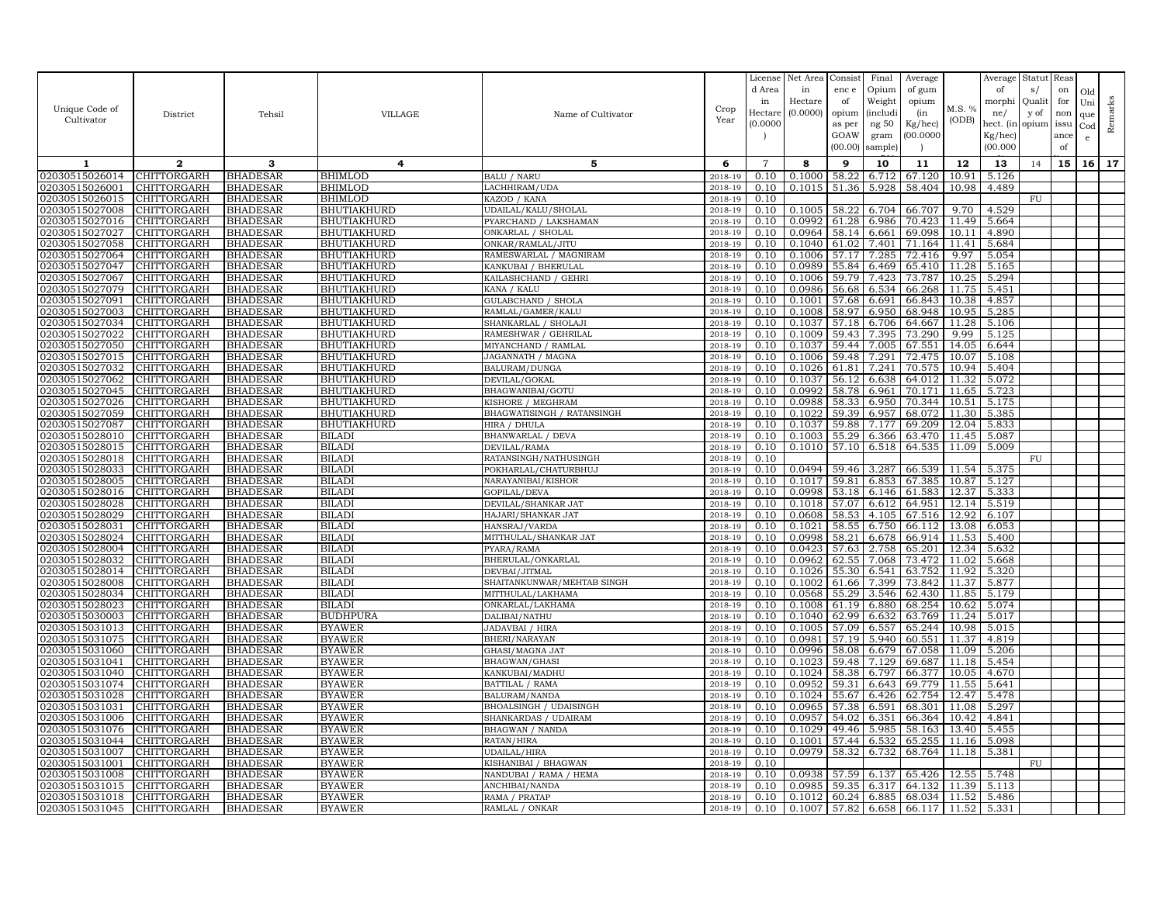| Unique Code of<br>Cultivator     | District                          | Tehsil                             | <b>VILLAGE</b>                 | Name of Cultivator                           | Crop<br>Year       | License<br>d Area<br>in<br>Hectare<br>(0.0000) | Net Area<br>in<br>Hectare<br>(0.0000) | Consist<br>enc e<br>of<br>opium<br>as per<br>GOAW<br>(00.00) | Final<br>Opium<br>Weight<br><i>(includi</i><br>ng 50<br>gram<br>sample) | Average<br>of gum<br>opium<br>(in<br>Kg/hec)<br>(00.0000) | M.S. %<br>(ODB) | Average<br>of<br>morphi<br>ne/<br>hect. (in<br>$Kg/$ hec)<br>(00.000) | Statut<br>s/<br>Quali<br>y of<br>opium | Reas<br>on<br>for<br>non<br>issu<br>ance<br>of | Old<br>Uni<br>que<br>Cod<br>e | Remarks |
|----------------------------------|-----------------------------------|------------------------------------|--------------------------------|----------------------------------------------|--------------------|------------------------------------------------|---------------------------------------|--------------------------------------------------------------|-------------------------------------------------------------------------|-----------------------------------------------------------|-----------------|-----------------------------------------------------------------------|----------------------------------------|------------------------------------------------|-------------------------------|---------|
| 1                                | $\mathbf{2}$                      | 3                                  | $\overline{4}$                 | 5                                            | 6                  | $\overline{7}$                                 | 8                                     | 9                                                            | 10                                                                      | 11                                                        | 12              | 13                                                                    | 14                                     | 15                                             | 16 <sup>1</sup>               | 17      |
| 02030515026014                   | CHITTORGARH                       | <b>BHADESAR</b>                    | BHIMLOD                        | <b>BALU / NARU</b>                           | 2018-19            | 0.10                                           | 0.1000                                | 58.22                                                        | 6.712                                                                   | 67.120                                                    | 10.91           | 5.126                                                                 |                                        |                                                |                               |         |
| 02030515026001                   | CHITTORGARH                       | <b>BHADESAR</b>                    | <b>BHIMLOD</b>                 | LACHHIRAM/UDA                                | 2018-19            | 0.10                                           | 0.1015                                | 51.36                                                        | 5.928                                                                   | 58.404                                                    | 10.98           | 4.489                                                                 |                                        |                                                |                               |         |
| 02030515026015                   | CHITTORGARH                       | <b>BHADESAR</b>                    | <b>BHIMLOD</b>                 | KAZOD / KANA                                 | 2018-19            | 0.10                                           |                                       |                                                              |                                                                         |                                                           |                 |                                                                       | FU                                     |                                                |                               |         |
| 02030515027008                   | CHITTORGARH                       | <b>BHADESAR</b>                    | BHUTIAKHURD                    | JDAILAL/KALU/SHOLAL                          | 2018-19            | 0.10                                           | 0.1005                                | 58.22                                                        | 6.704                                                                   | 66.707                                                    | 9.70            | 4.529                                                                 |                                        |                                                |                               |         |
| 02030515027016                   | CHITTORGARH                       | <b>BHADESAR</b>                    | <b>BHUTIAKHURD</b>             | PYARCHAND / LAKSHAMAN                        | 2018-19            | 0.10                                           | 0.0992                                | 61.28                                                        | 6.986                                                                   | 70.423                                                    | 11.49           | 5.664                                                                 |                                        |                                                |                               |         |
| 02030515027027                   | CHITTORGARH                       | <b>BHADESAR</b>                    | BHUTIAKHURD                    | ONKARLAL / SHOLAL                            | 2018-19            | 0.10                                           | 0.0964                                | 58.14                                                        | 6.661                                                                   | 69.098                                                    | 10.11           | 4.890                                                                 |                                        |                                                |                               |         |
| 02030515027058                   | CHITTORGARH                       | <b>BHADESAR</b>                    | <b>BHUTIAKHURD</b>             | ONKAR/RAMLAL/JITU                            | 2018-19            | 0.10                                           | 0.1040                                | 61.02                                                        | 7.401                                                                   | 71.164                                                    | 11.41           | 5.684                                                                 |                                        |                                                |                               |         |
| 02030515027064                   | CHITTORGARH                       | <b>BHADESAR</b>                    | BHUTIAKHURD                    | RAMESWARLAL / MAGNIRAM                       | 2018-19            | 0.10                                           | 0.1006                                | 57.17                                                        | 7.285                                                                   | 72.416                                                    | 9.97            | 5.054                                                                 |                                        |                                                |                               |         |
| 02030515027047                   | <b>CHITTORGARH</b>                | <b>BHADESAR</b>                    | BHUTIAKHURD                    | KANKUBAI / BHERULAL                          | 2018-19            | 0.10                                           | 0.0989                                | 55.84                                                        | 6.469                                                                   | 65.410                                                    | 11.28           | 5.165                                                                 |                                        |                                                |                               |         |
| 02030515027067<br>02030515027079 | CHITTORGARH<br>CHITTORGARH        | <b>BHADESAR</b><br><b>BHADESAR</b> | BHUTIAKHURD<br>BHUTIAKHURD     | KAILASHCHAND / GEHRI                         | 2018-19<br>2018-19 | 0.10                                           | 0.1006                                | 59.79<br>56.68                                               | 7.423                                                                   | 73.787<br>66.268                                          | 10.25           | 5.294<br>5.451                                                        |                                        |                                                |                               |         |
| 02030515027091                   | CHITTORGARH                       | <b>BHADESAR</b>                    | BHUTIAKHURD                    | KANA / KALU<br>GULABCHAND / SHOLA            | 2018-19            | 0.10<br>0.10                                   | 0.0986<br>0.1001                      | 57.68                                                        | 6.534<br>6.691                                                          | 66.843                                                    | 11.75<br>10.38  | 4.857                                                                 |                                        |                                                |                               |         |
| 02030515027003                   | CHITTORGARH                       | <b>BHADESAR</b>                    | <b>BHUTIAKHURD</b>             | RAMLAL/GAMER/KALU                            | 2018-19            | 0.10                                           | 0.1008                                | 58.97                                                        | 6.950                                                                   | 68.948                                                    | 10.95           | 5.285                                                                 |                                        |                                                |                               |         |
| 02030515027034                   | CHITTORGARH                       | <b>BHADESAR</b>                    | <b>BHUTIAKHURD</b>             | SHANKARLAL / SHOLAJI                         | 2018-19            | 0.10                                           | 0.1037                                | 57.18                                                        | 6.706                                                                   | 64.667                                                    | 11.28           | 5.106                                                                 |                                        |                                                |                               |         |
| 02030515027022                   | CHITTORGARH                       | <b>BHADESAR</b>                    | <b>BHUTIAKHURD</b>             | RAMESHWAR / GEHRILAL                         | 2018-19            | 0.10                                           | 0.1009                                | 59.43                                                        | 7.395                                                                   | 73.290                                                    | 9.99            | 5.125                                                                 |                                        |                                                |                               |         |
| 02030515027050                   | CHITTORGARH                       | <b>BHADESAR</b>                    | <b>BHUTIAKHURD</b>             | MIYANCHAND / RAMLAL                          | 2018-19            | 0.10                                           | 0.1037                                | 59.44                                                        | 7.005                                                                   | 67.551                                                    | 14.05           | 6.644                                                                 |                                        |                                                |                               |         |
| 02030515027015                   | CHITTORGARH                       | <b>BHADESAR</b>                    | BHUTIAKHURD                    | JAGANNATH / MAGNA                            | 2018-19            | 0.10                                           | 0.1006                                | 59.48                                                        | 7.291                                                                   | 72.475                                                    | 10.07           | 5.108                                                                 |                                        |                                                |                               |         |
| 02030515027032                   | CHITTORGARH                       | <b>BHADESAR</b>                    | BHUTIAKHURD                    | BALURAM/DUNGA                                | 2018-19            | 0.10                                           | 0.1026                                | 61.81                                                        | 7.241                                                                   | 70.575                                                    | 10.94           | 5.404                                                                 |                                        |                                                |                               |         |
| 02030515027062                   | CHITTORGARH                       | <b>BHADESAR</b>                    | <b>BHUTIAKHURD</b>             | DEVILAL/GOKAL                                | 2018-19            | 0.10                                           | 0.1037                                | 56.12                                                        | 6.638                                                                   | 64.012                                                    | 11.32           | 5.072                                                                 |                                        |                                                |                               |         |
| 02030515027045                   | CHITTORGARH                       | <b>BHADESAR</b>                    | BHUTIAKHURD                    | BHAGWANIBAI/GOTU                             | 2018-19            | 0.10                                           | 0.0992                                | 58.78                                                        | 6.961                                                                   | 70.171                                                    | 11.65           | 5.723                                                                 |                                        |                                                |                               |         |
| 02030515027026                   | CHITTORGARH                       | <b>BHADESAR</b>                    | BHUTIAKHURD                    | KISHORE / MEGHRAM                            | 2018-19            | 0.10                                           | 0.0988                                | 58.33                                                        | 6.950                                                                   | 70.344                                                    | 10.51           | 5.175                                                                 |                                        |                                                |                               |         |
| 02030515027059                   | CHITTORGARH                       | <b>BHADESAR</b>                    | BHUTIAKHURD                    | BHAGWATISINGH / RATANSINGH                   | 2018-19            | 0.10                                           | 0.1022                                | 59.39                                                        | 6.957                                                                   | 68.072                                                    |                 | 11.30 5.385                                                           |                                        |                                                |                               |         |
| 02030515027087                   | CHITTORGARH                       | <b>BHADESAR</b>                    | <b>BHUTIAKHURD</b>             | HIRA / DHULA                                 | 2018-19            | 0.10                                           | 0.1037                                | 59.88                                                        | 7.177                                                                   | 69.209                                                    | 12.04           | 5.833                                                                 |                                        |                                                |                               |         |
| 02030515028010                   | CHITTORGARH                       | <b>BHADESAR</b>                    | <b>BILADI</b>                  | BHANWARLAL / DEVA                            | 2018-19            | 0.10                                           | 0.1003                                | 55.29                                                        | 6.366                                                                   | 63.470                                                    | 11.45           | 5.087                                                                 |                                        |                                                |                               |         |
| 02030515028015<br>02030515028018 | CHITTORGARH<br>CHITTORGARH        | <b>BHADESAR</b><br><b>BHADESAR</b> | <b>BILADI</b><br><b>BILADI</b> | <b>DEVILAL/RAMA</b><br>RATANSINGH/NATHUSINGH | 2018-19<br>2018-19 | 0.10<br>0.10                                   | 0.1010                                | 57.10                                                        | 6.518                                                                   | 64.535                                                    | 11.09           | 5.009                                                                 | FU                                     |                                                |                               |         |
| 02030515028033                   | CHITTORGARH                       | <b>BHADESAR</b>                    | <b>BILADI</b>                  | POKHARLAL/CHATURBHUJ                         | 2018-19            | 0.10                                           | 0.0494                                | 59.46                                                        | 3.287                                                                   | 66.539                                                    | 11.54           | 5.375                                                                 |                                        |                                                |                               |         |
| 02030515028005                   | CHITTORGARH                       | <b>BHADESAR</b>                    | <b>BILADI</b>                  | <b>JARAYANIBAI/KISHOR</b>                    | 2018-19            | $0.\overline{10}$                              | 0.1017                                | 59.81                                                        | 6.853                                                                   | 67.385                                                    | 10.87           | 5.127                                                                 |                                        |                                                |                               |         |
| 02030515028016                   | CHITTORGARH                       | <b>BHADESAR</b>                    | BILADI                         | GOPILAL/DEVA                                 | 2018-19            | 0.10                                           | 0.0998                                | 53.18                                                        | 6.146                                                                   | 61.583                                                    | 12.37           | 5.333                                                                 |                                        |                                                |                               |         |
| 02030515028028                   | CHITTORGARH                       | <b>BHADESAR</b>                    | BILADI                         | DEVILAL/SHANKAR JAT                          | 2018-19            | 0.10                                           | 0.1018                                | 57.07                                                        | 6.612                                                                   | 64.951                                                    | 12.14           | 5.519                                                                 |                                        |                                                |                               |         |
| 02030515028029                   | CHITTORGARH                       | <b>BHADESAR</b>                    | <b>BILADI</b>                  | HAJARI/SHANKAR JAT                           | 2018-19            | 0.10                                           | 0.0608                                | 58.53                                                        | 4.105                                                                   | 67.516                                                    | 12.92           | 6.107                                                                 |                                        |                                                |                               |         |
| 02030515028031                   | CHITTORGARH                       | <b>BHADESAR</b>                    | <b>BILADI</b>                  | HANSRAJ/VARDA                                | 2018-19            | 0.10                                           | 0.1021                                | 58.55                                                        | 6.750                                                                   | 66.112                                                    | 13.08           | 6.053                                                                 |                                        |                                                |                               |         |
| 02030515028024                   | CHITTORGARH                       | <b>BHADESAR</b>                    | <b>BILADI</b>                  | MITTHULAL/SHANKAR JAT                        | 2018-19            | 0.10                                           | 0.0998                                | 58.21                                                        | 6.678                                                                   | 66.914                                                    | 11.53           | 5.400                                                                 |                                        |                                                |                               |         |
| 02030515028004                   | CHITTORGARH                       | <b>BHADESAR</b>                    | <b>BILADI</b>                  | PYARA/RAMA                                   | 2018-19            | 0.10                                           | 0.0423                                | 57.63                                                        | 2.758                                                                   | 65.201                                                    | 12.34           | 5.632                                                                 |                                        |                                                |                               |         |
| 02030515028032                   | CHITTORGARH                       | <b>BHADESAR</b>                    | <b>BILADI</b>                  | BHERULAL/ONKARLAL                            | 2018-19            | 0.10                                           | 0.0962                                | 62.55                                                        | 7.068                                                                   | 73.472                                                    | 11.02           | 5.668                                                                 |                                        |                                                |                               |         |
| 02030515028014                   | CHITTORGARH                       | <b>BHADESAR</b>                    | <b>BILADI</b>                  | DEVBAI/JITMAL                                | 2018-19            | 0.10                                           | 0.1026                                |                                                              | 55.30 6.541                                                             | 63.752                                                    | 11.92           | 5.320                                                                 |                                        |                                                |                               |         |
| 02030515028008                   | <b>CHITTORGARH</b>                | <b>BHADESAR</b>                    | <b>BILADI</b>                  | SHAITANKUNWAR/MEHTAB SINGH                   | 2018-19<br>2018-19 | 0.10<br>0.10                                   | 0.1002<br>0.0568                      | 61.66                                                        | 7.399                                                                   | 73.842                                                    | 11.37           | 5.877                                                                 |                                        |                                                |                               |         |
| 02030515028034<br>02030515028023 | CHITTORGARH<br>CHITTORGARH        | <b>BHADESAR</b><br><b>BHADESAR</b> | <b>BILADI</b><br><b>BILADI</b> | MITTHULAL/LAKHAMA<br>ONKARLAL/LAKHAMA        | 2018-19            | 0.10                                           | 0.1008                                | 55.29<br>61.19                                               | 3.546<br>6.880                                                          | 62.430<br>68.254                                          | 11.85<br>10.62  | 5.179<br>5.074                                                        |                                        |                                                |                               |         |
| 02030515030003                   | CHITTORGARH                       | <b>BHADESAR</b>                    | <b>BUDHPURA</b>                | DALIBAI/NATHU                                | 2018-19            | 0.10                                           | 0.1040                                | 62.99                                                        | 6.632                                                                   | 63.769                                                    | 11.24           | 5.017                                                                 |                                        |                                                |                               |         |
| 02030515031013                   | CHITTORGARH                       | <b>BHADESAR</b>                    | BYAWER                         | JADAVBAI / HIRA                              | 2018-19            | 0.10                                           | 0.1005                                | 57.09                                                        | 6.557                                                                   | 65.244                                                    | 10.98           | 5.015                                                                 |                                        |                                                |                               |         |
| 02030515031075                   | CHITTORGARH                       | <b>BHADESAR</b>                    | <b>BYAWER</b>                  | BHERI/NARAYAN                                | 2018-19            | 0.10                                           | 0.0981                                | 57.19                                                        | 5.940                                                                   | 60.551                                                    | 11.37           | 4.819                                                                 |                                        |                                                |                               |         |
| 02030515031060                   | CHITTORGARH                       | <b>BHADESAR</b>                    | <b>BYAWER</b>                  | GHASI/MAGNA JAT                              | 2018-19            | 0.10                                           | 0.0996                                | 58.08                                                        | 6.679                                                                   | 67.058                                                    | 11.09           | 5.206                                                                 |                                        |                                                |                               |         |
| 02030515031041                   | CHITTORGARH                       | <b>BHADESAR</b>                    | <b>BYAWER</b>                  | BHAGWAN/GHASI                                | 2018-19            | 0.10                                           | 0.1023                                | 59.48                                                        | 7.129                                                                   | 69.687                                                    | 11.18           | 5.454                                                                 |                                        |                                                |                               |         |
| 02030515031040                   | CHITTORGARH                       | <b>BHADESAR</b>                    | <b>BYAWER</b>                  | KANKUBAI/MADHU                               | 2018-19            | 0.10                                           | 0.1024                                | 58.38                                                        | 6.797                                                                   | 66.377                                                    | 10.05           | 4.670                                                                 |                                        |                                                |                               |         |
| 02030515031074                   | CHITTORGARH                       | <b>BHADESAR</b>                    | <b>BYAWER</b>                  | BATTILAL / RAMA                              | 2018-19            | 0.10                                           | 0.0952                                | 59.31                                                        | 6.643                                                                   | 69.779                                                    | 11.55           | 5.641                                                                 |                                        |                                                |                               |         |
| 02030515031028                   | CHITTORGARH                       | <b>BHADESAR</b>                    | <b>BYAWER</b>                  | BALURAM/NANDA                                | 2018-19            | 0.10                                           | 0.1024                                | 55.67                                                        | 6.426                                                                   | 62.754                                                    | 12.47           | 5.478                                                                 |                                        |                                                |                               |         |
| 02030515031031                   | CHITTORGARH                       | <b>BHADESAR</b>                    | BYAWER                         | BHOALSINGH / UDAISINGH                       | 2018-19            | 0.10                                           | 0.0965                                | 57.38                                                        | 6.591                                                                   | 68.301                                                    | 11.08           | 5.297                                                                 |                                        |                                                |                               |         |
| 02030515031006                   | CHITTORGARH                       | <b>BHADESAR</b>                    | <b>BYAWER</b>                  | SHANKARDAS / UDAIRAM                         | 2018-19            | 0.10                                           | 0.0957                                | 54.02                                                        | 6.351                                                                   | 66.364                                                    | 10.42           | 4.841                                                                 |                                        |                                                |                               |         |
| 02030515031076                   | CHITTORGARH                       | <b>BHADESAR</b>                    | <b>BYAWER</b>                  | BHAGWAN / NANDA                              | 2018-19            | 0.10                                           | 0.1029                                | 49.46                                                        | 5.985                                                                   | 58.163                                                    | 13.40           | 5.455                                                                 |                                        |                                                |                               |         |
| 02030515031044<br>02030515031007 | CHITTORGARH<br><b>CHITTORGARH</b> | <b>BHADESAR</b><br><b>BHADESAR</b> | <b>BYAWER</b>                  | RATAN/HIRA<br>UDAILAL/HIRA                   | 2018-19<br>2018-19 | 0.10<br>0.10                                   | 0.1001<br>0.0979                      | 57.44<br>58.32                                               | 6.532<br>6.732                                                          | 65.255<br>68.764                                          | 11.16           | 5.098<br>11.18 5.381                                                  |                                        |                                                |                               |         |
| 02030515031001                   | CHITTORGARH                       | <b>BHADESAR</b>                    | <b>BYAWER</b><br><b>BYAWER</b> | KISHANIBAI / BHAGWAN                         | 2018-19            | 0.10                                           |                                       |                                                              |                                                                         |                                                           |                 |                                                                       | FU                                     |                                                |                               |         |
| 02030515031008                   | CHITTORGARH                       | <b>BHADESAR</b>                    | <b>BYAWER</b>                  | NANDUBAI / RAMA / HEMA                       | 2018-19            | 0.10                                           | 0.0938                                | 57.59                                                        | 6.137                                                                   | 65.426                                                    | 12.55           | 5.748                                                                 |                                        |                                                |                               |         |
| 02030515031015                   | CHITTORGARH                       | <b>BHADESAR</b>                    | BYAWER                         | ANCHIBAI/NANDA                               | 2018-19            | 0.10                                           | 0.0985                                | 59.35                                                        | 6.317                                                                   | 64.132                                                    | 11.39           | 5.113                                                                 |                                        |                                                |                               |         |
| 02030515031018                   | CHITTORGARH                       | <b>BHADESAR</b>                    | <b>BYAWER</b>                  | RAMA / PRATAP                                | 2018-19            | 0.10                                           | 0.1012                                | 60.24                                                        | 6.885                                                                   | 68.034                                                    | 11.52           | 5.486                                                                 |                                        |                                                |                               |         |
| 02030515031045                   | CHITTORGARH                       | <b>BHADESAR</b>                    | <b>BYAWER</b>                  | RAMLAL / ONKAR                               | 2018-19            | 0.10                                           | 0.1007                                |                                                              |                                                                         | 57.82 6.658 66.117 11.52 5.331                            |                 |                                                                       |                                        |                                                |                               |         |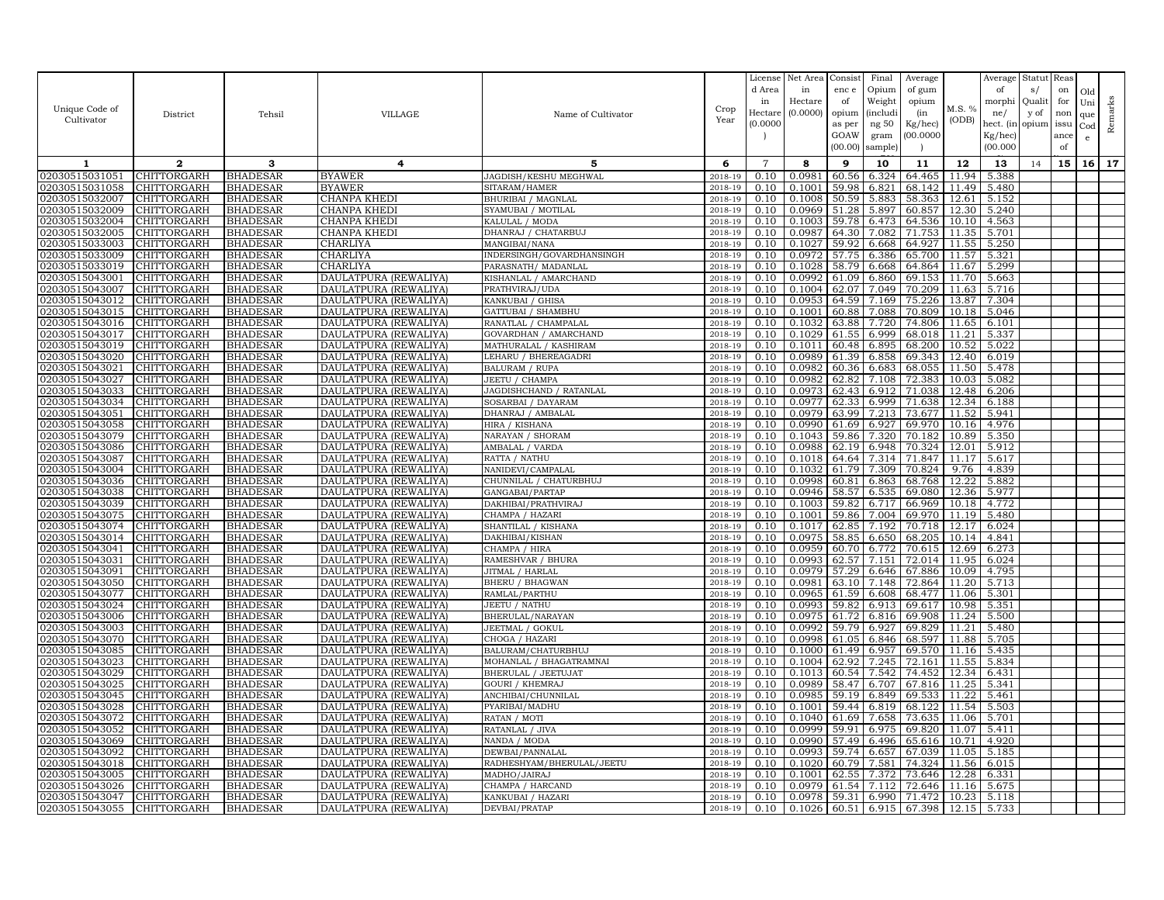|                                  |                                   |                                    |                                                |                                                   |                    | License        | Net Area         | Consist        | Final           | Average          |                | Average        | Statut Reas |      |     |         |
|----------------------------------|-----------------------------------|------------------------------------|------------------------------------------------|---------------------------------------------------|--------------------|----------------|------------------|----------------|-----------------|------------------|----------------|----------------|-------------|------|-----|---------|
|                                  |                                   |                                    |                                                |                                                   |                    | d Area         | in               | enc e          | Opium           | of gum           |                | of             | s/          | on   | Old |         |
| Unique Code of                   |                                   |                                    |                                                |                                                   | Crop               | in             | Hectare          | of             | Weight          | opium            | M.S. %         | morphi         | Qualit      | for  | Uni | Remarks |
| Cultivator                       | District                          | Tehsil                             | <b>VILLAGE</b>                                 | Name of Cultivator                                | Year               | Hectar         | (0.0000)         | opium          | <i>(includi</i> | (in              | (ODB)          | ne/            | y of        | non  | que |         |
|                                  |                                   |                                    |                                                |                                                   |                    | (0.0000)       |                  | as per         | ng 50           | Kg/hec)          |                | hect. (in      | opium issu  |      | Cod |         |
|                                  |                                   |                                    |                                                |                                                   |                    |                |                  | GOAW           | gram            | 00.0000          |                | Kg/hec)        |             | ance | e   |         |
|                                  |                                   |                                    |                                                |                                                   |                    |                |                  | (00.00)        | sample)         |                  |                | (00.000)       |             | of   |     |         |
| 1                                | $\mathbf{2}$                      | 3                                  | 4                                              | 5                                                 | 6                  | $\overline{7}$ | 8                | 9              | 10              | 11               | 12             | 13             | 14          | 15   | 16  | 17      |
| 02030515031051                   | CHITTORGARH                       | <b>BHADESAR</b>                    | <b>BYAWER</b>                                  | JAGDISH/KESHU MEGHWAL                             | 2018-19            | 0.10           | 0.0981           | 60.56          | 6.324           | 64.465           | 11.94          | 5.388          |             |      |     |         |
| 02030515031058                   | CHITTORGARH                       | <b>BHADESAR</b>                    | <b>BYAWER</b>                                  | SITARAM/HAMER                                     | 2018-19            | 0.10           | 0.1001           | 59.98          | 6.821           | 68.142           | 11.49          | 5.480          |             |      |     |         |
| 02030515032007                   | CHITTORGARH                       | <b>BHADESAR</b>                    | CHANPA KHEDI                                   | BHURIBAI / MAGNLAI                                | 2018-19            | 0.10           | 0.1008           | 50.59          | 5.883           | 58.363           | 12.61          | 5.152          |             |      |     |         |
| 02030515032009                   | CHITTORGARH                       | <b>BHADESAR</b>                    | CHANPA KHEDI                                   | SYAMUBAI / MOTILAL                                | 2018-19            | 0.10           | 0.0969           | 51.28          | 5.897           | 60.857           | 12.30          | 5.240          |             |      |     |         |
| 02030515032004                   | CHITTORGARH                       | <b>BHADESAR</b>                    | CHANPA KHEDI                                   | KALULAL / MODA                                    | 2018-19            | 0.10           | 0.1003           | 59.78          | 6.473           | 64.536           | 10.10          | 4.563          |             |      |     |         |
| 02030515032005                   | <b>CHITTORGARH</b>                | <b>BHADESAR</b>                    | CHANPA KHEDI                                   | DHANRAJ / CHATARBUJ                               | 2018-19            | 0.10           | 0.0987           | 64.30          | 7.082           | 71.753           | 11.35          | 5.701          |             |      |     |         |
| 02030515033003<br>02030515033009 | <b>CHITTORGARH</b><br>CHITTORGARH | <b>BHADESAR</b>                    | CHARLIYA<br>CHARLIYA                           | MANGIBAI/NANA                                     | 2018-19<br>2018-19 | 0.10<br>0.10   | 0.1027<br>0.0972 | 59.92<br>57.75 | 6.668<br>6.386  | 64.927<br>65.700 | 11.55<br>11.57 | 5.250<br>5.321 |             |      |     |         |
| 02030515033019                   | CHITTORGARH                       | <b>BHADESAR</b><br>BHADESAR        | CHARLIYA                                       | INDERSINGH/GOVARDHANSINGH<br>PARASNATH / MADANLAL | 2018-19            | 0.10           | 0.1028           | 58.79          | 6.668           | 64.864           | 11.67          | 5.299          |             |      |     |         |
| 02030515043001                   | CHITTORGARH                       | <b>BHADESAR</b>                    | DAULATPURA (REWALIYA)                          | KISHANLAL / AMARCHAND                             | 2018-19            | 0.10           | 0.0992           | 61.09          | 6.860           | 69.153           | 11.70          | 5.663          |             |      |     |         |
| 02030515043007                   | <b>CHITTORGARH</b>                | <b>BHADESAR</b>                    | DAULATPURA (REWALIYA)                          | PRATHVIRAJ/UDA                                    | 2018-19            | 0.10           | 0.1004           | 62.07          | 7.049           | 70.209           | 11.63          | 5.716          |             |      |     |         |
| 02030515043012                   | CHITTORGARH                       | <b>BHADESAR</b>                    | DAULATPURA (REWALIYA)                          | KANKUBAI / GHISA                                  | 2018-19            | 0.10           | 0.0953           | 64.59          | 7.169           | 75.226           | 13.87          | 7.304          |             |      |     |         |
| 02030515043015                   | <b>CHITTORGARH</b>                | <b>BHADESAR</b>                    | DAULATPURA (REWALIYA                           | <b>GATTUBAI / SHAMBHU</b>                         | 2018-19            | 0.10           | 0.1001           | 60.88          | 7.088           | 70.809           | 10.18          | 5.046          |             |      |     |         |
| 02030515043016                   | CHITTORGARH                       | <b>BHADESAR</b>                    | DAULATPURA (REWALIYA)                          | RANATLAL / CHAMPALAL                              | 2018-19            | 0.10           | 0.1032           | 63.88          | 7.720           | 74.806           | 11.65          | 6.101          |             |      |     |         |
| 02030515043017                   | CHITTORGARH                       | <b>BHADESAR</b>                    | DAULATPURA (REWALIYA)                          | GOVARDHAN / AMARCHAND                             | 2018-19            | 0.10           | 0.1029           | 61.55          | 6.999           | 68.018           | 11.21          | 5.337          |             |      |     |         |
| 02030515043019                   | CHITTORGARH                       | <b>BHADESAR</b>                    | DAULATPURA (REWALIYA)                          | MATHURALAL / KASHIRAM                             | 2018-19            | 0.10           | 0.1011           | 60.48          | 6.895           | 68.200           | 10.52          | 5.022          |             |      |     |         |
| 02030515043020                   | CHITTORGARH                       | <b>BHADESAR</b>                    | DAULATPURA (REWALIYA                           | LEHARU / BHEREAGADRI                              | 2018-19            | 0.10           | 0.0989           | 61.39          | 6.858           | 69.343           | 12.40          | 6.019          |             |      |     |         |
| 02030515043021                   | CHITTORGARH                       | <b>BHADESAR</b>                    | DAULATPURA (REWALIYA                           | <b>BALURAM / RUPA</b>                             | 2018-19            | 0.10           | 0.0982           | 60.36          | 6.683           | 68.055           | 11.50          | 5.478          |             |      |     |         |
| 02030515043027                   | CHITTORGARH                       | <b>BHADESAR</b>                    | DAULATPURA (REWALIYA                           | JEETU / CHAMPA                                    | 2018-19            | 0.10           | 0.0982           | 62.82          | 7.108           | 72.383           | 10.03          | 5.082          |             |      |     |         |
| 02030515043033                   | CHITTORGARH                       | <b>BHADESAR</b>                    | DAULATPURA (REWALIYA                           | JAGDISHCHAND / RATANLAL                           | 2018-19            | 0.10           | 0.0973           | 62.43          | 6.912           | 71.038           | 12.48          | 6.206          |             |      |     |         |
| 02030515043034                   | CHITTORGARH                       | <b>BHADESAR</b>                    | DAULATPURA (REWALIYA)                          | SOSARBAI / DAYARAM                                | 2018-19            | 0.10           | 0.0977           | 62.33          | 6.999           | 71.638           | 12.34          | 6.188          |             |      |     |         |
| 02030515043051                   | CHITTORGARH                       | <b>BHADESAR</b>                    | DAULATPURA (REWALIYA)                          | DHANRAJ / AMBALAL                                 | 2018-19            | 0.10           | 0.0979           | 63.99          | 7.213           | 73.677           | 11.52          | 5.941          |             |      |     |         |
| 02030515043058                   | CHITTORGARH                       | <b>BHADESAR</b>                    | DAULATPURA (REWALIYA)                          | HIRA / KISHANA                                    | 2018-19            | 0.10           | 0.0990           | 61.69          | 6.927           | 69.970           | 10.16          | 4.976          |             |      |     |         |
| 02030515043079                   | CHITTORGARH                       | <b>BHADESAR</b>                    | DAULATPURA (REWALIYA                           | NARAYAN / SHORAM                                  | 2018-19            | 0.10           | 0.1043           | 59.86          | 7.320           | 70.182           | 10.89          | 5.350          |             |      |     |         |
| 02030515043086<br>02030515043087 | CHITTORGARH<br><b>CHITTORGARH</b> | <b>BHADESAR</b><br><b>BHADESAR</b> | DAULATPURA (REWALIYA                           | AMBALAL / VARDA<br>RATTA / NATHU                  | 2018-19<br>2018-19 | 0.10<br>0.10   | 0.0988<br>0.1018 | 62.19<br>64.64 | 6.948<br>7.314  | 70.324<br>71.847 | 12.01<br>11.17 | 5.912<br>5.617 |             |      |     |         |
| 02030515043004                   | CHITTORGARH                       | <b>BHADESAR</b>                    | DAULATPURA (REWALIYA)<br>DAULATPURA (REWALIYA) | NANIDEVI/CAMPALAL                                 | 2018-19            | 0.10           | 0.1032           | 61.79          | 7.309           | 70.824           | 9.76           | 4.839          |             |      |     |         |
| 02030515043036                   | CHITTORGARH                       | <b>BHADESAR</b>                    | DAULATPURA (REWALIYA)                          | CHUNNILAL / CHATURBHUJ                            | 2018-19            | 0.10           | 0.0998           | 60.81          | 6.863           | 68.768           | 12.22          | 5.882          |             |      |     |         |
| 02030515043038                   | CHITTORGARH                       | <b>BHADESAR</b>                    | DAULATPURA (REWALIYA)                          | GANGABAI/PARTAP                                   | 2018-19            | 0.10           | 0.0946           | 58.57          | 6.535           | 69.080           | 12.36          | 5.977          |             |      |     |         |
| 02030515043039                   | CHITTORGARH                       | <b>BHADESAR</b>                    | DAULATPURA (REWALIYA)                          | DAKHIBAI/PRATHVIRAJ                               | 2018-19            | 0.10           | 0.1003           | 59.82          | 6.717           | 66.969           | 10.18          | 4.772          |             |      |     |         |
| 02030515043075                   | CHITTORGARH                       | <b>BHADESAR</b>                    | DAULATPURA (REWALIYA)                          | CHAMPA / HAZARI                                   | 2018-19            | 0.10           | 0.1001           | 59.86          | 7.004           | 69.970           | 11.19          | 5.480          |             |      |     |         |
| 02030515043074                   | CHITTORGARH                       | <b>BHADESAR</b>                    | DAULATPURA (REWALIYA                           | SHANTILAL / KISHANA                               | 2018-19            | 0.10           | 0.1017           | 62.85          | 7.192           | 70.718           | 12.17          | 6.024          |             |      |     |         |
| 02030515043014                   | CHITTORGARH                       | <b>BHADESAR</b>                    | DAULATPURA (REWALIYA)                          | DAKHIBAI/KISHAN                                   | 2018-19            | 0.10           | 0.0975           | 58.85          | 6.650           | 68.205           | 10.14          | 4.841          |             |      |     |         |
| 02030515043041                   | CHITTORGARH                       | <b>BHADESAR</b>                    | DAULATPURA (REWALIYA                           | CHAMPA / HIRA                                     | 2018-19            | 0.10           | 0.0959           | 60.70          | 6.772           | 70.615           | 12.69          | 6.273          |             |      |     |         |
| 02030515043031                   | CHITTORGARH                       | <b>BHADESAR</b>                    | DAULATPURA (REWALIYA                           | RAMESHVAR / BHURA                                 | 2018-19            | 0.10           | 0.0993           | 62.57          | 7.151           | 72.014           | 11.95          | 6.024          |             |      |     |         |
| 02030515043091                   | CHITTORGARH                       | <b>BHADESAR</b>                    | DAULATPURA (REWALIYA)                          | JITMAL / HARLAL                                   | 2018-19            | 0.10           | 0.0979           | 57.29          | 6.646           | 67.886           | 10.09          | 4.795          |             |      |     |         |
| 02030515043050                   | CHITTORGARH                       | <b>BHADESAR</b>                    | DAULATPURA (REWALIYA)                          | <b>BHERU / BHAGWAN</b>                            | 2018-19            | 0.10           | 0.0981           | 63.10          | 7.148           | 72.864           | 11.20          | 5.713          |             |      |     |         |
| 02030515043077                   | CHITTORGARH                       | <b>BHADESAR</b>                    | DAULATPURA (REWALIYA)                          | RAMLAL/PARTHU                                     | 2018-19            | 0.10           | 0.0965           | 61.59          | 6.608           | 68.477           | 11.06          | 5.301          |             |      |     |         |
| 02030515043024                   | CHITTORGARH                       | <b>BHADESAR</b>                    | DAULATPURA (REWALIYA                           | JEETU / NATHU                                     | 2018-19            | 0.10           | 0.0993           | 59.82          | 6.913           | 69.617           | 10.98          | 5.351          |             |      |     |         |
| 02030515043006<br>02030515043003 | CHITTORGARH<br>CHITTORGARH        | <b>BHADESAR</b><br><b>BHADESAR</b> | DAULATPURA (REWALIYA<br>DAULATPURA (REWALIYA   | BHERULAL/NARAYAN<br>JEETMAL / GOKUL               | 2018-19<br>2018-19 | 0.10<br>0.10   | 0.0975<br>0.0992 | 61.72<br>59.79 | 6.816<br>6.927  | 69.908<br>69.829 | 11.24<br>11.21 | 5.500<br>5.480 |             |      |     |         |
| 02030515043070                   | CHITTORGARH                       | <b>BHADESAR</b>                    | DAULATPURA (REWALIYA                           | CHOGA / HAZARI                                    | 2018-19            | 0.10           | 0.0998           | 61.05          | 6.846           | 68.597           | 11.88          | 5.705          |             |      |     |         |
| 02030515043085                   | CHITTORGARH                       | <b>BHADESAR</b>                    | DAULATPURA (REWALIYA)                          | BALURAM/CHATURBHUJ                                | 2018-19            | 0.10           | 0.1000           | 61.49          | 6.957           | 69.570           | 11.16          | 5.435          |             |      |     |         |
| 02030515043023                   | CHITTORGARH                       | <b>BHADESAR</b>                    | DAULATPURA (REWALIYA)                          | MOHANLAL / BHAGATRAMNAI                           | 2018-19            | 0.10           | 0.1004           | 62.92          | 7.245           | 72.161           | 11.55          | 5.834          |             |      |     |         |
| 02030515043029                   | CHITTORGARH                       | <b>BHADESAR</b>                    | DAULATPURA (REWALIYA)                          | BHERULAL / JEETUJAT                               | 2018-19            | 0.10           | 0.1013           | 60.54          | 7.542           | 74.452           | 12.34          | 6.431          |             |      |     |         |
| 02030515043025                   | CHITTORGARH                       | <b>BHADESAR</b>                    | DAULATPURA (REWALIYA                           | <b>GOURI / KHEMRAJ</b>                            | 2018-19            | 0.10           | 0.0989           | 58.47          | 6.707           | 67.816           | 11.25          | 5.341          |             |      |     |         |
| 02030515043045                   | CHITTORGARH                       | <b>BHADESAR</b>                    | DAULATPURA (REWALIYA                           | ANCHIBAI/CHUNNILAL                                | 2018-19            | 0.10           | 0.0985           | 59.19          | 6.849           | 69.533           | 11.22          | 5.461          |             |      |     |         |
| 02030515043028                   | <b>CHITTORGARH</b>                | <b>BHADESAR</b>                    | DAULATPURA (REWALIYA)                          | PYARIBAI/MADHU                                    | 2018-19            | 0.10           | 0.1001           | 59.44          | 6.819           | 68.122           | 11.54          | 5.503          |             |      |     |         |
| 02030515043072                   | CHITTORGARH                       | <b>BHADESAR</b>                    | DAULATPURA (REWALIYA)                          | RATAN / MOTI                                      | 2018-19            | 0.10           | 0.1040           | 61.69          | 7.658           | 73.635           | 11.06          | 5.701          |             |      |     |         |
| 02030515043052                   | CHITTORGARH                       | <b>BHADESAR</b>                    | DAULATPURA (REWALIYA)                          | RATANLAL / JIVA                                   | 2018-19            | 0.10           | 0.0999           | 59.91          | 6.975           | 69.820           | 11.07          | 5.411          |             |      |     |         |
| 02030515043069                   | CHITTORGARH                       | <b>BHADESAR</b>                    | DAULATPURA (REWALIYA)                          | NANDA / MODA                                      | 2018-19            | 0.10           | 0.0990           | 57.49          | 6.496           | 65.616           | 10.71          | 4.920          |             |      |     |         |
| 02030515043092                   | CHITTORGARH                       | <b>BHADESAR</b>                    | DAULATPURA (REWALIYA)                          | DEWBAI/PANNALAL                                   | 2018-19            | 0.10           | 0.0993           | 59.74          | 6.657           | 67.039           | 11.05          | 5.185          |             |      |     |         |
| 02030515043018                   | CHITTORGARH                       | BHADESAR                           | DAULATPURA (REWALIYA                           | RADHESHYAM/BHERULAL/JEETU                         | 2018-19            | 0.10           | 0.1020           | 60.79          | 7.581           | 74.324           | 11.56          | 6.015          |             |      |     |         |
| 02030515043005                   | CHITTORGARH                       | <b>BHADESAR</b>                    | DAULATPURA (REWALIYA                           | MADHO/JAIRAJ                                      | 2018-19            | 0.10           | 0.1001           | 62.55          | 7.372           | 73.646           | 12.28          | 6.331          |             |      |     |         |
| 02030515043026<br>02030515043047 | CHITTORGARH                       | <b>BHADESAR</b><br><b>BHADESAR</b> | DAULATPURA (REWALIYA                           | CHAMPA / HARCAND                                  | 2018-19<br>2018-19 | 0.10<br>0.10   | 0.0979<br>0.0978 | 61.54<br>59.31 | 7.112<br>6.990  | 72.646<br>71.472 | 11.16<br>10.23 | 5.675<br>5.118 |             |      |     |         |
| 02030515043055                   | CHITTORGARH<br><b>CHITTORGARH</b> | <b>BHADESAR</b>                    | DAULATPURA (REWALIYA)<br>DAULATPURA (REWALIYA) | KANKUBAI / HAZARI<br>DEVBAI/PRATAP                | 2018-19            | 0.10           | 0.1026           | 60.51          | 6.915           | 67.398           | 12.15          | 5.733          |             |      |     |         |
|                                  |                                   |                                    |                                                |                                                   |                    |                |                  |                |                 |                  |                |                |             |      |     |         |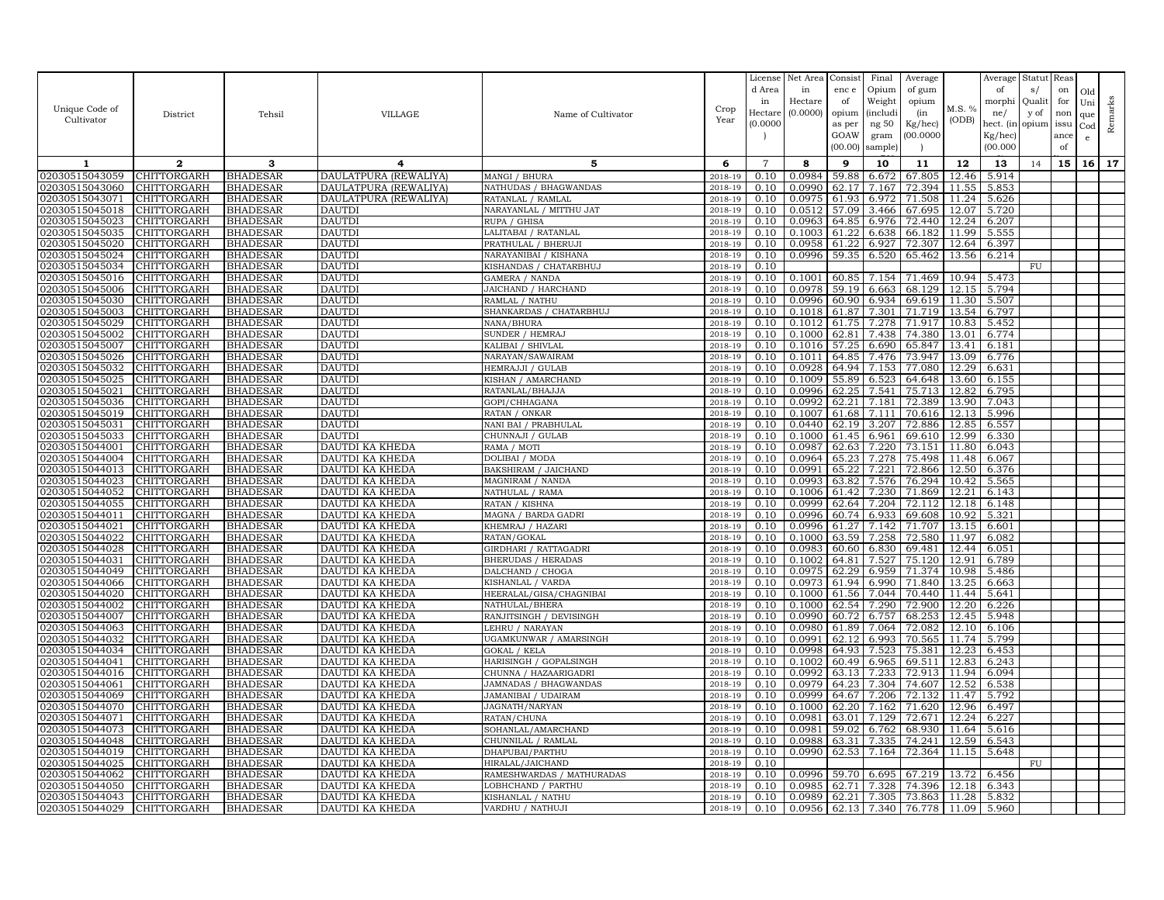| Unique Code of<br>Cultivator     | District                          | Tehsil                             | <b>VILLAGE</b>                     | Name of Cultivator                              | Crop<br>Year       | License<br>d Area<br>in<br>Hectare<br>(0.0000) | Net Area<br>in<br>Hectare<br>(0.0000) | Consist<br>enc e<br>of<br>opium<br>as per<br>GOAW<br>(00.00) | Final<br>Opium<br>Weight<br><i>(includi</i><br>ng $50\,$<br>gram<br>sample) | Average<br>of gum<br>opium<br>(in<br>Kg/hec)<br>00.000C | M.S. %<br>(ODB) | Average<br>of<br>morphi<br>ne/<br>hect. (in<br>Kg/hec)<br>(00.000) | Statut<br>s/<br>Quali<br>y of<br>opium | Reas<br>on<br>for<br>non<br>issu<br>ance<br>of | Old<br>Uni<br>que<br>Cod<br>e | Remarks |
|----------------------------------|-----------------------------------|------------------------------------|------------------------------------|-------------------------------------------------|--------------------|------------------------------------------------|---------------------------------------|--------------------------------------------------------------|-----------------------------------------------------------------------------|---------------------------------------------------------|-----------------|--------------------------------------------------------------------|----------------------------------------|------------------------------------------------|-------------------------------|---------|
| 1                                | $\mathbf{2}$                      | 3                                  | 4                                  | 5                                               | 6                  | $\overline{7}$                                 | 8                                     | 9                                                            | 10                                                                          | 11                                                      | 12              | 13                                                                 | 14                                     | 15                                             |                               | 16 17   |
| 02030515043059                   | CHITTORGARH                       | <b>BHADESAR</b>                    | DAULATPURA (REWALIYA)              | MANGI / BHURA                                   | 2018-19            | 0.10                                           | 0.0984                                | 59.88                                                        | 6.672                                                                       | 67.805                                                  | 12.46           | 5.914                                                              |                                        |                                                |                               |         |
| 02030515043060                   | CHITTORGARH                       | <b>BHADESAR</b>                    | DAULATPURA (REWALIYA               | NATHUDAS / BHAGWANDAS                           | 2018-19            | 0.10                                           | 0.0990                                | 62.17                                                        | 7.167                                                                       | 72.394                                                  | 11.55           | 5.853                                                              |                                        |                                                |                               |         |
| 02030515043071                   | CHITTORGARH                       | <b>BHADESAR</b>                    | DAULATPURA (REWALIYA)              | RATANLAL / RAMLAI                               | 2018-19            | 0.10                                           | 0.0975                                | 61.93                                                        | 6.972                                                                       | 71.508                                                  | 11.24           | 5.626                                                              |                                        |                                                |                               |         |
| 02030515045018                   | CHITTORGARH                       | <b>BHADESAR</b>                    | <b>DAUTDI</b>                      | NARAYANLAL / MITTHU JAT                         | 2018-19            | 0.10                                           | 0.0512                                | 57.09                                                        | 3.466                                                                       | 67.695                                                  | 12.07           | 5.720                                                              |                                        |                                                |                               |         |
| 02030515045023                   | CHITTORGARH                       | <b>BHADESAR</b>                    | <b>DAUTDI</b>                      | RUPA / GHISA                                    | 2018-19            | 0.10                                           | 0.0963                                | 64.85                                                        | 6.976                                                                       | 72.440                                                  | 12.24           | 6.207                                                              |                                        |                                                |                               |         |
| 02030515045035                   | CHITTORGARH                       | <b>BHADESAR</b>                    | <b>DAUTDI</b>                      | LALITABAI / RATANLAL                            | 2018-19            | 0.10                                           | 0.1003                                | 61.22                                                        | 6.638                                                                       | 66.182                                                  | 11.99           | 5.555                                                              |                                        |                                                |                               |         |
| 02030515045020                   | <b>CHITTORGARH</b>                | <b>BHADESAR</b>                    | <b>DAUTDI</b>                      | PRATHULAL / BHERUJI                             | 2018-19            | 0.10                                           | 0.0958                                | 61.22                                                        | 6.927                                                                       | 72.307                                                  | 12.64           | 6.397                                                              |                                        |                                                |                               |         |
| 02030515045024                   | CHITTORGARH                       | <b>BHADESAR</b>                    | <b>DAUTDI</b>                      | NARAYANIBAI / KISHANA                           | 2018-19            | 0.10                                           | 0.0996                                | 59.35                                                        | 6.520                                                                       | 65.462                                                  | 13.56           | 6.214                                                              |                                        |                                                |                               |         |
| 02030515045034                   | <b>CHITTORGARH</b>                | <b>BHADESAR</b>                    | <b>DAUTDI</b>                      | KISHANDAS / CHATARBHUJ                          | 2018-19            | 0.10                                           |                                       |                                                              |                                                                             |                                                         |                 |                                                                    | FU                                     |                                                |                               |         |
| 02030515045016<br>02030515045006 | CHITTORGARH                       | <b>BHADESAR</b>                    | <b>DAUTDI</b>                      | <b>GAMERA / NANDA</b>                           | 2018-19            | 0.10                                           | 0.1001                                | 60.85<br>59.19                                               | 7.154                                                                       | 71.469                                                  | 10.94           | 5.473                                                              |                                        |                                                |                               |         |
| 02030515045030                   | <b>CHITTORGARH</b><br>CHITTORGARH | <b>BHADESAR</b><br><b>BHADESAR</b> | <b>DAUTDI</b><br><b>DAUTDI</b>     | JAICHAND / HARCHAND<br>RAMLAL / NATHU           | 2018-19<br>2018-19 | 0.10<br>0.10                                   | 0.0978<br>0.0996                      | 60.90                                                        | 6.663<br>6.934                                                              | 68.129<br>69.619                                        | 12.15<br>11.30  | 5.794<br>5.507                                                     |                                        |                                                |                               |         |
| 02030515045003                   | CHITTORGARH                       | <b>BHADESAR</b>                    | <b>DAUTDI</b>                      | SHANKARDAS / CHATARBHUJ                         | 2018-19            | 0.10                                           | 0.1018                                | 61.87                                                        | 7.301                                                                       | 71.719                                                  | 13.54           | 6.797                                                              |                                        |                                                |                               |         |
| 02030515045029                   | CHITTORGARH                       | <b>BHADESAR</b>                    | <b>DAUTDI</b>                      | NANA/BHURA                                      | 2018-19            | 0.10                                           | 0.1012                                | 61.75                                                        | 7.278                                                                       | 71.917                                                  | 10.83           | 5.452                                                              |                                        |                                                |                               |         |
| 02030515045002                   | CHITTORGARH                       | <b>BHADESAR</b>                    | <b>DAUTD</b>                       | SUNDER / HEMRAJ                                 | 2018-19            | 0.10                                           | 0.1000                                | 62.81                                                        | 7.438                                                                       | 74.380                                                  | 13.01           | 6.774                                                              |                                        |                                                |                               |         |
| 02030515045007                   | CHITTORGARH                       | <b>BHADESAR</b>                    | <b>DAUTDI</b>                      | KALIBAI / SHIVLAL                               | 2018-19            | 0.10                                           | 0.1016                                | 57.25                                                        | 6.690                                                                       | 65.847                                                  | 13.41           | 6.181                                                              |                                        |                                                |                               |         |
| 02030515045026                   | <b>CHITTORGARH</b>                | <b>BHADESAR</b>                    | <b>DAUTD</b>                       | NARAYAN/SAWAIRAM                                | 2018-19            | 0.10                                           | 0.1011                                | 64.85                                                        | 7.476                                                                       | 73.947                                                  | 13.09           | 6.776                                                              |                                        |                                                |                               |         |
| 02030515045032                   | <b>CHITTORGARH</b>                | <b>BHADESAR</b>                    | <b>DAUTDI</b>                      | HEMRAJJI / GULAB                                | 2018-19            | 0.10                                           | 0.0928                                | 64.94                                                        | 7.153                                                                       | 77.080                                                  | 12.29           | 6.631                                                              |                                        |                                                |                               |         |
| 02030515045025                   | CHITTORGARH                       | <b>BHADESAR</b>                    | <b>DAUTD</b>                       | KISHAN / AMARCHAND                              | 2018-19            | 0.10                                           | 0.1009                                | 55.89                                                        | 6.523                                                                       | 64.648                                                  | 13.60           | 6.155                                                              |                                        |                                                |                               |         |
| 02030515045021                   | CHITTORGARH                       | <b>BHADESAR</b>                    | <b>DAUTD</b>                       | RATANLAL/BHAJJA                                 | 2018-19            | 0.10                                           | 0.0996                                | 62.25                                                        | 7.541                                                                       | 75.713                                                  | 12.82           | 6.795                                                              |                                        |                                                |                               |         |
| 02030515045036                   | CHITTORGARH                       | <b>BHADESAR</b>                    | <b>DAUTDI</b>                      | GOPI/CHHAGANA                                   | 2018-19            | 0.10                                           | 0.0992                                | 62.21                                                        | 7.181                                                                       | 72.389                                                  | 13.90           | 7.043                                                              |                                        |                                                |                               |         |
| 02030515045019                   | CHITTORGARH                       | <b>BHADESAR</b>                    | <b>DAUTDI</b>                      | RATAN / ONKAR                                   | 2018-19            | 0.10                                           | 0.1007                                | 61.68                                                        | 7.111                                                                       | 70.616                                                  | 12.13           | 5.996                                                              |                                        |                                                |                               |         |
| 02030515045031                   | CHITTORGARH                       | <b>BHADESAR</b>                    | <b>DAUTD</b>                       | NANI BAI / PRABHULAL                            | 2018-19            | 0.10                                           | 0.0440                                | 62.19                                                        | 3.207                                                                       | 72.886                                                  | 12.85           | 6.557                                                              |                                        |                                                |                               |         |
| 02030515045033                   | CHITTORGARH                       | <b>BHADESAR</b>                    | <b>DAUTDI</b>                      | CHUNNAJI / GULAB                                | 2018-19            | 0.10                                           | 0.1000                                | 61.45                                                        | 6.961                                                                       | 69.610                                                  | 12.99           | 6.330                                                              |                                        |                                                |                               |         |
| 02030515044001                   | CHITTORGARH                       | <b>BHADESAR</b>                    | DAUTDI KA KHEDA                    | RAMA / MOTI                                     | 2018-19            | 0.10                                           | 0.0987                                | 62.63                                                        | 7.220                                                                       | 73.151                                                  | 11.80           | 6.043                                                              |                                        |                                                |                               |         |
| 02030515044004<br>02030515044013 | CHITTORGARH<br>CHITTORGARH        | <b>BHADESAR</b><br><b>BHADESAR</b> | DAUTDI KA KHEDA<br>DAUTDI KA KHEDA | DOLIBAI / MODA                                  | 2018-19<br>2018-19 | 0.10<br>0.10                                   | 0.0964<br>0.0991                      | 65.23<br>65.22                                               | 7.278<br>7.221                                                              | 75.498<br>72.866                                        | 11.48<br>12.50  | 6.067<br>6.376                                                     |                                        |                                                |                               |         |
| 02030515044023                   | CHITTORGARH                       | <b>BHADESAR</b>                    | DAUTDI KA KHEDA                    | BAKSHIRAM / JAICHAND<br>MAGNIRAM / NANDA        | 2018-19            | 0.10                                           | 0.0993                                | 63.82                                                        | 7.576                                                                       | 76.294                                                  | 10.42           | 5.565                                                              |                                        |                                                |                               |         |
| 02030515044052                   | <b>CHITTORGARH</b>                | <b>BHADESAR</b>                    | DAUTDI KA KHEDA                    | NATHULAL / RAMA                                 | 2018-19            | 0.10                                           | 0.1006                                | 61.42                                                        | 7.230                                                                       | 71.869                                                  | 12.21           | 6.143                                                              |                                        |                                                |                               |         |
| 02030515044055                   | CHITTORGARH                       | <b>BHADESAR</b>                    | DAUTDI KA KHEDA                    | RATAN / KISHNA                                  | 2018-19            | 0.10                                           | 0.0999                                | 62.64                                                        | 7.204                                                                       | 72.112                                                  | 12.18           | 6.148                                                              |                                        |                                                |                               |         |
| 02030515044011                   | <b>CHITTORGARH</b>                | <b>BHADESAR</b>                    | DAUTDI KA KHEDA                    | MAGNA / BARDA GADRI                             | 2018-19            | 0.10                                           | 0.0996                                |                                                              | 60.74 6.933                                                                 | 69.608                                                  | 10.92           | 5.321                                                              |                                        |                                                |                               |         |
| 02030515044021                   | <b>CHITTORGARH</b>                | <b>BHADESAR</b>                    | <b>DAUTDI KA KHEDA</b>             | KHEMRAJ / HAZARI                                | 2018-19            | 0.10                                           | 0.0996                                | 61.27                                                        | 7.142                                                                       | 71.707                                                  | 13.15           | 6.601                                                              |                                        |                                                |                               |         |
| 02030515044022                   | <b>CHITTORGARH</b>                | <b>BHADESAR</b>                    | DAUTDI KA KHEDA                    | RATAN/GOKAL                                     | 2018-19            | 0.10                                           | 0.1000                                | 63.59                                                        | 7.258                                                                       | 72.580                                                  | 11.97           | 6.082                                                              |                                        |                                                |                               |         |
| 02030515044028                   | <b>CHITTORGARH</b>                | <b>BHADESAR</b>                    | DAUTDI KA KHEDA                    | GIRDHARI / RATTAGADRI                           | 2018-19            | 0.10                                           | 0.0983                                |                                                              | 60.60 6.830                                                                 | 69.481                                                  | 12.44           | 6.051                                                              |                                        |                                                |                               |         |
| 02030515044031                   | <b>CHITTORGARH</b>                | <b>BHADESAR</b>                    | DAUTDI KA KHEDA                    | <b>BHERUDAS / HERADAS</b>                       | 2018-19            | 0.10                                           | 0.1002                                | 64.81                                                        | 7.527                                                                       | 75.120                                                  | 12.91           | 6.789                                                              |                                        |                                                |                               |         |
| 02030515044049                   | <b>CHITTORGARH</b>                | <b>BHADESAR</b>                    | DAUTDI KA KHEDA                    | DALCHAND / CHOGA                                | 2018-19            | 0.10                                           | 0.0975                                | 62.29                                                        | 6.959                                                                       | 71.374                                                  | 10.98           | 5.486                                                              |                                        |                                                |                               |         |
| 02030515044066                   | CHITTORGARH                       | <b>BHADESAR</b>                    | DAUTDI KA KHEDA                    | KISHANLAL / VARDA                               | 2018-19            | 0.10                                           | 0.0973                                | 61.94                                                        | 6.990                                                                       | 71.840                                                  | 13.25           | 6.663                                                              |                                        |                                                |                               |         |
| 02030515044020                   | CHITTORGARH                       | <b>BHADESAR</b>                    | DAUTDI KA KHEDA                    | HEERALAL/GISA/CHAGNIBAI                         | 2018-19            | 0.10                                           | 0.1000                                | 61.56                                                        | 7.044                                                                       | 70.440                                                  | 11.44           | 5.641                                                              |                                        |                                                |                               |         |
| 02030515044002<br>02030515044007 | CHITTORGARH<br><b>CHITTORGARH</b> | <b>BHADESAR</b><br><b>BHADESAR</b> | DAUTDI KA KHEDA<br>DAUTDI KA KHEDA | NATHULAL/BHERA                                  | 2018-19<br>2018-19 | 0.10<br>0.10                                   | 0.1000<br>0.0990                      | 62.54<br>60.72                                               | 7.290                                                                       | 72.900                                                  | 12.20<br>12.45  | 6.226<br>5.948                                                     |                                        |                                                |                               |         |
| 02030515044063                   | CHITTORGARH                       | <b>BHADESAR</b>                    | DAUTDI KA KHEDA                    | RANJITSINGH / DEVISINGH<br>LEHRU / NARAYAN      | 2018-19            | 0.10                                           | 0.0980                                | 61.89                                                        | 6.757<br>7.064                                                              | 68.253<br>72.082                                        | 12.10           | 6.106                                                              |                                        |                                                |                               |         |
| 02030515044032                   | CHITTORGARH                       | <b>BHADESAR</b>                    | DAUTDI KA KHEDA                    | UGAMKUNWAR / AMARSINGH                          | 2018-19            | 0.10                                           | 0.0991                                | 62.12                                                        | 6.993                                                                       | 70.565                                                  | 11.74           | 5.799                                                              |                                        |                                                |                               |         |
| 02030515044034                   | CHITTORGARH                       | <b>BHADESAR</b>                    | DAUTDI KA KHEDA                    | GOKAL / KELA                                    | 2018-19            | 0.10                                           | 0.0998                                | 64.93                                                        | 7.523                                                                       | 75.381                                                  | 12.23           | 6.453                                                              |                                        |                                                |                               |         |
| 02030515044041                   | CHITTORGARH                       | <b>BHADESAR</b>                    | DAUTDI KA KHEDA                    | HARISINGH / GOPALSINGH                          | 2018-19            | 0.10                                           | 0.1002                                | 60.49                                                        | 6.965                                                                       | 69.511                                                  | 12.83           | 6.243                                                              |                                        |                                                |                               |         |
| 02030515044016                   | CHITTORGARH                       | <b>BHADESAR</b>                    | DAUTDI KA KHEDA                    | CHUNNA / HAZAARIGADRI                           | 2018-19            | 0.10                                           | 0.0992                                | 63.13                                                        | 7.233                                                                       | 72.913                                                  | 11.94           | 6.094                                                              |                                        |                                                |                               |         |
| 02030515044061                   | CHITTORGARH                       | <b>BHADESAR</b>                    | DAUTDI KA KHEDA                    | JAMNADAS / BHAGWANDAS                           | 2018-19            | 0.10                                           | 0.0979                                | 64.23                                                        | 7.304                                                                       | 74.607                                                  | 12.52           | 6.538                                                              |                                        |                                                |                               |         |
| 02030515044069                   | <b>CHITTORGARH</b>                | <b>BHADESAR</b>                    | DAUTDI KA KHEDA                    | JAMANIBAI / UDAIRAM                             | 2018-19            | 0.10                                           | 0.0999                                | 64.67                                                        | 7.206                                                                       | 72.132                                                  | 11.47           | 5.792                                                              |                                        |                                                |                               |         |
| 02030515044070                   | CHITTORGARH                       | <b>BHADESAR</b>                    | DAUTDI KA KHEDA                    | JAGNATH / NARYAN                                | 2018-19            | 0.10                                           | 0.1000                                | 62.20                                                        | 7.162                                                                       | 71.620                                                  | 12.96           | 6.497                                                              |                                        |                                                |                               |         |
| 02030515044071                   | CHITTORGARH                       | <b>BHADESAR</b>                    | DAUTDI KA KHEDA                    | RATAN/CHUNA                                     | 2018-19            | 0.10                                           | 0.0981                                | 63.01                                                        | 7.129                                                                       | 72.671                                                  | 12.24           | 6.227                                                              |                                        |                                                |                               |         |
| 02030515044073                   | CHITTORGARH                       | <b>BHADESAR</b>                    | DAUTDI KA KHEDA                    | SOHANLAL/AMARCHAND                              | 2018-19            | 0.10                                           | 0.0981                                | 59.02                                                        | 6.762                                                                       | 68.930                                                  | 11.64           | 5.616                                                              |                                        |                                                |                               |         |
| 02030515044048                   | <b>CHITTORGARH</b>                | <b>BHADESAR</b>                    | DAUTDI KA KHEDA                    | CHUNNILAL / RAMLAL                              | 2018-19            | 0.10                                           | 0.0988                                | 63.31                                                        | 7.335                                                                       | 74.241                                                  | 12.59           | 6.543                                                              |                                        |                                                |                               |         |
| 02030515044019                   | CHITTORGARH                       | <b>BHADESAR</b>                    | DAUTDI KA KHEDA                    | DHAPUBAI/PARTHU                                 | 2018-19            | 0.10                                           | 0.0990                                | 62.53                                                        | 7.164                                                                       | 72.364                                                  | 11.15           | 5.648                                                              |                                        |                                                |                               |         |
| 02030515044025                   | CHITTORGARH<br><b>CHITTORGARH</b> | <b>BHADESAR</b>                    | DAUTDI KA KHEDA                    | HIRALAL/JAICHAND                                | 2018-19            | 0.10                                           | 0.0996                                | 59.70                                                        | 6.695                                                                       | 67.219                                                  | 13.72           |                                                                    | FU                                     |                                                |                               |         |
| 02030515044062<br>02030515044050 | CHITTORGARH                       | <b>BHADESAR</b><br><b>BHADESAR</b> | DAUTDI KA KHEDA<br>DAUTDI KA KHEDA | RAMESHWARDAS / MATHURADAS<br>LOBHCHAND / PARTHU | 2018-19<br>2018-19 | 0.10<br>0.10                                   | 0.0985                                | 62.71                                                        | 7.328                                                                       | 74.396                                                  | 12.18           | 6.456<br>6.343                                                     |                                        |                                                |                               |         |
| 02030515044043                   | <b>CHITTORGARH</b>                | <b>BHADESAR</b>                    | DAUTDI KA KHEDA                    | KISHANLAL / NATHU                               | 2018-19            | 0.10                                           | 0.0989                                | 62.21                                                        | 7.305                                                                       | 73.863                                                  | 11.28           | 5.832                                                              |                                        |                                                |                               |         |
| 02030515044029                   | <b>CHITTORGARH</b>                | <b>BHADESAR</b>                    | DAUTDI KA KHEDA                    | VARDHU / NATHUJI                                | 2018-19            | 0.10                                           | 0.0956                                |                                                              |                                                                             | 62.13 7.340 76.778                                      | 11.09           | 5.960                                                              |                                        |                                                |                               |         |
|                                  |                                   |                                    |                                    |                                                 |                    |                                                |                                       |                                                              |                                                                             |                                                         |                 |                                                                    |                                        |                                                |                               |         |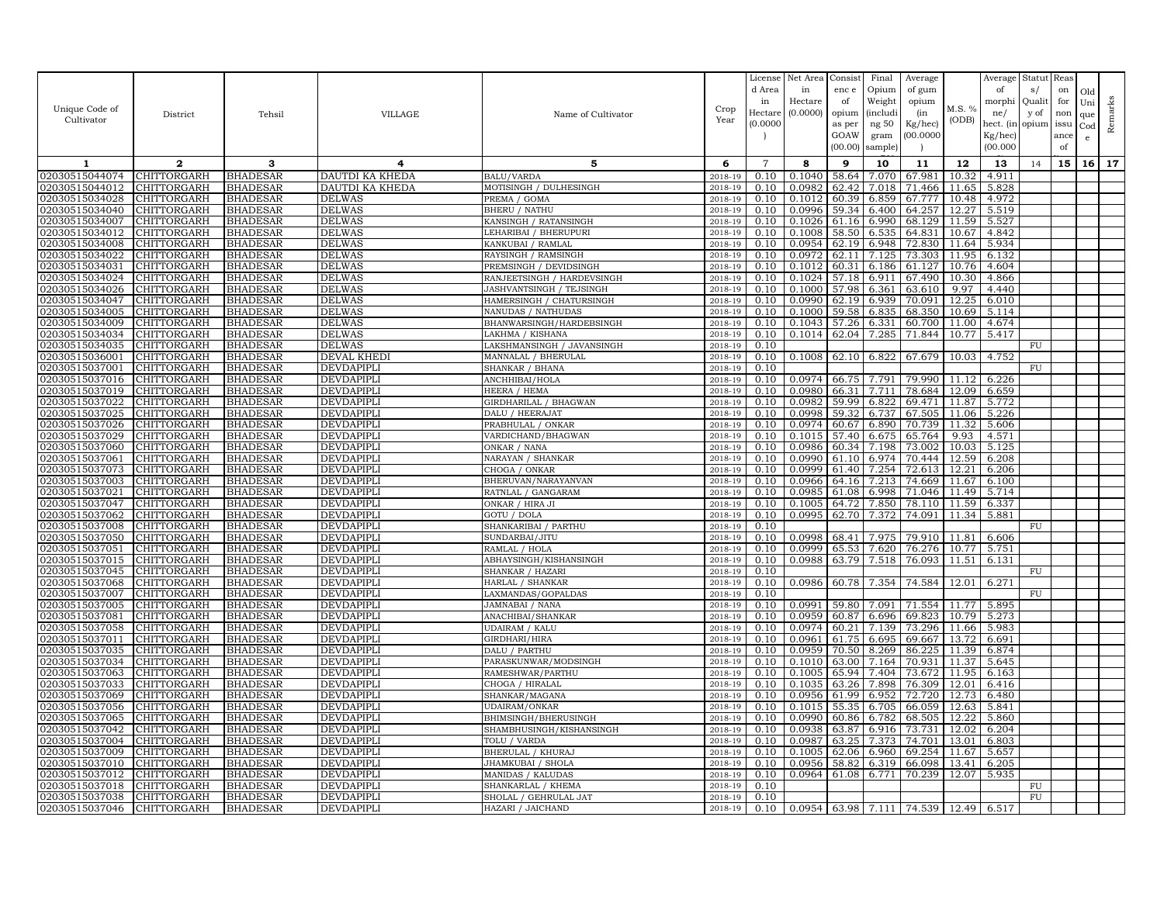|                                  |                                   |                                    |                                        |                                          |                        | License      | Net Area                                                 | Consist        | Final                | Average          |                | Average        | Statut      | Reas      |            |           |
|----------------------------------|-----------------------------------|------------------------------------|----------------------------------------|------------------------------------------|------------------------|--------------|----------------------------------------------------------|----------------|----------------------|------------------|----------------|----------------|-------------|-----------|------------|-----------|
|                                  |                                   |                                    |                                        |                                          |                        | d Area<br>in | in<br>Hectare                                            | enc e<br>of    | Opium<br>Weight      | of gum<br>opium  |                | of<br>morphi   | s/<br>Quali | on<br>for | Old        |           |
| Unique Code of                   | District                          | Tehsil                             | <b>VILLAGE</b>                         | Name of Cultivator                       | Crop                   | Hectare      | (0.0000)                                                 | opium          | <i>(includi</i>      | (in              | M.S. %         | ne/            | y of        | non       | Uni<br>que | Remarks   |
| Cultivator                       |                                   |                                    |                                        |                                          | Year                   | (0.0000)     |                                                          | as per         | ng $50\,$            | Kg/hec)          | (ODB)          | hect. (in      | opium       | issu      | Cod        |           |
|                                  |                                   |                                    |                                        |                                          |                        |              |                                                          | GOAW           | gram                 | (00.0000)        |                | $Kg/$ hec)     |             | ance      | $\epsilon$ |           |
|                                  |                                   |                                    |                                        |                                          |                        |              |                                                          | (00.00)        | sample)              |                  |                | (00.000)       |             | of        |            |           |
| 1                                | $\mathbf{2}$                      | з                                  | 4                                      | 5                                        | 6                      | 7            | 8                                                        | 9              | 10                   | 11               | 12             | 13             | 14          | 15        |            | $16$   17 |
| 02030515044074                   | <b>CHITTORGARH</b>                | <b>BHADESAR</b>                    | DAUTDI KA KHEDA                        | <b>BALU/VARDA</b>                        | 2018-19                | 0.10         | 0.1040                                                   | 58.64          | 7.070                | 67.981           | 10.32          | 4.911          |             |           |            |           |
| 02030515044012                   | CHITTORGARH                       | <b>BHADESAR</b>                    | DAUTDI KA KHEDA                        | MOTISINGH / DULHESINGH                   | 2018-19                | 0.10         | 0.0982                                                   | 62.42          | 7.018                | 71.466           | 11.65          | 5.828          |             |           |            |           |
| 02030515034028                   | CHITTORGARH                       | <b>BHADESAR</b>                    | <b>DELWAS</b>                          | PREMA / GOMA                             | 2018-19                | 0.10         | 0.1012                                                   | 60.39          | 6.859                | 67.777           | 10.48          | 4.972          |             |           |            |           |
| 02030515034040                   | <b>CHITTORGARH</b>                | <b>BHADESAR</b>                    | <b>DELWAS</b>                          | <b>BHERU / NATHU</b>                     | 2018-19                | 0.10         | 0.0996                                                   | 59.34          | 6.400                | 64.257           | 12.27          | 5.519          |             |           |            |           |
| 02030515034007                   | CHITTORGARH                       | <b>BHADESAR</b>                    | <b>DELWAS</b>                          | KANSINGH / RATANSINGH                    | 2018-19                | 0.10         | 0.1026                                                   | 61.16          | 6.990                | 68.129           | 11.59          | 5.527          |             |           |            |           |
| 02030515034012                   | CHITTORGARH                       | <b>BHADESAR</b>                    | <b>DELWAS</b>                          | LEHARIBAI / BHERUPURI                    | 2018-19                | 0.10         | 0.1008                                                   | 58.50          | 6.535                | 64.831           | 10.67          | 4.842          |             |           |            |           |
| 02030515034008<br>02030515034022 | <b>CHITTORGARH</b><br>CHITTORGARH | <b>BHADESAR</b><br><b>BHADESAR</b> | <b>DELWAS</b><br><b>DELWAS</b>         | KANKUBAI / RAMLAL<br>RAYSINGH / RAMSINGH | 2018-19<br>2018-19     | 0.10<br>0.10 | 0.0954<br>0.0972                                         | 62.11          | 62.19 6.948<br>7.125 | 72.830<br>73.303 | 11.64<br>11.95 | 5.934<br>6.132 |             |           |            |           |
| 02030515034031                   | <b>CHITTORGARH</b>                | <b>BHADESAR</b>                    | <b>DELWAS</b>                          | PREMSINGH / DEVIDSINGH                   | 2018-19                | 0.10         | 0.1012                                                   | 60.31          | 6.186                | 61.127           | 10.76          | 4.604          |             |           |            |           |
| 02030515034024                   | CHITTORGARH                       | <b>BHADESAR</b>                    | <b>DELWAS</b>                          | RANJEETSINGH / HARDEVSINGH               | 2018-19                | 0.10         | 0.1024                                                   | 57.18          | 6.911                | 67.490           | 10.30          | 4.866          |             |           |            |           |
| 02030515034026                   | CHITTORGARH                       | <b>BHADESAR</b>                    | <b>DELWAS</b>                          | JASHVANTSINGH / TEJSINGH                 | 2018-19                | 0.10         | 0.1000                                                   | 57.98          | 6.361                | 63.610           | 9.97           | 4.440          |             |           |            |           |
| 02030515034047                   | CHITTORGARH                       | <b>BHADESAR</b>                    | <b>DELWAS</b>                          | HAMERSINGH / CHATURSINGH                 | 2018-19                | 0.10         | 0.0990                                                   | 62.19          | 6.939                | 70.091           | 12.25          | 6.010          |             |           |            |           |
| 02030515034005                   | CHITTORGARH                       | <b>BHADESAR</b>                    | <b>DELWAS</b>                          | NANUDAS / NATHUDAS                       | 2018-19                | 0.10         | 0.1000                                                   | 59.58          | 6.835                | 68.350           | 10.69          | 5.114          |             |           |            |           |
| 02030515034009                   | CHITTORGARH                       | <b>BHADESAR</b>                    | <b>DELWAS</b>                          | BHANWARSINGH/HARDEBSINGH                 | 2018-19                | 0.10         | 0.1043                                                   | 57.26          | 6.331                | 60.700           | 11.00          | 4.674          |             |           |            |           |
| 02030515034034                   | CHITTORGARH                       | <b>BHADESAR</b>                    | <b>DELWAS</b>                          | LAKHMA / KISHANA                         | 2018-19                | 0.10         | 0.1014                                                   |                | 62.04 7.285          | 71.844           | 10.77          | 5.417          |             |           |            |           |
| 02030515034035                   | CHITTORGARH                       | <b>BHADESAR</b>                    | <b>DELWAS</b>                          | LAKSHMANSINGH / JAVANSINGH               | 2018-19                | 0.10         |                                                          |                |                      |                  |                |                | FU          |           |            |           |
| 02030515036001                   | CHITTORGARH                       | <b>BHADESAR</b>                    | DEVAL KHEDI                            | MANNALAL / BHERULAL                      | 2018-19                | 0.10         | 0.1008                                                   | 62.10          | 6.822                | 67.679           | 10.03          | 4.752          |             |           |            |           |
| 02030515037001                   | <b>CHITTORGARH</b>                | <b>BHADESAR</b>                    | <b>DEVDAPIPLI</b>                      | SHANKAR / BHANA                          | 2018-19                | 0.10         |                                                          |                |                      |                  |                |                | FU          |           |            |           |
| 02030515037016                   | CHITTORGARH                       | <b>BHADESAR</b>                    | DEVDAPIPLI                             | ANCHHIBAI/HOLA                           | 2018-19                | 0.10         | 0.0974                                                   | 66.75          | 7.791                | 79.990           | 11.12          | 6.226          |             |           |            |           |
| 02030515037019                   | <b>CHITTORGARH</b>                | <b>BHADESAR</b>                    | <b>DEVDAPIPLI</b>                      | HEERA / HEMA                             | 2018-19                | 0.10         | 0.0980                                                   | 66.31          | 7.711                | 78.684           | 12.09          | 6.659          |             |           |            |           |
| 02030515037022                   | CHITTORGARH                       | <b>BHADESAR</b>                    | DEVDAPIPLI                             | GIRDHARILAL / BHAGWAN                    | 2018-19                | 0.10         | 0.0982                                                   | 59.99          | 6.822                | 69.471           | 11.87          | 5.772          |             |           |            |           |
| 02030515037025                   | CHITTORGARH                       | <b>BHADESAR</b>                    | <b>DEVDAPIPLI</b>                      | DALU / HEERAJAT                          | 2018-19                | 0.10         | 0.0998                                                   | 59.32          | 6.737                | 67.505           | 11.06          | 5.226          |             |           |            |           |
| 02030515037026<br>02030515037029 | CHITTORGARH<br>CHITTORGARH        | <b>BHADESAR</b>                    | DEVDAPIPLI                             | PRABHULAL / ONKAR                        | 2018-19<br>2018-19     | 0.10<br>0.10 | 0.0974<br>0.1015                                         | 60.67<br>57.40 | 6.890<br>6.675       | 70.739<br>65.764 | 11.32<br>9.93  | 5.606<br>4.571 |             |           |            |           |
| 02030515037060                   | <b>CHITTORGARH</b>                | <b>BHADESAR</b><br><b>BHADESAR</b> | <b>DEVDAPIPLI</b><br><b>DEVDAPIPLI</b> | VARDICHAND/BHAGWAN<br>ONKAR / NANA       | 2018-19                | 0.10         | 0.0986                                                   | 60.34          | 7.198                | 73.002           | 10.03          | 5.125          |             |           |            |           |
| 02030515037061                   | CHITTORGARH                       | <b>BHADESAR</b>                    | <b>DEVDAPIPLI</b>                      | NARAYAN / SHANKAR                        | 2018-19                | 0.10         | 0.0990                                                   |                | 61.10 6.974          | 70.444           | 12.59          | 6.208          |             |           |            |           |
| 02030515037073                   | <b>CHITTORGARH</b>                | <b>BHADESAR</b>                    | <b>DEVDAPIPLI</b>                      | CHOGA / ONKAR                            | 2018-19                | 0.10         | 0.0999                                                   |                | 61.40 7.254          | 72.613           | 12.21          | 6.206          |             |           |            |           |
| 02030515037003                   | CHITTORGARH                       | <b>BHADESAR</b>                    | <b>DEVDAPIPLI</b>                      | BHERUVAN/NARAYANVAN                      | 2018-19                | 0.10         | 0.0966                                                   | 64.16          | 7.213                | 74.669           |                | 11.67 6.100    |             |           |            |           |
| 02030515037021                   | CHITTORGARH                       | <b>BHADESAR</b>                    | <b>DEVDAPIPLI</b>                      | RATNLAL / GANGARAM                       | 2018-19                | 0.10         | 0.0985                                                   | 61.08          | 6.998                | 71.046           | 11.49          | 5.714          |             |           |            |           |
| 02030515037047                   | CHITTORGARH                       | <b>BHADESAR</b>                    | <b>DEVDAPIPLI</b>                      | ONKAR / HIRA JI                          | 2018-19                | 0.10         | 0.1005                                                   | 64.72          | 7.850                | 78.110           | 11.59          | 6.337          |             |           |            |           |
| 02030515037062                   | CHITTORGARH                       | <b>BHADESAR</b>                    | <b>DEVDAPIPLI</b>                      | GOTU / DOLA                              | 2018-19                | 0.10         | 0.0995                                                   |                | 62.70 7.372          | 74.091           | 11.34          | 5.881          |             |           |            |           |
| 02030515037008                   | <b>CHITTORGARH</b>                | <b>BHADESAR</b>                    | <b>DEVDAPIPLI</b>                      | SHANKARIBAI / PARTHU                     | 2018-19                | 0.10         |                                                          |                |                      |                  |                |                | FU          |           |            |           |
| 02030515037050                   | CHITTORGARH                       | <b>BHADESAR</b>                    | <b>DEVDAPIPLI</b>                      | SUNDARBAI/JITU                           | 2018-19                | 0.10         | 0.0998                                                   | 68.41          | 7.975                | 79.910           | 11.81          | 6.606          |             |           |            |           |
| 02030515037051                   | <b>CHITTORGARH</b>                | <b>BHADESAR</b>                    | <b>DEVDAPIPLI</b>                      | RAMLAL / HOLA                            | 2018-19                | 0.10         | 0.0999                                                   | 65.53          | 7.620                | 76.276           | 10.77          | 5.751          |             |           |            |           |
| 02030515037015                   | CHITTORGARH                       | <b>BHADESAR</b>                    | DEVDAPIPLI                             | ABHAYSINGH/KISHANSINGH                   | 2018-19                | 0.10         | 0.0988                                                   | 63.79          | 7.518                | 76.093           | 11.51          | 6.131          |             |           |            |           |
| 02030515037045                   | CHITTORGARH                       | <b>BHADESAR</b>                    | <b>DEVDAPIPLI</b>                      | SHANKAR / HAZARI                         | 2018-19                | 0.10         |                                                          |                |                      |                  |                |                | FU          |           |            |           |
| 02030515037068                   | CHITTORGARH                       | <b>BHADESAR</b>                    | <b>DEVDAPIPLI</b>                      | HARLAL / SHANKAR                         | 2018-19<br>2018-19     | 0.10         | 0.0986                                                   | 60.78          | 7.354                | 74.584           | 12.01          | 6.271          | FU          |           |            |           |
| 02030515037007<br>02030515037005 | CHITTORGARH<br>CHITTORGARH        | <b>BHADESAR</b><br><b>BHADESAR</b> | <b>DEVDAPIPLI</b><br>DEVDAPIPLI        | LAXMANDAS/GOPALDAS<br>JAMNABAI / NANA    | 2018-19                | 0.10<br>0.10 | 0.0991                                                   | 59.80          | 7.091                | 71.554           | 11.77          | 5.895          |             |           |            |           |
| 02030515037081                   | CHITTORGARH                       | <b>BHADESAR</b>                    | <b>DEVDAPIPLI</b>                      | ANACHIBAI/SHANKAR                        | 2018-19                | 0.10         | 0.0959                                                   | 60.87          | 6.696                | 69.823           | 10.79          | 5.273          |             |           |            |           |
| 02030515037058                   | <b>CHITTORGARH</b>                | <b>BHADESAR</b>                    | <b>DEVDAPIPLI</b>                      | <b>UDAIRAM / KALU</b>                    | 2018-19                | 0.10         | 0.0974                                                   | 60.21          | 7.139                | 73.296           | 11.66          | 5.983          |             |           |            |           |
| 02030515037011                   | CHITTORGARH                       | <b>BHADESAR</b>                    | <b>DEVDAPIPLI</b>                      | GIRDHARI/HIRA                            | 2018-19                | 0.10         | 0.0961                                                   |                | 61.75 6.695          | 69.667           | 13.72          | 6.691          |             |           |            |           |
| 02030515037035                   | <b>CHITTORGARH</b>                | <b>BHADESAR</b>                    | DEVDAPIPLI                             | DALU / PARTHU                            | 2018-19                | 0.10         | 0.0959                                                   |                | 70.50 8.269          | 86.225           | 11.39          | 6.874          |             |           |            |           |
| 02030515037034                   | CHITTORGARH                       | <b>BHADESAR</b>                    | DEVDAPIPLI                             | PARASKUNWAR/MODSINGH                     | 2018-19                | 0.10         | 0.1010                                                   | 63.00          | 7.164                | 70.931           | 11.37          | 5.645          |             |           |            |           |
| 02030515037063                   | CHITTORGARH                       | <b>BHADESAR</b>                    | <b>DEVDAPIPLI</b>                      | RAMESHWAR/PARTHU                         | 2018-19                | 0.10         | 0.1005                                                   | 65.94          | 7.404                | 73.672           | 11.95          | 6.163          |             |           |            |           |
| 02030515037033                   | CHITTORGARH                       | <b>BHADESAR</b>                    | <b>DEVDAPIPLI</b>                      | CHOGA / HIRALAL                          | 2018-19                | 0.10         | 0.1035                                                   | 63.26          | 7.898                | 76.309           | 12.01          | 6.416          |             |           |            |           |
| 02030515037069                   | CHITTORGARH                       | <b>BHADESAR</b>                    | DEVDAPIPLI                             | SHANKAR/MAGANA                           | 2018-19                | 0.10         | 0.0956                                                   | 61.99          | 6.952                | 72.720           | 12.73          | 6.480          |             |           |            |           |
| 02030515037056                   | CHITTORGARH                       | <b>BHADESAR</b>                    | DEVDAPIPLI                             | <b>UDAIRAM/ONKAR</b>                     | 2018-19                | 0.10         | 0.1015                                                   | 55.35          | 6.705                | 66.059           | 12.63          | 5.841          |             |           |            |           |
| 02030515037065                   | CHITTORGARH                       | <b>BHADESAR</b>                    | DEVDAPIPLI                             | BHIMSINGH/BHERUSINGH                     | 2018-19                | 0.10         | 0.0990                                                   | 60.86          | 6.782                | 68.505           | 12.22          | 5.860          |             |           |            |           |
| 02030515037042<br>02030515037004 | <b>CHITTORGARH</b><br>CHITTORGARH | <b>BHADESAR</b><br><b>BHADESAR</b> | <b>DEVDAPIPLI</b><br><b>DEVDAPIPLI</b> | SHAMBHUSINGH/KISHANSINGH<br>TOLU / VARDA | 2018-19<br>$2018 - 19$ | 0.10<br>0.10 | 0.0938<br>0.0987                                         | 63.87<br>63.25 | 6.916<br>7.373       | 73.731<br>74.701 | 12.02<br>13.01 | 6.204<br>6.803 |             |           |            |           |
| 02030515037009                   | CHITTORGARH                       | <b>BHADESAR</b>                    | <b>DEVDAPIPLI</b>                      | <b>BHERULAL / KHURAJ</b>                 | 2018-19                | 0.10         | 0.1005                                                   | 62.06          | 6.960                | 69.254           | 11.67          | 5.657          |             |           |            |           |
| 02030515037010                   | CHITTORGARH                       | <b>BHADESAR</b>                    | <b>DEVDAPIPLI</b>                      | JHAMKUBAI / SHOLA                        | 2018-19                | 0.10         | 0.0956                                                   | 58.82          | 6.319                | 66.098           | 13.41          | 6.205          |             |           |            |           |
| 02030515037012                   | <b>CHITTORGARH</b>                | <b>BHADESAR</b>                    | <b>DEVDAPIPLI</b>                      | <b>MANIDAS / KALUDAS</b>                 | 2018-19                | 0.10         | 0.0964                                                   | 61.08          | 6.771                | 70.239           | 12.07          | 5.935          |             |           |            |           |
| 02030515037018                   | <b>CHITTORGARH</b>                | <b>BHADESAR</b>                    | DEVDAPIPLI                             | SHANKARLAL / KHEMA                       | 2018-19                | 0.10         |                                                          |                |                      |                  |                |                | FU          |           |            |           |
| 02030515037038                   | <b>CHITTORGARH</b>                | <b>BHADESAR</b>                    | <b>DEVDAPIPLI</b>                      | SHOLAL / GEHRULAL JAT                    | 2018-19                | 0.10         |                                                          |                |                      |                  |                |                | FU          |           |            |           |
| 02030515037046 CHITTORGARH       |                                   | <b>BHADESAR</b>                    | <b>DEVDAPIPLI</b>                      | HAZARI / JAICHAND                        | 2018-19                |              | $0.10$   0.0954   63.98   7.111   74.539   12.49   6.517 |                |                      |                  |                |                |             |           |            |           |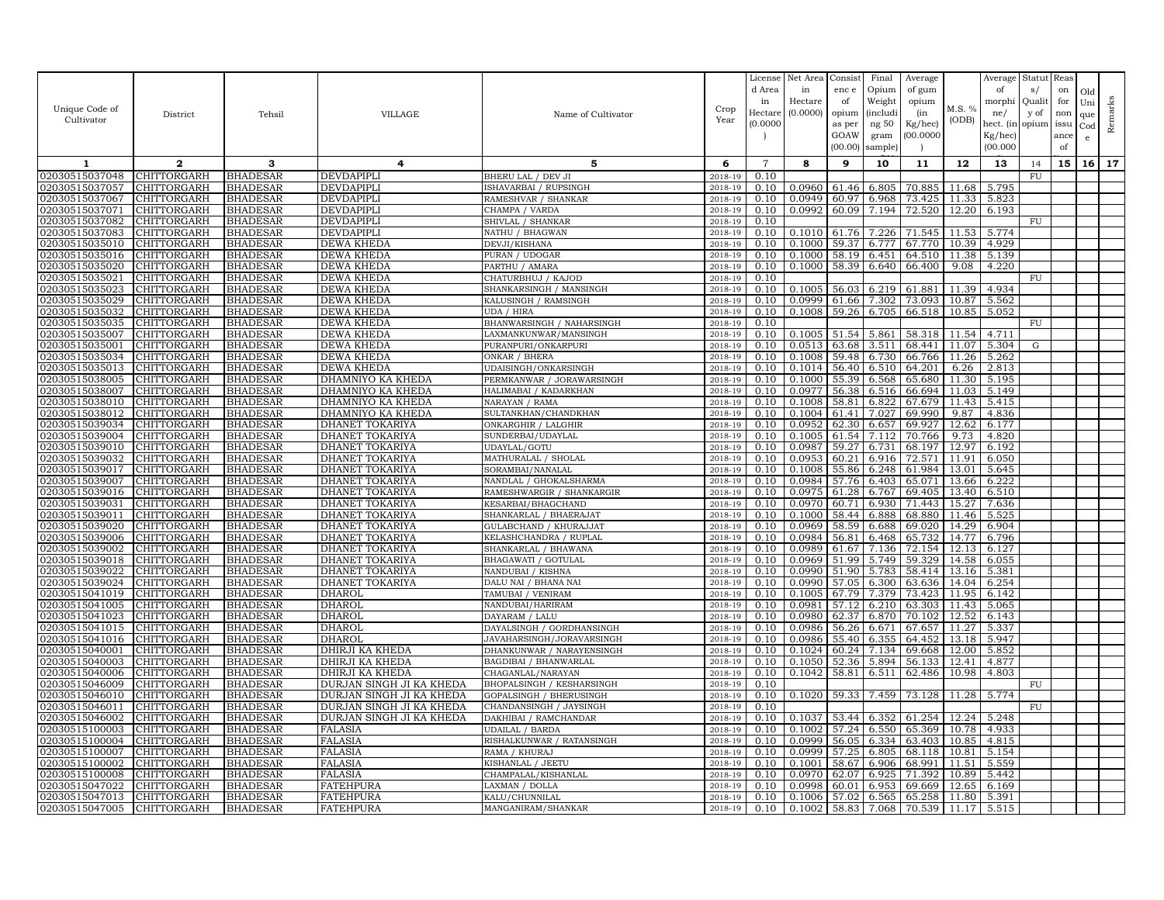|                                  |                            |                                    |                                                      |                                                     |                       | License      | Net Area         | Consist        | Final           | Average          |                | Average        | Statut       | Reas      |                 |         |
|----------------------------------|----------------------------|------------------------------------|------------------------------------------------------|-----------------------------------------------------|-----------------------|--------------|------------------|----------------|-----------------|------------------|----------------|----------------|--------------|-----------|-----------------|---------|
|                                  |                            |                                    |                                                      |                                                     |                       | d Area<br>in | in<br>Hectare    | enc e<br>of    | Opium<br>Weight | of gum<br>opium  |                | of<br>morphi   | s/<br>Qualit | on<br>for | Old             |         |
| Unique Code of                   | District                   | Tehsil                             | <b>VILLAGE</b>                                       | Name of Cultivator                                  | $\operatorname{Crop}$ | Hectar       | (0.0000)         | opium          | <i>(includ)</i> | (in              | M.S. %         | ne/            | y of         | non       | Uni<br>que      | Remarks |
| Cultivator                       |                            |                                    |                                                      |                                                     | Year                  | (0.000C)     |                  | as per         | ng 50           | Kg/hec)          | (ODB)          | hect. (in      | opium        | issu      | Cod             |         |
|                                  |                            |                                    |                                                      |                                                     |                       |              |                  | GOAW           | gram            | (00.0000)        |                | Kg/hec)        |              | ance      | e               |         |
|                                  |                            |                                    |                                                      |                                                     |                       |              |                  | (00.00)        | sample          | $\overline{ }$   |                | (00.000)       |              | of        |                 |         |
| 1                                | $\mathbf{2}$               | 3                                  | $\overline{4}$                                       | 5                                                   | 6                     | 7            | 8                | 9              | 10              | 11               | 12             | 13             | 14           | 15        | 16 <sup>1</sup> | 17      |
| 02030515037048                   | CHITTORGARH                | <b>BHADESAR</b>                    | DEVDAPIPLI                                           | BHERU LAL / DEV JI                                  | 2018-19               | 0.10         |                  |                |                 |                  |                |                | ${\rm FU}$   |           |                 |         |
| 02030515037057<br>02030515037067 | CHITTORGARH<br>CHITTORGARH | <b>BHADESAR</b><br><b>BHADESAR</b> | DEVDAPIPLI<br>DEVDAPIPLI                             | SHAVARBAI / RUPSINGH<br>RAMESHVAR / SHANKAR         | 2018-19<br>2018-19    | 0.10<br>0.10 | 0.0960<br>0.0949 | 61.46<br>60.97 | 6.805<br>6.968  | 70.885<br>73.425 | 11.68<br>11.33 | 5.795<br>5.823 |              |           |                 |         |
| 02030515037071                   | CHITTORGARH                | <b>BHADESAR</b>                    | DEVDAPIPLI                                           | CHAMPA / VARDA                                      | 2018-19               | 0.10         | 0.0992           | 60.09          | 7.194           | 72.520           | 12.20          | 6.193          |              |           |                 |         |
| 02030515037082                   | CHITTORGARH                | <b>BHADESAR</b>                    | <b>DEVDAPIPLI</b>                                    | SHIVLAL / SHANKAR                                   | 2018-19               | 0.10         |                  |                |                 |                  |                |                | FU           |           |                 |         |
| 02030515037083                   | CHITTORGARH                | <b>BHADESAR</b>                    | DEVDAPIPLI                                           | NATHU / BHAGWAN                                     | 2018-19               | 0.10         | 0.1010           | 61.76          | 7.226           | 71.545           | 11.53          | 5.774          |              |           |                 |         |
| 02030515035010                   | CHITTORGARH                | <b>BHADESAR</b>                    | DEWA KHEDA                                           | DEVJI/KISHANA                                       | 2018-19               | 0.10         | 0.1000           | 59.37          | 6.777           | 67.770           | 10.39          | 4.929          |              |           |                 |         |
| 02030515035016                   | CHITTORGARH                | <b>BHADESAR</b>                    | DEWA KHEDA                                           | PURAN / UDOGAR                                      | 2018-19               | 0.10         | 0.1000           | 58.19          | 6.451           | 64.510           | 11.38          | 5.139          |              |           |                 |         |
| 02030515035020                   | CHITTORGARH                | <b>BHADESAR</b>                    | DEWA KHEDA                                           | PARTHU / AMARA                                      | 2018-19               | 0.10         | 0.1000           | 58.39          | 6.640           | 66.400           | 9.08           | 4.220          |              |           |                 |         |
| 02030515035021                   | CHITTORGARH                | <b>BHADESAR</b>                    | DEWA KHEDA                                           | CHATURBHUJ / KAJOD                                  | 2018-19               | 0.10         |                  |                |                 |                  |                |                | FU           |           |                 |         |
| 02030515035023<br>02030515035029 | CHITTORGARH<br>CHITTORGARH | <b>BHADESAR</b><br><b>BHADESAR</b> | DEWA KHEDA<br>DEWA KHEDA                             | SHANKARSINGH / MANSINGH<br>KALUSINGH / RAMSINGH     | 2018-19<br>2018-19    | 0.10<br>0.10 | 0.1005<br>0.0999 | 56.03<br>61.66 | 6.219<br>7.302  | 61.881<br>73.093 | 11.39<br>10.87 | 4.934<br>5.562 |              |           |                 |         |
| 02030515035032                   | CHITTORGARH                | <b>BHADESAR</b>                    | <b>DEWA KHEDA</b>                                    | UDA / HIRA                                          | 2018-19               | 0.10         | 0.1008           | 59.26          | 6.705           | 66.518           | 10.85          | 5.052          |              |           |                 |         |
| 02030515035035                   | CHITTORGARH                | <b>BHADESAR</b>                    | DEWA KHEDA                                           | BHANWARSINGH / NAHARSINGH                           | 2018-19               | 0.10         |                  |                |                 |                  |                |                | ${\rm FU}$   |           |                 |         |
| 02030515035007                   | CHITTORGARH                | <b>BHADESAR</b>                    | DEWA KHEDA                                           | LAXMANKUNWAR/MANSINGH                               | 2018-19               | 0.10         | 0.1005           | 51.54          | 5.861           | 58.318           | 11.54          | 4.711          |              |           |                 |         |
| 02030515035001                   | CHITTORGARH                | <b>BHADESAR</b>                    | DEWA KHEDA                                           | PURANPURI/ONKARPURI                                 | 2018-19               | 0.10         | 0.0513           | 63.68          | 3.511           | 68.441           | 11.07          | 5.304          | G            |           |                 |         |
| 02030515035034                   | CHITTORGARH                | <b>BHADESAR</b>                    | DEWA KHEDA                                           | ONKAR / BHERA                                       | 2018-19               | 0.10         | 0.1008           | 59.48          | 6.730           | 66.766           | 11.26          | 5.262          |              |           |                 |         |
| 02030515035013                   | CHITTORGARH                | <b>BHADESAR</b>                    | DEWA KHEDA                                           | UDAISINGH/ONKARSINGH                                | 2018-19               | 0.10         | 0.1014           | 56.40          | 6.510           | 64.201           | 6.26           | 2.813          |              |           |                 |         |
| 02030515038005                   | CHITTORGARH                | <b>BHADESAR</b>                    | DHAMNIYO KA KHEDA                                    | PERMKANWAR / JORAWARSINGH                           | 2018-19               | 0.10         | 0.1000           | 55.39          | 6.568           | 65.680           | 11.30          | 5.195          |              |           |                 |         |
| 02030515038007                   | CHITTORGARH                | <b>BHADESAR</b>                    | DHAMNIYO KA KHEDA                                    | HALIMABAI / KADARKHAN                               | 2018-19               | 0.10         | 0.0977           | 56.38          | 6.516           | 66.694           | 11.03          | 5.149          |              |           |                 |         |
| 02030515038010<br>02030515038012 | CHITTORGARH<br>CHITTORGARH | <b>BHADESAR</b><br><b>BHADESAR</b> | DHAMNIYO KA KHEDA<br>DHAMNIYO KA KHEDA               | NARAYAN / RAMA<br>SULTANKHAN/CHANDKHAN              | 2018-19<br>2018-19    | 0.10<br>0.10 | 0.1008<br>0.1004 | 58.81<br>61.41 | 6.822<br>7.027  | 67.679<br>69.990 | 11.43<br>9.87  | 5.415<br>4.836 |              |           |                 |         |
| 02030515039034                   | CHITTORGARH                | <b>BHADESAR</b>                    | DHANET TOKARIYA                                      | ONKARGHIR / LALGHIR                                 | 2018-19               | 0.10         | 0.0952           | 62.30          | 6.657           | 69.927           | 12.62          | 6.177          |              |           |                 |         |
| 02030515039004                   | CHITTORGARH                | <b>BHADESAR</b>                    | <b>DHANET TOKARIYA</b>                               | SUNDERBAI/UDAYLAL                                   | 2018-19               | 0.10         | 0.1005           |                | 61.54 7.112     | 70.766           | 9.73           | 4.820          |              |           |                 |         |
| 02030515039010                   | CHITTORGARH                | <b>BHADESAR</b>                    | DHANET TOKARIYA                                      | UDAYLAL/GOTU                                        | 2018-19               | 0.10         | 0.0987           | 59.27          | 6.731           | 68.197           | 12.97          | 6.192          |              |           |                 |         |
| 02030515039032                   | CHITTORGARH                | <b>BHADESAR</b>                    | DHANET TOKARIYA                                      | MATHURALAL / SHOLAL                                 | 2018-19               | 0.10         | 0.0953           | 60.21          | 6.916           | 72.571           | 11.91          | 6.050          |              |           |                 |         |
| 02030515039017                   | CHITTORGARH                | <b>BHADESAR</b>                    | DHANET TOKARIYA                                      | SORAMBAI/NANALAL                                    | 2018-19               | 0.10         | 0.1008           | 55.86          | 6.248           | 61.984           | 13.01          | 5.645          |              |           |                 |         |
| 02030515039007                   | CHITTORGARH                | <b>BHADESAR</b>                    | DHANET TOKARIYA                                      | NANDLAL / GHOKALSHARMA                              | 2018-19               | 0.10         | 0.0984           | 57.76          | 6.403           | 65.071           | 13.66          | 6.222          |              |           |                 |         |
| 02030515039016                   | CHITTORGARH                | <b>BHADESAR</b>                    | DHANET TOKARIYA                                      | RAMESHWARGIR / SHANKARGIR                           | 2018-19               | 0.10         | 0.0975           | 61.28          | 6.767           | 69.405           | 13.40          | 6.510          |              |           |                 |         |
| 02030515039031<br>02030515039011 | CHITTORGARH<br>CHITTORGARH | <b>BHADESAR</b><br><b>BHADESAR</b> | DHANET TOKARIYA<br>DHANET TOKARIYA                   | <b>KESARBAI/BHAGCHAND</b><br>SHANKARLAL / BHAERAJAT | 2018-19<br>2018-19    | 0.10<br>0.10 | 0.0970<br>0.1000 | 60.71<br>58.44 | 6.930<br>6.888  | 71.443<br>68.880 | 15.27<br>11.46 | 7.636<br>5.525 |              |           |                 |         |
| 02030515039020                   | CHITTORGARH                | <b>BHADESAR</b>                    | <b>DHANET TOKARIYA</b>                               | GULABCHAND / KHURAJJAT                              | 2018-19               | 0.10         | 0.0969           | 58.59          | 6.688           | 69.020           | 14.29          | 6.904          |              |           |                 |         |
| 02030515039006                   | CHITTORGARH                | <b>BHADESAR</b>                    | DHANET TOKARIYA                                      | KELASHCHANDRA / RUPLAL                              | 2018-19               | 0.10         | 0.0984           | 56.81          | 6.468           | 65.732           | 14.77          | 6.796          |              |           |                 |         |
| 02030515039002                   | CHITTORGARH                | <b>BHADESAR</b>                    | DHANET TOKARIYA                                      | SHANKARLAL / BHAWANA                                | 2018-19               | 0.10         | 0.0989           | 61.67          | 7.136           | 72.154           | 12.13          | 6.127          |              |           |                 |         |
| 02030515039018                   | CHITTORGARH                | <b>BHADESAR</b>                    | DHANET TOKARIYA                                      | BHAGAWATI / GOTULAL                                 | 2018-19               | 0.10         | 0.0969           | 51.99          | 5.749           | 59.329           | 14.58          | 6.055          |              |           |                 |         |
| 02030515039022                   | CHITTORGARH                | <b>BHADESAR</b>                    | DHANET TOKARIYA                                      | NANDUBAI / KISHNA                                   | 2018-19               | 0.10         | 0.0990           | 51.90          | 5.783           | 58.414           | 13.16          | 5.381          |              |           |                 |         |
| 02030515039024                   | CHITTORGARH                | <b>BHADESAR</b>                    | DHANET TOKARIYA                                      | DALU NAI / BHANA NAI                                | 2018-19               | 0.10         | 0.0990           | 57.05          | 6.300           | 63.636           | 14.04          | 6.254          |              |           |                 |         |
| 02030515041019                   | CHITTORGARH                | <b>BHADESAR</b>                    | DHAROL                                               | TAMUBAI / VENIRAM                                   | 2018-19               | 0.10         | 0.1005           | 67.79          | 7.379           | 73.423           | 11.95          | 6.142          |              |           |                 |         |
| 02030515041005<br>02030515041023 | CHITTORGARH<br>CHITTORGARH | <b>BHADESAR</b><br><b>BHADESAR</b> | DHAROL<br>DHAROL                                     | NANDUBAI/HARIRAM<br>DAYARAM / LALU                  | 2018-19<br>2018-19    | 0.10<br>0.10 | 0.0981<br>0.0980 | 57.12<br>62.37 | 6.210<br>6.870  | 63.303<br>70.102 | 11.43<br>12.52 | 5.065<br>6.143 |              |           |                 |         |
| 02030515041015                   | CHITTORGARH                | <b>BHADESAR</b>                    | DHAROL                                               | DAYALSINGH / GORDHANSINGH                           | 2018-19               | 0.10         | 0.0986           | 56.26          | 6.671           | 67.657           | 11.27          | 5.337          |              |           |                 |         |
| 02030515041016                   | CHITTORGARH                | <b>BHADESAR</b>                    | DHAROL                                               | JAVAHARSINGH/JORAVARSINGH                           | 2018-19               | 0.10         | 0.0986           | 55.40          | 6.355           | 64.452           | 13.18          | 5.947          |              |           |                 |         |
| 02030515040001                   | CHITTORGARH                | <b>BHADESAR</b>                    | DHIRJI KA KHEDA                                      | DHANKUNWAR / NARAYENSINGH                           | 2018-19               | 0.10         | 0.1024           | 60.24          | 7.134           | 69.668           | 12.00          | 5.852          |              |           |                 |         |
| 02030515040003                   | CHITTORGARH                | <b>BHADESAR</b>                    | DHIRJI KA KHEDA                                      | BAGDIBAI / BHANWARLAL                               | 2018-19               | 0.10         | 0.1050           | 52.36          | 5.894           | 56.133           | 12.41          | 4.877          |              |           |                 |         |
| 02030515040006                   | CHITTORGARH                | <b>BHADESAR</b>                    | DHIRJI KA KHEDA                                      | CHAGANLAL/NARAYAN                                   | 2018-19               | 0.10         | 0.1042           | 58.81          | 6.511           | 62.486           | 10.98          | 4.803          |              |           |                 |         |
| 02030515046009                   | CHITTORGARH                | <b>BHADESAR</b>                    | DURJAN SINGH JI KA KHEDA                             | BHOPALSINGH / KESHARSINGH                           | 2018-19               | 0.10         |                  |                |                 |                  |                |                | FU           |           |                 |         |
| 02030515046010                   | CHITTORGARH                | <b>BHADESAR</b>                    | DURJAN SINGH JI KA KHEDA                             | GOPALSINGH / BHERUSINGH                             | 2018-19               | 0.10         | 0.1020           | 59.33          | 7.459           | 73.128           | 11.28          | 5.774          |              |           |                 |         |
| 02030515046011<br>02030515046002 | CHITTORGARH<br>CHITTORGARH | <b>BHADESAR</b><br><b>BHADESAR</b> | DURJAN SINGH JI KA KHEDA<br>DURJAN SINGH JI KA KHEDA | CHANDANSINGH / JAYSINGH<br>DAKHIBAI / RAMCHANDAR    | 2018-19<br>2018-19    | 0.10<br>0.10 | 0.1037           | 53.44          | 6.352           | 61.254           | 12.24          | 5.248          | FU           |           |                 |         |
| 02030515100003                   | CHITTORGARH                | <b>BHADESAR</b>                    | <b>FALASIA</b>                                       | UDAILAL / BARDA                                     | 2018-19               | 0.10         | 0.1002           | 57.24          | 6.550           | 65.369           | 10.78          | 4.933          |              |           |                 |         |
| 02030515100004                   | CHITTORGARH                | <b>BHADESAR</b>                    | <b>FALASIA</b>                                       | RISHALKUNWAR / RATANSINGH                           | 2018-19               | 0.10         | 0.0999           | 56.05          | 6.334           | 63.403           | 10.85          | 4.815          |              |           |                 |         |
| 02030515100007                   | CHITTORGARH                | <b>BHADESAR</b>                    | FALASIA                                              | RAMA / KHURAJ                                       | 2018-19               | 0.10         | 0.0999           | 57.25          | 6.805           | 68.118           | 10.81          | 5.154          |              |           |                 |         |
| 02030515100002                   | CHITTORGARH                | <b>BHADESAR</b>                    | <b>FALASIA</b>                                       | KISHANLAL / JEETU                                   | 2018-19               | 0.10         | 0.1001           | 58.67          | 6.906           | 68.991           | 11.51          | 5.559          |              |           |                 |         |
| 02030515100008                   | CHITTORGARH                | <b>BHADESAR</b>                    | <b>FALASIA</b>                                       | CHAMPALAL/KISHANLAL                                 | 2018-19               | 0.10         | 0.0970           | 62.07          | 6.925           | 71.392           | 10.89          | 5.442          |              |           |                 |         |
| 02030515047022                   | CHITTORGARH                | <b>BHADESAR</b>                    | FATEHPURA                                            | LAXMAN / DOLLA                                      | 2018-19               | 0.10         | 0.0998           | 60.01          | 6.953           | 69.669           | 12.65          | 6.169          |              |           |                 |         |
| 02030515047013                   | CHITTORGARH                | <b>BHADESAR</b>                    | <b>FATEHPURA</b>                                     | KALU/CHUNNILAL                                      | 2018-19               | 0.10         | 0.1006           | 57.02          | 6.565           | 65.258           | 11.80          | 5.391          |              |           |                 |         |
| 02030515047005                   | <b>CHITTORGARH</b>         | <b>BHADESAR</b>                    | <b>FATEHPURA</b>                                     | MANGANIRAM / SHANKAR                                | 2018-19               | 0.10         | 0.1002           |                | 58.83 7.068     | 70.539           | 11.17          | 5.515          |              |           |                 |         |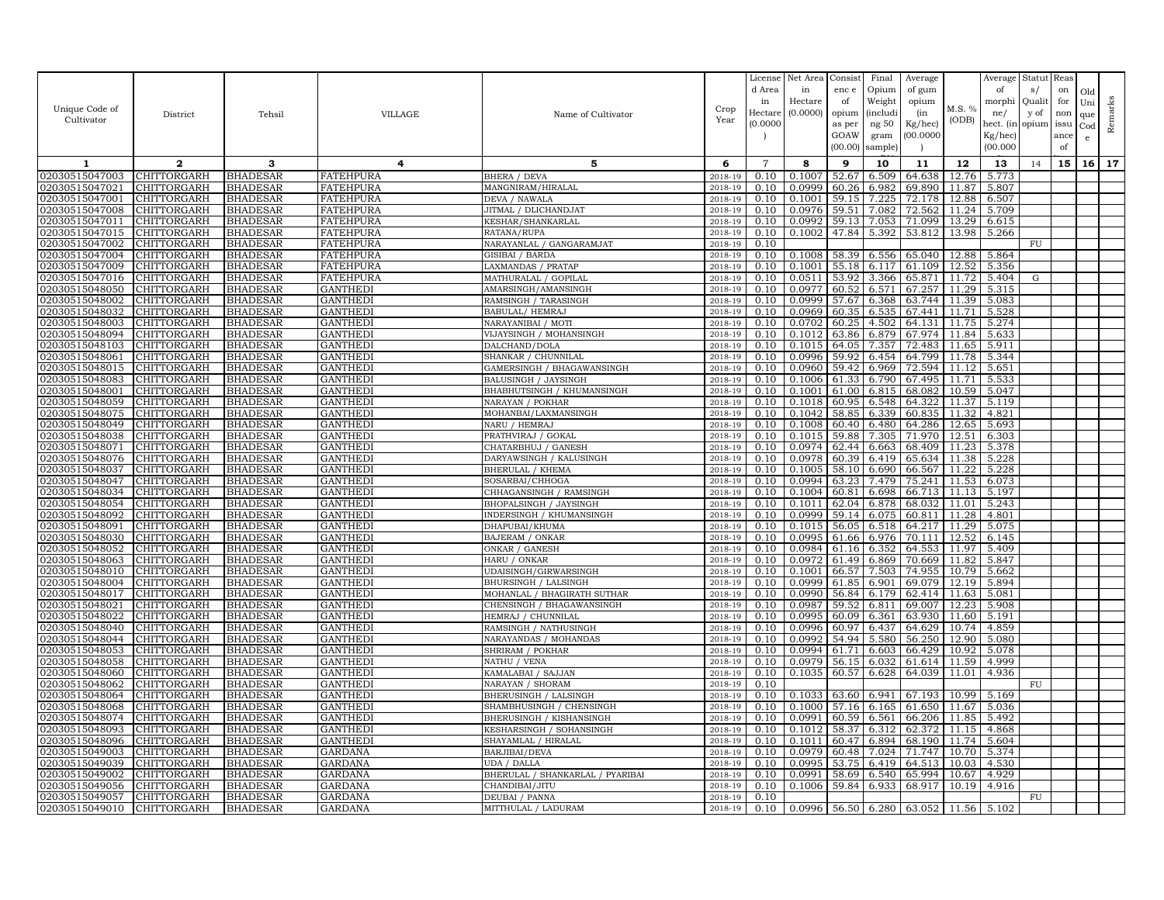|                                  |                            |                                    |                                  |                                                    |                    | License        | Net Area         | Consist        | Final           | Average                           |                | Average        | Statut Reas |      |              |         |
|----------------------------------|----------------------------|------------------------------------|----------------------------------|----------------------------------------------------|--------------------|----------------|------------------|----------------|-----------------|-----------------------------------|----------------|----------------|-------------|------|--------------|---------|
|                                  |                            |                                    |                                  |                                                    |                    | d Area         | in               | enc e          | Opium           | of gum                            |                | of             | s/          | on   | Old          |         |
|                                  |                            |                                    |                                  |                                                    |                    | in             | Hectare          | of             | Weight          | opium                             |                | morphi         | Qualit      | for  | Uni          |         |
| Unique Code of                   | District                   | Tehsil                             | <b>VILLAGE</b>                   | Name of Cultivator                                 | Crop               | Hectar         | (0.0000)         | opium          | <i>(includi</i> | (in                               | M.S. %         | ne/            | y of        | non  | que          |         |
| Cultivator                       |                            |                                    |                                  |                                                    | Year               | (0.0000)       |                  | as per         | ng 50           | Kg/hec)                           | (ODB)          | hect. (in      | opium issu  |      | $_{\rm Cod}$ | Remarks |
|                                  |                            |                                    |                                  |                                                    |                    |                |                  | GOAW           | gram            | 00.0000                           |                | Kg/hec)        |             | ance | e            |         |
|                                  |                            |                                    |                                  |                                                    |                    |                |                  | (00.00)        | sample)         |                                   |                | (00.000)       |             | of   |              |         |
| 1                                | $\mathbf{2}$               | 3                                  | 4                                | 5                                                  | 6                  | $\overline{7}$ | 8                | 9              | 10              | 11                                | 12             | 13             | 14          | 15   | 16           | 17      |
| 02030515047003                   | CHITTORGARH                | <b>BHADESAR</b>                    | <b>FATEHPURA</b>                 | <b>BHERA / DEVA</b>                                | 2018-19            | 0.10           | 0.1007           | 52.67          | 6.509           | 64.638                            | 12.76          | 5.773          |             |      |              |         |
| 02030515047021                   | <b>CHITTORGARH</b>         | <b>BHADESAR</b>                    | <b>FATEHPURA</b>                 | MANGNIRAM/HIRALAL                                  | 2018-19            | 0.10           | 0.0999           | 60.26          | 6.982           | 69.890                            | 11.87          | 5.807          |             |      |              |         |
| 02030515047001                   | CHITTORGARH                | <b>BHADESAR</b>                    | <b>FATEHPURA</b>                 | DEVA / NAWALA                                      | 2018-19            | 0.10           | 0.1001           | 59.15          | 7.225           | 72.178                            | 12.88          | 6.507          |             |      |              |         |
| 02030515047008                   | CHITTORGARH                | <b>BHADESAR</b>                    | <b>FATEHPURA</b>                 | JITMAL / DLICHANDJAT                               | 2018-19            | 0.10           | 0.0976           | 59.51          | 7.082           | 72.562                            | 11.24          | 5.709          |             |      |              |         |
| 02030515047011                   | CHITTORGARH                | <b>BHADESAR</b>                    | <b>FATEHPURA</b>                 | KESHAR/SHANKARLAL                                  | 2018-19            | 0.10           | 0.0992           | 59.13          | 7.053           | 71.099                            | 13.29          | 6.615          |             |      |              |         |
| 02030515047015                   | CHITTORGARH                | <b>BHADESAR</b>                    | <b>FATEHPURA</b>                 | RATANA/RUPA                                        | 2018-19            | 0.10           | 0.1002           | 47.84          | 5.392           | 53.812                            | 13.98          | 5.266          |             |      |              |         |
| 02030515047002                   | CHITTORGARH                | <b>BHADESAR</b>                    | <b>FATEHPURA</b>                 | NARAYANLAL / GANGARAMJAT                           | 2018-19            | 0.10           |                  |                |                 |                                   |                |                | <b>FU</b>   |      |              |         |
| 02030515047004                   | CHITTORGARH                | <b>BHADESAR</b>                    | <b>FATEHPURA</b>                 | GISIBAI / BARDA                                    | 2018-19            | 0.10           | 0.1008           | 58.39          | 6.556           | 65.040                            | 12.88          | 5.864          |             |      |              |         |
| 02030515047009                   | CHITTORGARH                | <b>BHADESAR</b>                    | <b>FATEHPURA</b>                 | <b>LAXMANDAS / PRATAP</b>                          | 2018-19            | 0.10           | 0.1001           | 55.18          | 6.117           | 61.109                            | 12.52          | 5.356          |             |      |              |         |
| 02030515047016                   | CHITTORGARH                | <b>BHADESAR</b>                    | <b>FATEHPURA</b>                 | MATHURALAL / GOPILAL                               | 2018-19            | 0.10           | 0.0511           | 53.92          | 3.366           | 65.871                            | 11.72          | 5.404          | $\mathbf G$ |      |              |         |
| 02030515048050                   | CHITTORGARH                | <b>BHADESAR</b>                    | GANTHEDI                         | AMARSINGH/AMANSINGH                                | 2018-19            | 0.10           | 0.0977           | 60.52          | 6.571           | 67.257                            | 11.29          | 5.315          |             |      |              |         |
| 02030515048002                   | CHITTORGARH                | <b>BHADESAR</b>                    | GANTHEDI                         | RAMSINGH / TARASINGH                               | 2018-19            | 0.10           | 0.0999           | 57.67          | 6.368           | 63.744                            | 11.39          | 5.083          |             |      |              |         |
| 02030515048032                   | CHITTORGARH                | <b>BHADESAR</b>                    | <b>GANTHEDI</b>                  | BABULAL/ HEMRAJ                                    | 2018-19            | 0.10           | 0.0969           | 60.35          | 6.535           | 67.441                            | 11.71          | 5.528          |             |      |              |         |
| 02030515048003                   | CHITTORGARH                | <b>BHADESAR</b>                    | <b>GANTHEDI</b>                  | NARAYANIBAI / MOTI                                 | 2018-19            | 0.10           | 0.0702           | 60.25          | 4.502           | 64.131                            | 11.75          | 5.274          |             |      |              |         |
| 02030515048094                   | CHITTORGARH                | <b>BHADESAR</b>                    | <b>GANTHEDI</b>                  | VIJAYSINGH / MOHANSINGH                            | 2018-19            | 0.10           | 0.1012           | 63.86          | 6.879           | 67.974                            | 11.84          | 5.633          |             |      |              |         |
| 02030515048103                   | CHITTORGARH                | <b>BHADESAR</b>                    | <b>GANTHEDI</b>                  | DALCHAND/DOLA                                      | 2018-19            | 0.10           | 0.1015           | 64.05          | 7.357           | 72.483                            | 11.65          | 5.911          |             |      |              |         |
| 02030515048061                   | CHITTORGARH                | <b>BHADESAR</b>                    | <b>GANTHED</b>                   | SHANKAR / CHUNNILAL                                | 2018-19            | 0.10           | 0.0996           | 59.92          | 6.454           | 64.799                            | 11.78          | 5.344          |             |      |              |         |
| 02030515048015                   | <b>CHITTORGARH</b>         | <b>BHADESAR</b>                    | <b>GANTHEDI</b>                  | GAMERSINGH / BHAGAWANSINGH                         | 2018-19            | 0.10           | 0.0960           | 59.42          | 6.969           | 72.594                            | 11.12          | 5.651          |             |      |              |         |
| 02030515048083<br>02030515048001 | CHITTORGARH<br>CHITTORGARH | <b>BHADESAR</b><br><b>BHADESAR</b> | <b>GANTHED</b><br><b>GANTHED</b> | BALUSINGH / JAYSINGH<br>BHABHUTSINGH / KHUMANSINGH | 2018-19<br>2018-19 | 0.10<br>0.10   | 0.1006<br>0.1001 | 61.33<br>61.00 | 6.790<br>6.815  | 67.495<br>68.082                  | 11.71<br>10.59 | 5.533<br>5.047 |             |      |              |         |
| 02030515048059                   | CHITTORGARH                | <b>BHADESAR</b>                    | <b>GANTHEDI</b>                  | NARAYAN / POKHAR                                   | 2018-19            | 0.10           | 0.1018           | 60.95          | 6.548           | 64.322                            | 11.37          | 5.119          |             |      |              |         |
| 02030515048075                   | CHITTORGARH                | <b>BHADESAR</b>                    | <b>GANTHEDI</b>                  | MOHANBAI/LAXMANSINGH                               | 2018-19            | 0.10           | 0.1042           | 58.85          | 6.339           | 60.835                            | 11.32          | 4.821          |             |      |              |         |
| 02030515048049                   | CHITTORGARH                | <b>BHADESAR</b>                    | GANTHEDI                         | NARU / HEMRAJ                                      | 2018-19            | 0.10           | 0.1008           | 60.40          | 6.480           | 64.286                            | 12.65          | 5.693          |             |      |              |         |
| 02030515048038                   | CHITTORGARH                | <b>BHADESAR</b>                    | <b>GANTHEDI</b>                  | PRATHVIRAJ / GOKAL                                 | 2018-19            | 0.10           | 0.1015           | 59.88          | 7.305           | 71.970                            | 12.51          | 6.303          |             |      |              |         |
| 02030515048071                   | CHITTORGARH                | <b>BHADESAR</b>                    | GANTHEDI                         | CHATARBHUJ / GANESH                                | 2018-19            | 0.10           | 0.0974           | 62.44          | 6.663           | 68.409                            | 11.23          | 5.378          |             |      |              |         |
| 02030515048076                   | CHITTORGARH                | <b>BHADESAR</b>                    | GANTHEDI                         | DARYAWSINGH / KALUSINGH                            | 2018-19            | 0.10           | 0.0978           | 60.39          | 6.419           | 65.634                            | 11.38          | 5.228          |             |      |              |         |
| 02030515048037                   | CHITTORGARH                | <b>BHADESAR</b>                    | GANTHEDI                         | BHERULAL / KHEMA                                   | 2018-19            | 0.10           | 0.1005           | 58.10          | 6.690           | 66.567                            | 11.22          | 5.228          |             |      |              |         |
| 02030515048047                   | CHITTORGARH                | <b>BHADESAR</b>                    | <b>GANTHEDI</b>                  | SOSARBAI/CHHOGA                                    | 2018-19            | 0.10           | 0.0994           | 63.23          | 7.479           | 75.241                            | 11.53          | 6.073          |             |      |              |         |
| 02030515048034                   | CHITTORGARH                | <b>BHADESAR</b>                    | <b>GANTHEDI</b>                  | CHHAGANSINGH / RAMSINGH                            | 2018-19            | 0.10           | 0.1004           | 60.81          | 6.698           | 66.713                            | 11.13          | 5.197          |             |      |              |         |
| 02030515048054                   | <b>CHITTORGARH</b>         | <b>BHADESAR</b>                    | GANTHEDI                         | BHOPALSINGH / JAYSINGH                             | 2018-19            | 0.10           | 0.1011           | 62.04          | 6.878           | 68.032                            | 11.01          | 5.243          |             |      |              |         |
| 02030515048092                   | CHITTORGARH                | <b>BHADESAR</b>                    | <b>GANTHEDI</b>                  | INDERSINGH / KHUMANSINGH                           | 2018-19            | 0.10           | 0.0999           | 59.14          | 6.075           | 60.811                            | 11.28          | 4.801          |             |      |              |         |
| 02030515048091                   | CHITTORGARH                | <b>BHADESAR</b>                    | <b>GANTHEDI</b>                  | DHAPUBAI/KHUMA                                     | 2018-19            | 0.10           | 0.1015           | 56.05          | 6.518           | 64.217                            | 11.29          | 5.075          |             |      |              |         |
| 02030515048030                   | CHITTORGARH                | <b>BHADESAR</b>                    | <b>GANTHEDI</b>                  | <b>BAJERAM / ONKAR</b>                             | 2018-19            | 0.10           | 0.0995           | 61.66          | 6.976           | 70.111                            | 12.52          | 6.145          |             |      |              |         |
| 02030515048052                   | CHITTORGARH                | <b>BHADESAR</b>                    | <b>GANTHEDI</b>                  | ONKAR / GANESH                                     | 2018-19            | 0.10           | 0.0984           | 61.16          | 6.352           | 64.553                            | 11.97          | 5.409          |             |      |              |         |
| 02030515048063                   | CHITTORGARH                | <b>BHADESAR</b>                    | <b>GANTHEDI</b>                  | HARU / ONKAR                                       | 2018-19            | 0.10           | 0.0972           | 61.49          | 6.869           | 70.669                            | 11.82          | 5.847          |             |      |              |         |
| 02030515048010                   | CHITTORGARH                | <b>BHADESAR</b>                    | <b>GANTHEDI</b>                  | UDAISINGH/GIRWARSINGH                              | 2018-19            | 0.10           | 0.1001           | 66.57          | 7.503           | 74.955                            | 10.79          | 5.662          |             |      |              |         |
| 02030515048004                   | CHITTORGARH                | <b>BHADESAR</b>                    | <b>GANTHEDI</b>                  | BHURSINGH / LALSINGH                               | 2018-19            | 0.10           | 0.0999           | 61.85          | 6.901           | 69.079                            | 12.19          | 5.894          |             |      |              |         |
| 02030515048017                   | CHITTORGARH                | <b>BHADESAR</b>                    | <b>GANTHEDI</b>                  | MOHANLAL / BHAGIRATH SUTHAR                        | 2018-19            | 0.10           | 0.0990           | 56.84          | 6.179           | 62.414                            | 11.63          | 5.081          |             |      |              |         |
| 02030515048021                   | CHITTORGARH                | <b>BHADESAR</b>                    | <b>GANTHEDI</b>                  | CHENSINGH / BHAGAWANSINGH                          | 2018-19            | 0.10           | 0.0987           | 59.52          | 6.811           | 69.007                            | 12.23          | 5.908          |             |      |              |         |
| 02030515048022                   | CHITTORGARH                | <b>BHADESAR</b>                    | GANTHEDI                         | HEMRAJ / CHUNNILAL                                 | 2018-19            | 0.10           | 0.0995           | 60.09          | 6.361           | 63.930                            | 11.60          | 5.191          |             |      |              |         |
| 02030515048040                   | CHITTORGARH                | <b>BHADESAR</b>                    | GANTHEDI                         | RAMSINGH / NATHUSINGH                              | 2018-19            | 0.10           | 0.0996           | 60.97          | 6.437           | 64.629                            | 10.74          | 4.859          |             |      |              |         |
| 02030515048044                   | CHITTORGARH                | <b>BHADESAR</b>                    | <b>GANTHEDI</b>                  | NARAYANDAS / MOHANDAS                              | 2018-19            | 0.10           | 0.0992<br>0.0994 | 54.94          | 5.580           | 56.250                            | 12.90          | 5.080          |             |      |              |         |
| 02030515048053                   | CHITTORGARH                | <b>BHADESAR</b>                    | <b>GANTHEDI</b><br>GANTHEDI      | SHRIRAM / POKHAR                                   | 2018-19<br>2018-19 | 0.10           | 0.0979           | 61.71<br>56.15 | 6.603           | 66.429                            | 10.92          | 5.078<br>4.999 |             |      |              |         |
| 02030515048058<br>02030515048060 | CHITTORGARH<br>CHITTORGARH | <b>BHADESAR</b><br><b>BHADESAR</b> | GANTHEDI                         | NATHU / VENA<br>KAMALABAI / SAJJAN                 | 2018-19            | 0.10<br>0.10   | 0.1035           | 60.57          | 6.032<br>6.628  | 61.614<br>64.039                  | 11.59<br>11.01 | 4.936          |             |      |              |         |
| 02030515048062                   | CHITTORGARH                | <b>BHADESAR</b>                    | <b>GANTHEDI</b>                  | NARAYAN / SHORAM                                   | 2018-19            | 0.10           |                  |                |                 |                                   |                |                | FU          |      |              |         |
| 02030515048064                   | CHITTORGARH                | <b>BHADESAR</b>                    | <b>GANTHEDI</b>                  | BHERUSINGH / LALSINGH                              | 2018-19            | 0.10           | 0.1033           | 63.60          | 6.941           | 67.193                            | 10.99          | 5.169          |             |      |              |         |
| 02030515048068                   | CHITTORGARH                | <b>BHADESAR</b>                    | <b>GANTHEDI</b>                  | SHAMBHUSINGH / CHENSINGH                           | 2018-19            | 0.10           | 0.1000           | 57.16          | 6.165           | 61.650                            | 11.67          | 5.036          |             |      |              |         |
| 02030515048074                   | CHITTORGARH                | <b>BHADESAR</b>                    | <b>GANTHEDI</b>                  | BHERUSINGH / KISHANSINGH                           | 2018-19            | 0.10           | 0.0991           | 60.59          | 6.561           | 66.206                            | 11.85          | 5.492          |             |      |              |         |
| 02030515048093                   | CHITTORGARH                | <b>BHADESAR</b>                    | <b>GANTHEDI</b>                  | KESHARSINGH / SOHANSINGH                           | 2018-19            | 0.10           | 0.1012           | 58.37 6.312    |                 | 62.372                            | 11.15          | 4.868          |             |      |              |         |
| 02030515048096                   | CHITTORGARH                | <b>BHADESAR</b>                    | <b>GANTHEDI</b>                  | SHAYAMLAL / HIRALAL                                | 2018-19            | 0.10           | 0.1011           | 60.47          | 6.894           | 68.190                            | 11.74          | 5.604          |             |      |              |         |
| 02030515049003                   | CHITTORGARH                | <b>BHADESAR</b>                    | GARDANA                          | BARJIBAI/DEVA                                      | 2018-19            | 0.10           | 0.0979           | 60.48          | 7.024           | 71.747                            | 10.70          | 5.374          |             |      |              |         |
| 02030515049039                   | CHITTORGARH                | <b>BHADESAR</b>                    | <b>GARDANA</b>                   | UDA / DALLA                                        | 2018-19            | 0.10           | 0.0995           | 53.75          | 6.419           | 64.513                            | 10.03          | 4.530          |             |      |              |         |
| 02030515049002                   | CHITTORGARH                | <b>BHADESAR</b>                    | GARDANA                          | BHERULAL / SHANKARLAL / PYARIBAI                   | 2018-19            | 0.10           | 0.0991           | 58.69          | 6.540           | 65.994                            | 10.67          | 4.929          |             |      |              |         |
| 02030515049056                   | CHITTORGARH                | <b>BHADESAR</b>                    | GARDANA                          | CHANDIBAI/JITU                                     | 2018-19            | 0.10           | 0.1006           | 59.84          | 6.933           | 68.917                            | 10.19          | 4.916          |             |      |              |         |
| 02030515049057                   | <b>CHITTORGARH</b>         | <b>BHADESAR</b>                    | <b>GARDANA</b>                   | DEUBAI / PANNA                                     | 2018-19            | 0.10           |                  |                |                 |                                   |                |                | FU          |      |              |         |
| 02030515049010                   | <b>CHITTORGARH</b>         | <b>BHADESAR</b>                    | <b>GARDANA</b>                   | MITTHULAL / LADURAM                                | 2018-19            | 0.10           |                  |                |                 | $0.0996$ 56.50 6.280 63.052 11.56 |                | 5.102          |             |      |              |         |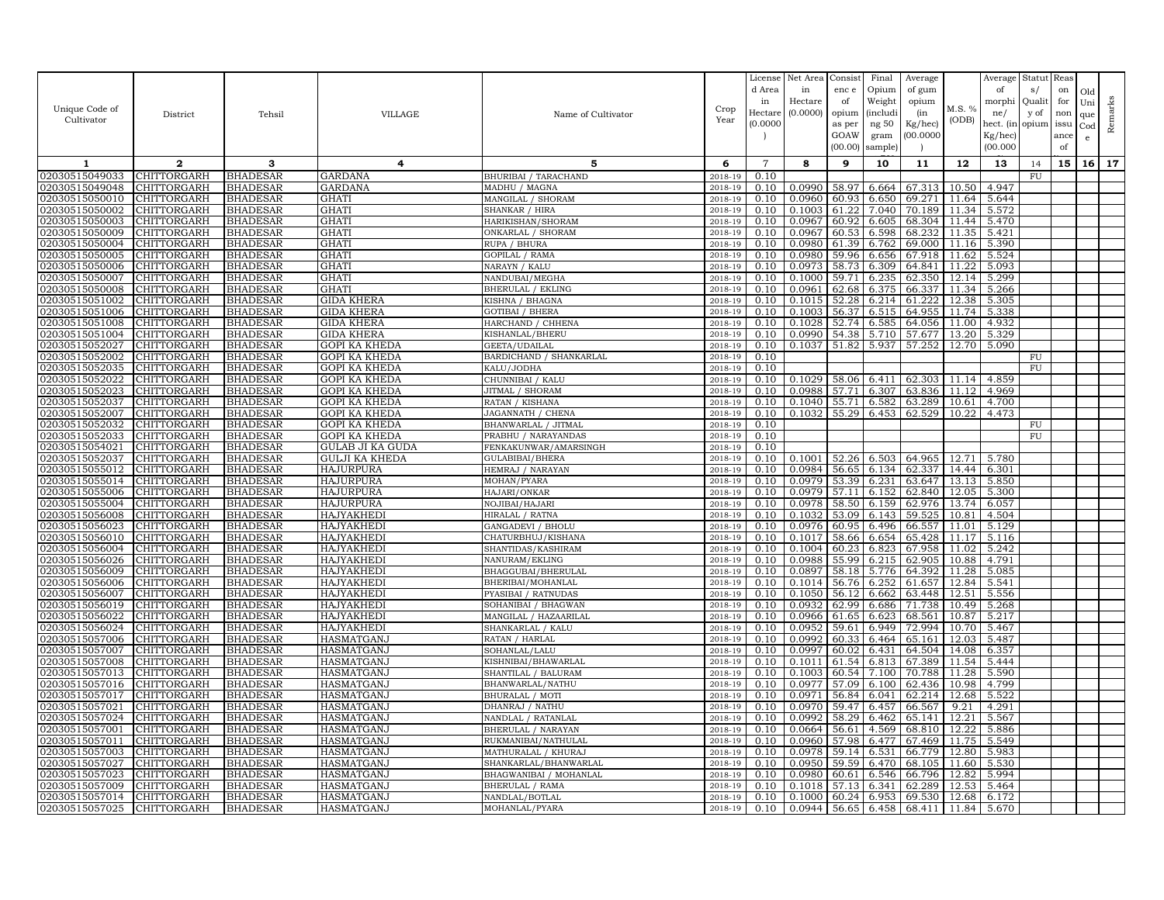| Unique Code of                   | District                          | Tehsil                             | <b>VILLAGE</b>                       | Name of Cultivator                           | Crop               | License<br>d Area<br>in<br>Hectare | Net Area<br>in<br>Hectare<br>(0.0000) | Consist<br>enc e<br>of<br>opium | Final<br>Opium<br>Weight<br>(includi | Average<br>of gum<br>opium<br>(in | M.S. %         | Average<br>of<br>morphi<br>ne/   | Statut Reas<br>s/<br>Qualit<br>y of | on<br>for<br>non   | Old<br>Uni<br>que | Remarks |
|----------------------------------|-----------------------------------|------------------------------------|--------------------------------------|----------------------------------------------|--------------------|------------------------------------|---------------------------------------|---------------------------------|--------------------------------------|-----------------------------------|----------------|----------------------------------|-------------------------------------|--------------------|-------------------|---------|
| Cultivator                       |                                   |                                    |                                      |                                              | Year               | (0.0000)                           |                                       | as per<br>GOAW<br>(00.00)       | ng $50\,$<br>gram<br>sample          | Kg/hec)<br>(00.0000)              | (ODB)          | hect. (in<br>Kg/hec)<br>(00.000) | opium                               | issu<br>ance<br>of | $_{\rm Cod}$<br>e |         |
| -1                               | $\mathbf{2}$                      | 3                                  | 4                                    | 5                                            | 6                  | $\overline{7}$                     | 8                                     | 9                               | 10                                   | 11                                | 12             | 13                               | 14                                  | 15                 | 16                | 17      |
| 02030515049033                   | CHITTORGARH                       | BHADESAR                           | <b>GARDANA</b>                       | BHURIBAI / TARACHAND                         | 2018-19            | 0.10                               |                                       |                                 |                                      |                                   |                |                                  | FU                                  |                    |                   |         |
| 02030515049048                   | CHITTORGARH                       | <b>BHADESAR</b>                    | <b>GARDANA</b>                       | MADHU / MAGNA                                | 2018-19            | 0.10                               | 0.0990                                | 58.97                           | 6.664                                | 67.313                            | 10.50          | 4.947                            |                                     |                    |                   |         |
| 02030515050010                   | CHITTORGARH                       | BHADESAR                           | GHATI                                | MANGILAL / SHORAM                            | 2018-19            | 0.10                               | 0.0960                                | 60.93                           | 6.650                                | 69.271                            | 11.64          | 5.644                            |                                     |                    |                   |         |
| 02030515050002<br>02030515050003 | CHITTORGARH<br>CHITTORGARH        | BHADESAR<br>BHADESAR               | GHATI<br>GHATI                       | <b>SHANKAR / HIRA</b><br>HARIKISHAN/SHORAM   | 2018-19<br>2018-19 | 0.10<br>0.10                       | 0.1003<br>0.0967                      | 61.22<br>60.92                  | 7.040<br>6.605                       | 70.189<br>68.304                  | 11.34<br>11.44 | 5.572<br>5.470                   |                                     |                    |                   |         |
| 02030515050009                   | CHITTORGARH                       | <b>BHADESAR</b>                    | <b>GHATI</b>                         | ONKARLAL / SHORAM                            | 2018-19            | 0.10                               | 0.0967                                | 60.53                           | 6.598                                | 68.232                            | 11.35          | 5.421                            |                                     |                    |                   |         |
| 02030515050004                   | CHITTORGARH                       | <b>BHADESAR</b>                    | <b>GHATI</b>                         | RUPA / BHURA                                 | 2018-19            | 0.10                               | 0.0980                                | 61.39                           | 6.762                                | 69.000                            | 11.16          | 5.390                            |                                     |                    |                   |         |
| 02030515050005                   | CHITTORGARH                       | BHADESAR                           | GHATI                                | GOPILAL / RAMA                               | 2018-19            | 0.10                               | 0.0980                                | 59.96                           | 6.656                                | 67.918                            | 11.62          | 5.524                            |                                     |                    |                   |         |
| 02030515050006                   | CHITTORGARH                       | BHADESAR                           | <b>GHATI</b>                         | NARAYN / KALU                                | 2018-19            | 0.10                               | 0.0973                                | 58.73                           | 6.309                                | 64.841                            | 11.22          | 5.093                            |                                     |                    |                   |         |
| 02030515050007                   | CHITTORGARH                       | BHADESAR                           | GHATI                                | NANDUBAI/MEGHA                               | 2018-19            | 0.10                               | 0.1000                                | 59.7                            | 6.235                                | 62.350                            | 12.14          | 5.299                            |                                     |                    |                   |         |
| 02030515050008                   | CHITTORGARH                       | BHADESAR                           | <b>GHATI</b>                         | <b>BHERULAL / EKLING</b>                     | 2018-19            | 0.10                               | 0.0961                                | 62.68                           | 6.375                                | 66.337                            | 11.34          | 5.266                            |                                     |                    |                   |         |
| 02030515051002                   | CHITTORGARH                       | BHADESAR                           | <b>GIDA KHERA</b>                    | KISHNA / BHAGNA                              | 2018-19            | 0.10                               | 0.1015                                | 52.28                           | 6.214                                | 61.222                            | 12.38          | 5.305                            |                                     |                    |                   |         |
| 02030515051006                   | CHITTORGARH                       | BHADESAR                           | GIDA KHERA                           | <b>GOTIBAI / BHERA</b>                       | 2018-19            | 0.10                               | 0.1003                                | 56.37                           | 6.515                                | 64.955                            | 11.74          | 5.338                            |                                     |                    |                   |         |
| 02030515051008                   | CHITTORGARH                       | BHADESAR                           | <b>GIDA KHERA</b>                    | HARCHAND / CHHENA                            | 2018-19            | 0.10                               | 0.1028                                | 52.74                           | 6.585                                | 64.056                            | 11.00          | 4.932                            |                                     |                    |                   |         |
| 02030515051004                   | CHITTORGARH                       | BHADESAR                           | GIDA KHERA                           | KISHANLAL/BHERU                              | 2018-19            | 0.10                               | 0.0990                                | 54.38                           | 5.710                                | 57.677                            | 13.20          | 5.329                            |                                     |                    |                   |         |
| 02030515052027                   | CHITTORGARH                       | BHADESAR                           | GOPI KA KHEDA                        | GEETA/UDAILAL                                | 2018-19            | 0.10                               | 0.1037                                | 51.82                           | 5.937                                | 57.252                            | 12.70          | 5.090                            |                                     |                    |                   |         |
| 02030515052002                   | CHITTORGARH<br>CHITTORGARH        | <b>BHADESAR</b>                    | GOPI KA KHEDA                        | BARDICHAND / SHANKARLAL                      | 2018-19            | 0.10<br>0.10                       |                                       |                                 |                                      |                                   |                |                                  | FU<br>${\rm FU}$                    |                    |                   |         |
| 02030515052035<br>02030515052022 | CHITTORGARH                       | BHADESAR<br><b>BHADESAR</b>        | GOPI KA KHEDA<br>GOPI KA KHEDA       | KALU/JODHA<br>CHUNNIBAI / KALU               | 2018-19<br>2018-19 | 0.10                               | 0.1029                                | 58.06                           | 6.411                                | 62.303                            | 11.14          | 4.859                            |                                     |                    |                   |         |
| 02030515052023                   | CHITTORGARH                       | BHADESAR                           | <b>GOPI KA KHEDA</b>                 | JITMAL / SHORAM                              | 2018-19            | 0.10                               | 0.0988                                | 57.71                           | 6.307                                | 63.836                            | 11.12          | 4.969                            |                                     |                    |                   |         |
| 02030515052037                   | CHITTORGARH                       | BHADESAR                           | GOPI KA KHEDA                        | RATAN / KISHANA                              | 2018-19            | 0.10                               | 0.1040                                | 55.71                           | 6.582                                | 63.289                            | 10.61          | 4.700                            |                                     |                    |                   |         |
| 02030515052007                   | CHITTORGARH                       | <b>BHADESAR</b>                    | <b>GOPI KA KHEDA</b>                 | JAGANNATH / CHENA                            | 2018-19            | 0.10                               | 0.1032                                | 55.29                           | 6.453                                | 62.529                            | 10.22          | 4.473                            |                                     |                    |                   |         |
| 02030515052032                   | CHITTORGARH                       | BHADESAR                           | GOPI KA KHEDA                        | BHANWARLAL / JITMAL                          | 2018-19            | 0.10                               |                                       |                                 |                                      |                                   |                |                                  | ${\rm FU}$                          |                    |                   |         |
| 02030515052033                   | CHITTORGARH                       | BHADESAR                           | <b>GOPI KA KHEDA</b>                 | PRABHU / NARAYANDAS                          | 2018-19            | 0.10                               |                                       |                                 |                                      |                                   |                |                                  | FU                                  |                    |                   |         |
| 02030515054021                   | CHITTORGARH                       | BHADESAR                           | GULAB JI KA GUDA                     | FENKAKUNWAR/AMARSINGH                        | 2018-19            | 0.10                               |                                       |                                 |                                      |                                   |                |                                  |                                     |                    |                   |         |
| 02030515052037                   | CHITTORGARH                       | BHADESAR                           | GULJI KA KHEDA                       | GULABIBAI/BHERA                              | 2018-19            | 0.10                               | 0.1001                                | 52.26                           | 6.503                                | 64.965                            | 12.71 5.780    |                                  |                                     |                    |                   |         |
| 02030515055012                   | CHITTORGARH                       | BHADESAR                           | <b>HAJURPURA</b>                     | HEMRAJ / NARAYAN                             | 2018-19            | 0.10                               | 0.0984                                | 56.65                           | 6.134                                | 62.337                            | 14.44          | 6.301                            |                                     |                    |                   |         |
| 02030515055014                   | <b>CHITTORGARH</b>                | BHADESAR                           | <b>HAJURPURA</b>                     | MOHAN/PYARA                                  | 2018-19            | 0.10                               | 0.0979                                | 53.39                           | 6.231                                | 63.647                            | 13.13          | 5.850                            |                                     |                    |                   |         |
| 02030515055006<br>02030515055004 | CHITTORGARH<br>CHITTORGARH        | <b>BHADESAR</b><br><b>BHADESAR</b> | <b>HAJURPURA</b><br><b>HAJURPURA</b> | HAJARI/ONKAR<br>NOJIBAI/HAJARI               | 2018-19<br>2018-19 | 0.10<br>0.10                       | 0.0979<br>0.0978                      | 57.11<br>58.50                  | 6.152<br>6.159                       | 62.840<br>62.976                  | 12.05<br>13.74 | 5.300<br>6.057                   |                                     |                    |                   |         |
| 02030515056008                   | CHITTORGARH                       | BHADESAR                           | <b>HAJYAKHED</b>                     | HIRALAL / RATNA                              | 2018-19            | 0.10                               | 0.1032                                | 53.09                           | 6.143                                | 59.525                            | 10.81          | 4.504                            |                                     |                    |                   |         |
| 02030515056023                   | CHITTORGARH                       | BHADESAR                           | HAJYAKHEDI                           | <b>GANGADEVI / BHOLU</b>                     | 2018-19            | 0.10                               | 0.0976                                | 60.95                           | 6.496                                | 66.557                            | 11.01          | 5.129                            |                                     |                    |                   |         |
| 02030515056010                   | CHITTORGARH                       | <b>BHADESAR</b>                    | HAJYAKHEDI                           | CHATURBHUJ/KISHANA                           | 2018-19            | 0.10                               | 0.1017                                | 58.66                           | 6.654                                | 65.428                            | 11.17          | 5.116                            |                                     |                    |                   |         |
| 02030515056004                   | CHITTORGARH                       | BHADESAR                           | <b>HAJYAKHEDI</b>                    | SHANTIDAS/KASHIRAM                           | 2018-19            | 0.10                               | 0.1004                                | 60.23                           | 6.823                                | 67.958                            | 11.02          | 5.242                            |                                     |                    |                   |         |
| 02030515056026                   | CHITTORGARH                       | BHADESAR                           | <b>HAJYAKHEDI</b>                    | NANURAM/EKLING                               | 2018-19            | 0.10                               | 0.0988                                | 55.99                           | 6.215                                | 62.905                            | 10.88          | 4.791                            |                                     |                    |                   |         |
| 02030515056009                   | CHITTORGARH                       | <b>BHADESAR</b>                    | HAJYAKHEDI                           | BHAGGUBAI/BHERULAL                           | 2018-19            | 0.10                               | 0.0897                                | 58.18                           | 5.776                                | 64.392                            | 11.28          | 5.085                            |                                     |                    |                   |         |
| 02030515056006                   | CHITTORGARH                       | <b>BHADESAR</b>                    | <b>HAJYAKHEDI</b>                    | BHERIBAI/MOHANLAL                            | 2018-19            | 0.10                               | 0.1014                                | 56.76                           | 6.252                                | 61.657                            | 12.84          | 5.541                            |                                     |                    |                   |         |
| 02030515056007                   | CHITTORGARH                       | BHADESAR                           | <b>HAJYAKHEDI</b>                    | PYASIBAI / RATNUDAS                          | 2018-19            | 0.10                               | 0.1050                                | 56.12                           | 6.662                                | 63.448                            | 12.51          | 5.556                            |                                     |                    |                   |         |
| 02030515056019                   | CHITTORGARH                       | BHADESAR                           | <b>HAJYAKHEDI</b>                    | SOHANIBAI / BHAGWAN                          | 2018-19            | 0.10                               | 0.0932                                | 62.99                           | 6.686                                | 71.738                            | 10.49          | 5.268                            |                                     |                    |                   |         |
| 02030515056022                   | CHITTORGARH<br><b>CHITTORGARH</b> | <b>BHADESAR</b>                    | HAJYAKHEDI                           | MANGILAL / HAZAARILAL                        | 2018-19<br>2018-19 | 0.10<br>0.10                       | 0.0966                                | 61.65                           | 6.623<br>6.949                       | 68.561                            | 10.87<br>10.70 | 5.217                            |                                     |                    |                   |         |
| 02030515056024<br>02030515057006 | CHITTORGARH                       | BHADESAR<br>BHADESAR               | <b>HAJYAKHEDI</b><br>HASMATGANJ      | SHANKARLAL / KALU<br>RATAN / HARLAL          | 2018-19            | 0.10                               | 0.0952<br>0.0992                      | 59.61<br>60.33                  | 6.464                                | 72.994<br>65.161                  | 12.03          | 5.467<br>5.487                   |                                     |                    |                   |         |
| 02030515057007                   | CHITTORGARH                       | <b>BHADESAR</b>                    | HASMATGANJ                           | SOHANLAL/LALU                                | 2018-19            | 0.10                               | 0.0997                                | 60.02                           | 6.431                                | 64.504                            | 14.08          | 6.357                            |                                     |                    |                   |         |
| 02030515057008                   | CHITTORGARH                       | BHADESAR                           | HASMATGANJ                           | KISHNIBAI/BHAWARLAL                          | 2018-19            | 0.10                               | 0.1011                                |                                 | 61.54 6.813                          | 67.389                            | 11.54          | 5.444                            |                                     |                    |                   |         |
| 02030515057013                   | CHITTORGARH                       | BHADESAR                           | HASMATGANJ                           | SHANTILAL / BALURAM                          | 2018-19            | 0.10                               | 0.1003                                | 60.54                           | 7.100                                | 70.788                            | 11.28          | 5.590                            |                                     |                    |                   |         |
| 02030515057016                   | CHITTORGARH                       | BHADESAR                           | HASMATGANJ                           | BHANWARLAL/NATHU                             | 2018-19            | 0.10                               | 0.0977                                | 57.09                           | 6.100                                | 62.436                            | 10.98          | 4.799                            |                                     |                    |                   |         |
| 02030515057017                   | CHITTORGARH                       | <b>BHADESAR</b>                    | HASMATGANJ                           | <b>BHURALAL / MOTI</b>                       | 2018-19            | 0.10                               | 0.0971                                | 56.84                           | 6.041                                | 62.214                            | 12.68          | 5.522                            |                                     |                    |                   |         |
| 02030515057021                   | <b>CHITTORGARH</b>                | BHADESAR                           | HASMATGANJ                           | DHANRAJ / NATHU                              | 2018-19            | 0.10                               | 0.0970                                | 59.47                           | 6.457                                | 66.567                            | 9.21           | 4.291                            |                                     |                    |                   |         |
| 02030515057024                   | CHITTORGARH                       | BHADESAR                           | HASMATGANJ                           | NANDLAL / RATANLAI                           | 2018-19            | 0.10                               | 0.0992                                | 58.29                           | 6.462                                | 65.141                            | 12.21          | 5.567                            |                                     |                    |                   |         |
| 02030515057001                   | CHITTORGARH                       | BHADESAR                           | HASMATGANJ                           | BHERULAL / NARAYAN                           | 2018-19            | 0.10                               | 0.0664                                | 56.61                           | 4.569                                | 68.810                            | 12.22          | 5.886                            |                                     |                    |                   |         |
| 02030515057011                   | CHITTORGARH                       | BHADESAR                           | HASMATGANJ                           | RUKMANIBAI/NATHULAL                          | 2018-19<br>2018-19 | 0.10<br>0.10                       | 0.0960                                | 57.98<br>59.14                  | 6.477                                | 67.469                            | 11.75<br>12.80 | 5.549                            |                                     |                    |                   |         |
| 02030515057003<br>02030515057027 | <b>CHITTORGARH</b><br>CHITTORGARH | BHADESAR<br>BHADESAR               | HASMATGANJ<br>HASMATGANJ             | MATHURALAL / KHURAJ<br>SHANKARLAL/BHANWARLAI | 2018-19            | 0.10                               | 0.0978<br>0.0950                      | 59.59                           | 6.531<br>6.470                       | 66.779<br>68.105                  | 11.60          | 5.983<br>5.530                   |                                     |                    |                   |         |
| 02030515057023                   | CHITTORGARH                       | <b>BHADESAR</b>                    | <b>HASMATGAN</b>                     | BHAGWANIBAI / MOHANLAL                       | 2018-19            | 0.10                               | 0.0980                                | 60.61                           | 6.546                                | 66.796                            | 12.82          | 5.994                            |                                     |                    |                   |         |
| 02030515057009                   | CHITTORGARH                       | BHADESAR                           | HASMATGANJ                           | <b>BHERULAL / RAMA</b>                       | 2018-19            | 0.10                               | 0.1018                                | 57.13                           | 6.341                                | 62.289                            | 12.53          | 5.464                            |                                     |                    |                   |         |
| 02030515057014                   | CHITTORGARH                       | BHADESAR                           | <b>HASMATGAN</b>                     | NANDLAL/BOTLAL                               | 2018-19            | 0.10                               | 0.1000                                | 60.24                           | 6.953                                | 69.530                            | 12.68          | 6.172                            |                                     |                    |                   |         |
| 02030515057025                   | CHITTORGARH                       | BHADESAR                           | HASMATGANJ                           | MOHANLAL/PYARA                               | 2018-19            | 0.10                               | 0.0944                                | 56.65                           | 6.458                                | 68.411 11.84 5.670                |                |                                  |                                     |                    |                   |         |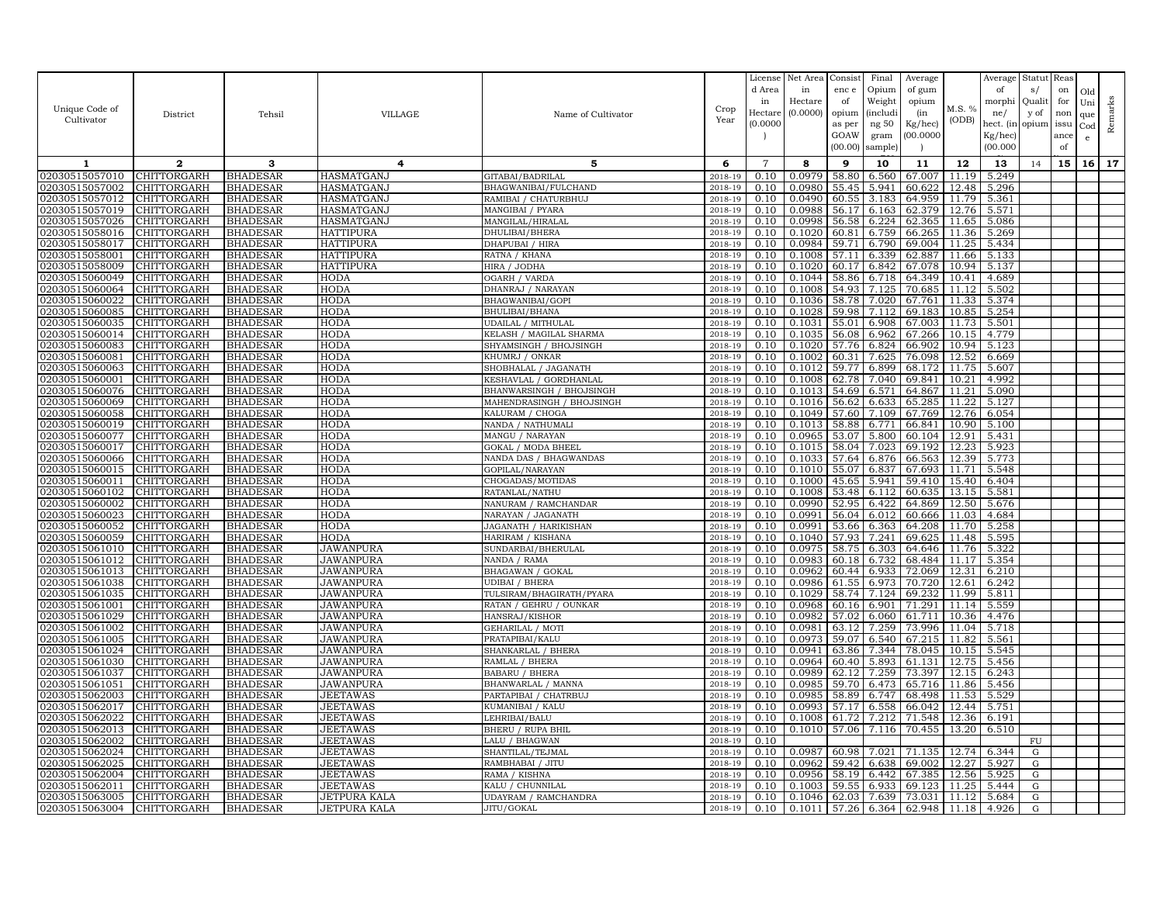|                                  |                                   |                                    |                                    |                                             |                    | License           | Net Area         | Consist        | Final          | Average            |                | Average        | Statut Reas             |      |              |         |
|----------------------------------|-----------------------------------|------------------------------------|------------------------------------|---------------------------------------------|--------------------|-------------------|------------------|----------------|----------------|--------------------|----------------|----------------|-------------------------|------|--------------|---------|
|                                  |                                   |                                    |                                    |                                             |                    | d Area            | in               | enc e          | Opium          | of gum             |                | of             | s/                      | on   | Old          |         |
|                                  |                                   |                                    |                                    |                                             |                    | in                | Hectare          | of             | Weight         | opium              |                | morphi         | Qualit                  | for  | Uni          |         |
| Unique Code of                   | District                          | Tehsil                             | VILLAGE                            | Name of Cultivator                          | Crop               | Hectare           | (0.0000)         | opium          | (includi       | (in                | M.S. %         | ne/            | y of                    | non  | que          |         |
| Cultivator                       |                                   |                                    |                                    |                                             | Year               | (0.0000)          |                  | as per         | ng $50\,$      | Kg/hec)            | (ODB)          | hect. (in      | opium                   | issu | $_{\rm Cod}$ | Remarks |
|                                  |                                   |                                    |                                    |                                             |                    |                   |                  | GOAW           | gram           | (00.0000)          |                | Kg/hec)        |                         | ance | e            |         |
|                                  |                                   |                                    |                                    |                                             |                    |                   |                  | (00.00)        | sample         | - 1                |                | (00.000)       |                         | of   |              |         |
| 1                                | $\mathbf{2}$                      | 3                                  | 4                                  | 5                                           | 6                  | $\overline{7}$    | 8                | 9              | 10             | 11                 | 12             | 13             | 14                      | 15   | 16           | 17      |
| 02030515057010                   | CHITTORGARH                       | <b>BHADESAR</b>                    | HASMATGANJ                         | GITABAI/BADRILAL                            | 2018-19            | 0.10              | 0.0979           | 58.80          | 6.560          | 67.007             | 11.19          | 5.249          |                         |      |              |         |
| 02030515057002                   | CHITTORGARH                       | <b>BHADESAR</b>                    | HASMATGANJ                         | BHAGWANIBAI/FULCHAND                        | 2018-19            | 0.10              | 0.0980           | 55.45          | 5.941          | 60.622             | 12.48          | 5.296          |                         |      |              |         |
| 02030515057012                   | CHITTORGARH                       | <b>BHADESAR</b>                    | HASMATGANJ                         | RAMIBAI / CHATURBHUJ                        | 2018-19            | 0.10              | 0.0490           | 60.55          | 3.183          | 64.959             | 11.79          | 5.361          |                         |      |              |         |
| 02030515057019                   | <b>CHITTORGARH</b>                | <b>BHADESAR</b>                    | HASMATGANJ                         | MANGIBAI / PYARA                            | 2018-19            | 0.10              | 0.0988           | 56.17          | 6.163          | 62.379             | 12.76          | 5.571          |                         |      |              |         |
| 02030515057026                   | <b>CHITTORGARH</b>                | <b>BHADESAR</b>                    | HASMATGANJ                         | MANGILAL/HIRALAL                            | 2018-19            | 0.10              | 0.0998           | 56.58          | 6.224          | 62.365             | 11.65          | 5.086          |                         |      |              |         |
| 02030515058016                   | CHITTORGARH                       | <b>BHADESAR</b>                    | <b>HATTIPURA</b>                   | DHULIBAI/BHERA                              | 2018-19            | 0.10              | 0.1020           | 60.81          | 6.759          | 66.265             | 11.36          | 5.269          |                         |      |              |         |
| 02030515058017                   | <b>CHITTORGARH</b>                | <b>BHADESAR</b>                    | <b>HATTIPURA</b>                   | DHAPUBAI / HIRA                             | 2018-19            | 0.10              | 0.0984           | 59.71          | 6.790          | 69.004             | 11.25          | 5.434          |                         |      |              |         |
| 02030515058001                   | <b>CHITTORGARH</b>                | <b>BHADESAR</b>                    | <b>HATTIPURA</b>                   | RATNA / KHANA                               | 2018-19            | 0.10              | 0.1008           | 57.11          | 6.339          | 62.887             | 11.66          | 5.133          |                         |      |              |         |
| 02030515058009                   | <b>CHITTORGARH</b>                | <b>BHADESAR</b>                    | HATTIPURA                          | HIRA / JODHA                                | 2018-19            | 0.10              | 0.1020           | 60.17          | 6.842          | 67.078             | 10.94          | 5.137          |                         |      |              |         |
| 02030515060049                   | CHITTORGARH                       | <b>BHADESAR</b>                    | <b>HODA</b>                        | <b>OGARH / VARDA</b>                        | 2018-19            | 0.10              | 0.1044           | 58.86          | 6.718          | 64.349             | 10.41          | 4.689          |                         |      |              |         |
| 02030515060064                   | CHITTORGARH                       | <b>BHADESAR</b>                    | HODA                               | DHANRAJ / NARAYAN                           | 2018-19            | 0.10              | 0.1008           | 54.93          | 7.125          | 70.685             | 11.12          | 5.502          |                         |      |              |         |
| 02030515060022                   | CHITTORGARH                       | <b>BHADESAR</b>                    | HODA                               | BHAGWANIBAI/GOPI                            | 2018-19            | 0.10              | 0.1036           | 58.78          | 7.020          | 67.761             | 11.33          | 5.374          |                         |      |              |         |
| 02030515060085                   | <b>CHITTORGARH</b>                | <b>BHADESAR</b>                    | <b>HODA</b>                        | BHULIBAI/BHANA                              | 2018-19            | 0.10              | 0.1028           | 59.98          | 7.112          | 69.183             | 10.85          | 5.254          |                         |      |              |         |
| 02030515060035                   | CHITTORGARH                       | <b>BHADESAR</b>                    | HODA                               | UDAILAL / MITHULAL                          | 2018-19            | 0.10              | 0.1031           | 55.01          | 6.908          | 67.003             | 11.73          | 5.501          |                         |      |              |         |
| 02030515060014                   | CHITTORGARH                       | <b>BHADESAR</b>                    | <b>HODA</b>                        | KELASH / MAGILAL SHARMA                     | 2018-19            | 0.10              | 0.1035           | 56.08          | 6.962          | 67.266             | 10.15          | 4.779          |                         |      |              |         |
| 02030515060083                   | CHITTORGARH                       | <b>BHADESAR</b>                    | <b>HODA</b>                        | SHYAMSINGH / BHOJSINGH                      | 2018-19            | 0.10              | 0.1020           | 57.76          | 6.824          | 66.902             | 10.94          | 5.123          |                         |      |              |         |
| 02030515060081                   | CHITTORGARH                       | <b>BHADESAR</b>                    | HODA                               | KHUMRJ / ONKAR                              | 2018-19            | 0.10              | 0.1002           | 60.31          | 7.625          | 76.098             | 12.52          | 6.669          |                         |      |              |         |
| 02030515060063                   | <b>CHITTORGARH</b>                | <b>BHADESAR</b>                    | HODA                               | SHOBHALAL / JAGANATH                        | 2018-19            | 0.10              | 0.1012           | 59.77          | 6.899          | 68.172             | 11.75          | 5.607          |                         |      |              |         |
| 02030515060001                   | CHITTORGARH                       | <b>BHADESAR</b>                    | HODA                               | KESHAVLAL / GORDHANLAI                      | 2018-19            | 0.10              | 0.1008           | 62.78          | 7.040          | 69.841             | 10.21          | 4.992          |                         |      |              |         |
| 02030515060076                   | CHITTORGARH                       | <b>BHADESAR</b>                    | HODA                               | BHANWARSINGH / BHOJSINGH                    | 2018-19            | 0.10              | 0.1013           | 54.69          | 6.571          | 64.867             | 11.21          | 5.090          |                         |      |              |         |
| 02030515060069                   | CHITTORGARH                       | <b>BHADESAR</b>                    | HODA                               | MAHENDRASINGH / BHOJSINGH                   | 2018-19            | 0.10              | 0.1016           | 56.62          | 6.633          | 65.285             | 11.22          | 5.127          |                         |      |              |         |
| 02030515060058                   | CHITTORGARH                       | <b>BHADESAR</b>                    | HODA                               | KALURAM / CHOGA                             | 2018-19            | 0.10              | 0.1049           | 57.60          | 7.109          | 67.769             | 12.76          | 6.054          |                         |      |              |         |
| 02030515060019                   | CHITTORGARH                       | <b>BHADESAR</b>                    | <b>HODA</b>                        | NANDA / NATHUMALI                           | 2018-19            | 0.10              | 0.1013           | 58.88          | 6.771          | 66.841             | 10.90          | 5.100          |                         |      |              |         |
| 02030515060077                   | CHITTORGARH                       | <b>BHADESAR</b>                    | <b>HODA</b>                        | MANGU / NARAYAN                             | 2018-19            | 0.10              | 0.0965           | 53.07          | 5.800          | 60.104             | 12.91          | 5.431          |                         |      |              |         |
| 02030515060017                   | CHITTORGARH                       | <b>BHADESAR</b>                    | <b>HODA</b>                        | GOKAL / MODA BHEEI                          | 2018-19            | 0.10              | 0.1015           | 58.04          | 7.023          | 69.192             | 12.23          | 5.923          |                         |      |              |         |
| 02030515060066                   | <b>CHITTORGARH</b>                | <b>BHADESAR</b>                    | <b>HODA</b>                        | NANDA DAS / BHAGWANDAS                      | 2018-19            | 0.10              | 0.1033           | 57.64          | 6.876          | 66.563             | 12.39          | 5.773          |                         |      |              |         |
| 02030515060015                   | CHITTORGARH                       | <b>BHADESAR</b>                    | HODA                               | GOPILAL/NARAYAN                             | 2018-19            | 0.10              | 0.1010           | 55.07          | 6.837          | 67.693             | 11.71          | 5.548          |                         |      |              |         |
| 02030515060011                   | CHITTORGARH                       | <b>BHADESAR</b>                    | HODA                               | CHOGADAS/MOTIDAS                            | 2018-19            | 0.10              | 0.1000           | 45.65          | 5.941          | 59.410             | 15.40          | 6.404          |                         |      |              |         |
| 02030515060102                   | CHITTORGARH                       | <b>BHADESAR</b>                    | <b>HODA</b>                        | RATANLAL/NATHU                              | 2018-19            | 0.10              | 0.1008           | 53.48          | 6.112          | 60.635             | 13.15          | 5.581          |                         |      |              |         |
| 02030515060002                   | CHITTORGARH                       | <b>BHADESAR</b>                    | <b>HODA</b>                        | NANURAM / RAMCHANDAR                        | 2018-19            | 0.10<br>0.10      | 0.0990<br>0.0991 | 52.95<br>56.04 | 6.422<br>6.012 | 64.869<br>60.666   | 12.50          | 5.676          |                         |      |              |         |
| 02030515060023<br>02030515060052 | CHITTORGARH<br>CHITTORGARH        | <b>BHADESAR</b><br><b>BHADESAR</b> | HODA<br><b>HODA</b>                | NARAYAN / JAGANATH<br>JAGANATH / HARIKISHAN | 2018-19<br>2018-19 | 0.10              | 0.0991           | 53.66          | 6.363          | 64.208             | 11.03<br>11.70 | 4.684<br>5.258 |                         |      |              |         |
| 02030515060059                   | <b>CHITTORGARH</b>                | <b>BHADESAR</b>                    | <b>HODA</b>                        | HARIRAM / KISHANA                           | 2018-19            | 0.10              | 0.1040           | 57.93          | 7.241          | 69.625             | 11.48          | 5.595          |                         |      |              |         |
| 02030515061010                   | <b>CHITTORGARH</b>                | <b>BHADESAR</b>                    | JAWANPURA                          | SUNDARBAI/BHERULAL                          | 2018-19            | $0.\overline{10}$ | 0.0975           | 58.75          | 6.303          | 64.646             | 11.76          | 5.322          |                         |      |              |         |
| 02030515061012                   | CHITTORGARH                       | <b>BHADESAR</b>                    | <b>JAWANPURA</b>                   | NANDA / RAMA                                | 2018-19            | 0.10              | 0.0983           | 60.18          | 6.732          | 68.484             | 11.17          | 5.354          |                         |      |              |         |
| 02030515061013                   | CHITTORGARH                       | <b>BHADESAR</b>                    | JAWANPURA                          | BHAGAWAN / GOKAL                            | 2018-19            | 0.10              | 0.0962           | 60.44          | 6.933          | 72.069             | 12.31          | 6.210          |                         |      |              |         |
| 02030515061038                   | <b>CHITTORGARH</b>                | <b>BHADESAR</b>                    | JAWANPURA                          | JDIBAI / BHERA                              | 2018-19            | 0.10              | 0.0986           | 61.55          | 6.973          | 70.720             | 12.61          | 6.242          |                         |      |              |         |
| 02030515061035                   | CHITTORGARH                       | <b>BHADESAR</b>                    | <b>JAWANPURA</b>                   | TULSIRAM/BHAGIRATH/PYARA                    | 2018-19            | 0.10              | 0.1029           | 58.74          | 7.124          | 69.232             | 11.99          | 5.811          |                         |      |              |         |
| 02030515061001                   | CHITTORGARH                       | <b>BHADESAR</b>                    | <b>JAWANPURA</b>                   | RATAN / GEHRU / OUNKAR                      | 2018-19            | 0.10              | 0.0968           | 60.16          | 6.901          | 71.291             | 11.14          | 5.559          |                         |      |              |         |
| 02030515061029                   | <b>CHITTORGARH</b>                | <b>BHADESAR</b>                    | <b>JAWANPURA</b>                   | HANSRAJ/KISHOR                              | 2018-19            | 0.10              | 0.0982           | 57.02          | 6.060          | 61.711             | 10.36          | 4.476          |                         |      |              |         |
| 02030515061002                   | CHITTORGARH                       | <b>BHADESAR</b>                    | <b>JAWANPURA</b>                   | GEHARILAL / MOTI                            | 2018-19            | 0.10              | 0.0981           | 63.12          | 7.259          | 73.996             | 11.04          | 5.718          |                         |      |              |         |
| 02030515061005                   | CHITTORGARH                       | <b>BHADESAR</b>                    | <b>JAWANPURA</b>                   | PRATAPIBAI/KALU                             | 2018-19            | 0.10              | 0.0973           | 59.07          | 6.540          | 67.215             | 11.82          | 5.561          |                         |      |              |         |
| 02030515061024                   | CHITTORGARH                       | <b>BHADESAR</b>                    | <b>JAWANPURA</b>                   | SHANKARLAL / BHERA                          | 2018-19            | 0.10              | 0.0941           | 63.86          | 7.344          | 78.045             | 10.15          | 5.545          |                         |      |              |         |
| 02030515061030                   | CHITTORGARH                       | <b>BHADESAR</b>                    | <b>JAWANPURA</b>                   | RAMLAL / BHERA                              | 2018-19            | 0.10              | 0.0964           | 60.40          | 5.893          | 61.131             | 12.75          | 5.456          |                         |      |              |         |
| 02030515061037                   | CHITTORGARH                       | <b>BHADESAR</b>                    | <b>JAWANPURA</b>                   | <b>BABARU / BHERA</b>                       | 2018-19            | 0.10              | 0.0989           | 62.12          | 7.259          | 73.397             | 12.15          | 6.243          |                         |      |              |         |
| 02030515061051                   | CHITTORGARH                       | <b>BHADESAR</b>                    | <b>JAWANPURA</b>                   | BHANWARLAL / MANNA                          | 2018-19            | 0.10              | 0.0985           | 59.70          | 6.473          | 65.716             | 11.86          | 5.456          |                         |      |              |         |
| 02030515062003                   | CHITTORGARH                       | <b>BHADESAR</b>                    | <b>JEETAWAS</b>                    | PARTAPIBAI / CHATRBUJ                       | 2018-19            | 0.10              | 0.0985           | 58.89          | 6.747          | 68.498             | 11.53          | 5.529          |                         |      |              |         |
| 02030515062017                   | CHITTORGARH                       | <b>BHADESAR</b>                    | JEETAWAS                           | KUMANIBAI / KALU                            | 2018-19            | 0.10              | 0.0993           | 57.17          | 6.558          | 66.042             | 12.44          | 5.751          |                         |      |              |         |
| 02030515062022                   | CHITTORGARH                       | <b>BHADESAR</b>                    | JEETAWAS                           | LEHRIBAI/BALU                               | 2018-19            | 0.10              | 0.1008           | 61.72          | 7.212          | 71.548             | 12.36          | 6.191          |                         |      |              |         |
| 02030515062013                   | CHITTORGARH                       | <b>BHADESAR</b>                    | <b>JEETAWAS</b>                    | BHERU / RUPA BHIL                           | 2018-19            | 0.10              | 0.1010           | 57.06          | 7.116          | 70.455             | 13.20          | 6.510          |                         |      |              |         |
| 02030515062002<br>02030515062024 | <b>CHITTORGARH</b><br>CHITTORGARH | <b>BHADESAR</b><br><b>BHADESAR</b> | <b>JEETAWAS</b><br><b>JEETAWAS</b> | LALU / BHAGWAN                              | 2018-19<br>2018-19 | 0.10<br>0.10      | 0.0987           | 60.98          | 7.021          | 71.135             | 12.74          | 6.344          | ${\rm FU}$<br>${\rm G}$ |      |              |         |
| 02030515062025                   | <b>CHITTORGARH</b>                | <b>BHADESAR</b>                    | <b>JEETAWAS</b>                    | SHANTILAL/TEJMAL<br>RAMBHABAI / JITU        | 2018-19            | 0.10              | 0.0962           | 59.42          | 6.638          | 69.002             | 12.27          | 5.927          | G                       |      |              |         |
| 02030515062004                   | CHITTORGARH                       | <b>BHADESAR</b>                    | <b>JEETAWAS</b>                    | RAMA / KISHNA                               | 2018-19            | 0.10              | 0.0956           | 58.19          | 6.442          | 67.385             | 12.56          | 5.925          | ${\rm G}$               |      |              |         |
| 02030515062011                   | <b>CHITTORGARH</b>                | <b>BHADESAR</b>                    | JEETAWAS                           | KALU / CHUNNILAL                            | 2018-19            | 0.10              | 0.1003           | 59.55          | 6.933          | 69.123             | 11.25          | 5.444          | G                       |      |              |         |
| 02030515063005                   | <b>CHITTORGARH</b>                | <b>BHADESAR</b>                    | JETPURA KALA                       | UDAYRAM / RAMCHANDRA                        | 2018-19            | 0.10              | 0.1046           | 62.03          | 7.639          | 73.031             | 11.12          | 5.684          | G                       |      |              |         |
| 02030515063004                   | <b>CHITTORGARH</b>                | <b>BHADESAR</b>                    | <b>JETPURA KALA</b>                | JITU/GOKAL                                  | 2018-19            | 0.10              | 0.1011           |                |                | 57.26 6.364 62.948 | 11.18          | 4.926          | G                       |      |              |         |
|                                  |                                   |                                    |                                    |                                             |                    |                   |                  |                |                |                    |                |                |                         |      |              |         |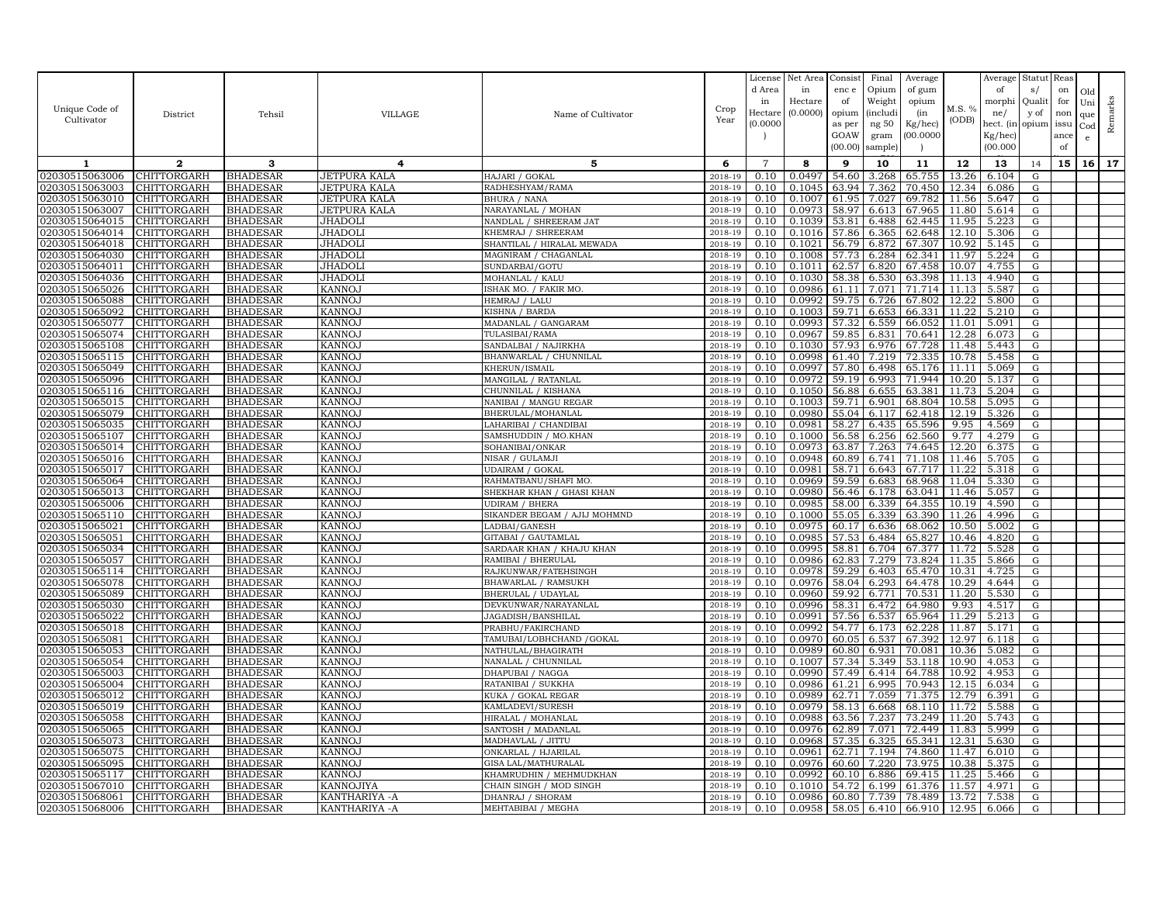|                                  |                            |                             |                                |                                           |                    | License        | Net Area         | Consist        | Final          | Average          |                | Average        | Statut Reas |      |              |         |
|----------------------------------|----------------------------|-----------------------------|--------------------------------|-------------------------------------------|--------------------|----------------|------------------|----------------|----------------|------------------|----------------|----------------|-------------|------|--------------|---------|
|                                  |                            |                             |                                |                                           |                    | d Area         | in               | enc e          | Opium          | of gum           |                | of             | s/          | on   | Old          |         |
|                                  |                            |                             |                                |                                           |                    | in             | Hectare          | of             | Weight         | opium            |                | morphi         | Qualit      | for  | Uni          |         |
| Unique Code of                   | District                   | Tehsil                      | VILLAGE                        | Name of Cultivator                        | Crop               | Hectar         | (0.0000)         | opium          | (includ:       | (in              | M.S. %         | ne/            | y of        | non  | que          |         |
| Cultivator                       |                            |                             |                                |                                           | Year               | (0.0000)       |                  | as per         | ng 50          | Kg/hec)          | (ODB)          | hect. (in      | opium issu  |      | $_{\rm Cod}$ | Remarks |
|                                  |                            |                             |                                |                                           |                    |                |                  | GOAW           | gram           | 00.0000          |                | Kg/hec)        |             | ance | e            |         |
|                                  |                            |                             |                                |                                           |                    |                |                  | (00.00)        | sample)        |                  |                | (00.000)       |             | of   |              |         |
| 1                                | $\mathbf{2}$               | 3                           | 4                              | 5                                         | 6                  | $\overline{7}$ | 8                | 9              | 10             | 11               | 12             | 13             | 14          | 15   | 16           | 17      |
| 02030515063006                   | CHITTORGARH                | <b>BHADESAR</b>             | JETPURA KALA                   | HAJARI / GOKAL                            | 2018-19            | 0.10           | 0.0497           | 54.60          | 3.268          | 65.755           | 13.26          | 6.104          | G           |      |              |         |
| 02030515063003                   | CHITTORGARH                | <b>BHADESAR</b>             | JETPURA KALA                   | RADHESHYAM/RAMA                           | 2018-19            | 0.10           | 0.1045           | 63.94          | 7.362          | 70.450           | 12.34          | 6.086          | G           |      |              |         |
| 02030515063010                   | CHITTORGARH                | BHADESAR                    | JETPURA KALA                   | BHURA / NANA                              | 2018-19            | 0.10           | 0.1007           | 61.95          | 7.027          | 69.782           | 11.56          | 5.647          | G           |      |              |         |
| 02030515063007                   | CHITTORGARH                | BHADESAR                    | <b>JETPURA KALA</b>            | NARAYANLAL / MOHAN                        | 2018-19            | 0.10           | 0.0973           | 58.97          | 6.613          | 67.965           | 11.80          | 5.614          | G           |      |              |         |
| 02030515064015                   | CHITTORGARH                | BHADESAR                    | JHADOLI                        | NANDLAL / SHREERAM JAT                    | 2018-19            | 0.10           | 0.1039           | 53.81          | 6.488          | 62.445           | 11.95          | 5.223          | G           |      |              |         |
| 02030515064014                   | CHITTORGARH                | <b>BHADESAR</b>             | <b>JHADOL</b>                  | KHEMRAJ / SHREERAM                        | 2018-19            | 0.10           | 0.1016           | 57.86          | 6.365          | 62.648           | 12.10          | 5.306          | G           |      |              |         |
| 02030515064018                   | CHITTORGARH                | <b>BHADESAR</b>             | JHADOLI                        | SHANTILAL / HIRALAL MEWADA                | 2018-19            | 0.10           | 0.1021           | 56.79          | 6.872          | 67.307           | 10.92          | 5.145          | G           |      |              |         |
| 02030515064030                   | CHITTORGARH                | BHADESAR                    | JHADOLI                        | MAGNIRAM / CHAGANLAL                      | 2018-19            | 0.10           | 0.1008           | 57.73          | 6.284          | 62.341           | 11.97          | 5.224          | G           |      |              |         |
| 02030515064011                   | CHITTORGARH                | BHADESAR                    | <b>JHADOL</b>                  | SUNDARBAI/GOTU                            | 2018-19            | 0.10           | 0.1011           | 62.57          | 6.820          | 67.458           | 10.07          | 4.755          | G           |      |              |         |
| 02030515064036                   | CHITTORGARH                | BHADESAR                    | JHADOLI                        | MOHANLAL / KALU                           | 2018-19            | 0.10           | 0.1030           | 58.38          | 6.530          | 63.398           | 11.13          | 4.940          | G           |      |              |         |
| 02030515065026                   | CHITTORGARH                | BHADESAR                    | <b>KANNOJ</b>                  | ISHAK MO. / FAKIR MO.                     | 2018-19            | 0.10           | 0.0986           | 61.11          | 7.071          | 71.714           | 11.13          | 5.587          | G           |      |              |         |
| 02030515065088                   | CHITTORGARH                | BHADESAR                    | <b>KANNOJ</b>                  | HEMRAJ / LALU                             | 2018-19            | 0.10           | 0.0992           | 59.75          | 6.726          | 67.802           | 12.22          | 5.800          | G           |      |              |         |
| 02030515065092                   | CHITTORGARH                | BHADESAR                    | <b>KANNOJ</b>                  | KISHNA / BARDA                            | 2018-19            | 0.10           | 0.1003           | 59.71          | 6.653          | 66.331           | 11.22          | 5.210          | G           |      |              |         |
| 02030515065077                   | CHITTORGARH                | BHADESAR                    | <b>KANNOJ</b>                  | MADANLAL / GANGARAM                       | 2018-19            | 0.10           | 0.0993           | 57.32          | 6.559          | 66.052           | 11.01          | 5.091          | G           |      |              |         |
| 02030515065074                   | CHITTORGARH                | BHADESAR                    | <b>KANNOJ</b>                  | TULASIBAI/RAMA                            | 2018-19            | 0.10           | 0.0967           | 59.85          | 6.831          | 70.641           | 12.28          | 6.073          | G           |      |              |         |
| 02030515065108                   | CHITTORGARH                | BHADESAR                    | <b>KANNOJ</b>                  | SANDALBAI / NAJIRKHA                      | 2018-19            | 0.10           | 0.1030           | 57.93          | 6.976          | 67.728           | 11.48          | 5.443          | G           |      |              |         |
| 02030515065115                   | <b>CHITTORGARH</b>         | BHADESAR                    | <b>KANNOJ</b>                  | BHANWARLAL / CHUNNILAL                    | 2018-19            | 0.10           | 0.0998           | 61.40          | 7.219          | 72.335           | 10.78          | 5.458          | G           |      |              |         |
| 02030515065049<br>02030515065096 | CHITTORGARH<br>CHITTORGARH | <b>BHADESAR</b><br>BHADESAR | <b>KANNOJ</b><br><b>KANNOJ</b> | KHERUN/ISMAII<br>MANGILAL / RATANLAI      | 2018-19<br>2018-19 | 0.10<br>0.10   | 0.0997<br>0.0972 | 57.80<br>59.19 | 6.498<br>6.993 | 65.176<br>71.944 | 11.11<br>10.20 | 5.069<br>5.137 | G<br>G      |      |              |         |
| 02030515065116                   | CHITTORGARH                | BHADESAR                    | KANNO.                         | CHUNNILAL / KISHANA                       | 2018-19            | 0.10           | 0.1050           | 56.88          | 6.655          | 63.381           | 11.73          | 5.204          | G           |      |              |         |
| 02030515065015                   | CHITTORGARH                | BHADESAR                    | <b>KANNOJ</b>                  | NANIBAI / MANGU REGAR                     | 2018-19            | 0.10           | 0.1003           | 59.71          | 6.901          | 68.804           | 10.58          | 5.095          | ${\rm G}$   |      |              |         |
| 02030515065079                   | CHITTORGARH                | <b>BHADESAR</b>             | <b>KANNOJ</b>                  | BHERULAL/MOHANLAL                         | 2018-19            | 0.10           | 0.0980           | 55.04          | 6.117          | 62.418           | 12.19          | 5.326          | G           |      |              |         |
| 02030515065035                   | CHITTORGARH                | BHADESAR                    | <b>KANNOJ</b>                  | LAHARIBAI / CHANDIBAI                     | 2018-19            | 0.10           | 0.0981           | 58.27          | 6.435          | 65.596           | 9.95           | 4.569          | G           |      |              |         |
| 02030515065107                   | CHITTORGARH                | BHADESAR                    | <b>KANNOJ</b>                  | SAMSHUDDIN / MO.KHAN                      | 2018-19            | 0.10           | 0.1000           | 56.58          | 6.256          | 62.560           | 9.77           | 4.279          | G           |      |              |         |
| 02030515065014                   | CHITTORGARH                | BHADESAR                    | <b>KANNOJ</b>                  | SOHANIBAI/ONKAR                           | 2018-19            | 0.10           | 0.0973           | 63.87          | 7.263          | 74.645           | 12.20          | 6.375          | $\mathbf G$ |      |              |         |
| 02030515065016                   | CHITTORGARH                | BHADESAR                    | <b>KANNOJ</b>                  | NISAR / GULAMJI                           | 2018-19            | 0.10           | 0.0948           | 60.89          | 6.741          | 71.108           | 11.46          | 5.705          | G           |      |              |         |
| 02030515065017                   | CHITTORGARH                | BHADESAR                    | <b>KANNOJ</b>                  | UDAIRAM / GOKAI                           | 2018-19            | 0.10           | 0.0981           | 58.71          | 6.643          | 67.717           | 11.22          | 5.318          | G           |      |              |         |
| 02030515065064                   | CHITTORGARH                | BHADESAR                    | <b>KANNOJ</b>                  | RAHMATBANU/SHAFI MO                       | 2018-19            | 0.10           | 0.0969           | 59.59          | 6.683          | 68.968           | 11.04          | 5.330          | G           |      |              |         |
| 02030515065013                   | CHITTORGARH                | <b>BHADESAR</b>             | <b>KANNOJ</b>                  | SHEKHAR KHAN / GHASI KHAN                 | 2018-19            | 0.10           | 0.0980           | 56.46          | 6.178          | 63.041           | 11.46          | 5.057          | G           |      |              |         |
| 02030515065006                   | CHITTORGARH                | BHADESAR                    | <b>KANNOJ</b>                  | UDIRAM / BHERA                            | 2018-19            | 0.10           | 0.0985           | 58.00          | 6.339          | 64.355           | 10.19          | 4.590          | G           |      |              |         |
| 02030515065110                   | CHITTORGARH                | <b>BHADESAR</b>             | <b>KANNOJ</b>                  | SIKANDER BEGAM / AJIJ MOHMND              | 2018-19            | 0.10           | 0.1000           | 55.05          | 6.339          | 63.390           | 11.26          | 4.996          | G           |      |              |         |
| 0203051506502                    | CHITTORGARH                | BHADESAR                    | <b>KANNOJ</b>                  | LADBAI/GANESH                             | 2018-19            | 0.10           | 0.0975           | 60.17          | 6.636          | 68.062           | 10.50          | 5.002          | G           |      |              |         |
| 02030515065051                   | CHITTORGARH                | BHADESAR                    | <b>KANNOJ</b>                  | GITABAI / GAUTAMLAL                       | 2018-19            | 0.10           | 0.0985           | 57.53          | 6.484          | 65.827           | 10.46          | 4.820          | G           |      |              |         |
| 02030515065034                   | CHITTORGARH                | BHADESAR                    | <b>KANNOJ</b>                  | SARDAAR KHAN / KHAJU KHAN                 | 2018-19            | 0.10           | 0.0995           | 58.81          | 6.704          | 67.377           | 11.72          | 5.528          | G           |      |              |         |
| 02030515065057                   | CHITTORGARH                | BHADESAR                    | <b>KANNOJ</b>                  | RAMIBAI / BHERULAL                        | 2018-19            | 0.10           | 0.0986           | 62.83          | 7.279          | 73.824           | 11.35          | 5.866          | G           |      |              |         |
| 02030515065114                   | CHITTORGARH                | BHADESAR                    | <b>KANNOJ</b>                  | RAJKUNWAR/FATEHSINGH                      | 2018-19            | 0.10           | 0.0978           | 59.29          | 6.403          | 65.470           | 10.31          | 4.725          | G           |      |              |         |
| 02030515065078                   | CHITTORGARH                | <b>BHADESAR</b>             | <b>KANNOJ</b>                  | BHAWARLAL / RAMSUKH                       | 2018-19            | 0.10           | 0.0976           | 58.04          | 6.293          | 64.478           | 10.29          | 4.644          | G           |      |              |         |
| 02030515065089                   | CHITTORGARH                | BHADESAR                    | <b>KANNOJ</b>                  | BHERULAL / UDAYLAL                        | 2018-19            | 0.10           | 0.0960           | 59.92          | 6.771          | 70.531           | 11.20          | 5.530          | G           |      |              |         |
| 02030515065030                   | CHITTORGARH                | BHADESAR                    | <b>KANNOJ</b>                  | DEVKUNWAR/NARAYANLAL                      | 2018-19            | 0.10           | 0.0996           | 58.31          | 6.472          | 64.980           | 9.93           | 4.517          | G           |      |              |         |
| 02030515065022                   | CHITTORGARH                | <b>BHADESAR</b>             | <b>KANNOJ</b>                  | JAGADISH/BANSHILAL                        | 2018-19            | 0.10           | 0.0991           | 57.56          | 6.537          | 65.964           | 11.29          | 5.213          | G           |      |              |         |
| 02030515065018                   | CHITTORGARH                | BHADESAR                    | KANNOJ                         | PRABHU/FAKIRCHAND                         | 2018-19            | 0.10           | 0.0992           | 54.77          | 6.173          | 62.228           | 11.87          | 5.171          | G           |      |              |         |
| 02030515065081                   | CHITTORGARH<br>CHITTORGARH | BHADESAR<br><b>BHADESAR</b> | <b>KANNOJ</b><br><b>KANNOJ</b> | TAMUBAI/LOBHCHAND /GOKAL                  | 2018-19            | 0.10           | 0.0970           | 60.05<br>60.80 | 6.537<br>6.931 | 67.392<br>70.081 | 12.97          | 6.118<br>5.082 | G           |      |              |         |
| 02030515065053<br>02030515065054 | CHITTORGARH                | BHADESAR                    | <b>KANNOJ</b>                  | NATHULAL/BHAGIRATH<br>NANALAL / CHUNNILAL | 2018-19<br>2018-19 | 0.10<br>0.10   | 0.0989<br>0.1007 | 57.34          | 5.349          | 53.118           | 10.36<br>10.90 | 4.053          | G<br>G      |      |              |         |
| 02030515065003                   | CHITTORGARH                | BHADESAR                    | <b>KANNOJ</b>                  | DHAPUBAI / NAGGA                          | 2018-19            | 0.10           | 0.0990           | 57.49          | 6.414          | 64.788           | 10.92          | 4.953          | G           |      |              |         |
| 02030515065004                   | CHITTORGARH                | BHADESAR                    | <b>KANNOJ</b>                  | RATANIBAI / SUKKHA                        | 2018-19            | 0.10           | 0.0986           | 61.21          | 6.995          | 70.943           | 12.15          | 6.034          | G           |      |              |         |
| 02030515065012                   | CHITTORGARH                | <b>BHADESAR</b>             | <b>KANNOJ</b>                  | KUKA / GOKAL REGAR                        | 2018-19            | 0.10           | 0.0989           | 62.71          | 7.059          | 71.375           | 12.79          | 6.391          | G           |      |              |         |
| 02030515065019                   | CHITTORGARH                | BHADESAR                    | KANNOJ                         | KAMLADEVI/SURESH                          | 2018-19            | 0.10           | 0.0979           | 58.13          | 6.668          | 68.110           | 11.72          | 5.588          | G           |      |              |         |
| 02030515065058                   | CHITTORGARH                | <b>BHADESAR</b>             | <b>KANNOJ</b>                  | HIRALAL / MOHANLAI                        | 2018-19            | 0.10           | 0.0988           | 63.56          | 7.237          | 73.249           | 11.20          | 5.743          | G           |      |              |         |
| 02030515065065                   | CHITTORGARH                | BHADESAR                    | <b>KANNOJ</b>                  | SANTOSH / MADANLAL                        | 2018-19            | 0.10           | 0.0976           | 62.89          | 7.071          | 72.449           | 11.83          | 5.999          | G           |      |              |         |
| 02030515065073                   | CHITTORGARH                | <b>BHADESAR</b>             | <b>KANNOJ</b>                  | MADHAVLAL / JITTU                         | 2018-19            | 0.10           | 0.0968           | 57.35          | 6.325          | 65.341           | 12.31          | 5.630          | G           |      |              |         |
| 02030515065075                   | <b>CHITTORGARH</b>         | BHADESAR                    | <b>KANNOJ</b>                  | ONKARLAL / HJARILAL                       | 2018-19            | 0.10           | 0.0961           | 62.71          | 7.194          | 74.860           | 11.47          | 6.010          | G           |      |              |         |
| 02030515065095                   | CHITTORGARH                | <b>BHADESAR</b>             | <b>KANNOJ</b>                  | <b>GISA LAL/MATHURALAL</b>                | 2018-19            | 0.10           | 0.0976           | 60.60          | 7.220          | 73.975           | 10.38          | 5.375          | G           |      |              |         |
| 02030515065117                   | CHITTORGARH                | BHADESAR                    | <b>KANNOJ</b>                  | KHAMRUDHIN / MEHMUDKHAN                   | 2018-19            | 0.10           | 0.0992           | 60.10          | 6.886          | 69.415           | 11.25          | 5.466          | $\mathbf G$ |      |              |         |
| 02030515067010                   | CHITTORGARH                | BHADESAR                    | KANNOJIYA                      | CHAIN SINGH / MOD SINGH                   | 2018-19            | 0.10           | 0.1010           | 54.72          | 6.199          | 61.376           | 11.57          | 4.971          | G           |      |              |         |
| 02030515068061                   | CHITTORGARH                | BHADESAR                    | KANTHARIYA - A                 | DHANRAJ / SHORAM                          | 2018-19            | 0.10           | 0.0986           | 60.80          | 7.739          | 78.489           | 13.72          | 7.538          | G           |      |              |         |
| 02030515068006                   | CHITTORGARH                | BHADESAR                    | KANTHARIYA - A                 | MEHTABIBAI / MEGHA                        | 2018-19            | 0.10           | 0.0958           | 58.05          | 6.410          | 66.910 12.95     |                | 6.066          | G           |      |              |         |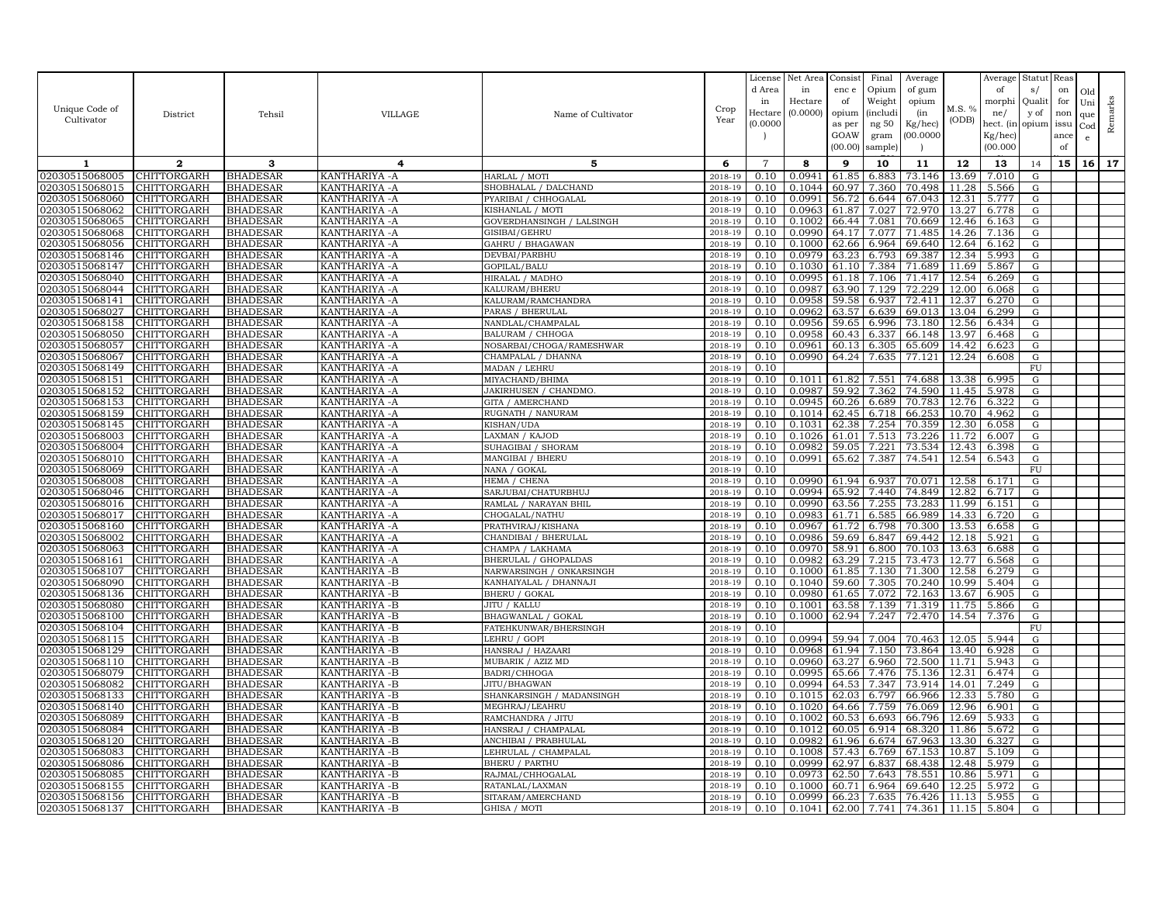|                                  |                            |                                    |                                  |                                             |                    | License        | Net Area         | Consist        | Final          | Average          |                | Average        | Statut Reas |      |              |         |
|----------------------------------|----------------------------|------------------------------------|----------------------------------|---------------------------------------------|--------------------|----------------|------------------|----------------|----------------|------------------|----------------|----------------|-------------|------|--------------|---------|
|                                  |                            |                                    |                                  |                                             |                    | d Area         | in               | enc e          | Opium          | of gum           |                | of             | s/          | on   | Old          |         |
| Unique Code of                   |                            |                                    |                                  |                                             | Crop               | in             | Hectare          | of             | Weight         | opium            | M.S. %         | morphi         | Qualit      | for  | Uni          | Remarks |
| Cultivator                       | District                   | Tehsil                             | <b>VILLAGE</b>                   | Name of Cultivator                          | Year               | Hectar         | (0.0000)         | opium          | (includ:       | (in              | (ODB)          | ne/            | y of        | non  | que          |         |
|                                  |                            |                                    |                                  |                                             |                    | (0.0000)       |                  | as per         | ng 50          | Kg/hec)          |                | hect. (in      | opium issu  |      | $_{\rm Cod}$ |         |
|                                  |                            |                                    |                                  |                                             |                    |                |                  | GOAW           | gram           | 00.0000          |                | Kg/hec)        |             | ance | e            |         |
|                                  |                            |                                    |                                  |                                             |                    |                |                  | (00.00)        | sample)        |                  |                | (00.000)       |             | of   |              |         |
| 1                                | $\mathbf{2}$               | 3                                  | 4                                | 5                                           | 6                  | $\overline{7}$ | 8                | 9              | 10             | 11               | 12             | 13             | 14          | 15   | 16           | 17      |
| 02030515068005                   | CHITTORGARH                | <b>BHADESAR</b>                    | KANTHARIYA - A                   | HARLAL / MOTI                               | 2018-19            | 0.10           | 0.0941           | 61.85          | 6.883          | 73.146           | 13.69          | 7.010          | G           |      |              |         |
| 02030515068015                   | <b>CHITTORGARH</b>         | <b>BHADESAR</b>                    | KANTHARIYA - A                   | SHOBHALAL / DALCHAND                        | 2018-19            | 0.10           | 0.1044           | 60.97          | 7.360          | 70.498           | 11.28          | 5.566          | G           |      |              |         |
| 02030515068060                   | CHITTORGARH                | <b>BHADESAR</b>                    | KANTHARIYA - A                   | PYARIBAI / CHHOGALAL                        | 2018-19            | 0.10           | 0.0991           | 56.72          | 6.644          | 67.043           | 12.31          | 5.777          | G           |      |              |         |
| 02030515068062                   | CHITTORGARH                | <b>BHADESAR</b>                    | KANTHARIYA - A                   | KISHANLAL / MOTI                            | 2018-19            | 0.10           | 0.0963           | 61.87          | 7.027          | 72.970           | 13.27          | 6.778          | G           |      |              |         |
| 02030515068065                   | CHITTORGARH                | <b>BHADESAR</b>                    | KANTHARIYA - A                   | GOVERDHANSINGH / LALSINGH                   | 2018-19            | 0.10           | 0.1002           | 66.44          | 7.081          | 70.669           | 12.46          | 6.163          | G           |      |              |         |
| 02030515068068<br>02030515068056 | CHITTORGARH<br>CHITTORGARH | <b>BHADESAR</b><br><b>BHADESAR</b> | KANTHARIYA - A<br>KANTHARIYA - A | GISIBAI/GEHRU<br>GAHRU / BHAGAWAN           | 2018-19<br>2018-19 | 0.10<br>0.10   | 0.0990<br>0.1000 | 64.17<br>62.66 | 7.077<br>6.964 | 71.485<br>69.640 | 14.26<br>12.64 | 7.136<br>6.162 | G<br>G      |      |              |         |
| 02030515068146                   | CHITTORGARH                | <b>BHADESAR</b>                    | KANTHARIYA - A                   | DEVBAI/PARBHU                               | 2018-19            | 0.10           | 0.0979           | 63.23          | 6.793          | 69.387           | 12.34          | 5.993          | G           |      |              |         |
| 02030515068147                   | CHITTORGARH                | <b>BHADESAR</b>                    | KANTHARIYA - A                   | GOPILAL/BALU                                | 2018-19            | 0.10           | 0.1030           | 61.10          | 7.384          | 71.689           | 11.69          | 5.867          | G           |      |              |         |
| 02030515068040                   | CHITTORGARH                | <b>BHADESAR</b>                    | KANTHARIYA - A                   | HIRALAL / MADHO                             | 2018-19            | 0.10           | 0.0995           | 61.18          | 7.106          | 71.417           | 12.54          | 6.269          | G           |      |              |         |
| 02030515068044                   | <b>CHITTORGARH</b>         | <b>BHADESAR</b>                    | KANTHARIYA - A                   | KALURAM/BHERU                               | 2018-19            | 0.10           | 0.0987           | 63.90          | 7.129          | 72.229           | 12.00          | 6.068          | G           |      |              |         |
| 02030515068141                   | CHITTORGARH                | <b>BHADESAR</b>                    | KANTHARIYA - A                   | KALURAM/RAMCHANDRA                          | 2018-19            | 0.10           | 0.0958           | 59.58          | 6.937          | 72.411           | 12.37          | 6.270          | G           |      |              |         |
| 02030515068027                   | CHITTORGARH                | <b>BHADESAR</b>                    | KANTHARIYA - A                   | PARAS / BHERULAL                            | 2018-19            | 0.10           | 0.0962           | 63.57          | 6.639          | 69.013           | 13.04          | 6.299          | G           |      |              |         |
| 02030515068158                   | CHITTORGARH                | <b>BHADESAR</b>                    | KANTHARIYA - A                   | NANDLAL/CHAMPALAL                           | 2018-19            | 0.10           | 0.0956           | 59.65          | 6.996          | 73.180           | 12.56          | 6.434          | G           |      |              |         |
| 02030515068050                   | <b>CHITTORGARH</b>         | <b>BHADESAR</b>                    | KANTHARIYA - A                   | BALURAM / CHHOGA                            | 2018-19            | 0.10           | 0.0958           | 60.43          | 6.337          | 66.148           | 13.97          | 6.468          | G           |      |              |         |
| 02030515068057                   | CHITTORGARH                | <b>BHADESAR</b>                    | KANTHARIYA - A                   | NOSARBAI/CHOGA/RAMESHWAR                    | 2018-19            | 0.10           | 0.0961           | 60.13          | 6.305          | 65.609           | 14.42          | 6.623          | G           |      |              |         |
| 02030515068067                   | CHITTORGARH                | <b>BHADESAR</b>                    | KANTHARIYA - A                   | CHAMPALAL / DHANNA                          | $2018 - 1$         | 0.10           | 0.0990           | 64.24          | 7.635          | 77.121           | 12.24          | 6.608          | G           |      |              |         |
| 02030515068149                   | CHITTORGARH                | <b>BHADESAR</b>                    | KANTHARIYA -A                    | MADAN / LEHRU                               | 2018-19            | 0.10           |                  |                |                |                  |                |                | FU          |      |              |         |
| 02030515068151                   | CHITTORGARH                | <b>BHADESAR</b>                    | KANTHARIYA - A                   | MIYACHAND/BHIMA                             | 2018-19            | 0.10           | 0.1011           | 61.82          | 7.551          | 74.688           | 13.38          | 6.995          | G           |      |              |         |
| 02030515068152                   | CHITTORGARH                | <b>BHADESAR</b>                    | KANTHARIYA - A                   | JAKIRHUSEN / CHANDMO.                       | 2018-19            | 0.10           | 0.0987           | 59.92          | 7.362          | 74.590           | 11.45          | 5.978          | G           |      |              |         |
| 02030515068153                   | CHITTORGARH                | <b>BHADESAR</b>                    | KANTHARIYA - A                   | <b>GITA / AMERCHAND</b>                     | 2018-19            | 0.10           | 0.0945           | 60.26          | 6.689          | 70.783           | 12.76          | 6.322          | G           |      |              |         |
| 02030515068159                   | CHITTORGARH                | <b>BHADESAR</b>                    | KANTHARIYA - A                   | RUGNATH / NANURAM                           | 2018-19            | 0.10           | 0.1014           | 62.45          | 6.718          | 66.253           | 10.70          | 4.962          | G           |      |              |         |
| 02030515068145                   | CHITTORGARH                | <b>BHADESAR</b>                    | KANTHARIYA - A                   | KISHAN/UDA                                  | 2018-19            | 0.10           | 0.1031           | 62.38          | 7.254          | 70.359           | 12.30          | 6.058          | G           |      |              |         |
| 02030515068003                   | CHITTORGARH                | <b>BHADESAR</b>                    | KANTHARIYA - A                   | LAXMAN / KAJOD                              | 2018-19            | 0.10           | 0.1026           | 61.01          | 7.513          | 73.226           | 11.72          | 6.007          | G           |      |              |         |
| 02030515068004<br>02030515068010 | CHITTORGARH                | <b>BHADESAR</b>                    | KANTHARIYA -A                    | SUHAGIBAI / SHORAM                          | 2018-19            | 0.10           | 0.0982<br>0.0991 | 59.05<br>65.62 | 7.221          | 73.534<br>74.541 | 12.43<br>12.54 | 6.398          | G<br>G      |      |              |         |
| 02030515068069                   | CHITTORGARH<br>CHITTORGARH | <b>BHADESAR</b><br><b>BHADESAR</b> | KANTHARIYA -A<br>KANTHARIYA - A  | MANGIBAI / BHERU<br>NANA / GOKAL            | 2018-19<br>2018-19 | 0.10<br>0.10   |                  |                | 7.387          |                  |                | 6.543          | FU          |      |              |         |
| 02030515068008                   | CHITTORGARH                | <b>BHADESAR</b>                    | KANTHARIYA - A                   | HEMA / CHENA                                | 2018-19            | 0.10           | 0.0990           | 61.94          | 6.937          | 70.071           | 12.58          | 6.171          | G           |      |              |         |
| 02030515068046                   | CHITTORGARH                | <b>BHADESAR</b>                    | KANTHARIYA - A                   | SARJUBAI/CHATURBHUJ                         | 2018-19            | 0.10           | 0.0994           | 65.92          | 7.440          | 74.849           | 12.82          | 6.717          | G           |      |              |         |
| 02030515068016                   | CHITTORGARH                | <b>BHADESAR</b>                    | KANTHARIYA - A                   | RAMLAL / NARAYAN BHIL                       | 2018-19            | 0.10           | 0.0990           | 63.56          | 7.255          | 73.283           | 11.99          | 6.151          | G           |      |              |         |
| 02030515068017                   | CHITTORGARH                | <b>BHADESAR</b>                    | KANTHARIYA - A                   | CHOGALAL/NATHU                              | 2018-19            | 0.10           | 0.0983           | 61.71          | 6.585          | 66.989           | 14.33          | 6.720          | G           |      |              |         |
| 02030515068160                   | CHITTORGARH                | <b>BHADESAR</b>                    | KANTHARIYA - A                   | PRATHVIRAJ/KISHANA                          | 2018-19            | 0.10           | 0.0967           | 61.72          | 6.798          | 70.300           | 13.53          | 6.658          | G           |      |              |         |
| 02030515068002                   | CHITTORGARH                | <b>BHADESAR</b>                    | KANTHARIYA - A                   | CHANDIBAI / BHERULAL                        | 2018-19            | 0.10           | 0.0986           | 59.69          | 6.847          | 69.442           | 12.18          | 5.921          | G           |      |              |         |
| 02030515068063                   | CHITTORGARH                | <b>BHADESAR</b>                    | KANTHARIYA - A                   | CHAMPA / LAKHAMA                            | 2018-19            | 0.10           | 0.0970           | 58.91          | 6.800          | 70.103           | 13.63          | 6.688          | G           |      |              |         |
| 02030515068161                   | CHITTORGARH                | <b>BHADESAR</b>                    | KANTHARIYA - A                   | <b>BHERULAL / GHOPALDAS</b>                 | 2018-19            | 0.10           | 0.0982           | 63.29          | 7.215          | 73.473           | 12.77          | 6.568          | G           |      |              |         |
| 02030515068107                   | CHITTORGARH                | <b>BHADESAR</b>                    | KANTHARIYA - B                   | NARWARSINGH / ONKARSINGH                    | 2018-19            | 0.10           | 0.1000           | 61.85          | 7.130          | 71.300           | 12.58          | 6.279          | G           |      |              |         |
| 02030515068090                   | CHITTORGARH                | <b>BHADESAR</b>                    | KANTHARIYA - B                   | KANHAIYALAL / DHANNAJI                      | 2018-19            | 0.10           | 0.1040           | 59.60          | 7.305          | 70.240           | 10.99          | 5.404          | G           |      |              |         |
| 02030515068136                   | CHITTORGARH                | <b>BHADESAR</b>                    | KANTHARIYA - B                   | <b>BHERU / GOKAL</b>                        | 2018-19            | 0.10           | 0.0980           | 61.65          | 7.072          | 72.163           | 13.67          | 6.905          | G           |      |              |         |
| 02030515068080                   | CHITTORGARH                | <b>BHADESAR</b>                    | KANTHARIYA - B                   | JITU / KALLU                                | 2018-19            | 0.10           | 0.1001           | 63.58          | 7.139          | 71.319           | 11.75          | 5.866          | G           |      |              |         |
| 02030515068100<br>02030515068104 | CHITTORGARH<br>CHITTORGARH | <b>BHADESAR</b>                    | KANTHARIYA - B                   | BHAGWANLAL / GOKAL<br>FATEHKUNWAR/BHERSINGH | 2018-19<br>2018-19 | 0.10<br>0.10   | 0.1000           | 62.94          | 7.247          | 72.470           | 14.54          | 7.376          | G<br>FU     |      |              |         |
| 02030515068115                   | CHITTORGARH                | <b>BHADESAR</b><br><b>BHADESAR</b> | KANTHARIYA - B<br>KANTHARIYA - B | LEHRU / GOPI                                | 2018-19            | 0.10           | 0.0994           | 59.94          | 7.004          | 70.463           | 12.05          | 5.944          | G           |      |              |         |
| 02030515068129                   | CHITTORGARH                | <b>BHADESAR</b>                    | KANTHARIYA - B                   | HANSRAJ / HAZAARI                           | 2018-19            | 0.10           | 0.0968           | 61.94          | 7.150          | 73.864           | 13.40          | 6.928          | G           |      |              |         |
| 02030515068110                   | CHITTORGARH                | <b>BHADESAR</b>                    | KANTHARIYA - B                   | MUBARIK / AZIZ MD                           | 2018-19            | 0.10           | 0.0960           | 63.27          | 6.960          | 72.500           | 11.71          | 5.943          | G           |      |              |         |
| 02030515068079                   | CHITTORGARH                | <b>BHADESAR</b>                    | KANTHARIYA -B                    | BADRI/CHHOGA                                | 2018-19            | 0.10           | 0.0995           | 65.66          | 7.476          | 75.136           | 12.31          | 6.474          | G           |      |              |         |
| 02030515068082                   | CHITTORGARH                | <b>BHADESAR</b>                    | KANTHARIYA - B                   | JITU/BHAGWAN                                | 2018-19            | 0.10           | 0.0994           | 64.53          | 7.347          | 73.914           | 14.01          | 7.249          | G           |      |              |         |
| 02030515068133                   | CHITTORGARH                | <b>BHADESAR</b>                    | KANTHARIYA -B                    | SHANKARSINGH / MADANSINGH                   | 2018-19            | 0.10           | 0.1015           | 62.03          | 6.797          | 66.966           | 12.33          | 5.780          | G           |      |              |         |
| 02030515068140                   | CHITTORGARH                | <b>BHADESAR</b>                    | KANTHARIYA - B                   | MEGHRAJ/LEAHRU                              | 2018-19            | 0.10           | 0.1020           | 64.66          | 7.759          | 76.069           | 12.96          | 6.901          | G           |      |              |         |
| 02030515068089                   | CHITTORGARH                | <b>BHADESAR</b>                    | KANTHARIYA - B                   | RAMCHANDRA / JITU                           | 2018-19            | 0.10           | 0.1002           | 60.53          | 6.693          | 66.796           | 12.69          | 5.933          | G           |      |              |         |
| 02030515068084                   | CHITTORGARH                | <b>BHADESAR</b>                    | KANTHARIYA - B                   | HANSRAJ / CHAMPALAL                         | 2018-19            | 0.10           | 0.1012           | 60.05          | 6.914          | 68.320           | 11.86          | 5.672          | G           |      |              |         |
| 02030515068120                   | CHITTORGARH                | <b>BHADESAR</b>                    | KANTHARIYA - B                   | ANCHIBAI / PRABHULAL                        | 2018-19            | 0.10           | 0.0982           | 61.96          | 6.674          | 67.963           | 13.30          | 6.327          | G           |      |              |         |
| 02030515068083                   | CHITTORGARH                | <b>BHADESAR</b>                    | KANTHARIYA - B                   | LEHRULAL / CHAMPALAL                        | 2018-19            | 0.10           | 0.1008           | 57.43          | 6.769          | 67.153           | 10.87          | 5.109          | G           |      |              |         |
| 02030515068086                   | CHITTORGARH                | <b>BHADESAR</b>                    | KANTHARIYA - B                   | BHERU / PARTHU                              | 2018-19            | 0.10           | 0.0999           | 62.97          | 6.837          | 68.438           | 12.48          | 5.979          | G           |      |              |         |
| 02030515068085                   | CHITTORGARH                | <b>BHADESAR</b>                    | KANTHARIYA - B                   | RAJMAL/CHHOGALAI                            | 2018-19            | 0.10           | 0.0973           | 62.50          | 7.643          | 78.551           | 10.86          | 5.971          | G           |      |              |         |
| 02030515068155                   | CHITTORGARH                | <b>BHADESAR</b>                    | KANTHARIYA - B                   | RATANLAL/LAXMAN                             | 2018-19            | 0.10           | 0.1000           | 60.71          | 6.964          | 69.640           | 12.25          | 5.972          | G           |      |              |         |
| 02030515068156                   | <b>CHITTORGARH</b>         | <b>BHADESAR</b>                    | KANTHARIYA - B                   | SITARAM/AMERCHAND                           | 2018-19            | 0.10           | 0.0999           | 66.23          | 7.635          | 76.426           | 11.13          | 5.955          | G           |      |              |         |
| 02030515068137                   | <b>CHITTORGARH</b>         | <b>BHADESAR</b>                    | KANTHARIYA - B                   | GHISA / MOTI                                | 2018-19            | 0.10           | 0.1041           | 62.00          | 7.741          | 74.361           | 11.15          | 5.804          | G           |      |              |         |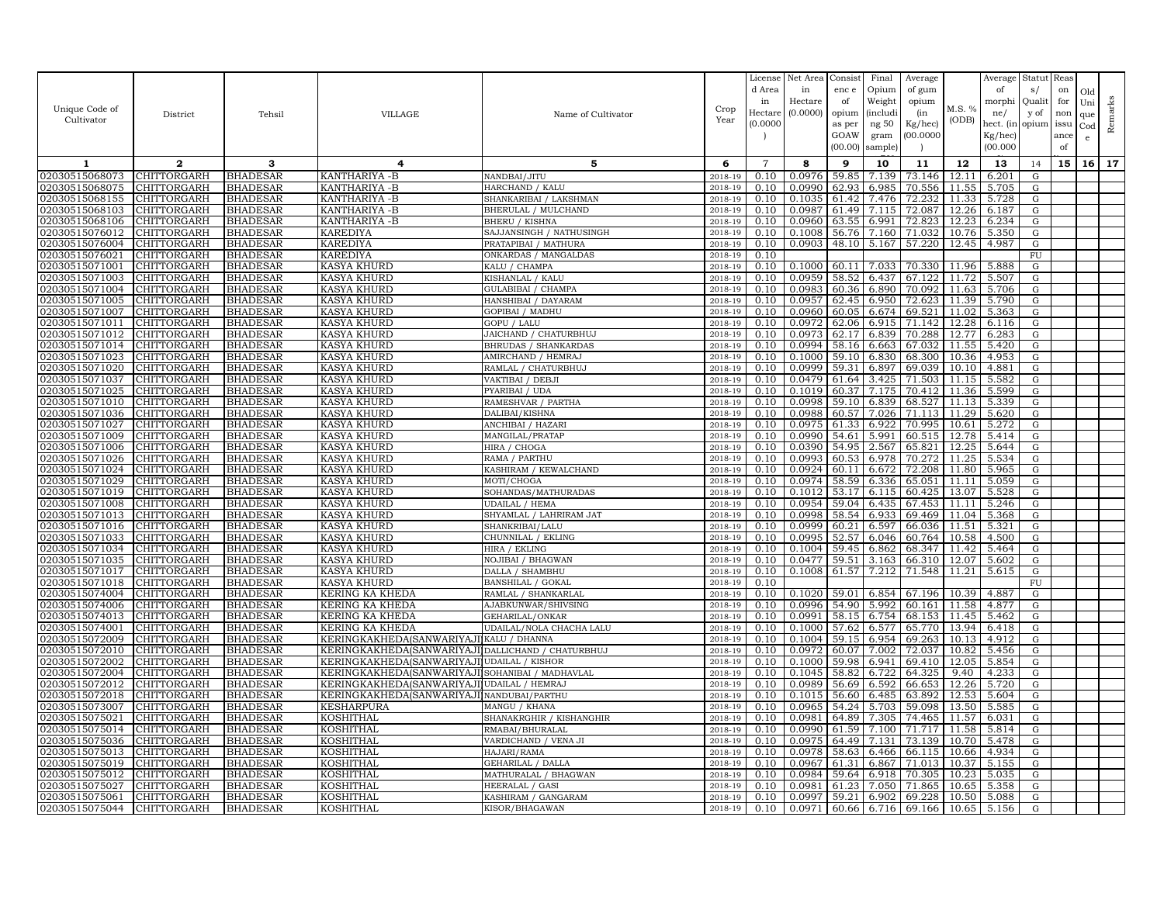|                                  |                            |                                    |                                                       |                                          |                    | License        | Net Area         | Consist        | Final           | Average                                 |                | Average                | Statut                 | Reas      |            |           |
|----------------------------------|----------------------------|------------------------------------|-------------------------------------------------------|------------------------------------------|--------------------|----------------|------------------|----------------|-----------------|-----------------------------------------|----------------|------------------------|------------------------|-----------|------------|-----------|
|                                  |                            |                                    |                                                       |                                          |                    | d Area<br>in   | in<br>Hectare    | enc e<br>of    | Opium<br>Weight | of gum<br>opium                         |                | of<br>morphi           | s/<br>Quali            | on<br>for | Old<br>Uni |           |
| Unique Code of                   | District                   | Tehsil                             | <b>VILLAGE</b>                                        | Name of Cultivator                       | Crop               | Hectare        | (0.0000)         | opium          | <i>(includi</i> | (in                                     | M.S. %         | ne/                    | y of                   | non       | que        | Remarks   |
| Cultivator                       |                            |                                    |                                                       |                                          | Year               | (0.0000)       |                  | as per         | ng $50\,$       | Kg/hec)                                 | (ODB)          | hect. (in              | opium                  | issu      | Cod        |           |
|                                  |                            |                                    |                                                       |                                          |                    |                |                  | GOAW           | gram            | (00.0000)                               |                | $Kg/$ hec)             |                        | ance      | $\epsilon$ |           |
|                                  |                            |                                    |                                                       |                                          |                    |                |                  | (00.00)        | sample)         |                                         |                | (00.000)               |                        | of        |            |           |
| 1                                | $\boldsymbol{2}$           | 3                                  | 4                                                     | 5                                        | 6                  | $\overline{7}$ | 8                | 9              | 10              | 11                                      | 12             | 13                     | 14                     | 15        |            | $16$   17 |
| 02030515068073                   | CHITTORGARH                | <b>BHADESAR</b>                    | KANTHARIYA -B                                         | NANDBAI/JITU                             | 2018-19            | 0.10           | 0.0976           | 59.85          | 7.139           | 73.146                                  | 12.11          | 6.201                  | G                      |           |            |           |
| 02030515068075                   | CHITTORGARH                | <b>BHADESAR</b>                    | KANTHARIYA - B                                        | HARCHAND / KALU                          | 2018-19            | 0.10           | 0.0990           | 62.93          | 6.985           | 70.556                                  | 11.55          | 5.705                  | ${\rm G}$              |           |            |           |
| 02030515068155                   | CHITTORGARH                | <b>BHADESAR</b>                    | KANTHARIYA -B                                         | SHANKARIBAI / LAKSHMAN                   | 2018-19            | 0.10           | 0.1035           | 61.42          | 7.476           | 72.232                                  | 11.33          | 5.728                  | ${\rm G}$              |           |            |           |
| 02030515068103<br>02030515068106 | CHITTORGARH<br>CHITTORGARH | <b>BHADESAR</b><br><b>BHADESAR</b> | KANTHARIYA -B<br>KANTHARIYA -B                        | BHERULAL / MULCHAND<br>BHERU / KISHNA    | 2018-19<br>2018-19 | 0.10<br>0.10   | 0.0987<br>0.0960 | 61.49<br>63.55 | 7.115<br>6.991  | 72.087<br>72.823                        | 12.26<br>12.23 | 6.187<br>6.234         | G<br>G                 |           |            |           |
| 02030515076012                   | CHITTORGARH                | <b>BHADESAR</b>                    | <b>KAREDIYA</b>                                       | SAJJANSINGH / NATHUSINGH                 | 2018-19            | 0.10           | 0.1008           | 56.76          | 7.160           | 71.032                                  | 10.76          | 5.350                  | ${\rm G}$              |           |            |           |
| 02030515076004                   | CHITTORGARH                | <b>BHADESAR</b>                    | KAREDIYA                                              | PRATAPIBAI / MATHURA                     | 2018-19            | 0.10           | 0.0903           |                | 48.10 5.167     | 57.220                                  |                | 12.45 4.987            | G                      |           |            |           |
| 02030515076021                   | CHITTORGARH                | <b>BHADESAR</b>                    | KAREDIYA                                              | ONKARDAS / MANGALDAS                     | 2018-19            | 0.10           |                  |                |                 |                                         |                |                        | FU                     |           |            |           |
| 02030515071001                   | CHITTORGARH                | <b>BHADESAR</b>                    | <b>KASYA KHURD</b>                                    | KALU / CHAMPA                            | 2018-19            | 0.10           | 0.1000           | 60.11          | 7.033           | 70.330                                  | 11.96          | 5.888                  | G                      |           |            |           |
| 02030515071003                   | CHITTORGARH                | <b>BHADESAR</b>                    | KASYA KHURD                                           | KISHANLAL / KALU                         | 2018-19            | 0.10           | 0.0959           | 58.52          | 6.437           | 67.122                                  | 11.72          | 5.507                  | ${\rm G}$              |           |            |           |
| 02030515071004                   | CHITTORGARH                | <b>BHADESAR</b>                    | KASYA KHURD                                           | GULABIBAI / CHAMPA                       | 2018-19            | 0.10           | 0.0983           | 60.36          | 6.890           | 70.092                                  | 11.63          | 5.706                  | G                      |           |            |           |
| 02030515071005                   | CHITTORGARH                | <b>BHADESAR</b>                    | KASYA KHURD                                           | HANSHIBAI / DAYARAM                      | 2018-19            | 0.10           | 0.0957           | 62.45          | 6.950           | 72.623                                  | 11.39          | 5.790                  | G                      |           |            |           |
| 02030515071007<br>02030515071011 | CHITTORGARH<br>CHITTORGARH | <b>BHADESAR</b><br><b>BHADESAR</b> | KASYA KHURD<br>KASYA KHURD                            | GOPIBAI / MADHU<br>GOPU / LALU           | 2018-19<br>2018-19 | 0.10<br>0.10   | 0.0960<br>0.0972 | 60.05<br>62.06 | 6.674<br>6.915  | 69.521<br>71.142                        | 11.02          | 5.363<br>$12.28$ 6.116 | ${\rm G}$<br>${\rm G}$ |           |            |           |
| 02030515071012                   | CHITTORGARH                | <b>BHADESAR</b>                    | KASYA KHURD                                           | JAICHAND / CHATURBHUJ                    | 2018-19            | 0.10           | 0.0973           | 62.17          | 6.839           | 70.288                                  | 12.77          | 6.283                  | G                      |           |            |           |
| 02030515071014                   | CHITTORGARH                | <b>BHADESAR</b>                    | KASYA KHURD                                           | BHRUDAS / SHANKARDAS                     | 2018-19            | 0.10           | 0.0994           | 58.16          | 6.663           | 67.032                                  | 11.55          | 5.420                  | G                      |           |            |           |
| 02030515071023                   | CHITTORGARH                | <b>BHADESAR</b>                    | KASYA KHURD                                           | AMIRCHAND / HEMRAJ                       | 2018-19            | 0.10           | 0.1000           | 59.10          | 6.830           | 68.300                                  | 10.36          | 4.953                  | ${\rm G}$              |           |            |           |
| 02030515071020                   | CHITTORGARH                | <b>BHADESAR</b>                    | KASYA KHURD                                           | RAMLAL / CHATURBHUJ                      | 2018-19            | 0.10           | 0.0999           | 59.31          | 6.897           | 69.039                                  | 10.10          | 4.881                  | G                      |           |            |           |
| 02030515071037                   | CHITTORGARH                | <b>BHADESAR</b>                    | <b>KASYA KHURD</b>                                    | VAKTIBAI / DEBJI                         | 2018-19            | 0.10           | 0.0479           | 61.64          | 3.425           | 71.503                                  | 11.15          | 5.582                  | G                      |           |            |           |
| 02030515071025                   | CHITTORGARH                | <b>BHADESAR</b>                    | KASYA KHURD                                           | PYARIBAI / UDA                           | 2018-19            | 0.10           | 0.1019           | 60.37          | 7.175           | 70.412                                  | 11.36          | 5.599                  | G                      |           |            |           |
| 02030515071010                   | CHITTORGARH                | <b>BHADESAR</b>                    | KASYA KHURD                                           | RAMESHVAR / PARTHA                       | 2018-19            | 0.10           | 0.0998           | 59.10          | 6.839           | 68.527                                  | 11.13          | 5.339                  | ${\rm G}$              |           |            |           |
| 02030515071036                   | CHITTORGARH                | <b>BHADESAR</b>                    | KASYA KHURD                                           | DALIBAI/KISHNA                           | 2018-19            | 0.10           | 0.0988           | 60.57          | 7.026           | 71.113                                  | 11.29          | 5.620                  | ${\rm G}$              |           |            |           |
| 02030515071027<br>02030515071009 | CHITTORGARH<br>CHITTORGARH | <b>BHADESAR</b><br><b>BHADESAR</b> | KASYA KHURD<br>KASYA KHURD                            | ANCHIBAI / HAZARI                        | 2018-19<br>2018-19 | 0.10<br>0.10   | 0.0975<br>0.0990 | 61.33<br>54.61 | 6.922<br>5.991  | 70.995<br>60.515                        | 10.61<br>12.78 | 5.272<br>5.414         | G<br>G                 |           |            |           |
| 02030515071006                   | CHITTORGARH                | <b>BHADESAR</b>                    | KASYA KHURD                                           | MANGILAL/PRATAP<br>HIRA / CHOGA          | 2018-19            | 0.10           | 0.0390           | 54.95          | 2.567           | 65.821                                  | 12.25          | 5.644                  | G                      |           |            |           |
| 02030515071026                   | CHITTORGARH                | <b>BHADESAR</b>                    | KASYA KHURD                                           | RAMA / PARTHU                            | 2018-19            | 0.10           | 0.0993           | 60.53          | 6.978           | 70.272                                  | 11.25          | 5.534                  | ${\rm G}$              |           |            |           |
| 02030515071024                   | CHITTORGARH                | <b>BHADESAR</b>                    | KASYA KHURD                                           | KASHIRAM / KEWALCHAND                    | 2018-19            | 0.10           | 0.0924           | 60.11          | 6.672           | 72.208                                  | 11.80          | 5.965                  | G                      |           |            |           |
| 02030515071029                   | CHITTORGARH                | <b>BHADESAR</b>                    | KASYA KHURD                                           | MOTI/CHOGA                               | 2018-19            | 0.10           | 0.0974           | 58.59          | 6.336           | 65.051                                  |                | 11.11 5.059            | ${\rm G}$              |           |            |           |
| 02030515071019                   | CHITTORGARH                | <b>BHADESAR</b>                    | KASYA KHURD                                           | SOHANDAS/MATHURADAS                      | 2018-19            | 0.10           | 0.1012           | 53.17          | 6.115           | 60.425                                  | 13.07          | 5.528                  | ${\rm G}$              |           |            |           |
| 02030515071008                   | CHITTORGARH                | <b>BHADESAR</b>                    | KASYA KHURD                                           | UDAILAL / HEMA                           | 2018-19            | 0.10           | 0.0954           | 59.04          | 6.435           | 67.453                                  | 11.11          | 5.246                  | G                      |           |            |           |
| 02030515071013                   | CHITTORGARH                | <b>BHADESAR</b>                    | KASYA KHURD                                           | SHYAMLAL / LAHRIRAM JAT                  | 2018-19            | 0.10           | 0.0998           | 58.54          | 6.933           | 69.469                                  | 11.04          | 5.368                  | G                      |           |            |           |
| 02030515071016<br>02030515071033 | CHITTORGARH                | <b>BHADESAR</b><br><b>BHADESAR</b> | KASYA KHURD                                           | SHANKRIBAI/LALU<br>CHUNNILAL / EKLING    | 2018-19<br>2018-19 | 0.10<br>0.10   | 0.0999<br>0.0995 | 60.21<br>52.57 | 6.597<br>6.046  | 66.036<br>60.764                        | 11.51<br>10.58 | 5.321                  | ${\rm G}$<br>G         |           |            |           |
| 02030515071034                   | CHITTORGARH<br>CHITTORGARH | <b>BHADESAR</b>                    | KASYA KHURD<br>KASYA KHURD                            | HIRA / EKLING                            | 2018-19            | 0.10           | 0.1004           | 59.45          | 6.862           | 68.347                                  | 11.42          | 4.500<br>5.464         | G                      |           |            |           |
| 02030515071035                   | CHITTORGARH                | <b>BHADESAR</b>                    | KASYA KHURD                                           | NOJIBAI / BHAGWAN                        | 2018-19            | 0.10           | 0.0477           | 59.51          | 3.163           | 66.310                                  | 12.07          | 5.602                  | ${\rm G}$              |           |            |           |
| 02030515071017                   | CHITTORGARH                | <b>BHADESAR</b>                    | <b>KASYA KHURD</b>                                    | DALLA / SHAMBHU                          | 2018-19            | 0.10           | 0.1008           |                | 61.57 7.212     | 71.548                                  | 11.21          | 5.615                  | G                      |           |            |           |
| 02030515071018                   | CHITTORGARH                | <b>BHADESAR</b>                    | KASYA KHURD                                           | <b>BANSHILAL / GOKAL</b>                 | 2018-19            | 0.10           |                  |                |                 |                                         |                |                        | ${\rm FU}$             |           |            |           |
| 02030515074004                   | CHITTORGARH                | <b>BHADESAR</b>                    | KERING KA KHEDA                                       | RAMLAL / SHANKARLAL                      | 2018-19            | 0.10           | 0.1020           | 59.01          | 6.854           | 67.196                                  | 10.39          | 4.887                  | G                      |           |            |           |
| 02030515074006                   | CHITTORGARH                | <b>BHADESAR</b>                    | KERING KA KHEDA                                       | <b>AJABKUNWAR/SHIVSING</b>               | 2018-19            | 0.10           | 0.0996           | 54.90          | 5.992           | 60.161                                  | 11.58          | 4.877                  | ${\rm G}$              |           |            |           |
| 02030515074013                   | CHITTORGARH                | <b>BHADESAR</b>                    | KERING KA KHEDA                                       | <b>GEHARILAL/ONKAR</b>                   | 2018-19            | 0.10           | 0.0991           | 58.15          | 6.754           | 68.153                                  | 11.45          | 5.462                  | ${\rm G}$              |           |            |           |
| 02030515074001                   | CHITTORGARH                | <b>BHADESAR</b>                    | KERING KA KHEDA                                       | UDAILAL/NOLA CHACHA LALU                 | 2018-19            | 0.10           | 0.1000<br>0.1004 | 57.62<br>59.15 | 6.577           | 65.770                                  | 13.94          | 6.418<br>4.912         | G                      |           |            |           |
| 02030515072009<br>02030515072010 | CHITTORGARH<br>CHITTORGARH | <b>BHADESAR</b><br><b>BHADESAR</b> | KERINGKAKHEDA(SANWARIYAJ<br>KERINGKAKHEDA(SANWARIYAJI | KALU / DHANNA<br>DALLICHAND / CHATURBHUJ | 2018-19<br>2018-19 | 0.10<br>0.10   | 0.0972           | 60.07          | 6.954<br>7.002  | 69.263<br>72.037                        | 10.13<br>10.82 | 5.456                  | G<br>G                 |           |            |           |
| 02030515072002                   | CHITTORGARH                | <b>BHADESAR</b>                    | KERINGKAKHEDA(SANWARIYAJI)                            | <b>UDAILAL / KISHOR</b>                  | 2018-19            | 0.10           | 0.1000           | 59.98          | 6.941           | 69.410                                  | 12.05          | 5.854                  | ${\rm G}$              |           |            |           |
| 02030515072004                   | CHITTORGARH                | <b>BHADESAR</b>                    | KERINGKAKHEDA(SANWARIYAJ)                             | SOHANIBAI / MADHAVLAL                    | 2018-19            | 0.10           | 0.1045           | 58.82          | 6.722           | 64.325                                  | 9.40           | 4.233                  | G                      |           |            |           |
| 02030515072012                   | CHITTORGARH                | <b>BHADESAR</b>                    | KERINGKAKHEDA(SANWARIYAJI                             | UDAILAL / HEMRAJ                         | 2018-19            | 0.10           | 0.0989           | 56.69          | 6.592           | 66.653                                  | 12.26          | 5.720                  | G                      |           |            |           |
| 02030515072018                   | CHITTORGARH                | <b>BHADESAR</b>                    | KERINGKAKHEDA(SANWARIYAJI                             | NANDUBAI/PARTHU                          | 2018-19            | 0.10           | 0.1015           | 56.60          | 6.485           | 63.892                                  | 12.53          | 5.604                  | G                      |           |            |           |
| 02030515073007                   | CHITTORGARH                | <b>BHADESAR</b>                    | <b>KESHARPURA</b>                                     | MANGU / KHANA                            | 2018-19            | 0.10           | 0.0965           | 54.24          | 5.703           | 59.098                                  | 13.50          | 5.585                  | ${\rm G}$              |           |            |           |
| 02030515075021                   | CHITTORGARH                | <b>BHADESAR</b>                    | KOSHITHAL                                             | SHANAKRGHIR / KISHANGHIR                 | 2018-19            | 0.10           | 0.0981           | 64.89          | 7.305           | 74.465                                  | 11.57          | 6.031                  | ${\rm G}$              |           |            |           |
| 02030515075014                   | CHITTORGARH                | <b>BHADESAR</b>                    | KOSHITHAL                                             | RMABAI/BHURALAL                          | 2018-19            | 0.10           | 0.0990           | 61.59          | 7.100           | 71.717                                  | 11.58          | 5.814                  | G                      |           |            |           |
| 02030515075036<br>02030515075013 | CHITTORGARH<br>CHITTORGARH | <b>BHADESAR</b><br><b>BHADESAR</b> | KOSHITHAL<br>KOSHITHAL                                | VARDICHAND / VENA JI<br>HAJARI/RAMA      | 2018-19<br>2018-19 | 0.10<br>0.10   | 0.0975<br>0.0978 | 64.49<br>58.63 | 7.131<br>6.466  | 73.139<br>66.115                        | 10.70<br>10.66 | 5.478<br>4.934         | G<br>G                 |           |            |           |
| 02030515075019                   | CHITTORGARH                | <b>BHADESAR</b>                    | KOSHITHAL                                             | GEHARILAL / DALLA                        | 2018-19            | 0.10           | 0.0967           | 61.31          | 6.867           | 71.013                                  | 10.37          | 5.155                  | ${\rm G}$              |           |            |           |
| 02030515075012                   | CHITTORGARH                | <b>BHADESAR</b>                    | KOSHITHAL                                             | MATHURALAL / BHAGWAN                     | 2018-19            | 0.10           | 0.0984           | 59.64          | 6.918           | 70.305                                  | 10.23          | 5.035                  | G                      |           |            |           |
| 02030515075027                   | CHITTORGARH                | <b>BHADESAR</b>                    | KOSHITHAL                                             | HEERALAL / GASI                          | 2018-19            | 0.10           | 0.0981           | 61.23          | 7.050           | 71.865                                  | 10.65          | 5.358                  | ${\rm G}$              |           |            |           |
| 02030515075061                   | CHITTORGARH                | <b>BHADESAR</b>                    | KOSHITHAL                                             | KASHIRAM / GANGARAM                      | 2018-19            | 0.10           | 0.0997           | 59.21          | 6.902           | 69.228                                  |                | 10.50 5.088            | ${\rm G}$              |           |            |           |
| 02030515075044                   | <b>CHITTORGARH</b>         | <b>BHADESAR</b>                    | <b>KOSHITHAL</b>                                      | KISOR/BHAGAWAN                           | 2018-19            | 0.10           |                  |                |                 | $0.0971$ 60.66 6.716 69.166 10.65 5.156 |                |                        | G                      |           |            |           |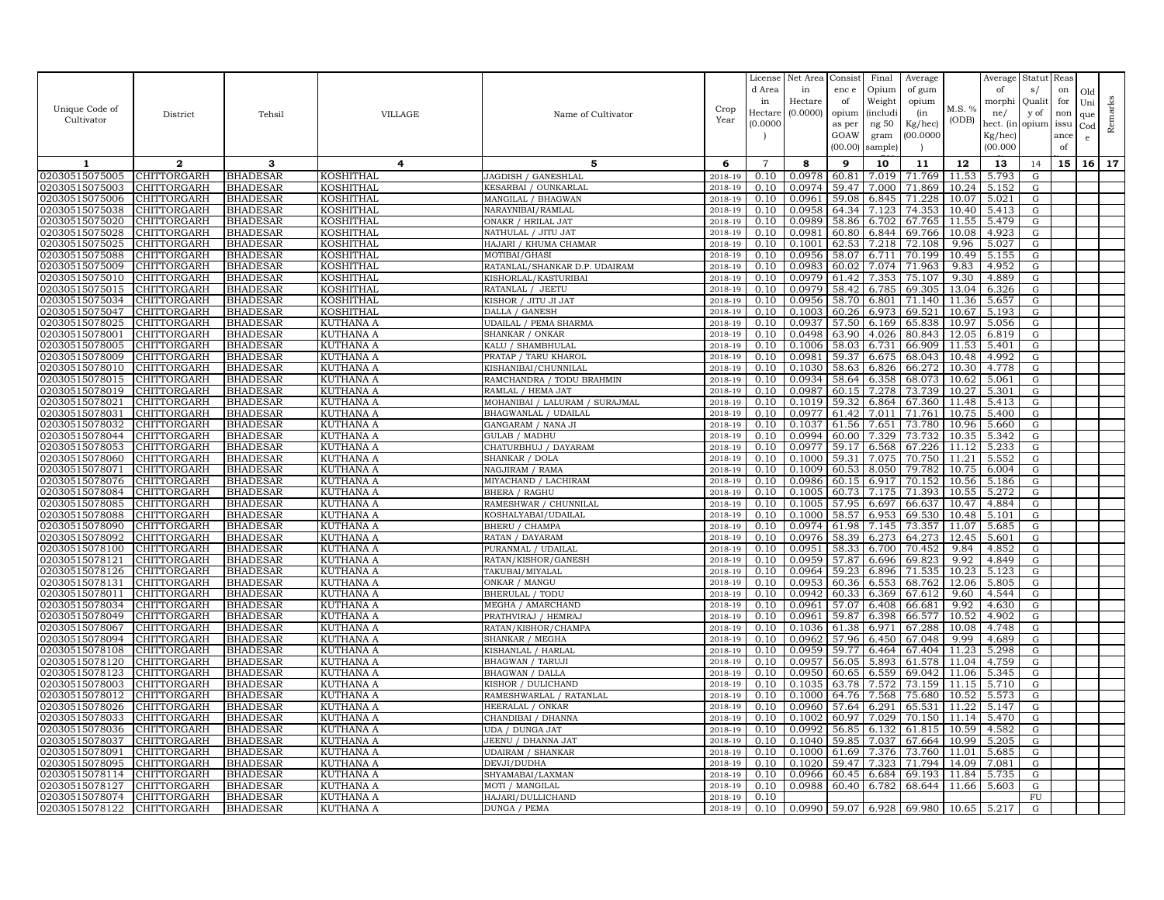|                                  |                            |                                    |                                      |                                                 |                    | License        | Net Area           | Consist        | Final          | Average          |                | Average        | Statut Reas |      |              |         |
|----------------------------------|----------------------------|------------------------------------|--------------------------------------|-------------------------------------------------|--------------------|----------------|--------------------|----------------|----------------|------------------|----------------|----------------|-------------|------|--------------|---------|
|                                  |                            |                                    |                                      |                                                 |                    | d Area         | in                 | enc e          | Opium          | of gum           |                | of             | s/          | on   | Old          |         |
|                                  |                            |                                    |                                      |                                                 |                    | in             | Hectare            | of             | Weight         | opium            |                | morphi         | Qualit      | for  | Uni          |         |
| Unique Code of                   | District                   | Tehsil                             | <b>VILLAGE</b>                       | Name of Cultivator                              | Crop               | Hectar         | (0.0000)           | opium          | (includ:       | (in              | M.S. %         | ne/            | y of        | non  | que          |         |
| Cultivator                       |                            |                                    |                                      |                                                 | Year               | (0.0000)       |                    | as per         | ng 50          | Kg/hec)          | (ODB)          | hect. (in      | opium issu  |      | $_{\rm Cod}$ | Remarks |
|                                  |                            |                                    |                                      |                                                 |                    |                |                    | GOAW           | gram           | 00.0000          |                | Kg/hec)        |             | ance | e            |         |
|                                  |                            |                                    |                                      |                                                 |                    |                |                    | (00.00)        | sample)        |                  |                | (00.000)       |             | of   |              |         |
| 1                                | $\mathbf{2}$               | 3                                  | 4                                    | 5                                               | 6                  | $\overline{7}$ | 8                  | 9              | 10             | 11               | 12             | 13             | 14          | 15   | 16           | 17      |
| 02030515075005                   | CHITTORGARH                | <b>BHADESAR</b>                    | KOSHITHAL                            | JAGDISH / GANESHLAL                             | 2018-19            | 0.10           | 0.0978             | 60.81          | 7.019          | 71.769           | 11.53          | 5.793          | G           |      |              |         |
| 02030515075003                   | <b>CHITTORGARH</b>         | <b>BHADESAR</b>                    | KOSHITHAL                            | KESARBAI / OUNKARLAL                            | 2018-19            | 0.10           | 0.0974             | 59.47          | 7.000          | 71.869           | 10.24          | 5.152          | G           |      |              |         |
| 02030515075006                   | CHITTORGARH                | <b>BHADESAR</b>                    | KOSHITHAL                            | MANGILAL / BHAGWAN                              | 2018-19            | 0.10           | 0.0961             | 59.08          | 6.845          | 71.228           | 10.07          | 5.021          | G           |      |              |         |
| 02030515075038                   | CHITTORGARH                | <b>BHADESAR</b>                    | <b>KOSHITHAL</b>                     | NARAYNIBAI/RAMLAL                               | 2018-19            | 0.10           | 0.0958             | 64.34          | 7.123          | 74.353           | 10.40          | 5.413          | G           |      |              |         |
| 02030515075020                   | CHITTORGARH                | <b>BHADESAR</b>                    | KOSHITHAL                            | ONAKR / HRILAL JAT                              | 2018-19            | 0.10           | 0.0989             | 58.86          | 6.702          | 67.765           | 11.55          | 5.479          | G           |      |              |         |
| 02030515075028                   | CHITTORGARH                | <b>BHADESAR</b>                    | KOSHITHAL                            | NATHULAL / JITU JAT                             | 2018-19            | 0.10           | 0.0981             | 60.80          | 6.844          | 69.766           | 10.08          | 4.923          | G           |      |              |         |
| 02030515075025                   | CHITTORGARH                | <b>BHADESAR</b>                    | KOSHITHAL                            | HAJARI / KHUMA CHAMAR                           | 2018-19            | 0.10           | 0.1001             | 62.53          | 7.218          | 72.108           | 9.96           | 5.027          | G           |      |              |         |
| 02030515075088                   | CHITTORGARH                | <b>BHADESAR</b>                    | <b>KOSHITHAL</b>                     | MOTIBAI/GHASI                                   | 2018-19            | 0.10           | 0.0956             | 58.07          | 6.711          | 70.199           | 10.49          | 5.155          | G           |      |              |         |
| 02030515075009                   | CHITTORGARH                | <b>BHADESAR</b>                    | KOSHITHAL                            | RATANLAL/SHANKAR D.P. UDAIRAM                   | 2018-19            | 0.10           | 0.0983             | 60.02          | 7.074          | 71.963           | 9.83           | 4.952          | G           |      |              |         |
| 02030515075010                   | CHITTORGARH                | <b>BHADESAR</b>                    | KOSHITHAL                            | KISHORLAL/KASTURIBAI                            | 2018-19            | 0.10           | 0.0979             | 61.42          | 7.353          | 75.107           | 9.30           | 4.889          | G           |      |              |         |
| 02030515075015                   | <b>CHITTORGARH</b>         | <b>BHADESAR</b>                    | KOSHITHAL                            | RATANLAL / JEETU                                | 2018-19            | 0.10           | 0.0979             | 58.42          | 6.785          | 69.305           | 13.04          | 6.326          | G           |      |              |         |
| 02030515075034                   | CHITTORGARH                | <b>BHADESAR</b>                    | KOSHITHAL                            | KISHOR / JITU JI JAT                            | 2018-19            | 0.10           | 0.0956             | 58.70          | 6.801          | 71.140           | 11.36          | 5.657          | G           |      |              |         |
| 02030515075047                   | CHITTORGARH<br>CHITTORGARH | <b>BHADESAR</b>                    | <b>KOSHITHAL</b>                     | DALLA / GANESH                                  | 2018-19            | 0.10           | 0.1003<br>0.0937   | 60.26<br>57.50 | 6.973          | 69.521           | 10.67<br>10.97 | 5.193          | G           |      |              |         |
| 02030515078025<br>02030515078001 | CHITTORGARH                | <b>BHADESAR</b><br><b>BHADESAR</b> | KUTHANA A<br><b>KUTHANA A</b>        | <b>UDAILAL / PEMA SHARMA</b><br>SHANKAR / ONKAR | 2018-19<br>2018-19 | 0.10<br>0.10   | 0.0498             | 63.90          | 6.169<br>4.026 | 65.838<br>80.843 | 12.05          | 5.056<br>6.819 | G<br>G      |      |              |         |
| 02030515078005                   | CHITTORGARH                | <b>BHADESAR</b>                    | KUTHANA A                            | KALU / SHAMBHULAI                               | 2018-19            | 0.10           | 0.1006             | 58.03          | 6.731          | 66.909           | 11.53          | 5.401          | G           |      |              |         |
| 02030515078009                   | CHITTORGARH                | <b>BHADESAR</b>                    | <b>KUTHANA A</b>                     | PRATAP / TARU KHAROL                            | 2018-19            | 0.10           | 0.0981             | 59.37          | 6.675          | 68.043           | 10.48          | 4.992          | G           |      |              |         |
| 02030515078010                   | CHITTORGARH                | <b>BHADESAR</b>                    | KUTHANA A                            | KISHANIBAI/CHUNNILAL                            | 2018-19            | 0.10           | 0.1030             | 58.63          | 6.826          | 66.272           | 10.30          | 4.778          | G           |      |              |         |
| 02030515078015                   | CHITTORGARH                | <b>BHADESAR</b>                    | KUTHANA A                            | RAMCHANDRA / TODU BRAHMIN                       | 2018-19            | 0.10           | 0.0934             | 58.64          | 6.358          | 68.073           | 10.62          | 5.061          | G           |      |              |         |
| 02030515078019                   | CHITTORGARH                | <b>BHADESAR</b>                    | <b>KUTHANA A</b>                     | RAMLAL / HEMA JAT                               | 2018-19            | 0.10           | 0.0987             | 60.15          | 7.278          | 73.739           | 10.27          | 5.301          | G           |      |              |         |
| 02030515078021                   | CHITTORGARH                | <b>BHADESAR</b>                    | <b>KUTHANA A</b>                     | MOHANIBAI / LALURAM / SURAJMAL                  | 2018-19            | 0.10           | 0.1019             | 59.32          | 6.864          | 67.360           | 11.48          | 5.413          | G           |      |              |         |
| 02030515078031                   | CHITTORGARH                | <b>BHADESAR</b>                    | KUTHANA A                            | BHAGWANLAL / UDAILAL                            | 2018-19            | 0.10           | 0.0977             | 61.42          | 7.011          | 71.761           | 10.75          | 5.400          | G           |      |              |         |
| 02030515078032                   | CHITTORGARH                | <b>BHADESAR</b>                    | <b>KUTHANA A</b>                     | GANGARAM / NANA JI                              | 2018-19            | 0.10           | 0.1037             | 61.56          | 7.651          | 73.780           | 10.96          | 5.660          | G           |      |              |         |
| 02030515078044                   | CHITTORGARH                | <b>BHADESAR</b>                    | <b>KUTHANA A</b>                     | <b>GULAB / MADHU</b>                            | 2018-19            | 0.10           | 0.0994             | 60.00          | 7.329          | 73.732           | 10.35          | 5.342          | G           |      |              |         |
| 02030515078053                   | CHITTORGARH                | <b>BHADESAR</b>                    | <b>KUTHANA A</b>                     | CHATURBHUJ / DAYARAM                            | 2018-19            | 0.10           | 0.0977             | 59.17          | 6.568          | 67.226           | 11.12          | 5.233          | G           |      |              |         |
| 02030515078060                   | CHITTORGARH                | <b>BHADESAR</b>                    | KUTHANA A                            | SHANKAR / DOLA                                  | 2018-19            | 0.10           | 0.1000             | 59.31          | 7.075          | 70.750           | 11.21          | 5.552          | G           |      |              |         |
| 02030515078071                   | CHITTORGARH                | <b>BHADESAR</b>                    | KUTHANA A                            | NAGJIRAM / RAMA                                 | 2018-19            | 0.10           | 0.1009             | 60.53          | 8.050          | 79.782           | 10.75          | 6.004          | G           |      |              |         |
| 02030515078076                   | CHITTORGARH                | <b>BHADESAR</b>                    | <b>KUTHANA A</b>                     | MIYACHAND / LACHIRAM                            | 2018-19            | 0.10           | 0.0986             | 60.15          | 6.917          | 70.152           | 10.56          | 5.186          | G           |      |              |         |
| 02030515078084                   | CHITTORGARH                | <b>BHADESAR</b>                    | KUTHANA A                            | <b>BHERA / RAGHU</b>                            | 2018-19            | 0.10           | 0.1005             | 60.73          | 7.175          | 71.393           | 10.55          | 5.272          | G           |      |              |         |
| 02030515078085                   | CHITTORGARH                | <b>BHADESAR</b>                    | KUTHANA A                            | RAMESHWAR / CHUNNILAL                           | 2018-19            | 0.10           | 0.1005             | 57.95          | 6.697          | 66.637           | 10.47          | 4.884          | G           |      |              |         |
| 02030515078088                   | CHITTORGARH                | <b>BHADESAR</b>                    | <b>KUTHANA A</b>                     | KOSHALYABAI/UDAILAL                             | 2018-19            | 0.10           | 0.1000             | 58.57          | 6.953          | 69.530           | 10.48          | 5.101          | G           |      |              |         |
| 02030515078090<br>02030515078092 | CHITTORGARH                | <b>BHADESAR</b>                    | <b>KUTHANA A</b>                     | <b>BHERU / CHAMPA</b><br>RATAN / DAYARAM        | 2018-19<br>2018-19 | 0.10<br>0.10   | 0.0974<br>0.0976   | 61.98          | 7.145          | 73.357           | 11.07          | 5.685          | G<br>G      |      |              |         |
| 02030515078100                   | CHITTORGARH<br>CHITTORGARH | <b>BHADESAR</b><br><b>BHADESAR</b> | <b>KUTHANA A</b><br><b>KUTHANA A</b> | PURANMAL / UDAILAL                              | 2018-19            | 0.10           | 0.0951             | 58.39<br>58.33 | 6.273<br>6.700 | 64.273<br>70.452 | 12.45<br>9.84  | 5.601<br>4.852 | G           |      |              |         |
| 02030515078121                   | CHITTORGARH                | <b>BHADESAR</b>                    | <b>KUTHANA A</b>                     | RATAN/KISHOR/GANESH                             | 2018-19            | 0.10           | 0.0959             | 57.87          | 6.696          | 69.823           | 9.92           | 4.849          | G           |      |              |         |
| 02030515078126                   | CHITTORGARH                | <b>BHADESAR</b>                    | KUTHANA A                            | TAKUBAI/MIYALAL                                 | 2018-19            | 0.10           | 0.0964             | 59.23          | 6.896          | 71.535           | 10.23          | 5.123          | G           |      |              |         |
| 02030515078131                   | CHITTORGARH                | <b>BHADESAR</b>                    | <b>KUTHANA A</b>                     | ONKAR / MANGU                                   | 2018-19            | 0.10           | 0.0953             | 60.36          | 6.553          | 68.762           | 12.06          | 5.805          | G           |      |              |         |
| 02030515078011                   | CHITTORGARH                | <b>BHADESAR</b>                    | <b>KUTHANA A</b>                     | <b>BHERULAL / TODU</b>                          | 2018-19            | 0.10           | 0.0942             | 60.33          | 6.369          | 67.612           | 9.60           | 4.544          | G           |      |              |         |
| 02030515078034                   | CHITTORGARH                | <b>BHADESAR</b>                    | KUTHANA A                            | MEGHA / AMARCHAND                               | 2018-19            | 0.10           | 0.0961             | 57.07          | 6.408          | 66.681           | 9.92           | 4.630          | G           |      |              |         |
| 02030515078049                   | CHITTORGARH                | <b>BHADESAR</b>                    | KUTHANA A                            | PRATHVIRAJ / HEMRAJ                             | 2018-19            | 0.10           | 0.0961             | 59.87          | 6.398          | 66.577           | 10.52          | 4.902          | G           |      |              |         |
| 02030515078067                   | CHITTORGARH                | <b>BHADESAR</b>                    | KUTHANA A                            | RATAN/KISHOR/CHAMPA                             | 2018-19            | 0.10           | 0.1036             | 61.38          | 6.971          | 67.288           | 10.08          | 4.748          | G           |      |              |         |
| 02030515078094                   | CHITTORGARH                | <b>BHADESAR</b>                    | KUTHANA A                            | SHANKAR / MEGHA                                 | 2018-19            | 0.10           | 0.0962             | 57.96          | 6.450          | 67.048           | 9.99           | 4.689          | G           |      |              |         |
| 02030515078108                   | CHITTORGARH                | <b>BHADESAR</b>                    | KUTHANA A                            | KISHANLAL / HARLAL                              | 2018-19            | 0.10           | 0.0959             | 59.77          | 6.464          | 67.404           | 11.23          | 5.298          | G           |      |              |         |
| 02030515078120                   | CHITTORGARH                | BHADESAR                           | <b>KUTHANA A</b>                     | BHAGWAN / TARUJI                                | 2018-19            | 0.10           | 0.0957             | 56.05          | 5.893          | 61.578           | 11.04          | 4.759          | G           |      |              |         |
| 02030515078123                   | CHITTORGARH                | <b>BHADESAR</b>                    | KUTHANA A                            | <b>BHAGWAN / DALLA</b>                          | 2018-19            | 0.10           | 0.0950             | 60.65          | 6.559          | 69.042           | 11.06          | 5.345          | G           |      |              |         |
| 02030515078003                   | CHITTORGARH                | <b>BHADESAR</b>                    | <b>KUTHANA A</b>                     | KISHOR / DULICHAND                              | 2018-19            | 0.10           | 0.1035             | 63.78          | 7.572          | 73.159           | 11.15          | 5.710          | G           |      |              |         |
| 02030515078012                   | CHITTORGARH                | <b>BHADESAR</b>                    | KUTHANA A                            | RAMESHWARLAL / RATANLAL                         | 2018-19            | 0.10           | 0.1000             | 64.76          | 7.568          | 75.680           | 10.52          | 5.573          | G           |      |              |         |
| 02030515078026                   | CHITTORGARH                | <b>BHADESAR</b>                    | KUTHANA A                            | HEERALAL / ONKAR                                | 2018-19            | 0.10           | 0.0960             | 57.64          | 6.291          | 65.531           | 11.22          | 5.147          | G           |      |              |         |
| 02030515078033<br>02030515078036 | CHITTORGARH<br>CHITTORGARH | <b>BHADESAR</b><br><b>BHADESAR</b> | KUTHANA A<br><b>KUTHANA A</b>        | CHANDIBAI / DHANNA<br>UDA / DUNGA JAT           | 2018-19<br>2018-19 | 0.10<br>0.10   | 0.1002<br>0.0992   | 60.97<br>56.85 | 7.029<br>6.132 | 70.150<br>61.815 | 11.14<br>10.59 | 5.470<br>4.582 | G<br>G      |      |              |         |
| 02030515078037                   | CHITTORGARH                | <b>BHADESAR</b>                    | <b>KUTHANA A</b>                     | JEENU / DHANNA JAT                              | 2018-19            | 0.10           | 0.1040             | 59.85          | 7.037          | 67.664           | 10.99          | 5.205          | G           |      |              |         |
| 02030515078091                   | CHITTORGARH                | <b>BHADESAR</b>                    | <b>KUTHANA A</b>                     | <b>UDAIRAM / SHANKAR</b>                        | 2018-19            | 0.10           | 0.1000             | 61.69          | 7.376          | 73.760           | 11.01          | 5.685          | G           |      |              |         |
| 02030515078095                   | CHITTORGARH                | <b>BHADESAR</b>                    | <b>KUTHANA A</b>                     | DEVJI/DUDHA                                     | 2018-19            | 0.10           | 0.1020             | 59.47          | 7.323          | 71.794           | 14.09          | 7.081          | G           |      |              |         |
| 02030515078114                   | <b>CHITTORGARH</b>         | <b>BHADESAR</b>                    | <b>KUTHANA A</b>                     | SHYAMABAI/LAXMAN                                | 2018-19            | 0.10           | 0.0966             | 60.45          | 6.684          | 69.193           | 11.84          | 5.735          | G           |      |              |         |
| 02030515078127                   | CHITTORGARH                | <b>BHADESAR</b>                    | <b>KUTHANA A</b>                     | MOTI / MANGILAL                                 | 2018-19            | 0.10           | 0.0988             | 60.40          | 6.782          | 68.644           | 11.66          | 5.603          | G           |      |              |         |
| 02030515078074                   | <b>CHITTORGARH</b>         | <b>BHADESAR</b>                    | <b>KUTHANA A</b>                     | HAJARI/DULLICHAND                               | 2018-19            | 0.10           |                    |                |                |                  |                |                | FU          |      |              |         |
| 02030515078122                   | <b>CHITTORGARH</b>         | <b>BHADESAR</b>                    | <b>KUTHANA A</b>                     | <b>DUNGA / PEMA</b>                             | 2018-19            | 0.10           | 0.0990 59.07 6.928 |                |                | 69.980 10.65     |                | 5.217          | G           |      |              |         |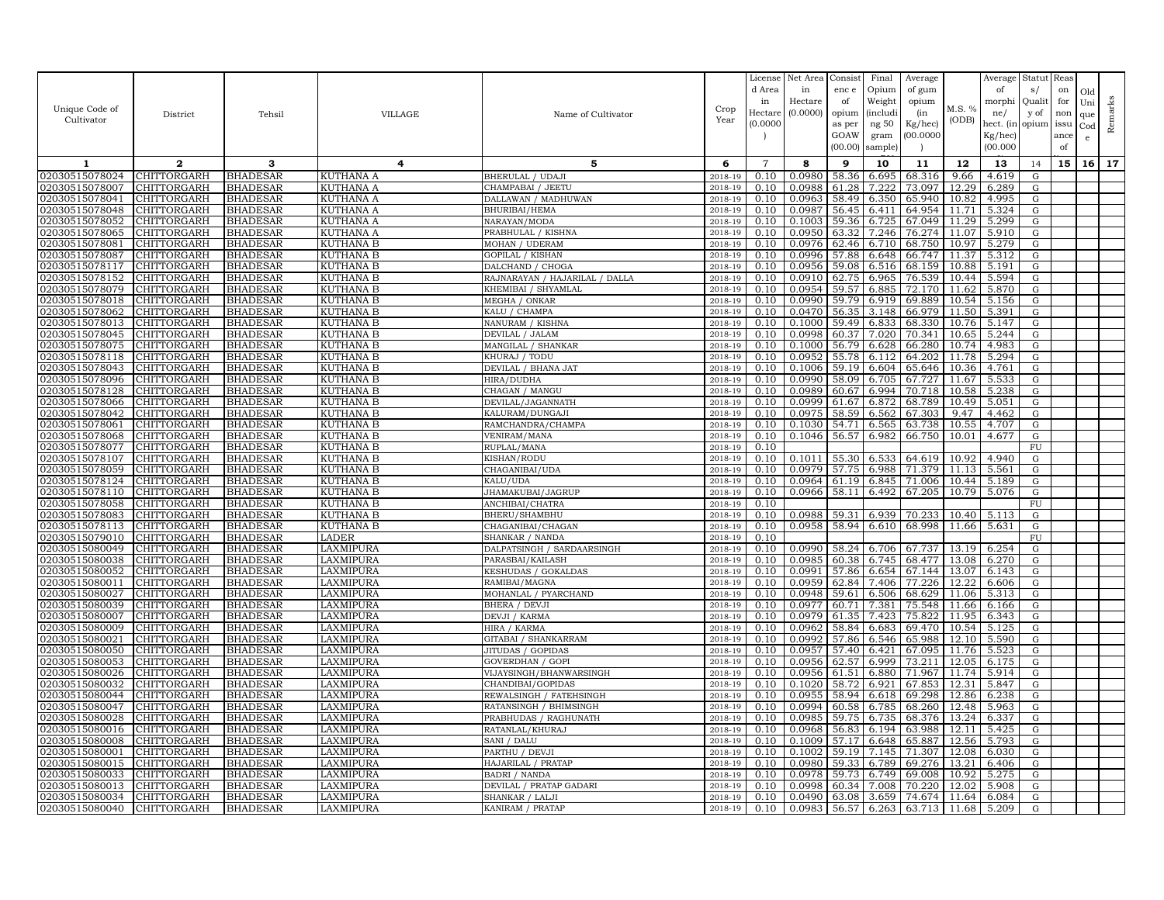|                                  |                            |                                    |                               |                                         |                    | License        | Net Area         | Consist        | Final          | Average          |                | Average        | Statut Reas |      |              |         |
|----------------------------------|----------------------------|------------------------------------|-------------------------------|-----------------------------------------|--------------------|----------------|------------------|----------------|----------------|------------------|----------------|----------------|-------------|------|--------------|---------|
|                                  |                            |                                    |                               |                                         |                    | d Area         | in               | enc e          | Opium          | of gum           |                | of             | s/          | on   | Old          |         |
| Unique Code of                   |                            |                                    |                               |                                         | Crop               | in             | Hectare          | of             | Weight         | opium            | M.S. %         | morphi         | Qualit      | for  | Uni          | Remarks |
| Cultivator                       | District                   | Tehsil                             | <b>VILLAGE</b>                | Name of Cultivator                      | Year               | Hectar         | (0.0000)         | opium          | (includ:       | (in              | (ODB)          | ne/            | y of        | non  | que          |         |
|                                  |                            |                                    |                               |                                         |                    | (0.0000)       |                  | as per         | ng 50          | Kg/hec)          |                | hect. (in      | opium issu  |      | $_{\rm Cod}$ |         |
|                                  |                            |                                    |                               |                                         |                    |                |                  | GOAW           | gram           | 00.0000          |                | Kg/hec)        |             | ance | e            |         |
|                                  |                            |                                    |                               |                                         |                    |                |                  | (00.00)        | sample)        |                  |                | (00.000)       |             | of   |              |         |
| 1                                | $\mathbf{2}$               | 3                                  | 4                             | 5                                       | 6                  | $\overline{7}$ | 8                | 9              | 10             | 11               | 12             | 13             | 14          | 15   | 16           | 17      |
| 02030515078024                   | CHITTORGARH                | <b>BHADESAR</b>                    | <b>KUTHANA A</b>              | BHERULAL / UDAJI                        | 2018-19            | 0.10           | 0.0980           | 58.36          | 6.695          | 68.316           | 9.66           | 4.619          | G           |      |              |         |
| 02030515078007                   | <b>CHITTORGARH</b>         | <b>BHADESAR</b>                    | <b>KUTHANA A</b>              | CHAMPABAI / JEETU                       | 2018-19            | 0.10           | 0.0988           | 61.28          | 7.222          | 73.097           | 12.29          | 6.289          | G           |      |              |         |
| 02030515078041                   | CHITTORGARH                | <b>BHADESAR</b>                    | KUTHANA A                     | DALLAWAN / MADHUWAN                     | 2018-19            | 0.10           | 0.0963           | 58.49          | 6.350          | 65.940           | 10.82          | 4.995          | G           |      |              |         |
| 02030515078048                   | CHITTORGARH                | <b>BHADESAR</b>                    | KUTHANA A                     | BHURIBAI/HEMA                           | 2018-19            | 0.10           | 0.0987           | 56.45          | 6.411          | 64.954           | 11.71          | 5.324          | G           |      |              |         |
| 02030515078052                   | CHITTORGARH                | <b>BHADESAR</b>                    | KUTHANA A                     | NARAYAN/MODA                            | 2018-19            | 0.10           | 0.1003           | 59.36          | 6.725          | 67.049           | 11.29          | 5.299          | G           |      |              |         |
| 02030515078065                   | CHITTORGARH                | <b>BHADESAR</b>                    | <b>KUTHANA A</b>              | PRABHULAL / KISHNA                      | 2018-19            | 0.10           | 0.0950           | 63.32          | 7.246          | 76.274           | 11.07          | 5.910          | G           |      |              |         |
| 02030515078081                   | CHITTORGARH                | <b>BHADESAR</b>                    | KUTHANA B                     | MOHAN / UDERAM                          | 2018-19            | 0.10           | 0.0976           | 62.46          | 6.710          | 68.750           | 10.97          | 5.279          | G           |      |              |         |
| 02030515078087                   | CHITTORGARH                | <b>BHADESAR</b>                    | KUTHANA B                     | GOPILAL / KISHAN                        | 2018-19            | 0.10           | 0.0996           | 57.88          | 6.648          | 66.747           | 11.37          | 5.312          | G           |      |              |         |
| 02030515078117                   | CHITTORGARH                | <b>BHADESAR</b>                    | KUTHANA B                     | DALCHAND / CHOGA                        | 2018-19            | 0.10           | 0.0956           | 59.08          | 6.516          | 68.159           | 10.88          | 5.191          | G           |      |              |         |
| 02030515078152                   | CHITTORGARH                | <b>BHADESAR</b>                    | KUTHANA B                     | RAJNARAYAN / HAJARILAL / DALLA          | 2018-19            | 0.10           | 0.0910           | 62.75          | 6.965          | 76.539           | 10.44          | 5.594          | G           |      |              |         |
| 02030515078079                   | <b>CHITTORGARH</b>         | <b>BHADESAR</b>                    | KUTHANA B                     | KHEMIBAI / SHYAMLAL                     | 2018-19            | 0.10<br>0.10   | 0.0954<br>0.0990 | 59.57          | 6.885<br>6.919 | 72.170           | 11.62          | 5.870          | G           |      |              |         |
| 02030515078018<br>02030515078062 | CHITTORGARH<br>CHITTORGARH | <b>BHADESAR</b><br><b>BHADESAR</b> | KUTHANA B<br><b>KUTHANA B</b> | MEGHA / ONKAR<br>KALU / CHAMPA          | 2018-19<br>2018-19 | 0.10           | 0.0470           | 59.79<br>56.35 | 3.148          | 69.889<br>66.979 | 10.54<br>11.50 | 5.156<br>5.391 | G<br>G      |      |              |         |
| 02030515078013                   | CHITTORGARH                | <b>BHADESAR</b>                    | KUTHANA B                     | NANURAM / KISHNA                        | 2018-19            | 0.10           | 0.1000           | 59.49          | 6.833          | 68.330           | 10.76          | 5.147          | G           |      |              |         |
| 02030515078045                   | <b>CHITTORGARH</b>         | <b>BHADESAR</b>                    | <b>KUTHANA B</b>              | DEVILAL / JALAM                         | 2018-19            | 0.10           | 0.0998           | 60.37          | 7.020          | 70.341           | 10.65          | 5.244          | G           |      |              |         |
| 02030515078075                   | CHITTORGARH                | <b>BHADESAR</b>                    | <b>KUTHANA B</b>              | MANGILAL / SHANKAR                      | 2018-19            | 0.10           | 0.1000           | 56.79          | 6.628          | 66.280           | 10.74          | 4.983          | G           |      |              |         |
| 02030515078118                   | CHITTORGARH                | <b>BHADESAR</b>                    | <b>KUTHANA B</b>              | KHURAJ / TODU                           | $2018 - 1$         | 0.10           | 0.0952           | 55.78          | 6.112          | 64.202           | 11.78          | 5.294          | G           |      |              |         |
| 02030515078043                   | CHITTORGARH                | <b>BHADESAR</b>                    | KUTHANA B                     | DEVILAL / BHANA JAT                     | 2018-19            | 0.10           | 0.1006           | 59.19          | 6.604          | 65.646           | 10.36          | 4.761          | G           |      |              |         |
| 02030515078096                   | CHITTORGARH                | <b>BHADESAR</b>                    | KUTHANA B                     | HIRA/DUDHA                              | 2018-19            | 0.10           | 0.0990           | 58.09          | 6.705          | 67.727           | 11.67          | 5.533          | G           |      |              |         |
| 02030515078128                   | CHITTORGARH                | <b>BHADESAR</b>                    | KUTHANA B                     | CHAGAN / MANGU                          | 2018-19            | 0.10           | 0.0989           | 60.67          | 6.994          | 70.718           | 10.58          | 5.238          | G           |      |              |         |
| 02030515078066                   | CHITTORGARH                | <b>BHADESAR</b>                    | <b>KUTHANA B</b>              | DEVILAL/JAGANNATH                       | 2018-19            | 0.10           | 0.0999           | 61.67          | 6.872          | 68.789           | 10.49          | 5.051          | G           |      |              |         |
| 02030515078042                   | CHITTORGARH                | <b>BHADESAR</b>                    | KUTHANA B                     | KALURAM/DUNGAJI                         | 2018-19            | 0.10           | 0.0975           | 58.59          | 6.562          | 67.303           | 9.47           | 4.462          | G           |      |              |         |
| 02030515078061                   | CHITTORGARH                | <b>BHADESAR</b>                    | KUTHANA B                     | RAMCHANDRA/CHAMPA                       | 2018-19            | 0.10           | 0.1030           | 54.71          | 6.565          | 63.738           | 10.55          | 4.707          | G           |      |              |         |
| 02030515078068                   | CHITTORGARH                | <b>BHADESAR</b>                    | <b>KUTHANA B</b>              | VENIRAM/MANA                            | 2018-19            | 0.10           | 0.1046           | 56.57          | 6.982          | 66.750           | 10.01          | 4.677          | G           |      |              |         |
| 02030515078077                   | CHITTORGARH                | <b>BHADESAR</b>                    | KUTHANA B                     | RUPLAL/MANA                             | 2018-19            | 0.10           |                  |                |                |                  |                |                | FU          |      |              |         |
| 02030515078107                   | CHITTORGARH                | <b>BHADESAR</b>                    | KUTHANA B                     | KISHAN/RODU                             | 2018-19            | 0.10           | 0.1011           | 55.30          | 6.533          | 64.619           | 10.92          | 4.940          | G           |      |              |         |
| 02030515078059                   | CHITTORGARH                | <b>BHADESAR</b>                    | KUTHANA B                     | CHAGANIBAI/UDA                          | 2018-19            | 0.10           | 0.0979           | 57.75          | 6.988          | 71.379           | 11.13          | 5.561          | G           |      |              |         |
| 02030515078124                   | CHITTORGARH                | <b>BHADESAR</b>                    | KUTHANA B                     | KALU/UDA                                | 2018-19            | 0.10           | 0.0964           | 61.19          | 6.845          | 71.006           | 10.44          | 5.189          | G           |      |              |         |
| 02030515078110                   | CHITTORGARH                | <b>BHADESAR</b>                    | KUTHANA B                     | JHAMAKUBAI/JAGRUP                       | 2018-19            | 0.10           | 0.0966           | 58.11          | 6.492          | 67.205           | 10.79          | 5.076          | G           |      |              |         |
| 02030515078058                   | CHITTORGARH                | <b>BHADESAR</b>                    | KUTHANA B                     | ANCHIBAI/CHATRA                         | 2018-19            | 0.10           |                  |                |                |                  |                |                | ${\rm FU}$  |      |              |         |
| 02030515078083                   | CHITTORGARH                | <b>BHADESAR</b>                    | <b>KUTHANA B</b>              | BHERU/SHAMBHU                           | 2018-19            | 0.10           | 0.0988           | 59.31          | 6.939          | 70.233           | 10.40          | 5.113          | G           |      |              |         |
| 02030515078113                   | CHITTORGARH                | <b>BHADESAR</b>                    | KUTHANA B                     | CHAGANIBAI/CHAGAN                       | 2018-19            | 0.10           | 0.0958           | 58.94          | 6.610          | 68.998           | 11.66          | 5.631          | G           |      |              |         |
| 02030515079010                   | CHITTORGARH                | <b>BHADESAR</b>                    | <b>LADER</b>                  | SHANKAR / NANDA                         | 2018-19            | 0.10           | 0.0990           |                |                |                  |                |                | FU          |      |              |         |
| 02030515080049                   | CHITTORGARH                | <b>BHADESAR</b>                    | LAXMIPURA                     | DALPATSINGH / SARDAARSINGH              | 2018-19<br>2018-19 | 0.10           |                  | 58.24<br>60.38 | 6.706          | 67.737           | 13.19          | 6.254<br>6.270 | G           |      |              |         |
| 02030515080038<br>02030515080052 | CHITTORGARH<br>CHITTORGARH | <b>BHADESAR</b><br><b>BHADESAR</b> | LAXMIPURA<br><b>LAXMIPURA</b> | PARASBAI/KAILASH<br>KESHUDAS / GOKALDAS | 2018-19            | 0.10<br>0.10   | 0.0985<br>0.0991 | 57.86          | 6.745<br>6.654 | 68.477<br>67.144 | 13.08<br>13.07 | 6.143          | G<br>G      |      |              |         |
| 02030515080011                   | CHITTORGARH                | <b>BHADESAR</b>                    | LAXMIPURA                     | RAMIBAI/MAGNA                           | 2018-19            | 0.10           | 0.0959           | 62.84          | 7.406          | 77.226           | 12.22          | 6.606          | G           |      |              |         |
| 02030515080027                   | CHITTORGARH                | <b>BHADESAR</b>                    | LAXMIPURA                     | MOHANLAL / PYARCHAND                    | 2018-19            | 0.10           | 0.0948           | 59.61          | 6.506          | 68.629           | 11.06          | 5.313          | G           |      |              |         |
| 02030515080039                   | CHITTORGARH                | <b>BHADESAR</b>                    | LAXMIPURA                     | BHERA / DEVJ                            | 2018-19            | 0.10           | 0.0977           | 60.71          | 7.381          | 75.548           | 11.66          | 6.166          | G           |      |              |         |
| 02030515080007                   | <b>CHITTORGARH</b>         | <b>BHADESAR</b>                    | LAXMIPURA                     | DEVJI / KARMA                           | 2018-19            | 0.10           | 0.0979           | 61.35          | 7.423          | 75.822           | 11.95          | 6.343          | G           |      |              |         |
| 02030515080009                   | CHITTORGARH                | <b>BHADESAR</b>                    | LAXMIPURA                     | HIRA / KARMA                            | 2018-19            | 0.10           | 0.0962           | 58.84          | 6.683          | 69.470           | 10.54          | 5.125          | G           |      |              |         |
| 02030515080021                   | CHITTORGARH                | <b>BHADESAR</b>                    | LAXMIPURA                     | GITABAI / SHANKARRAM                    | 2018-19            | 0.10           | 0.0992           | 57.86          | 6.546          | 65.988           | 12.10          | 5.590          | G           |      |              |         |
| 02030515080050                   | CHITTORGARH                | <b>BHADESAR</b>                    | LAXMIPURA                     | JITUDAS / GOPIDAS                       | 2018-19            | 0.10           | 0.0957           | 57.40          | 6.421          | 67.095           | 11.76          | 5.523          | G           |      |              |         |
| 02030515080053                   | CHITTORGARH                | BHADESAR                           | LAXMIPURA                     | GOVERDHAN / GOPI                        | 2018-19            | 0.10           | 0.0956           | 62.57          | 6.999          | 73.211           | 12.05          | 6.175          | G           |      |              |         |
| 02030515080026                   | CHITTORGARH                | <b>BHADESAR</b>                    | LAXMIPURA                     | VIJAYSINGH/BHANWARSINGH                 | 2018-19            | 0.10           | 0.0956           | 61.51          | 6.880          | 71.967           | 11.74          | 5.914          | G           |      |              |         |
| 02030515080032                   | CHITTORGARH                | <b>BHADESAR</b>                    | LAXMIPURA                     | CHANDIBAI/GOPIDAS                       | 2018-19            | 0.10           | 0.1020           | 58.72          | 6.921          | 67.853           | 12.31          | 5.847          | G           |      |              |         |
| 02030515080044                   | <b>CHITTORGARH</b>         | <b>BHADESAR</b>                    | LAXMIPURA                     | REWALSINGH / FATEHSINGH                 | 2018-19            | 0.10           | 0.0955           | 58.94          | 6.618          | 69.298           | 12.86          | 6.238          | G           |      |              |         |
| 02030515080047                   | CHITTORGARH                | <b>BHADESAR</b>                    | LAXMIPURA                     | RATANSINGH / BHIMSINGH                  | 2018-19            | 0.10           | 0.0994           | 60.58          | 6.785          | 68.260           | 12.48          | 5.963          | G           |      |              |         |
| 02030515080028                   | CHITTORGARH                | <b>BHADESAR</b>                    | LAXMIPURA                     | PRABHUDAS / RAGHUNATH                   | 2018-19            | 0.10           | 0.0985           | 59.75          | 6.735          | 68.376           | 13.24          | 6.337          | G           |      |              |         |
| 02030515080016                   | CHITTORGARH                | <b>BHADESAR</b>                    | LAXMIPURA                     | RATANLAL/KHURAJ                         | 2018-19            | 0.10           | 0.0968           | 56.83          | 6.194          | 63.988           | 12.11          | 5.425          | G           |      |              |         |
| 02030515080008<br>02030515080001 | CHITTORGARH                | <b>BHADESAR</b>                    | LAXMIPURA                     | SANI / DALU                             | 2018-19            | 0.10           | 0.1009           | 57.17          | 6.648          | 65.887           | 12.56          | 5.793          | G           |      |              |         |
| 02030515080015                   | CHITTORGARH<br>CHITTORGARH | <b>BHADESAR</b><br><b>BHADESAR</b> | LAXMIPURA<br>LAXMIPURA        | PARTHU / DEVJI<br>HAJARILAL / PRATAP    | 2018-19<br>2018-19 | 0.10<br>0.10   | 0.1002<br>0.0980 | 59.19<br>59.33 | 7.145<br>6.789 | 71.307<br>69.276 | 12.08<br>13.21 | 6.030<br>6.406 | G<br>G      |      |              |         |
| 02030515080033                   | <b>CHITTORGARH</b>         | <b>BHADESAR</b>                    | LAXMIPURA                     | <b>BADRI / NANDA</b>                    | 2018-19            | 0.10           | 0.0978           | 59.73          | 6.749          | 69.008           | 10.92          | 5.275          | G           |      |              |         |
| 02030515080013                   | CHITTORGARH                | <b>BHADESAR</b>                    | LAXMIPURA                     | DEVILAL / PRATAP GADARI                 | 2018-19            | 0.10           | 0.0998           | 60.34          | 7.008          | 70.220           | 12.02          | 5.908          | G           |      |              |         |
| 02030515080034                   | <b>CHITTORGARH</b>         | <b>BHADESAR</b>                    | LAXMIPURA                     | SHANKAR / LALJI                         | 2018-19            | 0.10           | 0.0490           | 63.08          | 3.659          | 74.674           | 11.64          | 6.084          | G           |      |              |         |
| 02030515080040                   | <b>CHITTORGARH</b>         | <b>BHADESAR</b>                    | LAXMIPURA                     | KANIRAM / PRATAP                        | 2018-19            | 0.10           | 0.0983           | 56.57          | 6.263          | 63.713 11.68     |                | 5.209          | G           |      |              |         |
|                                  |                            |                                    |                               |                                         |                    |                |                  |                |                |                  |                |                |             |      |              |         |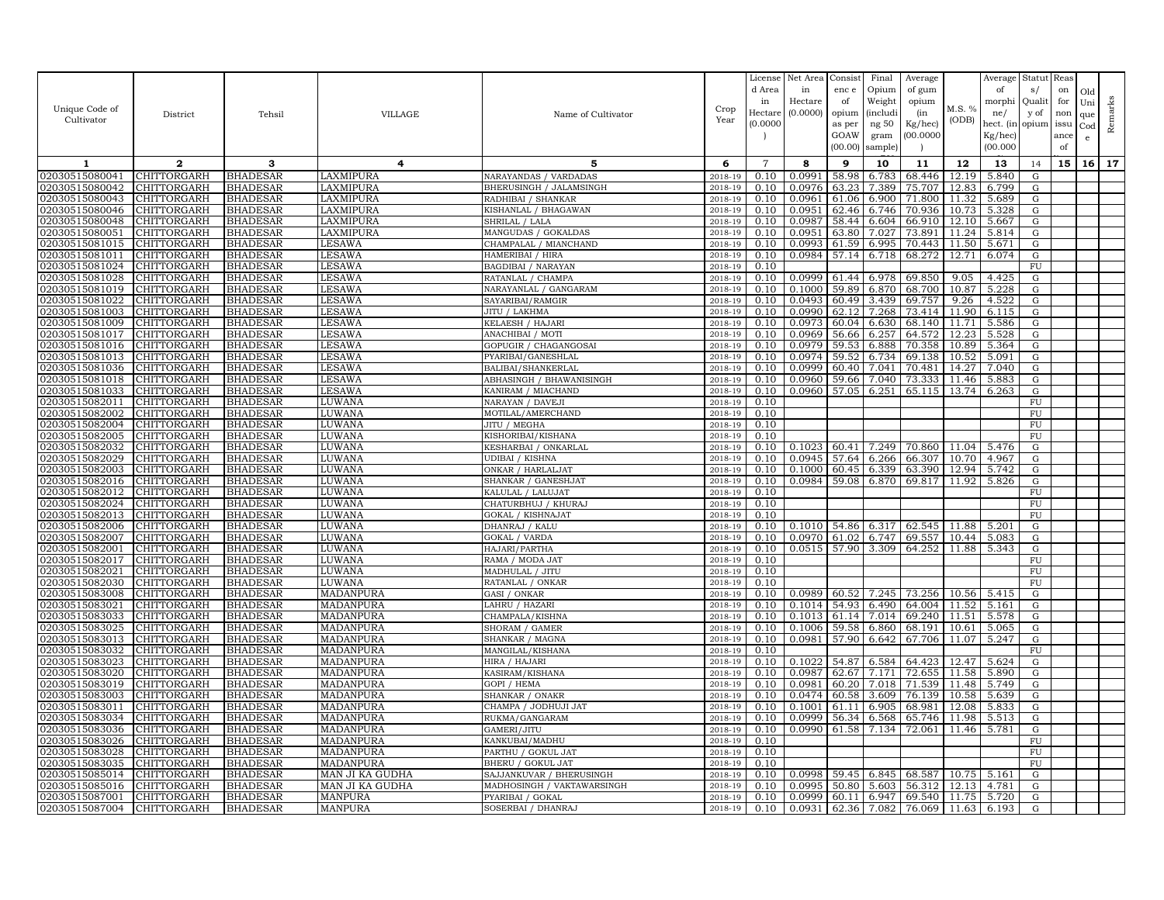|                                  |                            |                                    |                        |                                        |                    | License        | Net Area         | Consist        | Final          | Average          |                | Average        | Statut Reas     |      |              |         |
|----------------------------------|----------------------------|------------------------------------|------------------------|----------------------------------------|--------------------|----------------|------------------|----------------|----------------|------------------|----------------|----------------|-----------------|------|--------------|---------|
|                                  |                            |                                    |                        |                                        |                    | d Area         | in               | enc e          | Opium          | of gum           |                | of             | s/              | on   | Old          |         |
|                                  |                            |                                    |                        |                                        |                    | in             | Hectare          | of             | Weight         | opium            |                | morphi         | Qualit          | for  | Uni          |         |
| Unique Code of                   | District                   | Tehsil                             | VILLAGE                | Name of Cultivator                     | Crop               | Hectare        | (0.0000)         | opium          | (includi       | (in              | M.S. %         | ne/            | y of            | non  | que          |         |
| Cultivator                       |                            |                                    |                        |                                        | Year               | (0.0000        |                  | as per         | ng $50\,$      | Kg/hec)          | (ODB)          | hect. (in      | opium           | issu | $_{\rm Cod}$ | Remarks |
|                                  |                            |                                    |                        |                                        |                    |                |                  | GOAW           | gram           | (00.0000)        |                | Kg/hec)        |                 | ance | e            |         |
|                                  |                            |                                    |                        |                                        |                    |                |                  | (00.00)        | sample         |                  |                | (00.000)       |                 | of   |              |         |
|                                  |                            |                                    |                        |                                        |                    |                |                  |                |                |                  |                |                |                 |      |              |         |
| 1                                | $\mathbf{2}$               | 3                                  | 4                      | 5                                      | 6                  | $\overline{7}$ | 8                | 9              | 10             | 11               | 12             | 13             | 14              | 15   | 16           | 17      |
| 02030515080041                   | CHITTORGARH                | <b>BHADESAR</b>                    | LAXMIPURA              | NARAYANDAS / VARDADAS                  | 2018-19            | 0.10           | 0.0991           | 58.98          | 6.783          | 68.446           | 12.19          | 5.840          | ${\rm G}$       |      |              |         |
| 02030515080042                   | CHITTORGARH                | <b>BHADESAR</b>                    | LAXMIPURA              | BHERUSINGH / JALAMSINGH                | 2018-19            | 0.10           | 0.0976           | 63.23          | 7.389          | 75.707           | 12.83          | 6.799          | G               |      |              |         |
| 02030515080043                   | CHITTORGARH                | <b>BHADESAR</b>                    | LAXMIPURA              | RADHIBAI / SHANKAR                     | 2018-19            | 0.10           | 0.0961           | 61.06          | 6.900          | 71.800           | 11.32          | 5.689          | G               |      |              |         |
| 02030515080046                   | <b>CHITTORGARH</b>         | <b>BHADESAR</b>                    | LAXMIPURA              | KISHANLAL / BHAGAWAN                   | 2018-19            | 0.10           | 0.0951           | 62.46          | 6.746          | 70.936           | 10.73          | 5.328          | ${\rm G}$       |      |              |         |
| 02030515080048                   | <b>CHITTORGARH</b>         | <b>BHADESAR</b>                    | LAXMIPURA              | SHRILAL / LALA                         | 2018-19            | 0.10           | 0.0987           | 58.44          | 6.604          | 66.910           | 12.10          | 5.667          | G               |      |              |         |
| 02030515080051                   | CHITTORGARH                | <b>BHADESAR</b>                    | LAXMIPURA              | MANGUDAS / GOKALDAS                    | 2018-19            | 0.10           | 0.0951           | 63.80          | 7.027          | 73.891           | 11.24          | 5.814          | ${\rm G}$       |      |              |         |
| 02030515081015                   | <b>CHITTORGARH</b>         | <b>BHADESAR</b>                    | <b>LESAWA</b>          | CHAMPALAL / MIANCHAND                  | 2018-19            | 0.10           | 0.0993           | 61.59          | 6.995          | 70.443           | 11.50          | 5.671          | G               |      |              |         |
| 02030515081011                   | CHITTORGARH                | <b>BHADESAR</b>                    | <b>LESAWA</b>          | HAMERIBAI / HIRA                       | 2018-19            | 0.10           | 0.0984           | 57.14          | 6.718          | 68.272           | 12.71          | 6.074          | G               |      |              |         |
| 02030515081024                   | CHITTORGARH                | <b>BHADESAR</b>                    | <b>LESAWA</b>          | <b>BAGDIBAI / NARAYAN</b>              | 2018-19            | 0.10           |                  |                |                |                  |                |                | ${\rm FU}$      |      |              |         |
| 02030515081028                   | CHITTORGARH                | <b>BHADESAR</b>                    | <b>LESAWA</b>          | RATANLAL / CHAMPA                      | 2018-19            | 0.10           | 0.0999           | 61.44          | 6.978          | 69.850           | 9.05           | 4.425          | ${\rm G}$       |      |              |         |
| 02030515081019                   | <b>CHITTORGARH</b>         | <b>BHADESAR</b>                    | <b>LESAWA</b>          | NARAYANLAL / GANGARAM                  | 2018-19            | 0.10           | 0.1000           | 59.89          | 6.870          | 68.700           | 10.87          | 5.228          | G               |      |              |         |
| 02030515081022                   | CHITTORGARH                | <b>BHADESAR</b>                    | LESAWA                 | SAYARIBAI/RAMGIR                       | 2018-19            | 0.10           | 0.0493           | 60.49          | 3.439          | 69.757           | 9.26           | 4.522          | G               |      |              |         |
| 02030515081003                   | CHITTORGARH                | <b>BHADESAR</b>                    | <b>LESAWA</b>          | JITU / LAKHMA                          | 2018-19            | 0.10           | 0.0990           | 62.12          | 7.268          | 73.414           | 11.90          | 6.115          | ${\rm G}$       |      |              |         |
| 02030515081009                   | CHITTORGARH                | <b>BHADESAR</b>                    | <b>LESAWA</b>          | KELAESH / HAJARI                       | 2018-19            | 0.10           | 0.0973           | 60.04          | 6.630          | 68.140           | 11.71          | 5.586          | G               |      |              |         |
| 02030515081017                   | CHITTORGARH                | <b>BHADESAR</b>                    | LESAWA                 | ANACHIBAI / MOTI                       | 2018-19            | 0.10           | 0.0969           | 56.66          | 6.257          | 64.572           | 12.23          | 5.528          | G               |      |              |         |
| 02030515081016                   | CHITTORGARH                | <b>BHADESAR</b>                    | <b>LESAWA</b>          | GOPUGIR / CHAGANGOSAI                  | 2018-19            | 0.10           | 0.0979           | 59.53          | 6.888          | 70.358           | 10.89          | 5.364          | G               |      |              |         |
| 02030515081013                   | CHITTORGARH                | <b>BHADESAR</b>                    | <b>LESAWA</b>          | PYARIBAI/GANESHLAI                     | 2018-19            | 0.10           | 0.0974           | 59.52          | 6.734          | 69.138           | 10.52          | 5.091          | ${\rm G}$       |      |              |         |
| 02030515081036                   | <b>CHITTORGARH</b>         | <b>BHADESAR</b>                    | <b>LESAWA</b>          | BALIBAI/SHANKERLAL                     | 2018-19            | 0.10           | 0.0999           | 60.40          | 7.041          | 70.481           | 14.27          | 7.040          | G               |      |              |         |
| 02030515081018                   | CHITTORGARH                | <b>BHADESAR</b>                    | <b>LESAWA</b>          | ABHASINGH / BHAWANISINGH               | 2018-19            | 0.10           | 0.0960           | 59.66          | 7.040          | 73.333           | 11.46          | 5.883          | ${\rm G}$       |      |              |         |
| 02030515081033                   | <b>CHITTORGARH</b>         | <b>BHADESAR</b>                    | <b>LESAWA</b>          | KANIRAM / MIACHAND                     | 2018-19            | 0.10           | 0.0960           | 57.05          | 6.251          | 65.115           | 13.74          | 6.263          | G               |      |              |         |
| 02030515082011                   | CHITTORGARH                | <b>BHADESAR</b>                    | LUWANA                 | NARAYAN / DAVEJ                        | 2018-19            | 0.10           |                  |                |                |                  |                |                | ${\rm FU}$      |      |              |         |
| 02030515082002                   | <b>CHITTORGARH</b>         | <b>BHADESAR</b>                    | LUWANA                 | MOTILAL/AMERCHAND                      | 2018-19            | 0.10           |                  |                |                |                  |                |                | FU              |      |              |         |
| 02030515082004                   | CHITTORGARH                | <b>BHADESAR</b>                    | LUWANA                 | JITU / MEGHA                           | 2018-19            | 0.10           |                  |                |                |                  |                |                | ${\rm FU}$      |      |              |         |
| 02030515082005                   | CHITTORGARH                | <b>BHADESAR</b>                    | LUWANA                 | KISHORIBAI/KISHANA                     | 2018-19            | 0.10           |                  |                |                |                  |                |                | ${\rm FU}$      |      |              |         |
| 02030515082032                   | CHITTORGARH                | <b>BHADESAR</b>                    | LUWANA                 | KESHARBAI / ONKARLAL                   | 2018-19            | 0.10           | 0.1023           | 60.41          | 7.249          | 70.860           | 11.04          | 5.476          | ${\rm G}$       |      |              |         |
| 02030515082029                   | CHITTORGARH                | <b>BHADESAR</b>                    | LUWANA                 | JDIBAI / KISHNA                        | 2018-19            | 0.10           | 0.0945           | 57.64          | 6.266          | 66.307           | 10.70          | 4.967          | G               |      |              |         |
| 02030515082003                   | CHITTORGARH                | <b>BHADESAR</b>                    | LUWANA                 | ONKAR / HARLALJAT                      | 2018-19            | 0.10           | 0.1000           | 60.45          | 6.339          | 63.390           | 12.94          | 5.742          | G               |      |              |         |
| 02030515082016                   | CHITTORGARH                | <b>BHADESAR</b>                    | LUWANA                 | SHANKAR / GANESHJAT                    | 2018-19            | 0.10           | 0.0984           | 59.08          | 6.870          | 69.817           | 11.92          | 5.826          | ${\rm G}$       |      |              |         |
| 02030515082012                   | <b>CHITTORGARH</b>         | <b>BHADESAR</b>                    | LUWANA                 | KALULAL / LALUJAT                      | 2018-19            | 0.10           |                  |                |                |                  |                |                | FU              |      |              |         |
| 02030515082024                   | CHITTORGARH                | <b>BHADESAR</b>                    | LUWANA                 | CHATURBHUJ / KHURAJ                    | 2018-19            | 0.10           |                  |                |                |                  |                |                | ${\rm FU}$      |      |              |         |
| 02030515082013                   | CHITTORGARH                | <b>BHADESAR</b>                    | LUWANA                 | GOKAL / KISHNAJAT                      | 2018-19            | 0.10           |                  |                |                |                  |                |                | FU              |      |              |         |
| 02030515082006                   | CHITTORGARH                | <b>BHADESAR</b>                    | LUWANA                 | DHANRAJ / KALU                         | 2018-19            | 0.10           | 0.1010           | 54.86          | 6.317          | 62.545           | 11.88          | 5.201          | G               |      |              |         |
| 02030515082007                   | <b>CHITTORGARH</b>         | <b>BHADESAR</b>                    | LUWANA                 | GOKAL / VARDA                          | 2018-19            | 0.10           | 0.0970           | 61.02          | 6.747          | 69.557           | 10.44          | 5.083          | ${\rm G}$       |      |              |         |
| 02030515082001                   | CHITTORGARH                | <b>BHADESAR</b>                    | LUWANA                 | HAJARI/PARTHA                          | 2018-19            | 0.10           | 0.0515           | 57.90          | 3.309          | 64.252           | 11.88          | 5.343          | G               |      |              |         |
| 02030515082017                   | CHITTORGARH                | <b>BHADESAR</b>                    | LUWANA                 | RAMA / MODA JAT                        | 2018-19            | 0.10           |                  |                |                |                  |                |                | ${\rm FU}$      |      |              |         |
| 02030515082021                   | <b>CHITTORGARH</b>         | <b>BHADESAR</b>                    | LUWANA                 | MADHULAL / JITU                        | 2018-19            | 0.10           |                  |                |                |                  |                |                | FU              |      |              |         |
| 02030515082030                   | CHITTORGARH                | <b>BHADESAR</b>                    | LUWANA                 | RATANLAL / ONKAR                       | 2018-19            | 0.10           |                  |                |                |                  |                |                | ${\rm FU}$      |      |              |         |
| 02030515083008                   | CHITTORGARH                | <b>BHADESAR</b>                    | <b>MADANPURA</b>       | GASI / ONKAR                           | 2018-19<br>2018-19 | 0.10           | 0.0989           | 60.52          | 7.245          | 73.256           | 10.56          | 5.415          | G               |      |              |         |
| 02030515083021                   | CHITTORGARH                | <b>BHADESAR</b>                    | MADANPURA              | LAHRU / HAZARI                         |                    | 0.10           | 0.1014           | 54.93          | 6.490          | 64.004           | 11.52          | 5.161          | ${\rm G}$       |      |              |         |
| 02030515083033                   | <b>CHITTORGARH</b>         | <b>BHADESAR</b>                    | MADANPURA              | CHAMPALA/KISHNA                        | 2018-19            | 0.10           | 0.1013           | 61.14<br>59.58 | 7.014          | 69.240           | 11.51          | 5.578          | G               |      |              |         |
| 02030515083025                   | CHITTORGARH                | <b>BHADESAR</b>                    | MADANPURA              | SHORAM / GAMER                         | 2018-19            | 0.10           | 0.1006           |                | 6.860          | 68.191           | 10.61          | 5.065          | G               |      |              |         |
| 02030515083013<br>02030515083032 | CHITTORGARH<br>CHITTORGARH | <b>BHADESAR</b><br><b>BHADESAR</b> | MADANPURA              | SHANKAR / MAGNA<br>MANGILAL/KISHANA    | 2018-19<br>2018-19 | 0.10<br>0.10   | 0.0981           | 57.90          | 6.642          | 67.706           | 11.07          | 5.247          | ${\rm G}$<br>FU |      |              |         |
|                                  |                            |                                    | MADANPURA              |                                        | 2018-19            |                |                  |                |                |                  |                |                |                 |      |              |         |
| 02030515083023                   | CHITTORGARH                | <b>BHADESAR</b>                    | MADANPURA              | HIRA / HAJARI                          |                    | 0.10           | 0.1022           | 54.87          | 6.584          | 64.423           | 12.47<br>11.58 | 5.624          | G               |      |              |         |
| 02030515083020                   | CHITTORGARH                | <b>BHADESAR</b>                    | MADANPURA              | KASIRAM/KISHANA                        | 2018-19            | 0.10           | 0.0987           | 62.67          | 7.171          | 72.655           |                | 5.890          | G               |      |              |         |
| 02030515083019                   | CHITTORGARH                | <b>BHADESAR</b>                    | MADANPURA              | GOPI / HEMA                            | 2018-19            | 0.10           | 0.0981           | 60.20          | 7.018          | 71.539           | 11.48          | 5.749          | ${\rm G}$       |      |              |         |
| 02030515083003                   | <b>CHITTORGARH</b>         | <b>BHADESAR</b>                    | MADANPURA              | SHANKAR / ONAKR                        | 2018-19<br>2018-19 | 0.10<br>0.10   | 0.0474<br>0.1001 | 60.58          | 3.609          | 76.139           | 10.58          | 5.639          | G               |      |              |         |
| 02030515083011<br>02030515083034 | CHITTORGARH<br>CHITTORGARH | <b>BHADESAR</b><br><b>BHADESAR</b> | MADANPURA<br>MADANPURA | CHAMPA / JODHUJI JAT<br>RUKMA/GANGARAM | 2018-19            | 0.10           | 0.0999           | 61.11<br>56.34 | 6.905<br>6.568 | 68.981<br>65.746 | 12.08<br>11.98 | 5.833<br>5.513 | ${\rm G}$<br>G  |      |              |         |
| 02030515083036                   | CHITTORGARH                | <b>BHADESAR</b>                    | MADANPURA              | GAMERI/JITU                            | 2018-19            | 0.10           | 0.0990           | 61.58          | 7.134          | 72.061           | 11.46          | 5.781          | $\overline{G}$  |      |              |         |
| 02030515083026                   | <b>CHITTORGARH</b>         | <b>BHADESAR</b>                    | MADANPURA              | KANKUBAI/MADHU                         | 2018-19            | 0.10           |                  |                |                |                  |                |                | FU              |      |              |         |
| 02030515083028                   | CHITTORGARH                |                                    | MADANPURA              | PARTHU / GOKUL JAT                     | 2018-19            | 0.10           |                  |                |                |                  |                |                | ${\rm FU}$      |      |              |         |
| 02030515083035                   | CHITTORGARH                | <b>BHADESAR</b><br><b>BHADESAR</b> | MADANPURA              | BHERU / GOKUL JAT                      | 2018-19            | 0.10           |                  |                |                |                  |                |                | ${\rm FU}$      |      |              |         |
| 02030515085014                   | CHITTORGARH                | <b>BHADESAR</b>                    | MAN JI KA GUDHA        | SAJJANKUVAR / BHERUSINGH               | 2018-19            | 0.10           | 0.0998           | 59.45          | 6.845          | 68.587           | 10.75          | 5.16           | ${\rm G}$       |      |              |         |
| 02030515085016                   | <b>CHITTORGARH</b>         | <b>BHADESAR</b>                    | MAN JI KA GUDHA        | MADHOSINGH / VAKTAWARSINGH             | 2018-19            | 0.10           | 0.0995           | 50.80          | 5.603          | 56.312           | 12.13          | 4.781          | G               |      |              |         |
| 02030515087001                   | <b>CHITTORGARH</b>         | <b>BHADESAR</b>                    | <b>MANPURA</b>         | PYARIBAI / GOKAL                       | 2018-19            | 0.10           | 0.0999           | 60.11          | 6.947          | 69.540           | 11.75          | 5.720          | G               |      |              |         |
| 02030515087004                   | <b>CHITTORGARH</b>         | <b>BHADESAR</b>                    | <b>MANPURA</b>         | SOSERBAI / DHANRAJ                     | 2018-19            | 0.10           | 0.0931           |                | 62.36 7.082    | 76.069 11.63     |                | 6.193          | ${\rm G}$       |      |              |         |
|                                  |                            |                                    |                        |                                        |                    |                |                  |                |                |                  |                |                |                 |      |              |         |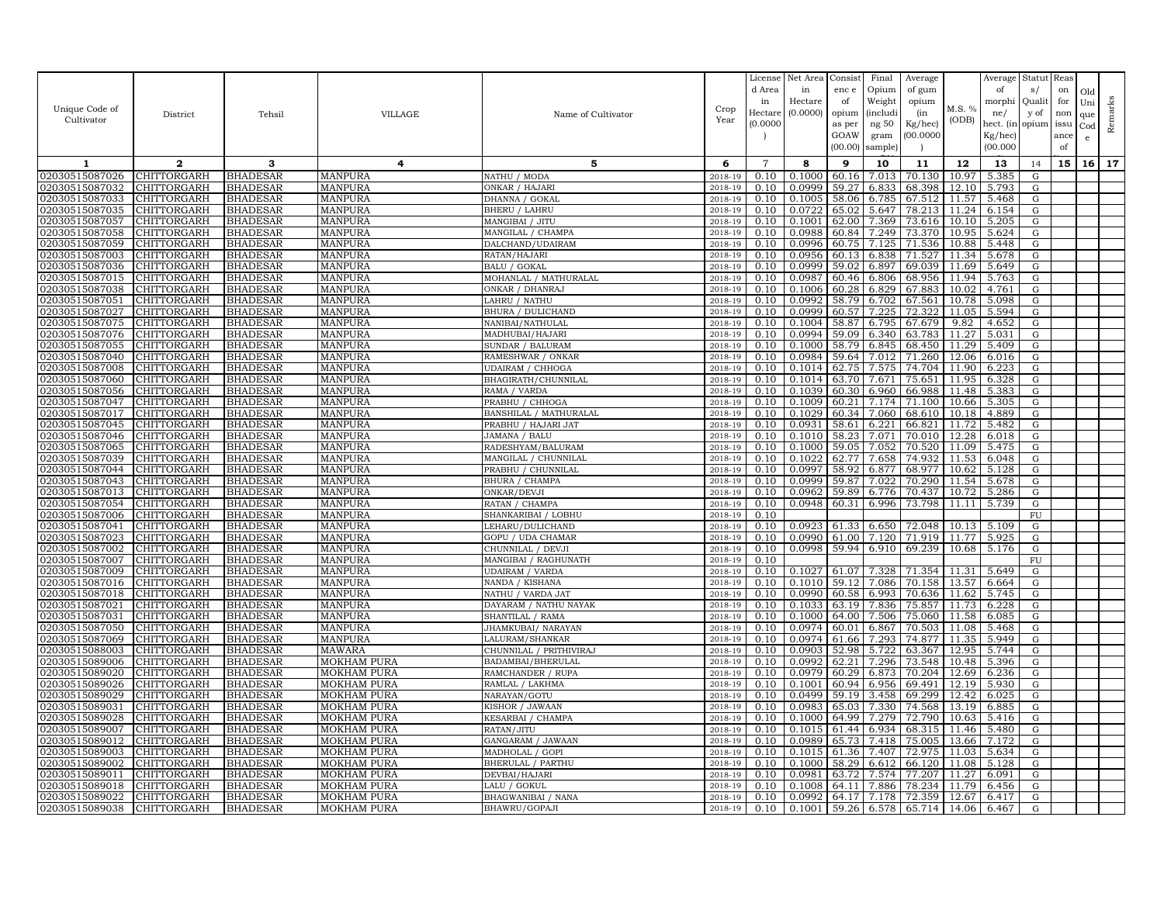|                                  |                                   |                                    |                                          |                                       |                    | License        | Net Area         | Consist        | Final          | Average          |                | Average        | Statut Reas |      |              |         |
|----------------------------------|-----------------------------------|------------------------------------|------------------------------------------|---------------------------------------|--------------------|----------------|------------------|----------------|----------------|------------------|----------------|----------------|-------------|------|--------------|---------|
|                                  |                                   |                                    |                                          |                                       |                    | d Area         | in               | enc e          | Opium          | of gum           |                | of             | s/          | on   | Old          |         |
| Unique Code of                   |                                   |                                    |                                          |                                       | Crop               | in             | Hectare          | of             | Weight         | opium            | M.S. %         | morphi         | Qualit      | for  | Uni          | Remarks |
| Cultivator                       | District                          | Tehsil                             | <b>VILLAGE</b>                           | Name of Cultivator                    | Year               | Hectar         | (0.0000)         | opium          | (includ:       | (in              | (ODB)          | ne/            | y of        | non  | que          |         |
|                                  |                                   |                                    |                                          |                                       |                    | (0.0000)       |                  | as per         | ng 50          | Kg/hec)          |                | hect. (in      | opium issu  |      | $_{\rm Cod}$ |         |
|                                  |                                   |                                    |                                          |                                       |                    |                |                  | GOAW           | gram           | 00.0000          |                | Kg/hec)        |             | ance | e            |         |
|                                  |                                   |                                    |                                          |                                       |                    |                |                  | (00.00)        | sample)        |                  |                | (00.000)       |             | of   |              |         |
| 1                                | $\mathbf{2}$                      | 3                                  | 4                                        | 5                                     | 6                  | $\overline{7}$ | 8                | 9              | 10             | 11               | 12             | 13             | 14          | 15   | 16           | 17      |
| 02030515087026                   | <b>CHITTORGARH</b>                | <b>BHADESAR</b>                    | MANPURA                                  | NATHU / MODA                          | 2018-19            | 0.10           | 0.1000           | 60.16          | 7.013          | 70.130           | 10.97          | 5.385          | G           |      |              |         |
| 02030515087032                   | <b>CHITTORGARH</b>                | <b>BHADESAR</b>                    | MANPURA                                  | ONKAR / HAJARI                        | 2018-19            | 0.10           | 0.0999           | 59.27          | 6.833          | 68.398           | 12.10          | 5.793          | G           |      |              |         |
| 02030515087033                   | CHITTORGARH                       | <b>BHADESAR</b>                    | <b>MANPURA</b>                           | DHANNA / GOKAL                        | 2018-19            | 0.10           | 0.1005           | 58.06          | 6.785          | 67.512           | 11.57          | 5.468          | G           |      |              |         |
| 02030515087035                   | CHITTORGARH                       | <b>BHADESAR</b>                    | <b>MANPURA</b>                           | <b>BHERU / LAHRU</b>                  | 2018-19            | 0.10           | 0.0722           | 65.02          | 5.647          | 78.213           | 11.24          | 6.154          | G           |      |              |         |
| 02030515087057                   | CHITTORGARH                       | <b>BHADESAR</b>                    | MANPURA                                  | MANGIBAI / JITU                       | 2018-19            | 0.10           | 0.1001           | 62.00          | 7.369          | 73.616           | 10.10          | 5.205          | G           |      |              |         |
| 02030515087058                   | CHITTORGARH                       | <b>BHADESAR</b>                    | <b>MANPURA</b>                           | MANGILAL / CHAMPA                     | 2018-19            | 0.10           | 0.0988           | 60.84          | 7.249          | 73.370           | 10.95          | 5.624          | G           |      |              |         |
| 02030515087059                   | CHITTORGARH                       | <b>BHADESAR</b>                    | <b>MANPURA</b>                           | DALCHAND/UDAIRAM                      | 2018-19            | 0.10           | 0.0996           | 60.75          | 7.125          | 71.536           | 10.88          | 5.448          | G           |      |              |         |
| 02030515087003                   | CHITTORGARH                       | <b>BHADESAR</b>                    | MANPURA                                  | RATAN/HAJARI                          | 2018-19            | 0.10           | 0.0956           | 60.13          | 6.838          | 71.527           | 11.34          | 5.678          | G           |      |              |         |
| 02030515087036                   | CHITTORGARH                       | <b>BHADESAR</b>                    | <b>MANPURA</b>                           | <b>BALU / GOKAL</b>                   | 2018-19            | 0.10           | 0.0999           | 59.02          | 6.897          | 69.039           | 11.69          | 5.649          | G           |      |              |         |
| 02030515087015                   | CHITTORGARH                       | <b>BHADESAR</b>                    | <b>MANPURA</b>                           | MOHANLAL / MATHURALAL                 | 2018-19            | 0.10           | 0.0987           | 60.46          | 6.806          | 68.956           | 11.94          | 5.763          | G           |      |              |         |
| 02030515087038<br>02030515087051 | <b>CHITTORGARH</b><br>CHITTORGARH | <b>BHADESAR</b><br><b>BHADESAR</b> | MANPURA<br><b>MANPURA</b>                | ONKAR / DHANRAJ<br>LAHRU / NATHU      | 2018-19<br>2018-19 | 0.10<br>0.10   | 0.1006<br>0.0992 | 60.28<br>58.79 | 6.829<br>6.702 | 67.883<br>67.561 | 10.02<br>10.78 | 4.761<br>5.098 | G<br>G      |      |              |         |
| 02030515087027                   | CHITTORGARH                       | <b>BHADESAR</b>                    | <b>MANPURA</b>                           | BHURA / DULICHAND                     | 2018-19            | 0.10           | 0.0999           | 60.57          | 7.225          | 72.322           | 11.05          | 5.594          | G           |      |              |         |
| 02030515087075                   | CHITTORGARH                       | <b>BHADESAR</b>                    | <b>MANPURA</b>                           | NANIBAI/NATHULAL                      | 2018-19            | 0.10           | 0.1004           | 58.87          | 6.795          | 67.679           | 9.82           | 4.652          | G           |      |              |         |
| 02030515087076                   | CHITTORGARH                       | <b>BHADESAR</b>                    | <b>MANPURA</b>                           | MADHUBAI/HAJARI                       | 2018-19            | 0.10           | 0.0994           | 59.09          | 6.340          | 63.783           | 11.27          | 5.031          | G           |      |              |         |
| 02030515087055                   | CHITTORGARH                       | <b>BHADESAR</b>                    | <b>MANPURA</b>                           | SUNDAR / BALURAM                      | 2018-19            | 0.10           | 0.1000           | 58.79          | 6.845          | 68.450           | 11.29          | 5.409          | G           |      |              |         |
| 02030515087040                   | CHITTORGARH                       | <b>BHADESAR</b>                    | <b>MANPURA</b>                           | RAMESHWAR / ONKAR                     | $2018 - 1$         | 0.10           | 0.0984           | 59.64          | 7.012          | 71.260           | 12.06          | 6.016          | G           |      |              |         |
| 02030515087008                   | CHITTORGARH                       | <b>BHADESAR</b>                    | MANPURA                                  | <b>UDAIRAM / CHHOGA</b>               | 2018-19            | 0.10           | 0.1014           | 62.75          | 7.575          | 74.704           | 11.90          | 6.223          | G           |      |              |         |
| 02030515087060                   | CHITTORGARH                       | <b>BHADESAR</b>                    | <b>MANPURA</b>                           | BHAGIRATH/CHUNNILAL                   | 2018-19            | 0.10           | 0.1014           | 63.70          | 7.671          | 75.651           | 11.95          | 6.328          | G           |      |              |         |
| 02030515087056                   | CHITTORGARH                       | <b>BHADESAR</b>                    | <b>MANPURA</b>                           | RAMA / VARDA                          | 2018-19            | 0.10           | 0.1039           | 60.30          | 6.960          | 66.988           | 11.48          | 5.383          | G           |      |              |         |
| 02030515087047                   | CHITTORGARH                       | <b>BHADESAR</b>                    | <b>MANPURA</b>                           | PRABHU / CHHOGA                       | 2018-19            | 0.10           | 0.1009           | 60.21          | 7.174          | 71.100           | 10.66          | 5.305          | G           |      |              |         |
| 02030515087017                   | CHITTORGARH                       | <b>BHADESAR</b>                    | <b>MANPURA</b>                           | BANSHILAL / MATHURALAL                | 2018-19            | 0.10           | 0.1029           | 60.34          | 7.060          | 68.610           | 10.18          | 4.889          | G           |      |              |         |
| 02030515087045                   | CHITTORGARH                       | <b>BHADESAR</b>                    | <b>MANPURA</b>                           | PRABHU / HAJARI JAT                   | 2018-19            | 0.10           | 0.0931           | 58.61          | 6.221          | 66.821           | 11.72          | 5.482          | G           |      |              |         |
| 02030515087046                   | CHITTORGARH                       | <b>BHADESAR</b>                    | <b>MANPURA</b>                           | JAMANA / BALU                         | 2018-19            | 0.10           | 0.1010           | 58.23          | 7.071          | 70.010           | 12.28          | 6.018          | G           |      |              |         |
| 02030515087065                   | CHITTORGARH                       | <b>BHADESAR</b>                    | MANPURA                                  | RADESHYAM/BALURAM                     | 2018-19            | 0.10           | 0.1000           | 59.05          | 7.052          | 70.520           | 11.09          | 5.475          | G           |      |              |         |
| 02030515087039                   | CHITTORGARH                       | <b>BHADESAR</b>                    | MANPURA                                  | MANGILAL / CHUNNILAL                  | 2018-19            | 0.10           | 0.1022           | 62.77          | 7.658          | 74.932           | 11.53          | 6.048          | G           |      |              |         |
| 02030515087044                   | CHITTORGARH                       | <b>BHADESAR</b>                    | MANPURA                                  | PRABHU / CHUNNILAL                    | 2018-19            | 0.10           | 0.0997           | 58.92          | 6.877          | 68.977           | 10.62          | 5.128          | G           |      |              |         |
| 02030515087043                   | CHITTORGARH                       | <b>BHADESAR</b>                    | <b>MANPURA</b>                           | BHURA / CHAMPA                        | 2018-19            | 0.10           | 0.0999           | 59.87          | 7.022          | 70.290           | 11.54          | 5.678          | ${\rm G}$   |      |              |         |
| 02030515087013                   | CHITTORGARH                       | <b>BHADESAR</b>                    | <b>MANPURA</b>                           | ONKAR/DEVJI                           | 2018-19            | 0.10           | 0.0962           | 59.89          | 6.776          | 70.437           | 10.72          | 5.286          | G           |      |              |         |
| 02030515087054                   | <b>CHITTORGARH</b>                | <b>BHADESAR</b>                    | <b>MANPURA</b>                           | RATAN / CHAMPA                        | 2018-19            | 0.10           | 0.0948           | 60.31          | 6.996          | 73.798           | 11.11          | 5.739          | G           |      |              |         |
| 02030515087006<br>02030515087041 | CHITTORGARH<br>CHITTORGARH        | <b>BHADESAR</b><br><b>BHADESAR</b> | <b>MANPURA</b><br><b>MANPURA</b>         | SHANKARIBAI / LOBHU                   | 2018-19            | 0.10<br>0.10   | 0.0923           | 61.33          | 6.650          | 72.048           | 10.13          | 5.109          | FU<br>G     |      |              |         |
| 02030515087023                   | CHITTORGARH                       | <b>BHADESAR</b>                    | <b>MANPURA</b>                           | LEHARU/DULICHAND<br>GOPU / UDA CHAMAR | 2018-19<br>2018-19 | 0.10           | 0.0990           | 61.00          | 7.120          | 71.919           | 11.77          | 5.925          | G           |      |              |         |
| 02030515087002                   | CHITTORGARH                       | <b>BHADESAR</b>                    | <b>MANPURA</b>                           | CHUNNILAL / DEVJI                     | 2018-19            | 0.10           | 0.0998           | 59.94          | 6.910          | 69.239           | 10.68          | 5.176          | G           |      |              |         |
| 02030515087007                   | CHITTORGARH                       | <b>BHADESAR</b>                    | <b>MANPURA</b>                           | MANGIBAI / RAGHUNATH                  | 2018-19            | 0.10           |                  |                |                |                  |                |                | ${\rm FU}$  |      |              |         |
| 02030515087009                   | CHITTORGARH                       | <b>BHADESAR</b>                    | <b>MANPURA</b>                           | <b>UDAIRAM / VARDA</b>                | 2018-19            | 0.10           | 0.1027           | 61.07          | 7.328          | 71.354           | 11.31          | 5.649          | G           |      |              |         |
| 02030515087016                   | CHITTORGARH                       | <b>BHADESAR</b>                    | <b>MANPURA</b>                           | NANDA / KISHANA                       | 2018-19            | 0.10           | 0.1010           | 59.12          | 7.086          | 70.158           | 13.57          | 6.664          | G           |      |              |         |
| 02030515087018                   | CHITTORGARH                       | <b>BHADESAR</b>                    | <b>MANPURA</b>                           | NATHU / VARDA JAT                     | 2018-19            | 0.10           | 0.0990           | 60.58          | 6.993          | 70.636           | 11.62          | 5.745          | G           |      |              |         |
| 02030515087021                   | CHITTORGARH                       | <b>BHADESAR</b>                    | <b>MANPURA</b>                           | DAYARAM / NATHU NAYAK                 | 2018-19            | 0.10           | 0.1033           | 63.19          | 7.836          | 75.857           | 11.73          | 6.228          | G           |      |              |         |
| 02030515087031                   | <b>CHITTORGARH</b>                | <b>BHADESAR</b>                    | <b>MANPURA</b>                           | SHANTILAL / RAMA                      | 2018-19            | 0.10           | 0.1000           | 64.00          | 7.506          | 75.060           | 11.58          | 6.085          | G           |      |              |         |
| 02030515087050                   | CHITTORGARH                       | <b>BHADESAR</b>                    | <b>MANPURA</b>                           | JHAMKUBAI/ NARAYAN                    | 2018-19            | 0.10           | 0.0974           | 60.01          | 6.867          | 70.503           | 11.08          | 5.468          | G           |      |              |         |
| 02030515087069                   | CHITTORGARH                       | <b>BHADESAR</b>                    | <b>MANPURA</b>                           | LALURAM/SHANKAR                       | 2018-19            | 0.10           | 0.0974           | 61.66          | 7.293          | 74.877           | 11.35          | 5.949          | G           |      |              |         |
| 02030515088003                   | CHITTORGARH                       | <b>BHADESAR</b>                    | MAWARA                                   | CHUNNILAL / PRITHIVIRAJ               | 2018-19            | 0.10           | 0.0903           | 52.98          | 5.722          | 63.367           | 12.95          | 5.744          | G           |      |              |         |
| 02030515089006                   | CHITTORGARH                       | BHADESAR                           | MOKHAM PURA                              | BADAMBAI/BHERULAL                     | 2018-19            | 0.10           | 0.0992           | 62.21          | 7.296          | 73.548           | 10.48          | 5.396          | G           |      |              |         |
| 02030515089020                   | CHITTORGARH                       | <b>BHADESAR</b>                    | MOKHAM PURA                              | RAMCHANDER / RUPA                     | 2018-19            | 0.10           | 0.0979           | 60.29          | 6.873          | 70.204           | 12.69          | 6.236          | G           |      |              |         |
| 02030515089026                   | CHITTORGARH                       | <b>BHADESAR</b>                    | <b>MOKHAM PURA</b>                       | RAMLAL / LAKHMA                       | $2018 - 1$         | 0.10           | 0.1001           | 60.94          | 6.956          | 69.491           | 12.19          | 5.930          | G           |      |              |         |
| 02030515089029                   | CHITTORGARH                       | <b>BHADESAR</b>                    | MOKHAM PURA                              | NARAYAN/GOTU                          | 2018-19<br>2018-19 | 0.10<br>0.10   | 0.0499<br>0.0983 | 59.19          | 3.458          | 69.299           | 12.42          | 6.025          | G           |      |              |         |
| 02030515089031<br>02030515089028 | CHITTORGARH<br>CHITTORGARH        | <b>BHADESAR</b><br><b>BHADESAR</b> | <b>MOKHAM PURA</b><br><b>MOKHAM PURA</b> | KISHOR / JAWAAN<br>KESARBAI / CHAMPA  | 2018-19            | 0.10           | 0.1000           | 65.03<br>64.99 | 7.330<br>7.279 | 74.568<br>72.790 | 13.19<br>10.63 | 6.885<br>5.416 | G<br>G      |      |              |         |
| 02030515089007                   | CHITTORGARH                       | <b>BHADESAR</b>                    | <b>MOKHAM PURA</b>                       | RATAN/JITU                            | 2018-19            | 0.10           | 0.1015           | 61.44          | 6.934          | 68.315           | 11.46          | 5.480          | G           |      |              |         |
| 02030515089012                   | CHITTORGARH                       | <b>BHADESAR</b>                    | <b>MOKHAM PURA</b>                       | GANGARAM / JAWAAN                     | 2018-19            | 0.10           | 0.0989           | 65.73          | 7.418          | 75.005           | 13.66          | 7.172          | G           |      |              |         |
| 02030515089003                   | CHITTORGARH                       | <b>BHADESAR</b>                    | MOKHAM PURA                              | MADHOLAL / GOPI                       | 2018-19            | 0.10           | 0.1015           | 61.36          | 7.407          | 72.975           | 11.03          | 5.634          | G           |      |              |         |
| 02030515089002                   | CHITTORGARH                       | <b>BHADESAR</b>                    | <b>MOKHAM PURA</b>                       | <b>BHERULAL / PARTHU</b>              | 2018-19            | 0.10           | 0.1000           | 58.29          | 6.612          | 66.120           | 11.08          | 5.128          | G           |      |              |         |
| 02030515089011                   | <b>CHITTORGARH</b>                | <b>BHADESAR</b>                    | MOKHAM PURA                              | DEVBAI/HAJARI                         | 2018-19            | 0.10           | 0.0981           | 63.72          | 7.574          | 77.207           | 11.27          | 6.091          | G           |      |              |         |
| 02030515089018                   | CHITTORGARH                       | <b>BHADESAR</b>                    | MOKHAM PURA                              | LALU / GOKUL                          | 2018-19            | 0.10           | 0.1008           | 64.11          | 7.886          | 78.234           | 11.79          | 6.456          | G           |      |              |         |
| 02030515089022                   | <b>CHITTORGARH</b>                | <b>BHADESAR</b>                    | <b>MOKHAM PURA</b>                       | BHAGWANIBAI / NANA                    | 2018-19            | 0.10           | 0.0992           | 64.17          | 7.178          | 72.359           | 12.67          | 6.417          | G           |      |              |         |
| 02030515089038                   | <b>CHITTORGARH</b>                | <b>BHADESAR</b>                    | <b>MOKHAM PURA</b>                       | BHAWRU/GOPAJI                         | 2018-19            | 0.10           | 0.1001           | 59.26          | 6.578          | 65.714 14.06     |                | 6.467          | G           |      |              |         |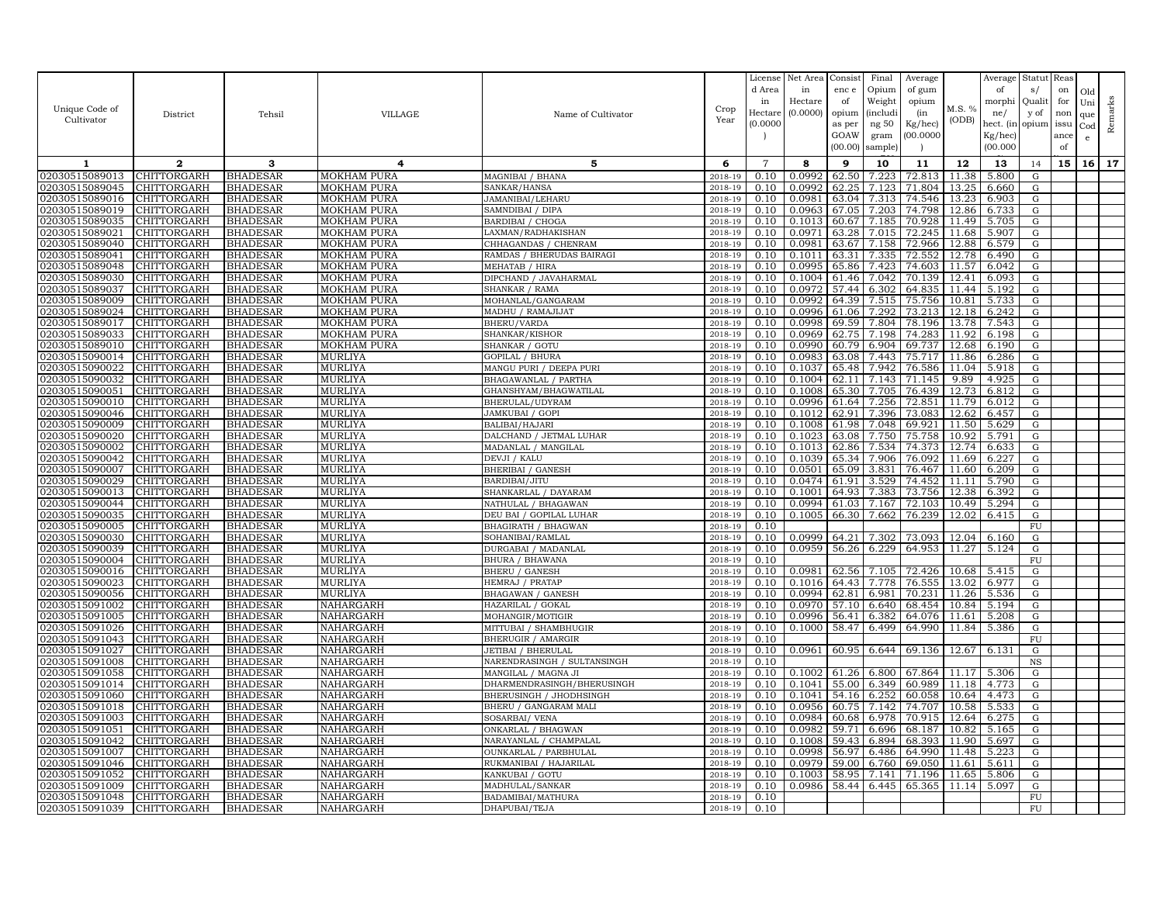|                                  |                                   |                                    |                                   |                                                  |                    | License        | Net Area         | Consist        | Final          | Average          |                | Average        | Statut Reas     |      |              |         |
|----------------------------------|-----------------------------------|------------------------------------|-----------------------------------|--------------------------------------------------|--------------------|----------------|------------------|----------------|----------------|------------------|----------------|----------------|-----------------|------|--------------|---------|
|                                  |                                   |                                    |                                   |                                                  |                    | d Area         | in               | enc e          | Opium          | of gum           |                | of             | s/              | on   | Old          |         |
| Unique Code of                   |                                   |                                    |                                   |                                                  | Crop               | in             | Hectare          | of             | Weight         | opium            | M.S. %         | morphi         | Qualit          | for  | Uni          | Remarks |
| Cultivator                       | District                          | Tehsil                             | <b>VILLAGE</b>                    | Name of Cultivator                               | Year               | Hectar         | (0.0000)         | opium          | (includ:       | (in              | (ODB)          | ne/            | y of            | non  | que          |         |
|                                  |                                   |                                    |                                   |                                                  |                    | (0.0000)       |                  | as per         | ng 50          | Kg/hec)          |                | hect. (in      | opium issu      |      | $_{\rm Cod}$ |         |
|                                  |                                   |                                    |                                   |                                                  |                    |                |                  | GOAW           | gram           | 00.0000          |                | Kg/hec)        |                 | ance | e            |         |
|                                  |                                   |                                    |                                   |                                                  |                    |                |                  | (00.00)        | sample)        |                  |                | (00.000)       |                 | of   |              |         |
| 1                                | $\mathbf{2}$                      | 3                                  | 4                                 | 5                                                | 6                  | $\overline{7}$ | 8                | 9              | 10             | 11               | 12             | 13             | 14              | 15   | 16           | 17      |
| 02030515089013                   | CHITTORGARH                       | <b>BHADESAR</b>                    | MOKHAM PURA                       | MAGNIBAI / BHANA                                 | 2018-19            | 0.10           | 0.0992           | 62.50          | 7.223          | 72.813           | 11.38          | 5.800          | G               |      |              |         |
| 02030515089045                   | <b>CHITTORGARH</b>                | <b>BHADESAR</b>                    | MOKHAM PURA                       | SANKAR/HANSA                                     | 2018-19            | 0.10           | 0.0992           | 62.25          | 7.123          | 71.804           | 13.25          | 6.660          | G               |      |              |         |
| 02030515089016                   | CHITTORGARH                       | <b>BHADESAR</b>                    | <b>MOKHAM PURA</b>                | JAMANIBAI/LEHARU                                 | 2018-19            | 0.10           | 0.0981           | 63.04          | 7.313          | 74.546           | 13.23          | 6.903          | G               |      |              |         |
| 02030515089019                   | CHITTORGARH                       | <b>BHADESAR</b>                    | <b>MOKHAM PURA</b>                | SAMNDIBAI / DIPA                                 | 2018-19            | 0.10           | 0.0963           | 67.05          | 7.203          | 74.798           | 12.86          | 6.733          | G               |      |              |         |
| 02030515089035                   | CHITTORGARH                       | <b>BHADESAR</b>                    | MOKHAM PURA                       | BARDIBAI / CHOGA                                 | 2018-19            | 0.10           | 0.1013           | 60.67          | 7.185          | 70.928           | 11.49          | 5.705          | G               |      |              |         |
| 02030515089021                   | CHITTORGARH                       | <b>BHADESAR</b>                    | MOKHAM PURA                       | LAXMAN/RADHAKISHAN                               | 2018-19            | 0.10           | 0.0971           | 63.28          | 7.015          | 72.245           | 11.68          | 5.907          | G               |      |              |         |
| 02030515089040                   | CHITTORGARH                       | <b>BHADESAR</b>                    | <b>MOKHAM PURA</b>                | CHHAGANDAS / CHENRAM                             | 2018-19            | 0.10           | 0.0981           | 63.67          | 7.158          | 72.966           | 12.88          | 6.579          | G               |      |              |         |
| 02030515089041                   | CHITTORGARH                       | <b>BHADESAR</b>                    | MOKHAM PURA                       | RAMDAS / BHERUDAS BAIRAGI                        | 2018-19            | 0.10           | 0.1011           | 63.31          | 7.335          | 72.552           | 12.78          | 6.490          | G               |      |              |         |
| 02030515089048                   | CHITTORGARH                       | <b>BHADESAR</b>                    | <b>MOKHAM PURA</b>                | MEHATAB / HIRA                                   | 2018-19            | 0.10           | 0.0995           | 65.86          | 7.423          | 74.603           | 11.57          | 6.042          | G               |      |              |         |
| 02030515089030                   | CHITTORGARH                       | <b>BHADESAR</b>                    | <b>MOKHAM PURA</b>                | DIPCHAND / JAVAHARMAL                            | 2018-19            | 0.10           | 0.1004           | 61.46<br>57.44 | 7.042          | 70.139           | 12.41          | 6.093          | G               |      |              |         |
| 02030515089037<br>02030515089009 | <b>CHITTORGARH</b><br>CHITTORGARH | <b>BHADESAR</b><br><b>BHADESAR</b> | MOKHAM PURA<br><b>MOKHAM PURA</b> | SHANKAR / RAMA<br>MOHANLAL/GANGARAM              | 2018-19<br>2018-19 | 0.10<br>0.10   | 0.0972<br>0.0992 | 64.39          | 6.302<br>7.515 | 64.835<br>75.756 | 11.44<br>10.81 | 5.192<br>5.733 | G<br>G          |      |              |         |
| 02030515089024                   | CHITTORGARH                       | <b>BHADESAR</b>                    | <b>MOKHAM PURA</b>                | MADHU / RAMAJIJAT                                | 2018-19            | 0.10           | 0.0996           | 61.06          | 7.292          | 73.213           | 12.18          | 6.242          | G               |      |              |         |
| 02030515089017                   | CHITTORGARH                       | <b>BHADESAR</b>                    | <b>MOKHAM PURA</b>                | BHERU/VARDA                                      | 2018-19            | 0.10           | 0.0998           | 69.59          | 7.804          | 78.196           | 13.78          | 7.543          | G               |      |              |         |
| 02030515089033                   | CHITTORGARH                       | <b>BHADESAR</b>                    | MOKHAM PURA                       | SHANKAR/KISHOR                                   | 2018-19            | 0.10           | 0.0969           | 62.75          | 7.198          | 74.283           | 11.92          | 6.198          | G               |      |              |         |
| 02030515089010                   | CHITTORGARH                       | <b>BHADESAR</b>                    | <b>MOKHAM PURA</b>                | SHANKAR / GOTU                                   | 2018-19            | 0.10           | 0.0990           | 60.79          | 6.904          | 69.737           | 12.68          | 6.190          | G               |      |              |         |
| 02030515090014                   | CHITTORGARH                       | <b>BHADESAR</b>                    | <b>MURLIYA</b>                    | <b>GOPILAL / BHURA</b>                           | $2018 - 1$         | 0.10           | 0.0983           | 63.08          | 7.443          | 75.717           | 11.86          | 6.286          | G               |      |              |         |
| 02030515090022                   | CHITTORGARH                       | <b>BHADESAR</b>                    | MURLIYA                           | MANGU PURI / DEEPA PURI                          | 2018-19            | 0.10           | 0.1037           | 65.48          | 7.942          | 76.586           | 11.04          | 5.918          | G               |      |              |         |
| 02030515090032                   | CHITTORGARH                       | <b>BHADESAR</b>                    | MURLIYA                           | BHAGAWANLAL / PARTHA                             | 2018-19            | 0.10           | 0.1004           | 62.11          | 7.143          | 71.145           | 9.89           | 4.925          | G               |      |              |         |
| 02030515090051                   | CHITTORGARH                       | <b>BHADESAR</b>                    | <b>MURLIYA</b>                    | GHANSHYAM/BHAGWATILAL                            | 2018-19            | 0.10           | 0.1008           | 65.30          | 7.705          | 76.439           | 12.73          | 6.812          | G               |      |              |         |
| 02030515090010                   | CHITTORGARH                       | <b>BHADESAR</b>                    | <b>MURLIYA</b>                    | BHERULAL/UDYRAM                                  | 2018-19            | 0.10           | 0.0996           | 61.64          | 7.256          | 72.851           | 11.79          | 6.012          | G               |      |              |         |
| 02030515090046                   | CHITTORGARH                       | <b>BHADESAR</b>                    | MURLIYA                           | JAMKUBAI / GOPI                                  | 2018-19            | 0.10           | 0.1012           | 62.91          | 7.396          | 73.083           | 12.62          | 6.457          | G               |      |              |         |
| 02030515090009                   | CHITTORGARH                       | <b>BHADESAR</b>                    | MURLIYA                           | BALIBAI/HAJARI                                   | 2018-19            | 0.10           | 0.1008           | 61.98          | 7.048          | 69.921           | 11.50          | 5.629          | G               |      |              |         |
| 02030515090020                   | CHITTORGARH                       | <b>BHADESAR</b>                    | MURLIYA                           | DALCHAND / JETMAL LUHAR                          | 2018-19            | 0.10           | 0.1023           | 63.08          | 7.750          | 75.758           | 10.92          | 5.791          | G               |      |              |         |
| 02030515090002                   | CHITTORGARH                       | <b>BHADESAR</b>                    | MURLIYA                           | MADANLAL / MANGILAL                              | 2018-19            | 0.10           | 0.1013           | 62.86          | 7.534          | 74.373           | 12.74          | 6.633          | G               |      |              |         |
| 02030515090042                   | CHITTORGARH                       | <b>BHADESAR</b>                    | MURLIYA                           | DEVJI / KALU                                     | 2018-19            | 0.10           | 0.1039           | 65.34          | 7.906          | 76.092           | 11.69          | 6.227          | G               |      |              |         |
| 02030515090007                   | CHITTORGARH                       | <b>BHADESAR</b>                    | MURLIYA                           | <b>BHERIBAI / GANESH</b>                         | 2018-19            | 0.10           | 0.0501           | 65.09          | 3.831          | 76.467           | 11.60          | 6.209          | G               |      |              |         |
| 02030515090029                   | CHITTORGARH                       | <b>BHADESAR</b>                    | <b>MURLIYA</b>                    | BARDIBAI/JITU                                    | 2018-19            | 0.10           | 0.0474           | 61.91          | 3.529          | 74.452           | 11.11          | 5.790          | G               |      |              |         |
| 02030515090013                   | CHITTORGARH                       | <b>BHADESAR</b>                    | <b>MURLIYA</b>                    | SHANKARLAL / DAYARAM                             | 2018-19            | 0.10           | 0.1001           | 64.93          | 7.383          | 73.756           | 12.38          | 6.392          | G               |      |              |         |
| 02030515090044                   | CHITTORGARH                       | <b>BHADESAR</b>                    | <b>MURLIYA</b>                    | NATHULAL / BHAGAWAN                              | 2018-19<br>2018-19 | 0.10<br>0.10   | 0.0994           | 61.03          | 7.167          | 72.103           | 10.49          | 5.294          | G               |      |              |         |
| 02030515090035<br>02030515090005 | CHITTORGARH<br>CHITTORGARH        | <b>BHADESAR</b><br><b>BHADESAR</b> | <b>MURLIYA</b><br><b>MURLIYA</b>  | DEU BAI / GOPILAL LUHAR<br>BHAGIRATH / BHAGWAN   | 2018-19            | 0.10           | 0.1005           | 66.30          | 7.662          | 76.239           | 12.02          | 6.415          | G<br>${\rm FU}$ |      |              |         |
| 02030515090030                   | CHITTORGARH                       | <b>BHADESAR</b>                    | <b>MURLIYA</b>                    | SOHANIBAI/RAMLAL                                 | 2018-19            | 0.10           | 0.0999           | 64.21          | 7.302          | 73.093           | 12.04          | 6.160          | G               |      |              |         |
| 02030515090039                   | CHITTORGARH                       | <b>BHADESAR</b>                    | MURLIYA                           | DURGABAI / MADANLAL                              | 2018-19            | 0.10           | 0.0959           | 56.26          | 6.229          | 64.953           | 11.27          | 5.124          | G               |      |              |         |
| 02030515090004                   | CHITTORGARH                       | <b>BHADESAR</b>                    | <b>MURLIYA</b>                    | <b>BHURA / BHAWANA</b>                           | 2018-19            | 0.10           |                  |                |                |                  |                |                | FU              |      |              |         |
| 02030515090016                   | CHITTORGARH                       | <b>BHADESAR</b>                    | MURLIYA                           | <b>BHERU / GANESH</b>                            | 2018-19            | 0.10           | 0.0981           | 62.56          | 7.105          | 72.426           | 10.68          | 5.415          | G               |      |              |         |
| 02030515090023                   | CHITTORGARH                       | <b>BHADESAR</b>                    | MURLIYA                           | HEMRAJ / PRATAP                                  | 2018-19            | 0.10           | 0.1016           | 64.43          | 7.778          | 76.555           | 13.02          | 6.977          | G               |      |              |         |
| 02030515090056                   | CHITTORGARH                       | <b>BHADESAR</b>                    | <b>MURLIYA</b>                    | <b>BHAGAWAN / GANESH</b>                         | 2018-19            | 0.10           | 0.0994           | 62.81          | 6.981          | 70.231           | 11.26          | 5.536          | G               |      |              |         |
| 02030515091002                   | CHITTORGARH                       | <b>BHADESAR</b>                    | NAHARGARH                         | HAZARILAL / GOKAL                                | 2018-19            | 0.10           | 0.0970           | 57.10          | 6.640          | 68.454           | 10.84          | 5.194          | G               |      |              |         |
| 02030515091005                   | <b>CHITTORGARH</b>                | <b>BHADESAR</b>                    | NAHARGARH                         | MOHANGIR/MOTIGIR                                 | 2018-19            | 0.10           | 0.0996           | 56.41          | 6.382          | 64.076           | 11.61          | 5.208          | G               |      |              |         |
| 02030515091026                   | CHITTORGARH                       | <b>BHADESAR</b>                    | NAHARGARH                         | MITTUBAI / SHAMBHUGIR                            | 2018-19            | 0.10           | 0.1000           | 58.47          | 6.499          | 64.990           | 11.84          | 5.386          | G               |      |              |         |
| 02030515091043                   | CHITTORGARH                       | <b>BHADESAR</b>                    | NAHARGARH                         | <b>BHERUGIR / AMARGIR</b>                        | 2018-19            | 0.10           |                  |                |                |                  |                |                | FU              |      |              |         |
| 02030515091027                   | CHITTORGARH                       | <b>BHADESAR</b>                    | NAHARGARH                         | JETIBAI / BHERULAL                               | 2018-19            | 0.10           | 0.0961           | 60.95          | 6.644          | 69.136           | 12.67          | 6.131          | G               |      |              |         |
| 02030515091008                   | CHITTORGARH                       | BHADESAR                           | NAHARGARH                         | NARENDRASINGH / SULTANSINGH                      | 2018-19            | 0.10           |                  |                |                |                  |                |                | $_{\rm NS}$     |      |              |         |
| 02030515091058                   | CHITTORGARH                       | <b>BHADESAR</b>                    | NAHARGARH                         | MANGILAL / MAGNA JI                              | 2018-19            | 0.10           | 0.1002           | 61.26          | 6.800          | 67.864           | 11.17          | 5.306          | G               |      |              |         |
| 02030515091014                   | CHITTORGARH                       | <b>BHADESAR</b>                    | NAHARGARH                         | DHARMENDRASINGH/BHERUSINGH                       | $2018 - 1$         | 0.10           | 0.1041           | 55.00          | 6.349          | 60.989           | 11.18          | 4.773          | G               |      |              |         |
| 02030515091060<br>02030515091018 | <b>CHITTORGARH</b>                | <b>BHADESAR</b>                    | NAHARGARH                         | BHERUSINGH / JHODHSINGH<br>BHERU / GANGARAM MALI | 2018-19<br>2018-19 | 0.10<br>0.10   | 0.1041<br>0.0956 | 54.16<br>60.75 | 6.252          | 60.058           | 10.64          | 4.473          | G               |      |              |         |
| 02030515091003                   | CHITTORGARH<br>CHITTORGARH        | <b>BHADESAR</b><br><b>BHADESAR</b> | NAHARGARH<br>NAHARGARH            | SOSARBAI/ VENA                                   | 2018-19            | 0.10           | 0.0984           | 60.68          | 7.142<br>6.978 | 74.707<br>70.915 | 10.58<br>12.64 | 5.533<br>6.275 | G<br>G          |      |              |         |
| 02030515091051                   | CHITTORGARH                       | <b>BHADESAR</b>                    | NAHARGARH                         | ONKARLAL / BHAGWAN                               | 2018-19            | 0.10           | 0.0982           | 59.71          | 6.696          | 68.187           | 10.82          | 5.165          | G               |      |              |         |
| 02030515091042                   | CHITTORGARH                       | <b>BHADESAR</b>                    | NAHARGARH                         | NARAYANLAL / CHAMPALAL                           | 2018-19            | 0.10           | 0.1008           | 59.43          | 6.894          | 68.393           | 11.90          | 5.697          | G               |      |              |         |
| 02030515091007                   | CHITTORGARH                       | <b>BHADESAR</b>                    | NAHARGARH                         | OUNKARLAL / PARBHULAL                            | 2018-19            | 0.10           | 0.0998           | 56.97          | 6.486          | 64.990           | 11.48          | 5.223          | G               |      |              |         |
| 02030515091046                   | CHITTORGARH                       | <b>BHADESAR</b>                    | NAHARGARH                         | RUKMANIBAI / HAJARILAL                           | 2018-19            | 0.10           | 0.0979           | 59.00          | 6.760          | 69.050           | 11.61          | 5.611          | G               |      |              |         |
| 02030515091052                   | CHITTORGARH                       | <b>BHADESAR</b>                    | NAHARGARH                         | KANKUBAI / GOTU                                  | 2018-19            | 0.10           | 0.1003           | 58.95          | 7.141          | 71.196           | 11.65          | 5.806          | G               |      |              |         |
| 02030515091009                   | CHITTORGARH                       | <b>BHADESAR</b>                    | NAHARGARH                         | MADHULAL/SANKAR                                  | 2018-19            | 0.10           | 0.0986           | 58.44          | 6.445          | 65.365           | 11.14          | 5.097          | G               |      |              |         |
| 02030515091048                   | <b>CHITTORGARH</b>                | <b>BHADESAR</b>                    | NAHARGARH                         | BADAMIBAI/MATHURA                                | 2018-19            | 0.10           |                  |                |                |                  |                |                | FU              |      |              |         |
| 02030515091039                   | <b>CHITTORGARH</b>                | <b>BHADESAR</b>                    | <b>NAHARGARH</b>                  | DHAPUBAI/TEJA                                    | 2018-19            | 0.10           |                  |                |                |                  |                |                | <b>FU</b>       |      |              |         |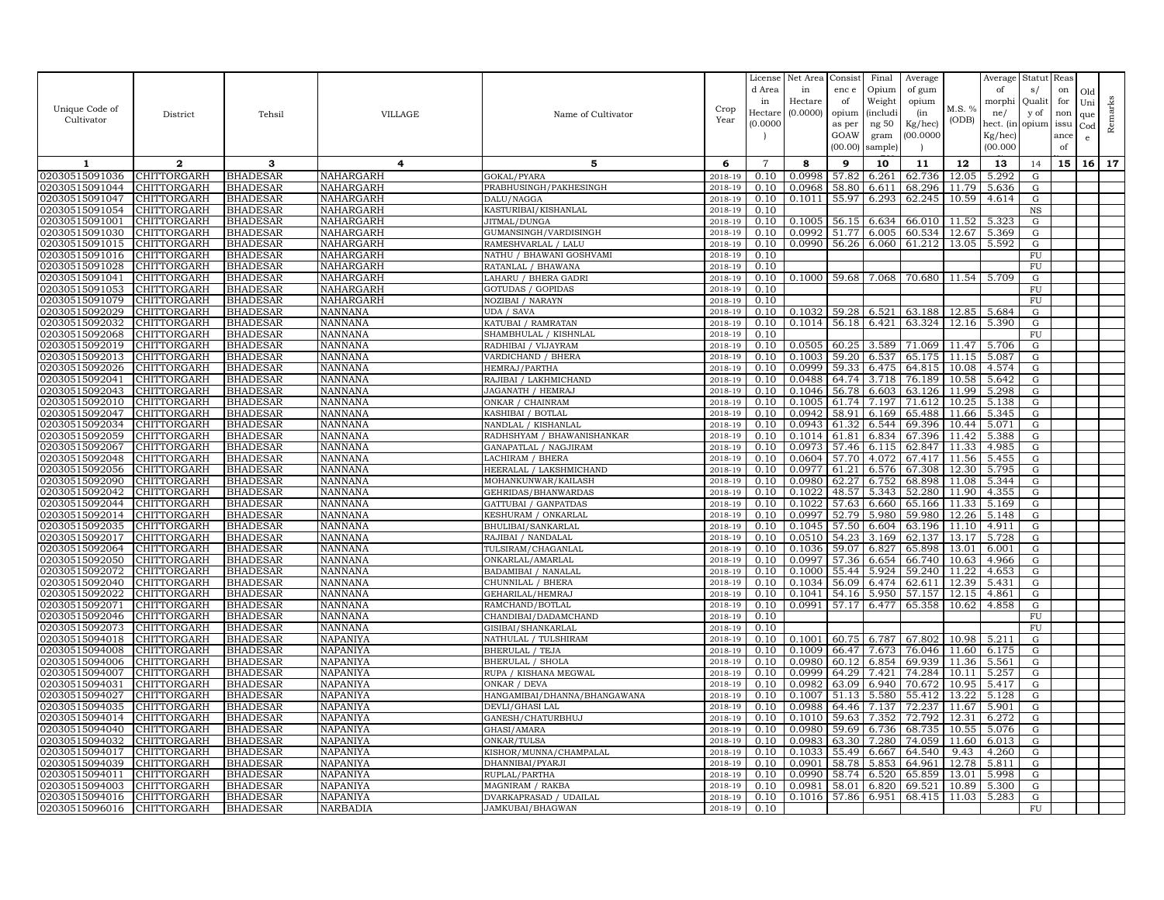|                                  |                                   |                                    |                                  |                                            |                    | License           | Net Area         | Consist        | Final          | Average          |                | Average        | Statut         | Reas |              |         |
|----------------------------------|-----------------------------------|------------------------------------|----------------------------------|--------------------------------------------|--------------------|-------------------|------------------|----------------|----------------|------------------|----------------|----------------|----------------|------|--------------|---------|
|                                  |                                   |                                    |                                  |                                            |                    | d Area            | in               | enc e          | Opium          | of gum           |                | of             | s/             | on   | Old          |         |
|                                  |                                   |                                    |                                  |                                            |                    | in                | Hectare          | of             | Weight         | opium            |                | morphi         | Qualit         | for  | Uni          |         |
| Unique Code of                   | District                          | Tehsil                             | VILLAGE                          | Name of Cultivator                         | Crop               | Hectare           | (0.0000)         | opium          | <i>(includ</i> | (in              | M.S. %         | ne/            | y of           | non  | que          |         |
| Cultivator                       |                                   |                                    |                                  |                                            | Year               | (0.0000)          |                  | as per         | ng $50\,$      | Kg/hec)          | (ODB)          | hect. (in      | opium          | issu | $_{\rm Cod}$ | Remarks |
|                                  |                                   |                                    |                                  |                                            |                    |                   |                  | GOAW           | gram           | (00.0000)        |                | Kg/hec]        |                | ance | e            |         |
|                                  |                                   |                                    |                                  |                                            |                    |                   |                  | (00.00)        | sample         |                  |                | (00.000)       |                | of   |              |         |
| 1                                | $\mathbf{2}$                      | 3                                  | 4                                | 5                                          | 6                  | $\overline{7}$    | 8                | 9              | 10             | 11               | 12             | 13             | 14             | 15   | 16           | 17      |
| 02030515091036                   | CHITTORGARH                       | <b>BHADESAR</b>                    | NAHARGARH                        | GOKAL/PYARA                                | 2018-19            | 0.10              | 0.0998           | 57.82          | 6.261          | 62.736           | 12.05          | 5.292          | ${\rm G}$      |      |              |         |
| 02030515091044                   | CHITTORGARH                       | <b>BHADESAR</b>                    | NAHARGARH                        | PRABHUSINGH/PAKHESINGH                     | 2018-19            | 0.10              | 0.0968           | 58.80          | 6.611          | 68.296           | 11.79          | 5.636          | ${\rm G}$      |      |              |         |
| 02030515091047                   | CHITTORGARH                       | <b>BHADESAR</b>                    | NAHARGARH                        | DALU/NAGGA                                 | 2018-19            | 0.10              | 0.1011           | 55.97          | 6.293          | 62.245           | 10.59          | 4.614          | G              |      |              |         |
| 02030515091054                   | <b>CHITTORGARH</b>                | <b>BHADESAR</b>                    | NAHARGARH                        | KASTURIBAI/KISHANLAL                       | 2018-19            | 0.10              |                  |                |                |                  |                |                | $_{\rm NS}$    |      |              |         |
| 02030515091001                   | <b>CHITTORGARH</b>                | <b>BHADESAR</b>                    | NAHARGARH                        | JITMAL/DUNGA                               | 2018-19            | 0.10              | 0.1005           | 56.15          | 6.634          | 66.010           | 11.52          | 5.323          | G              |      |              |         |
| 02030515091030                   | CHITTORGARH                       | <b>BHADESAR</b>                    | NAHARGARH                        | GUMANSINGH/VARDISINGH                      | 2018-19            | 0.10              | 0.0992           | 51.77          | 6.005          | 60.534           | 12.67          | 5.369          | ${\rm G}$      |      |              |         |
| 02030515091015                   | <b>CHITTORGARH</b>                | <b>BHADESAR</b>                    | NAHARGARH                        | RAMESHVARLAL / LALU                        | 2018-19            | 0.10              | 0.0990           | 56.26          | 6.060          | 61.212           | 13.05          | 5.592          | ${\rm G}$      |      |              |         |
| 02030515091016                   | <b>CHITTORGARH</b>                | <b>BHADESAR</b>                    | NAHARGARH                        | NATHU / BHAWANI GOSHVAMI                   | 2018-19            | 0.10              |                  |                |                |                  |                |                | FU             |      |              |         |
| 02030515091028                   | <b>CHITTORGARH</b>                | <b>BHADESAR</b>                    | NAHARGARH                        | RATANLAL / BHAWANA                         | 2018-19            | 0.10              |                  |                |                |                  |                |                | FU             |      |              |         |
| 02030515091041                   | CHITTORGARH                       | <b>BHADESAR</b>                    | NAHARGARH                        | LAHARU / BHERA GADRI                       | 2018-19            | 0.10              | 0.1000           | 59.68          | 7.068          | 70.680           | 11.54          | 5.709          | G              |      |              |         |
| 02030515091053                   | CHITTORGARH                       | <b>BHADESAR</b>                    | NAHARGARH                        | GOTUDAS / GOPIDAS                          | 2018-19            | 0.10              |                  |                |                |                  |                |                | ${\rm FU}$     |      |              |         |
| 02030515091079                   | CHITTORGARH                       | <b>BHADESAR</b>                    | NAHARGARH                        | NOZIBAI / NARAYN                           | 2018-19            | 0.10              |                  |                |                |                  |                |                | ${\rm FU}$     |      |              |         |
| 02030515092029                   | CHITTORGARH                       | <b>BHADESAR</b>                    | <b>NANNANA</b>                   | UDA / SAVA                                 | 2018-19            | 0.10              | 0.1032           | 59.28          | 6.521          | 63.188           | 12.85          | 5.684          | G              |      |              |         |
| 02030515092032                   | CHITTORGARH                       | <b>BHADESAR</b>                    | <b>NANNANA</b>                   | KATUBAI / RAMRATAN                         | 2018-19            | 0.10              | 0.1014           | 56.18          | 6.421          | 63.324           | 12.16          | 5.390          | ${\rm G}$      |      |              |         |
| 02030515092068                   | CHITTORGARH                       | <b>BHADESAR</b>                    | <b>NANNANA</b>                   | SHAMBHULAL / KISHNLAL                      | 2018-19            | 0.10              |                  |                |                |                  |                |                | FU             |      |              |         |
| 02030515092019                   | CHITTORGARH                       | <b>BHADESAR</b>                    | NANNANA                          | RADHIBAI / VIJAYRAM                        | 2018-19            | 0.10              | 0.0505           | 60.25          | 3.589          | 71.069           | 11.47          | 5.706          | G              |      |              |         |
| 02030515092013                   | CHITTORGARH                       | <b>BHADESAR</b>                    | <b>NANNANA</b>                   | VARDICHAND / BHERA                         | 2018-19            | 0.10              | 0.1003           | 59.20          | 6.537          | 65.175           | 11.15          | 5.087          | G              |      |              |         |
| 02030515092026                   | CHITTORGARH                       | <b>BHADESAR</b>                    | NANNANA                          | HEMRAJ/PARTHA                              | 2018-19            | 0.10              | 0.0999           | 59.33          | 6.475          | 64.815           | 10.08          | 4.574          | G              |      |              |         |
| 02030515092041                   | CHITTORGARH                       | <b>BHADESAR</b>                    | NANNANA                          | RAJIBAI / LAKHMICHAND                      | 2018-19            | 0.10              | 0.0488           | 64.74          | 3.718          | 76.189           | 10.58          | 5.642          | ${\rm G}$      |      |              |         |
| 02030515092043                   | CHITTORGARH                       | <b>BHADESAR</b>                    | NANNANA                          | JAGANATH / HEMRAJ                          | 2018-19            | 0.10              | 0.1046           | 56.78          | 6.603          | 63.126           | 11.99          | 5.298          | G              |      |              |         |
| 02030515092010                   | CHITTORGARH                       | <b>BHADESAR</b>                    | <b>NANNANA</b>                   | ONKAR / CHAINRAM                           | 2018-19            | 0.10              | 0.1005           | 61.74          | 7.197          | 71.612           | 10.25          | 5.138          | ${\rm G}$      |      |              |         |
| 02030515092047                   | CHITTORGARH                       | <b>BHADESAR</b>                    | <b>NANNANA</b>                   | KASHIBAI / BOTLAL                          | 2018-19            | 0.10              | 0.0942           | 58.91          | 6.169          | 65.488           | 11.66          | 5.345          | ${\rm G}$      |      |              |         |
| 02030515092034                   | CHITTORGARH                       | <b>BHADESAR</b>                    | NANNANA                          | NANDLAL / KISHANLAI                        | 2018-19            | 0.10              | 0.0943           | 61.32          | 6.544          | 69.396           | 10.44          | 5.071          | ${\rm G}$      |      |              |         |
| 02030515092059                   | CHITTORGARH                       | <b>BHADESAR</b>                    | <b>NANNANA</b>                   | RADHSHYAM / BHAWANISHANKAR                 | 2018-19            | 0.10              | 0.1014           | 61.81          | 6.834          | 67.396           | 11.42          | 5.388          | G              |      |              |         |
| 02030515092067                   | CHITTORGARH                       | <b>BHADESAR</b>                    | NANNANA                          | GANAPATLAL / NAGJIRAM                      | 2018-19            | 0.10              | 0.0973           | 57.46          | 6.115          | 62.847           | 11.33          | 4.985          | ${\rm G}$      |      |              |         |
| 02030515092048                   | CHITTORGARH                       | <b>BHADESAR</b>                    | <b>NANNANA</b>                   | <b>ACHIRAM / BHERA</b>                     | 2018-19            | 0.10              | 0.0604           | 57.70          | 4.072          | 67.417           | 11.56          | 5.455          | ${\rm G}$      |      |              |         |
| 02030515092056                   | CHITTORGARH                       | <b>BHADESAR</b>                    | NANNANA                          | HEERALAL / LAKSHMICHAND                    | 2018-19            | 0.10              | 0.0977           | 61.21          | 6.576          | 67.308           | 12.30          | 5.795          | G              |      |              |         |
| 02030515092090                   | CHITTORGARH                       | <b>BHADESAR</b>                    | <b>NANNANA</b>                   | MOHANKUNWAR/KAILASH                        | 2018-19            | 0.10              | 0.0980           | 62.27          | 6.752          | 68.898           | 11.08          | 5.344          | G              |      |              |         |
| 02030515092042                   | CHITTORGARH                       | <b>BHADESAR</b>                    | <b>NANNANA</b>                   | GEHRIDAS/BHANWARDAS                        | 2018-19            | 0.10              | 0.1022           | 48.57          | 5.343          | 52.280           | 11.90          | 4.355          | ${\rm G}$      |      |              |         |
| 02030515092044                   | CHITTORGARH                       | <b>BHADESAR</b>                    | NANNANA                          | GATTUBAI / GANPATDAS                       | 2018-19            | 0.10              | 0.1022<br>0.0997 | 57.63<br>52.79 | 6.660<br>5.980 | 65.166<br>59.980 | 11.33<br>12.26 | 5.169          | ${\rm G}$      |      |              |         |
| 02030515092014<br>02030515092035 | CHITTORGARH<br>CHITTORGARH        | <b>BHADESAR</b><br><b>BHADESAR</b> | <b>NANNANA</b><br><b>NANNANA</b> | KESHURAM / ONKARLAI<br>BHULIBAI/SANKARLAL  | 2018-19<br>2018-19 | 0.10<br>0.10      | 0.1045           | 57.50          | 6.604          | 63.196           | 11.10          | 5.148<br>4.91  | G<br>${\rm G}$ |      |              |         |
| 02030515092017                   | <b>CHITTORGARH</b>                | <b>BHADESAR</b>                    | NANNANA                          | RAJIBAI / NANDALAL                         | 2018-19            | 0.10              | 0.0510           | 54.23          | 3.169          | 62.137           | 13.17          | 5.728          | $\mathbf G$    |      |              |         |
| 02030515092064                   | CHITTORGARH                       | <b>BHADESAR</b>                    | NANNANA                          | TULSIRAM/CHAGANLAL                         | 2018-19            | $0.\overline{10}$ | 0.1036           | 59.07          | 6.827          | 65.898           | 13.01          | 6.001          | G              |      |              |         |
| 02030515092050                   | CHITTORGARH                       | <b>BHADESAR</b>                    | <b>NANNANA</b>                   | ONKARLAL/AMARLAL                           | 2018-19            | 0.10              | 0.0997           | 57.36          | 6.654          | 66.740           | 10.63          | 4.966          | ${\rm G}$      |      |              |         |
| 02030515092072                   | CHITTORGARH                       | <b>BHADESAR</b>                    | <b>NANNANA</b>                   | BADAMIBAI / NANALAI                        | 2018-19            | 0.10              | 0.1000           | 55.44          | 5.924          | 59.240           | 11.22          | 4.653          | ${\rm G}$      |      |              |         |
| 02030515092040                   | <b>CHITTORGARH</b>                | <b>BHADESAR</b>                    | NANNANA                          | CHUNNILAL / BHERA                          | 2018-19            | 0.10              | 0.1034           | 56.09          | 6.474          | 62.611           | 12.39          | 5.431          | G              |      |              |         |
| 02030515092022                   | CHITTORGARH                       | <b>BHADESAR</b>                    | NANNANA                          | GEHARILAL/HEMRAJ                           | 2018-19            | 0.10              | 0.1041           | 54.16          | 5.950          | 57.157           | 12.15          | 4.861          | G              |      |              |         |
| 02030515092071                   | CHITTORGARH                       | <b>BHADESAR</b>                    | <b>NANNANA</b>                   | RAMCHAND/BOTLAL                            | 2018-19            | 0.10              | 0.0991           | 57.17          | 6.477          | 65.358           | 10.62          | 4.858          | ${\rm G}$      |      |              |         |
| 02030515092046                   | <b>CHITTORGARH</b>                | <b>BHADESAR</b>                    | NANNANA                          | CHANDIBAI/DADAMCHAND                       | 2018-19            | 0.10              |                  |                |                |                  |                |                | FU             |      |              |         |
| 02030515092073                   | CHITTORGARH                       | <b>BHADESAR</b>                    | NANNANA                          | GISIBAI/SHANKARLAL                         | 2018-19            | 0.10              |                  |                |                |                  |                |                | FU             |      |              |         |
| 02030515094018                   | CHITTORGARH                       | <b>BHADESAR</b>                    | NAPANIYA                         | NATHULAL / TULSHIRAM                       | 2018-19            | 0.10              | 0.1001           | 60.75          | 6.787          | 67.802           | 10.98          | 5.211          | G              |      |              |         |
| 02030515094008                   | CHITTORGARH                       | <b>BHADESAR</b>                    | NAPANIYA                         | <b>BHERULAL / TEJA</b>                     | 2018-19            | 0.10              | 0.1009           | 66.47          | 7.673          | 76.046           | 11.60          | 6.175          | ${\rm G}$      |      |              |         |
| 02030515094006                   | CHITTORGARH                       | <b>BHADESAR</b>                    | NAPANIYA                         | <b>BHERULAL / SHOLA</b>                    | 2018-19            | 0.10              | 0.0980           | 60.12          | 6.854          | 69.939           | 11.36          | 5.561          | G              |      |              |         |
| 02030515094007                   | CHITTORGARH                       | <b>BHADESAR</b>                    | NAPANIYA                         | RUPA / KISHANA MEGWAL                      | 2018-19            | 0.10              | 0.0999           | 64.29          | 7.421          | 74.284           | 10.11          | 5.257          | G              |      |              |         |
| 02030515094031                   | CHITTORGARH                       | <b>BHADESAR</b>                    | NAPANIYA                         | ONKAR / DEVA                               | 2018-19            | 0.10              | 0.0982           | 63.09          | 6.940          | 70.672           | 10.95          | 5.417          | G              |      |              |         |
| 02030515094027                   | CHITTORGARH                       | <b>BHADESAR</b>                    | NAPANIYA                         | HANGAMIBAI/DHANNA/BHANGAWANA               | 2018-19            | 0.10              | 0.1007           | 51.13          | 5.580          | 55.412           | 13.22          | 5.128          | G              |      |              |         |
| 02030515094035                   | CHITTORGARH                       | <b>BHADESAR</b>                    | NAPANIYA                         | <b>DEVLI/GHASI LAL</b>                     | 2018-19            | 0.10              | 0.0988           | 64.46          | 7.137          | 72.237           | 11.67          | 5.901          | G              |      |              |         |
| 02030515094014                   | CHITTORGARH                       | <b>BHADESAR</b>                    | NAPANIYA                         | GANESH/CHATURBHUJ                          | 2018-19            | 0.10              | 0.1010           | 59.63          | 7.352          | 72.792           | 12.31          | 6.272          | G              |      |              |         |
| 02030515094040                   | CHITTORGARH                       | <b>BHADESAR</b>                    | NAPANIYA                         | GHASI/AMARA                                | 2018-19            | 0.10              | 0.0980           | 59.69          | 6.736          | 68.735           | 10.55          | 5.076          | ${\rm G}$      |      |              |         |
| 02030515094032                   | <b>CHITTORGARH</b>                | <b>BHADESAR</b>                    | NAPANIYA                         | ONKAR/TULSA                                | 2018-19            | 0.10              | 0.0983           | 63.30          | 7.280          | 74.059           | 11.60          | 6.013          | G              |      |              |         |
| 02030515094017<br>02030515094039 | CHITTORGARH<br><b>CHITTORGARH</b> | <b>BHADESAR</b><br><b>BHADESAR</b> | NAPANIYA<br><b>NAPANIYA</b>      | KISHOR/MUNNA/CHAMPALAL<br>DHANNIBAI/PYARJI | 2018-19<br>2018-19 | 0.10<br>0.10      | 0.1033<br>0.0901 | 55.49<br>58.78 | 6.667<br>5.853 | 64.540<br>64.961 | 9.43<br>12.78  | 4.260<br>5.811 | G<br>G         |      |              |         |
| 02030515094011                   | CHITTORGARH                       | <b>BHADESAR</b>                    | NAPANIYA                         | RUPLAL/PARTHA                              | 2018-19            | 0.10              | 0.0990           | 58.74          | 6.520          | 65.859           | 13.01          | 5.998          | ${\rm G}$      |      |              |         |
| 02030515094003                   | <b>CHITTORGARH</b>                | <b>BHADESAR</b>                    | NAPANIYA                         | MAGNIRAM / RAKBA                           | 2018-19            | 0.10              | 0.0981           | 58.01          | 6.820          | 69.521           | 10.89          | 5.300          | G              |      |              |         |
| 02030515094016                   | <b>CHITTORGARH</b>                | <b>BHADESAR</b>                    | NAPANIYA                         | DVARKAPRASAD / UDAILAL                     | 2018-19            | 0.10              | 0.1016           | 57.86          | 6.951          | 68.415           | 11.03          | 5.283          | ${\rm G}$      |      |              |         |
| 02030515096016                   | <b>CHITTORGARH</b>                | <b>BHADESAR</b>                    | NARBADIA                         | JAMKUBAI/BHAGWAN                           | 2018-19            | 0.10              |                  |                |                |                  |                |                | FU             |      |              |         |
|                                  |                                   |                                    |                                  |                                            |                    |                   |                  |                |                |                  |                |                |                |      |              |         |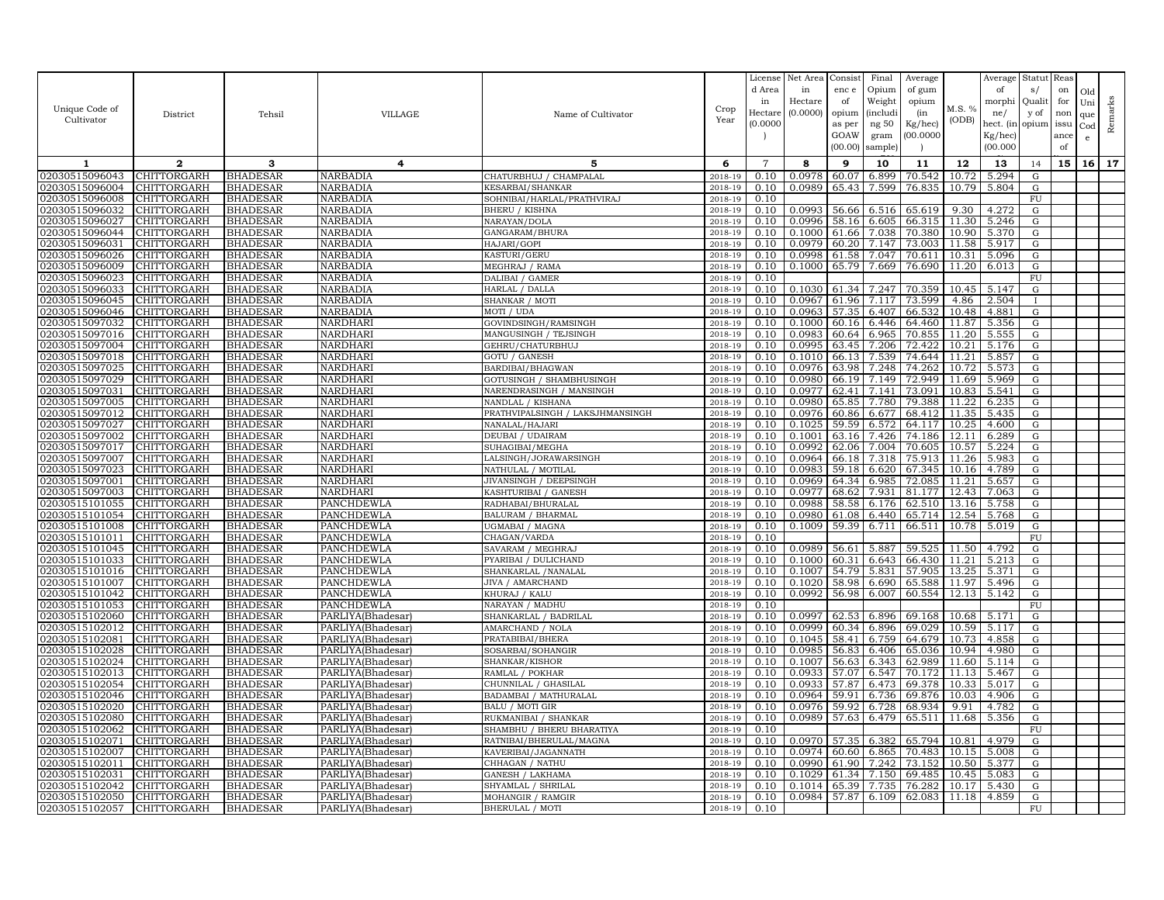|                                  |                                   |                                    |                                        |                                               |                    | License        | Net Area         | Consist        | Final          | Average          |                | Average        | Statut          | Reas |              |         |
|----------------------------------|-----------------------------------|------------------------------------|----------------------------------------|-----------------------------------------------|--------------------|----------------|------------------|----------------|----------------|------------------|----------------|----------------|-----------------|------|--------------|---------|
|                                  |                                   |                                    |                                        |                                               |                    | d Area         | in               | enc e          | Opium          | of gum           |                | of             | s/              | on   | Old          |         |
|                                  |                                   |                                    |                                        |                                               |                    | in             | Hectare          | of             | Weight         | opium            | M.S. %         | morphi         | Qualit          | for  | Uni          |         |
| Unique Code of                   | District                          | Tehsil                             | VILLAGE                                | Name of Cultivator                            | Crop               | Hectar         | (0.0000)         | opium          | <i>(includ</i> | (in              |                | ne/            | y of            | non  | que          |         |
| Cultivator                       |                                   |                                    |                                        |                                               | Year               | (0.0000)       |                  | as per         | ng $50\,$      | Kg/hec)          | (ODB)          | hect. (in      | opium           | issu | $_{\rm Cod}$ | Remarks |
|                                  |                                   |                                    |                                        |                                               |                    |                |                  | GOAW           | gram           | (00.0000)        |                | Kg/hec]        |                 | ance | e            |         |
|                                  |                                   |                                    |                                        |                                               |                    |                |                  | (00.00)        | sample         |                  |                | (00.000)       |                 | of   |              |         |
| 1                                | $\mathbf{2}$                      | 3                                  | $\overline{4}$                         | 5                                             | 6                  | $\overline{7}$ | 8                | 9              | 10             | 11               | 12             | 13             | 14              | 15   | 16           | 17      |
| 02030515096043                   | CHITTORGARH                       | <b>BHADESAR</b>                    | NARBADIA                               | CHATURBHUJ / CHAMPALAL                        | 2018-19            | 0.10           | 0.0978           | 60.07          | 6.899          | 70.542           | 10.72          | 5.294          | G               |      |              |         |
| 02030515096004                   | CHITTORGARH                       | <b>BHADESAR</b>                    | <b>NARBADIA</b>                        | KESARBAI/SHANKAR                              | 2018-19            | 0.10           | 0.0989           | 65.43          | 7.599          | 76.835           | 10.79          | 5.804          | ${\rm G}$       |      |              |         |
| 02030515096008                   | CHITTORGARH                       | <b>BHADESAR</b>                    | NARBADIA                               | SOHNIBAI/HARLAL/PRATHVIRAJ                    | 2018-19            | 0.10           |                  |                |                |                  |                |                | FU              |      |              |         |
| 02030515096032                   | <b>CHITTORGARH</b>                | <b>BHADESAR</b>                    | NARBADIA                               | BHERU / KISHNA                                | 2018-19            | 0.10           | 0.0993           | 56.66          | 6.516          | 65.619           | 9.30           | 4.272          | ${\rm G}$       |      |              |         |
| 02030515096027                   | CHITTORGARH                       | <b>BHADESAR</b>                    | <b>NARBADIA</b>                        | NARAYAN/DOLA                                  | 2018-19            | 0.10           | 0.0996           | 58.16          | 6.605          | 66.315           | 11.30          | 5.246          | ${\rm G}$       |      |              |         |
| 02030515096044                   | CHITTORGARH                       | <b>BHADESAR</b>                    | <b>NARBADIA</b>                        | GANGARAM/BHURA                                | 2018-19            | 0.10           | 0.1000           | 61.66          | 7.038          | 70.380           | 10.90          | 5.370          | G               |      |              |         |
| 02030515096031                   | <b>CHITTORGARH</b>                | <b>BHADESAR</b>                    | NARBADIA                               | HAJARI/GOPI                                   | 2018-19            | 0.10           | 0.0979           | 60.20          | 7.147          | 73.003           | 11.58          | 5.917          | G               |      |              |         |
| 02030515096026                   | CHITTORGARH                       | <b>BHADESAR</b>                    | NARBADIA                               | KASTURI/GERU                                  | 2018-19            | 0.10           | 0.0998           | 61.58          | 7.047          | 70.611           | 10.31          | 5.096          | G               |      |              |         |
| 02030515096009                   | <b>CHITTORGARH</b>                | <b>BHADESAR</b>                    | <b>NARBADIA</b>                        | MEGHRAJ / RAMA                                | 2018-19            | 0.10           | 0.1000           | 65.79          | 7.669          | 76.690           | 11.20          | 6.013          | G               |      |              |         |
| 02030515096023                   | CHITTORGARH                       | <b>BHADESAR</b>                    | NARBADIA                               | DALIBAI / GAMER                               | 2018-19            | 0.10           |                  |                |                |                  |                |                | FU              |      |              |         |
| 02030515096033                   | CHITTORGARH                       | <b>BHADESAR</b>                    | NARBADIA                               | HARLAL / DALLA                                | 2018-19            | 0.10           | 0.1030           | 61.34          | 7.247          | 70.359           | 10.45          | 5.147          | G               |      |              |         |
| 02030515096045                   | CHITTORGARH                       | <b>BHADESAR</b>                    | NARBADIA                               | SHANKAR / MOTI                                | 2018-19            | 0.10           | 0.0967           | 61.96          | 7.117          | 73.599           | 4.86           | 2.504          |                 |      |              |         |
| 02030515096046                   | <b>CHITTORGARH</b>                | <b>BHADESAR</b>                    | <b>NARBADIA</b>                        | MOTI / UDA                                    | 2018-19            | 0.10           | 0.0963           | 57.35          | 6.407          | 66.532           | 10.48          | 4.881          | G               |      |              |         |
| 02030515097032<br>02030515097016 | CHITTORGARH<br>CHITTORGARH        | <b>BHADESAR</b><br><b>BHADESAR</b> | NARDHARI<br>NARDHARI                   | GOVINDSINGH/RAMSINGH<br>MANGUSINGH / TEJSINGH | 2018-19<br>2018-19 | 0.10<br>0.10   | 0.1000<br>0.0983 | 60.16<br>60.64 | 6.446<br>6.965 | 64.460<br>70.855 | 11.87<br>11.20 | 5.356<br>5.555 | G<br>G          |      |              |         |
| 02030515097004                   | CHITTORGARH                       | <b>BHADESAR</b>                    | NARDHARI                               | GEHRU/CHATURBHUJ                              | 2018-19            | 0.10           | 0.0995           | 63.45          | 7.206          | 72.422           | 10.21          | 5.176          | G               |      |              |         |
| 02030515097018                   | CHITTORGARH                       | <b>BHADESAR</b>                    | NARDHARI                               | GOTU / GANESH                                 | 2018-19            | 0.10           | 0.1010           | 66.13          | 7.539          | 74.644           | 11.21          | 5.857          | G               |      |              |         |
| 02030515097025                   | CHITTORGARH                       | <b>BHADESAR</b>                    | NARDHARI                               | 3ARDIBAI/BHAGWAN                              | 2018-19            | 0.10           | 0.0976           | 63.98          | 7.248          | 74.262           | 10.72          | 5.573          | G               |      |              |         |
| 02030515097029                   | CHITTORGARH                       | <b>BHADESAR</b>                    | NARDHARI                               | <b>GOTUSINGH / SHAMBHUSINGH</b>               | 2018-19            | 0.10           | 0.0980           | 66.19          | 7.149          | 72.949           | 11.69          | 5.969          | ${\rm G}$       |      |              |         |
| 02030515097031                   | CHITTORGARH                       | <b>BHADESAR</b>                    | NARDHARI                               | NARENDRASINGH / MANSINGH                      | 2018-19            | 0.10           | 0.0977           | 62.41          | 7.141          | 73.091           | 10.83          | 5.541          | G               |      |              |         |
| 02030515097005                   | CHITTORGARH                       | <b>BHADESAR</b>                    | NARDHARI                               | NANDLAL / KISHANA                             | 2018-19            | 0.10           | 0.0980           | 65.85          | 7.780          | 79.388           | 11.22          | 6.235          | ${\rm G}$       |      |              |         |
| 02030515097012                   | CHITTORGARH                       | <b>BHADESAR</b>                    | <b>NARDHARI</b>                        | PRATHVIPALSINGH / LAKSJHMANSINGH              | 2018-19            | 0.10           | 0.0976           | 60.86          | 6.677          | 68.412           | 11.35          | 5.435          | G               |      |              |         |
| 02030515097027                   | CHITTORGARH                       | <b>BHADESAR</b>                    | NARDHARI                               | NANALAL/HAJARI                                | 2018-19            | 0.10           | 0.1025           | 59.59          | 6.572          | 64.117           | 10.25          | 4.600          | ${\rm G}$       |      |              |         |
| 02030515097002                   | CHITTORGARH                       | <b>BHADESAR</b>                    | NARDHARI                               | DEUBAI / UDAIRAM                              | 2018-19            | 0.10           | 0.1001           | 63.16          | 7.426          | 74.186           | 12.11          | 6.289          | G               |      |              |         |
| 02030515097017                   | CHITTORGARH                       | <b>BHADESAR</b>                    | NARDHARI                               | SUHAGIBAI/MEGHA                               | 2018-19            | 0.10           | 0.0992           | 62.06          | 7.004          | 70.605           | 10.57          | 5.224          | ${\rm G}$       |      |              |         |
| 02030515097007                   | <b>CHITTORGARH</b>                | <b>BHADESAR</b>                    | NARDHARI                               | LALSINGH/JORAWARSINGH                         | 2018-19            | 0.10           | 0.0964           | 66.18          | 7.318          | 75.913           | 11.26          | 5.983          | ${\rm G}$       |      |              |         |
| 02030515097023                   | CHITTORGARH                       | <b>BHADESAR</b>                    | NARDHARI                               | NATHULAL / MOTILAL                            | 2018-19            | 0.10           | 0.0983           | 59.18          | 6.620          | 67.345           | 10.16          | 4.789          | G               |      |              |         |
| 02030515097001                   | CHITTORGARH                       | <b>BHADESAR</b>                    | NARDHARI                               | JIVANSINGH / DEEPSINGH                        | 2018-19            | 0.10           | 0.0969           | 64.34          | 6.985          | 72.085           | 11.21          | 5.657          | G               |      |              |         |
| 02030515097003                   | CHITTORGARH                       | <b>BHADESAR</b>                    | NARDHARI                               | KASHTURIBAI / GANESH                          | 2018-19            | 0.10           | 0.0977           | 68.62          | 7.931          | 81.177           | 12.43          | 7.063          | ${\rm G}$       |      |              |         |
| 02030515101055                   | CHITTORGARH                       | <b>BHADESAR</b>                    | PANCHDEWLA                             | RADHABAI/BHURALAL                             | 2018-19            | 0.10           | 0.0988           | 58.58          | 6.176          | 62.510           | 13.16          | 5.758          | ${\rm G}$       |      |              |         |
| 02030515101054                   | CHITTORGARH                       | <b>BHADESAR</b>                    | PANCHDEWLA                             | BALURAM / BHARMAL                             | 2018-19            | 0.10           | 0.0980           | 61.08          | 6.440          | 65.714           | 12.54          | 5.768          | G               |      |              |         |
| 02030515101008<br>02030515101011 | CHITTORGARH<br><b>CHITTORGARH</b> | <b>BHADESAR</b><br><b>BHADESAR</b> | PANCHDEWLA<br><b>PANCHDEWLA</b>        | JGMABAI / MAGNA<br>CHAGAN/VARDA               | 2018-19<br>2018-19 | 0.10<br>0.10   | 0.1009           | 59.39          | 6.711          | 66.511           | 10.78          | 5.019          | ${\rm G}$<br>FU |      |              |         |
| 02030515101045                   | <b>CHITTORGARH</b>                | <b>BHADESAR</b>                    | PANCHDEWLA                             | SAVARAM / MEGHRAJ                             | 2018-19            | 0.10           | 0.0989           | 56.61          | 5.887          | 59.525           | 11.50          | 4.792          | G               |      |              |         |
| 02030515101033                   | CHITTORGARH                       | <b>BHADESAR</b>                    | PANCHDEWLA                             | PYARIBAI / DULICHAND                          | 2018-19            | 0.10           | 0.1000           | 60.31          | 6.643          | 66.430           | 11.21          | 5.213          | ${\rm G}$       |      |              |         |
| 02030515101016                   | CHITTORGARH                       | <b>BHADESAR</b>                    | PANCHDEWLA                             | SHANKARLAL / NANALAL                          | 2018-19            | 0.10           | 0.1007           | 54.79          | 5.831          | 57.905           | 13.25          | 5.371          | ${\rm G}$       |      |              |         |
| 02030515101007                   | CHITTORGARH                       | <b>BHADESAR</b>                    | PANCHDEWLA                             | JIVA / AMARCHAND                              | 2018-19            | 0.10           | 0.1020           | 58.98          | 6.690          | 65.588           | 11.97          | 5.496          | G               |      |              |         |
| 02030515101042                   | CHITTORGARH                       | <b>BHADESAR</b>                    | PANCHDEWLA                             | KHURAJ / KALU                                 | 2018-19            | 0.10           | 0.0992           | 56.98          | 6.007          | 60.554           | 12.13          | 5.142          | G               |      |              |         |
| 02030515101053                   | CHITTORGARH                       | <b>BHADESAR</b>                    | PANCHDEWLA                             | NARAYAN / MADHU                               | 2018-19            | 0.10           |                  |                |                |                  |                |                | ${\rm FU}$      |      |              |         |
| 02030515102060                   | <b>CHITTORGARH</b>                | <b>BHADESAR</b>                    | PARLIYA(Bhadesar)                      | SHANKARLAL / BADRILAL                         | 2018-19            | 0.10           | 0.0997           | 62.53          | 6.896          | 69.168           | 10.68          | 5.171          | ${\rm G}$       |      |              |         |
| 02030515102012                   | CHITTORGARH                       | <b>BHADESAR</b>                    | PARLIYA(Bhadesar)                      | AMARCHAND / NOLA                              | 2018-19            | 0.10           | 0.0999           | 60.34          | 6.896          | 69.029           | 10.59          | 5.117          | ${\rm G}$       |      |              |         |
| 02030515102081                   | <b>CHITTORGARH</b>                | <b>BHADESAR</b>                    | PARLIYA(Bhadesar)                      | PRATABIBAI/BHERA                              | 2018-19            | 0.10           | 0.1045           | 58.41          | 6.759          | 64.679           | 10.73          | 4.858          | G               |      |              |         |
| 02030515102028                   | CHITTORGARH                       | <b>BHADESAR</b>                    | PARLIYA(Bhadesar)                      | SOSARBAI/SOHANGIR                             | 2018-19            | 0.10           | 0.0985           | 56.83          | 6.406          | 65.036           | 10.94          | 4.980          | ${\rm G}$       |      |              |         |
| 02030515102024                   | CHITTORGARH                       | <b>BHADESAR</b>                    | PARLIYA(Bhadesar)                      | SHANKAR/KISHOR                                | 2018-19            | 0.10           | 0.1007           | 56.63          | 6.343          | 62.989           | 11.60          | 5.114          | G               |      |              |         |
| 02030515102013                   | CHITTORGARH                       | <b>BHADESAR</b>                    | PARLIYA(Bhadesar)                      | RAMLAL / POKHAR                               | 2018-19            | 0.10           | 0.0933           | 57.07          | 6.547          | 70.172           | 11.13          | 5.467          | G               |      |              |         |
| 02030515102054                   | CHITTORGARH                       | <b>BHADESAR</b>                    | PARLIYA(Bhadesar                       | CHUNNILAL / GHASILAL                          | 2018-19            | 0.10           | 0.0933           | 57.87          | 6.473          | 69.378           | 10.33          | 5.017          | G               |      |              |         |
| 02030515102046                   | CHITTORGARH                       | <b>BHADESAR</b>                    | PARLIYA(Bhadesar)                      | BADAMBAI / MATHURALAL<br>BALU / MOTI GIR      | 2018-19            | 0.10           | 0.0964           | 59.9<br>59.92  | 6.736          | 69.876           | 10.03<br>9.91  | 4.906          | G               |      |              |         |
| 02030515102020<br>02030515102080 | CHITTORGARH<br>CHITTORGARH        | <b>BHADESAR</b><br><b>BHADESAR</b> | PARLIYA(Bhadesar)<br>PARLIYA(Bhadesar) | RUKMANIBAI / SHANKAR                          | 2018-19<br>2018-19 | 0.10<br>0.10   | 0.0976<br>0.0989 | 57.63          | 6.728<br>6.479 | 68.934<br>65.511 | 11.68          | 4.782<br>5.356 | G<br>G          |      |              |         |
| 02030515102062                   | CHITTORGARH                       | <b>BHADESAR</b>                    | PARLIYA(Bhadesar)                      | SHAMBHU / BHERU BHARATIYA                     | 2018-19            | 0.10           |                  |                |                |                  |                |                | ${\rm FU}$      |      |              |         |
| 02030515102071                   | <b>CHITTORGARH</b>                | <b>BHADESAR</b>                    | PARLIYA(Bhadesar)                      | RATNIBAI/BHERULAL/MAGNA                       | 2018-19            | 0.10           | 0.0970           | 57.35          | 6.382          | 65.794           | 10.81          | 4.979          | G               |      |              |         |
| 02030515102007                   | CHITTORGARH                       | <b>BHADESAR</b>                    | PARLIYA(Bhadesar)                      | KAVERIBAI/JAGANNATH                           | 2018-19            | 0.10           | 0.0974           | 60.60          | 6.865          | 70.483           | 10.15          | 5.008          | ${\rm G}$       |      |              |         |
| 02030515102011                   | <b>CHITTORGARH</b>                | <b>BHADESAR</b>                    | PARLIYA(Bhadesar)                      | CHHAGAN / NATHU                               | 2018-19            | 0.10           | 0.0990           | 61.90          | 7.242          | 73.152           | 10.50          | 5.377          | G               |      |              |         |
| 02030515102031                   | CHITTORGARH                       | <b>BHADESAR</b>                    | PARLIYA(Bhadesar)                      | GANESH / LAKHAMA                              | 2018-19            | 0.10           | 0.1029           | 61.34          | 7.150          | 69.485           | 10.45          | 5.083          | ${\rm G}$       |      |              |         |
| 02030515102042                   | <b>CHITTORGARH</b>                | <b>BHADESAR</b>                    | PARLIYA(Bhadesar)                      | SHYAMLAL / SHRILAL                            | 2018-19            | 0.10           | 0.1014           | 65.39          | 7.735          | 76.282           | 10.17          | 5.430          | G               |      |              |         |
| 02030515102050                   | <b>CHITTORGARH</b>                | <b>BHADESAR</b>                    | PARLIYA(Bhadesar)                      | MOHANGIR / RAMGIR                             | 2018-19            | 0.10           | 0.0984           | 57.87          | 6.109          | 62.083           | 11.18          | 4.859          | G               |      |              |         |
| 02030515102057 CHITTORGARH       |                                   | <b>BHADESAR</b>                    | PARLIYA(Bhadesar)                      | BHERULAL / MOTI                               | 2018-19            | 0.10           |                  |                |                |                  |                |                | FU              |      |              |         |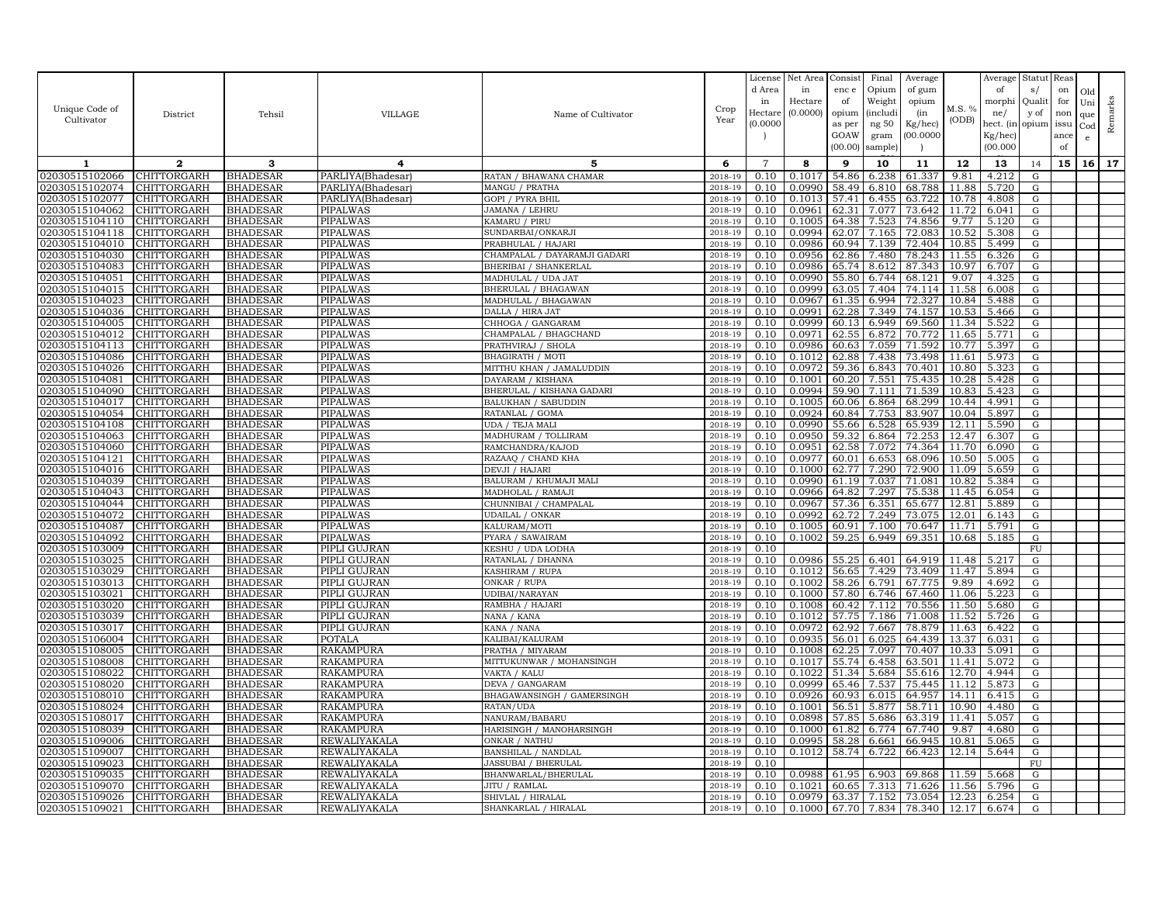| Unique Code of                   | District                   | Tehsil                             | VILLAGE                      | Name of Cultivator                         | Crop               | License<br>d Area<br>in<br>Hectare | Net Area<br>in<br>Hectare<br>(0.0000) | Consist<br>enc e<br>of<br>opium | Final<br>Opium<br>Weight<br><i>(includi</i> | Average<br>of gum<br>opium<br>(in | M.S. %         | Average<br>of<br>morphi<br>ne/   | Statut Reas<br>s/<br>Qualit<br>y of | on<br>for<br>non | Old<br>Uni<br>que | Remarks |
|----------------------------------|----------------------------|------------------------------------|------------------------------|--------------------------------------------|--------------------|------------------------------------|---------------------------------------|---------------------------------|---------------------------------------------|-----------------------------------|----------------|----------------------------------|-------------------------------------|------------------|-------------------|---------|
| Cultivator                       |                            |                                    |                              |                                            | Year               | (0.0000)                           |                                       | as per<br>GOAW<br>(00.00)       | ng 50<br>gram<br>sample)                    | Kg/hec)<br>(00.0000)              | (ODB)          | hect. (in<br>Kg/hec)<br>(00.000) | opium issu                          | ance<br>of       | $_{\rm Cod}$<br>e |         |
| 1                                | $\mathbf{2}$               | 3                                  | 4                            | 5                                          | 6                  | $\overline{7}$                     | 8                                     | 9                               | 10                                          | 11                                | 12             | 13                               | 14                                  | 15               | 16                | 17      |
| 02030515102066                   | CHITTORGARH                | <b>BHADESAR</b>                    | PARLIYA(Bhadesar)            | RATAN / BHAWANA CHAMAR                     | 2018-19            | 0.10                               | 0.1017                                | 54.86                           | 6.238                                       | 61.337                            | 9.81           | 4.212                            | G                                   |                  |                   |         |
| 02030515102074                   | CHITTORGARH                | <b>BHADESAR</b>                    | PARLIYA(Bhadesar)            | MANGU / PRATHA                             | 2018-19            | 0.10                               | 0.0990                                | 58.49                           | 6.810                                       | 68.788                            | 11.88          | 5.720                            | G                                   |                  |                   |         |
| 02030515102077                   | CHITTORGARH                | <b>BHADESAR</b>                    | PARLIYA(Bhadesar)            | <b>GOPI / PYRA BHIL</b>                    | $2018 - 1$         | 0.10                               | 0.1013                                | 57.41                           | 6.455                                       | 63.722                            | 10.78          | 4.808                            | G                                   |                  |                   |         |
| 02030515104062                   | CHITTORGARH                | <b>BHADESAR</b>                    | PIPALWAS                     | JAMANA / LEHRU                             | 2018-19            | 0.10                               | 0.0961                                | 62.31                           | 7.077                                       | 73.642                            | 11.72          | 6.041                            | G                                   |                  |                   |         |
| 02030515104110                   | CHITTORGARH                | <b>BHADESAR</b>                    | PIPALWAS                     | KAMARU / PIRU                              | 2018-19            | 0.10                               | 0.1005                                | 64.38                           | 7.523                                       | 74.856                            | 9.77           | 5.120                            | G                                   |                  |                   |         |
| 02030515104118<br>02030515104010 | CHITTORGARH<br>CHITTORGARH | <b>BHADESAR</b><br><b>BHADESAR</b> | PIPALWAS<br>PIPALWAS         | SUNDARBAI/ONKARJI<br>PRABHULAL / HAJARI    | 2018-19<br>2018-19 | 0.10<br>0.10                       | 0.0994<br>0.0986                      | 62.07<br>60.94                  | 7.165<br>7.139                              | 72.083<br>72.404                  | 10.52<br>10.85 | 5.308<br>5.499                   | G<br>G                              |                  |                   |         |
| 02030515104030                   | CHITTORGARH                | <b>BHADESAR</b>                    | PIPALWAS                     | CHAMPALAL / DAYARAMJI GADARI               | 2018-19            | 0.10                               | 0.0956                                | 62.86                           | 7.480                                       | 78.243                            | 11.55          | 6.326                            | G                                   |                  |                   |         |
| 02030515104083                   | <b>CHITTORGARH</b>         | <b>BHADESAR</b>                    | PIPALWAS                     | BHERIBAI / SHANKERLAL                      | 2018-19            | 0.10                               | 0.0986                                | 65.74                           | 8.612                                       | 87.343                            | 10.97          | 6.707                            | G                                   |                  |                   |         |
| 02030515104051                   | CHITTORGARH                | <b>BHADESAR</b>                    | PIPALWAS                     | MADHULAL / UDA JAT                         | 2018-19            | 0.10                               | 0.0990                                | 55.80                           | 6.744                                       | 68.121                            | 9.07           | 4.325                            | ${\rm G}$                           |                  |                   |         |
| 02030515104015                   | CHITTORGARH                | <b>BHADESAR</b>                    | PIPALWAS                     | BHERULAL / BHAGAWAN                        | 2018-19            | 0.10                               | 0.0999                                | 63.05                           | 7.404                                       | 74.114                            | 11.58          | 6.008                            | G                                   |                  |                   |         |
| 02030515104023                   | CHITTORGARH                | <b>BHADESAR</b>                    | PIPALWAS                     | MADHULAL / BHAGAWAN                        | 2018-19            | 0.10                               | 0.0967                                | 61.35                           | 6.994                                       | 72.327                            | 10.84          | 5.488                            | G                                   |                  |                   |         |
| 02030515104036                   | CHITTORGARH                | <b>BHADESAR</b>                    | PIPALWAS                     | DALLA / HIRA JAT                           | 2018-19            | 0.10                               | 0.0991                                | 62.28                           | 7.349                                       | 74.157                            | 10.53          | 5.466                            | G                                   |                  |                   |         |
| 02030515104005                   | CHITTORGARH                | <b>BHADESAR</b>                    | <b>PIPALWAS</b>              | CHHOGA / GANGARAM                          | 2018-19            | 0.10                               | 0.0999                                | 60.13                           | 6.949                                       | 69.560                            | 11.34          | 5.522                            | G                                   |                  |                   |         |
| 02030515104012                   | CHITTORGARH                | <b>BHADESAR</b>                    | PIPALWAS                     | CHAMPALAL / BHAGCHAND                      | 2018-19            | 0.10                               | 0.0971                                | 62.55                           | 6.872                                       | 70.772                            | 11.65          | 5.771                            | G                                   |                  |                   |         |
| 02030515104113                   | CHITTORGARH                | <b>BHADESAR</b>                    | PIPALWAS                     | PRATHVIRAJ / SHOLA                         | 2018-19            | 0.10                               | 0.0986                                | 60.63                           | 7.059                                       | 71.592                            | 10.77          | 5.397                            | G                                   |                  |                   |         |
| 02030515104086                   | CHITTORGARH                | <b>BHADESAR</b>                    | PIPALWAS                     | BHAGIRATH / MOTI                           | $2018 - 1$         | 0.10                               | 0.1012                                | 62.88                           | 7.438                                       | 73.498                            | 11.61          | 5.973                            | ${\rm G}$                           |                  |                   |         |
| 02030515104026                   | CHITTORGARH                | <b>BHADESAR</b>                    | PIPALWAS                     | MITTHU KHAN / JAMALUDDIN                   | 2018-19            | 0.10                               | 0.0972                                | 59.36                           | 6.843                                       | 70.401                            | 10.80          | 5.323                            | G                                   |                  |                   |         |
| 02030515104081                   | CHITTORGARH                | <b>BHADESAR</b>                    | PIPALWAS                     | DAYARAM / KISHANA                          | 2018-19            | 0.10                               | 0.1001                                | 60.20                           | 7.551                                       | 75.435                            | 10.28          | 5.428                            | G                                   |                  |                   |         |
| 02030515104090                   | CHITTORGARH                | <b>BHADESAR</b>                    | PIPALWAS                     | BHERULAL / KISHANA GADARI                  | 2018-19            | 0.10                               | 0.0994                                | 59.90                           | 7.111                                       | 71.539                            | 10.83          | 5.423                            | G                                   |                  |                   |         |
| 02030515104017                   | CHITTORGARH                | <b>BHADESAR</b>                    | PIPALWAS                     | <b>BALUKHAN / SABUDDIN</b>                 | 2018-19            | 0.10                               | 0.1005                                | 60.06                           | 6.864                                       | 68.299                            | 10.44          | 4.991                            | G                                   |                  |                   |         |
| 02030515104054<br>02030515104108 | CHITTORGARH<br>CHITTORGARH | <b>BHADESAR</b><br><b>BHADESAR</b> | PIPALWAS<br>PIPALWAS         | RATANLAL / GOMA                            | 2018-19<br>2018-19 | 0.10<br>0.10                       | 0.0924<br>0.0990                      | 60.84<br>55.66                  | 7.753                                       | 83.907                            | 10.04<br>12.11 | 5.897<br>5.590                   | G                                   |                  |                   |         |
| 02030515104063                   | CHITTORGARH                | <b>BHADESAR</b>                    | PIPALWAS                     | UDA / TEJA MALI<br>MADHURAM / TOLLIRAM     | 2018-19            | 0.10                               | 0.0950                                | 59.32                           | 6.528<br>6.864                              | 65.939<br>72.253                  | 12.47          | 6.307                            | G<br>G                              |                  |                   |         |
| 02030515104060                   | CHITTORGARH                | <b>BHADESAR</b>                    | PIPALWAS                     | RAMCHANDRA/KAJOD                           | 2018-19            | 0.10                               | 0.0951                                | 62.58                           | 7.072                                       | 74.364                            | 11.70          | 6.090                            | G                                   |                  |                   |         |
| 02030515104121                   | CHITTORGARH                | <b>BHADESAR</b>                    | PIPALWAS                     | RAZAAQ / CHAND KHA                         | 2018-19            | 0.10                               | 0.0977                                | 60.01                           | 6.653                                       | 68.096                            | 10.50          | 5.005                            | G                                   |                  |                   |         |
| 02030515104016                   | CHITTORGARH                | <b>BHADESAR</b>                    | PIPALWAS                     | DEVJI / HAJARI                             | 2018-19            | 0.10                               | 0.1000                                | 62.77                           | 7.290                                       | 72.900                            | 11.09          | 5.659                            | G                                   |                  |                   |         |
| 02030515104039                   | CHITTORGARH                | <b>BHADESAR</b>                    | PIPALWAS                     | BALURAM / KHUMAJI MALI                     | 2018-19            | 0.10                               | 0.0990                                | 61.19                           | 7.037                                       | 71.081                            | 10.82          | 5.384                            | ${\rm G}$                           |                  |                   |         |
| 02030515104043                   | CHITTORGARH                | <b>BHADESAR</b>                    | <b>PIPALWAS</b>              | MADHOLAL / RAMAJI                          | 2018-19            | 0.10                               | 0.0966                                | 64.82                           | 7.297                                       | 75.538                            | 11.45          | 6.054                            | G                                   |                  |                   |         |
| 02030515104044                   | CHITTORGARH                | <b>BHADESAR</b>                    | PIPALWAS                     | CHUNNIBAI / CHAMPALAL                      | 2018-19            | 0.10                               | 0.0967                                | 57.36                           | 6.351                                       | 65.677                            | 12.81          | 5.889                            | G                                   |                  |                   |         |
| 02030515104072                   | CHITTORGARH                | <b>BHADESAR</b>                    | PIPALWAS                     | <b>UDAILAL / ONKAR</b>                     | 2018-19            | 0.10                               | 0.0992                                | 62.72                           | 7.249                                       | 73.075                            | 12.01          | 6.143                            | G                                   |                  |                   |         |
| 02030515104087                   | CHITTORGARH                | <b>BHADESAR</b>                    | <b>PIPALWAS</b>              | KALURAM/MOTI                               | 2018-19            | 0.10                               | 0.1005                                | 60.91                           | 7.100                                       | 70.647                            | 11.71          | 5.791                            | G                                   |                  |                   |         |
| 02030515104092                   | CHITTORGARH                | <b>BHADESAR</b>                    | PIPALWAS                     | PYARA / SAWAIRAM                           | 2018-19            | 0.10                               | 0.1002                                | 59.25                           | 6.949                                       | 69.351                            | 10.68          | 5.185                            | G                                   |                  |                   |         |
| 02030515103009                   | CHITTORGARH                | <b>BHADESAR</b>                    | PIPLI GUJRAN                 | KESHU / UDA LODHA                          | 2018-19            | 0.10                               |                                       |                                 |                                             |                                   |                |                                  | ${\rm FU}$                          |                  |                   |         |
| 02030515103025                   | CHITTORGARH                | <b>BHADESAR</b>                    | PIPLI GUJRAN                 | RATANLAL / DHANNA                          | 2018-19            | 0.10                               | 0.0986                                | 55.25                           | 6.401                                       | 64.919                            | 11.48          | 5.217                            | ${\rm G}$                           |                  |                   |         |
| 02030515103029                   | CHITTORGARH                | <b>BHADESAR</b>                    | PIPLI GUJRAN                 | KASHIRAM / RUPA                            | 2018-19            | 0.10                               | 0.1012                                | 56.65                           | 7.429                                       | 73.409                            | 11.47          | 5.894                            | G                                   |                  |                   |         |
| 02030515103013<br>02030515103021 | CHITTORGARH<br>CHITTORGARH | <b>BHADESAR</b><br><b>BHADESAR</b> | PIPLI GUJRAN<br>PIPLI GUJRAN | ONKAR / RUPA<br>UDIBAI/NARAYAN             | 2018-19<br>2018-19 | 0.10<br>0.10                       | 0.1002<br>0.1000                      | 58.26<br>57.80                  | 6.791<br>6.746                              | 67.775<br>67.460                  | 9.89<br>11.06  | 4.692<br>5.223                   | G<br>G                              |                  |                   |         |
| 02030515103020                   | CHITTORGARH                | <b>BHADESAR</b>                    | PIPLI GUJRAN                 | RAMBHA / HAJARI                            | 2018-19            | 0.10                               | 0.1008                                | 60.42                           | 7.112                                       | 70.556                            | 11.50          | 5.680                            | G                                   |                  |                   |         |
| 02030515103039                   | CHITTORGARH                | <b>BHADESAR</b>                    | PIPLI GUJRAN                 | NANA / KANA                                | 2018-19            | 0.10                               | 0.1012                                | 57.75                           | 7.186                                       | 71.008                            | 11.52          | 5.726                            | G                                   |                  |                   |         |
| 02030515103017                   | CHITTORGARH                | <b>BHADESAR</b>                    | PIPLI GUJRAN                 | KANA / NANA                                | 2018-19            | 0.10                               | 0.0972                                | 62.92                           | 7.667                                       | 78.879                            | 11.63          | 6.422                            | G                                   |                  |                   |         |
| 02030515106004                   | CHITTORGARH                | <b>BHADESAR</b>                    | <b>POTALA</b>                | KALIBAI/KALURAM                            | 2018-19            | 0.10                               | 0.0935                                | 56.01                           | 6.025                                       | 64.439                            | 13.37          | 6.031                            | G                                   |                  |                   |         |
| 02030515108005                   | CHITTORGARH                | <b>BHADESAR</b>                    | RAKAMPURA                    | PRATHA / MIYARAM                           | 2018-19            | 0.10                               | 0.1008                                | 62.25                           | 7.097                                       | 70.407                            | 10.33          | 5.091                            | G                                   |                  |                   |         |
| 02030515108008                   | CHITTORGARH                | <b>BHADESAR</b>                    | <b>RAKAMPURA</b>             | MITTUKUNWAR / MOHANSINGH                   | 2018-19            | 0.10                               | 0.1017                                | 55.74                           | 6.458                                       | 63.501                            | 11.41          | 5.072                            | G                                   |                  |                   |         |
| 02030515108022                   | CHITTORGARH                | <b>BHADESAR</b>                    | RAKAMPURA                    | VAKTA / KALU                               | 2018-19            | 0.10                               | 0.1022                                | 51.34                           | 5.684                                       | 55.616                            | 12.70          | 4.944                            | G                                   |                  |                   |         |
| 02030515108020                   | CHITTORGARH                | <b>BHADESAR</b>                    | <b>RAKAMPURA</b>             | DEVA / GANGARAM                            | $2018 - 1$         | 0.10                               | 0.0999                                | 65.46                           | 7.537                                       | 75.445                            | 11.12          | 5.873                            | ${\rm G}$                           |                  |                   |         |
| 02030515108010                   | CHITTORGARH                | <b>BHADESAR</b>                    | RAKAMPURA                    | BHAGAWANSINGH / GAMERSINGH                 | 2018-19            | 0.10                               | 0.0926                                | 60.93                           | 6.015                                       | 64.957                            | 14.11          | 6.415                            | G                                   |                  |                   |         |
| 02030515108024                   | CHITTORGARH                | <b>BHADESAR</b>                    | <b>RAKAMPURA</b>             | RATAN/UDA                                  | 2018-19            | 0.10                               | 0.1001                                | 56.51                           | 5.877                                       | 58.711                            | 10.90          | 4.480                            | G                                   |                  |                   |         |
| 02030515108017                   | CHITTORGARH                | <b>BHADESAR</b>                    | RAKAMPURA                    | NANURAM/BABARU                             | 2018-19            | 0.10                               | 0.0898                                | 57.85                           | 5.686                                       | 63.319                            | 11.41          | 5.057                            | G                                   |                  |                   |         |
| 02030515108039                   | CHITTORGARH                | <b>BHADESAR</b>                    | <b>RAKAMPURA</b>             | HARISINGH / MANOHARSINGH                   | 2018-19            | 0.10                               | 0.1000                                | 61.82                           | 6.774                                       | 67.740                            | 9.87           | 4.680                            | G                                   |                  |                   |         |
| 02030515109006                   | CHITTORGARH                | <b>BHADESAR</b>                    | REWALIYAKALA                 | ONKAR / NATHU                              | 2018-19            | 0.10                               | 0.0995                                | 58.28                           | 6.661                                       | 66.945<br>66.423                  | 10.81          | 5.065                            | G                                   |                  |                   |         |
| 02030515109007<br>02030515109023 | CHITTORGARH<br>CHITTORGARH | <b>BHADESAR</b><br><b>BHADESAR</b> | REWALIYAKALA<br>REWALIYAKALA | BANSHILAL / NANDLAL<br>JASSUBAI / BHERULAL | 2018-19<br>2018-19 | 0.10<br>0.10                       | 0.1012                                | 58.74                           | 6.722                                       |                                   | 12.14          | 5.644                            | G<br>FU                             |                  |                   |         |
| 02030515109035                   | <b>CHITTORGARH</b>         | <b>BHADESAR</b>                    | REWALIYAKALA                 | BHANWARLAL/BHERULAL                        | 2018-19            | 0.10                               | 0.0988                                | 61.95                           | 6.903                                       | 69.868                            | 11.59          | 5.668                            | G                                   |                  |                   |         |
| 02030515109070                   | CHITTORGARH                | <b>BHADESAR</b>                    | REWALIYAKALA                 | JITU / RAMLAL                              | 2018-19            | 0.10                               | 0.1021                                | 60.65                           | 7.313                                       | 71.626                            | 11.56          | 5.796                            | G                                   |                  |                   |         |
| 02030515109026                   | CHITTORGARH                | <b>BHADESAR</b>                    | REWALIYAKALA                 | SHIVLAL / HIRALAI                          | 2018-19            | 0.10                               | 0.0979                                | 63.37                           | 7.152                                       | 73.054                            | 12.23          | 6.254                            | G                                   |                  |                   |         |
| 02030515109021                   | <b>CHITTORGARH</b>         | <b>BHADESAR</b>                    | REWALIYAKALA                 | SHANKARLAL / HIRALAL                       | 2018-19            | 0.10                               | 0.1000                                |                                 | 67.70 7.834                                 | 78.340 12.17                      |                | 6.674                            | G                                   |                  |                   |         |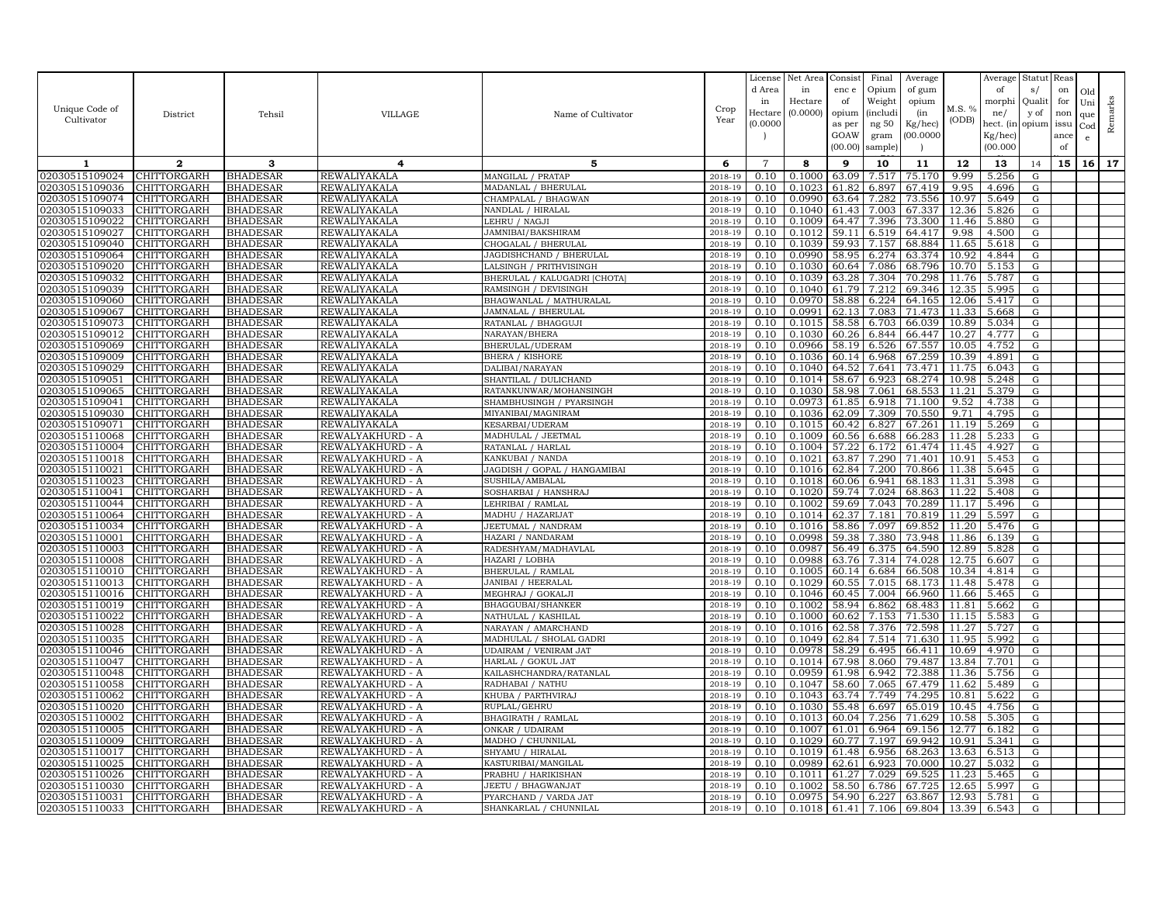|                                  |                            |                                    |                                      |                                          |                    | License            | Net Area         | Consist        | Final          | Average            |                | Average              | Statut Reas |      |              |         |
|----------------------------------|----------------------------|------------------------------------|--------------------------------------|------------------------------------------|--------------------|--------------------|------------------|----------------|----------------|--------------------|----------------|----------------------|-------------|------|--------------|---------|
|                                  |                            |                                    |                                      |                                          |                    | d Area             | in               | enc e          | Opium          | of gum             |                | of                   | s/          | on   | Old          |         |
| Unique Code of                   |                            |                                    |                                      |                                          | Crop               | in                 | Hectare          | of             | Weight         | opium              | M.S. %         | morphi               | Qualit      | for  | Uni          | Remarks |
| Cultivator                       | District                   | Tehsil                             | <b>VILLAGE</b>                       | Name of Cultivator                       | Year               | Hectar<br>(0.0000) | (0.0000)         | opium          | (includi       | (in                | (ODB)          | ne/                  | y of        | non  | que          |         |
|                                  |                            |                                    |                                      |                                          |                    |                    |                  | as per<br>GOAW | ng 50<br>gram  | Kg/hec)<br>00.0000 |                | hect. (in<br>Kg/hec) | opium issu  | ance | $_{\rm Cod}$ |         |
|                                  |                            |                                    |                                      |                                          |                    |                    |                  | (00.00)        | sample)        |                    |                | (00.000)             |             | of   | e            |         |
| 1                                | $\overline{2}$             | 3                                  | 4                                    | 5                                        | 6                  | $\overline{7}$     | 8                | 9              | 10             | 11                 | 12             | 13                   |             | 15   | 16           | 17      |
| 02030515109024                   | CHITTORGARH                | <b>BHADESAR</b>                    | REWALIYAKALA                         | MANGILAL / PRATAP                        | 2018-19            | 0.10               | 0.1000           | 63.09          | 7.517          | 75.170             | 9.99           | 5.256                | 14<br>G     |      |              |         |
| 02030515109036                   | <b>CHITTORGARH</b>         | <b>BHADESAR</b>                    | <b>REWALIYAKALA</b>                  | MADANLAL / BHERULAL                      | 2018-19            | 0.10               | 0.1023           | 61.82          | 6.897          | 67.419             | 9.95           | 4.696                | G           |      |              |         |
| 02030515109074                   | CHITTORGARH                | <b>BHADESAR</b>                    | REWALIYAKALA                         | CHAMPALAL / BHAGWAN                      | 2018-19            | 0.10               | 0.0990           | 63.64          | 7.282          | 73.556             | 10.97          | 5.649                | G           |      |              |         |
| 02030515109033                   | CHITTORGARH                | <b>BHADESAR</b>                    | REWALIYAKALA                         | NANDLAL / HIRALAL                        | 2018-19            | 0.10               | 0.1040           | 61.43          | 7.003          | 67.337             | 12.36          | 5.826                | G           |      |              |         |
| 02030515109022                   | CHITTORGARH                | <b>BHADESAR</b>                    | REWALIYAKALA                         | LEHRU / NAGJI                            | 2018-19            | 0.10               | 0.1009           | 64.47          | 7.396          | 73.300             | 11.46          | 5.880                | G           |      |              |         |
| 02030515109027                   | CHITTORGARH                | <b>BHADESAR</b>                    | REWALIYAKALA                         | JAMNIBAI/BAKSHIRAM                       | 2018-19            | 0.10               | 0.1012           | 59.11          | 6.519          | 64.417             | 9.98           | 4.500                | G           |      |              |         |
| 02030515109040                   | CHITTORGARH                | <b>BHADESAR</b>                    | REWALIYAKALA                         | CHOGALAL / BHERULAL                      | 2018-19            | 0.10               | 0.1039           | 59.93          | 7.157          | 68.884             | 11.65          | 5.618                | G           |      |              |         |
| 02030515109064                   | CHITTORGARH                | <b>BHADESAR</b>                    | REWALIYAKALA                         | JAGDISHCHAND / BHERULAL                  | 2018-19            | 0.10               | 0.0990           | 58.95          | 6.274          | 63.374             | 10.92          | 4.844                | G           |      |              |         |
| 02030515109020                   | CHITTORGARH                | BHADESAR                           | REWALIYAKALA                         | LALSINGH / PRITHVISINGH                  | 2018-19            | 0.10               | 0.1030           | 60.64          | 7.086          | 68.796             | 10.70          | 5.153                | G           |      |              |         |
| 02030515109032                   | CHITTORGARH                | <b>BHADESAR</b>                    | REWALIYAKALA                         | BHERULAL / KALUGADRI [CHOTA              | 2018-19            | 0.10               | 0.1039           | 63.28          | 7.304          | 70.298             | 11.76          | 5.787                | G           |      |              |         |
| 02030515109039                   | CHITTORGARH                | <b>BHADESAR</b>                    | <b>REWALIYAKALA</b>                  | RAMSINGH / DEVISINGH                     | 2018-19            | 0.10               | 0.1040           | 61.79          | 7.212          | 69.346             | 12.35          | 5.995                | G           |      |              |         |
| 02030515109060                   | CHITTORGARH                | <b>BHADESAR</b>                    | REWALIYAKALA                         | BHAGWANLAL / MATHURALAL                  | 2018-19            | 0.10               | 0.0970           | 58.88          | 6.224          | 64.165             | 12.06          | 5.417                | G           |      |              |         |
| 02030515109067                   | CHITTORGARH                | <b>BHADESAR</b>                    | REWALIYAKALA                         | JAMNALAL / BHERULAL                      | 2018-19            | 0.10               | 0.0991           | 62.13          | 7.083          | 71.473             | 11.33          | 5.668                | G           |      |              |         |
| 02030515109073                   | CHITTORGARH                | <b>BHADESAR</b>                    | REWALIYAKALA                         | RATANLAL / BHAGGUJI                      | 2018-19            | 0.10               | 0.1015           | 58.58          | 6.703          | 66.039             | 10.89          | 5.034                | G           |      |              |         |
| 02030515109012                   | CHITTORGARH                | <b>BHADESAR</b>                    | REWALIYAKALA                         | NARAYAN/BHERA                            | 2018-19            | 0.10               | 0.1030           | 60.26          | 6.844          | 66.447             | 10.27          | 4.777                | G           |      |              |         |
| 02030515109069                   | CHITTORGARH                | <b>BHADESAR</b>                    | REWALIYAKALA                         | BHERULAL/UDERAM                          | 2018-19            | 0.10               | 0.0966           | 58.19          | 6.526          | 67.557             | 10.05          | 4.752                | G           |      |              |         |
| 02030515109009<br>02030515109029 | CHITTORGARH<br>CHITTORGARH | <b>BHADESAR</b>                    | REWALIYAKALA                         | <b>BHERA / KISHORE</b>                   | 2018-19            | 0.10<br>0.10       | 0.1036<br>0.1040 | 60.14<br>64.52 | 6.968<br>7.641 | 67.259<br>73.471   | 10.39<br>11.75 | 4.891<br>6.043       | G<br>G      |      |              |         |
| 02030515109051                   | CHITTORGARH                | <b>BHADESAR</b><br><b>BHADESAR</b> | REWALIYAKALA<br>REWALIYAKALA         | DALIBAI/NARAYAN<br>SHANTILAL / DULICHAND | 2018-19<br>2018-19 | 0.10               | 0.1014           | 58.67          | 6.923          | 68.274             | 10.98          | 5.248                | G           |      |              |         |
| 02030515109065                   | CHITTORGARH                | <b>BHADESAR</b>                    | REWALIYAKALA                         | RATANKUNWAR/MOHANSINGH                   | 2018-19            | 0.10               | 0.1030           | 58.98          | 7.061          | 68.553             | 11.21          | 5.379                | G           |      |              |         |
| 02030515109041                   | CHITTORGARH                | <b>BHADESAR</b>                    | REWALIYAKALA                         | SHAMBHUSINGH / PYARSINGH                 | 2018-19            | 0.10               | 0.0973           | 61.85          | 6.918          | 71.100             | 9.52           | 4.738                | ${\rm G}$   |      |              |         |
| 02030515109030                   | CHITTORGARH                | <b>BHADESAR</b>                    | REWALIYAKALA                         | MIYANIBAI/MAGNIRAM                       | 2018-19            | 0.10               | 0.1036           | 62.09          | 7.309          | 70.550             | 9.71           | 4.795                | G           |      |              |         |
| 02030515109071                   | CHITTORGARH                | <b>BHADESAR</b>                    | REWALIYAKALA                         | KESARBAI/UDERAM                          | 2018-19            | 0.10               | 0.1015           | 60.42          | 6.827          | 67.261             | 11.19          | 5.269                | G           |      |              |         |
| 02030515110068                   | CHITTORGARH                | <b>BHADESAR</b>                    | REWALYAKHURD - A                     | MADHULAL / JEETMAI                       | 2018-19            | 0.10               | 0.1009           | 60.56          | 6.688          | 66.283             | 11.28          | 5.233                | G           |      |              |         |
| 02030515110004                   | CHITTORGARH                | <b>BHADESAR</b>                    | REWALYAKHURD - A                     | RATANLAL / HARLAL                        | 2018-19            | 0.10               | 0.1004           | 57.22          | 6.172          | 61.474             | 11.45          | 4.927                | G           |      |              |         |
| 02030515110018                   | CHITTORGARH                | <b>BHADESAR</b>                    | REWALYAKHURD - A                     | KANKUBAI / NANDA                         | 2018-19            | 0.10               | 0.1021           | 63.87          | 7.290          | 71.401             | 10.91          | 5.453                | G           |      |              |         |
| 02030515110021                   | CHITTORGARH                | <b>BHADESAR</b>                    | REWALYAKHURD - A                     | JAGDISH / GOPAL / HANGAMIBAI             | 2018-19            | 0.10               | 0.1016           | 62.84          | 7.200          | 70.866             | 11.38          | 5.645                | G           |      |              |         |
| 02030515110023                   | CHITTORGARH                | <b>BHADESAR</b>                    | REWALYAKHURD - A                     | SUSHILA/AMBALAI                          | 2018-19            | 0.10               | 0.1018           | 60.06          | 6.941          | 68.183             | 11.31          | 5.398                | G           |      |              |         |
| 02030515110041                   | CHITTORGARH                | <b>BHADESAR</b>                    | REWALYAKHURD - A                     | SOSHARBAI / HANSHRAJ                     | 2018-19            | 0.10               | 0.1020           | 59.74          | 7.024          | 68.863             | 11.22          | 5.408                | G           |      |              |         |
| 02030515110044                   | CHITTORGARH                | <b>BHADESAR</b>                    | REWALYAKHURD - A                     | LEHRIBAI / RAMLAL                        | 2018-19            | 0.10               | 0.1002           | 59.69          | 7.043          | 70.289             | 11.17          | 5.496                | G           |      |              |         |
| 02030515110064                   | CHITTORGARH                | <b>BHADESAR</b>                    | REWALYAKHURD - A                     | MADHU / HAZARIJAT                        | 2018-19            | 0.10               | 0.1014           | 62.37          | 7.181          | 70.819             | 11.29          | 5.597                | G           |      |              |         |
| 02030515110034                   | CHITTORGARH                | <b>BHADESAR</b>                    | REWALYAKHURD - A                     | JEETUMAL / NANDRAM                       | 2018-19            | 0.10               | 0.1016           | 58.86          | 7.097          | 69.852             | 11.20          | 5.476                | G           |      |              |         |
| 02030515110001                   | <b>CHITTORGARH</b>         | <b>BHADESAR</b>                    | REWALYAKHURD - A                     | HAZARI / NANDARAM<br>RADESHYAM/MADHAVLAL | 2018-19<br>2018-19 | 0.10<br>0.10       | 0.0998<br>0.0987 | 59.38<br>56.49 | 7.380          | 73.948<br>64.590   | 11.86<br>12.89 | 6.139<br>5.828       | G           |      |              |         |
| 02030515110003<br>02030515110008 | CHITTORGARH<br>CHITTORGARH | <b>BHADESAR</b><br><b>BHADESAR</b> | REWALYAKHURD - A<br>REWALYAKHURD - A | HAZARI / LOBHA                           | 2018-19            | 0.10               | 0.0988           | 63.76          | 6.375<br>7.314 | 74.028             | 12.75          | 6.607                | G<br>G      |      |              |         |
| 02030515110010                   | CHITTORGARH                | <b>BHADESAR</b>                    | REWALYAKHURD - A                     | BHERULAL / RAMLAL                        | 2018-19            | 0.10               | 0.1005           | 60.14          | 6.684          | 66.508             | 10.34          | 4.814                | G           |      |              |         |
| 02030515110013                   | <b>CHITTORGARH</b>         | <b>BHADESAR</b>                    | REWALYAKHURD - A                     | JANIBAI / HEERALAL                       | 2018-19            | 0.10               | 0.1029           | 60.55          | 7.015          | 68.173             | 11.48          | 5.478                | G           |      |              |         |
| 02030515110016                   | CHITTORGARH                | BHADESAR                           | REWALYAKHURD - A                     | MEGHRAJ / GOKALJI                        | 2018-19            | 0.10               | 0.1046           | 60.45          | 7.004          | 66.960             | 11.66          | 5.465                | G           |      |              |         |
| 02030515110019                   | CHITTORGARH                | <b>BHADESAR</b>                    | REWALYAKHURD - A                     | BHAGGUBAI/SHANKER                        | 2018-19            | 0.10               | 0.1002           | 58.94          | 6.862          | 68.483             | 11.81          | 5.662                | G           |      |              |         |
| 02030515110022                   | CHITTORGARH                | <b>BHADESAR</b>                    | REWALYAKHURD - A                     | NATHULAL / KASHILAL                      | 2018-19            | 0.10               | 0.1000           | 60.62          | 7.153          | 71.530             | 11.15          | 5.583                | G           |      |              |         |
| 02030515110028                   | CHITTORGARH                | <b>BHADESAR</b>                    | REWALYAKHURD - A                     | NARAYAN / AMARCHAND                      | 2018-19            | 0.10               | 0.1016           | 62.58          | 7.376          | 72.598             | 11.27          | 5.727                | G           |      |              |         |
| 02030515110035                   | CHITTORGARH                | <b>BHADESAR</b>                    | REWALYAKHURD - A                     | MADHULAL / SHOLAL GADRI                  | 2018-19            | 0.10               | 0.1049           | 62.84          | 7.514          | 71.630             | 11.95          | 5.992                | G           |      |              |         |
| 02030515110046                   | CHITTORGARH                | <b>BHADESAR</b>                    | REWALYAKHURD - A                     | UDAIRAM / VENIRAM JA'                    | 2018-19            | 0.10               | 0.0978           | 58.29          | 6.495          | 66.411             | 10.69          | 4.970                | G           |      |              |         |
| 02030515110047                   | CHITTORGARH                | <b>BHADESAR</b>                    | REWALYAKHURD - A                     | HARLAL / GOKUL JAT                       | 2018-19            | 0.10               | 0.1014           | 67.98          | 8.060          | 79.487             | 13.84          | 7.701                | G           |      |              |         |
| 02030515110048                   | CHITTORGARH                | <b>BHADESAR</b>                    | REWALYAKHURD - A                     | KAILASHCHANDRA/RATANLAL                  | 2018-19            | 0.10               | 0.0959           | 61.98          | 6.942          | 72.388             | 11.36          | 5.756                | G           |      |              |         |
| 02030515110058                   | CHITTORGARH                | <b>BHADESAR</b>                    | REWALYAKHURD - A                     | RADHABAI / NATHU                         | 2018-19            | 0.10               | 0.1047           | 58.60          | 7.065          | 67.479             | 11.62          | 5.489                | G           |      |              |         |
| 02030515110062<br>02030515110020 | CHITTORGARH                | <b>BHADESAR</b>                    | REWALYAKHURD - A                     | KHUBA / PARTHVIRAJ                       | 2018-19            | 0.10               | 0.1043<br>0.1030 | 63.74          | 7.749          | 74.295             | 10.81          | 5.622                | G           |      |              |         |
| 02030515110002                   | CHITTORGARH<br>CHITTORGARH | <b>BHADESAR</b><br><b>BHADESAR</b> | REWALYAKHURD - A<br>REWALYAKHURD - A | RUPLAL/GEHRU<br>BHAGIRATH / RAMLAL       | 2018-19<br>2018-19 | 0.10<br>0.10       | 0.1013           | 55.48<br>60.04 | 6.697<br>7.256 | 65.019<br>71.629   | 10.45<br>10.58 | 4.756<br>5.305       | G<br>G      |      |              |         |
| 02030515110005                   | CHITTORGARH                | <b>BHADESAR</b>                    | REWALYAKHURD - A                     | ONKAR / UDAIRAM                          | 2018-19            | 0.10               | 0.1007           | 61.01          | 6.964          | 69.156             | 12.77          | 6.182                | G           |      |              |         |
| 02030515110009                   | CHITTORGARH                | <b>BHADESAR</b>                    | REWALYAKHURD - A                     | MADHO / CHUNNILAL                        | 2018-19            | 0.10               | 0.1029           | 60.77          | 7.197          | 69.942             | 10.91          | 5.341                | G           |      |              |         |
| 02030515110017                   | <b>CHITTORGARH</b>         | <b>BHADESAR</b>                    | REWALYAKHURD - A                     | SHYAMU / HIRALAL                         | 2018-19            | 0.10               | 0.1019           | 61.48          | 6.956          | 68.263             | 13.63          | 6.513                | G           |      |              |         |
| 02030515110025                   | CHITTORGARH                | <b>BHADESAR</b>                    | REWALYAKHURD - A                     | KASTURIBAI/MANGILAI                      | 2018-19            | 0.10               | 0.0989           | 62.61          | 6.923          | 70.000             | 10.27          | 5.032                | G           |      |              |         |
| 02030515110026                   | CHITTORGARH                | <b>BHADESAR</b>                    | REWALYAKHURD - A                     | PRABHU / HARIKISHAN                      | 2018-19            | 0.10               | 0.1011           | 61.27          | 7.029          | 69.525             | 11.23          | 5.465                | $\mathbf G$ |      |              |         |
| 02030515110030                   | CHITTORGARH                | <b>BHADESAR</b>                    | REWALYAKHURD - A                     | JEETU / BHAGWANJAT                       | 2018-19            | 0.10               | 0.1002           | 58.50          | 6.786          | 67.725             | 12.65          | 5.997                | G           |      |              |         |
| 02030515110031                   | CHITTORGARH                | <b>BHADESAR</b>                    | REWALYAKHURD - A                     | PYARCHAND / VARDA JAT                    | 2018-19            | 0.10               | 0.0975           | 54.90          | 6.227          | 63.867             | 12.93          | 5.781                | G           |      |              |         |
| 02030515110033                   | <b>CHITTORGARH</b>         | <b>BHADESAR</b>                    | REWALYAKHURD - A                     | SHANKARLAL / CHUNNILAL                   | 2018-19            | 0.10               | 0.1018           | 61.41          | 7.106          |                    | 69.804 13.39   | 6.543                | G           |      |              |         |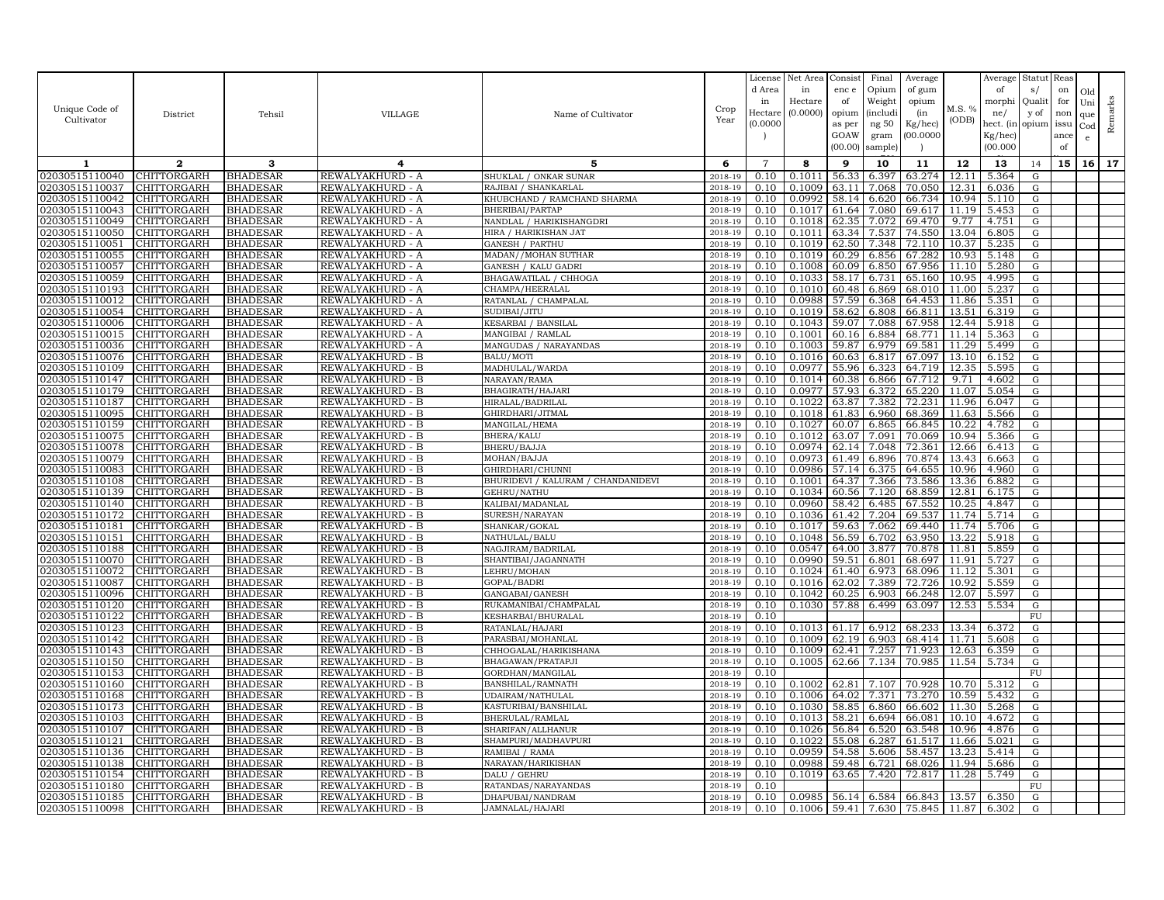| Unique Code of<br>Cultivator     | District                   | Tehsil                             | VILLAGE                              | Name of Cultivator                       | Crop<br>Year       | License<br>d Area<br>in<br>Hectare<br>(0.0000) | Net Area<br>in<br>Hectare<br>(0.0000) | Consist<br>enc e<br>of<br>opium<br>as per<br>GOAW<br>(00.00) | Final<br>Opium<br>Weight<br><i>(includi</i><br>ng 50<br>gram<br>sample) | Average<br>of gum<br>opium<br>(in<br>Kg/hec)<br>00.000C | M.S. %<br>(ODB) | Average<br>of<br>morphi<br>ne/<br>hect. (in<br>$Kg/$ hec)<br>(00.000) | Statut<br>s/<br>Quali<br>y of<br>opium | Reas<br>on<br>for<br>non<br>issu<br>ance<br>of | Old<br>Uni<br>que<br>Cod<br>e | Remarks |
|----------------------------------|----------------------------|------------------------------------|--------------------------------------|------------------------------------------|--------------------|------------------------------------------------|---------------------------------------|--------------------------------------------------------------|-------------------------------------------------------------------------|---------------------------------------------------------|-----------------|-----------------------------------------------------------------------|----------------------------------------|------------------------------------------------|-------------------------------|---------|
| 1                                | $\mathbf{2}$               | 3                                  | 4                                    | 5                                        | 6                  | $\overline{7}$                                 | 8                                     | 9                                                            | 10                                                                      | 11                                                      | 12              | 13                                                                    | 14                                     | 15                                             | 16 <sup>1</sup>               | 17      |
| 02030515110040                   | CHITTORGARH                | <b>BHADESAR</b>                    | REWALYAKHURD - A                     | SHUKLAL / ONKAR SUNAR                    | 2018-19            | 0.10                                           | 0.1011                                | 56.33                                                        | 6.397                                                                   | 63.274                                                  | 12.11           | 5.364                                                                 | ${\rm G}$                              |                                                |                               |         |
| 02030515110037                   | CHITTORGARH                | <b>BHADESAR</b>                    | REWALYAKHURD - A                     | RAJIBAI / SHANKARLAL                     | 2018-19            | 0.10                                           | 0.1009                                | 63.11                                                        | 7.068                                                                   | 70.050                                                  | 12.31           | 6.036                                                                 | ${\rm G}$                              |                                                |                               |         |
| 02030515110042                   | CHITTORGARH                | <b>BHADESAR</b>                    | REWALYAKHURD - A                     | KHUBCHAND / RAMCHAND SHARMA              | 2018-19            | 0.10                                           | 0.0992                                | 58.14                                                        | 6.620                                                                   | 66.734                                                  | 10.94           | 5.110                                                                 | G                                      |                                                |                               |         |
| 02030515110043                   | <b>CHITTORGARH</b>         | <b>BHADESAR</b>                    | REWALYAKHURD - A                     | <b>BHERIBAI/PARTAP</b>                   | 2018-19            | 0.10                                           | 0.1017                                | 61.64                                                        | 7.080                                                                   | 69.617                                                  | 11.19           | 5.453                                                                 | ${\rm G}$                              |                                                |                               |         |
| 02030515110049                   | CHITTORGARH                | <b>BHADESAR</b>                    | REWALYAKHURD - A                     | NANDLAL / HARIKISHANGDRI                 | 2018-19            | 0.10                                           | 0.1018                                | 62.35                                                        | 7.072                                                                   | 69.470                                                  | 9.77            | 4.751                                                                 | G                                      |                                                |                               |         |
| 02030515110050                   | CHITTORGARH                | <b>BHADESAR</b>                    | REWALYAKHURD - A                     | HIRA / HARIKISHAN JAT                    | 2018-19            | 0.10                                           | 0.1011                                | 63.34                                                        | 7.537                                                                   | 74.550                                                  | 13.04           | 6.805                                                                 | ${\rm G}$                              |                                                |                               |         |
| 02030515110051                   | <b>CHITTORGARH</b>         | <b>BHADESAR</b>                    | REWALYAKHURD - A                     | <b>GANESH / PARTHU</b>                   | 2018-19            | 0.10                                           | 0.1019                                | 62.50                                                        | 7.348                                                                   | 72.110                                                  | 10.37           | 5.235                                                                 | G                                      |                                                |                               |         |
| 02030515110055                   | CHITTORGARH                | <b>BHADESAR</b>                    | REWALYAKHURD - A                     | MADAN / / MOHAN SUTHAR                   | 2018-19            | 0.10                                           | 0.1019                                | 60.29                                                        | 6.856                                                                   | 67.282                                                  | 10.93           | 5.148                                                                 | G                                      |                                                |                               |         |
| 02030515110057                   | CHITTORGARH                | <b>BHADESAR</b>                    | REWALYAKHURD - A                     | <b>GANESH / KALU GADRI</b>               | 2018-19            | 0.10                                           | 0.1008                                | 60.09                                                        | 6.850                                                                   | 67.956                                                  | 11.10           | 5.280                                                                 | G                                      |                                                |                               |         |
| 02030515110059                   | CHITTORGARH                | <b>BHADESAR</b>                    | REWALYAKHURD - A                     | BHAGAWATILAL / CHHOGA                    | 2018-19            | 0.10                                           | 0.1033                                | 58.17                                                        | 6.731                                                                   | 65.160                                                  | 10.95           | 4.995                                                                 | G                                      |                                                |                               |         |
| 02030515110193                   | <b>CHITTORGARH</b>         | <b>BHADESAR</b>                    | REWALYAKHURD - A                     | CHAMPA/HEERALAL                          | 2018-19            | 0.10                                           | 0.1010                                | 60.48                                                        | 6.869                                                                   | 68.010                                                  | 11.00           | 5.237                                                                 | G                                      |                                                |                               |         |
| 02030515110012                   | CHITTORGARH                | <b>BHADESAR</b>                    | REWALYAKHURD - A                     | RATANLAL / CHAMPALAL                     | 2018-19            | 0.10                                           | 0.0988                                | 57.59                                                        | 6.368                                                                   | 64.453                                                  | 11.86           | 5.351                                                                 | ${\rm G}$                              |                                                |                               |         |
| 02030515110054                   | <b>CHITTORGARH</b>         | <b>BHADESAR</b>                    | REWALYAKHURD - A                     | SUDIBAI/JITU                             | 2018-19            | 0.10                                           | 0.1019                                | 58.62                                                        | 6.808                                                                   | 66.811                                                  | 13.51           | 6.319                                                                 | G                                      |                                                |                               |         |
| 02030515110006                   | CHITTORGARH                | <b>BHADESAR</b>                    | REWALYAKHURD - A                     | KESARBAI / BANSILAL                      | 2018-19            | 0.10                                           | 0.1043                                | 59.07                                                        | 7.088                                                                   | 67.958                                                  | 12.44           | 5.918                                                                 | G                                      |                                                |                               |         |
| 02030515110015                   | CHITTORGARH                | <b>BHADESAR</b>                    | REWALYAKHURD - A                     | MANGIBAI / RAMLAL                        | 2018-19            | 0.10<br>0.10                                   | 0.1001<br>0.1003                      | 60.16<br>59.87                                               | 6.884<br>6.979                                                          | 68.771<br>69.581                                        | 11.14<br>11.29  | 5.363<br>5.499                                                        | G                                      |                                                |                               |         |
| 02030515110036<br>02030515110076 | CHITTORGARH<br>CHITTORGARH | <b>BHADESAR</b><br><b>BHADESAR</b> | REWALYAKHURD - A<br>REWALYAKHURD - B | MANGUDAS / NARAYANDAS<br>BALU/MOTI       | 2018-19<br>2018-19 | 0.10                                           | 0.1016                                | 60.63                                                        | 6.817                                                                   | 67.097                                                  | 13.10           | 6.152                                                                 | G<br>G                                 |                                                |                               |         |
| 02030515110109                   | CHITTORGARH                | <b>BHADESAR</b>                    | REWALYAKHURD - B                     | MADHULAL/WARDA                           | 2018-19            | 0.10                                           | 0.0977                                | 55.96                                                        | 6.323                                                                   | 64.719                                                  | 12.35           | 5.595                                                                 | ${\rm G}$                              |                                                |                               |         |
| 02030515110147                   | CHITTORGARH                | <b>BHADESAR</b>                    | REWALYAKHURD - B                     | NARAYAN/RAMA                             | 2018-19            | 0.10                                           | 0.1014                                | 60.38                                                        | 6.866                                                                   | 67.712                                                  | 9.71            | 4.602                                                                 | G                                      |                                                |                               |         |
| 02030515110179                   | CHITTORGARH                | <b>BHADESAR</b>                    | REWALYAKHURD - B                     | BHAGIRATH/HAJARI                         | 2018-19            | 0.10                                           | 0.0977                                | 57.93                                                        | 6.372                                                                   | 65.220                                                  | 11.07           | 5.054                                                                 | G                                      |                                                |                               |         |
| 02030515110187                   | CHITTORGARH                | <b>BHADESAR</b>                    | REWALYAKHURD - B                     | HIRALAL/BADRILAL                         | 2018-19            | 0.10                                           | 0.1022                                | 63.87                                                        | 7.382                                                                   | 72.231                                                  | 11.96           | 6.047                                                                 | ${\rm G}$                              |                                                |                               |         |
| 02030515110095                   | <b>CHITTORGARH</b>         | <b>BHADESAR</b>                    | REWALYAKHURD - B                     | GHIRDHARI/JITMAL                         | 2018-19            | 0.10                                           | 0.1018                                | 61.83                                                        | 6.960                                                                   | 68.369                                                  | 11.63           | 5.566                                                                 | G                                      |                                                |                               |         |
| 02030515110159                   | CHITTORGARH                | <b>BHADESAR</b>                    | REWALYAKHURD - B                     | MANGILAL/HEMA                            | 2018-19            | 0.10                                           | 0.1027                                | 60.07                                                        | 6.865                                                                   | 66.845                                                  | 10.22           | 4.782                                                                 | ${\rm G}$                              |                                                |                               |         |
| 02030515110075                   | CHITTORGARH                | <b>BHADESAR</b>                    | REWALYAKHURD - B                     | BHERA/KALU                               | 2018-19            | 0.10                                           | 0.1012                                | 63.07                                                        | 7.091                                                                   | 70.069                                                  | 10.94           | 5.366                                                                 | G                                      |                                                |                               |         |
| 02030515110078                   | CHITTORGARH                | <b>BHADESAR</b>                    | REWALYAKHURD - B                     | BHERU/BAJJA                              | 2018-19            | 0.10                                           | 0.0974                                | 62.14                                                        | 7.048                                                                   | 72.361                                                  | 12.66           | 6.413                                                                 | ${\rm G}$                              |                                                |                               |         |
| 02030515110079                   | CHITTORGARH                | <b>BHADESAR</b>                    | REWALYAKHURD - B                     | MOHAN/BAJJA                              | 2018-19            | 0.10                                           | 0.0973                                | 61.49                                                        | 6.896                                                                   | 70.874                                                  | 13.43           | 6.663                                                                 | G                                      |                                                |                               |         |
| 02030515110083                   | CHITTORGARH                | <b>BHADESAR</b>                    | REWALYAKHURD - B                     | GHIRDHARI/CHUNNI                         | 2018-19            | 0.10                                           | 0.0986                                | 57.14                                                        | 6.375                                                                   | 64.655                                                  | 10.96           | 4.960                                                                 | G                                      |                                                |                               |         |
| 02030515110108                   | CHITTORGARH                | <b>BHADESAR</b>                    | REWALYAKHURD - B                     | BHURIDEVI / KALURAM / CHANDANIDEVI       | 2018-19            | 0.10                                           | 0.1001                                | 64.37                                                        | 7.366                                                                   | 73.586                                                  | 13.36           | 6.882                                                                 | G                                      |                                                |                               |         |
| 02030515110139                   | CHITTORGARH                | <b>BHADESAR</b>                    | REWALYAKHURD - B                     | GEHRU/NATHU                              | 2018-19            | 0.10                                           | 0.1034                                | 60.56                                                        | 7.120                                                                   | 68.859                                                  | 12.81           | 6.175                                                                 | G                                      |                                                |                               |         |
| 02030515110140                   | CHITTORGARH                | <b>BHADESAR</b>                    | REWALYAKHURD - B                     | KALIBAI/MADANLAL                         | 2018-19            | 0.10                                           | 0.0960                                | 58.42                                                        | 6.485                                                                   | 67.552                                                  | 10.25           | 4.847                                                                 | G                                      |                                                |                               |         |
| 02030515110172                   | CHITTORGARH                | <b>BHADESAR</b>                    | REWALYAKHURD - B                     | SURESH/NARAYAN                           | 2018-19            | 0.10                                           | 0.1036                                | 61.42                                                        | 7.204                                                                   | 69.537                                                  | 11.74           | 5.714                                                                 | G                                      |                                                |                               |         |
| 02030515110181                   | CHITTORGARH                | <b>BHADESAR</b>                    | REWALYAKHURD - B                     | SHANKAR/GOKAL                            | 2018-19            | 0.10                                           | 0.1017                                | 59.63                                                        | 7.062                                                                   | 69.440                                                  | 11.74           | 5.706                                                                 | ${\rm G}$                              |                                                |                               |         |
| 02030515110151                   | <b>CHITTORGARH</b>         | <b>BHADESAR</b>                    | REWALYAKHURD - B                     | NATHULAL/BALU                            | 2018-19            | 0.10                                           | 0.1048                                | 56.59                                                        | 6.702                                                                   | 63.950                                                  | 13.22           | 5.918                                                                 | G                                      |                                                |                               |         |
| 02030515110188                   | CHITTORGARH                | <b>BHADESAR</b>                    | REWALYAKHURD - B                     | NAGJIRAM/BADRILAL<br>SHANTIBAI/JAGANNATH | 2018-19            | 0.10                                           | 0.0547                                | 64.00                                                        | 3.877                                                                   | 70.878                                                  | 11.81           | 5.859                                                                 | G                                      |                                                |                               |         |
| 02030515110070<br>02030515110072 | CHITTORGARH<br>CHITTORGARH | <b>BHADESAR</b><br><b>BHADESAR</b> | REWALYAKHURD - B<br>REWALYAKHURD - B | LEHRU/MOHAN                              | 2018-19<br>2018-19 | 0.10<br>0.10                                   | 0.0990<br>0.1024                      | 59.51<br>61.40                                               | 6.801<br>6.973                                                          | 68.697<br>68.096                                        | 11.91<br>11.12  | 5.727<br>5.301                                                        | ${\rm G}$<br>${\rm G}$                 |                                                |                               |         |
| 02030515110087                   | CHITTORGARH                | <b>BHADESAR</b>                    | REWALYAKHURD - B                     | GOPAL/BADRI                              | 2018-19            | 0.10                                           | 0.1016                                | 62.02                                                        | 7.389                                                                   | 72.726                                                  | 10.92           | 5.559                                                                 | G                                      |                                                |                               |         |
| 02030515110096                   | CHITTORGARH                | <b>BHADESAR</b>                    | REWALYAKHURD - B                     | GANGABAI/GANESH                          | 2018-19            | 0.10                                           | 0.1042                                | 60.25                                                        | 6.903                                                                   | 66.248                                                  | 12.07           | 5.597                                                                 | G                                      |                                                |                               |         |
| 02030515110120                   | CHITTORGARH                | <b>BHADESAR</b>                    | REWALYAKHURD - B                     | RUKAMANIBAI/CHAMPALAL                    | 2018-19            | 0.10                                           | 0.1030                                | 57.88                                                        | 6.499                                                                   | 63.097                                                  | 12.53           | 5.534                                                                 | ${\rm G}$                              |                                                |                               |         |
| 02030515110122                   | <b>CHITTORGARH</b>         | <b>BHADESAR</b>                    | REWALYAKHURD - B                     | KESHARBAI/BHURALAL                       | 2018-19            | 0.10                                           |                                       |                                                              |                                                                         |                                                         |                 |                                                                       | ${\rm FU}$                             |                                                |                               |         |
| 02030515110123                   | CHITTORGARH                | <b>BHADESAR</b>                    | REWALYAKHURD - B                     | RATANLAL/HAJARI                          | 2018-19            | 0.10                                           | 0.1013                                | 61.17                                                        | 6.912                                                                   | 68.233                                                  | 13.34           | 6.372                                                                 | G                                      |                                                |                               |         |
| 02030515110142                   | CHITTORGARH                | <b>BHADESAR</b>                    | REWALYAKHURD - B                     | PARASBAI/MOHANLAI                        | 2018-19            | 0.10                                           | 0.1009                                | 62.19                                                        | 6.903                                                                   | 68.414                                                  | 11.71           | 5.608                                                                 | G                                      |                                                |                               |         |
| 02030515110143                   | CHITTORGARH                | <b>BHADESAR</b>                    | REWALYAKHURD - B                     | CHHOGALAL/HARIKISHANA                    | 2018-19            | 0.10                                           | 0.1009                                | 62.41                                                        | 7.257                                                                   | 71.923                                                  | 12.63           | 6.359                                                                 | ${\rm G}$                              |                                                |                               |         |
| 02030515110150                   | CHITTORGARH                | <b>BHADESAR</b>                    | REWALYAKHURD - B                     | BHAGAWAN/PRATAPJI                        | 2018-19            | 0.10                                           | 0.1005                                |                                                              | 62.66 7.134                                                             | 70.985                                                  | 11.54           | 5.734                                                                 | G                                      |                                                |                               |         |
| 02030515110153                   | CHITTORGARH                | <b>BHADESAR</b>                    | REWALYAKHURD - B                     | GORDHAN/MANGILAL                         | 2018-19            | 0.10                                           |                                       |                                                              |                                                                         |                                                         |                 |                                                                       | FU                                     |                                                |                               |         |
| 02030515110160                   | CHITTORGARH                | <b>BHADESAR</b>                    | REWALYAKHURD - B                     | BANSHILAL/RAMNATH                        | 2018-19            | 0.10                                           | 0.1002                                | 62.81                                                        | 7.107                                                                   | 70.928                                                  | 10.70           | 5.312                                                                 | G                                      |                                                |                               |         |
| 02030515110168                   | CHITTORGARH                | <b>BHADESAR</b>                    | REWALYAKHURD - B                     | UDAIRAM/NATHULAL                         | 2018-19            | 0.10                                           | 0.1006                                | 64.02                                                        | 7.371                                                                   | 73.270                                                  | 10.59           | 5.432                                                                 | ${\rm G}$                              |                                                |                               |         |
| 02030515110173                   | CHITTORGARH                | <b>BHADESAR</b>                    | REWALYAKHURD - B                     | KASTURIBAI/BANSHILAL                     | 2018-19            | 0.10                                           | 0.1030                                | 58.85                                                        | 6.860                                                                   | 66.602                                                  | 11.30           | 5.268                                                                 | G                                      |                                                |                               |         |
| 02030515110103                   | CHITTORGARH                | <b>BHADESAR</b>                    | REWALYAKHURD - B                     | BHERULAL/RAMLAL                          | 2018-19            | 0.10                                           | 0.1013                                | 58.21                                                        | 6.694                                                                   | 66.081                                                  | 10.10           | 4.672                                                                 | G                                      |                                                |                               |         |
| 02030515110107<br>02030515110121 | CHITTORGARH<br>CHITTORGARH | <b>BHADESAR</b><br><b>BHADESAR</b> | REWALYAKHURD - B<br>REWALYAKHURD - B | SHARIFAN/ALLHANUR                        | 2018-19            | 0.10<br>0.10                                   | 0.1026<br>0.1022                      | 56.84<br>55.08                                               | 6.520<br>6.287                                                          | 63.548<br>61.517                                        | 10.96<br>11.66  | 4.876<br>5.021                                                        | ${\rm G}$<br>G                         |                                                |                               |         |
| 02030515110136                   | CHITTORGARH                | <b>BHADESAR</b>                    | REWALYAKHURD - B                     | SHAMPURI/MADHAVPURI<br>RAMIBAI / RAMA    | 2018-19<br>2018-19 | 0.10                                           | 0.0959                                | 54.58                                                        | 5.606                                                                   | 58.457                                                  | 13.23           | 5.414                                                                 | ${\rm G}$                              |                                                |                               |         |
| 02030515110138                   | CHITTORGARH                | <b>BHADESAR</b>                    | REWALYAKHURD - B                     | NARAYAN/HARIKISHAN                       | 2018-19            | 0.10                                           | 0.0988                                | 59.48                                                        | 6.721                                                                   | 68.026                                                  | 11.94           | 5.686                                                                 | G                                      |                                                |                               |         |
| 02030515110154                   | CHITTORGARH                | <b>BHADESAR</b>                    | REWALYAKHURD - B                     | DALU / GEHRU                             | 2018-19            | 0.10                                           | 0.1019                                | 63.65                                                        | 7.420                                                                   | 72.817                                                  | 11.28           | 5.749                                                                 | $\mathbf G$                            |                                                |                               |         |
| 02030515110180                   | <b>CHITTORGARH</b>         | <b>BHADESAR</b>                    | REWALYAKHURD - B                     | RATANDAS/NARAYANDAS                      | 2018-19            | 0.10                                           |                                       |                                                              |                                                                         |                                                         |                 |                                                                       | FU                                     |                                                |                               |         |
| 02030515110185                   | <b>CHITTORGARH</b>         | <b>BHADESAR</b>                    | REWALYAKHURD - B                     | DHAPUBAI/NANDRAM                         | 2018-19            | 0.10                                           | 0.0985                                |                                                              | 56.14 6.584                                                             | 66.843                                                  | 13.57           | 6.350                                                                 | ${\rm G}$                              |                                                |                               |         |
| 02030515110098                   | <b>CHITTORGARH</b>         | <b>BHADESAR</b>                    | REWALYAKHURD - B                     | JAMNALAL/HAJARI                          | 2018-19            | 0.10                                           | 0.1006                                |                                                              |                                                                         | 59.41 7.630 75.845                                      | 11.87           | 6.302                                                                 | G                                      |                                                |                               |         |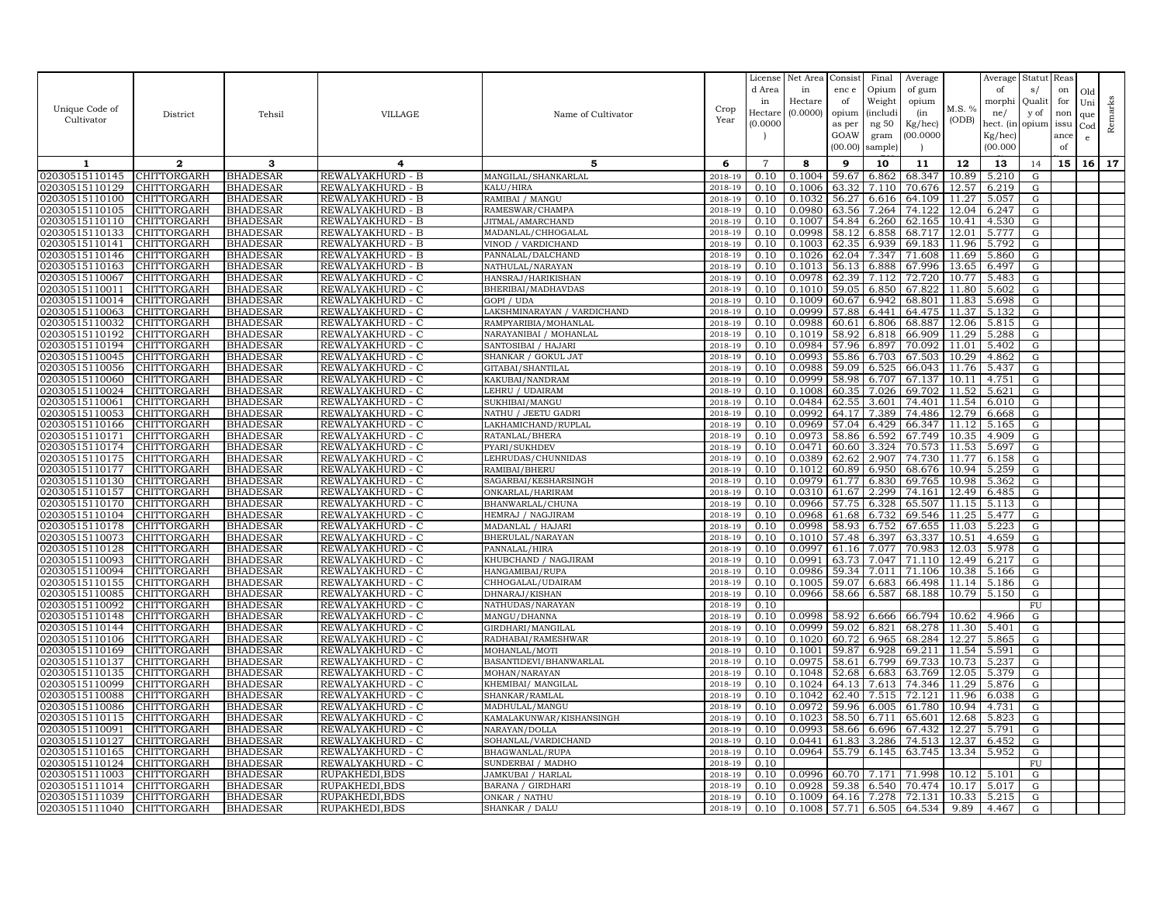| Unique Code of<br>Cultivator     | District                          | Tehsil                             | VILLAGE                              | Name of Cultivator                       | Crop                  | License<br>d Area<br>in<br>Hectare | Net Area<br>in<br>Hectare<br>(0.0000) | Consist<br>enc e<br>of<br>opium | Final<br>Opium<br>Weight<br><i>(includi</i> | Average<br>of gum<br>opium<br>(in | M.S. %         | Average<br>of<br>morphi<br>ne/   | Statut<br>s/<br>Quali<br>y of | Reas<br>on<br>for<br>non | Old<br>Uni<br>que | Remarks |
|----------------------------------|-----------------------------------|------------------------------------|--------------------------------------|------------------------------------------|-----------------------|------------------------------------|---------------------------------------|---------------------------------|---------------------------------------------|-----------------------------------|----------------|----------------------------------|-------------------------------|--------------------------|-------------------|---------|
|                                  |                                   |                                    |                                      |                                          | Year                  | (0.0000)                           |                                       | as per<br>GOAW<br>(00.00)       | ng 50<br>gram<br>sample)                    | Kg/hec)<br>00.000C                | (ODB)          | hect. (in<br>Kg/hec)<br>(00.000) | opium                         | issu<br>ance<br>of       | Cod<br>e          |         |
| 1                                | $\mathbf{2}$                      | 3                                  | 4                                    | 5                                        | 6                     | $\overline{7}$                     | 8                                     | 9                               | 10                                          | 11                                | 12             | 13                               | 14                            | 15                       | 16 <sup>1</sup>   | 17      |
| 02030515110145                   | <b>CHITTORGARH</b>                | <b>BHADESAR</b>                    | REWALYAKHURD - B                     | MANGILAL/SHANKARLAL                      | 2018-19               | 0.10                               | 0.1004                                | 59.67                           | 6.862                                       | 68.347                            | 10.89          | 5.210                            | ${\rm G}$                     |                          |                   |         |
| 02030515110129                   | CHITTORGARH                       | <b>BHADESAR</b>                    | REWALYAKHURD - B                     | KALU/HIRA                                | 2018-19               | 0.10                               | 0.1006                                | 63.32                           | 7.110                                       | 70.676                            | 12.57          | 6.219                            | ${\rm G}$                     |                          |                   |         |
| 02030515110100                   | CHITTORGARH                       | <b>BHADESAR</b>                    | REWALYAKHURD - B                     | RAMIBAI / MANGU                          | 2018-19               | 0.10                               | 0.1032                                | 56.27                           | 6.616                                       | 64.109                            | 11.27          | 5.057                            | G                             |                          |                   |         |
| 02030515110105<br>02030515110110 | <b>CHITTORGARH</b><br>CHITTORGARH | <b>BHADESAR</b><br><b>BHADESAR</b> | REWALYAKHURD - B<br>REWALYAKHURD - B | RAMESWAR/CHAMPA<br>JITMAL/AMARCHAND      | 2018-19<br>2018-19    | 0.10<br>0.10                       | 0.0980<br>0.1007                      | 63.56<br>54.84                  | 7.264<br>6.260                              | 74.122<br>62.165                  | 12.04<br>10.41 | 6.247<br>4.530                   | ${\rm G}$<br>G                |                          |                   |         |
| 02030515110133                   | CHITTORGARH                       | <b>BHADESAR</b>                    | REWALYAKHURD - B                     | MADANLAL/CHHOGALAL                       | 2018-19               | 0.10                               | 0.0998                                | 58.12                           | 6.858                                       | 68.717                            | 12.01          | 5.777                            | ${\rm G}$                     |                          |                   |         |
| 02030515110141                   | <b>CHITTORGARH</b>                | <b>BHADESAR</b>                    | REWALYAKHURD - B                     | VINOD / VARDICHAND                       | 2018-19               | 0.10                               | 0.1003                                | 62.35                           | 6.939                                       | 69.183                            | 11.96          | 5.792                            | G                             |                          |                   |         |
| 02030515110146                   | CHITTORGARH                       | <b>BHADESAR</b>                    | REWALYAKHURD - B                     | PANNALAL/DALCHAND                        | 2018-19               | 0.10                               | 0.1026                                | 62.04                           | 7.347                                       | 71.608                            | 11.69          | 5.860                            | G                             |                          |                   |         |
| 02030515110163                   | CHITTORGARH                       | <b>BHADESAR</b>                    | REWALYAKHURD - B                     | NATHULAL/NARAYAN                         | 2018-19               | 0.10                               | 0.1013                                | 56.13                           | 6.888                                       | 67.996                            | 13.65          | 6.497                            | G                             |                          |                   |         |
| 02030515110067                   | CHITTORGARH                       | <b>BHADESAR</b>                    | REWALYAKHURD - C                     | HANSRAJ/HARIKISHAN                       | 2018-19               | 0.10                               | 0.0978                                | 62.39                           | 7.112                                       | 72.720                            | 10.77          | 5.483                            | ${\rm G}$                     |                          |                   |         |
| 02030515110011                   | <b>CHITTORGARH</b>                | <b>BHADESAR</b>                    | REWALYAKHURD - C                     | BHERIBAI/MADHAVDAS                       | 2018-19               | 0.10                               | 0.1010                                | 59.05                           | 6.850                                       | 67.822                            | 11.80          | 5.602                            | G                             |                          |                   |         |
| 02030515110014                   | CHITTORGARH                       | <b>BHADESAR</b>                    | REWALYAKHURD - C                     | GOPI / UDA                               | 2018-19               | 0.10                               | 0.1009                                | 60.67                           | 6.942                                       | 68.801                            | 11.83          | 5.698                            | ${\rm G}$                     |                          |                   |         |
| 02030515110063                   | CHITTORGARH                       | <b>BHADESAR</b>                    | REWALYAKHURD - C                     | LAKSHMINARAYAN / VARDICHAND              | 2018-19               | 0.10                               | 0.0999                                | 57.88                           | 6.441                                       | 64.475                            | 11.37          | 5.132                            | ${\rm G}$                     |                          |                   |         |
| 02030515110032                   | CHITTORGARH                       | <b>BHADESAR</b>                    | REWALYAKHURD - C                     | RAMPYARIBIA/MOHANLAL                     | 2018-19               | 0.10                               | 0.0988                                | 60.61                           | 6.806                                       | 68.887                            | 12.06          | 5.815                            | G                             |                          |                   |         |
| 02030515110192                   | CHITTORGARH                       | <b>BHADESAR</b>                    | REWALYAKHURD - C                     | NARAYANIBAI / MOHANLAL                   | 2018-19               | 0.10                               | 0.1019                                | 58.92                           | 6.818                                       | 66.909                            | 11.29          | 5.288                            | G                             |                          |                   |         |
| 02030515110194                   | CHITTORGARH                       | <b>BHADESAR</b>                    | REWALYAKHURD - C                     | SANTOSIBAI / HAJARI                      | 2018-19               | 0.10                               | 0.0984                                | 57.96                           | 6.897                                       | 70.092                            | 11.01<br>10.29 | 5.402                            | G                             |                          |                   |         |
| 02030515110045<br>02030515110056 | CHITTORGARH<br><b>CHITTORGARH</b> | <b>BHADESAR</b><br><b>BHADESAR</b> | REWALYAKHURD - C<br>REWALYAKHURD - C | SHANKAR / GOKUL JAT<br>GITABAI/SHANTILAL | $2018 - 1$<br>2018-19 | 0.10<br>0.10                       | 0.0993<br>0.0988                      | 55.86<br>59.09                  | 6.703<br>6.525                              | 67.503<br>66.043                  | 11.76          | 4.862<br>5.437                   | ${\rm G}$<br>G                |                          |                   |         |
| 02030515110060                   | CHITTORGARH                       | <b>BHADESAR</b>                    | REWALYAKHURD - C                     | KAKUBAI/NANDRAM                          | 2018-19               | 0.10                               | 0.0999                                | 58.98                           | 6.707                                       | 67.137                            | 10.11          | 4.751                            | ${\rm G}$                     |                          |                   |         |
| 02030515110024                   | CHITTORGARH                       | <b>BHADESAR</b>                    | REWALYAKHURD - C                     | LEHRU / UDAIRAM                          | 2018-19               | 0.10                               | 0.1008                                | 60.35                           | 7.026                                       | 69.702                            | 11.52          | 5.621                            | G                             |                          |                   |         |
| 02030515110061                   | CHITTORGARH                       | <b>BHADESAR</b>                    | REWALYAKHURD - C                     | SUKHIBAI/MANGU                           | 2018-19               | 0.10                               | 0.0484                                | 62.55                           | 3.601                                       | 74.401                            | 11.54          | 6.010                            | $\mathbf G$                   |                          |                   |         |
| 02030515110053                   | CHITTORGARH                       | <b>BHADESAR</b>                    | REWALYAKHURD - C                     | NATHU / JEETU GADRI                      | 2018-19               | 0.10                               | 0.0992                                | 64.17                           | 7.389                                       | 74.486                            | 12.79          | 6.668                            | G                             |                          |                   |         |
| 02030515110166                   | CHITTORGARH                       | <b>BHADESAR</b>                    | REWALYAKHURD - C                     | LAKHAMICHAND/RUPLAL                      | 2018-19               | 0.10                               | 0.0969                                | 57.04                           | 6.429                                       | 66.347                            | 11.12          | 5.165                            | G                             |                          |                   |         |
| 02030515110171                   | CHITTORGARH                       | <b>BHADESAR</b>                    | REWALYAKHURD - C                     | RATANLAL/BHERA                           | 2018-19               | 0.10                               | 0.0973                                | 58.86                           | 6.592                                       | 67.749                            | 10.35          | 4.909                            | G                             |                          |                   |         |
| 02030515110174                   | CHITTORGARH                       | <b>BHADESAR</b>                    | REWALYAKHURD - C                     | PYARI/SUKHDEV                            | 2018-19               | 0.10                               | 0.0471                                | 60.60                           | 3.324                                       | 70.573                            | 11.53          | 5.697                            | ${\rm G}$                     |                          |                   |         |
| 02030515110175                   | CHITTORGARH                       | <b>BHADESAR</b>                    | REWALYAKHURD - C                     | LEHRUDAS/CHUNNIDAS                       | 2018-19               | 0.10                               | 0.0389                                | 62.62                           | 2.907                                       | 74.730                            | 11.77          | 6.158                            | ${\rm G}$                     |                          |                   |         |
| 02030515110177                   | CHITTORGARH                       | <b>BHADESAR</b>                    | REWALYAKHURD - C                     | RAMIBAI/BHERU                            | 2018-19               | 0.10                               | 0.1012                                | 60.89                           | 6.950                                       | 68.676                            | 10.94          | 5.259                            | G                             |                          |                   |         |
| 02030515110130                   | CHITTORGARH                       | <b>BHADESAR</b>                    | REWALYAKHURD - C                     | SAGARBAI/KESHARSINGH                     | 2018-19               | 0.10                               | 0.0979                                | 61.77                           | 6.830                                       | 69.765                            | 10.98          | 5.362                            | ${\rm G}$                     |                          |                   |         |
| 02030515110157                   | <b>CHITTORGARH</b>                | <b>BHADESAR</b>                    | REWALYAKHURD - C                     | ONKARLAL/HARIRAM                         | 2018-19               | 0.10                               | 0.0310                                | 61.67                           | 2.299                                       | 74.161                            | 12.49          | 6.485                            | G                             |                          |                   |         |
| 02030515110170                   | CHITTORGARH                       | <b>BHADESAR</b>                    | REWALYAKHURD - C                     | BHANWARLAL/CHUNA                         | 2018-19               | 0.10                               | 0.0966                                | 57.75                           | 6.328                                       | 65.507                            | 11.15          | 5.113                            | ${\rm G}$                     |                          |                   |         |
| 02030515110104                   | CHITTORGARH<br>CHITTORGARH        | <b>BHADESAR</b>                    | REWALYAKHURD - C                     | HEMRAJ / NAGJIRAM                        | 2018-19               | 0.10                               | 0.0968<br>0.0998                      | 61.68<br>58.93                  | 6.732                                       | 69.546                            | 11.25          | 5.477<br>5.223                   | ${\rm G}$                     |                          |                   |         |
| 02030515110178<br>02030515110073 | <b>CHITTORGARH</b>                | <b>BHADESAR</b><br><b>BHADESAR</b> | REWALYAKHURD - C<br>REWALYAKHURD - C | MADANLAL / HAJARI<br>BHERULAL/NARAYAN    | 2018-19<br>2018-19    | 0.10<br>0.10                       | 0.1010                                | 57.48                           | 6.752<br>6.397                              | 67.655<br>63.337                  | 11.03<br>10.51 | 4.659                            | G<br>${\rm G}$                |                          |                   |         |
| 02030515110128                   | CHITTORGARH                       | <b>BHADESAR</b>                    | REWALYAKHURD - C                     | PANNALAL/HIRA                            | 2018-19               | 0.10                               | 0.0997                                | 61.16                           | 7.077                                       | 70.983                            | 12.03          | 5.978                            | G                             |                          |                   |         |
| 02030515110093                   | CHITTORGARH                       | <b>BHADESAR</b>                    | REWALYAKHURD - C                     | KHUBCHAND / NAGJIRAM                     | 2018-19               | 0.10                               | 0.0991                                | 63.73                           | 7.047                                       | 71.110                            | 12.49          | 6.217                            | G                             |                          |                   |         |
| 02030515110094                   | CHITTORGARH                       | <b>BHADESAR</b>                    | REWALYAKHURD - C                     | HANGAMIBAI/RUPA                          | 2018-19               | 0.10                               | 0.0986                                | 59.34                           | 7.011                                       | 71.106                            | 10.38          | 5.166                            | G                             |                          |                   |         |
| 02030515110155                   | CHITTORGARH                       | <b>BHADESAR</b>                    | REWALYAKHURD - C                     | CHHOGALAL/UDAIRAM                        | 2018-19               | 0.10                               | 0.1005                                | 59.07                           | 6.683                                       | 66.498                            | 11.14          | 5.186                            | ${\rm G}$                     |                          |                   |         |
| 02030515110085                   | CHITTORGARH                       | <b>BHADESAR</b>                    | REWALYAKHURD - C                     | DHNARAJ/KISHAN                           | 2018-19               | 0.10                               | 0.0966                                | 58.66                           | 6.587                                       | 68.188                            | 10.79          | 5.150                            | G                             |                          |                   |         |
| 02030515110092                   | CHITTORGARH                       | <b>BHADESAR</b>                    | REWALYAKHURD - C                     | NATHUDAS/NARAYAN                         | 2018-19               | 0.10                               |                                       |                                 |                                             |                                   |                |                                  | FU                            |                          |                   |         |
| 02030515110148                   | <b>CHITTORGARH</b>                | <b>BHADESAR</b>                    | REWALYAKHURD - C                     | MANGU/DHANNA                             | 2018-19               | 0.10                               | 0.0998                                | 58.92                           | 6.666                                       | 66.794                            | 10.62          | 4.966                            | G                             |                          |                   |         |
| 02030515110144                   | CHITTORGARH                       | <b>BHADESAR</b>                    | REWALYAKHURD - C                     | GIRDHARI/MANGILAL                        | 2018-19               | 0.10                               | 0.0999                                | 59.02                           | 6.821                                       | 68.278                            | 11.30          | 5.401                            | ${\rm G}$                     |                          |                   |         |
| 02030515110106                   | CHITTORGARH                       | <b>BHADESAR</b>                    | REWALYAKHURD - C                     | RADHABAI/RAMESHWAR                       | 2018-19               | 0.10                               | 0.1020                                | 60.72                           | 6.965                                       | 68.284                            | 12.27          | 5.865                            | ${\rm G}$                     |                          |                   |         |
| 02030515110169                   | CHITTORGARH                       | <b>BHADESAR</b>                    | REWALYAKHURD - C                     | MOHANLAL/MOTI                            | 2018-19               | 0.10                               | 0.1001                                | 59.87                           | 6.928                                       | 69.211                            | 11.54          | 5.591                            | G                             |                          |                   |         |
| 02030515110137                   | CHITTORGARH                       | <b>BHADESAR</b>                    | REWALYAKHURD - C                     | BASANTIDEVI/BHANWARLAL                   | 2018-19               | 0.10                               | 0.0975                                | 58.61                           | 6.799                                       | 69.733                            | 10.73          | 5.237                            | ${\rm G}$                     |                          |                   |         |
| 02030515110135<br>02030515110099 | CHITTORGARH<br>CHITTORGARH        | <b>BHADESAR</b>                    | REWALYAKHURD - C<br>REWALYAKHURD - C | MOHAN/NARAYAN<br>KHEMIBAI/ MANGILAL      | 2018-19<br>2018-1     | 0.10<br>0.10                       | 0.1048<br>0.1024                      | 52.68<br>64.13                  | 6.683                                       | 63.769<br>74.346                  | 12.05<br>11.29 | 5.379<br>5.876                   | G<br>${\rm G}$                |                          |                   |         |
| 02030515110088                   | <b>CHITTORGARH</b>                | <b>BHADESAR</b><br><b>BHADESAR</b> | REWALYAKHURD - C                     | SHANKAR/RAMLAL                           | 2018-19               | 0.10                               | 0.1042                                | 62.40                           | 7.613<br>7.515                              | 72.121                            | 11.96          | 6.038                            | G                             |                          |                   |         |
| 02030515110086                   | CHITTORGARH                       | <b>BHADESAR</b>                    | REWALYAKHURD - C                     | MADHULAL/MANGU                           | 2018-19               | 0.10                               | 0.0972                                | 59.96                           | 6.005                                       | 61.780                            | 10.94          | 4.731                            | G                             |                          |                   |         |
| 02030515110115                   | CHITTORGARH                       | <b>BHADESAR</b>                    | REWALYAKHURD - C                     | KAMALAKUNWAR/KISHANSINGH                 | 2018-19               | 0.10                               | 0.1023                                | 58.50                           | 6.711                                       | 65.601                            | 12.68          | 5.823                            | G                             |                          |                   |         |
| 02030515110091                   | CHITTORGARH                       | <b>BHADESAR</b>                    | REWALYAKHURD - C                     | NARAYAN/DOLLA                            | 2018-19               | 0.10                               | 0.0993                                | 58.66                           | 6.696                                       | 67.432                            | 12.27          | 5.791                            | $\overline{G}$                |                          |                   |         |
| 02030515110127                   | CHITTORGARH                       | <b>BHADESAR</b>                    | REWALYAKHURD - C                     | SOHANLAL/VARDICHAND                      | 2018-19               | 0.10                               | 0.0441                                | 61.83                           | 3.286                                       | 74.513                            | 12.37          | 6.452                            | G                             |                          |                   |         |
| 02030515110165                   | CHITTORGARH                       | <b>BHADESAR</b>                    | REWALYAKHURD - C                     | BHAGWANLAL/RUPA                          | 2018-19               | 0.10                               | 0.0964                                | 55.79                           | 6.145                                       | 63.745                            | 13.34          | 5.952                            | G                             |                          |                   |         |
| 02030515110124                   | CHITTORGARH                       | <b>BHADESAR</b>                    | REWALYAKHURD - C                     | SUNDERBAI / MADHO                        | 2018-19               | 0.10                               |                                       |                                 |                                             |                                   |                |                                  | ${\rm FU}$                    |                          |                   |         |
| 02030515111003                   | CHITTORGARH                       | <b>BHADESAR</b>                    | RUPAKHEDI, BDS                       | JAMKUBAI / HARLAL                        | 2018-19               | 0.10                               | 0.0996                                | 60.70                           | 7.171                                       | 71.998                            | 10.12          | 5.101                            | G                             |                          |                   |         |
| 02030515111014                   | CHITTORGARH                       | <b>BHADESAR</b>                    | RUPAKHEDI, BDS                       | BARANA / GIRDHARI                        | 2018-19               | 0.10                               | 0.0928                                | 59.38                           | 6.540                                       | 70.474                            | 10.17          | 5.017                            | ${\rm G}$                     |                          |                   |         |
| 02030515111039                   | <b>CHITTORGARH</b>                | <b>BHADESAR</b>                    | RUPAKHEDI, BDS                       | ONKAR / NATHU                            | 2018-19               | 0.10                               | 0.1009                                | 64.16                           | 7.278                                       | 72.131                            | 10.33          | 5.215                            | G                             |                          |                   |         |
| 02030515111040                   | <b>CHITTORGARH</b>                | <b>BHADESAR</b>                    | RUPAKHEDI, BDS                       | SHANKAR / DALU                           | 2018-19               | 0.10                               | 0.1008                                | 57.71                           | 6.505                                       | 64.534                            | 9.89           | 4.467                            | G                             |                          |                   |         |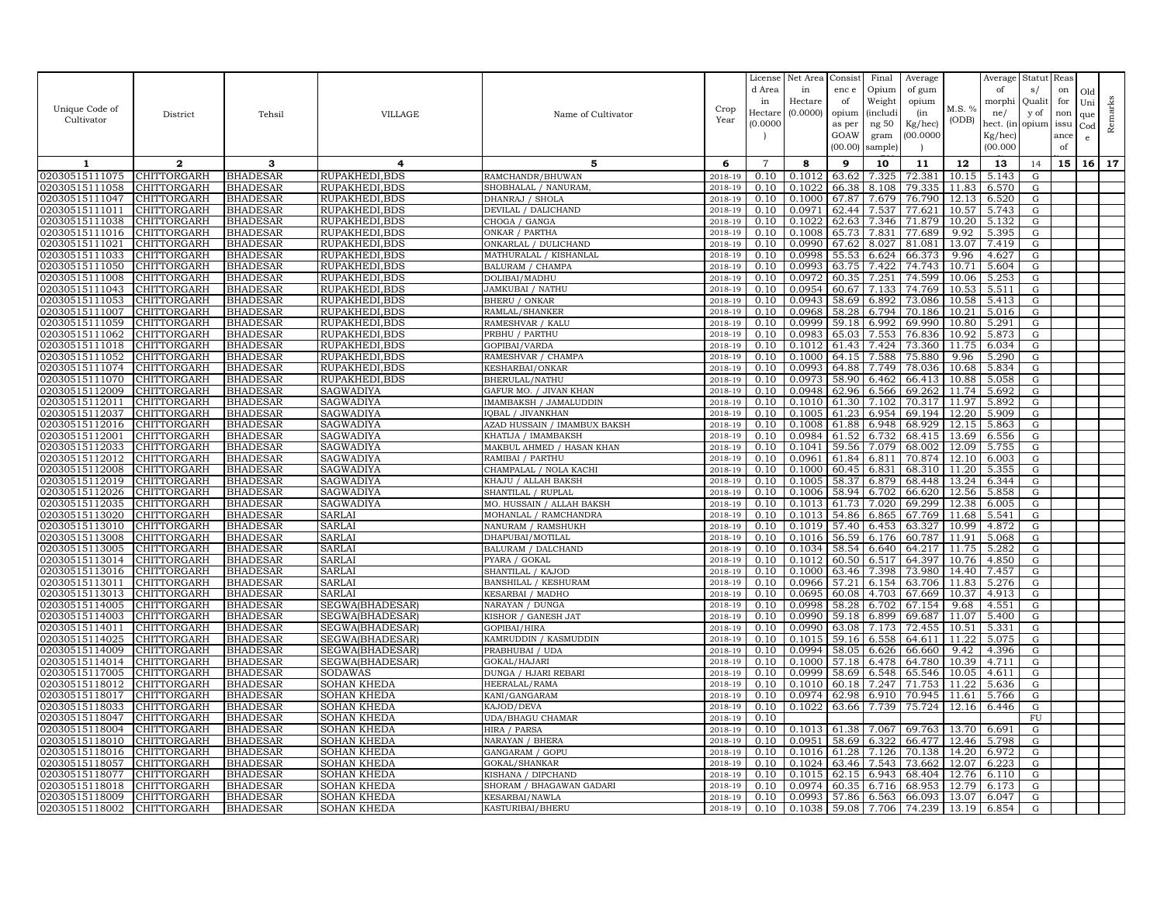|                                  |                                   |                                    |                                    |                                                |                       | License<br>d Area | Net Area<br>in   | Consist<br>enc e | Final<br>Opium       | Average<br>of gum  |                | Average<br>of        | Statut<br>s/           | Reas<br>on   | Old             |         |
|----------------------------------|-----------------------------------|------------------------------------|------------------------------------|------------------------------------------------|-----------------------|-------------------|------------------|------------------|----------------------|--------------------|----------------|----------------------|------------------------|--------------|-----------------|---------|
|                                  |                                   |                                    |                                    |                                                |                       | in                | Hectare          | of               | Weight               | opium              | M.S. %         | morphi               | Quali                  | for          | Uni             |         |
| Unique Code of<br>Cultivator     | District                          | Tehsil                             | VILLAGE                            | Name of Cultivator                             | Crop<br>Year          | Hectare           | (0.0000)         | opium            | <i>(includi</i>      | (in                | (ODB)          | ne/                  | y of                   | non          | que             | Remarks |
|                                  |                                   |                                    |                                    |                                                |                       | (0.0000)          |                  | as per<br>GOAW   | ng 50<br>gram        | Kg/hec)<br>00.000C |                | hect. (in<br>Kg/hec) | opium                  | issu<br>ance | Cod             |         |
|                                  |                                   |                                    |                                    |                                                |                       |                   |                  | (00.00)          | sample)              |                    |                | (00.000)             |                        | of           | $\mathbf{e}$    |         |
| 1                                | $\mathbf{2}$                      | 3                                  | 4                                  | 5                                              | 6                     | $\overline{7}$    | 8                | 9                | 10                   | 11                 | 12             | 13                   | 14                     | 15           | 16 <sup>1</sup> | 17      |
| 02030515111075                   | <b>CHITTORGARH</b>                | <b>BHADESAR</b>                    | RUPAKHEDI, BDS                     | RAMCHANDR/BHUWAN                               | 2018-19               | 0.10              | 0.1012           | 63.62            | 7.325                | 72.381             | 10.15          | 5.143                | ${\rm G}$              |              |                 |         |
| 02030515111058                   | <b>CHITTORGARH</b>                | <b>BHADESAR</b>                    | RUPAKHEDI.BDS                      | SHOBHALAL / NANURAM                            | 2018-19               | 0.10              | 0.1022           | 66.38            | 8.108                | 79.335             | 11.83          | 6.570                | G                      |              |                 |         |
| 02030515111047                   | CHITTORGARH                       | <b>BHADESAR</b>                    | RUPAKHEDI, BDS                     | DHANRAJ / SHOLA                                | 2018-19               | 0.10              | 0.1000           | 67.87            | 7.679                | 76.790             | 12.13          | 6.520                | G                      |              |                 |         |
| 02030515111011                   | <b>CHITTORGARH</b>                | <b>BHADESAR</b>                    | RUPAKHEDI, BDS                     | DEVILAL / DALICHAND                            | 2018-19               | 0.10              | 0.0971           | 62.44            | 7.537                | 77.621             | 10.57          | 5.743                | ${\rm G}$              |              |                 |         |
| 02030515111038                   | CHITTORGARH                       | <b>BHADESAR</b>                    | RUPAKHEDI, BDS                     | CHOGA / GANGA                                  | 2018-19               | 0.10              | 0.1022           | 62.63            | 7.346                | 71.879             | 10.20          | 5.132                | G                      |              |                 |         |
| 02030515111016                   | CHITTORGARH                       | <b>BHADESAR</b>                    | RUPAKHEDI, BDS                     | ONKAR / PARTHA                                 | 2018-19               | 0.10              | 0.1008<br>0.0990 | 65.73            | 7.831                | 77.689             | 9.92<br>13.07  | 5.395                | ${\rm G}$              |              |                 |         |
| 02030515111021<br>02030515111033 | <b>CHITTORGARH</b><br>CHITTORGARH | <b>BHADESAR</b><br><b>BHADESAR</b> | RUPAKHEDI, BDS<br>RUPAKHEDI, BDS   | ONKARLAL / DULICHAND<br>MATHURALAL / KISHANLAL | 2018-19<br>2018-19    | 0.10<br>0.10      | 0.0998           | 67.62<br>55.53   | 8.027<br>6.624       | 81.081<br>66.373   | 9.96           | 7.419<br>4.627       | G<br>G                 |              |                 |         |
| 02030515111050                   | CHITTORGARH                       | <b>BHADESAR</b>                    | RUPAKHEDI, BDS                     | BALURAM / CHAMPA                               | 2018-19               | 0.10              | 0.0993           | 63.75            | 7.422                | 74.743             | 10.71          | 5.604                | G                      |              |                 |         |
| 02030515111008                   | CHITTORGARH                       | <b>BHADESAR</b>                    | RUPAKHEDI, BDS                     | DOLIBAI/MADHU                                  | 2018-19               | 0.10              | 0.0972           | 60.35            | 7.251                | 74.599             | 10.06          | 5.253                | ${\rm G}$              |              |                 |         |
| 02030515111043                   | <b>CHITTORGARH</b>                | <b>BHADESAR</b>                    | RUPAKHEDI.BDS                      | JAMKUBAI / NATHU                               | 2018-19               | 0.10              | 0.0954           | 60.67            | 7.133                | 74.769             | 10.53          | 5.511                | G                      |              |                 |         |
| 02030515111053                   | CHITTORGARH                       | <b>BHADESAR</b>                    | RUPAKHEDI, BDS                     | <b>BHERU / ONKAR</b>                           | 2018-19               | 0.10              | 0.0943           | 58.69            | 6.892                | 73.086             | 10.58          | 5.413                | ${\rm G}$              |              |                 |         |
| 02030515111007                   | <b>CHITTORGARH</b>                | <b>BHADESAR</b>                    | RUPAKHEDI, BDS                     | RAMLAL/SHANKER                                 | 2018-19               | 0.10              | 0.0968           | 58.28            | 6.794                | 70.186             | 10.21          | 5.016                | ${\rm G}$              |              |                 |         |
| 02030515111059                   | CHITTORGARH                       | <b>BHADESAR</b>                    | RUPAKHEDI, BDS                     | RAMESHVAR / KALU                               | 2018-19               | 0.10              | 0.0999           | 59.18            | 6.992                | 69.990             | 10.80          | 5.291                | G                      |              |                 |         |
| 02030515111062                   | CHITTORGARH                       | <b>BHADESAR</b>                    | RUPAKHEDI, BDS                     | PRBHU / PARTHU                                 | 2018-19               | 0.10              | 0.0983           | 65.03            | 7.553                | 76.836             | 10.92          | 5.873                | G                      |              |                 |         |
| 02030515111018<br>02030515111052 | CHITTORGARH<br>CHITTORGARH        | <b>BHADESAR</b><br><b>BHADESAR</b> | RUPAKHEDI, BDS<br>RUPAKHEDI, BDS   | GOPIBAI/VARDA<br>RAMESHVAR / CHAMPA            | 2018-19<br>$2018 - 1$ | 0.10<br>0.10      | 0.1012<br>0.1000 | 61.43<br>64.15   | 7.424<br>7.588       | 73.360<br>75.880   | 11.75<br>9.96  | 6.034<br>5.290       | G<br>G                 |              |                 |         |
| 02030515111074                   | <b>CHITTORGARH</b>                | <b>BHADESAR</b>                    | RUPAKHEDI, BDS                     | KESHARBAI/ONKAR                                | 2018-19               | 0.10              | 0.0993           | 64.88            | 7.749                | 78.036             | 10.68          | 5.834                | G                      |              |                 |         |
| 02030515111070                   | CHITTORGARH                       | <b>BHADESAR</b>                    | RUPAKHEDI, BDS                     | BHERULAL/NATHU                                 | 2018-19               | 0.10              | 0.0973           | 58.90            | 6.462                | 66.413             | 10.88          | 5.058                | ${\rm G}$              |              |                 |         |
| 02030515112009                   | CHITTORGARH                       | <b>BHADESAR</b>                    | SAGWADIYA                          | GAFUR MO. / JIVAN KHAN                         | 2018-19               | 0.10              | 0.0948           | 62.96            | 6.566                | 69.262             | 11.74          | 5.692                | G                      |              |                 |         |
| 02030515112011                   | CHITTORGARH                       | <b>BHADESAR</b>                    | SAGWADIYA                          | IMAMBAKSH / JAMALUDDIN                         | 2018-19               | 0.10              | 0.1010           | 61.30            | 7.102                | 70.317             | 11.97          | 5.892                | $\mathbf G$            |              |                 |         |
| 02030515112037                   | CHITTORGARH                       | <b>BHADESAR</b>                    | SAGWADIYA                          | IOBAL / JIVANKHAN                              | 2018-19               | 0.10              | 0.1005           | 61.23            | 6.954                | 69.194             | 12.20          | 5.909                | G                      |              |                 |         |
| 02030515112016                   | CHITTORGARH                       | <b>BHADESAR</b>                    | SAGWADIYA                          | AZAD HUSSAIN / IMAMBUX BAKSH                   | 2018-19               | 0.10              | 0.1008           | 61.88            | 6.948                | 68.929             | 12.15          | 5.863                | G                      |              |                 |         |
| 02030515112001                   | CHITTORGARH<br>CHITTORGARH        | <b>BHADESAR</b>                    | SAGWADIYA                          | KHATIJA / IMAMBAKSH                            | 2018-19               | 0.10              | 0.0984           | 61.52            | 6.732                | 68.415             | 13.69          | 6.556                | G                      |              |                 |         |
| 02030515112033<br>02030515112012 | CHITTORGARH                       | <b>BHADESAR</b><br><b>BHADESAR</b> | SAGWADIYA<br>SAGWADIYA             | MAKBUL AHMED / HASAN KHAN<br>RAMIBAI / PARTHU  | 2018-19<br>2018-19    | 0.10<br>0.10      | 0.1041<br>0.0961 | 59.56<br>61.84   | 7.079<br>6.811       | 68.002<br>70.874   | 12.09<br>12.10 | 5.755<br>6.003       | G<br>${\rm G}$         |              |                 |         |
| 02030515112008                   | CHITTORGARH                       | <b>BHADESAR</b>                    | SAGWADIYA                          | CHAMPALAL / NOLA KACHI                         | 2018-19               | 0.10              | 0.1000           | 60.45            | 6.831                | 68.310             | 11.20          | 5.355                | G                      |              |                 |         |
| 02030515112019                   | CHITTORGARH                       | <b>BHADESAR</b>                    | SAGWADIYA                          | KHAJU / ALLAH BAKSH                            | 2018-19               | 0.10              | 0.1005           | 58.37            | 6.879                | 68.448             | 13.24          | 6.344                | ${\rm G}$              |              |                 |         |
| 02030515112026                   | <b>CHITTORGARH</b>                | <b>BHADESAR</b>                    | SAGWADIYA                          | SHANTILAL / RUPLAL                             | 2018-19               | 0.10              | 0.1006           | 58.94            | 6.702                | 66.620             | 12.56          | 5.858                | G                      |              |                 |         |
| 02030515112035                   | CHITTORGARH                       | <b>BHADESAR</b>                    | SAGWADIYA                          | MO. HUSSAIN / ALLAH BAKSH                      | 2018-19               | 0.10              | 0.1013           | 61.73            | 7.020                | 69.299             | 12.38          | 6.005                | ${\rm G}$              |              |                 |         |
| 02030515113020                   | CHITTORGARH                       | <b>BHADESAR</b>                    | <b>SARLAI</b>                      | MOHANLAL / RAMCHANDRA                          | 2018-19               | 0.10              | 0.1013           | 54.86            | 6.865                | 67.769             | 11.68          | 5.541                | ${\rm G}$              |              |                 |         |
| 02030515113010                   | CHITTORGARH                       | <b>BHADESAR</b>                    | <b>SARLAI</b>                      | NANURAM / RAMSHUKH                             | 2018-19               | 0.10              | 0.1019           | 57.40            | 6.453                | 63.327             | 10.99          | 4.872                | G                      |              |                 |         |
| 02030515113008<br>02030515113005 | <b>CHITTORGARH</b><br>CHITTORGARH | <b>BHADESAR</b><br><b>BHADESAR</b> | SARLAI<br>SARLAI                   | DHAPUBAI/MOTILAL<br>BALURAM / DALCHAND         | 2018-19<br>2018-19    | 0.10<br>0.10      | 0.1016<br>0.1034 | 56.59            | 6.176<br>58.54 6.640 | 60.787<br>64.217   | 11.91<br>11.75 | 5.068<br>5.282       | G<br>G                 |              |                 |         |
| 02030515113014                   | CHITTORGARH                       | <b>BHADESAR</b>                    | <b>SARLAI</b>                      | PYARA / GOKAL                                  | 2018-19               | 0.10              | 0.1012           |                  | 60.50 6.517          | 64.397             | 10.76          | 4.850                | G                      |              |                 |         |
| 02030515113016                   | <b>CHITTORGARH</b>                | <b>BHADESAR</b>                    | SARLAI                             | SHANTILAL / KAJOD                              | 2018-19               | 0.10              | 0.1000           | 63.46            | 7.398                | 73.980             | 14.40          | 7.457                | G                      |              |                 |         |
| 02030515113011                   | CHITTORGARH                       | <b>BHADESAR</b>                    | SARLAI                             | <b>BANSHILAL / KESHURAM</b>                    | 2018-19               | 0.10              | 0.0966           | 57.21            | 6.154                | 63.706             | 11.83          | 5.276                | ${\rm G}$              |              |                 |         |
| 02030515113013                   | CHITTORGARH                       | <b>BHADESAR</b>                    | SARLAI                             | KESARBAI / MADHO                               | 2018-19               | 0.10              | 0.0695           | 60.08            | 4.703                | 67.669             | 10.37          | 4.913                | G                      |              |                 |         |
| 02030515114005                   | CHITTORGARH                       | <b>BHADESAR</b>                    | SEGWA(BHADESAR)                    | NARAYAN / DUNGA                                | 2018-19               | 0.10              | 0.0998           | 58.28            | 6.702                | 67.154             | 9.68           | 4.551                | G                      |              |                 |         |
| 02030515114003                   | <b>CHITTORGARH</b>                | <b>BHADESAR</b>                    | SEGWA(BHADESAR)                    | KISHOR / GANESH JAT                            | 2018-19               | 0.10              | 0.0990           | 59.18            | 6.899                | 69.687             | 11.07          | 5.400                | G                      |              |                 |         |
| 02030515114011                   | CHITTORGARH                       | <b>BHADESAR</b>                    | SEGWA(BHADESAR)                    | GOPIBAI/HIRA                                   | 2018-19               | 0.10              | 0.0990           | 63.08            | 7.173                | 72.455             | 10.51          | 5.331                | ${\rm G}$              |              |                 |         |
| 02030515114025<br>02030515114009 | CHITTORGARH<br>CHITTORGARH        | <b>BHADESAR</b><br><b>BHADESAR</b> | SEGWA(BHADESAR)<br>SEGWA(BHADESAR) | KAMRUDDIN / KASMUDDIN<br>PRABHUBAI / UDA       | 2018-19<br>2018-19    | 0.10<br>0.10      | 0.1015<br>0.0994 | 59.16<br>58.05   | 6.558<br>6.626       | 64.611<br>66.660   | 11.22<br>9.42  | 5.075<br>4.396       | ${\rm G}$<br>${\rm G}$ |              |                 |         |
| 02030515114014                   | CHITTORGARH                       | <b>BHADESAR</b>                    | SEGWA(BHADESAR)                    | GOKAL/HAJARI                                   | 2018-19               | 0.10              | 0.1000           | 57.18            | 6.478                | 64.780             | 10.39          | 4.711                | ${\rm G}$              |              |                 |         |
| 02030515117005                   | CHITTORGARH                       | <b>BHADESAR</b>                    | SODAWAS                            | DUNGA / HJARI REBARI                           | 2018-19               | 0.10              | 0.0999           | 58.69            | 6.548                | 65.546             | 10.05          | 4.611                | G                      |              |                 |         |
| 02030515118012                   | CHITTORGARH                       | <b>BHADESAR</b>                    | SOHAN KHEDA                        | HEERALAL/RAMA                                  | $2018 - 1$            | 0.10              | 0.1010           | 60.18            | 7.247                | 71.753             | 11.22          | 5.636                | G                      |              |                 |         |
| 02030515118017                   | <b>CHITTORGARH</b>                | <b>BHADESAR</b>                    | SOHAN KHEDA                        | KANI/GANGARAM                                  | 2018-19               | 0.10              | 0.0974           | 62.98            | 6.910                | 70.945             | 11.61          | 5.766                | G                      |              |                 |         |
| 02030515118033                   | CHITTORGARH                       | <b>BHADESAR</b>                    | SOHAN KHEDA                        | KAJOD/DEVA                                     | 2018-19               | 0.10              | 0.1022           | 63.66            | 7.739                | 75.724             | 12.16          | 6.446                | G                      |              |                 |         |
| 02030515118047                   | CHITTORGARH                       | <b>BHADESAR</b>                    | <b>SOHAN KHEDA</b>                 | <b>UDA/BHAGU CHAMAR</b>                        | 2018-19               | 0.10              |                  |                  |                      |                    |                |                      | FU                     |              |                 |         |
| 02030515118004<br>02030515118010 | CHITTORGARH<br>CHITTORGARH        | <b>BHADESAR</b><br><b>BHADESAR</b> | <b>SOHAN KHEDA</b><br>SOHAN KHEDA  | HIRA / PARSA<br>NARAYAN / BHERA                | 2018-19<br>2018-19    | 0.10<br>0.10      | 0.1013<br>0.0951 | 61.38<br>58.69   | 7.067<br>6.322       | 69.763<br>66.477   | 13.70<br>12.46 | 6.691<br>5.798       | G<br>G                 |              |                 |         |
| 02030515118016                   | CHITTORGARH                       | <b>BHADESAR</b>                    | SOHAN KHEDA                        | GANGARAM / GOPU                                | 2018-19               | 0.10              | 0.1016           | 61.28            | 7.126                | 70.138             | 14.20          | 6.972                | G                      |              |                 |         |
| 02030515118057                   | CHITTORGARH                       | <b>BHADESAR</b>                    | <b>SOHAN KHEDA</b>                 | GOKAL/SHANKAR                                  | 2018-19               | 0.10              | 0.1024           | 63.46            | 7.543                | 73.662             | 12.07          | 6.223                | G                      |              |                 |         |
| 02030515118077                   | CHITTORGARH                       | <b>BHADESAR</b>                    | SOHAN KHEDA                        | KISHANA / DIPCHAND                             | 2018-19               | 0.10              | 0.1015           | 62.15            | 6.943                | 68.404             | 12.76          | 6.110                | G                      |              |                 |         |
| 02030515118018                   | CHITTORGARH                       | <b>BHADESAR</b>                    | SOHAN KHEDA                        | SHORAM / BHAGAWAN GADARI                       | 2018-19               | 0.10              | 0.0974           | 60.35            | 6.716                | 68.953             | 12.79          | 6.173                | G                      |              |                 |         |
| 02030515118009                   | <b>CHITTORGARH</b>                | <b>BHADESAR</b>                    | <b>SOHAN KHEDA</b>                 | KESARBAI/NAWLA                                 | 2018-19               | 0.10              | 0.0993           | 57.86            | 6.563                | 66.093             | 13.07          | 6.047                | G                      |              |                 |         |
| 02030515118002                   | <b>CHITTORGARH</b>                | <b>BHADESAR</b>                    | <b>SOHAN KHEDA</b>                 | KASTURIBAI/BHERU                               | 2018-19               | 0.10              | 0.1038           | 59.08            | 7.706                | 74.239             | 13.19          | 6.854                | G                      |              |                 |         |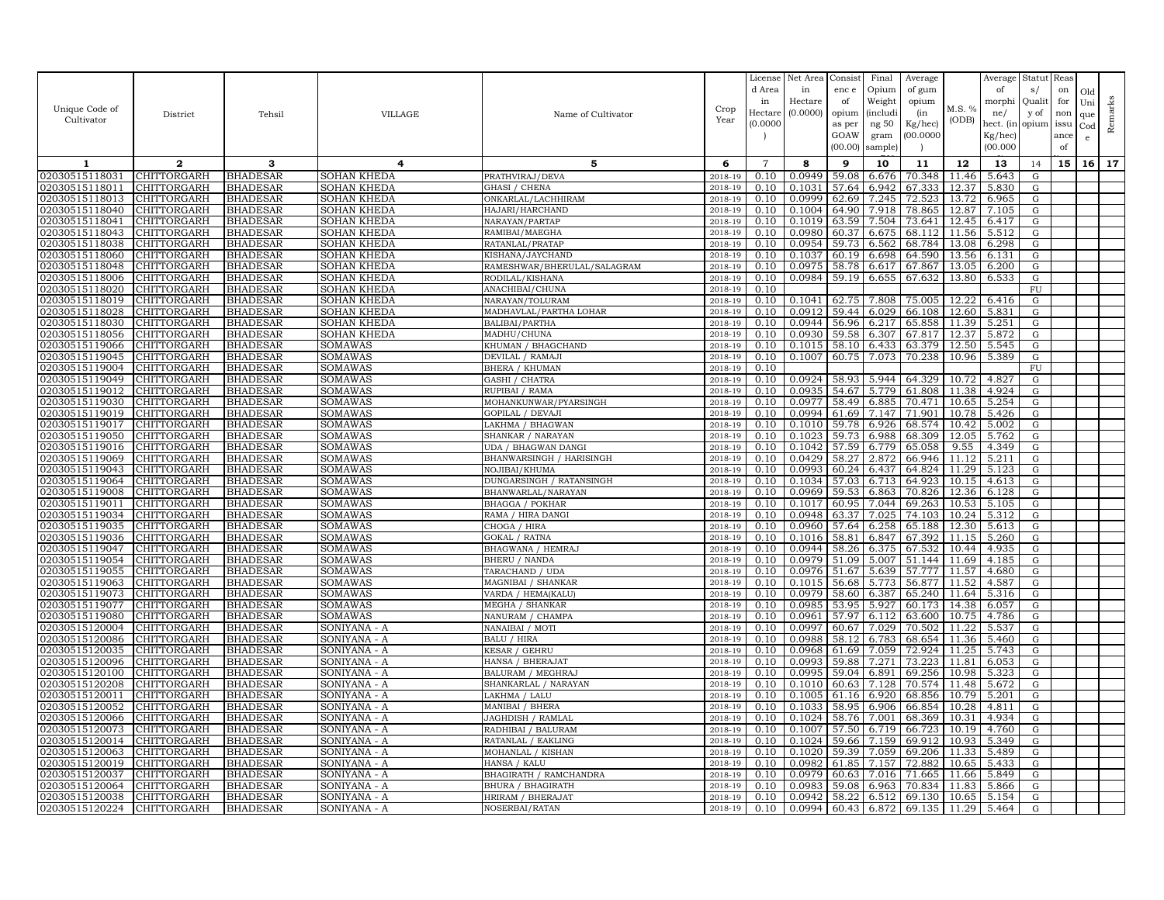| Unique Code of<br>Cultivator     | District                   | Tehsil                             | VILLAGE                      | Name of Cultivator                              | Crop<br>Year          | License<br>d Area<br>in<br>Hectare<br>(0.0000) | Net Area<br>in<br>Hectare<br>(0.0000) | Consist<br>enc e<br>of<br>opium<br>as per<br>GOAW<br>(00.00) | Final<br>Opium<br>Weight<br><i>(includi</i><br>ng 50<br>gram<br>sample) | Average<br>of gum<br>opium<br>(in<br>Kg/hec)<br>00.000C | M.S. %<br>(ODB) | Average<br>of<br>morphi<br>ne/<br>hect. (in<br>$Kg/$ hec)<br>(00.000) | Statut<br>s/<br>Quali<br>y of<br>opium | Reas<br>on<br>for<br>non<br>issu<br>ance<br>of | Old<br>Uni<br>que<br>Cod<br>e | Remarks |
|----------------------------------|----------------------------|------------------------------------|------------------------------|-------------------------------------------------|-----------------------|------------------------------------------------|---------------------------------------|--------------------------------------------------------------|-------------------------------------------------------------------------|---------------------------------------------------------|-----------------|-----------------------------------------------------------------------|----------------------------------------|------------------------------------------------|-------------------------------|---------|
| 1                                | $\mathbf{2}$               | 3                                  | 4                            | 5                                               | 6                     | $\overline{7}$                                 | 8                                     | 9                                                            | 10                                                                      | 11                                                      | 12              | 13                                                                    | 14                                     | 15                                             | 16 <sup>1</sup>               | 17      |
| 02030515118031                   | CHITTORGARH                | <b>BHADESAR</b>                    | SOHAN KHEDA                  | PRATHVIRAJ/DEVA                                 | 2018-19               | 0.10                                           | 0.0949                                | 59.08                                                        | 6.676                                                                   | 70.348                                                  | 11.46           | 5.643                                                                 | ${\rm G}$                              |                                                |                               |         |
| 02030515118011                   | CHITTORGARH                | <b>BHADESAR</b>                    | SOHAN KHEDA                  | GHASI / CHENA                                   | 2018-19               | 0.10                                           | 0.1031                                | 57.64                                                        | 6.942                                                                   | 67.333                                                  | 12.37           | 5.830                                                                 | ${\rm G}$                              |                                                |                               |         |
| 02030515118013                   | CHITTORGARH                | <b>BHADESAR</b>                    | SOHAN KHEDA                  | ONKARLAL/LACHHIRAM                              | 2018-19               | 0.10                                           | 0.0999                                | 62.69                                                        | 7.245                                                                   | 72.523                                                  | 13.72           | 6.965                                                                 | G                                      |                                                |                               |         |
| 02030515118040                   | <b>CHITTORGARH</b>         | <b>BHADESAR</b>                    | SOHAN KHEDA                  | HAJARI/HARCHAND                                 | 2018-19               | 0.10                                           | 0.1004                                | 64.90                                                        | 7.918                                                                   | 78.865                                                  | 12.87           | 7.105                                                                 | ${\rm G}$                              |                                                |                               |         |
| 02030515118041                   | CHITTORGARH                | <b>BHADESAR</b>                    | SOHAN KHEDA                  | NARAYAN/PARTAP                                  | 2018-19               | 0.10                                           | 0.1019                                | 63.59                                                        | 7.504                                                                   | 73.641                                                  | 12.45           | 6.417                                                                 | G                                      |                                                |                               |         |
| 02030515118043                   | CHITTORGARH                | <b>BHADESAR</b>                    | <b>SOHAN KHEDA</b>           | RAMIBAI/MAEGHA                                  | 2018-19               | 0.10                                           | 0.0980                                | 60.37                                                        | 6.675                                                                   | 68.112                                                  | 11.56           | 5.512                                                                 | ${\rm G}$                              |                                                |                               |         |
| 02030515118038                   | <b>CHITTORGARH</b>         | <b>BHADESAR</b>                    | SOHAN KHEDA                  | RATANLAL/PRATAP                                 | 2018-19               | 0.10                                           | 0.0954                                | 59.73                                                        | 6.562                                                                   | 68.784                                                  | 13.08           | 6.298                                                                 | G                                      |                                                |                               |         |
| 02030515118060                   | CHITTORGARH                | <b>BHADESAR</b>                    | SOHAN KHEDA                  | KISHANA/JAYCHAND<br>RAMESHWAR/BHERULAL/SALAGRAM | 2018-19               | 0.10<br>0.10                                   | 0.1037<br>0.0975                      | 60.19<br>58.78                                               | 6.698                                                                   | 64.590<br>67.867                                        | 13.56<br>13.05  | 6.131<br>6.200                                                        | G                                      |                                                |                               |         |
| 02030515118048<br>02030515118006 | CHITTORGARH<br>CHITTORGARH | <b>BHADESAR</b><br><b>BHADESAR</b> | SOHAN KHEDA<br>SOHAN KHEDA   | RODILAL/KISHANA                                 | 2018-19<br>$2018 - 1$ | 0.10                                           | 0.0984                                | 59.19                                                        | 6.617<br>6.655                                                          | 67.632                                                  | 13.80           | 6.533                                                                 | G<br>G                                 |                                                |                               |         |
| 02030515118020                   | CHITTORGARH                | <b>BHADESAR</b>                    | SOHAN KHEDA                  | ANACHIBAI/CHUNA                                 | 2018-19               | 0.10                                           |                                       |                                                              |                                                                         |                                                         |                 |                                                                       | ${\rm FU}$                             |                                                |                               |         |
| 02030515118019                   | CHITTORGARH                | <b>BHADESAR</b>                    | <b>SOHAN KHEDA</b>           | NARAYAN/TOLURAM                                 | 2018-19               | 0.10                                           | 0.1041                                | 62.75                                                        | 7.808                                                                   | 75.005                                                  | 12.22           | 6.416                                                                 | ${\rm G}$                              |                                                |                               |         |
| 02030515118028                   | <b>CHITTORGARH</b>         | <b>BHADESAR</b>                    | SOHAN KHEDA                  | MADHAVLAL/PARTHA LOHAR                          | 2018-19               | 0.10                                           | 0.0912                                | 59.44                                                        | 6.029                                                                   | 66.108                                                  | 12.60           | 5.831                                                                 | G                                      |                                                |                               |         |
| 02030515118030                   | CHITTORGARH                | <b>BHADESAR</b>                    | <b>SOHAN KHEDA</b>           | BALIBAI/PARTHA                                  | 2018-19               | 0.10                                           | 0.0944                                | 56.96                                                        | 6.217                                                                   | 65.858                                                  | 11.39           | 5.251                                                                 | G                                      |                                                |                               |         |
| 02030515118056                   | CHITTORGARH                | <b>BHADESAR</b>                    | SOHAN KHEDA                  | MADHU/CHUNA                                     | 2018-19               | 0.10                                           | 0.0930                                | 59.58                                                        | 6.307                                                                   | 67.817                                                  | 12.37           | 5.872                                                                 | G                                      |                                                |                               |         |
| 02030515119066                   | CHITTORGARH                | <b>BHADESAR</b>                    | SOMAWAS                      | KHUMAN / BHAGCHAND                              | 2018-19               | 0.10                                           | 0.1015                                | 58.10                                                        | 6.433                                                                   | 63.379                                                  | 12.50           | 5.545                                                                 | G                                      |                                                |                               |         |
| 02030515119045                   | CHITTORGARH                | <b>BHADESAR</b>                    | SOMAWAS                      | DEVILAL / RAMAJI                                | 2018-19               | 0.10                                           | 0.1007                                | 60.75                                                        | 7.073                                                                   | 70.238                                                  | 10.96           | 5.389                                                                 | G                                      |                                                |                               |         |
| 02030515119004                   | CHITTORGARH                | <b>BHADESAR</b>                    | SOMAWAS                      | <b>BHERA / KHUMAN</b>                           | 2018-19               | 0.10                                           |                                       |                                                              |                                                                         |                                                         |                 |                                                                       | FU                                     |                                                |                               |         |
| 02030515119049                   | CHITTORGARH                | <b>BHADESAR</b>                    | SOMAWAS                      | GASHI / CHATRA                                  | 2018-19               | 0.10                                           | 0.0924                                | 58.93                                                        | 5.944                                                                   | 64.329                                                  | 10.72           | 4.827                                                                 | ${\rm G}$                              |                                                |                               |         |
| 02030515119012                   | CHITTORGARH                | <b>BHADESAR</b>                    | SOMAWAS                      | RUPIBAI / RAMA                                  | 2018-19               | 0.10                                           | 0.0935                                | 54.67                                                        | 5.779                                                                   | 61.808                                                  | 11.38           | 4.924                                                                 | G                                      |                                                |                               |         |
| 02030515119030                   | CHITTORGARH                | <b>BHADESAR</b>                    | SOMAWAS                      | MOHANKUNWAR/PYARSINGH                           | 2018-19               | 0.10                                           | 0.0977                                | 58.49                                                        | 6.885                                                                   | 70.471                                                  | 10.65           | 5.254                                                                 | ${\bf G}$                              |                                                |                               |         |
| 02030515119019                   | <b>CHITTORGARH</b>         | <b>BHADESAR</b>                    | SOMAWAS                      | <b>GOPILAL / DEVAJI</b>                         | 2018-19               | 0.10                                           | 0.0994                                | 61.69                                                        | 7.147                                                                   | 71.901                                                  | 10.78           | 5.426                                                                 | G                                      |                                                |                               |         |
| 02030515119017<br>02030515119050 | CHITTORGARH<br>CHITTORGARH | <b>BHADESAR</b><br><b>BHADESAR</b> | SOMAWAS<br>SOMAWAS           | LAKHMA / BHAGWAN<br>SHANKAR / NARAYAN           | 2018-19<br>2018-19    | 0.10<br>0.10                                   | 0.1010<br>0.1023                      | 59.78<br>59.73                                               | 6.926<br>6.988                                                          | 68.574<br>68.309                                        | 10.42<br>12.05  | 5.002<br>5.762                                                        | ${\rm G}$<br>G                         |                                                |                               |         |
| 02030515119016                   | CHITTORGARH                | <b>BHADESAR</b>                    | SOMAWAS                      | UDA / BHAGWAN DANGI                             | 2018-19               | 0.10                                           | 0.1042                                | 57.59                                                        | 6.779                                                                   | 65.058                                                  | 9.55            | 4.349                                                                 | ${\rm G}$                              |                                                |                               |         |
| 02030515119069                   | CHITTORGARH                | <b>BHADESAR</b>                    | SOMAWAS                      | BHANWARSINGH / HARISINGH                        | 2018-19               | 0.10                                           | 0.0429                                | 58.27                                                        | 2.872                                                                   | 66.946                                                  | 11.12           | 5.211                                                                 | G                                      |                                                |                               |         |
| 02030515119043                   | CHITTORGARH                | <b>BHADESAR</b>                    | SOMAWAS                      | NOJIBAI/KHUMA                                   | 2018-19               | 0.10                                           | 0.0993                                | 60.24                                                        | 6.437                                                                   | 64.824                                                  | 11.29           | 5.123                                                                 | G                                      |                                                |                               |         |
| 02030515119064                   | CHITTORGARH                | <b>BHADESAR</b>                    | SOMAWAS                      | DUNGARSINGH / RATANSINGH                        | 2018-19               | 0.10                                           | 0.1034                                | 57.03                                                        | 6.713                                                                   | 64.923                                                  | 10.15           | 4.613                                                                 | G                                      |                                                |                               |         |
| 02030515119008                   | CHITTORGARH                | <b>BHADESAR</b>                    | SOMAWAS                      | BHANWARLAL/NARAYAN                              | 2018-19               | 0.10                                           | 0.0969                                | 59.53                                                        | 6.863                                                                   | 70.826                                                  | 12.36           | 6.128                                                                 | G                                      |                                                |                               |         |
| 02030515119011                   | CHITTORGARH                | <b>BHADESAR</b>                    | SOMAWAS                      | <b>BHAGGA / POKHAR</b>                          | 2018-19               | 0.10                                           | 0.1017                                | 60.95                                                        | 7.044                                                                   | 69.263                                                  | 10.53           | 5.105                                                                 | G                                      |                                                |                               |         |
| 02030515119034                   | CHITTORGARH                | <b>BHADESAR</b>                    | SOMAWAS                      | RAMA / HIRA DANGI                               | 2018-19               | 0.10                                           | 0.0948                                | 63.37                                                        | 7.025                                                                   | 74.103                                                  | 10.24           | 5.312                                                                 | G                                      |                                                |                               |         |
| 02030515119035                   | CHITTORGARH                | <b>BHADESAR</b>                    | SOMAWAS                      | CHOGA / HIRA                                    | 2018-19               | 0.10                                           | 0.0960                                | 57.64                                                        | 6.258                                                                   | 65.188                                                  | 12.30           | 5.613                                                                 | ${\rm G}$                              |                                                |                               |         |
| 02030515119036                   | <b>CHITTORGARH</b>         | <b>BHADESAR</b>                    | SOMAWAS                      | <b>GOKAL / RATNA</b>                            | 2018-19               | 0.10                                           | 0.1016                                | 58.81                                                        | 6.847                                                                   | 67.392                                                  | 11.15           | 5.260                                                                 | G                                      |                                                |                               |         |
| 02030515119047                   | CHITTORGARH                | <b>BHADESAR</b>                    | SOMAWAS                      | BHAGWANA / HEMRAJ                               | 2018-19               | 0.10                                           | 0.0944                                | 58.26                                                        | 6.375                                                                   | 67.532                                                  | 10.44           | 4.935                                                                 | G                                      |                                                |                               |         |
| 02030515119054                   | CHITTORGARH                | <b>BHADESAR</b>                    | SOMAWAS                      | <b>BHERU / NANDA</b>                            | 2018-19               | 0.10                                           | 0.0979                                | 51.09                                                        | 5.007                                                                   | 51.144                                                  | 11.69           | 4.185                                                                 | ${\rm G}$                              |                                                |                               |         |
| 02030515119055                   | CHITTORGARH                | <b>BHADESAR</b>                    | SOMAWAS                      | TARACHAND / UDA                                 | 2018-19               | 0.10                                           | 0.0976                                | 51.67                                                        | 5.639                                                                   | 57.777                                                  | 11.57           | 4.680                                                                 | ${\rm G}$                              |                                                |                               |         |
| 02030515119063<br>02030515119073 | CHITTORGARH<br>CHITTORGARH | <b>BHADESAR</b><br><b>BHADESAR</b> | SOMAWAS<br>SOMAWAS           | MAGNIBAI / SHANKAR<br>VARDA / HEMA(KALU         | 2018-19<br>2018-19    | 0.10<br>0.10                                   | 0.1015<br>0.0979                      | 56.68<br>58.60                                               | 5.773<br>6.387                                                          | 56.877<br>65.240                                        | 11.52<br>11.64  | 4.587<br>5.316                                                        | G<br>G                                 |                                                |                               |         |
| 02030515119077                   | CHITTORGARH                | <b>BHADESAR</b>                    | SOMAWAS                      | MEGHA / SHANKAR                                 | 2018-19               | 0.10                                           | 0.0985                                | 53.95                                                        | 5.927                                                                   | 60.173                                                  | 14.38           | 6.057                                                                 | ${\rm G}$                              |                                                |                               |         |
| 02030515119080                   | <b>CHITTORGARH</b>         | <b>BHADESAR</b>                    | SOMAWAS                      | NANURAM / CHAMPA                                | 2018-19               | 0.10                                           | 0.0961                                | 57.97                                                        | 6.112                                                                   | 63.600                                                  | 10.75           | 4.786                                                                 | G                                      |                                                |                               |         |
| 02030515120004                   | CHITTORGARH                | <b>BHADESAR</b>                    | SONIYANA - A                 | NANAIBAI / MOTI                                 | 2018-19               | 0.10                                           | 0.0997                                | 60.67                                                        | 7.029                                                                   | 70.502                                                  | 11.22           | 5.537                                                                 | G                                      |                                                |                               |         |
| 02030515120086                   | CHITTORGARH                | <b>BHADESAR</b>                    | SONIYANA - A                 | <b>BALU / HIRA</b>                              | 2018-19               | 0.10                                           | 0.0988                                | 58.12                                                        | 6.783                                                                   | 68.654                                                  | 11.36           | 5.460                                                                 | G                                      |                                                |                               |         |
| 02030515120035                   | CHITTORGARH                | <b>BHADESAR</b>                    | SONIYANA - A                 | KESAR / GEHRU                                   | 2018-19               | 0.10                                           | 0.0968                                | 61.69                                                        | 7.059                                                                   | 72.924                                                  | 11.25           | 5.743                                                                 | $\mathbf G$                            |                                                |                               |         |
| 02030515120096                   | CHITTORGARH                | <b>BHADESAR</b>                    | SONIYANA - A                 | HANSA / BHERAJAT                                | 2018-19               | 0.10                                           | 0.0993                                | 59.88                                                        | 7.271                                                                   | 73.223                                                  | 11.81           | 6.053                                                                 | G                                      |                                                |                               |         |
| 02030515120100                   | CHITTORGARH                | <b>BHADESAR</b>                    | SONIYANA - A                 | BALURAM / MEGHRAJ                               | 2018-19               | 0.10                                           | 0.0995                                | 59.04                                                        | 6.891                                                                   | 69.256                                                  | 10.98           | 5.323                                                                 | G                                      |                                                |                               |         |
| 02030515120208                   | CHITTORGARH                | <b>BHADESAR</b>                    | SONIYANA - A                 | SHANKARLAL / NARAYAN                            | 2018-19               | 0.10                                           | 0.1010                                | 60.63                                                        | 7.128                                                                   | 70.574                                                  | 11.48           | 5.672                                                                 | G                                      |                                                |                               |         |
| 02030515120011                   | CHITTORGARH                | <b>BHADESAR</b>                    | SONIYANA - A                 | LAKHMA / LALU                                   | 2018-19               | 0.10                                           | 0.1005                                | 61.16                                                        | 6.920                                                                   | 68.856                                                  | 10.79           | 5.201                                                                 | G                                      |                                                |                               |         |
| 02030515120052<br>02030515120066 | CHITTORGARH<br>CHITTORGARH | <b>BHADESAR</b><br><b>BHADESAR</b> | SONIYANA - A<br>SONIYANA - A | MANIBAI / BHERA<br>JAGHDISH / RAMLAI            | 2018-19<br>2018-19    | 0.10<br>0.10                                   | 0.1033<br>0.1024                      | 58.95<br>58.76                                               | 6.906<br>7.001                                                          | 66.854<br>68.369                                        | 10.28<br>10.31  | 4.811<br>4.934                                                        | G                                      |                                                |                               |         |
| 02030515120073                   | CHITTORGARH                | <b>BHADESAR</b>                    | SONIYANA - A                 | RADHIBAI / BALURAM                              | 2018-19               | 0.10                                           | 0.1007                                | 57.50                                                        | 6.719                                                                   | 66.723                                                  | 10.19           | 4.760                                                                 | G<br>${\rm G}$                         |                                                |                               |         |
| 02030515120014                   | <b>CHITTORGARH</b>         | <b>BHADESAR</b>                    | SONIYANA - A                 | RATANLAL / EAKLING                              | 2018-19               | 0.10                                           | 0.1024                                | 59.66                                                        | 7.159                                                                   | 69.912                                                  | 10.93           | 5.349                                                                 | G                                      |                                                |                               |         |
| 02030515120063                   | CHITTORGARH                | <b>BHADESAR</b>                    | SONIYANA - A                 | MOHANLAL / KISHAN                               | 2018-19               | 0.10                                           | 0.1020                                | 59.39                                                        | 7.059                                                                   | 69.206                                                  | 11.33           | 5.489                                                                 | G                                      |                                                |                               |         |
| 02030515120019                   | CHITTORGARH                | <b>BHADESAR</b>                    | SONIYANA - A                 | HANSA / KALU                                    | 2018-19               | 0.10                                           | 0.0982                                | 61.85                                                        | 7.157                                                                   | 72.882                                                  | 10.65           | 5.433                                                                 | G                                      |                                                |                               |         |
| 02030515120037                   | CHITTORGARH                | <b>BHADESAR</b>                    | SONIYANA - A                 | BHAGIRATH / RAMCHANDRA                          | 2018-19               | 0.10                                           | 0.0979                                | 60.63                                                        | 7.016                                                                   | 71.665                                                  | 11.66           | 5.849                                                                 | $\mathbf G$                            |                                                |                               |         |
| 02030515120064                   | <b>CHITTORGARH</b>         | <b>BHADESAR</b>                    | SONIYANA - A                 | <b>BHURA / BHAGIRATH</b>                        | 2018-19               | 0.10                                           | 0.0983                                | 59.08                                                        | 6.963                                                                   | 70.834                                                  | 11.83           | 5.866                                                                 | G                                      |                                                |                               |         |
| 02030515120038                   | <b>CHITTORGARH</b>         | <b>BHADESAR</b>                    | SONIYANA - A                 | HRIRAM / BHERAJAT                               | 2018-19               | 0.10                                           | 0.0942                                | 58.22                                                        | 6.512                                                                   | 69.130                                                  | 10.65           | 5.154                                                                 | G                                      |                                                |                               |         |
| 02030515120224                   | <b>CHITTORGARH</b>         | <b>BHADESAR</b>                    | SONIYANA - A                 | NOSERBAI/RATAN                                  | 2018-19               | 0.10                                           | 0.0994                                | 60.43                                                        | 6.872                                                                   | 69.135                                                  |                 | 11.29 5.464                                                           | G                                      |                                                |                               |         |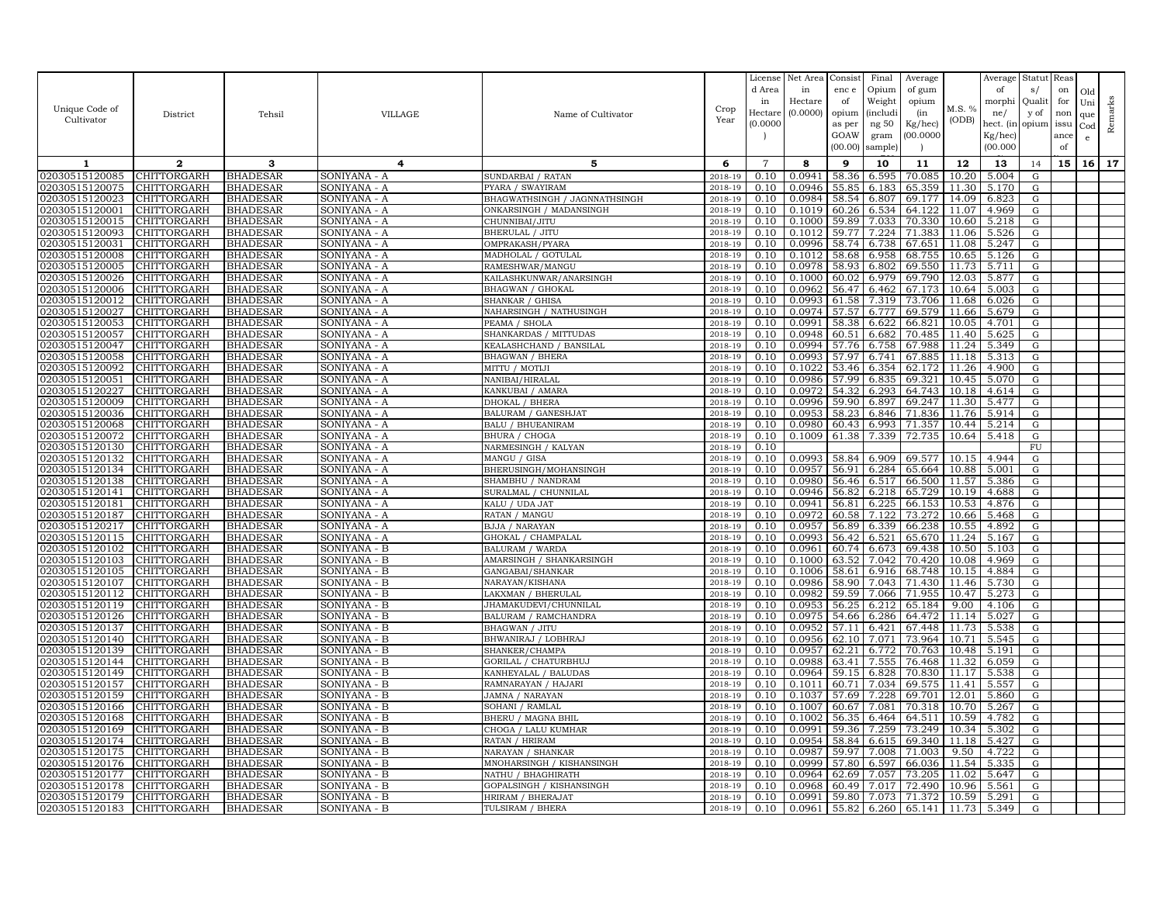|                                  |                                   |                                    |                              |                                             |                    | License            | Net Area         | Consist        | Final          | Average            |                | Average             | Statut Reas |      |              |         |
|----------------------------------|-----------------------------------|------------------------------------|------------------------------|---------------------------------------------|--------------------|--------------------|------------------|----------------|----------------|--------------------|----------------|---------------------|-------------|------|--------------|---------|
|                                  |                                   |                                    |                              |                                             |                    | d Area             | in               | enc e          | Opium          | of gum             |                | of                  | s/          | on   | Old          |         |
| Unique Code of                   |                                   |                                    |                              |                                             | Crop               | in                 | Hectare          | of             | Weight         | opium              | M.S. %         | morphi              | Qualit      | for  | Uni          | Remarks |
| Cultivator                       | District                          | Tehsil                             | <b>VILLAGE</b>               | Name of Cultivator                          | Year               | Hectar<br>(0.0000) | (0.0000)         | opium          | (includ:       | (in                | (ODB)          | ne/                 | y of        | non  | que          |         |
|                                  |                                   |                                    |                              |                                             |                    |                    |                  | as per<br>GOAW | ng 50<br>gram  | Kg/hec)<br>00.0000 |                | hect. (in           | opium issu  | ance | $_{\rm Cod}$ |         |
|                                  |                                   |                                    |                              |                                             |                    |                    |                  | (00.00)        | sample)        |                    |                | Kg/hec)<br>(00.000) |             | of   |              |         |
|                                  | $\overline{2}$                    |                                    |                              |                                             |                    | $\overline{7}$     |                  |                |                |                    |                |                     |             |      |              | 17      |
| 1                                |                                   | 3                                  | 4                            | 5                                           | 6                  |                    | 8                | 9              | 10             | 11                 | 12             | 13                  | 14          | 15   | 16           |         |
| 02030515120085<br>02030515120075 | CHITTORGARH<br><b>CHITTORGARH</b> | <b>BHADESAR</b>                    | SONIYANA - A                 | SUNDARBAI / RATAN<br>PYARA / SWAYIRAM       | 2018-19<br>2018-19 | 0.10<br>0.10       | 0.0941<br>0.0946 | 58.36<br>55.85 | 6.595          | 70.085             | 10.20<br>11.30 | 5.004               | G           |      |              |         |
| 02030515120023                   | CHITTORGARH                       | <b>BHADESAR</b><br><b>BHADESAR</b> | SONIYANA - A<br>SONIYANA - A | BHAGWATHSINGH / JAGNNATHSINGH               | 2018-19            | 0.10               | 0.0984           | 58.54          | 6.183<br>6.807 | 65.359<br>69.177   | 14.09          | 5.170<br>6.823      | G<br>G      |      |              |         |
| 02030515120001                   | <b>CHITTORGARH</b>                | <b>BHADESAR</b>                    | SONIYANA - A                 | ONKARSINGH / MADANSINGH                     | 2018-19            | 0.10               | 0.1019           | 60.26          | 6.534          | 64.122             | 11.07          | 4.969               | G           |      |              |         |
| 02030515120015                   | CHITTORGARH                       | <b>BHADESAR</b>                    | SONIYANA - A                 | CHUNNIBAI/JITU                              | 2018-19            | 0.10               | 0.1000           | 59.89          | 7.033          | 70.330             | 10.60          | 5.218               | G           |      |              |         |
| 02030515120093                   | CHITTORGARH                       | <b>BHADESAR</b>                    | SONIYANA - A                 | BHERULAL / JITU                             | 2018-19            | 0.10               | 0.1012           | 59.77          | 7.224          | 71.383             | 11.06          | 5.526               | G           |      |              |         |
| 02030515120031                   | CHITTORGARH                       | <b>BHADESAR</b>                    | SONIYANA - A                 | OMPRAKASH/PYARA                             | 2018-19            | 0.10               | 0.0996           | 58.74          | 6.738          | 67.651             | 11.08          | 5.247               | G           |      |              |         |
| 02030515120008                   | CHITTORGARH                       | <b>BHADESAR</b>                    | SONIYANA - A                 | MADHOLAL / GOTULAL                          | 2018-19            | 0.10               | 0.1012           | 58.68          | 6.958          | 68.755             | 10.65          | 5.126               | G           |      |              |         |
| 02030515120005                   | CHITTORGARH                       | <b>BHADESAR</b>                    | SONIYANA - A                 | RAMESHWAR/MANGU                             | 2018-19            | 0.10               | 0.0978           | 58.93          | 6.802          | 69.550             | 11.73          | 5.711               | G           |      |              |         |
| 02030515120026                   | CHITTORGARH                       | <b>BHADESAR</b>                    | SONIYANA - A                 | KAILASHKUNWAR/ANARSINGH                     | 2018-19            | 0.10               | 0.1000           | 60.02          | 6.979          | 69.790             | 12.03          | 5.877               | G           |      |              |         |
| 02030515120006                   | <b>CHITTORGARH</b>                | <b>BHADESAR</b>                    | SONIYANA - A                 | <b>BHAGWAN / GHOKAL</b>                     | 2018-19            | 0.10               | 0.0962           | 56.47          | 6.462          | 67.173             | 10.64          | 5.003               | G           |      |              |         |
| 02030515120012                   | CHITTORGARH                       | <b>BHADESAR</b>                    | SONIYANA - A                 | SHANKAR / GHISA                             | 2018-19            | 0.10               | 0.0993           | 61.58          | 7.319          | 73.706             | 11.68          | 6.026               | G           |      |              |         |
| 02030515120027                   | CHITTORGARH                       | <b>BHADESAR</b>                    | SONIYANA - A                 | NAHARSINGH / NATHUSINGH                     | 2018-19            | 0.10               | 0.0974           | 57.57          | 6.777          | 69.579             | 11.66          | 5.679               | G           |      |              |         |
| 02030515120053                   | CHITTORGARH                       | <b>BHADESAR</b>                    | SONIYANA - A                 | PEAMA / SHOLA                               | 2018-19            | 0.10               | 0.0991           | 58.38          | 6.622          | 66.821             | 10.05          | 4.701               | G           |      |              |         |
| 02030515120057                   | <b>CHITTORGARH</b>                | <b>BHADESAR</b>                    | SONIYANA - A                 | SHANKARDAS / MITTUDAS                       | 2018-19            | 0.10               | 0.0948           | 60.51          | 6.682          | 70.485             | 11.40          | 5.625               | G           |      |              |         |
| 02030515120047                   | CHITTORGARH                       | <b>BHADESAR</b>                    | SONIYANA - A                 | KEALASHCHAND / BANSILAL                     | 2018-19            | 0.10               | 0.0994           | 57.76          | 6.758          | 67.988             | 11.24          | 5.349               | G           |      |              |         |
| 02030515120058                   | CHITTORGARH                       | <b>BHADESAR</b>                    | SONIYANA - A                 | <b>BHAGWAN / BHERA</b>                      | $2018 - 1$         | 0.10               | 0.0993           | 57.97          | 6.741          | 67.885             | 11.18          | 5.313               | G           |      |              |         |
| 02030515120092                   | CHITTORGARH                       | <b>BHADESAR</b>                    | SONIYANA - A                 | MITTU / MOTIJI                              | 2018-19            | 0.10               | 0.1022           | 53.46          | 6.354          | 62.172             | 11.26          | 4.900               | G           |      |              |         |
| 02030515120051                   | CHITTORGARH                       | <b>BHADESAR</b>                    | SONIYANA - A                 | NANIBAI/HIRALAL                             | 2018-19            | 0.10               | 0.0986           | 57.99          | 6.835          | 69.321             | 10.45          | 5.070               | G           |      |              |         |
| 02030515120227                   | CHITTORGARH                       | <b>BHADESAR</b>                    | SONIYANA - A                 | KANKUBAI / AMARA                            | 2018-19            | 0.10               | 0.0972           | 54.32          | 6.293          | 64.743             | 10.18          | 4.614               | G           |      |              |         |
| 02030515120009                   | CHITTORGARH                       | <b>BHADESAR</b>                    | SONIYANA - A                 | DHOKAL / BHERA                              | 2018-19            | 0.10               | 0.0996           | 59.90          | 6.897          | 69.247             | 11.30          | 5.477               | G           |      |              |         |
| 02030515120036                   | CHITTORGARH                       | <b>BHADESAR</b>                    | SONIYANA - A                 | BALURAM / GANESHJAT                         | 2018-19            | 0.10               | 0.0953           | 58.23          | 6.846          | 71.836             | 11.76          | 5.914               | G           |      |              |         |
| 02030515120068                   | CHITTORGARH                       | <b>BHADESAR</b>                    | SONIYANA - A                 | BALU / BHUEANIRAM                           | 2018-19            | 0.10               | 0.0980           | 60.43          | 6.993          | 71.357             | 10.44          | 5.214               | G           |      |              |         |
| 02030515120072                   | CHITTORGARH                       | <b>BHADESAR</b>                    | SONIYANA - A                 | BHURA / CHOGA                               | 2018-19            | 0.10               | 0.1009           | 61.38          | 7.339          | 72.735             | 10.64          | 5.418               | G           |      |              |         |
| 02030515120130                   | CHITTORGARH                       | <b>BHADESAR</b>                    | SONIYANA - A                 | NARMESINGH / KALYAN                         | 2018-19            | 0.10               |                  |                |                |                    |                |                     | FU          |      |              |         |
| 02030515120132                   | CHITTORGARH                       | <b>BHADESAR</b>                    | SONIYANA - A                 | MANGU / GISA                                | 2018-19            | 0.10               | 0.0993           | 58.84          | 6.909          | 69.577             | 10.15          | 4.944               | G           |      |              |         |
| 02030515120134                   | CHITTORGARH                       | <b>BHADESAR</b>                    | SONIYANA - A                 | BHERUSINGH/MOHANSINGH                       | 2018-19            | 0.10               | 0.0957           | 56.91          | 6.284          | 65.664             | 10.88          | 5.001               | G           |      |              |         |
| 02030515120138                   | CHITTORGARH                       | <b>BHADESAR</b>                    | SONIYANA - A                 | SHAMBHU / NANDRAM                           | 2018-19            | 0.10               | 0.0980           | 56.46          | 6.517          | 66.500             | 11.57          | 5.386               | G           |      |              |         |
| 02030515120141                   | <b>CHITTORGARH</b>                | <b>BHADESAR</b>                    | SONIYANA - A                 | SURALMAL / CHUNNILAL                        | 2018-19            | 0.10               | 0.0946           | 56.82          | 6.218          | 65.729             | 10.19          | 4.688               | G           |      |              |         |
| 02030515120181                   | CHITTORGARH                       | <b>BHADESAR</b>                    | SONIYANA - A                 | KALU / UDA JAT                              | 2018-19            | 0.10               | 0.0941           | 56.81          | 6.225          | 66.153             | 10.53          | 4.876               | G           |      |              |         |
| 02030515120187                   | CHITTORGARH                       | <b>BHADESAR</b>                    | SONIYANA - A                 | RATAN / MANGU                               | 2018-19            | 0.10               | 0.0972           | 60.58<br>56.89 | 7.122          | 73.272             | 10.66          | 5.468<br>4.892      | G           |      |              |         |
| 02030515120217                   | CHITTORGARH<br><b>CHITTORGARH</b> | <b>BHADESAR</b>                    | SONIYANA - A                 | <b>BJJA / NARAYAN</b><br>GHOKAL / CHAMPALAL | 2018-19<br>2018-19 | 0.10               | 0.0957<br>0.0993 | 56.42          | 6.339          | 66.238             | 10.55          |                     | G           |      |              |         |
| 02030515120115<br>02030515120102 | CHITTORGARH                       | <b>BHADESAR</b><br><b>BHADESAR</b> | SONIYANA - A                 | <b>BALURAM / WARDA</b>                      | 2018-19            | 0.10<br>0.10       | 0.0961           | 60.74          | 6.521<br>6.673 | 65.670<br>69.438   | 11.24<br>10.50 | 5.167<br>5.103      | G           |      |              |         |
| 02030515120103                   | <b>CHITTORGARH</b>                | <b>BHADESAR</b>                    | SONIYANA - B<br>SONIYANA - B | AMARSINGH / SHANKARSINGH                    | 2018-19            | 0.10               | 0.1000           | 63.52          | 7.042          | 70.420             | 10.08          | 4.969               | G<br>G      |      |              |         |
| 02030515120105                   | <b>CHITTORGARH</b>                | <b>BHADESAR</b>                    | SONIYANA - B                 | GANGABAI/SHANKAR                            | 2018-19            | 0.10               | 0.1006           | 58.61          | 6.916          | 68.748             | 10.15          | 4.884               | G           |      |              |         |
| 02030515120107                   | CHITTORGARH                       | <b>BHADESAR</b>                    | SONIYANA - B                 | NARAYAN/KISHANA                             | 2018-19            | 0.10               | 0.0986           | 58.90          | 7.043          | 71.430             | 11.46          | 5.730               | G           |      |              |         |
| 02030515120112                   | CHITTORGARH                       | <b>BHADESAR</b>                    | SONIYANA - B                 | LAKXMAN / BHERULAI                          | 2018-19            | 0.10               | 0.0982           | 59.59          | 7.066          | 71.955             | 10.47          | 5.273               | G           |      |              |         |
| 02030515120119                   | CHITTORGARH                       | <b>BHADESAR</b>                    | SONIYANA - B                 | JHAMAKUDEVI/CHUNNILAL                       | 2018-19            | 0.10               | 0.0953           | 56.25          | 6.212          | 65.184             | 9.00           | 4.106               | G           |      |              |         |
| 02030515120126                   | <b>CHITTORGARH</b>                | <b>BHADESAR</b>                    | SONIYANA - B                 | BALURAM / RAMCHANDRA                        | 2018-19            | 0.10               | 0.0975           | 54.66          | 6.286          | 64.472             | 11.14          | 5.027               | G           |      |              |         |
| 02030515120137                   | CHITTORGARH                       | <b>BHADESAR</b>                    | SONIYANA - B                 | BHAGWAN / JITU                              | 2018-19            | 0.10               | 0.0952           | 57.11          | 6.421          | 67.448             | 11.73          | 5.538               | G           |      |              |         |
| 02030515120140                   | CHITTORGARH                       | <b>BHADESAR</b>                    | SONIYANA - B                 | BHWANIRAJ / LOBHRAJ                         | 2018-19            | 0.10               | 0.0956           | 62.10          | 7.071          | 73.964             | 10.71          | 5.545               | G           |      |              |         |
| 02030515120139                   | CHITTORGARH                       | <b>BHADESAR</b>                    | SONIYANA - B                 | SHANKER/CHAMPA                              | 2018-19            | 0.10               | 0.0957           | 62.21          | 6.772          | 70.763             | 10.48          | 5.191               | G           |      |              |         |
| 02030515120144                   | CHITTORGARH                       | BHADESAR                           | SONIYANA - B                 | GORILAL / CHATURBHUJ                        | 2018-19            | 0.10               | 0.0988           | 63.41          | 7.555          | 76.468             | 11.32          | 6.059               | G           |      |              |         |
| 02030515120149                   | CHITTORGARH                       | <b>BHADESAR</b>                    | SONIYANA - B                 | KANHEYALAL / BALUDAS                        | 2018-19            | 0.10               | 0.0964           | 59.15          | 6.828          | 70.830             | 11.17          | 5.538               | G           |      |              |         |
| 02030515120157                   | CHITTORGARH                       | <b>BHADESAR</b>                    | SONIYANA - B                 | RAMNARAYAN / HAJARI                         | 2018-19            | 0.10               | 0.1011           | 60.71          | 7.034          | 69.575             | 11.41          | 5.557               | G           |      |              |         |
| 02030515120159                   | CHITTORGARH                       | <b>BHADESAR</b>                    | SONIYANA - B                 | <b>JAMNA / NARAYAN</b>                      | 2018-19            | 0.10               | 0.1037           | 57.69          | 7.228          | 69.701             | 12.01          | 5.860               | G           |      |              |         |
| 02030515120166                   | CHITTORGARH                       | <b>BHADESAR</b>                    | SONIYANA - B                 | SOHANI / RAMLAL                             | 2018-19            | 0.10               | 0.1007           | 60.67          | 7.081          | 70.318             | 10.70          | 5.267               | G           |      |              |         |
| 02030515120168                   | CHITTORGARH                       | <b>BHADESAR</b>                    | SONIYANA - B                 | BHERU / MAGNA BHIL                          | 2018-19            | 0.10               | 0.1002           | 56.35          | 6.464          | 64.511             | 10.59          | 4.782               | G           |      |              |         |
| 02030515120169                   | CHITTORGARH                       | <b>BHADESAR</b>                    | SONIYANA - B                 | CHOGA / LALU KUMHAR                         | 2018-19            | 0.10               | 0.0991           | 59.36          | 7.259          | 73.249             | 10.34          | 5.302               | G           |      |              |         |
| 02030515120174                   | CHITTORGARH                       | <b>BHADESAR</b>                    | SONIYANA - B                 | RATAN / HRIRAM                              | 2018-19            | 0.10               | 0.0954           | 58.84          | 6.615          | 69.340             | 11.18          | 5.427               | G           |      |              |         |
| 02030515120175                   | CHITTORGARH                       | <b>BHADESAR</b>                    | SONIYANA - B                 | NARAYAN / SHANKAR                           | 2018-19            | 0.10               | 0.0987           | 59.97          | 7.008          | 71.003             | 9.50           | 4.722               | G           |      |              |         |
| 02030515120176                   | CHITTORGARH                       | <b>BHADESAR</b>                    | SONIYANA - B                 | MNOHARSINGH / KISHANSINGH                   | 2018-19            | 0.10               | 0.0999           | 57.80          | 6.597          | 66.036             | 11.54          | 5.335               | G           |      |              |         |
| 02030515120177                   | <b>CHITTORGARH</b>                | <b>BHADESAR</b>                    | SONIYANA - B                 | NATHU / BHAGHIRATH                          | 2018-19            | 0.10               | 0.0964           | 62.69          | 7.057          | 73.205             | 11.02          | 5.647               | G           |      |              |         |
| 02030515120178                   | CHITTORGARH                       | <b>BHADESAR</b>                    | SONIYANA - B                 | GOPALSINGH / KISHANSINGH                    | 2018-19            | 0.10               | 0.0968           | 60.49          | 7.017          | 72.490             | 10.96          | 5.561               | G           |      |              |         |
| 02030515120179                   | <b>CHITTORGARH</b>                | <b>BHADESAR</b>                    | SONIYANA - B                 | HRIRAM / BHERAJAT                           | 2018-19            | 0.10               | 0.0991           | 59.80          | 7.073          | 71.372             | 10.59          | 5.291               | G           |      |              |         |
| 02030515120183                   | <b>CHITTORGARH</b>                | <b>BHADESAR</b>                    | SONIYANA - B                 | TULSIRAM / BHERA                            | 2018-19            | 0.10               | 0.0961           | 55.82          | 6.260          | 65.141             | 11.73          | 5.349               | G           |      |              |         |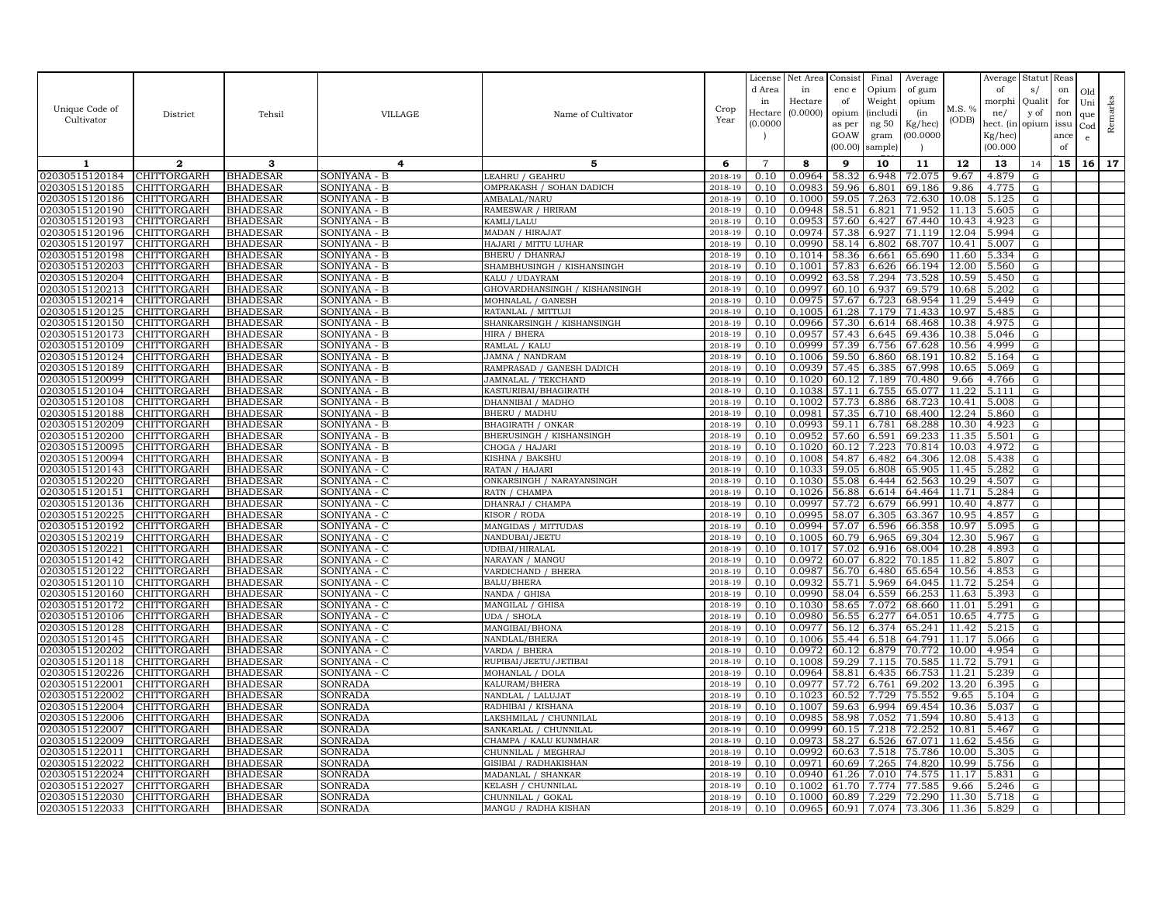|                                  |                            |                                    |                              |                                               |                    | License        | Net Area         | Consist        | Final          | Average          |                | Average        | Statut Reas |      |              |         |
|----------------------------------|----------------------------|------------------------------------|------------------------------|-----------------------------------------------|--------------------|----------------|------------------|----------------|----------------|------------------|----------------|----------------|-------------|------|--------------|---------|
|                                  |                            |                                    |                              |                                               |                    | d Area         | in               | enc e          | Opium          | of gum           |                | of             | s/          | on   | Old          |         |
| Unique Code of                   |                            |                                    |                              |                                               | Crop               | in             | Hectare          | of             | Weight         | opium            | M.S. %         | morphi         | Qualit      | for  | Uni          | Remarks |
| Cultivator                       | District                   | Tehsil                             | <b>VILLAGE</b>               | Name of Cultivator                            | Year               | Hectar         | (0.0000)         | opium          | (includ:       | (in              | (ODB)          | ne/            | y of        | non  | que          |         |
|                                  |                            |                                    |                              |                                               |                    | (0.0000)       |                  | as per         | ng 50          | Kg/hec)          |                | hect. (in      | opium issu  |      | $_{\rm Cod}$ |         |
|                                  |                            |                                    |                              |                                               |                    |                |                  | GOAW           | gram           | 00.0000          |                | Kg/hec)        |             | ance | e            |         |
|                                  |                            |                                    |                              |                                               |                    |                |                  | (00.00)        | sample)        |                  |                | (00.000)       |             | of   |              |         |
| 1                                | $\overline{2}$             | 3                                  | 4                            | 5                                             | 6                  | $\overline{7}$ | 8                | 9              | 10             | 11               | 12             | 13             | 14          | 15   | 16           | 17      |
| 02030515120184                   | CHITTORGARH                | <b>BHADESAR</b>                    | SONIYANA - B                 | LEAHRU / GEAHRU                               | 2018-19            | 0.10           | 0.0964           | 58.32          | 6.948          | 72.075           | 9.67           | 4.879          | G           |      |              |         |
| 02030515120185                   | <b>CHITTORGARH</b>         | <b>BHADESAR</b>                    | SONIYANA - B                 | OMPRAKASH / SOHAN DADICH                      | 2018-19            | 0.10           | 0.0983           | 59.96          | 6.801          | 69.186           | 9.86           | 4.775          | G           |      |              |         |
| 02030515120186                   | CHITTORGARH                | <b>BHADESAR</b>                    | SONIYANA - B                 | AMBALAL/NARU                                  | 2018-19            | 0.10           | 0.1000           | 59.05          | 7.263          | 72.630           | 10.08          | 5.125          | G           |      |              |         |
| 02030515120190                   | <b>CHITTORGARH</b>         | <b>BHADESAR</b>                    | SONIYANA - B                 | RAMESWAR / HRIRAM                             | 2018-19            | 0.10           | 0.0948           | 58.51          | 6.821          | 71.952           | 11.13          | 5.605          | G           |      |              |         |
| 02030515120193                   | CHITTORGARH                | <b>BHADESAR</b>                    | SONIYANA - B                 | KAMLI/LALU                                    | 2018-19            | 0.10           | 0.0953           | 57.60          | 6.427          | 67.440           | 10.43          | 4.923          | G           |      |              |         |
| 02030515120196                   | CHITTORGARH                | <b>BHADESAR</b>                    | SONIYANA - B                 | MADAN / HIRAJAT                               | 2018-19            | 0.10           | 0.0974           | 57.38          | 6.927          | 71.119           | 12.04          | 5.994          | G           |      |              |         |
| 02030515120197                   | <b>CHITTORGARH</b>         | <b>BHADESAR</b>                    | SONIYANA - B                 | HAJARI / MITTU LUHAR                          | 2018-19            | 0.10<br>0.10   | 0.0990<br>0.1014 | 58.14          | 6.802          | 68.707           | 10.41          | 5.007          | G<br>G      |      |              |         |
| 02030515120198<br>02030515120203 | CHITTORGARH<br>CHITTORGARH | <b>BHADESAR</b><br><b>BHADESAR</b> | SONIYANA - B<br>SONIYANA - B | BHERU / DHANRAJ<br>SHAMBHUSINGH / KISHANSINGH | 2018-19<br>2018-19 | 0.10           | 0.1001           | 58.36<br>57.83 | 6.661<br>6.626 | 65.690<br>66.194 | 11.60<br>12.00 | 5.334<br>5.560 | G           |      |              |         |
| 02030515120204                   | CHITTORGARH                | <b>BHADESAR</b>                    | SONIYANA - B                 | KALU / UDAYRAM                                | 2018-19            | 0.10           | 0.0992           | 63.58          | 7.294          | 73.528           | 10.59          | 5.450          | G           |      |              |         |
| 02030515120213                   | <b>CHITTORGARH</b>         | <b>BHADESAR</b>                    | SONIYANA - B                 | GHOVARDHANSINGH / KISHANSINGH                 | 2018-19            | 0.10           | 0.0997           | 60.10          | 6.937          | 69.579           | 10.68          | 5.202          | G           |      |              |         |
| 02030515120214                   | CHITTORGARH                | <b>BHADESAR</b>                    | SONIYANA - B                 | MOHNALAL / GANESH                             | 2018-19            | 0.10           | 0.0975           | 57.67          | 6.723          | 68.954           | 11.29          | 5.449          | G           |      |              |         |
| 02030515120125                   | CHITTORGARH                | <b>BHADESAR</b>                    | SONIYANA - B                 | RATANLAL / MITTUJI                            | 2018-19            | 0.10           | 0.1005           | 61.28          | 7.179          | 71.433           | 10.97          | 5.485          | G           |      |              |         |
| 02030515120150                   | CHITTORGARH                | <b>BHADESAR</b>                    | SONIYANA - B                 | SHANKARSINGH / KISHANSINGH                    | 2018-19            | 0.10           | 0.0966           | 57.30          | 6.614          | 68.468           | 10.38          | 4.975          | G           |      |              |         |
| 02030515120173                   | <b>CHITTORGARH</b>         | <b>BHADESAR</b>                    | SONIYANA - B                 | HIRA / BHERA                                  | 2018-19            | 0.10           | 0.0957           | 57.43          | 6.645          | 69.436           | 10.38          | 5.046          | G           |      |              |         |
| 02030515120109                   | CHITTORGARH                | <b>BHADESAR</b>                    | SONIYANA - B                 | RAMLAL / KALU                                 | 2018-19            | 0.10           | 0.0999           | 57.39          | 6.756          | 67.628           | 10.56          | 4.999          | G           |      |              |         |
| 02030515120124                   | CHITTORGARH                | <b>BHADESAR</b>                    | SONIYANA - B                 | JAMNA / NANDRAM                               | 2018-19            | 0.10           | 0.1006           | 59.50          | 6.860          | 68.191           | 10.82          | 5.164          | G           |      |              |         |
| 02030515120189                   | CHITTORGARH                | <b>BHADESAR</b>                    | SONIYANA - B                 | RAMPRASAD / GANESH DADICH                     | 2018-19            | 0.10           | 0.0939           | 57.45          | 6.385          | 67.998           | 10.65          | 5.069          | G           |      |              |         |
| 02030515120099                   | CHITTORGARH                | <b>BHADESAR</b>                    | SONIYANA - B                 | JAMNALAL / TEKCHAND                           | 2018-19            | 0.10           | 0.1020           | 60.12          | 7.189          | 70.480           | 9.66           | 4.766          | G           |      |              |         |
| 02030515120104                   | CHITTORGARH                | <b>BHADESAR</b>                    | SONIYANA - B                 | KASTURIBAI/BHAGIRATH                          | 2018-19            | 0.10           | 0.1038           | 57.11          | 6.755          | 65.077           | 11.22          | 5.111          | G           |      |              |         |
| 02030515120108                   | CHITTORGARH                | <b>BHADESAR</b>                    | SONIYANA - B                 | DHANNIBAI / MADHO                             | 2018-19            | 0.10           | 0.1002           | 57.73          | 6.886          | 68.723           | 10.41          | 5.008          | G           |      |              |         |
| 02030515120188                   | CHITTORGARH                | <b>BHADESAR</b>                    | SONIYANA - B                 | BHERU / MADHU                                 | 2018-19            | 0.10           | 0.0981           | 57.35          | 6.710          | 68.400           | 12.24          | 5.860          | G           |      |              |         |
| 02030515120209                   | CHITTORGARH                | <b>BHADESAR</b>                    | SONIYANA - B                 | BHAGIRATH / ONKAR                             | 2018-19            | 0.10           | 0.0993           | 59.11          | 6.781          | 68.288           | 10.30          | 4.923          | G           |      |              |         |
| 02030515120200                   | CHITTORGARH                | <b>BHADESAR</b>                    | SONIYANA - B                 | BHERUSINGH / KISHANSINGH                      | 2018-19            | 0.10           | 0.0952           | 57.60          | 6.591          | 69.233           | 11.35          | 5.501          | G           |      |              |         |
| 02030515120095                   | CHITTORGARH                | <b>BHADESAR</b>                    | SONIYANA - B                 | CHOGA / HAJARI                                | 2018-19            | 0.10           | 0.1020           | 60.12          | 7.223          | 70.814           | 10.03          | 4.972          | G           |      |              |         |
| 02030515120094                   | CHITTORGARH                | <b>BHADESAR</b>                    | SONIYANA - B                 | KISHNA / BAKSHU                               | 2018-19            | 0.10           | 0.1008           | 54.87          | 6.482          | 64.306           | 12.08          | 5.438          | G           |      |              |         |
| 02030515120143<br>02030515120220 | CHITTORGARH<br>CHITTORGARH | <b>BHADESAR</b><br><b>BHADESAR</b> | SONIYANA - C<br>SONIYANA - C | RATAN / HAJARI<br>ONKARSINGH / NARAYANSINGH   | 2018-19<br>2018-19 | 0.10<br>0.10   | 0.1033<br>0.1030 | 59.05<br>55.08 | 6.808<br>6.444 | 65.905<br>62.563 | 11.45<br>10.29 | 5.282<br>4.507 | G<br>G      |      |              |         |
| 02030515120151                   | CHITTORGARH                | <b>BHADESAR</b>                    | SONIYANA - C                 | RATN / CHAMPA                                 | 2018-19            | 0.10           | 0.1026           | 56.88          | 6.614          | 64.464           | 11.71          | 5.284          | G           |      |              |         |
| 02030515120136                   | CHITTORGARH                | <b>BHADESAR</b>                    | SONIYANA - C                 | DHANRAJ / CHAMPA                              | 2018-19            | 0.10           | 0.0997           | 57.72          | 6.679          | 66.991           | 10.40          | 4.877          | G           |      |              |         |
| 02030515120225                   | CHITTORGARH                | <b>BHADESAR</b>                    | SONIYANA - C                 | KISOR / RODA                                  | 2018-19            | 0.10           | 0.0995           | 58.07          | 6.305          | 63.367           | 10.95          | 4.857          | G           |      |              |         |
| 02030515120192                   | CHITTORGARH                | <b>BHADESAR</b>                    | SONIYANA - C                 | MANGIDAS / MITTUDAS                           | 2018-19            | 0.10           | 0.0994           | 57.07          | 6.596          | 66.358           | 10.97          | 5.095          | G           |      |              |         |
| 02030515120219                   | <b>CHITTORGARH</b>         | <b>BHADESAR</b>                    | SONIYANA - C                 | NANDUBAI/JEETU                                | 2018-19            | 0.10           | 0.1005           | 60.79          | 6.965          | 69.304           | 12.30          | 5.967          | G           |      |              |         |
| 02030515120221                   | CHITTORGARH                | <b>BHADESAR</b>                    | SONIYANA - C                 | UDIBAI/HIRALAL                                | 2018-19            | 0.10           | 0.1017           | 57.02          | 6.916          | 68.004           | 10.28          | 4.893          | G           |      |              |         |
| 02030515120142                   | CHITTORGARH                | <b>BHADESAR</b>                    | SONIYANA - C                 | NARAYAN / MANGU                               | 2018-19            | 0.10           | 0.0972           | 60.07          | 6.822          | 70.185           | 11.82          | 5.807          | G           |      |              |         |
| 02030515120122                   | <b>CHITTORGARH</b>         | <b>BHADESAR</b>                    | SONIYANA - C                 | VARDICHAND / BHERA                            | 2018-19            | 0.10           | 0.0987           | 56.70          | 6.480          | 65.654           | 10.56          | 4.853          | G           |      |              |         |
| 02030515120110                   | CHITTORGARH                | <b>BHADESAR</b>                    | SONIYANA - C                 | <b>BALU/BHERA</b>                             | 2018-19            | 0.10           | 0.0932           | 55.71          | 5.969          | 64.045           | 11.72          | 5.254          | G           |      |              |         |
| 02030515120160                   | CHITTORGARH                | <b>BHADESAR</b>                    | SONIYANA - C                 | NANDA / GHIS/                                 | 2018-19            | 0.10           | 0.0990           | 58.04          | 6.559          | 66.253           | 11.63          | 5.393          | G           |      |              |         |
| 02030515120172                   | CHITTORGARH                | <b>BHADESAR</b>                    | SONIYANA - C                 | MANGILAL / GHISA                              | 2018-19            | 0.10           | 0.1030           | 58.65          | 7.072          | 68.660           | 11.01          | 5.291          | G           |      |              |         |
| 02030515120106                   | <b>CHITTORGARH</b>         | <b>BHADESAR</b>                    | SONIYANA - C                 | <b>UDA / SHOLA</b>                            | 2018-19            | 0.10           | 0.0980           | 56.55          | 6.277          | 64.051           | 10.65          | 4.775          | G           |      |              |         |
| 02030515120128                   | CHITTORGARH                | <b>BHADESAR</b>                    | SONIYANA - C                 | MANGIBAI/BHONA                                | 2018-19            | 0.10           | 0.0977           | 56.12          | 6.374          | 65.241           | 11.42          | 5.215          | G           |      |              |         |
| 02030515120145                   | CHITTORGARH                | <b>BHADESAR</b>                    | SONIYANA - C                 | NANDLAL/BHERA                                 | 2018-19            | 0.10           | 0.1006           | 55.44          | 6.518          | 64.791           | 11.17          | 5.066          | G           |      |              |         |
| 02030515120202                   | CHITTORGARH                | <b>BHADESAR</b>                    | SONIYANA - C                 | VARDA / BHERA                                 | 2018-19            | 0.10           | 0.0972           | 60.12          | 6.879          | 70.772           | 10.00          | 4.954          | G           |      |              |         |
| 02030515120118<br>02030515120226 | CHITTORGARH<br>CHITTORGARH | BHADESAR<br><b>BHADESAR</b>        | SONIYANA - C                 | RUPIBAI/JEETU/JETIBAI                         | 2018-19            | 0.10<br>0.10   | 0.1008<br>0.0964 | 59.29          | 7.115          | 70.585           | 11.72<br>11.21 | 5.791          | G           |      |              |         |
| 02030515122001                   | CHITTORGARH                | <b>BHADESAR</b>                    | SONIYANA - C<br>SONRADA      | MOHANLAL / DOLA<br>KALURAM/BHERA              | 2018-19<br>2018-19 | 0.10           | 0.0977           | 58.81<br>57.72 | 6.435<br>6.761 | 66.753<br>69.202 | 13.20          | 5.239<br>6.395 | G<br>G      |      |              |         |
| 02030515122002                   | CHITTORGARH                | <b>BHADESAR</b>                    | SONRADA                      | NANDLAL / LALUJAT                             | 2018-19            | 0.10           | 0.1023           | 60.52          | 7.729          | 75.552           | 9.65           | 5.104          | G           |      |              |         |
| 02030515122004                   | CHITTORGARH                | <b>BHADESAR</b>                    | SONRADA                      | RADHIBAI / KISHANA                            | 2018-19            | 0.10           | 0.1007           | 59.63          | 6.994          | 69.454           | 10.36          | 5.037          | G           |      |              |         |
| 02030515122006                   | CHITTORGARH                | <b>BHADESAR</b>                    | SONRADA                      | LAKSHMILAL / CHUNNILAL                        | 2018-19            | 0.10           | 0.0985           | 58.98          | 7.052          | 71.594           | 10.80          | 5.413          | G           |      |              |         |
| 02030515122007                   | CHITTORGARH                | <b>BHADESAR</b>                    | <b>SONRADA</b>               | SANKARLAL / CHUNNILAL                         | 2018-19            | 0.10           | 0.0999           | 60.15          | 7.218          | 72.252           | 10.81          | 5.467          | G           |      |              |         |
| 02030515122009                   | CHITTORGARH                | <b>BHADESAR</b>                    | SONRADA                      | CHAMPA / KALU KUNMHAR                         | 2018-19            | 0.10           | 0.0973           | 58.27          | 6.526          | 67.071           | 11.62          | 5.456          | G           |      |              |         |
| 02030515122011                   | CHITTORGARH                | <b>BHADESAR</b>                    | SONRADA                      | CHUNNILAL / MEGHRAJ                           | 2018-19            | 0.10           | 0.0992           | 60.63          | 7.518          | 75.786           | 10.00          | 5.305          | G           |      |              |         |
| 02030515122022                   | CHITTORGARH                | <b>BHADESAR</b>                    | SONRADA                      | GISIBAI / RADHAKISHAN                         | 2018-19            | 0.10           | 0.0971           | 60.69          | 7.265          | 74.820           | 10.99          | 5.756          | G           |      |              |         |
| 02030515122024                   | CHITTORGARH                | <b>BHADESAR</b>                    | SONRADA                      | MADANLAL / SHANKAR                            | 2018-19            | 0.10           | 0.0940           | 61.26          | 7.010          | 74.575           | 11.17          | 5.831          | G           |      |              |         |
| 02030515122027                   | CHITTORGARH                | <b>BHADESAR</b>                    | SONRADA                      | KELASH / CHUNNILAL                            | 2018-19            | 0.10           | 0.1002           | 61.70          | 7.774          | 77.585           | 9.66           | 5.246          | G           |      |              |         |
| 02030515122030                   | <b>CHITTORGARH</b>         | <b>BHADESAR</b>                    | SONRADA                      | CHUNNILAL / GOKAL                             | 2018-19            | 0.10           | 0.1000           | 60.89          | 7.229          | 72.290           | 11.30          | 5.718          | G           |      |              |         |
| 02030515122033                   | <b>CHITTORGARH</b>         | <b>BHADESAR</b>                    | <b>SONRADA</b>               | MANGU / RADHA KISHAN                          | 2018-19            | 0.10           | 0.0965           | 60.91          | 7.074          | 73.306           | 11.36          | 5.829          | G           |      |              |         |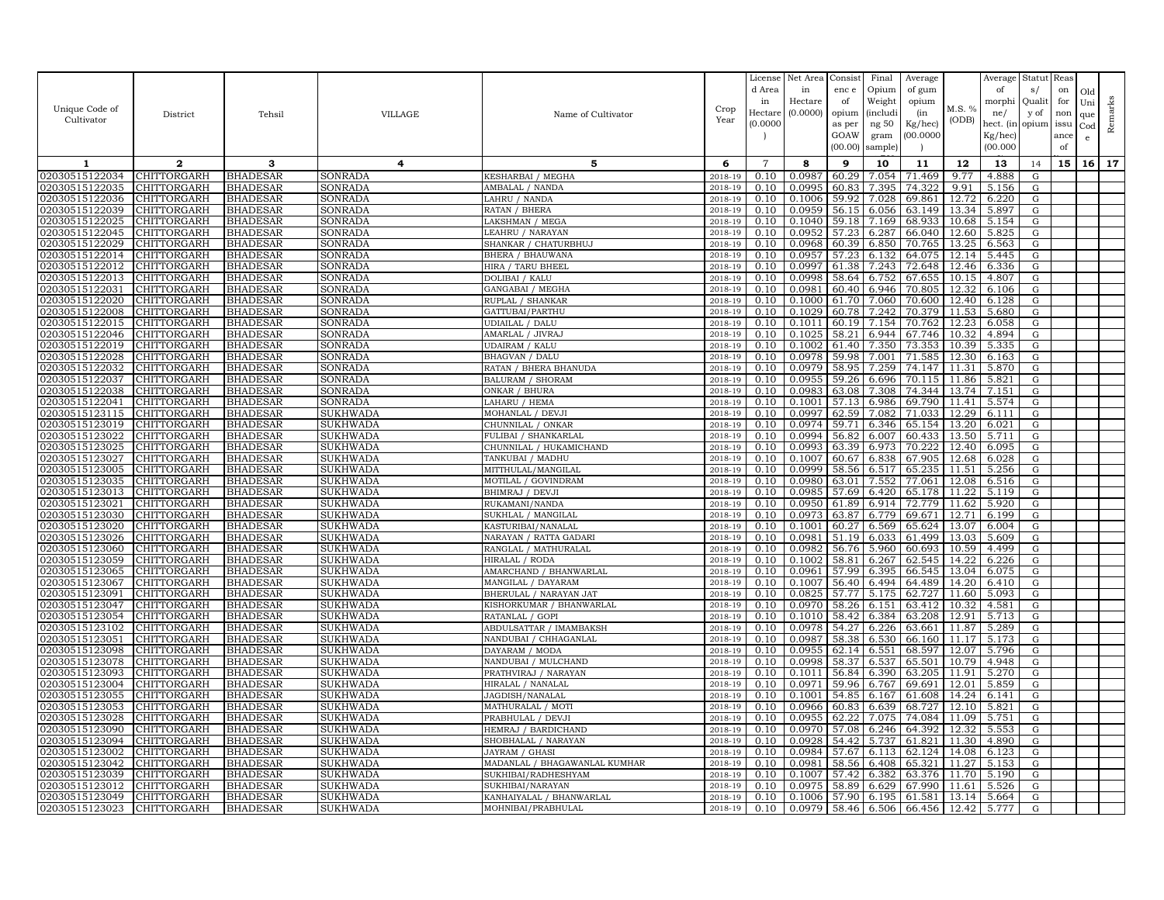|                                  |                            |                                    |                                    |                                                  |                    | License        | Net Area         | Consist         | Final           | Average          |                | Average             | Statut           | Reas       |                 |         |
|----------------------------------|----------------------------|------------------------------------|------------------------------------|--------------------------------------------------|--------------------|----------------|------------------|-----------------|-----------------|------------------|----------------|---------------------|------------------|------------|-----------------|---------|
|                                  |                            |                                    |                                    |                                                  |                    | d Area<br>in   | in<br>Hectare    | enc e<br>of     | Opium<br>Weight | of gum<br>opium  |                | of<br>morphi        | s/<br>Quali      | on<br>for  | Old<br>Uni      |         |
| Unique Code of                   | District                   | Tehsil                             | VILLAGE                            | Name of Cultivator                               | Crop               | Hectare        | (0.0000)         | opium           | <i>(includi</i> | (in              | M.S. %         | ne/                 | y of             | non        | que             | Remarks |
| Cultivator                       |                            |                                    |                                    |                                                  | Year               | (0.0000)       |                  | as per          | ng 50           | Kg/hec)          | (ODB)          | hect. (in           | opium            | issu       | Cod             |         |
|                                  |                            |                                    |                                    |                                                  |                    |                |                  | GOAW<br>(00.00) | gram<br>sample) | 00.000C          |                | Kg/hec)<br>(00.000) |                  | ance<br>of | $\mathbf{e}$    |         |
|                                  | $\mathbf{2}$               | 3                                  |                                    | 5                                                | 6                  | $\overline{7}$ | 8                | 9               |                 |                  | 12             |                     |                  |            |                 | 17      |
| 1<br>02030515122034              | <b>CHITTORGARH</b>         | <b>BHADESAR</b>                    | 4<br>SONRADA                       | KESHARBAI / MEGHA                                | 2018-19            | 0.10           | 0.0987           | 60.29           | 10<br>7.054     | 11<br>71.469     | 9.77           | 13<br>4.888         | 14<br>${\rm G}$  | 15         | 16 <sup>1</sup> |         |
| 02030515122035                   | CHITTORGARH                | <b>BHADESAR</b>                    | <b>SONRADA</b>                     | AMBALAL / NANDA                                  | 2018-19            | 0.10           | 0.0995           | 60.83           | 7.395           | 74.322           | 9.91           | 5.156               | ${\rm G}$        |            |                 |         |
| 02030515122036                   | CHITTORGARH                | <b>BHADESAR</b>                    | SONRADA                            | LAHRU / NANDA                                    | 2018-19            | 0.10           | 0.1006           | 59.92           | 7.028           | 69.861           | 12.72          | 6.220               | G                |            |                 |         |
| 02030515122039                   | CHITTORGARH                | <b>BHADESAR</b>                    | SONRADA                            | RATAN / BHERA                                    | 2018-19            | 0.10           | 0.0959           | 56.15           | 6.056           | 63.149           | 13.34          | 5.897               | ${\rm G}$        |            |                 |         |
| 02030515122025                   | CHITTORGARH                | <b>BHADESAR</b>                    | SONRADA                            | LAKSHMAN / MEGA                                  | 2018-19            | 0.10           | 0.1040           | 59.18           | 7.169           | 68.933           | 10.68          | 5.154               | G                |            |                 |         |
| 02030515122045                   | CHITTORGARH                | <b>BHADESAR</b>                    | <b>SONRADA</b>                     | LEAHRU / NARAYAN                                 | 2018-19            | 0.10           | 0.0952           | 57.23           | 6.287           | 66.040           | 12.60          | 5.825               | ${\rm G}$        |            |                 |         |
| 02030515122029                   | CHITTORGARH                | <b>BHADESAR</b>                    | SONRADA                            | SHANKAR / CHATURBHUJ                             | 2018-19            | 0.10           | 0.0968           | 60.39           | 6.850           | 70.765           | 13.25          | 6.563               | G                |            |                 |         |
| 02030515122014                   | CHITTORGARH                | <b>BHADESAR</b>                    | SONRADA                            | BHERA / BHAUWANA                                 | 2018-19            | 0.10           | 0.0957           | 57.23           | 6.132           | 64.075           | 12.14          | 5.445               | G                |            |                 |         |
| 02030515122012<br>02030515122013 | CHITTORGARH<br>CHITTORGARH | <b>BHADESAR</b>                    | SONRADA                            | HIRA / TARU BHEEL                                | 2018-19            | 0.10<br>0.10   | 0.0997<br>0.0998 | 61.38<br>58.64  | 7.243           | 72.648<br>67.655 | 12.46<br>10.15 | 6.336<br>4.807      | G                |            |                 |         |
| 02030515122031                   | <b>CHITTORGARH</b>         | <b>BHADESAR</b><br><b>BHADESAR</b> | <b>SONRADA</b><br>SONRADA          | DOLIBAI / KALU<br>GANGABAI / MEGHA               | 2018-19<br>2018-19 | 0.10           | 0.0981           | 60.40           | 6.752<br>6.946  | 70.805           | 12.32          | 6.106               | ${\rm G}$<br>G   |            |                 |         |
| 02030515122020                   | CHITTORGARH                | <b>BHADESAR</b>                    | SONRADA                            | RUPLAL / SHANKAR                                 | 2018-19            | 0.10           | 0.1000           | 61.70           | 7.060           | 70.600           | 12.40          | 6.128               | ${\rm G}$        |            |                 |         |
| 02030515122008                   | CHITTORGARH                | <b>BHADESAR</b>                    | <b>SONRADA</b>                     | GATTUBAI/PARTHU                                  | 2018-19            | 0.10           | 0.1029           | 60.78           | 7.242           | 70.379           | 11.53          | 5.680               | ${\rm G}$        |            |                 |         |
| 02030515122015                   | CHITTORGARH                | <b>BHADESAR</b>                    | SONRADA                            | <b>UDIAILAL / DALU</b>                           | 2018-19            | 0.10           | 0.1011           | 60.19           | 7.154           | 70.762           | 12.23          | 6.058               | G                |            |                 |         |
| 02030515122046                   | CHITTORGARH                | <b>BHADESAR</b>                    | SONRADA                            | AMARLAL / JIVRAJ                                 | 2018-19            | 0.10           | 0.1025           | 58.21           | 6.944           | 67.746           | 10.32          | 4.894               | G                |            |                 |         |
| 02030515122019                   | CHITTORGARH                | <b>BHADESAR</b>                    | SONRADA                            | <b>UDAIRAM / KALU</b>                            | 2018-19            | 0.10           | 0.1002           | 61.40           | 7.350           | 73.353           | 10.39          | 5.335               | G                |            |                 |         |
| 02030515122028                   | CHITTORGARH                | <b>BHADESAR</b>                    | SONRADA                            | <b>BHAGVAN / DALU</b>                            | $2018 - 1$         | 0.10           | 0.0978           | 59.98           | 7.001           | 71.585           | 12.30          | 6.163               | ${\rm G}$        |            |                 |         |
| 02030515122032                   | <b>CHITTORGARH</b>         | <b>BHADESAR</b>                    | SONRADA                            | RATAN / BHERA BHANUDA                            | 2018-19            | 0.10           | 0.0979           | 58.95           | 7.259           | 74.147           | 11.31          | 5.870               | G                |            |                 |         |
| 02030515122037                   | CHITTORGARH                | <b>BHADESAR</b>                    | <b>SONRADA</b>                     | <b>BALURAM / SHORAM</b>                          | 2018-19            | 0.10           | 0.0955           | 59.26           | 6.696           | 70.115           | 11.86          | 5.821               | ${\rm G}$        |            |                 |         |
| 02030515122038<br>02030515122041 | CHITTORGARH<br>CHITTORGARH | <b>BHADESAR</b><br><b>BHADESAR</b> | SONRADA<br><b>SONRADA</b>          | ONKAR / BHURA<br>LAHARU / HEMA                   | 2018-19<br>2018-19 | 0.10<br>0.10   | 0.0983<br>0.1001 | 63.08<br>57.13  | 7.308<br>6.986  | 74.344<br>69.790 | 13.74<br>11.41 | 7.151<br>5.574      | G<br>$\mathbf G$ |            |                 |         |
| 02030515123115                   | CHITTORGARH                | <b>BHADESAR</b>                    | <b>SUKHWADA</b>                    | MOHANLAL / DEVJI                                 | 2018-19            | 0.10           | 0.0997           | 62.59           | 7.082           | 71.033           | 12.29          | 6.111               | G                |            |                 |         |
| 02030515123019                   | CHITTORGARH                | <b>BHADESAR</b>                    | SUKHWADA                           | CHUNNILAL / ONKAR                                | 2018-19            | 0.10           | 0.0974           | 59.71           | 6.346           | 65.154           | 13.20          | 6.021               | G                |            |                 |         |
| 02030515123022                   | CHITTORGARH                | <b>BHADESAR</b>                    | SUKHWADA                           | FULIBAI / SHANKARLAI                             | 2018-19            | 0.10           | 0.0994           | 56.82           | 6.007           | 60.433           | 13.50          | 5.711               | G                |            |                 |         |
| 02030515123025                   | CHITTORGARH                | <b>BHADESAR</b>                    | <b>SUKHWADA</b>                    | CHUNNILAL / HUKAMICHAND                          | 2018-19            | 0.10           | 0.0993           | 63.39           | 6.973           | 70.222           | 12.40          | 6.095               | G                |            |                 |         |
| 02030515123027                   | CHITTORGARH                | <b>BHADESAR</b>                    | SUKHWADA                           | TANKUBAI / MADHU                                 | 2018-19            | 0.10           | 0.1007           | 60.67           | 6.838           | 67.905           | 12.68          | 6.028               | ${\rm G}$        |            |                 |         |
| 02030515123005                   | CHITTORGARH                | <b>BHADESAR</b>                    | SUKHWADA                           | MITTHULAL/MANGILA                                | 2018-19            | 0.10           | 0.0999           | 58.56           | 6.517           | 65.235           | 11.51          | 5.256               | G                |            |                 |         |
| 02030515123035                   | CHITTORGARH                | <b>BHADESAR</b>                    | SUKHWADA                           | MOTILAL / GOVINDRAM                              | 2018-19            | 0.10           | 0.0980           | 63.01           | 7.552           | 77.061           | 12.08          | 6.516               | ${\rm G}$        |            |                 |         |
| 02030515123013                   | <b>CHITTORGARH</b>         | <b>BHADESAR</b>                    | SUKHWADA                           | BHIMRAJ / DEVJI                                  | 2018-19            | 0.10           | 0.0985           | 57.69           | 6.420           | 65.178           | 11.22          | 5.119               | G                |            |                 |         |
| 02030515123021                   | CHITTORGARH                | <b>BHADESAR</b>                    | SUKHWADA                           | RUKAMANI/NANDA                                   | 2018-19            | 0.10           | 0.0950           | 61.89           | 6.914           | 72.779           | 11.62          | 5.920               | ${\rm G}$        |            |                 |         |
| 02030515123030<br>02030515123020 | CHITTORGARH<br>CHITTORGARH | <b>BHADESAR</b><br><b>BHADESAR</b> | <b>SUKHWADA</b><br><b>SUKHWADA</b> | SUKHLAL / MANGILAL<br>KASTURIBAI/NANALAL         | 2018-19<br>2018-19 | 0.10<br>0.10   | 0.0973<br>0.1001 | 63.87<br>60.27  | 6.779<br>6.569  | 69.671<br>65.624 | 12.71<br>13.07 | 6.199<br>6.004      | ${\rm G}$<br>G   |            |                 |         |
| 02030515123026                   | CHITTORGARH                | <b>BHADESAR</b>                    | SUKHWADA                           | NARAYAN / RATTA GADARI                           | 2018-19            | 0.10           | 0.0981           | 51.19           | 6.033           | 61.499           | 13.03          | 5.609               | ${\rm G}$        |            |                 |         |
| 02030515123060                   | CHITTORGARH                | <b>BHADESAR</b>                    | SUKHWADA                           | RANGLAL / MATHURALAL                             | 2018-19            | 0.10           | 0.0982           | 56.76           | 5.960           | 60.693           | 10.59          | 4.499               | G                |            |                 |         |
| 02030515123059                   | CHITTORGARH                | <b>BHADESAR</b>                    | <b>SUKHWADA</b>                    | HIRALAL / RODA                                   | 2018-19            | 0.10           | 0.1002           | 58.81           | 6.267           | 62.545           | 14.22          | 6.226               | G                |            |                 |         |
| 02030515123065                   | CHITTORGARH                | <b>BHADESAR</b>                    | SUKHWADA                           | AMARCHAND / BHANWARLAL                           | 2018-19            | 0.10           | 0.0961           | 57.99           | 6.395           | 66.545           | 13.04          | 6.075               | G                |            |                 |         |
| 02030515123067                   | CHITTORGARH                | <b>BHADESAR</b>                    | SUKHWADA                           | MANGILAL / DAYARAM                               | 2018-19            | 0.10           | 0.1007           | 56.40           | 6.494           | 64.489           | 14.20          | 6.410               | ${\rm G}$        |            |                 |         |
| 02030515123091                   | CHITTORGARH                | <b>BHADESAR</b>                    | <b>SUKHWADA</b>                    | BHERULAL / NARAYAN JAT                           | 2018-19            | 0.10           | 0.0825           | 57.77           | 5.175           | 62.727           | 11.60          | 5.093               | G                |            |                 |         |
| 02030515123047                   | CHITTORGARH                | <b>BHADESAR</b>                    | SUKHWADA                           | KISHORKUMAR / BHANWARLAL                         | 2018-19            | 0.10           | 0.0970           | 58.26           | 6.151           | 63.412           | 10.32          | 4.581               | G                |            |                 |         |
| 02030515123054                   | <b>CHITTORGARH</b>         | <b>BHADESAR</b>                    | SUKHWADA                           | RATANLAL / GOPI                                  | 2018-19            | 0.10           | 0.1010           | 58.42<br>54.27  | 6.384           | 63.208           | 12.91          | 5.713               | G                |            |                 |         |
| 02030515123102<br>02030515123051 | CHITTORGARH<br>CHITTORGARH | <b>BHADESAR</b><br><b>BHADESAR</b> | SUKHWADA<br>SUKHWADA               | ABDULSATTAR / IMAMBAKSH<br>NANDUBAI / CHHAGANLAL | 2018-19<br>2018-19 | 0.10<br>0.10   | 0.0978<br>0.0987 | 58.38           | 6.226<br>6.530  | 63.661<br>66.160 | 11.87<br>11.17 | 5.289<br>5.173      | G<br>${\rm G}$   |            |                 |         |
| 02030515123098                   | CHITTORGARH                | <b>BHADESAR</b>                    | SUKHWADA                           | DAYARAM / MODA                                   | 2018-19            | 0.10           | 0.0955           | 62.14           | 6.551           | 68.597           | 12.07          | 5.796               | ${\rm G}$        |            |                 |         |
| 02030515123078                   | CHITTORGARH                | <b>BHADESAR</b>                    | SUKHWADA                           | NANDUBAI / MULCHAND                              | 2018-19            | 0.10           | 0.0998           | 58.37           | 6.537           | 65.501           | 10.79          | 4.948               | ${\rm G}$        |            |                 |         |
| 02030515123093                   | CHITTORGARH                | <b>BHADESAR</b>                    | SUKHWADA                           | PRATHVIRAJ / NARAYAN                             | 2018-19            | 0.10           | 0.1011           | 56.84           | 6.390           | 63.205           | 11.91          | 5.270               | G                |            |                 |         |
| 02030515123004                   | CHITTORGARH                | <b>BHADESAR</b>                    | SUKHWADA                           | HIRALAL / NANALAI                                | $2018 - 1$         | 0.10           | 0.0971           | 59.96           | 6.767           | 69.691           | 12.01          | 5.859               | ${\rm G}$        |            |                 |         |
| 02030515123055                   | <b>CHITTORGARH</b>         | <b>BHADESAR</b>                    | SUKHWADA                           | JAGDISH/NANALAL                                  | 2018-19            | 0.10           | 0.1001           | 54.85           | 6.167           | 61.608           | 14.24          | 6.141               | G                |            |                 |         |
| 02030515123053                   | CHITTORGARH                | <b>BHADESAR</b>                    | <b>SUKHWADA</b>                    | MATHURALAL / MOTI                                | 2018-19            | 0.10           | 0.0966           | 60.83           | 6.639           | 68.727           | 12.10          | 5.821               | G                |            |                 |         |
| 02030515123028                   | CHITTORGARH                | <b>BHADESAR</b>                    | <b>SUKHWADA</b>                    | PRABHULAL / DEVJI                                | 2018-19            | 0.10           | 0.0955           | 62.22           | 7.075           | 74.084           | 11.09          | 5.751               | G                |            |                 |         |
| 02030515123090                   | CHITTORGARH                | <b>BHADESAR</b>                    | <b>SUKHWADA</b>                    | HEMRAJ / BARDICHAND                              | 2018-19            | 0.10           | 0.0970           | 57.08           | 6.246           | 64.392           | 12.32          | 5.553               | G                |            |                 |         |
| 02030515123094<br>02030515123002 | CHITTORGARH<br>CHITTORGARH | <b>BHADESAR</b><br><b>BHADESAR</b> | <b>SUKHWADA</b><br>SUKHWADA        | SHOBHALAL / NARAYAN<br>JAYRAM / GHASI            | 2018-19<br>2018-19 | 0.10<br>0.10   | 0.0928<br>0.0984 | 54.42<br>57.67  | 5.737<br>6.113  | 61.821<br>62.124 | 11.30<br>14.08 | 4.890<br>6.123      | G<br>G           |            |                 |         |
| 02030515123042                   | CHITTORGARH                | <b>BHADESAR</b>                    | <b>SUKHWADA</b>                    | MADANLAL / BHAGAWANLAL KUMHAR                    | 2018-19            | 0.10           | 0.0981           | 58.56           | 6.408           | 65.321           | 11.27          | 5.153               | G                |            |                 |         |
| 02030515123039                   | CHITTORGARH                | <b>BHADESAR</b>                    | SUKHWADA                           | SUKHIBAI/RADHESHYAM                              | 2018-19            | 0.10           | 0.1007           | 57.42           | 6.382           | 63.376           | 11.70          | 5.190               | G                |            |                 |         |
| 02030515123012                   | CHITTORGARH                | <b>BHADESAR</b>                    | SUKHWADA                           | SUKHIBAI/NARAYAN                                 | 2018-19            | 0.10           | 0.0975           | 58.89           | 6.629           | 67.990           | 11.61          | 5.526               | G                |            |                 |         |
| 02030515123049                   | <b>CHITTORGARH</b>         | <b>BHADESAR</b>                    | <b>SUKHWADA</b>                    | KANHAIYALAL / BHANWARLAL                         | 2018-19            | 0.10           | 0.1006           | 57.90           | 6.195           | 61.581           | 13.14          | 5.664               | G                |            |                 |         |
| 02030515123023                   | <b>CHITTORGARH</b>         | <b>BHADESAR</b>                    | <b>SUKHWADA</b>                    | MOHNIBAI/PRABHULAL                               | 2018-19            | 0.10           | 0.0979           | 58.46           | 6.506           | 66.456           | 12.42          | 5.777               | G                |            |                 |         |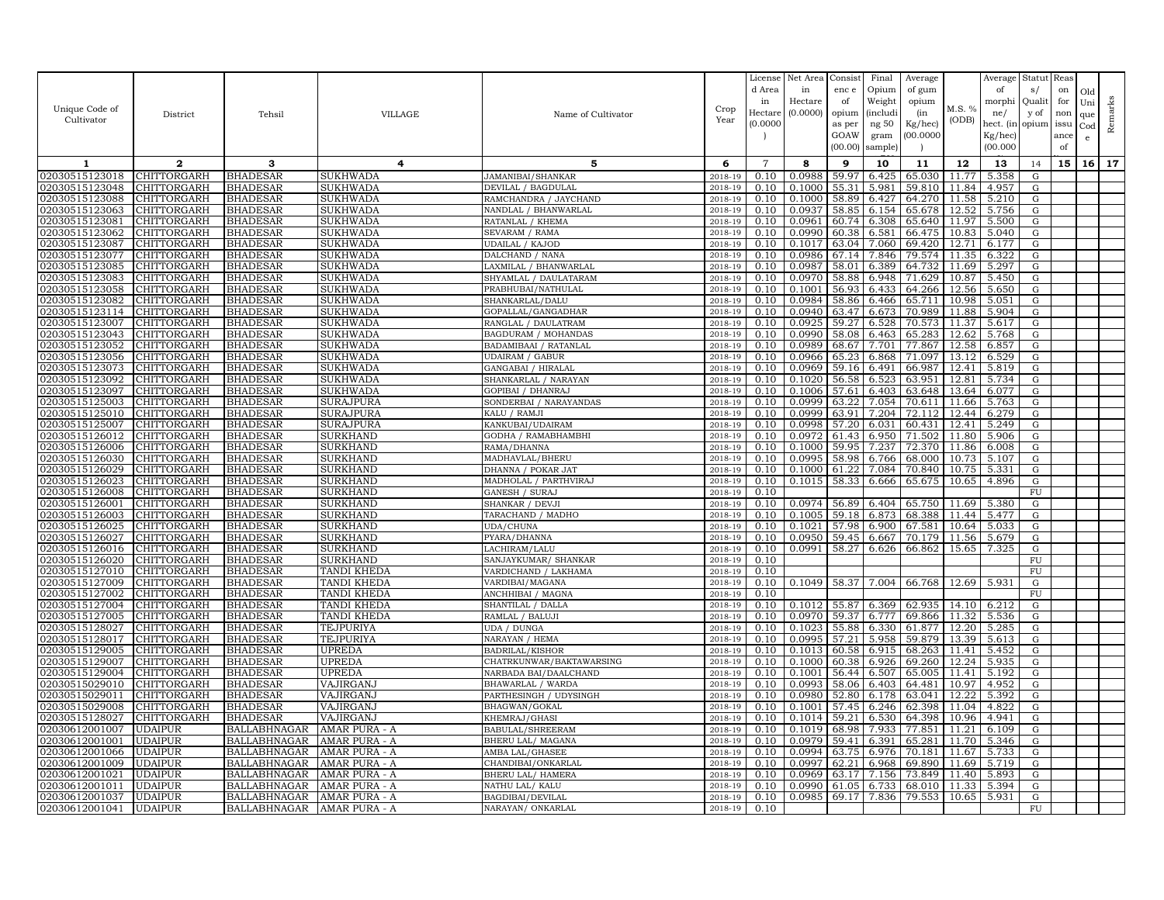|                                  |                            |                             |                             |                                             |                    | License        | Net Area         | Consist        | Final          | Average          |                | Average        | Statut Reas |      |              |         |
|----------------------------------|----------------------------|-----------------------------|-----------------------------|---------------------------------------------|--------------------|----------------|------------------|----------------|----------------|------------------|----------------|----------------|-------------|------|--------------|---------|
|                                  |                            |                             |                             |                                             |                    | d Area         | in               | enc e          | Opium          | of gum           |                | of             | s/          | on   | Old          |         |
|                                  |                            |                             |                             |                                             |                    | in             | Hectare          | of             | Weight         | opium            |                | morphi         | Qualit      | for  | Uni          |         |
| Unique Code of                   | District                   | Tehsil                      | VILLAGE                     | Name of Cultivator                          | Crop               | Hectar         | (0.0000)         | opium          | (includ:       | (in              | M.S. %         | ne/            | y of        | non  | que          |         |
| Cultivator                       |                            |                             |                             |                                             | Year               | (0.0000)       |                  | as per         | ng 50          | Kg/hec)          | (ODB)          | hect. (in      | opium issu  |      | $_{\rm Cod}$ | Remarks |
|                                  |                            |                             |                             |                                             |                    |                |                  | GOAW           | gram           | 00.0000          |                | Kg/hec)        |             | ance | e            |         |
|                                  |                            |                             |                             |                                             |                    |                |                  | (00.00)        | sample)        |                  |                | (00.000)       |             | of   |              |         |
| 1                                | $\mathbf{2}$               | 3                           | 4                           | 5                                           | 6                  | $\overline{7}$ | 8                | 9              | 10             | 11               | 12             | 13             | 14          | 15   | 16           | 17      |
| 02030515123018                   | CHITTORGARH                | <b>BHADESAR</b>             | <b>SUKHWADA</b>             | <b>JAMANIBAI/SHANKAR</b>                    | 2018-19            | 0.10           | 0.0988           | 59.97          | 6.425          | 65.030           | 11.77          | 5.358          | G           |      |              |         |
| 02030515123048                   | CHITTORGARH                | <b>BHADESAR</b>             | SUKHWADA                    | DEVILAL / BAGDULAI                          | 2018-19            | 0.10           | 0.1000           | 55.31          | 5.981          | 59.810           | 11.84          | 4.957          | G           |      |              |         |
| 02030515123088                   | CHITTORGARH                | BHADESAR                    | <b>SUKHWADA</b>             | RAMCHANDRA / JAYCHAND                       | 2018-19            | 0.10           | 0.1000           | 58.89          | 6.427          | 64.270           | 11.58          | 5.210          | G           |      |              |         |
| 02030515123063                   | CHITTORGARH                | BHADESAR                    | <b>SUKHWADA</b>             | NANDLAL / BHANWARLAL                        | 2018-19            | 0.10           | 0.0937           | 58.85          | 6.154          | 65.678           | 12.52          | 5.756          | G           |      |              |         |
| 02030515123081                   | CHITTORGARH                | BHADESAR                    | SUKHWADA                    | RATANLAL / KHEMA                            | 2018-19            | 0.10           | 0.0961           | 60.74          | 6.308          | 65.640           | 11.97          | 5.500          | G           |      |              |         |
| 02030515123062                   | CHITTORGARH                | <b>BHADESAR</b>             | <b>SUKHWADA</b>             | SEVARAM / RAMA                              | 2018-19            | 0.10           | 0.0990           | 60.38          | 6.581          | 66.475           | 10.83          | 5.040          | G           |      |              |         |
| 02030515123087                   | CHITTORGARH                | <b>BHADESAR</b>             | <b>SUKHWADA</b>             | UDAILAL / KAJOD                             | 2018-19            | 0.10           | 0.1017           | 63.04          | 7.060          | 69.420           | 12.71          | 6.177          | G           |      |              |         |
| 02030515123077                   | CHITTORGARH                | BHADESAR                    | SUKHWADA                    | DALCHAND / NANA                             | 2018-19            | 0.10           | 0.0986           | 67.14          | 7.846          | 79.574           | 11.35          | 6.322          | G           |      |              |         |
| 02030515123085                   | CHITTORGARH                | BHADESAR                    | SUKHWADA                    | LAXMILAL / BHANWARLAL                       | 2018-19            | 0.10           | 0.0987           | 58.01          | 6.389          | 64.732           | 11.69          | 5.297          | G           |      |              |         |
| 02030515123083                   | CHITTORGARH                | BHADESAR                    | <b>SUKHWADA</b>             | SHYAMLAL / DAULATARAM                       | 2018-19            | 0.10           | 0.0970           | 58.88          | 6.948          | 71.629           | 10.87          | 5.450          | G           |      |              |         |
| 02030515123058                   | CHITTORGARH                | BHADESAR                    | <b>SUKHWADA</b>             | PRABHUBAI/NATHULAL                          | 2018-19            | 0.10           | 0.1001           | 56.93          | 6.433          | 64.266           | 12.56          | 5.650          | G           |      |              |         |
| 02030515123082                   | CHITTORGARH                | BHADESAR                    | <b>SUKHWADA</b>             | SHANKARLAL/DALU                             | 2018-19            | 0.10           | 0.0984           | 58.86          | 6.466          | 65.711           | 10.98          | 5.051          | G           |      |              |         |
| 02030515123114                   | CHITTORGARH                | BHADESAR                    | <b>SUKHWADA</b>             | GOPALLAL/GANGADHAR                          | 2018-19            | 0.10           | 0.0940           | 63.47          | 6.673          | 70.989           | 11.88          | 5.904          | G           |      |              |         |
| 02030515123007                   | CHITTORGARH                | BHADESAR                    | <b>SUKHWADA</b>             | RANGLAL / DAULATRAM                         | 2018-19            | 0.10           | 0.0925           | 59.27          | 6.528          | 70.573           | 11.37          | 5.617          | G           |      |              |         |
| 02030515123043                   | CHITTORGARH                | BHADESAR                    | <b>SUKHWADA</b>             | BAGDURAM / MOHANDAS                         | 2018-19            | 0.10           | 0.0990           | 58.08          | 6.463          | 65.283           | 12.62          | 5.768          | G           |      |              |         |
| 02030515123052                   | CHITTORGARH                | BHADESAR                    | <b>SUKHWADA</b>             | BADAMIBAAI / RATANLAL                       | 2018-19            | 0.10           | 0.0989           | 68.67          | 7.701          | 77.867           | 12.58          | 6.857          | G           |      |              |         |
| 02030515123056                   | <b>CHITTORGARH</b>         | BHADESAR                    | <b>SUKHWADA</b>             | UDAIRAM / GABUR                             | 2018-19            | 0.10           | 0.0966           | 65.23          | 6.868          | 71.097           | 13.12          | 6.529          | G           |      |              |         |
| 02030515123073                   | CHITTORGARH                | <b>BHADESAR</b>             | SUKHWADA                    | GANGABAI / HIRALAL                          | 2018-19            | 0.10           | 0.0969           | 59.16          | 6.491          | 66.987           | 12.41          | 5.819          | G           |      |              |         |
| 02030515123092                   | CHITTORGARH                | BHADESAR                    | <b>SUKHWADA</b>             | SHANKARLAL / NARAYAN                        | 2018-19            | 0.10           | 0.1020           | 56.58          | 6.523          | 63.951           | 12.81          | 5.734          | G           |      |              |         |
| 02030515123097                   | CHITTORGARH                | BHADESAR                    | SUKHWADA                    | GOPIBAI / DHANRAJ                           | 2018-19            | 0.10           | 0.1006           | 57.61          | 6.403          | 63.648           | 13.64          | 6.077          | G           |      |              |         |
| 02030515125003                   | CHITTORGARH                | BHADESAR                    | <b>SURAJPURA</b>            | SONDERBAI / NARAYANDAS                      | 2018-19            | 0.10           | 0.0999           | 63.22          | 7.054          | 70.611           | 11.66          | 5.763          | ${\rm G}$   |      |              |         |
| 02030515125010                   | CHITTORGARH                | <b>BHADESAR</b>             | <b>SURAJPURA</b>            | KALU / RAMJI                                | 2018-19            | 0.10           | 0.0999           | 63.91          | 7.204          | 72.112           | 12.44          | 6.279          | G           |      |              |         |
| 02030515125007                   | CHITTORGARH                | BHADESAR                    | <b>SURAJPURA</b>            | KANKUBAI/UDAIRAM                            | 2018-19            | 0.10           | 0.0998           | 57.20          | 6.031          | 60.431           | 12.41          | 5.249          | G           |      |              |         |
| 02030515126012                   | CHITTORGARH                | BHADESAR                    | <b>SURKHAND</b>             | GODHA / RAMABHAMBHI                         | 2018-19            | 0.10           | 0.0972           | 61.43          | 6.950          | 71.502           | 11.80          | 5.906          | G           |      |              |         |
| 02030515126006                   | CHITTORGARH                | BHADESAR                    | SURKHAND                    | RAMA/DHANNA                                 | 2018-19            | 0.10           | 0.1000           | 59.9           | 7.237          | 72.370           | 11.86          | 6.008          | $\mathbf G$ |      |              |         |
| 02030515126030<br>02030515126029 | CHITTORGARH                | BHADESAR                    | <b>SURKHAND</b>             | MADHAVLAL/BHERU                             | 2018-19            | 0.10<br>0.10   | 0.0995<br>0.1000 | 58.98<br>61.22 | 6.766          | 68.000<br>70.840 | 10.73<br>10.75 | 5.107<br>5.331 | G           |      |              |         |
| 02030515126023                   | CHITTORGARH<br>CHITTORGARH | BHADESAR<br>BHADESAR        | SURKHAND<br><b>SURKHAND</b> | DHANNA / POKAR JAT<br>MADHOLAL / PARTHVIRAJ | 2018-19<br>2018-19 | 0.10           | 0.1015           | 58.33          | 7.084<br>6.666 | 65.675           | 10.65          | 4.896          | G<br>G      |      |              |         |
| 02030515126008                   | CHITTORGARH                | <b>BHADESAR</b>             | SURKHAND                    | GANESH / SURAJ                              | 2018-19            | 0.10           |                  |                |                |                  |                |                | FU          |      |              |         |
| 02030515126001                   | CHITTORGARH                | BHADESAR                    | <b>SURKHAND</b>             | SHANKAR / DEVJI                             | 2018-19            | 0.10           | 0.0974           | 56.89          | 6.404          | 65.750           | 11.69          | 5.380          | G           |      |              |         |
| 02030515126003                   | CHITTORGARH                | <b>BHADESAR</b>             | <b>SURKHAND</b>             | TARACHAND / MADHO                           | 2018-19            | 0.10           | 0.1005           | 59.18          | 6.873          | 68.388           | 11.44          | 5.477          | G           |      |              |         |
| 02030515126025                   | CHITTORGARH                | BHADESAR                    | <b>SURKHAND</b>             | UDA/CHUNA                                   | 2018-19            | 0.10           | 0.1021           | 57.98          | 6.900          | 67.581           | 10.64          | 5.033          | ${\rm G}$   |      |              |         |
| 02030515126027                   | CHITTORGARH                | BHADESAR                    | <b>SURKHAND</b>             | PYARA/DHANNA                                | 2018-19            | 0.10           | 0.0950           | 59.45          | 6.667          | 70.179           | 11.56          | 5.679          | G           |      |              |         |
| 02030515126016                   | CHITTORGARH                | BHADESAR                    | <b>SURKHAND</b>             | LACHIRAM/LALU                               | 2018-19            | 0.10           | 0.0991           | 58.27          | 6.626          | 66.862           | 15.65          | 7.325          | G           |      |              |         |
| 02030515126020                   | CHITTORGARH                | BHADESAR                    | <b>SURKHAND</b>             | SANJAYKUMAR/ SHANKAR                        | 2018-19            | 0.10           |                  |                |                |                  |                |                | ${\rm FU}$  |      |              |         |
| 02030515127010                   | CHITTORGARH                | BHADESAR                    | TANDI KHEDA                 | VARDICHAND / LAKHAMA                        | 2018-19            | 0.10           |                  |                |                |                  |                |                | ${\rm FU}$  |      |              |         |
| 02030515127009                   | CHITTORGARH                | <b>BHADESAR</b>             | <b>TANDI KHEDA</b>          | VARDIBAI/MAGANA                             | 2018-19            | 0.10           | 0.1049           | 58.37          | 7.004          | 66.768           | 12.69          | 5.931          | G           |      |              |         |
| 02030515127002                   | CHITTORGARH                | BHADESAR                    | TANDI KHEDA                 | ANCHHIBAI / MAGNA                           | 2018-19            | 0.10           |                  |                |                |                  |                |                | FU          |      |              |         |
| 02030515127004                   | CHITTORGARH                | BHADESAR                    | TANDI KHEDA                 | SHANTILAL / DALLA                           | 2018-19            | 0.10           | 0.1012           | 55.87          | 6.369          | 62.935           | 14.10          | 6.212          | G           |      |              |         |
| 02030515127005                   | CHITTORGARH                | <b>BHADESAR</b>             | TANDI KHEDA                 | RAMLAL / BALUJI                             | 2018-19            | 0.10           | 0.0970           | 59.37          | 6.777          | 69.866           | 11.32          | 5.536          | G           |      |              |         |
| 02030515128027                   | CHITTORGARH                | BHADESAR                    | TEJPURIYA                   | UDA / DUNGA                                 | 2018-19            | 0.10           | 0.1023           | 55.88          | 6.330          | 61.877           | 12.20          | 5.285          | G           |      |              |         |
| 02030515128017                   | CHITTORGARH                | BHADESAR                    | TEJPURIYA                   | NARAYAN / HEMA                              | 2018-19            | 0.10           | 0.0995           | 57.21          | 5.958          | 59.879           | 13.39          | 5.613          | G           |      |              |         |
| 02030515129005                   | CHITTORGARH                | <b>BHADESAR</b>             | <b>UPREDA</b>               | BADRILAL/KISHOR                             | 2018-19            | 0.10           | 0.1013           | 60.58          | 6.915          | 68.263           | 11.41          | 5.452          | G           |      |              |         |
| 02030515129007                   | CHITTORGARH                | BHADESAR                    | <b>UPREDA</b>               | CHATRKUNWAR/BAKTAWARSING                    | 2018-19            | 0.10           | 0.1000           | 60.38          | 6.926          | 69.260           | 12.24          | 5.935          | G           |      |              |         |
| 02030515129004                   | CHITTORGARH                | BHADESAR                    | <b>UPREDA</b>               | NARBADA BAI/DAALCHAND                       | 2018-19            | 0.10           | 0.1001           | 56.44          | 6.507          | 65.005           | 11.41          | 5.192          | G           |      |              |         |
| 02030515029010                   | CHITTORGARH                | BHADESAR                    | VAJIRGANJ                   | BHAWARLAL / WARDA                           | 2018-19            | 0.10           | 0.0993           | 58.06<br>52.80 | 6.403          | 64.481           | 10.97          | 4.952<br>5.392 | G           |      |              |         |
| 0203051502901                    | CHITTORGARH                | <b>BHADESAR</b>             | VAJIRGANJ                   | PARTHESINGH / UDYSINGH                      | 2018-19            | 0.10           | 0.0980           |                | 6.178          | 63.041           | 12.22          |                | G           |      |              |         |
| 02030515029008<br>02030515128027 | CHITTORGARH<br>CHITTORGARH | BHADESAR<br><b>BHADESAR</b> | VAJIRGANJ<br>VAJIRGANJ      | BHAGWAN/GOKAL<br>KHEMRAJ/GHASI              | 2018-19<br>2018-19 | 0.10<br>0.10   | 0.1001<br>0.1014 | 57.45<br>59.21 | 6.246<br>6.530 | 62.398<br>64.398 | 11.04<br>10.96 | 4.822<br>4.941 | G<br>G      |      |              |         |
| 02030612001007                   | UDAIPUR                    | BALLABHNAGAR                | AMAR PURA - A               | BABULAL/SHREERAM                            | 2018-19            | 0.10           | 0.1019           | 68.98          | 7.933          | 77.851           | 11.21          | 6.109          | G           |      |              |         |
| 02030612001001                   | UDAIPUR                    | BALLABHNAGAR                | AMAR PURA - A               | BHERU LAL/ MAGANA                           | 2018-19            | 0.10           | 0.0979           | 59.41          | 6.391          | 65.281           | 11.70          | 5.346          | G           |      |              |         |
| 02030612001066                   | UDAIPUR                    | <b>BALLABHNAGAR</b>         | AMAR PURA - A               | AMBA LAL/GHASEE                             | 2018-19            | 0.10           | 0.0994           | 63.75          | 6.976          | 70.181           | 11.67          | 5.733          | G           |      |              |         |
| 02030612001009                   | UDAIPUR                    | BALLABHNAGAR                | AMAR PURA - A               | CHANDIBAI/ONKARLAI                          | 2018-19            | 0.10           | 0.0997           | 62.21          | 6.968          | 69.890           | 11.69          | 5.719          | G           |      |              |         |
| 0203061200102                    | UDAIPUR                    | BALLABHNAGAR                | AMAR PURA - A               | BHERU LAL/ HAMERA                           | 2018-19            | 0.10           | 0.0969           | 63.17          | 7.156          | 73.849           | 11.40          | 5.893          | $\mathbf G$ |      |              |         |
| 02030612001011                   | UDAIPUR                    | BALLABHNAGAR                | AMAR PURA - A               | NATHU LAL/KALU                              | 2018-19            | 0.10           | 0.0990           | 61.05          | 6.733          | 68.010           | 11.33          | 5.394          | G           |      |              |         |
| 02030612001037                   | UDAIPUR                    | BALLABHNAGAR                | AMAR PURA - A               | BAGDIBAI/DEVILAL                            | 2018-19            | 0.10           | 0.0985           | 69.17          | 7.836          | 79.553           | 10.65          | 5.931          | G           |      |              |         |
| 02030612001041                   | <b>UDAIPUR</b>             | BALLABHNAGAR                | <b>AMAR PURA - A</b>        | NARAYAN/ ONKARLAL                           | 2018-19            | 0.10           |                  |                |                |                  |                |                | <b>FU</b>   |      |              |         |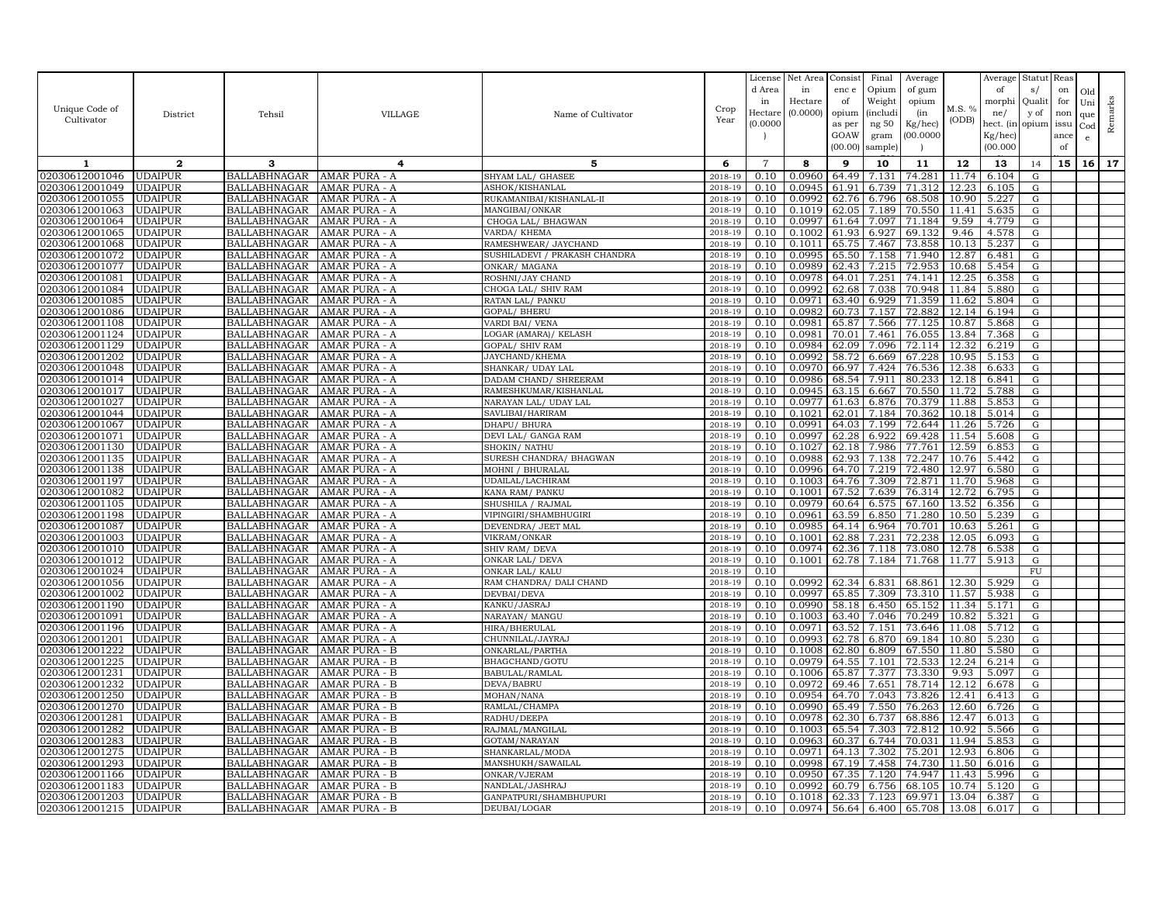|                                  |                                  |                                            |                                |                                      |                    | License        | Net Area         | Consist        | Final           | Average          |                | Average        | Statut    | Reas |              |         |
|----------------------------------|----------------------------------|--------------------------------------------|--------------------------------|--------------------------------------|--------------------|----------------|------------------|----------------|-----------------|------------------|----------------|----------------|-----------|------|--------------|---------|
|                                  |                                  |                                            |                                |                                      |                    | d Area         | in               | enc e          | Opium           | of gum           |                | of             | s/        | on   | Old          |         |
|                                  |                                  |                                            |                                |                                      |                    | in             | Hectare          | of             | Weight          | opium            |                | morphi         | Quali     | for  | Uni          |         |
| Unique Code of                   | District                         | Tehsil                                     | <b>VILLAGE</b>                 | Name of Cultivator                   | Crop               | Hectare        | (0.0000)         | opium          | <i>(includi</i> | (in              | M.S. %         | ne/            | y of      | non  | que          |         |
| Cultivator                       |                                  |                                            |                                |                                      | Year               | (0.0000)       |                  | as per         | ng 50           | Kg/hec)          | (ODB)          | hect. (in      | opium     | issu | $_{\rm Cod}$ | Remarks |
|                                  |                                  |                                            |                                |                                      |                    |                |                  | GOAW           | gram            | 00.0000          |                | Kg/hec)        |           | ance | e            |         |
|                                  |                                  |                                            |                                |                                      |                    |                |                  | (00.00)        | sample)         |                  |                | (00.000)       |           | of   |              |         |
| 1                                | $\mathbf{2}$                     | 3                                          | 4                              | 5                                    | 6                  | $\overline{7}$ | 8                | 9              | 10              | 11               | 12             | 13             | 14        | 15   | 16           | 17      |
| 02030612001046                   | <b>UDAIPUR</b>                   | <b>BALLABHNAGAR</b>                        | AMAR PURA - A                  | SHYAM LAL/ GHASEE                    | 2018-19            | 0.10           | 0.0960           | 64.49          | 7.131           | 74.281           | 11.74          | 6.104          | G         |      |              |         |
| 02030612001049                   | <b>UDAIPUR</b>                   | <b>BALLABHNAGAR</b>                        | AMAR PURA - A                  | ASHOK/KISHANLAL                      | 2018-19            | 0.10           | 0.0945           | 61.91          | 6.739           | 71.312           | 12.23          | 6.105          | G         |      |              |         |
| 02030612001055                   | <b>UDAIPUR</b>                   | <b>BALLABHNAGAR</b>                        | AMAR PURA - A                  | RUKAMANIBAI/KISHANLAL-II             | 2018-19            | 0.10           | 0.099            | 62.76          | 6.796           | 68.508           | 10.90          | 5.227          | G         |      |              |         |
| 02030612001063                   | <b>UDAIPUR</b>                   | <b>BALLABHNAGAR</b>                        | AMAR PURA - A                  | MANGIBAI/ONKAR                       | 2018-19            | 0.10           | 0.1019           | 62.05          | 7.189           | 70.550           | 11.41          | 5.635          | G         |      |              |         |
| 02030612001064                   | <b>UDAIPUR</b>                   | <b>BALLABHNAGAR</b>                        | AMAR PURA - A                  | CHOGA LAL/ BHAGWAN                   | 2018-19            | 0.10           | 0.0997           | 61.64          | 7.097           | 71.184           | 9.59           | 4.779          | G         |      |              |         |
| 02030612001065                   | <b>UDAIPUR</b>                   | <b>BALLABHNAGAR</b>                        | AMAR PURA - A                  | VARDA/ KHEMA                         | 2018-19            | 0.10           | 0.1002           | 61.93          | 6.927           | 69.132           | 9.46           | 4.578          | G         |      |              |         |
| 02030612001068                   | <b>UDAIPUR</b>                   | <b>BALLABHNAGAR</b>                        | AMAR PURA - A                  | RAMESHWEAR/ JAYCHAND                 | 2018-19            | 0.10           | 0.1011           | 65.75          | 7.467           | 73.858           | 10.13          | 5.237          | G         |      |              |         |
| 02030612001072                   | <b>UDAIPUR</b>                   | <b>BALLABHNAGAR</b>                        | AMAR PURA - A                  | SUSHILADEVI / PRAKASH CHANDRA        | 2018-19            | 0.10           | 0.0995           | 65.50          | 7.158           | 71.940           | 12.87          | 6.481          | G         |      |              |         |
| 02030612001077                   | <b>UDAIPUR</b>                   | <b>BALLABHNAGAR</b>                        | AMAR PURA - A                  | ONKAR/ MAGANA                        | 2018-19            | 0.10           | 0.0989           | 62.43          | 7.215           | 72.953           | 10.68          | 5.454          | G         |      |              |         |
| 02030612001081                   | <b>UDAIPUR</b>                   | <b>BALLABHNAGAR</b>                        | AMAR PURA - A                  | ROSHNI/JAY CHAND                     | 2018-19            | 0.10           | 0.0978           | 64.01          | 7.251           | 74.141           | 12.25          | 6.358          | G         |      |              |         |
| 02030612001084                   | <b>UDAIPUR</b>                   | <b>BALLABHNAGAR</b>                        | AMAR PURA - A                  | CHOGA LAL/ SHIV RAM                  | 2018-19            | 0.10           | 0.0992           | 62.68          | 7.038           | 70.948           | 11.84          | 5.880          | G         |      |              |         |
| 02030612001085                   | <b>UDAIPUR</b>                   | <b>BALLABHNAGAR</b>                        | AMAR PURA - A                  | RATAN LAL/ PANKU                     | 2018-19            | 0.10           | 0.0971           | 63.40          | 6.929           | 71.359           | 11.62          | 5.804          | G         |      |              |         |
| 02030612001086                   | <b>UDAIPUR</b>                   | <b>BALLABHNAGAR</b>                        | AMAR PURA - A                  | GOPAL/ BHERU                         | 2018-19            | 0.10           | 0.0982           | 60.73          | 7.157           | 72.882           | 12.14          | 6.194          | G         |      |              |         |
| 02030612001108                   | <b>UDAIPUR</b>                   | <b>BALLABHNAGAR</b>                        | AMAR PURA - A                  | VARDI BAI/ VENA                      | 2018-19            | 0.10           | 0.0981           | 65.87          | 7.566           | 77.125           | 10.87          | 5.868          | G         |      |              |         |
| 02030612001124                   | <b>UDAIPUR</b>                   | <b>BALLABHNAGAR</b>                        | AMAR PURA - A                  | LOGAR (AMARA) / KELASH               | 2018-19            | 0.10           | 0.0981           | 70.01          | 7.461           | 76.055           | 13.84          | 7.368          | G         |      |              |         |
| 02030612001129                   | <b>UDAIPUR</b>                   | <b>BALLABHNAGAR</b>                        | AMAR PURA - A                  | GOPAL/ SHIV RAM                      | 2018-19            | 0.10           | 0.0984           | 62.09          | 7.096           | 72.114           | 12.32          | 6.219          | G         |      |              |         |
| 02030612001202                   | <b>UDAIPUR</b>                   | <b>BALLABHNAGAR</b>                        | AMAR PURA - A                  | JAYCHAND/KHEMA                       | 2018-19            | 0.10           | 0.0992           | 58.72          | 6.669           | 67.228           | 10.95          | 5.153          | G         |      |              |         |
| 02030612001048                   | <b>UDAIPUR</b>                   | <b>BALLABHNAGAR</b>                        | AMAR PURA - A                  | SHANKAR/ UDAY LAL                    | 2018-19            | 0.10           | 0.0970           | 66.97          | 7.424           | 76.536           | 12.38          | 6.633          | G         |      |              |         |
| 02030612001014                   | <b>UDAIPUR</b>                   | <b>BALLABHNAGAR</b>                        | AMAR PURA - A                  | DADAM CHAND/ SHREERAM                | 2018-19            | 0.10           | 0.0986           | 68.54          | 7.911           | 80.233           | 12.18          | 6.841          | G         |      |              |         |
| 02030612001017                   | <b>UDAIPUR</b>                   | <b>BALLABHNAGAR</b>                        | AMAR PURA - A                  | RAMESHKUMAR/KISHANLAL                | 2018-19            | 0.10           | 0.0945           | 63.15          | 6.667           | 70.550           | 11.72          | 5.788          | G         |      |              |         |
| 02030612001027                   | <b>UDAIPUR</b>                   | <b>BALLABHNAGAR</b>                        | AMAR PURA - A                  | NARAYAN LAL/ UDAY LAL                | 2018-19            | 0.10           | 0.0977           | 61.63          | 6.876           | 70.379           | 11.88          | 5.853          | G         |      |              |         |
| 02030612001044                   | <b>UDAIPUR</b>                   | <b>BALLABHNAGAR</b>                        | AMAR PURA - A                  | SAVLIBAI/HARIRAM                     | 2018-19            | 0.10           | 0.1021           | 62.01          | 7.184           | 70.362           | 10.18          | 5.014          | G         |      |              |         |
| 02030612001067                   | <b>UDAIPUR</b>                   | <b>BALLABHNAGAR</b>                        | AMAR PURA - A                  | DHAPU/ BHURA                         | 2018-19            | 0.10           | 0.0991           | 64.03          | 7.199           | 72.644           | 11.26          | 5.726          | G         |      |              |         |
| 02030612001071                   | <b>UDAIPUR</b>                   | <b>BALLABHNAGAR</b>                        | AMAR PURA - A                  | DEVI LAL/ GANGA RAM                  | 2018-19            | 0.10           | 0.0997           | 62.28          | 6.922           | 69.428           | 11.54          | 5.608          | G         |      |              |         |
| 02030612001130                   | <b>UDAIPUR</b>                   | <b>BALLABHNAGAR</b>                        | AMAR PURA - A                  | SHOKIN/ NATHU                        | 2018-19            | 0.10           | 0.1027           | 62.18          | 7.986           | 77.761           | 12.59          | 6.853          | G         |      |              |         |
| 02030612001135                   | <b>UDAIPUR</b>                   | <b>BALLABHNAGAR</b>                        | AMAR PURA - A                  | SURESH CHANDRA/ BHAGWAN              | 2018-19            | 0.10           | 0.0988           | 62.93          | 7.138           | 72.247           | 10.76          | 5.442          | G         |      |              |         |
| 02030612001138                   | <b>UDAIPUR</b><br><b>UDAIPUR</b> | <b>BALLABHNAGAR</b>                        | AMAR PURA - A                  | MOHNI / BHURALAL                     | 2018-19            | 0.10           | 0.0996<br>0.1003 | 64.70          | 7.219           | 72.480           | 12.97<br>11.70 | 6.580<br>5.968 | G         |      |              |         |
| 02030612001197                   |                                  | <b>BALLABHNAGAR</b>                        | AMAR PURA - A                  | UDAILAL/LACHIRAM                     | 2018-19            | 0.10<br>0.10   | 0.1001           | 64.76<br>67.52 | 7.309           | 72.871           |                |                | G         |      |              |         |
| 02030612001082<br>02030612001105 | UDAIPUR<br><b>UDAIPUR</b>        | <b>BALLABHNAGAR</b><br><b>BALLABHNAGAR</b> | AMAR PURA - A<br>AMAR PURA - A | KANA RAM/ PANKU<br>SHUSHILA / RAJMAL | 2018-19<br>2018-19 | 0.10           | 0.0979           | 60.64          | 7.639<br>6.575  | 76.314<br>67.160 | 12.72          | 6.795<br>6.356 | G<br>G    |      |              |         |
| 02030612001198                   | <b>UDAIPUR</b>                   | <b>BALLABHNAGAR</b>                        | AMAR PURA - A                  | VIPINGIRI/SHAMBHUGIRI                | 2018-19            | 0.10           | 0.0961           | 63.59          | 6.850           | 71.280           | 13.52<br>10.50 | 5.239          | G         |      |              |         |
| 02030612001087                   | <b>UDAIPUR</b>                   | <b>BALLABHNAGAR</b>                        | AMAR PURA - A                  | DEVENDRA/ JEET MAL                   | 2018-19            | 0.10           | 0.0985           | 64.14          | 6.964           | 70.701           | 10.63          | 5.261          | G         |      |              |         |
| 02030612001003                   | <b>UDAIPUR</b>                   | <b>BALLABHNAGAR</b>                        | AMAR PURA - A                  | VIKRAM/ONKAR                         | 2018-19            | 0.10           | 0.1001           | 62.88          | 7.231           | 72.238           | 12.05          | 6.093          | G         |      |              |         |
| 02030612001010                   | <b>UDAIPUR</b>                   | <b>BALLABHNAGAR</b>                        | AMAR PURA - A                  | SHIV RAM/ DEVA                       | 2018-19            | 0.10           | 0.0974           | 62.36          | 7.118           | 73.080           | 12.78          | 6.538          | G         |      |              |         |
| 02030612001012                   | <b>UDAIPUR</b>                   | <b>BALLABHNAGAR</b>                        | AMAR PURA - A                  | ONKAR LAL/ DEVA                      | 2018-19            | 0.10           | 0.1001           | 62.78          | 7.184           | 71.768           | 11.77          | 5.913          | G         |      |              |         |
| 02030612001024                   | <b>UDAIPUR</b>                   | <b>BALLABHNAGAR</b>                        | AMAR PURA - A                  | ONKAR LAL/ KALU                      | 2018-19            | 0.10           |                  |                |                 |                  |                |                | FU        |      |              |         |
| 02030612001056                   | <b>UDAIPUR</b>                   | <b>BALLABHNAGAR</b>                        | AMAR PURA - A                  | RAM CHANDRA/ DALI CHAND              | 2018-19            | 0.10           | 0.0992           | 62.34 6.831    |                 | 68.861           | 12.30          | 5.929          | G         |      |              |         |
| 02030612001002                   | <b>UDAIPUR</b>                   | <b>BALLABHNAGAR</b>                        | AMAR PURA - A                  | DEVBAI/DEVA                          | 2018-19            | 0.10           | 0.0997           | 65.85          | 7.309           | 73.310           | 11.57          | 5.938          | G         |      |              |         |
| 02030612001190                   | <b>UDAIPUR</b>                   | <b>BALLABHNAGAR</b>                        | AMAR PURA - A                  | KANKU/JASRAJ                         | 2018-19            | 0.10           | 0.0990           | 58.18          | 6.450           | 65.152           | 11.34          | 5.171          | G         |      |              |         |
| 02030612001091                   | <b>UDAIPUR</b>                   | <b>BALLABHNAGAR</b>                        | AMAR PURA - A                  | NARAYAN/ MANGU                       | 2018-19            | 0.10           | 0.1003           | 63.40          | 7.046           | 70.249           | 10.82          | 5.321          | G         |      |              |         |
| 02030612001196                   | <b>UDAIPUR</b>                   | <b>BALLABHNAGAR</b>                        | AMAR PURA - A                  | HIRA/BHERULAL                        | 2018-19            | 0.10           | 0.0971           | 63.52          | 7.151           | 73.646           | 11.08          | 5.712          | G         |      |              |         |
| 02030612001201                   | <b>UDAIPUR</b>                   | <b>BALLABHNAGAR</b>                        | AMAR PURA - A                  | CHUNNILAL/JAYRAJ                     | 2018-19            | 0.10           | 0.0993           | 62.78          | 6.870           | 69.184           | 10.80          | 5.230          | G         |      |              |         |
| 02030612001222                   | <b>UDAIPUR</b>                   | <b>BALLABHNAGAR</b>                        | AMAR PURA - B                  | ONKARLAL/PARTHA                      | 2018-19            | 0.10           | 0.1008           | 62.80          | 6.809           | 67.550           | 11.80          | 5.580          | ${\rm G}$ |      |              |         |
| 02030612001225                   | <b>UDAIPUR</b>                   | <b>BALLABHNAGAR</b>                        | AMAR PURA - B                  | BHAGCHAND/GOTU                       | 2018-19            | 0.10           | 0.0979           | 64.55          | 7.101           | 72.533           | 12.24          | 6.214          | G         |      |              |         |
| 02030612001231                   | <b>UDAIPUR</b>                   | <b>BALLABHNAGAR</b>                        | AMAR PURA - B                  | BABULAL/RAMLAL                       | 2018-19            | 0.10           | 0.1006           | 65.87          | 7.377           | 73.330           | 9.93           | 5.097          | G         |      |              |         |
| 02030612001232                   | <b>UDAIPUR</b>                   | <b>BALLABHNAGAR</b>                        | AMAR PURA - B                  | DEVA/BABRU                           | 2018-19            | 0.10           | 0.0972           | 69.46          | 7.651           | 78.714           | 12.12          | 6.678          | G         |      |              |         |
| 02030612001250                   | <b>UDAIPUR</b>                   | <b>BALLABHNAGAR</b>                        | AMAR PURA - B                  | MOHAN/NANA                           | 2018-19            | 0.10           | 0.0954           | 64.70          | 7.043           | 73.826           | 12.41          | 6.413          | ${\rm G}$ |      |              |         |
| 02030612001270                   | <b>UDAIPUR</b>                   | <b>BALLABHNAGAR</b>                        | AMAR PURA - B                  | RAMLAL/CHAMPA                        | 2018-19            | 0.10           | 0.0990           | 65.49          | 7.550           | 76.263           | 12.60          | 6.726          | G         |      |              |         |
| 02030612001281                   | <b>UDAIPUR</b>                   | <b>BALLABHNAGAR</b>                        | AMAR PURA - B                  | RADHU/DEEPA                          | 2018-19            | 0.10           | 0.0978           | 62.30          | 6.737           | 68.886           | 12.47          | 6.013          | G         |      |              |         |
| 02030612001282                   | <b>UDAIPUR</b>                   | <b>BALLABHNAGAR</b>                        | AMAR PURA - B                  | RAJMAL/MANGILAL                      | 2018-19            | 0.10<br>0.10   | 0.1003<br>0.0963 | 65.54          | 7.303<br>6.744  | 72.812<br>70.031 | 10.92<br>11.94 | 5.566<br>5.853 | G         |      |              |         |
| 02030612001283<br>02030612001275 | <b>UDAIPUR</b>                   | <b>BALLABHNAGAR</b><br><b>BALLABHNAGAR</b> | AMAR PURA - B                  | GOTAM/NARAYAN<br>SHANKARLAL/MODA     | 2018-19<br>2018-19 | 0.10           | 0.0971           | 60.37<br>64.13 | 7.302           | 75.201           | 12.93          |                | G         |      |              |         |
| 02030612001293                   | <b>UDAIPUR</b><br><b>UDAIPUR</b> | <b>BALLABHNAGAR</b>                        | AMAR PURA - B<br>AMAR PURA - B | MANSHUKH/SAWAILAL                    | 2018-19            | 0.10           | 0.0998           | 67.19          | 7.458           | 74.730           | 11.50          | 6.806<br>6.016 | G<br>G    |      |              |         |
| 02030612001166                   | <b>UDAIPUR</b>                   | <b>BALLABHNAGAR</b>                        | AMAR PURA - B                  | ONKAR/VJERAM                         | 2018-19            | 0.10           | 0.0950           | 67.35          | 7.120           | 74.947           | 11.43          | 5.996          | G         |      |              |         |
| 02030612001183                   | <b>UDAIPUR</b>                   | <b>BALLABHNAGAR</b>                        | AMAR PURA - B                  | NANDLAL/JASHRAJ                      | 2018-19            | 0.10           | 0.0992           | 60.79          | 6.756           | 68.105           | 10.74          | 5.120          | G         |      |              |         |
| 02030612001203                   | <b>UDAIPUR</b>                   | <b>BALLABHNAGAR</b>                        | AMAR PURA - B                  | GANPATPURI/SHAMBHUPURI               | 2018-19            | 0.10           | 0.1018           | 62.33          | 7.123           | 69.971           | 13.04          | 6.387          | G         |      |              |         |
| 02030612001215                   | <b>UDAIPUR</b>                   | <b>BALLABHNAGAR</b>                        | AMAR PURA - B                  | DEUBAI/LOGAR                         | 2018-19            | 0.10           | 0.0974           | 56.64          | 6.400           | 65.708           | 13.08          | 6.017          | G         |      |              |         |
|                                  |                                  |                                            |                                |                                      |                    |                |                  |                |                 |                  |                |                |           |      |              |         |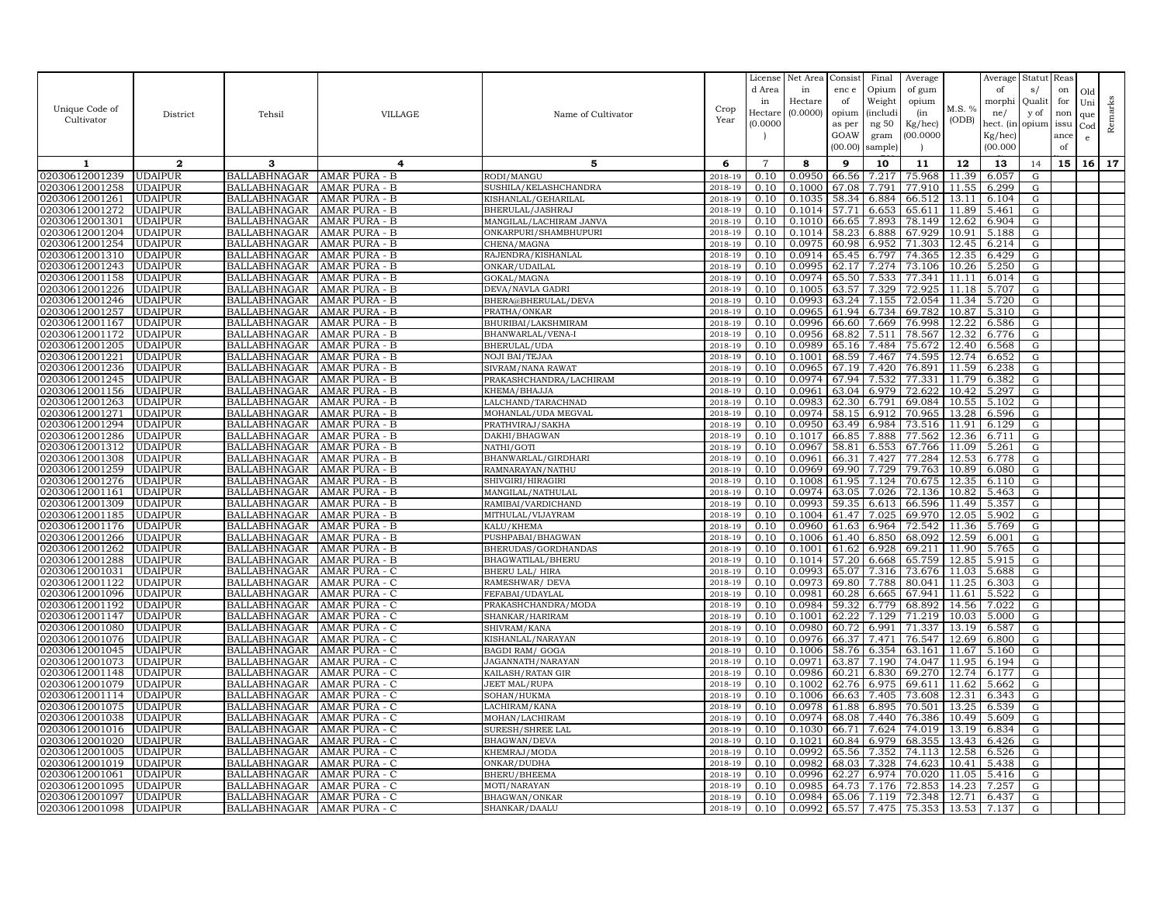|                |                |                     |                |                         |         | License        | Net Area | Consist | Final           | Average |        | Average   | Statut    | Reas |     |         |
|----------------|----------------|---------------------|----------------|-------------------------|---------|----------------|----------|---------|-----------------|---------|--------|-----------|-----------|------|-----|---------|
|                |                |                     |                |                         |         | d Area         | in       | enc e   | Opium           | of gum  |        | of        | s/        | on   | Old |         |
|                |                |                     |                |                         |         | in             | Hectare  | of      | Weight          | opium   |        | morphi    | Quali     | for  | Uni |         |
| Unique Code of | District       | Tehsil              | <b>VILLAGE</b> | Name of Cultivator      | Crop    | Hectar         | (0.0000) | opium   | <i>(includi</i> | (in     | M.S. % | ne/       | y of      | non  | que |         |
| Cultivator     |                |                     |                |                         | Year    | (0.0000)       |          | as per  | ng 50           | Kg/hec) | (ODB)  | hect. (in | opium     | issu | Cod | Remarks |
|                |                |                     |                |                         |         |                |          | GOAW    | gram            | 00.0000 |        | Kg/hec)   |           | ance | e   |         |
|                |                |                     |                |                         |         |                |          | (00.00) | sample)         |         |        | (00.000)  |           | of   |     |         |
| 1              | $\mathbf{2}$   | 3                   | 4              | 5                       | 6       | $\overline{7}$ | 8        | 9       | 10              | 11      | 12     | 13        | 14        | 15   | 16  | 17      |
| 02030612001239 | <b>UDAIPUR</b> | <b>BALLABHNAGAR</b> | AMAR PURA - B  | RODI/MANGU              | 2018-19 | 0.10           | 0.0950   | 66.56   | 7.217           | 75.968  | 11.39  | 6.057     | G         |      |     |         |
| 02030612001258 | <b>UDAIPUR</b> | <b>BALLABHNAGAR</b> | AMAR PURA - B  | SUSHILA/KELASHCHANDRA   | 2018-19 | 0.10           | 0.1000   | 67.08   | 7.791           | 77.910  | 11.55  | 6.299     | G         |      |     |         |
| 02030612001261 | <b>UDAIPUR</b> | <b>BALLABHNAGAR</b> | AMAR PURA - B  | KISHANLAL/GEHARILAL     | 2018-19 | 0.10           | 0.1035   | 58.34   | 6.884           | 66.512  | 13.1   | 6.104     | G         |      |     |         |
| 02030612001272 | <b>UDAIPUR</b> | <b>BALLABHNAGAR</b> | AMAR PURA - B  | BHERULAL/JASHRAJ        | 2018-19 | 0.10           | 0.1014   | 57.71   | 6.653           | 65.611  | 11.89  | 5.461     | G         |      |     |         |
| 02030612001301 | <b>UDAIPUR</b> | <b>BALLABHNAGAR</b> | AMAR PURA - B  | MANGILAL/LACHIRAM JANVA | 2018-19 | 0.10           | 0.1010   | 66.65   | 7.893           | 78.149  | 12.62  | 6.904     | G         |      |     |         |
| 02030612001204 | <b>UDAIPUR</b> | <b>BALLABHNAGAR</b> | AMAR PURA - B  | ONKARPURI/SHAMBHUPURI   | 2018-19 | 0.10           | 0.1014   | 58.23   | 6.888           | 67.929  | 10.91  | 5.188     | G         |      |     |         |
| 02030612001254 | <b>UDAIPUR</b> | <b>BALLABHNAGAR</b> | AMAR PURA - B  | CHENA/MAGNA             | 2018-19 | 0.10           | 0.0975   | 60.98   | 6.952           | 71.303  | 12.45  | 6.214     | G         |      |     |         |
| 02030612001310 | <b>UDAIPUR</b> | <b>BALLABHNAGAR</b> | AMAR PURA - B  | RAJENDRA/KISHANLAL      | 2018-19 | 0.10           | 0.0914   | 65.45   | 6.797           | 74.365  | 12.35  | 6.429     | G         |      |     |         |
| 02030612001243 | <b>UDAIPUR</b> | <b>BALLABHNAGAR</b> | AMAR PURA - B  | ONKAR/UDAILAL           | 2018-19 | 0.10           | 0.0995   | 62.17   | 7.274           | 73.106  | 10.26  | 5.250     | G         |      |     |         |
| 02030612001158 | <b>UDAIPUR</b> | <b>BALLABHNAGAR</b> | AMAR PURA - B  | GOKAL/MAGNA             | 2018-19 | 0.10           | 0.0974   | 65.50   | 7.533           | 77.341  | 11.11  | 6.014     | G         |      |     |         |
| 02030612001226 | <b>UDAIPUR</b> | <b>BALLABHNAGAR</b> | AMAR PURA - B  | DEVA/NAVLA GADRI        | 2018-19 | 0.10           | 0.1005   | 63.57   | 7.329           | 72.925  | 11.18  | 5.707     | G         |      |     |         |
| 02030612001246 | <b>UDAIPUR</b> | <b>BALLABHNAGAR</b> | AMAR PURA - B  | BHERA@BHERULAL/DEVA     | 2018-19 | 0.10           | 0.0993   | 63.24   | 7.155           | 72.054  | 11.34  | 5.720     | G         |      |     |         |
| 02030612001257 | <b>UDAIPUR</b> | <b>BALLABHNAGAR</b> | AMAR PURA - B  | PRATHA/ONKAR            | 2018-19 | 0.10           | 0.0965   | 61.94   | 6.734           | 69.782  | 10.87  | 5.310     | G         |      |     |         |
| 02030612001167 | <b>UDAIPUR</b> | <b>BALLABHNAGAR</b> | AMAR PURA - B  | BHURIBAI/LAKSHMIRAM     | 2018-19 | 0.10           | 0.0996   | 66.60   | 7.669           | 76.998  | 12.22  | 6.586     | G         |      |     |         |
| 02030612001172 | <b>UDAIPUR</b> | <b>BALLABHNAGAR</b> | AMAR PURA - B  | BHANWARLAL/VENA-I       | 2018-19 | 0.10           | 0.0956   | 68.82   | 7.511           | 78.567  | 12.32  | 6.776     | G         |      |     |         |
| 02030612001205 | <b>UDAIPUR</b> | <b>BALLABHNAGAR</b> | AMAR PURA - B  | BHERULAL/UDA            | 2018-19 | 0.10           | 0.0989   | 65.16   | 7.484           | 75.672  | 12.40  | 6.568     | G         |      |     |         |
| 02030612001221 | <b>UDAIPUR</b> | <b>BALLABHNAGAR</b> | AMAR PURA - B  | <b>NOJI BAI/TEJAA</b>   | 2018-19 | 0.10           | 0.1001   | 68.59   | 7.467           | 74.595  | 12.74  | 6.652     | G         |      |     |         |
| 02030612001236 | <b>UDAIPUR</b> | <b>BALLABHNAGAR</b> | AMAR PURA - B  | SIVRAM/NANA RAWAT       | 2018-19 | 0.10           | 0.0965   | 67.19   | 7.420           | 76.891  | 11.59  | 6.238     | G         |      |     |         |
| 02030612001245 | <b>UDAIPUR</b> | <b>BALLABHNAGAR</b> | AMAR PURA - B  | PRAKASHCHANDRA/LACHIRAM | 2018-19 | 0.10           | 0.0974   | 67.94   | 7.532           | 77.331  | 11.79  | 6.382     | G         |      |     |         |
| 02030612001156 | <b>UDAIPUR</b> | <b>BALLABHNAGAR</b> | AMAR PURA - B  | KHEMA/BHAJJA            | 2018-19 | 0.10           | 0.0961   | 63.04   | 6.979           | 72.622  | 10.42  | 5.297     | G         |      |     |         |
| 02030612001263 | <b>UDAIPUR</b> | <b>BALLABHNAGAR</b> | AMAR PURA - B  | LALCHAND/TARACHNAD      | 2018-19 | 0.10           | 0.0983   | 62.30   | 6.791           | 69.084  | 10.55  | 5.102     | G         |      |     |         |
| 02030612001271 | <b>UDAIPUR</b> | <b>BALLABHNAGAR</b> | AMAR PURA - B  | MOHANLAL/UDA MEGVAL     | 2018-19 | 0.10           | 0.0974   | 58.15   | 6.912           | 70.965  | 13.28  | 6.596     | G         |      |     |         |
| 02030612001294 | <b>UDAIPUR</b> | <b>BALLABHNAGAR</b> | AMAR PURA - B  | PRATHVIRAJ/SAKHA        | 2018-19 | 0.10           | 0.0950   | 63.49   | 6.984           | 73.516  | 11.91  | 6.129     | G         |      |     |         |
| 02030612001286 | <b>UDAIPUR</b> | <b>BALLABHNAGAR</b> | AMAR PURA - B  | DAKHI/BHAGWAN           | 2018-19 | 0.10           | 0.1017   | 66.85   | 7.888           | 77.562  | 12.36  | 6.711     | G         |      |     |         |
| 02030612001312 | <b>UDAIPUR</b> | <b>BALLABHNAGAR</b> | AMAR PURA - B  | NATHI/GOTI              | 2018-19 | 0.10           | 0.0967   | 58.81   | 6.553           | 67.766  | 11.09  | 5.261     | G         |      |     |         |
| 02030612001308 | <b>UDAIPUR</b> | <b>BALLABHNAGAR</b> | AMAR PURA - B  | BHANWARLAL/GIRDHARI     | 2018-19 | 0.10           | 0.0961   | 66.31   | 7.427           | 77.284  | 12.53  | 6.778     | G         |      |     |         |
| 02030612001259 | <b>UDAIPUR</b> | <b>BALLABHNAGAR</b> | AMAR PURA - B  | RAMNARAYAN / NATHU      | 2018-19 | 0.10           | 0.0969   | 69.90   | 7.729           | 79.763  | 10.89  | 6.080     | G         |      |     |         |
| 02030612001276 | <b>UDAIPUR</b> | <b>BALLABHNAGAR</b> | AMAR PURA - B  | SHIVGIRI/HIRAGIRI       | 2018-19 | 0.10           | 0.1008   | 61.95   | 7.124           | 70.675  | 12.35  | 6.110     | G         |      |     |         |
| 02030612001161 | UDAIPUR        | <b>BALLABHNAGAR</b> | AMAR PURA - B  | MANGILAL/NATHULAL       | 2018-19 | 0.10           | 0.0974   | 63.05   | 7.026           | 72.136  | 10.82  | 5.463     | G         |      |     |         |
| 02030612001309 | <b>UDAIPUR</b> | <b>BALLABHNAGAR</b> | AMAR PURA - B  | RAMIBAI/VARDICHAND      | 2018-19 | 0.10           | 0.0993   | 59.35   | 6.613           | 66.596  | 11.49  | 5.357     | G         |      |     |         |
| 02030612001185 | <b>UDAIPUR</b> | <b>BALLABHNAGAR</b> | AMAR PURA - B  | MITHULAL/VIJAYRAM       | 2018-19 | 0.10           | 0.1004   | 61.47   | 7.025           | 69.970  | 12.05  | 5.902     | G         |      |     |         |
| 02030612001176 | <b>UDAIPUR</b> | <b>BALLABHNAGAR</b> | AMAR PURA - B  | KALU/KHEMA              | 2018-19 | 0.10           | 0.0960   | 61.63   | 6.964           | 72.542  | 11.36  | 5.769     | G         |      |     |         |
| 02030612001266 | <b>UDAIPUR</b> | <b>BALLABHNAGAR</b> | AMAR PURA - B  | PUSHPABAI/BHAGWAN       | 2018-19 | 0.10           | 0.1006   | 61.40   | 6.850           | 68.092  | 12.59  | 6.001     | G         |      |     |         |
| 02030612001262 | <b>UDAIPUR</b> | <b>BALLABHNAGAR</b> | AMAR PURA - B  | BHERUDAS/GORDHANDAS     | 2018-19 | 0.10           | 0.1001   | 61.62   | 6.928           | 69.211  | 11.90  | 5.765     | G         |      |     |         |
| 02030612001288 | <b>UDAIPUR</b> | <b>BALLABHNAGAR</b> | AMAR PURA - B  | BHAGWATILAL/BHERU       | 2018-19 | 0.10           | 0.1014   | 57.20   | 6.668           | 65.759  | 12.85  | 5.915     | G         |      |     |         |
| 02030612001031 | <b>UDAIPUR</b> | <b>BALLABHNAGAR</b> | AMAR PURA - C  | BHERU LAL/HIRA          | 2018-19 | 0.10           | 0.0993   | 65.07   | 7.316           | 73.676  | 11.03  | 5.688     | G         |      |     |         |
| 02030612001122 | <b>UDAIPUR</b> | <b>BALLABHNAGAR</b> | AMAR PURA - C  | RAMESHWAR/ DEVA         | 2018-19 | 0.10           | 0.0973   | 69.80   | 7.788           | 80.041  | 11.25  | 6.303     | G         |      |     |         |
| 02030612001096 | <b>UDAIPUR</b> | <b>BALLABHNAGAR</b> | AMAR PURA - C  | FEFABAI/UDAYLAL         | 2018-19 | 0.10           | 0.0981   | 60.28   | 6.665           | 67.941  | 11.61  | 5.522     | G         |      |     |         |
| 02030612001192 | <b>UDAIPUR</b> | <b>BALLABHNAGAR</b> | AMAR PURA - C  | PRAKASHCHANDRA/MODA     | 2018-19 | 0.10           | 0.0984   | 59.32   | 6.779           | 68.892  | 14.56  | 7.022     | G         |      |     |         |
| 02030612001147 | <b>UDAIPUR</b> | <b>BALLABHNAGAR</b> | AMAR PURA - C  | SHANKAR/HARIRAM         | 2018-19 | 0.10           | 0.1001   | 62.22   | 7.129           | 71.219  | 10.03  | 5.000     | G         |      |     |         |
| 02030612001080 | <b>UDAIPUR</b> | <b>BALLABHNAGAR</b> | AMAR PURA - C  | SHIVRAM/KANA            | 2018-19 | 0.10           | 0.0980   | 60.72   | 6.991           | 71.337  | 13.19  | 6.587     | G         |      |     |         |
| 02030612001076 | <b>UDAIPUR</b> | <b>BALLABHNAGAR</b> | AMAR PURA - C  | KISHANLAL/NARAYAN       | 2018-19 | 0.10           | 0.0976   | 66.37   | 7.471           | 76.547  | 12.69  | 6.800     | G         |      |     |         |
| 02030612001045 | <b>UDAIPUR</b> | <b>BALLABHNAGAR</b> | AMAR PURA - C  | <b>BAGDI RAM/ GOGA</b>  | 2018-19 | 0.10           | 0.1006   | 58.76   | 6.354           | 63.161  | 11.67  | 5.160     | ${\rm G}$ |      |     |         |
| 02030612001073 | <b>UDAIPUR</b> | <b>BALLABHNAGAR</b> | AMAR PURA - C  | JAGANNATH/NARAYAN       | 2018-19 | 0.10           | 0.0971   | 63.87   | 7.190           | 74.047  | 11.95  | 6.194     | G         |      |     |         |
| 02030612001148 | <b>UDAIPUR</b> | <b>BALLABHNAGAR</b> | AMAR PURA - C  | KAILASH/RATAN GIR       | 2018-19 | 0.10           | 0.0986   | 60.21   | 6.830           | 69.270  | 12.74  | 6.177     | G         |      |     |         |
| 02030612001079 | <b>UDAIPUR</b> | <b>BALLABHNAGAR</b> | AMAR PURA - C  | <b>JEET MAL/RUPA</b>    | 2018-19 | 0.10           | 0.1002   | 62.76   | 6.975           | 69.611  | 11.62  | 5.662     | G         |      |     |         |
| 02030612001114 | <b>UDAIPUR</b> | <b>BALLABHNAGAR</b> | AMAR PURA - C  | SOHAN/HUKMA             | 2018-19 | 0.10           | 0.1006   | 66.63   | 7.405           | 73.608  | 12.31  | 6.343     | ${\rm G}$ |      |     |         |
| 02030612001075 | <b>UDAIPUR</b> | <b>BALLABHNAGAR</b> | AMAR PURA - C  | LACHIRAM/KANA           | 2018-19 | 0.10           | 0.0978   | 61.88   | 6.895           | 70.501  | 13.25  | 6.539     | G         |      |     |         |
| 02030612001038 | <b>UDAIPUR</b> | <b>BALLABHNAGAR</b> | AMAR PURA - C  | MOHAN/LACHIRAM          | 2018-19 | 0.10           | 0.0974   | 68.08   | 7.440           | 76.386  | 10.49  | 5.609     | G         |      |     |         |
| 02030612001016 | <b>UDAIPUR</b> | <b>BALLABHNAGAR</b> | AMAR PURA - C  | <b>SURESH/SHREE LAL</b> | 2018-19 | 0.10           | 0.1030   | 66.71   | 7.624           | 74.019  | 13.19  | 6.834     | G         |      |     |         |
| 02030612001020 | <b>UDAIPUR</b> | <b>BALLABHNAGAR</b> | AMAR PURA - C  | BHAGWAN/DEVA            | 2018-19 | 0.10           | 0.1021   | 60.84   | 6.979           | 68.355  | 13.43  | 6.426     | G         |      |     |         |
| 02030612001005 | <b>UDAIPUR</b> | <b>BALLABHNAGAR</b> | AMAR PURA - C  | KHEMRAJ/MODA            | 2018-19 | 0.10           | 0.0992   | 65.56   | 7.352           | 74.113  | 12.58  | 6.526     | G         |      |     |         |
| 02030612001019 | <b>UDAIPUR</b> | <b>BALLABHNAGAR</b> | AMAR PURA - C  | ONKAR/DUDHA             | 2018-19 | 0.10           | 0.0982   | 68.03   | 7.328           | 74.623  | 10.41  | 5.438     | G         |      |     |         |
| 02030612001061 | <b>UDAIPUR</b> | <b>BALLABHNAGAR</b> | AMAR PURA - C  | BHERU/BHEEMA            | 2018-19 | 0.10           | 0.0996   | 62.27   | 6.974           | 70.020  | 11.05  | 5.416     | G         |      |     |         |
| 02030612001095 | <b>UDAIPUR</b> | <b>BALLABHNAGAR</b> | AMAR PURA - C  | MOTI/NARAYAN            | 2018-19 | 0.10           | 0.0985   | 64.73   | 7.176           | 72.853  | 14.23  | 7.257     | G         |      |     |         |
| 02030612001097 | <b>UDAIPUR</b> | <b>BALLABHNAGAR</b> | AMAR PURA - C  | BHAGWAN/ONKAR           | 2018-19 | 0.10           | 0.0984   | 65.06   | 7.119           | 72.348  | 12.71  | 6.437     | G         |      |     |         |
| 02030612001098 | <b>UDAIPUR</b> | <b>BALLABHNAGAR</b> | AMAR PURA - C  | SHANKAR/DAALU           | 2018-19 | 0.10           | 0.0992   | 65.57   | 7.475           | 75.353  | 13.53  | 7.137     | G         |      |     |         |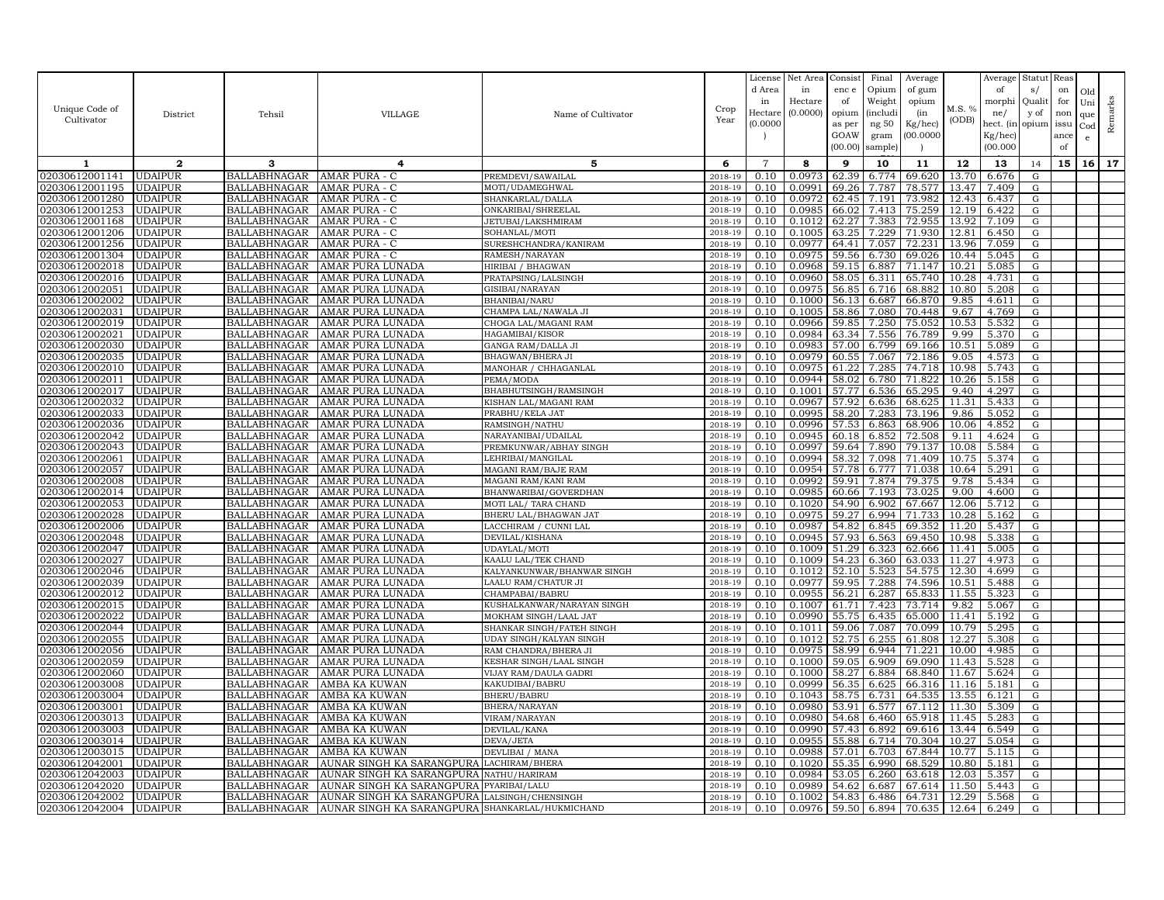|                |                |                     |                                                 |                            |         | License        | Net Area | Consist | Final    | Average |        | Average   | Statut     | Reas |              |         |
|----------------|----------------|---------------------|-------------------------------------------------|----------------------------|---------|----------------|----------|---------|----------|---------|--------|-----------|------------|------|--------------|---------|
|                |                |                     |                                                 |                            |         | d Area         | in       | enc e   | Opium    | of gum  |        | of        | s/         | on   | Old          |         |
|                |                |                     |                                                 |                            |         | in             | Hectare  | of      | Weight   | opium   |        | morphi    | Quali      | for  | Uni          |         |
| Unique Code of | District       | Tehsil              | <b>VILLAGE</b>                                  | Name of Cultivator         | Crop    | Hectare        | (0.0000) | opium   | (includ: | (in     | M.S. % | ne/       | y of       | non  | que          |         |
| Cultivator     |                |                     |                                                 |                            | Year    | (0.0000)       |          | as per  | ng 50    | Kg/hec) | (ODB)  | hect. (in | opium issu |      | $_{\rm Cod}$ | Remarks |
|                |                |                     |                                                 |                            |         |                |          | GOAW    | gram     | 00.0000 |        | Kg/hec)   |            | ance | e            |         |
|                |                |                     |                                                 |                            |         |                |          | (00.00) | sample)  |         |        | (00.000)  |            | of   |              |         |
| 1              | $\mathbf{2}$   | 3                   | 4                                               | 5                          | 6       | $\overline{7}$ | 8        | 9       | 10       | 11      | 12     | 13        | 14         | 15   | 16           | 17      |
| 02030612001141 | <b>UDAIPUR</b> | BALLABHNAGAR        | AMAR PURA - C                                   | PREMDEVI/SAWAILAL          | 2018-19 | 0.10           | 0.0973   | 62.39   | 6.774    | 69.620  | 13.70  | 6.676     | G          |      |              |         |
| 02030612001195 | <b>UDAIPUR</b> | <b>BALLABHNAGAR</b> | AMAR PURA - C                                   | MOTI/UDAMEGHWAL            | 2018-19 | 0.10           | 0.0991   | 69.26   | 7.787    | 78.577  | 13.47  | 7.409     | G          |      |              |         |
| 02030612001280 | <b>UDAIPUR</b> | <b>BALLABHNAGAR</b> | AMAR PURA - C                                   | SHANKARLAL/DALLA           | 2018-19 | 0.10           | 0.0972   | 62.45   | 7.191    | 73.982  | 12.43  | 6.437     | G          |      |              |         |
| 02030612001253 | <b>UDAIPUR</b> | <b>BALLABHNAGAR</b> | AMAR PURA - C                                   | ONKARIBAI/SHREELAL         | 2018-19 | 0.10           | 0.0985   | 66.02   | 7.413    | 75.259  | 12.19  | 6.422     | G          |      |              |         |
| 02030612001168 | <b>UDAIPUR</b> | <b>BALLABHNAGAR</b> | AMAR PURA - C                                   | JETUBAI/LAKSHMIRAM         | 2018-19 | 0.10           | 0.1012   | 62.27   | 7.383    | 72.955  | 13.92  | 7.109     | G          |      |              |         |
| 02030612001206 | <b>UDAIPUR</b> | <b>BALLABHNAGAR</b> | AMAR PURA - C                                   | SOHANLAL/MOTI              | 2018-19 | 0.10           | 0.1005   | 63.25   | 7.229    | 71.930  | 12.81  | 6.450     | G          |      |              |         |
| 02030612001256 | <b>UDAIPUR</b> | <b>BALLABHNAGAR</b> | AMAR PURA - C                                   | SURESHCHANDRA/KANIRAM      | 2018-19 | 0.10           | 0.0977   | 64.41   | 7.057    | 72.231  | 13.96  | 7.059     | G          |      |              |         |
| 02030612001304 | <b>UDAIPUR</b> | <b>BALLABHNAGAR</b> | AMAR PURA - C                                   | RAMESH/NARAYAN             | 2018-19 | 0.10           | 0.0975   | 59.56   | 6.730    | 69.026  | 10.44  | 5.045     | G          |      |              |         |
| 02030612002018 | <b>UDAIPUR</b> | <b>BALLABHNAGAR</b> | AMAR PURA LUNADA                                | HIRIBAI / BHAGWAN          | 2018-19 | 0.10           | 0.0968   | 59.15   | 6.887    | 71.147  | 10.21  | 5.085     | G          |      |              |         |
| 02030612002016 | <b>UDAIPUR</b> | <b>BALLABHNAGAR</b> | AMAR PURA LUNADA                                | PRATAPSING/LALSINGH        | 2018-19 | 0.10           | 0.0960   | 58.05   | 6.311    | 65.740  | 10.28  | 4.731     | G          |      |              |         |
| 02030612002051 | <b>UDAIPUR</b> | <b>BALLABHNAGAR</b> | AMAR PURA LUNADA                                | GISIBAI/NARAYAN            | 2018-19 | 0.10           | 0.0975   | 56.85   | 6.716    | 68.882  | 10.80  | 5.208     | G          |      |              |         |
| 02030612002002 | <b>UDAIPUR</b> | <b>BALLABHNAGAR</b> | AMAR PURA LUNADA                                | BHANIBAI/NARU              | 2018-19 | 0.10           | 0.1000   | 56.13   | 6.687    | 66.870  | 9.85   | 4.611     | G          |      |              |         |
| 02030612002031 | <b>UDAIPUR</b> | <b>BALLABHNAGAR</b> | AMAR PURA LUNADA                                | CHAMPA LAL/NAWALA JI       | 2018-19 | 0.10           | 0.1005   | 58.86   | 7.080    | 70.448  | 9.67   | 4.769     | G          |      |              |         |
| 02030612002019 | <b>UDAIPUR</b> | <b>BALLABHNAGAR</b> | AMAR PURA LUNADA                                | CHOGA LAL/MAGANI RAM       | 2018-19 | 0.10           | 0.0966   | 59.85   | 7.250    | 75.052  | 10.53  | 5.532     | G          |      |              |         |
| 02030612002021 | <b>UDAIPUR</b> | <b>BALLABHNAGAR</b> | AMAR PURA LUNADA                                | HAGAMIBAI/KISOR            | 2018-19 | 0.10           | 0.0984   | 63.34   | 7.556    | 76.789  | 9.99   | 5.370     | G          |      |              |         |
| 02030612002030 | <b>UDAIPUR</b> | BALLABHNAGAR        | AMAR PURA LUNADA                                | GANGA RAM/DALLA JI         | 2018-19 | 0.10           | 0.0983   | 57.00   | 6.799    | 69.166  | 10.51  | 5.089     | G          |      |              |         |
| 02030612002035 | <b>UDAIPUR</b> | <b>BALLABHNAGAR</b> | AMAR PURA LUNADA                                | BHAGWAN/BHERA JI           | 2018-19 | 0.10           | 0.0979   | 60.55   | 7.067    | 72.186  | 9.05   | 4.573     | G          |      |              |         |
| 02030612002010 | <b>UDAIPUR</b> | <b>BALLABHNAGAR</b> | AMAR PURA LUNADA                                | MANOHAR / CHHAGANLAL       | 2018-19 | 0.10           | 0.0975   | 61.2    | 7.285    | 74.718  | 10.98  | 5.743     | G          |      |              |         |
| 02030612002011 | <b>UDAIPUR</b> | <b>BALLABHNAGAR</b> | AMAR PURA LUNADA                                | PEMA/MODA                  | 2018-19 | 0.10           | 0.0944   | 58.02   | 6.780    | 71.822  | 10.26  | 5.158     | G          |      |              |         |
| 02030612002017 | <b>UDAIPUR</b> | <b>BALLABHNAGAR</b> | AMAR PURA LUNADA                                | BHABHUTSINGH/RAMSINGF      | 2018-19 | 0.10           | 0.1001   | 57.77   | 6.536    | 65.295  | 9.40   | 4.297     | G          |      |              |         |
| 02030612002032 | <b>UDAIPUR</b> | <b>BALLABHNAGAR</b> | AMAR PURA LUNADA                                | KISHAN LAL/MAGANI RAM      | 2018-19 | 0.10           | 0.0967   | 57.92   | 6.636    | 68.625  | 11.31  | 5.433     | G          |      |              |         |
| 02030612002033 | <b>UDAIPUR</b> | <b>BALLABHNAGAR</b> | AMAR PURA LUNADA                                | PRABHU/KELA JAT            | 2018-19 | 0.10           | 0.0995   | 58.20   | 7.283    | 73.196  | 9.86   | 5.052     | G          |      |              |         |
| 02030612002036 | <b>UDAIPUR</b> | <b>BALLABHNAGAR</b> | AMAR PURA LUNADA                                | RAMSINGH/NATHU             | 2018-19 | 0.10           | 0.0996   | 57.53   | 6.863    | 68.906  | 10.06  | 4.852     | G          |      |              |         |
| 02030612002042 | <b>UDAIPUR</b> | <b>BALLABHNAGAR</b> | AMAR PURA LUNADA                                | NARAYANIBAI/UDAILAL        | 2018-19 | 0.10           | 0.0945   | 60.18   | 6.852    | 72.508  | 9.11   | 4.624     | G          |      |              |         |
| 02030612002043 | <b>UDAIPUR</b> | <b>BALLABHNAGAR</b> | AMAR PURA LUNADA                                | PREMKUNWAR/ABHAY SINGH     | 2018-19 | 0.10           | 0.0997   | 59.64   | 7.890    | 79.137  | 10.08  | 5.584     | G          |      |              |         |
| 02030612002061 | <b>UDAIPUR</b> | <b>BALLABHNAGAR</b> | AMAR PURA LUNADA                                | LEHRIBAI/MANGILAL          | 2018-19 | 0.10           | 0.0994   | 58.32   | 7.098    | 71.409  | 10.75  | 5.374     | G          |      |              |         |
| 02030612002057 | <b>UDAIPUR</b> | <b>BALLABHNAGAR</b> | AMAR PURA LUNADA                                | MAGANI RAM/BAJE RAM        | 2018-19 | 0.10           | 0.0954   | 57.78   | 6.777    | 71.038  | 10.64  | 5.291     | G          |      |              |         |
| 02030612002008 | <b>UDAIPUR</b> | <b>BALLABHNAGAR</b> | AMAR PURA LUNADA                                | MAGANI RAM/KANI RAM        | 2018-19 | 0.10           | 0.0992   | 59.91   | 7.874    | 79.375  | 9.78   | 5.434     | G          |      |              |         |
| )2030612002014 | <b>UDAIPUR</b> | <b>BALLABHNAGAR</b> | AMAR PURA LUNADA                                | BHANWARIBAI/GOVERDHAN      | 2018-19 | 0.10           | 0.0985   | 60.66   | 7.193    | 73.025  | 9.00   | 4.600     | G          |      |              |         |
| 02030612002053 | <b>UDAIPUR</b> | BALLABHNAGAR        | AMAR PURA LUNADA                                | MOTI LAL/ TARA CHAND       | 2018-19 | 0.10           | 0.1020   | 54.90   | 6.902    | 67.667  | 12.06  | 5.712     | G          |      |              |         |
| 02030612002028 | <b>UDAIPUR</b> | <b>BALLABHNAGAR</b> | AMAR PURA LUNADA                                | BHERU LAL/BHAGWAN JAT      | 2018-19 | 0.10           | 0.0975   | 59.27   | 6.994    | 71.733  | 10.28  | 5.162     | G          |      |              |         |
| 02030612002006 | <b>UDAIPUR</b> | <b>BALLABHNAGAR</b> | AMAR PURA LUNADA                                | LACCHIRAM / CUNNI LAL      | 2018-19 | 0.10           | 0.0987   | 54.82   | 6.845    | 69.352  | 11.20  | 5.437     | G          |      |              |         |
| 02030612002048 | <b>UDAIPUR</b> | <b>BALLABHNAGAR</b> | AMAR PURA LUNADA                                | DEVILAL/KISHANA            | 2018-19 | 0.10           | 0.0945   | 57.93   | 6.563    | 69.450  | 10.98  | 5.338     | G          |      |              |         |
| 02030612002047 | <b>UDAIPUR</b> | <b>BALLABHNAGAR</b> | AMAR PURA LUNADA                                | UDAYLAL/MOTI               | 2018-19 | 0.10           | 0.1009   | 51.29   | 6.323    | 62.666  | 11.41  | 5.005     | G          |      |              |         |
| 02030612002027 | <b>UDAIPUR</b> | <b>BALLABHNAGAR</b> | AMAR PURA LUNADA                                | KAALU LAL/TEK CHAND        | 2018-19 | 0.10           | 0.1009   | 54.23   | 6.360    | 63.033  | 11.27  | 4.973     | G          |      |              |         |
| 02030612002046 | <b>UDAIPUR</b> | <b>BALLABHNAGAR</b> | AMAR PURA LUNADA                                | KALYANKUNWAR/BHANWAR SINGH | 2018-19 | 0.10           | 0.1012   | 52.10   | 5.523    | 54.575  | 12.30  | 4.699     | G          |      |              |         |
| 02030612002039 | <b>UDAIPUR</b> | <b>BALLABHNAGAR</b> | AMAR PURA LUNADA                                | LAALU RAM/CHATUR JI        | 2018-19 | 0.10           | 0.0977   | 59.95   | 7.288    | 74.596  | 10.51  | 5.488     | G          |      |              |         |
| 02030612002012 | <b>UDAIPUR</b> | <b>BALLABHNAGAR</b> | AMAR PURA LUNADA                                | CHAMPABAI/BABRU            | 2018-19 | 0.10           | 0.0955   | 56.21   | 6.287    | 65.833  | 11.55  | 5.323     | G          |      |              |         |
| 02030612002015 | <b>UDAIPUR</b> | <b>BALLABHNAGAR</b> | AMAR PURA LUNADA                                | KUSHALKANWAR/NARAYAN SINGH | 2018-19 | 0.10           | 0.1007   | 61.71   | 7.423    | 73.714  | 9.82   | 5.067     | G          |      |              |         |
| 02030612002022 | <b>UDAIPUR</b> | <b>BALLABHNAGAR</b> | AMAR PURA LUNADA                                | MOKHAM SINGH/LAAL JAT      | 2018-19 | 0.10           | 0.0990   | 55.75   | 6.435    | 65.000  | 11.41  | 5.192     | G          |      |              |         |
| 02030612002044 | <b>UDAIPUR</b> | <b>BALLABHNAGAR</b> | AMAR PURA LUNADA                                | SHANKAR SINGH/FATEH SINGH  | 2018-19 | 0.10           | 0.1011   | 59.06   | 7.087    | 70.099  | 10.79  | 5.295     | G          |      |              |         |
| 02030612002055 | <b>UDAIPUR</b> | <b>BALLABHNAGAR</b> | AMAR PURA LUNADA                                | UDAY SINGH/KALYAN SINGH    | 2018-19 | 0.10           | 0.1012   | 52.75   | 6.255    | 61.808  | 12.27  | 5.308     | G          |      |              |         |
| 02030612002056 | <b>UDAIPUR</b> | <b>BALLABHNAGAR</b> | AMAR PURA LUNADA                                | RAM CHANDRA/BHERA JI       | 2018-19 | 0.10           | 0.0975   | 58.99   | 6.944    | 71.221  | 10.00  | 4.985     | ${\rm G}$  |      |              |         |
| 02030612002059 | <b>UDAIPUR</b> | <b>BALLABHNAGAR</b> | AMAR PURA LUNADA                                | KESHAR SINGH/LAAL SINGH    | 2018-19 | 0.10           | 0.1000   | 59.05   | 6.909    | 69.090  | 11.43  | 5.528     | G          |      |              |         |
| 02030612002060 | <b>UDAIPUR</b> | <b>BALLABHNAGAR</b> | AMAR PURA LUNADA                                | VIJAY RAM/DAULA GADRI      | 2018-19 | 0.10           | 0.1000   | 58.27   | 6.884    | 68.840  | 11.67  | 5.624     | G          |      |              |         |
| 02030612003008 | <b>UDAIPUR</b> | <b>BALLABHNAGAR</b> | AMBA KA KUWAN                                   | KAKUDIBAI/BABRU            | 2018-19 | 0.10           | 0.0999   | 56.35   | 6.625    | 66.316  | 11.16  | 5.181     | G          |      |              |         |
| 02030612003004 | <b>UDAIPUR</b> | <b>BALLABHNAGAR</b> | AMBA KA KUWAN                                   | <b>BHERU/BABRU</b>         | 2018-19 | 0.10           | 0.1043   | 58.75   | 6.731    | 64.535  | 13.55  | 6.121     | ${\rm G}$  |      |              |         |
| 02030612003001 | <b>UDAIPUR</b> | <b>BALLABHNAGAR</b> | AMBA KA KUWAN                                   | BHERA/NARAYAN              | 2018-19 | 0.10           | 0.0980   | 53.91   | 6.577    | 67.112  | 11.30  | 5.309     | G          |      |              |         |
| 02030612003013 | <b>UDAIPUR</b> | BALLABHNAGAR        | AMBA KA KUWAN                                   | VIRAM/NARAYAN              | 2018-19 | 0.10           | 0.0980   | 54.68   | 6.460    | 65.918  | 11.45  | 5.283     | G          |      |              |         |
| 02030612003003 | <b>UDAIPUR</b> | <b>BALLABHNAGAR</b> | AMBA KA KUWAN                                   | DEVILAL/KANA               | 2018-19 | 0.10           | 0.0990   | 57.43   | 6.892    | 69.616  | 13.44  | 6.549     | G          |      |              |         |
| 02030612003014 | <b>UDAIPUR</b> | <b>BALLABHNAGAR</b> | AMBA KA KUWAN                                   | DEVA/JETA                  | 2018-19 | 0.10           | 0.0955   | 55.88   | 6.714    | 70.304  | 10.27  | 5.054     | G          |      |              |         |
| 02030612003015 | <b>UDAIPUR</b> | <b>BALLABHNAGAR</b> | AMBA KA KUWAN                                   | DEVLIBAI / MANA            | 2018-19 | 0.10           | 0.0988   | 57.01   | 6.703    | 67.844  | 10.77  | 5.115     | G          |      |              |         |
| 02030612042001 | <b>UDAIPUR</b> | <b>BALLABHNAGAR</b> | AUNAR SINGH KA SARANGPURA                       | LACHIRAM/BHERA             | 2018-19 | 0.10           | 0.1020   | 55.35   | 6.990    | 68.529  | 10.80  | 5.181     | G          |      |              |         |
| 02030612042003 | <b>UDAIPUR</b> | <b>BALLABHNAGAR</b> | AUNAR SINGH KA SARANGPURA                       | NATHU/HARIRAM              | 2018-19 | 0.10           | 0.0984   | 53.05   | 6.260    | 63.618  | 12.03  | 5.357     | G          |      |              |         |
| 02030612042020 | UDAIPUR        | <b>BALLABHNAGAR</b> | AUNAR SINGH KA SARANGPURA                       | PYARIBAI/LALI              | 2018-19 | 0.10           | 0.0989   | 54.62   | 6.687    | 67.614  | 11.50  | 5.443     | G          |      |              |         |
| 02030612042002 | <b>UDAIPUR</b> | <b>BALLABHNAGAR</b> | AUNAR SINGH KA SARANGPURA                       | LALSINGH/CHENSINGH         | 2018-19 | 0.10           | 0.1002   | 54.83   | 6.486    | 64.731  | 12.29  | 5.568     | G          |      |              |         |
| 02030612042004 | <b>UDAIPUR</b> | BALLABHNAGAR        | AUNAR SINGH KA SARANGPURA SHANKARLAL/HUKMICHAND |                            | 2018-19 | 0.10           | 0.0976   | 59.50   | 6.894    | 70.635  | 12.64  | 6.249     | G          |      |              |         |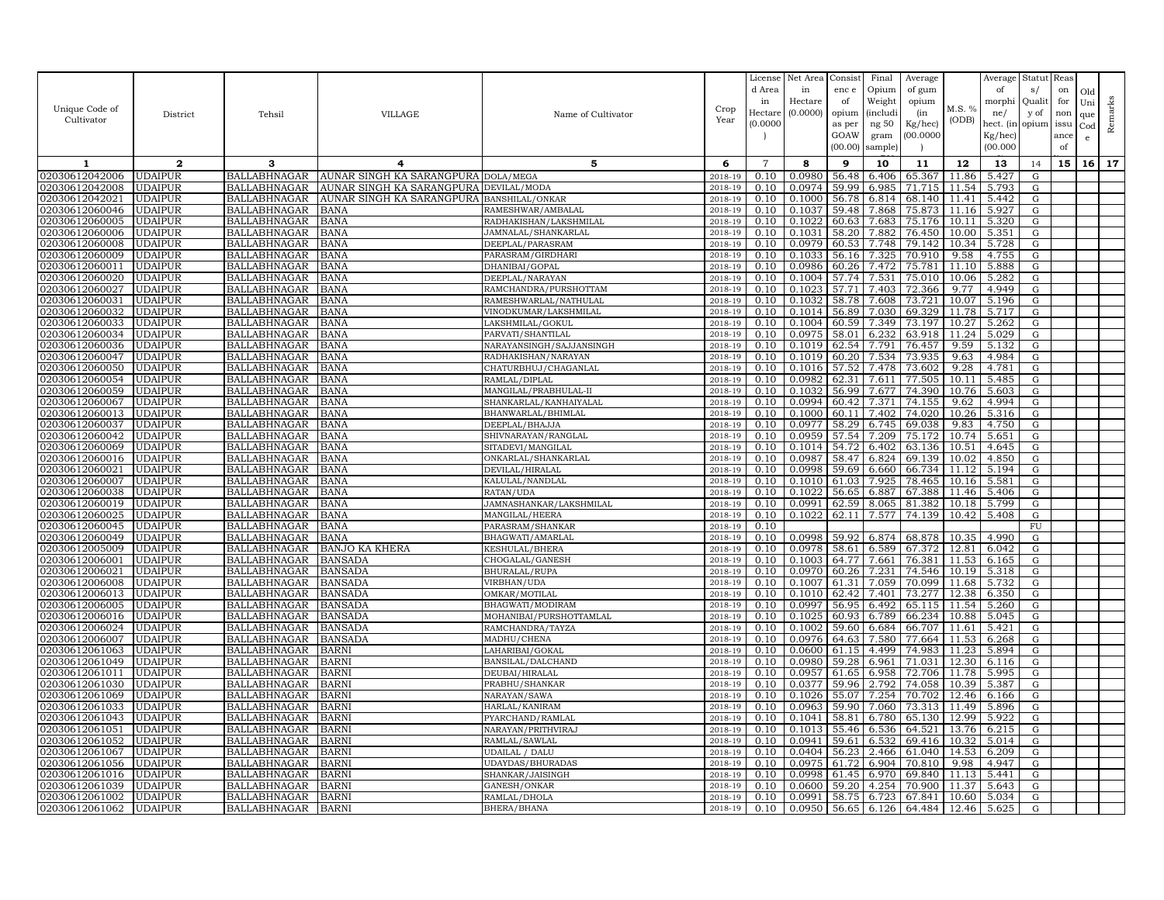|                |                |                     |                                        |                          |         | License        | Net Area | Consist | Final           | Average |                    | Average   | Statut      | Reas |     |         |
|----------------|----------------|---------------------|----------------------------------------|--------------------------|---------|----------------|----------|---------|-----------------|---------|--------------------|-----------|-------------|------|-----|---------|
|                |                |                     |                                        |                          |         | d Area         | in       | enc e   | Opium           | of gum  |                    | of        | s/          | on   | Old |         |
|                |                |                     |                                        |                          |         | in             | Hectare  | of      | Weight          | opium   |                    | morphi    | Quali       | for  | Uni |         |
| Unique Code of | District       | Tehsil              | <b>VILLAGE</b>                         | Name of Cultivator       | Crop    | Hectar         | (0.0000) | opium   | <i>(includi</i> | (in     | M.S. %             | ne/       | y of        | non  | que |         |
| Cultivator     |                |                     |                                        |                          | Year    | (0.0000)       |          | as per  | ng 50           | Kg/hec) | (ODB)              | hect. (in | opium       | issu | Cod | Remarks |
|                |                |                     |                                        |                          |         |                |          | GOAW    | gram            | 00.0000 |                    | Kg/hec)   |             | ance | e   |         |
|                |                |                     |                                        |                          |         |                |          | (00.00) | sample          |         |                    | (00.000)  |             | of   |     |         |
| 1              | $\mathbf{2}$   | 3                   | 4                                      | 5                        | 6       | $\overline{7}$ | 8        | 9       | 10              | 11      | 12                 | 13        | 14          | 15   | 16  | 17      |
| 02030612042006 | <b>UDAIPUR</b> | <b>BALLABHNAGAR</b> | AUNAR SINGH KA SARANGPURA DOLA/MEGA    |                          | 2018-19 | 0.10           | 0.0980   | 56.48   | 6.406           | 65.367  | 11.86              | 5.427     | G           |      |     |         |
| 02030612042008 | <b>UDAIPUR</b> | <b>BALLABHNAGAR</b> | AUNAR SINGH KA SARANGPURA DEVILAL/MODA |                          | 2018-19 | 0.10           | 0.0974   | 59.99   | 6.985           | 71.715  | 11.54              | 5.793     | G           |      |     |         |
| 02030612042021 | <b>UDAIPUR</b> | <b>BALLABHNAGAR</b> | AUNAR SINGH KA SARANGPURA              | BANSHILAL/ONKAR          | 2018-19 | 0.10           | 0.1000   | 56.78   | 6.814           | 68.140  | 11.41              | 5.442     | G           |      |     |         |
| 02030612060046 | <b>UDAIPUR</b> | <b>BALLABHNAGAR</b> | BANA                                   | RAMESHWAR/AMBALAL        | 2018-19 | 0.10           | 0.1037   | 59.48   | 7.868           | 75.873  | 11.16              | 5.927     | G           |      |     |         |
| 02030612060005 | <b>UDAIPUR</b> | <b>BALLABHNAGAR</b> | BANA                                   | RADHAKISHAN/LAKSHMILAL   | 2018-19 | 0.10           | 0.1022   | 60.63   | 7.683           | 75.176  | 10.11              | 5.320     | G           |      |     |         |
| 02030612060006 | <b>UDAIPUR</b> | <b>BALLABHNAGAR</b> | <b>BANA</b>                            | JAMNALAL/SHANKARLAL      | 2018-19 | 0.10           | 0.1031   | 58.20   | 7.882           | 76.450  | 10.00              | 5.351     | G           |      |     |         |
| 02030612060008 | <b>UDAIPUR</b> | <b>BALLABHNAGAR</b> | BANA                                   | DEEPLAL/PARASRAM         | 2018-19 | 0.10           | 0.0979   | 60.53   | 7.748           | 79.142  | 10.34              | 5.728     | G           |      |     |         |
| 02030612060009 | <b>UDAIPUR</b> | BALLABHNAGAR        | BANA                                   | PARASRAM/GIRDHARI        | 2018-19 | 0.10           | 0.1033   | 56.16   | 7.325           | 70.910  | 9.58               | 4.755     | G           |      |     |         |
| 0203061206001  | <b>UDAIPUR</b> | <b>BALLABHNAGAR</b> | BANA                                   | DHANIBAI/GOPAL           | 2018-19 | 0.10           | 0.0986   | 60.26   | 7.472           | 75.781  | 11.10              | 5.888     | G           |      |     |         |
| 02030612060020 | <b>UDAIPUR</b> | <b>BALLABHNAGAR</b> | BANA                                   | DEEPLAL/NARAYAN          | 2018-19 | 0.10           | 0.1004   | 57.74   | 7.531           | 75.010  | 10.06              | 5.282     | G           |      |     |         |
| 02030612060027 | <b>UDAIPUR</b> | <b>BALLABHNAGAR</b> | BANA                                   | RAMCHANDRA/PURSHOTTAM    | 2018-19 | 0.10           | 0.1023   | 57.71   | 7.403           | 72.366  | 9.77               | 4.949     | G           |      |     |         |
| 02030612060031 | <b>UDAIPUR</b> | <b>BALLABHNAGAR</b> | <b>BANA</b>                            | RAMESHWARLAL/NATHULAL    | 2018-19 | 0.10           | 0.1032   | 58.78   | 7.608           | 73.721  | 10.07              | 5.196     | G           |      |     |         |
| 02030612060032 | <b>UDAIPUR</b> | <b>BALLABHNAGAR</b> | BANA                                   | VINODKUMAR/LAKSHMILAL    | 2018-19 | 0.10           | 0.1014   | 56.89   | 7.030           | 69.329  | 11.78              | 5.717     | G           |      |     |         |
| 02030612060033 | <b>UDAIPUR</b> | <b>BALLABHNAGAR</b> | <b>BANA</b>                            | LAKSHMILAL/GOKUL         | 2018-19 | 0.10           | 0.1004   | 60.59   | 7.349           | 73.197  | 10.27              | 5.262     | G           |      |     |         |
| 02030612060034 | <b>UDAIPUR</b> | <b>BALLABHNAGAR</b> | BANA                                   | PARVATI/SHANTILAL        | 2018-19 | 0.10           | 0.0975   | 58.01   | 6.232           | 63.918  | 11.24              | 5.029     | G           |      |     |         |
| 02030612060036 | <b>UDAIPUR</b> | <b>BALLABHNAGAR</b> | BANA                                   | NARAYANSINGH/SAJJANSINGH | 2018-19 | 0.10           | 0.1019   | 62.54   | 7.791           | 76.457  | 9.59               | 5.132     | G           |      |     |         |
| 02030612060047 | <b>UDAIPUR</b> | <b>BALLABHNAGAR</b> | BANA                                   | RADHAKISHAN/NARAYAN      | 2018-19 | 0.10           | 0.1019   | 60.20   | 7.534           | 73.935  | 9.63               | 4.984     | G           |      |     |         |
| 02030612060050 | <b>UDAIPUR</b> | <b>BALLABHNAGAR</b> | BANA                                   | CHATURBHUJ/CHAGANLAL     | 2018-19 | 0.10           | 0.1016   | 57.52   | 7.478           | 73.602  | 9.28               | 4.781     | G           |      |     |         |
| 02030612060054 | <b>UDAIPUR</b> | <b>BALLABHNAGAR</b> | BANA                                   | RAMLAL/DIPLAL            | 2018-19 | 0.10           | 0.0982   | 62.31   | 7.611           | 77.505  | 10.11              | 5.485     | G           |      |     |         |
| 02030612060059 | <b>UDAIPUR</b> | BALLABHNAGAR        | BANA                                   | MANGILAL/PRABHULAL-II    | 2018-19 | 0.10           | 0.1032   | 56.99   | 7.677           | 74.390  | 10.76              | 5.603     | G           |      |     |         |
| 02030612060067 | <b>UDAIPUR</b> | <b>BALLABHNAGAR</b> | BANA                                   | SHANKARLAL/KANHAIYALAL   | 2018-19 | 0.10           | 0.0994   | 60.42   | 7.371           | 74.155  | 9.62               | 4.994     | ${\rm G}$   |      |     |         |
| 02030612060013 | <b>UDAIPUR</b> | <b>BALLABHNAGAR</b> | BANA                                   | BHANWARLAL/BHIMLAL       | 2018-19 | 0.10           | 0.1000   | 60.11   | 7.402           | 74.020  | 10.26              | 5.316     | G           |      |     |         |
| 02030612060037 | <b>UDAIPUR</b> | <b>BALLABHNAGAR</b> | BANA                                   | DEEPLAL/BHAJJA           | 2018-19 | 0.10           | 0.0977   | 58.29   | 6.745           | 69.038  | 9.83               | 4.750     | G           |      |     |         |
| 02030612060042 | <b>UDAIPUR</b> | <b>BALLABHNAGAR</b> | BANA                                   | SHIVNARAYAN/RANGLAL      | 2018-19 | 0.10           | 0.0959   | 57.54   | 7.209           | 75.172  | 10.74              | 5.651     | G           |      |     |         |
| 02030612060069 | UDAIPUR        | <b>BALLABHNAGAR</b> | <b>BANA</b>                            | SITADEVI/MANGILAL        | 2018-19 | 0.10           | 0.1014   | 54.72   | 6.402           | 63.136  | 10.51              | 4.645     | G           |      |     |         |
| 02030612060016 | <b>UDAIPUR</b> | <b>BALLABHNAGAR</b> | BANA                                   | ONKARLAL/SHANKARLAL      | 2018-19 | 0.10           | 0.0987   | 58.47   | 6.824           | 69.139  | 10.02              | 4.850     | G           |      |     |         |
| 02030612060021 | <b>UDAIPUR</b> | <b>BALLABHNAGAR</b> | BANA                                   | DEVILAL/HIRALAL          | 2018-19 | 0.10           | 0.0998   | 59.69   | 6.660           | 66.734  | 11.12              | 5.194     | G           |      |     |         |
| 02030612060007 | <b>UDAIPUR</b> | <b>BALLABHNAGAR</b> | BANA                                   | KALULAL/NANDLAL          | 2018-19 | 0.10           | 0.1010   | 61.03   | 7.925           | 78.465  | 10.16              | 5.581     | G           |      |     |         |
| 02030612060038 | <b>UDAIPUR</b> | <b>BALLABHNAGAR</b> | BANA                                   | RATAN/UDA                | 2018-19 | 0.10           | 0.1022   | 56.65   | 6.887           | 67.388  | 11.46              | 5.406     | G           |      |     |         |
| 02030612060019 | <b>UDAIPUR</b> | <b>BALLABHNAGAR</b> | BANA                                   | JAMNASHANKAR/LAKSHMILAL  | 2018-19 | 0.10           | 0.0991   | 62.59   | 8.065           | 81.382  | 10.18              | 5.799     | G           |      |     |         |
| 02030612060025 | <b>UDAIPUR</b> | <b>BALLABHNAGAR</b> | BANA                                   | MANGILAL/HEERA           | 2018-19 | 0.10           | 0.1022   | 62.11   | 7.577           | 74.139  | 10.42              | 5.408     | G           |      |     |         |
| 02030612060045 | <b>UDAIPUR</b> | <b>BALLABHNAGAR</b> | BANA                                   | PARASRAM/SHANKAR         | 2018-19 | 0.10           |          |         |                 |         |                    |           | ${\rm FU}$  |      |     |         |
| 02030612060049 | <b>UDAIPUR</b> | <b>BALLABHNAGAR</b> | <b>BANA</b>                            | BHAGWATI/AMARLAL         | 2018-19 | 0.10           | 0.0998   | 59.92   | 6.874           | 68.878  | 10.35              | 4.990     | G           |      |     |         |
| 02030612005009 | <b>UDAIPUR</b> | <b>BALLABHNAGAR</b> | BANJO KA KHERA                         | KESHULAL/BHERA           | 2018-19 | 0.10           | 0.0978   | 58.61   | 6.589           | 67.372  | 12.81              | 6.042     | G           |      |     |         |
| 02030612006001 | <b>UDAIPUR</b> | <b>BALLABHNAGAR</b> | BANSADA                                | CHOGALAL/GANESH          | 2018-19 | 0.10           | 0.1003   | 64.77   | 7.661           | 76.381  | 11.53              | 6.165     | G           |      |     |         |
| 02030612006021 | <b>UDAIPUR</b> | <b>BALLABHNAGAR</b> | BANSADA                                | BHURALAL/RUPA            | 2018-19 | 0.10           | 0.0970   | 60.26   | 7.231           | 74.546  | 10.19              | 5.318     | G           |      |     |         |
| 02030612006008 | <b>UDAIPUR</b> | <b>BALLABHNAGAR</b> | <b>BANSADA</b>                         | VIRBHAN/UDA              | 2018-19 | 0.10           | 0.1007   | 61.31   | 7.059           | 70.099  | 11.68              | 5.732     | G           |      |     |         |
| 02030612006013 | UDAIPUR        | <b>BALLABHNAGAR</b> | BANSADA                                | OMKAR/MOTILAL            | 2018-19 | 0.10           | 0.1010   | 62.42   | 7.401           | 73.277  | 12.38              | 6.350     | G           |      |     |         |
| 02030612006005 | <b>UDAIPUR</b> | <b>BALLABHNAGAR</b> | BANSADA                                | BHAGWATI/MODIRAM         | 2018-19 | 0.10           | 0.0997   | 56.95   | 6.492           | 65.115  | 11.54              | 5.260     | G           |      |     |         |
| 02030612006016 | <b>UDAIPUR</b> | <b>BALLABHNAGAR</b> | BANSADA                                | MOHANIBAI/PURSHOTTAMLAL  | 2018-19 | 0.10           | 0.1025   | 60.93   | 6.789           | 66.234  | 10.88              | 5.045     | G           |      |     |         |
| 02030612006024 | <b>UDAIPUR</b> | <b>BALLABHNAGAR</b> | BANSADA                                | RAMCHANDRA/TAYZA         | 2018-19 | 0.10           | 0.1002   | 59.60   | 6.684           | 66.707  | 11.61              | 5.421     | G           |      |     |         |
| 02030612006007 | <b>UDAIPUR</b> | <b>BALLABHNAGAR</b> | BANSADA                                | MADHU/CHENA              | 2018-19 | 0.10           | 0.0976   | 64.63   | 7.580           | 77.664  | 11.53              | 6.268     | G           |      |     |         |
| 02030612061063 | <b>UDAIPUR</b> | <b>BALLABHNAGAR</b> | BARNI                                  | LAHARIBAI/GOKAL          | 2018-19 | 0.10           | 0.0600   | 61.15   | 4.499           | 74.983  | 11.23              | 5.894     | G           |      |     |         |
| 02030612061049 | <b>UDAIPUR</b> | <b>BALLABHNAGAR</b> | BARNI                                  | BANSILAL/DALCHAND        | 2018-19 | 0.10           | 0.0980   | 59.28   | 6.961           | 71.031  | 12.30              | 6.116     | G           |      |     |         |
| 02030612061011 | <b>UDAIPUR</b> | <b>BALLABHNAGAR</b> | BARNI                                  | DEUBAI/HIRALAL           | 2018-19 | 0.10           | 0.0957   | 61.65   | 6.958           | 72.706  | 11.78              | 5.995     | G           |      |     |         |
| 02030612061030 | <b>UDAIPUR</b> | <b>BALLABHNAGAR</b> | BARNI                                  | PRABHU/SHANKAR           | 2018-19 | 0.10           | 0.0377   | 59.96   | 2.792           | 74.058  | 10.39              | 5.387     | G           |      |     |         |
| 02030612061069 | <b>UDAIPUR</b> | <b>BALLABHNAGAR</b> | <b>BARN</b>                            | NARAYAN/SAWA             | 2018-19 | 0.10           | 0.1026   | 55.07   | 7.254           | 70.702  | 12.46              | 6.166     | G           |      |     |         |
| 02030612061033 | <b>UDAIPUR</b> | <b>BALLABHNAGAR</b> | 3ARNI                                  | HARLAL/KANIRAM           | 2018-19 | 0.10           | 0.0963   | 59.90   | 7.060           | 73.313  | 11.49              | 5.896     | G           |      |     |         |
| 02030612061043 | <b>UDAIPUR</b> | <b>BALLABHNAGAR</b> | BARNI                                  | PYARCHAND/RAMLAI         | 2018-19 | 0.10           | 0.1041   | 58.81   | 6.780           | 65.130  | 12.99              | 5.922     | G           |      |     |         |
| 02030612061051 | <b>UDAIPUR</b> | <b>BALLABHNAGAR</b> | BARNI                                  | NARAYAN/PRITHVIRAJ       | 2018-19 | 0.10           | 0.1013   | 55.46   | 6.536           | 64.521  | 13.76              | 6.215     | ${\rm G}$   |      |     |         |
| 02030612061052 | <b>UDAIPUR</b> | <b>BALLABHNAGAR</b> | BARNI                                  | RAMLAL/SAWLAL            | 2018-19 | 0.10           | 0.0941   | 59.61   | 6.532           | 69.416  | 10.32              | 5.014     | G           |      |     |         |
| 02030612061067 | <b>UDAIPUR</b> | <b>BALLABHNAGAR</b> | BARNI                                  | UDAILAL / DALU           | 2018-19 | 0.10           | 0.0404   | 56.23   | 2.466           | 61.040  | 14.53              | 6.209     | G           |      |     |         |
| 02030612061056 | <b>UDAIPUR</b> | <b>BALLABHNAGAR</b> | BARNI                                  | <b>UDAYDAS/BHURADAS</b>  | 2018-19 | 0.10           | 0.0975   | 61.72   | 6.904           | 70.810  | 9.98               | 4.947     | G           |      |     |         |
| 02030612061016 | <b>UDAIPUR</b> | <b>BALLABHNAGAR</b> | <b>BARN</b>                            | SHANKAR/JAISINGH         | 2018-19 | 0.10           | 0.0998   | 61.45   | 6.970           | 69.840  | 11.13              | 5.441     | $\mathbf G$ |      |     |         |
| 02030612061039 | <b>UDAIPUR</b> | <b>BALLABHNAGAR</b> | BARNI                                  | GANESH/ONKAR             | 2018-19 | 0.10           | 0.0600   | 59.20   | 4.254           | 70.900  | 11.37              | 5.643     | G           |      |     |         |
| 02030612061002 | <b>UDAIPUR</b> | <b>BALLABHNAGAR</b> | <b>BARN</b>                            | RAMLAL/DHOLA             | 2018-19 | 0.10           | 0.0991   | 58.75   | 6.723           | 67.841  | 10.60              | 5.034     | G           |      |     |         |
| 02030612061062 | <b>UDAIPUR</b> | <b>BALLABHNAGAR</b> | BARNI                                  | BHERA/BHANA              | 2018-19 | 0.10           | 0.0950   | 56.65   | 6.126           | 64.484  | $\overline{12.46}$ | 5.625     | G           |      |     |         |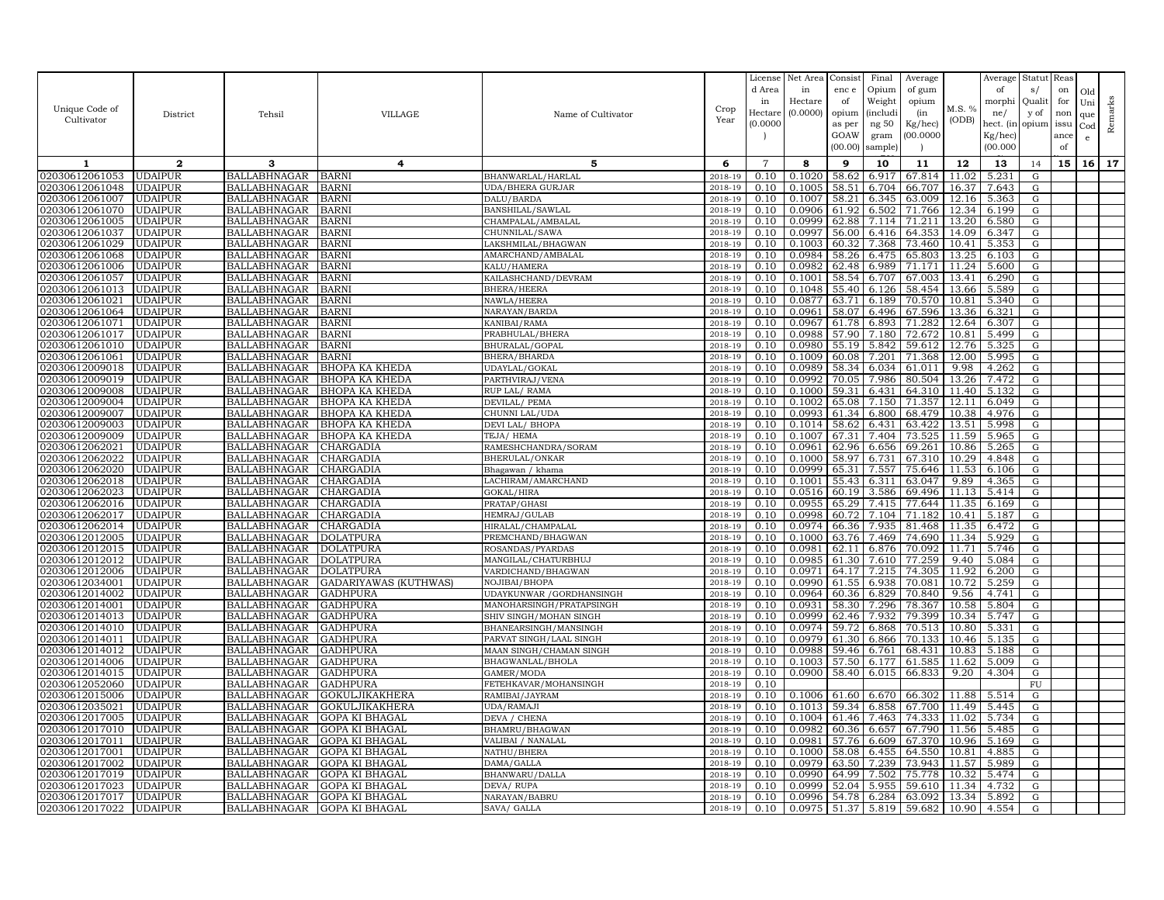|                                  |                                  |                                            |                                  |                                        |                    | License        | Net Area         | Consist        | Final             | Average          |                | Average        | Statut     | Reas |     |         |
|----------------------------------|----------------------------------|--------------------------------------------|----------------------------------|----------------------------------------|--------------------|----------------|------------------|----------------|-------------------|------------------|----------------|----------------|------------|------|-----|---------|
|                                  |                                  |                                            |                                  |                                        |                    | d Area         | in               | enc e          | Opium             | of gum           |                | of             | s/         | on   | Old |         |
|                                  |                                  |                                            |                                  |                                        |                    | in             | Hectare          | of             | Weight            | opium            | M.S. %         | morphi         | Qualit     | for  | Uni |         |
| Unique Code of                   | District                         | Tehsil                                     | <b>VILLAGE</b>                   | Name of Cultivator                     | Crop               | Hectar         | (0.0000)         | opium          | <i>(includi</i> ) | (in              |                | ne/            | y of       | non  | que |         |
| Cultivator                       |                                  |                                            |                                  |                                        | Year               | (0.0000)       |                  | as per         | ng 50             | Kg/hec)          | (ODB)          | hect. (in      | opium issu |      | Cod | Remarks |
|                                  |                                  |                                            |                                  |                                        |                    |                |                  | GOAW           | gram              | 00.0000          |                | Kg/hec)        |            | ance | e.  |         |
|                                  |                                  |                                            |                                  |                                        |                    |                |                  | (00.00)        | sample            |                  |                | (00.000)       |            | of   |     |         |
| 1                                | $\mathbf{2}$                     | 3                                          | 4                                | 5                                      | 6                  | $\overline{7}$ | 8                | 9              | 10                | 11               | 12             | 13             | 14         | 15   | 16  | 17      |
| 02030612061053                   | <b>UDAIPUR</b>                   | BALLABHNAGAR                               | BARNI                            | BHANWARLAL/HARLAL                      | 2018-19            | 0.10           | 0.1020           | 58.62          | 6.917             | 67.814           | 11.02          | 5.231          | G          |      |     |         |
| 02030612061048                   | <b>UDAIPUR</b>                   | <b>BALLABHNAGAR</b>                        | BARNI                            | <b>UDA/BHERA GURJAR</b>                | 2018-19            | 0.10           | 0.1005           | 58.51          | 6.704             | 66.707           | 16.37          | 7.643          | G          |      |     |         |
| 02030612061007                   | <b>UDAIPUR</b>                   | <b>BALLABHNAGAR</b>                        | BARNI                            | DALU/BARDA                             | 2018-19            | 0.10           | 0.1007           | 58.21          | 6.345             | 63.009           | 12.16          | 5.363          | G          |      |     |         |
| 02030612061070                   | <b>UDAIPUR</b>                   | <b>BALLABHNAGAR</b>                        | BARNI                            | BANSHILAL/SAWLAL                       | 2018-19            | 0.10           | 0.0906           | 61.92          | 6.502             | 71.766           | 12.34          | 6.199          | G          |      |     |         |
| 02030612061005                   | <b>UDAIPUR</b>                   | <b>BALLABHNAGAR</b>                        | <b>BARNI</b>                     | CHAMPALAL/AMBALAL                      | 2018-19            | 0.10           | 0.0999           | 62.88          | 7.114             | 71.211           | 13.20          | 6.580          | G          |      |     |         |
| 02030612061037                   | <b>UDAIPUR</b>                   | <b>BALLABHNAGAR</b>                        | BARNI                            | CHUNNILAL/SAWA                         | 2018-19            | 0.10           | 0.0997           | 56.00          | 6.416             | 64.353           | 14.09          | 6.347          | G          |      |     |         |
| 02030612061029                   | <b>UDAIPUR</b>                   | <b>BALLABHNAGAR</b>                        | BARNI                            | LAKSHMILAL/BHAGWAN                     | 2018-19            | 0.10           | 0.1003           | 60.32          | 7.368             | 73.460           | 10.41          | 5.353          | G          |      |     |         |
| 02030612061068                   | <b>UDAIPUR</b>                   | <b>BALLABHNAGAR</b>                        | BARNI                            | AMARCHAND/AMBALAL                      | 2018-19            | 0.10           | 0.0984           | 58.26          | 6.475             | 65.803           | 13.25          | 6.103          | G          |      |     |         |
| 02030612061006                   | <b>UDAIPUR</b>                   | <b>BALLABHNAGAR</b>                        | BARNI                            | KALU/HAMERA                            | 2018-19            | 0.10           | 0.0982           | 62.48          | 6.989             | 71.171           | 11.24          | 5.600          | G          |      |     |         |
| 02030612061057                   | <b>UDAIPUR</b>                   | <b>BALLABHNAGAR</b>                        | BARNI                            | KAILASHCHAND / DEVRAM                  | 2018-19            | 0.10           | 0.1001           | 58.54          | 6.707             | 67.003           | 13.41          | 6.290          | G          |      |     |         |
| 02030612061013                   | <b>UDAIPUR</b>                   | <b>BALLABHNAGAR</b>                        | BARNI                            | <b>BHERA/HEERA</b>                     | 2018-19            | 0.10           | 0.1048           | 55.40          | 6.126             | 58.454           | 13.66          | 5.589          | G          |      |     |         |
| 02030612061021<br>02030612061064 | <b>UDAIPUR</b><br><b>UDAIPUR</b> | <b>BALLABHNAGAR</b><br><b>BALLABHNAGAR</b> | BARNI                            | NAWLA/HEERA                            | 2018-19            | 0.10<br>0.10   | 0.0877<br>0.0961 | 63.71          | 6.189<br>6.496    | 70.570<br>67.596 | 10.81<br>13.36 | 5.340          | G          |      |     |         |
| 02030612061071                   | <b>UDAIPUR</b>                   | <b>BALLABHNAGAR</b>                        | BARNI<br>BARNI                   | NARAYAN/BARDA<br>KANIBAI/RAMA          | 2018-19<br>2018-19 | 0.10           | 0.0967           | 58.07<br>61.78 | 6.893             | 71.282           | 12.64          | 6.321<br>6.307 | G<br>G     |      |     |         |
| 02030612061017                   | <b>UDAIPUR</b>                   | <b>BALLABHNAGAR</b>                        | BARNI                            | PRABHULAL/BHERA                        | 2018-19            | 0.10           | 0.0988           | 57.90          | 7.180             | 72.672           | 10.81          | 5.499          | G          |      |     |         |
| 02030612061010                   | <b>UDAIPUR</b>                   | <b>BALLABHNAGAR</b>                        | <b>BARN</b>                      | BHURALAL/GOPAL                         | 2018-19            | 0.10           | 0.0980           | 55.19          | 5.842             | 59.612           | 12.76          | 5.325          | G          |      |     |         |
| 02030612061061                   | <b>UDAIPUR</b>                   | <b>BALLABHNAGAR</b>                        | BARNI                            | BHERA/BHARDA                           | 2018-19            | 0.10           | 0.1009           | 60.08          | 7.201             | 71.368           | 12.00          | 5.995          | G          |      |     |         |
| 02030612009018                   | <b>UDAIPUR</b>                   | <b>BALLABHNAGAR</b>                        | ВНОРА КА КНЕDА                   | UDAYLAL/GOKAL                          | 2018-19            | 0.10           | 0.0989           | 58.34          | 6.034             | 61.011           | 9.98           | 4.262          | G          |      |     |         |
| 02030612009019                   | <b>UDAIPUR</b>                   | <b>BALLABHNAGAR</b>                        | BHOPA KA KHEDA                   | PARTHVIRAJ/VENA                        | 2018-19            | 0.10           | 0.0992           | 70.05          | 7.986             | 80.504           | 13.26          | 7.472          | G          |      |     |         |
| 02030612009008                   | <b>UDAIPUR</b>                   | <b>BALLABHNAGAR</b>                        | BHOPA KA KHEDA                   | RUP LAL/ RAMA                          | 2018-19            | 0.10           | 0.1000           | 59.31          | 6.431             | 64.310           | 11.40          | 5.132          | G          |      |     |         |
| 02030612009004                   | <b>UDAIPUR</b>                   | <b>BALLABHNAGAR</b>                        | ВНОРА КА КНЕДА                   | DEVILAL/ PEMA                          | 2018-19            | 0.10           | 0.1002           | 65.08          | 7.150             | 71.357           | 12.11          | 6.049          | G          |      |     |         |
| 02030612009007                   | <b>UDAIPUR</b>                   | <b>BALLABHNAGAR</b>                        | BHOPA KA KHEDA                   | CHUNNI LAL/UDA                         | 2018-19            | 0.10           | 0.0993           |                | 61.34 6.800       | 68.479           | 10.38          | 4.976          | G          |      |     |         |
| 02030612009003                   | <b>UDAIPUR</b>                   | <b>BALLABHNAGAR</b>                        | ВНОРА КА КНЕДА                   | DEVI LAL/ BHOPA                        | 2018-19            | 0.10           | 0.1014           | 58.62          | 6.431             | 63.422           | 13.51          | 5.998          | G          |      |     |         |
| 02030612009009                   | UDAIPUR                          | <b>BALLABHNAGAR</b>                        | ВНОРА КА КНЕDА                   | TEJA/HEMA                              | 2018-19            | 0.10           | 0.1007           | 67.31          | 7.404             | 73.525           | 11.59          | 5.965          | G          |      |     |         |
| 02030612062021                   | <b>UDAIPUR</b>                   | <b>BALLABHNAGAR</b>                        | CHARGADIA                        | RAMESHCHANDRA/SORAM                    | 2018-19            | 0.10           | 0.0961           | 62.96          | 6.656             | 69.261           | 10.86          | 5.265          | ${\rm G}$  |      |     |         |
| 02030612062022                   | <b>UDAIPUR</b>                   | <b>BALLABHNAGAR</b>                        | CHARGADIA                        | BHERULAL/ONKAR                         | 2018-19            | 0.10           | 0.1000           | 58.97          | 6.731             | 67.310           | 10.29          | 4.848          | G          |      |     |         |
| 02030612062020                   | <b>UDAIPUR</b>                   | <b>BALLABHNAGAR</b>                        | CHARGADIA                        | Bhagawan / khama                       | 2018-19            | 0.10           | 0.0999           | 65.31          | 7.557             | 75.646           | 11.53          | 6.106          | G          |      |     |         |
| 02030612062018                   | <b>UDAIPUR</b>                   | <b>BALLABHNAGAR</b>                        | CHARGADIA                        | LACHIRAM/AMARCHAND                     | 2018-19            | 0.10           | 0.1001           | 55.43          | 6.311             | 63.047           | 9.89           | 4.365          | G          |      |     |         |
| 02030612062023                   | <b>UDAIPUR</b>                   | <b>BALLABHNAGAR</b>                        | CHARGADIA                        | GOKAL/HIRA                             | 2018-19            | 0.10           | 0.0516           | 60.19          | 3.586             | 69.496           | 11.13          | 5.414          | G          |      |     |         |
| 02030612062016                   | <b>UDAIPUR</b>                   | <b>BALLABHNAGAR</b>                        | CHARGADIA                        | PRATAP/GHASI                           | 2018-19            | 0.10           | 0.0955           | 65.29          | 7.415             | 77.644           | 11.35          | 6.169          | G          |      |     |         |
| 02030612062017<br>02030612062014 | <b>UDAIPUR</b><br><b>UDAIPUR</b> | <b>BALLABHNAGAR</b><br><b>BALLABHNAGAR</b> | CHARGADIA<br>CHARGADIA           | HEMRAJ/GULAB                           | 2018-19<br>2018-19 | 0.10<br>0.10   | 0.0998<br>0.0974 | 60.72          | 7.104<br>7.935    | 71.182<br>81.468 | 10.41          | 5.187<br>6.472 | G          |      |     |         |
| 02030612012005                   | <b>UDAIPUR</b>                   | <b>BALLABHNAGAR</b>                        | DOLATPURA                        | HIRALAL/CHAMPALAL<br>PREMCHAND/BHAGWAN | 2018-19            | 0.10           | 0.1000           | 66.36<br>63.76 | 7.469             | 74.690           | 11.35<br>11.34 | 5.929          | G<br>G     |      |     |         |
| 02030612012015                   | <b>UDAIPUR</b>                   | <b>BALLABHNAGAR</b>                        | DOLATPURA                        | ROSANDAS/PYARDAS                       | 2018-19            | 0.10           | 0.0981           | 62.11          | 6.876             | 70.092           | 11.71          | 5.746          | G          |      |     |         |
| 02030612012012                   | <b>UDAIPUR</b>                   | <b>BALLABHNAGAR</b>                        | DOLATPURA                        | MANGILAL/CHATURBHU、                    | 2018-19            | 0.10           | 0.0985           | 61.30          | 7.610             | 77.259           | 9.40           | 5.084          | G          |      |     |         |
| 02030612012006                   | <b>UDAIPUR</b>                   | <b>BALLABHNAGAR</b>                        | DOLATPURA                        | VARDICHAND/BHAGWAN                     | 2018-19            | 0.10           | 0.0971           | 64.17          | 7.215             | 74.305           | 11.92          | 6.200          | ${\rm G}$  |      |     |         |
| 02030612034001                   | <b>UDAIPUR</b>                   | <b>BALLABHNAGAR</b>                        | GADARIYAWAS (KUTHWAS)            | NOJIBAI/BHOPA                          | 2018-19            | 0.10           | 0.0990           | 61.55          | 6.938             | 70.081           | 10.72          | 5.259          | G          |      |     |         |
| 02030612014002                   | <b>UDAIPUR</b>                   | <b>BALLABHNAGAR</b>                        | GADHPURA                         | UDAYKUNWAR / GORDHANSINGH              | 2018-19            | 0.10           | 0.0964           | 60.36          | 6.829             | 70.840           | 9.56           | 4.741          | G          |      |     |         |
| 02030612014001                   | <b>UDAIPUR</b>                   | <b>BALLABHNAGAR</b>                        | GADHPURA                         | MANOHARSINGH/PRATAPSINGH               | 2018-19            | 0.10           | 0.0931           | 58.30          | 7.296             | 78.367           | 10.58          | 5.804          | G          |      |     |         |
| 02030612014013                   | <b>UDAIPUR</b>                   | <b>BALLABHNAGAR</b>                        | GADHPURA                         | SHIV SINGH/MOHAN SINGH                 | 2018-19            | 0.10           | 0.0999           | 62.46          | 7.932             | 79.399           | 10.34          | 5.747          | G          |      |     |         |
| 02030612014010                   | <b>UDAIPUR</b>                   | <b>BALLABHNAGAR</b>                        | GADHPURA                         | BHANEARSINGH/MANSINGH                  | 2018-19            | 0.10           | 0.0974           | 59.72          | 6.868             | 70.513           | 10.80          | 5.331          | G          |      |     |         |
| 02030612014011                   | <b>UDAIPUR</b>                   | <b>BALLABHNAGAR</b>                        | GADHPURA                         | PARVAT SINGH/LAAL SINGH                | 2018-19            | 0.10           | 0.0979           | 61.30          | 6.866             | 70.133           | 10.46          | 5.135          | G          |      |     |         |
| 02030612014012                   | <b>UDAIPUR</b>                   | <b>BALLABHNAGAR</b>                        | GADHPURA                         | MAAN SINGH/CHAMAN SINGH                | 2018-19            | 0.10           | 0.0988           | 59.46          | 6.761             | 68.431           | 10.83          | 5.188          | G          |      |     |         |
| 02030612014006                   | <b>UDAIPUR</b>                   | <b>BALLABHNAGAR</b>                        | <b>GADHPURA</b>                  | BHAGWANLAL/BHOLA                       | 2018-19            | 0.10           | 0.1003           |                | 57.50 6.177       | 61.585           | 11.62          | 5.009          | G          |      |     |         |
| 02030612014015                   | <b>UDAIPUR</b>                   | <b>BALLABHNAGAR</b>                        | GADHPURA                         | GAMER/MODA                             | 2018-19            | 0.10           | 0.0900           | 58.40          | 6.015             | 66.833           | 9.20           | 4.304          | G          |      |     |         |
| 02030612052060                   | <b>UDAIPUR</b>                   | <b>BALLABHNAGAR</b>                        | GADHPURA                         | FETEHKAVAR/MOHANSINGH                  | 2018-19            | 0.10           |                  |                |                   |                  |                |                | ${\rm FU}$ |      |     |         |
| 02030612015006                   | <b>UDAIPUR</b>                   | <b>BALLABHNAGAR</b>                        | GOKULJIKAKHERA                   | RAMIBAI/JAYRAM                         | 2018-19            | 0.10           | 0.1006           | 61.60          | 6.670             | 66.302           | 11.88          | 5.514          | ${\rm G}$  |      |     |         |
| 02030612035021<br>02030612017005 | <b>UDAIPUR</b><br><b>UDAIPUR</b> | <b>BALLABHNAGAR</b><br><b>BALLABHNAGAR</b> | GOKULJIKAKHERA<br>GOPA KI BHAGAL | UDA/RAMAJI<br>DEVA / CHENA             | 2018-19<br>2018-19 | 0.10<br>0.10   | 0.1013<br>0.1004 | 59.34<br>61.46 | 6.858<br>7.463    | 67.700<br>74.333 | 11.49<br>11.02 | 5.445<br>5.734 | G<br>G     |      |     |         |
| 02030612017010                   | <b>UDAIPUR</b>                   | <b>BALLABHNAGAR</b>                        | GOPA KI BHAGAL                   | BHAMRU/BHAGWAN                         | 2018-19            | 0.10           | 0.0982           | 60.36          | 6.657             | 67.790           | 11.56          | 5.485          | G          |      |     |         |
| 02030612017011                   | <b>UDAIPUR</b>                   | <b>BALLABHNAGAR</b>                        | GOPA KI BHAGAL                   | VALIBAI / NANALAL                      | 2018-19            | 0.10           | 0.0981           | 57.76          | 6.609             | 67.370           | 10.96          | 5.169          | G          |      |     |         |
| 02030612017001                   | <b>UDAIPUR</b>                   | <b>BALLABHNAGAR</b>                        | GOPA KI BHAGAL                   | NATHU/BHERA                            | 2018-19            | 0.10           | 0.1000           | 58.08          | 6.455             | 64.550           | 10.81          | 4.885          | G          |      |     |         |
| 02030612017002                   | <b>UDAIPUR</b>                   | <b>BALLABHNAGAR</b>                        | GOPA KI BHAGAL                   | DAMA/GALLA                             | 2018-19            | 0.10           | 0.0979           | 63.50          | 7.239             | 73.943           | 11.57          | 5.989          | G          |      |     |         |
| 02030612017019                   | <b>UDAIPUR</b>                   | <b>BALLABHNAGAR</b>                        | GOPA KI BHAGAL                   | BHANWARU/DALLA                         | 2018-19            | 0.10           | 0.0990           | 64.99          | 7.502             | 75.778           | 10.32          | 5.474          | G          |      |     |         |
| 02030612017023                   | <b>UDAIPUR</b>                   | <b>BALLABHNAGAR</b>                        | GOPA KI BHAGAL                   | DEVA/RUPA                              | 2018-19            | 0.10           | 0.0999           | 52.04          | 5.955             | 59.610           | 11.34          | 4.732          | G          |      |     |         |
| 02030612017017                   | <b>UDAIPUR</b>                   | <b>BALLABHNAGAR</b>                        | GOPA KI BHAGAL                   | NARAYAN/BABRU                          | 2018-19            | 0.10           | 0.0996           | 54.78          | 6.284             | 63.092           | 13.34          | 5.892          | G          |      |     |         |
| 02030612017022                   | <b>UDAIPUR</b>                   | <b>BALLABHNAGAR</b>                        | GOPA KI BHAGAL                   | SAVA/ GALLA                            | 2018-19            | 0.10           | 0.0975           | 51.37          | 5.819             | 59.682           | 10.90          | 4.554          | G          |      |     |         |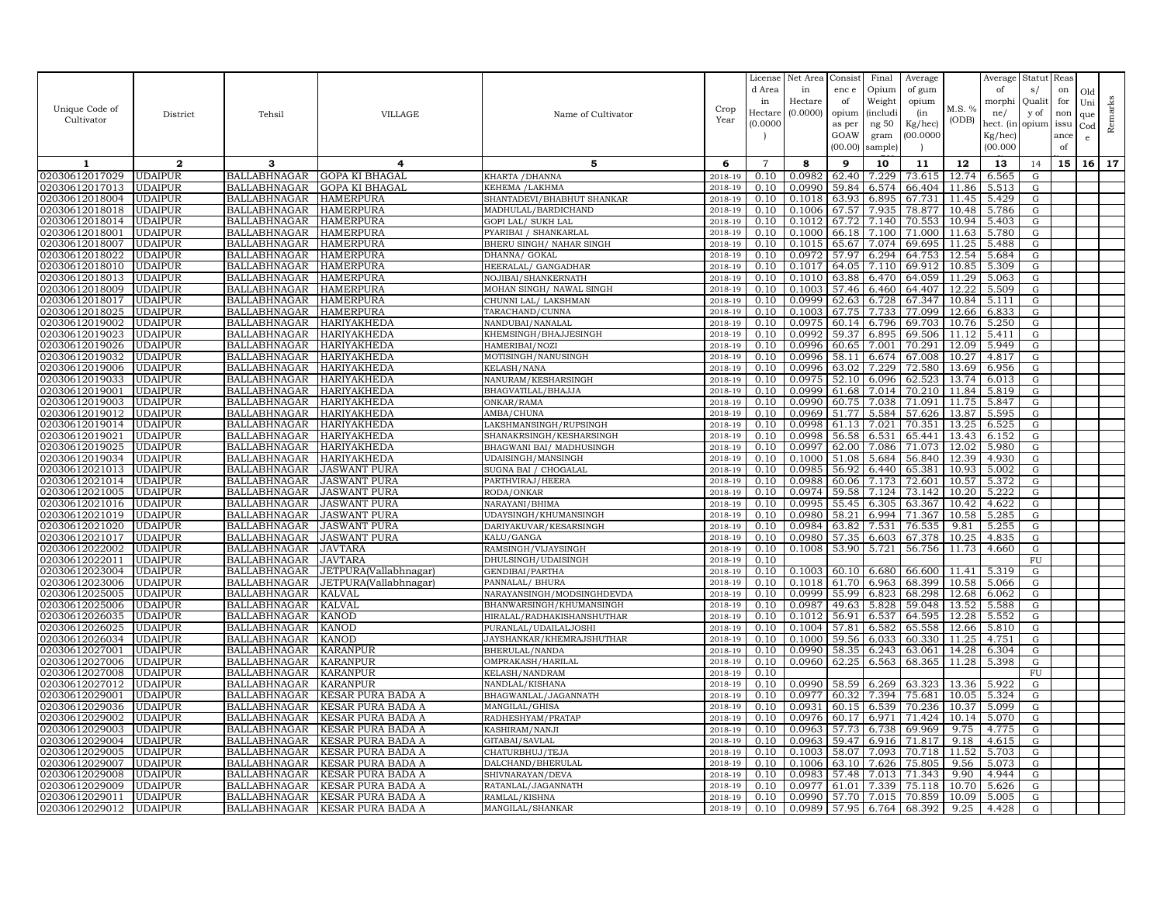| Unique Code of<br>Cultivator     | District                         | Tehsil                                     | VILLAGE                                        | Name of Cultivator                                 | Crop<br>Year       | License<br>d Area<br>in<br>Hectare<br>(0.0000) | Net Area<br>in<br>Hectare<br>(0.0000) | Consist<br>enc e<br>of<br>opium<br>as per<br>GOAW<br>(00.00) | Final<br>Opium<br>Weight<br><i>(includi</i><br>ng 50<br>gram<br>sample | Average<br>of gum<br>opium<br>(in<br>Kg/hec)<br>(00.0000) | M.S. %<br>(ODB) | Average<br>of<br>morphi<br>ne/<br>hect. (in<br>Kg/hec)<br>(00.000) | Statut<br>s/<br>Qualit<br>y of<br>opium | Reas<br>on<br>for<br>non<br>issu<br>ance<br>of | Old<br>Uni<br>que<br>Cod<br>e | Remarks |
|----------------------------------|----------------------------------|--------------------------------------------|------------------------------------------------|----------------------------------------------------|--------------------|------------------------------------------------|---------------------------------------|--------------------------------------------------------------|------------------------------------------------------------------------|-----------------------------------------------------------|-----------------|--------------------------------------------------------------------|-----------------------------------------|------------------------------------------------|-------------------------------|---------|
| 1                                | $\mathbf{2}$                     | 3                                          | 4                                              | 5                                                  | 6                  | $\overline{7}$                                 | 8                                     | 9                                                            | 10                                                                     | 11                                                        | 12              | 13                                                                 | 14                                      | 15                                             | 16                            | 17      |
| 02030612017029                   | <b>UDAIPUR</b>                   | BALLABHNAGAR                               | <b>GOPA KI BHAGAL</b>                          | KHARTA / DHANNA                                    | 2018-19            | 0.10                                           | 0.0982                                | 62.40                                                        | 7.229                                                                  | 73.615                                                    | 12.74           | 6.565                                                              | G                                       |                                                |                               |         |
| 02030612017013                   | UDAIPUR                          | <b>BALLABHNAGAR</b>                        | <b>GOPA KI BHAGAL</b>                          | KEHEMA /LAKHMA                                     | 2018-19            | 0.10                                           | 0.0990                                | 59.84                                                        | 6.574                                                                  | 66.404                                                    | 11.86           | 5.513                                                              | G                                       |                                                |                               |         |
| 02030612018004                   | <b>UDAIPUR</b>                   | BALLABHNAGAR                               | <b>HAMERPURA</b>                               | SHANTADEVI/BHABHUT SHANKAR                         | $2018 - 1$         | 0.10                                           | 0.1018                                | 63.93                                                        | 6.895                                                                  | 67.731                                                    | 11.45           | 5.429                                                              | G                                       |                                                |                               |         |
| 02030612018018                   | <b>UDAIPUR</b>                   | BALLABHNAGAR                               | <b>HAMERPURA</b>                               | MADHULAL/BARDICHAND                                | 2018-19            | 0.10                                           | 0.1006                                | 67.57                                                        | 7.935                                                                  | 78.877                                                    | 10.48           | 5.786                                                              | G                                       |                                                |                               |         |
| 02030612018014                   | <b>UDAIPUR</b>                   | <b>BALLABHNAGAR</b>                        | <b>HAMERPURA</b>                               | GOPI LAL/ SUKH LAL                                 | 2018-19            | 0.10                                           | 0.1012                                | 67.72                                                        | 7.140                                                                  | 70.553                                                    | 10.94           | 5.403                                                              | G                                       |                                                |                               |         |
| 02030612018001                   | <b>UDAIPUR</b>                   | <b>BALLABHNAGAR</b>                        | <b>HAMERPURA</b>                               | PYARIBAI / SHANKARLAL                              | 2018-19            | 0.10                                           | 0.1000                                | 66.18                                                        | 7.100                                                                  | 71.000                                                    | 11.63           | 5.780                                                              | G                                       |                                                |                               |         |
| 02030612018007                   | <b>UDAIPUR</b>                   | <b>BALLABHNAGAR</b>                        | <b>HAMERPURA</b>                               | BHERU SINGH/ NAHAR SINGH                           | 2018-19            | 0.10                                           | 0.1015                                |                                                              | 65.67 7.074                                                            | 69.695                                                    | 11.25           | 5.488                                                              | ${\rm G}$                               |                                                |                               |         |
| 02030612018022                   | <b>UDAIPUR</b>                   | <b>BALLABHNAGAR</b>                        | <b>HAMERPURA</b>                               | DHANNA/ GOKAL                                      | 2018-19            | 0.10                                           | 0.0972                                | 57.97                                                        | 6.294                                                                  | 64.753                                                    | 12.54           | 5.684                                                              | G                                       |                                                |                               |         |
| 02030612018010                   | <b>UDAIPUR</b><br><b>UDAIPUR</b> | <b>BALLABHNAGAR</b>                        | <b>HAMERPURA</b>                               | HEERALAL/ GANGADHAR                                | 2018-19<br>2018-19 | 0.10                                           | 0.1017                                | 64.05                                                        | 7.110<br>6.470                                                         | 69.912                                                    | 10.85<br>11.29  | 5.309                                                              | G                                       |                                                |                               |         |
| 02030612018013<br>02030612018009 | <b>UDAIPUR</b>                   | BALLABHNAGAR<br><b>BALLABHNAGAR</b>        | <b>HAMERPURA</b><br><b>HAMERPURA</b>           | NOJIBAI/SHANKERNATH<br>MOHAN SINGH / NAWAL SINGH   | 2018-19            | 0.10<br>0.10                                   | 0.1010<br>0.1003                      | 63.88<br>57.46                                               | 6.460                                                                  | 64.059<br>64.407                                          | 12.22           | 5.063<br>5.509                                                     | G<br>G                                  |                                                |                               |         |
| 02030612018017                   | <b>UDAIPUR</b>                   | <b>BALLABHNAGAR</b>                        | <b>HAMERPURA</b>                               | CHUNNI LAL/ LAKSHMAN                               | 2018-19            | 0.10                                           | 0.0999                                | 62.63                                                        | 6.728                                                                  | 67.347                                                    | 10.84           | 5.111                                                              | G                                       |                                                |                               |         |
| 02030612018025                   | <b>UDAIPUR</b>                   | BALLABHNAGAR                               | <b>HAMERPURA</b>                               | TARACHAND/CUNNA                                    | 2018-19            | 0.10                                           | 0.1003                                | 67.75                                                        | 7.733                                                                  | 77.099                                                    | 12.66           | 6.833                                                              | G                                       |                                                |                               |         |
| 02030612019002                   | <b>UDAIPUR</b>                   | <b>BALLABHNAGAR</b>                        | HARIYAKHEDA                                    | NANDUBAI/NANALAL                                   | 2018-19            | 0.10                                           | 0.0975                                | 60.14                                                        | 6.796                                                                  | 69.703                                                    | 10.76           | 5.250                                                              | ${\rm G}$                               |                                                |                               |         |
| 02030612019023                   | <b>UDAIPUR</b>                   | <b>BALLABHNAGAR</b>                        | <b>HARIYAKHEDA</b>                             | KHEMSINGH/BHAJJESINGH                              | 2018-19            | 0.10                                           | 0.0992                                | 59.37                                                        | 6.895                                                                  | 69.506                                                    | 11.12           | 5.411                                                              | $\mathbf G$                             |                                                |                               |         |
| 02030612019026                   | <b>UDAIPUR</b>                   | BALLABHNAGAR                               | HARIYAKHEDA                                    | HAMERIBAI/NOZI                                     | 2018-19            | 0.10                                           | 0.0996                                | 60.65                                                        | 7.001                                                                  | 70.291                                                    | 12.09           | 5.949                                                              | G                                       |                                                |                               |         |
| 02030612019032                   | <b>UDAIPUR</b>                   | <b>BALLABHNAGAR</b>                        | HARIYAKHEDA                                    | MOTISINGH/NANUSINGH                                | 2018-19            | 0.10                                           | 0.0996                                | 58.11                                                        | 6.674                                                                  | 67.008                                                    | 10.27           | 4.817                                                              | G                                       |                                                |                               |         |
| 02030612019006                   | <b>UDAIPUR</b>                   | <b>BALLABHNAGAR</b>                        | HARIYAKHEDA                                    | <b>KELASH/NANA</b>                                 | 2018-19            | 0.10                                           | 0.0996                                | 63.02                                                        | 7.229                                                                  | 72.580                                                    | 13.69           | 6.956                                                              | $\mathbf G$                             |                                                |                               |         |
| 02030612019033                   | <b>UDAIPUR</b>                   | BALLABHNAGAR                               | HARIYAKHEDA                                    | NANURAM/KESHARSINGH                                | 2018-19            | 0.10                                           | 0.0975                                | 52.10                                                        | 6.096                                                                  | 62.523                                                    | 13.74           | 6.013                                                              | G                                       |                                                |                               |         |
| 02030612019001                   | <b>UDAIPUR</b>                   | BALLABHNAGAR                               | <b>HARIYAKHEDA</b>                             | BHAGVATILAL/BHAJJA                                 | 2018-19            | 0.10                                           | 0.0999                                | 61.68                                                        | 7.014                                                                  | 70.210                                                    | 11.84           | 5.819                                                              | G                                       |                                                |                               |         |
| 02030612019003                   | <b>UDAIPUR</b>                   | <b>BALLABHNAGAR</b>                        | HARIYAKHEDA                                    | ONKAR/RAMA                                         | 2018-19            | 0.10                                           | 0.0990                                | 60.75                                                        | 7.038                                                                  | 71.091                                                    | 11.75           | 5.847                                                              | ${\rm G}$                               |                                                |                               |         |
| 02030612019012                   | <b>UDAIPUR</b>                   | BALLABHNAGAR                               | HARIYAKHEDA                                    | AMBA/CHUNA                                         | 2018-19            | 0.10                                           | 0.0969                                | 51.77                                                        | 5.584                                                                  | 57.626                                                    | 13.87           | 5.595                                                              | G                                       |                                                |                               |         |
| 02030612019014<br>02030612019021 | <b>UDAIPUR</b><br><b>UDAIPUR</b> | <b>BALLABHNAGAR</b><br>BALLABHNAGAR        | <b>HARIYAKHEDA</b><br><b>HARIYAKHEDA</b>       | LAKSHMANSINGH/RUPSINGH<br>SHANAKRSINGH/KESHARSINGH | 2018-19<br>2018-19 | 0.10<br>0.10                                   | 0.0998<br>0.0998                      | 61.13<br>56.58                                               | 7.021<br>6.531                                                         | 70.351<br>65.441                                          | 13.25<br>13.43  | 6.525<br>6.152                                                     | G<br>G                                  |                                                |                               |         |
| 02030612019025                   | <b>UDAIPUR</b>                   | <b>BALLABHNAGAR</b>                        | HARIYAKHEDA                                    | BHAGWANI BAI/ MADHUSINGH                           | 2018-19            | 0.10                                           | 0.0997                                | 62.00                                                        | 7.086                                                                  | 71.073                                                    | 12.02           | 5.980                                                              | G                                       |                                                |                               |         |
| 02030612019034                   | <b>UDAIPUR</b>                   | BALLABHNAGAR                               | <b>HARIYAKHEDA</b>                             | UDAISINGH/MANSINGH                                 | 2018-19            | 0.10                                           | 0.1000                                | 51.08                                                        | 5.684                                                                  | 56.840                                                    | 12.39           | 4.930                                                              | G                                       |                                                |                               |         |
| 02030612021013                   | <b>UDAIPUR</b>                   | <b>BALLABHNAGAR</b>                        | JASWANT PURA                                   | SUGNA BAI / CHOGALAL                               | 2018-19            | 0.10                                           | 0.0985                                | 56.92                                                        | 6.440                                                                  | 65.381                                                    | 10.93           | 5.002                                                              | G                                       |                                                |                               |         |
| 02030612021014                   | <b>UDAIPUR</b>                   | <b>BALLABHNAGAR</b>                        | <b>JASWANT PURA</b>                            | PARTHVIRAJ/HEERA                                   | 2018-19            | 0.10                                           | 0.0988                                | 60.06                                                        | 7.173                                                                  | 72.601                                                    | 10.57           | 5.372                                                              | G                                       |                                                |                               |         |
| )2030612021005                   | <b>UDAIPUR</b>                   | <b>BALLABHNAGAR</b>                        | <b>JASWANT PURA</b>                            | RODA/ONKAR                                         | 2018-19            | 0.10                                           | 0.0974                                | 59.58                                                        | 7.124                                                                  | 73.142                                                    | 10.20           | 5.222                                                              | ${\rm G}$                               |                                                |                               |         |
| 02030612021016                   | <b>UDAIPUR</b>                   | <b>BALLABHNAGAR</b>                        | JASWANT PURA                                   | NARAYANI/BHIMA                                     | 2018-19            | 0.10                                           | 0.0995                                | 55.45                                                        | 6.305                                                                  | 63.367                                                    | 10.42           | 4.622                                                              | G                                       |                                                |                               |         |
| 02030612021019                   | <b>UDAIPUR</b>                   | <b>BALLABHNAGAR</b>                        | <b>JASWANT PURA</b>                            | UDAYSINGH/KHUMANSINGH                              | 2018-19            | 0.10                                           | 0.0980                                | 58.21                                                        | 6.994                                                                  | 71.367                                                    | 10.58           | 5.285                                                              | G                                       |                                                |                               |         |
| 02030612021020                   | UDAIPUR                          | <b>BALLABHNAGAR</b>                        | JASWANT PURA                                   | DARIYAKUVAR/KESARSINGH                             | 2018-19            | 0.10                                           | 0.0984                                | 63.82                                                        | 7.531                                                                  | 76.535                                                    | 9.81            | 5.255                                                              | G                                       |                                                |                               |         |
| 02030612021017                   | <b>UDAIPUR</b>                   | <b>BALLABHNAGAR</b>                        | JASWANT PURA                                   | KALU/GANGA                                         | 2018-19            | 0.10                                           | 0.0980                                | 57.35                                                        | 6.603                                                                  | 67.378                                                    | 10.25           | 4.835                                                              | G                                       |                                                |                               |         |
| 02030612022002                   | <b>UDAIPUR</b>                   | <b>BALLABHNAGAR</b>                        | <b>JAVTARA</b>                                 | RAMSINGH/VIJAYSINGH                                | 2018-19            | 0.10                                           | 0.1008                                | 53.90                                                        | 5.721                                                                  | 56.756                                                    | 11.73           | 4.660                                                              | G                                       |                                                |                               |         |
| 02030612022011<br>02030612023004 | <b>UDAIPUR</b><br><b>UDAIPUR</b> | BALLABHNAGAR<br>BALLABHNAGAR               | JAVTARA                                        | DHULSINGH/UDAISINGH<br>GENDIBAI/PARTHA             | 2018-19<br>2018-19 | 0.10<br>0.10                                   | 0.1003                                |                                                              | 60.10 6.680                                                            | 66.600                                                    | 11.41           | 5.319                                                              | FU<br>$\mathbf G$                       |                                                |                               |         |
| 02030612023006                   | <b>UDAIPUR</b>                   | <b>BALLABHNAGAR</b>                        | JETPURA(Vallabhnagar)<br>JETPURA(Vallabhnagar) | PANNALAL/ BHURA                                    | 2018-19            | 0.10                                           | 0.1018                                | 61.70                                                        | 6.963                                                                  | 68.399                                                    | 10.58           | 5.066                                                              | G                                       |                                                |                               |         |
| 02030612025005                   | <b>UDAIPUR</b>                   | <b>BALLABHNAGAR</b>                        | <b>KALVAL</b>                                  | NARAYANSINGH/MODSINGHDEVDA                         | 2018-19            | 0.10                                           | 0.0999                                | 55.99                                                        | 6.823                                                                  | 68.298                                                    | 12.68           | 6.062                                                              | G                                       |                                                |                               |         |
| 02030612025006                   | <b>UDAIPUR</b>                   | <b>BALLABHNAGAR</b>                        | <b>KALVAL</b>                                  | BHANWARSINGH/KHUMANSINGH                           | 2018-19            | 0.10                                           | 0.0987                                | 49.63                                                        | 5.828                                                                  | 59.048                                                    | 13.52           | 5.588                                                              | G                                       |                                                |                               |         |
| 02030612026035                   | <b>UDAIPUR</b>                   | <b>BALLABHNAGAR</b>                        | <b>KANOD</b>                                   | HIRALAL/RADHAKISHANSHUTHAR                         | 2018-19            | 0.10                                           | 0.1012                                | 56.91                                                        | 6.537                                                                  | 64.595                                                    | 12.28           | 5.552                                                              | ${\rm G}$                               |                                                |                               |         |
| 02030612026025                   | <b>UDAIPUR</b>                   | BALLABHNAGAR                               | <b>KANOD</b>                                   | PURANLAL/UDAILALJOSHI                              | 2018-19            | 0.10                                           | 0.1004                                | 57.81                                                        | 6.582                                                                  | 65.558                                                    | 12.66           | 5.810                                                              | G                                       |                                                |                               |         |
| 02030612026034                   | <b>UDAIPUR</b>                   | <b>BALLABHNAGAR</b>                        | KANOD                                          | JAYSHANKAR/KHEMRAJSHUTHAR                          | 2018-19            | 0.10                                           | 0.1000                                | 59.56                                                        | 6.033                                                                  | 60.330                                                    | 11.25           | 4.751                                                              | G                                       |                                                |                               |         |
| 02030612027001                   | <b>UDAIPUR</b>                   | <b>BALLABHNAGAR</b>                        | <b>KARANPUR</b>                                | BHERULAL/NANDA                                     | 2018-19            | 0.10                                           | 0.0990                                | 58.35                                                        | 6.243                                                                  | 63.061                                                    | 14.28           | 6.304                                                              | ${\rm G}$                               |                                                |                               |         |
| 02030612027006                   | <b>UDAIPUR</b>                   | <b>BALLABHNAGAR</b>                        | <b>KARANPUR</b>                                | OMPRAKASH/HARILAL                                  | 2018-19            | 0.10                                           | 0.0960                                | 62.25                                                        | 6.563                                                                  | 68.365                                                    |                 | 11.28 5.398                                                        | G                                       |                                                |                               |         |
| 02030612027008                   | <b>UDAIPUR</b>                   | <b>BALLABHNAGAR</b>                        | <b>KARANPUR</b>                                | KELASH/NANDRAM                                     | 2018-19            | 0.10                                           |                                       |                                                              |                                                                        |                                                           |                 |                                                                    | FU                                      |                                                |                               |         |
| 02030612027012                   | <b>UDAIPUR</b>                   | <b>BALLABHNAGAR</b>                        | <b>KARANPUR</b>                                | NANDLAL/KISHANA                                    | 2018-19            | 0.10                                           | 0.0990                                | 58.59                                                        | 6.269                                                                  | 63.323                                                    | 13.36           | 5.922                                                              | G                                       |                                                |                               |         |
| 02030612029001                   | <b>UDAIPUR</b><br><b>UDAIPUR</b> | <b>BALLABHNAGAR</b><br><b>BALLABHNAGAR</b> | KESAR PURA BADA A<br><b>KESAR PURA BADA A</b>  | BHAGWANLAL/JAGANNATH<br>MANGILAL/GHISA             | 2018-19<br>2018-19 | 0.10<br>0.10                                   | 0.0977<br>0.0931                      | 60.32<br>60.15                                               | 7.394                                                                  | 75.681<br>70.236                                          | 10.05<br>10.37  | 5.324<br>5.099                                                     | ${\rm G}$<br>G                          |                                                |                               |         |
| 02030612029036<br>02030612029002 | <b>UDAIPUR</b>                   | BALLABHNAGAR                               | KESAR PURA BADA A                              | RADHESHYAM/PRATAP                                  | 2018-19            | 0.10                                           | 0.0976                                | 60.17                                                        | 6.539<br>6.971                                                         | 71.424                                                    | 10.14           | 5.070                                                              | G                                       |                                                |                               |         |
| 02030612029003                   | <b>UDAIPUR</b>                   | <b>BALLABHNAGAR</b>                        | <b>KESAR PURA BADA A</b>                       | KASHIRAM/NANJI                                     | 2018-19            | 0.10                                           | 0.0963                                | 57.73                                                        | 6.738                                                                  | 69.969                                                    | 9.75            | 4.775                                                              | G                                       |                                                |                               |         |
| 02030612029004                   | <b>UDAIPUR</b>                   | <b>BALLABHNAGAR</b>                        | <b>KESAR PURA BADA A</b>                       | GITABAI/SAVLAL                                     | 2018-19            | 0.10                                           | 0.0963                                | 59.47                                                        | 6.916                                                                  | 71.817                                                    | 9.18            | 4.615                                                              | ${\rm G}$                               |                                                |                               |         |
| 02030612029005                   | <b>UDAIPUR</b>                   | BALLABHNAGAR                               | <b>KESAR PURA BADA A</b>                       | CHATURBHUJ/TEJA                                    | 2018-19            | 0.10                                           | 0.1003                                | 58.07                                                        | 7.093                                                                  | 70.718                                                    | 11.52           | 5.703                                                              | G                                       |                                                |                               |         |
| 02030612029007                   | <b>UDAIPUR</b>                   | <b>BALLABHNAGAR</b>                        | <b>KESAR PURA BADA A</b>                       | DALCHAND/BHERULAL                                  | 2018-19            | 0.10                                           | 0.1006                                | 63.10                                                        | 7.626                                                                  | 75.805                                                    | 9.56            | 5.073                                                              | G                                       |                                                |                               |         |
| 02030612029008                   | <b>UDAIPUR</b>                   | <b>BALLABHNAGAR</b>                        | <b>KESAR PURA BADA A</b>                       | SHIVNARAYAN/DEVA                                   | 2018-19            | 0.10                                           | 0.0983                                | 57.48                                                        | 7.013                                                                  | 71.343                                                    | 9.90            | 4.944                                                              | G                                       |                                                |                               |         |
| 02030612029009                   | <b>UDAIPUR</b>                   | BALLABHNAGAR                               | KESAR PURA BADA A                              | RATANLAL/JAGANNATH                                 | 2018-19            | 0.10                                           | 0.0977                                | 61.01                                                        | 7.339                                                                  | 75.118                                                    | 10.70           | 5.626                                                              | G                                       |                                                |                               |         |
| 02030612029011                   | <b>UDAIPUR</b>                   | BALLABHNAGAR                               | <b>KESAR PURA BADA A</b>                       | RAMLAL/KISHNA                                      | 2018-19            | 0.10                                           | 0.0990                                | 57.70                                                        | 7.015                                                                  | 70.859                                                    | 10.09           | 5.005                                                              | G                                       |                                                |                               |         |
| 02030612029012                   | <b>UDAIPUR</b>                   |                                            | BALLABHNAGAR   KESAR PURA BADA A               | MANGILAL/SHANKAR                                   | 2018-19            | 0.10                                           | 0.0989                                | 57.95                                                        | 6.764                                                                  | 68.392                                                    | 9.25            | 4.428                                                              | G                                       |                                                |                               |         |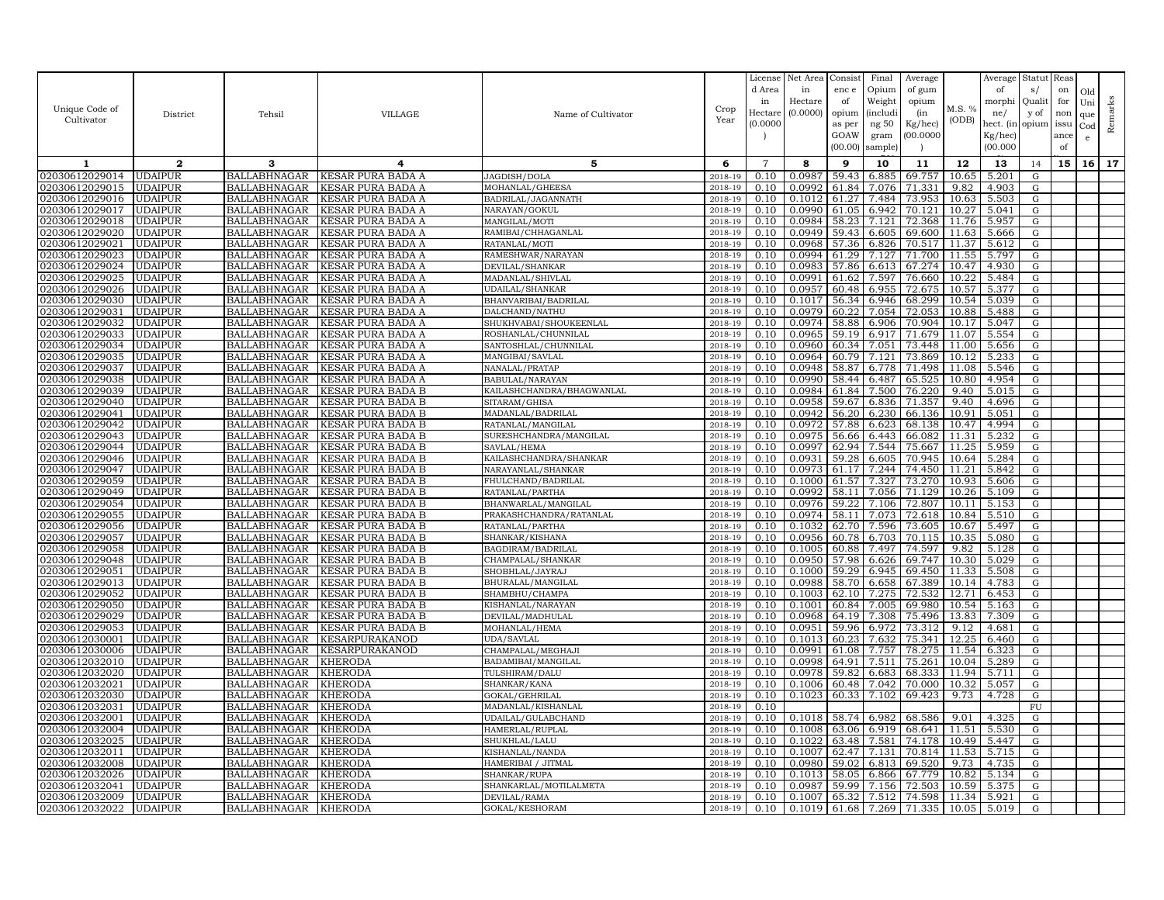|                                  |                                  |                                            |                                        |                                            |                    | License        | Net Area         | Consist        | Final          | Average          |               | Average            | Statut Reas |      |              |         |
|----------------------------------|----------------------------------|--------------------------------------------|----------------------------------------|--------------------------------------------|--------------------|----------------|------------------|----------------|----------------|------------------|---------------|--------------------|-------------|------|--------------|---------|
|                                  |                                  |                                            |                                        |                                            |                    | d Area         | in               | enc e          | Opium          | of gum           |               | of                 | s/          | on   | Old          |         |
|                                  |                                  |                                            |                                        |                                            |                    | in             | Hectare          | of             | Weight         | opium            |               | morphi             | Quali       | for  | Uni          |         |
| Unique Code of                   | District                         | Tehsil                                     | <b>VILLAGE</b>                         | Name of Cultivator                         | Crop               | Hectare        | (0.0000)         | opium          | (includ:       | (in              | M.S. %        | ne/                | y of        | non  | que          |         |
| Cultivator                       |                                  |                                            |                                        |                                            | Year               | (0.0000)       |                  | as per         | ng 50          | Kg/hec)          | (ODB)         | hect. (in          | opium issu  |      | $_{\rm Cod}$ | Remarks |
|                                  |                                  |                                            |                                        |                                            |                    |                |                  | GOAW           | gram           | 00.0000          |               | Kg/hec)            |             | ance | e            |         |
|                                  |                                  |                                            |                                        |                                            |                    |                |                  | (00.00)        | sample)        |                  |               | (00.000)           |             | of   |              |         |
| 1                                | $\mathbf 2$                      | 3                                          | 4                                      | 5                                          | 6                  | $\overline{7}$ | 8                | 9              | 10             | 11               | 12            | 13                 | 14          | 15   | 16           | 17      |
| 02030612029014                   | <b>UDAIPUR</b>                   | BALLABHNAGAR                               | KESAR PURA BADA A                      | JAGDISH/DOLA                               | 2018-19            | 0.10           | 0.0987           | 59.43          | 6.885          | 69.757           | 10.65         | 5.201              | G           |      |              |         |
| 02030612029015                   | <b>UDAIPUR</b>                   | <b>BALLABHNAGAR</b>                        | KESAR PURA BADA A                      | MOHANLAL/GHEESA                            | 2018-19            | 0.10           | 0.0992           | 61.84          | 7.076          | 71.331           | 9.82          | 4.903              | G           |      |              |         |
| 02030612029016                   | <b>UDAIPUR</b>                   | <b>BALLABHNAGAR</b>                        | KESAR PURA BADA A                      | BADRILAL/JAGANNATH                         | 2018-19            | 0.10           | 0.1012           | 61.27          | 7.484          | 73.953           | 10.63         | 5.503              | G           |      |              |         |
| 02030612029017                   | <b>UDAIPUR</b>                   | <b>BALLABHNAGAR</b>                        | KESAR PURA BADA A                      | NARAYAN/GOKUL                              | 2018-19            | 0.10           | 0.0990           | 61.05          | 6.942          | 70.121           | 10.27         | 5.041              | G           |      |              |         |
| 02030612029018                   | <b>UDAIPUR</b>                   | <b>BALLABHNAGAR</b>                        | KESAR PURA BADA A                      | MANGILAL/MOTI                              | 2018-19            | 0.10           | 0.0984           | 58.23          | 7.121          | 72.368           | 11.76         | 5.957              | G           |      |              |         |
| 02030612029020                   | <b>UDAIPUR</b>                   | <b>BALLABHNAGAR</b>                        | KESAR PURA BADA A                      | RAMIBAI/CHHAGANLAL                         | 2018-19            | 0.10           | 0.0949           | 59.43          | 6.605          | 69.600           | 11.63         | 5.666              | G           |      |              |         |
| 02030612029021                   | <b>UDAIPUR</b>                   | <b>BALLABHNAGAR</b>                        | KESAR PURA BADA A                      | RATANLAL/MOTI                              | 2018-19            | 0.10           | 0.0968           | 57.36          | 6.826          | 70.517           | 11.37         | 5.612              | G           |      |              |         |
| 02030612029023                   | <b>UDAIPUR</b>                   | <b>BALLABHNAGAR</b>                        | KESAR PURA BADA A                      | RAMESHWAR/NARAYAN                          | 2018-19            | 0.10           | 0.0994           | 61.29          | 7.127          | 71.700           | 11.55         | 5.797              | G           |      |              |         |
| 02030612029024                   | <b>UDAIPUR</b>                   | <b>BALLABHNAGAR</b>                        | KESAR PURA BADA A                      | DEVILAL/SHANKAR                            | 2018-19            | 0.10           | 0.0983           | 57.86          | 6.613          | 67.274           | 10.47         | 4.930              | G           |      |              |         |
| 02030612029025                   | <b>UDAIPUR</b>                   | <b>BALLABHNAGAR</b>                        | KESAR PURA BADA A                      | MADANLAL/SHIVLAL                           | 2018-19            | 0.10           | 0.0991           | 61.62          | 7.597          | 76.660           | 10.22         | 5.484              | G           |      |              |         |
| 02030612029026                   | <b>UDAIPUR</b>                   | <b>BALLABHNAGAR</b>                        | KESAR PURA BADA A                      | UDAILAL/SHANKAR                            | 2018-19            | 0.10           | 0.0957           | 60.48          | 6.955          | 72.675           | 10.57         | 5.377              | G           |      |              |         |
| 02030612029030                   | <b>UDAIPUR</b>                   | <b>BALLABHNAGAR</b>                        | KESAR PURA BADA A                      | BHANVARIBAI/BADRILAL                       | 2018-19            | 0.10           | 0.1017           | 56.34          | 6.946          | 68.299           | 10.54         | 5.039              | G           |      |              |         |
| 02030612029031                   | <b>UDAIPUR</b>                   | <b>BALLABHNAGAR</b>                        | KESAR PURA BADA A                      | DALCHAND/NATHU                             | 2018-19            | 0.10           | 0.0979           | 60.22          | 7.054          | 72.053           | 10.88         | 5.488              | G           |      |              |         |
| 02030612029032                   | <b>UDAIPUR</b>                   | <b>BALLABHNAGAR</b>                        | KESAR PURA BADA A                      | SHUKHVABAI/SHOUKEENLAL                     | 2018-19            | 0.10           | 0.0974           | 58.88          | 6.906          | 70.904           | 10.17         | 5.047              | ${\rm G}$   |      |              |         |
| 02030612029033                   | <b>UDAIPUR</b>                   | <b>BALLABHNAGAR</b>                        | KESAR PURA BADA A                      | ROSHANLAL/CHUNNILAL                        | 2018-19            | 0.10           | 0.0965           | 59.19          | 6.917          | 71.679           | 11.07         | 5.554              | G           |      |              |         |
| 02030612029034                   | <b>UDAIPUR</b>                   | BALLABHNAGAR                               | KESAR PURA BADA A                      | SANTOSHLAL/CHUNNILAL                       | 2018-19            | 0.10           | 0.0960           | 60.34          | 7.051          | 73.448           | 11.00         | 5.656              | G           |      |              |         |
| 02030612029035                   | <b>UDAIPUR</b>                   | <b>BALLABHNAGAR</b>                        | KESAR PURA BADA A                      | MANGIBAI/SAVLAL                            | 2018-19            | 0.10           | 0.0964           | 60.79          | 7.121          | 73.869           | 10.12         | 5.233              | G           |      |              |         |
| 02030612029037                   | <b>UDAIPUR</b>                   | <b>BALLABHNAGAR</b>                        | KESAR PURA BADA A                      | NANALAL/PRATAP                             | 2018-19            | 0.10           | 0.0948           | 58.87          | 6.778          | 71.498           | 11.08         | 5.546              | G           |      |              |         |
| 02030612029038<br>02030612029039 | <b>UDAIPUR</b><br><b>UDAIPUR</b> | <b>BALLABHNAGAR</b><br><b>BALLABHNAGAR</b> | KESAR PURA BADA A<br>KESAR PURA BADA B | BABULAL/NARAYAN                            | 2018-19            | 0.10<br>0.10   | 0.0990<br>0.0984 | 58.44<br>61.84 | 6.487<br>7.500 | 65.525<br>76.220 | 10.80<br>9.40 | 4.954<br>5.015     | G           |      |              |         |
|                                  | <b>UDAIPUR</b>                   |                                            |                                        | KAILASHCHANDRA/BHAGWANLAL<br>SITARAM/GHISA | 2018-19<br>2018-19 | 0.10           | 0.0958           | 59.67          | 6.836          | 71.357           | 9.40          | 4.696              | G<br>G      |      |              |         |
| 02030612029040<br>02030612029041 | <b>UDAIPUR</b>                   | <b>BALLABHNAGAR</b><br><b>BALLABHNAGAR</b> | KESAR PURA BADA B<br>KESAR PURA BADA B | MADANLAL/BADRILAL                          | 2018-19            | 0.10           | 0.0942           | 56.20          | 6.230          | 66.136           | 10.91         | 5.051              | G           |      |              |         |
| 02030612029042                   | <b>UDAIPUR</b>                   | <b>BALLABHNAGAR</b>                        | KESAR PURA BADA B                      | RATANLAL/MANGILAL                          | 2018-19            | 0.10           | 0.0972           | 57.88          | 6.623          | 68.138           | 10.47         | 4.994              | G           |      |              |         |
| 02030612029043                   | <b>UDAIPUR</b>                   | <b>BALLABHNAGAR</b>                        | KESAR PURA BADA B                      | SURESHCHANDRA/MANGILAL                     | 2018-19            | 0.10           | 0.0975           | 56.66          | 6.443          | 66.082           | 11.31         | 5.232              | G           |      |              |         |
| 02030612029044                   | <b>UDAIPUR</b>                   | <b>BALLABHNAGAR</b>                        | KESAR PURA BADA B                      | SAVLAL/HEMA                                | 2018-19            | 0.10           | 0.0997           | 62.94          | 7.544          | 75.667           | 11.25         | 5.959              | G           |      |              |         |
| 02030612029046                   | <b>UDAIPUR</b>                   | <b>BALLABHNAGAR</b>                        | KESAR PURA BADA B                      | KAILASHCHANDRA/SHANKAR                     | 2018-19            | 0.10           | 0.0931           | 59.28          | 6.605          | 70.945           | 10.64         | 5.284              | G           |      |              |         |
| 02030612029047                   | <b>UDAIPUR</b>                   | <b>BALLABHNAGAR</b>                        | KESAR PURA BADA B                      | NARAYANLAL/SHANKAR                         | 2018-19            | 0.10           | 0.0973           | 61.17          | 7.244          | 74.450           | 11.21         | 5.842              | G           |      |              |         |
| 02030612029059                   | <b>UDAIPUR</b>                   | <b>BALLABHNAGAR</b>                        | KESAR PURA BADA B                      | FHULCHAND/BADRILAL                         | 2018-19            | 0.10           | 0.1000           | 61.57          | 7.327          | 73.270           | 10.93         | 5.606              | G           |      |              |         |
| 02030612029049                   | UDAIPUR                          | <b>BALLABHNAGAR</b>                        | KESAR PURA BADA B                      | RATANLAL/PARTHA                            | 2018-19            | 0.10           | 0.0992           | 58.11          | 7.056          | 71.129           | 10.26         | 5.109              | G           |      |              |         |
| 02030612029054                   | <b>UDAIPUR</b>                   | BALLABHNAGAR                               | KESAR PURA BADA B                      | BHANWARLAL/MANGILAL                        | 2018-19            | 0.10           | 0.0976           | 59.22          | 7.106          | 72.807           | 10.11         | 5.153              | G           |      |              |         |
| 02030612029055                   | <b>UDAIPUR</b>                   | <b>BALLABHNAGAR</b>                        | KESAR PURA BADA B                      | PRAKASHCHANDRA/RATANLAL                    | 2018-19            | 0.10           | 0.0974           | 58.11          | 7.073          | 72.618           | 10.84         | 5.510              | G           |      |              |         |
| 02030612029056                   | <b>UDAIPUR</b>                   | <b>BALLABHNAGAR</b>                        | KESAR PURA BADA B                      | RATANLAL/PARTHA                            | 2018-19            | 0.10           | 0.1032           | 62.70          | 7.596          | 73.605           | 10.67         | 5.497              | G           |      |              |         |
| 02030612029057                   | <b>UDAIPUR</b>                   | <b>BALLABHNAGAR</b>                        | KESAR PURA BADA B                      | SHANKAR/KISHANA                            | 2018-19            | 0.10           | 0.0956           | 60.78          | 6.703          | 70.115           | 10.35         | 5.080              | G           |      |              |         |
| 02030612029058                   | <b>UDAIPUR</b>                   | <b>BALLABHNAGAR</b>                        | KESAR PURA BADA B                      | BAGDIRAM/BADRILAL                          | 2018-19            | 0.10           | 0.1005           | 60.88          | 7.497          | 74.597           | 9.82          | 5.128              | G           |      |              |         |
| 02030612029048                   | <b>UDAIPUR</b>                   | <b>BALLABHNAGAR</b>                        | KESAR PURA BADA B                      | CHAMPALAL/SHANKAR                          | 2018-19            | 0.10           | 0.0950           | 57.98          | 6.626          | 69.747           | 10.30         | 5.029              | G           |      |              |         |
| 02030612029051                   | <b>UDAIPUR</b>                   | <b>BALLABHNAGAR</b>                        | KESAR PURA BADA B                      | SHOBHLAL/JAYRAJ                            | 2018-19            | 0.10           | 0.1000           | 59.29          | 6.945          | 69.450           | 11.33         | 5.508              | G           |      |              |         |
| 02030612029013                   | <b>UDAIPUR</b>                   | <b>BALLABHNAGAR</b>                        | KESAR PURA BADA B                      | BHURALAL/MANGILAL                          | 2018-19            | 0.10           | 0.0988           | 58.70          | 6.658          | 67.389           | 10.14         | 4.783              | G           |      |              |         |
| 02030612029052                   | <b>UDAIPUR</b>                   | <b>BALLABHNAGAR</b>                        | KESAR PURA BADA B                      | SHAMBHU/CHAMPA                             | 2018-19            | 0.10           | 0.1003           | 62.10          | 7.275          | 72.532           | 12.71         | 6.453              | G           |      |              |         |
| 02030612029050                   | <b>UDAIPUR</b>                   | <b>BALLABHNAGAR</b>                        | KESAR PURA BADA B                      | KISHANLAL/NARAYAN                          | 2018-19            | 0.10           | 0.1001           | 60.84          | 7.005          | 69.980           | 10.54         | 5.163              | G           |      |              |         |
| 02030612029029                   | <b>UDAIPUR</b>                   | <b>BALLABHNAGAR</b>                        | KESAR PURA BADA B                      | DEVILAL/MADHULAL                           | 2018-19            | 0.10           | 0.0968           | 64.19          | 7.308          | 75.496           | 13.83         | 7.309              | G           |      |              |         |
| 02030612029053                   | <b>UDAIPUR</b>                   | <b>BALLABHNAGAR</b>                        | KESAR PURA BADA B                      | MOHANLAL/HEMA                              | 2018-19            | 0.10           | 0.0951           | 59.96          | 6.972          | 73.312           | 9.12          | 4.681              | G           |      |              |         |
| 02030612030001                   | <b>UDAIPUR</b>                   | <b>BALLABHNAGAR</b>                        | KESARPURAKANOD                         | UDA/SAVLAL                                 | 2018-19            | 0.10           | 0.1013           | 60.23          | 7.632          | 75.341           | 12.25         | 6.460              | G           |      |              |         |
| 02030612030006                   | <b>UDAIPUR</b>                   | <b>BALLABHNAGAR</b>                        | KESARPURAKANOD                         | CHAMPALAL/MEGHAJI                          | 2018-19            | 0.10           | 0.0991           | 61.08          | 7.757          | 78.275           | 11.54         | 6.323              | ${\rm G}$   |      |              |         |
| 02030612032010                   | <b>UDAIPUR</b>                   | <b>BALLABHNAGAR</b>                        | <b>KHERODA</b>                         | BADAMIBAI/MANGILAL                         | 2018-19            | 0.10           | 0.0998           | 64.91          | 7.511          | 75.261           | 10.04         | 5.289              | G           |      |              |         |
| 02030612032020                   | <b>UDAIPUR</b>                   | <b>BALLABHNAGAR</b>                        | KHERODA                                | TULSHIRAM/DALU                             | 2018-19            | 0.10           | 0.0978           | 59.82          | 6.683          | 68.333           | 11.94         | 5.711              | G           |      |              |         |
| 02030612032021                   | <b>UDAIPUR</b>                   | <b>BALLABHNAGAR</b>                        | KHERODA                                | SHANKAR/KANA                               | 2018-19            | 0.10           | 0.1006           | 60.48          | 7.042          | 70.000           | 10.32         | 5.057              | G           |      |              |         |
| 02030612032030                   | <b>UDAIPUR</b>                   | <b>BALLABHNAGAR</b>                        | KHERODA                                | GOKAL/GEHRILAL                             | 2018-19            | 0.10           | 0.1023           | 60.33          | 7.102          | 69.423           | 9.73          | 4.728              | ${\rm G}$   |      |              |         |
| 02030612032031                   | <b>UDAIPUR</b><br><b>UDAIPUR</b> | <b>BALLABHNAGAR</b>                        | KHERODA                                | MADANLAL/KISHANLAL                         | 2018-19            | 0.10           | 0.1018           | 58.74          |                | 68.586           | 9.01          | 4.325              | FU          |      |              |         |
| 02030612032001<br>02030612032004 | <b>UDAIPUR</b>                   | <b>BALLABHNAGAR</b><br><b>BALLABHNAGAR</b> | KHERODA<br>KHERODA                     | UDAILAL/GULABCHAND<br>HAMERLAL/RUPLAL      | 2018-19<br>2018-19 | 0.10<br>0.10   | 0.1008           | 63.06          | 6.982<br>6.919 | 68.641           | 11.51         | 5.530              | G<br>G      |      |              |         |
| 02030612032025                   | <b>UDAIPUR</b>                   | <b>BALLABHNAGAR</b>                        | KHERODA                                | SHUKHLAL/LALU                              | 2018-19            | 0.10           | 0.1022           | 63.48          | 7.581          | 74.178           | 10.49         | 5.447              | G           |      |              |         |
| 02030612032011                   | <b>UDAIPUR</b>                   | BALLABHNAGAR                               | KHERODA                                | KISHANLAL/NANDA                            | 2018-19            | 0.10           | 0.1007           | 62.47          | 7.131          | 70.814           | 11.53         | 5.715              | G           |      |              |         |
| 02030612032008                   | <b>UDAIPUR</b>                   | <b>BALLABHNAGAR</b>                        | KHERODA                                | HAMERIBAI / JITMAI                         | 2018-19            | 0.10           | 0.0980           | 59.02          | 6.813          | 69.520           | 9.73          | 4.735              | G           |      |              |         |
| 02030612032026                   | <b>UDAIPUR</b>                   | <b>BALLABHNAGAR</b>                        | KHERODA                                | SHANKAR/RUPA                               | 2018-19            | 0.10           | 0.1013           | 58.05          | 6.866          | 67.779           | 10.82         | $5.13\overline{4}$ | G           |      |              |         |
| 02030612032041                   | UDAIPUR                          | <b>BALLABHNAGAR</b>                        | KHERODA                                | SHANKARLAL/MOTILALMETA                     | 2018-19            | 0.10           | 0.0987           | 59.99          | 7.156          | 72.503           | 10.59         | 5.375              | G           |      |              |         |
| 02030612032009                   | <b>UDAIPUR</b>                   | <b>BALLABHNAGAR</b>                        | <b>KHERODA</b>                         | DEVILAL/RAMA                               | 2018-19            | 0.10           | 0.1007           | 65.32          | 7.512          | 74.598           | 11.34         | 5.921              | G           |      |              |         |
| 02030612032022                   | <b>UDAIPUR</b>                   | BALLABHNAGAR KHERODA                       |                                        | GOKAL/KESHORAM                             | 2018-19            | 0.10           | 0.1019           | 61.68          | 7.269          | 71.335           | 10.05         | 5.019              | G           |      |              |         |
|                                  |                                  |                                            |                                        |                                            |                    |                |                  |                |                |                  |               |                    |             |      |              |         |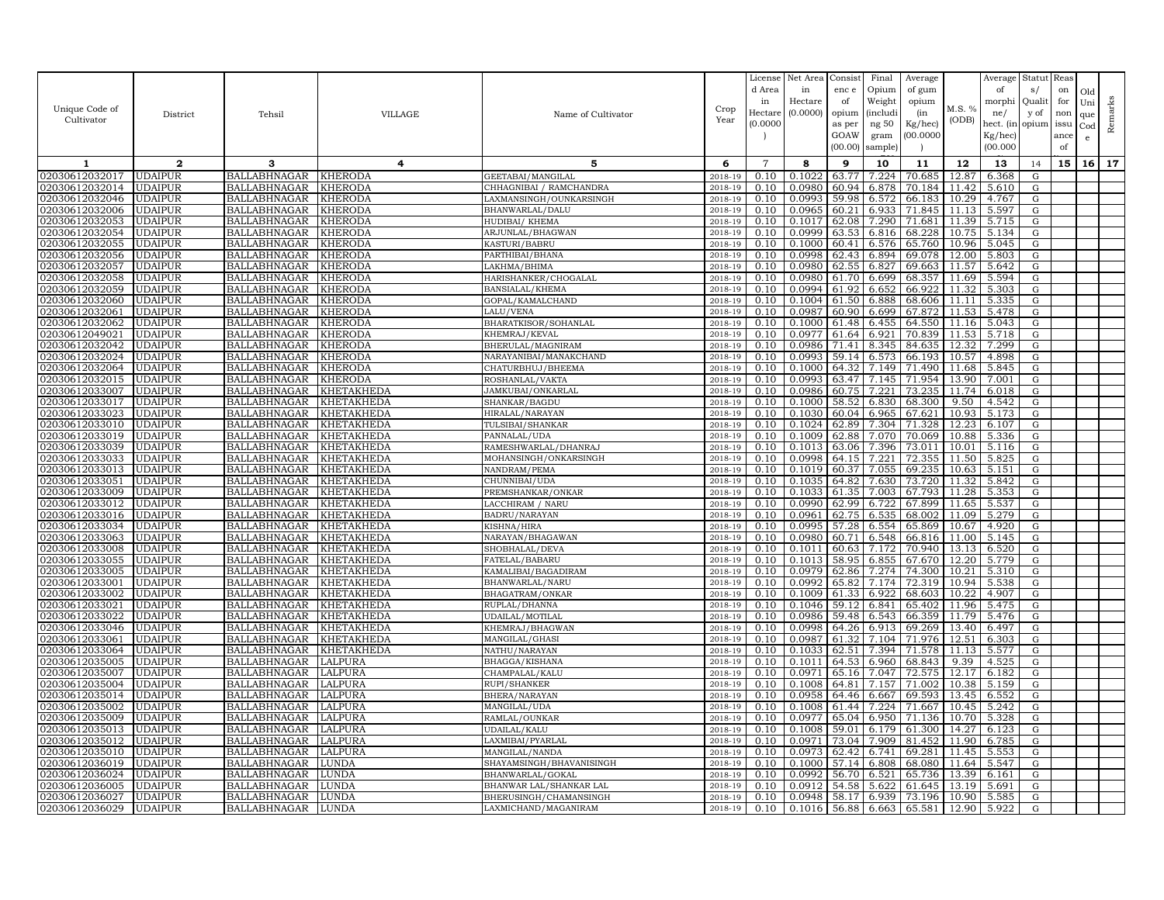|                |                |                     |                |                          |         | License        | Net Area | Consist | Final    | Average |        | Average   | Statut Reas |      |              |         |
|----------------|----------------|---------------------|----------------|--------------------------|---------|----------------|----------|---------|----------|---------|--------|-----------|-------------|------|--------------|---------|
|                |                |                     |                |                          |         | d Area         | in       | enc e   | Opium    | of gum  |        | of        | s/          | on   | Old          |         |
|                |                |                     |                |                          |         | in             | Hectare  | of      | Weight   | opium   |        | morphi    | Quali       | for  | Uni          |         |
| Unique Code of | District       | Tehsil              | <b>VILLAGE</b> | Name of Cultivator       | Crop    | Hectare        | (0.0000) | opium   | (includ: | (in     | M.S. % | ne/       | y of        | non  | que          |         |
| Cultivator     |                |                     |                |                          | Year    | (0.0000)       |          | as per  | ng 50    | Kg/hec) | (ODB)  | hect. (in | opium issu  |      | $_{\rm Cod}$ | Remarks |
|                |                |                     |                |                          |         |                |          | GOAW    | gram     | 00.0000 |        | Kg/hec)   |             | ance | e            |         |
|                |                |                     |                |                          |         |                |          | (00.00) | sample)  |         |        | (00.000)  |             | of   |              |         |
| 1              | $\mathbf{2}$   | 3                   | 4              | 5                        | 6       | $\overline{7}$ | 8        | 9       | 10       | 11      | 12     | 13        | 14          | 15   | 16           | 17      |
| 02030612032017 | <b>UDAIPUR</b> | BALLABHNAGAR        | KHERODA        | GEETABAI/MANGILAL        | 2018-19 | 0.10           | 0.1022   | 63.77   | 7.224    | 70.685  | 12.87  | 6.368     | G           |      |              |         |
| 02030612032014 | <b>UDAIPUR</b> | <b>BALLABHNAGAR</b> | KHERODA        | CHHAGNIBAI / RAMCHANDRA  | 2018-19 | 0.10           | 0.0980   | 60.94   | 6.878    | 70.184  | 11.42  | 5.610     | G           |      |              |         |
| 02030612032046 | <b>UDAIPUR</b> | <b>BALLABHNAGAR</b> | KHERODA        | LAXMANSINGH/OUNKARSINGH  | 2018-19 | 0.10           | 0.0993   | 59.98   | 6.572    | 66.183  | 10.29  | 4.767     | G           |      |              |         |
| 02030612032006 | <b>UDAIPUR</b> | <b>BALLABHNAGAR</b> | KHERODA        | BHANWARLAL/DALU          | 2018-19 | 0.10           | 0.0965   | 60.21   | 6.933    | 71.845  | 11.13  | 5.597     | G           |      |              |         |
| 02030612032053 | <b>UDAIPUR</b> | <b>BALLABHNAGAR</b> | KHERODA        | HUDIBAI / KHEMA          | 2018-19 | 0.10           | 0.1017   | 62.08   | 7.290    | 71.681  | 11.39  | 5.715     | G           |      |              |         |
| 02030612032054 | <b>UDAIPUR</b> | <b>BALLABHNAGAR</b> | KHERODA        | ARJUNLAL/BHAGWAN         | 2018-19 | 0.10           | 0.0999   | 63.53   | 6.816    | 68.228  | 10.75  | 5.134     | G           |      |              |         |
| 02030612032055 | <b>UDAIPUR</b> | <b>BALLABHNAGAR</b> | KHERODA        | KASTURI/BABRU            | 2018-19 | 0.10           | 0.1000   | 60.41   | 6.576    | 65.760  | 10.96  | 5.045     | G           |      |              |         |
| 02030612032056 | <b>UDAIPUR</b> | <b>BALLABHNAGAR</b> | KHERODA        | PARTHIBAI/BHANA          | 2018-19 | 0.10           | 0.0998   | 62.43   | 6.894    | 69.078  | 12.00  | 5.803     | G           |      |              |         |
| 02030612032057 | <b>UDAIPUR</b> | <b>BALLABHNAGAR</b> | KHERODA        | LAKHMA/BHIMA             | 2018-19 | 0.10           | 0.0980   | 62.55   | 6.827    | 69.663  | 11.57  | 5.642     | G           |      |              |         |
| 02030612032058 | <b>UDAIPUR</b> | <b>BALLABHNAGAR</b> | KHERODA        | HARISHANKER/CHOGALAL     | 2018-19 | 0.10           | 0.0980   | 61.70   | 6.699    | 68.357  | 11.69  | 5.594     | G           |      |              |         |
| 02030612032059 | <b>UDAIPUR</b> | <b>BALLABHNAGAR</b> | KHERODA        | BANSIALAL/KHEMA          | 2018-19 | 0.10           | 0.0994   | 61.92   | 6.652    | 66.922  | 11.32  | 5.303     | G           |      |              |         |
| 02030612032060 | <b>UDAIPUR</b> | <b>BALLABHNAGAR</b> | KHERODA        | GOPAL/KAMALCHAND         | 2018-19 | 0.10           | 0.1004   | 61.50   | 6.888    | 68.606  | 11.11  | 5.335     | G           |      |              |         |
| 02030612032061 | <b>UDAIPUR</b> | <b>BALLABHNAGAR</b> | KHERODA        | LALU/VENA                | 2018-19 | 0.10           | 0.0987   | 60.90   | 6.699    | 67.872  | 11.53  | 5.478     | G           |      |              |         |
| 02030612032062 | <b>UDAIPUR</b> | <b>BALLABHNAGAR</b> | KHERODA        | BHARATKISOR/SOHANLAL     | 2018-19 | 0.10           | 0.1000   | 61.48   | 6.455    | 64.550  | 11.16  | 5.043     | G           |      |              |         |
| 02030612049021 | <b>UDAIPUR</b> | <b>BALLABHNAGAR</b> | KHERODA        | KHEMRAJ/KEVAL            | 2018-19 | 0.10           | 0.0977   | 61.64   | 6.921    | 70.839  | 11.53  | 5.718     | G           |      |              |         |
| 02030612032042 | <b>UDAIPUR</b> | BALLABHNAGAR        | KHERODA        | BHERULAL/MAGNIRAM        | 2018-19 | 0.10           | 0.0986   | 71.41   | 8.345    | 84.635  | 12.32  | 7.299     | G           |      |              |         |
| 02030612032024 | <b>UDAIPUR</b> | <b>BALLABHNAGAR</b> | KHERODA        | NARAYANIBAI/MANAKCHAND   | 2018-19 | 0.10           | 0.0993   | 59.14   | 6.573    | 66.193  | 10.57  | 4.898     | G           |      |              |         |
| 02030612032064 | <b>UDAIPUR</b> | <b>BALLABHNAGAR</b> | KHERODA        | CHATURBHUJ/BHEEMA        | 2018-19 | 0.10           | 0.1000   | 64.32   | 7.149    | 71.490  | 11.68  | 5.845     | G           |      |              |         |
| 02030612032015 | <b>UDAIPUR</b> | <b>BALLABHNAGAR</b> | KHERODA        | ROSHANLAL/VAKTA          | 2018-19 | 0.10           | 0.0993   | 63.47   | 7.145    | 71.954  | 13.90  | 7.001     | G           |      |              |         |
| 02030612033007 | <b>UDAIPUR</b> | <b>BALLABHNAGAR</b> | KHETAKHEDA     | JAMKUBAI/ONKARLAL        | 2018-19 | 0.10           | 0.0986   | 60.75   | 7.221    | 73.235  | 11.74  | 6.018     | G           |      |              |         |
| 02030612033017 | <b>UDAIPUR</b> | <b>BALLABHNAGAR</b> | KHETAKHEDA     | SHANKAR/BAGDU            | 2018-19 | 0.10           | 0.1000   | 58.52   | 6.830    | 68.300  | 9.50   | 4.542     | G           |      |              |         |
| 02030612033023 | <b>UDAIPUR</b> | <b>BALLABHNAGAR</b> | KHETAKHEDA     | HIRALAL/NARAYAN          | 2018-19 | 0.10           | 0.1030   | 60.04   | 6.965    | 67.621  | 10.93  | 5.173     | G           |      |              |         |
| 02030612033010 | <b>UDAIPUR</b> | <b>BALLABHNAGAR</b> | KHETAKHEDA     | TULSIBAI/SHANKAR         | 2018-19 | 0.10           | 0.1024   | 62.89   | 7.304    | 71.328  | 12.23  | 6.107     | G           |      |              |         |
| 02030612033019 | <b>UDAIPUR</b> | <b>BALLABHNAGAR</b> | KHETAKHEDA     | PANNALAL/UDA             | 2018-19 | 0.10           | 0.1009   | 62.88   | 7.070    | 70.069  | 10.88  | 5.336     | G           |      |              |         |
| 02030612033039 | <b>UDAIPUR</b> | <b>BALLABHNAGAR</b> | KHETAKHEDA     | RAMESHWARLAL/DHANRAJ     | 2018-19 | 0.10           | 0.1013   | 63.06   | 7.396    | 73.011  | 10.01  | 5.116     | G           |      |              |         |
| 02030612033033 | <b>UDAIPUR</b> | <b>BALLABHNAGAR</b> | KHETAKHEDA     | MOHANSINGH/ONKARSINGH    | 2018-19 | 0.10           | 0.0998   | 64.15   | 7.221    | 72.355  | 11.50  | 5.825     | G           |      |              |         |
| 02030612033013 | <b>UDAIPUR</b> | <b>BALLABHNAGAR</b> | KHETAKHEDA     | NANDRAM/PEMA             | 2018-19 | 0.10           | 0.1019   | 60.37   | 7.055    | 69.235  | 10.63  | 5.151     | G           |      |              |         |
| 02030612033051 | <b>UDAIPUR</b> | <b>BALLABHNAGAR</b> | KHETAKHEDA     | CHUNNIBAI/UDA            | 2018-19 | 0.10           | 0.1035   | 64.82   | 7.630    | 73.720  | 11.32  | 5.842     | G           |      |              |         |
| )2030612033009 | <b>UDAIPUR</b> | <b>BALLABHNAGAR</b> | KHETAKHEDA     | PREMSHANKAR/ONKAR        | 2018-19 | 0.10           | 0.1033   | 61.35   | 7.003    | 67.793  | 11.28  | 5.353     | G           |      |              |         |
| 02030612033012 | <b>UDAIPUR</b> | BALLABHNAGAR        | KHETAKHEDA     | LACCHIRAM / NARU         | 2018-19 | 0.10           | 0.0990   | 62.99   | 6.722    | 67.899  | 11.65  | 5.537     | G           |      |              |         |
| 02030612033016 | <b>UDAIPUR</b> | <b>BALLABHNAGAR</b> | KHETAKHEDA     | BADRU/NARAYAN            | 2018-19 | 0.10           | 0.0961   | 62.75   | 6.535    | 68.002  | 11.09  | 5.279     | G           |      |              |         |
| 02030612033034 | <b>UDAIPUR</b> | <b>BALLABHNAGAR</b> | KHETAKHEDA     | KISHNA/HIRA              | 2018-19 | 0.10           | 0.0995   | 57.28   | 6.554    | 65.869  | 10.67  | 4.920     | G           |      |              |         |
| 02030612033063 | <b>UDAIPUR</b> | <b>BALLABHNAGAR</b> | KHETAKHEDA     | NARAYAN/BHAGAWAN         | 2018-19 | 0.10           | 0.0980   | 60.71   | 6.548    | 66.816  | 11.00  | 5.145     | G           |      |              |         |
| 02030612033008 | <b>UDAIPUR</b> | <b>BALLABHNAGAR</b> | KHETAKHEDA     | SHOBHALAL/DEVA           | 2018-19 | 0.10           | 0.1011   | 60.63   | 7.172    | 70.940  | 13.13  | 6.520     | G           |      |              |         |
| 02030612033055 | <b>UDAIPUR</b> | <b>BALLABHNAGAR</b> | KHETAKHEDA     | FATELAL/BABARU           | 2018-19 | 0.10           | 0.1013   | 58.95   | 6.855    | 67.670  | 12.20  | 5.779     | G           |      |              |         |
| 02030612033005 | <b>UDAIPUR</b> | <b>BALLABHNAGAR</b> | KHETAKHEDA     | KAMALIBAI/BAGADIRAM      | 2018-19 | 0.10           | 0.0979   | 62.86   | 7.274    | 74.300  | 10.21  | 5.310     | G           |      |              |         |
| 02030612033001 | <b>UDAIPUR</b> | <b>BALLABHNAGAR</b> | KHETAKHEDA     | BHANWARLAL/NARU          | 2018-19 | 0.10           | 0.0992   | 65.82   | 7.174    | 72.319  | 10.94  | 5.538     | G           |      |              |         |
| 02030612033002 | <b>UDAIPUR</b> | <b>BALLABHNAGAR</b> | KHETAKHEDA     | BHAGATRAM/ONKAR          | 2018-19 | 0.10           | 0.1009   | 61.33   | 6.922    | 68.603  | 10.22  | 4.907     | G           |      |              |         |
| 02030612033021 | <b>UDAIPUR</b> | <b>BALLABHNAGAR</b> | KHETAKHEDA     | RUPLAL/DHANNA            | 2018-19 | 0.10           | 0.1046   | 59.12   | 6.841    | 65.402  | 11.96  | 5.475     | G           |      |              |         |
| 02030612033022 | <b>UDAIPUR</b> | <b>BALLABHNAGAR</b> | KHETAKHEDA     | UDAILAL/MOTILAI          | 2018-19 | 0.10           | 0.0986   | 59.48   | 6.543    | 66.359  | 11.79  | 5.476     | G           |      |              |         |
| 02030612033046 | <b>UDAIPUR</b> | <b>BALLABHNAGAR</b> | KHETAKHEDA     | KHEMRAJ/BHAGWAN          | 2018-19 | 0.10           | 0.0998   | 64.26   | 6.913    | 69.269  | 13.40  | 6.497     | G           |      |              |         |
| 02030612033061 | <b>UDAIPUR</b> | <b>BALLABHNAGAR</b> | KHETAKHEDA     | MANGILAL/GHASI           | 2018-19 | 0.10           | 0.0987   | 61.32   | 7.104    | 71.976  | 12.51  | 6.303     | G           |      |              |         |
| 02030612033064 | <b>UDAIPUR</b> | <b>BALLABHNAGAR</b> | KHETAKHEDA     | NATHU/NARAYAN            | 2018-19 | 0.10           | 0.1033   | 62.51   | 7.394    | 71.578  | 11.13  | 5.577     | ${\rm G}$   |      |              |         |
| 02030612035005 | <b>UDAIPUR</b> | <b>BALLABHNAGAR</b> | LALPURA        | BHAGGA/KISHANA           | 2018-19 | 0.10           | 0.1011   | 64.53   | 6.960    | 68.843  | 9.39   | 4.525     | G           |      |              |         |
| 02030612035007 | <b>UDAIPUR</b> | <b>BALLABHNAGAR</b> | LALPURA        | CHAMPALAL/KALU           | 2018-19 | 0.10           | 0.0971   | 65.16   | 7.047    | 72.575  | 12.17  | 6.182     | G           |      |              |         |
| 02030612035004 | <b>UDAIPUR</b> | <b>BALLABHNAGAR</b> | LALPURA        | RUPI/SHANKER             | 2018-19 | 0.10           | 0.1008   | 64.81   | 7.157    | 71.002  | 10.38  | 5.159     | G           |      |              |         |
| 02030612035014 | <b>UDAIPUR</b> | <b>BALLABHNAGAR</b> | LALPURA        | BHERA/NARAYAN            | 2018-19 | 0.10           | 0.0958   | 64.46   | 6.667    | 69.593  | 13.45  | 6.552     | ${\rm G}$   |      |              |         |
| 02030612035002 | <b>UDAIPUR</b> | <b>BALLABHNAGAR</b> | LALPURA        | MANGILAL/UDA             | 2018-19 | 0.10           | 0.1008   | 61.44   | 7.224    | 71.667  | 10.45  | 5.242     | G           |      |              |         |
| 02030612035009 | <b>UDAIPUR</b> | <b>BALLABHNAGAR</b> | LALPURA        | RAMLAL/OUNKAR            | 2018-19 | 0.10           | 0.0977   | 65.04   | 6.950    | 71.136  | 10.70  | 5.328     | G           |      |              |         |
| 02030612035013 | <b>UDAIPUR</b> | <b>BALLABHNAGAR</b> | LALPURA        | UDAILAL/KALU             | 2018-19 | 0.10           | 0.1008   | 59.01   | 6.179    | 61.300  | 14.27  | 6.123     | G           |      |              |         |
| 02030612035012 | <b>UDAIPUR</b> | <b>BALLABHNAGAR</b> | LALPURA        | LAXMIBAI/PYARLAL         | 2018-19 | 0.10           | 0.0971   | 73.04   | 7.909    | 81.452  | 11.90  | 6.785     | G           |      |              |         |
| 02030612035010 | <b>UDAIPUR</b> | <b>BALLABHNAGAR</b> | LALPURA        | MANGILAL/NANDA           | 2018-19 | 0.10           | 0.0973   | 62.42   | 6.741    | 69.281  | 11.45  | 5.553     | G           |      |              |         |
| 02030612036019 | <b>UDAIPUR</b> | <b>BALLABHNAGAR</b> | LUNDA          | SHAYAMSINGH/BHAVANISINGH | 2018-19 | 0.10           | 0.1000   | 57.14   | 6.808    | 68.080  | 11.64  | 5.547     | G           |      |              |         |
| 02030612036024 | <b>UDAIPUR</b> | <b>BALLABHNAGAR</b> | LUNDA          | BHANWARLAL/GOKAI         | 2018-19 | 0.10           | 0.0992   | 56.70   | 6.521    | 65.736  | 13.39  | 6.161     | G           |      |              |         |
| 02030612036005 | UDAIPUR        | BALLABHNAGAR        | LUNDA          | BHANWAR LAL/SHANKAR LAL  | 2018-19 | 0.10           | 0.0912   | 54.58   | 5.622    | 61.645  | 13.19  | 5.691     | G           |      |              |         |
| 02030612036027 | <b>UDAIPUR</b> | <b>BALLABHNAGAR</b> | LUNDA          | BHERUSINGH/CHAMANSINGH   | 2018-19 | 0.10           | 0.0948   | 58.17   | 6.939    | 73.196  | 10.90  | 5.585     | G           |      |              |         |
| 02030612036029 | <b>UDAIPUR</b> | BALLABHNAGAR        | LUNDA          | LAXMICHAND/MAGANIRAM     | 2018-19 | 0.10           | 0.1016   | 56.88   | 6.663    | 65.581  | 12.90  | 5.922     | G           |      |              |         |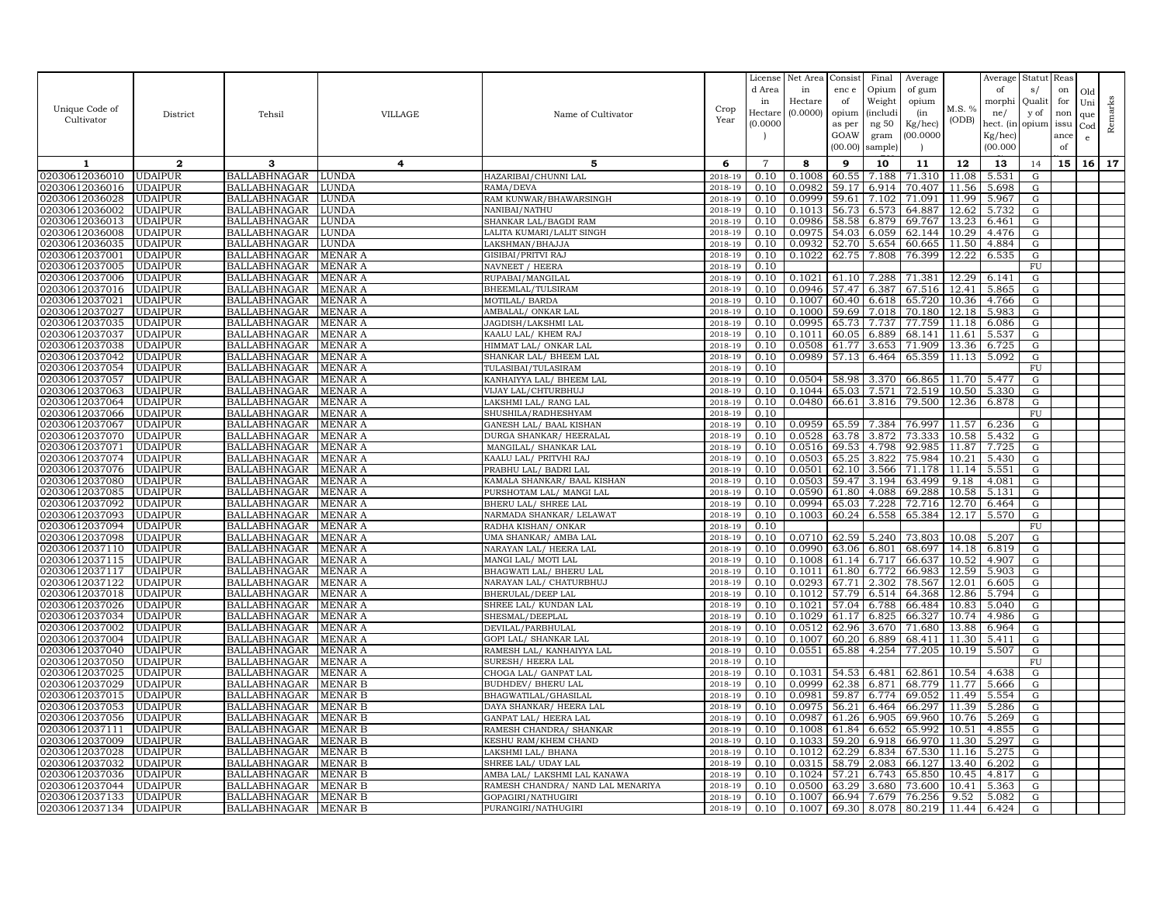|                                  |                                  |                                            |                              |                                                     |                    | License        | Net Area         | Consist         | Final           | Average          |                | Average             | Statut          | Reas       |     |         |
|----------------------------------|----------------------------------|--------------------------------------------|------------------------------|-----------------------------------------------------|--------------------|----------------|------------------|-----------------|-----------------|------------------|----------------|---------------------|-----------------|------------|-----|---------|
|                                  |                                  |                                            |                              |                                                     |                    | d Area         | in               | enc e           | Opium           | of gum           |                | of                  | s/              | on         | Old |         |
| Unique Code of                   |                                  |                                            |                              |                                                     | Crop               | in             | Hectare          | of              | Weight          | opium            | M.S. %         | morphi              | Qualit          | for        | Uni | Remarks |
| Cultivator                       | District                         | Tehsil                                     | VILLAGE                      | Name of Cultivator                                  | Year               | Hectar         | (0.0000)         | opium           | <i>(includi</i> | (in              | (ODB)          | ne/                 | y of            | non        | que |         |
|                                  |                                  |                                            |                              |                                                     |                    | (0.0000)       |                  | as per          | ng 50           | Kg/hec)          |                | hect. (in           | opium           | issu       | Cod |         |
|                                  |                                  |                                            |                              |                                                     |                    |                |                  | GOAW<br>(00.00) | gram<br>sample) | (00.0000)        |                | Kg/hec)<br>(00.000) |                 | ance<br>of | e   |         |
|                                  |                                  |                                            |                              |                                                     |                    |                |                  |                 |                 |                  |                |                     |                 |            |     |         |
| 1                                | $\mathbf{2}$                     | 3                                          | 4                            | 5                                                   | 6                  | $\overline{7}$ | 8                | 9               | 10              | 11               | 12             | 13                  | 14              | 15         | 16  | 17      |
| 02030612036010                   | <b>UDAIPUR</b>                   | BALLABHNAGAR                               | LUNDA                        | HAZARIBAI/CHUNNI LAL                                | 2018-19            | 0.10           | 0.1008           | 60.55           | 7.188           | 71.310           | 11.08          | 5.531               | G               |            |     |         |
| 02030612036016                   | <b>UDAIPUR</b>                   | <b>BALLABHNAGAR</b>                        | <b>JUNDA</b>                 | RAMA/DEVA                                           | 2018-19            | 0.10           | 0.0982           | 59.17           | 6.914           | 70.407           | 11.56          | 5.698               | G               |            |     |         |
| 02030612036028                   | <b>UDAIPUR</b>                   | <b>BALLABHNAGAR</b>                        | LUNDA                        | RAM KUNWAR/BHAWARSINGH                              | 2018-19            | 0.10           | 0.0999           | 59.61           | 7.102           | 71.091           | 11.99          | 5.967               | ${\rm G}$       |            |     |         |
| 02030612036002                   | <b>UDAIPUR</b>                   | <b>BALLABHNAGAR</b>                        | LUNDA                        | NANIBAI/NATHU                                       | 2018-19            | 0.10           | 0.1013           | 56.73           | 6.573           | 64.887           | 12.62          | 5.732               | G               |            |     |         |
| 02030612036013<br>02030612036008 | <b>UDAIPUR</b><br><b>UDAIPUR</b> | <b>BALLABHNAGAR</b>                        | <b>JUNDA</b><br><b>JUNDA</b> | SHANKAR LAL/BAGDI RAM<br>LALITA KUMARI/LALIT SINGH  | 2018-19<br>2018-19 | 0.10<br>0.10   | 0.0986<br>0.0975 | 58.58           | 6.879           | 69.767           | 13.23<br>10.29 | 6.461               | ${\rm G}$       |            |     |         |
| 02030612036035                   | <b>UDAIPUR</b>                   | <b>BALLABHNAGAR</b><br><b>BALLABHNAGAR</b> | LUNDA                        | LAKSHMAN/BHAJJA                                     | 2018-19            | 0.10           | 0.0932           | 54.03<br>52.70  | 6.059<br>5.654  | 62.144<br>60.665 | 11.50          | 4.476<br>4.884      | G<br>G          |            |     |         |
| 02030612037001                   | <b>UDAIPUR</b>                   | <b>BALLABHNAGAR</b>                        | MENAR A                      | GISIBAI/PRITVI RAJ                                  | 2018-19            | 0.10           | 0.1022           | 62.75           | 7.808           | 76.399           | 12.22          | 6.535               | G               |            |     |         |
| 02030612037005                   | <b>UDAIPUR</b>                   | <b>BALLABHNAGAR</b>                        | MENAR A                      | NAVNEET / HEERA                                     | 2018-19            | 0.10           |                  |                 |                 |                  |                |                     | ${\rm FU}$      |            |     |         |
| 02030612037006                   | <b>UDAIPUR</b>                   | <b>BALLABHNAGAR</b>                        | MENAR A                      | RUPABAI/MANGILAL                                    | 2018-19            | 0.10           | 0.1021           | 61.10           | 7.288           | 71.381           | 12.29          | 6.141               | G               |            |     |         |
| 02030612037016                   | <b>UDAIPUR</b>                   | <b>BALLABHNAGAR</b>                        | MENAR A                      | BHEEMLAL/TULSIRAM                                   | 2018-19            | 0.10           | 0.0946           | 57.47           | 6.387           | 67.516           | 12.41          | 5.865               | G               |            |     |         |
| 02030612037021                   | <b>UDAIPUR</b>                   | <b>BALLABHNAGAR</b>                        | MENAR A                      | MOTILAL/ BARDA                                      | 2018-19            | 0.10           | 0.1007           | 60.40           | 6.618           | 65.720           | 10.36          | 4.766               | G               |            |     |         |
| 02030612037027                   | <b>UDAIPUR</b>                   | <b>BALLABHNAGAR</b>                        | MENAR A                      | AMBALAL/ ONKAR LAL                                  | 2018-19            | 0.10           | 0.1000           | 59.69           | 7.018           | 70.180           | 12.18          | 5.983               | G               |            |     |         |
| 02030612037035                   | <b>UDAIPUR</b>                   | <b>BALLABHNAGAR</b>                        | MENAR A                      | JAGDISH/LAKSHMI LAI                                 | 2018-19            | 0.10           | 0.0995           | 65.73           | 7.737           | 77.759           | 11.18          | 6.086               | ${\rm G}$       |            |     |         |
| 02030612037037                   | <b>UDAIPUR</b>                   | <b>BALLABHNAGAR</b>                        | MENAR A                      | KAALU LAL/KHEM RAJ                                  | 2018-19            | 0.10           | 0.1011           | 60.05           | 6.889           | 68.141           | 11.61          | 5.537               | G               |            |     |         |
| 02030612037038                   | <b>UDAIPUR</b>                   | <b>BALLABHNAGAR</b>                        | MENAR A                      | HIMMAT LAL/ ONKAR LAL                               | 2018-19            | 0.10           | 0.0508           | 61.77           | 3.653           | 71.909           | 13.36          | 6.725               | G               |            |     |         |
| 02030612037042                   | <b>UDAIPUR</b>                   | <b>BALLABHNAGAR</b>                        | MENAR A                      | SHANKAR LAL/ BHEEM LAL                              | 2018-19            | 0.10           | 0.0989           | 57.13           | 6.464           | 65.359           | 11.13          | 5.092               | ${\rm G}$       |            |     |         |
| 02030612037054                   | <b>UDAIPUR</b>                   | <b>BALLABHNAGAR</b>                        | MENAR A                      | TULASIBAI/TULASIRAM                                 | 2018-19            | 0.10           |                  |                 |                 |                  |                |                     | FU              |            |     |         |
| 02030612037057                   | <b>UDAIPUR</b>                   | <b>BALLABHNAGAR</b>                        | MENAR A                      | KANHAIYYA LAL/ BHEEM LAL                            | 2018-19            | 0.10           | 0.0504           | 58.98           | 3.370           | 66.865           | 11.70          | 5.477               | ${\rm G}$       |            |     |         |
| 02030612037063                   | <b>UDAIPUR</b>                   | BALLABHNAGAR                               | MENAR A                      | VIJAY LAL/CHTURBHUJ                                 | 2018-19            | 0.10           | 0.1044           | 65.03           | 7.571           | 72.519           | 10.50          | 5.330               | G               |            |     |         |
| 02030612037064                   | <b>UDAIPUR</b>                   | <b>BALLABHNAGAR</b>                        | MENAR A                      | LAKSHMI LAL/ RANG LAL                               | 2018-19            | 0.10           | 0.0480           | 66.61           | 3.816           | 79.500           | 12.36          | 6.878               | G               |            |     |         |
| 02030612037066<br>02030612037067 | <b>UDAIPUR</b><br><b>UDAIPUR</b> | <b>BALLABHNAGAR</b><br><b>BALLABHNAGAR</b> | MENAR A<br>MENAR A           | SHUSHILA/RADHESHYAM                                 | 2018-19<br>2018-19 | 0.10<br>0.10   | 0.0959           | 65.59           | 7.384           | 76.997           | 11.57          | 6.236               | FU<br>${\rm G}$ |            |     |         |
| 02030612037070                   | <b>UDAIPUR</b>                   | <b>BALLABHNAGAR</b>                        | MENAR A                      | GANESH LAL/ BAAL KISHAN<br>DURGA SHANKAR / HEERALAI | 2018-19            | 0.10           | 0.0528           | 63.78           | 3.872           | 73.333           | 10.58          | 5.432               | G               |            |     |         |
| 02030612037071                   | <b>UDAIPUR</b>                   | <b>BALLABHNAGAR</b>                        | MENAR A                      | MANGILAL/ SHANKAR LAI                               | 2018-19            | 0.10           | 0.0516           | 69.53           | 4.798           | 92.985           | 11.87          | 7.725               | G               |            |     |         |
| 02030612037074                   | <b>UDAIPUR</b>                   | <b>BALLABHNAGAR</b>                        | MENAR A                      | KAALU LAL/ PRITVHI RAJ                              | 2018-19            | 0.10           | 0.0503           | 65.25           | 3.822           | 75.984           | 10.21          | 5.430               | G               |            |     |         |
| 02030612037076                   | <b>UDAIPUR</b>                   | <b>BALLABHNAGAR</b>                        | MENAR A                      | PRABHU LAL/ BADRI LAL                               | 2018-19            | 0.10           | 0.0501           | 62.10           | 3.566           | 71.178           | 11.14          | 5.551               | G               |            |     |         |
| 02030612037080                   | <b>UDAIPUR</b>                   | <b>BALLABHNAGAR</b>                        | MENAR A                      | KAMALA SHANKAR/ BAAL KISHAN                         | 2018-19            | 0.10           | 0.0503           | 59.47           | 3.194           | 63.499           | 9.18           | 4.081               | ${\rm G}$       |            |     |         |
| 02030612037085                   | UDAIPUR                          | BALLABHNAGAR                               | MENAR A                      | PURSHOTAM LAL/ MANGI LAL                            | 2018-19            | 0.10           | 0.0590           | 61.80           | 4.088           | 69.288           | 10.58          | 5.131               | G               |            |     |         |
| 02030612037092                   | <b>UDAIPUR</b>                   | <b>BALLABHNAGAR</b>                        | MENAR A                      | BHERU LAL/ SHREE LAL                                | 2018-19            | 0.10           | 0.0994           | 65.03           | 7.228           | 72.716           | 12.70          | 6.464               | G               |            |     |         |
| 02030612037093                   | <b>UDAIPUR</b>                   | <b>BALLABHNAGAR</b>                        | MENAR A                      | NARMADA SHANKAR/ LELAWAT                            | 2018-19            | 0.10           | 0.1003           | 60.24           | 6.558           | 65.384           | 12.17          | 5.570               | G               |            |     |         |
| 02030612037094                   | <b>UDAIPUR</b>                   | <b>BALLABHNAGAR</b>                        | MENAR A                      | RADHA KISHAN/ONKAR                                  | 2018-19            | 0.10           |                  |                 |                 |                  |                |                     | FU              |            |     |         |
| 02030612037098                   | <b>UDAIPUR</b>                   | <b>BALLABHNAGAR</b>                        | MENAR A                      | UMA SHANKAR/ AMBA LAL                               | 2018-19            | 0.10           | 0.0710           | 62.59           | 5.240           | 73.803           | 10.08          | 5.207               | G               |            |     |         |
| 02030612037110                   | <b>UDAIPUR</b>                   | BALLABHNAGAR                               | MENAR A                      | NARAYAN LAL/ HEERA LAL                              | 2018-19            | 0.10           | 0.0990           | 63.06           | 6.801           | 68.697           | 14.18          | 6.819               | G               |            |     |         |
| 02030612037115                   | <b>UDAIPUR</b>                   | <b>BALLABHNAGAR</b>                        | MENAR A                      | MANGI LAL/ MOTI LAL                                 | 2018-19            | 0.10           | 0.1008           | 61.14           | 6.717           | 66.637           | 10.52          | 4.907               | G               |            |     |         |
| 02030612037117                   | <b>UDAIPUR</b>                   | <b>BALLABHNAGAR</b>                        | <b>MENAR A</b>               | BHAGWATI LAL/ BHERU LAL                             | 2018-19            | 0.10           | 0.1011           | 61.80           | 6.772           | 66.983           | 12.59          | 5.903               | G               |            |     |         |
| 02030612037122<br>02030612037018 | <b>UDAIPUR</b>                   | <b>BALLABHNAGAR</b>                        | MENAR A                      | NARAYAN LAL/ CHATURBHUJ                             | 2018-19<br>2018-19 | 0.10           | 0.0293           | 67.71<br>57.79  | 2.302           | 78.567<br>64.368 | 12.01          | 6.605<br>5.794      | ${\rm G}$       |            |     |         |
| 02030612037026                   | <b>UDAIPUR</b><br><b>UDAIPUR</b> | <b>BALLABHNAGAR</b><br><b>BALLABHNAGAR</b> | MENAR A<br>MENAR A           | BHERULAL/DEEP LAL<br>SHREE LAL/ KUNDAN LAL          | 2018-19            | 0.10<br>0.10   | 0.1012<br>0.1021 | 57.04           | 6.514<br>6.788  | 66.484           | 12.86<br>10.83 | 5.040               | G<br>G          |            |     |         |
| 02030612037034                   | <b>UDAIPUR</b>                   | <b>BALLABHNAGAR</b>                        | MENAR A                      | SHESMAL/DEEPLAL                                     | 2018-19            | 0.10           | 0.1029           | 61.17           | 6.825           | 66.327           | 10.74          | 4.986               | G               |            |     |         |
| 02030612037002                   | <b>UDAIPUR</b>                   | <b>BALLABHNAGAR</b>                        | MENAR A                      | DEVILAL/PARBHULAI                                   | 2018-19            | 0.10           | 0.0512           | 62.96           | 3.670           | 71.680           | 13.88          | 6.964               | ${\rm G}$       |            |     |         |
| 02030612037004                   | <b>UDAIPUR</b>                   | <b>BALLABHNAGAR</b>                        | MENAR A                      | GOPI LAL/ SHANKAR LAI                               | 2018-19            | 0.10           | 0.1007           | 60.20           | 6.889           | 68.411           | 11.30          | 5.411               | G               |            |     |         |
| 02030612037040                   | <b>UDAIPUR</b>                   | <b>BALLABHNAGAR</b>                        | MENAR A                      | RAMESH LAL/ KANHAIYYA LAL                           | 2018-19            | 0.10           | 0.0551           | 65.88           | 4.254           | 77.205           | 10.19          | 5.507               | $\mathbf G$     |            |     |         |
| 02030612037050                   | <b>UDAIPUR</b>                   | <b>BALLABHNAGAR</b>                        | MENAR A                      | SURESH/ HEERA LAL                                   | 2018-19            | 0.10           |                  |                 |                 |                  |                |                     | FU              |            |     |         |
| 02030612037025                   | <b>UDAIPUR</b>                   | <b>BALLABHNAGAR</b>                        | MENAR A                      | CHOGA LAL/ GANPAT LAL                               | 2018-19            | 0.10           | 0.1031           | 54.53           | 6.481           | 62.861           | 10.54          | 4.638               | G               |            |     |         |
| 02030612037029                   | <b>UDAIPUR</b>                   | <b>BALLABHNAGAR</b>                        | MENAR B                      | <b>BUDHDEV/ BHERU LAL</b>                           | 2018-19            | 0.10           | 0.0999           | 62.38           | 6.871           | 68.779           | 11.77          | 5.666               | G               |            |     |         |
| 02030612037015                   | <b>UDAIPUR</b>                   | BALLABHNAGAR                               | MENAR B                      | BHAGWATILAL/GHASILAI                                | 2018-19            | 0.10           | 0.0981           | 59.87           | 6.774           | 69.052           | 11.49          | 5.554               | G               |            |     |         |
| 02030612037053                   | <b>UDAIPUR</b>                   | <b>BALLABHNAGAR</b>                        | MENAR B                      | DAYA SHANKAR/ HEERA LAL                             | 2018-19            | 0.10           | 0.0975           | 56.21           | 6.464           | 66.297           | 11.39          | 5.286               | G               |            |     |         |
| 02030612037056                   | <b>UDAIPUR</b>                   | <b>BALLABHNAGAR</b>                        | MENAR B                      | GANPAT LAL/ HEERA LAL                               | 2018-19            | 0.10           | 0.0987           | 61.26           | 6.905           | 69.960           | 10.76          | 5.269               | G               |            |     |         |
| 0203061203711                    | <b>UDAIPUR</b>                   | <b>BALLABHNAGAR</b>                        | MENAR B                      | RAMESH CHANDRA/ SHANKAR                             | 2018-19            | 0.10           | 0.1008           | 61.84           | 6.652           | 65.992           | 10.51          | 4.855               | ${\rm G}$       |            |     |         |
| 02030612037009                   | <b>UDAIPUR</b>                   | <b>BALLABHNAGAR</b>                        | MENAR B                      | KESHU RAM/KHEM CHAND                                | 2018-19            | 0.10           | 0.1033           | 59.20           | 6.918           | 66.970           | 11.30          | 5.297               | G               |            |     |         |
| 02030612037028<br>02030612037032 | <b>UDAIPUR</b><br><b>UDAIPUR</b> | <b>BALLABHNAGAR</b><br><b>BALLABHNAGAR</b> | MENAR B<br>MENAR B           | LAKSHMI LAL/ BHANA<br>SHREE LAL/ UDAY LAL           | 2018-19<br>2018-19 | 0.10<br>0.10   | 0.1012<br>0.0315 | 62.29<br>58.79  | 6.834<br>2.083  | 67.530<br>66.127 | 11.16<br>13.40 | 5.275<br>6.202      | ${\rm G}$<br>G  |            |     |         |
| 02030612037036                   | <b>UDAIPUR</b>                   | <b>BALLABHNAGAR</b>                        | MENAR B                      | AMBA LAL/ LAKSHMI LAL KANAWA                        | 2018-19            | 0.10           | 0.1024           | 57.21           | 6.743           | 65.850           | 10.45          | 4.817               | G               |            |     |         |
| 02030612037044                   | <b>UDAIPUR</b>                   | BALLABHNAGAR                               | MENAR B                      | RAMESH CHANDRA/ NAND LAL MENARIYA                   | 2018-19            | 0.10           | 0.0500           | 63.29           | 3.680           | 73.600           | 10.41          | 5.363               | G               |            |     |         |
| 02030612037133                   | <b>UDAIPUR</b>                   | BALLABHNAGAR                               | MENAR B                      | GOPAGIRI/NATHUGIRI                                  | 2018-19            | 0.10           | 0.1007           | 66.94           | 7.679           | 76.256           | 9.52           | 5.082               | G               |            |     |         |
| 02030612037134                   | <b>UDAIPUR</b>                   | <b>BALLABHNAGAR</b>                        | MENAR B                      | PURANGIRI/NATHUGIRI                                 | 2018-19            | 0.10           | 0.1007           | 69.30           | 8.078           | 80.219           | 11.44          | 6.424               | G               |            |     |         |
|                                  |                                  |                                            |                              |                                                     |                    |                |                  |                 |                 |                  |                |                     |                 |            |     |         |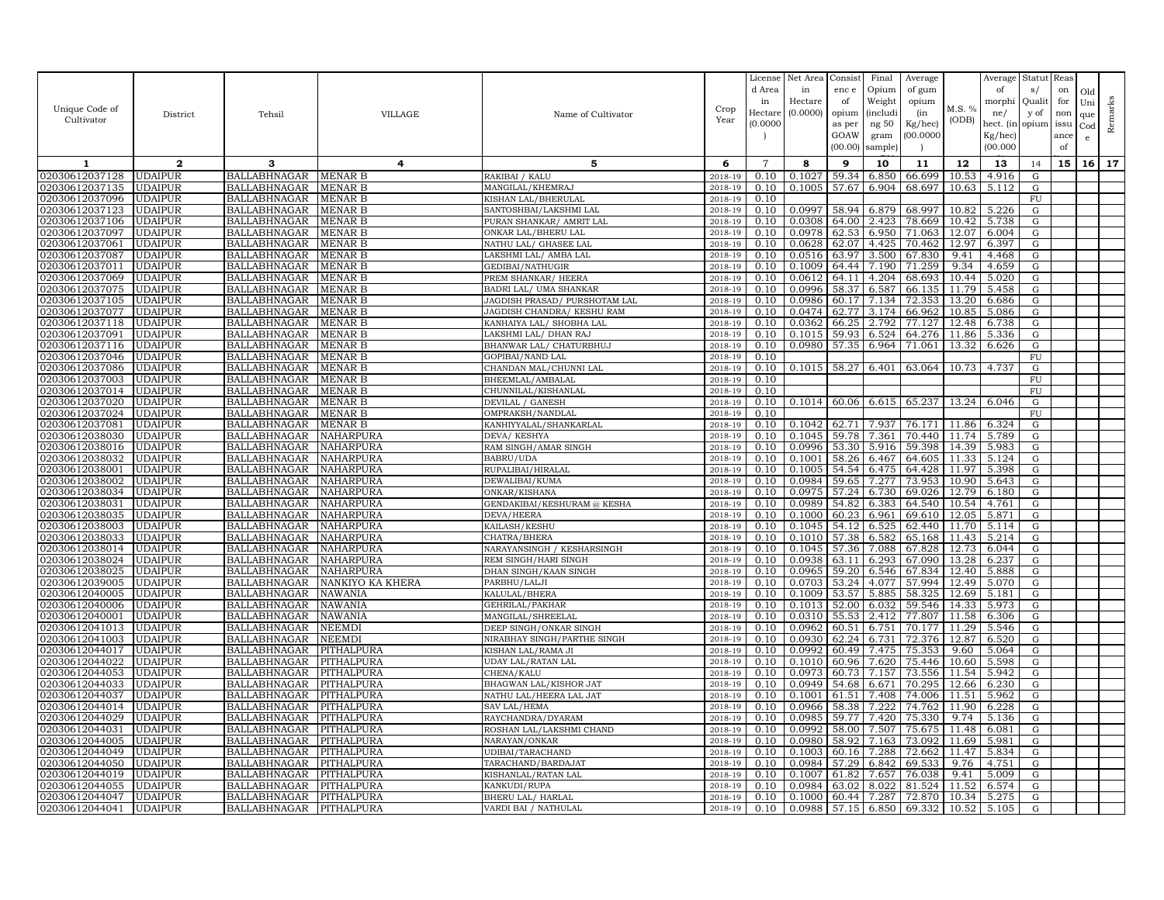|                                  |                                  |                                            |                          |                                         |                    | License        | Net Area         | Consist        | Final           | Average          |                | Average        | Statut          | Reas      |                 |         |
|----------------------------------|----------------------------------|--------------------------------------------|--------------------------|-----------------------------------------|--------------------|----------------|------------------|----------------|-----------------|------------------|----------------|----------------|-----------------|-----------|-----------------|---------|
|                                  |                                  |                                            |                          |                                         |                    | d Area<br>in   | in<br>Hectare    | enc e<br>of    | Opium<br>Weight | of gum           |                | of<br>morphi   | s/<br>Qualit    | on<br>for | Old             |         |
| Unique Code of                   | District                         | Tehsil                                     | <b>VILLAGE</b>           | Name of Cultivator                      | Crop               | Hectare        | (0.0000)         | opium          | <i>(includi</i> | opium<br>(in     | M.S. %         | ne/            | y of            | non       | Uni             | Remarks |
| Cultivator                       |                                  |                                            |                          |                                         | Year               | (0.0000)       |                  | as per         | ng 50           | $Kg/$ hec)       | (ODB)          | hect. (in      | opium           | issu      | que<br>Cod      |         |
|                                  |                                  |                                            |                          |                                         |                    |                |                  | GOAW           | gram            | (00.0000)        |                | Kg/hec)        |                 | ance      | e               |         |
|                                  |                                  |                                            |                          |                                         |                    |                |                  | (00.00)        | sample          |                  |                | (00.000)       |                 | of        |                 |         |
| 1                                | $\mathbf{2}$                     | 3                                          | 4                        | 5                                       | 6                  | $\overline{7}$ | 8                | 9              | 10              | 11               | 12             | 13             | 14              | 15        | 16 <sup>1</sup> | 17      |
| 02030612037128                   | <b>UDAIPUR</b>                   | BALLABHNAGAR                               | MENAR B                  | RAKIBAI / KALU                          | 2018-19            | 0.10           | 0.1027           | 59.34          | 6.850           | 66.699           | 10.53          | 4.916          | ${\rm G}$       |           |                 |         |
| 02030612037135                   | <b>UDAIPUR</b>                   | <b>BALLABHNAGAR</b>                        | <b>MENAR B</b>           | MANGILAL/KHEMRAJ                        | 2018-19            | 0.10           | 0.1005           | 57.67          | 6.904           | 68.697           | 10.63          | 5.112          | ${\rm G}$       |           |                 |         |
| 02030612037096                   | <b>UDAIPUR</b>                   | <b>BALLABHNAGAR</b>                        | MENAR B                  | KISHAN LAL/BHERULAL                     | 2018-19            | 0.10           |                  |                |                 |                  |                |                | $\overline{FU}$ |           |                 |         |
| 02030612037123                   | <b>UDAIPUR</b>                   | <b>BALLABHNAGAR</b>                        | MENAR B                  | SANTOSHBAI/LAKSHMI LAL                  | 2018-19            | 0.10           | 0.0997           | 58.94          | 6.879           | 68.997           | 10.82          | 5.226          | ${\rm G}$       |           |                 |         |
| 02030612037106                   | <b>UDAIPUR</b>                   | BALLABHNAGAR                               | MENAR B                  | PURAN SHANKAR/ AMRIT LAL                | 2018-19            | 0.10           | 0.0308           | 64.00          | 2.423           | 78.669           | 10.42          | 5.738          | G               |           |                 |         |
| 02030612037097                   | <b>UDAIPUR</b>                   | <b>BALLABHNAGAR</b>                        | MENAR B                  | ONKAR LAL/BHERU LAL                     | 2018-19            | 0.10           | 0.0978           | 62.53          | 6.950           | 71.063           | 12.07          | 6.004          | ${\rm G}$       |           |                 |         |
| 02030612037061                   | <b>UDAIPUR</b>                   | <b>BALLABHNAGAR</b>                        | <b>MENAR B</b>           | NATHU LAL/ GHASEE LAL                   | 2018-19            | 0.10           | 0.0628           | 62.07          | 4.425           | 70.462           | 12.97          | 6.397          | G               |           |                 |         |
| 02030612037087                   | <b>UDAIPUR</b>                   | BALLABHNAGAR                               | MENAR B                  | LAKSHMI LAL/ AMBA LAL                   | 2018-19            | 0.10           | 0.0516           | 63.97          | 3.500           | 67.830           | 9.41           | 4.468          | G               |           |                 |         |
| 02030612037011                   | <b>UDAIPUR</b>                   | <b>BALLABHNAGAR</b>                        | MENAR B                  | GEDIBAI/NATHUGIR                        | 2018-19            | 0.10           | 0.1009           | 64.44          | 7.190           | 71.259           | 9.34           | 4.659          | G               |           |                 |         |
| 02030612037069                   | <b>UDAIPUR</b>                   | <b>BALLABHNAGAR</b>                        | MENAR B                  | PREM SHANKAR/ HEERA                     | 2018-19            | 0.10           | 0.0612           | 64.11          | 4.204           | 68.693           | 10.44          | 5.020          | ${\rm G}$       |           |                 |         |
| 02030612037075                   | <b>UDAIPUR</b>                   | <b>BALLABHNAGAR</b>                        | MENAR B                  | BADRI LAL/ UMA SHANKAR                  | 2018-19            | 0.10           | 0.0996           | 58.37          | 6.587           | 66.135           | 11.79          | 5.458          | G               |           |                 |         |
| 02030612037105                   | <b>UDAIPUR</b>                   | BALLABHNAGAR                               | MENAR B                  | JAGDISH PRASAD/ PURSHOTAM LAL           | 2018-19            | 0.10           | 0.0986           | 60.17          | 7.134           | 72.353           | 13.20          | 6.686          | G               |           |                 |         |
| 02030612037077                   | <b>UDAIPUR</b>                   | <b>BALLABHNAGAR</b>                        | <b>MENAR B</b>           | JAGDISH CHANDRA/ KESHU RAM              | 2018-19            | 0.10           | 0.0474           | 62.77          | 3.174           | 66.962           | 10.85          | 5.086          | G               |           |                 |         |
| 02030612037118                   | <b>UDAIPUR</b>                   | <b>BALLABHNAGAR</b>                        | <b>MENAR B</b>           | KANHAIYA LAL/ SHOBHA LAL                | 2018-19            | 0.10           | 0.0362           | 66.25          | 2.792           | 77.127           | 12.48          | 6.738          | G               |           |                 |         |
| 02030612037091                   | <b>UDAIPUR</b>                   | BALLABHNAGAR                               | MENAR B                  | LAKSHMI LAL/ DHAN RAJ                   | 2018-19            | 0.10           | 0.1015           | 59.93          | 6.524           | 64.276           | 11.86          | 5.336          | G               |           |                 |         |
| 02030612037116                   | <b>UDAIPUR</b>                   | <b>BALLABHNAGAR</b>                        | MENAR B                  | BHANWAR LAL/ CHATURBHUJ                 | 2018-19            | 0.10           | 0.0980           | 57.35          | 6.964           | 71.061           | 13.32          | 6.626          | G               |           |                 |         |
| 02030612037046                   | <b>UDAIPUR</b>                   | <b>BALLABHNAGAR</b>                        | MENAR B                  | GOPIBAI/NAND LAL                        | 2018-19            | 0.10           |                  |                |                 |                  |                |                | FU              |           |                 |         |
| 02030612037086                   | <b>UDAIPUR</b>                   | BALLABHNAGAR                               | MENAR B                  | CHANDAN MAL/CHUNNI LAL                  | 2018-19            | 0.10           | 0.1015           | 58.27          | 6.401           | 63.064           | 10.73          | 4.737          | G               |           |                 |         |
| 02030612037003<br>02030612037014 | <b>UDAIPUR</b><br><b>UDAIPUR</b> | <b>BALLABHNAGAR</b><br><b>BALLABHNAGAR</b> | MENAR B<br>MENAR B       | BHEEMLAL/AMBALAL<br>CHUNNILAL/KISHANLAL | 2018-19<br>2018-19 | 0.10<br>0.10   |                  |                |                 |                  |                |                | FU<br>FU        |           |                 |         |
| 02030612037020                   | <b>UDAIPUR</b>                   | <b>BALLABHNAGAR</b>                        | MENAR B                  | DEVILAL / GANESH                        | 2018-19            | 0.10           | 0.1014           | 60.06          | 6.615           | 65.237           | 13.24          | 6.046          | $\mathbf G$     |           |                 |         |
| 02030612037024                   | <b>UDAIPUR</b>                   | BALLABHNAGAR                               | MENAR B                  | OMPRAKSH/NANDLAL                        | 2018-19            | 0.10           |                  |                |                 |                  |                |                | FU              |           |                 |         |
| 02030612037081                   | <b>UDAIPUR</b>                   | BALLABHNAGAR                               | <b>MENAR B</b>           | KANHIYYALAL/SHANKARLAL                  | 2018-19            | 0.10           | 0.1042           | 62.71          | 7.937           | 76.171           | 11.86          | 6.324          | ${\rm G}$       |           |                 |         |
| 02030612038030                   | <b>UDAIPUR</b>                   | <b>BALLABHNAGAR</b>                        | NAHARPURA                | DEVA/KESHYA                             | 2018-19            | 0.10           | 0.1045           | 59.78          | 7.361           | 70.440           | 11.74          | 5.789          | G               |           |                 |         |
| 02030612038016                   | <b>UDAIPUR</b>                   | <b>BALLABHNAGAR</b>                        | NAHARPURA                | RAM SINGH/AMAR SINGH                    | 2018-19            | 0.10           | 0.0996           | 53.30          | 5.916           | 59.398           | 14.39          | 5.983          | G               |           |                 |         |
| 02030612038032                   | <b>UDAIPUR</b>                   | BALLABHNAGAR                               | NAHARPURA                | BABRU/UDA                               | 2018-19            | 0.10           | 0.1001           | 58.26          | 6.467           | 64.605           | 11.33          | 5.124          | G               |           |                 |         |
| 02030612038001                   | <b>UDAIPUR</b>                   | <b>BALLABHNAGAR</b>                        | NAHARPURA                | RUPALIBAI/HIRALAL                       | 2018-19            | 0.10           | 0.1005           | 54.54          | 6.475           | 64.428           | 11.97          | 5.398          | G               |           |                 |         |
| 02030612038002                   | <b>UDAIPUR</b>                   | <b>BALLABHNAGAR</b>                        | NAHARPURA                | DEWALIBAI/KUMA                          | 2018-19            | 0.10           | 0.0984           | 59.65          | 7.277           | 73.953           | 10.90          | 5.643          | ${\rm G}$       |           |                 |         |
| 02030612038034                   | <b>UDAIPUR</b>                   | <b>BALLABHNAGAR</b>                        | NAHARPURA                | ONKAR/KISHANA                           | 2018-19            | 0.10           | 0.0975           | 57.24          | 6.730           | 69.026           | 12.79          | 6.180          | G               |           |                 |         |
| 02030612038031                   | <b>UDAIPUR</b>                   | <b>BALLABHNAGAR</b>                        | NAHARPURA                | GENDAKIBAI/KESHURAM @ KESHA             | 2018-19            | 0.10           | 0.0989           | 54.82          | 6.383           | 64.540           | 10.54          | 4.761          | G               |           |                 |         |
| 02030612038035                   | <b>UDAIPUR</b>                   | <b>BALLABHNAGAR</b>                        | NAHARPURA                | DEVA/HEERA                              | 2018-19            | 0.10           | 0.1000           | 60.23          | 6.961           | 69.610           | 12.05          | 5.871          | ${\rm G}$       |           |                 |         |
| 02030612038003                   | <b>UDAIPUR</b>                   | <b>BALLABHNAGAR</b>                        | NAHARPURA                | KAILASH/KESHU                           | 2018-19            | 0.10           | 0.1045           | 54.12          | 6.525           | 62.440           | 11.70          | 5.114          | G               |           |                 |         |
| 02030612038033                   | <b>UDAIPUR</b>                   | <b>BALLABHNAGAR</b>                        | NAHARPURA                | CHATRA/BHERA                            | 2018-19            | 0.10           | 0.1010           | 57.38          | 6.582           | 65.168           | 11.43          | 5.214          | ${\rm G}$       |           |                 |         |
| 02030612038014                   | <b>UDAIPUR</b>                   | BALLABHNAGAR                               | NAHARPURA                | NARAYANSINGH / KESHARSINGH              | 2018-19            | 0.10           | 0.1045           | 57.36          | 7.088           | 67.828           | 12.73          | 6.044          | G               |           |                 |         |
| 02030612038024                   | <b>UDAIPUR</b>                   | <b>BALLABHNAGAR</b>                        | NAHARPURA                | REM SINGH/HARI SINGH                    | 2018-19            | 0.10           | 0.0938           | 63.11          | 6.293           | 67.090           | 13.28          | 6.237          | ${\rm G}$       |           |                 |         |
| 02030612038025                   | <b>UDAIPUR</b>                   | <b>BALLABHNAGAR</b>                        | NAHARPURA                | DHAN SINGH/KAAN SINGH                   | 2018-19            | 0.10           | 0.0965           | 59.20          | 6.546           | 67.834           | 12.40          | 5.888          | G               |           |                 |         |
| 02030612039005                   | <b>UDAIPUR</b>                   | <b>BALLABHNAGAR</b>                        | NANKIYO KA KHERA         | PARBHU/LALJI                            | 2018-19            | 0.10           | 0.0703           | 53.24          | 4.077           | 57.994           | 12.49          | 5.070          | ${\rm G}$       |           |                 |         |
| 02030612040005                   | <b>UDAIPUR</b>                   | <b>BALLABHNAGAR</b>                        | NAWANIA                  | KALULAL/BHERA                           | 2018-19            | 0.10           | 0.1009           | 53.57          | 5.885           | 58.325           | 12.69          | 5.181          | G               |           |                 |         |
| 02030612040006                   | <b>UDAIPUR</b>                   | <b>BALLABHNAGAR</b>                        | NAWANIA                  | GEHRILAL/PAKHAR                         | 2018-19            | 0.10           | 0.1013           | 52.00          | 6.032           | 59.546           | 14.33          | 5.973          | G               |           |                 |         |
| 02030612040001                   | <b>UDAIPUR</b>                   | <b>BALLABHNAGAR</b>                        | NAWANIA                  | MANGILAL/SHREELAL                       | 2018-19            | 0.10           | 0.0310           | 55.53          | 2.412           | 77.807           | 11.58          | 6.306          | G               |           |                 |         |
| 02030612041013                   | <b>UDAIPUR</b>                   | <b>BALLABHNAGAR</b>                        | NEEMDI                   | DEEP SINGH/ONKAR SINGH                  | 2018-19            | 0.10           | 0.0962           | 60.51          | 6.751           | 70.177           | 11.29          | 5.546          | G               |           |                 |         |
| 02030612041003                   | <b>UDAIPUR</b>                   | <b>BALLABHNAGAR</b>                        | NEEMDI                   | NIRABHAY SINGH/PARTHE SINGH             | 2018-19            | 0.10           | 0.0930           | 62.24          | 6.731           | 72.376           | 12.87          | 6.520          | ${\rm G}$       |           |                 |         |
| 02030612044017                   | <b>UDAIPUR</b>                   | <b>BALLABHNAGAR</b>                        | PITHALPURA               | KISHAN LAL/RAMA JI                      | 2018-19            | 0.10           | 0.0992           | 60.49          | 7.475           | 75.353           | 9.60           | 5.064          | G               |           |                 |         |
| 02030612044022                   | <b>UDAIPUR</b>                   | BALLABHNAGAR                               | PITHALPURA               | UDAY LAL/RATAN LAL                      | 2018-19            | 0.10           | 0.1010           | 60.96<br>60.73 | 7.620           | 75.446           | 10.60<br>11.54 | 5.598          | G               |           |                 |         |
| 02030612044053<br>02030612044033 | <b>UDAIPUR</b><br><b>UDAIPUR</b> | BALLABHNAGAR<br><b>BALLABHNAGAR</b>        | PITHALPURA<br>PITHALPURA | CHENA/KALU<br>BHAGWAN LAL/KISHOR JAT    | 2018-19<br>2018-19 | 0.10<br>0.10   | 0.0973<br>0.0949 | 54.68          | 7.157<br>6.671  | 73.556<br>70.295 | 12.66          | 5.942<br>6.230 | G<br>${\rm G}$  |           |                 |         |
| 02030612044037                   | <b>UDAIPUR</b>                   | BALLABHNAGAR                               | PITHALPURA               | NATHU LAL/HEERA LAL JAT                 | 2018-19            | 0.10           | 0.1001           | 61.51          | 7.408           | 74.006           | 11.51          | 5.962          | G               |           |                 |         |
| 02030612044014                   | <b>UDAIPUR</b>                   | <b>BALLABHNAGAR</b>                        | PITHALPURA               | SAV LAL/HEMA                            | 2018-19            | 0.10           | 0.0966           | 58.38          | 7.222           | 74.762           | 11.90          | 6.228          | G               |           |                 |         |
| 02030612044029                   | <b>UDAIPUR</b>                   | BALLABHNAGAR                               | PITHALPURA               | RAYCHANDRA/DYARAM                       | 2018-19            | 0.10           | 0.0985           | 59.77          | 7.420           | 75.330           | 9.74           | 5.136          | G               |           |                 |         |
| 02030612044031                   | <b>UDAIPUR</b>                   | <b>BALLABHNAGAR</b>                        | PITHALPURA               | ROSHAN LAL/LAKSHMI CHAND                | 2018-19            | 0.10           | 0.0992           | 58.00          | 7.507           | 75.675           | 11.48          | 6.081          | G               |           |                 |         |
| 02030612044005                   | <b>UDAIPUR</b>                   | BALLABHNAGAR                               | PITHALPURA               | NARAYAN/ONKAR                           | 2018-19            | 0.10           | 0.0980           | 58.92          | 7.163           | 73.092           | 11.69          | 5.981          | G               |           |                 |         |
| 02030612044049                   | <b>UDAIPUR</b>                   | BALLABHNAGAR                               | PITHALPURA               | UDIBAI/TARACHAND                        | 2018-19            | 0.10           | 0.1003           | 60.16          | 7.288           | 72.662           | 11.47          | 5.834          | G               |           |                 |         |
| 02030612044050                   | <b>UDAIPUR</b>                   | <b>BALLABHNAGAR</b>                        | PITHALPURA               | TARACHAND/BARDAJAT                      | 2018-19            | 0.10           | 0.0984           | 57.29          | 6.842           | 69.533           | 9.76           | 4.751          | G               |           |                 |         |
| 02030612044019                   | <b>UDAIPUR</b>                   | <b>BALLABHNAGAR</b>                        | PITHALPURA               | KISHANLAL/RATAN LAL                     | 2018-19            | 0.10           | 0.1007           | 61.82          | 7.657           | 76.038           | 9.41           | 5.009          | G               |           |                 |         |
| 02030612044055                   | <b>UDAIPUR</b>                   | BALLABHNAGAR                               | PITHALPURA               | KANKUDI/RUPA                            | 2018-19            | 0.10           | 0.0984           | 63.02          | 8.022           | 81.524           | 11.52          | 6.574          | G               |           |                 |         |
| 02030612044047                   | <b>UDAIPUR</b>                   | BALLABHNAGAR                               | PITHALPURA               | BHERU LAL/ HARLAL                       | 2018-19            | 0.10           | 0.1000           | 60.44          | 7.287           | 72.870           | 10.34          | 5.275          | G               |           |                 |         |
| 02030612044041                   | <b>UDAIPUR</b>                   | BALLABHNAGAR                               | PITHALPURA               | VARDI BAI / NATHULAL                    | 2018-19            | 0.10           | 0.0988           | 57.15          | 6.850           | 69.332           | 10.52          | 5.105          | $\mathbf G$     |           |                 |         |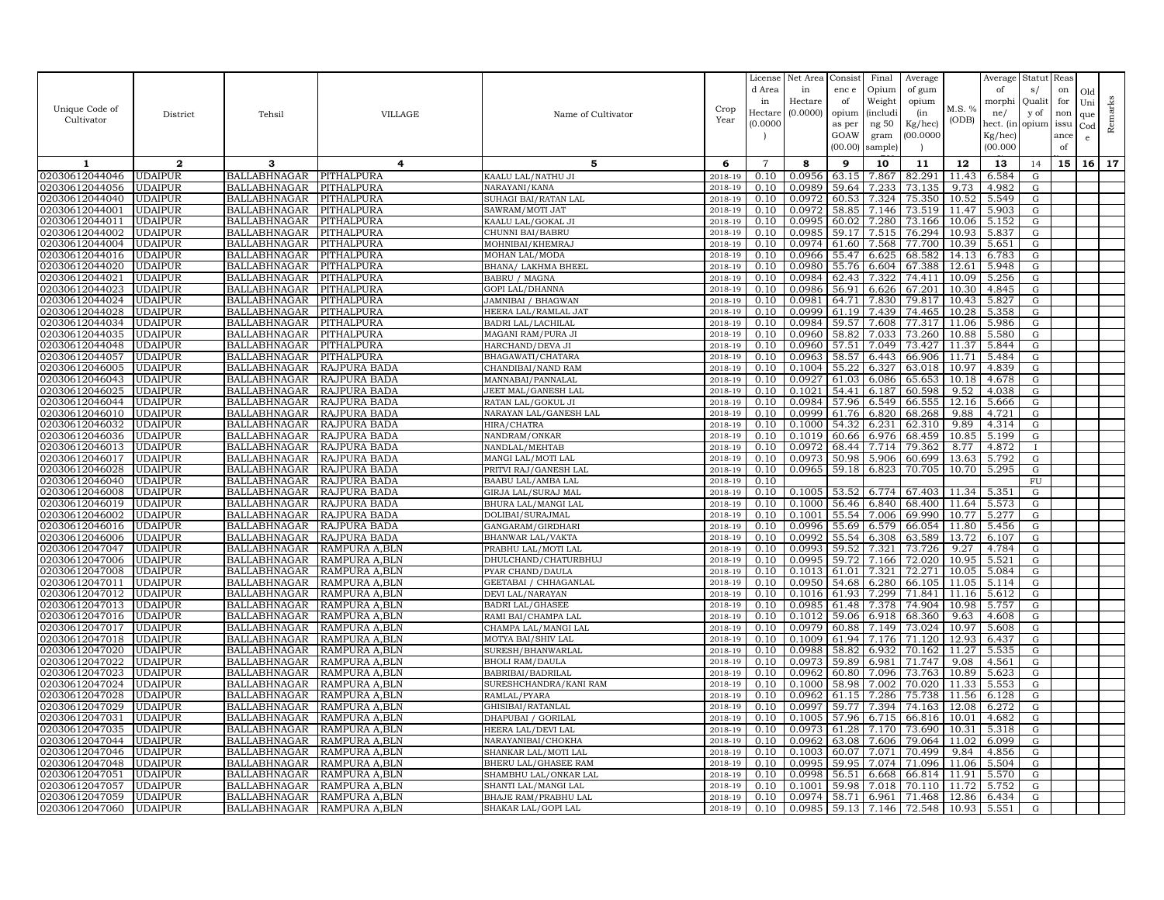| Unique Code of<br>Cultivator     | District                         | Tehsil                                     | <b>VILLAGE</b>                  | Name of Cultivator                             | Crop<br>Year       | License<br>d Area<br>in<br>Hectare | Net Area<br>in<br>Hectare<br>(0.0000) | Consist<br>enc e<br>of<br>opium | Final<br>Opium<br>Weight<br><i>(includi</i> | Average<br>of gum<br>opium<br>(in | M.S. %<br>(ODB) | Average<br>of<br>morphi<br>ne/   | Statut<br>s/<br>Qualit<br>y of | Reas<br>on<br>for<br>non | Old<br>Uni<br>que | Remarks |
|----------------------------------|----------------------------------|--------------------------------------------|---------------------------------|------------------------------------------------|--------------------|------------------------------------|---------------------------------------|---------------------------------|---------------------------------------------|-----------------------------------|-----------------|----------------------------------|--------------------------------|--------------------------|-------------------|---------|
|                                  |                                  |                                            |                                 |                                                |                    | (0.000C)                           |                                       | as per<br>GOAW<br>(00.00)       | ng 50<br>gram<br>sample)                    | Kg/hec)<br>(00.0000)              |                 | hect. (in<br>Kg/hec)<br>(00.000) | opium                          | issu<br>ance<br>of       | $_{\rm Cod}$<br>e |         |
| 1                                | $\mathbf{2}$                     | 3                                          | 4                               | 5                                              | 6                  | $\overline{7}$                     | 8                                     | 9                               | 10                                          | 11                                | 12              | 13                               | 14                             | 15                       | 16                | 17      |
| 02030612044046                   | <b>UDAIPUR</b>                   | BALLABHNAGAR                               | PITHALPURA                      | KAALU LAL/NATHU JI                             | 2018-19            | 0.10                               | 0.0956                                | 63.15                           | 7.867                                       | 82.291                            | 11.43           | 6.584                            | G                              |                          |                   |         |
| 02030612044056                   | UDAIPUR                          | <b>BALLABHNAGAR</b>                        | PITHALPURA                      | NARAYANI/KANA                                  | 2018-19            | 0.10                               | 0.0989                                | 59.64                           | 7.233                                       | 73.135                            | 9.73            | 4.982                            | G                              |                          |                   |         |
| 02030612044040                   | <b>UDAIPUR</b>                   | BALLABHNAGAR                               | PITHALPURA                      | SUHAGI BAI/RATAN LAL                           | $2018 - 1$         | 0.10                               | 0.0972                                | 60.5                            | 7.324                                       | 75.350                            | 10.52           | 5.549                            | $\mathbf G$                    |                          |                   |         |
| 02030612044001                   | <b>UDAIPUR</b>                   | <b>BALLABHNAGAR</b>                        | PITHALPURA                      | SAWRAM/MOTI JAT                                | 2018-19            | 0.10                               | 0.0972                                | 58.85                           | 7.146                                       | 73.519                            | 11.47           | 5.903                            | G                              |                          |                   |         |
| 02030612044011                   | <b>UDAIPUR</b>                   | <b>BALLABHNAGAR</b>                        | PITHALPURA                      | KAALU LAL/GOKAL JI                             | 2018-19            | 0.10                               | 0.0995                                | 60.02                           | 7.280                                       | 73.166                            | 10.06           | 5.152                            | G                              |                          |                   |         |
| 02030612044002                   | <b>UDAIPUR</b>                   | <b>BALLABHNAGAR</b>                        | PITHALPURA                      | CHUNNI BAI/BABRU                               | 2018-19            | 0.10                               | 0.0985                                | 59.17                           | 7.515                                       | 76.294                            | 10.93           | 5.837                            | G                              |                          |                   |         |
| 02030612044004<br>02030612044016 | <b>UDAIPUR</b><br><b>UDAIPUR</b> | <b>BALLABHNAGAR</b><br><b>BALLABHNAGAR</b> | PITHALPURA<br>PITHALPURA        | MOHNIBAI/KHEMRAJ<br>MOHAN LAL/MODA             | 2018-19<br>2018-19 | 0.10<br>0.10                       | 0.0974<br>0.0966                      | 61.60<br>55.47                  | 7.568<br>6.625                              | 77.700<br>68.582                  | 10.39<br>14.13  | 5.651<br>6.783                   | ${\rm G}$<br>G                 |                          |                   |         |
| 02030612044020                   | <b>UDAIPUR</b>                   | BALLABHNAGAR                               | PITHALPURA                      | BHANA/ LAKHMA BHEEL                            | 2018-19            | 0.10                               | 0.0980                                | 55.76                           | 6.604                                       | 67.388                            | 12.61           | 5.948                            | G                              |                          |                   |         |
| 02030612044021                   | <b>UDAIPUR</b>                   | <b>BALLABHNAGAR</b>                        | PITHALPURA                      | BABRU / MAGNA                                  | 2018-19            | 0.10                               | 0.0984                                | 62.43                           | 7.322                                       | 74.411                            | 10.09           | 5.256                            | G                              |                          |                   |         |
| 02030612044023                   | <b>UDAIPUR</b>                   | <b>BALLABHNAGAR</b>                        | PITHALPURA                      | GOPI LAL/DHANNA                                | 2018-19            | 0.10                               | 0.0986                                | 56.91                           | 6.626                                       | 67.201                            | 10.30           | 4.845                            | G                              |                          |                   |         |
| 02030612044024                   | <b>UDAIPUR</b>                   | <b>BALLABHNAGAR</b>                        | PITHALPURA                      | JAMNIBAI / BHAGWAN                             | 2018-19            | 0.10                               | 0.0981                                | 64.71                           | 7.830                                       | 79.817                            | 10.43           | 5.827                            | G                              |                          |                   |         |
| 02030612044028                   | <b>UDAIPUR</b>                   | <b>BALLABHNAGAR</b>                        | PITHALPURA                      | HEERA LAL/RAMLAL JAT                           | 2018-19            | 0.10                               | 0.0999                                | 61.19                           | 7.439                                       | 74.465                            | 10.28           | 5.358                            | G                              |                          |                   |         |
| 02030612044034                   | <b>UDAIPUR</b>                   | <b>BALLABHNAGAR</b>                        | PITHALPURA                      | BADRI LAL/LACHILAL                             | 2018-19            | 0.10                               | 0.0984                                | 59.57                           | 7.608                                       | 77.317                            | 11.06           | 5.986                            | ${\bf G}$                      |                          |                   |         |
| 02030612044035                   | <b>UDAIPUR</b>                   | <b>BALLABHNAGAR</b>                        | PITHALPURA                      | MAGANI RAM/PURA JI                             | 2018-19            | 0.10                               | 0.0960                                | 58.82                           | 7.033                                       | 73.260                            | 10.88           | 5.580                            | ${\rm G}$                      |                          |                   |         |
| 02030612044048                   | <b>UDAIPUR</b>                   | BALLABHNAGAR                               | PITHALPURA                      | HARCHAND/DEVA JI                               | 2018-19            | 0.10                               | 0.0960                                | 57.51                           | 7.049                                       | 73.427                            | 11.37           | 5.844                            | G                              |                          |                   |         |
| 02030612044057                   | <b>UDAIPUR</b>                   | <b>BALLABHNAGAR</b>                        | PITHALPURA                      | BHAGAWATI/CHATARA                              | 2018-19            | 0.10                               | 0.0963                                | 58.57                           | 6.443                                       | 66.906                            | 11.71           | 5.484                            | G                              |                          |                   |         |
| 02030612046005                   | <b>UDAIPUR</b>                   | <b>BALLABHNAGAR</b>                        | RAJPURA BADA                    | CHANDIBAI/NAND RAM                             | 2018-19            | 0.10                               | 0.1004                                | 55.22                           | 6.327                                       | 63.018                            | 10.97           | 4.839                            | ${\rm G}$                      |                          |                   |         |
| 02030612046043                   | <b>UDAIPUR</b>                   | BALLABHNAGAR                               | RAJPURA BADA                    | MANNABAI/PANNALAL                              | 2018-19            | 0.10                               | 0.0927                                | 61.03                           | 6.086                                       | 65.653                            | 10.18           | 4.678                            | G                              |                          |                   |         |
| 02030612046025                   | <b>UDAIPUR</b>                   | BALLABHNAGAR                               | RAJPURA BADA                    | JEET MAL/GANESH LAI                            | 2018-19            | 0.10                               | 0.1021                                | 54.41                           | 6.187                                       | 60.598                            | 9.52            | 4.038                            | G                              |                          |                   |         |
| 02030612046044                   | <b>UDAIPUR</b>                   | <b>BALLABHNAGAR</b>                        | <b>RAJPURA BADA</b>             | RATAN LAL/GOKUL JI                             | 2018-19            | 0.10                               | 0.0984                                | 57.96                           | 6.549                                       | 66.555                            | 12.16           | 5.666                            | ${\rm G}$                      |                          |                   |         |
| 02030612046010                   | <b>UDAIPUR</b>                   | BALLABHNAGAR                               | RAJPURA BADA                    | NARAYAN LAL/GANESH LAL                         | 2018-19            | 0.10                               | 0.0999                                | 61.76                           | 6.820                                       | 68.268                            | 9.88            | 4.721                            | G                              |                          |                   |         |
| 02030612046032                   | <b>UDAIPUR</b>                   | <b>BALLABHNAGAR</b>                        | RAJPURA BADA                    | HIRA/CHATRA                                    | 2018-19            | 0.10                               | 0.1000                                | 54.32                           | 6.231                                       | 62.310                            | 9.89            | 4.314                            | G                              |                          |                   |         |
| 02030612046036<br>02030612046013 | <b>UDAIPUR</b><br><b>UDAIPUR</b> | BALLABHNAGAR<br><b>BALLABHNAGAR</b>        | RAJPURA BADA<br>RAJPURA BADA    | NANDRAM/ONKAR<br>NANDLAL/MEHTAB                | 2018-19<br>2018-19 | 0.10                               | 0.1019<br>0.0972                      | 60.66<br>68.44                  | 6.976<br>7.714                              | 68.459<br>79.362                  | 10.85<br>8.77   | 5.199<br>4.872                   | G                              |                          |                   |         |
| 02030612046017                   | <b>UDAIPUR</b>                   | <b>BALLABHNAGAR</b>                        | RAJPURA BADA                    | MANGI LAL/MOTI LAL                             | 2018-19            | 0.10<br>0.10                       | 0.0973                                | 50.98                           | 5.906                                       | 60.699                            | 13.63           | 5.792                            | G                              |                          |                   |         |
| 02030612046028                   | <b>UDAIPUR</b>                   | BALLABHNAGAR                               | RAJPURA BADA                    | PRITVI RAJ/GANESH LAL                          | 2018-19            | 0.10                               | 0.0965                                | 59.18                           | 6.823                                       | 70.705                            | 10.70           | 5.295                            | G                              |                          |                   |         |
| 02030612046040                   | <b>UDAIPUR</b>                   | <b>BALLABHNAGAR</b>                        | RAJPURA BADA                    | BAABU LAL/AMBA LAL                             | 2018-19            | 0.10                               |                                       |                                 |                                             |                                   |                 |                                  | FU                             |                          |                   |         |
| 02030612046008                   | <b>UDAIPUR</b>                   | <b>BALLABHNAGAR</b>                        | RAJPURA BADA                    | GIRJA LAL/SURAJ MAL                            | 2018-19            | 0.10                               | 0.1005                                | 53.52                           | 6.774                                       | 67.403                            | 11.34           | 5.35                             | G                              |                          |                   |         |
| 02030612046019                   | <b>UDAIPUR</b>                   | BALLABHNAGAR                               | RAJPURA BADA                    | BHURA LAL/MANGI LAL                            | 2018-19            | 0.10                               | 0.1000                                | 56.46                           | 6.840                                       | 68.400                            | 11.64           | 5.573                            | G                              |                          |                   |         |
| 02030612046002                   | <b>UDAIPUR</b>                   | <b>BALLABHNAGAR</b>                        | RAJPURA BADA                    | DOLIBAI/SURAJMAL                               | 2018-19            | 0.10                               | 0.1001                                | 55.54                           | 7.006                                       | 69.990                            | 10.77           | 5.277                            | G                              |                          |                   |         |
| 02030612046016                   | <b>UDAIPUR</b>                   | <b>BALLABHNAGAR</b>                        | RAJPURA BADA                    | GANGARAM/GIRDHARI                              | 2018-19            | 0.10                               | 0.0996                                | 55.69                           | 6.579                                       | 66.054                            | 11.80           | 5.456                            | G                              |                          |                   |         |
| 02030612046006                   | <b>UDAIPUR</b>                   | <b>BALLABHNAGAR</b>                        | RAJPURA BADA                    | BHANWAR LAL/VAKTA                              | 2018-19            | 0.10                               | 0.0992                                | 55.54                           | 6.308                                       | 63.589                            | 13.72           | 6.107                            | G                              |                          |                   |         |
| 02030612047047                   | <b>UDAIPUR</b>                   | <b>BALLABHNAGAR</b>                        | RAMPURA A, BLN                  | PRABHU LAL/MOTI LAL                            | 2018-19            | 0.10                               | 0.0993                                | 59.52                           | 7.321                                       | 73.726                            | 9.27            | 4.784                            | G                              |                          |                   |         |
| 02030612047006                   | <b>UDAIPUR</b>                   | BALLABHNAGAR                               | RAMPURA A.BLN                   | DHULCHAND/CHATURBHUJ                           | 2018-19            | 0.10                               | 0.0995                                | 59.72                           | 7.166                                       | 72.020                            | 10.95           | 5.521                            | G                              |                          |                   |         |
| 02030612047008                   | <b>UDAIPUR</b>                   | <b>BALLABHNAGAR</b>                        | RAMPURA A, BLN                  | PYAR CHAND/DAULA                               | 2018-19            | 0.10                               | 0.1013                                | 61.01                           | 7.321                                       | 72.271                            | 10.05           | 5.084                            | ${\rm G}$                      |                          |                   |         |
| 02030612047011                   | <b>UDAIPUR</b>                   | <b>BALLABHNAGAR</b>                        | RAMPURA A, BLN                  | GEETABAI / CHHAGANLAL                          | 2018-19            | 0.10                               | 0.0950                                | 54.68                           | 6.280                                       | 66.105                            | 11.05           | 5.114                            | G                              |                          |                   |         |
| 02030612047012                   | <b>UDAIPUR</b>                   | BALLABHNAGAR                               | RAMPURA A, BLN                  | DEVI LAL/NARAYAN                               | 2018-19            | 0.10                               | 0.1016                                | 61.93                           | 7.299                                       | 71.841                            | 11.16           | 5.612                            | G                              |                          |                   |         |
| 02030612047013<br>02030612047016 | <b>UDAIPUR</b><br><b>UDAIPUR</b> | <b>BALLABHNAGAR</b><br><b>BALLABHNAGAR</b> | RAMPURA A, BLN<br>RAMPURA A,BLN | <b>BADRI LAL/GHASEE</b><br>RAMI BAI/CHAMPA LAL | 2018-19<br>2018-19 | 0.10<br>0.10                       | 0.0985<br>0.1012                      | 61.48<br>59.06                  | 7.378<br>6.918                              | 74.904<br>68.360                  | 10.98<br>9.63   | 5.757<br>4.608                   | G<br>${\rm G}$                 |                          |                   |         |
| 02030612047017                   | <b>UDAIPUR</b>                   | <b>BALLABHNAGAR</b>                        | RAMPURA A, BLN                  | CHAMPA LAL/MANGI LAL                           | 2018-19            | 0.10                               | 0.0979                                | 60.88                           | 7.149                                       | 73.024                            | 10.97           | 5.608                            | G                              |                          |                   |         |
| 02030612047018                   | <b>UDAIPUR</b>                   | BALLABHNAGAR                               | RAMPURA A.BLN                   | MOTYA BAI/SHIV LAL                             | 2018-19            | 0.10                               | 0.1009                                | 61.94                           | 7.176                                       | 71.120                            | 12.93           | 6.437                            | G                              |                          |                   |         |
| 02030612047020                   | <b>UDAIPUR</b>                   | <b>BALLABHNAGAR</b>                        | RAMPURA A, BLN                  | SURESH/BHANWARLAL                              | 2018-19            | 0.10                               | 0.0988                                | 58.82                           | 6.932                                       | 70.162                            | 11.27           | 5.535                            | ${\rm G}$                      |                          |                   |         |
| 02030612047022                   | <b>UDAIPUR</b>                   | <b>BALLABHNAGAR</b>                        | RAMPURA A, BLN                  | BHOLI RAM/DAULA                                | 2018-19            | 0.10                               | 0.0973                                | 59.89                           | 6.981                                       | 71.747                            | 9.08            | 4.561                            | G                              |                          |                   |         |
| 02030612047023                   | <b>UDAIPUR</b>                   | <b>BALLABHNAGAR</b>                        | RAMPURA A, BLN                  | BABRIBAI/BADRILAL                              | 2018-19            | 0.10                               | 0.0962                                | 60.80                           | 7.096                                       | 73.763                            | 10.89           | 5.623                            | G                              |                          |                   |         |
| 02030612047024                   | <b>UDAIPUR</b>                   | <b>BALLABHNAGAR</b>                        | RAMPURA A.BLN                   | SURESHCHANDRA/KANI RAM                         | 2018-19            | 0.10                               | 0.1000                                | 58.98                           | 7.002                                       | 70.020                            | 11.33           | 5.553                            | G                              |                          |                   |         |
| 02030612047028                   | <b>UDAIPUR</b>                   | <b>BALLABHNAGAR</b>                        | RAMPURA A, BLN                  | RAMLAL/PYARA                                   | 2018-19            | 0.10                               | 0.0962                                | 61.15                           | 7.286                                       | 75.738                            | 11.56           | 6.128                            | ${\rm G}$                      |                          |                   |         |
| 02030612047029                   | <b>UDAIPUR</b>                   | <b>BALLABHNAGAR</b>                        | RAMPURA A.BLN                   | GHISIBAI/RATANLAL                              | 2018-19            | 0.10                               | 0.0997                                | 59.77                           | 7.394                                       | 74.163                            | 12.08           | 6.272                            | G                              |                          |                   |         |
| 02030612047031                   | <b>UDAIPUR</b>                   | BALLABHNAGAR                               | RAMPURA A,BLN                   | DHAPUBAI / GORILAL                             | 2018-19            | 0.10                               | 0.1005                                | 57.96                           | 6.715                                       | 66.816                            | 10.01           | 4.682                            | G                              |                          |                   |         |
| 02030612047035                   | <b>UDAIPUR</b>                   | <b>BALLABHNAGAR</b>                        | RAMPURA A, BLN                  | HEERA LAL/DEVI LAL                             | 2018-19            | 0.10                               | 0.0973                                | 61.28                           | 7.170                                       | 73.690                            | 10.31           | 5.318                            | ${\rm G}$                      |                          |                   |         |
| 02030612047044                   | <b>UDAIPUR</b>                   | <b>BALLABHNAGAR</b>                        | RAMPURA A, BLN                  | NARAYANIBAI/CHOKHA                             | 2018-19            | 0.10                               | 0.0962                                | 63.08                           | 7.606                                       | 79.064                            | 11.02           | 6.099                            | G                              |                          |                   |         |
| 02030612047046                   | <b>UDAIPUR</b>                   | BALLABHNAGAR                               | RAMPURA A,BLN                   | SHANKAR LAL/MOTI LAL                           | 2018-19            | 0.10                               | 0.1003                                | 60.07                           | 7.071                                       | 70.499                            | 9.84            | 4.856                            | G                              |                          |                   |         |
| 02030612047048                   | <b>UDAIPUR</b>                   | BALLABHNAGAR                               | RAMPURA A, BLN                  | BHERU LAL/GHASEE RAM                           | 2018-19            | 0.10                               | 0.0995                                | 59.95                           | 7.074                                       | 71.096                            | 11.06           | 5.504                            | G                              |                          |                   |         |
| 02030612047051<br>02030612047057 | <b>UDAIPUR</b><br>UDAIPUR        | <b>BALLABHNAGAR</b><br>BALLABHNAGAR        | RAMPURA A, BLN<br>RAMPURA A,BLN | SHAMBHU LAL/ONKAR LAI<br>SHANTI LAL/MANGI LAL  | 2018-19<br>2018-19 | 0.10<br>0.10                       | 0.0998<br>0.1001                      | 56.51<br>59.98                  | 6.668<br>7.018                              | 66.814<br>70.110                  | 11.91<br>11.72  | 5.570<br>5.752                   | G<br>G                         |                          |                   |         |
| 02030612047059                   | <b>UDAIPUR</b>                   | <b>BALLABHNAGAR</b>                        | RAMPURA A, BLN                  | BHAJE RAM/PRABHU LAL                           | 2018-19            | 0.10                               | 0.0974                                | 58.71                           | 6.961                                       | 71.468                            | 12.86           | 6.434                            | G                              |                          |                   |         |
| 02030612047060                   | <b>UDAIPUR</b>                   | BALLABHNAGAR RAMPURA A, BLN                |                                 | SHAKAR LAL/GOPI LAL                            | 2018-19            | 0.10                               | 0.0985                                | 59.13                           | 7.146                                       | 72.548                            | 10.93           | 5.551                            | G                              |                          |                   |         |
|                                  |                                  |                                            |                                 |                                                |                    |                                    |                                       |                                 |                                             |                                   |                 |                                  |                                |                          |                   |         |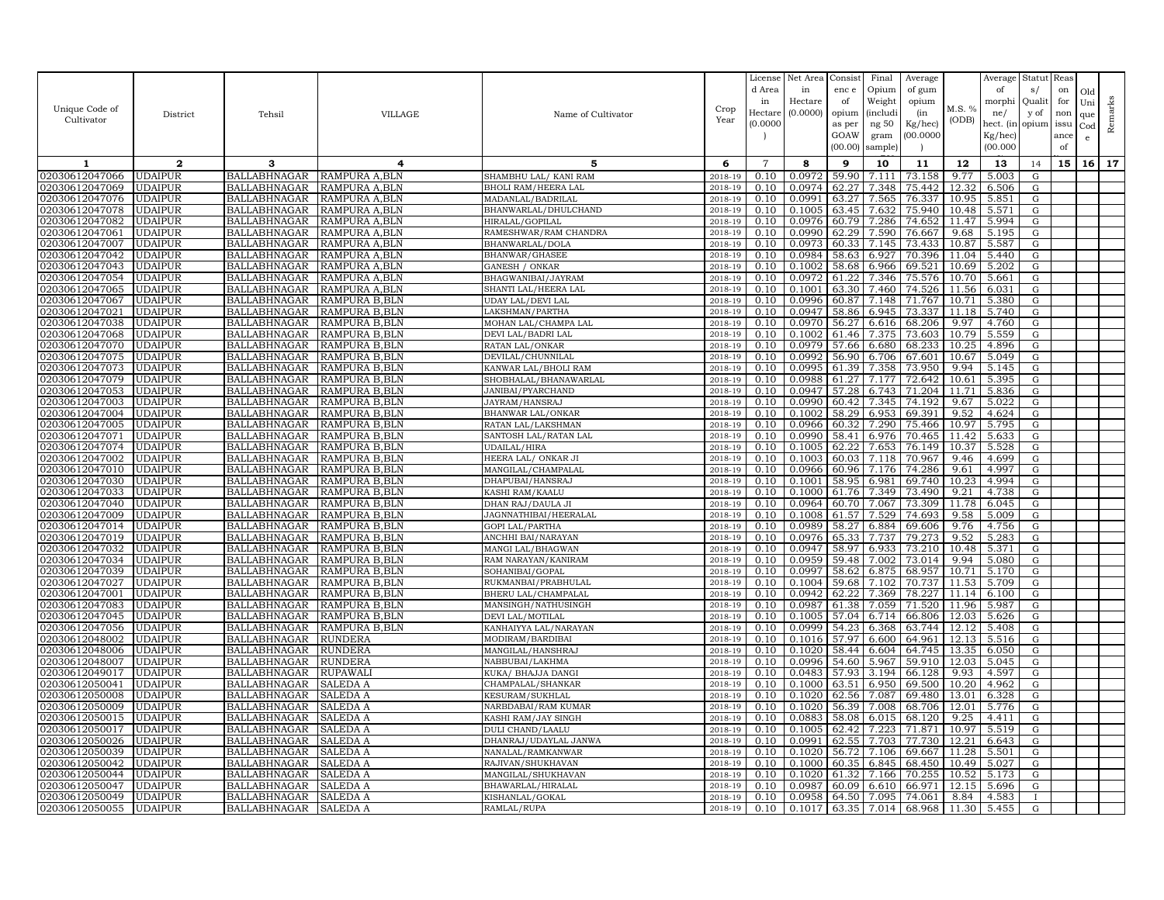|                                  |                                  |                                            |                                  |                                     |                    | License        | Net Area         | Consist        | Final              | Average          |               | Average        | Statut Reas |      |              |         |
|----------------------------------|----------------------------------|--------------------------------------------|----------------------------------|-------------------------------------|--------------------|----------------|------------------|----------------|--------------------|------------------|---------------|----------------|-------------|------|--------------|---------|
|                                  |                                  |                                            |                                  |                                     |                    | d Area         | in               | enc e          | Opium              | of gum           |               | of             | s/          | on   | Old          |         |
|                                  |                                  |                                            |                                  |                                     |                    | in             | Hectare          | of             | Weight             | opium            |               | morphi         | Qualit      | for  | Uni          | Remarks |
| Unique Code of                   | District                         | Tehsil                                     | <b>VILLAGE</b>                   | Name of Cultivator                  | Crop               | Hectare        | (0.0000)         | opium          | (includ:           | (in              | M.S. %        | ne/            | y of        | non  | que          |         |
| Cultivator                       |                                  |                                            |                                  |                                     | Year               | (0.0000        |                  | as per         | ng 50              | Kg/hec)          | (ODB)         | hect. (in      | opium issu  |      | $_{\rm Cod}$ |         |
|                                  |                                  |                                            |                                  |                                     |                    |                |                  | GOAW           | gram               | 00.0000          |               | Kg/hec)        |             | ance | e            |         |
|                                  |                                  |                                            |                                  |                                     |                    |                |                  | (00.00)        | sample)            |                  |               | (00.000)       |             | of   |              |         |
| 1                                | $\mathbf{2}$                     | 3                                          | 4                                | 5                                   | 6                  | $\overline{7}$ | 8                | 9              | 10                 | 11               | 12            | 13             | 14          | 15   | 16           | 17      |
| 02030612047066                   | <b>UDAIPUR</b>                   | BALLABHNAGAR                               | RAMPURA A, BLN                   | SHAMBHU LAL/ KANI RAM               | 2018-19            | 0.10           | 0.0972           | 59.90          | 7.111              | 73.158           | 9.77          | 5.003          | G           |      |              |         |
| 02030612047069                   | <b>UDAIPUR</b>                   | <b>BALLABHNAGAR</b>                        | <b>RAMPURA A.BLN</b>             | <b>BHOLI RAM/HEERA LAL</b>          | 2018-19            | 0.10           | 0.0974           | 62.27          | 7.348              | 75.442           | 12.32         | 6.506          | G           |      |              |         |
| 02030612047076                   | <b>UDAIPUR</b>                   | <b>BALLABHNAGAR</b>                        | RAMPURA A,BLN                    | MADANLAL/BADRILAL                   | 2018-19            | 0.10           | 0.0991           | 63.27          | 7.565              | 76.337           | 10.95         | 5.851          | G           |      |              |         |
| 02030612047078                   | <b>UDAIPUR</b>                   | <b>BALLABHNAGAR</b>                        | RAMPURA A,BLN                    | BHANWARLAL/DHULCHAND                | 2018-19            | 0.10           | 0.1005           | 63.45          | 7.632              | 75.940           | 10.48         | 5.571          | G           |      |              |         |
| 02030612047082                   | <b>UDAIPUR</b>                   | <b>BALLABHNAGAR</b>                        | RAMPURA A,BLN                    | HIRALAL/GOPILAL                     | 2018-19            | 0.10           | 0.0976           | 60.79          | 7.286              | 74.652           | 11.47         | 5.994          | G           |      |              |         |
| 02030612047061                   | <b>UDAIPUR</b>                   | <b>BALLABHNAGAR</b>                        | RAMPURA A, BLN                   | RAMESHWAR/RAM CHANDRA               | 2018-19            | 0.10           | 0.0990           | 62.29          | 7.590              | 76.667           | 9.68          | 5.195          | G           |      |              |         |
| 02030612047007                   | <b>UDAIPUR</b>                   | BALLABHNAGAR                               | RAMPURA A, BLN                   | BHANWARLAL/DOLA                     | 2018-19            | 0.10           | 0.0973           | 60.33          | 7.145              | 73.433           | 10.87         | 5.587          | G           |      |              |         |
| 02030612047042                   | <b>UDAIPUR</b>                   | BALLABHNAGAR                               | RAMPURA A,BLN                    | BHANWAR/GHASEE                      | 2018-19            | 0.10           | 0.0984           | 58.63          | 6.927              | 70.396           | 11.04         | 5.440          | G           |      |              |         |
| 02030612047043                   | <b>UDAIPUR</b>                   | BALLABHNAGAR                               | RAMPURA A,BLN                    | GANESH / ONKAR                      | 2018-19            | 0.10           | 0.1002           | 58.68          | 6.966              | 69.521           | 10.69         | 5.202          | G           |      |              |         |
| 02030612047054                   | <b>UDAIPUR</b>                   | <b>BALLABHNAGAR</b>                        | RAMPURA A,BLN                    | BHAGWANIBAI/JAYRAM                  | 2018-19            | 0.10           | 0.0972           | 61.22          | 7.346              | 75.576           | 10.70         | 5.661          | G           |      |              |         |
| 02030612047065                   | <b>UDAIPUR</b>                   | <b>BALLABHNAGAR</b>                        | RAMPURA A,BLN                    | SHANTI LAL/HEERA LAL                | 2018-19            | 0.10           | 0.1001           | 63.30          | 7.460              | 74.526           | 11.56         | 6.031          | G           |      |              |         |
| 02030612047067                   | <b>UDAIPUR</b>                   | <b>BALLABHNAGAR</b>                        | RAMPURA B,BLN                    | <b>UDAY LAL/DEVI LAL</b>            | 2018-19            | 0.10           | 0.0996           | 60.87          | 7.148              | 71.767           | 10.71         | 5.380          | G           |      |              |         |
| 02030612047021                   | <b>UDAIPUR</b>                   | <b>BALLABHNAGAR</b>                        | RAMPURA B.BLN                    | LAKSHMAN/PARTHA                     | 2018-19            | 0.10           | 0.0947           | 58.86          | 6.945              | 73.337           | 11.18         | 5.740          | G           |      |              |         |
| 02030612047038                   | <b>UDAIPUR</b>                   | <b>BALLABHNAGAR</b>                        | RAMPURA B, BLN                   | MOHAN LAL/CHAMPA LAL                | 2018-19            | 0.10           | 0.0970           | 56.27          | 6.616              | 68.206           | 9.97          | 4.760          | G           |      |              |         |
| 02030612047068                   | <b>UDAIPUR</b>                   | <b>BALLABHNAGAR</b>                        | RAMPURA B, BLN                   | DEVI LAL/BADRI LAL                  | 2018-19            | 0.10           | 0.1002           | 61.46          | 7.375              | 73.603           | 10.79         | 5.559          | G           |      |              |         |
| 02030612047070                   | <b>UDAIPUR</b>                   | BALLABHNAGAR                               | RAMPURA B.BLN                    | RATAN LAL/ONKAR                     | 2018-19            | 0.10           | 0.0979           | 57.66          | 6.680              | 68.233           | 10.25         | 4.896          | G           |      |              |         |
| 02030612047075                   | <b>UDAIPUR</b>                   | <b>BALLABHNAGAR</b>                        | RAMPURA B, BLN                   | DEVILAL/CHUNNILAI                   | 2018-19            | 0.10           | 0.0992           | 56.90          | 6.706              | 67.601           | 10.67         | 5.049          | G           |      |              |         |
| 02030612047073                   | <b>UDAIPUR</b>                   | <b>BALLABHNAGAR</b>                        | RAMPURA B,BLN                    | KANWAR LAL/BHOLI RAM                | 2018-19            | 0.10           | 0.0995           | 61.39          | 7.358              | 73.950           | 9.94          | 5.145          | G           |      |              |         |
| 02030612047079                   | <b>UDAIPUR</b>                   | <b>BALLABHNAGAR</b>                        | RAMPURA B,BLN                    | SHOBHALAL/BHANAWARLAL               | 2018-19            | 0.10           | 0.0988           | 61.27          | 7.177              | 72.642           | 10.61         | 5.395          | G           |      |              |         |
| 02030612047053                   | <b>UDAIPUR</b>                   | BALLABHNAGAR                               | RAMPURA B.BLN                    | <b>JANIBAI/PYARCHAND</b>            | 2018-19            | 0.10           | 0.0947           | 57.28          | 6.743              | 71.204           | 11.71         | 5.836          | G           |      |              |         |
| 02030612047003                   | <b>UDAIPUR</b>                   | <b>BALLABHNAGAR</b>                        | RAMPURA B, BLN                   | JAYRAM/HANSRAJ                      | 2018-19            | 0.10           | 0.0990           | 60.42          | 7.345              | 74.192           | 9.67          | 5.022          | ${\rm G}$   |      |              |         |
| 02030612047004                   | <b>UDAIPUR</b>                   | <b>BALLABHNAGAR</b>                        | RAMPURA B, BLN                   | <b>BHANWAR LAL/ONKAR</b>            | 2018-19            | 0.10           | 0.1002           | 58.29          | 6.953              | 69.391           | 9.52          | 4.624          | G           |      |              |         |
| 02030612047005                   | <b>UDAIPUR</b>                   | <b>BALLABHNAGAR</b>                        | RAMPURA B,BLN                    | RATAN LAL/LAKSHMAN                  | 2018-19            | 0.10           | 0.0966           | 60.32          | 7.290              | 75.466           | 10.97         | 5.795          | G           |      |              |         |
| 02030612047071                   | <b>UDAIPUR</b>                   | <b>BALLABHNAGAR</b>                        | RAMPURA B,BLN                    | SANTOSH LAL/RATAN LAL               | 2018-19            | 0.10           | 0.0990           | 58.41          | 6.976              | 70.465           | 11.42         | 5.633          | G           |      |              |         |
| 02030612047074                   | <b>UDAIPUR</b>                   | <b>BALLABHNAGAR</b>                        | RAMPURA B,BLN                    | UDAILAL/HIRA                        | 2018-19            | 0.10           | 0.1005           | 62.2           | 7.653              | 76.149           | 10.37         | 5.528          | $\mathbf G$ |      |              |         |
| 02030612047002                   | <b>UDAIPUR</b>                   | <b>BALLABHNAGAR</b>                        | RAMPURA B,BLN                    | HEERA LAL/ONKAR JI                  | 2018-19            | 0.10           | 0.1003           | 60.03          | 7.118              | 70.967           | 9.46          | 4.699<br>4.997 | G           |      |              |         |
| 02030612047010                   | <b>UDAIPUR</b><br><b>UDAIPUR</b> | BALLABHNAGAR                               | RAMPURA B.BLN                    | MANGILAL/CHAMPALAL                  | 2018-19            | 0.10<br>0.10   | 0.0966<br>0.1001 | 60.96          | 7.176              | 74.286           | 9.61          | 4.994          | G           |      |              |         |
| 02030612047030<br>02030612047033 | <b>UDAIPUR</b>                   | <b>BALLABHNAGAR</b><br><b>BALLABHNAGAR</b> | RAMPURA B, BLN<br>RAMPURA B, BLN | DHAPUBAI/HANSRAJ<br>KASHI RAM/KAALU | 2018-19<br>2018-19 | 0.10           | 0.1000           | 58.95<br>61.76 | 6.981<br>7.349     | 69.740<br>73.490 | 10.23<br>9.21 | 4.738          | G<br>G      |      |              |         |
| 02030612047040                   | <b>UDAIPUR</b>                   | <b>BALLABHNAGAR</b>                        | RAMPURA B, BLN                   | DHAN RAJ/DAULA JI                   | 2018-19            | 0.10           | 0.0964           | 60.70          | 7.067              | 73.309           | 11.78         | 6.045          | G           |      |              |         |
| 02030612047009                   | <b>UDAIPUR</b>                   | <b>BALLABHNAGAR</b>                        | RAMPURA B.BLN                    | JAGNNATHIBAI/HEERALAL               | 2018-19            | 0.10           | 0.1008           | 61.57          | 7.529              | 74.693           | 9.58          | 5.009          | G           |      |              |         |
| 02030612047014                   | <b>UDAIPUR</b>                   | <b>BALLABHNAGAR</b>                        | RAMPURA B,BLN                    | GOPI LAL/PARTHA                     | 2018-19            | 0.10           | 0.0989           | 58.27          | 6.884              | 69.606           | 9.76          | 4.756          | G           |      |              |         |
| 02030612047019                   | <b>UDAIPUR</b>                   | <b>BALLABHNAGAR</b>                        | RAMPURA B.BLN                    | ANCHHI BAI/NARAYAN                  | 2018-19            | 0.10           | 0.0976           | 65.33          | 7.737              | 79.273           | 9.52          | 5.283          | G           |      |              |         |
| 02030612047032                   | <b>UDAIPUR</b>                   | BALLABHNAGAR                               | RAMPURA B.BLN                    | MANGI LAL/BHAGWAN                   | 2018-19            | 0.10           | 0.0947           | 58.97          | 6.933              | 73.210           | 10.48         | 5.371          | G           |      |              |         |
| 02030612047034                   | <b>UDAIPUR</b>                   | <b>BALLABHNAGAR</b>                        | RAMPURA B, BLN                   | RAM NARAYAN/KANIRAM                 | 2018-19            | 0.10           | 0.0959           | 59.48          | 7.002              | 73.014           | 9.94          | 5.080          | G           |      |              |         |
| 02030612047039                   | <b>UDAIPUR</b>                   | <b>BALLABHNAGAR</b>                        | RAMPURA B, BLN                   | SOHANIBAI/GOPAL                     | 2018-19            | 0.10           | 0.0997           | 58.62          | 6.875              | 68.957           | 10.71         | 5.170          | G           |      |              |         |
| 02030612047027                   | <b>UDAIPUR</b>                   | BALLABHNAGAR                               | RAMPURA B,BLN                    | RUKMANBAI/PRABHULAL                 | 2018-19            | 0.10           | 0.1004           | 59.68          | 7.102              | 70.737           | 11.53         | 5.709          | G           |      |              |         |
| 02030612047001                   | <b>UDAIPUR</b>                   | BALLABHNAGAR                               | RAMPURA B.BLN                    | BHERU LAL/CHAMPALAL                 | 2018-19            | 0.10           | 0.0942           | 62.22          | 7.369              | 78.227           | 11.14         | 6.100          | G           |      |              |         |
| 02030612047083                   | <b>UDAIPUR</b>                   | <b>BALLABHNAGAR</b>                        | RAMPURA B,BLN                    | MANSINGH/NATHUSINGH                 | 2018-19            | 0.10           | 0.0987           | 61.38          | 7.059              | 71.520           | 11.96         | 5.987          | G           |      |              |         |
| 02030612047045                   | <b>UDAIPUR</b>                   | <b>BALLABHNAGAR</b>                        | RAMPURA B, BLN                   | DEVI LAL/MOTILAL                    | 2018-19            | 0.10           | 0.1005           | 57.04          | $6.71\overline{4}$ | 66.806           | 12.03         | 5.626          | G           |      |              |         |
| 02030612047056                   | <b>UDAIPUR</b>                   | <b>BALLABHNAGAR</b>                        | RAMPURA B,BLN                    | KANHAIYYA LAL/NARAYAN               | 2018-19            | 0.10           | 0.0999           | 54.23          | 6.368              | 63.744           | 12.12         | 5.408          | G           |      |              |         |
| 02030612048002                   | <b>UDAIPUR</b>                   | <b>BALLABHNAGAR</b>                        | RUNDERA                          | MODIRAM/BARDIBAI                    | 2018-19            | 0.10           | 0.1016           | 57.97          | 6.600              | 64.961           | 12.13         | 5.516          | G           |      |              |         |
| 02030612048006                   | <b>UDAIPUR</b>                   | <b>BALLABHNAGAR</b>                        | <b>RUNDERA</b>                   | MANGILAL/HANSHRAJ                   | 2018-19            | 0.10           | 0.1020           | 58.44          | 6.604              | 64.745           | 13.35         | 6.050          | G           |      |              |         |
| 02030612048007                   | <b>UDAIPUR</b>                   | BALLABHNAGAR                               | RUNDERA                          | NABBUBAI/LAKHMA                     | 2018-19            | 0.10           | 0.0996           | 54.60          | 5.967              | 59.910           | 12.03         | 5.045          | G           |      |              |         |
| 02030612049017                   | <b>UDAIPUR</b>                   | BALLABHNAGAR                               | RUPAWALI                         | KUKA/ BHAJJA DANGI                  | 2018-19            | 0.10           | 0.0483           | 57.93          | 3.194              | 66.128           | 9.93          | 4.597          | G           |      |              |         |
| 02030612050041                   | <b>UDAIPUR</b>                   | <b>BALLABHNAGAR</b>                        | SALEDA A                         | CHAMPALAL/SHANKAR                   | 2018-19            | 0.10           | 0.1000           | 63.51          | 6.950              | 69.500           | 10.20         | 4.962          | G           |      |              |         |
| 02030612050008                   | <b>UDAIPUR</b>                   | <b>BALLABHNAGAR</b>                        | SALEDA A                         | KESURAM/SUKHLAL                     | 2018-19            | 0.10           | 0.1020           | 62.56          | 7.087              | 69.480           | 13.01         | 6.328          | G           |      |              |         |
| 02030612050009                   | <b>UDAIPUR</b>                   | BALLABHNAGAR                               | SALEDA A                         | NARBDABAI/RAM KUMAR                 | 2018-19            | 0.10           | 0.1020           | 56.39          | 7.008              | 68.706           | 12.01         | 5.776          | G           |      |              |         |
| 02030612050015                   | <b>UDAIPUR</b>                   | <b>BALLABHNAGAR</b>                        | SALEDA A                         | KASHI RAM/JAY SINGH                 | 2018-19            | 0.10           | 0.0883           | 58.08          | 6.015              | 68.120           | 9.25          | 4.411          | G           |      |              |         |
| 02030612050017                   | <b>UDAIPUR</b>                   | <b>BALLABHNAGAR</b>                        | SALEDA A                         | DULI CHAND/LAALU                    | 2018-19            | 0.10           | 0.1005           | 62.42          | 7.223              | 71.871           | 10.97         | 5.519          | G           |      |              |         |
| 02030612050026                   | <b>UDAIPUR</b>                   | <b>BALLABHNAGAR</b>                        | SALEDA A                         | DHANRAJ/UDAYLAL JANWA               | 2018-19            | 0.10           | 0.0991           | 62.55          | 7.703              | 77.730           | 12.21         | 6.643          | G           |      |              |         |
| 02030612050039                   | <b>UDAIPUR</b>                   | <b>BALLABHNAGAR</b>                        | <b>SALEDA A</b>                  | NANALAL/RAMKANWAR                   | 2018-19            | 0.10           | 0.1020           | 56.72          | 7.106              | 69.667           | 11.28         | 5.501          | G           |      |              |         |
| 02030612050042                   | <b>UDAIPUR</b>                   | <b>BALLABHNAGAR</b>                        | SALEDA A                         | RAJIVAN / SHUKHAVAN                 | 2018-19            | 0.10           | 0.1000           | 60.35          | 6.845              | 68.450           | 10.49         | 5.027          | G           |      |              |         |
| 02030612050044                   | <b>UDAIPUR</b>                   | <b>BALLABHNAGAR</b>                        | SALEDA A                         | MANGILAL/SHUKHAVAN                  | 2018-19            | 0.10           | 0.1020           | 61.32          | 7.166              | 70.255           | 10.52         | 5.173          | $\mathbf G$ |      |              |         |
| 02030612050047                   | <b>UDAIPUR</b>                   | BALLABHNAGAR                               | SALEDA A                         | BHAWARLAL/HIRALAL                   | 2018-19            | 0.10           | 0.0987           | 60.09          | 6.610              | 66.971           | 12.15         | 5.696          | G           |      |              |         |
| 02030612050049                   | <b>UDAIPUR</b>                   | BALLABHNAGAR                               | SALEDA A                         | KISHANLAL/GOKAL                     | 2018-19            | 0.10           | 0.0958           | 64.50          | 7.095              | 74.061           | 8.84          | 4.583          |             |      |              |         |
| 02030612050055                   | <b>UDAIPUR</b>                   | <b>BALLABHNAGAR</b>                        | <b>SALEDA A</b>                  | RAMLAL/RUPA                         | 2018-19            | 0.10           | 0.1017           | 63.35          | 7.014              | 68.968           | 11.30         | 5.455          | G           |      |              |         |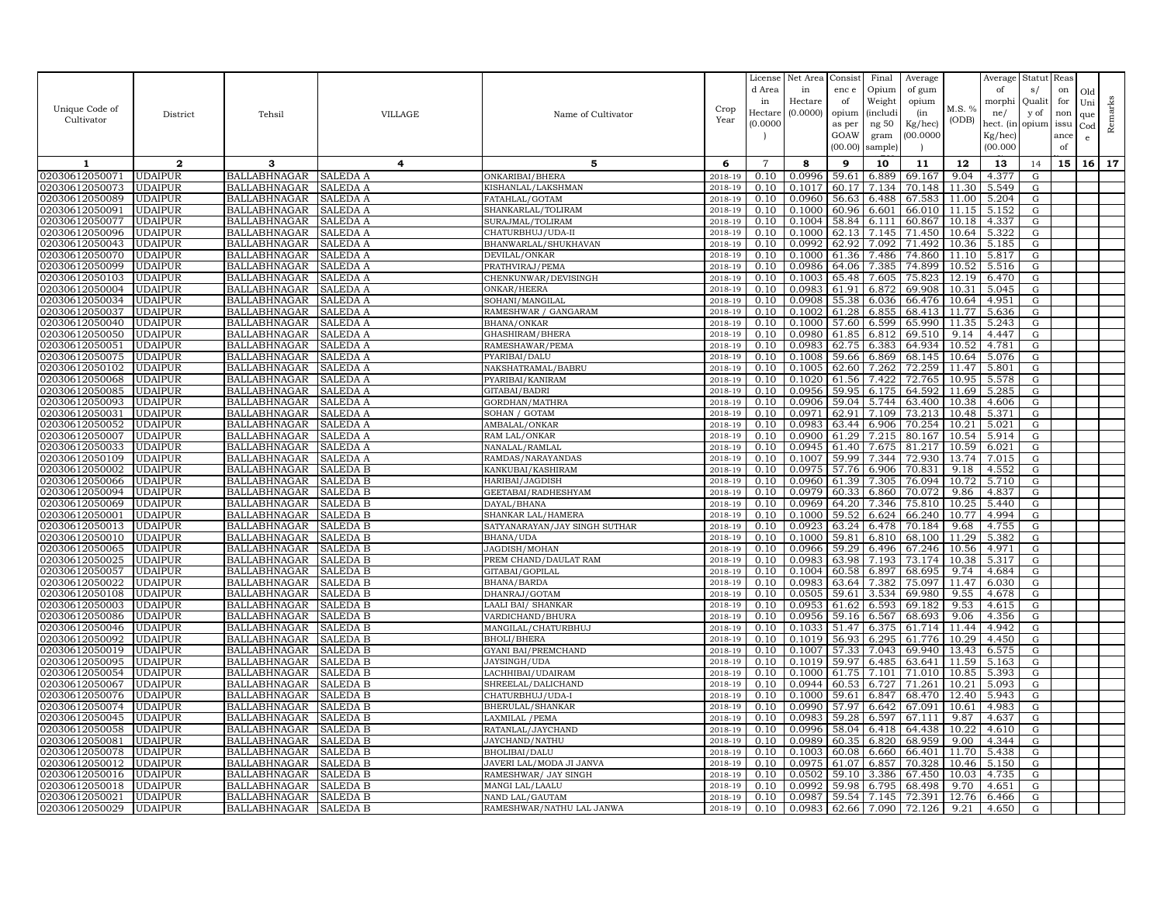|                                  |                                  |                                            |                      |                                            |                    | License        | Net Area         | Consist        | Final           | Average          |               | Average        | Statut         | Reas |     |         |
|----------------------------------|----------------------------------|--------------------------------------------|----------------------|--------------------------------------------|--------------------|----------------|------------------|----------------|-----------------|------------------|---------------|----------------|----------------|------|-----|---------|
|                                  |                                  |                                            |                      |                                            |                    | d Area         | in               | enc e          | Opium           | of gum           |               | of             | s/             | on   | Old |         |
|                                  |                                  |                                            |                      |                                            |                    | in             | Hectare          | of             | Weight          | opium            |               | morphi         | Quali          | for  | Uni |         |
| Unique Code of                   | District                         | Tehsil                                     | <b>VILLAGE</b>       | Name of Cultivator                         | Crop               | Hectar         | (0.0000)         | opium          | <i>(includi</i> | (in              | M.S. %        | ne/            | y of           | non  | que |         |
| Cultivator                       |                                  |                                            |                      |                                            | Year               | (0.0000)       |                  | as per         | ng 50           | Kg/hec)          | (ODB)         | hect. (in      | opium          | issu | Cod | Remarks |
|                                  |                                  |                                            |                      |                                            |                    |                |                  | GOAW           | gram            | 00.0000          |               | Kg/hec)        |                | ance | e   |         |
|                                  |                                  |                                            |                      |                                            |                    |                |                  | (00.00)        | sample          |                  |               | (00.000)       |                | of   |     |         |
| 1                                | $\mathbf{2}$                     | 3                                          | 4                    | 5                                          | 6                  | $\overline{7}$ | 8                | 9              | 10              | 11               | 12            | 13             | 14             | 15   | 16  | 17      |
| 02030612050071                   | <b>UDAIPUR</b>                   | <b>BALLABHNAGAR</b>                        | SALEDA A             | ONKARIBAI/BHERA                            | 2018-19            | 0.10           | 0.0996           | 59.61          | 6.889           | 69.167           | 9.04          | 4.377          | G              |      |     |         |
| 02030612050073                   | <b>UDAIPUR</b>                   | <b>BALLABHNAGAR</b>                        | SALEDA A             | KISHANLAL/LAKSHMAN                         | 2018-19            | 0.10           | 0.1017           | 60.17          | 7.134           | 70.148           | 11.30         | 5.549          | G              |      |     |         |
| 02030612050089                   | <b>UDAIPUR</b>                   | <b>BALLABHNAGAR</b>                        | SALEDA A             | FATAHLAL/GOTAM                             | 2018-19            | 0.10           | 0.0960           | 56.63          | 6.488           | 67.583           | 11.00         | 5.204          | G              |      |     |         |
| 02030612050091                   | <b>UDAIPUR</b>                   | <b>BALLABHNAGAR</b>                        | SALEDA A             | SHANKARLAL/TOLIRAM                         | 2018-19            | 0.10           | 0.1000           | 60.96          | 6.601           | 66.010           | 11.15         | 5.152          | G              |      |     |         |
| 02030612050077                   | <b>UDAIPUR</b>                   | <b>BALLABHNAGAR</b>                        | SALEDA A             | SURAJMAL/TOLIRAM                           | 2018-19            | 0.10           | 0.1004           | 58.84          | 6.111           | 60.867           | 10.18         | 4.337          | G              |      |     |         |
| 02030612050096                   | <b>UDAIPUR</b>                   | <b>BALLABHNAGAR</b>                        | SALEDA A             | CHATURBHUJ/UDA-II                          | 2018-19            | 0.10           | 0.1000           | 62.13          | 7.145           | 71.450           | 10.64         | 5.322          | G              |      |     |         |
| 02030612050043                   | <b>UDAIPUR</b>                   | <b>BALLABHNAGAR</b>                        | <b>SALEDA A</b>      | BHANWARLAL/SHUKHAVAN                       | 2018-19            | 0.10           | 0.0992           | 62.92          | 7.092           | 71.492           | 10.36         | 5.185          | G              |      |     |         |
| 02030612050070                   | <b>UDAIPUR</b>                   | BALLABHNAGAR                               | SALEDA A             | DEVILAL/ONKAR                              | 2018-19            | 0.10           | 0.1000           | 61.36          | 7.486           | 74.860           | 11.10         | 5.817          | G              |      |     |         |
| 02030612050099                   | <b>UDAIPUR</b>                   | <b>BALLABHNAGAR</b>                        | SALEDA A             | PRATHVIRAJ/PEMA                            | 2018-19            | 0.10           | 0.0986           | 64.06          | 7.385           | 74.899           | 10.52         | 5.516          | G              |      |     |         |
| 02030612050103                   | <b>UDAIPUR</b>                   | <b>BALLABHNAGAR</b>                        | SALEDA A             | CHENKUNWAR/DEVISINGH                       | 2018-19            | 0.10           | 0.1003           | 65.48          | 7.605           | 75.823           | 12.19         | 6.470          | G              |      |     |         |
| 02030612050004                   | <b>UDAIPUR</b>                   | <b>BALLABHNAGAR</b>                        | SALEDA A             | ONKAR/HEERA                                | 2018-19            | 0.10           | 0.0983           | 61.91          | 6.872           | 69.908           | 10.31         | 5.045          | G              |      |     |         |
| 02030612050034                   | <b>UDAIPUR</b>                   | <b>BALLABHNAGAR</b>                        | SALEDA A             | SOHANI/MANGILAL                            | 2018-19            | 0.10           | 0.0908           | 55.38          | 6.036           | 66.476           | 10.64         | 4.951          | G              |      |     |         |
| 02030612050037                   | <b>UDAIPUR</b>                   | <b>BALLABHNAGAR</b>                        | SALEDA A             | RAMESHWAR / GANGARAM                       | 2018-19            | 0.10           | 0.1002           | 61.28          | 6.855           | 68.413           | 11.77         | 5.636          | G              |      |     |         |
| 02030612050040                   | <b>UDAIPUR</b>                   | <b>BALLABHNAGAR</b>                        | SALEDA A             | BHANA/ONKAR                                | 2018-19            | 0.10           | 0.1000           | 57.60          | 6.599           | 65.990           | 11.35         | 5.243          | G              |      |     |         |
| 02030612050050                   | <b>UDAIPUR</b>                   | <b>BALLABHNAGAR</b>                        | SALEDA A             | GHASHIRAM/BHERA                            | 2018-19            | 0.10           | 0.0980           | 61.85          | 6.812           | 69.510           | 9.14          | 4.447          | G              |      |     |         |
| 02030612050051                   | <b>UDAIPUR</b>                   | <b>BALLABHNAGAR</b>                        | SALEDA A             | RAMESHAWAR/PEMA                            | 2018-19            | 0.10           | 0.0983           | 62.75          | 6.383           | 64.934           | 10.52         | 4.781          | G              |      |     |         |
| 02030612050075                   | <b>UDAIPUR</b>                   | <b>BALLABHNAGAR</b>                        | SALEDA A             | PYARIBAI/DALU                              | 2018-19            | 0.10           | 0.1008           | 59.66          | 6.869           | 68.145           | 10.64         | 5.076          | G              |      |     |         |
| 02030612050102                   | <b>UDAIPUR</b>                   | <b>BALLABHNAGAR</b>                        | SALEDA A             | NAKSHATRAMAL/BABRU                         | 2018-19            | 0.10           | 0.1005           | 62.60          | 7.262           | 72.259           | 11.47         | 5.801          | G              |      |     |         |
| 02030612050068                   | <b>UDAIPUR</b>                   | <b>BALLABHNAGAR</b>                        | SALEDA A             | PYARIBAI/KANIRAM                           | 2018-19            | 0.10           | 0.1020           | 61.56          | 7.422           | 72.765           | 10.95         | 5.578          | G              |      |     |         |
| 02030612050085                   | <b>UDAIPUR</b>                   | BALLABHNAGAR                               | SALEDA A             | GITABAI/BADRI                              | 2018-19            | 0.10           | 0.0956           | 59.95          | 6.175           | 64.592           | 11.69         | 5.285          | G              |      |     |         |
| 02030612050093                   | <b>UDAIPUR</b>                   | <b>BALLABHNAGAR</b>                        | SALEDA A             | GORDHAN/MATHRA                             | 2018-19            | 0.10           | 0.0906           | 59.04          | 5.744           | 63.400           | 10.38         | 4.606          | ${\rm G}$      |      |     |         |
| 02030612050031                   | <b>UDAIPUR</b>                   | <b>BALLABHNAGAR</b>                        | <b>SALEDA A</b>      | SOHAN / GOTAM                              | 2018-19            | 0.10           | 0.0971           | 62.91          | 7.109           | 73.213           | 10.48         | 5.371          | G              |      |     |         |
| 02030612050052                   | <b>UDAIPUR</b>                   | <b>BALLABHNAGAR</b>                        | SALEDA A             | AMBALAL/ONKAR                              | 2018-19            | 0.10           | 0.0983           | 63.44          | 6.906           | 70.254           | 10.21         | 5.021          | G              |      |     |         |
| 02030612050007                   | <b>UDAIPUR</b>                   | <b>BALLABHNAGAR</b>                        | SALEDA A             | RAM LAL/ONKAR                              | 2018-19            | 0.10           | 0.0900           | 61.29          | 7.215           | 80.167           | 10.54         | 5.914          | G              |      |     |         |
| 02030612050033                   | UDAIPUR                          | <b>BALLABHNAGAR</b>                        | SALEDA A             | NANALAL/RAMLAI                             | 2018-19            | 0.10           | 0.0945           | 61.40          | 7.675           | 81.217           | 10.59         | 6.021          | G              |      |     |         |
| 02030612050109                   | <b>UDAIPUR</b>                   | <b>BALLABHNAGAR</b>                        | SALEDA A             | RAMDAS/NARAYANDAS                          | 2018-19            | 0.10           | 0.1007           | 59.99          | 7.344           | 72.930           | 13.74         | 7.015          | G              |      |     |         |
| 02030612050002                   | <b>UDAIPUR</b>                   | <b>BALLABHNAGAR</b>                        | SALEDA B             | KANKUBAI/KASHIRAM                          | 2018-19            | 0.10           | 0.0975           | 57.76          | 6.906           | 70.831           | 9.18          | 4.552          | G              |      |     |         |
| 02030612050066                   | <b>UDAIPUR</b>                   | <b>BALLABHNAGAR</b>                        | SALEDA B             | HARIBAI/JAGDISH                            | 2018-19            | 0.10           | 0.0960           | 61.39          | 7.305           | 76.094           | 10.72         | 5.710          | G              |      |     |         |
| 02030612050094                   | <b>UDAIPUR</b>                   | <b>BALLABHNAGAR</b>                        | <b>SALEDA B</b>      | GEETABAI/RADHESHYAM                        | 2018-19            | 0.10           | 0.0979           | 60.33          | 6.860           | 70.072           | 9.86          | 4.837          | G              |      |     |         |
| 02030612050069                   | <b>UDAIPUR</b>                   | <b>BALLABHNAGAR</b>                        | SALEDA B             | DAYAL/BHANA                                | 2018-19            | 0.10           | 0.0969           | 64.20          | 7.346           | 75.810           | 10.25         | 5.440          | G              |      |     |         |
| 02030612050001                   | <b>UDAIPUR</b>                   | <b>BALLABHNAGAR</b>                        | SALEDA B             | SHANKAR LAL/HAMERA                         | 2018-19            | 0.10           | 0.1000           | 59.52          | 6.624           | 66.240           | 10.77         | 4.994          | G              |      |     |         |
| 02030612050013                   | <b>UDAIPUR</b><br><b>UDAIPUR</b> | <b>BALLABHNAGAR</b><br><b>BALLABHNAGAR</b> | SALEDA B             | SATYANARAYAN/JAY SINGH SUTHAR<br>BHANA/UDA | 2018-19<br>2018-19 | 0.10<br>0.10   | 0.0923<br>0.1000 | 63.24<br>59.81 | 6.478           | 70.184<br>68.100 | 9.68<br>11.29 | 4.755          | ${\rm G}$<br>G |      |     |         |
| 02030612050010<br>02030612050065 | <b>UDAIPUR</b>                   | <b>BALLABHNAGAR</b>                        | SALEDA B<br>SALEDA B | JAGDISH/MOHAN                              | 2018-19            | 0.10           | 0.0966           | 59.29          | 6.810<br>6.496  | 67.246           | 10.56         | 5.382<br>4.971 | G              |      |     |         |
| 02030612050025                   | <b>UDAIPUR</b>                   | <b>BALLABHNAGAR</b>                        | SALEDA B             | PREM CHAND/DAULAT RAM                      | 2018-19            | 0.10           | 0.0983           | 63.98          | 7.193           | 73.174           | 10.38         | 5.317          | G              |      |     |         |
| 02030612050057                   | <b>UDAIPUR</b>                   | <b>BALLABHNAGAR</b>                        | SALEDA <sub>B</sub>  | GITABAI/GOPILAL                            | 2018-19            | 0.10           | 0.1004           | 60.58          | 6.897           | 68.695           | 9.74          | 4.684          | G              |      |     |         |
| 02030612050022                   | <b>UDAIPUR</b>                   | <b>BALLABHNAGAR</b>                        | SALEDA B             | BHANA/BARDA                                | 2018-19            | 0.10           | 0.0983           | 63.64          | 7.382           | 75.097           | 11.47         | 6.030          | G              |      |     |         |
| 02030612050108                   | UDAIPUR                          | <b>BALLABHNAGAR</b>                        | SALEDA B             | DHANRAJ/GOTAM                              | 2018-19            | 0.10           | 0.0505           | 59.61          | 3.534           | 69.980           | 9.55          | 4.678          | G              |      |     |         |
| 02030612050003                   | <b>UDAIPUR</b>                   | <b>BALLABHNAGAR</b>                        | SALEDA B             | LAALI BAI / SHANKAR                        | 2018-19            | 0.10           | 0.0953           | 61.62          | 6.593           | 69.182           | 9.53          | 4.615          | G              |      |     |         |
| 02030612050086                   | <b>UDAIPUR</b>                   | <b>BALLABHNAGAR</b>                        | <b>SALEDA B</b>      | VARDICHAND/BHURA                           | 2018-19            | 0.10           | 0.0956           | 59.16          | 6.567           | 68.693           | 9.06          | 4.356          | G              |      |     |         |
| 02030612050046                   | <b>UDAIPUR</b>                   | <b>BALLABHNAGAR</b>                        | SALEDA B             | MANGILAL/CHATURBHUJ                        | 2018-19            | 0.10           | 0.1033           | 51.47          | 6.375           | 61.714           | 11.44         | 4.942          | G              |      |     |         |
| 02030612050092                   | <b>UDAIPUR</b>                   | <b>BALLABHNAGAR</b>                        | SALEDA B             | <b>BHOLI/BHERA</b>                         | 2018-19            | 0.10           | 0.1019           | 56.93          | 6.295           | 61.776           | 10.29         | 4.450          | G              |      |     |         |
| 02030612050019                   | <b>UDAIPUR</b>                   | <b>BALLABHNAGAR</b>                        | SALEDA B             | <b>GYANI BAI/PREMCHAND</b>                 | 2018-19            | 0.10           | 0.1007           | 57.33          | 7.043           | 69.940           | 13.43         | 6.575          | G              |      |     |         |
| 02030612050095                   | <b>UDAIPUR</b>                   | <b>BALLABHNAGAR</b>                        | SALEDA B             | JAYSINGH/UDA                               | 2018-19            | 0.10           | 0.1019           | 59.97          | 6.485           | 63.641           | 11.59         | 5.163          | G              |      |     |         |
| 02030612050054                   | <b>UDAIPUR</b>                   | <b>BALLABHNAGAR</b>                        | SALEDA B             | LACHHIBAI/UDAIRAM                          | 2018-19            | 0.10           | 0.1000           | 61.75          | 7.101           | 71.010           | 10.85         | 5.393          | G              |      |     |         |
| 02030612050067                   | <b>UDAIPUR</b>                   | <b>BALLABHNAGAR</b>                        | SALEDA B             | SHREELAL/DALICHAND                         | 2018-19            | 0.10           | 0.0944           | 60.53          | 6.727           | 71.261           | 10.21         | 5.093          | G              |      |     |         |
| 02030612050076                   | <b>UDAIPUR</b>                   | <b>BALLABHNAGAR</b>                        | SALEDA B             | CHATURBHUJ/UDA-I                           | 2018-19            | 0.10           | 0.1000           | 59.61          | 6.847           | 68.470           | 12.40         | 5.943          | G              |      |     |         |
| 02030612050074                   | <b>UDAIPUR</b>                   | <b>BALLABHNAGAR</b>                        | SALEDA B             | BHERULAL/SHANKAR                           | 2018-19            | 0.10           | 0.0990           | 57.97          | 6.642           | 67.091           | 10.61         | 4.983          | G              |      |     |         |
| 02030612050045                   | <b>UDAIPUR</b>                   | <b>BALLABHNAGAR</b>                        | SALEDA B             | LAXMILAL / PEMA                            | 2018-19            | 0.10           | 0.0983           | 59.28          | 6.597           | 67.111           | 9.87          | 4.637          | G              |      |     |         |
| 02030612050058                   | <b>UDAIPUR</b>                   | <b>BALLABHNAGAR</b>                        | SALEDA B             | RATANLAL/JAYCHAND                          | 2018-19            | 0.10           | 0.0996           | 58.04          | 6.418           | 64.438           | 10.22         | 4.610          | ${\rm G}$      |      |     |         |
| 02030612050081                   | <b>UDAIPUR</b>                   | <b>BALLABHNAGAR</b>                        | SALEDA B             | JAYCHAND/NATHU                             | 2018-19            | 0.10           | 0.0989           | 60.35          | 6.820           | 68.959           | 9.00          | 4.344          | G              |      |     |         |
| 02030612050078                   | <b>UDAIPUR</b>                   | <b>BALLABHNAGAR</b>                        | SALEDA B             | BHOLIBAI/DALU                              | 2018-19            | 0.10           | 0.1003           | 60.08          | 6.660           | 66.401           | 11.70         | 5.438          | G              |      |     |         |
| 02030612050012                   | <b>UDAIPUR</b>                   | <b>BALLABHNAGAR</b>                        | SALEDA B             | JAVERI LAL/MODA JI JANVA                   | 2018-19            | 0.10           | 0.0975           | 61.07          | 6.857           | 70.328           | 10.46         | 5.150          | G              |      |     |         |
| 02030612050016                   | <b>UDAIPUR</b>                   | <b>BALLABHNAGAR</b>                        | SALEDA B             | RAMESHWAR/ JAY SINGH                       | 2018-19            | 0.10           | 0.0502           | 59.10          | 3.386           | 67.450           | 10.03         | 4.735          | $\mathbf G$    |      |     |         |
| 02030612050018                   | <b>UDAIPUR</b>                   | <b>BALLABHNAGAR</b>                        | SALEDA B             | MANGI LAL/LAALU                            | 2018-19            | 0.10           | 0.0992           | 59.98          | 6.795           | 68.498           | 9.70          | 4.651          | G              |      |     |         |
| 02030612050021                   | <b>UDAIPUR</b>                   | <b>BALLABHNAGAR</b>                        | SALEDA B             | NAND LAL/GAUTAM                            | 2018-19            | 0.10           | 0.0987           | 59.54          | 7.145           | 72.391           | 12.76         | 6.466          | G              |      |     |         |
| 02030612050029                   | <b>UDAIPUR</b>                   | <b>BALLABHNAGAR</b>                        | SALEDA B             | RAMESHWAR/NATHU LAL JANWA                  | 2018-19            | 0.10           | 0.0983           | 62.66          | 7.090           | 72.126           | 9.21          | 4.650          | G              |      |     |         |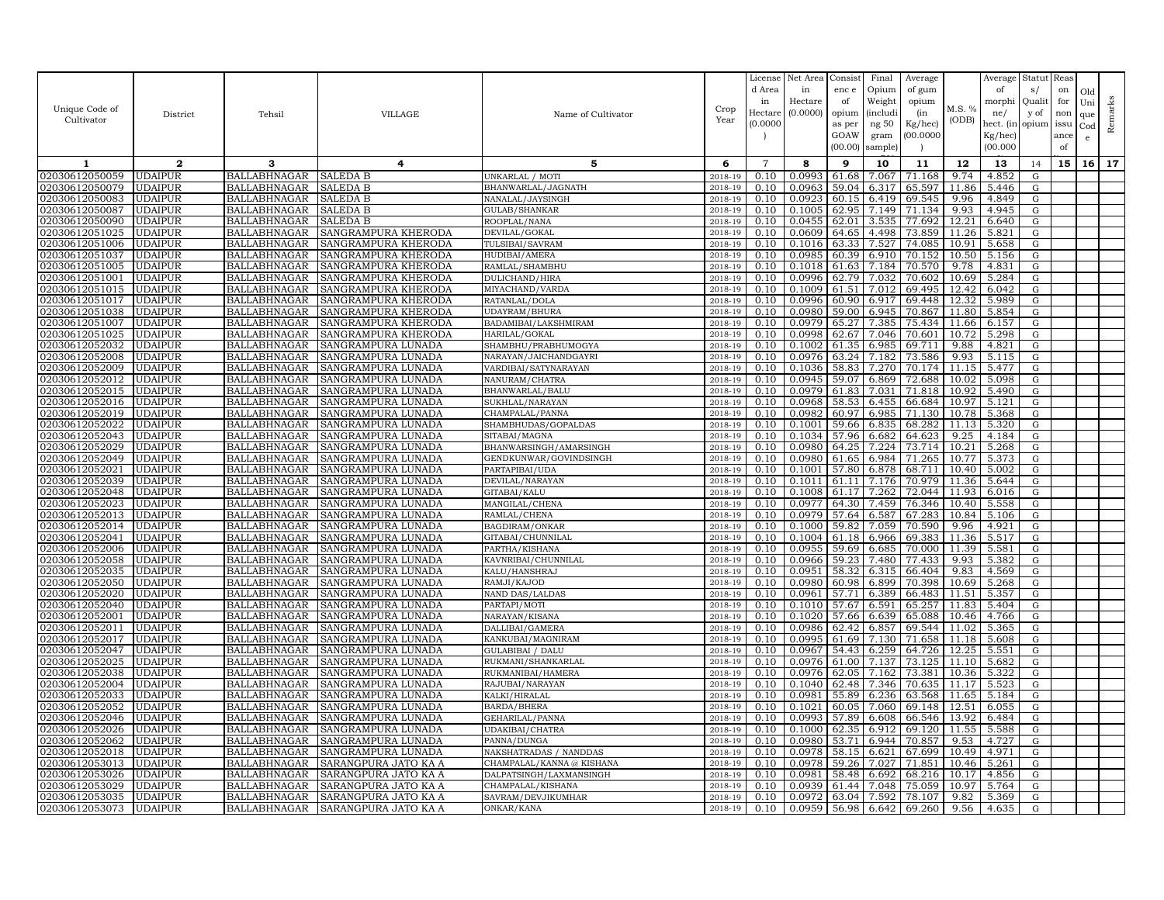|                                  |                                  |                                            |                                          |                                     |                    | License        | Net Area         | Consist        | Final          | Average          |                | Average        | Statut     | Reas |              |         |
|----------------------------------|----------------------------------|--------------------------------------------|------------------------------------------|-------------------------------------|--------------------|----------------|------------------|----------------|----------------|------------------|----------------|----------------|------------|------|--------------|---------|
|                                  |                                  |                                            |                                          |                                     |                    | d Area         | in               | enc e          | Opium          | of gum           |                | of             | s/         | on   | Old          |         |
|                                  |                                  |                                            |                                          |                                     |                    | in             | Hectare          | of             | Weight         | opium            |                | morphi         | Qualit     | for  | Uni          | Remarks |
| Unique Code of                   | District                         | Tehsil                                     | <b>VILLAGE</b>                           | Name of Cultivator                  | Crop               | Hectare        | (0.0000)         | opium          | (includ:       | (in              | M.S. %         | ne/            | y of       | non  | que          |         |
| Cultivator                       |                                  |                                            |                                          |                                     | Year               | (0.0000)       |                  | as per         | ng 50          | Kg/hec)          | (ODB)          | hect. (in      | opium issu |      | $_{\rm Cod}$ |         |
|                                  |                                  |                                            |                                          |                                     |                    |                |                  | GOAW           | gram           | 00.0000          |                | Kg/hec)        |            | ance | e            |         |
|                                  |                                  |                                            |                                          |                                     |                    |                |                  | (00.00)        | sample)        |                  |                | (00.000)       |            | of   |              |         |
| 1                                | $\mathbf{2}$                     | 3                                          | 4                                        | 5                                   | 6                  | $\overline{7}$ | 8                | 9              | 10             | 11               | 12             | 13             | 14         | 15   | 16           | 17      |
| 02030612050059                   | <b>UDAIPUR</b>                   | BALLABHNAGAR                               | <b>SALEDA B</b>                          | UNKARLAL / MOTI                     | 2018-19            | 0.10           | 0.0993           | 61.68          | 7.067          | 71.168           | 9.74           | 4.852          | G          |      |              |         |
| 02030612050079                   | <b>UDAIPUR</b>                   | <b>BALLABHNAGAR</b>                        | SALEDA B                                 | BHANWARLAL/JAGNATH                  | 2018-19            | 0.10           | 0.0963           | 59.04          | 6.317          | 65.597           | 11.86          | 5.446          | G          |      |              |         |
| 02030612050083                   | <b>UDAIPUR</b>                   | <b>BALLABHNAGAR</b>                        | SALEDA B                                 | NANALAL/JAYSINGF                    | 2018-19            | 0.10           | 0.092:           | 60.15          | 6.419          | 69.545           | 9.96           | 4.849          | G          |      |              |         |
| 02030612050087                   | <b>UDAIPUR</b>                   | <b>BALLABHNAGAR</b>                        | SALEDA B                                 | GULAB/SHANKAR                       | 2018-19            | 0.10           | 0.1005           | 62.95          | 7.149          | 71.134           | 9.93           | 4.945          | G          |      |              |         |
| 02030612050090                   | <b>UDAIPUR</b>                   | <b>BALLABHNAGAR</b>                        | SALEDA B                                 | ROOPLAL/NANA                        | 2018-19            | 0.10           | 0.0455           | 62.01          | 3.535          | 77.692           | 12.21          | 6.640          | G          |      |              |         |
| 02030612051025                   | <b>UDAIPUR</b>                   | <b>BALLABHNAGAR</b>                        | SANGRAMPURA KHERODA                      | DEVILAL/GOKAL                       | 2018-19            | 0.10           | 0.0609           | 64.65          | 4.498          | 73.859           | 11.26          | 5.821          | G          |      |              |         |
| 02030612051006                   | <b>UDAIPUR</b>                   | <b>BALLABHNAGAR</b>                        | SANGRAMPURA KHERODA                      | TULSIBAI/SAVRAM                     | 2018-19            | 0.10           | 0.1016           | 63.33          | 7.527          | 74.085           | 10.91          | 5.658          | G          |      |              |         |
| 02030612051037                   | <b>UDAIPUR</b>                   | <b>BALLABHNAGAR</b>                        | SANGRAMPURA KHERODA                      | HUDIBAI/AMERA                       | 2018-19            | 0.10           | 0.0985           | 60.39          | 6.910          | 70.152           | 10.50          | 5.156          | G          |      |              |         |
| 02030612051005                   | <b>UDAIPUR</b>                   | <b>BALLABHNAGAR</b>                        | SANGRAMPURA KHERODA                      | RAMLAL/SHAMBHU                      | 2018-19            | 0.10           | 0.1018           | 61.63          | 7.184          | 70.570           | 9.78           | 4.831          | G          |      |              |         |
| 02030612051001                   | <b>UDAIPUR</b>                   | <b>BALLABHNAGAR</b>                        | SANGRAMPURA KHERODA                      | DULICHAND/HIRA                      | 2018-19            | 0.10           | 0.0996           | 62.79          | 7.032          | 70.602           | 10.69          | 5.284          | G          |      |              |         |
| 02030612051015                   | <b>UDAIPUR</b>                   | <b>BALLABHNAGAR</b>                        | SANGRAMPURA KHERODA                      | MIYACHAND/VARDA                     | 2018-19            | 0.10           | 0.1009           | 61.51          | 7.012          | 69.495           | 12.42          | 6.042          | G          |      |              |         |
| 02030612051017                   | <b>UDAIPUR</b>                   | <b>BALLABHNAGAR</b>                        | SANGRAMPURA KHERODA                      | RATANLAL/DOLA                       | 2018-19            | 0.10           | 0.0996           | 60.90          | 6.917          | 69.448           | 12.32          | 5.989          | G          |      |              |         |
| 02030612051038                   | <b>UDAIPUR</b>                   | <b>BALLABHNAGAR</b>                        | SANGRAMPURA KHERODA                      | UDAYRAM/BHURA                       | 2018-19            | 0.10           | 0.0980           | 59.00          | 6.945          | 70.867           | 11.80          | 5.854          | G          |      |              |         |
| 02030612051007                   | <b>UDAIPUR</b>                   | <b>BALLABHNAGAR</b>                        | SANGRAMPURA KHERODA                      | BADAMIBAI/LAKSHMIRAM                | 2018-19            | 0.10           | 0.0979           | 65.27          | 7.385          | 75.434           | 11.66          | 6.157          | ${\rm G}$  |      |              |         |
| 02030612051025                   | <b>UDAIPUR</b>                   | <b>BALLABHNAGAR</b>                        | SANGRAMPURA KHERODA                      | HARILAL/GOKAL                       | 2018-19            | 0.10           | 0.0998           | 62.67          | 7.046          | 70.601           | 10.72          | 5.298          | G          |      |              |         |
| 02030612052032                   | <b>UDAIPUR</b>                   | <b>BALLABHNAGAR</b>                        | SANGRAMPURA LUNADA                       | SHAMBHU/PRABHUMOGYA                 | 2018-19            | 0.10           | 0.1002           | 61.35          | 6.985          | 69.711           | 9.88           | 4.821          | G          |      |              |         |
| 02030612052008                   | <b>UDAIPUR</b>                   | <b>BALLABHNAGAR</b>                        | SANGRAMPURA LUNADA                       | NARAYAN/JAICHANDGAYRI               | 2018-19            | 0.10           | 0.0976           | 63.24          | 7.182          | 73.586           | 9.93           | 5.115          | G          |      |              |         |
| 02030612052009                   | <b>UDAIPUR</b>                   | <b>BALLABHNAGAR</b>                        | SANGRAMPURA LUNADA                       | VARDIBAI/SATYNARAYAN                | 2018-19            | 0.10           | 0.1036           | 58.83          | 7.270          | 70.174           | 11.15          | 5.477          | G          |      |              |         |
| 02030612052012                   | <b>UDAIPUR</b>                   | <b>BALLABHNAGAR</b>                        | SANGRAMPURA LUNADA                       | NANURAM/CHATRA                      | 2018-19            | 0.10           | 0.0945           | 59.07          | 6.869          | 72.688           | 10.02          | 5.098          | G          |      |              |         |
| 02030612052015                   | <b>UDAIPUR</b>                   | <b>BALLABHNAGAR</b>                        | SANGRAMPURA LUNADA                       | BHANWARLAL/BALU                     | 2018-19            | 0.10           | 0.0979           | 61.83          | 7.031          | 71.818           | 10.92          | 5.490          | G          |      |              |         |
| 02030612052016                   | <b>UDAIPUR</b>                   | <b>BALLABHNAGAR</b>                        | SANGRAMPURA LUNADA                       | SUKHLAL/NARAYAN                     | 2018-19            | 0.10           | 0.0968           | 58.53          | 6.455          | 66.684           | 10.97          | 5.121          | G          |      |              |         |
| 02030612052019                   | <b>UDAIPUR</b>                   | <b>BALLABHNAGAR</b>                        | SANGRAMPURA LUNADA                       | CHAMPALAL/PANNA                     | 2018-19            | 0.10           | 0.0982           | 60.97          | 6.985          | 71.130           | 10.78          | 5.368          | G          |      |              |         |
| 02030612052022                   | <b>UDAIPUR</b>                   | <b>BALLABHNAGAR</b>                        | SANGRAMPURA LUNADA                       | SHAMBHUDAS/GOPALDAS                 | 2018-19            | 0.10           | 0.1001           | 59.66          | 6.835          | 68.282           | 11.13          | 5.320          | G          |      |              |         |
| 02030612052043                   | <b>UDAIPUR</b>                   | <b>BALLABHNAGAR</b>                        | SANGRAMPURA LUNADA                       | SITABAI/MAGNA                       | 2018-19            | 0.10           | 0.1034           | 57.96          | 6.682          | 64.623           | 9.25           | 4.184          | G          |      |              |         |
| 02030612052029                   | <b>UDAIPUR</b>                   | <b>BALLABHNAGAR</b>                        | SANGRAMPURA LUNADA                       | BHANWARSINGH/AMARSINGH              | 2018-19            | 0.10           | 0.0980           | 64.25          | 7.224          | 73.714           | 10.21          | 5.268          | G          |      |              |         |
| 02030612052049                   | <b>UDAIPUR</b>                   | <b>BALLABHNAGAR</b>                        | SANGRAMPURA LUNADA                       | GENDKUNWAR/GOVINDSINGH              | 2018-19            | 0.10           | 0.0980           | 61.65          | 6.984          | 71.265           | 10.77          | 5.373          | G          |      |              |         |
| 02030612052021                   | <b>UDAIPUR</b>                   | BALLABHNAGAR                               | SANGRAMPURA LUNADA                       | PARTAPIBAI/UDA                      | 2018-19            | 0.10           | 0.1001           | 57.80          | 6.878          | 68.711           | 10.40          | 5.002          | G          |      |              |         |
| 02030612052039                   | <b>UDAIPUR</b>                   | <b>BALLABHNAGAR</b>                        | SANGRAMPURA LUNADA                       | DEVILAL/NARAYAN                     | 2018-19            | 0.10           | 0.1011           | 61.11          | 7.176          | 70.979           | 11.36          | 5.644          | G          |      |              |         |
| )2030612052048                   | <b>UDAIPUR</b>                   | <b>BALLABHNAGAR</b>                        | SANGRAMPURA LUNADA                       | GITABAI/KALU                        | 2018-19            | 0.10           | 0.1008           | 61.17          | 7.262          | 72.044           | 11.93          | 6.016          | G          |      |              |         |
| 02030612052023                   | <b>UDAIPUR</b>                   | <b>BALLABHNAGAR</b>                        | SANGRAMPURA LUNADA                       | MANGILAL/CHENA                      | 2018-19            | 0.10           | 0.0977           | 64.30          | 7.459          | 76.346           | 10.40          | 5.558          | G          |      |              |         |
| 02030612052013                   | <b>UDAIPUR</b>                   | <b>BALLABHNAGAR</b>                        | SANGRAMPURA LUNADA                       | RAMLAL/CHENA                        | 2018-19            | 0.10           | 0.0979           | 57.64          | 6.587          | 67.283           | 10.84          | 5.106          | G          |      |              |         |
| 02030612052014                   | <b>UDAIPUR</b>                   | <b>BALLABHNAGAR</b>                        | SANGRAMPURA LUNADA                       | BAGDIRAM/ONKAR                      | 2018-19            | 0.10           | 0.1000           | 59.82          | 7.059          | 70.590           | 9.96           | 4.921          | G          |      |              |         |
| 02030612052041                   | <b>UDAIPUR</b><br><b>UDAIPUR</b> | <b>BALLABHNAGAR</b>                        | SANGRAMPURA LUNADA                       | GITABAI/CHUNNILAL<br>PARTHA/KISHANA | 2018-19<br>2018-19 | 0.10<br>0.10   | 0.1004<br>0.0955 | 61.18<br>59.69 | 6.966<br>6.685 | 69.383<br>70.000 | 11.36<br>11.39 | 5.517          | G          |      |              |         |
| 02030612052006<br>02030612052058 | <b>UDAIPUR</b>                   | <b>BALLABHNAGAR</b><br><b>BALLABHNAGAR</b> | SANGRAMPURA LUNADA<br>SANGRAMPURA LUNADA | KAVNRIBAI/CHUNNILAL                 | 2018-19            | 0.10           | 0.0966           | 59.23          | 7.480          | 77.433           | 9.93           | 5.581<br>5.382 | G<br>G     |      |              |         |
| 02030612052035                   | <b>UDAIPUR</b>                   | <b>BALLABHNAGAR</b>                        | SANGRAMPURA LUNADA                       | KALU/HANSHRAJ                       | 2018-19            | 0.10           | 0.0951           | 58.32          | 6.315          | 66.404           | 9.83           | 4.569          | G          |      |              |         |
| 02030612052050                   | <b>UDAIPUR</b>                   | <b>BALLABHNAGAR</b>                        | SANGRAMPURA LUNADA                       | RAMJI/KAJOD                         | 2018-19            | 0.10           | 0.0980           | 60.98          | 6.899          | 70.398           | 10.69          | 5.268          | G          |      |              |         |
| 02030612052020                   | <b>UDAIPUR</b>                   | <b>BALLABHNAGAR</b>                        | SANGRAMPURA LUNADA                       | NAND DAS/LALDAS                     | 2018-19            | 0.10           | 0.0961           | 57.71          | 6.389          | 66.483           | 11.51          | 5.357          | G          |      |              |         |
| 02030612052040                   | <b>UDAIPUR</b>                   | <b>BALLABHNAGAR</b>                        | SANGRAMPURA LUNADA                       | PARTAPI/MOTI                        | 2018-19            | 0.10           | 0.1010           | 57.67          | 6.591          | 65.257           | 11.83          | 5.404          | G          |      |              |         |
| 02030612052001                   | <b>UDAIPUR</b>                   | <b>BALLABHNAGAR</b>                        | SANGRAMPURA LUNADA                       | NARAYAN/KISANA                      | 2018-19            | 0.10           | 0.1020           | 57.66          | 6.639          | 65.088           | 10.46          | 4.766          | G          |      |              |         |
| 02030612052011                   | <b>UDAIPUR</b>                   | <b>BALLABHNAGAR</b>                        | SANGRAMPURA LUNADA                       | DALLIBAI/GAMERA                     | 2018-19            | 0.10           | 0.0986           | 62.42          | 6.857          | 69.544           | 11.02          | 5.365          | G          |      |              |         |
| 02030612052017                   | <b>UDAIPUR</b>                   | <b>BALLABHNAGAR</b>                        | SANGRAMPURA LUNADA                       | KANKUBAI/MAGNIRAM                   | 2018-19            | 0.10           | 0.0995           | 61.69          | 7.130          | 71.658           | 11.18          | 5.608          | G          |      |              |         |
| 02030612052047                   | <b>UDAIPUR</b>                   | <b>BALLABHNAGAR</b>                        | SANGRAMPURA LUNADA                       | <b>GULABIBAI / DALU</b>             | 2018-19            | 0.10           | 0.0967           | 54.43          | 6.259          | 64.726           | 12.25          | 5.551          | ${\rm G}$  |      |              |         |
| 02030612052025                   | <b>UDAIPUR</b>                   | <b>BALLABHNAGAR</b>                        | SANGRAMPURA LUNADA                       | RUKMANI/SHANKARLAL                  | 2018-19            | 0.10           | 0.0976           | 61.00          | 7.137          | 73.125           |                | 11.10 5.682    | G          |      |              |         |
| 02030612052038                   | <b>UDAIPUR</b>                   | <b>BALLABHNAGAR</b>                        | SANGRAMPURA LUNADA                       | RUKMANIBAI/HAMERA                   | 2018-19            | 0.10           | 0.0976           | 62.05          | 7.162          | 73.381           | 10.36          | 5.322          | G          |      |              |         |
| 02030612052004                   | <b>UDAIPUR</b>                   | <b>BALLABHNAGAR</b>                        | SANGRAMPURA LUNADA                       | RAJUBAI/NARAYAN                     | 2018-19            | 0.10           | 0.1040           | 62.48          | 7.346          | 70.635           | 11.17          | 5.523          | G          |      |              |         |
| 02030612052033                   | <b>UDAIPUR</b>                   | <b>BALLABHNAGAR</b>                        | SANGRAMPURA LUNADA                       | KALKI/HIRALAL                       | 2018-19            | 0.10           | 0.0981           | 55.89          | 6.236          | 63.568           | 11.65          | 5.184          | ${\rm G}$  |      |              |         |
| 02030612052052                   | <b>UDAIPUR</b>                   | <b>BALLABHNAGAR</b>                        | SANGRAMPURA LUNADA                       | <b>BARDA/BHERA</b>                  | 2018-19            | 0.10           | 0.1021           | 60.05          | 7.060          | 69.148           | 12.51          | 6.055          | G          |      |              |         |
| 02030612052046                   | <b>UDAIPUR</b>                   | <b>BALLABHNAGAR</b>                        | SANGRAMPURA LUNADA                       | GEHARILAL/PANNA                     | 2018-19            | 0.10           | 0.0993           | 57.89          | 6.608          | 66.546           | 13.92          | 6.484          | G          |      |              |         |
| 02030612052026                   | <b>UDAIPUR</b>                   | <b>BALLABHNAGAR</b>                        | SANGRAMPURA LUNADA                       | UDAKIBAI/CHATRA                     | 2018-19            | 0.10           | 0.1000           | 62.35          | 6.912          | 69.120           | 11.55          | 5.588          | G          |      |              |         |
| 02030612052062                   | <b>UDAIPUR</b>                   | <b>BALLABHNAGAR</b>                        | SANGRAMPURA LUNADA                       | PANNA/DUNGA                         | 2018-19            | 0.10           | 0.0980           | 53.71          | 6.944          | 70.857           | 9.53           | 4.727          | G          |      |              |         |
| 02030612052018                   | <b>UDAIPUR</b>                   | <b>BALLABHNAGAR</b>                        | SANGRAMPURA LUNADA                       | NAKSHATRADAS / NANDDAS              | 2018-19            | 0.10           | 0.0978           | 58.15          | 6.621          | 67.699           | 10.49          | 4.971          | G          |      |              |         |
| 02030612053013                   | <b>UDAIPUR</b>                   | <b>BALLABHNAGAR</b>                        | SARANGPURA JATO KA A                     | CHAMPALAL/KANNA @ KISHANA           | 2018-19            | 0.10           | 0.0978           | 59.26          | 7.027          | 71.851           | 10.46          | 5.261          | G          |      |              |         |
| 02030612053026                   | <b>UDAIPUR</b>                   | <b>BALLABHNAGAR</b>                        | SARANGPURA JATO KA A                     | DALPATSINGH/LAXMANSINGH             | 2018-19            | 0.10           | 0.0981           | 58.48          | 6.692          | 68.216           | 10.17          | 4.856          | G          |      |              |         |
| 02030612053029                   | <b>UDAIPUR</b>                   | BALLABHNAGAR                               | SARANGPURA JATO KA A                     | CHAMPALAL/KISHANA                   | 2018-19            | 0.10           | 0.0939           | 61.44          | 7.048          | 75.059           | 10.97          | 5.764          | G          |      |              |         |
| 02030612053035                   | <b>UDAIPUR</b>                   | <b>BALLABHNAGAR</b>                        | SARANGPURA JATO KA A                     | SAVRAM/DEVJIKUMHAR                  | 2018-19            | 0.10           | 0.0972           | 63.04          | 7.592          | 78.107           | 9.82           | 5.369          | G          |      |              |         |
| 02030612053073                   | <b>UDAIPUR</b>                   | <b>BALLABHNAGAR</b>                        | SARANGPURA JATO KA A                     | ONKAR/KANA                          | 2018-19            | 0.10           | 0.0959           | 56.98          | 6.642          | 69.260           | 9.56           | 4.635          | G          |      |              |         |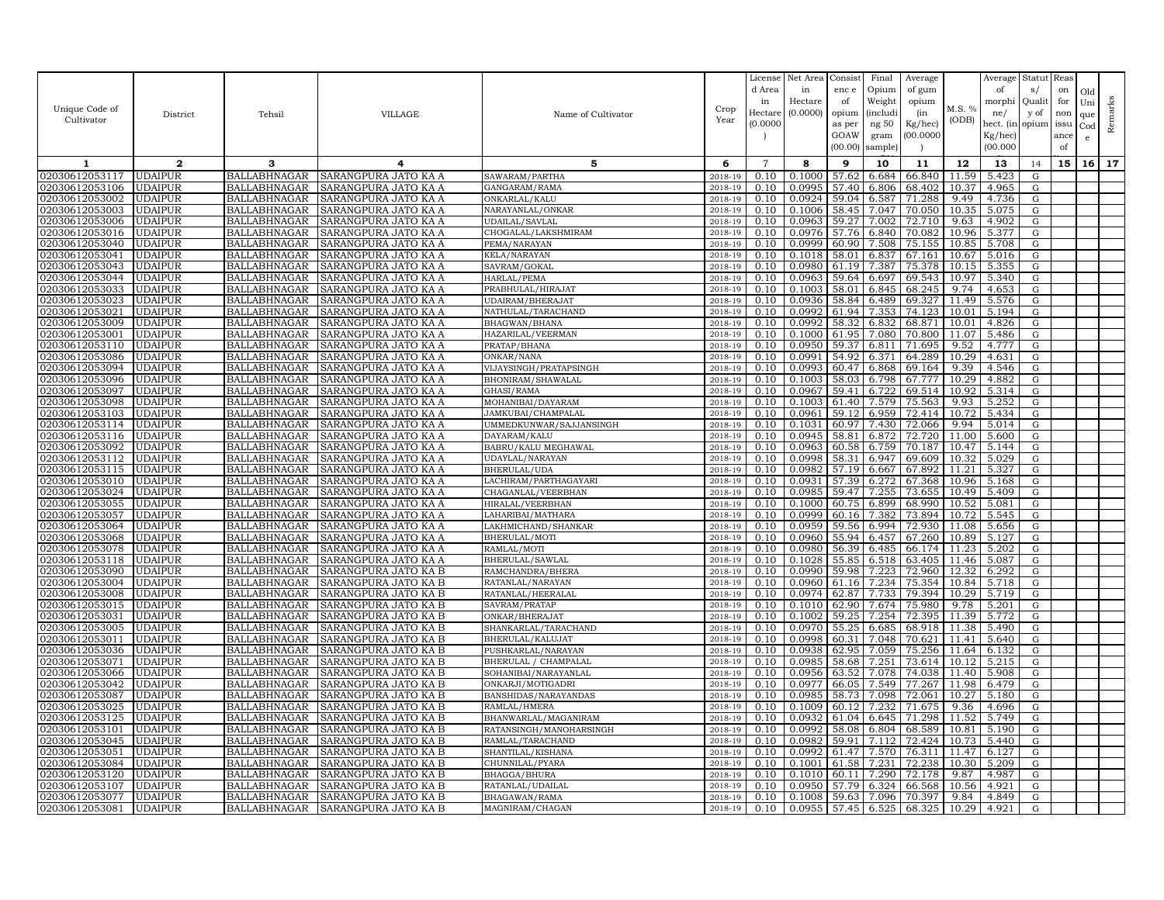|                                  |                                  |                                            |                                              |                              |                    | License        | Net Area         | Consist        | Final           | Average          |                | Average        | Statut    | Reas |              |         |
|----------------------------------|----------------------------------|--------------------------------------------|----------------------------------------------|------------------------------|--------------------|----------------|------------------|----------------|-----------------|------------------|----------------|----------------|-----------|------|--------------|---------|
|                                  |                                  |                                            |                                              |                              |                    | d Area         | in               | enc e          | Opium           | of gum           |                | of             | s/        | on   | Old          |         |
|                                  |                                  |                                            |                                              |                              |                    | in             | Hectare          | of             | Weight          | opium            |                | morphi         | Quali     | for  | Uni          |         |
| Unique Code of                   | District                         | Tehsil                                     | <b>VILLAGE</b>                               | Name of Cultivator           | Crop               | Hectar         | (0.0000)         | opium          | <i>(includi</i> | (in              | M.S. %         | ne/            | y of      | non  | que          |         |
| Cultivator                       |                                  |                                            |                                              |                              | Year               | (0.0000)       |                  | as per         | ng 50           | Kg/hec)          | (ODB)          | hect. (in      | opium     | issu | $_{\rm Cod}$ | Remarks |
|                                  |                                  |                                            |                                              |                              |                    |                |                  | GOAW           | gram            | 00.0000          |                | Kg/hec)        |           | ance | e            |         |
|                                  |                                  |                                            |                                              |                              |                    |                |                  | (00.00)        | sample)         |                  |                | (00.000)       |           | of   |              |         |
| 1                                | $\mathbf{2}$                     | 3                                          | 4                                            | 5                            | 6                  | $\overline{7}$ | 8                | 9              | 10              | 11               | 12             | 13             | 14        | 15   | 16           | 17      |
| 02030612053117                   | <b>UDAIPUR</b>                   | <b>BALLABHNAGAR</b>                        | SARANGPURA JATO KA A                         | SAWARAM/PARTHA               | 2018-19            | 0.10           | 0.1000           | 57.62          | 6.684           | 66.840           | 11.59          | 5.423          | G         |      |              |         |
| 02030612053106                   | <b>UDAIPUR</b>                   | <b>BALLABHNAGAR</b>                        | SARANGPURA JATO KA A                         | GANGARAM/RAMA                | 2018-19            | 0.10           | 0.0995           | 57.40          | 6.806           | 68.402           | 10.37          | 4.965          | G         |      |              |         |
| 02030612053002                   | <b>UDAIPUR</b>                   | <b>BALLABHNAGAR</b>                        | SARANGPURA JATO KA A                         | ONKARLAL/KALU                | 2018-19            | 0.10           | 0.0924           | 59.04          | 6.587           | 71.288           | 9.49           | 4.736          | G         |      |              |         |
| 02030612053003                   | <b>UDAIPUR</b>                   | <b>BALLABHNAGAR</b>                        | SARANGPURA JATO KA A                         | NARAYANLAL/ONKAR             | 2018-19            | 0.10           | 0.1006           | 58.45          | 7.047           | 70.050           | 10.35          | 5.075          | G         |      |              |         |
| 02030612053006                   | <b>UDAIPUR</b>                   | <b>BALLABHNAGAR</b>                        | SARANGPURA JATO KA A                         | <b>UDAILAL/SAVLAL</b>        | 2018-19            | 0.10           | 0.0963           | 59.27          | 7.002           | 72.710           | 9.63           | 4.902          | G         |      |              |         |
| 02030612053016                   | <b>UDAIPUR</b>                   | <b>BALLABHNAGAR</b>                        | SARANGPURA JATO KA A                         | CHOGALAL/LAKSHMIRAM          | 2018-19            | 0.10           | 0.0976           | 57.76          | 6.840           | 70.082           | 10.96          | 5.377          | G         |      |              |         |
| 02030612053040                   | <b>UDAIPUR</b>                   | <b>BALLABHNAGAR</b>                        | SARANGPURA JATO KA A                         | PEMA/NARAYAN                 | 2018-19            | 0.10           | 0.0999           | 60.90          | 7.508           | 75.155           | 10.85          | 5.708          | G         |      |              |         |
| 02030612053041                   | <b>UDAIPUR</b>                   | <b>BALLABHNAGAR</b>                        | SARANGPURA JATO KA A                         | KELA/NARAYAN                 | 2018-19            | 0.10           | 0.1018           | 58.01          | 6.837           | 67.161           | 10.67          | 5.016          | G         |      |              |         |
| 02030612053043                   | <b>UDAIPUR</b>                   | <b>BALLABHNAGAR</b>                        | SARANGPURA JATO KA A                         | SAVRAM/GOKAL                 | 2018-19            | 0.10           | 0.0980           | 61.19          | 7.387           | 75.378           | 10.15          | 5.355          | G         |      |              |         |
| 02030612053044                   | <b>UDAIPUR</b>                   | <b>BALLABHNAGAR</b>                        | SARANGPURA JATO KA A                         | HARLAL/PEMA                  | 2018-19            | 0.10           | 0.0963           | 59.64          | 6.697           | 69.543           | 10.97          | 5.340          | G         |      |              |         |
| 02030612053033                   | <b>UDAIPUR</b>                   | <b>BALLABHNAGAR</b>                        | SARANGPURA JATO KA A                         | PRABHULAL/HIRAJAT            | 2018-19            | 0.10           | 0.1003           | 58.01          | 6.845           | 68.245           | 9.74           | 4.653          | G         |      |              |         |
| 02030612053023                   | <b>UDAIPUR</b>                   | <b>BALLABHNAGAR</b>                        | SARANGPURA JATO KA A                         | UDAIRAM/BHERAJAT             | 2018-19            | 0.10           | 0.0936           | 58.84          | 6.489           | 69.327           | 11.49          | 5.576          | G         |      |              |         |
| 02030612053021                   | <b>UDAIPUR</b>                   | <b>BALLABHNAGAR</b>                        | SARANGPURA JATO KA A                         | NATHULAL/TARACHAND           | 2018-19            | 0.10           | 0.0992           | 61.94          | 7.353           | 74.123           | 10.01          | 5.194          | G         |      |              |         |
| 02030612053009                   | <b>UDAIPUR</b>                   | <b>BALLABHNAGAR</b>                        | SARANGPURA JATO KA A                         | BHAGWAN/BHANA                | 2018-19            | 0.10           | 0.0992           | 58.32          | 6.832           | 68.871           | 10.01          | 4.826          | G         |      |              |         |
| 02030612053001                   | <b>UDAIPUR</b>                   | <b>BALLABHNAGAR</b>                        | SARANGPURA JATO KA A                         | HAZARILAL/VEERMAN            | 2018-19            | 0.10           | 0.1000           | 61.95          | 7.080           | 70.800           | 11.07          | 5.486          | G         |      |              |         |
| 02030612053110                   | <b>UDAIPUR</b>                   | <b>BALLABHNAGAR</b>                        | SARANGPURA JATO KA A                         | PRATAP/BHANA                 | 2018-19            | 0.10           | 0.0950           | 59.37          | 6.811           | 71.695           | 9.52           | 4.777          | G         |      |              |         |
| 02030612053086                   | <b>UDAIPUR</b>                   | <b>BALLABHNAGAR</b>                        | SARANGPURA JATO KA A                         | ONKAR/NANA                   | 2018-19            | 0.10           | 0.0991           | 54.92          | 6.371           | 64.289           | 10.29          | 4.631          | G         |      |              |         |
| 02030612053094                   | <b>UDAIPUR</b>                   | <b>BALLABHNAGAR</b>                        | SARANGPURA JATO KA A                         | VIJAYSINGH/PRATAPSINGH       | 2018-19            | 0.10           | 0.0993           | 60.47          | 6.868           | 69.164           | 9.39           | 4.546          | G         |      |              |         |
| 02030612053096                   | <b>UDAIPUR</b>                   | <b>BALLABHNAGAR</b>                        | SARANGPURA JATO KA A                         | BHONIRAM/SHAWALAL            | 2018-19            | 0.10           | 0.1003           | 58.03          | 6.798           | 67.777           | 10.29          | 4.882          | G         |      |              |         |
| 02030612053097                   | <b>UDAIPUR</b>                   | <b>BALLABHNAGAR</b>                        | SARANGPURA JATO KA A                         | GHASI/RAMA                   | 2018-19            | 0.10           | 0.0967           | 59.41          | 6.722           | 69.514           | 10.92          | 5.314          | G         |      |              |         |
| 02030612053098                   | <b>UDAIPUR</b>                   | <b>BALLABHNAGAR</b>                        | SARANGPURA JATO KA A                         | MOHANIBAI/DAYARAM            | 2018-19            | 0.10           | 0.1003           | 61.40          | 7.579           | 75.563           | 9.93           | 5.252          | G         |      |              |         |
| 02030612053103                   | <b>UDAIPUR</b>                   | <b>BALLABHNAGAR</b>                        | SARANGPURA JATO KA A                         | JAMKUBAI/CHAMPALAL           | 2018-19            | 0.10           | 0.0961           | 59.12          | 6.959           | 72.414           | 10.72          | 5.434          | G         |      |              |         |
| 02030612053114                   | <b>UDAIPUR</b>                   | <b>BALLABHNAGAR</b>                        | SARANGPURA JATO KA A                         | UMMEDKUNWAR/SAJJANSINGH      | 2018-19            | 0.10           | 0.1031           | 60.97          | 7.430           | 72.066           | 9.94           | 5.014          | G         |      |              |         |
| 02030612053116                   | <b>UDAIPUR</b>                   | <b>BALLABHNAGAR</b>                        | SARANGPURA JATO KA A                         | DAYARAM/KALU                 | 2018-19            | 0.10           | 0.0945           | 58.81          | 6.872           | 72.720           | 11.00          | 5.600          | G         |      |              |         |
| 02030612053092                   | <b>UDAIPUR</b>                   | <b>BALLABHNAGAR</b>                        | SARANGPURA JATO KA A                         | BABRU/KALU MEGHAWAL          | 2018-19            | 0.10           | 0.0963           | 60.58          | 6.759           | 70.187           | 10.47          | 5.144          | G         |      |              |         |
| 02030612053112                   | <b>UDAIPUR</b>                   | <b>BALLABHNAGAR</b>                        | SARANGPURA JATO KA A                         | UDAYLAL/NARAYAN              | 2018-19            | 0.10           | 0.0998           | 58.31          | 6.947           | 69.609           | 10.32          | 5.029          | G         |      |              |         |
| 02030612053115                   | <b>UDAIPUR</b>                   | <b>BALLABHNAGAR</b>                        | SARANGPURA JATO KA A                         | BHERULAL/UDA                 | 2018-19            | 0.10           | 0.0982           | 57.19          | 6.667           | 67.892           | 11.21          | 5.327          | G         |      |              |         |
| 02030612053010                   | <b>UDAIPUR</b>                   | <b>BALLABHNAGAR</b>                        | SARANGPURA JATO KA A                         | LACHIRAM/PARTHAGAYARI        | 2018-19            | 0.10           | 0.0931           | 57.39          | 6.272           | 67.368           | 10.96          | 5.168          | G         |      |              |         |
| 02030612053024                   | UDAIPUR                          | <b>BALLABHNAGAR</b>                        | SARANGPURA JATO KA A                         | CHAGANLAL/VEERBHAN           | 2018-19            | 0.10           | 0.0985           | 59.47          | 7.255           | 73.655           | 10.49          | 5.409          | G         |      |              |         |
| 02030612053055                   | <b>UDAIPUR</b>                   | <b>BALLABHNAGAR</b>                        | SARANGPURA JATO KA A                         | HIRALAL/VEERBHAN             | 2018-19            | 0.10           | 0.1000           | 60.75          | 6.899           | 68.990           | 10.52          | 5.081          | G         |      |              |         |
| 02030612053057                   | <b>UDAIPUR</b>                   | <b>BALLABHNAGAR</b>                        | SARANGPURA JATO KA A                         | LAHARIBAI/MATHARA            | 2018-19            | 0.10           | 0.0999           | 60.16<br>59.56 | 7.382           | 73.894           | 10.72          | 5.545          | G         |      |              |         |
| 02030612053064<br>02030612053068 | <b>UDAIPUR</b><br><b>UDAIPUR</b> | <b>BALLABHNAGAR</b>                        | SARANGPURA JATO KA A                         | LAKHMICHAND/SHANKAR          | 2018-19            | 0.10           | 0.0959<br>0.0960 | 55.94          | 6.994           | 72.930<br>67.260 | 11.08<br>10.89 | 5.656<br>5.127 | G         |      |              |         |
| 02030612053078                   | <b>UDAIPUR</b>                   | <b>BALLABHNAGAR</b><br><b>BALLABHNAGAR</b> | SARANGPURA JATO KA A<br>SARANGPURA JATO KA A | BHERULAL/MOTI<br>RAMLAL/MOTI | 2018-19<br>2018-19 | 0.10<br>0.10   | 0.0980           | 56.39          | 6.457<br>6.485  | 66.174           | 11.23          | 5.202          | G<br>G    |      |              |         |
| 02030612053118                   | <b>UDAIPUR</b>                   | <b>BALLABHNAGAR</b>                        | SARANGPURA JATO KA A                         | BHERULAL/SAWLAL              | 2018-19            | 0.10           | 0.1028           | 55.85          | 6.518           | 63.405           | 11.46          | 5.087          | G         |      |              |         |
| 02030612053090                   | <b>UDAIPUR</b>                   | <b>BALLABHNAGAR</b>                        | SARANGPURA JATO KA B                         | RAMCHANDRA/BHERA             | 2018-19            | 0.10           | 0.0990           | 59.98          | 7.223           | 72.960           | 12.32          | 6.292          | G         |      |              |         |
| 02030612053004                   | <b>UDAIPUR</b>                   | <b>BALLABHNAGAR</b>                        | SARANGPURA JATO KA B                         | RATANLAL/NARAYAN             | 2018-19            | 0.10           | 0.0960           | 61.16          | 7.234           | 75.354           | 10.84          | 5.718          | G         |      |              |         |
| 02030612053008                   | <b>UDAIPUR</b>                   | <b>BALLABHNAGAR</b>                        | SARANGPURA JATO KA B                         | RATANLAL/HEERALAL            | 2018-19            | 0.10           | 0.0974           | 62.87          | 7.733           | 79.394           | 10.29          | 5.719          | G         |      |              |         |
| 02030612053015                   | <b>UDAIPUR</b>                   | <b>BALLABHNAGAR</b>                        | SARANGPURA JATO KA B                         | SAVRAM/PRATAP                | 2018-19            | 0.10           | 0.1010           | 62.90          | 7.674           | 75.980           | 9.78           | 5.201          | G         |      |              |         |
| 0203061205303                    | <b>UDAIPUR</b>                   | <b>BALLABHNAGAR</b>                        | SARANGPURA JATO KA B                         | ONKAR/BHERAJAT               | 2018-19            | 0.10           | 0.1002           | 59.25          | 7.254           | 72.395           | 11.39          | 5.772          | G         |      |              |         |
| 02030612053005                   | <b>UDAIPUR</b>                   | <b>BALLABHNAGAR</b>                        | SARANGPURA JATO KA B                         | SHANKARLAL/TARACHAND         | 2018-19            | 0.10           | 0.0970           | 55.25          | 6.685           | 68.918           | 11.38          | 5.490          | G         |      |              |         |
| 02030612053011                   | <b>UDAIPUR</b>                   | <b>BALLABHNAGAR</b>                        | SARANGPURA JATO KA B                         | BHERULAL/KALUJAT             | 2018-19            | 0.10           | 0.0998           | 60.31          | 7.048           | 70.621           | 11.41          | 5.640          | G         |      |              |         |
| 02030612053036                   | <b>UDAIPUR</b>                   | <b>BALLABHNAGAR</b>                        | SARANGPURA JATO KA B                         | PUSHKARLAL/NARAYAN           | 2018-19            | 0.10           | 0.0938           | 62.95          | 7.059           | 75.256           | 11.64          | 6.132          | ${\rm G}$ |      |              |         |
| 02030612053071                   | <b>UDAIPUR</b>                   | <b>BALLABHNAGAR</b>                        | SARANGPURA JATO KA B                         | BHERULAL / CHAMPALAL         | 2018-19            | 0.10           | 0.0985           | 58.68          | 7.251           | 73.614           | 10.12          | 5.215          | G         |      |              |         |
| 02030612053066                   | <b>UDAIPUR</b>                   | <b>BALLABHNAGAR</b>                        | SARANGPURA JATO KA B                         | SOHANIBAI/NARAYANLAL         | 2018-19            | 0.10           | 0.0956           | 63.52          | 7.078           | 74.038           | 11.40          | 5.908          | G         |      |              |         |
| 02030612053042                   | <b>UDAIPUR</b>                   | <b>BALLABHNAGAR</b>                        | SARANGPURA JATO KA B                         | ONKARJI/MOTIGADRI            | 2018-19            | 0.10           | 0.0977           | 66.05          | 7.549           | 77.267           | 11.98          | 6.479          | G         |      |              |         |
| 02030612053087                   | <b>UDAIPUR</b>                   | <b>BALLABHNAGAR</b>                        | SARANGPURA JATO KA B                         | BANSHIDAS/NARAYANDAS         | 2018-19            | 0.10           | 0.0985           | 58.73          | 7.098           | 72.061           | 10.27          | 5.180          | ${\rm G}$ |      |              |         |
| 02030612053025                   | <b>UDAIPUR</b>                   | <b>BALLABHNAGAR</b>                        | SARANGPURA JATO KA B                         | RAMLAL/HMERA                 | 2018-19            | 0.10           | 0.1009           | 60.12          | 7.232           | 71.675           | 9.36           | 4.696          | G         |      |              |         |
| 02030612053125                   | <b>UDAIPUR</b>                   | <b>BALLABHNAGAR</b>                        | SARANGPURA JATO KA B                         | BHANWARLAL/MAGANIRAM         | 2018-19            | 0.10           | 0.0932           | 61.04          | 6.645           | 71.298           | 11.52          | 5.749          | G         |      |              |         |
| 02030612053101                   | <b>UDAIPUR</b>                   | <b>BALLABHNAGAR</b>                        | SARANGPURA JATO KA B                         | RATANSINGH/MANOHARSINGH      | 2018-19            | 0.10           | 0.0992           | 58.08          | 6.804           | 68.589           | 10.81          | 5.190          | G         |      |              |         |
| 02030612053045                   | <b>UDAIPUR</b>                   | <b>BALLABHNAGAR</b>                        | SARANGPURA JATO KA B                         | RAMLAL/TARACHAND             | 2018-19            | 0.10           | 0.0982           | 59.91          | 7.112           | 72.424           | 10.73          | 5.440          | G         |      |              |         |
| 02030612053051                   | <b>UDAIPUR</b>                   | <b>BALLABHNAGAR</b>                        | SARANGPURA JATO KA B                         | SHANTILAL/KISHANA            | 2018-19            | 0.10           | 0.0992           | 61.47          | 7.570           | 76.311           | 11.47          | 6.127          | G         |      |              |         |
| 02030612053084                   | <b>UDAIPUR</b>                   | <b>BALLABHNAGAR</b>                        | SARANGPURA JATO KA B                         | CHUNNILAL/PYARA              | 2018-19            | 0.10           | 0.1001           | 61.58          | 7.231           | 72.238           | 10.30          | 5.209          | G         |      |              |         |
| 02030612053120                   | <b>UDAIPUR</b>                   | <b>BALLABHNAGAR</b>                        | SARANGPURA JATO KA B                         | BHAGGA/BHURA                 | 2018-19            | 0.10           | 0.1010           | 60.11          | 7.290           | 72.178           | 9.87           | 4.987          | G         |      |              |         |
| 02030612053107                   | <b>UDAIPUR</b>                   | <b>BALLABHNAGAR</b>                        | SARANGPURA JATO KA B                         | RATANLAL/UDAILAI             | 2018-19            | 0.10           | 0.0950           | 57.79          | 6.324           | 66.568           | 10.56          | 4.921          | G         |      |              |         |
| 02030612053077                   | <b>UDAIPUR</b>                   | <b>BALLABHNAGAR</b>                        | SARANGPURA JATO KA B                         | BHAGAWAN / RAMA              | 2018-19            | 0.10           | 0.1008           | 59.63          | 7.096           | 70.397           | 9.84           | 4.849          | G         |      |              |         |
| 02030612053081                   | <b>UDAIPUR</b>                   | <b>BALLABHNAGAR</b>                        | SARANGPURA JATO KA B                         | MAGNIRAM/CHAGAN              | 2018-19            | 0.10           | 0.0955           | 57.45          | 6.525           | 68.325           | 10.29          | 4.921          | G         |      |              |         |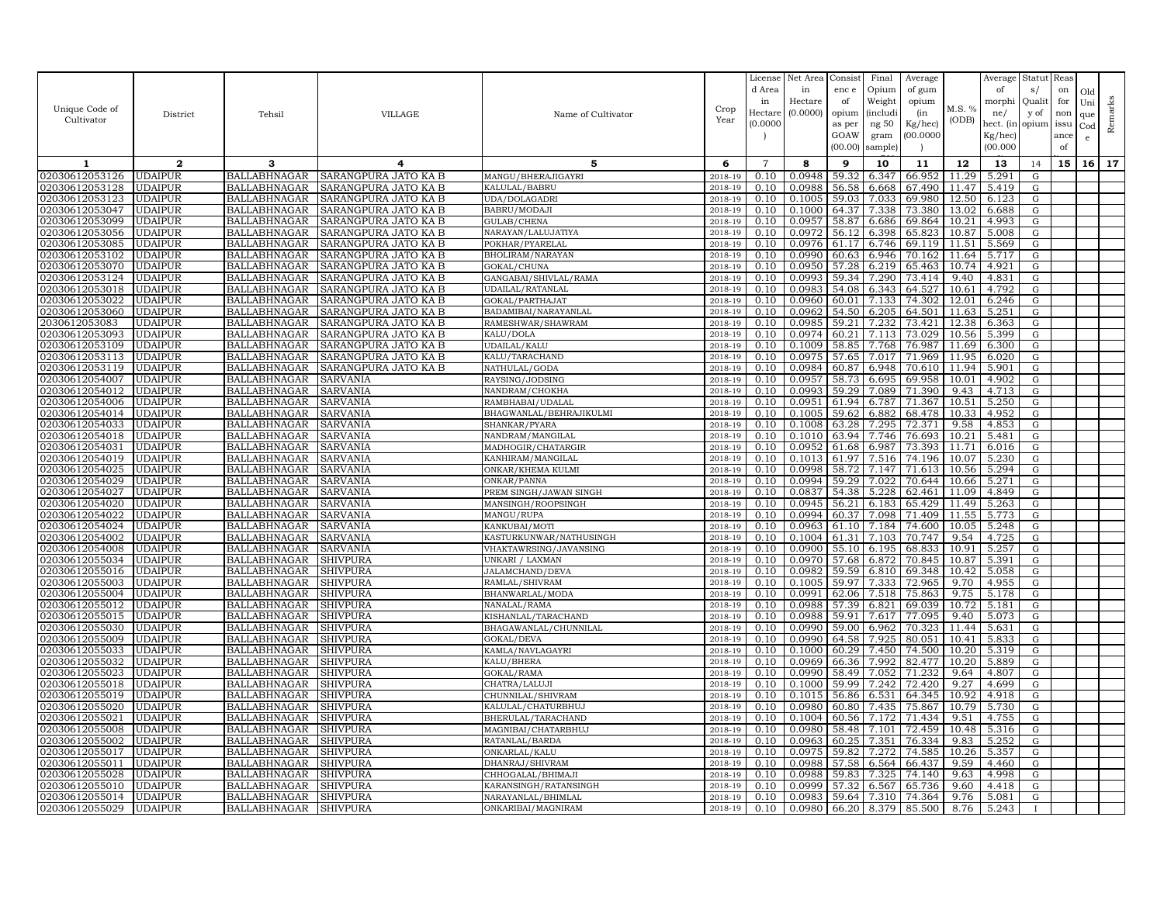|                |                |                     |                      |                         |             | License        | Net Area | Consist | Final    | Average |        | Average   | Statut Reas |      |              |         |
|----------------|----------------|---------------------|----------------------|-------------------------|-------------|----------------|----------|---------|----------|---------|--------|-----------|-------------|------|--------------|---------|
|                |                |                     |                      |                         |             | d Area         | in       | enc e   | Opium    | of gum  |        | of        | s/          | on   | Old          |         |
|                |                |                     |                      |                         |             | in             | Hectare  | of      | Weight   | opium   |        | morphi    | Quali       | for  | Uni          |         |
| Unique Code of | District       | Tehsil              | <b>VILLAGE</b>       | Name of Cultivator      | Crop        | Hectare        | (0.0000) | opium   | (includ: | (in     | M.S. % | ne/       | y of        | non  | que          |         |
| Cultivator     |                |                     |                      |                         | Year        | (0.0000        |          | as per  | ng 50    | Kg/hec) | (ODB)  | hect. (in | opium issu  |      | $_{\rm Cod}$ | Remarks |
|                |                |                     |                      |                         |             |                |          | GOAW    | gram     | 00.0000 |        | Kg/hec)   |             | ance |              |         |
|                |                |                     |                      |                         |             |                |          | (00.00) | sample   |         |        | (00.000)  |             | of   |              |         |
| 1              | $\mathbf{2}$   | 3                   | 4                    | 5                       | 6           | $\overline{7}$ | 8        | 9       | 10       | 11      | 12     | 13        | 14          | 15   | 16           | 17      |
| 02030612053126 | <b>UDAIPUR</b> | BALLABHNAGAR        | SARANGPURA JATO KA B | MANGU/BHERAJIGAYRI      | 2018-19     | 0.10           | 0.0948   | 59.32   | 6.347    | 66.952  | 11.29  | 5.291     | G           |      |              |         |
| 02030612053128 | <b>UDAIPUR</b> | <b>BALLABHNAGAR</b> | SARANGPURA JATO KA B | KALULAL/BABRU           | 2018-19     | 0.10           | 0.0988   | 56.58   | 6.668    | 67.490  | 11.47  | 5.419     |             |      |              |         |
| 02030612053123 | <b>UDAIPUR</b> | <b>BALLABHNAGAR</b> | SARANGPURA JATO KA B | UDA/DOLAGADRI           | 2018-19     | 0.10           | 0.1005   | 59.03   | 7.033    | 69.980  | 12.50  | 6.123     | G<br>G      |      |              |         |
| 02030612053047 | <b>UDAIPUR</b> | <b>BALLABHNAGAR</b> | SARANGPURA JATO KA B | BABRU/MODAJI            | 2018-19     | 0.10           | 0.1000   | 64.37   | 7.338    | 73.380  | 13.02  | 6.688     | G           |      |              |         |
| 02030612053099 | <b>UDAIPUR</b> | BALLABHNAGAR        | SARANGPURA JATO KA B | GULAB/CHENA             | 2018-19     | 0.10           | 0.0957   | 58.87   | 6.686    | 69.864  | 10.21  | 4.993     | G           |      |              |         |
| 02030612053056 | <b>UDAIPUR</b> | <b>BALLABHNAGAR</b> | SARANGPURA JATO KA B | NARAYAN/LALUJATIYA      | 2018-19     | 0.10           | 0.0972   | 56.12   | 6.398    | 65.823  | 10.87  | 5.008     | G           |      |              |         |
| 02030612053085 | <b>UDAIPUR</b> | <b>BALLABHNAGAR</b> | SARANGPURA JATO KA B | POKHAR/PYARELAL         | 2018-19     | 0.10           | 0.0976   | 61.17   | 6.746    | 69.119  | 11.51  | 5.569     | G           |      |              |         |
| 02030612053102 | <b>UDAIPUR</b> | BALLABHNAGAR        | SARANGPURA JATO KA B | BHOLIRAM/NARAYAN        | 2018-19     | 0.10           | 0.0990   | 60.63   | 6.946    | 70.162  | 11.64  | 5.717     | G           |      |              |         |
| 02030612053070 | <b>UDAIPUR</b> | <b>BALLABHNAGAR</b> | SARANGPURA JATO KA B | GOKAL/CHUNA             | 2018-19     | 0.10           | 0.0950   | 57.28   | 6.219    | 65.463  | 10.74  | 4.921     | G           |      |              |         |
| 02030612053124 | <b>UDAIPUR</b> | <b>BALLABHNAGAR</b> | SARANGPURA JATO KA B | GANGABAI/SHIVLAL/RAMA   | 2018-19     | 0.10           | 0.0993   | 59.34   | 7.290    | 73.414  | 9.40   | 4.831     | G           |      |              |         |
| 02030612053018 | <b>UDAIPUR</b> | <b>BALLABHNAGAR</b> | SARANGPURA JATO KA B | UDAILAL/RATANLAL        | 2018-19     | 0.10           | 0.0983   | 54.08   | 6.343    | 64.527  | 10.61  | 4.792     | G           |      |              |         |
| 02030612053022 | <b>UDAIPUR</b> | <b>BALLABHNAGAR</b> | SARANGPURA JATO KA B | GOKAL/PARTHAJAT         | 2018-19     | 0.10           | 0.0960   | 60.01   | 7.133    | 74.302  | 12.01  | 6.246     | G           |      |              |         |
| 02030612053060 | <b>UDAIPUR</b> | <b>BALLABHNAGAR</b> | SARANGPURA JATO KA B | BADAMIBAI/NARAYANLAL    | 2018-19     | 0.10           | 0.0962   | 54.50   | 6.205    | 64.501  | 11.63  | 5.251     | G           |      |              |         |
| 2030612053083  | <b>UDAIPUR</b> | <b>BALLABHNAGAR</b> | SARANGPURA JATO KA B | RAMESHWAR/SHAWRAM       | 2018-19     | 0.10           | 0.0985   | 59.21   | 7.232    | 73.421  | 12.38  | 6.363     | G           |      |              |         |
| 02030612053093 | <b>UDAIPUR</b> | BALLABHNAGAR        | SARANGPURA JATO KA B | KALU/DOLA               | $2018 - 19$ | 0.10           | 0.0974   | 60.21   | 7.113    | 73.029  | 10.56  | 5.399     | G           |      |              |         |
| 02030612053109 | <b>UDAIPUR</b> | <b>BALLABHNAGAR</b> | SARANGPURA JATO KA B | UDAILAL/KALU            | 2018-19     | 0.10           | 0.1009   | 58.85   | 7.768    | 76.987  | 11.69  | 6.300     | G           |      |              |         |
| 02030612053113 | <b>UDAIPUR</b> | <b>BALLABHNAGAR</b> | SARANGPURA JATO KA B | KALU/TARACHAND          | 2018-19     | 0.10           | 0.0975   | 57.65   | 7.017    | 71.969  | 11.95  | 6.020     | $\mathbf G$ |      |              |         |
| 02030612053119 | <b>UDAIPUR</b> | <b>BALLABHNAGAR</b> | SARANGPURA JATO KA B | NATHULAL/GODA           | 2018-19     | 0.10           | 0.0984   | 60.87   | 6.948    | 70.610  | 11.94  | 5.901     | G           |      |              |         |
| 02030612054007 | <b>UDAIPUR</b> | <b>BALLABHNAGAR</b> | SARVANIA             | RAYSING/JODSING         | 2018-19     | 0.10           | 0.0957   | 58.73   | 6.695    | 69.958  | 10.01  | 4.902     | G           |      |              |         |
| 02030612054012 | <b>UDAIPUR</b> | <b>BALLABHNAGAR</b> | SARVANIA             | NANDRAM/CHOKHA          | 2018-19     | 0.10           | 0.0993   | 59.29   | 7.089    | 71.390  | 9.43   | 4.713     | G           |      |              |         |
| 02030612054006 | <b>UDAIPUR</b> | <b>BALLABHNAGAR</b> | <b>SARVANIA</b>      | RAMBHABAI/UDALAL        | 2018-19     | 0.10           | 0.0951   | 61.94   | 6.787    | 71.367  | 10.51  | 5.250     | G           |      |              |         |
| 02030612054014 | <b>UDAIPUR</b> | <b>BALLABHNAGAR</b> | SARVANIA             | BHAGWANLAL/BEHRAJIKULMI | 2018-19     | 0.10           | 0.1005   | 59.62   | 6.882    | 68.478  | 10.33  | 4.952     | G           |      |              |         |
| 02030612054033 | <b>UDAIPUR</b> | <b>BALLABHNAGAR</b> | SARVANIA             | SHANKAR/PYARA           | 2018-19     | 0.10           | 0.1008   | 63.28   | 7.295    | 72.371  | 9.58   | 4.853     | G           |      |              |         |
| 02030612054018 | <b>UDAIPUR</b> | <b>BALLABHNAGAR</b> | SARVANIA             | NANDRAM/MANGILAL        | 2018-19     | 0.10           | 0.1010   | 63.94   | 7.746    | 76.693  | 10.21  | 5.481     | G           |      |              |         |
| 02030612054031 | <b>UDAIPUR</b> | <b>BALLABHNAGAR</b> | SARVANIA             | MADHOGIR/CHATARGIR      | 2018-19     | 0.10           | 0.0952   | 61.68   | 6.987    | 73.393  | 11.71  | 6.016     | G           |      |              |         |
| 02030612054019 | <b>UDAIPUR</b> | <b>BALLABHNAGAR</b> | SARVANIA             | KANHIRAM/MANGILAL       | 2018-19     | 0.10           | 0.1013   | 61.97   | 7.516    | 74.196  | 10.07  | 5.230     | G           |      |              |         |
| 02030612054025 | <b>UDAIPUR</b> | <b>BALLABHNAGAR</b> | SARVANIA             | ONKAR/KHEMA KULMI       | 2018-19     | 0.10           | 0.0998   | 58.72   | 7.147    | 71.613  | 10.56  | 5.294     | G           |      |              |         |
| 02030612054029 | <b>UDAIPUR</b> | <b>BALLABHNAGAR</b> | SARVANIA             | ONKAR/PANNA             | 2018-19     | 0.10           | 0.0994   | 59.29   | 7.022    | 70.644  | 10.66  | 5.271     | G           |      |              |         |
| 02030612054027 | <b>UDAIPUR</b> | <b>BALLABHNAGAR</b> | SARVANIA             | PREM SINGH/JAWAN SINGH  | 2018-19     | 0.10           | 0.0837   | 54.38   | 5.228    | 62.461  | 11.09  | 4.849     | G           |      |              |         |
| 02030612054020 | <b>UDAIPUR</b> | <b>BALLABHNAGAR</b> | SARVANIA             | MANSINGH/ROOPSINGH      | 2018-19     | 0.10           | 0.0945   | 56.21   | 6.183    | 65.429  | 11.49  | 5.263     | G           |      |              |         |
| 02030612054022 | <b>UDAIPUR</b> | <b>BALLABHNAGAR</b> | SARVANIA             | MANGU/RUPA              | 2018-19     | 0.10           | 0.0994   | 60.37   | 7.098    | 71.409  | 11.55  | 5.773     | G           |      |              |         |
| 02030612054024 | <b>UDAIPUR</b> | <b>BALLABHNAGAR</b> | <b>SARVANIA</b>      | KANKUBAI/MOTI           | 2018-19     | 0.10           | 0.0963   | 61.10   | 7.184    | 74.600  | 10.05  | 5.248     | G           |      |              |         |
| 02030612054002 | <b>UDAIPUR</b> | <b>BALLABHNAGAR</b> | SARVANIA             | KASTURKUNWAR/NATHUSINGH | 2018-19     | 0.10           | 0.1004   | 61.31   | 7.103    | 70.747  | 9.54   | 4.725     | G           |      |              |         |
| 02030612054008 | <b>UDAIPUR</b> | <b>BALLABHNAGAR</b> | SARVANIA             | VHAKTAWRSING/JAVANSING  | 2018-19     | 0.10           | 0.0900   | 55.10   | 6.195    | 68.833  | 10.91  | 5.257     | G           |      |              |         |
| 02030612055034 | <b>UDAIPUR</b> | <b>BALLABHNAGAR</b> | SHIVPURA             | UNKARI / LAXMAN         | 2018-19     | 0.10           | 0.0970   | 57.68   | 6.872    | 70.845  | 10.87  | 5.391     | G           |      |              |         |
| 02030612055016 | <b>UDAIPUR</b> | <b>BALLABHNAGAR</b> | SHIVPURA             | JALAMCHAND/DEVA         | 2018-19     | 0.10           | 0.0982   | 59.59   | 6.810    | 69.348  | 10.42  | 5.058     | G           |      |              |         |
| 02030612055003 | <b>UDAIPUR</b> | <b>BALLABHNAGAR</b> | SHIVPURA             | RAMLAL/SHIVRAM          | 2018-19     | 0.10           | 0.1005   | 59.97   | 7.333    | 72.965  | 9.70   | 4.955     | G           |      |              |         |
| 02030612055004 | <b>UDAIPUR</b> | <b>BALLABHNAGAR</b> | SHIVPURA             | BHANWARLAL/MODA         | 2018-19     | 0.10           | 0.0991   | 62.06   | 7.518    | 75.863  | 9.75   | 5.178     | G           |      |              |         |
| 02030612055012 | <b>UDAIPUR</b> | <b>BALLABHNAGAR</b> | SHIVPURA             | NANALAL/RAMA            | 2018-19     | 0.10           | 0.0988   | 57.39   | 6.821    | 69.039  | 10.72  | 5.181     | G           |      |              |         |
| 02030612055015 | <b>UDAIPUR</b> | <b>BALLABHNAGAR</b> | SHIVPURA             | KISHANLAL/TARACHAND     | 2018-19     | 0.10           | 0.0988   | 59.91   | 7.617    | 77.095  | 9.40   | 5.073     | G           |      |              |         |
| 02030612055030 | <b>UDAIPUR</b> | <b>BALLABHNAGAR</b> | SHIVPURA             | BHAGAWANLAL/CHUNNILAL   | 2018-19     | 0.10           | 0.0990   | 59.00   | 6.962    | 70.323  | 11.44  | 5.631     | G           |      |              |         |
| 02030612055009 | <b>UDAIPUR</b> | <b>BALLABHNAGAR</b> | SHIVPURA             | GOKAL/DEVA              | 2018-19     | 0.10           | 0.0990   | 64.58   | 7.925    | 80.051  | 10.41  | 5.833     | G           |      |              |         |
| )2030612055033 | <b>UDAIPUR</b> | <b>BALLABHNAGAR</b> | SHIVPURA             | KAMLA/NAVLAGAYRI        | 2018-19     | 0.10           | 0.1000   | 60.29   | 7.450    | 74.500  | 10.20  | 5.319     | G           |      |              |         |
| 02030612055032 | <b>UDAIPUR</b> | <b>BALLABHNAGAR</b> | SHIVPURA             | KALU/BHERA              | 2018-19     | 0.10           | 0.0969   | 66.36   | 7.992    | 82.477  | 10.20  | 5.889     | G           |      |              |         |
| 02030612055023 | <b>UDAIPUR</b> | <b>BALLABHNAGAR</b> | SHIVPURA             | GOKAL/RAMA              | 2018-19     | 0.10           | 0.0990   | 58.49   | 7.052    | 71.232  | 9.64   | 4.807     | G           |      |              |         |
| 02030612055018 | <b>UDAIPUR</b> | <b>BALLABHNAGAR</b> | SHIVPURA             | CHATRA/LALUJ            | 2018-19     | 0.10           | 0.1000   | 59.99   | 7.242    | 72.420  | 9.27   | 4.699     | G           |      |              |         |
| 02030612055019 | <b>UDAIPUR</b> | <b>BALLABHNAGAR</b> | SHIVPURA             | CHUNNILAL/SHIVRAM       | 2018-19     | 0.10           | 0.1015   | 56.86   | 6.531    | 64.345  | 10.92  | 4.918     | G           |      |              |         |
| 02030612055020 | <b>UDAIPUR</b> | <b>BALLABHNAGAR</b> | SHIVPURA             | KALULAL/CHATURBHUJ      | 2018-19     | 0.10           | 0.0980   | 60.80   | 7.435    | 75.867  | 10.79  | 5.730     | G           |      |              |         |
| 02030612055021 | <b>UDAIPUR</b> | <b>BALLABHNAGAR</b> | SHIVPURA             | BHERULAL/TARACHAND      | 2018-19     | 0.10           | 0.1004   | 60.56   | 7.172    | 71.434  | 9.51   | 4.755     | G           |      |              |         |
| 02030612055008 | <b>UDAIPUR</b> | <b>BALLABHNAGAR</b> | <b>SHIVPURA</b>      | MAGNIBAI/CHATARBHUJ     | 2018-19     | 0.10           | 0.0980   | 58.48   | 7.101    | 72.459  | 10.48  | 5.316     | G           |      |              |         |
| 02030612055002 | <b>UDAIPUR</b> | <b>BALLABHNAGAR</b> | SHIVPURA             | RATANLAL/BARDA          | 2018-19     | 0.10           | 0.0963   | 60.25   | 7.351    | 76.334  | 9.83   | 5.252     | G           |      |              |         |
| 02030612055017 | <b>UDAIPUR</b> | <b>BALLABHNAGAR</b> | SHIVPURA             | ONKARLAL/KALU           | 2018-19     | 0.10           | 0.0975   | 59.82   | 7.272    | 74.585  | 10.26  | 5.357     | G           |      |              |         |
| 02030612055011 | <b>UDAIPUR</b> | <b>BALLABHNAGAR</b> | SHIVPURA             | DHANRAJ/SHIVRAM         | 2018-19     | 0.10           | 0.0988   | 57.58   | 6.564    | 66.437  | 9.59   | 4.460     | G           |      |              |         |
| 02030612055028 | <b>UDAIPUR</b> | <b>BALLABHNAGAR</b> | SHIVPURA             | CHHOGALAL/BHIMAJ        | 2018-19     | 0.10           | 0.0988   | 59.83   | 7.325    | 74.140  | 9.63   | 4.998     | G           |      |              |         |
| 02030612055010 | <b>UDAIPUR</b> | <b>BALLABHNAGAR</b> | SHIVPURA             | KARANSINGH/RATANSINGH   | 2018-19     | 0.10           | 0.0999   | 57.32   | 6.567    | 65.736  | 9.60   | 4.418     | G           |      |              |         |
| 02030612055014 | <b>UDAIPUR</b> | <b>BALLABHNAGAR</b> | SHIVPURA             | NARAYANLAL/BHIMLAL      | 2018-19     | 0.10           | 0.0983   | 59.64   | 7.310    | 74.364  | 9.76   | 5.081     | G           |      |              |         |
| 02030612055029 | <b>UDAIPUR</b> | <b>BALLABHNAGAR</b> | <b>SHIVPURA</b>      | ONKARIBAI/MAGNIRAM      | 2018-19     | 0.10           | 0.0980   | 66.20   | 8.379    | 85.500  | 8.76   | 5.243     |             |      |              |         |